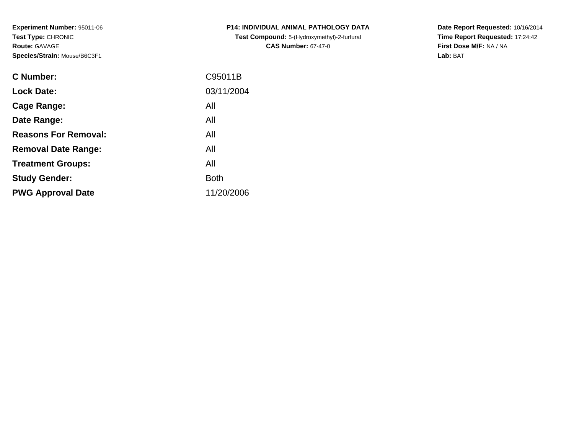**Experiment Number:** 95011-06**Test Type:** CHRONIC**Route:** GAVAGE**Species/Strain:** Mouse/B6C3F1

| <b>Test Compound:</b> 5-(Hydroxymethyl)-2-furfural |
|----------------------------------------------------|
| <b>CAS Number: 67-47-0</b>                         |
|                                                    |
|                                                    |

**P14: INDIVIDUAL ANIMAL PATHOLOGY DATA**

**Date Report Requested:** 10/16/2014 **Time Report Requested:** 17:24:42**First Dose M/F:** NA / NA**Lab:** BAT

| C95011B     |
|-------------|
| 03/11/2004  |
| All         |
| All         |
| All         |
| All         |
| All         |
| <b>Both</b> |
| 11/20/2006  |
|             |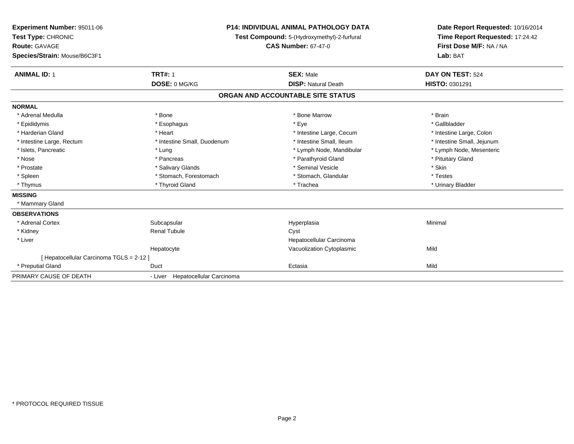| Experiment Number: 95011-06<br>Test Type: CHRONIC<br><b>Route: GAVAGE</b><br>Species/Strain: Mouse/B6C3F1 |                                  | <b>P14: INDIVIDUAL ANIMAL PATHOLOGY DATA</b><br>Test Compound: 5-(Hydroxymethyl)-2-furfural<br><b>CAS Number: 67-47-0</b> |                            |
|-----------------------------------------------------------------------------------------------------------|----------------------------------|---------------------------------------------------------------------------------------------------------------------------|----------------------------|
| <b>ANIMAL ID: 1</b>                                                                                       | <b>TRT#: 1</b>                   | <b>SEX: Male</b>                                                                                                          | DAY ON TEST: 524           |
|                                                                                                           | DOSE: 0 MG/KG                    | <b>DISP: Natural Death</b>                                                                                                | HISTO: 0301291             |
|                                                                                                           |                                  | ORGAN AND ACCOUNTABLE SITE STATUS                                                                                         |                            |
| <b>NORMAL</b>                                                                                             |                                  |                                                                                                                           |                            |
| * Adrenal Medulla                                                                                         | * Bone                           | * Bone Marrow                                                                                                             | * Brain                    |
| * Epididymis                                                                                              | * Esophagus                      | * Eye                                                                                                                     | * Gallbladder              |
| * Harderian Gland                                                                                         | * Heart                          | * Intestine Large, Cecum                                                                                                  | * Intestine Large, Colon   |
| * Intestine Large, Rectum                                                                                 | * Intestine Small, Duodenum      | * Intestine Small, Ileum                                                                                                  | * Intestine Small, Jejunum |
| * Islets, Pancreatic                                                                                      | * Lung                           | * Lymph Node, Mandibular                                                                                                  | * Lymph Node, Mesenteric   |
| * Nose                                                                                                    | * Pancreas                       | * Parathyroid Gland                                                                                                       | * Pituitary Gland          |
| * Prostate                                                                                                | * Salivary Glands                | * Seminal Vesicle                                                                                                         | * Skin                     |
| * Spleen                                                                                                  | * Stomach, Forestomach           | * Stomach, Glandular                                                                                                      | * Testes                   |
| * Thymus                                                                                                  | * Thyroid Gland                  | * Trachea                                                                                                                 | * Urinary Bladder          |
| <b>MISSING</b>                                                                                            |                                  |                                                                                                                           |                            |
| * Mammary Gland                                                                                           |                                  |                                                                                                                           |                            |
| <b>OBSERVATIONS</b>                                                                                       |                                  |                                                                                                                           |                            |
| * Adrenal Cortex                                                                                          | Subcapsular                      | Hyperplasia                                                                                                               | Minimal                    |
| * Kidney                                                                                                  | <b>Renal Tubule</b>              | Cyst                                                                                                                      |                            |
| * Liver                                                                                                   |                                  | Hepatocellular Carcinoma                                                                                                  |                            |
|                                                                                                           | Hepatocyte                       | Vacuolization Cytoplasmic                                                                                                 | Mild                       |
| [Hepatocellular Carcinoma TGLS = 2-12]                                                                    |                                  |                                                                                                                           |                            |
| * Preputial Gland                                                                                         | Duct                             | Ectasia                                                                                                                   | Mild                       |
| PRIMARY CAUSE OF DEATH                                                                                    | - Liver Hepatocellular Carcinoma |                                                                                                                           |                            |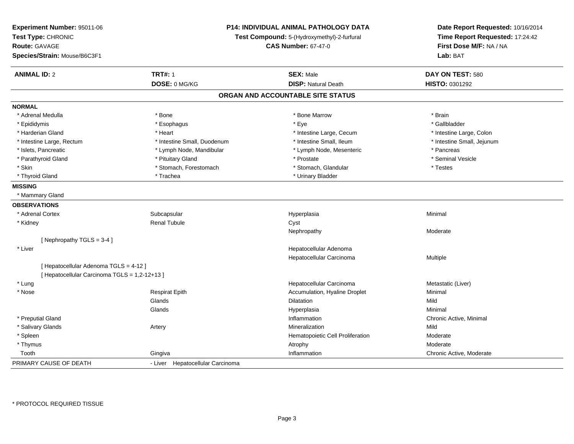| Experiment Number: 95011-06<br>Test Type: CHRONIC<br><b>Route: GAVAGE</b><br>Species/Strain: Mouse/B6C3F1 |                                  | <b>P14: INDIVIDUAL ANIMAL PATHOLOGY DATA</b><br>Test Compound: 5-(Hydroxymethyl)-2-furfural<br><b>CAS Number: 67-47-0</b> | Date Report Requested: 10/16/2014<br>Time Report Requested: 17:24:42<br>First Dose M/F: NA / NA<br>Lab: BAT |
|-----------------------------------------------------------------------------------------------------------|----------------------------------|---------------------------------------------------------------------------------------------------------------------------|-------------------------------------------------------------------------------------------------------------|
| <b>ANIMAL ID: 2</b>                                                                                       | <b>TRT#: 1</b>                   | <b>SEX: Male</b>                                                                                                          | DAY ON TEST: 580                                                                                            |
|                                                                                                           | DOSE: 0 MG/KG                    | <b>DISP: Natural Death</b>                                                                                                | HISTO: 0301292                                                                                              |
|                                                                                                           |                                  | ORGAN AND ACCOUNTABLE SITE STATUS                                                                                         |                                                                                                             |
| <b>NORMAL</b>                                                                                             |                                  |                                                                                                                           |                                                                                                             |
| * Adrenal Medulla                                                                                         | * Bone                           | * Bone Marrow                                                                                                             | * Brain                                                                                                     |
| * Epididymis                                                                                              | * Esophagus                      | * Eye                                                                                                                     | * Gallbladder                                                                                               |
| * Harderian Gland                                                                                         | * Heart                          | * Intestine Large, Cecum                                                                                                  | * Intestine Large, Colon                                                                                    |
| * Intestine Large, Rectum                                                                                 | * Intestine Small, Duodenum      | * Intestine Small, Ileum                                                                                                  | * Intestine Small, Jejunum                                                                                  |
| * Islets, Pancreatic                                                                                      | * Lymph Node, Mandibular         | * Lymph Node, Mesenteric                                                                                                  | * Pancreas                                                                                                  |
| * Parathyroid Gland                                                                                       | * Pituitary Gland                | * Prostate                                                                                                                | * Seminal Vesicle                                                                                           |
| * Skin                                                                                                    | * Stomach, Forestomach           | * Stomach, Glandular                                                                                                      | * Testes                                                                                                    |
| * Thyroid Gland                                                                                           | * Trachea                        | * Urinary Bladder                                                                                                         |                                                                                                             |
| <b>MISSING</b>                                                                                            |                                  |                                                                                                                           |                                                                                                             |
| * Mammary Gland                                                                                           |                                  |                                                                                                                           |                                                                                                             |
| <b>OBSERVATIONS</b>                                                                                       |                                  |                                                                                                                           |                                                                                                             |
| * Adrenal Cortex                                                                                          | Subcapsular                      | Hyperplasia                                                                                                               | Minimal                                                                                                     |
| * Kidney                                                                                                  | <b>Renal Tubule</b>              | Cyst                                                                                                                      |                                                                                                             |
|                                                                                                           |                                  | Nephropathy                                                                                                               | Moderate                                                                                                    |
| [Nephropathy TGLS = $3-4$ ]                                                                               |                                  |                                                                                                                           |                                                                                                             |
| * Liver                                                                                                   |                                  | Hepatocellular Adenoma                                                                                                    |                                                                                                             |
|                                                                                                           |                                  | Hepatocellular Carcinoma                                                                                                  | Multiple                                                                                                    |
| [ Hepatocellular Adenoma TGLS = 4-12 ]                                                                    |                                  |                                                                                                                           |                                                                                                             |
| [ Hepatocellular Carcinoma TGLS = 1,2-12+13 ]                                                             |                                  |                                                                                                                           |                                                                                                             |
| * Lung                                                                                                    |                                  | Hepatocellular Carcinoma                                                                                                  | Metastatic (Liver)                                                                                          |
| * Nose                                                                                                    | <b>Respirat Epith</b>            | Accumulation, Hyaline Droplet                                                                                             | Minimal                                                                                                     |
|                                                                                                           | Glands                           | <b>Dilatation</b>                                                                                                         | Mild                                                                                                        |
|                                                                                                           | Glands                           | Hyperplasia                                                                                                               | Minimal                                                                                                     |
| * Preputial Gland                                                                                         |                                  | Inflammation                                                                                                              | Chronic Active, Minimal                                                                                     |
| * Salivary Glands                                                                                         | Artery                           | Mineralization                                                                                                            | Mild                                                                                                        |
| * Spleen                                                                                                  |                                  | Hematopoietic Cell Proliferation                                                                                          | Moderate                                                                                                    |
| * Thymus                                                                                                  |                                  | Atrophy                                                                                                                   | Moderate                                                                                                    |
| Tooth                                                                                                     | Gingiva                          | Inflammation                                                                                                              | Chronic Active, Moderate                                                                                    |
| PRIMARY CAUSE OF DEATH                                                                                    | - Liver Hepatocellular Carcinoma |                                                                                                                           |                                                                                                             |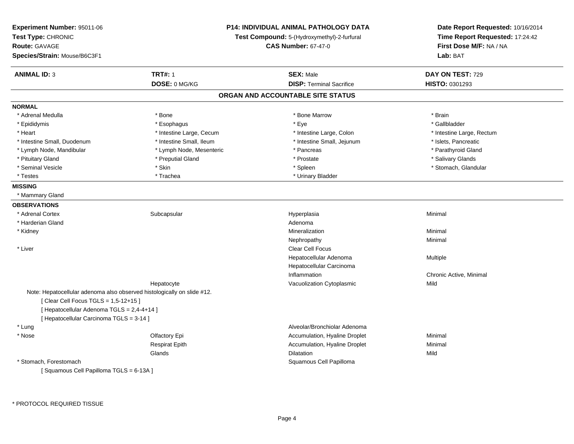| Experiment Number: 95011-06<br>Test Type: CHRONIC<br><b>Route: GAVAGE</b><br>Species/Strain: Mouse/B6C3F1 | P14: INDIVIDUAL ANIMAL PATHOLOGY DATA<br>Test Compound: 5-(Hydroxymethyl)-2-furfural<br><b>CAS Number: 67-47-0</b> | Date Report Requested: 10/16/2014<br>Time Report Requested: 17:24:42<br>First Dose M/F: NA / NA<br>Lab: BAT |
|-----------------------------------------------------------------------------------------------------------|--------------------------------------------------------------------------------------------------------------------|-------------------------------------------------------------------------------------------------------------|
| <b>ANIMAL ID: 3</b><br><b>TRT#: 1</b>                                                                     | <b>SEX: Male</b>                                                                                                   | DAY ON TEST: 729                                                                                            |
| DOSE: 0 MG/KG                                                                                             | <b>DISP: Terminal Sacrifice</b>                                                                                    | HISTO: 0301293                                                                                              |
|                                                                                                           | ORGAN AND ACCOUNTABLE SITE STATUS                                                                                  |                                                                                                             |
| <b>NORMAL</b>                                                                                             |                                                                                                                    |                                                                                                             |
| * Adrenal Medulla<br>* Bone                                                                               | * Bone Marrow                                                                                                      | * Brain                                                                                                     |
| * Epididymis<br>* Esophagus                                                                               | * Eye                                                                                                              | * Gallbladder                                                                                               |
| * Heart<br>* Intestine Large, Cecum                                                                       | * Intestine Large, Colon                                                                                           | * Intestine Large, Rectum                                                                                   |
| * Intestine Small, Ileum<br>* Intestine Small, Duodenum                                                   | * Intestine Small, Jejunum                                                                                         | * Islets, Pancreatic                                                                                        |
| * Lymph Node, Mesenteric<br>* Lymph Node, Mandibular                                                      | * Pancreas                                                                                                         | * Parathyroid Gland                                                                                         |
| * Pituitary Gland<br>* Preputial Gland                                                                    | * Prostate                                                                                                         | * Salivary Glands                                                                                           |
| * Skin<br>* Seminal Vesicle                                                                               | * Spleen                                                                                                           | * Stomach, Glandular                                                                                        |
| * Testes<br>* Trachea                                                                                     | * Urinary Bladder                                                                                                  |                                                                                                             |
| <b>MISSING</b>                                                                                            |                                                                                                                    |                                                                                                             |
| * Mammary Gland                                                                                           |                                                                                                                    |                                                                                                             |
| <b>OBSERVATIONS</b>                                                                                       |                                                                                                                    |                                                                                                             |
| * Adrenal Cortex<br>Subcapsular                                                                           | Hyperplasia                                                                                                        | Minimal                                                                                                     |
| * Harderian Gland                                                                                         | Adenoma                                                                                                            |                                                                                                             |
| * Kidney                                                                                                  | Mineralization                                                                                                     | Minimal                                                                                                     |
|                                                                                                           | Nephropathy                                                                                                        | Minimal                                                                                                     |
| * Liver                                                                                                   | <b>Clear Cell Focus</b>                                                                                            |                                                                                                             |
|                                                                                                           | Hepatocellular Adenoma                                                                                             | Multiple                                                                                                    |
|                                                                                                           | Hepatocellular Carcinoma                                                                                           |                                                                                                             |
|                                                                                                           | Inflammation                                                                                                       | Chronic Active, Minimal                                                                                     |
| Hepatocyte                                                                                                | Vacuolization Cytoplasmic                                                                                          | Mild                                                                                                        |
| Note: Hepatocellular adenoma also observed histologically on slide #12.                                   |                                                                                                                    |                                                                                                             |
| [ Clear Cell Focus TGLS = 1,5-12+15 ]                                                                     |                                                                                                                    |                                                                                                             |
| [ Hepatocellular Adenoma TGLS = 2,4-4+14 ]                                                                |                                                                                                                    |                                                                                                             |
| [ Hepatocellular Carcinoma TGLS = 3-14 ]                                                                  |                                                                                                                    |                                                                                                             |
| * Lung                                                                                                    | Alveolar/Bronchiolar Adenoma                                                                                       |                                                                                                             |
| * Nose<br>Olfactory Epi                                                                                   | Accumulation, Hyaline Droplet                                                                                      | Minimal                                                                                                     |
| <b>Respirat Epith</b>                                                                                     | Accumulation, Hyaline Droplet                                                                                      | Minimal                                                                                                     |
| Glands                                                                                                    | Dilatation                                                                                                         | Mild                                                                                                        |
| * Stomach, Forestomach                                                                                    | Squamous Cell Papilloma                                                                                            |                                                                                                             |
| [Squamous Cell Papilloma TGLS = 6-13A]                                                                    |                                                                                                                    |                                                                                                             |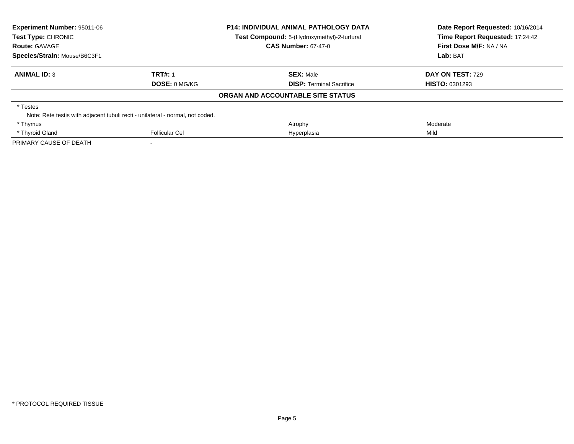| <b>Experiment Number: 95011-06</b>                                             |                       | <b>P14: INDIVIDUAL ANIMAL PATHOLOGY DATA</b>                              | Date Report Requested: 10/16/2014<br>Time Report Requested: 17:24:42 |  |
|--------------------------------------------------------------------------------|-----------------------|---------------------------------------------------------------------------|----------------------------------------------------------------------|--|
| Test Type: CHRONIC<br><b>Route: GAVAGE</b>                                     |                       | Test Compound: 5-(Hydroxymethyl)-2-furfural<br><b>CAS Number: 67-47-0</b> | First Dose M/F: NA / NA                                              |  |
|                                                                                |                       |                                                                           |                                                                      |  |
| Species/Strain: Mouse/B6C3F1                                                   |                       |                                                                           | Lab: BAT                                                             |  |
| <b>ANIMAL ID: 3</b>                                                            | <b>TRT#: 1</b>        | <b>SEX: Male</b>                                                          | <b>DAY ON TEST: 729</b>                                              |  |
|                                                                                | DOSE: 0 MG/KG         | <b>DISP:</b> Terminal Sacrifice                                           | <b>HISTO: 0301293</b>                                                |  |
|                                                                                |                       | ORGAN AND ACCOUNTABLE SITE STATUS                                         |                                                                      |  |
| * Testes                                                                       |                       |                                                                           |                                                                      |  |
| Note: Rete testis with adjacent tubuli recti - unilateral - normal, not coded. |                       |                                                                           |                                                                      |  |
| * Thymus                                                                       |                       | Atrophy                                                                   | Moderate                                                             |  |
| * Thyroid Gland                                                                | <b>Follicular Cel</b> | Hyperplasia                                                               | Mild                                                                 |  |
| PRIMARY CAUSE OF DEATH                                                         |                       |                                                                           |                                                                      |  |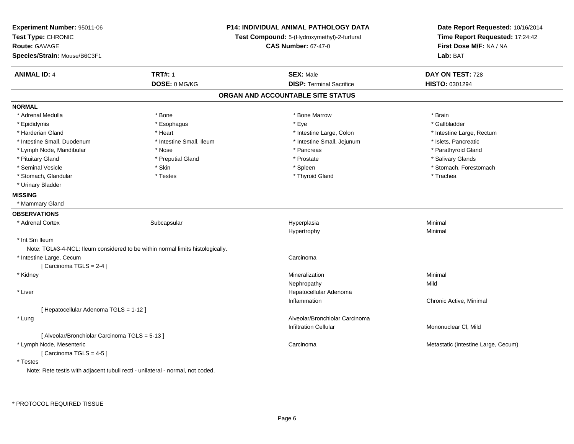| Experiment Number: 95011-06<br>Test Type: CHRONIC<br>Route: GAVAGE<br>Species/Strain: Mouse/B6C3F1 |                                                                                | P14: INDIVIDUAL ANIMAL PATHOLOGY DATA<br>Test Compound: 5-(Hydroxymethyl)-2-furfural<br><b>CAS Number: 67-47-0</b> | Date Report Requested: 10/16/2014<br>Time Report Requested: 17:24:42<br>First Dose M/F: NA / NA<br>Lab: BAT |
|----------------------------------------------------------------------------------------------------|--------------------------------------------------------------------------------|--------------------------------------------------------------------------------------------------------------------|-------------------------------------------------------------------------------------------------------------|
| <b>ANIMAL ID: 4</b>                                                                                | <b>TRT#: 1</b>                                                                 | <b>SEX: Male</b>                                                                                                   | DAY ON TEST: 728                                                                                            |
|                                                                                                    | DOSE: 0 MG/KG                                                                  | <b>DISP: Terminal Sacrifice</b>                                                                                    | HISTO: 0301294                                                                                              |
|                                                                                                    |                                                                                | ORGAN AND ACCOUNTABLE SITE STATUS                                                                                  |                                                                                                             |
| <b>NORMAL</b>                                                                                      |                                                                                |                                                                                                                    |                                                                                                             |
| * Adrenal Medulla                                                                                  | * Bone                                                                         | * Bone Marrow                                                                                                      | * Brain                                                                                                     |
| * Epididymis                                                                                       | * Esophagus                                                                    | * Eye                                                                                                              | * Gallbladder                                                                                               |
| * Harderian Gland                                                                                  | * Heart                                                                        | * Intestine Large, Colon                                                                                           | * Intestine Large, Rectum                                                                                   |
| * Intestine Small, Duodenum                                                                        | * Intestine Small, Ileum                                                       | * Intestine Small, Jejunum                                                                                         | * Islets, Pancreatic                                                                                        |
| * Lymph Node, Mandibular                                                                           | * Nose                                                                         | * Pancreas                                                                                                         | * Parathyroid Gland                                                                                         |
| * Pituitary Gland                                                                                  | * Preputial Gland                                                              | * Prostate                                                                                                         | * Salivary Glands                                                                                           |
| * Seminal Vesicle                                                                                  | * Skin                                                                         | * Spleen                                                                                                           | * Stomach, Forestomach                                                                                      |
| * Stomach, Glandular                                                                               | * Testes                                                                       | * Thyroid Gland                                                                                                    | * Trachea                                                                                                   |
| * Urinary Bladder                                                                                  |                                                                                |                                                                                                                    |                                                                                                             |
| <b>MISSING</b>                                                                                     |                                                                                |                                                                                                                    |                                                                                                             |
| * Mammary Gland                                                                                    |                                                                                |                                                                                                                    |                                                                                                             |
| <b>OBSERVATIONS</b>                                                                                |                                                                                |                                                                                                                    |                                                                                                             |
| * Adrenal Cortex                                                                                   | Subcapsular                                                                    | Hyperplasia                                                                                                        | Minimal                                                                                                     |
|                                                                                                    |                                                                                | Hypertrophy                                                                                                        | Minimal                                                                                                     |
| * Int Sm Ileum                                                                                     |                                                                                |                                                                                                                    |                                                                                                             |
|                                                                                                    | Note: TGL#3-4-NCL: Ileum considered to be within normal limits histologically. |                                                                                                                    |                                                                                                             |
| * Intestine Large, Cecum                                                                           |                                                                                | Carcinoma                                                                                                          |                                                                                                             |
| [ Carcinoma TGLS = 2-4 ]                                                                           |                                                                                |                                                                                                                    |                                                                                                             |
| * Kidney                                                                                           |                                                                                | Mineralization                                                                                                     | Minimal                                                                                                     |
|                                                                                                    |                                                                                | Nephropathy                                                                                                        | Mild                                                                                                        |
| * Liver                                                                                            |                                                                                | Hepatocellular Adenoma                                                                                             |                                                                                                             |
|                                                                                                    |                                                                                | Inflammation                                                                                                       | Chronic Active, Minimal                                                                                     |
| [ Hepatocellular Adenoma TGLS = 1-12 ]                                                             |                                                                                |                                                                                                                    |                                                                                                             |
| * Lung                                                                                             |                                                                                | Alveolar/Bronchiolar Carcinoma                                                                                     |                                                                                                             |
|                                                                                                    |                                                                                | <b>Infiltration Cellular</b>                                                                                       | Mononuclear CI, Mild                                                                                        |
| [ Alveolar/Bronchiolar Carcinoma TGLS = 5-13 ]                                                     |                                                                                |                                                                                                                    |                                                                                                             |
| * Lymph Node, Mesenteric                                                                           |                                                                                | Carcinoma                                                                                                          | Metastatic (Intestine Large, Cecum)                                                                         |
| [Carcinoma TGLS = 4-5]                                                                             |                                                                                |                                                                                                                    |                                                                                                             |
| $^\star$ Testes                                                                                    |                                                                                |                                                                                                                    |                                                                                                             |
| Note: Rete testis with adjacent tubuli recti - unilateral - normal, not coded.                     |                                                                                |                                                                                                                    |                                                                                                             |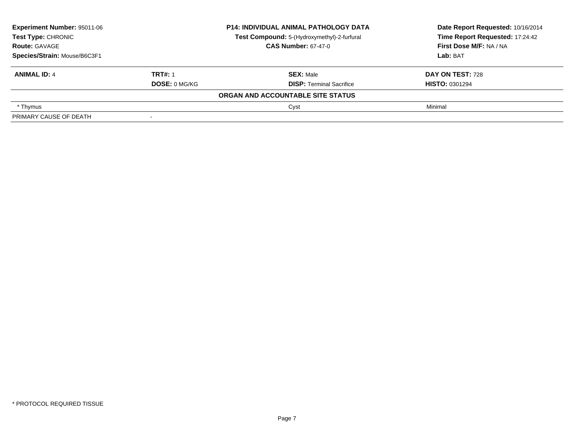| Experiment Number: 95011-06<br>Test Type: CHRONIC<br><b>Route: GAVAGE</b><br>Species/Strain: Mouse/B6C3F1 |                      | <b>P14: INDIVIDUAL ANIMAL PATHOLOGY DATA</b> | Date Report Requested: 10/16/2014<br>Time Report Requested: 17:24:42<br>First Dose M/F: NA / NA |
|-----------------------------------------------------------------------------------------------------------|----------------------|----------------------------------------------|-------------------------------------------------------------------------------------------------|
|                                                                                                           |                      | Test Compound: 5-(Hydroxymethyl)-2-furfural  |                                                                                                 |
|                                                                                                           |                      | <b>CAS Number: 67-47-0</b>                   |                                                                                                 |
|                                                                                                           |                      |                                              | Lab: BAT                                                                                        |
| <b>ANIMAL ID: 4</b>                                                                                       | <b>TRT#: 1</b>       | <b>SEX: Male</b>                             | DAY ON TEST: 728                                                                                |
|                                                                                                           | <b>DOSE: 0 MG/KG</b> | <b>DISP:</b> Terminal Sacrifice              | <b>HISTO: 0301294</b>                                                                           |
|                                                                                                           |                      | ORGAN AND ACCOUNTABLE SITE STATUS            |                                                                                                 |
| * Thymus                                                                                                  |                      | Cyst                                         | Minimal                                                                                         |
| PRIMARY CAUSE OF DEATH                                                                                    |                      |                                              |                                                                                                 |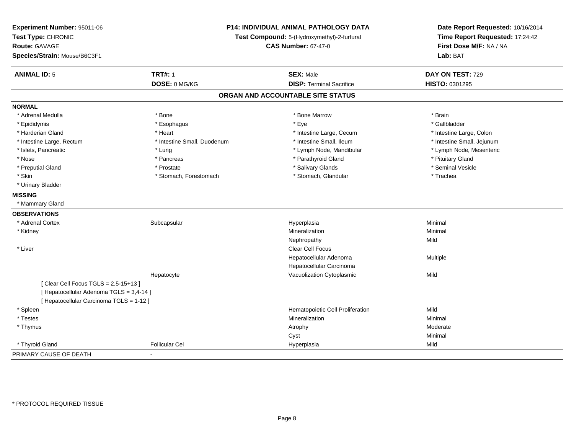| Experiment Number: 95011-06<br>Test Type: CHRONIC<br><b>Route: GAVAGE</b><br>Species/Strain: Mouse/B6C3F1 | P14: INDIVIDUAL ANIMAL PATHOLOGY DATA<br>Test Compound: 5-(Hydroxymethyl)-2-furfural<br><b>CAS Number: 67-47-0</b> |                                   | Date Report Requested: 10/16/2014<br>Time Report Requested: 17:24:42<br>First Dose M/F: NA / NA<br>Lab: BAT |
|-----------------------------------------------------------------------------------------------------------|--------------------------------------------------------------------------------------------------------------------|-----------------------------------|-------------------------------------------------------------------------------------------------------------|
| <b>ANIMAL ID: 5</b>                                                                                       | <b>TRT#: 1</b>                                                                                                     | <b>SEX: Male</b>                  | DAY ON TEST: 729                                                                                            |
|                                                                                                           | DOSE: 0 MG/KG                                                                                                      | <b>DISP: Terminal Sacrifice</b>   | HISTO: 0301295                                                                                              |
|                                                                                                           |                                                                                                                    | ORGAN AND ACCOUNTABLE SITE STATUS |                                                                                                             |
| <b>NORMAL</b>                                                                                             |                                                                                                                    |                                   |                                                                                                             |
| * Adrenal Medulla                                                                                         | * Bone                                                                                                             | * Bone Marrow                     | * Brain                                                                                                     |
| * Epididymis                                                                                              | * Esophagus                                                                                                        | * Eye                             | * Gallbladder                                                                                               |
| * Harderian Gland                                                                                         | * Heart                                                                                                            | * Intestine Large, Cecum          | * Intestine Large, Colon                                                                                    |
| * Intestine Large, Rectum                                                                                 | * Intestine Small, Duodenum                                                                                        | * Intestine Small, Ileum          | * Intestine Small, Jejunum                                                                                  |
| * Islets, Pancreatic                                                                                      | * Lung                                                                                                             | * Lymph Node, Mandibular          | * Lymph Node, Mesenteric                                                                                    |
| * Nose                                                                                                    | * Pancreas                                                                                                         | * Parathyroid Gland               | * Pituitary Gland                                                                                           |
| * Preputial Gland                                                                                         | * Prostate                                                                                                         | * Salivary Glands                 | * Seminal Vesicle                                                                                           |
| * Skin                                                                                                    | * Stomach, Forestomach                                                                                             | * Stomach, Glandular              | * Trachea                                                                                                   |
| * Urinary Bladder                                                                                         |                                                                                                                    |                                   |                                                                                                             |
| <b>MISSING</b>                                                                                            |                                                                                                                    |                                   |                                                                                                             |
| * Mammary Gland                                                                                           |                                                                                                                    |                                   |                                                                                                             |
| <b>OBSERVATIONS</b>                                                                                       |                                                                                                                    |                                   |                                                                                                             |
| * Adrenal Cortex                                                                                          | Subcapsular                                                                                                        | Hyperplasia                       | Minimal                                                                                                     |
| * Kidney                                                                                                  |                                                                                                                    | Mineralization                    | Minimal                                                                                                     |
|                                                                                                           |                                                                                                                    | Nephropathy                       | Mild                                                                                                        |
| * Liver                                                                                                   |                                                                                                                    | Clear Cell Focus                  |                                                                                                             |
|                                                                                                           |                                                                                                                    | Hepatocellular Adenoma            | Multiple                                                                                                    |
|                                                                                                           |                                                                                                                    | Hepatocellular Carcinoma          |                                                                                                             |
|                                                                                                           | Hepatocyte                                                                                                         | Vacuolization Cytoplasmic         | Mild                                                                                                        |
| [ Clear Cell Focus TGLS = 2,5-15+13 ]<br>[ Hepatocellular Adenoma TGLS = 3,4-14 ]                         |                                                                                                                    |                                   |                                                                                                             |
| [ Hepatocellular Carcinoma TGLS = 1-12 ]                                                                  |                                                                                                                    |                                   |                                                                                                             |
| * Spleen                                                                                                  |                                                                                                                    | Hematopoietic Cell Proliferation  | Mild                                                                                                        |
| * Testes                                                                                                  |                                                                                                                    | Mineralization                    | Minimal                                                                                                     |
| * Thymus                                                                                                  |                                                                                                                    | Atrophy                           | Moderate                                                                                                    |
|                                                                                                           |                                                                                                                    | Cyst                              | Minimal                                                                                                     |
| * Thyroid Gland                                                                                           | <b>Follicular Cel</b>                                                                                              | Hyperplasia                       | Mild                                                                                                        |
| PRIMARY CAUSE OF DEATH                                                                                    | $\overline{a}$                                                                                                     |                                   |                                                                                                             |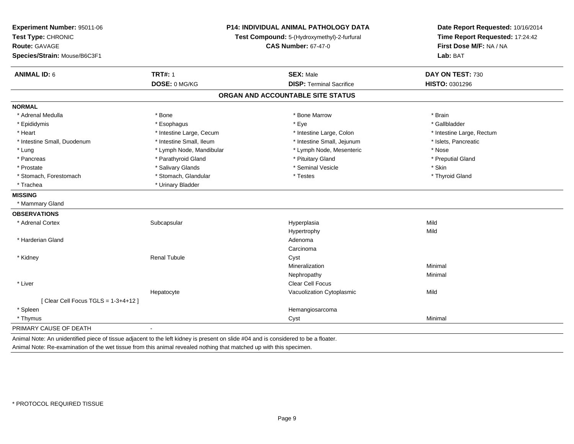| Experiment Number: 95011-06<br>Test Type: CHRONIC<br><b>Route: GAVAGE</b><br>Species/Strain: Mouse/B6C3F1 | <b>P14: INDIVIDUAL ANIMAL PATHOLOGY DATA</b><br>Test Compound: 5-(Hydroxymethyl)-2-furfural<br><b>CAS Number: 67-47-0</b> |                                   | Date Report Requested: 10/16/2014<br>Time Report Requested: 17:24:42<br>First Dose M/F: NA / NA<br>Lab: BAT |  |
|-----------------------------------------------------------------------------------------------------------|---------------------------------------------------------------------------------------------------------------------------|-----------------------------------|-------------------------------------------------------------------------------------------------------------|--|
| <b>ANIMAL ID: 6</b>                                                                                       | <b>TRT#: 1</b>                                                                                                            | <b>SEX: Male</b>                  | DAY ON TEST: 730                                                                                            |  |
|                                                                                                           | DOSE: 0 MG/KG                                                                                                             | <b>DISP: Terminal Sacrifice</b>   | HISTO: 0301296                                                                                              |  |
|                                                                                                           |                                                                                                                           | ORGAN AND ACCOUNTABLE SITE STATUS |                                                                                                             |  |
| <b>NORMAL</b>                                                                                             |                                                                                                                           |                                   |                                                                                                             |  |
| * Adrenal Medulla                                                                                         | * Bone                                                                                                                    | * Bone Marrow                     | * Brain                                                                                                     |  |
| * Epididymis                                                                                              | * Esophagus                                                                                                               | * Eye                             | * Gallbladder                                                                                               |  |
| * Heart                                                                                                   | * Intestine Large, Cecum                                                                                                  | * Intestine Large, Colon          | * Intestine Large, Rectum                                                                                   |  |
| * Intestine Small, Duodenum                                                                               | * Intestine Small, Ileum                                                                                                  | * Intestine Small, Jejunum        | * Islets, Pancreatic                                                                                        |  |
| * Lung                                                                                                    | * Lymph Node, Mandibular                                                                                                  | * Lymph Node, Mesenteric          | * Nose                                                                                                      |  |
| * Pancreas                                                                                                | * Parathyroid Gland                                                                                                       | * Pituitary Gland                 | * Preputial Gland                                                                                           |  |
| * Prostate                                                                                                | * Salivary Glands                                                                                                         | * Seminal Vesicle                 | * Skin                                                                                                      |  |
| * Stomach, Forestomach                                                                                    | * Stomach, Glandular                                                                                                      | * Testes                          | * Thyroid Gland                                                                                             |  |
| * Trachea                                                                                                 | * Urinary Bladder                                                                                                         |                                   |                                                                                                             |  |
| <b>MISSING</b>                                                                                            |                                                                                                                           |                                   |                                                                                                             |  |
| * Mammary Gland                                                                                           |                                                                                                                           |                                   |                                                                                                             |  |
| <b>OBSERVATIONS</b>                                                                                       |                                                                                                                           |                                   |                                                                                                             |  |
| * Adrenal Cortex                                                                                          | Subcapsular                                                                                                               | Hyperplasia                       | Mild                                                                                                        |  |
|                                                                                                           |                                                                                                                           | Hypertrophy                       | Mild                                                                                                        |  |
| * Harderian Gland                                                                                         |                                                                                                                           | Adenoma                           |                                                                                                             |  |
|                                                                                                           |                                                                                                                           | Carcinoma                         |                                                                                                             |  |
| * Kidney                                                                                                  | <b>Renal Tubule</b>                                                                                                       | Cyst                              |                                                                                                             |  |
|                                                                                                           |                                                                                                                           | Mineralization                    | Minimal                                                                                                     |  |
|                                                                                                           |                                                                                                                           | Nephropathy                       | Minimal                                                                                                     |  |
| * Liver                                                                                                   |                                                                                                                           | Clear Cell Focus                  |                                                                                                             |  |
|                                                                                                           | Hepatocyte                                                                                                                | Vacuolization Cytoplasmic         | Mild                                                                                                        |  |
| [ Clear Cell Focus TGLS = 1-3+4+12 ]                                                                      |                                                                                                                           |                                   |                                                                                                             |  |
| * Spleen                                                                                                  |                                                                                                                           | Hemangiosarcoma                   |                                                                                                             |  |
| * Thymus                                                                                                  |                                                                                                                           | Cyst                              | Minimal                                                                                                     |  |
| PRIMARY CAUSE OF DEATH                                                                                    | $\blacksquare$                                                                                                            |                                   |                                                                                                             |  |
|                                                                                                           |                                                                                                                           |                                   |                                                                                                             |  |

Animal Note: An unidentified piece of tissue adjacent to the left kidney is present on slide #04 and is considered to be a floater.

Animal Note: Re-examination of the wet tissue from this animal revealed nothing that matched up with this specimen.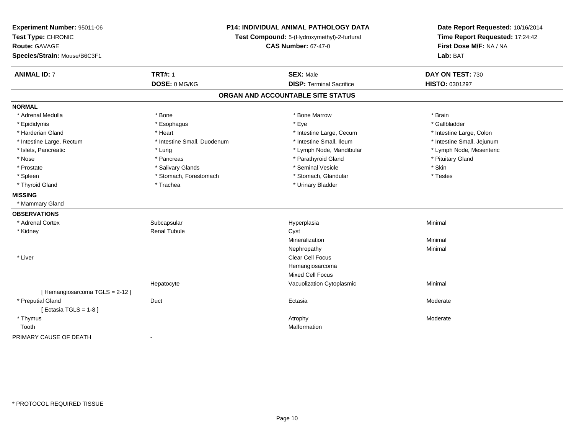| Experiment Number: 95011-06<br>Test Type: CHRONIC<br>Route: GAVAGE<br>Species/Strain: Mouse/B6C3F1 | P14: INDIVIDUAL ANIMAL PATHOLOGY DATA<br>Test Compound: 5-(Hydroxymethyl)-2-furfural<br><b>CAS Number: 67-47-0</b> |                                   | Date Report Requested: 10/16/2014<br>Time Report Requested: 17:24:42<br>First Dose M/F: NA / NA<br>Lab: BAT |  |
|----------------------------------------------------------------------------------------------------|--------------------------------------------------------------------------------------------------------------------|-----------------------------------|-------------------------------------------------------------------------------------------------------------|--|
| <b>ANIMAL ID: 7</b>                                                                                | <b>TRT#: 1</b>                                                                                                     | <b>SEX: Male</b>                  | DAY ON TEST: 730                                                                                            |  |
|                                                                                                    | DOSE: 0 MG/KG                                                                                                      | <b>DISP: Terminal Sacrifice</b>   | HISTO: 0301297                                                                                              |  |
|                                                                                                    |                                                                                                                    | ORGAN AND ACCOUNTABLE SITE STATUS |                                                                                                             |  |
| <b>NORMAL</b>                                                                                      |                                                                                                                    |                                   |                                                                                                             |  |
| * Adrenal Medulla                                                                                  | * Bone                                                                                                             | * Bone Marrow                     | * Brain                                                                                                     |  |
| * Epididymis                                                                                       | * Esophagus                                                                                                        | * Eye                             | * Gallbladder                                                                                               |  |
| * Harderian Gland                                                                                  | * Heart                                                                                                            | * Intestine Large, Cecum          | * Intestine Large, Colon                                                                                    |  |
| * Intestine Large, Rectum                                                                          | * Intestine Small, Duodenum                                                                                        | * Intestine Small, Ileum          | * Intestine Small, Jejunum                                                                                  |  |
| * Islets, Pancreatic                                                                               | * Lung                                                                                                             | * Lymph Node, Mandibular          | * Lymph Node, Mesenteric                                                                                    |  |
| * Nose                                                                                             | * Pancreas                                                                                                         | * Parathyroid Gland               | * Pituitary Gland                                                                                           |  |
| * Prostate                                                                                         | * Salivary Glands                                                                                                  | * Seminal Vesicle                 | * Skin                                                                                                      |  |
| * Spleen                                                                                           | * Stomach, Forestomach                                                                                             | * Stomach, Glandular              | * Testes                                                                                                    |  |
| * Thyroid Gland                                                                                    | * Trachea                                                                                                          | * Urinary Bladder                 |                                                                                                             |  |
| <b>MISSING</b>                                                                                     |                                                                                                                    |                                   |                                                                                                             |  |
| * Mammary Gland                                                                                    |                                                                                                                    |                                   |                                                                                                             |  |
| <b>OBSERVATIONS</b>                                                                                |                                                                                                                    |                                   |                                                                                                             |  |
| * Adrenal Cortex                                                                                   | Subcapsular                                                                                                        | Hyperplasia                       | Minimal                                                                                                     |  |
| * Kidney                                                                                           | <b>Renal Tubule</b>                                                                                                | Cyst                              |                                                                                                             |  |
|                                                                                                    |                                                                                                                    | Mineralization                    | Minimal                                                                                                     |  |
|                                                                                                    |                                                                                                                    | Nephropathy                       | Minimal                                                                                                     |  |
| * Liver                                                                                            |                                                                                                                    | Clear Cell Focus                  |                                                                                                             |  |
|                                                                                                    |                                                                                                                    | Hemangiosarcoma                   |                                                                                                             |  |
|                                                                                                    |                                                                                                                    | Mixed Cell Focus                  |                                                                                                             |  |
|                                                                                                    | Hepatocyte                                                                                                         | Vacuolization Cytoplasmic         | Minimal                                                                                                     |  |
| [Hemangiosarcoma TGLS = 2-12]                                                                      |                                                                                                                    |                                   |                                                                                                             |  |
| * Preputial Gland                                                                                  | Duct                                                                                                               | Ectasia                           | Moderate                                                                                                    |  |
| [ Ectasia TGLS = $1-8$ ]                                                                           |                                                                                                                    |                                   |                                                                                                             |  |
| * Thymus                                                                                           |                                                                                                                    | Atrophy                           | Moderate                                                                                                    |  |
| Tooth                                                                                              |                                                                                                                    | Malformation                      |                                                                                                             |  |
| PRIMARY CAUSE OF DEATH                                                                             | $\overline{\phantom{a}}$                                                                                           |                                   |                                                                                                             |  |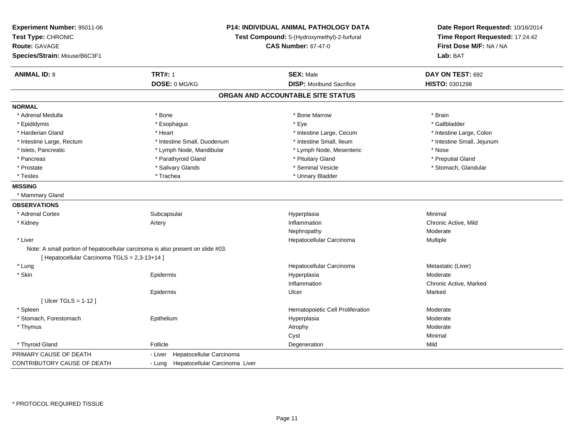| Experiment Number: 95011-06<br>Test Type: CHRONIC<br>Route: GAVAGE<br>Species/Strain: Mouse/B6C3F1 | <b>P14: INDIVIDUAL ANIMAL PATHOLOGY DATA</b><br>Test Compound: 5-(Hydroxymethyl)-2-furfural<br><b>CAS Number: 67-47-0</b> |                                   | Date Report Requested: 10/16/2014<br>Time Report Requested: 17:24:42<br>First Dose M/F: NA / NA<br>Lab: BAT |  |
|----------------------------------------------------------------------------------------------------|---------------------------------------------------------------------------------------------------------------------------|-----------------------------------|-------------------------------------------------------------------------------------------------------------|--|
| <b>ANIMAL ID: 8</b>                                                                                | <b>TRT#: 1</b>                                                                                                            | <b>SEX: Male</b>                  | DAY ON TEST: 692                                                                                            |  |
|                                                                                                    | DOSE: 0 MG/KG                                                                                                             | <b>DISP:</b> Moribund Sacrifice   | HISTO: 0301298                                                                                              |  |
|                                                                                                    |                                                                                                                           | ORGAN AND ACCOUNTABLE SITE STATUS |                                                                                                             |  |
| <b>NORMAL</b>                                                                                      |                                                                                                                           |                                   |                                                                                                             |  |
| * Adrenal Medulla                                                                                  | * Bone                                                                                                                    | * Bone Marrow                     | * Brain                                                                                                     |  |
| * Epididymis                                                                                       | * Esophagus                                                                                                               | * Eye                             | * Gallbladder                                                                                               |  |
| * Harderian Gland                                                                                  | * Heart                                                                                                                   | * Intestine Large, Cecum          | * Intestine Large, Colon                                                                                    |  |
| * Intestine Large, Rectum                                                                          | * Intestine Small, Duodenum                                                                                               | * Intestine Small, Ileum          | * Intestine Small, Jejunum                                                                                  |  |
| * Islets, Pancreatic                                                                               | * Lymph Node, Mandibular                                                                                                  | * Lymph Node, Mesenteric          | * Nose                                                                                                      |  |
| * Pancreas                                                                                         | * Parathyroid Gland                                                                                                       | * Pituitary Gland                 | * Preputial Gland                                                                                           |  |
| * Prostate                                                                                         | * Salivary Glands                                                                                                         | * Seminal Vesicle                 | * Stomach, Glandular                                                                                        |  |
| * Testes                                                                                           | * Trachea                                                                                                                 | * Urinary Bladder                 |                                                                                                             |  |
| <b>MISSING</b>                                                                                     |                                                                                                                           |                                   |                                                                                                             |  |
| * Mammary Gland                                                                                    |                                                                                                                           |                                   |                                                                                                             |  |
| <b>OBSERVATIONS</b>                                                                                |                                                                                                                           |                                   |                                                                                                             |  |
| * Adrenal Cortex                                                                                   | Subcapsular                                                                                                               | Hyperplasia                       | Minimal                                                                                                     |  |
| * Kidney                                                                                           | Artery                                                                                                                    | Inflammation                      | Chronic Active, Mild                                                                                        |  |
|                                                                                                    |                                                                                                                           | Nephropathy                       | Moderate                                                                                                    |  |
| * Liver                                                                                            |                                                                                                                           | Hepatocellular Carcinoma          | Multiple                                                                                                    |  |
| Note: A small portion of hepatocellular carcinoma is also present on slide #03.                    |                                                                                                                           |                                   |                                                                                                             |  |
| [ Hepatocellular Carcinoma TGLS = 2,3-13+14 ]                                                      |                                                                                                                           |                                   |                                                                                                             |  |
| * Lung                                                                                             |                                                                                                                           | Hepatocellular Carcinoma          | Metastatic (Liver)                                                                                          |  |
| * Skin                                                                                             | Epidermis                                                                                                                 | Hyperplasia                       | Moderate                                                                                                    |  |
|                                                                                                    |                                                                                                                           | Inflammation                      | Chronic Active, Marked                                                                                      |  |
|                                                                                                    | Epidermis                                                                                                                 | Ulcer                             | Marked                                                                                                      |  |
| [ $Ulecr$ TGLS = 1-12 ]                                                                            |                                                                                                                           |                                   |                                                                                                             |  |
| * Spleen                                                                                           |                                                                                                                           | Hematopoietic Cell Proliferation  | Moderate                                                                                                    |  |
| * Stomach, Forestomach                                                                             | Epithelium                                                                                                                | Hyperplasia                       | Moderate                                                                                                    |  |
| * Thymus                                                                                           |                                                                                                                           | Atrophy                           | Moderate                                                                                                    |  |
|                                                                                                    |                                                                                                                           | Cyst                              | Minimal                                                                                                     |  |
| * Thyroid Gland                                                                                    | Follicle                                                                                                                  | Degeneration                      | Mild                                                                                                        |  |
| PRIMARY CAUSE OF DEATH                                                                             | Hepatocellular Carcinoma<br>- Liver                                                                                       |                                   |                                                                                                             |  |
| CONTRIBUTORY CAUSE OF DEATH                                                                        | - Lung Hepatocellular Carcinoma Liver                                                                                     |                                   |                                                                                                             |  |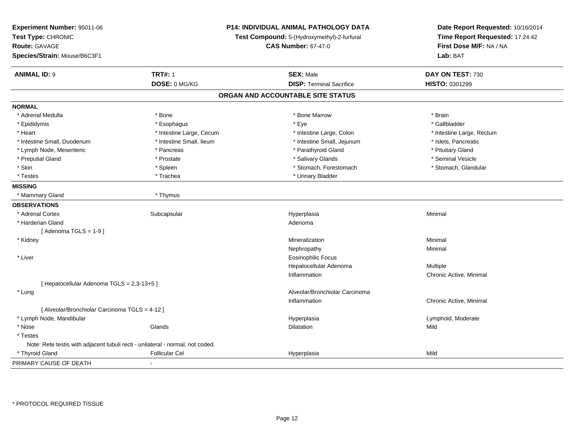| Experiment Number: 95011-06<br>Test Type: CHRONIC<br><b>Route: GAVAGE</b><br>Species/Strain: Mouse/B6C3F1 |                          | P14: INDIVIDUAL ANIMAL PATHOLOGY DATA<br>Test Compound: 5-(Hydroxymethyl)-2-furfural<br><b>CAS Number: 67-47-0</b> | Date Report Requested: 10/16/2014<br>Time Report Requested: 17:24:42<br>First Dose M/F: NA / NA<br>Lab: BAT |
|-----------------------------------------------------------------------------------------------------------|--------------------------|--------------------------------------------------------------------------------------------------------------------|-------------------------------------------------------------------------------------------------------------|
| <b>ANIMAL ID: 9</b>                                                                                       | <b>TRT#: 1</b>           | <b>SEX: Male</b>                                                                                                   | DAY ON TEST: 730                                                                                            |
|                                                                                                           | DOSE: 0 MG/KG            | <b>DISP: Terminal Sacrifice</b>                                                                                    | HISTO: 0301299                                                                                              |
|                                                                                                           |                          | ORGAN AND ACCOUNTABLE SITE STATUS                                                                                  |                                                                                                             |
| <b>NORMAL</b>                                                                                             |                          |                                                                                                                    |                                                                                                             |
| * Adrenal Medulla                                                                                         | * Bone                   | * Bone Marrow                                                                                                      | * Brain                                                                                                     |
| * Epididymis                                                                                              | * Esophagus              | * Eye                                                                                                              | * Gallbladder                                                                                               |
| * Heart                                                                                                   | * Intestine Large, Cecum | * Intestine Large, Colon                                                                                           | * Intestine Large, Rectum                                                                                   |
| * Intestine Small, Duodenum                                                                               | * Intestine Small, Ileum | * Intestine Small, Jejunum                                                                                         | * Islets, Pancreatic                                                                                        |
| * Lymph Node, Mesenteric                                                                                  | * Pancreas               | * Parathyroid Gland                                                                                                | * Pituitary Gland                                                                                           |
| * Preputial Gland                                                                                         | * Prostate               | * Salivary Glands                                                                                                  | * Seminal Vesicle                                                                                           |
| * Skin                                                                                                    | * Spleen                 | * Stomach, Forestomach                                                                                             | * Stomach, Glandular                                                                                        |
| * Testes                                                                                                  | * Trachea                | * Urinary Bladder                                                                                                  |                                                                                                             |
| <b>MISSING</b>                                                                                            |                          |                                                                                                                    |                                                                                                             |
| * Mammary Gland                                                                                           | * Thymus                 |                                                                                                                    |                                                                                                             |
| <b>OBSERVATIONS</b>                                                                                       |                          |                                                                                                                    |                                                                                                             |
| * Adrenal Cortex                                                                                          | Subcapsular              | Hyperplasia                                                                                                        | Minimal                                                                                                     |
| * Harderian Gland                                                                                         |                          | Adenoma                                                                                                            |                                                                                                             |
| [Adenoma TGLS = $1-9$ ]                                                                                   |                          |                                                                                                                    |                                                                                                             |
| * Kidney                                                                                                  |                          | Mineralization                                                                                                     | Minimal                                                                                                     |
|                                                                                                           |                          | Nephropathy                                                                                                        | Minimal                                                                                                     |
| * Liver                                                                                                   |                          | <b>Eosinophilic Focus</b>                                                                                          |                                                                                                             |
|                                                                                                           |                          | Hepatocellular Adenoma                                                                                             | Multiple                                                                                                    |
|                                                                                                           |                          | Inflammation                                                                                                       | Chronic Active, Minimal                                                                                     |
| [ Hepatocellular Adenoma TGLS = 2,3-13+5 ]                                                                |                          |                                                                                                                    |                                                                                                             |
| * Lung                                                                                                    |                          | Alveolar/Bronchiolar Carcinoma                                                                                     |                                                                                                             |
|                                                                                                           |                          | Inflammation                                                                                                       | Chronic Active, Minimal                                                                                     |
| [ Alveolar/Bronchiolar Carcinoma TGLS = 4-12 ]                                                            |                          |                                                                                                                    |                                                                                                             |
| * Lymph Node, Mandibular                                                                                  |                          | Hyperplasia                                                                                                        | Lymphoid, Moderate                                                                                          |
| * Nose                                                                                                    | Glands                   | Dilatation                                                                                                         | Mild                                                                                                        |
| * Testes                                                                                                  |                          |                                                                                                                    |                                                                                                             |
| Note: Rete testis with adjacent tubuli recti - unilateral - normal, not coded.                            |                          |                                                                                                                    |                                                                                                             |
| * Thyroid Gland                                                                                           | <b>Follicular Cel</b>    | Hyperplasia                                                                                                        | Mild                                                                                                        |
| PRIMARY CAUSE OF DEATH                                                                                    | $\blacksquare$           |                                                                                                                    |                                                                                                             |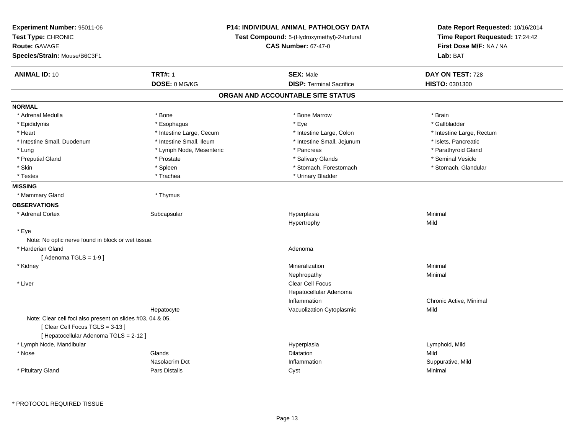| <b>Experiment Number: 95011-06</b><br>Test Type: CHRONIC<br><b>Route: GAVAGE</b><br>Species/Strain: Mouse/B6C3F1                       | P14: INDIVIDUAL ANIMAL PATHOLOGY DATA<br>Test Compound: 5-(Hydroxymethyl)-2-furfural<br><b>CAS Number: 67-47-0</b> |                                   | Date Report Requested: 10/16/2014<br>Time Report Requested: 17:24:42<br>First Dose M/F: NA / NA<br>Lab: BAT |
|----------------------------------------------------------------------------------------------------------------------------------------|--------------------------------------------------------------------------------------------------------------------|-----------------------------------|-------------------------------------------------------------------------------------------------------------|
| <b>ANIMAL ID: 10</b>                                                                                                                   | <b>TRT#: 1</b>                                                                                                     | <b>SEX: Male</b>                  | DAY ON TEST: 728                                                                                            |
|                                                                                                                                        | DOSE: 0 MG/KG                                                                                                      | <b>DISP: Terminal Sacrifice</b>   | HISTO: 0301300                                                                                              |
|                                                                                                                                        |                                                                                                                    | ORGAN AND ACCOUNTABLE SITE STATUS |                                                                                                             |
| <b>NORMAL</b>                                                                                                                          |                                                                                                                    |                                   |                                                                                                             |
| * Adrenal Medulla                                                                                                                      | * Bone                                                                                                             | * Bone Marrow                     | * Brain                                                                                                     |
| * Epididymis                                                                                                                           | * Esophagus                                                                                                        | * Eye                             | * Gallbladder                                                                                               |
| * Heart                                                                                                                                | * Intestine Large, Cecum                                                                                           | * Intestine Large, Colon          | * Intestine Large, Rectum                                                                                   |
| * Intestine Small, Duodenum                                                                                                            | * Intestine Small, Ileum                                                                                           | * Intestine Small, Jejunum        | * Islets, Pancreatic                                                                                        |
| * Lung                                                                                                                                 | * Lymph Node, Mesenteric                                                                                           | * Pancreas                        | * Parathyroid Gland                                                                                         |
| * Preputial Gland                                                                                                                      | * Prostate                                                                                                         | * Salivary Glands                 | * Seminal Vesicle                                                                                           |
| * Skin                                                                                                                                 | * Spleen                                                                                                           | * Stomach, Forestomach            | * Stomach, Glandular                                                                                        |
| * Testes                                                                                                                               | * Trachea                                                                                                          | * Urinary Bladder                 |                                                                                                             |
| <b>MISSING</b>                                                                                                                         |                                                                                                                    |                                   |                                                                                                             |
| * Mammary Gland                                                                                                                        | * Thymus                                                                                                           |                                   |                                                                                                             |
| <b>OBSERVATIONS</b>                                                                                                                    |                                                                                                                    |                                   |                                                                                                             |
| * Adrenal Cortex                                                                                                                       | Subcapsular                                                                                                        | Hyperplasia                       | Minimal                                                                                                     |
|                                                                                                                                        |                                                                                                                    | Hypertrophy                       | Mild                                                                                                        |
| * Eye                                                                                                                                  |                                                                                                                    |                                   |                                                                                                             |
| Note: No optic nerve found in block or wet tissue.                                                                                     |                                                                                                                    |                                   |                                                                                                             |
| * Harderian Gland                                                                                                                      |                                                                                                                    | Adenoma                           |                                                                                                             |
| [Adenoma TGLS = $1-9$ ]                                                                                                                |                                                                                                                    |                                   |                                                                                                             |
| * Kidney                                                                                                                               |                                                                                                                    | Mineralization                    | Minimal                                                                                                     |
|                                                                                                                                        |                                                                                                                    | Nephropathy                       | Minimal                                                                                                     |
| $*$ Liver                                                                                                                              |                                                                                                                    | Clear Cell Focus                  |                                                                                                             |
|                                                                                                                                        |                                                                                                                    | Hepatocellular Adenoma            |                                                                                                             |
|                                                                                                                                        |                                                                                                                    | Inflammation                      | Chronic Active, Minimal                                                                                     |
|                                                                                                                                        | Hepatocyte                                                                                                         | Vacuolization Cytoplasmic         | Mild                                                                                                        |
| Note: Clear cell foci also present on slides #03, 04 & 05.<br>[Clear Cell Focus TGLS = 3-13]<br>[ Hepatocellular Adenoma TGLS = 2-12 ] |                                                                                                                    |                                   |                                                                                                             |
| * Lymph Node, Mandibular                                                                                                               |                                                                                                                    | Hyperplasia                       | Lymphoid, Mild                                                                                              |
| * Nose                                                                                                                                 | Glands                                                                                                             | Dilatation                        | Mild                                                                                                        |
|                                                                                                                                        | Nasolacrim Dct                                                                                                     | Inflammation                      | Suppurative, Mild                                                                                           |
| * Pituitary Gland                                                                                                                      | Pars Distalis                                                                                                      | Cyst                              | Minimal                                                                                                     |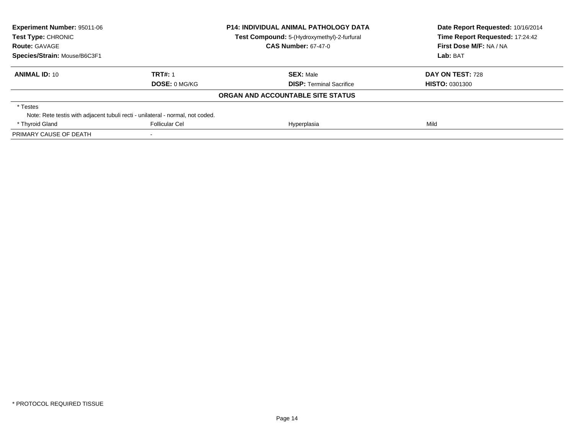| <b>Experiment Number: 95011-06</b><br>Test Type: CHRONIC<br><b>Route: GAVAGE</b> | <b>P14: INDIVIDUAL ANIMAL PATHOLOGY DATA</b><br>Test Compound: 5-(Hydroxymethyl)-2-furfural<br><b>CAS Number: 67-47-0</b> |                                   | Date Report Requested: 10/16/2014<br>Time Report Requested: 17:24:42<br>First Dose M/F: NA / NA |  |
|----------------------------------------------------------------------------------|---------------------------------------------------------------------------------------------------------------------------|-----------------------------------|-------------------------------------------------------------------------------------------------|--|
| Species/Strain: Mouse/B6C3F1                                                     |                                                                                                                           |                                   | Lab: BAT                                                                                        |  |
| <b>ANIMAL ID: 10</b>                                                             | <b>TRT#: 1</b>                                                                                                            | <b>SEX:</b> Male                  | DAY ON TEST: 728                                                                                |  |
|                                                                                  | <b>DOSE: 0 MG/KG</b>                                                                                                      | <b>DISP:</b> Terminal Sacrifice   | <b>HISTO: 0301300</b>                                                                           |  |
|                                                                                  |                                                                                                                           | ORGAN AND ACCOUNTABLE SITE STATUS |                                                                                                 |  |
| * Testes                                                                         |                                                                                                                           |                                   |                                                                                                 |  |
| Note: Rete testis with adjacent tubuli recti - unilateral - normal, not coded.   |                                                                                                                           |                                   |                                                                                                 |  |
| * Thyroid Gland                                                                  | Follicular Cel                                                                                                            | Hyperplasia                       | Mild                                                                                            |  |
| PRIMARY CAUSE OF DEATH                                                           |                                                                                                                           |                                   |                                                                                                 |  |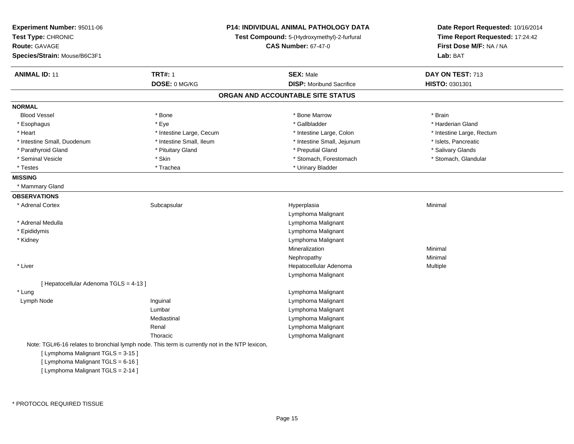| <b>Experiment Number: 95011-06</b><br>Test Type: CHRONIC<br><b>Route: GAVAGE</b><br>Species/Strain: Mouse/B6C3F1 |                          | <b>P14: INDIVIDUAL ANIMAL PATHOLOGY DATA</b><br>Test Compound: 5-(Hydroxymethyl)-2-furfural<br><b>CAS Number: 67-47-0</b> | Date Report Requested: 10/16/2014<br>Time Report Requested: 17:24:42<br>First Dose M/F: NA / NA<br>Lab: BAT |
|------------------------------------------------------------------------------------------------------------------|--------------------------|---------------------------------------------------------------------------------------------------------------------------|-------------------------------------------------------------------------------------------------------------|
| <b>ANIMAL ID: 11</b>                                                                                             | <b>TRT#: 1</b>           | <b>SEX: Male</b>                                                                                                          | DAY ON TEST: 713                                                                                            |
|                                                                                                                  | DOSE: 0 MG/KG            | <b>DISP:</b> Moribund Sacrifice                                                                                           | HISTO: 0301301                                                                                              |
|                                                                                                                  |                          | ORGAN AND ACCOUNTABLE SITE STATUS                                                                                         |                                                                                                             |
| <b>NORMAL</b>                                                                                                    |                          |                                                                                                                           |                                                                                                             |
| <b>Blood Vessel</b>                                                                                              | * Bone                   | * Bone Marrow                                                                                                             | * Brain                                                                                                     |
| * Esophagus                                                                                                      | * Eye                    | * Gallbladder                                                                                                             | * Harderian Gland                                                                                           |
| * Heart                                                                                                          | * Intestine Large, Cecum | * Intestine Large, Colon                                                                                                  | * Intestine Large, Rectum                                                                                   |
| * Intestine Small, Duodenum                                                                                      | * Intestine Small, Ileum | * Intestine Small, Jejunum                                                                                                | * Islets, Pancreatic                                                                                        |
| * Parathyroid Gland                                                                                              | * Pituitary Gland        | * Preputial Gland                                                                                                         | * Salivary Glands                                                                                           |
| * Seminal Vesicle                                                                                                | * Skin                   | * Stomach, Forestomach                                                                                                    | * Stomach, Glandular                                                                                        |
| * Testes                                                                                                         | * Trachea                | * Urinary Bladder                                                                                                         |                                                                                                             |
| <b>MISSING</b>                                                                                                   |                          |                                                                                                                           |                                                                                                             |
| * Mammary Gland                                                                                                  |                          |                                                                                                                           |                                                                                                             |
| <b>OBSERVATIONS</b>                                                                                              |                          |                                                                                                                           |                                                                                                             |
| * Adrenal Cortex                                                                                                 | Subcapsular              | Hyperplasia                                                                                                               | Minimal                                                                                                     |
|                                                                                                                  |                          | Lymphoma Malignant                                                                                                        |                                                                                                             |
| * Adrenal Medulla                                                                                                |                          | Lymphoma Malignant                                                                                                        |                                                                                                             |
| * Epididymis                                                                                                     |                          | Lymphoma Malignant                                                                                                        |                                                                                                             |
| * Kidney                                                                                                         |                          | Lymphoma Malignant                                                                                                        |                                                                                                             |
|                                                                                                                  |                          | Mineralization                                                                                                            | Minimal                                                                                                     |
|                                                                                                                  |                          | Nephropathy                                                                                                               | Minimal                                                                                                     |
| * Liver                                                                                                          |                          | Hepatocellular Adenoma                                                                                                    | Multiple                                                                                                    |
|                                                                                                                  |                          | Lymphoma Malignant                                                                                                        |                                                                                                             |
| [ Hepatocellular Adenoma TGLS = 4-13 ]                                                                           |                          |                                                                                                                           |                                                                                                             |
| * Lung                                                                                                           |                          | Lymphoma Malignant                                                                                                        |                                                                                                             |
| Lymph Node                                                                                                       | Inguinal                 | Lymphoma Malignant                                                                                                        |                                                                                                             |
|                                                                                                                  | Lumbar                   | Lymphoma Malignant                                                                                                        |                                                                                                             |
|                                                                                                                  | Mediastinal              | Lymphoma Malignant                                                                                                        |                                                                                                             |
|                                                                                                                  | Renal                    | Lymphoma Malignant                                                                                                        |                                                                                                             |
|                                                                                                                  | Thoracic                 | Lymphoma Malignant                                                                                                        |                                                                                                             |
| Note: TGL#6-16 relates to bronchial lymph node. This term is currently not in the NTP lexicon,                   |                          |                                                                                                                           |                                                                                                             |
| [ Lymphoma Malignant TGLS = 3-15 ]                                                                               |                          |                                                                                                                           |                                                                                                             |
| [ Lymphoma Malignant TGLS = 6-16 ]                                                                               |                          |                                                                                                                           |                                                                                                             |
| [ Lymphoma Malignant TGLS = 2-14 ]                                                                               |                          |                                                                                                                           |                                                                                                             |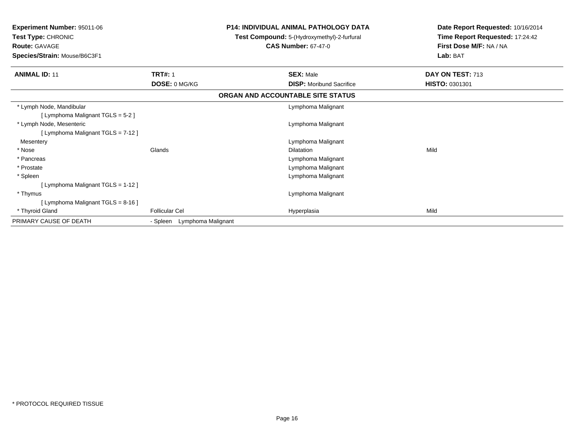| <b>Experiment Number: 95011-06</b><br>Test Type: CHRONIC<br><b>Route: GAVAGE</b><br>Species/Strain: Mouse/B6C3F1 |                                | <b>P14: INDIVIDUAL ANIMAL PATHOLOGY DATA</b><br>Test Compound: 5-(Hydroxymethyl)-2-furfural<br><b>CAS Number: 67-47-0</b> | Date Report Requested: 10/16/2014<br>Time Report Requested: 17:24:42<br>First Dose M/F: NA / NA<br>Lab: BAT |
|------------------------------------------------------------------------------------------------------------------|--------------------------------|---------------------------------------------------------------------------------------------------------------------------|-------------------------------------------------------------------------------------------------------------|
| <b>ANIMAL ID: 11</b>                                                                                             | <b>TRT#: 1</b>                 | <b>SEX: Male</b>                                                                                                          | DAY ON TEST: 713                                                                                            |
|                                                                                                                  | DOSE: 0 MG/KG                  | <b>DISP:</b> Moribund Sacrifice                                                                                           | HISTO: 0301301                                                                                              |
|                                                                                                                  |                                | ORGAN AND ACCOUNTABLE SITE STATUS                                                                                         |                                                                                                             |
| * Lymph Node, Mandibular                                                                                         |                                | Lymphoma Malignant                                                                                                        |                                                                                                             |
| [ Lymphoma Malignant TGLS = 5-2 ]                                                                                |                                |                                                                                                                           |                                                                                                             |
| * Lymph Node, Mesenteric                                                                                         |                                | Lymphoma Malignant                                                                                                        |                                                                                                             |
| [ Lymphoma Malignant TGLS = 7-12 ]                                                                               |                                |                                                                                                                           |                                                                                                             |
| Mesentery                                                                                                        |                                | Lymphoma Malignant                                                                                                        |                                                                                                             |
| * Nose                                                                                                           | Glands                         | Dilatation                                                                                                                | Mild                                                                                                        |
| * Pancreas                                                                                                       |                                | Lymphoma Malignant                                                                                                        |                                                                                                             |
| * Prostate                                                                                                       |                                | Lymphoma Malignant                                                                                                        |                                                                                                             |
| * Spleen                                                                                                         |                                | Lymphoma Malignant                                                                                                        |                                                                                                             |
| [ Lymphoma Malignant TGLS = 1-12 ]                                                                               |                                |                                                                                                                           |                                                                                                             |
| * Thymus                                                                                                         |                                | Lymphoma Malignant                                                                                                        |                                                                                                             |
| [ Lymphoma Malignant TGLS = 8-16 ]                                                                               |                                |                                                                                                                           |                                                                                                             |
| * Thyroid Gland                                                                                                  | <b>Follicular Cel</b>          | Hyperplasia                                                                                                               | Mild                                                                                                        |
| PRIMARY CAUSE OF DEATH                                                                                           | Lymphoma Malignant<br>- Spleen |                                                                                                                           |                                                                                                             |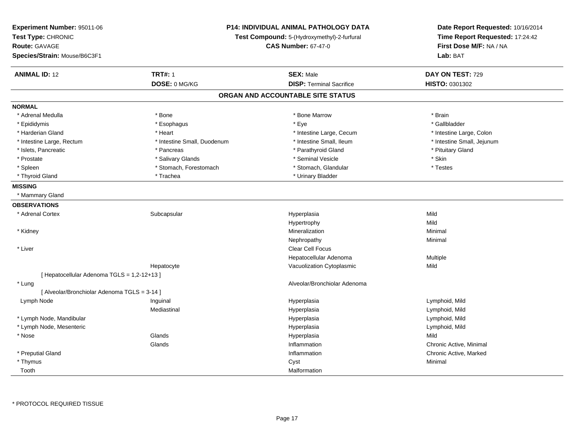| Experiment Number: 95011-06<br>Test Type: CHRONIC<br>Route: GAVAGE<br>Species/Strain: Mouse/B6C3F1 | <b>P14: INDIVIDUAL ANIMAL PATHOLOGY DATA</b><br>Test Compound: 5-(Hydroxymethyl)-2-furfural<br><b>CAS Number: 67-47-0</b> |                                   | Date Report Requested: 10/16/2014<br>Time Report Requested: 17:24:42<br>First Dose M/F: NA / NA<br>Lab: BAT |
|----------------------------------------------------------------------------------------------------|---------------------------------------------------------------------------------------------------------------------------|-----------------------------------|-------------------------------------------------------------------------------------------------------------|
| <b>ANIMAL ID: 12</b>                                                                               | <b>TRT#: 1</b>                                                                                                            | <b>SEX: Male</b>                  | DAY ON TEST: 729                                                                                            |
|                                                                                                    | DOSE: 0 MG/KG                                                                                                             | <b>DISP: Terminal Sacrifice</b>   | HISTO: 0301302                                                                                              |
|                                                                                                    |                                                                                                                           | ORGAN AND ACCOUNTABLE SITE STATUS |                                                                                                             |
| <b>NORMAL</b>                                                                                      |                                                                                                                           |                                   |                                                                                                             |
| * Adrenal Medulla                                                                                  | * Bone                                                                                                                    | * Bone Marrow                     | * Brain                                                                                                     |
| * Epididymis                                                                                       | * Esophagus                                                                                                               | * Eye                             | * Gallbladder                                                                                               |
| * Harderian Gland                                                                                  | * Heart                                                                                                                   | * Intestine Large, Cecum          | * Intestine Large, Colon                                                                                    |
| * Intestine Large, Rectum                                                                          | * Intestine Small, Duodenum                                                                                               | * Intestine Small, Ileum          | * Intestine Small, Jejunum                                                                                  |
| * Islets, Pancreatic                                                                               | * Pancreas                                                                                                                | * Parathyroid Gland               | * Pituitary Gland                                                                                           |
| * Prostate                                                                                         | * Salivary Glands                                                                                                         | * Seminal Vesicle                 | * Skin                                                                                                      |
| * Spleen                                                                                           | * Stomach, Forestomach                                                                                                    | * Stomach, Glandular              | * Testes                                                                                                    |
| * Thyroid Gland                                                                                    | * Trachea                                                                                                                 | * Urinary Bladder                 |                                                                                                             |
| <b>MISSING</b>                                                                                     |                                                                                                                           |                                   |                                                                                                             |
| * Mammary Gland                                                                                    |                                                                                                                           |                                   |                                                                                                             |
| <b>OBSERVATIONS</b>                                                                                |                                                                                                                           |                                   |                                                                                                             |
| * Adrenal Cortex                                                                                   | Subcapsular                                                                                                               | Hyperplasia                       | Mild                                                                                                        |
|                                                                                                    |                                                                                                                           | Hypertrophy                       | Mild                                                                                                        |
| * Kidney                                                                                           |                                                                                                                           | Mineralization                    | Minimal                                                                                                     |
|                                                                                                    |                                                                                                                           | Nephropathy                       | Minimal                                                                                                     |
| * Liver                                                                                            |                                                                                                                           | Clear Cell Focus                  |                                                                                                             |
|                                                                                                    |                                                                                                                           | Hepatocellular Adenoma            | Multiple                                                                                                    |
|                                                                                                    | Hepatocyte                                                                                                                | Vacuolization Cytoplasmic         | Mild                                                                                                        |
| [ Hepatocellular Adenoma TGLS = 1,2-12+13 ]                                                        |                                                                                                                           |                                   |                                                                                                             |
| * Lung                                                                                             |                                                                                                                           | Alveolar/Bronchiolar Adenoma      |                                                                                                             |
| [ Alveolar/Bronchiolar Adenoma TGLS = 3-14 ]                                                       |                                                                                                                           |                                   |                                                                                                             |
| Lymph Node                                                                                         | Inguinal                                                                                                                  | Hyperplasia                       | Lymphoid, Mild                                                                                              |
|                                                                                                    | Mediastinal                                                                                                               | Hyperplasia                       | Lymphoid, Mild                                                                                              |
| * Lymph Node, Mandibular                                                                           |                                                                                                                           | Hyperplasia                       | Lymphoid, Mild                                                                                              |
| * Lymph Node, Mesenteric                                                                           |                                                                                                                           | Hyperplasia                       | Lymphoid, Mild                                                                                              |
| * Nose                                                                                             | Glands                                                                                                                    | Hyperplasia                       | Mild                                                                                                        |
|                                                                                                    | Glands                                                                                                                    | Inflammation                      | Chronic Active, Minimal                                                                                     |
| * Preputial Gland                                                                                  |                                                                                                                           | Inflammation                      | Chronic Active, Marked                                                                                      |
| * Thymus                                                                                           |                                                                                                                           | Cyst                              | Minimal                                                                                                     |
| Tooth                                                                                              |                                                                                                                           | Malformation                      |                                                                                                             |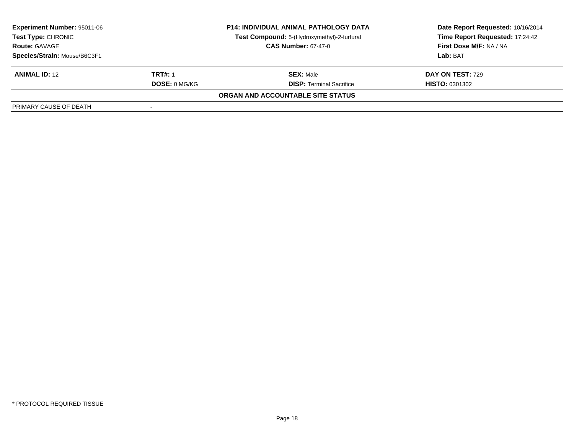| <b>Experiment Number: 95011-06</b><br>Test Type: CHRONIC<br><b>Route: GAVAGE</b><br>Species/Strain: Mouse/B6C3F1 | <b>P14: INDIVIDUAL ANIMAL PATHOLOGY DATA</b><br>Test Compound: 5-(Hydroxymethyl)-2-furfural<br><b>CAS Number: 67-47-0</b> |                                                     | Date Report Requested: 10/16/2014<br>Time Report Requested: 17:24:42<br>First Dose M/F: NA / NA<br>Lab: BAT |
|------------------------------------------------------------------------------------------------------------------|---------------------------------------------------------------------------------------------------------------------------|-----------------------------------------------------|-------------------------------------------------------------------------------------------------------------|
| <b>ANIMAL ID: 12</b><br><b>TRT#: 1</b><br><b>DOSE: 0 MG/KG</b>                                                   |                                                                                                                           | <b>SEX: Male</b><br><b>DISP:</b> Terminal Sacrifice | DAY ON TEST: 729<br><b>HISTO: 0301302</b>                                                                   |
|                                                                                                                  |                                                                                                                           | ORGAN AND ACCOUNTABLE SITE STATUS                   |                                                                                                             |
| PRIMARY CAUSE OF DEATH                                                                                           |                                                                                                                           |                                                     |                                                                                                             |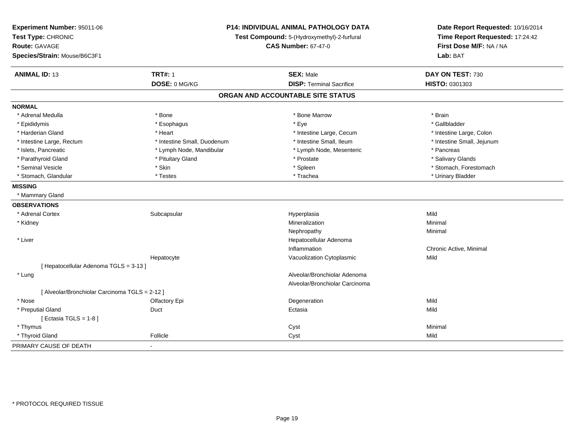| Experiment Number: 95011-06<br>Test Type: CHRONIC    |                             | P14: INDIVIDUAL ANIMAL PATHOLOGY DATA<br>Test Compound: 5-(Hydroxymethyl)-2-furfural<br><b>CAS Number: 67-47-0</b> | Date Report Requested: 10/16/2014<br>Time Report Requested: 17:24:42<br>First Dose M/F: NA / NA |
|------------------------------------------------------|-----------------------------|--------------------------------------------------------------------------------------------------------------------|-------------------------------------------------------------------------------------------------|
| <b>Route: GAVAGE</b><br>Species/Strain: Mouse/B6C3F1 |                             |                                                                                                                    | Lab: BAT                                                                                        |
|                                                      |                             |                                                                                                                    |                                                                                                 |
| <b>ANIMAL ID: 13</b>                                 | <b>TRT#: 1</b>              | <b>SEX: Male</b>                                                                                                   | DAY ON TEST: 730                                                                                |
|                                                      | DOSE: 0 MG/KG               | <b>DISP: Terminal Sacrifice</b>                                                                                    | HISTO: 0301303                                                                                  |
|                                                      |                             | ORGAN AND ACCOUNTABLE SITE STATUS                                                                                  |                                                                                                 |
| <b>NORMAL</b>                                        |                             |                                                                                                                    |                                                                                                 |
| * Adrenal Medulla                                    | * Bone                      | * Bone Marrow                                                                                                      | * Brain                                                                                         |
| * Epididymis                                         | * Esophagus                 | * Eye                                                                                                              | * Gallbladder                                                                                   |
| * Harderian Gland                                    | * Heart                     | * Intestine Large, Cecum                                                                                           | * Intestine Large, Colon                                                                        |
| * Intestine Large, Rectum                            | * Intestine Small, Duodenum | * Intestine Small, Ileum                                                                                           | * Intestine Small, Jejunum                                                                      |
| * Islets, Pancreatic                                 | * Lymph Node, Mandibular    | * Lymph Node, Mesenteric                                                                                           | * Pancreas                                                                                      |
| * Parathyroid Gland                                  | * Pituitary Gland           | * Prostate                                                                                                         | * Salivary Glands                                                                               |
| * Seminal Vesicle                                    | * Skin                      | * Spleen                                                                                                           | * Stomach, Forestomach                                                                          |
| * Stomach, Glandular                                 | * Testes                    | * Trachea                                                                                                          | * Urinary Bladder                                                                               |
| <b>MISSING</b>                                       |                             |                                                                                                                    |                                                                                                 |
| * Mammary Gland                                      |                             |                                                                                                                    |                                                                                                 |
| <b>OBSERVATIONS</b>                                  |                             |                                                                                                                    |                                                                                                 |
| * Adrenal Cortex                                     | Subcapsular                 | Hyperplasia                                                                                                        | Mild                                                                                            |
| * Kidney                                             |                             | Mineralization                                                                                                     | Minimal                                                                                         |
|                                                      |                             | Nephropathy                                                                                                        | Minimal                                                                                         |
| * Liver                                              |                             | Hepatocellular Adenoma                                                                                             |                                                                                                 |
|                                                      |                             | Inflammation                                                                                                       | Chronic Active, Minimal                                                                         |
|                                                      | Hepatocyte                  | Vacuolization Cytoplasmic                                                                                          | Mild                                                                                            |
| [ Hepatocellular Adenoma TGLS = 3-13 ]               |                             |                                                                                                                    |                                                                                                 |
| * Lung                                               |                             | Alveolar/Bronchiolar Adenoma                                                                                       |                                                                                                 |
|                                                      |                             | Alveolar/Bronchiolar Carcinoma                                                                                     |                                                                                                 |
| [ Alveolar/Bronchiolar Carcinoma TGLS = 2-12 ]       |                             |                                                                                                                    |                                                                                                 |
| * Nose                                               | Olfactory Epi               | Degeneration                                                                                                       | Mild                                                                                            |
| * Preputial Gland                                    | Duct                        | Ectasia                                                                                                            | Mild                                                                                            |
| [ Ectasia TGLS = $1-8$ ]                             |                             |                                                                                                                    |                                                                                                 |
| * Thymus                                             |                             | Cyst                                                                                                               | Minimal                                                                                         |
| * Thyroid Gland                                      | Follicle                    | Cyst                                                                                                               | Mild                                                                                            |
| PRIMARY CAUSE OF DEATH                               | $\blacksquare$              |                                                                                                                    |                                                                                                 |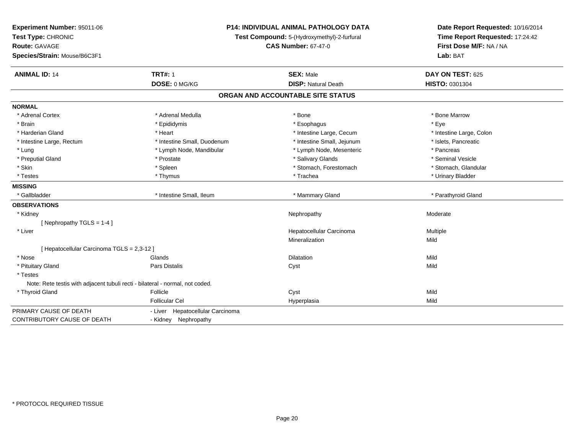| Experiment Number: 95011-06                                                   | <b>P14: INDIVIDUAL ANIMAL PATHOLOGY DATA</b><br>Test Compound: 5-(Hydroxymethyl)-2-furfural |                                   | Date Report Requested: 10/16/2014 |  |
|-------------------------------------------------------------------------------|---------------------------------------------------------------------------------------------|-----------------------------------|-----------------------------------|--|
| Test Type: CHRONIC                                                            |                                                                                             |                                   | Time Report Requested: 17:24:42   |  |
| <b>Route: GAVAGE</b>                                                          |                                                                                             | <b>CAS Number: 67-47-0</b>        | First Dose M/F: NA / NA           |  |
| Species/Strain: Mouse/B6C3F1                                                  |                                                                                             |                                   | Lab: BAT                          |  |
| <b>ANIMAL ID: 14</b>                                                          | <b>TRT#: 1</b>                                                                              | <b>SEX: Male</b>                  | DAY ON TEST: 625                  |  |
|                                                                               | DOSE: 0 MG/KG                                                                               | <b>DISP: Natural Death</b>        | HISTO: 0301304                    |  |
|                                                                               |                                                                                             | ORGAN AND ACCOUNTABLE SITE STATUS |                                   |  |
| <b>NORMAL</b>                                                                 |                                                                                             |                                   |                                   |  |
| * Adrenal Cortex                                                              | * Adrenal Medulla                                                                           | * Bone                            | * Bone Marrow                     |  |
| * Brain                                                                       | * Epididymis                                                                                | * Esophagus                       | * Eve                             |  |
| * Harderian Gland                                                             | * Heart                                                                                     | * Intestine Large, Cecum          | * Intestine Large, Colon          |  |
| * Intestine Large, Rectum                                                     | * Intestine Small, Duodenum                                                                 | * Intestine Small, Jejunum        | * Islets, Pancreatic              |  |
| * Lung                                                                        | * Lymph Node, Mandibular                                                                    | * Lymph Node, Mesenteric          | * Pancreas                        |  |
| * Preputial Gland                                                             | * Prostate                                                                                  | * Salivary Glands                 | * Seminal Vesicle                 |  |
| * Skin                                                                        | * Spleen                                                                                    | * Stomach, Forestomach            | * Stomach, Glandular              |  |
| * Testes                                                                      | * Thymus                                                                                    | * Trachea                         | * Urinary Bladder                 |  |
| <b>MISSING</b>                                                                |                                                                                             |                                   |                                   |  |
| * Gallbladder                                                                 | * Intestine Small. Ileum                                                                    | * Mammary Gland                   | * Parathyroid Gland               |  |
| <b>OBSERVATIONS</b>                                                           |                                                                                             |                                   |                                   |  |
| * Kidney                                                                      |                                                                                             | Nephropathy                       | Moderate                          |  |
| [Nephropathy TGLS = $1-4$ ]                                                   |                                                                                             |                                   |                                   |  |
| * Liver                                                                       |                                                                                             | Hepatocellular Carcinoma          | Multiple                          |  |
|                                                                               |                                                                                             | Mineralization                    | Mild                              |  |
| [Hepatocellular Carcinoma TGLS = 2,3-12]                                      |                                                                                             |                                   |                                   |  |
| * Nose                                                                        | Glands                                                                                      | <b>Dilatation</b>                 | Mild                              |  |
| * Pituitary Gland                                                             | <b>Pars Distalis</b>                                                                        | Cyst                              | Mild                              |  |
| * Testes                                                                      |                                                                                             |                                   |                                   |  |
| Note: Rete testis with adjacent tubuli recti - bilateral - normal, not coded. |                                                                                             |                                   |                                   |  |
| * Thyroid Gland                                                               | Follicle                                                                                    | Cyst                              | Mild                              |  |
|                                                                               | <b>Follicular Cel</b>                                                                       | Hyperplasia                       | Mild                              |  |
| PRIMARY CAUSE OF DEATH                                                        | - Liver Hepatocellular Carcinoma                                                            |                                   |                                   |  |
| <b>CONTRIBUTORY CAUSE OF DEATH</b>                                            | - Kidney Nephropathy                                                                        |                                   |                                   |  |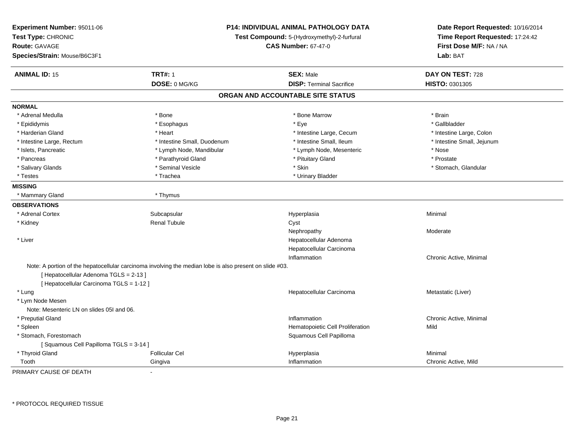| Experiment Number: 95011-06<br>Test Type: CHRONIC<br><b>Route: GAVAGE</b><br>Species/Strain: Mouse/B6C3F1 | <b>P14: INDIVIDUAL ANIMAL PATHOLOGY DATA</b><br>Test Compound: 5-(Hydroxymethyl)-2-furfural<br><b>CAS Number: 67-47-0</b> |                                   | Date Report Requested: 10/16/2014<br>Time Report Requested: 17:24:42<br>First Dose M/F: NA / NA<br>Lab: BAT |
|-----------------------------------------------------------------------------------------------------------|---------------------------------------------------------------------------------------------------------------------------|-----------------------------------|-------------------------------------------------------------------------------------------------------------|
| <b>ANIMAL ID: 15</b>                                                                                      | <b>TRT#: 1</b>                                                                                                            | <b>SEX: Male</b>                  | DAY ON TEST: 728                                                                                            |
|                                                                                                           | DOSE: 0 MG/KG                                                                                                             | <b>DISP: Terminal Sacrifice</b>   | HISTO: 0301305                                                                                              |
|                                                                                                           |                                                                                                                           | ORGAN AND ACCOUNTABLE SITE STATUS |                                                                                                             |
| <b>NORMAL</b>                                                                                             |                                                                                                                           |                                   |                                                                                                             |
| * Adrenal Medulla                                                                                         | * Bone                                                                                                                    | * Bone Marrow                     | * Brain                                                                                                     |
| * Epididymis                                                                                              | * Esophagus                                                                                                               | * Eye                             | * Gallbladder                                                                                               |
| * Harderian Gland                                                                                         | * Heart                                                                                                                   | * Intestine Large, Cecum          | * Intestine Large, Colon                                                                                    |
| * Intestine Large, Rectum                                                                                 | * Intestine Small, Duodenum                                                                                               | * Intestine Small, Ileum          | * Intestine Small, Jejunum                                                                                  |
| * Islets, Pancreatic                                                                                      | * Lymph Node, Mandibular                                                                                                  | * Lymph Node, Mesenteric          | * Nose                                                                                                      |
| * Pancreas                                                                                                | * Parathyroid Gland                                                                                                       | * Pituitary Gland                 | * Prostate                                                                                                  |
| * Salivary Glands                                                                                         | * Seminal Vesicle                                                                                                         | * Skin                            | * Stomach, Glandular                                                                                        |
| * Testes                                                                                                  | * Trachea                                                                                                                 | * Urinary Bladder                 |                                                                                                             |
| <b>MISSING</b>                                                                                            |                                                                                                                           |                                   |                                                                                                             |
| * Mammary Gland                                                                                           | * Thymus                                                                                                                  |                                   |                                                                                                             |
| <b>OBSERVATIONS</b>                                                                                       |                                                                                                                           |                                   |                                                                                                             |
| * Adrenal Cortex                                                                                          | Subcapsular                                                                                                               | Hyperplasia                       | Minimal                                                                                                     |
| * Kidney                                                                                                  | <b>Renal Tubule</b>                                                                                                       | Cyst                              |                                                                                                             |
|                                                                                                           |                                                                                                                           | Nephropathy                       | Moderate                                                                                                    |
| * Liver                                                                                                   |                                                                                                                           | Hepatocellular Adenoma            |                                                                                                             |
|                                                                                                           |                                                                                                                           | Hepatocellular Carcinoma          |                                                                                                             |
|                                                                                                           |                                                                                                                           | Inflammation                      | Chronic Active, Minimal                                                                                     |
| [ Hepatocellular Adenoma TGLS = 2-13 ]<br>[ Hepatocellular Carcinoma TGLS = 1-12 ]                        | Note: A portion of the hepatocellular carcinoma involving the median lobe is also present on slide #03.                   |                                   |                                                                                                             |
| * Lung                                                                                                    |                                                                                                                           | Hepatocellular Carcinoma          | Metastatic (Liver)                                                                                          |
| * Lym Node Mesen                                                                                          |                                                                                                                           |                                   |                                                                                                             |
| Note: Mesenteric LN on slides 05I and 06.                                                                 |                                                                                                                           |                                   |                                                                                                             |
| * Preputial Gland                                                                                         |                                                                                                                           | Inflammation                      | Chronic Active, Minimal                                                                                     |
| * Spleen                                                                                                  |                                                                                                                           | Hematopoietic Cell Proliferation  | Mild                                                                                                        |
| * Stomach, Forestomach                                                                                    |                                                                                                                           | Squamous Cell Papilloma           |                                                                                                             |
| [Squamous Cell Papilloma TGLS = 3-14]                                                                     |                                                                                                                           |                                   |                                                                                                             |
| * Thyroid Gland                                                                                           | <b>Follicular Cel</b>                                                                                                     | Hyperplasia                       | Minimal                                                                                                     |
| Tooth                                                                                                     | Gingiva                                                                                                                   | Inflammation                      | Chronic Active, Mild                                                                                        |

PRIMARY CAUSE OF DEATH-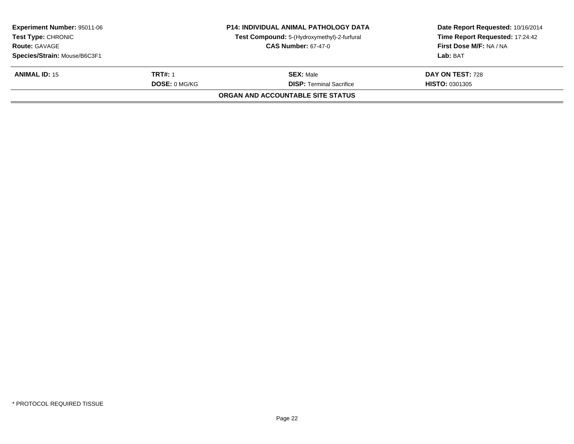| <b>Experiment Number: 95011-06</b><br><b>Test Type: CHRONIC</b> |                      | <b>P14: INDIVIDUAL ANIMAL PATHOLOGY DATA</b><br>Test Compound: 5-(Hydroxymethyl)-2-furfural | Date Report Requested: 10/16/2014<br>Time Report Requested: 17:24:42 |
|-----------------------------------------------------------------|----------------------|---------------------------------------------------------------------------------------------|----------------------------------------------------------------------|
| <b>Route: GAVAGE</b>                                            |                      | <b>CAS Number: 67-47-0</b>                                                                  | First Dose M/F: NA / NA                                              |
| Species/Strain: Mouse/B6C3F1                                    |                      |                                                                                             | Lab: BAT                                                             |
| <b>ANIMAL ID: 15</b>                                            | TRT#: 1              | <b>SEX: Male</b>                                                                            | DAY ON TEST: 728                                                     |
|                                                                 | <b>DOSE: 0 MG/KG</b> | <b>DISP: Terminal Sacrifice</b>                                                             | <b>HISTO: 0301305</b>                                                |
|                                                                 |                      | ORGAN AND ACCOUNTABLE SITE STATUS                                                           |                                                                      |
|                                                                 |                      |                                                                                             |                                                                      |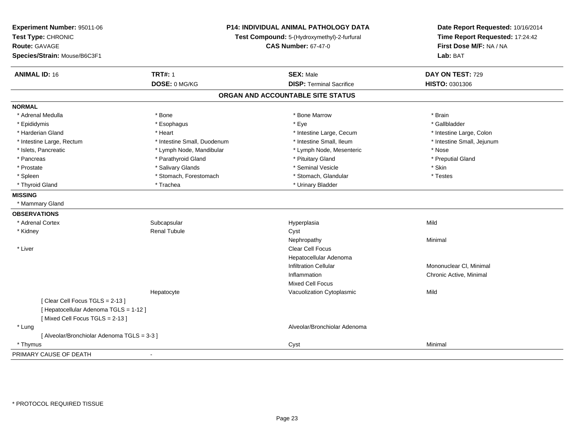| Experiment Number: 95011-06<br>Test Type: CHRONIC<br><b>Route: GAVAGE</b><br>Species/Strain: Mouse/B6C3F1 | P14: INDIVIDUAL ANIMAL PATHOLOGY DATA<br>Test Compound: 5-(Hydroxymethyl)-2-furfural<br><b>CAS Number: 67-47-0</b> |                                                     | Date Report Requested: 10/16/2014<br>Time Report Requested: 17:24:42<br>First Dose M/F: NA / NA<br>Lab: BAT |
|-----------------------------------------------------------------------------------------------------------|--------------------------------------------------------------------------------------------------------------------|-----------------------------------------------------|-------------------------------------------------------------------------------------------------------------|
| <b>ANIMAL ID: 16</b>                                                                                      | <b>TRT#: 1</b><br>DOSE: 0 MG/KG                                                                                    | <b>SEX: Male</b><br><b>DISP: Terminal Sacrifice</b> | DAY ON TEST: 729<br>HISTO: 0301306                                                                          |
|                                                                                                           |                                                                                                                    | ORGAN AND ACCOUNTABLE SITE STATUS                   |                                                                                                             |
| <b>NORMAL</b>                                                                                             |                                                                                                                    |                                                     |                                                                                                             |
| * Adrenal Medulla                                                                                         | * Bone                                                                                                             | * Bone Marrow                                       | * Brain                                                                                                     |
| * Epididymis                                                                                              | * Esophagus                                                                                                        | * Eye                                               | * Gallbladder                                                                                               |
| * Harderian Gland                                                                                         | * Heart                                                                                                            | * Intestine Large, Cecum                            | * Intestine Large, Colon                                                                                    |
| * Intestine Large, Rectum                                                                                 | * Intestine Small, Duodenum                                                                                        | * Intestine Small, Ileum                            | * Intestine Small, Jejunum                                                                                  |
| * Islets, Pancreatic                                                                                      | * Lymph Node, Mandibular                                                                                           | * Lymph Node, Mesenteric                            | * Nose                                                                                                      |
| * Pancreas                                                                                                | * Parathyroid Gland                                                                                                | * Pituitary Gland                                   | * Preputial Gland                                                                                           |
| * Prostate                                                                                                | * Salivary Glands                                                                                                  | * Seminal Vesicle                                   | * Skin                                                                                                      |
| * Spleen                                                                                                  | * Stomach, Forestomach                                                                                             | * Stomach, Glandular                                | * Testes                                                                                                    |
| * Thyroid Gland                                                                                           | * Trachea                                                                                                          | * Urinary Bladder                                   |                                                                                                             |
| <b>MISSING</b>                                                                                            |                                                                                                                    |                                                     |                                                                                                             |
| * Mammary Gland                                                                                           |                                                                                                                    |                                                     |                                                                                                             |
| <b>OBSERVATIONS</b>                                                                                       |                                                                                                                    |                                                     |                                                                                                             |
| * Adrenal Cortex                                                                                          | Subcapsular                                                                                                        | Hyperplasia                                         | Mild                                                                                                        |
| * Kidney                                                                                                  | <b>Renal Tubule</b>                                                                                                | Cyst                                                |                                                                                                             |
|                                                                                                           |                                                                                                                    | Nephropathy                                         | Minimal                                                                                                     |
| * Liver                                                                                                   |                                                                                                                    | Clear Cell Focus                                    |                                                                                                             |
|                                                                                                           |                                                                                                                    | Hepatocellular Adenoma                              |                                                                                                             |
|                                                                                                           |                                                                                                                    | <b>Infiltration Cellular</b>                        | Mononuclear CI, Minimal                                                                                     |
|                                                                                                           |                                                                                                                    | Inflammation                                        | Chronic Active, Minimal                                                                                     |
|                                                                                                           |                                                                                                                    | <b>Mixed Cell Focus</b>                             |                                                                                                             |
|                                                                                                           | Hepatocyte                                                                                                         | Vacuolization Cytoplasmic                           | Mild                                                                                                        |
| [Clear Cell Focus TGLS = 2-13]                                                                            |                                                                                                                    |                                                     |                                                                                                             |
| [Hepatocellular Adenoma TGLS = 1-12]                                                                      |                                                                                                                    |                                                     |                                                                                                             |
| [Mixed Cell Focus TGLS = 2-13]                                                                            |                                                                                                                    |                                                     |                                                                                                             |
| * Lung                                                                                                    |                                                                                                                    | Alveolar/Bronchiolar Adenoma                        |                                                                                                             |
| [ Alveolar/Bronchiolar Adenoma TGLS = 3-3 ]                                                               |                                                                                                                    |                                                     |                                                                                                             |
| * Thymus                                                                                                  |                                                                                                                    | Cyst                                                | Minimal                                                                                                     |
| PRIMARY CAUSE OF DEATH                                                                                    |                                                                                                                    |                                                     |                                                                                                             |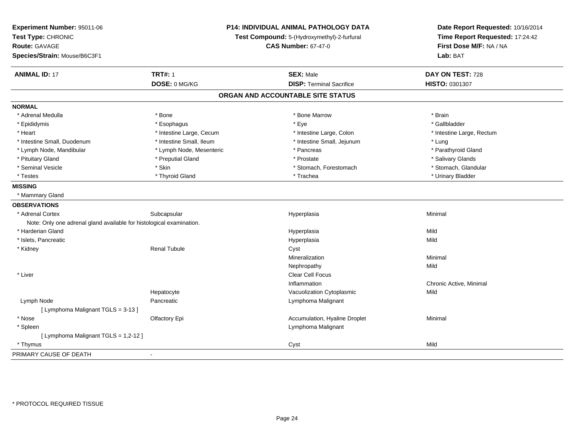| Experiment Number: 95011-06<br>Test Type: CHRONIC<br><b>Route: GAVAGE</b><br>Species/Strain: Mouse/B6C3F1 | P14: INDIVIDUAL ANIMAL PATHOLOGY DATA<br>Test Compound: 5-(Hydroxymethyl)-2-furfural<br><b>CAS Number: 67-47-0</b> |                                   | Date Report Requested: 10/16/2014<br>Time Report Requested: 17:24:42<br>First Dose M/F: NA / NA<br>Lab: BAT |
|-----------------------------------------------------------------------------------------------------------|--------------------------------------------------------------------------------------------------------------------|-----------------------------------|-------------------------------------------------------------------------------------------------------------|
|                                                                                                           |                                                                                                                    |                                   |                                                                                                             |
| <b>ANIMAL ID: 17</b>                                                                                      | <b>TRT#: 1</b>                                                                                                     | <b>SEX: Male</b>                  | DAY ON TEST: 728                                                                                            |
|                                                                                                           | DOSE: 0 MG/KG                                                                                                      | <b>DISP: Terminal Sacrifice</b>   | HISTO: 0301307                                                                                              |
|                                                                                                           |                                                                                                                    | ORGAN AND ACCOUNTABLE SITE STATUS |                                                                                                             |
| <b>NORMAL</b>                                                                                             |                                                                                                                    |                                   |                                                                                                             |
| * Adrenal Medulla                                                                                         | * Bone                                                                                                             | * Bone Marrow                     | * Brain                                                                                                     |
| * Epididymis                                                                                              | * Esophagus                                                                                                        | * Eye                             | * Gallbladder                                                                                               |
| * Heart                                                                                                   | * Intestine Large, Cecum                                                                                           | * Intestine Large, Colon          | * Intestine Large, Rectum                                                                                   |
| * Intestine Small, Duodenum                                                                               | * Intestine Small, Ileum                                                                                           | * Intestine Small, Jejunum        | * Lung                                                                                                      |
| * Lymph Node, Mandibular                                                                                  | * Lymph Node, Mesenteric                                                                                           | * Pancreas                        | * Parathyroid Gland                                                                                         |
| * Pituitary Gland                                                                                         | * Preputial Gland                                                                                                  | * Prostate                        | * Salivary Glands                                                                                           |
| * Seminal Vesicle                                                                                         | * Skin                                                                                                             | * Stomach, Forestomach            | * Stomach, Glandular                                                                                        |
| * Testes                                                                                                  | * Thyroid Gland                                                                                                    | * Trachea                         | * Urinary Bladder                                                                                           |
| <b>MISSING</b>                                                                                            |                                                                                                                    |                                   |                                                                                                             |
| * Mammary Gland                                                                                           |                                                                                                                    |                                   |                                                                                                             |
| <b>OBSERVATIONS</b>                                                                                       |                                                                                                                    |                                   |                                                                                                             |
| * Adrenal Cortex                                                                                          | Subcapsular                                                                                                        | Hyperplasia                       | Minimal                                                                                                     |
| Note: Only one adrenal gland available for histological examination.                                      |                                                                                                                    |                                   |                                                                                                             |
| * Harderian Gland                                                                                         |                                                                                                                    | Hyperplasia                       | Mild                                                                                                        |
| * Islets, Pancreatic                                                                                      |                                                                                                                    | Hyperplasia                       | Mild                                                                                                        |
| * Kidney                                                                                                  | <b>Renal Tubule</b>                                                                                                | Cyst                              |                                                                                                             |
|                                                                                                           |                                                                                                                    | Mineralization                    | Minimal                                                                                                     |
|                                                                                                           |                                                                                                                    | Nephropathy                       | Mild                                                                                                        |
| * Liver                                                                                                   |                                                                                                                    | <b>Clear Cell Focus</b>           |                                                                                                             |
|                                                                                                           |                                                                                                                    | Inflammation                      | Chronic Active, Minimal                                                                                     |
|                                                                                                           | Hepatocyte                                                                                                         | Vacuolization Cytoplasmic         | Mild                                                                                                        |
| Lymph Node                                                                                                | Pancreatic                                                                                                         | Lymphoma Malignant                |                                                                                                             |
| [ Lymphoma Malignant TGLS = 3-13 ]                                                                        |                                                                                                                    |                                   |                                                                                                             |
| * Nose                                                                                                    | Olfactory Epi                                                                                                      | Accumulation, Hyaline Droplet     | Minimal                                                                                                     |
| * Spleen                                                                                                  |                                                                                                                    | Lymphoma Malignant                |                                                                                                             |
| [ Lymphoma Malignant TGLS = 1,2-12 ]                                                                      |                                                                                                                    |                                   |                                                                                                             |
| * Thymus                                                                                                  |                                                                                                                    | Cyst                              | Mild                                                                                                        |
| PRIMARY CAUSE OF DEATH                                                                                    | $\overline{a}$                                                                                                     |                                   |                                                                                                             |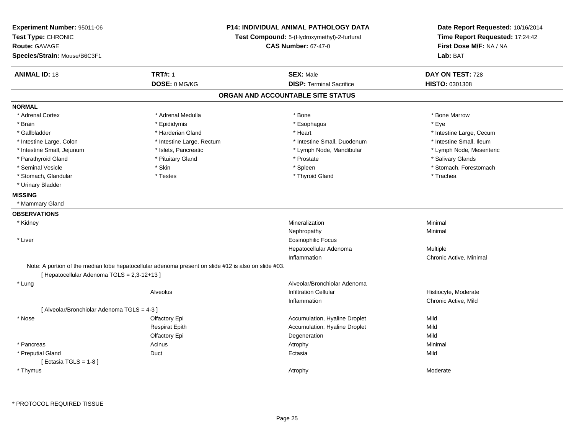| Experiment Number: 95011-06<br>Test Type: CHRONIC<br><b>Route: GAVAGE</b><br>Species/Strain: Mouse/B6C3F1 | <b>P14: INDIVIDUAL ANIMAL PATHOLOGY DATA</b><br>Test Compound: 5-(Hydroxymethyl)-2-furfural<br><b>CAS Number: 67-47-0</b> |                                   | Date Report Requested: 10/16/2014<br>Time Report Requested: 17:24:42<br>First Dose M/F: NA / NA<br>Lab: BAT |
|-----------------------------------------------------------------------------------------------------------|---------------------------------------------------------------------------------------------------------------------------|-----------------------------------|-------------------------------------------------------------------------------------------------------------|
| <b>ANIMAL ID: 18</b>                                                                                      | <b>TRT#: 1</b>                                                                                                            | <b>SEX: Male</b>                  | DAY ON TEST: 728                                                                                            |
|                                                                                                           | DOSE: 0 MG/KG                                                                                                             | <b>DISP: Terminal Sacrifice</b>   | HISTO: 0301308                                                                                              |
|                                                                                                           |                                                                                                                           | ORGAN AND ACCOUNTABLE SITE STATUS |                                                                                                             |
| <b>NORMAL</b>                                                                                             |                                                                                                                           |                                   |                                                                                                             |
| * Adrenal Cortex                                                                                          | * Adrenal Medulla                                                                                                         | * Bone                            | * Bone Marrow                                                                                               |
| * Brain                                                                                                   | * Epididymis                                                                                                              | * Esophagus                       | * Eye                                                                                                       |
| * Gallbladder                                                                                             | * Harderian Gland                                                                                                         | * Heart                           | * Intestine Large, Cecum                                                                                    |
| * Intestine Large, Colon                                                                                  | * Intestine Large, Rectum                                                                                                 | * Intestine Small, Duodenum       | * Intestine Small, Ileum                                                                                    |
| * Intestine Small, Jejunum                                                                                | * Islets, Pancreatic                                                                                                      | * Lymph Node, Mandibular          | * Lymph Node, Mesenteric                                                                                    |
| * Parathyroid Gland                                                                                       | * Pituitary Gland                                                                                                         | * Prostate                        | * Salivary Glands                                                                                           |
| * Seminal Vesicle                                                                                         | * Skin                                                                                                                    | * Spleen                          | * Stomach, Forestomach                                                                                      |
| * Stomach, Glandular                                                                                      | $^\star$ Testes                                                                                                           | * Thyroid Gland                   | * Trachea                                                                                                   |
| * Urinary Bladder                                                                                         |                                                                                                                           |                                   |                                                                                                             |
| <b>MISSING</b>                                                                                            |                                                                                                                           |                                   |                                                                                                             |
| * Mammary Gland                                                                                           |                                                                                                                           |                                   |                                                                                                             |
| <b>OBSERVATIONS</b>                                                                                       |                                                                                                                           |                                   |                                                                                                             |
| * Kidney                                                                                                  |                                                                                                                           | Mineralization                    | Minimal                                                                                                     |
|                                                                                                           |                                                                                                                           | Nephropathy                       | Minimal                                                                                                     |
| * Liver                                                                                                   |                                                                                                                           | <b>Eosinophilic Focus</b>         |                                                                                                             |
|                                                                                                           |                                                                                                                           | Hepatocellular Adenoma            | Multiple                                                                                                    |
|                                                                                                           |                                                                                                                           | Inflammation                      | Chronic Active, Minimal                                                                                     |
| [ Hepatocellular Adenoma TGLS = 2,3-12+13 ]                                                               | Note: A portion of the median lobe hepatocellular adenoma present on slide #12 is also on slide #03.                      |                                   |                                                                                                             |
| * Lung                                                                                                    |                                                                                                                           | Alveolar/Bronchiolar Adenoma      |                                                                                                             |
|                                                                                                           | Alveolus                                                                                                                  | <b>Infiltration Cellular</b>      | Histiocyte, Moderate                                                                                        |
|                                                                                                           |                                                                                                                           | Inflammation                      | Chronic Active, Mild                                                                                        |
| [ Alveolar/Bronchiolar Adenoma TGLS = 4-3 ]                                                               |                                                                                                                           |                                   |                                                                                                             |
| * Nose                                                                                                    | Olfactory Epi                                                                                                             | Accumulation, Hyaline Droplet     | Mild                                                                                                        |
|                                                                                                           | <b>Respirat Epith</b>                                                                                                     | Accumulation, Hyaline Droplet     | Mild                                                                                                        |
|                                                                                                           | Olfactory Epi                                                                                                             | Degeneration                      | Mild                                                                                                        |
| * Pancreas                                                                                                | Acinus                                                                                                                    | Atrophy                           | Minimal                                                                                                     |
| * Preputial Gland                                                                                         | Duct                                                                                                                      | Ectasia                           | Mild                                                                                                        |
| [Ectasia TGLS = $1-8$ ]                                                                                   |                                                                                                                           |                                   |                                                                                                             |
| * Thymus                                                                                                  |                                                                                                                           | Atrophy                           | Moderate                                                                                                    |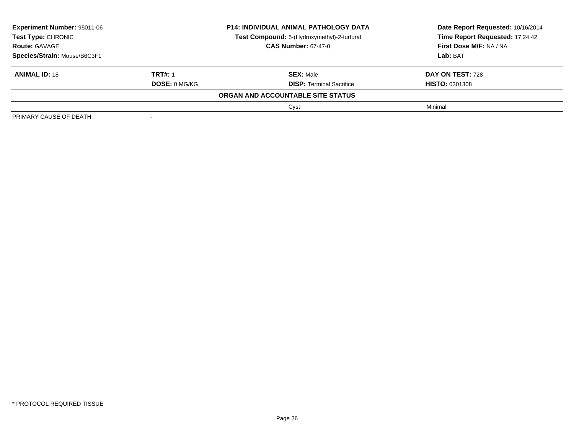| <b>Experiment Number: 95011-06</b><br><b>Test Type: CHRONIC</b><br><b>Route: GAVAGE</b><br>Species/Strain: Mouse/B6C3F1 |                      | <b>P14: INDIVIDUAL ANIMAL PATHOLOGY DATA</b> | Date Report Requested: 10/16/2014<br>Time Report Requested: 17:24:42<br>First Dose M/F: NA / NA |
|-------------------------------------------------------------------------------------------------------------------------|----------------------|----------------------------------------------|-------------------------------------------------------------------------------------------------|
|                                                                                                                         |                      | Test Compound: 5-(Hydroxymethyl)-2-furfural  |                                                                                                 |
|                                                                                                                         |                      | <b>CAS Number: 67-47-0</b>                   |                                                                                                 |
|                                                                                                                         |                      |                                              | <b>Lab: BAT</b>                                                                                 |
| <b>ANIMAL ID: 18</b>                                                                                                    | <b>TRT#: 1</b>       | <b>SEX: Male</b>                             | <b>DAY ON TEST: 728</b>                                                                         |
|                                                                                                                         | <b>DOSE: 0 MG/KG</b> | <b>DISP: Terminal Sacrifice</b>              | <b>HISTO: 0301308</b>                                                                           |
|                                                                                                                         |                      | ORGAN AND ACCOUNTABLE SITE STATUS            |                                                                                                 |
|                                                                                                                         |                      | Cyst                                         | Minimal                                                                                         |
| PRIMARY CAUSE OF DEATH                                                                                                  |                      |                                              |                                                                                                 |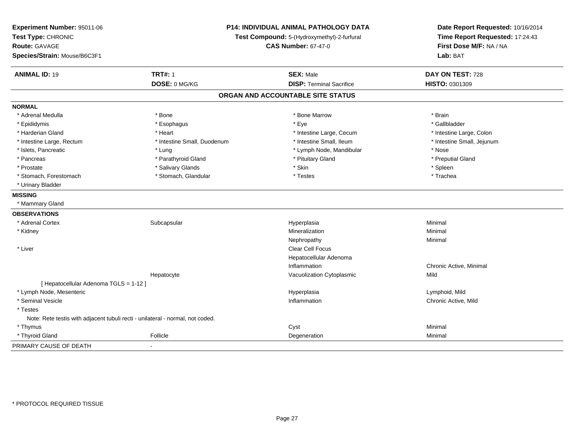| Experiment Number: 95011-06<br>Test Type: CHRONIC<br><b>Route: GAVAGE</b><br>Species/Strain: Mouse/B6C3F1 | P14: INDIVIDUAL ANIMAL PATHOLOGY DATA<br>Test Compound: 5-(Hydroxymethyl)-2-furfural<br><b>CAS Number: 67-47-0</b> |                                   | Date Report Requested: 10/16/2014<br>Time Report Requested: 17:24:43<br>First Dose M/F: NA / NA<br>Lab: BAT |
|-----------------------------------------------------------------------------------------------------------|--------------------------------------------------------------------------------------------------------------------|-----------------------------------|-------------------------------------------------------------------------------------------------------------|
| <b>ANIMAL ID: 19</b>                                                                                      | <b>TRT#: 1</b>                                                                                                     | <b>SEX: Male</b>                  | DAY ON TEST: 728                                                                                            |
|                                                                                                           | DOSE: 0 MG/KG                                                                                                      | <b>DISP: Terminal Sacrifice</b>   | HISTO: 0301309                                                                                              |
|                                                                                                           |                                                                                                                    | ORGAN AND ACCOUNTABLE SITE STATUS |                                                                                                             |
| <b>NORMAL</b>                                                                                             |                                                                                                                    |                                   |                                                                                                             |
| * Adrenal Medulla                                                                                         | * Bone                                                                                                             | * Bone Marrow                     | * Brain                                                                                                     |
| * Epididymis                                                                                              | * Esophagus                                                                                                        | * Eye                             | * Gallbladder                                                                                               |
| * Harderian Gland                                                                                         | * Heart                                                                                                            | * Intestine Large, Cecum          | * Intestine Large, Colon                                                                                    |
| * Intestine Large, Rectum                                                                                 | * Intestine Small, Duodenum                                                                                        | * Intestine Small, Ileum          | * Intestine Small, Jejunum                                                                                  |
| * Islets, Pancreatic                                                                                      | * Lung                                                                                                             | * Lymph Node, Mandibular          | * Nose                                                                                                      |
| * Pancreas                                                                                                | * Parathyroid Gland                                                                                                | * Pituitary Gland                 | * Preputial Gland                                                                                           |
| * Prostate                                                                                                | * Salivary Glands                                                                                                  | * Skin                            | * Spleen                                                                                                    |
| * Stomach, Forestomach                                                                                    | * Stomach, Glandular                                                                                               | * Testes                          | * Trachea                                                                                                   |
| * Urinary Bladder                                                                                         |                                                                                                                    |                                   |                                                                                                             |
| <b>MISSING</b>                                                                                            |                                                                                                                    |                                   |                                                                                                             |
| * Mammary Gland                                                                                           |                                                                                                                    |                                   |                                                                                                             |
| <b>OBSERVATIONS</b>                                                                                       |                                                                                                                    |                                   |                                                                                                             |
| * Adrenal Cortex                                                                                          | Subcapsular                                                                                                        | Hyperplasia                       | Minimal                                                                                                     |
| * Kidney                                                                                                  |                                                                                                                    | Mineralization                    | Minimal                                                                                                     |
|                                                                                                           |                                                                                                                    | Nephropathy                       | Minimal                                                                                                     |
| * Liver                                                                                                   |                                                                                                                    | <b>Clear Cell Focus</b>           |                                                                                                             |
|                                                                                                           |                                                                                                                    | Hepatocellular Adenoma            |                                                                                                             |
|                                                                                                           |                                                                                                                    | Inflammation                      | Chronic Active, Minimal                                                                                     |
|                                                                                                           | Hepatocyte                                                                                                         | Vacuolization Cytoplasmic         | Mild                                                                                                        |
| [ Hepatocellular Adenoma TGLS = 1-12 ]                                                                    |                                                                                                                    |                                   |                                                                                                             |
| * Lymph Node, Mesenteric                                                                                  |                                                                                                                    | Hyperplasia                       | Lymphoid, Mild                                                                                              |
| * Seminal Vesicle                                                                                         |                                                                                                                    | Inflammation                      | Chronic Active, Mild                                                                                        |
| * Testes                                                                                                  |                                                                                                                    |                                   |                                                                                                             |
| Note: Rete testis with adjacent tubuli recti - unilateral - normal, not coded.                            |                                                                                                                    |                                   |                                                                                                             |
| * Thymus                                                                                                  |                                                                                                                    | Cyst                              | Minimal                                                                                                     |
| * Thyroid Gland                                                                                           | Follicle                                                                                                           | Degeneration                      | Minimal                                                                                                     |
| PRIMARY CAUSE OF DEATH                                                                                    |                                                                                                                    |                                   |                                                                                                             |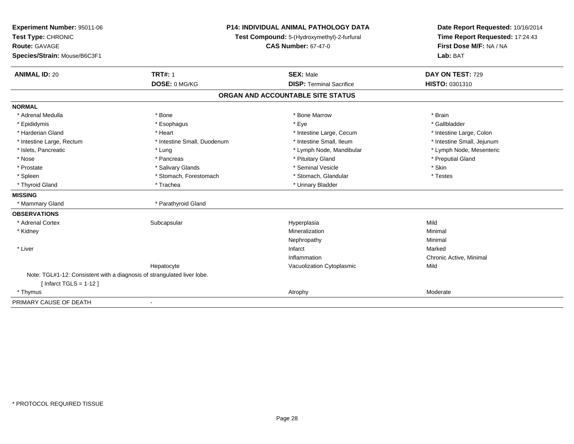| Experiment Number: 95011-06                                             | P14: INDIVIDUAL ANIMAL PATHOLOGY DATA |                                             | Date Report Requested: 10/16/2014                          |
|-------------------------------------------------------------------------|---------------------------------------|---------------------------------------------|------------------------------------------------------------|
| Test Type: CHRONIC                                                      |                                       | Test Compound: 5-(Hydroxymethyl)-2-furfural |                                                            |
| <b>Route: GAVAGE</b>                                                    |                                       | <b>CAS Number: 67-47-0</b>                  | Time Report Requested: 17:24:43<br>First Dose M/F: NA / NA |
| Species/Strain: Mouse/B6C3F1                                            |                                       |                                             | Lab: BAT                                                   |
| <b>ANIMAL ID: 20</b>                                                    | <b>TRT#: 1</b>                        | <b>SEX: Male</b>                            | DAY ON TEST: 729                                           |
|                                                                         | DOSE: 0 MG/KG                         | <b>DISP: Terminal Sacrifice</b>             | HISTO: 0301310                                             |
|                                                                         |                                       | ORGAN AND ACCOUNTABLE SITE STATUS           |                                                            |
| <b>NORMAL</b>                                                           |                                       |                                             |                                                            |
| * Adrenal Medulla                                                       | * Bone                                | * Bone Marrow                               | * Brain                                                    |
| * Epididymis                                                            | * Esophagus                           | * Eye                                       | * Gallbladder                                              |
| * Harderian Gland                                                       | * Heart                               | * Intestine Large, Cecum                    | * Intestine Large, Colon                                   |
| * Intestine Large, Rectum                                               | * Intestine Small, Duodenum           | * Intestine Small, Ileum                    | * Intestine Small, Jejunum                                 |
| * Islets, Pancreatic                                                    | * Lung                                | * Lymph Node, Mandibular                    | * Lymph Node, Mesenteric                                   |
| * Nose                                                                  | * Pancreas                            | * Pituitary Gland                           | * Preputial Gland                                          |
| * Prostate                                                              | * Salivary Glands                     | * Seminal Vesicle                           | * Skin                                                     |
| * Spleen                                                                | * Stomach, Forestomach                | * Stomach, Glandular                        | * Testes                                                   |
| * Thyroid Gland                                                         | * Trachea                             | * Urinary Bladder                           |                                                            |
| <b>MISSING</b>                                                          |                                       |                                             |                                                            |
| * Mammary Gland                                                         | * Parathyroid Gland                   |                                             |                                                            |
| <b>OBSERVATIONS</b>                                                     |                                       |                                             |                                                            |
| * Adrenal Cortex                                                        | Subcapsular                           | Hyperplasia                                 | Mild                                                       |
| * Kidney                                                                |                                       | Mineralization                              | Minimal                                                    |
|                                                                         |                                       | Nephropathy                                 | Minimal                                                    |
| * Liver                                                                 |                                       | Infarct                                     | Marked                                                     |
|                                                                         |                                       | Inflammation                                | Chronic Active, Minimal                                    |
|                                                                         | Hepatocyte                            | Vacuolization Cytoplasmic                   | Mild                                                       |
| Note: TGL#1-12: Consistent with a diagnosis of strangulated liver lobe. |                                       |                                             |                                                            |
| [Infarct TGLS = $1-12$ ]                                                |                                       |                                             |                                                            |
| * Thymus                                                                |                                       | Atrophy                                     | Moderate                                                   |
| PRIMARY CAUSE OF DEATH                                                  | $\blacksquare$                        |                                             |                                                            |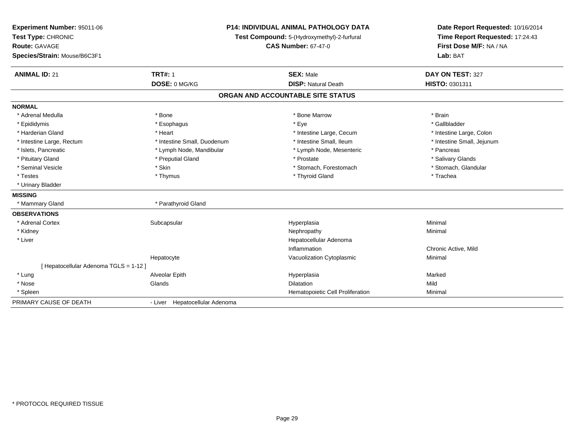| Experiment Number: 95011-06<br>Test Type: CHRONIC<br><b>Route: GAVAGE</b><br>Species/Strain: Mouse/B6C3F1 | P14: INDIVIDUAL ANIMAL PATHOLOGY DATA<br>Test Compound: 5-(Hydroxymethyl)-2-furfural<br><b>CAS Number: 67-47-0</b> |                                                | Date Report Requested: 10/16/2014<br>Time Report Requested: 17:24:43<br>First Dose M/F: NA / NA<br>Lab: BAT |  |
|-----------------------------------------------------------------------------------------------------------|--------------------------------------------------------------------------------------------------------------------|------------------------------------------------|-------------------------------------------------------------------------------------------------------------|--|
| <b>ANIMAL ID: 21</b>                                                                                      | <b>TRT#: 1</b><br>DOSE: 0 MG/KG                                                                                    | <b>SEX: Male</b><br><b>DISP: Natural Death</b> | DAY ON TEST: 327<br>HISTO: 0301311                                                                          |  |
|                                                                                                           |                                                                                                                    | ORGAN AND ACCOUNTABLE SITE STATUS              |                                                                                                             |  |
| <b>NORMAL</b>                                                                                             |                                                                                                                    |                                                |                                                                                                             |  |
| * Adrenal Medulla                                                                                         | * Bone                                                                                                             | * Bone Marrow                                  | * Brain                                                                                                     |  |
| * Epididymis                                                                                              | * Esophagus                                                                                                        | * Eye                                          | * Gallbladder                                                                                               |  |
| * Harderian Gland                                                                                         | * Heart                                                                                                            | * Intestine Large, Cecum                       | * Intestine Large, Colon                                                                                    |  |
| * Intestine Large, Rectum                                                                                 | * Intestine Small, Duodenum                                                                                        | * Intestine Small, Ileum                       | * Intestine Small, Jejunum                                                                                  |  |
| * Islets, Pancreatic                                                                                      | * Lymph Node, Mandibular                                                                                           | * Lymph Node, Mesenteric                       | * Pancreas                                                                                                  |  |
| * Pituitary Gland                                                                                         | * Preputial Gland                                                                                                  | * Prostate                                     | * Salivary Glands                                                                                           |  |
| * Seminal Vesicle                                                                                         | * Skin                                                                                                             | * Stomach, Forestomach                         | * Stomach, Glandular                                                                                        |  |
| * Testes                                                                                                  | * Thymus                                                                                                           | * Thyroid Gland                                | * Trachea                                                                                                   |  |
| * Urinary Bladder                                                                                         |                                                                                                                    |                                                |                                                                                                             |  |
| <b>MISSING</b>                                                                                            |                                                                                                                    |                                                |                                                                                                             |  |
| * Mammary Gland                                                                                           | * Parathyroid Gland                                                                                                |                                                |                                                                                                             |  |
| <b>OBSERVATIONS</b>                                                                                       |                                                                                                                    |                                                |                                                                                                             |  |
| * Adrenal Cortex                                                                                          | Subcapsular                                                                                                        | Hyperplasia                                    | Minimal                                                                                                     |  |
| * Kidney                                                                                                  |                                                                                                                    | Nephropathy                                    | Minimal                                                                                                     |  |
| * Liver                                                                                                   |                                                                                                                    | Hepatocellular Adenoma                         |                                                                                                             |  |
|                                                                                                           |                                                                                                                    | Inflammation                                   | Chronic Active, Mild                                                                                        |  |
|                                                                                                           | Hepatocyte                                                                                                         | Vacuolization Cytoplasmic                      | Minimal                                                                                                     |  |
| [ Hepatocellular Adenoma TGLS = 1-12 ]                                                                    |                                                                                                                    |                                                |                                                                                                             |  |
| * Lung                                                                                                    | Alveolar Epith                                                                                                     | Hyperplasia                                    | Marked                                                                                                      |  |
| * Nose                                                                                                    | Glands                                                                                                             | <b>Dilatation</b>                              | Mild                                                                                                        |  |
| * Spleen                                                                                                  |                                                                                                                    | Hematopoietic Cell Proliferation               | Minimal                                                                                                     |  |
| PRIMARY CAUSE OF DEATH                                                                                    | - Liver Hepatocellular Adenoma                                                                                     |                                                |                                                                                                             |  |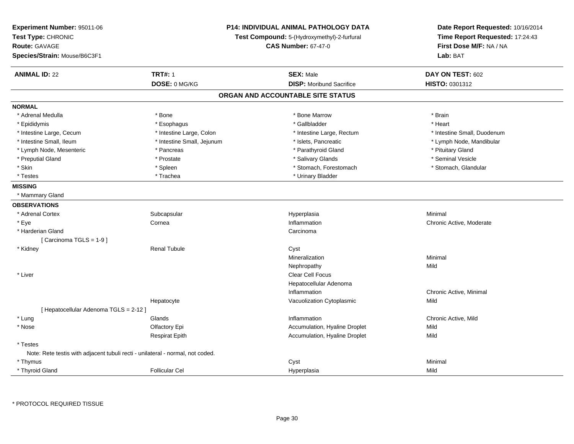| Experiment Number: 95011-06<br>Test Type: CHRONIC<br><b>Route: GAVAGE</b><br>Species/Strain: Mouse/B6C3F1 |                            | P14: INDIVIDUAL ANIMAL PATHOLOGY DATA<br>Test Compound: 5-(Hydroxymethyl)-2-furfural<br><b>CAS Number: 67-47-0</b> | Date Report Requested: 10/16/2014<br>Time Report Requested: 17:24:43<br>First Dose M/F: NA / NA<br>Lab: BAT |
|-----------------------------------------------------------------------------------------------------------|----------------------------|--------------------------------------------------------------------------------------------------------------------|-------------------------------------------------------------------------------------------------------------|
| <b>ANIMAL ID: 22</b>                                                                                      | <b>TRT#: 1</b>             | <b>SEX: Male</b>                                                                                                   | DAY ON TEST: 602                                                                                            |
|                                                                                                           | DOSE: 0 MG/KG              | <b>DISP:</b> Moribund Sacrifice                                                                                    | HISTO: 0301312                                                                                              |
|                                                                                                           |                            | ORGAN AND ACCOUNTABLE SITE STATUS                                                                                  |                                                                                                             |
| <b>NORMAL</b>                                                                                             |                            |                                                                                                                    |                                                                                                             |
| * Adrenal Medulla                                                                                         | * Bone                     | * Bone Marrow                                                                                                      | * Brain                                                                                                     |
| * Epididymis                                                                                              | * Esophagus                | * Gallbladder                                                                                                      | * Heart                                                                                                     |
| * Intestine Large, Cecum                                                                                  | * Intestine Large, Colon   | * Intestine Large, Rectum                                                                                          | * Intestine Small, Duodenum                                                                                 |
| * Intestine Small, Ileum                                                                                  | * Intestine Small, Jejunum | * Islets, Pancreatic                                                                                               | * Lymph Node, Mandibular                                                                                    |
| * Lymph Node, Mesenteric                                                                                  | * Pancreas                 | * Parathyroid Gland                                                                                                | * Pituitary Gland                                                                                           |
| * Preputial Gland                                                                                         | * Prostate                 | * Salivary Glands                                                                                                  | * Seminal Vesicle                                                                                           |
| * Skin                                                                                                    | * Spleen                   | * Stomach, Forestomach                                                                                             | * Stomach, Glandular                                                                                        |
| * Testes                                                                                                  | * Trachea                  | * Urinary Bladder                                                                                                  |                                                                                                             |
| <b>MISSING</b>                                                                                            |                            |                                                                                                                    |                                                                                                             |
| * Mammary Gland                                                                                           |                            |                                                                                                                    |                                                                                                             |
| <b>OBSERVATIONS</b>                                                                                       |                            |                                                                                                                    |                                                                                                             |
| * Adrenal Cortex                                                                                          | Subcapsular                | Hyperplasia                                                                                                        | Minimal                                                                                                     |
| * Eye                                                                                                     | Cornea                     | Inflammation                                                                                                       | Chronic Active, Moderate                                                                                    |
| * Harderian Gland                                                                                         |                            | Carcinoma                                                                                                          |                                                                                                             |
| [Carcinoma TGLS = 1-9]                                                                                    |                            |                                                                                                                    |                                                                                                             |
| * Kidney                                                                                                  | <b>Renal Tubule</b>        | Cyst                                                                                                               |                                                                                                             |
|                                                                                                           |                            | Mineralization                                                                                                     | Minimal                                                                                                     |
|                                                                                                           |                            | Nephropathy                                                                                                        | Mild                                                                                                        |
| * Liver                                                                                                   |                            | <b>Clear Cell Focus</b>                                                                                            |                                                                                                             |
|                                                                                                           |                            | Hepatocellular Adenoma                                                                                             |                                                                                                             |
|                                                                                                           |                            | Inflammation                                                                                                       | Chronic Active, Minimal                                                                                     |
|                                                                                                           | Hepatocyte                 | Vacuolization Cytoplasmic                                                                                          | Mild                                                                                                        |
| [ Hepatocellular Adenoma TGLS = 2-12 ]                                                                    |                            |                                                                                                                    |                                                                                                             |
| * Lung                                                                                                    | Glands                     | Inflammation                                                                                                       | Chronic Active, Mild                                                                                        |
| * Nose                                                                                                    | Olfactory Epi              | Accumulation, Hyaline Droplet                                                                                      | Mild                                                                                                        |
|                                                                                                           | <b>Respirat Epith</b>      | Accumulation, Hyaline Droplet                                                                                      | Mild                                                                                                        |
| * Testes                                                                                                  |                            |                                                                                                                    |                                                                                                             |
| Note: Rete testis with adjacent tubuli recti - unilateral - normal, not coded.                            |                            |                                                                                                                    |                                                                                                             |
| * Thymus                                                                                                  |                            | Cyst                                                                                                               | Minimal                                                                                                     |
| * Thyroid Gland                                                                                           | <b>Follicular Cel</b>      | Hyperplasia                                                                                                        | Mild                                                                                                        |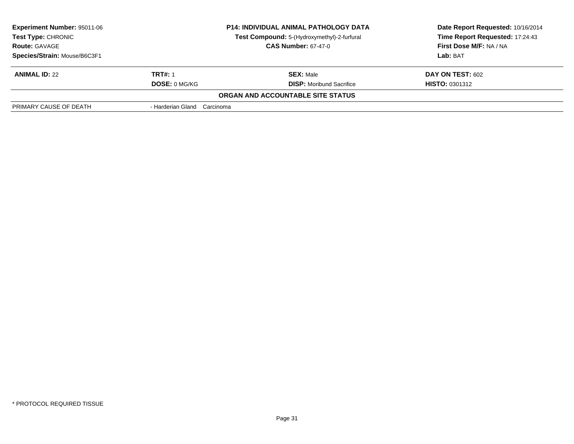| <b>Experiment Number: 95011-06</b><br>Test Type: CHRONIC<br><b>Route: GAVAGE</b><br>Species/Strain: Mouse/B6C3F1 | <b>P14: INDIVIDUAL ANIMAL PATHOLOGY DATA</b><br>Test Compound: 5-(Hydroxymethyl)-2-furfural<br><b>CAS Number: 67-47-0</b> |                                                     | Date Report Requested: 10/16/2014<br>Time Report Requested: 17:24:43<br><b>First Dose M/F: NA / NA</b><br>Lab: BAT |  |
|------------------------------------------------------------------------------------------------------------------|---------------------------------------------------------------------------------------------------------------------------|-----------------------------------------------------|--------------------------------------------------------------------------------------------------------------------|--|
| <b>ANIMAL ID: 22</b>                                                                                             | <b>TRT#: 1</b><br><b>DOSE: 0 MG/KG</b>                                                                                    | <b>SEX: Male</b><br><b>DISP:</b> Moribund Sacrifice | <b>DAY ON TEST: 602</b><br><b>HISTO: 0301312</b>                                                                   |  |
|                                                                                                                  |                                                                                                                           | <b>ORGAN AND ACCOUNTABLE SITE STATUS</b>            |                                                                                                                    |  |
| PRIMARY CAUSE OF DEATH                                                                                           | - Harderian Gland Carcinoma                                                                                               |                                                     |                                                                                                                    |  |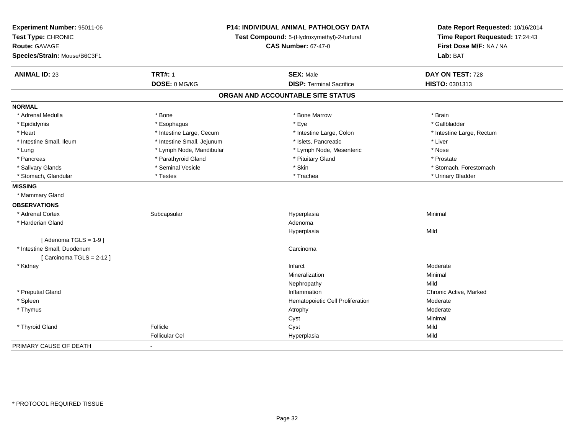| Experiment Number: 95011-06<br>Test Type: CHRONIC<br><b>Route: GAVAGE</b><br>Species/Strain: Mouse/B6C3F1 |                            | <b>P14: INDIVIDUAL ANIMAL PATHOLOGY DATA</b><br>Test Compound: 5-(Hydroxymethyl)-2-furfural<br><b>CAS Number: 67-47-0</b> | Date Report Requested: 10/16/2014<br>Time Report Requested: 17:24:43<br>First Dose M/F: NA / NA<br>Lab: BAT |  |
|-----------------------------------------------------------------------------------------------------------|----------------------------|---------------------------------------------------------------------------------------------------------------------------|-------------------------------------------------------------------------------------------------------------|--|
| <b>ANIMAL ID: 23</b>                                                                                      | <b>TRT#: 1</b>             | <b>SEX: Male</b>                                                                                                          | DAY ON TEST: 728                                                                                            |  |
|                                                                                                           | DOSE: 0 MG/KG              | <b>DISP: Terminal Sacrifice</b>                                                                                           | HISTO: 0301313                                                                                              |  |
|                                                                                                           |                            | ORGAN AND ACCOUNTABLE SITE STATUS                                                                                         |                                                                                                             |  |
| <b>NORMAL</b>                                                                                             |                            |                                                                                                                           |                                                                                                             |  |
| * Adrenal Medulla                                                                                         | * Bone                     | * Bone Marrow                                                                                                             | * Brain                                                                                                     |  |
| * Epididymis                                                                                              | * Esophagus                | * Eye                                                                                                                     | * Gallbladder                                                                                               |  |
| * Heart                                                                                                   | * Intestine Large, Cecum   | * Intestine Large, Colon                                                                                                  | * Intestine Large, Rectum                                                                                   |  |
| * Intestine Small, Ileum                                                                                  | * Intestine Small, Jejunum | * Islets, Pancreatic                                                                                                      | * Liver                                                                                                     |  |
| * Lung                                                                                                    | * Lymph Node, Mandibular   | * Lymph Node, Mesenteric                                                                                                  | * Nose                                                                                                      |  |
| * Pancreas                                                                                                | * Parathyroid Gland        | * Pituitary Gland                                                                                                         | * Prostate                                                                                                  |  |
| * Salivary Glands                                                                                         | * Seminal Vesicle          | * Skin                                                                                                                    | * Stomach, Forestomach                                                                                      |  |
| * Stomach, Glandular                                                                                      | * Testes                   | * Trachea                                                                                                                 | * Urinary Bladder                                                                                           |  |
| <b>MISSING</b>                                                                                            |                            |                                                                                                                           |                                                                                                             |  |
| * Mammary Gland                                                                                           |                            |                                                                                                                           |                                                                                                             |  |
| <b>OBSERVATIONS</b>                                                                                       |                            |                                                                                                                           |                                                                                                             |  |
| * Adrenal Cortex                                                                                          | Subcapsular                | Hyperplasia                                                                                                               | Minimal                                                                                                     |  |
| * Harderian Gland                                                                                         |                            | Adenoma                                                                                                                   |                                                                                                             |  |
|                                                                                                           |                            | Hyperplasia                                                                                                               | Mild                                                                                                        |  |
| [Adenoma TGLS = $1-9$ ]                                                                                   |                            |                                                                                                                           |                                                                                                             |  |
| * Intestine Small, Duodenum                                                                               |                            | Carcinoma                                                                                                                 |                                                                                                             |  |
| [Carcinoma TGLS = $2-12$ ]                                                                                |                            |                                                                                                                           |                                                                                                             |  |
| * Kidney                                                                                                  |                            | Infarct                                                                                                                   | Moderate                                                                                                    |  |
|                                                                                                           |                            | Mineralization                                                                                                            | Minimal                                                                                                     |  |
|                                                                                                           |                            | Nephropathy                                                                                                               | Mild                                                                                                        |  |
| * Preputial Gland                                                                                         |                            | Inflammation                                                                                                              | Chronic Active, Marked                                                                                      |  |
| * Spleen                                                                                                  |                            | Hematopoietic Cell Proliferation                                                                                          | Moderate                                                                                                    |  |
| * Thymus                                                                                                  |                            | Atrophy                                                                                                                   | Moderate                                                                                                    |  |
|                                                                                                           |                            | Cyst                                                                                                                      | Minimal                                                                                                     |  |
| * Thyroid Gland                                                                                           | Follicle                   | Cyst                                                                                                                      | Mild                                                                                                        |  |
|                                                                                                           | <b>Follicular Cel</b>      | Hyperplasia                                                                                                               | Mild                                                                                                        |  |
| PRIMARY CAUSE OF DEATH                                                                                    | $\blacksquare$             |                                                                                                                           |                                                                                                             |  |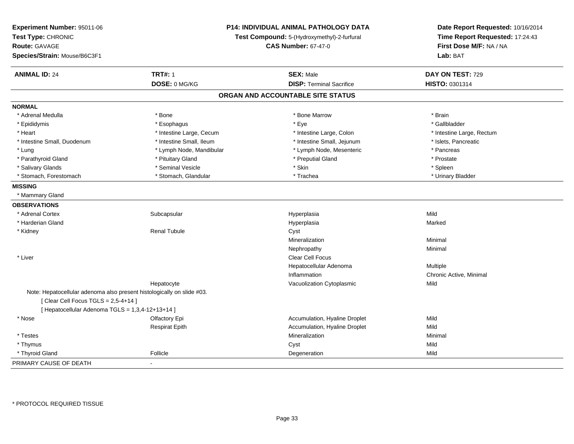| Experiment Number: 95011-06<br>Test Type: CHRONIC<br><b>Route: GAVAGE</b><br>Species/Strain: Mouse/B6C3F1       |                          | <b>P14: INDIVIDUAL ANIMAL PATHOLOGY DATA</b><br>Test Compound: 5-(Hydroxymethyl)-2-furfural<br><b>CAS Number: 67-47-0</b> | Date Report Requested: 10/16/2014<br>Time Report Requested: 17:24:43<br>First Dose M/F: NA / NA<br>Lab: BAT |
|-----------------------------------------------------------------------------------------------------------------|--------------------------|---------------------------------------------------------------------------------------------------------------------------|-------------------------------------------------------------------------------------------------------------|
| <b>ANIMAL ID: 24</b>                                                                                            | <b>TRT#: 1</b>           | <b>SEX: Male</b>                                                                                                          | DAY ON TEST: 729                                                                                            |
|                                                                                                                 | DOSE: 0 MG/KG            | <b>DISP: Terminal Sacrifice</b>                                                                                           | HISTO: 0301314                                                                                              |
|                                                                                                                 |                          | ORGAN AND ACCOUNTABLE SITE STATUS                                                                                         |                                                                                                             |
| <b>NORMAL</b>                                                                                                   |                          |                                                                                                                           |                                                                                                             |
| * Adrenal Medulla                                                                                               | * Bone                   | * Bone Marrow                                                                                                             | * Brain                                                                                                     |
| * Epididymis                                                                                                    | * Esophagus              | * Eye                                                                                                                     | * Gallbladder                                                                                               |
| * Heart                                                                                                         | * Intestine Large, Cecum | * Intestine Large, Colon                                                                                                  | * Intestine Large, Rectum                                                                                   |
| * Intestine Small, Duodenum                                                                                     | * Intestine Small, Ileum | * Intestine Small, Jejunum                                                                                                | * Islets, Pancreatic                                                                                        |
| * Lung                                                                                                          | * Lymph Node, Mandibular | * Lymph Node, Mesenteric                                                                                                  | * Pancreas                                                                                                  |
| * Parathyroid Gland                                                                                             | * Pituitary Gland        | * Preputial Gland                                                                                                         | * Prostate                                                                                                  |
| * Salivary Glands                                                                                               | * Seminal Vesicle        | * Skin                                                                                                                    | * Spleen                                                                                                    |
| * Stomach, Forestomach                                                                                          | * Stomach, Glandular     | * Trachea                                                                                                                 | * Urinary Bladder                                                                                           |
| <b>MISSING</b>                                                                                                  |                          |                                                                                                                           |                                                                                                             |
| * Mammary Gland                                                                                                 |                          |                                                                                                                           |                                                                                                             |
| <b>OBSERVATIONS</b>                                                                                             |                          |                                                                                                                           |                                                                                                             |
| * Adrenal Cortex                                                                                                | Subcapsular              | Hyperplasia                                                                                                               | Mild                                                                                                        |
| * Harderian Gland                                                                                               |                          | Hyperplasia                                                                                                               | Marked                                                                                                      |
| * Kidney                                                                                                        | <b>Renal Tubule</b>      | Cyst                                                                                                                      |                                                                                                             |
|                                                                                                                 |                          | Mineralization                                                                                                            | Minimal                                                                                                     |
|                                                                                                                 |                          | Nephropathy                                                                                                               | Minimal                                                                                                     |
| * Liver                                                                                                         |                          | Clear Cell Focus                                                                                                          |                                                                                                             |
|                                                                                                                 |                          | Hepatocellular Adenoma                                                                                                    | Multiple                                                                                                    |
|                                                                                                                 |                          | Inflammation                                                                                                              | Chronic Active, Minimal                                                                                     |
|                                                                                                                 | Hepatocyte               | Vacuolization Cytoplasmic                                                                                                 | Mild                                                                                                        |
| Note: Hepatocellular adenoma also present histologically on slide #03.<br>[Clear Cell Focus TGLS = $2,5-4+14$ ] |                          |                                                                                                                           |                                                                                                             |
| [ Hepatocellular Adenoma TGLS = 1,3,4-12+13+14 ]                                                                |                          |                                                                                                                           |                                                                                                             |
| * Nose                                                                                                          | Olfactory Epi            | Accumulation, Hyaline Droplet                                                                                             | Mild                                                                                                        |
|                                                                                                                 | <b>Respirat Epith</b>    | Accumulation, Hyaline Droplet                                                                                             | Mild                                                                                                        |
| * Testes                                                                                                        |                          | Mineralization                                                                                                            | Minimal                                                                                                     |
| * Thymus                                                                                                        |                          | Cyst                                                                                                                      | Mild                                                                                                        |
| * Thyroid Gland                                                                                                 | Follicle                 | Degeneration                                                                                                              | Mild                                                                                                        |
| PRIMARY CAUSE OF DEATH                                                                                          | $\overline{\phantom{a}}$ |                                                                                                                           |                                                                                                             |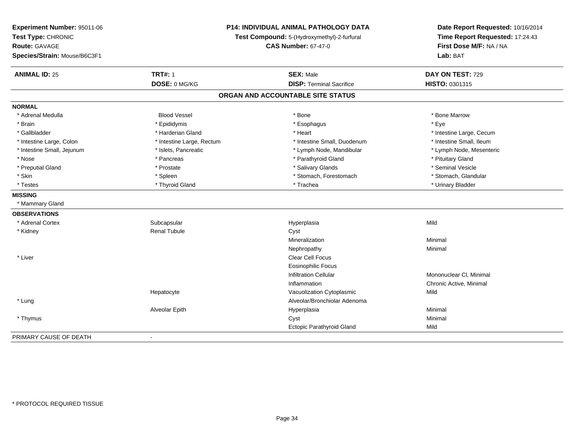| Experiment Number: 95011-06<br>Test Type: CHRONIC<br><b>Route: GAVAGE</b><br>Species/Strain: Mouse/B6C3F1 |                           | P14: INDIVIDUAL ANIMAL PATHOLOGY DATA<br>Test Compound: 5-(Hydroxymethyl)-2-furfural<br><b>CAS Number: 67-47-0</b> | Date Report Requested: 10/16/2014<br>Time Report Requested: 17:24:43<br>First Dose M/F: NA / NA<br>Lab: BAT |  |
|-----------------------------------------------------------------------------------------------------------|---------------------------|--------------------------------------------------------------------------------------------------------------------|-------------------------------------------------------------------------------------------------------------|--|
| <b>ANIMAL ID: 25</b>                                                                                      | <b>TRT#: 1</b>            | <b>SEX: Male</b>                                                                                                   | DAY ON TEST: 729                                                                                            |  |
|                                                                                                           | DOSE: 0 MG/KG             | <b>DISP: Terminal Sacrifice</b>                                                                                    | HISTO: 0301315                                                                                              |  |
|                                                                                                           |                           | ORGAN AND ACCOUNTABLE SITE STATUS                                                                                  |                                                                                                             |  |
| <b>NORMAL</b>                                                                                             |                           |                                                                                                                    |                                                                                                             |  |
| * Adrenal Medulla                                                                                         | <b>Blood Vessel</b>       | * Bone                                                                                                             | * Bone Marrow                                                                                               |  |
| * Brain                                                                                                   | * Epididymis              | * Esophagus                                                                                                        | * Eye                                                                                                       |  |
| * Gallbladder                                                                                             | * Harderian Gland         | * Heart                                                                                                            | * Intestine Large, Cecum                                                                                    |  |
| * Intestine Large, Colon                                                                                  | * Intestine Large, Rectum | * Intestine Small, Duodenum                                                                                        | * Intestine Small, Ileum                                                                                    |  |
| * Intestine Small, Jejunum                                                                                | * Islets, Pancreatic      | * Lymph Node, Mandibular                                                                                           | * Lymph Node, Mesenteric                                                                                    |  |
| * Nose                                                                                                    | * Pancreas                | * Parathyroid Gland                                                                                                | * Pituitary Gland                                                                                           |  |
| * Preputial Gland                                                                                         | * Prostate                | * Salivary Glands                                                                                                  | * Seminal Vesicle                                                                                           |  |
| * Skin                                                                                                    | * Spleen                  | * Stomach, Forestomach                                                                                             | * Stomach, Glandular                                                                                        |  |
| * Testes                                                                                                  | * Thyroid Gland           | * Trachea                                                                                                          | * Urinary Bladder                                                                                           |  |
| <b>MISSING</b>                                                                                            |                           |                                                                                                                    |                                                                                                             |  |
| * Mammary Gland                                                                                           |                           |                                                                                                                    |                                                                                                             |  |
| <b>OBSERVATIONS</b>                                                                                       |                           |                                                                                                                    |                                                                                                             |  |
| * Adrenal Cortex                                                                                          | Subcapsular               | Hyperplasia                                                                                                        | Mild                                                                                                        |  |
| * Kidney                                                                                                  | <b>Renal Tubule</b>       | Cyst                                                                                                               |                                                                                                             |  |
|                                                                                                           |                           | Mineralization                                                                                                     | Minimal                                                                                                     |  |
|                                                                                                           |                           | Nephropathy                                                                                                        | Minimal                                                                                                     |  |
| * Liver                                                                                                   |                           | Clear Cell Focus                                                                                                   |                                                                                                             |  |
|                                                                                                           |                           | <b>Eosinophilic Focus</b>                                                                                          |                                                                                                             |  |
|                                                                                                           |                           | <b>Infiltration Cellular</b>                                                                                       | Mononuclear CI, Minimal                                                                                     |  |
|                                                                                                           |                           | Inflammation                                                                                                       | Chronic Active, Minimal                                                                                     |  |
|                                                                                                           | Hepatocyte                | Vacuolization Cytoplasmic                                                                                          | Mild                                                                                                        |  |
| * Lung                                                                                                    |                           | Alveolar/Bronchiolar Adenoma                                                                                       |                                                                                                             |  |
|                                                                                                           | Alveolar Epith            | Hyperplasia                                                                                                        | Minimal                                                                                                     |  |
| * Thymus                                                                                                  |                           | Cyst                                                                                                               | Minimal                                                                                                     |  |
|                                                                                                           |                           | Ectopic Parathyroid Gland                                                                                          | Mild                                                                                                        |  |
| PRIMARY CAUSE OF DEATH                                                                                    | $\blacksquare$            |                                                                                                                    |                                                                                                             |  |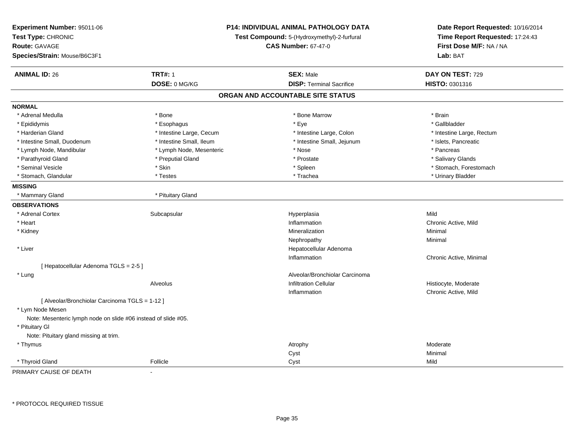| Experiment Number: 95011-06<br>Test Type: CHRONIC<br><b>Route: GAVAGE</b><br>Species/Strain: Mouse/B6C3F1 |                          | <b>P14: INDIVIDUAL ANIMAL PATHOLOGY DATA</b><br>Test Compound: 5-(Hydroxymethyl)-2-furfural<br><b>CAS Number: 67-47-0</b> | Date Report Requested: 10/16/2014<br>Time Report Requested: 17:24:43<br>First Dose M/F: NA / NA<br>Lab: BAT |
|-----------------------------------------------------------------------------------------------------------|--------------------------|---------------------------------------------------------------------------------------------------------------------------|-------------------------------------------------------------------------------------------------------------|
| <b>ANIMAL ID: 26</b>                                                                                      | <b>TRT#: 1</b>           | <b>SEX: Male</b>                                                                                                          | DAY ON TEST: 729                                                                                            |
|                                                                                                           | DOSE: 0 MG/KG            | <b>DISP: Terminal Sacrifice</b>                                                                                           | HISTO: 0301316                                                                                              |
|                                                                                                           |                          | ORGAN AND ACCOUNTABLE SITE STATUS                                                                                         |                                                                                                             |
| <b>NORMAL</b>                                                                                             |                          |                                                                                                                           |                                                                                                             |
| * Adrenal Medulla                                                                                         | * Bone                   | * Bone Marrow                                                                                                             | * Brain                                                                                                     |
| * Epididymis                                                                                              | * Esophagus              | * Eye                                                                                                                     | * Gallbladder                                                                                               |
| * Harderian Gland                                                                                         | * Intestine Large, Cecum | * Intestine Large, Colon                                                                                                  | * Intestine Large, Rectum                                                                                   |
| * Intestine Small, Duodenum                                                                               | * Intestine Small, Ileum | * Intestine Small, Jejunum                                                                                                | * Islets, Pancreatic                                                                                        |
| * Lymph Node, Mandibular                                                                                  | * Lymph Node, Mesenteric | * Nose                                                                                                                    | * Pancreas                                                                                                  |
| * Parathyroid Gland                                                                                       | * Preputial Gland        | * Prostate                                                                                                                | * Salivary Glands                                                                                           |
| * Seminal Vesicle                                                                                         | * Skin                   | * Spleen                                                                                                                  | * Stomach, Forestomach                                                                                      |
| * Stomach, Glandular                                                                                      | * Testes                 | * Trachea                                                                                                                 | * Urinary Bladder                                                                                           |
| <b>MISSING</b>                                                                                            |                          |                                                                                                                           |                                                                                                             |
| * Mammary Gland                                                                                           | * Pituitary Gland        |                                                                                                                           |                                                                                                             |
| <b>OBSERVATIONS</b>                                                                                       |                          |                                                                                                                           |                                                                                                             |
| * Adrenal Cortex                                                                                          | Subcapsular              | Hyperplasia                                                                                                               | Mild                                                                                                        |
| * Heart                                                                                                   |                          | Inflammation                                                                                                              | Chronic Active, Mild                                                                                        |
| * Kidney                                                                                                  |                          | Mineralization                                                                                                            | Minimal                                                                                                     |
|                                                                                                           |                          | Nephropathy                                                                                                               | Minimal                                                                                                     |
| * Liver                                                                                                   |                          | Hepatocellular Adenoma                                                                                                    |                                                                                                             |
|                                                                                                           |                          | Inflammation                                                                                                              | Chronic Active, Minimal                                                                                     |
| [ Hepatocellular Adenoma TGLS = 2-5 ]                                                                     |                          |                                                                                                                           |                                                                                                             |
| * Lung                                                                                                    |                          | Alveolar/Bronchiolar Carcinoma                                                                                            |                                                                                                             |
|                                                                                                           | Alveolus                 | <b>Infiltration Cellular</b>                                                                                              | Histiocyte, Moderate                                                                                        |
|                                                                                                           |                          | Inflammation                                                                                                              | Chronic Active, Mild                                                                                        |
| [ Alveolar/Bronchiolar Carcinoma TGLS = 1-12 ]<br>* Lym Node Mesen                                        |                          |                                                                                                                           |                                                                                                             |
| Note: Mesenteric lymph node on slide #06 instead of slide #05.                                            |                          |                                                                                                                           |                                                                                                             |
| * Pituitary Gl                                                                                            |                          |                                                                                                                           |                                                                                                             |
| Note: Pituitary gland missing at trim.                                                                    |                          |                                                                                                                           |                                                                                                             |
| * Thymus                                                                                                  |                          | Atrophy                                                                                                                   | Moderate                                                                                                    |
|                                                                                                           |                          | Cyst                                                                                                                      | Minimal                                                                                                     |
| * Thyroid Gland                                                                                           | Follicle                 | Cyst                                                                                                                      | Mild                                                                                                        |
| PRIMARY CAUSE OF DEATH                                                                                    | $\blacksquare$           |                                                                                                                           |                                                                                                             |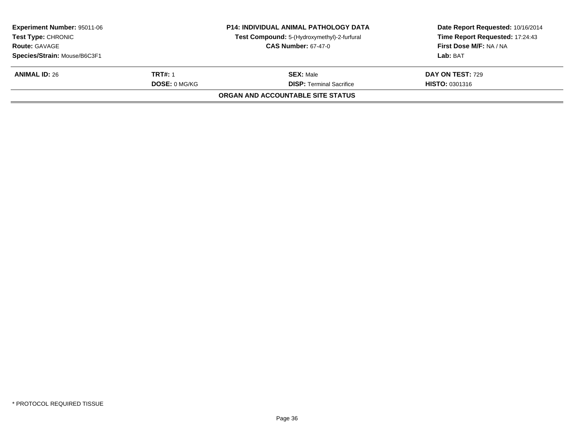| <b>Experiment Number: 95011-06</b><br><b>Test Type: CHRONIC</b><br><b>Route: GAVAGE</b><br>Species/Strain: Mouse/B6C3F1 |                                 | <b>P14: INDIVIDUAL ANIMAL PATHOLOGY DATA</b><br>Test Compound: 5-(Hydroxymethyl)-2-furfural<br><b>CAS Number: 67-47-0</b> | Date Report Requested: 10/16/2014<br>Time Report Requested: 17:24:43<br>First Dose M/F: NA / NA<br>Lab: BAT |
|-------------------------------------------------------------------------------------------------------------------------|---------------------------------|---------------------------------------------------------------------------------------------------------------------------|-------------------------------------------------------------------------------------------------------------|
| <b>ANIMAL ID: 26</b>                                                                                                    | TRT#: 1<br><b>DOSE: 0 MG/KG</b> | <b>SEX: Male</b><br><b>DISP: Terminal Sacrifice</b>                                                                       | <b>DAY ON TEST: 729</b><br><b>HISTO: 0301316</b>                                                            |
| ORGAN AND ACCOUNTABLE SITE STATUS                                                                                       |                                 |                                                                                                                           |                                                                                                             |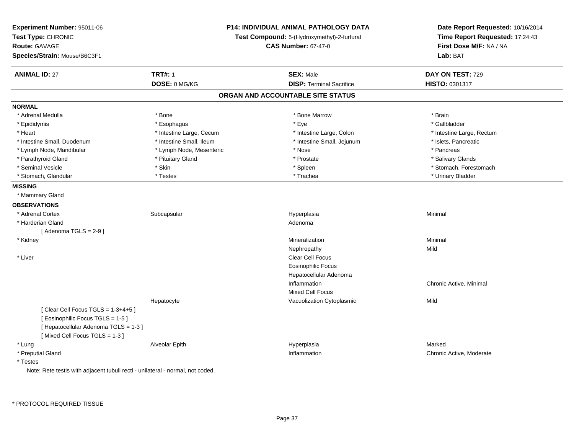| Experiment Number: 95011-06<br>Test Type: CHRONIC<br><b>Route: GAVAGE</b><br>Species/Strain: Mouse/B6C3F1 | P14: INDIVIDUAL ANIMAL PATHOLOGY DATA<br>Test Compound: 5-(Hydroxymethyl)-2-furfural<br><b>CAS Number: 67-47-0</b> |                                   | Date Report Requested: 10/16/2014<br>Time Report Requested: 17:24:43<br>First Dose M/F: NA / NA<br>Lab: BAT |
|-----------------------------------------------------------------------------------------------------------|--------------------------------------------------------------------------------------------------------------------|-----------------------------------|-------------------------------------------------------------------------------------------------------------|
| <b>ANIMAL ID: 27</b>                                                                                      | <b>TRT#: 1</b>                                                                                                     | <b>SEX: Male</b>                  | DAY ON TEST: 729                                                                                            |
|                                                                                                           | DOSE: 0 MG/KG                                                                                                      | <b>DISP: Terminal Sacrifice</b>   | HISTO: 0301317                                                                                              |
|                                                                                                           |                                                                                                                    | ORGAN AND ACCOUNTABLE SITE STATUS |                                                                                                             |
| <b>NORMAL</b>                                                                                             |                                                                                                                    |                                   |                                                                                                             |
| * Adrenal Medulla                                                                                         | * Bone                                                                                                             | * Bone Marrow                     | * Brain                                                                                                     |
| * Epididymis                                                                                              | * Esophagus                                                                                                        | * Eye                             | * Gallbladder                                                                                               |
| * Heart                                                                                                   | * Intestine Large, Cecum                                                                                           | * Intestine Large, Colon          | * Intestine Large, Rectum                                                                                   |
| * Intestine Small, Duodenum                                                                               | * Intestine Small, Ileum                                                                                           | * Intestine Small, Jejunum        | * Islets, Pancreatic                                                                                        |
| * Lymph Node, Mandibular                                                                                  | * Lymph Node, Mesenteric                                                                                           | * Nose                            | * Pancreas                                                                                                  |
| * Parathyroid Gland                                                                                       | * Pituitary Gland                                                                                                  | * Prostate                        | * Salivary Glands                                                                                           |
| * Seminal Vesicle                                                                                         | * Skin                                                                                                             | * Spleen                          | * Stomach, Forestomach                                                                                      |
| * Stomach, Glandular                                                                                      | * Testes                                                                                                           | * Trachea                         | * Urinary Bladder                                                                                           |
| <b>MISSING</b>                                                                                            |                                                                                                                    |                                   |                                                                                                             |
| * Mammary Gland                                                                                           |                                                                                                                    |                                   |                                                                                                             |
| <b>OBSERVATIONS</b>                                                                                       |                                                                                                                    |                                   |                                                                                                             |
| * Adrenal Cortex                                                                                          | Subcapsular                                                                                                        | Hyperplasia                       | Minimal                                                                                                     |
| * Harderian Gland                                                                                         |                                                                                                                    | Adenoma                           |                                                                                                             |
| [Adenoma TGLS = $2-9$ ]                                                                                   |                                                                                                                    |                                   |                                                                                                             |
| * Kidney                                                                                                  |                                                                                                                    | Mineralization                    | Minimal                                                                                                     |
|                                                                                                           |                                                                                                                    | Nephropathy                       | Mild                                                                                                        |
| * Liver                                                                                                   |                                                                                                                    | Clear Cell Focus                  |                                                                                                             |
|                                                                                                           |                                                                                                                    | <b>Eosinophilic Focus</b>         |                                                                                                             |
|                                                                                                           |                                                                                                                    | Hepatocellular Adenoma            |                                                                                                             |
|                                                                                                           |                                                                                                                    | Inflammation                      | Chronic Active, Minimal                                                                                     |
|                                                                                                           |                                                                                                                    | <b>Mixed Cell Focus</b>           |                                                                                                             |
|                                                                                                           | Hepatocyte                                                                                                         | Vacuolization Cytoplasmic         | Mild                                                                                                        |
| [Clear Cell Focus TGLS = $1-3+4+5$ ]                                                                      |                                                                                                                    |                                   |                                                                                                             |
| [Eosinophilic Focus TGLS = 1-5]                                                                           |                                                                                                                    |                                   |                                                                                                             |
| [ Hepatocellular Adenoma TGLS = 1-3 ]                                                                     |                                                                                                                    |                                   |                                                                                                             |
| [Mixed Cell Focus TGLS = 1-3]                                                                             |                                                                                                                    |                                   |                                                                                                             |
| * Lung                                                                                                    | Alveolar Epith                                                                                                     | Hyperplasia                       | Marked                                                                                                      |
| * Preputial Gland                                                                                         |                                                                                                                    | Inflammation                      | Chronic Active, Moderate                                                                                    |
| * Testes                                                                                                  |                                                                                                                    |                                   |                                                                                                             |

Note: Rete testis with adjacent tubuli recti - unilateral - normal, not coded.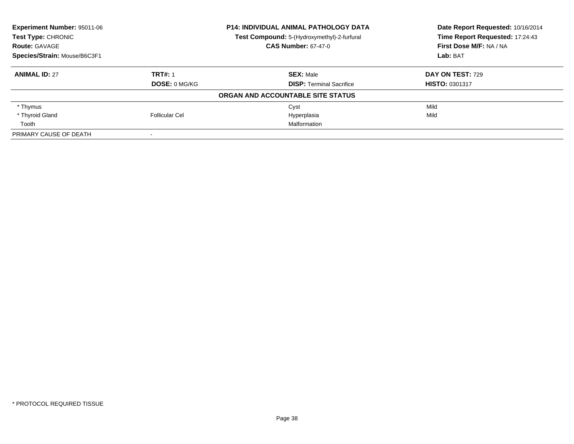| Experiment Number: 95011-06<br><b>Test Type: CHRONIC</b> |                      | <b>P14: INDIVIDUAL ANIMAL PATHOLOGY DATA</b> | Date Report Requested: 10/16/2014<br>Time Report Requested: 17:24:43 |
|----------------------------------------------------------|----------------------|----------------------------------------------|----------------------------------------------------------------------|
|                                                          |                      | Test Compound: 5-(Hydroxymethyl)-2-furfural  |                                                                      |
| <b>Route: GAVAGE</b>                                     |                      | <b>CAS Number: 67-47-0</b>                   | First Dose M/F: NA / NA                                              |
| Species/Strain: Mouse/B6C3F1                             |                      |                                              | Lab: BAT                                                             |
| <b>ANIMAL ID: 27</b>                                     | <b>TRT#: 1</b>       | <b>SEX: Male</b>                             | DAY ON TEST: 729                                                     |
|                                                          | <b>DOSE: 0 MG/KG</b> | <b>DISP:</b> Terminal Sacrifice              | <b>HISTO: 0301317</b>                                                |
|                                                          |                      | ORGAN AND ACCOUNTABLE SITE STATUS            |                                                                      |
| * Thymus                                                 |                      | Cyst                                         | Mild                                                                 |
| * Thyroid Gland                                          | Follicular Cel       | Hyperplasia                                  | Mild                                                                 |
| Tooth                                                    |                      | Malformation                                 |                                                                      |
| PRIMARY CAUSE OF DEATH                                   |                      |                                              |                                                                      |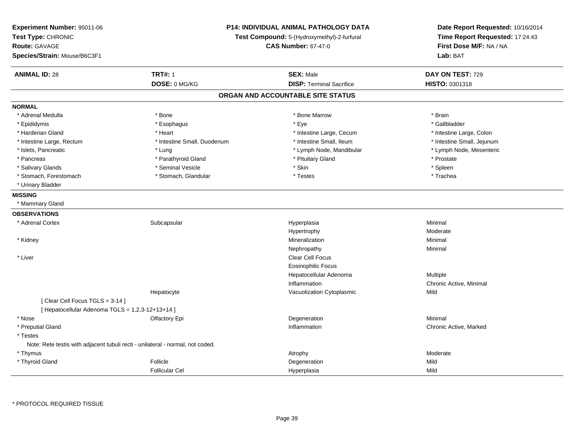| Experiment Number: 95011-06<br>Test Type: CHRONIC<br><b>Route: GAVAGE</b><br>Species/Strain: Mouse/B6C3F1 | P14: INDIVIDUAL ANIMAL PATHOLOGY DATA<br>Test Compound: 5-(Hydroxymethyl)-2-furfural<br><b>CAS Number: 67-47-0</b> |                                   | Date Report Requested: 10/16/2014<br>Time Report Requested: 17:24:43<br>First Dose M/F: NA / NA<br>Lab: BAT |
|-----------------------------------------------------------------------------------------------------------|--------------------------------------------------------------------------------------------------------------------|-----------------------------------|-------------------------------------------------------------------------------------------------------------|
| <b>ANIMAL ID: 28</b>                                                                                      | <b>TRT#: 1</b>                                                                                                     | <b>SEX: Male</b>                  | DAY ON TEST: 729                                                                                            |
|                                                                                                           | DOSE: 0 MG/KG                                                                                                      | <b>DISP: Terminal Sacrifice</b>   | HISTO: 0301318                                                                                              |
|                                                                                                           |                                                                                                                    | ORGAN AND ACCOUNTABLE SITE STATUS |                                                                                                             |
| <b>NORMAL</b>                                                                                             |                                                                                                                    |                                   |                                                                                                             |
| * Adrenal Medulla                                                                                         | * Bone                                                                                                             | * Bone Marrow                     | * Brain                                                                                                     |
| * Epididymis                                                                                              | * Esophagus                                                                                                        | * Eye                             | * Gallbladder                                                                                               |
| * Harderian Gland                                                                                         | * Heart                                                                                                            | * Intestine Large, Cecum          | * Intestine Large, Colon                                                                                    |
| * Intestine Large, Rectum                                                                                 | * Intestine Small, Duodenum                                                                                        | * Intestine Small, Ileum          | * Intestine Small, Jejunum                                                                                  |
| * Islets, Pancreatic                                                                                      | * Lung                                                                                                             | * Lymph Node, Mandibular          | * Lymph Node, Mesenteric                                                                                    |
| * Pancreas                                                                                                | * Parathyroid Gland                                                                                                | * Pituitary Gland                 | * Prostate                                                                                                  |
| * Salivary Glands                                                                                         | * Seminal Vesicle                                                                                                  | * Skin                            | * Spleen                                                                                                    |
| * Stomach, Forestomach                                                                                    | * Stomach, Glandular                                                                                               | * Testes                          | * Trachea                                                                                                   |
| * Urinary Bladder                                                                                         |                                                                                                                    |                                   |                                                                                                             |
| <b>MISSING</b>                                                                                            |                                                                                                                    |                                   |                                                                                                             |
| * Mammary Gland                                                                                           |                                                                                                                    |                                   |                                                                                                             |
| <b>OBSERVATIONS</b>                                                                                       |                                                                                                                    |                                   |                                                                                                             |
| * Adrenal Cortex                                                                                          | Subcapsular                                                                                                        | Hyperplasia                       | Minimal                                                                                                     |
|                                                                                                           |                                                                                                                    | Hypertrophy                       | Moderate                                                                                                    |
| * Kidney                                                                                                  |                                                                                                                    | Mineralization                    | Minimal                                                                                                     |
|                                                                                                           |                                                                                                                    | Nephropathy                       | Minimal                                                                                                     |
| * Liver                                                                                                   |                                                                                                                    | Clear Cell Focus                  |                                                                                                             |
|                                                                                                           |                                                                                                                    | <b>Eosinophilic Focus</b>         |                                                                                                             |
|                                                                                                           |                                                                                                                    | Hepatocellular Adenoma            | Multiple                                                                                                    |
|                                                                                                           |                                                                                                                    | Inflammation                      | Chronic Active, Minimal                                                                                     |
|                                                                                                           | Hepatocyte                                                                                                         | Vacuolization Cytoplasmic         | Mild                                                                                                        |
| [Clear Cell Focus TGLS = 3-14]                                                                            |                                                                                                                    |                                   |                                                                                                             |
| [ Hepatocellular Adenoma TGLS = 1,2,3-12+13+14 ]                                                          |                                                                                                                    |                                   |                                                                                                             |
| * Nose                                                                                                    | Olfactory Epi                                                                                                      | Degeneration                      | Minimal                                                                                                     |
| * Preputial Gland                                                                                         |                                                                                                                    | Inflammation                      | Chronic Active, Marked                                                                                      |
| * Testes                                                                                                  |                                                                                                                    |                                   |                                                                                                             |
| Note: Rete testis with adjacent tubuli recti - unilateral - normal, not coded.                            |                                                                                                                    |                                   |                                                                                                             |
| * Thymus                                                                                                  |                                                                                                                    | Atrophy                           | Moderate                                                                                                    |
| * Thyroid Gland                                                                                           | Follicle                                                                                                           | Degeneration                      | Mild                                                                                                        |
|                                                                                                           | <b>Follicular Cel</b>                                                                                              | Hyperplasia                       | Mild                                                                                                        |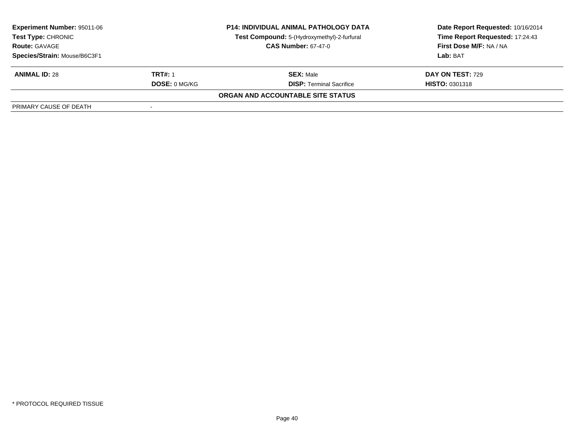| <b>Experiment Number: 95011-06</b><br>Test Type: CHRONIC<br><b>Route: GAVAGE</b> |                      | <b>P14: INDIVIDUAL ANIMAL PATHOLOGY DATA</b><br>Test Compound: 5-(Hydroxymethyl)-2-furfural<br><b>CAS Number: 67-47-0</b> | Date Report Requested: 10/16/2014<br>Time Report Requested: 17:24:43<br>First Dose M/F: NA / NA<br>Lab: BAT |
|----------------------------------------------------------------------------------|----------------------|---------------------------------------------------------------------------------------------------------------------------|-------------------------------------------------------------------------------------------------------------|
| Species/Strain: Mouse/B6C3F1                                                     |                      |                                                                                                                           |                                                                                                             |
| <b>ANIMAL ID: 28</b>                                                             | <b>TRT#: 1</b>       | <b>SEX: Male</b>                                                                                                          | DAY ON TEST: 729                                                                                            |
|                                                                                  | <b>DOSE: 0 MG/KG</b> | <b>DISP:</b> Terminal Sacrifice                                                                                           | <b>HISTO: 0301318</b>                                                                                       |
|                                                                                  |                      | ORGAN AND ACCOUNTABLE SITE STATUS                                                                                         |                                                                                                             |
| PRIMARY CAUSE OF DEATH                                                           |                      |                                                                                                                           |                                                                                                             |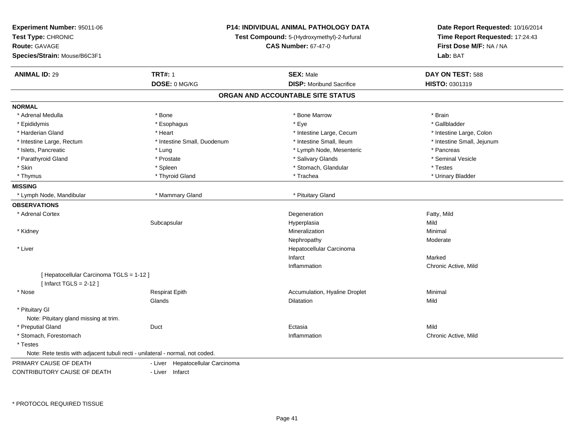| Experiment Number: 95011-06                                                    | <b>P14: INDIVIDUAL ANIMAL PATHOLOGY DATA</b> |                                             | Date Report Requested: 10/16/2014                          |  |
|--------------------------------------------------------------------------------|----------------------------------------------|---------------------------------------------|------------------------------------------------------------|--|
| Test Type: CHRONIC                                                             |                                              | Test Compound: 5-(Hydroxymethyl)-2-furfural |                                                            |  |
| <b>Route: GAVAGE</b>                                                           |                                              | <b>CAS Number: 67-47-0</b>                  | Time Report Requested: 17:24:43<br>First Dose M/F: NA / NA |  |
| Species/Strain: Mouse/B6C3F1                                                   |                                              |                                             | Lab: BAT                                                   |  |
| <b>ANIMAL ID: 29</b>                                                           | <b>TRT#: 1</b>                               | <b>SEX: Male</b>                            | DAY ON TEST: 588                                           |  |
|                                                                                | DOSE: 0 MG/KG                                | <b>DISP:</b> Moribund Sacrifice             | HISTO: 0301319                                             |  |
|                                                                                |                                              | ORGAN AND ACCOUNTABLE SITE STATUS           |                                                            |  |
| <b>NORMAL</b>                                                                  |                                              |                                             |                                                            |  |
| * Adrenal Medulla                                                              | * Bone                                       | * Bone Marrow                               | * Brain                                                    |  |
| * Epididymis                                                                   | * Esophagus                                  | * Eye                                       | * Gallbladder                                              |  |
| * Harderian Gland                                                              | * Heart                                      | * Intestine Large, Cecum                    | * Intestine Large, Colon                                   |  |
| * Intestine Large, Rectum                                                      | * Intestine Small, Duodenum                  | * Intestine Small, Ileum                    | * Intestine Small, Jejunum                                 |  |
| * Islets, Pancreatic                                                           | * Lung                                       | * Lymph Node, Mesenteric                    | * Pancreas                                                 |  |
| * Parathyroid Gland                                                            | * Prostate                                   | * Salivary Glands                           | * Seminal Vesicle                                          |  |
| * Skin                                                                         | * Spleen                                     | * Stomach, Glandular                        | * Testes                                                   |  |
| * Thymus                                                                       | * Thyroid Gland                              | * Trachea                                   | * Urinary Bladder                                          |  |
| <b>MISSING</b>                                                                 |                                              |                                             |                                                            |  |
| * Lymph Node, Mandibular                                                       | * Mammary Gland                              | * Pituitary Gland                           |                                                            |  |
| <b>OBSERVATIONS</b>                                                            |                                              |                                             |                                                            |  |
| * Adrenal Cortex                                                               |                                              | Degeneration                                | Fatty, Mild                                                |  |
|                                                                                | Subcapsular                                  | Hyperplasia                                 | Mild                                                       |  |
| * Kidney                                                                       |                                              | Mineralization                              | Minimal                                                    |  |
|                                                                                |                                              | Nephropathy                                 | Moderate                                                   |  |
| * Liver                                                                        |                                              | Hepatocellular Carcinoma                    |                                                            |  |
|                                                                                |                                              | Infarct                                     | Marked                                                     |  |
|                                                                                |                                              | Inflammation                                | Chronic Active, Mild                                       |  |
| [ Hepatocellular Carcinoma TGLS = 1-12 ]<br>[Infarct TGLS = $2-12$ ]           |                                              |                                             |                                                            |  |
| * Nose                                                                         | <b>Respirat Epith</b>                        | Accumulation, Hyaline Droplet               | Minimal                                                    |  |
|                                                                                | Glands                                       | Dilatation                                  | Mild                                                       |  |
| * Pituitary Gl                                                                 |                                              |                                             |                                                            |  |
| Note: Pituitary gland missing at trim.                                         |                                              |                                             |                                                            |  |
| * Preputial Gland                                                              | Duct                                         | Ectasia                                     | Mild                                                       |  |
| * Stomach, Forestomach                                                         |                                              | Inflammation                                | Chronic Active, Mild                                       |  |
| * Testes                                                                       |                                              |                                             |                                                            |  |
| Note: Rete testis with adjacent tubuli recti - unilateral - normal, not coded. |                                              |                                             |                                                            |  |
| PRIMARY CAUSE OF DEATH                                                         | Hepatocellular Carcinoma<br>- Liver          |                                             |                                                            |  |
| CONTRIBUTORY CAUSE OF DEATH                                                    | - Liver Infarct                              |                                             |                                                            |  |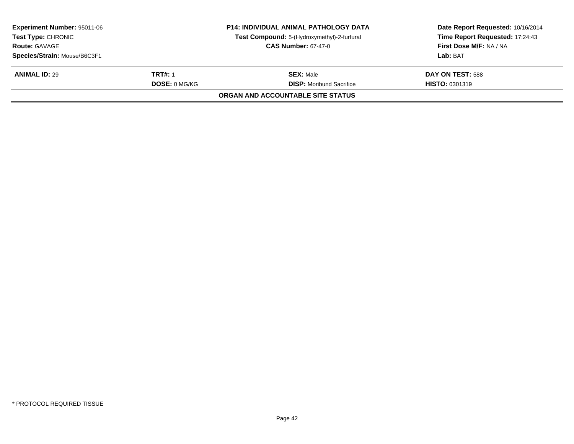| <b>Experiment Number: 95011-06</b><br><b>Test Type: CHRONIC</b><br><b>Route: GAVAGE</b><br>Species/Strain: Mouse/B6C3F1 |                                 | <b>P14: INDIVIDUAL ANIMAL PATHOLOGY DATA</b><br>Test Compound: 5-(Hydroxymethyl)-2-furfural<br><b>CAS Number: 67-47-0</b> | Date Report Requested: 10/16/2014<br>Time Report Requested: 17:24:43<br>First Dose M/F: NA / NA<br>Lab: BAT |
|-------------------------------------------------------------------------------------------------------------------------|---------------------------------|---------------------------------------------------------------------------------------------------------------------------|-------------------------------------------------------------------------------------------------------------|
| <b>ANIMAL ID: 29</b>                                                                                                    | TRT#: 1<br><b>DOSE: 0 MG/KG</b> | <b>SEX: Male</b><br><b>DISP:</b> Moribund Sacrifice                                                                       | DAY ON TEST: 588<br><b>HISTO: 0301319</b>                                                                   |
|                                                                                                                         |                                 | ORGAN AND ACCOUNTABLE SITE STATUS                                                                                         |                                                                                                             |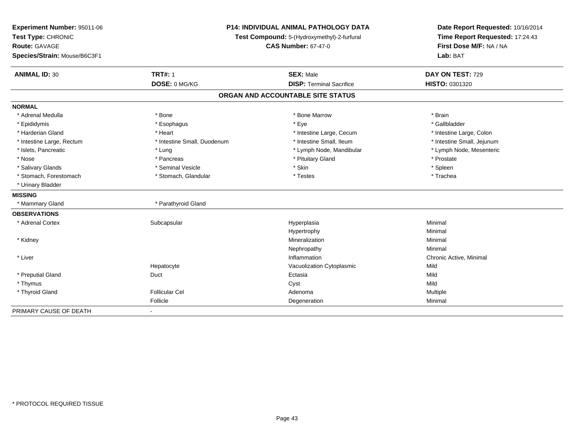| Experiment Number: 95011-06<br>Test Type: CHRONIC<br>Route: GAVAGE<br>Species/Strain: Mouse/B6C3F1 |                             | <b>P14: INDIVIDUAL ANIMAL PATHOLOGY DATA</b><br>Test Compound: 5-(Hydroxymethyl)-2-furfural<br><b>CAS Number: 67-47-0</b> | Date Report Requested: 10/16/2014<br>Time Report Requested: 17:24:43<br>First Dose M/F: NA / NA<br>Lab: BAT |
|----------------------------------------------------------------------------------------------------|-----------------------------|---------------------------------------------------------------------------------------------------------------------------|-------------------------------------------------------------------------------------------------------------|
| <b>ANIMAL ID: 30</b>                                                                               | <b>TRT#: 1</b>              | <b>SEX: Male</b>                                                                                                          | DAY ON TEST: 729                                                                                            |
|                                                                                                    | DOSE: 0 MG/KG               | <b>DISP: Terminal Sacrifice</b>                                                                                           | HISTO: 0301320                                                                                              |
|                                                                                                    |                             | ORGAN AND ACCOUNTABLE SITE STATUS                                                                                         |                                                                                                             |
| <b>NORMAL</b>                                                                                      |                             |                                                                                                                           |                                                                                                             |
| * Adrenal Medulla                                                                                  | * Bone                      | * Bone Marrow                                                                                                             | * Brain                                                                                                     |
| * Epididymis                                                                                       | * Esophagus                 | * Eye                                                                                                                     | * Gallbladder                                                                                               |
| * Harderian Gland                                                                                  | * Heart                     | * Intestine Large, Cecum                                                                                                  | * Intestine Large, Colon                                                                                    |
| * Intestine Large, Rectum                                                                          | * Intestine Small, Duodenum | * Intestine Small, Ileum                                                                                                  | * Intestine Small, Jejunum                                                                                  |
| * Islets, Pancreatic                                                                               | * Lung                      | * Lymph Node, Mandibular                                                                                                  | * Lymph Node, Mesenteric                                                                                    |
| * Nose                                                                                             | * Pancreas                  | * Pituitary Gland                                                                                                         | * Prostate                                                                                                  |
| * Salivary Glands                                                                                  | * Seminal Vesicle           | * Skin                                                                                                                    | * Spleen                                                                                                    |
| * Stomach, Forestomach                                                                             | * Stomach, Glandular        | * Testes                                                                                                                  | * Trachea                                                                                                   |
| * Urinary Bladder                                                                                  |                             |                                                                                                                           |                                                                                                             |
| <b>MISSING</b>                                                                                     |                             |                                                                                                                           |                                                                                                             |
| * Mammary Gland                                                                                    | * Parathyroid Gland         |                                                                                                                           |                                                                                                             |
| <b>OBSERVATIONS</b>                                                                                |                             |                                                                                                                           |                                                                                                             |
| * Adrenal Cortex                                                                                   | Subcapsular                 | Hyperplasia                                                                                                               | Minimal                                                                                                     |
|                                                                                                    |                             | Hypertrophy                                                                                                               | Minimal                                                                                                     |
| * Kidney                                                                                           |                             | Mineralization                                                                                                            | Minimal                                                                                                     |
|                                                                                                    |                             | Nephropathy                                                                                                               | Minimal                                                                                                     |
| * Liver                                                                                            |                             | Inflammation                                                                                                              | Chronic Active, Minimal                                                                                     |
|                                                                                                    | Hepatocyte                  | Vacuolization Cytoplasmic                                                                                                 | Mild                                                                                                        |
| * Preputial Gland                                                                                  | Duct                        | Ectasia                                                                                                                   | Mild                                                                                                        |
| * Thymus                                                                                           |                             | Cyst                                                                                                                      | Mild                                                                                                        |
| * Thyroid Gland                                                                                    | <b>Follicular Cel</b>       | Adenoma                                                                                                                   | Multiple                                                                                                    |
|                                                                                                    | Follicle                    | Degeneration                                                                                                              | Minimal                                                                                                     |
| PRIMARY CAUSE OF DEATH                                                                             | $\overline{\phantom{a}}$    |                                                                                                                           |                                                                                                             |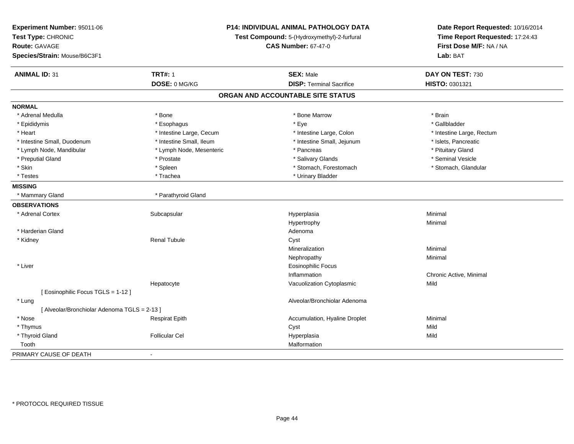| Experiment Number: 95011-06<br>Test Type: CHRONIC<br><b>Route: GAVAGE</b><br>Species/Strain: Mouse/B6C3F1 | P14: INDIVIDUAL ANIMAL PATHOLOGY DATA<br>Test Compound: 5-(Hydroxymethyl)-2-furfural<br><b>CAS Number: 67-47-0</b> |                                   | Date Report Requested: 10/16/2014<br>Time Report Requested: 17:24:43<br>First Dose M/F: NA / NA<br>Lab: BAT |
|-----------------------------------------------------------------------------------------------------------|--------------------------------------------------------------------------------------------------------------------|-----------------------------------|-------------------------------------------------------------------------------------------------------------|
| <b>ANIMAL ID: 31</b>                                                                                      | <b>TRT#: 1</b>                                                                                                     | <b>SEX: Male</b>                  | DAY ON TEST: 730                                                                                            |
|                                                                                                           | DOSE: 0 MG/KG                                                                                                      | <b>DISP: Terminal Sacrifice</b>   | HISTO: 0301321                                                                                              |
|                                                                                                           |                                                                                                                    | ORGAN AND ACCOUNTABLE SITE STATUS |                                                                                                             |
| <b>NORMAL</b>                                                                                             |                                                                                                                    |                                   |                                                                                                             |
| * Adrenal Medulla                                                                                         | * Bone                                                                                                             | * Bone Marrow                     | * Brain                                                                                                     |
| * Epididymis                                                                                              | * Esophagus                                                                                                        | * Eye                             | * Gallbladder                                                                                               |
| * Heart                                                                                                   | * Intestine Large, Cecum                                                                                           | * Intestine Large, Colon          | * Intestine Large, Rectum                                                                                   |
| * Intestine Small, Duodenum                                                                               | * Intestine Small, Ileum                                                                                           | * Intestine Small, Jejunum        | * Islets, Pancreatic                                                                                        |
| * Lymph Node, Mandibular                                                                                  | * Lymph Node, Mesenteric                                                                                           | * Pancreas                        | * Pituitary Gland                                                                                           |
| * Preputial Gland                                                                                         | * Prostate                                                                                                         | * Salivary Glands                 | * Seminal Vesicle                                                                                           |
| * Skin                                                                                                    | * Spleen                                                                                                           | * Stomach, Forestomach            | * Stomach, Glandular                                                                                        |
| * Testes                                                                                                  | * Trachea                                                                                                          | * Urinary Bladder                 |                                                                                                             |
| <b>MISSING</b>                                                                                            |                                                                                                                    |                                   |                                                                                                             |
| * Mammary Gland                                                                                           | * Parathyroid Gland                                                                                                |                                   |                                                                                                             |
| <b>OBSERVATIONS</b>                                                                                       |                                                                                                                    |                                   |                                                                                                             |
| * Adrenal Cortex                                                                                          | Subcapsular                                                                                                        | Hyperplasia                       | Minimal                                                                                                     |
|                                                                                                           |                                                                                                                    | Hypertrophy                       | Minimal                                                                                                     |
| * Harderian Gland                                                                                         |                                                                                                                    | Adenoma                           |                                                                                                             |
| * Kidney                                                                                                  | <b>Renal Tubule</b>                                                                                                | Cyst                              |                                                                                                             |
|                                                                                                           |                                                                                                                    | Mineralization                    | Minimal                                                                                                     |
|                                                                                                           |                                                                                                                    | Nephropathy                       | Minimal                                                                                                     |
| * Liver                                                                                                   |                                                                                                                    | <b>Eosinophilic Focus</b>         |                                                                                                             |
|                                                                                                           |                                                                                                                    | Inflammation                      | Chronic Active, Minimal                                                                                     |
|                                                                                                           | Hepatocyte                                                                                                         | Vacuolization Cytoplasmic         | Mild                                                                                                        |
| [ Eosinophilic Focus TGLS = 1-12 ]                                                                        |                                                                                                                    |                                   |                                                                                                             |
| * Lung                                                                                                    |                                                                                                                    | Alveolar/Bronchiolar Adenoma      |                                                                                                             |
| [ Alveolar/Bronchiolar Adenoma TGLS = 2-13 ]                                                              |                                                                                                                    |                                   |                                                                                                             |
| * Nose                                                                                                    | <b>Respirat Epith</b>                                                                                              | Accumulation, Hyaline Droplet     | Minimal                                                                                                     |
| * Thymus                                                                                                  |                                                                                                                    | Cyst                              | Mild                                                                                                        |
| * Thyroid Gland                                                                                           | <b>Follicular Cel</b>                                                                                              | Hyperplasia                       | Mild                                                                                                        |
| Tooth                                                                                                     |                                                                                                                    | Malformation                      |                                                                                                             |
| PRIMARY CAUSE OF DEATH<br>$\blacksquare$                                                                  |                                                                                                                    |                                   |                                                                                                             |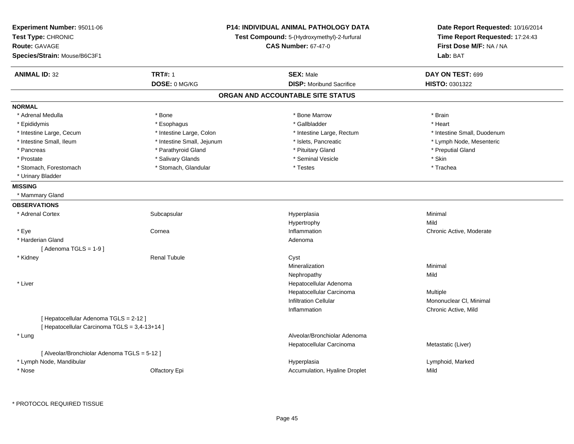| Experiment Number: 95011-06<br>Test Type: CHRONIC<br><b>Route: GAVAGE</b><br>Species/Strain: Mouse/B6C3F1 | <b>P14: INDIVIDUAL ANIMAL PATHOLOGY DATA</b><br>Test Compound: 5-(Hydroxymethyl)-2-furfural<br><b>CAS Number: 67-47-0</b> |                                   | Date Report Requested: 10/16/2014<br>Time Report Requested: 17:24:43<br>First Dose M/F: NA / NA<br>Lab: BAT |
|-----------------------------------------------------------------------------------------------------------|---------------------------------------------------------------------------------------------------------------------------|-----------------------------------|-------------------------------------------------------------------------------------------------------------|
| <b>ANIMAL ID: 32</b>                                                                                      | <b>TRT#: 1</b>                                                                                                            | <b>SEX: Male</b>                  | DAY ON TEST: 699                                                                                            |
|                                                                                                           | DOSE: 0 MG/KG                                                                                                             | <b>DISP:</b> Moribund Sacrifice   | HISTO: 0301322                                                                                              |
|                                                                                                           |                                                                                                                           | ORGAN AND ACCOUNTABLE SITE STATUS |                                                                                                             |
| <b>NORMAL</b>                                                                                             |                                                                                                                           |                                   |                                                                                                             |
| * Adrenal Medulla                                                                                         | * Bone                                                                                                                    | * Bone Marrow                     | * Brain                                                                                                     |
| * Epididymis                                                                                              | * Esophagus                                                                                                               | * Gallbladder                     | * Heart                                                                                                     |
| * Intestine Large, Cecum                                                                                  | * Intestine Large, Colon                                                                                                  | * Intestine Large, Rectum         | * Intestine Small, Duodenum                                                                                 |
| * Intestine Small, Ileum                                                                                  | * Intestine Small, Jejunum                                                                                                | * Islets, Pancreatic              | * Lymph Node, Mesenteric                                                                                    |
| * Pancreas                                                                                                | * Parathyroid Gland                                                                                                       | * Pituitary Gland                 | * Preputial Gland                                                                                           |
| * Prostate                                                                                                | * Salivary Glands                                                                                                         | * Seminal Vesicle                 | * Skin                                                                                                      |
| * Stomach, Forestomach                                                                                    | * Stomach, Glandular                                                                                                      | * Testes                          | * Trachea                                                                                                   |
| * Urinary Bladder                                                                                         |                                                                                                                           |                                   |                                                                                                             |
| <b>MISSING</b>                                                                                            |                                                                                                                           |                                   |                                                                                                             |
| * Mammary Gland                                                                                           |                                                                                                                           |                                   |                                                                                                             |
| <b>OBSERVATIONS</b>                                                                                       |                                                                                                                           |                                   |                                                                                                             |
| * Adrenal Cortex                                                                                          | Subcapsular                                                                                                               | Hyperplasia                       | Minimal                                                                                                     |
|                                                                                                           |                                                                                                                           | Hypertrophy                       | Mild                                                                                                        |
| * Eye                                                                                                     | Cornea                                                                                                                    | Inflammation                      | Chronic Active, Moderate                                                                                    |
| * Harderian Gland                                                                                         |                                                                                                                           | Adenoma                           |                                                                                                             |
| [Adenoma TGLS = $1-9$ ]                                                                                   |                                                                                                                           |                                   |                                                                                                             |
| * Kidney                                                                                                  | <b>Renal Tubule</b>                                                                                                       | Cyst                              |                                                                                                             |
|                                                                                                           |                                                                                                                           | Mineralization                    | Minimal                                                                                                     |
|                                                                                                           |                                                                                                                           | Nephropathy                       | Mild                                                                                                        |
| * Liver                                                                                                   |                                                                                                                           | Hepatocellular Adenoma            |                                                                                                             |
|                                                                                                           |                                                                                                                           | Hepatocellular Carcinoma          | Multiple                                                                                                    |
|                                                                                                           |                                                                                                                           | <b>Infiltration Cellular</b>      | Mononuclear CI, Minimal                                                                                     |
|                                                                                                           |                                                                                                                           | Inflammation                      | Chronic Active, Mild                                                                                        |
| [ Hepatocellular Adenoma TGLS = 2-12 ]<br>[ Hepatocellular Carcinoma TGLS = 3,4-13+14 ]                   |                                                                                                                           |                                   |                                                                                                             |
| * Lung                                                                                                    |                                                                                                                           | Alveolar/Bronchiolar Adenoma      |                                                                                                             |
|                                                                                                           |                                                                                                                           | Hepatocellular Carcinoma          | Metastatic (Liver)                                                                                          |
| [ Alveolar/Bronchiolar Adenoma TGLS = 5-12 ]                                                              |                                                                                                                           |                                   |                                                                                                             |
| * Lymph Node, Mandibular                                                                                  |                                                                                                                           | Hyperplasia                       | Lymphoid, Marked                                                                                            |
| * Nose                                                                                                    | Olfactory Epi                                                                                                             | Accumulation, Hyaline Droplet     | Mild                                                                                                        |

\* PROTOCOL REQUIRED TISSUE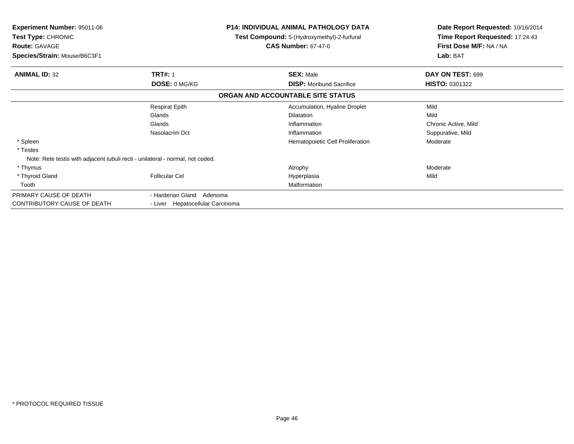| <b>Experiment Number: 95011-06</b><br>Test Type: CHRONIC<br><b>Route: GAVAGE</b><br>Species/Strain: Mouse/B6C3F1 |                                  | <b>P14: INDIVIDUAL ANIMAL PATHOLOGY DATA</b><br>Test Compound: 5-(Hydroxymethyl)-2-furfural<br><b>CAS Number: 67-47-0</b> | Date Report Requested: 10/16/2014<br>Time Report Requested: 17:24:43<br>First Dose M/F: NA / NA<br>Lab: BAT |  |
|------------------------------------------------------------------------------------------------------------------|----------------------------------|---------------------------------------------------------------------------------------------------------------------------|-------------------------------------------------------------------------------------------------------------|--|
| <b>ANIMAL ID: 32</b>                                                                                             | <b>TRT#: 1</b>                   | <b>SEX: Male</b>                                                                                                          | DAY ON TEST: 699                                                                                            |  |
|                                                                                                                  | DOSE: 0 MG/KG                    | <b>DISP:</b> Moribund Sacrifice                                                                                           | <b>HISTO: 0301322</b>                                                                                       |  |
|                                                                                                                  |                                  | ORGAN AND ACCOUNTABLE SITE STATUS                                                                                         |                                                                                                             |  |
|                                                                                                                  | <b>Respirat Epith</b>            | Accumulation, Hyaline Droplet                                                                                             | Mild                                                                                                        |  |
|                                                                                                                  | Glands                           | <b>Dilatation</b>                                                                                                         | Mild                                                                                                        |  |
|                                                                                                                  | Glands                           | Inflammation                                                                                                              | Chronic Active, Mild                                                                                        |  |
|                                                                                                                  | Nasolacrim Dct                   | Inflammation                                                                                                              | Suppurative, Mild                                                                                           |  |
| * Spleen                                                                                                         |                                  | Hematopoietic Cell Proliferation                                                                                          | Moderate                                                                                                    |  |
| * Testes                                                                                                         |                                  |                                                                                                                           |                                                                                                             |  |
| Note: Rete testis with adjacent tubuli recti - unilateral - normal, not coded.                                   |                                  |                                                                                                                           |                                                                                                             |  |
| * Thymus                                                                                                         |                                  | Atrophy                                                                                                                   | Moderate                                                                                                    |  |
| * Thyroid Gland                                                                                                  | <b>Follicular Cel</b>            | Hyperplasia                                                                                                               | Mild                                                                                                        |  |
| Tooth                                                                                                            |                                  | Malformation                                                                                                              |                                                                                                             |  |
| PRIMARY CAUSE OF DEATH                                                                                           | - Harderian Gland Adenoma        |                                                                                                                           |                                                                                                             |  |
| CONTRIBUTORY CAUSE OF DEATH                                                                                      | - Liver Hepatocellular Carcinoma |                                                                                                                           |                                                                                                             |  |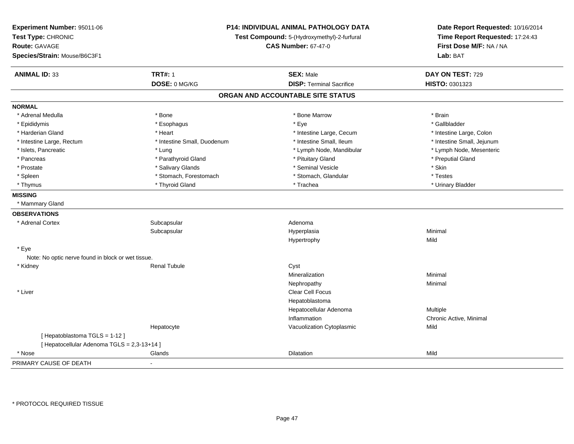| Experiment Number: 95011-06<br>Test Type: CHRONIC<br><b>Route: GAVAGE</b><br>Species/Strain: Mouse/B6C3F1 | P14: INDIVIDUAL ANIMAL PATHOLOGY DATA<br>Test Compound: 5-(Hydroxymethyl)-2-furfural<br><b>CAS Number: 67-47-0</b> |                                   | Date Report Requested: 10/16/2014<br>Time Report Requested: 17:24:43<br>First Dose M/F: NA / NA<br>Lab: BAT |
|-----------------------------------------------------------------------------------------------------------|--------------------------------------------------------------------------------------------------------------------|-----------------------------------|-------------------------------------------------------------------------------------------------------------|
| <b>ANIMAL ID: 33</b>                                                                                      | <b>TRT#: 1</b>                                                                                                     | <b>SEX: Male</b>                  | DAY ON TEST: 729                                                                                            |
|                                                                                                           | DOSE: 0 MG/KG                                                                                                      | <b>DISP: Terminal Sacrifice</b>   | HISTO: 0301323                                                                                              |
|                                                                                                           |                                                                                                                    | ORGAN AND ACCOUNTABLE SITE STATUS |                                                                                                             |
| <b>NORMAL</b>                                                                                             |                                                                                                                    |                                   |                                                                                                             |
| * Adrenal Medulla                                                                                         | * Bone                                                                                                             | * Bone Marrow                     | * Brain                                                                                                     |
| * Epididymis                                                                                              | * Esophagus                                                                                                        | * Eye                             | * Gallbladder                                                                                               |
| * Harderian Gland                                                                                         | * Heart                                                                                                            | * Intestine Large, Cecum          | * Intestine Large, Colon                                                                                    |
| * Intestine Large, Rectum                                                                                 | * Intestine Small, Duodenum                                                                                        | * Intestine Small, Ileum          | * Intestine Small, Jejunum                                                                                  |
| * Islets, Pancreatic                                                                                      | $*$ Lung                                                                                                           | * Lymph Node, Mandibular          | * Lymph Node, Mesenteric                                                                                    |
| * Pancreas                                                                                                | * Parathyroid Gland                                                                                                | * Pituitary Gland                 | * Preputial Gland                                                                                           |
| * Prostate                                                                                                | * Salivary Glands                                                                                                  | * Seminal Vesicle                 | * Skin                                                                                                      |
| * Spleen                                                                                                  | * Stomach, Forestomach                                                                                             | * Stomach, Glandular              | * Testes                                                                                                    |
| * Thymus                                                                                                  | * Thyroid Gland                                                                                                    | * Trachea                         | * Urinary Bladder                                                                                           |
| <b>MISSING</b>                                                                                            |                                                                                                                    |                                   |                                                                                                             |
| * Mammary Gland                                                                                           |                                                                                                                    |                                   |                                                                                                             |
| <b>OBSERVATIONS</b>                                                                                       |                                                                                                                    |                                   |                                                                                                             |
| * Adrenal Cortex                                                                                          | Subcapsular                                                                                                        | Adenoma                           |                                                                                                             |
|                                                                                                           | Subcapsular                                                                                                        | Hyperplasia                       | Minimal                                                                                                     |
|                                                                                                           |                                                                                                                    | Hypertrophy                       | Mild                                                                                                        |
| * Eye                                                                                                     |                                                                                                                    |                                   |                                                                                                             |
| Note: No optic nerve found in block or wet tissue.                                                        |                                                                                                                    |                                   |                                                                                                             |
| * Kidney                                                                                                  | <b>Renal Tubule</b>                                                                                                | Cyst                              |                                                                                                             |
|                                                                                                           |                                                                                                                    | Mineralization                    | Minimal                                                                                                     |
|                                                                                                           |                                                                                                                    | Nephropathy                       | Minimal                                                                                                     |
| * Liver                                                                                                   |                                                                                                                    | Clear Cell Focus                  |                                                                                                             |
|                                                                                                           |                                                                                                                    | Hepatoblastoma                    |                                                                                                             |
|                                                                                                           |                                                                                                                    | Hepatocellular Adenoma            | Multiple                                                                                                    |
|                                                                                                           |                                                                                                                    | Inflammation                      | Chronic Active, Minimal                                                                                     |
|                                                                                                           | Hepatocyte                                                                                                         | Vacuolization Cytoplasmic         | Mild                                                                                                        |
| [Hepatoblastoma TGLS = 1-12]                                                                              |                                                                                                                    |                                   |                                                                                                             |
| [ Hepatocellular Adenoma TGLS = 2,3-13+14 ]                                                               |                                                                                                                    |                                   |                                                                                                             |
| * Nose                                                                                                    | Glands                                                                                                             | <b>Dilatation</b>                 | Mild                                                                                                        |
| PRIMARY CAUSE OF DEATH                                                                                    | $\sim$                                                                                                             |                                   |                                                                                                             |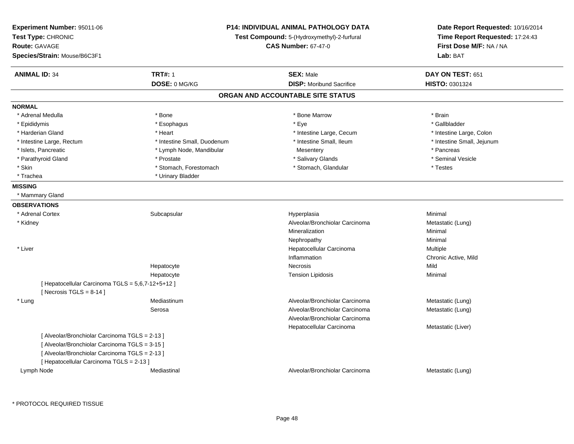| Experiment Number: 95011-06<br>Test Type: CHRONIC<br><b>Route: GAVAGE</b><br>Species/Strain: Mouse/B6C3F1 |                             | <b>P14: INDIVIDUAL ANIMAL PATHOLOGY DATA</b><br>Test Compound: 5-(Hydroxymethyl)-2-furfural<br><b>CAS Number: 67-47-0</b> | Date Report Requested: 10/16/2014<br>Time Report Requested: 17:24:43<br>First Dose M/F: NA / NA<br>Lab: BAT |
|-----------------------------------------------------------------------------------------------------------|-----------------------------|---------------------------------------------------------------------------------------------------------------------------|-------------------------------------------------------------------------------------------------------------|
| <b>ANIMAL ID: 34</b>                                                                                      | <b>TRT#: 1</b>              | <b>SEX: Male</b>                                                                                                          | DAY ON TEST: 651                                                                                            |
|                                                                                                           | DOSE: 0 MG/KG               | <b>DISP:</b> Moribund Sacrifice                                                                                           | HISTO: 0301324                                                                                              |
|                                                                                                           |                             | ORGAN AND ACCOUNTABLE SITE STATUS                                                                                         |                                                                                                             |
| <b>NORMAL</b>                                                                                             |                             |                                                                                                                           |                                                                                                             |
| * Adrenal Medulla                                                                                         | * Bone                      | * Bone Marrow                                                                                                             | * Brain                                                                                                     |
| * Epididymis                                                                                              | * Esophagus                 | * Eye                                                                                                                     | * Gallbladder                                                                                               |
| * Harderian Gland                                                                                         | * Heart                     | * Intestine Large, Cecum                                                                                                  | * Intestine Large, Colon                                                                                    |
| * Intestine Large, Rectum                                                                                 | * Intestine Small, Duodenum | * Intestine Small, Ileum                                                                                                  | * Intestine Small, Jejunum                                                                                  |
| * Islets, Pancreatic                                                                                      | * Lymph Node, Mandibular    | Mesentery                                                                                                                 | * Pancreas                                                                                                  |
| * Parathyroid Gland                                                                                       | * Prostate                  | * Salivary Glands                                                                                                         | * Seminal Vesicle                                                                                           |
| * Skin                                                                                                    | * Stomach, Forestomach      | * Stomach, Glandular                                                                                                      | * Testes                                                                                                    |
| * Trachea                                                                                                 | * Urinary Bladder           |                                                                                                                           |                                                                                                             |
| <b>MISSING</b>                                                                                            |                             |                                                                                                                           |                                                                                                             |
| * Mammary Gland                                                                                           |                             |                                                                                                                           |                                                                                                             |
| <b>OBSERVATIONS</b>                                                                                       |                             |                                                                                                                           |                                                                                                             |
| * Adrenal Cortex                                                                                          | Subcapsular                 | Hyperplasia                                                                                                               | Minimal                                                                                                     |
| * Kidney                                                                                                  |                             | Alveolar/Bronchiolar Carcinoma                                                                                            | Metastatic (Lung)                                                                                           |
|                                                                                                           |                             | Mineralization                                                                                                            | Minimal                                                                                                     |
|                                                                                                           |                             | Nephropathy                                                                                                               | Minimal                                                                                                     |
| * Liver                                                                                                   |                             | Hepatocellular Carcinoma                                                                                                  | Multiple                                                                                                    |
|                                                                                                           |                             | Inflammation                                                                                                              | Chronic Active, Mild                                                                                        |
|                                                                                                           | Hepatocyte                  | Necrosis                                                                                                                  | Mild                                                                                                        |
|                                                                                                           | Hepatocyte                  | <b>Tension Lipidosis</b>                                                                                                  | Minimal                                                                                                     |
| [ Hepatocellular Carcinoma TGLS = 5,6,7-12+5+12 ]                                                         |                             |                                                                                                                           |                                                                                                             |
| [Necrosis $TGLS = 8-14$ ]                                                                                 |                             |                                                                                                                           |                                                                                                             |
| * Lung                                                                                                    | Mediastinum                 | Alveolar/Bronchiolar Carcinoma                                                                                            | Metastatic (Lung)                                                                                           |
|                                                                                                           | Serosa                      | Alveolar/Bronchiolar Carcinoma                                                                                            | Metastatic (Lung)                                                                                           |
|                                                                                                           |                             | Alveolar/Bronchiolar Carcinoma                                                                                            |                                                                                                             |
|                                                                                                           |                             | Hepatocellular Carcinoma                                                                                                  | Metastatic (Liver)                                                                                          |
| [ Alveolar/Bronchiolar Carcinoma TGLS = 2-13 ]                                                            |                             |                                                                                                                           |                                                                                                             |
| [ Alveolar/Bronchiolar Carcinoma TGLS = 3-15 ]                                                            |                             |                                                                                                                           |                                                                                                             |
| [ Alveolar/Bronchiolar Carcinoma TGLS = 2-13 ]                                                            |                             |                                                                                                                           |                                                                                                             |
| [ Hepatocellular Carcinoma TGLS = 2-13 ]                                                                  |                             |                                                                                                                           |                                                                                                             |
| Lymph Node                                                                                                | Mediastinal                 | Alveolar/Bronchiolar Carcinoma                                                                                            | Metastatic (Lung)                                                                                           |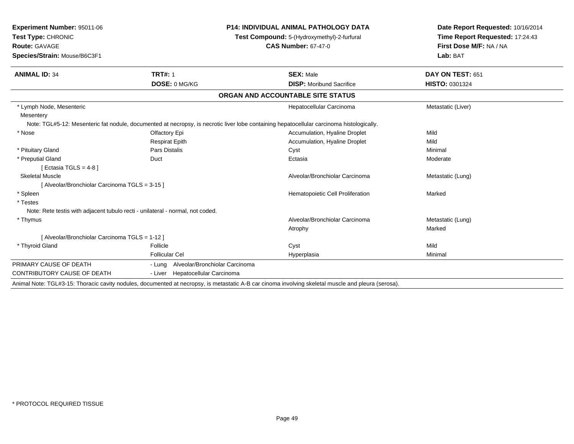| <b>Experiment Number: 95011-06</b><br>Test Type: CHRONIC                       |                                       | P14: INDIVIDUAL ANIMAL PATHOLOGY DATA                                                                                                               | Date Report Requested: 10/16/2014<br>Time Report Requested: 17:24:43 |  |
|--------------------------------------------------------------------------------|---------------------------------------|-----------------------------------------------------------------------------------------------------------------------------------------------------|----------------------------------------------------------------------|--|
|                                                                                |                                       | Test Compound: 5-(Hydroxymethyl)-2-furfural                                                                                                         |                                                                      |  |
| <b>Route: GAVAGE</b>                                                           |                                       | <b>CAS Number: 67-47-0</b>                                                                                                                          | First Dose M/F: NA / NA                                              |  |
| Species/Strain: Mouse/B6C3F1                                                   |                                       |                                                                                                                                                     | Lab: BAT                                                             |  |
| <b>ANIMAL ID: 34</b>                                                           | <b>TRT#: 1</b>                        | <b>SEX: Male</b>                                                                                                                                    | DAY ON TEST: 651                                                     |  |
|                                                                                | DOSE: 0 MG/KG                         | <b>DISP:</b> Moribund Sacrifice                                                                                                                     | HISTO: 0301324                                                       |  |
|                                                                                |                                       | ORGAN AND ACCOUNTABLE SITE STATUS                                                                                                                   |                                                                      |  |
| * Lymph Node, Mesenteric                                                       |                                       | Hepatocellular Carcinoma                                                                                                                            | Metastatic (Liver)                                                   |  |
| Mesentery                                                                      |                                       |                                                                                                                                                     |                                                                      |  |
|                                                                                |                                       | Note: TGL#5-12: Mesenteric fat nodule, documented at necropsy, is necrotic liver lobe containing hepatocellular carcinoma histologically.           |                                                                      |  |
| * Nose                                                                         | Olfactory Epi                         | Accumulation, Hyaline Droplet                                                                                                                       | Mild                                                                 |  |
|                                                                                | <b>Respirat Epith</b>                 | Accumulation, Hyaline Droplet                                                                                                                       | Mild                                                                 |  |
| * Pituitary Gland                                                              | <b>Pars Distalis</b>                  | Cyst                                                                                                                                                | Minimal                                                              |  |
| * Preputial Gland<br>[ Ectasia TGLS = $4-8$ ]                                  | Duct                                  | Ectasia                                                                                                                                             | Moderate                                                             |  |
| <b>Skeletal Muscle</b>                                                         |                                       | Alveolar/Bronchiolar Carcinoma                                                                                                                      | Metastatic (Lung)                                                    |  |
| [ Alveolar/Bronchiolar Carcinoma TGLS = 3-15 ]                                 |                                       |                                                                                                                                                     |                                                                      |  |
| * Spleen                                                                       |                                       | Hematopoietic Cell Proliferation                                                                                                                    | Marked                                                               |  |
| * Testes                                                                       |                                       |                                                                                                                                                     |                                                                      |  |
| Note: Rete testis with adjacent tubulo recti - unilateral - normal, not coded. |                                       |                                                                                                                                                     |                                                                      |  |
| * Thymus                                                                       |                                       | Alveolar/Bronchiolar Carcinoma                                                                                                                      | Metastatic (Lung)                                                    |  |
|                                                                                |                                       | Atrophy                                                                                                                                             | Marked                                                               |  |
| [ Alveolar/Bronchiolar Carcinoma TGLS = 1-12 ]                                 |                                       |                                                                                                                                                     |                                                                      |  |
| * Thyroid Gland                                                                | Follicle                              | Cyst                                                                                                                                                | Mild                                                                 |  |
|                                                                                | <b>Follicular Cel</b>                 | Hyperplasia                                                                                                                                         | Minimal                                                              |  |
| PRIMARY CAUSE OF DEATH                                                         | - Lung Alveolar/Bronchiolar Carcinoma |                                                                                                                                                     |                                                                      |  |
| <b>CONTRIBUTORY CAUSE OF DEATH</b>                                             | - Liver Hepatocellular Carcinoma      |                                                                                                                                                     |                                                                      |  |
|                                                                                |                                       | Animal Note: TGL#3-15: Thoracic cavity nodules, documented at necropsy, is metastatic A-B car cinoma involving skeletal muscle and pleura (serosa). |                                                                      |  |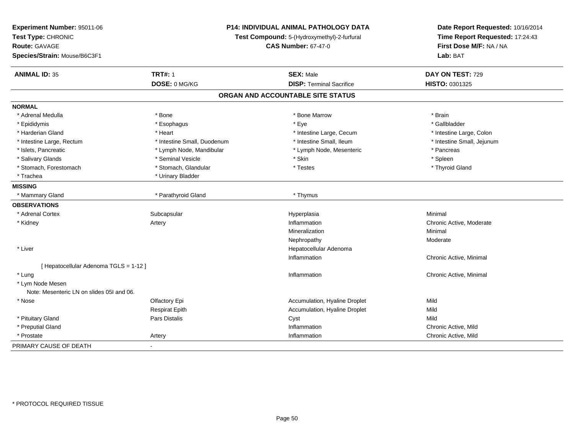| Experiment Number: 95011-06<br>Test Type: CHRONIC |                             | <b>P14: INDIVIDUAL ANIMAL PATHOLOGY DATA</b><br>Test Compound: 5-(Hydroxymethyl)-2-furfural | Date Report Requested: 10/16/2014<br>Time Report Requested: 17:24:43 |
|---------------------------------------------------|-----------------------------|---------------------------------------------------------------------------------------------|----------------------------------------------------------------------|
| <b>Route: GAVAGE</b>                              |                             | <b>CAS Number: 67-47-0</b>                                                                  | First Dose M/F: NA / NA                                              |
| Species/Strain: Mouse/B6C3F1                      |                             |                                                                                             | Lab: BAT                                                             |
| <b>ANIMAL ID: 35</b>                              | <b>TRT#: 1</b>              | <b>SEX: Male</b>                                                                            | DAY ON TEST: 729                                                     |
|                                                   | DOSE: 0 MG/KG               | <b>DISP: Terminal Sacrifice</b>                                                             | HISTO: 0301325                                                       |
|                                                   |                             | ORGAN AND ACCOUNTABLE SITE STATUS                                                           |                                                                      |
| <b>NORMAL</b>                                     |                             |                                                                                             |                                                                      |
| * Adrenal Medulla                                 | * Bone                      | * Bone Marrow                                                                               | * Brain                                                              |
| * Epididymis                                      | * Esophagus                 | * Eye                                                                                       | * Gallbladder                                                        |
| * Harderian Gland                                 | * Heart                     | * Intestine Large, Cecum                                                                    | * Intestine Large, Colon                                             |
| * Intestine Large, Rectum                         | * Intestine Small, Duodenum | * Intestine Small, Ileum                                                                    | * Intestine Small, Jejunum                                           |
| * Islets, Pancreatic                              | * Lymph Node, Mandibular    | * Lymph Node, Mesenteric                                                                    | * Pancreas                                                           |
| * Salivary Glands                                 | * Seminal Vesicle           | * Skin                                                                                      | * Spleen                                                             |
| * Stomach, Forestomach                            | * Stomach, Glandular        | * Testes                                                                                    | * Thyroid Gland                                                      |
| * Trachea                                         | * Urinary Bladder           |                                                                                             |                                                                      |
| <b>MISSING</b>                                    |                             |                                                                                             |                                                                      |
| * Mammary Gland                                   | * Parathyroid Gland         | * Thymus                                                                                    |                                                                      |
| <b>OBSERVATIONS</b>                               |                             |                                                                                             |                                                                      |
| * Adrenal Cortex                                  | Subcapsular                 | Hyperplasia                                                                                 | Minimal                                                              |
| * Kidney                                          | Artery                      | Inflammation                                                                                | Chronic Active, Moderate                                             |
|                                                   |                             | Mineralization                                                                              | Minimal                                                              |
|                                                   |                             | Nephropathy                                                                                 | Moderate                                                             |
| * Liver                                           |                             | Hepatocellular Adenoma                                                                      |                                                                      |
|                                                   |                             | Inflammation                                                                                | Chronic Active, Minimal                                              |
| [ Hepatocellular Adenoma TGLS = 1-12 ]            |                             |                                                                                             |                                                                      |
| * Lung                                            |                             | Inflammation                                                                                | Chronic Active, Minimal                                              |
| * Lym Node Mesen                                  |                             |                                                                                             |                                                                      |
| Note: Mesenteric LN on slides 051 and 06.         |                             |                                                                                             |                                                                      |
| * Nose                                            | Olfactory Epi               | Accumulation, Hyaline Droplet                                                               | Mild                                                                 |
|                                                   | <b>Respirat Epith</b>       | Accumulation, Hyaline Droplet                                                               | Mild                                                                 |
| * Pituitary Gland                                 | Pars Distalis               | Cyst                                                                                        | Mild                                                                 |
| * Preputial Gland                                 |                             | Inflammation                                                                                | Chronic Active, Mild                                                 |
| * Prostate                                        | Artery                      | Inflammation                                                                                | Chronic Active, Mild                                                 |
| PRIMARY CAUSE OF DEATH                            | $\blacksquare$              |                                                                                             |                                                                      |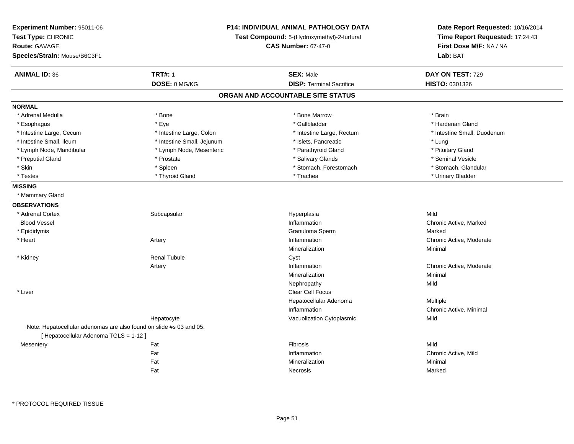| <b>Experiment Number: 95011-06</b><br>Test Type: CHRONIC<br><b>Route: GAVAGE</b><br>Species/Strain: Mouse/B6C3F1 | P14: INDIVIDUAL ANIMAL PATHOLOGY DATA<br>Test Compound: 5-(Hydroxymethyl)-2-furfural<br><b>CAS Number: 67-47-0</b> |                                   | Date Report Requested: 10/16/2014<br>Time Report Requested: 17:24:43<br>First Dose M/F: NA / NA<br>Lab: BAT |
|------------------------------------------------------------------------------------------------------------------|--------------------------------------------------------------------------------------------------------------------|-----------------------------------|-------------------------------------------------------------------------------------------------------------|
| <b>ANIMAL ID: 36</b>                                                                                             | <b>TRT#: 1</b>                                                                                                     | <b>SEX: Male</b>                  | DAY ON TEST: 729                                                                                            |
|                                                                                                                  | DOSE: 0 MG/KG                                                                                                      | <b>DISP: Terminal Sacrifice</b>   | HISTO: 0301326                                                                                              |
|                                                                                                                  |                                                                                                                    | ORGAN AND ACCOUNTABLE SITE STATUS |                                                                                                             |
| <b>NORMAL</b>                                                                                                    |                                                                                                                    |                                   |                                                                                                             |
| * Adrenal Medulla                                                                                                | * Bone                                                                                                             | * Bone Marrow                     | * Brain                                                                                                     |
| * Esophagus                                                                                                      | * Eye                                                                                                              | * Gallbladder                     | * Harderian Gland                                                                                           |
| * Intestine Large, Cecum                                                                                         | * Intestine Large, Colon                                                                                           | * Intestine Large, Rectum         | * Intestine Small, Duodenum                                                                                 |
| * Intestine Small, Ileum                                                                                         | * Intestine Small, Jejunum                                                                                         | * Islets, Pancreatic              | * Lung                                                                                                      |
| * Lymph Node, Mandibular                                                                                         | * Lymph Node, Mesenteric                                                                                           | * Parathyroid Gland               | * Pituitary Gland                                                                                           |
| * Preputial Gland                                                                                                | * Prostate                                                                                                         | * Salivary Glands                 | * Seminal Vesicle                                                                                           |
| * Skin                                                                                                           | * Spleen                                                                                                           | * Stomach, Forestomach            | * Stomach, Glandular                                                                                        |
| * Testes                                                                                                         | * Thyroid Gland                                                                                                    | * Trachea                         | * Urinary Bladder                                                                                           |
| <b>MISSING</b>                                                                                                   |                                                                                                                    |                                   |                                                                                                             |
| * Mammary Gland                                                                                                  |                                                                                                                    |                                   |                                                                                                             |
| <b>OBSERVATIONS</b>                                                                                              |                                                                                                                    |                                   |                                                                                                             |
| * Adrenal Cortex                                                                                                 | Subcapsular                                                                                                        | Hyperplasia                       | Mild                                                                                                        |
| <b>Blood Vessel</b>                                                                                              |                                                                                                                    | Inflammation                      | Chronic Active, Marked                                                                                      |
| * Epididymis                                                                                                     |                                                                                                                    | Granuloma Sperm                   | Marked                                                                                                      |
| * Heart                                                                                                          | Artery                                                                                                             | Inflammation                      | Chronic Active, Moderate                                                                                    |
|                                                                                                                  |                                                                                                                    | Mineralization                    | Minimal                                                                                                     |
| * Kidney                                                                                                         | <b>Renal Tubule</b>                                                                                                | Cyst                              |                                                                                                             |
|                                                                                                                  | Artery                                                                                                             | Inflammation                      | Chronic Active, Moderate                                                                                    |
|                                                                                                                  |                                                                                                                    | Mineralization                    | Minimal                                                                                                     |
|                                                                                                                  |                                                                                                                    | Nephropathy                       | Mild                                                                                                        |
| * Liver                                                                                                          |                                                                                                                    | <b>Clear Cell Focus</b>           |                                                                                                             |
|                                                                                                                  |                                                                                                                    | Hepatocellular Adenoma            | <b>Multiple</b>                                                                                             |
|                                                                                                                  |                                                                                                                    | Inflammation                      | Chronic Active, Minimal                                                                                     |
|                                                                                                                  | Hepatocyte                                                                                                         | Vacuolization Cytoplasmic         | Mild                                                                                                        |
| Note: Hepatocellular adenomas are also found on slide #s 03 and 05.                                              |                                                                                                                    |                                   |                                                                                                             |
| [ Hepatocellular Adenoma TGLS = 1-12 ]                                                                           |                                                                                                                    |                                   |                                                                                                             |
| Mesentery                                                                                                        | Fat                                                                                                                | Fibrosis                          | Mild                                                                                                        |
|                                                                                                                  | Fat                                                                                                                | Inflammation                      | Chronic Active, Mild                                                                                        |
|                                                                                                                  | Fat                                                                                                                | Mineralization                    | Minimal                                                                                                     |
|                                                                                                                  | Fat                                                                                                                | Necrosis                          | Marked                                                                                                      |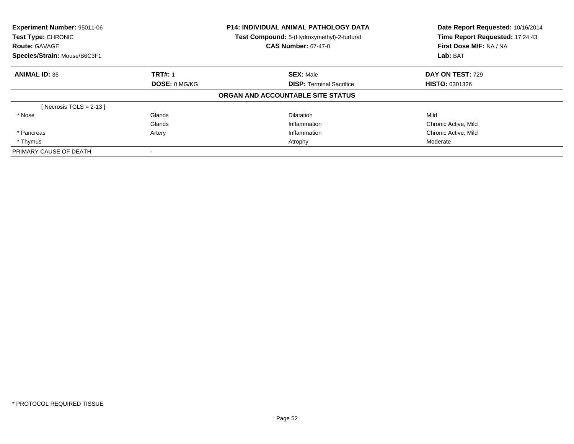| Experiment Number: 95011-06<br>Test Type: CHRONIC<br><b>Route: GAVAGE</b> |                | <b>P14: INDIVIDUAL ANIMAL PATHOLOGY DATA</b><br>Test Compound: 5-(Hydroxymethyl)-2-furfural<br><b>CAS Number: 67-47-0</b> | Date Report Requested: 10/16/2014<br>Time Report Requested: 17:24:43<br>First Dose M/F: NA / NA |
|---------------------------------------------------------------------------|----------------|---------------------------------------------------------------------------------------------------------------------------|-------------------------------------------------------------------------------------------------|
| Species/Strain: Mouse/B6C3F1                                              |                |                                                                                                                           | Lab: BAT                                                                                        |
| <b>ANIMAL ID: 36</b>                                                      | <b>TRT#: 1</b> | <b>SEX: Male</b>                                                                                                          | <b>DAY ON TEST: 729</b>                                                                         |
|                                                                           | DOSE: 0 MG/KG  | <b>DISP:</b> Terminal Sacrifice                                                                                           | <b>HISTO: 0301326</b>                                                                           |
|                                                                           |                | ORGAN AND ACCOUNTABLE SITE STATUS                                                                                         |                                                                                                 |
| [Necrosis TGLS = $2-13$ ]                                                 |                |                                                                                                                           |                                                                                                 |
| * Nose                                                                    | Glands         | <b>Dilatation</b>                                                                                                         | Mild                                                                                            |
|                                                                           | Glands         | Inflammation                                                                                                              | Chronic Active, Mild                                                                            |
| * Pancreas                                                                | Artery         | Inflammation                                                                                                              | Chronic Active, Mild                                                                            |
| * Thymus                                                                  |                | Atrophy                                                                                                                   | Moderate                                                                                        |
| PRIMARY CAUSE OF DEATH                                                    |                |                                                                                                                           |                                                                                                 |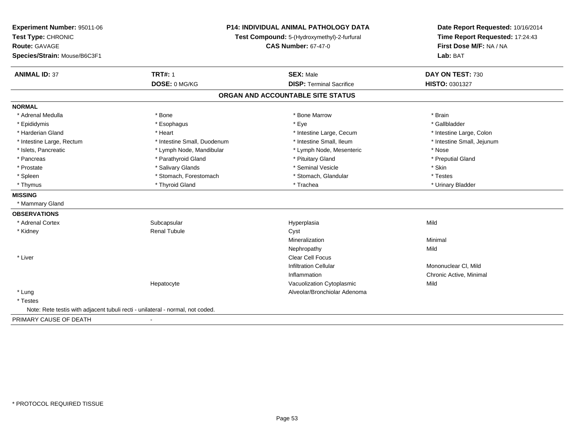| Experiment Number: 95011-06<br>Test Type: CHRONIC<br><b>Route: GAVAGE</b><br>Species/Strain: Mouse/B6C3F1 | P14: INDIVIDUAL ANIMAL PATHOLOGY DATA<br>Test Compound: 5-(Hydroxymethyl)-2-furfural<br><b>CAS Number: 67-47-0</b> |                                   | Date Report Requested: 10/16/2014<br>Time Report Requested: 17:24:43<br>First Dose M/F: NA / NA<br>Lab: BAT |
|-----------------------------------------------------------------------------------------------------------|--------------------------------------------------------------------------------------------------------------------|-----------------------------------|-------------------------------------------------------------------------------------------------------------|
| <b>ANIMAL ID: 37</b>                                                                                      | <b>TRT#: 1</b>                                                                                                     | <b>SEX: Male</b>                  | DAY ON TEST: 730                                                                                            |
|                                                                                                           | DOSE: 0 MG/KG                                                                                                      | <b>DISP: Terminal Sacrifice</b>   | HISTO: 0301327                                                                                              |
|                                                                                                           |                                                                                                                    | ORGAN AND ACCOUNTABLE SITE STATUS |                                                                                                             |
| <b>NORMAL</b>                                                                                             |                                                                                                                    |                                   |                                                                                                             |
| * Adrenal Medulla                                                                                         | * Bone                                                                                                             | * Bone Marrow                     | * Brain                                                                                                     |
| * Epididymis                                                                                              | * Esophagus                                                                                                        | * Eye                             | * Gallbladder                                                                                               |
| * Harderian Gland                                                                                         | * Heart                                                                                                            | * Intestine Large, Cecum          | * Intestine Large, Colon                                                                                    |
| * Intestine Large, Rectum                                                                                 | * Intestine Small, Duodenum                                                                                        | * Intestine Small, Ileum          | * Intestine Small, Jejunum                                                                                  |
| * Islets, Pancreatic                                                                                      | * Lymph Node, Mandibular                                                                                           | * Lymph Node, Mesenteric          | * Nose                                                                                                      |
| * Pancreas                                                                                                | * Parathyroid Gland                                                                                                | * Pituitary Gland                 | * Preputial Gland                                                                                           |
| * Prostate                                                                                                | * Salivary Glands                                                                                                  | * Seminal Vesicle                 | * Skin                                                                                                      |
| * Spleen                                                                                                  | * Stomach, Forestomach                                                                                             | * Stomach, Glandular              | * Testes                                                                                                    |
| * Thymus                                                                                                  | * Thyroid Gland                                                                                                    | * Trachea                         | * Urinary Bladder                                                                                           |
| <b>MISSING</b>                                                                                            |                                                                                                                    |                                   |                                                                                                             |
| * Mammary Gland                                                                                           |                                                                                                                    |                                   |                                                                                                             |
| <b>OBSERVATIONS</b>                                                                                       |                                                                                                                    |                                   |                                                                                                             |
| * Adrenal Cortex                                                                                          | Subcapsular                                                                                                        | Hyperplasia                       | Mild                                                                                                        |
| * Kidney                                                                                                  | <b>Renal Tubule</b>                                                                                                | Cyst                              |                                                                                                             |
|                                                                                                           |                                                                                                                    | Mineralization                    | Minimal                                                                                                     |
|                                                                                                           |                                                                                                                    | Nephropathy                       | Mild                                                                                                        |
| * Liver                                                                                                   |                                                                                                                    | <b>Clear Cell Focus</b>           |                                                                                                             |
|                                                                                                           |                                                                                                                    | Infiltration Cellular             | Mononuclear CI, Mild                                                                                        |
|                                                                                                           |                                                                                                                    | Inflammation                      | Chronic Active, Minimal                                                                                     |
|                                                                                                           | Hepatocyte                                                                                                         | Vacuolization Cytoplasmic         | Mild                                                                                                        |
| * Lung                                                                                                    |                                                                                                                    | Alveolar/Bronchiolar Adenoma      |                                                                                                             |
| * Testes                                                                                                  |                                                                                                                    |                                   |                                                                                                             |
| Note: Rete testis with adjacent tubuli recti - unilateral - normal, not coded.                            |                                                                                                                    |                                   |                                                                                                             |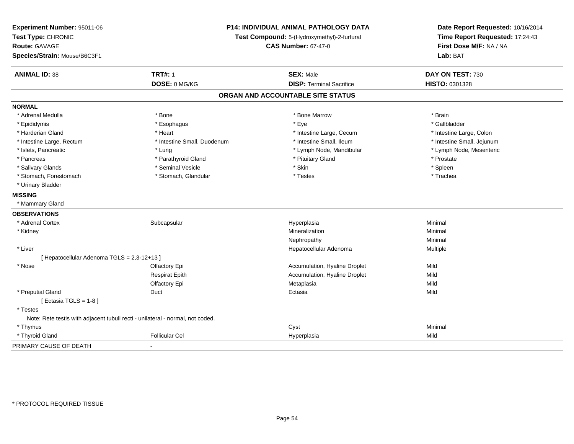| Experiment Number: 95011-06<br>Test Type: CHRONIC<br><b>Route: GAVAGE</b><br>Species/Strain: Mouse/B6C3F1 | <b>P14: INDIVIDUAL ANIMAL PATHOLOGY DATA</b><br>Test Compound: 5-(Hydroxymethyl)-2-furfural<br><b>CAS Number: 67-47-0</b> |                                   | Date Report Requested: 10/16/2014<br>Time Report Requested: 17:24:43<br>First Dose M/F: NA / NA<br>Lab: BAT |
|-----------------------------------------------------------------------------------------------------------|---------------------------------------------------------------------------------------------------------------------------|-----------------------------------|-------------------------------------------------------------------------------------------------------------|
| <b>ANIMAL ID: 38</b>                                                                                      | <b>TRT#: 1</b>                                                                                                            | <b>SEX: Male</b>                  | DAY ON TEST: 730                                                                                            |
|                                                                                                           | DOSE: 0 MG/KG                                                                                                             | <b>DISP: Terminal Sacrifice</b>   | HISTO: 0301328                                                                                              |
|                                                                                                           |                                                                                                                           | ORGAN AND ACCOUNTABLE SITE STATUS |                                                                                                             |
| <b>NORMAL</b>                                                                                             |                                                                                                                           |                                   |                                                                                                             |
| * Adrenal Medulla                                                                                         | * Bone                                                                                                                    | * Bone Marrow                     | * Brain                                                                                                     |
| * Epididymis                                                                                              | * Esophagus                                                                                                               | * Eye                             | * Gallbladder                                                                                               |
| * Harderian Gland                                                                                         | * Heart                                                                                                                   | * Intestine Large, Cecum          | * Intestine Large, Colon                                                                                    |
| * Intestine Large, Rectum                                                                                 | * Intestine Small, Duodenum                                                                                               | * Intestine Small, Ileum          | * Intestine Small, Jejunum                                                                                  |
| * Islets, Pancreatic                                                                                      | * Lung                                                                                                                    | * Lymph Node, Mandibular          | * Lymph Node, Mesenteric                                                                                    |
| * Pancreas                                                                                                | * Parathyroid Gland                                                                                                       | * Pituitary Gland                 | * Prostate                                                                                                  |
| * Salivary Glands                                                                                         | * Seminal Vesicle                                                                                                         | * Skin                            | * Spleen                                                                                                    |
| * Stomach, Forestomach                                                                                    | * Stomach, Glandular                                                                                                      | * Testes                          | * Trachea                                                                                                   |
| * Urinary Bladder                                                                                         |                                                                                                                           |                                   |                                                                                                             |
| <b>MISSING</b>                                                                                            |                                                                                                                           |                                   |                                                                                                             |
| * Mammary Gland                                                                                           |                                                                                                                           |                                   |                                                                                                             |
| <b>OBSERVATIONS</b>                                                                                       |                                                                                                                           |                                   |                                                                                                             |
| * Adrenal Cortex                                                                                          | Subcapsular                                                                                                               | Hyperplasia                       | Minimal                                                                                                     |
| * Kidney                                                                                                  |                                                                                                                           | Mineralization                    | Minimal                                                                                                     |
|                                                                                                           |                                                                                                                           | Nephropathy                       | Minimal                                                                                                     |
| * Liver                                                                                                   |                                                                                                                           | Hepatocellular Adenoma            | Multiple                                                                                                    |
| [ Hepatocellular Adenoma TGLS = 2,3-12+13 ]                                                               |                                                                                                                           |                                   |                                                                                                             |
| * Nose                                                                                                    | Olfactory Epi                                                                                                             | Accumulation, Hyaline Droplet     | Mild                                                                                                        |
|                                                                                                           | <b>Respirat Epith</b>                                                                                                     | Accumulation, Hyaline Droplet     | Mild                                                                                                        |
|                                                                                                           | Olfactory Epi                                                                                                             | Metaplasia                        | Mild                                                                                                        |
| * Preputial Gland<br>[ Ectasia TGLS = $1-8$ ]                                                             | Duct                                                                                                                      | Ectasia                           | Mild                                                                                                        |
| * Testes                                                                                                  |                                                                                                                           |                                   |                                                                                                             |
| Note: Rete testis with adjacent tubuli recti - unilateral - normal, not coded.                            |                                                                                                                           |                                   |                                                                                                             |
| * Thymus                                                                                                  |                                                                                                                           | Cyst                              | Minimal                                                                                                     |
| * Thyroid Gland                                                                                           | <b>Follicular Cel</b>                                                                                                     | Hyperplasia                       | Mild                                                                                                        |
| PRIMARY CAUSE OF DEATH                                                                                    |                                                                                                                           |                                   |                                                                                                             |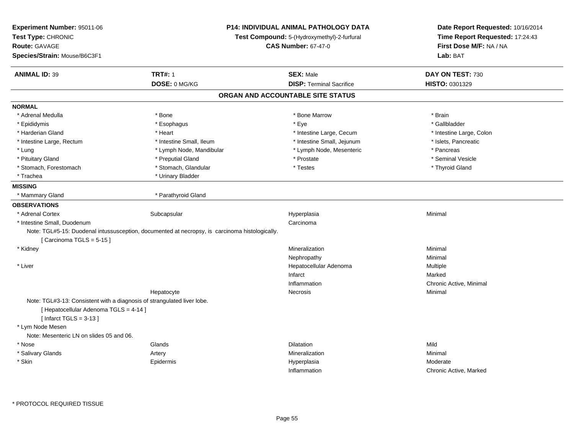| Experiment Number: 95011-06<br>Test Type: CHRONIC<br><b>Route: GAVAGE</b><br>Species/Strain: Mouse/B6C3F1                                     |                                                                                                | P14: INDIVIDUAL ANIMAL PATHOLOGY DATA<br>Test Compound: 5-(Hydroxymethyl)-2-furfural<br><b>CAS Number: 67-47-0</b> | Date Report Requested: 10/16/2014<br>Time Report Requested: 17:24:43<br>First Dose M/F: NA / NA<br>Lab: BAT |
|-----------------------------------------------------------------------------------------------------------------------------------------------|------------------------------------------------------------------------------------------------|--------------------------------------------------------------------------------------------------------------------|-------------------------------------------------------------------------------------------------------------|
| <b>ANIMAL ID: 39</b>                                                                                                                          | <b>TRT#: 1</b>                                                                                 | <b>SEX: Male</b>                                                                                                   | DAY ON TEST: 730                                                                                            |
|                                                                                                                                               | DOSE: 0 MG/KG                                                                                  | <b>DISP: Terminal Sacrifice</b>                                                                                    | HISTO: 0301329                                                                                              |
|                                                                                                                                               |                                                                                                | ORGAN AND ACCOUNTABLE SITE STATUS                                                                                  |                                                                                                             |
| <b>NORMAL</b>                                                                                                                                 |                                                                                                |                                                                                                                    |                                                                                                             |
| * Adrenal Medulla                                                                                                                             | * Bone                                                                                         | * Bone Marrow                                                                                                      | * Brain                                                                                                     |
| * Epididymis                                                                                                                                  | * Esophagus                                                                                    | * Eye                                                                                                              | * Gallbladder                                                                                               |
| * Harderian Gland                                                                                                                             | * Heart                                                                                        | * Intestine Large, Cecum                                                                                           | * Intestine Large, Colon                                                                                    |
| * Intestine Large, Rectum                                                                                                                     | * Intestine Small, Ileum                                                                       | * Intestine Small, Jejunum                                                                                         | * Islets, Pancreatic                                                                                        |
| * Lung                                                                                                                                        | * Lymph Node, Mandibular                                                                       | * Lymph Node, Mesenteric                                                                                           | * Pancreas                                                                                                  |
| * Pituitary Gland                                                                                                                             | * Preputial Gland                                                                              | * Prostate                                                                                                         | * Seminal Vesicle                                                                                           |
| * Stomach, Forestomach                                                                                                                        | * Stomach, Glandular                                                                           | * Testes                                                                                                           | * Thyroid Gland                                                                                             |
| * Trachea                                                                                                                                     | * Urinary Bladder                                                                              |                                                                                                                    |                                                                                                             |
| <b>MISSING</b>                                                                                                                                |                                                                                                |                                                                                                                    |                                                                                                             |
| * Mammary Gland                                                                                                                               | * Parathyroid Gland                                                                            |                                                                                                                    |                                                                                                             |
| <b>OBSERVATIONS</b>                                                                                                                           |                                                                                                |                                                                                                                    |                                                                                                             |
| * Adrenal Cortex                                                                                                                              | Subcapsular                                                                                    | Hyperplasia                                                                                                        | Minimal                                                                                                     |
| * Intestine Small, Duodenum                                                                                                                   |                                                                                                | Carcinoma                                                                                                          |                                                                                                             |
| [Carcinoma TGLS = $5-15$ ]                                                                                                                    | Note: TGL#5-15: Duodenal intussusception, documented at necropsy, is carcinoma histologically. |                                                                                                                    |                                                                                                             |
| * Kidney                                                                                                                                      |                                                                                                | Mineralization                                                                                                     | Minimal                                                                                                     |
|                                                                                                                                               |                                                                                                | Nephropathy                                                                                                        | Minimal                                                                                                     |
| * Liver                                                                                                                                       |                                                                                                | Hepatocellular Adenoma                                                                                             | Multiple                                                                                                    |
|                                                                                                                                               |                                                                                                | Infarct                                                                                                            | Marked                                                                                                      |
|                                                                                                                                               |                                                                                                | Inflammation                                                                                                       | Chronic Active, Minimal                                                                                     |
|                                                                                                                                               | Hepatocyte                                                                                     | Necrosis                                                                                                           | Minimal                                                                                                     |
| Note: TGL#3-13: Consistent with a diagnosis of strangulated liver lobe.<br>[ Hepatocellular Adenoma TGLS = 4-14 ]<br>[Infarct TGLS = $3-13$ ] |                                                                                                |                                                                                                                    |                                                                                                             |
| * Lym Node Mesen                                                                                                                              |                                                                                                |                                                                                                                    |                                                                                                             |
| Note: Mesenteric LN on slides 05 and 06.                                                                                                      |                                                                                                |                                                                                                                    |                                                                                                             |
| * Nose                                                                                                                                        | Glands                                                                                         | <b>Dilatation</b>                                                                                                  | Mild                                                                                                        |
| * Salivary Glands                                                                                                                             | Artery                                                                                         | Mineralization                                                                                                     | Minimal                                                                                                     |
| * Skin                                                                                                                                        | Epidermis                                                                                      | Hyperplasia                                                                                                        | Moderate                                                                                                    |
|                                                                                                                                               |                                                                                                | Inflammation                                                                                                       | Chronic Active, Marked                                                                                      |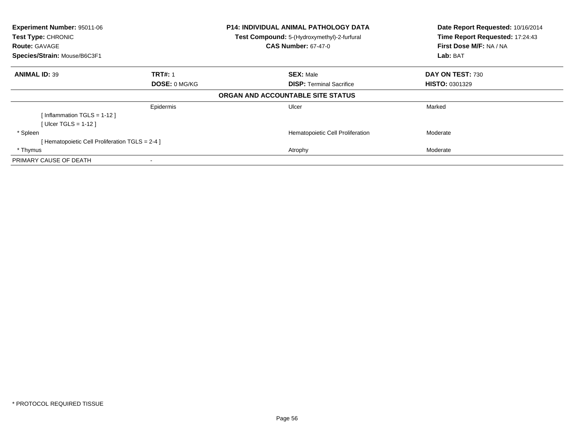| Experiment Number: 95011-06<br>Test Type: CHRONIC<br><b>Route: GAVAGE</b><br>Species/Strain: Mouse/B6C3F1 |                | <b>P14: INDIVIDUAL ANIMAL PATHOLOGY DATA</b><br>Test Compound: 5-(Hydroxymethyl)-2-furfural<br><b>CAS Number: 67-47-0</b> | Date Report Requested: 10/16/2014<br>Time Report Requested: 17:24:43<br>First Dose M/F: NA / NA<br>Lab: BAT |
|-----------------------------------------------------------------------------------------------------------|----------------|---------------------------------------------------------------------------------------------------------------------------|-------------------------------------------------------------------------------------------------------------|
| <b>ANIMAL ID: 39</b>                                                                                      | <b>TRT#: 1</b> | <b>SEX: Male</b>                                                                                                          | DAY ON TEST: 730                                                                                            |
|                                                                                                           | DOSE: 0 MG/KG  | <b>DISP:</b> Terminal Sacrifice                                                                                           | <b>HISTO: 0301329</b>                                                                                       |
|                                                                                                           |                | ORGAN AND ACCOUNTABLE SITE STATUS                                                                                         |                                                                                                             |
|                                                                                                           | Epidermis      | Ulcer                                                                                                                     | Marked                                                                                                      |
| [Inflammation TGLS = $1-12$ ]                                                                             |                |                                                                                                                           |                                                                                                             |
| [ Ulcer TGLS = $1-12$ ]                                                                                   |                |                                                                                                                           |                                                                                                             |
| * Spleen                                                                                                  |                | Hematopoietic Cell Proliferation                                                                                          | Moderate                                                                                                    |
| [Hematopoietic Cell Proliferation TGLS = 2-4 ]                                                            |                |                                                                                                                           |                                                                                                             |
| * Thymus                                                                                                  |                | Atrophy                                                                                                                   | Moderate                                                                                                    |
| PRIMARY CAUSE OF DEATH                                                                                    |                |                                                                                                                           |                                                                                                             |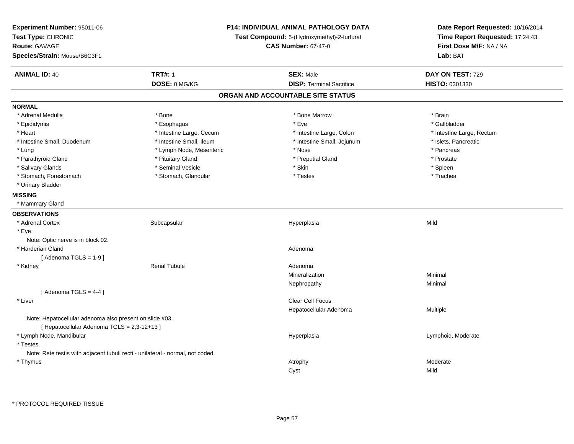| Experiment Number: 95011-06<br>Test Type: CHRONIC<br>Route: GAVAGE<br>Species/Strain: Mouse/B6C3F1 | P14: INDIVIDUAL ANIMAL PATHOLOGY DATA<br>Test Compound: 5-(Hydroxymethyl)-2-furfural<br><b>CAS Number: 67-47-0</b> |                                   | Date Report Requested: 10/16/2014<br>Time Report Requested: 17:24:43<br>First Dose M/F: NA / NA<br>Lab: BAT |
|----------------------------------------------------------------------------------------------------|--------------------------------------------------------------------------------------------------------------------|-----------------------------------|-------------------------------------------------------------------------------------------------------------|
| <b>ANIMAL ID: 40</b>                                                                               | <b>TRT#: 1</b>                                                                                                     | <b>SEX: Male</b>                  | DAY ON TEST: 729                                                                                            |
|                                                                                                    | DOSE: 0 MG/KG                                                                                                      | <b>DISP: Terminal Sacrifice</b>   | HISTO: 0301330                                                                                              |
|                                                                                                    |                                                                                                                    | ORGAN AND ACCOUNTABLE SITE STATUS |                                                                                                             |
| <b>NORMAL</b>                                                                                      |                                                                                                                    |                                   |                                                                                                             |
| * Adrenal Medulla                                                                                  | * Bone                                                                                                             | * Bone Marrow                     | * Brain                                                                                                     |
| * Epididymis                                                                                       | * Esophagus                                                                                                        | * Eye                             | * Gallbladder                                                                                               |
| * Heart                                                                                            | * Intestine Large, Cecum                                                                                           | * Intestine Large, Colon          | * Intestine Large, Rectum                                                                                   |
| * Intestine Small, Duodenum                                                                        | * Intestine Small, Ileum                                                                                           | * Intestine Small, Jejunum        | * Islets, Pancreatic                                                                                        |
| * Lung                                                                                             | * Lymph Node, Mesenteric                                                                                           | * Nose                            | * Pancreas                                                                                                  |
| * Parathyroid Gland                                                                                | * Pituitary Gland                                                                                                  | * Preputial Gland                 | * Prostate                                                                                                  |
| * Salivary Glands                                                                                  | * Seminal Vesicle                                                                                                  | * Skin                            | * Spleen                                                                                                    |
| * Stomach, Forestomach                                                                             | * Stomach, Glandular                                                                                               | * Testes                          | * Trachea                                                                                                   |
| * Urinary Bladder                                                                                  |                                                                                                                    |                                   |                                                                                                             |
| <b>MISSING</b>                                                                                     |                                                                                                                    |                                   |                                                                                                             |
| * Mammary Gland                                                                                    |                                                                                                                    |                                   |                                                                                                             |
| <b>OBSERVATIONS</b>                                                                                |                                                                                                                    |                                   |                                                                                                             |
| * Adrenal Cortex                                                                                   | Subcapsular                                                                                                        | Hyperplasia                       | Mild                                                                                                        |
| * Eye                                                                                              |                                                                                                                    |                                   |                                                                                                             |
| Note: Optic nerve is in block 02.                                                                  |                                                                                                                    |                                   |                                                                                                             |
| * Harderian Gland                                                                                  |                                                                                                                    | Adenoma                           |                                                                                                             |
| [Adenoma TGLS = $1-9$ ]                                                                            |                                                                                                                    |                                   |                                                                                                             |
| * Kidney                                                                                           | <b>Renal Tubule</b>                                                                                                | Adenoma                           |                                                                                                             |
|                                                                                                    |                                                                                                                    | Mineralization                    | Minimal                                                                                                     |
|                                                                                                    |                                                                                                                    | Nephropathy                       | Minimal                                                                                                     |
| [Adenoma TGLS = $4-4$ ]                                                                            |                                                                                                                    |                                   |                                                                                                             |
| * Liver                                                                                            |                                                                                                                    | Clear Cell Focus                  |                                                                                                             |
|                                                                                                    |                                                                                                                    | Hepatocellular Adenoma            | Multiple                                                                                                    |
| Note: Hepatocellular adenoma also present on slide #03.                                            |                                                                                                                    |                                   |                                                                                                             |
| [ Hepatocellular Adenoma TGLS = 2,3-12+13 ]                                                        |                                                                                                                    |                                   |                                                                                                             |
| * Lymph Node, Mandibular                                                                           |                                                                                                                    | Hyperplasia                       | Lymphoid, Moderate                                                                                          |
| * Testes                                                                                           |                                                                                                                    |                                   |                                                                                                             |
| Note: Rete testis with adjacent tubuli recti - unilateral - normal, not coded.                     |                                                                                                                    |                                   |                                                                                                             |
| * Thymus                                                                                           |                                                                                                                    | Atrophy                           | Moderate                                                                                                    |
|                                                                                                    |                                                                                                                    | Cyst                              | Mild                                                                                                        |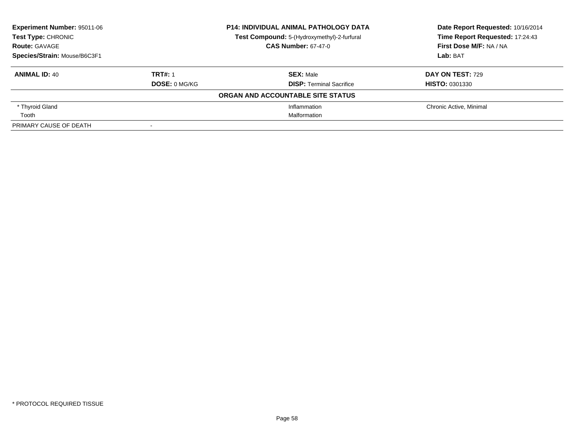| Experiment Number: 95011-06<br>Test Type: CHRONIC |                      | <b>P14: INDIVIDUAL ANIMAL PATHOLOGY DATA</b> | Date Report Requested: 10/16/2014 |
|---------------------------------------------------|----------------------|----------------------------------------------|-----------------------------------|
|                                                   |                      | Test Compound: 5-(Hydroxymethyl)-2-furfural  | Time Report Requested: 17:24:43   |
| <b>Route: GAVAGE</b>                              |                      | <b>CAS Number: 67-47-0</b>                   | First Dose M/F: NA / NA           |
| Species/Strain: Mouse/B6C3F1                      |                      |                                              | Lab: BAT                          |
| <b>ANIMAL ID: 40</b>                              | <b>TRT#: 1</b>       | <b>SEX: Male</b>                             | <b>DAY ON TEST: 729</b>           |
|                                                   | <b>DOSE: 0 MG/KG</b> | <b>DISP: Terminal Sacrifice</b>              | <b>HISTO: 0301330</b>             |
|                                                   |                      | ORGAN AND ACCOUNTABLE SITE STATUS            |                                   |
| * Thyroid Gland                                   |                      | Inflammation                                 | Chronic Active, Minimal           |
| Tooth                                             |                      | Malformation                                 |                                   |
| PRIMARY CAUSE OF DEATH                            |                      |                                              |                                   |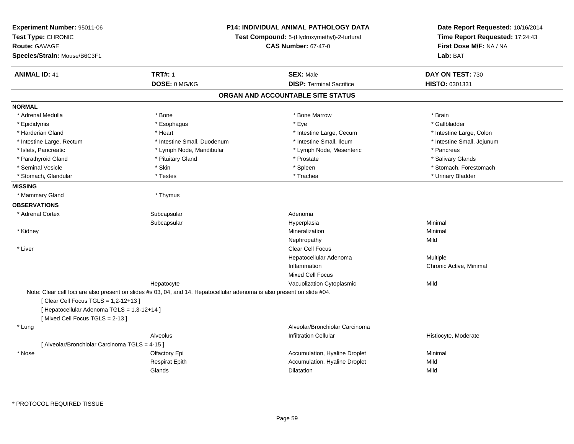| Experiment Number: 95011-06<br>Test Type: CHRONIC<br><b>Route: GAVAGE</b><br>Species/Strain: Mouse/B6C3F1 | <b>P14: INDIVIDUAL ANIMAL PATHOLOGY DATA</b><br>Test Compound: 5-(Hydroxymethyl)-2-furfural<br><b>CAS Number: 67-47-0</b> |                                   | Date Report Requested: 10/16/2014<br>Time Report Requested: 17:24:43<br>First Dose M/F: NA / NA<br>Lab: BAT |
|-----------------------------------------------------------------------------------------------------------|---------------------------------------------------------------------------------------------------------------------------|-----------------------------------|-------------------------------------------------------------------------------------------------------------|
| <b>ANIMAL ID: 41</b>                                                                                      | <b>TRT#: 1</b>                                                                                                            | <b>SEX: Male</b>                  | DAY ON TEST: 730                                                                                            |
|                                                                                                           | DOSE: 0 MG/KG                                                                                                             | <b>DISP: Terminal Sacrifice</b>   | HISTO: 0301331                                                                                              |
|                                                                                                           |                                                                                                                           | ORGAN AND ACCOUNTABLE SITE STATUS |                                                                                                             |
| <b>NORMAL</b>                                                                                             |                                                                                                                           |                                   |                                                                                                             |
| * Adrenal Medulla                                                                                         | * Bone                                                                                                                    | * Bone Marrow                     | * Brain                                                                                                     |
| * Epididymis                                                                                              | * Esophagus                                                                                                               | * Eye                             | * Gallbladder                                                                                               |
| * Harderian Gland                                                                                         | * Heart                                                                                                                   | * Intestine Large, Cecum          | * Intestine Large, Colon                                                                                    |
| * Intestine Large, Rectum                                                                                 | * Intestine Small, Duodenum                                                                                               | * Intestine Small, Ileum          | * Intestine Small, Jejunum                                                                                  |
| * Islets, Pancreatic                                                                                      | * Lymph Node, Mandibular                                                                                                  | * Lymph Node, Mesenteric          | * Pancreas                                                                                                  |
| * Parathyroid Gland                                                                                       | * Pituitary Gland                                                                                                         | * Prostate                        | * Salivary Glands                                                                                           |
| * Seminal Vesicle                                                                                         | * Skin                                                                                                                    | * Spleen                          | * Stomach, Forestomach                                                                                      |
| * Stomach, Glandular                                                                                      | * Testes                                                                                                                  | * Trachea                         | * Urinary Bladder                                                                                           |
| <b>MISSING</b>                                                                                            |                                                                                                                           |                                   |                                                                                                             |
| * Mammary Gland                                                                                           | * Thymus                                                                                                                  |                                   |                                                                                                             |
| <b>OBSERVATIONS</b>                                                                                       |                                                                                                                           |                                   |                                                                                                             |
| * Adrenal Cortex                                                                                          | Subcapsular                                                                                                               | Adenoma                           |                                                                                                             |
|                                                                                                           | Subcapsular                                                                                                               | Hyperplasia                       | Minimal                                                                                                     |
| * Kidney                                                                                                  |                                                                                                                           | Mineralization                    | Minimal                                                                                                     |
|                                                                                                           |                                                                                                                           | Nephropathy                       | Mild                                                                                                        |
| * Liver                                                                                                   |                                                                                                                           | <b>Clear Cell Focus</b>           |                                                                                                             |
|                                                                                                           |                                                                                                                           | Hepatocellular Adenoma            | Multiple                                                                                                    |
|                                                                                                           |                                                                                                                           | Inflammation                      | Chronic Active, Minimal                                                                                     |
|                                                                                                           |                                                                                                                           | <b>Mixed Cell Focus</b>           |                                                                                                             |
|                                                                                                           | Hepatocyte                                                                                                                | Vacuolization Cytoplasmic         | Mild                                                                                                        |
|                                                                                                           | Note: Clear cell foci are also present on slides #s 03, 04, and 14. Hepatocellular adenoma is also present on slide #04.  |                                   |                                                                                                             |
| [ Clear Cell Focus TGLS = 1,2-12+13 ]                                                                     |                                                                                                                           |                                   |                                                                                                             |
| [ Hepatocellular Adenoma TGLS = 1,3-12+14 ]                                                               |                                                                                                                           |                                   |                                                                                                             |
| [Mixed Cell Focus TGLS = 2-13]                                                                            |                                                                                                                           |                                   |                                                                                                             |
| * Lung                                                                                                    |                                                                                                                           | Alveolar/Bronchiolar Carcinoma    |                                                                                                             |
|                                                                                                           | Alveolus                                                                                                                  | <b>Infiltration Cellular</b>      | Histiocyte, Moderate                                                                                        |
| [ Alveolar/Bronchiolar Carcinoma TGLS = 4-15 ]                                                            |                                                                                                                           |                                   |                                                                                                             |
| * Nose                                                                                                    | Olfactory Epi                                                                                                             | Accumulation, Hyaline Droplet     | Minimal                                                                                                     |
|                                                                                                           | <b>Respirat Epith</b>                                                                                                     | Accumulation, Hyaline Droplet     | Mild                                                                                                        |
|                                                                                                           | Glands                                                                                                                    | <b>Dilatation</b>                 | Mild                                                                                                        |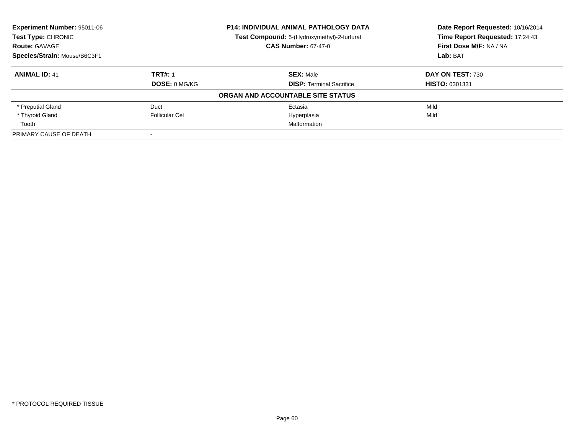| Experiment Number: 95011-06<br><b>Test Type: CHRONIC</b> |                      | <b>P14: INDIVIDUAL ANIMAL PATHOLOGY DATA</b> | Date Report Requested: 10/16/2014<br>Time Report Requested: 17:24:43 |
|----------------------------------------------------------|----------------------|----------------------------------------------|----------------------------------------------------------------------|
|                                                          |                      | Test Compound: 5-(Hydroxymethyl)-2-furfural  |                                                                      |
| <b>Route: GAVAGE</b>                                     |                      | <b>CAS Number: 67-47-0</b>                   | First Dose M/F: NA / NA                                              |
| Species/Strain: Mouse/B6C3F1                             |                      |                                              | Lab: BAT                                                             |
| <b>ANIMAL ID: 41</b>                                     | <b>TRT#: 1</b>       | <b>SEX: Male</b>                             | DAY ON TEST: 730                                                     |
|                                                          | <b>DOSE: 0 MG/KG</b> | <b>DISP:</b> Terminal Sacrifice              | <b>HISTO: 0301331</b>                                                |
|                                                          |                      | ORGAN AND ACCOUNTABLE SITE STATUS            |                                                                      |
| * Preputial Gland                                        | Duct                 | Ectasia                                      | Mild                                                                 |
| * Thyroid Gland                                          | Follicular Cel       | Hyperplasia                                  | Mild                                                                 |
| Tooth                                                    |                      | Malformation                                 |                                                                      |
| PRIMARY CAUSE OF DEATH                                   |                      |                                              |                                                                      |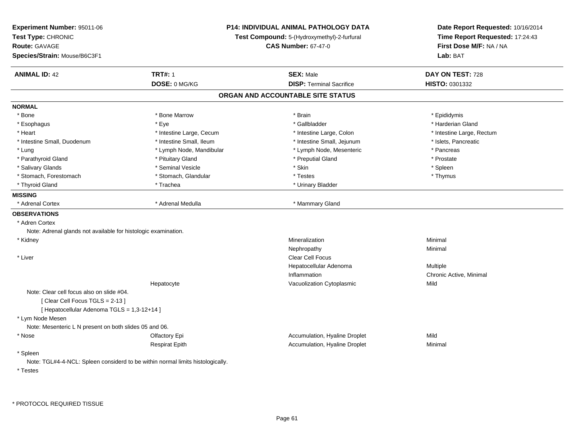| Experiment Number: 95011-06<br>Test Type: CHRONIC<br><b>Route: GAVAGE</b><br>Species/Strain: Mouse/B6C3F1 | P14: INDIVIDUAL ANIMAL PATHOLOGY DATA<br>Test Compound: 5-(Hydroxymethyl)-2-furfural<br><b>CAS Number: 67-47-0</b> |                                   | Date Report Requested: 10/16/2014<br>Time Report Requested: 17:24:43<br>First Dose M/F: NA / NA<br>Lab: BAT |
|-----------------------------------------------------------------------------------------------------------|--------------------------------------------------------------------------------------------------------------------|-----------------------------------|-------------------------------------------------------------------------------------------------------------|
| <b>ANIMAL ID: 42</b>                                                                                      | <b>TRT#: 1</b>                                                                                                     | <b>SEX: Male</b>                  | DAY ON TEST: 728                                                                                            |
|                                                                                                           | DOSE: 0 MG/KG                                                                                                      | <b>DISP: Terminal Sacrifice</b>   | <b>HISTO: 0301332</b>                                                                                       |
|                                                                                                           |                                                                                                                    | ORGAN AND ACCOUNTABLE SITE STATUS |                                                                                                             |
| <b>NORMAL</b>                                                                                             |                                                                                                                    |                                   |                                                                                                             |
| * Bone                                                                                                    | * Bone Marrow                                                                                                      | * Brain                           | * Epididymis                                                                                                |
| * Esophagus                                                                                               | * Eye                                                                                                              | * Gallbladder                     | * Harderian Gland                                                                                           |
| * Heart                                                                                                   | * Intestine Large, Cecum                                                                                           | * Intestine Large, Colon          | * Intestine Large, Rectum                                                                                   |
| * Intestine Small, Duodenum                                                                               | * Intestine Small, Ileum                                                                                           | * Intestine Small, Jejunum        | * Islets, Pancreatic                                                                                        |
| * Lung                                                                                                    | * Lymph Node, Mandibular                                                                                           | * Lymph Node, Mesenteric          | * Pancreas                                                                                                  |
| * Parathyroid Gland                                                                                       | * Pituitary Gland                                                                                                  | * Preputial Gland                 | * Prostate                                                                                                  |
| * Salivary Glands                                                                                         | * Seminal Vesicle                                                                                                  | * Skin                            | * Spleen                                                                                                    |
| * Stomach, Forestomach                                                                                    | * Stomach, Glandular                                                                                               | * Testes                          | * Thymus                                                                                                    |
| * Thyroid Gland                                                                                           | * Trachea                                                                                                          | * Urinary Bladder                 |                                                                                                             |
| <b>MISSING</b>                                                                                            |                                                                                                                    |                                   |                                                                                                             |
| * Adrenal Cortex                                                                                          | * Adrenal Medulla                                                                                                  | * Mammary Gland                   |                                                                                                             |
| <b>OBSERVATIONS</b>                                                                                       |                                                                                                                    |                                   |                                                                                                             |
| * Adren Cortex                                                                                            |                                                                                                                    |                                   |                                                                                                             |
| Note: Adrenal glands not available for histologic examination.                                            |                                                                                                                    |                                   |                                                                                                             |
| * Kidney                                                                                                  |                                                                                                                    | Mineralization                    | Minimal                                                                                                     |
|                                                                                                           |                                                                                                                    | Nephropathy                       | Minimal                                                                                                     |
| * Liver                                                                                                   |                                                                                                                    | <b>Clear Cell Focus</b>           |                                                                                                             |
|                                                                                                           |                                                                                                                    | Hepatocellular Adenoma            | Multiple                                                                                                    |
|                                                                                                           |                                                                                                                    | Inflammation                      | Chronic Active, Minimal                                                                                     |
|                                                                                                           | Hepatocyte                                                                                                         | Vacuolization Cytoplasmic         | Mild                                                                                                        |
| Note: Clear cell focus also on slide #04.                                                                 |                                                                                                                    |                                   |                                                                                                             |
| [Clear Cell Focus TGLS = 2-13]                                                                            |                                                                                                                    |                                   |                                                                                                             |
| [ Hepatocellular Adenoma TGLS = 1,3-12+14 ]                                                               |                                                                                                                    |                                   |                                                                                                             |
| * Lym Node Mesen                                                                                          |                                                                                                                    |                                   |                                                                                                             |
| Note: Mesenteric L N present on both slides 05 and 06.                                                    |                                                                                                                    |                                   |                                                                                                             |
| * Nose                                                                                                    | Olfactory Epi                                                                                                      | Accumulation, Hyaline Droplet     | Mild                                                                                                        |
|                                                                                                           | Respirat Epith                                                                                                     | Accumulation, Hyaline Droplet     | Minimal                                                                                                     |
| * Spleen                                                                                                  |                                                                                                                    |                                   |                                                                                                             |
|                                                                                                           | Note: TGL#4-4-NCL: Spleen considerd to be within normal limits histologically.                                     |                                   |                                                                                                             |
| * Testes                                                                                                  |                                                                                                                    |                                   |                                                                                                             |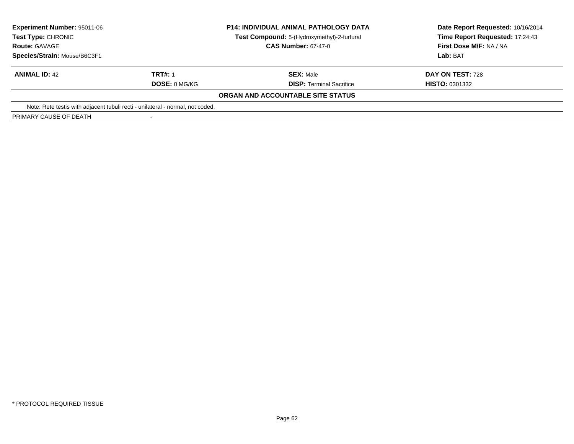| Experiment Number: 95011-06<br>Test Type: CHRONIC<br><b>Route: GAVAGE</b>      |                      | <b>P14: INDIVIDUAL ANIMAL PATHOLOGY DATA</b><br>Test Compound: 5-(Hydroxymethyl)-2-furfural<br><b>CAS Number: 67-47-0</b> | Date Report Requested: 10/16/2014<br>Time Report Requested: 17:24:43<br>First Dose M/F: NA / NA |
|--------------------------------------------------------------------------------|----------------------|---------------------------------------------------------------------------------------------------------------------------|-------------------------------------------------------------------------------------------------|
| Species/Strain: Mouse/B6C3F1                                                   |                      |                                                                                                                           | Lab: BAT                                                                                        |
| <b>ANIMAL ID: 42</b>                                                           | <b>TRT#: 1</b>       | <b>SEX: Male</b>                                                                                                          | DAY ON TEST: 728                                                                                |
|                                                                                | <b>DOSE: 0 MG/KG</b> | <b>DISP: Terminal Sacrifice</b>                                                                                           | <b>HISTO: 0301332</b>                                                                           |
|                                                                                |                      | ORGAN AND ACCOUNTABLE SITE STATUS                                                                                         |                                                                                                 |
| Note: Rete testis with adjacent tubuli recti - unilateral - normal, not coded. |                      |                                                                                                                           |                                                                                                 |
| PRIMARY CAUSE OF DEATH                                                         |                      |                                                                                                                           |                                                                                                 |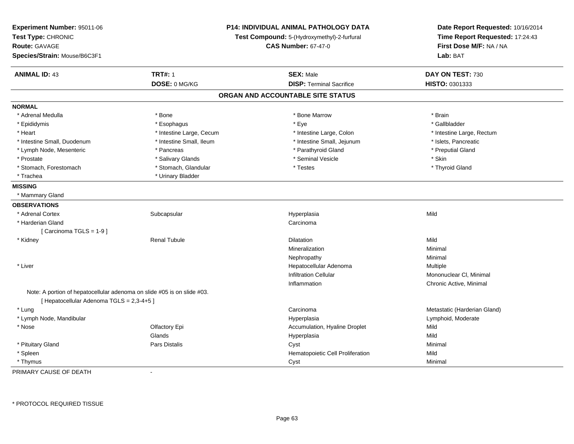| Experiment Number: 95011-06<br>Test Type: CHRONIC<br><b>Route: GAVAGE</b><br>Species/Strain: Mouse/B6C3F1            |                          | P14: INDIVIDUAL ANIMAL PATHOLOGY DATA<br>Test Compound: 5-(Hydroxymethyl)-2-furfural<br><b>CAS Number: 67-47-0</b> | Date Report Requested: 10/16/2014<br>Time Report Requested: 17:24:43<br>First Dose M/F: NA / NA<br>Lab: BAT |
|----------------------------------------------------------------------------------------------------------------------|--------------------------|--------------------------------------------------------------------------------------------------------------------|-------------------------------------------------------------------------------------------------------------|
| <b>ANIMAL ID: 43</b>                                                                                                 | <b>TRT#: 1</b>           | <b>SEX: Male</b>                                                                                                   | DAY ON TEST: 730                                                                                            |
|                                                                                                                      | DOSE: 0 MG/KG            | <b>DISP: Terminal Sacrifice</b>                                                                                    | HISTO: 0301333                                                                                              |
|                                                                                                                      |                          | ORGAN AND ACCOUNTABLE SITE STATUS                                                                                  |                                                                                                             |
| <b>NORMAL</b>                                                                                                        |                          |                                                                                                                    |                                                                                                             |
| * Adrenal Medulla                                                                                                    | * Bone                   | * Bone Marrow                                                                                                      | * Brain                                                                                                     |
| * Epididymis                                                                                                         | * Esophagus              | * Eye                                                                                                              | * Gallbladder                                                                                               |
| * Heart                                                                                                              | * Intestine Large, Cecum | * Intestine Large, Colon                                                                                           | * Intestine Large, Rectum                                                                                   |
| * Intestine Small, Duodenum                                                                                          | * Intestine Small, Ileum | * Intestine Small, Jejunum                                                                                         | * Islets, Pancreatic                                                                                        |
| * Lymph Node, Mesenteric                                                                                             | * Pancreas               | * Parathyroid Gland                                                                                                | * Preputial Gland                                                                                           |
| * Prostate                                                                                                           | * Salivary Glands        | * Seminal Vesicle                                                                                                  | * Skin                                                                                                      |
| * Stomach, Forestomach                                                                                               | * Stomach, Glandular     | * Testes                                                                                                           | * Thyroid Gland                                                                                             |
| * Trachea                                                                                                            | * Urinary Bladder        |                                                                                                                    |                                                                                                             |
| <b>MISSING</b>                                                                                                       |                          |                                                                                                                    |                                                                                                             |
| * Mammary Gland                                                                                                      |                          |                                                                                                                    |                                                                                                             |
| <b>OBSERVATIONS</b>                                                                                                  |                          |                                                                                                                    |                                                                                                             |
| * Adrenal Cortex                                                                                                     | Subcapsular              | Hyperplasia                                                                                                        | Mild                                                                                                        |
| * Harderian Gland                                                                                                    |                          | Carcinoma                                                                                                          |                                                                                                             |
| [Carcinoma TGLS = 1-9]                                                                                               |                          |                                                                                                                    |                                                                                                             |
| * Kidney                                                                                                             | <b>Renal Tubule</b>      | Dilatation                                                                                                         | Mild                                                                                                        |
|                                                                                                                      |                          | Mineralization                                                                                                     | Minimal                                                                                                     |
|                                                                                                                      |                          | Nephropathy                                                                                                        | Minimal                                                                                                     |
| * Liver                                                                                                              |                          | Hepatocellular Adenoma                                                                                             | Multiple                                                                                                    |
|                                                                                                                      |                          | <b>Infiltration Cellular</b>                                                                                       | Mononuclear CI, Minimal                                                                                     |
|                                                                                                                      |                          | Inflammation                                                                                                       | Chronic Active, Minimal                                                                                     |
| Note: A portion of hepatocellular adenoma on slide #05 is on slide #03.<br>[ Hepatocellular Adenoma TGLS = 2,3-4+5 ] |                          |                                                                                                                    |                                                                                                             |
| * Lung                                                                                                               |                          | Carcinoma                                                                                                          | Metastatic (Harderian Gland)                                                                                |
| * Lymph Node, Mandibular                                                                                             |                          | Hyperplasia                                                                                                        | Lymphoid, Moderate                                                                                          |
| $*$ Nose                                                                                                             | Olfactory Epi            | Accumulation, Hyaline Droplet                                                                                      | Mild                                                                                                        |
|                                                                                                                      | Glands                   | Hyperplasia                                                                                                        | Mild                                                                                                        |
| * Pituitary Gland                                                                                                    | <b>Pars Distalis</b>     | Cyst                                                                                                               | Minimal                                                                                                     |
| * Spleen                                                                                                             |                          | Hematopoietic Cell Proliferation                                                                                   | Mild                                                                                                        |
| * Thymus                                                                                                             |                          | Cyst                                                                                                               | Minimal                                                                                                     |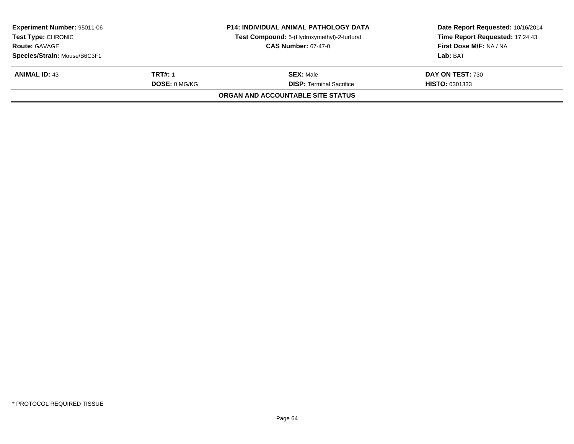| <b>Experiment Number: 95011-06</b><br><b>Test Type: CHRONIC</b><br><b>Route: GAVAGE</b><br>Species/Strain: Mouse/B6C3F1 |  | <b>P14: INDIVIDUAL ANIMAL PATHOLOGY DATA</b><br>Test Compound: 5-(Hydroxymethyl)-2-furfural<br><b>CAS Number: 67-47-0</b> | Date Report Requested: 10/16/2014<br>Time Report Requested: 17:24:43<br>First Dose M/F: NA / NA<br>Lab: BAT |
|-------------------------------------------------------------------------------------------------------------------------|--|---------------------------------------------------------------------------------------------------------------------------|-------------------------------------------------------------------------------------------------------------|
| TRT#: 1<br><b>ANIMAL ID: 43</b><br><b>DOSE: 0 MG/KG</b>                                                                 |  | <b>SEX: Male</b><br><b>DISP: Terminal Sacrifice</b>                                                                       | DAY ON TEST: 730<br><b>HISTO: 0301333</b>                                                                   |
|                                                                                                                         |  | ORGAN AND ACCOUNTABLE SITE STATUS                                                                                         |                                                                                                             |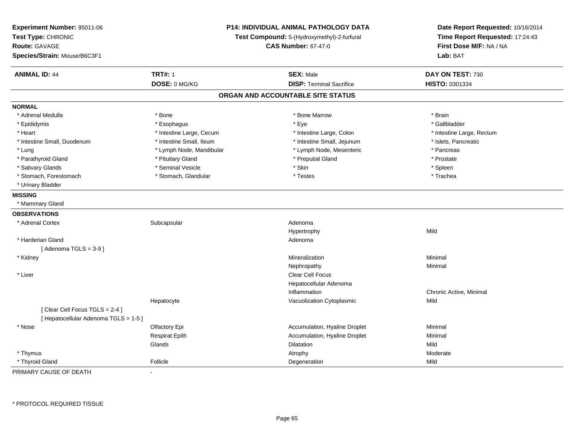| Experiment Number: 95011-06<br>Test Type: CHRONIC<br><b>Route: GAVAGE</b><br>Species/Strain: Mouse/B6C3F1 | P14: INDIVIDUAL ANIMAL PATHOLOGY DATA<br>Test Compound: 5-(Hydroxymethyl)-2-furfural<br><b>CAS Number: 67-47-0</b> |                                   | Date Report Requested: 10/16/2014<br>Time Report Requested: 17:24:43<br>First Dose M/F: NA / NA<br>Lab: BAT |
|-----------------------------------------------------------------------------------------------------------|--------------------------------------------------------------------------------------------------------------------|-----------------------------------|-------------------------------------------------------------------------------------------------------------|
| <b>ANIMAL ID: 44</b>                                                                                      | <b>TRT#: 1</b>                                                                                                     | <b>SEX: Male</b>                  | DAY ON TEST: 730                                                                                            |
|                                                                                                           | DOSE: 0 MG/KG                                                                                                      | <b>DISP: Terminal Sacrifice</b>   | HISTO: 0301334                                                                                              |
|                                                                                                           |                                                                                                                    | ORGAN AND ACCOUNTABLE SITE STATUS |                                                                                                             |
| <b>NORMAL</b>                                                                                             |                                                                                                                    |                                   |                                                                                                             |
| * Adrenal Medulla                                                                                         | * Bone                                                                                                             | * Bone Marrow                     | * Brain                                                                                                     |
| * Epididymis                                                                                              | * Esophagus                                                                                                        | * Eye                             | * Gallbladder                                                                                               |
| * Heart                                                                                                   | * Intestine Large, Cecum                                                                                           | * Intestine Large, Colon          | * Intestine Large, Rectum                                                                                   |
| * Intestine Small, Duodenum                                                                               | * Intestine Small, Ileum                                                                                           | * Intestine Small, Jejunum        | * Islets, Pancreatic                                                                                        |
| * Lung                                                                                                    | * Lymph Node, Mandibular                                                                                           | * Lymph Node, Mesenteric          | * Pancreas                                                                                                  |
| * Parathyroid Gland                                                                                       | * Pituitary Gland                                                                                                  | * Preputial Gland                 | * Prostate                                                                                                  |
| * Salivary Glands                                                                                         | * Seminal Vesicle                                                                                                  | * Skin                            | * Spleen                                                                                                    |
| * Stomach, Forestomach                                                                                    | * Stomach, Glandular                                                                                               | * Testes                          | * Trachea                                                                                                   |
| * Urinary Bladder                                                                                         |                                                                                                                    |                                   |                                                                                                             |
| <b>MISSING</b>                                                                                            |                                                                                                                    |                                   |                                                                                                             |
| * Mammary Gland                                                                                           |                                                                                                                    |                                   |                                                                                                             |
| <b>OBSERVATIONS</b>                                                                                       |                                                                                                                    |                                   |                                                                                                             |
| * Adrenal Cortex                                                                                          | Subcapsular                                                                                                        | Adenoma                           |                                                                                                             |
|                                                                                                           |                                                                                                                    | Hypertrophy                       | Mild                                                                                                        |
| * Harderian Gland                                                                                         |                                                                                                                    | Adenoma                           |                                                                                                             |
| [Adenoma TGLS = $3-9$ ]                                                                                   |                                                                                                                    |                                   |                                                                                                             |
| * Kidney                                                                                                  |                                                                                                                    | Mineralization                    | Minimal                                                                                                     |
|                                                                                                           |                                                                                                                    | Nephropathy                       | Minimal                                                                                                     |
| * Liver                                                                                                   |                                                                                                                    | Clear Cell Focus                  |                                                                                                             |
|                                                                                                           |                                                                                                                    | Hepatocellular Adenoma            |                                                                                                             |
|                                                                                                           |                                                                                                                    | Inflammation                      | Chronic Active, Minimal                                                                                     |
|                                                                                                           | Hepatocyte                                                                                                         | Vacuolization Cytoplasmic         | Mild                                                                                                        |
| [Clear Cell Focus TGLS = 2-4]                                                                             |                                                                                                                    |                                   |                                                                                                             |
| [ Hepatocellular Adenoma TGLS = 1-5 ]                                                                     |                                                                                                                    |                                   |                                                                                                             |
| * Nose                                                                                                    | Olfactory Epi                                                                                                      | Accumulation, Hyaline Droplet     | Minimal                                                                                                     |
|                                                                                                           | <b>Respirat Epith</b>                                                                                              | Accumulation, Hyaline Droplet     | Minimal                                                                                                     |
|                                                                                                           | Glands                                                                                                             | <b>Dilatation</b>                 | Mild                                                                                                        |
| * Thymus                                                                                                  |                                                                                                                    | Atrophy                           | Moderate                                                                                                    |
| * Thyroid Gland                                                                                           | Follicle                                                                                                           | Degeneration                      | Mild                                                                                                        |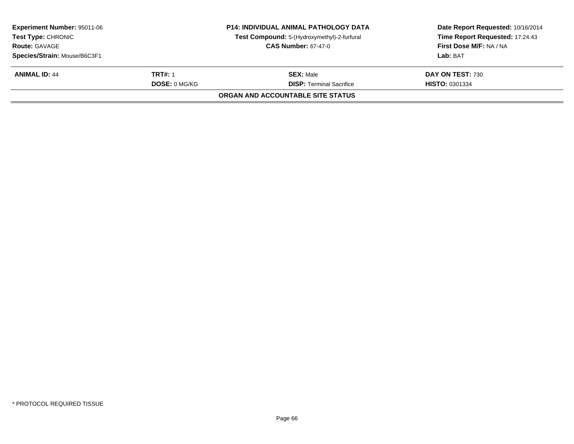| <b>Experiment Number: 95011-06</b><br><b>Test Type: CHRONIC</b><br><b>Route: GAVAGE</b><br>Species/Strain: Mouse/B6C3F1 |  | <b>P14: INDIVIDUAL ANIMAL PATHOLOGY DATA</b><br>Test Compound: 5-(Hydroxymethyl)-2-furfural<br><b>CAS Number: 67-47-0</b> | Date Report Requested: 10/16/2014<br>Time Report Requested: 17:24:43<br>First Dose M/F: NA / NA<br>Lab: BAT |
|-------------------------------------------------------------------------------------------------------------------------|--|---------------------------------------------------------------------------------------------------------------------------|-------------------------------------------------------------------------------------------------------------|
| TRT#: 1<br><b>ANIMAL ID: 44</b><br><b>DOSE: 0 MG/KG</b>                                                                 |  | <b>SEX: Male</b><br><b>DISP: Terminal Sacrifice</b>                                                                       | DAY ON TEST: 730<br><b>HISTO: 0301334</b>                                                                   |
|                                                                                                                         |  | ORGAN AND ACCOUNTABLE SITE STATUS                                                                                         |                                                                                                             |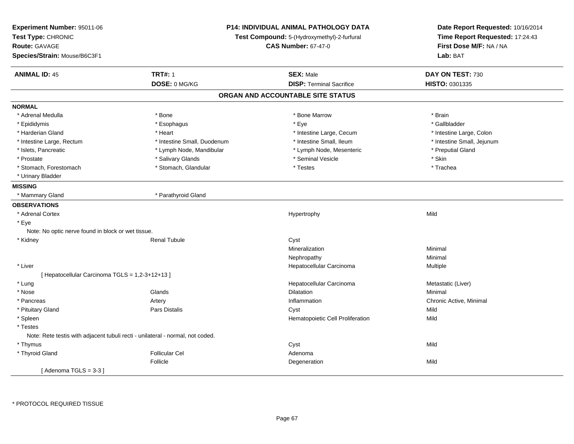| Experiment Number: 95011-06<br>Test Type: CHRONIC<br><b>Route: GAVAGE</b><br>Species/Strain: Mouse/B6C3F1 | <b>P14: INDIVIDUAL ANIMAL PATHOLOGY DATA</b><br>Test Compound: 5-(Hydroxymethyl)-2-furfural<br><b>CAS Number: 67-47-0</b> |                                   | Date Report Requested: 10/16/2014<br>Time Report Requested: 17:24:43<br>First Dose M/F: NA / NA<br>Lab: BAT |
|-----------------------------------------------------------------------------------------------------------|---------------------------------------------------------------------------------------------------------------------------|-----------------------------------|-------------------------------------------------------------------------------------------------------------|
| <b>ANIMAL ID: 45</b>                                                                                      | <b>TRT#: 1</b>                                                                                                            | <b>SEX: Male</b>                  | DAY ON TEST: 730                                                                                            |
|                                                                                                           | DOSE: 0 MG/KG                                                                                                             | <b>DISP: Terminal Sacrifice</b>   | HISTO: 0301335                                                                                              |
|                                                                                                           |                                                                                                                           | ORGAN AND ACCOUNTABLE SITE STATUS |                                                                                                             |
| <b>NORMAL</b>                                                                                             |                                                                                                                           |                                   |                                                                                                             |
| * Adrenal Medulla                                                                                         | * Bone                                                                                                                    | * Bone Marrow                     | * Brain                                                                                                     |
| * Epididymis                                                                                              | * Esophagus                                                                                                               | * Eye                             | * Gallbladder                                                                                               |
| * Harderian Gland                                                                                         | * Heart                                                                                                                   | * Intestine Large, Cecum          | * Intestine Large, Colon                                                                                    |
| * Intestine Large, Rectum                                                                                 | * Intestine Small, Duodenum                                                                                               | * Intestine Small, Ileum          | * Intestine Small, Jejunum                                                                                  |
| * Islets, Pancreatic                                                                                      | * Lymph Node, Mandibular                                                                                                  | * Lymph Node, Mesenteric          | * Preputial Gland                                                                                           |
| * Prostate                                                                                                | * Salivary Glands                                                                                                         | * Seminal Vesicle                 | * Skin                                                                                                      |
| * Stomach, Forestomach                                                                                    | * Stomach, Glandular                                                                                                      | * Testes                          | * Trachea                                                                                                   |
| * Urinary Bladder                                                                                         |                                                                                                                           |                                   |                                                                                                             |
| <b>MISSING</b>                                                                                            |                                                                                                                           |                                   |                                                                                                             |
| * Mammary Gland                                                                                           | * Parathyroid Gland                                                                                                       |                                   |                                                                                                             |
| <b>OBSERVATIONS</b>                                                                                       |                                                                                                                           |                                   |                                                                                                             |
| * Adrenal Cortex                                                                                          |                                                                                                                           | Hypertrophy                       | Mild                                                                                                        |
| * Eye                                                                                                     |                                                                                                                           |                                   |                                                                                                             |
| Note: No optic nerve found in block or wet tissue.                                                        |                                                                                                                           |                                   |                                                                                                             |
| * Kidney                                                                                                  | <b>Renal Tubule</b>                                                                                                       | Cyst                              |                                                                                                             |
|                                                                                                           |                                                                                                                           | Mineralization                    | Minimal                                                                                                     |
|                                                                                                           |                                                                                                                           | Nephropathy                       | Minimal                                                                                                     |
| * Liver                                                                                                   |                                                                                                                           | Hepatocellular Carcinoma          | Multiple                                                                                                    |
| [ Hepatocellular Carcinoma TGLS = 1,2-3+12+13 ]                                                           |                                                                                                                           |                                   |                                                                                                             |
| * Lung                                                                                                    |                                                                                                                           | Hepatocellular Carcinoma          | Metastatic (Liver)                                                                                          |
| * Nose                                                                                                    | Glands                                                                                                                    | Dilatation                        | Minimal                                                                                                     |
| * Pancreas                                                                                                | Artery                                                                                                                    | Inflammation                      | Chronic Active, Minimal                                                                                     |
| * Pituitary Gland                                                                                         | <b>Pars Distalis</b>                                                                                                      | Cyst                              | Mild                                                                                                        |
| * Spleen                                                                                                  |                                                                                                                           | Hematopoietic Cell Proliferation  | Mild                                                                                                        |
| * Testes                                                                                                  |                                                                                                                           |                                   |                                                                                                             |
| Note: Rete testis with adjacent tubuli recti - unilateral - normal, not coded.                            |                                                                                                                           |                                   |                                                                                                             |
| * Thymus                                                                                                  |                                                                                                                           | Cyst                              | Mild                                                                                                        |
| * Thyroid Gland                                                                                           | <b>Follicular Cel</b>                                                                                                     | Adenoma                           |                                                                                                             |
|                                                                                                           | Follicle                                                                                                                  | Degeneration                      | Mild                                                                                                        |
| [Adenoma TGLS = $3-3$ ]                                                                                   |                                                                                                                           |                                   |                                                                                                             |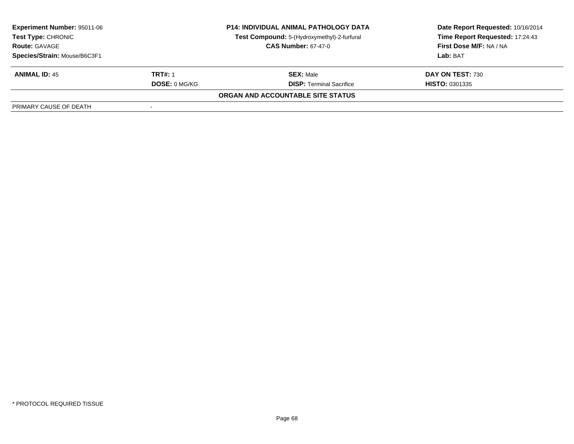| <b>Experiment Number: 95011-06</b><br>Test Type: CHRONIC<br><b>Route: GAVAGE</b> | <b>P14: INDIVIDUAL ANIMAL PATHOLOGY DATA</b><br>Test Compound: 5-(Hydroxymethyl)-2-furfural<br><b>CAS Number: 67-47-0</b> |                                   | Date Report Requested: 10/16/2014<br>Time Report Requested: 17:24:43<br>First Dose M/F: NA / NA<br>Lab: BAT |
|----------------------------------------------------------------------------------|---------------------------------------------------------------------------------------------------------------------------|-----------------------------------|-------------------------------------------------------------------------------------------------------------|
| Species/Strain: Mouse/B6C3F1                                                     |                                                                                                                           |                                   |                                                                                                             |
| <b>ANIMAL ID: 45</b>                                                             | <b>TRT#: 1</b>                                                                                                            | <b>SEX: Male</b>                  | DAY ON TEST: 730                                                                                            |
|                                                                                  | <b>DOSE: 0 MG/KG</b>                                                                                                      | <b>DISP:</b> Terminal Sacrifice   | <b>HISTO: 0301335</b>                                                                                       |
|                                                                                  |                                                                                                                           | ORGAN AND ACCOUNTABLE SITE STATUS |                                                                                                             |
| PRIMARY CAUSE OF DEATH                                                           |                                                                                                                           |                                   |                                                                                                             |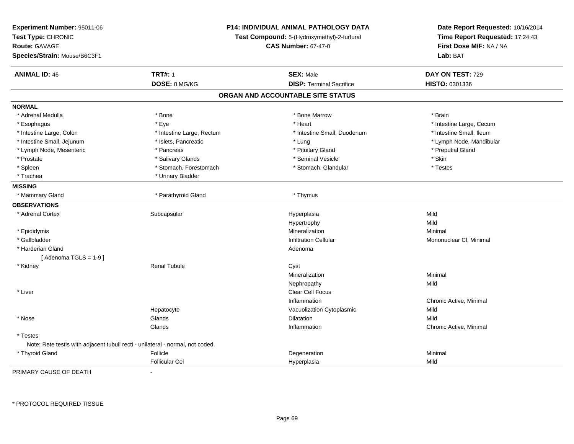| Experiment Number: 95011-06<br>Test Type: CHRONIC<br><b>Route: GAVAGE</b><br>Species/Strain: Mouse/B6C3F1 | P14: INDIVIDUAL ANIMAL PATHOLOGY DATA<br>Test Compound: 5-(Hydroxymethyl)-2-furfural<br><b>CAS Number: 67-47-0</b> |                                   | Date Report Requested: 10/16/2014<br>Time Report Requested: 17:24:43<br>First Dose M/F: NA / NA<br>Lab: BAT |
|-----------------------------------------------------------------------------------------------------------|--------------------------------------------------------------------------------------------------------------------|-----------------------------------|-------------------------------------------------------------------------------------------------------------|
| <b>ANIMAL ID: 46</b>                                                                                      | <b>TRT#: 1</b>                                                                                                     | <b>SEX: Male</b>                  | DAY ON TEST: 729                                                                                            |
|                                                                                                           | DOSE: 0 MG/KG                                                                                                      | <b>DISP: Terminal Sacrifice</b>   | HISTO: 0301336                                                                                              |
|                                                                                                           |                                                                                                                    | ORGAN AND ACCOUNTABLE SITE STATUS |                                                                                                             |
| <b>NORMAL</b>                                                                                             |                                                                                                                    |                                   |                                                                                                             |
| * Adrenal Medulla                                                                                         | * Bone                                                                                                             | * Bone Marrow                     | * Brain                                                                                                     |
| * Esophagus                                                                                               | * Eye                                                                                                              | * Heart                           | * Intestine Large, Cecum                                                                                    |
| * Intestine Large, Colon                                                                                  | * Intestine Large, Rectum                                                                                          | * Intestine Small, Duodenum       | * Intestine Small, Ileum                                                                                    |
| * Intestine Small, Jejunum                                                                                | * Islets, Pancreatic                                                                                               | * Lung                            | * Lymph Node, Mandibular                                                                                    |
| * Lymph Node, Mesenteric                                                                                  | * Pancreas                                                                                                         | * Pituitary Gland                 | * Preputial Gland                                                                                           |
| * Prostate                                                                                                | * Salivary Glands                                                                                                  | * Seminal Vesicle                 | * Skin                                                                                                      |
| * Spleen                                                                                                  | * Stomach, Forestomach                                                                                             | * Stomach, Glandular              | * Testes                                                                                                    |
| * Trachea                                                                                                 | * Urinary Bladder                                                                                                  |                                   |                                                                                                             |
| <b>MISSING</b>                                                                                            |                                                                                                                    |                                   |                                                                                                             |
| * Mammary Gland                                                                                           | * Parathyroid Gland                                                                                                | * Thymus                          |                                                                                                             |
| <b>OBSERVATIONS</b>                                                                                       |                                                                                                                    |                                   |                                                                                                             |
| * Adrenal Cortex                                                                                          | Subcapsular                                                                                                        | Hyperplasia                       | Mild                                                                                                        |
|                                                                                                           |                                                                                                                    | Hypertrophy                       | Mild                                                                                                        |
| * Epididymis                                                                                              |                                                                                                                    | Mineralization                    | Minimal                                                                                                     |
| * Gallbladder                                                                                             |                                                                                                                    | <b>Infiltration Cellular</b>      | Mononuclear CI, Minimal                                                                                     |
| * Harderian Gland                                                                                         |                                                                                                                    | Adenoma                           |                                                                                                             |
| [Adenoma TGLS = $1-9$ ]                                                                                   |                                                                                                                    |                                   |                                                                                                             |
| * Kidney                                                                                                  | <b>Renal Tubule</b>                                                                                                | Cyst                              |                                                                                                             |
|                                                                                                           |                                                                                                                    | Mineralization                    | Minimal                                                                                                     |
|                                                                                                           |                                                                                                                    | Nephropathy                       | Mild                                                                                                        |
| * Liver                                                                                                   |                                                                                                                    | Clear Cell Focus                  |                                                                                                             |
|                                                                                                           |                                                                                                                    | Inflammation                      | Chronic Active, Minimal                                                                                     |
|                                                                                                           | Hepatocyte                                                                                                         | Vacuolization Cytoplasmic         | Mild                                                                                                        |
| * Nose                                                                                                    | Glands                                                                                                             | Dilatation                        | Mild                                                                                                        |
|                                                                                                           | Glands                                                                                                             | Inflammation                      | Chronic Active, Minimal                                                                                     |
| * Testes                                                                                                  |                                                                                                                    |                                   |                                                                                                             |
| Note: Rete testis with adjacent tubuli recti - unilateral - normal, not coded.                            |                                                                                                                    |                                   |                                                                                                             |
| * Thyroid Gland                                                                                           | Follicle                                                                                                           | Degeneration                      | Minimal                                                                                                     |
|                                                                                                           | <b>Follicular Cel</b>                                                                                              | Hyperplasia                       | Mild                                                                                                        |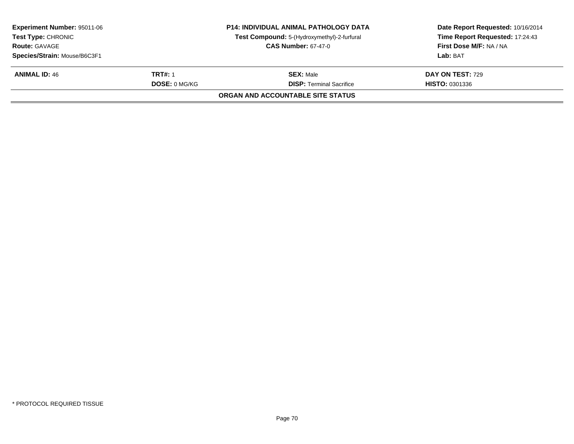| <b>Experiment Number: 95011-06</b><br><b>Test Type: CHRONIC</b><br><b>Route: GAVAGE</b><br>Species/Strain: Mouse/B6C3F1 |                      | <b>P14: INDIVIDUAL ANIMAL PATHOLOGY DATA</b><br>Test Compound: 5-(Hydroxymethyl)-2-furfural<br><b>CAS Number: 67-47-0</b> | Date Report Requested: 10/16/2014<br>Time Report Requested: 17:24:43<br>First Dose M/F: NA / NA<br>Lab: BAT |
|-------------------------------------------------------------------------------------------------------------------------|----------------------|---------------------------------------------------------------------------------------------------------------------------|-------------------------------------------------------------------------------------------------------------|
| <b>ANIMAL ID: 46</b>                                                                                                    | TRT#: 1              | <b>SEX: Male</b>                                                                                                          | <b>DAY ON TEST: 729</b>                                                                                     |
|                                                                                                                         | <b>DOSE: 0 MG/KG</b> | <b>DISP: Terminal Sacrifice</b>                                                                                           | <b>HISTO: 0301336</b>                                                                                       |
|                                                                                                                         |                      | ORGAN AND ACCOUNTABLE SITE STATUS                                                                                         |                                                                                                             |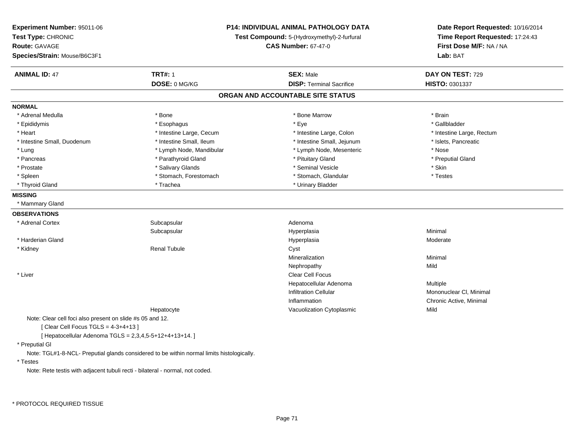| Experiment Number: 95011-06                               | P14: INDIVIDUAL ANIMAL PATHOLOGY DATA                                                     |                                             | Date Report Requested: 10/16/2014                          |
|-----------------------------------------------------------|-------------------------------------------------------------------------------------------|---------------------------------------------|------------------------------------------------------------|
| Test Type: CHRONIC                                        |                                                                                           | Test Compound: 5-(Hydroxymethyl)-2-furfural | Time Report Requested: 17:24:43<br>First Dose M/F: NA / NA |
| Route: GAVAGE                                             |                                                                                           | <b>CAS Number: 67-47-0</b>                  |                                                            |
| Species/Strain: Mouse/B6C3F1                              |                                                                                           |                                             | Lab: BAT                                                   |
| <b>ANIMAL ID: 47</b>                                      | <b>TRT#: 1</b>                                                                            | <b>SEX: Male</b>                            | DAY ON TEST: 729                                           |
|                                                           | DOSE: 0 MG/KG                                                                             | <b>DISP: Terminal Sacrifice</b>             | HISTO: 0301337                                             |
|                                                           |                                                                                           | ORGAN AND ACCOUNTABLE SITE STATUS           |                                                            |
| <b>NORMAL</b>                                             |                                                                                           |                                             |                                                            |
| * Adrenal Medulla                                         | * Bone                                                                                    | * Bone Marrow                               | * Brain                                                    |
| * Epididymis                                              | * Esophagus                                                                               | * Eye                                       | * Gallbladder                                              |
| * Heart                                                   | * Intestine Large, Cecum                                                                  | * Intestine Large, Colon                    | * Intestine Large, Rectum                                  |
| * Intestine Small, Duodenum                               | * Intestine Small, Ileum                                                                  | * Intestine Small, Jejunum                  | * Islets, Pancreatic                                       |
| * Lung                                                    | * Lymph Node, Mandibular                                                                  | * Lymph Node, Mesenteric                    | * Nose                                                     |
| * Pancreas                                                | * Parathyroid Gland                                                                       | * Pituitary Gland                           | * Preputial Gland                                          |
| * Prostate                                                | * Salivary Glands                                                                         | * Seminal Vesicle                           | * Skin                                                     |
| * Spleen                                                  | * Stomach, Forestomach                                                                    | * Stomach, Glandular                        | * Testes                                                   |
| * Thyroid Gland                                           | * Trachea                                                                                 | * Urinary Bladder                           |                                                            |
| <b>MISSING</b>                                            |                                                                                           |                                             |                                                            |
| * Mammary Gland                                           |                                                                                           |                                             |                                                            |
| <b>OBSERVATIONS</b>                                       |                                                                                           |                                             |                                                            |
| * Adrenal Cortex                                          | Subcapsular                                                                               | Adenoma                                     |                                                            |
|                                                           | Subcapsular                                                                               | Hyperplasia                                 | Minimal                                                    |
| * Harderian Gland                                         |                                                                                           | Hyperplasia                                 | Moderate                                                   |
| * Kidney                                                  | <b>Renal Tubule</b>                                                                       | Cyst                                        |                                                            |
|                                                           |                                                                                           | Mineralization                              | Minimal                                                    |
|                                                           |                                                                                           | Nephropathy                                 | Mild                                                       |
| * Liver                                                   |                                                                                           | Clear Cell Focus                            |                                                            |
|                                                           |                                                                                           | Hepatocellular Adenoma                      | Multiple                                                   |
|                                                           |                                                                                           | <b>Infiltration Cellular</b>                | Mononuclear CI, Minimal                                    |
|                                                           |                                                                                           | Inflammation                                | Chronic Active, Minimal                                    |
|                                                           | Hepatocyte                                                                                | Vacuolization Cytoplasmic                   | Mild                                                       |
| Note: Clear cell foci also present on slide #s 05 and 12. |                                                                                           |                                             |                                                            |
| [Clear Cell Focus TGLS = 4-3+4+13]                        |                                                                                           |                                             |                                                            |
| [ Hepatocellular Adenoma TGLS = 2,3,4,5-5+12+4+13+14.]    |                                                                                           |                                             |                                                            |
| * Preputial GI                                            |                                                                                           |                                             |                                                            |
|                                                           | Note: TGL#1-8-NCL- Preputial glands considered to be within normal limits histologically. |                                             |                                                            |

\* Testes

Note: Rete testis with adjacent tubuli recti - bilateral - normal, not coded.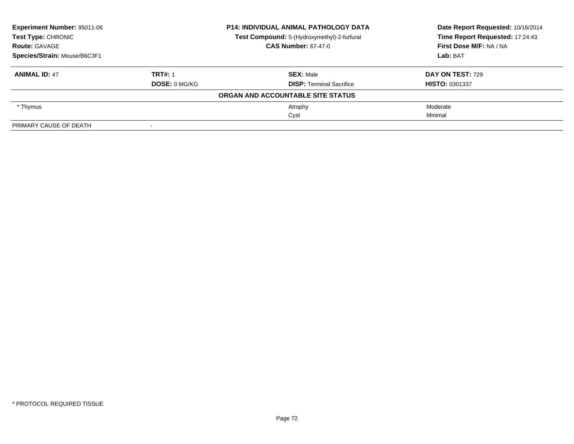| Experiment Number: 95011-06<br><b>Test Type: CHRONIC</b> |                            | <b>P14: INDIVIDUAL ANIMAL PATHOLOGY DATA</b> | Date Report Requested: 10/16/2014<br>Time Report Requested: 17:24:43 |
|----------------------------------------------------------|----------------------------|----------------------------------------------|----------------------------------------------------------------------|
|                                                          |                            | Test Compound: 5-(Hydroxymethyl)-2-furfural  |                                                                      |
| <b>Route: GAVAGE</b>                                     | <b>CAS Number: 67-47-0</b> |                                              | First Dose M/F: NA / NA                                              |
| Species/Strain: Mouse/B6C3F1                             |                            |                                              | Lab: BAT                                                             |
| <b>ANIMAL ID: 47</b>                                     | <b>TRT#: 1</b>             | <b>SEX: Male</b>                             | <b>DAY ON TEST: 729</b>                                              |
|                                                          | <b>DOSE: 0 MG/KG</b>       | <b>DISP:</b> Terminal Sacrifice              | <b>HISTO: 0301337</b>                                                |
|                                                          |                            | ORGAN AND ACCOUNTABLE SITE STATUS            |                                                                      |
| * Thymus                                                 |                            | Atrophy                                      | Moderate                                                             |
|                                                          |                            | Cyst                                         | Minimal                                                              |
| PRIMARY CAUSE OF DEATH                                   |                            |                                              |                                                                      |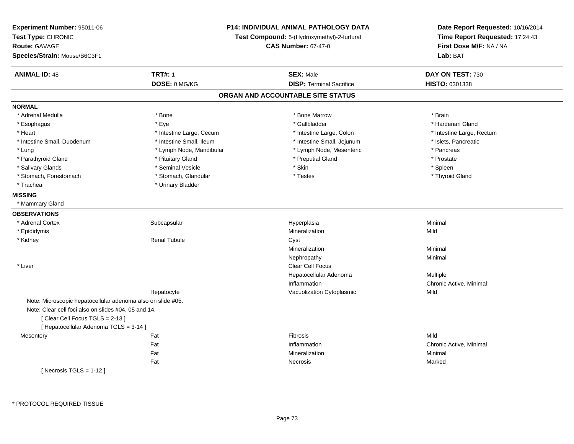| Experiment Number: 95011-06<br>Test Type: CHRONIC<br>Route: GAVAGE<br>Species/Strain: Mouse/B6C3F1 |                          | <b>P14: INDIVIDUAL ANIMAL PATHOLOGY DATA</b><br>Test Compound: 5-(Hydroxymethyl)-2-furfural<br><b>CAS Number: 67-47-0</b> | Date Report Requested: 10/16/2014<br>Time Report Requested: 17:24:43<br>First Dose M/F: NA / NA<br>Lab: BAT |
|----------------------------------------------------------------------------------------------------|--------------------------|---------------------------------------------------------------------------------------------------------------------------|-------------------------------------------------------------------------------------------------------------|
| <b>ANIMAL ID: 48</b>                                                                               | <b>TRT#: 1</b>           | <b>SEX: Male</b>                                                                                                          | DAY ON TEST: 730                                                                                            |
|                                                                                                    | DOSE: 0 MG/KG            | <b>DISP: Terminal Sacrifice</b>                                                                                           | HISTO: 0301338                                                                                              |
|                                                                                                    |                          | ORGAN AND ACCOUNTABLE SITE STATUS                                                                                         |                                                                                                             |
| <b>NORMAL</b>                                                                                      |                          |                                                                                                                           |                                                                                                             |
| * Adrenal Medulla                                                                                  | * Bone                   | * Bone Marrow                                                                                                             | * Brain                                                                                                     |
| * Esophagus                                                                                        | * Eye                    | * Gallbladder                                                                                                             | * Harderian Gland                                                                                           |
| * Heart                                                                                            | * Intestine Large, Cecum | * Intestine Large, Colon                                                                                                  | * Intestine Large, Rectum                                                                                   |
| * Intestine Small, Duodenum                                                                        | * Intestine Small, Ileum | * Intestine Small, Jejunum                                                                                                | * Islets, Pancreatic                                                                                        |
| * Lung                                                                                             | * Lymph Node, Mandibular | * Lymph Node, Mesenteric                                                                                                  | * Pancreas                                                                                                  |
| * Parathyroid Gland                                                                                | * Pituitary Gland        | * Preputial Gland                                                                                                         | * Prostate                                                                                                  |
| * Salivary Glands                                                                                  | * Seminal Vesicle        | $*$ Skin                                                                                                                  | * Spleen                                                                                                    |
| * Stomach, Forestomach                                                                             | * Stomach, Glandular     | * Testes                                                                                                                  | * Thyroid Gland                                                                                             |
| * Trachea                                                                                          | * Urinary Bladder        |                                                                                                                           |                                                                                                             |
| <b>MISSING</b>                                                                                     |                          |                                                                                                                           |                                                                                                             |
| * Mammary Gland                                                                                    |                          |                                                                                                                           |                                                                                                             |
| <b>OBSERVATIONS</b>                                                                                |                          |                                                                                                                           |                                                                                                             |
| * Adrenal Cortex                                                                                   | Subcapsular              | Hyperplasia                                                                                                               | Minimal                                                                                                     |
| * Epididymis                                                                                       |                          | Mineralization                                                                                                            | Mild                                                                                                        |
| * Kidney                                                                                           | <b>Renal Tubule</b>      | Cyst                                                                                                                      |                                                                                                             |
|                                                                                                    |                          | Mineralization                                                                                                            | Minimal                                                                                                     |
|                                                                                                    |                          | Nephropathy                                                                                                               | Minimal                                                                                                     |
| * Liver                                                                                            |                          | Clear Cell Focus                                                                                                          |                                                                                                             |
|                                                                                                    |                          | Hepatocellular Adenoma                                                                                                    | Multiple                                                                                                    |
|                                                                                                    |                          | Inflammation                                                                                                              | Chronic Active, Minimal                                                                                     |
|                                                                                                    | Hepatocyte               | Vacuolization Cytoplasmic                                                                                                 | Mild                                                                                                        |
| Note: Microscopic hepatocellular adenoma also on slide #05.                                        |                          |                                                                                                                           |                                                                                                             |
| Note: Clear cell foci also on slides #04, 05 and 14.                                               |                          |                                                                                                                           |                                                                                                             |
| [Clear Cell Focus TGLS = 2-13]                                                                     |                          |                                                                                                                           |                                                                                                             |
| [ Hepatocellular Adenoma TGLS = 3-14 ]                                                             |                          |                                                                                                                           |                                                                                                             |
| Mesentery                                                                                          | Fat                      | Fibrosis                                                                                                                  | Mild                                                                                                        |
|                                                                                                    | Fat                      | Inflammation                                                                                                              | Chronic Active, Minimal                                                                                     |
|                                                                                                    | Fat                      | Mineralization                                                                                                            | Minimal                                                                                                     |
|                                                                                                    | Fat                      | Necrosis                                                                                                                  | Marked                                                                                                      |
| [Necrosis $TGLS = 1-12$ ]                                                                          |                          |                                                                                                                           |                                                                                                             |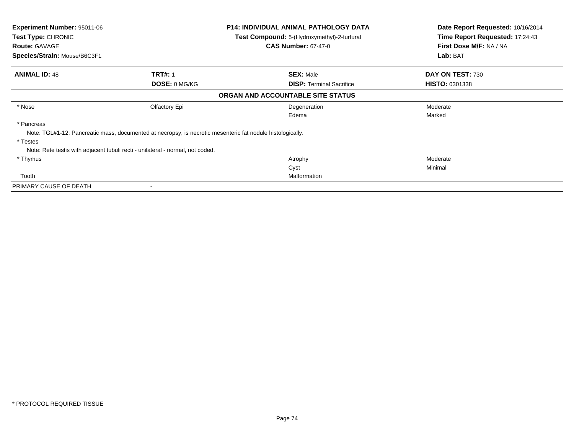| <b>Experiment Number: 95011-06</b>                                                                         | <b>P14: INDIVIDUAL ANIMAL PATHOLOGY DATA</b> | Date Report Requested: 10/16/2014 |
|------------------------------------------------------------------------------------------------------------|----------------------------------------------|-----------------------------------|
| <b>Test Type: CHRONIC</b>                                                                                  | Test Compound: 5-(Hydroxymethyl)-2-furfural  | Time Report Requested: 17:24:43   |
| <b>Route: GAVAGE</b>                                                                                       | <b>CAS Number: 67-47-0</b>                   | First Dose M/F: NA / NA           |
| Species/Strain: Mouse/B6C3F1                                                                               |                                              | Lab: BAT                          |
| <b>ANIMAL ID: 48</b><br><b>TRT#: 1</b>                                                                     | <b>SEX: Male</b>                             | DAY ON TEST: 730                  |
| <b>DOSE: 0 MG/KG</b>                                                                                       | <b>DISP:</b> Terminal Sacrifice              | <b>HISTO: 0301338</b>             |
|                                                                                                            | ORGAN AND ACCOUNTABLE SITE STATUS            |                                   |
| * Nose<br>Olfactory Epi                                                                                    | Degeneration                                 | Moderate                          |
|                                                                                                            | Edema                                        | Marked                            |
| * Pancreas                                                                                                 |                                              |                                   |
| Note: TGL#1-12: Pancreatic mass, documented at necropsy, is necrotic mesenteric fat nodule histologically. |                                              |                                   |
| * Testes                                                                                                   |                                              |                                   |
| Note: Rete testis with adjacent tubuli recti - unilateral - normal, not coded.                             |                                              |                                   |
| * Thymus                                                                                                   | Atrophy                                      | Moderate                          |
|                                                                                                            | Cyst                                         | Minimal                           |
| Tooth                                                                                                      | Malformation                                 |                                   |
| PRIMARY CAUSE OF DEATH                                                                                     |                                              |                                   |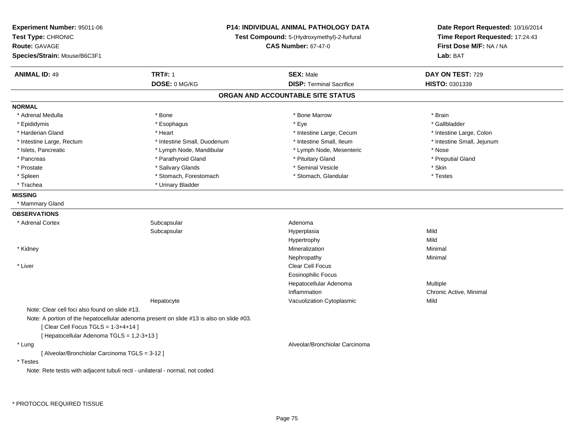| Experiment Number: 95011-06<br>Test Type: CHRONIC<br><b>Route: GAVAGE</b><br>Species/Strain: Mouse/B6C3F1 |                                                                                          | P14: INDIVIDUAL ANIMAL PATHOLOGY DATA<br>Test Compound: 5-(Hydroxymethyl)-2-furfural<br><b>CAS Number: 67-47-0</b> | Date Report Requested: 10/16/2014<br>Time Report Requested: 17:24:43<br>First Dose M/F: NA / NA<br>Lab: BAT |
|-----------------------------------------------------------------------------------------------------------|------------------------------------------------------------------------------------------|--------------------------------------------------------------------------------------------------------------------|-------------------------------------------------------------------------------------------------------------|
| <b>ANIMAL ID: 49</b>                                                                                      | <b>TRT#: 1</b>                                                                           | <b>SEX: Male</b>                                                                                                   | DAY ON TEST: 729                                                                                            |
|                                                                                                           | DOSE: 0 MG/KG                                                                            | <b>DISP: Terminal Sacrifice</b>                                                                                    | HISTO: 0301339                                                                                              |
|                                                                                                           |                                                                                          | ORGAN AND ACCOUNTABLE SITE STATUS                                                                                  |                                                                                                             |
| <b>NORMAL</b>                                                                                             |                                                                                          |                                                                                                                    |                                                                                                             |
| * Adrenal Medulla                                                                                         | * Bone                                                                                   | * Bone Marrow                                                                                                      | * Brain                                                                                                     |
| * Epididymis                                                                                              | * Esophagus                                                                              | * Eye                                                                                                              | * Gallbladder                                                                                               |
| * Harderian Gland                                                                                         | * Heart                                                                                  | * Intestine Large, Cecum                                                                                           | * Intestine Large, Colon                                                                                    |
| * Intestine Large, Rectum                                                                                 | * Intestine Small, Duodenum                                                              | * Intestine Small, Ileum                                                                                           | * Intestine Small, Jejunum                                                                                  |
| * Islets, Pancreatic                                                                                      | * Lymph Node, Mandibular                                                                 | * Lymph Node, Mesenteric                                                                                           | * Nose                                                                                                      |
| * Pancreas                                                                                                | * Parathyroid Gland                                                                      | * Pituitary Gland                                                                                                  | * Preputial Gland                                                                                           |
| * Prostate                                                                                                | * Salivary Glands                                                                        | * Seminal Vesicle                                                                                                  | * Skin                                                                                                      |
| $^{\star}$ Spleen                                                                                         | * Stomach, Forestomach                                                                   | * Stomach, Glandular                                                                                               | * Testes                                                                                                    |
| * Trachea                                                                                                 | * Urinary Bladder                                                                        |                                                                                                                    |                                                                                                             |
| <b>MISSING</b>                                                                                            |                                                                                          |                                                                                                                    |                                                                                                             |
| * Mammary Gland                                                                                           |                                                                                          |                                                                                                                    |                                                                                                             |
| <b>OBSERVATIONS</b>                                                                                       |                                                                                          |                                                                                                                    |                                                                                                             |
| * Adrenal Cortex                                                                                          | Subcapsular                                                                              | Adenoma                                                                                                            |                                                                                                             |
|                                                                                                           | Subcapsular                                                                              | Hyperplasia                                                                                                        | Mild                                                                                                        |
|                                                                                                           |                                                                                          | Hypertrophy                                                                                                        | Mild                                                                                                        |
| * Kidney                                                                                                  |                                                                                          | Mineralization                                                                                                     | Minimal                                                                                                     |
|                                                                                                           |                                                                                          | Nephropathy                                                                                                        | Minimal                                                                                                     |
| * Liver                                                                                                   |                                                                                          | <b>Clear Cell Focus</b>                                                                                            |                                                                                                             |
|                                                                                                           |                                                                                          | <b>Eosinophilic Focus</b>                                                                                          |                                                                                                             |
|                                                                                                           |                                                                                          | Hepatocellular Adenoma                                                                                             | Multiple                                                                                                    |
|                                                                                                           |                                                                                          | Inflammation                                                                                                       | Chronic Active, Minimal                                                                                     |
|                                                                                                           | Hepatocyte                                                                               | Vacuolization Cytoplasmic                                                                                          | Mild                                                                                                        |
| Note: Clear cell foci also found on slide #13.                                                            |                                                                                          |                                                                                                                    |                                                                                                             |
|                                                                                                           | Note: A portion of the hepatocellular adenoma present on slide #13 is also on slide #03. |                                                                                                                    |                                                                                                             |
| [Clear Cell Focus TGLS = $1-3+4+14$ ]                                                                     |                                                                                          |                                                                                                                    |                                                                                                             |
| [ Hepatocellular Adenoma TGLS = 1,2-3+13 ]                                                                |                                                                                          |                                                                                                                    |                                                                                                             |
| * Lung                                                                                                    |                                                                                          | Alveolar/Bronchiolar Carcinoma                                                                                     |                                                                                                             |
| [ Alveolar/Bronchiolar Carcinoma TGLS = 3-12 ]                                                            |                                                                                          |                                                                                                                    |                                                                                                             |
| * Testes                                                                                                  |                                                                                          |                                                                                                                    |                                                                                                             |
| Note: Rete testis with adjacent tubuli recti - unilateral - normal, not coded.                            |                                                                                          |                                                                                                                    |                                                                                                             |
|                                                                                                           |                                                                                          |                                                                                                                    |                                                                                                             |
|                                                                                                           |                                                                                          |                                                                                                                    |                                                                                                             |

\* PROTOCOL REQUIRED TISSUE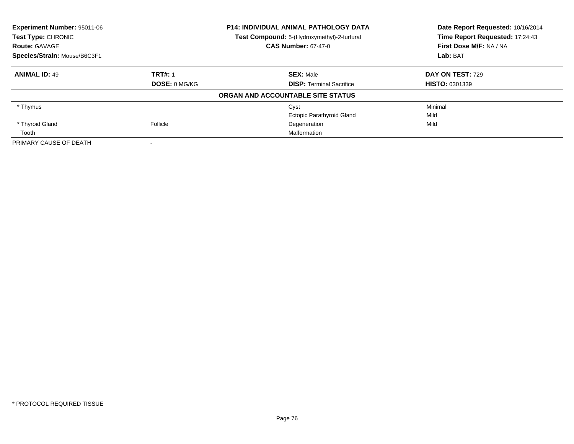| Experiment Number: 95011-06<br>Test Type: CHRONIC |                | <b>P14: INDIVIDUAL ANIMAL PATHOLOGY DATA</b> | Date Report Requested: 10/16/2014 |  |
|---------------------------------------------------|----------------|----------------------------------------------|-----------------------------------|--|
|                                                   |                | Test Compound: 5-(Hydroxymethyl)-2-furfural  | Time Report Requested: 17:24:43   |  |
| <b>Route: GAVAGE</b>                              |                | <b>CAS Number: 67-47-0</b>                   | First Dose M/F: NA / NA           |  |
| Species/Strain: Mouse/B6C3F1                      |                |                                              | Lab: BAT                          |  |
| <b>ANIMAL ID: 49</b>                              | <b>TRT#: 1</b> | <b>SEX: Male</b>                             | DAY ON TEST: 729                  |  |
|                                                   | DOSE: 0 MG/KG  | <b>DISP: Terminal Sacrifice</b>              | <b>HISTO: 0301339</b>             |  |
|                                                   |                | ORGAN AND ACCOUNTABLE SITE STATUS            |                                   |  |
| * Thymus                                          |                | Cyst                                         | Minimal                           |  |
|                                                   |                | <b>Ectopic Parathyroid Gland</b>             | Mild                              |  |
| * Thyroid Gland                                   | Follicle       | Degeneration                                 | Mild                              |  |
| Tooth                                             |                | Malformation                                 |                                   |  |
| PRIMARY CAUSE OF DEATH                            |                |                                              |                                   |  |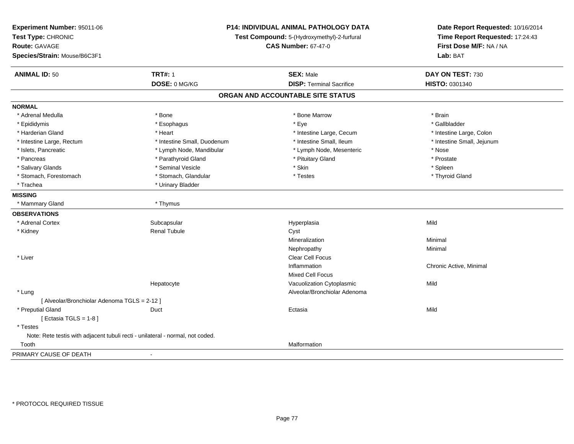| Experiment Number: 95011-06<br>Test Type: CHRONIC<br><b>Route: GAVAGE</b><br>Species/Strain: Mouse/B6C3F1 |                             | P14: INDIVIDUAL ANIMAL PATHOLOGY DATA<br>Test Compound: 5-(Hydroxymethyl)-2-furfural<br><b>CAS Number: 67-47-0</b> | Date Report Requested: 10/16/2014<br>Time Report Requested: 17:24:43<br>First Dose M/F: NA / NA<br>Lab: BAT |
|-----------------------------------------------------------------------------------------------------------|-----------------------------|--------------------------------------------------------------------------------------------------------------------|-------------------------------------------------------------------------------------------------------------|
| <b>ANIMAL ID: 50</b>                                                                                      | <b>TRT#: 1</b>              | <b>SEX: Male</b>                                                                                                   | DAY ON TEST: 730                                                                                            |
|                                                                                                           | DOSE: 0 MG/KG               | <b>DISP: Terminal Sacrifice</b>                                                                                    | <b>HISTO: 0301340</b>                                                                                       |
|                                                                                                           |                             | ORGAN AND ACCOUNTABLE SITE STATUS                                                                                  |                                                                                                             |
| <b>NORMAL</b>                                                                                             |                             |                                                                                                                    |                                                                                                             |
| * Adrenal Medulla                                                                                         | * Bone                      | * Bone Marrow                                                                                                      | * Brain                                                                                                     |
| * Epididymis                                                                                              | * Esophagus                 | * Eye                                                                                                              | * Gallbladder                                                                                               |
| * Harderian Gland                                                                                         | * Heart                     | * Intestine Large, Cecum                                                                                           | * Intestine Large, Colon                                                                                    |
| * Intestine Large, Rectum                                                                                 | * Intestine Small, Duodenum | * Intestine Small, Ileum                                                                                           | * Intestine Small, Jejunum                                                                                  |
| * Islets, Pancreatic                                                                                      | * Lymph Node, Mandibular    | * Lymph Node, Mesenteric                                                                                           | * Nose                                                                                                      |
| * Pancreas                                                                                                | * Parathyroid Gland         | * Pituitary Gland                                                                                                  | * Prostate                                                                                                  |
| * Salivary Glands                                                                                         | * Seminal Vesicle           | * Skin                                                                                                             | * Spleen                                                                                                    |
| * Stomach, Forestomach                                                                                    | * Stomach, Glandular        | * Testes                                                                                                           | * Thyroid Gland                                                                                             |
| * Trachea                                                                                                 | * Urinary Bladder           |                                                                                                                    |                                                                                                             |
| <b>MISSING</b>                                                                                            |                             |                                                                                                                    |                                                                                                             |
| * Mammary Gland                                                                                           | * Thymus                    |                                                                                                                    |                                                                                                             |
| <b>OBSERVATIONS</b>                                                                                       |                             |                                                                                                                    |                                                                                                             |
| * Adrenal Cortex                                                                                          | Subcapsular                 | Hyperplasia                                                                                                        | Mild                                                                                                        |
| * Kidney                                                                                                  | Renal Tubule                | Cyst                                                                                                               |                                                                                                             |
|                                                                                                           |                             | Mineralization                                                                                                     | Minimal                                                                                                     |
|                                                                                                           |                             | Nephropathy                                                                                                        | Minimal                                                                                                     |
| * Liver                                                                                                   |                             | Clear Cell Focus                                                                                                   |                                                                                                             |
|                                                                                                           |                             | Inflammation                                                                                                       | Chronic Active, Minimal                                                                                     |
|                                                                                                           |                             | <b>Mixed Cell Focus</b>                                                                                            |                                                                                                             |
|                                                                                                           | Hepatocyte                  | Vacuolization Cytoplasmic                                                                                          | Mild                                                                                                        |
| * Lung                                                                                                    |                             | Alveolar/Bronchiolar Adenoma                                                                                       |                                                                                                             |
| [ Alveolar/Bronchiolar Adenoma TGLS = 2-12 ]                                                              |                             |                                                                                                                    |                                                                                                             |
| * Preputial Gland                                                                                         | Duct                        | Ectasia                                                                                                            | Mild                                                                                                        |
| [Ectasia TGLS = $1-8$ ]                                                                                   |                             |                                                                                                                    |                                                                                                             |
| * Testes                                                                                                  |                             |                                                                                                                    |                                                                                                             |
| Note: Rete testis with adjacent tubuli recti - unilateral - normal, not coded.                            |                             |                                                                                                                    |                                                                                                             |
| Tooth                                                                                                     |                             | Malformation                                                                                                       |                                                                                                             |
| PRIMARY CAUSE OF DEATH                                                                                    | $\blacksquare$              |                                                                                                                    |                                                                                                             |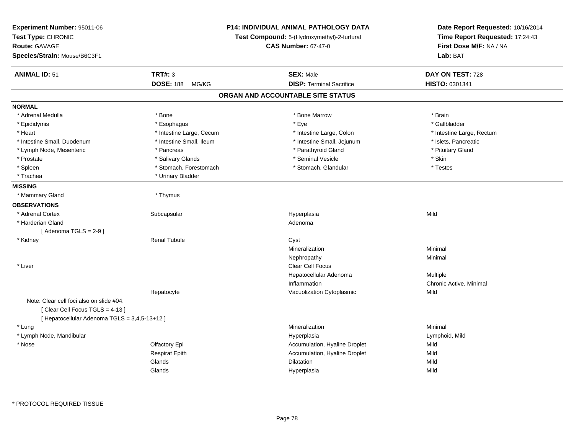| Experiment Number: 95011-06<br>Test Type: CHRONIC<br><b>Route: GAVAGE</b><br>Species/Strain: Mouse/B6C3F1 |                           | <b>P14: INDIVIDUAL ANIMAL PATHOLOGY DATA</b><br>Test Compound: 5-(Hydroxymethyl)-2-furfural<br><b>CAS Number: 67-47-0</b> | Date Report Requested: 10/16/2014<br>Time Report Requested: 17:24:43<br>First Dose M/F: NA / NA<br>Lab: BAT |
|-----------------------------------------------------------------------------------------------------------|---------------------------|---------------------------------------------------------------------------------------------------------------------------|-------------------------------------------------------------------------------------------------------------|
| <b>ANIMAL ID: 51</b>                                                                                      | <b>TRT#: 3</b>            | <b>SEX: Male</b>                                                                                                          | DAY ON TEST: 728                                                                                            |
|                                                                                                           | <b>DOSE: 188</b><br>MG/KG | <b>DISP: Terminal Sacrifice</b>                                                                                           | HISTO: 0301341                                                                                              |
|                                                                                                           |                           | ORGAN AND ACCOUNTABLE SITE STATUS                                                                                         |                                                                                                             |
| <b>NORMAL</b>                                                                                             |                           |                                                                                                                           |                                                                                                             |
| * Adrenal Medulla                                                                                         | * Bone                    | * Bone Marrow                                                                                                             | * Brain                                                                                                     |
| * Epididymis                                                                                              | * Esophagus               | * Eye                                                                                                                     | * Gallbladder                                                                                               |
| * Heart                                                                                                   | * Intestine Large, Cecum  | * Intestine Large, Colon                                                                                                  | * Intestine Large, Rectum                                                                                   |
| * Intestine Small, Duodenum                                                                               | * Intestine Small, Ileum  | * Intestine Small, Jejunum                                                                                                | * Islets, Pancreatic                                                                                        |
| * Lymph Node, Mesenteric                                                                                  | * Pancreas                | * Parathyroid Gland                                                                                                       | * Pituitary Gland                                                                                           |
| * Prostate                                                                                                | * Salivary Glands         | * Seminal Vesicle                                                                                                         | * Skin                                                                                                      |
| * Spleen                                                                                                  | * Stomach, Forestomach    | * Stomach, Glandular                                                                                                      | * Testes                                                                                                    |
| * Trachea                                                                                                 | * Urinary Bladder         |                                                                                                                           |                                                                                                             |
| <b>MISSING</b>                                                                                            |                           |                                                                                                                           |                                                                                                             |
| * Mammary Gland                                                                                           | * Thymus                  |                                                                                                                           |                                                                                                             |
| <b>OBSERVATIONS</b>                                                                                       |                           |                                                                                                                           |                                                                                                             |
| * Adrenal Cortex                                                                                          | Subcapsular               | Hyperplasia                                                                                                               | Mild                                                                                                        |
| * Harderian Gland                                                                                         |                           | Adenoma                                                                                                                   |                                                                                                             |
| [Adenoma TGLS = $2-9$ ]                                                                                   |                           |                                                                                                                           |                                                                                                             |
| * Kidney                                                                                                  | <b>Renal Tubule</b>       | Cyst                                                                                                                      |                                                                                                             |
|                                                                                                           |                           | Mineralization                                                                                                            | Minimal                                                                                                     |
|                                                                                                           |                           | Nephropathy                                                                                                               | Minimal                                                                                                     |
| * Liver                                                                                                   |                           | <b>Clear Cell Focus</b>                                                                                                   |                                                                                                             |
|                                                                                                           |                           | Hepatocellular Adenoma                                                                                                    | Multiple                                                                                                    |
|                                                                                                           |                           | Inflammation                                                                                                              | Chronic Active, Minimal                                                                                     |
|                                                                                                           | Hepatocyte                | Vacuolization Cytoplasmic                                                                                                 | Mild                                                                                                        |
| Note: Clear cell foci also on slide #04.<br>[Clear Cell Focus TGLS = 4-13]                                |                           |                                                                                                                           |                                                                                                             |
| [ Hepatocellular Adenoma TGLS = 3,4,5-13+12 ]                                                             |                           |                                                                                                                           |                                                                                                             |
| * Lung                                                                                                    |                           | Mineralization                                                                                                            | Minimal                                                                                                     |
| * Lymph Node, Mandibular                                                                                  |                           | Hyperplasia                                                                                                               | Lymphoid, Mild                                                                                              |
| * Nose                                                                                                    | Olfactory Epi             | Accumulation, Hyaline Droplet                                                                                             | Mild                                                                                                        |
|                                                                                                           | <b>Respirat Epith</b>     | Accumulation, Hyaline Droplet                                                                                             | Mild                                                                                                        |
|                                                                                                           | Glands                    | Dilatation                                                                                                                | Mild                                                                                                        |
|                                                                                                           | Glands                    | Hyperplasia                                                                                                               | Mild                                                                                                        |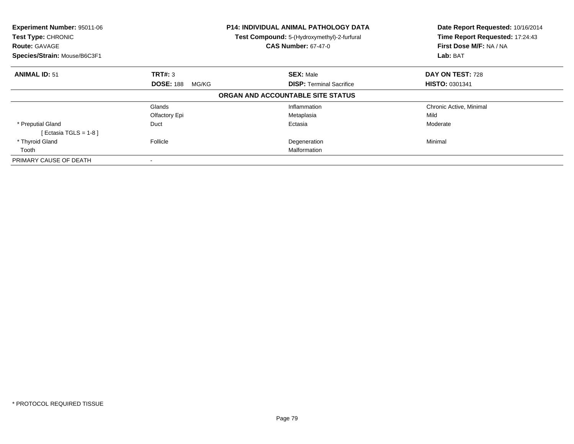| <b>Experiment Number: 95011-06</b><br>Test Type: CHRONIC<br><b>Route: GAVAGE</b> |                           | P14: INDIVIDUAL ANIMAL PATHOLOGY DATA<br>Test Compound: 5-(Hydroxymethyl)-2-furfural<br><b>CAS Number: 67-47-0</b> | Date Report Requested: 10/16/2014<br>Time Report Requested: 17:24:43<br>First Dose M/F: NA / NA |  |
|----------------------------------------------------------------------------------|---------------------------|--------------------------------------------------------------------------------------------------------------------|-------------------------------------------------------------------------------------------------|--|
| Species/Strain: Mouse/B6C3F1                                                     |                           |                                                                                                                    | Lab: BAT                                                                                        |  |
| <b>ANIMAL ID: 51</b>                                                             | <b>TRT#: 3</b>            | <b>SEX: Male</b>                                                                                                   | DAY ON TEST: 728                                                                                |  |
|                                                                                  | <b>DOSE: 188</b><br>MG/KG | <b>DISP:</b> Terminal Sacrifice                                                                                    | <b>HISTO: 0301341</b>                                                                           |  |
|                                                                                  |                           | ORGAN AND ACCOUNTABLE SITE STATUS                                                                                  |                                                                                                 |  |
|                                                                                  | Glands                    | Inflammation                                                                                                       | Chronic Active, Minimal                                                                         |  |
|                                                                                  | Olfactory Epi             | Metaplasia                                                                                                         | Mild                                                                                            |  |
| * Preputial Gland                                                                | Duct                      | Ectasia                                                                                                            | Moderate                                                                                        |  |
| [ Ectasia TGLS = $1-8$ ]                                                         |                           |                                                                                                                    |                                                                                                 |  |
| * Thyroid Gland                                                                  | Follicle                  | Degeneration                                                                                                       | Minimal                                                                                         |  |
| Tooth                                                                            |                           | Malformation                                                                                                       |                                                                                                 |  |
| PRIMARY CAUSE OF DEATH                                                           |                           |                                                                                                                    |                                                                                                 |  |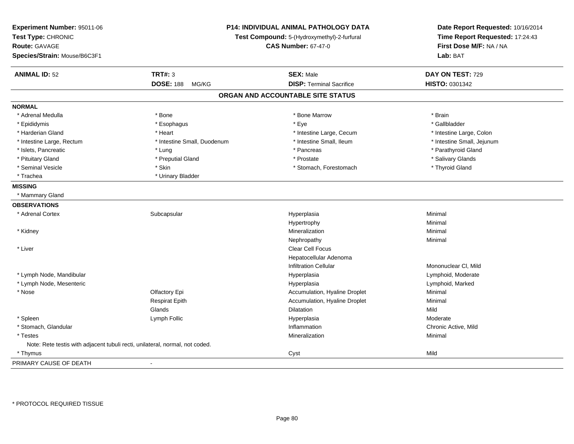| Experiment Number: 95011-06<br>Test Type: CHRONIC<br><b>Route: GAVAGE</b><br>Species/Strain: Mouse/B6C3F1 |                             | P14: INDIVIDUAL ANIMAL PATHOLOGY DATA<br>Test Compound: 5-(Hydroxymethyl)-2-furfural<br><b>CAS Number: 67-47-0</b> | Date Report Requested: 10/16/2014<br>Time Report Requested: 17:24:43<br>First Dose M/F: NA / NA<br>Lab: BAT |
|-----------------------------------------------------------------------------------------------------------|-----------------------------|--------------------------------------------------------------------------------------------------------------------|-------------------------------------------------------------------------------------------------------------|
| <b>ANIMAL ID: 52</b>                                                                                      | <b>TRT#: 3</b>              | <b>SEX: Male</b>                                                                                                   | DAY ON TEST: 729                                                                                            |
|                                                                                                           | <b>DOSE: 188</b><br>MG/KG   | <b>DISP: Terminal Sacrifice</b>                                                                                    | HISTO: 0301342                                                                                              |
|                                                                                                           |                             | ORGAN AND ACCOUNTABLE SITE STATUS                                                                                  |                                                                                                             |
| <b>NORMAL</b>                                                                                             |                             |                                                                                                                    |                                                                                                             |
| * Adrenal Medulla                                                                                         | * Bone                      | * Bone Marrow                                                                                                      | * Brain                                                                                                     |
| * Epididymis                                                                                              | * Esophagus                 | * Eye                                                                                                              | * Gallbladder                                                                                               |
| * Harderian Gland                                                                                         | * Heart                     | * Intestine Large, Cecum                                                                                           | * Intestine Large, Colon                                                                                    |
| * Intestine Large, Rectum                                                                                 | * Intestine Small, Duodenum | * Intestine Small, Ileum                                                                                           | * Intestine Small, Jejunum                                                                                  |
| * Islets, Pancreatic                                                                                      | * Lung                      | * Pancreas                                                                                                         | * Parathyroid Gland                                                                                         |
| * Pituitary Gland                                                                                         | * Preputial Gland           | * Prostate                                                                                                         | * Salivary Glands                                                                                           |
| * Seminal Vesicle                                                                                         | * Skin                      | * Stomach, Forestomach                                                                                             | * Thyroid Gland                                                                                             |
| * Trachea                                                                                                 | * Urinary Bladder           |                                                                                                                    |                                                                                                             |
| <b>MISSING</b>                                                                                            |                             |                                                                                                                    |                                                                                                             |
| * Mammary Gland                                                                                           |                             |                                                                                                                    |                                                                                                             |
| <b>OBSERVATIONS</b>                                                                                       |                             |                                                                                                                    |                                                                                                             |
| * Adrenal Cortex                                                                                          | Subcapsular                 | Hyperplasia                                                                                                        | Minimal                                                                                                     |
|                                                                                                           |                             | Hypertrophy                                                                                                        | Minimal                                                                                                     |
| * Kidney                                                                                                  |                             | Mineralization                                                                                                     | Minimal                                                                                                     |
|                                                                                                           |                             | Nephropathy                                                                                                        | Minimal                                                                                                     |
| * Liver                                                                                                   |                             | Clear Cell Focus                                                                                                   |                                                                                                             |
|                                                                                                           |                             | Hepatocellular Adenoma                                                                                             |                                                                                                             |
|                                                                                                           |                             | <b>Infiltration Cellular</b>                                                                                       | Mononuclear CI, Mild                                                                                        |
| * Lymph Node, Mandibular                                                                                  |                             | Hyperplasia                                                                                                        | Lymphoid, Moderate                                                                                          |
| * Lymph Node, Mesenteric                                                                                  |                             | Hyperplasia                                                                                                        | Lymphoid, Marked                                                                                            |
| * Nose                                                                                                    | Olfactory Epi               | Accumulation, Hyaline Droplet                                                                                      | Minimal                                                                                                     |
|                                                                                                           | <b>Respirat Epith</b>       | Accumulation, Hyaline Droplet                                                                                      | Minimal                                                                                                     |
|                                                                                                           | Glands                      | Dilatation                                                                                                         | Mild                                                                                                        |
| * Spleen                                                                                                  | Lymph Follic                | Hyperplasia                                                                                                        | Moderate                                                                                                    |
| * Stomach, Glandular                                                                                      |                             | Inflammation                                                                                                       | Chronic Active, Mild                                                                                        |
| * Testes                                                                                                  |                             | Mineralization                                                                                                     | Minimal                                                                                                     |
| Note: Rete testis with adjacent tubuli recti, unilateral, normal, not coded.                              |                             |                                                                                                                    |                                                                                                             |
| * Thymus                                                                                                  |                             | Cyst                                                                                                               | Mild                                                                                                        |
| PRIMARY CAUSE OF DEATH                                                                                    | $\mathbf{r}$                |                                                                                                                    |                                                                                                             |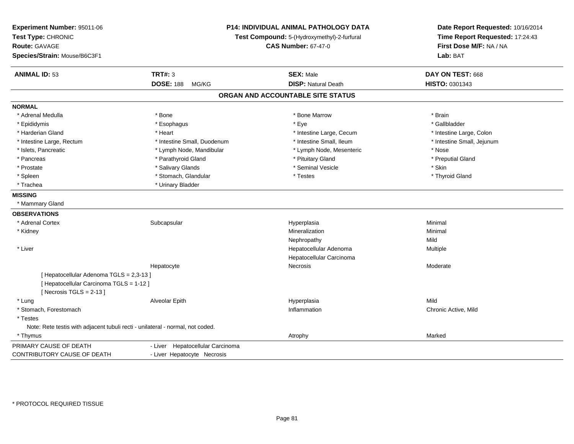| Experiment Number: 95011-06<br>Test Type: CHRONIC<br><b>Route: GAVAGE</b><br>Species/Strain: Mouse/B6C3F1 | P14: INDIVIDUAL ANIMAL PATHOLOGY DATA<br>Test Compound: 5-(Hydroxymethyl)-2-furfural<br><b>CAS Number: 67-47-0</b> |                                   | Date Report Requested: 10/16/2014<br>Time Report Requested: 17:24:43<br>First Dose M/F: NA / NA<br>Lab: BAT |
|-----------------------------------------------------------------------------------------------------------|--------------------------------------------------------------------------------------------------------------------|-----------------------------------|-------------------------------------------------------------------------------------------------------------|
|                                                                                                           |                                                                                                                    |                                   |                                                                                                             |
| <b>ANIMAL ID: 53</b>                                                                                      | <b>TRT#: 3</b>                                                                                                     | <b>SEX: Male</b>                  | DAY ON TEST: 668                                                                                            |
|                                                                                                           | <b>DOSE: 188</b><br>MG/KG                                                                                          | <b>DISP: Natural Death</b>        | HISTO: 0301343                                                                                              |
|                                                                                                           |                                                                                                                    | ORGAN AND ACCOUNTABLE SITE STATUS |                                                                                                             |
| <b>NORMAL</b>                                                                                             |                                                                                                                    |                                   |                                                                                                             |
| * Adrenal Medulla                                                                                         | * Bone                                                                                                             | * Bone Marrow                     | * Brain                                                                                                     |
| * Epididymis                                                                                              | * Esophagus                                                                                                        | * Eye                             | * Gallbladder                                                                                               |
| * Harderian Gland                                                                                         | * Heart                                                                                                            | * Intestine Large, Cecum          | * Intestine Large, Colon                                                                                    |
| * Intestine Large, Rectum                                                                                 | * Intestine Small, Duodenum                                                                                        | * Intestine Small, Ileum          | * Intestine Small, Jejunum                                                                                  |
| * Islets, Pancreatic                                                                                      | * Lymph Node, Mandibular                                                                                           | * Lymph Node, Mesenteric          | * Nose                                                                                                      |
| * Pancreas                                                                                                | * Parathyroid Gland                                                                                                | * Pituitary Gland                 | * Preputial Gland                                                                                           |
| * Prostate                                                                                                | * Salivary Glands                                                                                                  | * Seminal Vesicle                 | * Skin                                                                                                      |
| * Spleen                                                                                                  | * Stomach, Glandular                                                                                               | * Testes                          | * Thyroid Gland                                                                                             |
| * Trachea                                                                                                 | * Urinary Bladder                                                                                                  |                                   |                                                                                                             |
| <b>MISSING</b>                                                                                            |                                                                                                                    |                                   |                                                                                                             |
| * Mammary Gland                                                                                           |                                                                                                                    |                                   |                                                                                                             |
| <b>OBSERVATIONS</b>                                                                                       |                                                                                                                    |                                   |                                                                                                             |
| * Adrenal Cortex                                                                                          | Subcapsular                                                                                                        | Hyperplasia                       | Minimal                                                                                                     |
| * Kidney                                                                                                  |                                                                                                                    | Mineralization                    | Minimal                                                                                                     |
|                                                                                                           |                                                                                                                    | Nephropathy                       | Mild                                                                                                        |
| * Liver                                                                                                   |                                                                                                                    | Hepatocellular Adenoma            | Multiple                                                                                                    |
|                                                                                                           |                                                                                                                    | Hepatocellular Carcinoma          |                                                                                                             |
|                                                                                                           | Hepatocyte                                                                                                         | Necrosis                          | Moderate                                                                                                    |
| [ Hepatocellular Adenoma TGLS = 2,3-13 ]                                                                  |                                                                                                                    |                                   |                                                                                                             |
| [ Hepatocellular Carcinoma TGLS = 1-12 ]                                                                  |                                                                                                                    |                                   |                                                                                                             |
| [Necrosis $TGLS = 2-13$ ]                                                                                 |                                                                                                                    |                                   |                                                                                                             |
| * Lung                                                                                                    | Alveolar Epith                                                                                                     | Hyperplasia                       | Mild                                                                                                        |
| * Stomach, Forestomach                                                                                    |                                                                                                                    | Inflammation                      | Chronic Active, Mild                                                                                        |
| * Testes                                                                                                  |                                                                                                                    |                                   |                                                                                                             |
| Note: Rete testis with adjacent tubuli recti - unilateral - normal, not coded.                            |                                                                                                                    |                                   |                                                                                                             |
| * Thymus                                                                                                  |                                                                                                                    | Atrophy                           | Marked                                                                                                      |
| PRIMARY CAUSE OF DEATH                                                                                    | - Liver Hepatocellular Carcinoma                                                                                   |                                   |                                                                                                             |
| CONTRIBUTORY CAUSE OF DEATH                                                                               | - Liver Hepatocyte Necrosis                                                                                        |                                   |                                                                                                             |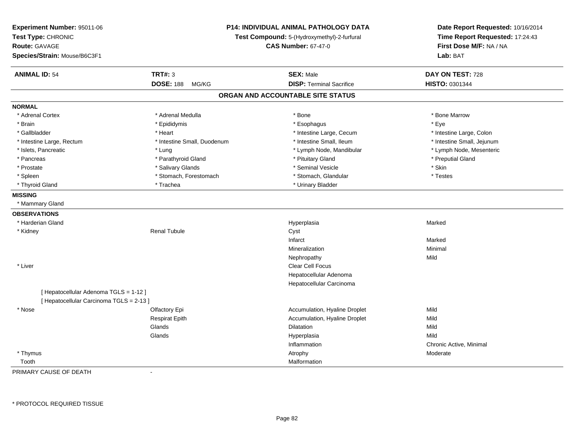| Experiment Number: 95011-06<br>Test Type: CHRONIC<br><b>Route: GAVAGE</b><br>Species/Strain: Mouse/B6C3F1 |                             | P14: INDIVIDUAL ANIMAL PATHOLOGY DATA<br>Test Compound: 5-(Hydroxymethyl)-2-furfural<br><b>CAS Number: 67-47-0</b> | Date Report Requested: 10/16/2014<br>Time Report Requested: 17:24:43<br>First Dose M/F: NA / NA<br>Lab: BAT |
|-----------------------------------------------------------------------------------------------------------|-----------------------------|--------------------------------------------------------------------------------------------------------------------|-------------------------------------------------------------------------------------------------------------|
| <b>ANIMAL ID: 54</b>                                                                                      | <b>TRT#: 3</b>              | <b>SEX: Male</b>                                                                                                   | DAY ON TEST: 728                                                                                            |
|                                                                                                           | <b>DOSE: 188</b><br>MG/KG   | <b>DISP: Terminal Sacrifice</b>                                                                                    | HISTO: 0301344                                                                                              |
|                                                                                                           |                             | ORGAN AND ACCOUNTABLE SITE STATUS                                                                                  |                                                                                                             |
| <b>NORMAL</b>                                                                                             |                             |                                                                                                                    |                                                                                                             |
| * Adrenal Cortex                                                                                          | * Adrenal Medulla           | * Bone                                                                                                             | * Bone Marrow                                                                                               |
| * Brain                                                                                                   | * Epididymis                | * Esophagus                                                                                                        | * Eye                                                                                                       |
| * Gallbladder                                                                                             | * Heart                     | * Intestine Large, Cecum                                                                                           | * Intestine Large, Colon                                                                                    |
| * Intestine Large, Rectum                                                                                 | * Intestine Small, Duodenum | * Intestine Small, Ileum                                                                                           | * Intestine Small, Jejunum                                                                                  |
| * Islets, Pancreatic                                                                                      | * Lung                      | * Lymph Node, Mandibular                                                                                           | * Lymph Node, Mesenteric                                                                                    |
| * Pancreas                                                                                                | * Parathyroid Gland         | * Pituitary Gland                                                                                                  | * Preputial Gland                                                                                           |
| * Prostate                                                                                                | * Salivary Glands           | * Seminal Vesicle                                                                                                  | * Skin                                                                                                      |
| * Spleen                                                                                                  | * Stomach, Forestomach      | * Stomach, Glandular                                                                                               | * Testes                                                                                                    |
| * Thyroid Gland                                                                                           | * Trachea                   | * Urinary Bladder                                                                                                  |                                                                                                             |
| <b>MISSING</b>                                                                                            |                             |                                                                                                                    |                                                                                                             |
| * Mammary Gland                                                                                           |                             |                                                                                                                    |                                                                                                             |
| <b>OBSERVATIONS</b>                                                                                       |                             |                                                                                                                    |                                                                                                             |
| * Harderian Gland                                                                                         |                             | Hyperplasia                                                                                                        | Marked                                                                                                      |
| * Kidney                                                                                                  | <b>Renal Tubule</b>         | Cyst                                                                                                               |                                                                                                             |
|                                                                                                           |                             | Infarct                                                                                                            | Marked                                                                                                      |
|                                                                                                           |                             | Mineralization                                                                                                     | Minimal                                                                                                     |
|                                                                                                           |                             | Nephropathy                                                                                                        | Mild                                                                                                        |
| * Liver                                                                                                   |                             | <b>Clear Cell Focus</b>                                                                                            |                                                                                                             |
|                                                                                                           |                             | Hepatocellular Adenoma                                                                                             |                                                                                                             |
|                                                                                                           |                             | Hepatocellular Carcinoma                                                                                           |                                                                                                             |
| [Hepatocellular Adenoma TGLS = 1-12]                                                                      |                             |                                                                                                                    |                                                                                                             |
| [ Hepatocellular Carcinoma TGLS = 2-13 ]                                                                  |                             |                                                                                                                    |                                                                                                             |
| * Nose                                                                                                    | Olfactory Epi               | Accumulation, Hyaline Droplet                                                                                      | Mild                                                                                                        |
|                                                                                                           | <b>Respirat Epith</b>       | Accumulation, Hyaline Droplet                                                                                      | Mild                                                                                                        |
|                                                                                                           | Glands                      | Dilatation                                                                                                         | Mild                                                                                                        |
|                                                                                                           | Glands                      | Hyperplasia                                                                                                        | Mild                                                                                                        |
|                                                                                                           |                             | Inflammation                                                                                                       | Chronic Active, Minimal                                                                                     |
| * Thymus                                                                                                  |                             | Atrophy                                                                                                            | Moderate                                                                                                    |
| Tooth                                                                                                     |                             | Malformation                                                                                                       |                                                                                                             |

PRIMARY CAUSE OF DEATH-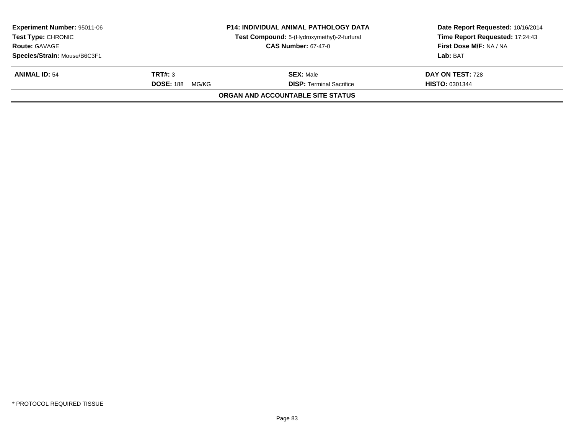|                              | <b>P14: INDIVIDUAL ANIMAL PATHOLOGY DATA</b> | Date Report Requested: 10/16/2014<br>Time Report Requested: 17:24:43                    |
|------------------------------|----------------------------------------------|-----------------------------------------------------------------------------------------|
|                              | <b>CAS Number: 67-47-0</b>                   | First Dose M/F: NA / NA                                                                 |
| Species/Strain: Mouse/B6C3F1 |                                              | Lab: BAT                                                                                |
| TRT#: 3                      | <b>SEX: Male</b>                             | DAY ON TEST: 728                                                                        |
| <b>DOSE: 188</b><br>MG/KG    | <b>DISP: Terminal Sacrifice</b>              | <b>HISTO: 0301344</b>                                                                   |
|                              |                                              |                                                                                         |
|                              |                                              | Test Compound: 5-(Hydroxymethyl)-2-furfural<br><b>ORGAN AND ACCOUNTABLE SITE STATUS</b> |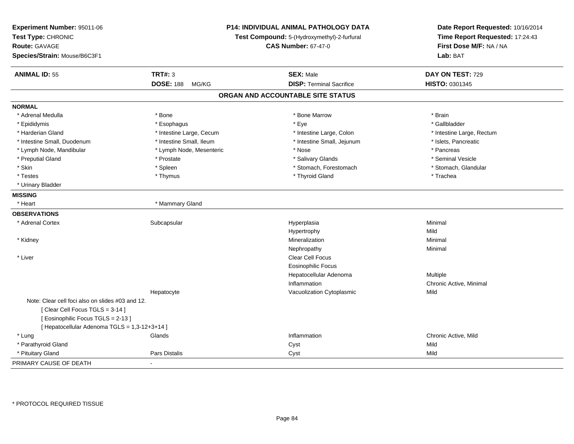| Experiment Number: 95011-06<br>Test Type: CHRONIC<br><b>Route: GAVAGE</b><br>Species/Strain: Mouse/B6C3F1 |                           | <b>P14: INDIVIDUAL ANIMAL PATHOLOGY DATA</b><br>Test Compound: 5-(Hydroxymethyl)-2-furfural<br><b>CAS Number: 67-47-0</b> | Date Report Requested: 10/16/2014<br>Time Report Requested: 17:24:43<br>First Dose M/F: NA / NA<br>Lab: BAT |
|-----------------------------------------------------------------------------------------------------------|---------------------------|---------------------------------------------------------------------------------------------------------------------------|-------------------------------------------------------------------------------------------------------------|
| <b>ANIMAL ID: 55</b>                                                                                      | <b>TRT#: 3</b>            | <b>SEX: Male</b>                                                                                                          | DAY ON TEST: 729                                                                                            |
|                                                                                                           | <b>DOSE: 188</b><br>MG/KG | <b>DISP: Terminal Sacrifice</b>                                                                                           | HISTO: 0301345                                                                                              |
|                                                                                                           |                           | ORGAN AND ACCOUNTABLE SITE STATUS                                                                                         |                                                                                                             |
| <b>NORMAL</b>                                                                                             |                           |                                                                                                                           |                                                                                                             |
| * Adrenal Medulla                                                                                         | * Bone                    | * Bone Marrow                                                                                                             | * Brain                                                                                                     |
| * Epididymis                                                                                              | * Esophagus               | * Eye                                                                                                                     | * Gallbladder                                                                                               |
| * Harderian Gland                                                                                         | * Intestine Large, Cecum  | * Intestine Large, Colon                                                                                                  | * Intestine Large, Rectum                                                                                   |
| * Intestine Small, Duodenum                                                                               | * Intestine Small, Ileum  | * Intestine Small, Jejunum                                                                                                | * Islets, Pancreatic                                                                                        |
| * Lymph Node, Mandibular                                                                                  | * Lymph Node, Mesenteric  | * Nose                                                                                                                    | * Pancreas                                                                                                  |
| * Preputial Gland                                                                                         | * Prostate                | * Salivary Glands                                                                                                         | * Seminal Vesicle                                                                                           |
| * Skin                                                                                                    | * Spleen                  | * Stomach, Forestomach                                                                                                    | * Stomach, Glandular                                                                                        |
| * Testes                                                                                                  | * Thymus                  | * Thyroid Gland                                                                                                           | * Trachea                                                                                                   |
| * Urinary Bladder                                                                                         |                           |                                                                                                                           |                                                                                                             |
| <b>MISSING</b>                                                                                            |                           |                                                                                                                           |                                                                                                             |
| * Heart                                                                                                   | * Mammary Gland           |                                                                                                                           |                                                                                                             |
| <b>OBSERVATIONS</b>                                                                                       |                           |                                                                                                                           |                                                                                                             |
| * Adrenal Cortex                                                                                          | Subcapsular               | Hyperplasia                                                                                                               | Minimal                                                                                                     |
|                                                                                                           |                           | Hypertrophy                                                                                                               | Mild                                                                                                        |
| * Kidney                                                                                                  |                           | Mineralization                                                                                                            | Minimal                                                                                                     |
|                                                                                                           |                           | Nephropathy                                                                                                               | Minimal                                                                                                     |
| * Liver                                                                                                   |                           | Clear Cell Focus                                                                                                          |                                                                                                             |
|                                                                                                           |                           | <b>Eosinophilic Focus</b>                                                                                                 |                                                                                                             |
|                                                                                                           |                           | Hepatocellular Adenoma                                                                                                    | Multiple                                                                                                    |
|                                                                                                           |                           | Inflammation                                                                                                              | Chronic Active, Minimal                                                                                     |
|                                                                                                           | Hepatocyte                | Vacuolization Cytoplasmic                                                                                                 | Mild                                                                                                        |
| Note: Clear cell foci also on slides #03 and 12.                                                          |                           |                                                                                                                           |                                                                                                             |
| [Clear Cell Focus TGLS = 3-14]                                                                            |                           |                                                                                                                           |                                                                                                             |
| [Eosinophilic Focus TGLS = 2-13]                                                                          |                           |                                                                                                                           |                                                                                                             |
| [ Hepatocellular Adenoma TGLS = 1,3-12+3+14 ]                                                             |                           |                                                                                                                           |                                                                                                             |
| * Lung                                                                                                    | Glands                    | Inflammation                                                                                                              | Chronic Active, Mild                                                                                        |
| * Parathyroid Gland                                                                                       |                           | Cyst                                                                                                                      | Mild                                                                                                        |
| * Pituitary Gland                                                                                         | Pars Distalis             | Cyst                                                                                                                      | Mild                                                                                                        |
| PRIMARY CAUSE OF DEATH                                                                                    |                           |                                                                                                                           |                                                                                                             |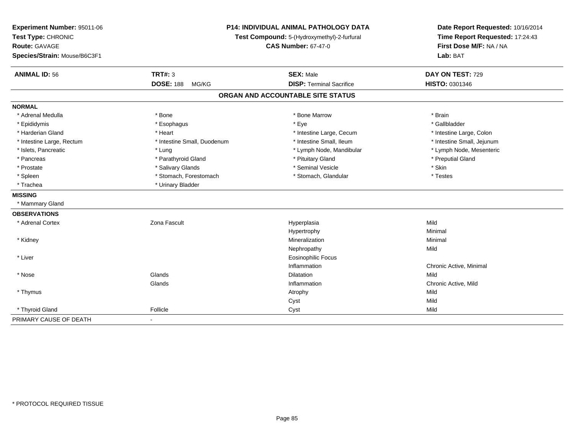| Experiment Number: 95011-06<br>Test Type: CHRONIC<br><b>Route: GAVAGE</b><br>Species/Strain: Mouse/B6C3F1 |                             | P14: INDIVIDUAL ANIMAL PATHOLOGY DATA<br>Test Compound: 5-(Hydroxymethyl)-2-furfural<br><b>CAS Number: 67-47-0</b> | Date Report Requested: 10/16/2014<br>Time Report Requested: 17:24:43<br>First Dose M/F: NA / NA<br>Lab: BAT |  |
|-----------------------------------------------------------------------------------------------------------|-----------------------------|--------------------------------------------------------------------------------------------------------------------|-------------------------------------------------------------------------------------------------------------|--|
| <b>ANIMAL ID: 56</b>                                                                                      | <b>TRT#: 3</b>              | <b>SEX: Male</b>                                                                                                   | DAY ON TEST: 729                                                                                            |  |
|                                                                                                           | <b>DOSE: 188</b><br>MG/KG   | <b>DISP: Terminal Sacrifice</b>                                                                                    | HISTO: 0301346                                                                                              |  |
|                                                                                                           |                             | ORGAN AND ACCOUNTABLE SITE STATUS                                                                                  |                                                                                                             |  |
| <b>NORMAL</b>                                                                                             |                             |                                                                                                                    |                                                                                                             |  |
| * Adrenal Medulla                                                                                         | * Bone                      | * Bone Marrow                                                                                                      | * Brain                                                                                                     |  |
| * Epididymis                                                                                              | * Esophagus                 | * Eye                                                                                                              | * Gallbladder                                                                                               |  |
| * Harderian Gland                                                                                         | * Heart                     | * Intestine Large, Cecum                                                                                           | * Intestine Large, Colon                                                                                    |  |
| * Intestine Large, Rectum                                                                                 | * Intestine Small, Duodenum | * Intestine Small, Ileum                                                                                           | * Intestine Small, Jejunum                                                                                  |  |
| * Islets, Pancreatic                                                                                      | * Lung                      | * Lymph Node, Mandibular                                                                                           | * Lymph Node, Mesenteric                                                                                    |  |
| * Pancreas                                                                                                | * Parathyroid Gland         | * Pituitary Gland                                                                                                  | * Preputial Gland                                                                                           |  |
| * Prostate                                                                                                | * Salivary Glands           | * Seminal Vesicle                                                                                                  | $^\star$ Skin                                                                                               |  |
| * Spleen                                                                                                  | * Stomach, Forestomach      | * Stomach, Glandular                                                                                               | * Testes                                                                                                    |  |
| * Trachea                                                                                                 | * Urinary Bladder           |                                                                                                                    |                                                                                                             |  |
| <b>MISSING</b>                                                                                            |                             |                                                                                                                    |                                                                                                             |  |
| * Mammary Gland                                                                                           |                             |                                                                                                                    |                                                                                                             |  |
| <b>OBSERVATIONS</b>                                                                                       |                             |                                                                                                                    |                                                                                                             |  |
| * Adrenal Cortex                                                                                          | Zona Fascult                | Hyperplasia                                                                                                        | Mild                                                                                                        |  |
|                                                                                                           |                             | Hypertrophy                                                                                                        | Minimal                                                                                                     |  |
| * Kidney                                                                                                  |                             | Mineralization                                                                                                     | Minimal                                                                                                     |  |
|                                                                                                           |                             | Nephropathy                                                                                                        | Mild                                                                                                        |  |
| * Liver                                                                                                   |                             | <b>Eosinophilic Focus</b>                                                                                          |                                                                                                             |  |
|                                                                                                           |                             | Inflammation                                                                                                       | Chronic Active, Minimal                                                                                     |  |
| * Nose                                                                                                    | Glands                      | <b>Dilatation</b>                                                                                                  | Mild                                                                                                        |  |
|                                                                                                           | Glands                      | Inflammation                                                                                                       | Chronic Active, Mild                                                                                        |  |
| * Thymus                                                                                                  |                             | Atrophy                                                                                                            | Mild                                                                                                        |  |
|                                                                                                           |                             | Cyst                                                                                                               | Mild                                                                                                        |  |
| * Thyroid Gland                                                                                           | Follicle                    | Cyst                                                                                                               | Mild                                                                                                        |  |
| PRIMARY CAUSE OF DEATH                                                                                    | $\blacksquare$              |                                                                                                                    |                                                                                                             |  |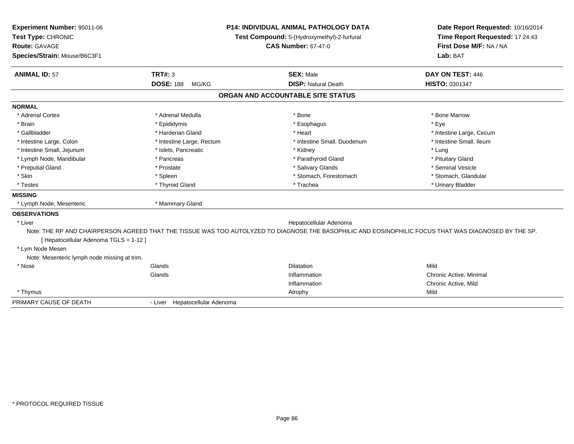| Experiment Number: 95011-06                  | <b>P14: INDIVIDUAL ANIMAL PATHOLOGY DATA</b> |                                                                                                                                                       | Date Report Requested: 10/16/2014 |  |
|----------------------------------------------|----------------------------------------------|-------------------------------------------------------------------------------------------------------------------------------------------------------|-----------------------------------|--|
| Test Type: CHRONIC                           |                                              | Test Compound: 5-(Hydroxymethyl)-2-furfural                                                                                                           | Time Report Requested: 17:24:43   |  |
| <b>Route: GAVAGE</b>                         |                                              | <b>CAS Number: 67-47-0</b>                                                                                                                            | First Dose M/F: NA / NA           |  |
| Species/Strain: Mouse/B6C3F1                 |                                              |                                                                                                                                                       | Lab: BAT                          |  |
| <b>ANIMAL ID: 57</b>                         | <b>TRT#: 3</b>                               | <b>SEX: Male</b>                                                                                                                                      | DAY ON TEST: 446                  |  |
|                                              | <b>DOSE: 188</b><br>MG/KG                    | <b>DISP: Natural Death</b>                                                                                                                            | HISTO: 0301347                    |  |
|                                              |                                              | ORGAN AND ACCOUNTABLE SITE STATUS                                                                                                                     |                                   |  |
| <b>NORMAL</b>                                |                                              |                                                                                                                                                       |                                   |  |
| * Adrenal Cortex                             | * Adrenal Medulla                            | * Bone                                                                                                                                                | * Bone Marrow                     |  |
| * Brain                                      | * Epididymis                                 | * Esophagus                                                                                                                                           | * Eve                             |  |
| * Gallbladder                                | * Harderian Gland                            | * Heart                                                                                                                                               | * Intestine Large, Cecum          |  |
| * Intestine Large, Colon                     | * Intestine Large, Rectum                    | * Intestine Small, Duodenum                                                                                                                           | * Intestine Small. Ileum          |  |
| * Intestine Small, Jejunum                   | * Islets, Pancreatic                         | * Kidney                                                                                                                                              | * Lung                            |  |
| * Lymph Node, Mandibular                     | * Pancreas                                   | * Parathyroid Gland                                                                                                                                   | * Pituitary Gland                 |  |
| * Preputial Gland                            | * Prostate                                   | * Salivary Glands                                                                                                                                     | * Seminal Vesicle                 |  |
| * Skin                                       | * Spleen                                     | * Stomach, Forestomach                                                                                                                                | * Stomach, Glandular              |  |
| * Testes                                     | * Thyroid Gland                              | * Trachea                                                                                                                                             | * Urinary Bladder                 |  |
| <b>MISSING</b>                               |                                              |                                                                                                                                                       |                                   |  |
| * Lymph Node, Mesenteric                     | * Mammary Gland                              |                                                                                                                                                       |                                   |  |
| <b>OBSERVATIONS</b>                          |                                              |                                                                                                                                                       |                                   |  |
| * Liver                                      |                                              | Hepatocellular Adenoma                                                                                                                                |                                   |  |
| [ Hepatocellular Adenoma TGLS = 1-12 ]       |                                              | Note: THE RP AND CHAIRPERSON AGREED THAT THE TISSUE WAS TOO AUTOLYZED TO DIAGNOSE THE BASOPHILIC AND EOSINOPHILIC FOCUS THAT WAS DIAGNOSED BY THE SP. |                                   |  |
| * Lym Node Mesen                             |                                              |                                                                                                                                                       |                                   |  |
| Note: Mesenteric lymph node missing at trim. |                                              |                                                                                                                                                       |                                   |  |
| * Nose                                       | Glands                                       | <b>Dilatation</b>                                                                                                                                     | Mild                              |  |
|                                              | Glands                                       | Inflammation                                                                                                                                          | Chronic Active, Minimal           |  |
|                                              |                                              | Inflammation                                                                                                                                          | Chronic Active, Mild              |  |
| * Thymus                                     |                                              | Atrophy                                                                                                                                               | Mild                              |  |
| PRIMARY CAUSE OF DEATH                       | - Liver Hepatocellular Adenoma               |                                                                                                                                                       |                                   |  |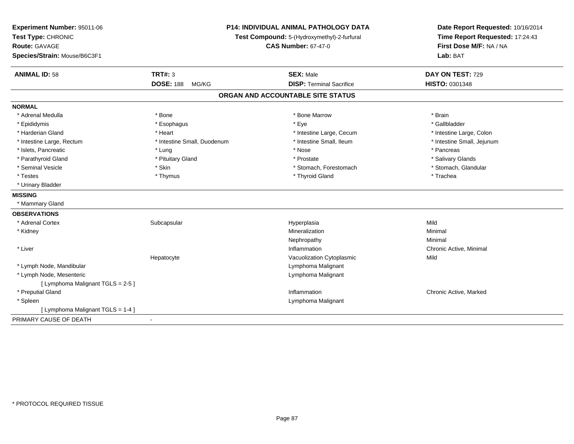| Experiment Number: 95011-06<br>Test Type: CHRONIC<br><b>Route: GAVAGE</b><br>Species/Strain: Mouse/B6C3F1 | <b>P14: INDIVIDUAL ANIMAL PATHOLOGY DATA</b><br>Test Compound: 5-(Hydroxymethyl)-2-furfural<br><b>CAS Number: 67-47-0</b> |                                   | Date Report Requested: 10/16/2014<br>Time Report Requested: 17:24:43<br>First Dose M/F: NA / NA<br>Lab: BAT |  |
|-----------------------------------------------------------------------------------------------------------|---------------------------------------------------------------------------------------------------------------------------|-----------------------------------|-------------------------------------------------------------------------------------------------------------|--|
| <b>ANIMAL ID: 58</b>                                                                                      | <b>TRT#: 3</b>                                                                                                            | <b>SEX: Male</b>                  | DAY ON TEST: 729                                                                                            |  |
|                                                                                                           | <b>DOSE: 188</b><br>MG/KG                                                                                                 | <b>DISP: Terminal Sacrifice</b>   | HISTO: 0301348                                                                                              |  |
|                                                                                                           |                                                                                                                           | ORGAN AND ACCOUNTABLE SITE STATUS |                                                                                                             |  |
| <b>NORMAL</b>                                                                                             |                                                                                                                           |                                   |                                                                                                             |  |
| * Adrenal Medulla                                                                                         | * Bone                                                                                                                    | * Bone Marrow                     | * Brain                                                                                                     |  |
| * Epididymis                                                                                              | * Esophagus                                                                                                               | * Eve                             | * Gallbladder                                                                                               |  |
| * Harderian Gland                                                                                         | * Heart                                                                                                                   | * Intestine Large, Cecum          | * Intestine Large, Colon                                                                                    |  |
| * Intestine Large, Rectum                                                                                 | * Intestine Small, Duodenum                                                                                               | * Intestine Small. Ileum          | * Intestine Small, Jejunum                                                                                  |  |
| * Islets, Pancreatic                                                                                      | * Lung                                                                                                                    | * Nose                            | * Pancreas                                                                                                  |  |
| * Parathyroid Gland                                                                                       | * Pituitary Gland                                                                                                         | * Prostate                        | * Salivary Glands                                                                                           |  |
| * Seminal Vesicle                                                                                         | * Skin                                                                                                                    | * Stomach, Forestomach            | * Stomach, Glandular                                                                                        |  |
| * Testes                                                                                                  | * Thymus                                                                                                                  | * Thyroid Gland                   | * Trachea                                                                                                   |  |
| * Urinary Bladder                                                                                         |                                                                                                                           |                                   |                                                                                                             |  |
| <b>MISSING</b>                                                                                            |                                                                                                                           |                                   |                                                                                                             |  |
| * Mammary Gland                                                                                           |                                                                                                                           |                                   |                                                                                                             |  |
| <b>OBSERVATIONS</b>                                                                                       |                                                                                                                           |                                   |                                                                                                             |  |
| * Adrenal Cortex                                                                                          | Subcapsular                                                                                                               | Hyperplasia                       | Mild                                                                                                        |  |
| * Kidney                                                                                                  |                                                                                                                           | Mineralization                    | Minimal                                                                                                     |  |
|                                                                                                           |                                                                                                                           | Nephropathy                       | Minimal                                                                                                     |  |
| * Liver                                                                                                   |                                                                                                                           | Inflammation                      | Chronic Active, Minimal                                                                                     |  |
|                                                                                                           | Hepatocyte                                                                                                                | Vacuolization Cytoplasmic         | Mild                                                                                                        |  |
| * Lymph Node, Mandibular                                                                                  |                                                                                                                           | Lymphoma Malignant                |                                                                                                             |  |
| * Lymph Node, Mesenteric                                                                                  |                                                                                                                           | Lymphoma Malignant                |                                                                                                             |  |
| [ Lymphoma Malignant TGLS = 2-5 ]                                                                         |                                                                                                                           |                                   |                                                                                                             |  |
| * Preputial Gland                                                                                         |                                                                                                                           | Inflammation                      | Chronic Active, Marked                                                                                      |  |
| * Spleen                                                                                                  |                                                                                                                           | Lymphoma Malignant                |                                                                                                             |  |
| [ Lymphoma Malignant TGLS = 1-4 ]                                                                         |                                                                                                                           |                                   |                                                                                                             |  |
| PRIMARY CAUSE OF DEATH                                                                                    |                                                                                                                           |                                   |                                                                                                             |  |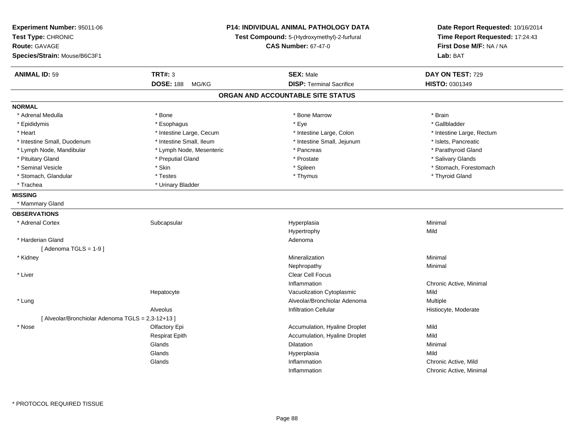| Experiment Number: 95011-06<br>Test Type: CHRONIC<br><b>Route: GAVAGE</b><br>Species/Strain: Mouse/B6C3F1 | <b>P14: INDIVIDUAL ANIMAL PATHOLOGY DATA</b><br>Test Compound: 5-(Hydroxymethyl)-2-furfural<br><b>CAS Number: 67-47-0</b> |                                   | Date Report Requested: 10/16/2014<br>Time Report Requested: 17:24:43<br>First Dose M/F: NA / NA<br>Lab: BAT |
|-----------------------------------------------------------------------------------------------------------|---------------------------------------------------------------------------------------------------------------------------|-----------------------------------|-------------------------------------------------------------------------------------------------------------|
| <b>ANIMAL ID: 59</b>                                                                                      | <b>TRT#: 3</b>                                                                                                            | <b>SEX: Male</b>                  | DAY ON TEST: 729                                                                                            |
|                                                                                                           | <b>DOSE: 188</b><br>MG/KG                                                                                                 | <b>DISP: Terminal Sacrifice</b>   | <b>HISTO: 0301349</b>                                                                                       |
|                                                                                                           |                                                                                                                           | ORGAN AND ACCOUNTABLE SITE STATUS |                                                                                                             |
| <b>NORMAL</b>                                                                                             |                                                                                                                           |                                   |                                                                                                             |
| * Adrenal Medulla                                                                                         | * Bone                                                                                                                    | * Bone Marrow                     | * Brain                                                                                                     |
| * Epididymis                                                                                              | * Esophagus                                                                                                               | * Eye                             | * Gallbladder                                                                                               |
| * Heart                                                                                                   | * Intestine Large, Cecum                                                                                                  | * Intestine Large, Colon          | * Intestine Large, Rectum                                                                                   |
| * Intestine Small, Duodenum                                                                               | * Intestine Small, Ileum                                                                                                  | * Intestine Small, Jejunum        | * Islets, Pancreatic                                                                                        |
| * Lymph Node, Mandibular                                                                                  | * Lymph Node, Mesenteric                                                                                                  | * Pancreas                        | * Parathyroid Gland                                                                                         |
| * Pituitary Gland                                                                                         | * Preputial Gland                                                                                                         | * Prostate                        | * Salivary Glands                                                                                           |
| * Seminal Vesicle                                                                                         | * Skin                                                                                                                    | * Spleen                          | * Stomach, Forestomach                                                                                      |
| * Stomach, Glandular                                                                                      | * Testes                                                                                                                  | * Thymus                          | * Thyroid Gland                                                                                             |
| * Trachea                                                                                                 | * Urinary Bladder                                                                                                         |                                   |                                                                                                             |
| <b>MISSING</b>                                                                                            |                                                                                                                           |                                   |                                                                                                             |
| * Mammary Gland                                                                                           |                                                                                                                           |                                   |                                                                                                             |
| <b>OBSERVATIONS</b>                                                                                       |                                                                                                                           |                                   |                                                                                                             |
| * Adrenal Cortex                                                                                          | Subcapsular                                                                                                               | Hyperplasia                       | Minimal                                                                                                     |
|                                                                                                           |                                                                                                                           | Hypertrophy                       | Mild                                                                                                        |
| * Harderian Gland                                                                                         |                                                                                                                           | Adenoma                           |                                                                                                             |
| [Adenoma TGLS = $1-9$ ]                                                                                   |                                                                                                                           |                                   |                                                                                                             |
| * Kidney                                                                                                  |                                                                                                                           | Mineralization                    | Minimal                                                                                                     |
|                                                                                                           |                                                                                                                           | Nephropathy                       | Minimal                                                                                                     |
| * Liver                                                                                                   |                                                                                                                           | Clear Cell Focus                  |                                                                                                             |
|                                                                                                           |                                                                                                                           | Inflammation                      | Chronic Active, Minimal                                                                                     |
|                                                                                                           | Hepatocyte                                                                                                                | Vacuolization Cytoplasmic         | Mild                                                                                                        |
| * Lung                                                                                                    |                                                                                                                           | Alveolar/Bronchiolar Adenoma      | Multiple                                                                                                    |
|                                                                                                           | Alveolus                                                                                                                  | Infiltration Cellular             | Histiocyte, Moderate                                                                                        |
| [ Alveolar/Bronchiolar Adenoma TGLS = 2,3-12+13 ]                                                         |                                                                                                                           |                                   |                                                                                                             |
| * Nose                                                                                                    | Olfactory Epi                                                                                                             | Accumulation, Hyaline Droplet     | Mild                                                                                                        |
|                                                                                                           | <b>Respirat Epith</b>                                                                                                     | Accumulation, Hyaline Droplet     | Mild                                                                                                        |
|                                                                                                           | Glands                                                                                                                    | <b>Dilatation</b>                 | Minimal                                                                                                     |
|                                                                                                           | Glands                                                                                                                    | Hyperplasia                       | Mild                                                                                                        |
|                                                                                                           | Glands                                                                                                                    | Inflammation                      | Chronic Active, Mild                                                                                        |
|                                                                                                           |                                                                                                                           | Inflammation                      | Chronic Active, Minimal                                                                                     |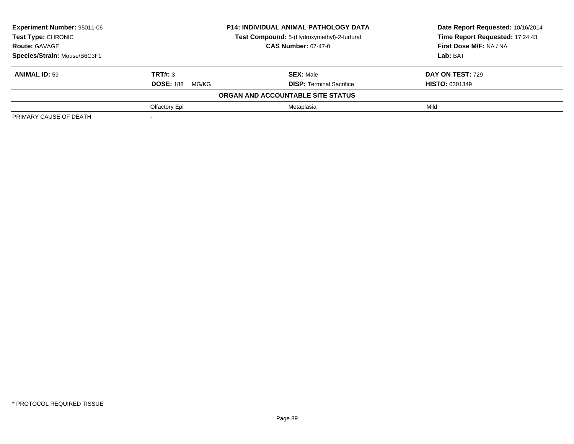| <b>Experiment Number: 95011-06</b> |                           | <b>P14: INDIVIDUAL ANIMAL PATHOLOGY DATA</b> | Date Report Requested: 10/16/2014 |
|------------------------------------|---------------------------|----------------------------------------------|-----------------------------------|
| Test Type: CHRONIC                 |                           | Test Compound: 5-(Hydroxymethyl)-2-furfural  | Time Report Requested: 17:24:43   |
| <b>Route: GAVAGE</b>               |                           | <b>CAS Number: 67-47-0</b>                   | First Dose M/F: NA / NA           |
| Species/Strain: Mouse/B6C3F1       |                           |                                              | Lab: BAT                          |
| <b>ANIMAL ID: 59</b>               | TRT#: 3                   | <b>SEX: Male</b>                             | DAY ON TEST: 729                  |
|                                    | <b>DOSE: 188</b><br>MG/KG | <b>DISP: Terminal Sacrifice</b>              | <b>HISTO: 0301349</b>             |
|                                    |                           | ORGAN AND ACCOUNTABLE SITE STATUS            |                                   |
|                                    | Olfactory Epi             | Metaplasia                                   | Mild                              |
| PRIMARY CAUSE OF DEATH             |                           |                                              |                                   |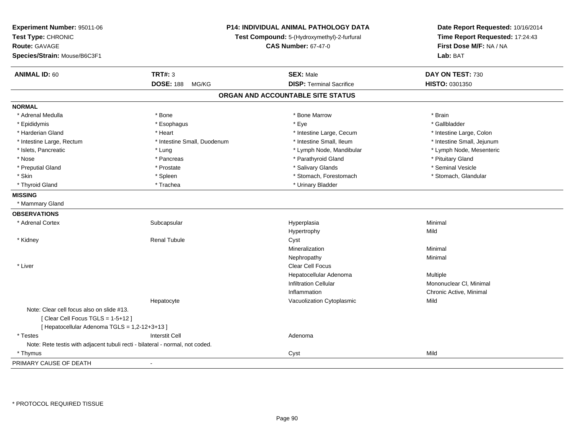| Experiment Number: 95011-06<br>Test Type: CHRONIC<br><b>Route: GAVAGE</b><br>Species/Strain: Mouse/B6C3F1 | P14: INDIVIDUAL ANIMAL PATHOLOGY DATA<br>Test Compound: 5-(Hydroxymethyl)-2-furfural<br><b>CAS Number: 67-47-0</b> |                                   | Date Report Requested: 10/16/2014<br>Time Report Requested: 17:24:43<br>First Dose M/F: NA / NA<br>Lab: BAT |
|-----------------------------------------------------------------------------------------------------------|--------------------------------------------------------------------------------------------------------------------|-----------------------------------|-------------------------------------------------------------------------------------------------------------|
| <b>ANIMAL ID: 60</b>                                                                                      | <b>TRT#: 3</b>                                                                                                     | <b>SEX: Male</b>                  | DAY ON TEST: 730                                                                                            |
|                                                                                                           | <b>DOSE: 188</b><br>MG/KG                                                                                          | <b>DISP: Terminal Sacrifice</b>   | HISTO: 0301350                                                                                              |
|                                                                                                           |                                                                                                                    | ORGAN AND ACCOUNTABLE SITE STATUS |                                                                                                             |
| <b>NORMAL</b>                                                                                             |                                                                                                                    |                                   |                                                                                                             |
| * Adrenal Medulla                                                                                         | * Bone                                                                                                             | * Bone Marrow                     | * Brain                                                                                                     |
| * Epididymis                                                                                              | * Esophagus                                                                                                        | * Eye                             | * Gallbladder                                                                                               |
| * Harderian Gland                                                                                         | * Heart                                                                                                            | * Intestine Large, Cecum          | * Intestine Large, Colon                                                                                    |
| * Intestine Large, Rectum                                                                                 | * Intestine Small, Duodenum                                                                                        | * Intestine Small, Ileum          | * Intestine Small, Jejunum                                                                                  |
| * Islets, Pancreatic                                                                                      | * Lung                                                                                                             | * Lymph Node, Mandibular          | * Lymph Node, Mesenteric                                                                                    |
| * Nose                                                                                                    | * Pancreas                                                                                                         | * Parathyroid Gland               | * Pituitary Gland                                                                                           |
| * Preputial Gland                                                                                         | * Prostate                                                                                                         | * Salivary Glands                 | * Seminal Vesicle                                                                                           |
| * Skin                                                                                                    | * Spleen                                                                                                           | * Stomach, Forestomach            | * Stomach, Glandular                                                                                        |
| * Thyroid Gland                                                                                           | * Trachea                                                                                                          | * Urinary Bladder                 |                                                                                                             |
| <b>MISSING</b>                                                                                            |                                                                                                                    |                                   |                                                                                                             |
| * Mammary Gland                                                                                           |                                                                                                                    |                                   |                                                                                                             |
| <b>OBSERVATIONS</b>                                                                                       |                                                                                                                    |                                   |                                                                                                             |
| * Adrenal Cortex                                                                                          | Subcapsular                                                                                                        | Hyperplasia                       | Minimal                                                                                                     |
|                                                                                                           |                                                                                                                    | Hypertrophy                       | Mild                                                                                                        |
| * Kidney                                                                                                  | <b>Renal Tubule</b>                                                                                                | Cyst                              |                                                                                                             |
|                                                                                                           |                                                                                                                    | Mineralization                    | Minimal                                                                                                     |
|                                                                                                           |                                                                                                                    | Nephropathy                       | Minimal                                                                                                     |
| * Liver                                                                                                   |                                                                                                                    | Clear Cell Focus                  |                                                                                                             |
|                                                                                                           |                                                                                                                    | Hepatocellular Adenoma            | Multiple                                                                                                    |
|                                                                                                           |                                                                                                                    | <b>Infiltration Cellular</b>      | Mononuclear CI, Minimal                                                                                     |
|                                                                                                           |                                                                                                                    | Inflammation                      | Chronic Active, Minimal                                                                                     |
|                                                                                                           | Hepatocyte                                                                                                         | Vacuolization Cytoplasmic         | Mild                                                                                                        |
| Note: Clear cell focus also on slide #13.                                                                 |                                                                                                                    |                                   |                                                                                                             |
| [Clear Cell Focus TGLS = 1-5+12]                                                                          |                                                                                                                    |                                   |                                                                                                             |
| [ Hepatocellular Adenoma TGLS = 1,2-12+3+13 ]                                                             |                                                                                                                    |                                   |                                                                                                             |
| * Testes                                                                                                  | <b>Interstit Cell</b>                                                                                              | Adenoma                           |                                                                                                             |
| Note: Rete testis with adjacent tubuli recti - bilateral - normal, not coded.                             |                                                                                                                    |                                   |                                                                                                             |
| * Thymus                                                                                                  |                                                                                                                    | Cyst                              | Mild                                                                                                        |
| PRIMARY CAUSE OF DEATH                                                                                    | $\overline{a}$                                                                                                     |                                   |                                                                                                             |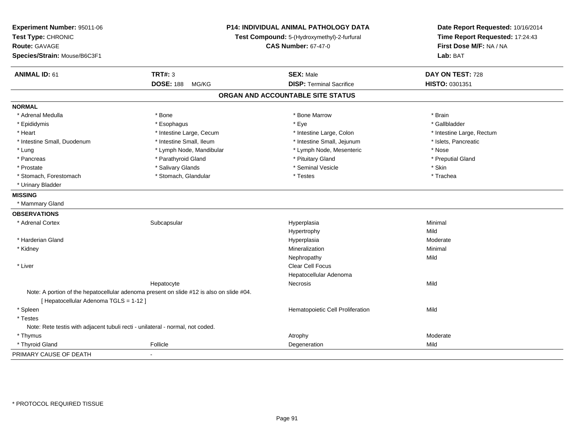| Experiment Number: 95011-06<br>Test Type: CHRONIC<br><b>Route: GAVAGE</b><br>Species/Strain: Mouse/B6C3F1 | <b>P14: INDIVIDUAL ANIMAL PATHOLOGY DATA</b><br>Test Compound: 5-(Hydroxymethyl)-2-furfural<br><b>CAS Number: 67-47-0</b> |                                   | Date Report Requested: 10/16/2014<br>Time Report Requested: 17:24:43<br>First Dose M/F: NA / NA<br>Lab: BAT |
|-----------------------------------------------------------------------------------------------------------|---------------------------------------------------------------------------------------------------------------------------|-----------------------------------|-------------------------------------------------------------------------------------------------------------|
| <b>ANIMAL ID: 61</b>                                                                                      | <b>TRT#: 3</b>                                                                                                            | <b>SEX: Male</b>                  | DAY ON TEST: 728                                                                                            |
|                                                                                                           | <b>DOSE: 188</b><br>MG/KG                                                                                                 | <b>DISP: Terminal Sacrifice</b>   | HISTO: 0301351                                                                                              |
|                                                                                                           |                                                                                                                           | ORGAN AND ACCOUNTABLE SITE STATUS |                                                                                                             |
| <b>NORMAL</b>                                                                                             |                                                                                                                           |                                   |                                                                                                             |
| * Adrenal Medulla                                                                                         | * Bone                                                                                                                    | * Bone Marrow                     | * Brain                                                                                                     |
| * Epididymis                                                                                              | * Esophagus                                                                                                               | * Eye                             | * Gallbladder                                                                                               |
| * Heart                                                                                                   | * Intestine Large, Cecum                                                                                                  | * Intestine Large, Colon          | * Intestine Large, Rectum                                                                                   |
| * Intestine Small, Duodenum                                                                               | * Intestine Small, Ileum                                                                                                  | * Intestine Small, Jejunum        | * Islets, Pancreatic                                                                                        |
| * Lung                                                                                                    | * Lymph Node, Mandibular                                                                                                  | * Lymph Node, Mesenteric          | * Nose                                                                                                      |
| * Pancreas                                                                                                | * Parathyroid Gland                                                                                                       | * Pituitary Gland                 | * Preputial Gland                                                                                           |
| * Prostate                                                                                                | * Salivary Glands                                                                                                         | * Seminal Vesicle                 | * Skin                                                                                                      |
| * Stomach, Forestomach                                                                                    | * Stomach, Glandular                                                                                                      | * Testes                          | * Trachea                                                                                                   |
| * Urinary Bladder                                                                                         |                                                                                                                           |                                   |                                                                                                             |
| <b>MISSING</b>                                                                                            |                                                                                                                           |                                   |                                                                                                             |
| * Mammary Gland                                                                                           |                                                                                                                           |                                   |                                                                                                             |
| <b>OBSERVATIONS</b>                                                                                       |                                                                                                                           |                                   |                                                                                                             |
| * Adrenal Cortex                                                                                          | Subcapsular                                                                                                               | Hyperplasia                       | Minimal                                                                                                     |
|                                                                                                           |                                                                                                                           | Hypertrophy                       | Mild                                                                                                        |
| * Harderian Gland                                                                                         |                                                                                                                           | Hyperplasia                       | Moderate                                                                                                    |
| * Kidney                                                                                                  |                                                                                                                           | Mineralization                    | Minimal                                                                                                     |
|                                                                                                           |                                                                                                                           | Nephropathy                       | Mild                                                                                                        |
| * Liver                                                                                                   |                                                                                                                           | Clear Cell Focus                  |                                                                                                             |
|                                                                                                           |                                                                                                                           | Hepatocellular Adenoma            |                                                                                                             |
|                                                                                                           | Hepatocyte                                                                                                                | Necrosis                          | Mild                                                                                                        |
| [ Hepatocellular Adenoma TGLS = 1-12 ]                                                                    | Note: A portion of the hepatocellular adenoma present on slide #12 is also on slide #04.                                  |                                   |                                                                                                             |
| * Spleen                                                                                                  |                                                                                                                           | Hematopoietic Cell Proliferation  | Mild                                                                                                        |
| * Testes                                                                                                  |                                                                                                                           |                                   |                                                                                                             |
| Note: Rete testis with adjacent tubuli recti - unilateral - normal, not coded.                            |                                                                                                                           |                                   |                                                                                                             |
| * Thymus                                                                                                  |                                                                                                                           | Atrophy                           | Moderate                                                                                                    |
| * Thyroid Gland                                                                                           | Follicle                                                                                                                  | Degeneration                      | Mild                                                                                                        |
| PRIMARY CAUSE OF DEATH                                                                                    | ÷,                                                                                                                        |                                   |                                                                                                             |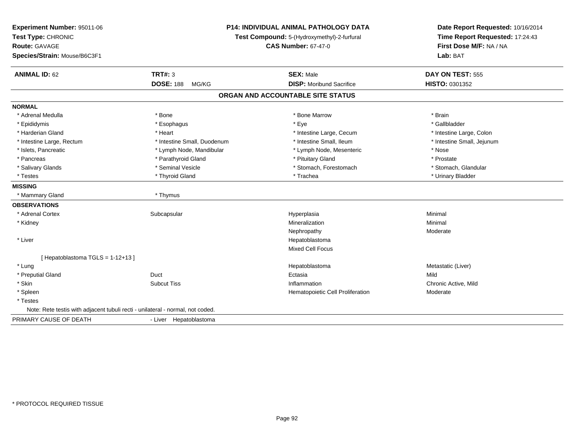| Experiment Number: 95011-06<br>Test Type: CHRONIC<br>Route: GAVAGE<br>Species/Strain: Mouse/B6C3F1 |                             | <b>P14: INDIVIDUAL ANIMAL PATHOLOGY DATA</b><br>Test Compound: 5-(Hydroxymethyl)-2-furfural<br><b>CAS Number: 67-47-0</b> | Date Report Requested: 10/16/2014<br>Time Report Requested: 17:24:43<br>First Dose M/F: NA / NA<br>Lab: BAT |  |
|----------------------------------------------------------------------------------------------------|-----------------------------|---------------------------------------------------------------------------------------------------------------------------|-------------------------------------------------------------------------------------------------------------|--|
| <b>ANIMAL ID: 62</b>                                                                               | TRT#: 3                     | <b>SEX: Male</b>                                                                                                          | <b>DAY ON TEST: 555</b>                                                                                     |  |
|                                                                                                    | <b>DOSE: 188</b><br>MG/KG   | <b>DISP:</b> Moribund Sacrifice                                                                                           | HISTO: 0301352                                                                                              |  |
|                                                                                                    |                             | ORGAN AND ACCOUNTABLE SITE STATUS                                                                                         |                                                                                                             |  |
| <b>NORMAL</b>                                                                                      |                             |                                                                                                                           |                                                                                                             |  |
| * Adrenal Medulla                                                                                  | * Bone                      | * Bone Marrow                                                                                                             | * Brain                                                                                                     |  |
| * Epididymis                                                                                       | * Esophagus                 | * Eye                                                                                                                     | * Gallbladder                                                                                               |  |
| * Harderian Gland                                                                                  | * Heart                     | * Intestine Large, Cecum                                                                                                  | * Intestine Large, Colon                                                                                    |  |
| * Intestine Large, Rectum                                                                          | * Intestine Small, Duodenum | * Intestine Small, Ileum                                                                                                  | * Intestine Small, Jejunum                                                                                  |  |
| * Islets, Pancreatic                                                                               | * Lymph Node, Mandibular    | * Lymph Node, Mesenteric                                                                                                  | * Nose                                                                                                      |  |
| * Pancreas                                                                                         | * Parathyroid Gland         | * Pituitary Gland                                                                                                         | * Prostate                                                                                                  |  |
| * Salivary Glands                                                                                  | * Seminal Vesicle           | * Stomach, Forestomach                                                                                                    | * Stomach, Glandular                                                                                        |  |
| * Testes                                                                                           | * Thyroid Gland             | * Trachea                                                                                                                 | * Urinary Bladder                                                                                           |  |
| <b>MISSING</b>                                                                                     |                             |                                                                                                                           |                                                                                                             |  |
| * Mammary Gland                                                                                    | * Thymus                    |                                                                                                                           |                                                                                                             |  |
| <b>OBSERVATIONS</b>                                                                                |                             |                                                                                                                           |                                                                                                             |  |
| * Adrenal Cortex                                                                                   | Subcapsular                 | Hyperplasia                                                                                                               | Minimal                                                                                                     |  |
| * Kidney                                                                                           |                             | Mineralization                                                                                                            | Minimal                                                                                                     |  |
|                                                                                                    |                             | Nephropathy                                                                                                               | Moderate                                                                                                    |  |
| * Liver                                                                                            |                             | Hepatoblastoma                                                                                                            |                                                                                                             |  |
|                                                                                                    |                             | <b>Mixed Cell Focus</b>                                                                                                   |                                                                                                             |  |
| [Hepatoblastoma TGLS = 1-12+13]                                                                    |                             |                                                                                                                           |                                                                                                             |  |
| * Lung                                                                                             |                             | Hepatoblastoma                                                                                                            | Metastatic (Liver)                                                                                          |  |
| * Preputial Gland                                                                                  | Duct                        | Ectasia                                                                                                                   | Mild                                                                                                        |  |
| * Skin                                                                                             | <b>Subcut Tiss</b>          | Inflammation                                                                                                              | Chronic Active, Mild                                                                                        |  |
| * Spleen                                                                                           |                             | Hematopoietic Cell Proliferation                                                                                          | Moderate                                                                                                    |  |
| * Testes                                                                                           |                             |                                                                                                                           |                                                                                                             |  |
| Note: Rete testis with adjacent tubuli recti - unilateral - normal, not coded.                     |                             |                                                                                                                           |                                                                                                             |  |
| PRIMARY CAUSE OF DEATH                                                                             | - Liver Hepatoblastoma      |                                                                                                                           |                                                                                                             |  |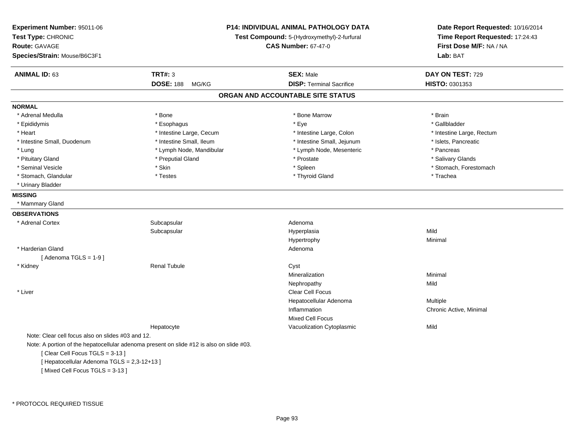| Experiment Number: 95011-06<br>Test Type: CHRONIC<br><b>Route: GAVAGE</b><br>Species/Strain: Mouse/B6C3F1 |                                                                                          | <b>P14: INDIVIDUAL ANIMAL PATHOLOGY DATA</b><br>Test Compound: 5-(Hydroxymethyl)-2-furfural<br><b>CAS Number: 67-47-0</b> | Date Report Requested: 10/16/2014<br>Time Report Requested: 17:24:43<br>First Dose M/F: NA / NA<br>Lab: BAT |
|-----------------------------------------------------------------------------------------------------------|------------------------------------------------------------------------------------------|---------------------------------------------------------------------------------------------------------------------------|-------------------------------------------------------------------------------------------------------------|
| <b>ANIMAL ID: 63</b>                                                                                      | <b>TRT#: 3</b>                                                                           | <b>SEX: Male</b>                                                                                                          | DAY ON TEST: 729                                                                                            |
|                                                                                                           | <b>DOSE: 188</b><br>MG/KG                                                                | <b>DISP: Terminal Sacrifice</b>                                                                                           | HISTO: 0301353                                                                                              |
|                                                                                                           |                                                                                          | ORGAN AND ACCOUNTABLE SITE STATUS                                                                                         |                                                                                                             |
| <b>NORMAL</b>                                                                                             |                                                                                          |                                                                                                                           |                                                                                                             |
| * Adrenal Medulla                                                                                         | * Bone                                                                                   | * Bone Marrow                                                                                                             | * Brain                                                                                                     |
| * Epididymis                                                                                              | * Esophagus                                                                              | * Eye                                                                                                                     | * Gallbladder                                                                                               |
| * Heart                                                                                                   | * Intestine Large, Cecum                                                                 | * Intestine Large, Colon                                                                                                  | * Intestine Large, Rectum                                                                                   |
| * Intestine Small, Duodenum                                                                               | * Intestine Small, Ileum                                                                 | * Intestine Small, Jejunum                                                                                                | * Islets, Pancreatic                                                                                        |
| * Lung                                                                                                    | * Lymph Node, Mandibular                                                                 | * Lymph Node, Mesenteric                                                                                                  | * Pancreas                                                                                                  |
| * Pituitary Gland                                                                                         | * Preputial Gland                                                                        | * Prostate                                                                                                                | * Salivary Glands                                                                                           |
| * Seminal Vesicle                                                                                         | * Skin                                                                                   | * Spleen                                                                                                                  | * Stomach, Forestomach                                                                                      |
| * Stomach, Glandular                                                                                      | * Testes                                                                                 | * Thyroid Gland                                                                                                           | * Trachea                                                                                                   |
| * Urinary Bladder                                                                                         |                                                                                          |                                                                                                                           |                                                                                                             |
| <b>MISSING</b>                                                                                            |                                                                                          |                                                                                                                           |                                                                                                             |
| * Mammary Gland                                                                                           |                                                                                          |                                                                                                                           |                                                                                                             |
| <b>OBSERVATIONS</b>                                                                                       |                                                                                          |                                                                                                                           |                                                                                                             |
| * Adrenal Cortex                                                                                          | Subcapsular                                                                              | Adenoma                                                                                                                   |                                                                                                             |
|                                                                                                           | Subcapsular                                                                              | Hyperplasia                                                                                                               | Mild                                                                                                        |
|                                                                                                           |                                                                                          | Hypertrophy                                                                                                               | Minimal                                                                                                     |
| * Harderian Gland                                                                                         |                                                                                          | Adenoma                                                                                                                   |                                                                                                             |
| [Adenoma TGLS = $1-9$ ]                                                                                   |                                                                                          |                                                                                                                           |                                                                                                             |
| * Kidney                                                                                                  | <b>Renal Tubule</b>                                                                      | Cyst                                                                                                                      |                                                                                                             |
|                                                                                                           |                                                                                          | Mineralization                                                                                                            | Minimal                                                                                                     |
|                                                                                                           |                                                                                          | Nephropathy                                                                                                               | Mild                                                                                                        |
| * Liver                                                                                                   |                                                                                          | Clear Cell Focus                                                                                                          |                                                                                                             |
|                                                                                                           |                                                                                          | Hepatocellular Adenoma                                                                                                    | Multiple                                                                                                    |
|                                                                                                           |                                                                                          | Inflammation                                                                                                              | Chronic Active, Minimal                                                                                     |
|                                                                                                           |                                                                                          | <b>Mixed Cell Focus</b>                                                                                                   |                                                                                                             |
|                                                                                                           | Hepatocyte                                                                               | Vacuolization Cytoplasmic                                                                                                 | Mild                                                                                                        |
| Note: Clear cell focus also on slides #03 and 12.                                                         |                                                                                          |                                                                                                                           |                                                                                                             |
|                                                                                                           | Note: A portion of the hepatocellular adenoma present on slide #12 is also on slide #03. |                                                                                                                           |                                                                                                             |
| [Clear Cell Focus TGLS = 3-13]                                                                            |                                                                                          |                                                                                                                           |                                                                                                             |
| [ Hepatocellular Adenoma TGLS = 2,3-12+13 ]                                                               |                                                                                          |                                                                                                                           |                                                                                                             |
| [Mixed Cell Focus TGLS = 3-13]                                                                            |                                                                                          |                                                                                                                           |                                                                                                             |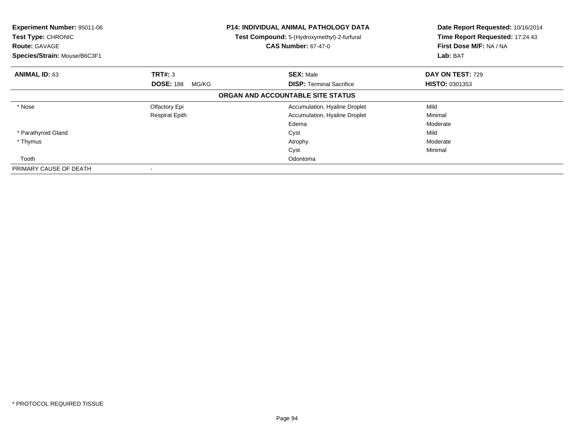| Experiment Number: 95011-06<br>Test Type: CHRONIC<br><b>Route: GAVAGE</b><br>Species/Strain: Mouse/B6C3F1 |                           | <b>P14: INDIVIDUAL ANIMAL PATHOLOGY DATA</b><br>Test Compound: 5-(Hydroxymethyl)-2-furfural<br><b>CAS Number: 67-47-0</b> | Date Report Requested: 10/16/2014<br>Time Report Requested: 17:24:43<br>First Dose M/F: NA / NA<br>Lab: BAT |
|-----------------------------------------------------------------------------------------------------------|---------------------------|---------------------------------------------------------------------------------------------------------------------------|-------------------------------------------------------------------------------------------------------------|
| <b>ANIMAL ID: 63</b>                                                                                      | <b>TRT#: 3</b>            | <b>SEX: Male</b>                                                                                                          | DAY ON TEST: 729                                                                                            |
|                                                                                                           | <b>DOSE: 188</b><br>MG/KG | <b>DISP: Terminal Sacrifice</b>                                                                                           | <b>HISTO: 0301353</b>                                                                                       |
|                                                                                                           |                           | ORGAN AND ACCOUNTABLE SITE STATUS                                                                                         |                                                                                                             |
| * Nose                                                                                                    | Olfactory Epi             | Accumulation, Hyaline Droplet                                                                                             | Mild                                                                                                        |
|                                                                                                           | <b>Respirat Epith</b>     | Accumulation, Hyaline Droplet                                                                                             | Minimal                                                                                                     |
|                                                                                                           |                           | Edema                                                                                                                     | Moderate                                                                                                    |
| * Parathyroid Gland                                                                                       |                           | Cyst                                                                                                                      | Mild                                                                                                        |
| * Thymus                                                                                                  |                           | Atrophy                                                                                                                   | Moderate                                                                                                    |
|                                                                                                           |                           | Cyst                                                                                                                      | Minimal                                                                                                     |
| Tooth                                                                                                     |                           | Odontoma                                                                                                                  |                                                                                                             |
| PRIMARY CAUSE OF DEATH                                                                                    |                           |                                                                                                                           |                                                                                                             |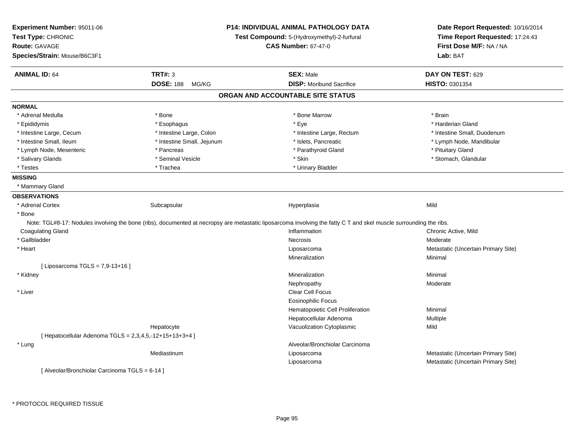| Experiment Number: 95011-06                             |                            | <b>P14: INDIVIDUAL ANIMAL PATHOLOGY DATA</b>                                                                                                                       | Date Report Requested: 10/16/2014                                      |
|---------------------------------------------------------|----------------------------|--------------------------------------------------------------------------------------------------------------------------------------------------------------------|------------------------------------------------------------------------|
| Test Type: CHRONIC                                      |                            | Test Compound: 5-(Hydroxymethyl)-2-furfural                                                                                                                        | Time Report Requested: 17:24:43<br>First Dose M/F: NA / NA<br>Lab: BAT |
| <b>Route: GAVAGE</b>                                    |                            | <b>CAS Number: 67-47-0</b>                                                                                                                                         |                                                                        |
| Species/Strain: Mouse/B6C3F1                            |                            |                                                                                                                                                                    |                                                                        |
| <b>ANIMAL ID: 64</b>                                    | <b>TRT#: 3</b>             | <b>SEX: Male</b>                                                                                                                                                   | DAY ON TEST: 629                                                       |
|                                                         | <b>DOSE: 188</b><br>MG/KG  | <b>DISP:</b> Moribund Sacrifice                                                                                                                                    | HISTO: 0301354                                                         |
|                                                         |                            | ORGAN AND ACCOUNTABLE SITE STATUS                                                                                                                                  |                                                                        |
| <b>NORMAL</b>                                           |                            |                                                                                                                                                                    |                                                                        |
| * Adrenal Medulla                                       | * Bone                     | * Bone Marrow                                                                                                                                                      | * Brain                                                                |
| * Epididymis                                            | * Esophagus                | * Eye                                                                                                                                                              | * Harderian Gland                                                      |
| * Intestine Large, Cecum                                | * Intestine Large, Colon   | * Intestine Large, Rectum                                                                                                                                          | * Intestine Small, Duodenum                                            |
| * Intestine Small, Ileum                                | * Intestine Small, Jejunum | * Islets, Pancreatic                                                                                                                                               | * Lymph Node, Mandibular                                               |
| * Lymph Node, Mesenteric                                | * Pancreas                 | * Parathyroid Gland                                                                                                                                                | * Pituitary Gland                                                      |
| * Salivary Glands                                       | * Seminal Vesicle          | * Skin                                                                                                                                                             | * Stomach, Glandular                                                   |
| * Testes                                                | * Trachea                  | * Urinary Bladder                                                                                                                                                  |                                                                        |
| <b>MISSING</b>                                          |                            |                                                                                                                                                                    |                                                                        |
| * Mammary Gland                                         |                            |                                                                                                                                                                    |                                                                        |
| <b>OBSERVATIONS</b>                                     |                            |                                                                                                                                                                    |                                                                        |
| * Adrenal Cortex                                        | Subcapsular                | Hyperplasia                                                                                                                                                        | Mild                                                                   |
| * Bone                                                  |                            |                                                                                                                                                                    |                                                                        |
|                                                         |                            | Note: TGL#8-17: Nodules involving the bone (ribs), documented at necropsy are metastatic liposarcoma involving the fatty C T and skel muscle surrounding the ribs. |                                                                        |
| <b>Coagulating Gland</b>                                |                            | Inflammation                                                                                                                                                       | Chronic Active, Mild                                                   |
| * Gallbladder                                           |                            | <b>Necrosis</b>                                                                                                                                                    | Moderate                                                               |
| * Heart                                                 |                            | Liposarcoma                                                                                                                                                        | Metastatic (Uncertain Primary Site)                                    |
|                                                         |                            | Mineralization                                                                                                                                                     | Minimal                                                                |
| [ Liposarcoma TGLS = 7,9-13+16 ]                        |                            |                                                                                                                                                                    |                                                                        |
| * Kidney                                                |                            | Mineralization                                                                                                                                                     | Minimal                                                                |
|                                                         |                            | Nephropathy                                                                                                                                                        | Moderate                                                               |
| * Liver                                                 |                            | Clear Cell Focus                                                                                                                                                   |                                                                        |
|                                                         |                            | <b>Eosinophilic Focus</b>                                                                                                                                          |                                                                        |
|                                                         |                            | Hematopoietic Cell Proliferation                                                                                                                                   | Minimal                                                                |
|                                                         |                            | Hepatocellular Adenoma                                                                                                                                             | Multiple                                                               |
|                                                         | Hepatocyte                 | Vacuolization Cytoplasmic                                                                                                                                          | Mild                                                                   |
| [ Hepatocellular Adenoma TGLS = 2,3,4,5,-12+15+13+3+4 ] |                            |                                                                                                                                                                    |                                                                        |
| * Lung                                                  |                            | Alveolar/Bronchiolar Carcinoma                                                                                                                                     |                                                                        |
|                                                         | Mediastinum                | Liposarcoma                                                                                                                                                        | Metastatic (Uncertain Primary Site)                                    |
|                                                         |                            | Liposarcoma                                                                                                                                                        | Metastatic (Uncertain Primary Site)                                    |
| [ Alveolar/Bronchiolar Carcinoma TGLS = 6-14 ]          |                            |                                                                                                                                                                    |                                                                        |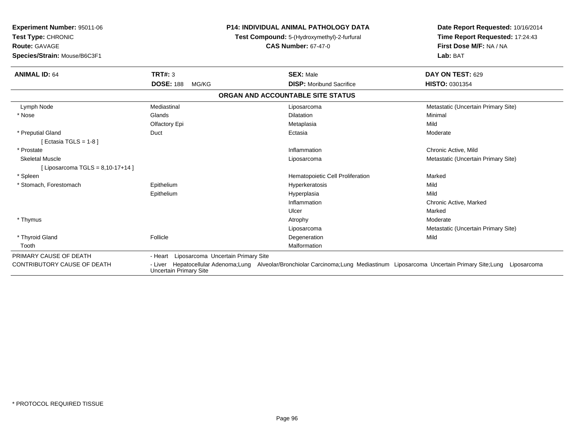| Experiment Number: 95011-06<br>Test Type: CHRONIC<br>Route: GAVAGE |                               | <b>P14: INDIVIDUAL ANIMAL PATHOLOGY DATA</b>                                                                                | Date Report Requested: 10/16/2014<br>Time Report Requested: 17:24:43<br>First Dose M/F: NA / NA |  |
|--------------------------------------------------------------------|-------------------------------|-----------------------------------------------------------------------------------------------------------------------------|-------------------------------------------------------------------------------------------------|--|
|                                                                    |                               | Test Compound: 5-(Hydroxymethyl)-2-furfural                                                                                 |                                                                                                 |  |
|                                                                    |                               | <b>CAS Number: 67-47-0</b>                                                                                                  |                                                                                                 |  |
| Species/Strain: Mouse/B6C3F1                                       |                               |                                                                                                                             | Lab: BAT                                                                                        |  |
| <b>ANIMAL ID: 64</b>                                               | <b>TRT#: 3</b>                | <b>SEX: Male</b>                                                                                                            | DAY ON TEST: 629                                                                                |  |
|                                                                    | <b>DOSE: 188</b><br>MG/KG     | <b>DISP:</b> Moribund Sacrifice                                                                                             | HISTO: 0301354                                                                                  |  |
|                                                                    |                               | ORGAN AND ACCOUNTABLE SITE STATUS                                                                                           |                                                                                                 |  |
| Lymph Node                                                         | Mediastinal                   | Liposarcoma                                                                                                                 | Metastatic (Uncertain Primary Site)                                                             |  |
| * Nose                                                             | Glands                        | <b>Dilatation</b>                                                                                                           | Minimal                                                                                         |  |
|                                                                    | Olfactory Epi                 | Metaplasia                                                                                                                  | Mild                                                                                            |  |
| * Preputial Gland                                                  | Duct                          | Ectasia                                                                                                                     | Moderate                                                                                        |  |
| [Ectasia TGLS = 1-8 ]                                              |                               |                                                                                                                             |                                                                                                 |  |
| * Prostate                                                         |                               | Inflammation                                                                                                                | Chronic Active, Mild                                                                            |  |
| <b>Skeletal Muscle</b>                                             |                               | Liposarcoma                                                                                                                 | Metastatic (Uncertain Primary Site)                                                             |  |
| [ Liposarcoma TGLS = $8,10-17+14$ ]                                |                               |                                                                                                                             |                                                                                                 |  |
| * Spleen                                                           |                               | Hematopoietic Cell Proliferation                                                                                            | Marked                                                                                          |  |
| * Stomach, Forestomach                                             | Epithelium                    | Hyperkeratosis                                                                                                              | Mild                                                                                            |  |
|                                                                    | Epithelium                    | Hyperplasia                                                                                                                 | Mild                                                                                            |  |
|                                                                    |                               | Inflammation                                                                                                                | Chronic Active, Marked                                                                          |  |
|                                                                    |                               | Ulcer                                                                                                                       | Marked                                                                                          |  |
| * Thymus                                                           |                               | Atrophy                                                                                                                     | Moderate                                                                                        |  |
|                                                                    |                               | Liposarcoma                                                                                                                 | Metastatic (Uncertain Primary Site)                                                             |  |
| * Thyroid Gland                                                    | Follicle                      | Degeneration                                                                                                                | Mild                                                                                            |  |
| Tooth                                                              |                               | Malformation                                                                                                                |                                                                                                 |  |
| PRIMARY CAUSE OF DEATH                                             | - Heart                       | Liposarcoma Uncertain Primary Site                                                                                          |                                                                                                 |  |
| CONTRIBUTORY CAUSE OF DEATH                                        | <b>Uncertain Primary Site</b> | - Liver Hepatocellular Adenoma;Lung Alveolar/Bronchiolar Carcinoma;Lung Mediastinum Liposarcoma Uncertain Primary Site;Lung | Liposarcoma                                                                                     |  |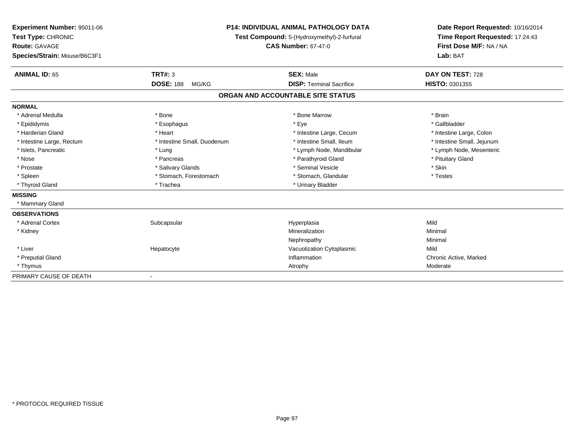| <b>Experiment Number: 95011-06</b> | <b>P14: INDIVIDUAL ANIMAL PATHOLOGY DATA</b><br>Test Compound: 5-(Hydroxymethyl)-2-furfural |                                   | Date Report Requested: 10/16/2014 |  |
|------------------------------------|---------------------------------------------------------------------------------------------|-----------------------------------|-----------------------------------|--|
| Test Type: CHRONIC                 |                                                                                             |                                   | Time Report Requested: 17:24:43   |  |
| <b>Route: GAVAGE</b>               |                                                                                             | <b>CAS Number: 67-47-0</b>        | First Dose M/F: NA / NA           |  |
| Species/Strain: Mouse/B6C3F1       |                                                                                             |                                   | Lab: BAT                          |  |
| <b>ANIMAL ID: 65</b>               | <b>TRT#: 3</b>                                                                              | <b>SEX: Male</b>                  | DAY ON TEST: 728                  |  |
|                                    | <b>DOSE: 188</b><br>MG/KG                                                                   | <b>DISP: Terminal Sacrifice</b>   | <b>HISTO: 0301355</b>             |  |
|                                    |                                                                                             |                                   |                                   |  |
|                                    |                                                                                             | ORGAN AND ACCOUNTABLE SITE STATUS |                                   |  |
| <b>NORMAL</b>                      |                                                                                             |                                   |                                   |  |
| * Adrenal Medulla                  | * Bone                                                                                      | * Bone Marrow                     | * Brain                           |  |
| * Epididymis                       | * Esophagus                                                                                 | * Eye                             | * Gallbladder                     |  |
| * Harderian Gland                  | * Heart                                                                                     | * Intestine Large, Cecum          | * Intestine Large, Colon          |  |
| * Intestine Large, Rectum          | * Intestine Small, Duodenum                                                                 | * Intestine Small, Ileum          | * Intestine Small, Jejunum        |  |
| * Islets, Pancreatic               | * Lung                                                                                      | * Lymph Node, Mandibular          | * Lymph Node, Mesenteric          |  |
| * Nose                             | * Pancreas                                                                                  | * Parathyroid Gland               | * Pituitary Gland                 |  |
| * Prostate                         | * Salivary Glands                                                                           | * Seminal Vesicle                 | * Skin                            |  |
| * Spleen                           | * Stomach, Forestomach                                                                      | * Stomach, Glandular              | * Testes                          |  |
| * Thyroid Gland                    | * Trachea                                                                                   | * Urinary Bladder                 |                                   |  |
| <b>MISSING</b>                     |                                                                                             |                                   |                                   |  |
| * Mammary Gland                    |                                                                                             |                                   |                                   |  |
| <b>OBSERVATIONS</b>                |                                                                                             |                                   |                                   |  |
| * Adrenal Cortex                   | Subcapsular                                                                                 | Hyperplasia                       | Mild                              |  |
| * Kidney                           |                                                                                             | Mineralization                    | Minimal                           |  |
|                                    |                                                                                             | Nephropathy                       | Minimal                           |  |
| * Liver                            | Hepatocyte                                                                                  | Vacuolization Cytoplasmic         | Mild                              |  |
| * Preputial Gland                  |                                                                                             | Inflammation                      | Chronic Active, Marked            |  |
| * Thymus                           |                                                                                             | Atrophy                           | Moderate                          |  |
| PRIMARY CAUSE OF DEATH             |                                                                                             |                                   |                                   |  |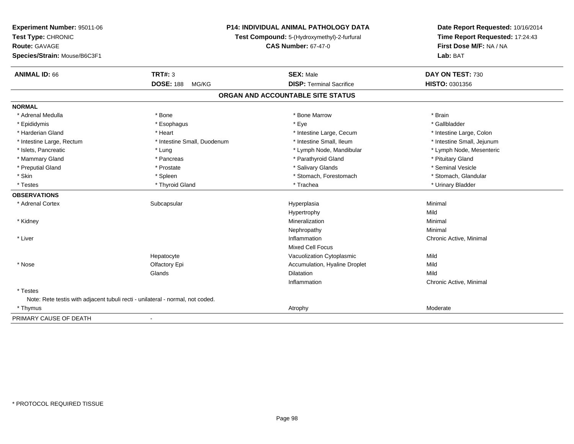| Experiment Number: 95011-06<br>Test Type: CHRONIC<br>Route: GAVAGE<br>Species/Strain: Mouse/B6C3F1 |                             | P14: INDIVIDUAL ANIMAL PATHOLOGY DATA<br>Test Compound: 5-(Hydroxymethyl)-2-furfural<br><b>CAS Number: 67-47-0</b> | Date Report Requested: 10/16/2014<br>Time Report Requested: 17:24:43<br>First Dose M/F: NA / NA<br>Lab: BAT |  |
|----------------------------------------------------------------------------------------------------|-----------------------------|--------------------------------------------------------------------------------------------------------------------|-------------------------------------------------------------------------------------------------------------|--|
| <b>ANIMAL ID: 66</b>                                                                               | TRT#: 3                     | <b>SEX: Male</b>                                                                                                   | DAY ON TEST: 730                                                                                            |  |
|                                                                                                    | <b>DOSE: 188</b><br>MG/KG   | <b>DISP: Terminal Sacrifice</b>                                                                                    | HISTO: 0301356                                                                                              |  |
|                                                                                                    |                             | ORGAN AND ACCOUNTABLE SITE STATUS                                                                                  |                                                                                                             |  |
| <b>NORMAL</b>                                                                                      |                             |                                                                                                                    |                                                                                                             |  |
| * Adrenal Medulla                                                                                  | * Bone                      | * Bone Marrow                                                                                                      | * Brain                                                                                                     |  |
| * Epididymis                                                                                       | * Esophagus                 | * Eve                                                                                                              | * Gallbladder                                                                                               |  |
| * Harderian Gland                                                                                  | * Heart                     | * Intestine Large, Cecum                                                                                           | * Intestine Large, Colon                                                                                    |  |
| * Intestine Large, Rectum                                                                          | * Intestine Small, Duodenum | * Intestine Small, Ileum                                                                                           | * Intestine Small, Jejunum                                                                                  |  |
| * Islets, Pancreatic                                                                               | * Lung                      | * Lymph Node, Mandibular                                                                                           | * Lymph Node, Mesenteric                                                                                    |  |
| * Mammary Gland                                                                                    | * Pancreas                  | * Parathyroid Gland                                                                                                | * Pituitary Gland                                                                                           |  |
| * Preputial Gland                                                                                  | * Prostate                  | * Salivary Glands                                                                                                  | * Seminal Vesicle                                                                                           |  |
| * Skin                                                                                             | * Spleen                    | * Stomach, Forestomach                                                                                             | * Stomach, Glandular                                                                                        |  |
| * Testes                                                                                           | * Thyroid Gland             | * Trachea                                                                                                          | * Urinary Bladder                                                                                           |  |
| <b>OBSERVATIONS</b>                                                                                |                             |                                                                                                                    |                                                                                                             |  |
| * Adrenal Cortex                                                                                   | Subcapsular                 | Hyperplasia                                                                                                        | Minimal                                                                                                     |  |
|                                                                                                    |                             | Hypertrophy                                                                                                        | Mild                                                                                                        |  |
| * Kidney                                                                                           |                             | Mineralization                                                                                                     | Minimal                                                                                                     |  |
|                                                                                                    |                             | Nephropathy                                                                                                        | Minimal                                                                                                     |  |
| * Liver                                                                                            |                             | Inflammation                                                                                                       | Chronic Active, Minimal                                                                                     |  |
|                                                                                                    |                             | <b>Mixed Cell Focus</b>                                                                                            |                                                                                                             |  |
|                                                                                                    | Hepatocyte                  | Vacuolization Cytoplasmic                                                                                          | Mild                                                                                                        |  |
| * Nose                                                                                             | Olfactory Epi               | Accumulation, Hyaline Droplet                                                                                      | Mild                                                                                                        |  |
|                                                                                                    | Glands                      | Dilatation                                                                                                         | Mild                                                                                                        |  |
|                                                                                                    |                             | Inflammation                                                                                                       | Chronic Active, Minimal                                                                                     |  |
| * Testes                                                                                           |                             |                                                                                                                    |                                                                                                             |  |
| Note: Rete testis with adjacent tubuli recti - unilateral - normal, not coded.                     |                             |                                                                                                                    |                                                                                                             |  |
| * Thymus                                                                                           |                             | Atrophy                                                                                                            | Moderate                                                                                                    |  |
| PRIMARY CAUSE OF DEATH                                                                             | $\blacksquare$              |                                                                                                                    |                                                                                                             |  |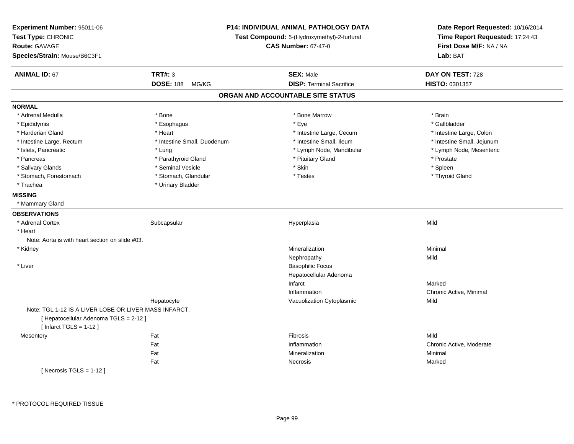| Experiment Number: 95011-06<br>Test Type: CHRONIC     |                             | <b>P14: INDIVIDUAL ANIMAL PATHOLOGY DATA</b><br>Test Compound: 5-(Hydroxymethyl)-2-furfural | Date Report Requested: 10/16/2014<br>Time Report Requested: 17:24:43 |
|-------------------------------------------------------|-----------------------------|---------------------------------------------------------------------------------------------|----------------------------------------------------------------------|
| <b>Route: GAVAGE</b>                                  |                             | <b>CAS Number: 67-47-0</b>                                                                  | First Dose M/F: NA / NA                                              |
| Species/Strain: Mouse/B6C3F1                          |                             |                                                                                             | Lab: BAT                                                             |
| <b>ANIMAL ID: 67</b>                                  | <b>TRT#: 3</b>              | <b>SEX: Male</b>                                                                            | DAY ON TEST: 728                                                     |
|                                                       | <b>DOSE: 188</b><br>MG/KG   | <b>DISP: Terminal Sacrifice</b>                                                             | HISTO: 0301357                                                       |
|                                                       |                             | ORGAN AND ACCOUNTABLE SITE STATUS                                                           |                                                                      |
| <b>NORMAL</b>                                         |                             |                                                                                             |                                                                      |
| * Adrenal Medulla                                     | * Bone                      | * Bone Marrow                                                                               | * Brain                                                              |
| * Epididymis                                          | * Esophagus                 | * Eye                                                                                       | * Gallbladder                                                        |
| * Harderian Gland                                     | * Heart                     | * Intestine Large, Cecum                                                                    | * Intestine Large, Colon                                             |
| * Intestine Large, Rectum                             | * Intestine Small, Duodenum | * Intestine Small, Ileum                                                                    | * Intestine Small, Jejunum                                           |
| * Islets, Pancreatic                                  | * Lung                      | * Lymph Node, Mandibular                                                                    | * Lymph Node, Mesenteric                                             |
| * Pancreas                                            | * Parathyroid Gland         | * Pituitary Gland                                                                           | * Prostate                                                           |
| * Salivary Glands                                     | * Seminal Vesicle           | * Skin                                                                                      | * Spleen                                                             |
| * Stomach, Forestomach                                | * Stomach, Glandular        | * Testes                                                                                    | * Thyroid Gland                                                      |
| * Trachea                                             | * Urinary Bladder           |                                                                                             |                                                                      |
| <b>MISSING</b>                                        |                             |                                                                                             |                                                                      |
| * Mammary Gland                                       |                             |                                                                                             |                                                                      |
| <b>OBSERVATIONS</b>                                   |                             |                                                                                             |                                                                      |
| * Adrenal Cortex                                      | Subcapsular                 | Hyperplasia                                                                                 | Mild                                                                 |
| * Heart                                               |                             |                                                                                             |                                                                      |
| Note: Aorta is with heart section on slide #03.       |                             |                                                                                             |                                                                      |
| * Kidney                                              |                             | Mineralization                                                                              | Minimal                                                              |
|                                                       |                             | Nephropathy                                                                                 | Mild                                                                 |
| * Liver                                               |                             | <b>Basophilic Focus</b>                                                                     |                                                                      |
|                                                       |                             | Hepatocellular Adenoma                                                                      |                                                                      |
|                                                       |                             | Infarct                                                                                     | Marked                                                               |
|                                                       |                             | Inflammation                                                                                | Chronic Active, Minimal                                              |
|                                                       | Hepatocyte                  | Vacuolization Cytoplasmic                                                                   | Mild                                                                 |
| Note: TGL 1-12 IS A LIVER LOBE OR LIVER MASS INFARCT. |                             |                                                                                             |                                                                      |
| [ Hepatocellular Adenoma TGLS = 2-12 ]                |                             |                                                                                             |                                                                      |
| [Infarct TGLS = $1-12$ ]                              |                             |                                                                                             |                                                                      |
| Mesentery                                             | Fat                         | Fibrosis                                                                                    | Mild                                                                 |
|                                                       | Fat                         | Inflammation                                                                                | Chronic Active, Moderate                                             |
|                                                       | Fat                         | Mineralization                                                                              | Minimal                                                              |
|                                                       | Fat                         | Necrosis                                                                                    | Marked                                                               |
| [Necrosis TGLS = $1-12$ ]                             |                             |                                                                                             |                                                                      |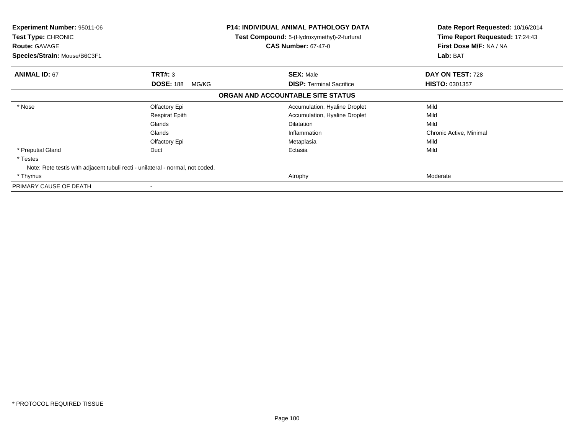|       | <b>CAS Number: 67-47-0</b>                                                                                                                                                                          | Date Report Requested: 10/16/2014<br>Time Report Requested: 17:24:43<br>First Dose M/F: NA / NA<br>Lab: BAT                      |  |
|-------|-----------------------------------------------------------------------------------------------------------------------------------------------------------------------------------------------------|----------------------------------------------------------------------------------------------------------------------------------|--|
|       | <b>SEX: Male</b>                                                                                                                                                                                    | DAY ON TEST: 728                                                                                                                 |  |
| MG/KG | <b>DISP:</b> Terminal Sacrifice                                                                                                                                                                     | HISTO: 0301357                                                                                                                   |  |
|       |                                                                                                                                                                                                     |                                                                                                                                  |  |
|       | Accumulation, Hyaline Droplet                                                                                                                                                                       | Mild                                                                                                                             |  |
|       | Accumulation, Hyaline Droplet                                                                                                                                                                       | Mild                                                                                                                             |  |
|       | <b>Dilatation</b>                                                                                                                                                                                   | Mild                                                                                                                             |  |
|       | Inflammation                                                                                                                                                                                        | Chronic Active, Minimal                                                                                                          |  |
|       | Metaplasia                                                                                                                                                                                          | Mild                                                                                                                             |  |
|       | Ectasia                                                                                                                                                                                             | Mild                                                                                                                             |  |
|       |                                                                                                                                                                                                     |                                                                                                                                  |  |
|       |                                                                                                                                                                                                     |                                                                                                                                  |  |
|       | Atrophy                                                                                                                                                                                             | Moderate                                                                                                                         |  |
|       |                                                                                                                                                                                                     |                                                                                                                                  |  |
| Duct  | <b>TRT#: 3</b><br><b>DOSE: 188</b><br>Olfactory Epi<br><b>Respirat Epith</b><br>Glands<br>Glands<br>Olfactory Epi<br>Note: Rete testis with adjacent tubuli recti - unilateral - normal, not coded. | <b>P14: INDIVIDUAL ANIMAL PATHOLOGY DATA</b><br>Test Compound: 5-(Hydroxymethyl)-2-furfural<br>ORGAN AND ACCOUNTABLE SITE STATUS |  |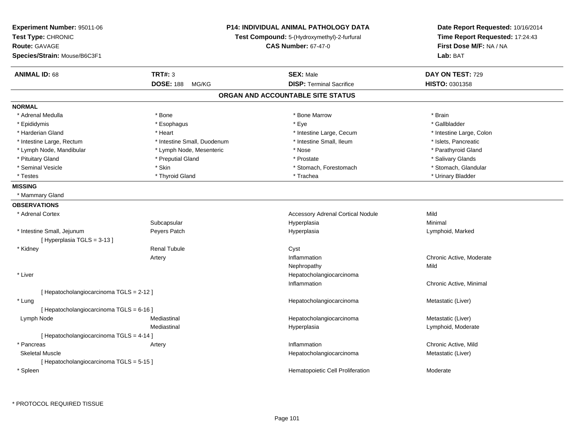| Experiment Number: 95011-06<br>Test Type: CHRONIC<br><b>Route: GAVAGE</b><br>Species/Strain: Mouse/B6C3F1 | <b>P14: INDIVIDUAL ANIMAL PATHOLOGY DATA</b><br>Test Compound: 5-(Hydroxymethyl)-2-furfural<br><b>CAS Number: 67-47-0</b> |                                          | Date Report Requested: 10/16/2014<br>Time Report Requested: 17:24:43<br>First Dose M/F: NA / NA<br>Lab: BAT |  |
|-----------------------------------------------------------------------------------------------------------|---------------------------------------------------------------------------------------------------------------------------|------------------------------------------|-------------------------------------------------------------------------------------------------------------|--|
| <b>ANIMAL ID: 68</b>                                                                                      | <b>TRT#: 3</b>                                                                                                            | <b>SEX: Male</b>                         | DAY ON TEST: 729                                                                                            |  |
|                                                                                                           | <b>DOSE: 188</b><br>MG/KG                                                                                                 | <b>DISP: Terminal Sacrifice</b>          | HISTO: 0301358                                                                                              |  |
|                                                                                                           |                                                                                                                           | ORGAN AND ACCOUNTABLE SITE STATUS        |                                                                                                             |  |
| NORMAL                                                                                                    |                                                                                                                           |                                          |                                                                                                             |  |
| * Adrenal Medulla                                                                                         | * Bone                                                                                                                    | * Bone Marrow                            | * Brain                                                                                                     |  |
| * Epididymis                                                                                              | * Esophagus                                                                                                               | * Eye                                    | * Gallbladder                                                                                               |  |
| * Harderian Gland                                                                                         | * Heart                                                                                                                   | * Intestine Large, Cecum                 | * Intestine Large, Colon                                                                                    |  |
| * Intestine Large, Rectum                                                                                 | * Intestine Small, Duodenum                                                                                               | * Intestine Small, Ileum                 | * Islets, Pancreatic                                                                                        |  |
| * Lymph Node, Mandibular                                                                                  | * Lymph Node, Mesenteric                                                                                                  | * Nose                                   | * Parathyroid Gland                                                                                         |  |
| * Pituitary Gland                                                                                         | * Preputial Gland                                                                                                         | * Prostate                               | * Salivary Glands                                                                                           |  |
| * Seminal Vesicle                                                                                         | * Skin                                                                                                                    | * Stomach, Forestomach                   | * Stomach, Glandular                                                                                        |  |
| * Testes                                                                                                  | * Thyroid Gland                                                                                                           | * Trachea                                | * Urinary Bladder                                                                                           |  |
| <b>MISSING</b>                                                                                            |                                                                                                                           |                                          |                                                                                                             |  |
| * Mammary Gland                                                                                           |                                                                                                                           |                                          |                                                                                                             |  |
| <b>OBSERVATIONS</b>                                                                                       |                                                                                                                           |                                          |                                                                                                             |  |
| * Adrenal Cortex                                                                                          |                                                                                                                           | <b>Accessory Adrenal Cortical Nodule</b> | Mild                                                                                                        |  |
|                                                                                                           | Subcapsular                                                                                                               | Hyperplasia                              | Minimal                                                                                                     |  |
| * Intestine Small, Jejunum                                                                                | Peyers Patch                                                                                                              | Hyperplasia                              | Lymphoid, Marked                                                                                            |  |
| [Hyperplasia TGLS = 3-13]                                                                                 |                                                                                                                           |                                          |                                                                                                             |  |
| * Kidney                                                                                                  | <b>Renal Tubule</b>                                                                                                       | Cyst                                     |                                                                                                             |  |
|                                                                                                           | Artery                                                                                                                    | Inflammation                             | Chronic Active, Moderate                                                                                    |  |
|                                                                                                           |                                                                                                                           | Nephropathy                              | Mild                                                                                                        |  |
| * Liver                                                                                                   |                                                                                                                           | Hepatocholangiocarcinoma                 |                                                                                                             |  |
|                                                                                                           |                                                                                                                           | Inflammation                             | Chronic Active, Minimal                                                                                     |  |
| [ Hepatocholangiocarcinoma TGLS = 2-12 ]                                                                  |                                                                                                                           |                                          |                                                                                                             |  |
| * Lung                                                                                                    |                                                                                                                           | Hepatocholangiocarcinoma                 | Metastatic (Liver)                                                                                          |  |
| [ Hepatocholangiocarcinoma TGLS = 6-16 ]                                                                  |                                                                                                                           |                                          |                                                                                                             |  |
| Lymph Node                                                                                                | Mediastinal                                                                                                               | Hepatocholangiocarcinoma                 | Metastatic (Liver)                                                                                          |  |
|                                                                                                           | Mediastinal                                                                                                               | Hyperplasia                              | Lymphoid, Moderate                                                                                          |  |
| [Hepatocholangiocarcinoma TGLS = 4-14]                                                                    |                                                                                                                           |                                          |                                                                                                             |  |
| * Pancreas                                                                                                | Artery                                                                                                                    | Inflammation                             | Chronic Active, Mild                                                                                        |  |
| <b>Skeletal Muscle</b>                                                                                    |                                                                                                                           | Hepatocholangiocarcinoma                 | Metastatic (Liver)                                                                                          |  |
| [ Hepatocholangiocarcinoma TGLS = 5-15 ]                                                                  |                                                                                                                           |                                          |                                                                                                             |  |
| * Spleen                                                                                                  |                                                                                                                           | Hematopoietic Cell Proliferation         | Moderate                                                                                                    |  |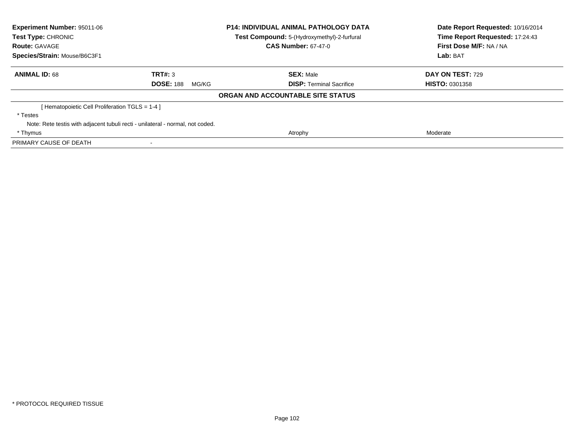| Experiment Number: 95011-06<br>Test Type: CHRONIC<br><b>Route: GAVAGE</b> | <b>P14: INDIVIDUAL ANIMAL PATHOLOGY DATA</b><br>Test Compound: 5-(Hydroxymethyl)-2-furfural<br><b>CAS Number: 67-47-0</b> |                                   | Date Report Requested: 10/16/2014<br>Time Report Requested: 17:24:43<br>First Dose M/F: NA / NA |  |
|---------------------------------------------------------------------------|---------------------------------------------------------------------------------------------------------------------------|-----------------------------------|-------------------------------------------------------------------------------------------------|--|
| Species/Strain: Mouse/B6C3F1                                              |                                                                                                                           |                                   | Lab: BAT                                                                                        |  |
| <b>ANIMAL ID: 68</b>                                                      | TRT#: 3                                                                                                                   | <b>SEX: Male</b>                  | <b>DAY ON TEST: 729</b>                                                                         |  |
|                                                                           | <b>DOSE: 188</b><br>MG/KG                                                                                                 | <b>DISP:</b> Terminal Sacrifice   | <b>HISTO: 0301358</b>                                                                           |  |
|                                                                           |                                                                                                                           | ORGAN AND ACCOUNTABLE SITE STATUS |                                                                                                 |  |
| Hematopoietic Cell Proliferation TGLS = 1-4 ]                             |                                                                                                                           |                                   |                                                                                                 |  |
| * Testes                                                                  |                                                                                                                           |                                   |                                                                                                 |  |
|                                                                           | Note: Rete testis with adjacent tubuli recti - unilateral - normal, not coded.                                            |                                   |                                                                                                 |  |
| * Thymus                                                                  |                                                                                                                           | Atrophy                           | Moderate                                                                                        |  |
| PRIMARY CAUSE OF DEATH                                                    |                                                                                                                           |                                   |                                                                                                 |  |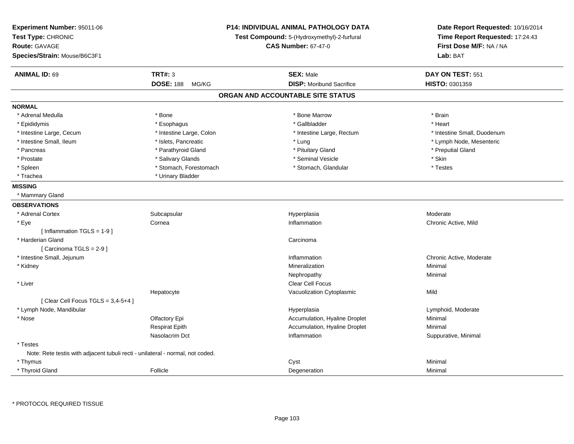| Experiment Number: 95011-06<br>Test Type: CHRONIC<br><b>Route: GAVAGE</b><br>Species/Strain: Mouse/B6C3F1 |                           | <b>P14: INDIVIDUAL ANIMAL PATHOLOGY DATA</b><br>Test Compound: 5-(Hydroxymethyl)-2-furfural<br><b>CAS Number: 67-47-0</b> | Date Report Requested: 10/16/2014<br>Time Report Requested: 17:24:43<br>First Dose M/F: NA / NA<br>Lab: BAT |
|-----------------------------------------------------------------------------------------------------------|---------------------------|---------------------------------------------------------------------------------------------------------------------------|-------------------------------------------------------------------------------------------------------------|
| <b>ANIMAL ID: 69</b>                                                                                      | <b>TRT#: 3</b>            | <b>SEX: Male</b>                                                                                                          | DAY ON TEST: 551                                                                                            |
|                                                                                                           | <b>DOSE: 188</b><br>MG/KG | <b>DISP:</b> Moribund Sacrifice                                                                                           | HISTO: 0301359                                                                                              |
|                                                                                                           |                           | ORGAN AND ACCOUNTABLE SITE STATUS                                                                                         |                                                                                                             |
| <b>NORMAL</b>                                                                                             |                           |                                                                                                                           |                                                                                                             |
| * Adrenal Medulla                                                                                         | * Bone                    | * Bone Marrow                                                                                                             | * Brain                                                                                                     |
| * Epididymis                                                                                              | * Esophagus               | * Gallbladder                                                                                                             | * Heart                                                                                                     |
| * Intestine Large, Cecum                                                                                  | * Intestine Large, Colon  | * Intestine Large, Rectum                                                                                                 | * Intestine Small, Duodenum                                                                                 |
| * Intestine Small, Ileum                                                                                  | * Islets, Pancreatic      | * Lung                                                                                                                    | * Lymph Node, Mesenteric                                                                                    |
| * Pancreas                                                                                                | * Parathyroid Gland       | * Pituitary Gland                                                                                                         | * Preputial Gland                                                                                           |
| * Prostate                                                                                                | * Salivary Glands         | * Seminal Vesicle                                                                                                         | * Skin                                                                                                      |
| * Spleen                                                                                                  | * Stomach, Forestomach    | * Stomach, Glandular                                                                                                      | * Testes                                                                                                    |
| * Trachea                                                                                                 | * Urinary Bladder         |                                                                                                                           |                                                                                                             |
| <b>MISSING</b>                                                                                            |                           |                                                                                                                           |                                                                                                             |
| * Mammary Gland                                                                                           |                           |                                                                                                                           |                                                                                                             |
| <b>OBSERVATIONS</b>                                                                                       |                           |                                                                                                                           |                                                                                                             |
| * Adrenal Cortex                                                                                          | Subcapsular               | Hyperplasia                                                                                                               | Moderate                                                                                                    |
| * Eye                                                                                                     | Cornea                    | Inflammation                                                                                                              | Chronic Active, Mild                                                                                        |
| [Inflammation TGLS = $1-9$ ]                                                                              |                           |                                                                                                                           |                                                                                                             |
| * Harderian Gland                                                                                         |                           | Carcinoma                                                                                                                 |                                                                                                             |
| [Carcinoma TGLS = 2-9]                                                                                    |                           |                                                                                                                           |                                                                                                             |
| * Intestine Small, Jejunum                                                                                |                           | Inflammation                                                                                                              | Chronic Active, Moderate                                                                                    |
| * Kidney                                                                                                  |                           | Mineralization                                                                                                            | Minimal                                                                                                     |
|                                                                                                           |                           | Nephropathy                                                                                                               | Minimal                                                                                                     |
| * Liver                                                                                                   |                           | Clear Cell Focus                                                                                                          |                                                                                                             |
|                                                                                                           | Hepatocyte                | Vacuolization Cytoplasmic                                                                                                 | Mild                                                                                                        |
| [Clear Cell Focus TGLS = $3,4-5+4$ ]                                                                      |                           |                                                                                                                           |                                                                                                             |
| * Lymph Node, Mandibular                                                                                  |                           | Hyperplasia                                                                                                               | Lymphoid, Moderate                                                                                          |
| * Nose                                                                                                    | Olfactory Epi             | Accumulation, Hyaline Droplet                                                                                             | Minimal                                                                                                     |
|                                                                                                           | <b>Respirat Epith</b>     | Accumulation, Hyaline Droplet                                                                                             | Minimal                                                                                                     |
|                                                                                                           | Nasolacrim Dct            | Inflammation                                                                                                              | Suppurative, Minimal                                                                                        |
| * Testes                                                                                                  |                           |                                                                                                                           |                                                                                                             |
| Note: Rete testis with adjacent tubuli recti - unilateral - normal, not coded.                            |                           |                                                                                                                           |                                                                                                             |
| * Thymus                                                                                                  |                           | Cyst                                                                                                                      | Minimal                                                                                                     |
| * Thyroid Gland                                                                                           | Follicle                  | Degeneration                                                                                                              | Minimal                                                                                                     |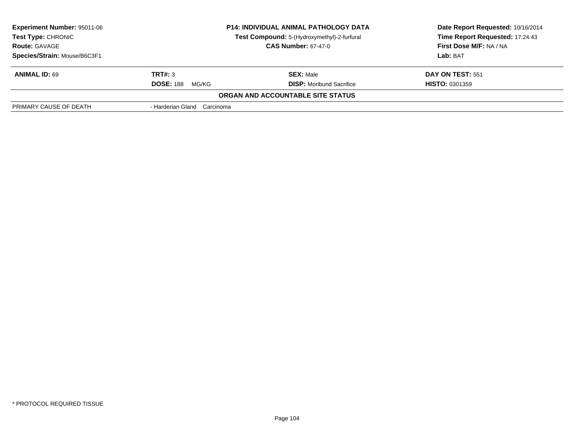| <b>Experiment Number: 95011-06</b><br><b>Test Type: CHRONIC</b><br><b>Route: GAVAGE</b> | <b>P14: INDIVIDUAL ANIMAL PATHOLOGY DATA</b><br>Test Compound: 5-(Hydroxymethyl)-2-furfural<br><b>CAS Number: 67-47-0</b> |                                          | Date Report Requested: 10/16/2014<br>Time Report Requested: 17:24:43<br>First Dose M/F: NA / NA |  |
|-----------------------------------------------------------------------------------------|---------------------------------------------------------------------------------------------------------------------------|------------------------------------------|-------------------------------------------------------------------------------------------------|--|
|                                                                                         |                                                                                                                           |                                          |                                                                                                 |  |
| Species/Strain: Mouse/B6C3F1                                                            |                                                                                                                           |                                          | Lab: BAT                                                                                        |  |
| <b>ANIMAL ID: 69</b>                                                                    | TRT#: 3                                                                                                                   | <b>SEX: Male</b>                         | DAY ON TEST: 551                                                                                |  |
|                                                                                         | <b>DOSE: 188</b><br>MG/KG                                                                                                 | <b>DISP:</b> Moribund Sacrifice          | <b>HISTO: 0301359</b>                                                                           |  |
|                                                                                         |                                                                                                                           | <b>ORGAN AND ACCOUNTABLE SITE STATUS</b> |                                                                                                 |  |
| PRIMARY CAUSE OF DEATH                                                                  | - Harderian Gland Carcinoma                                                                                               |                                          |                                                                                                 |  |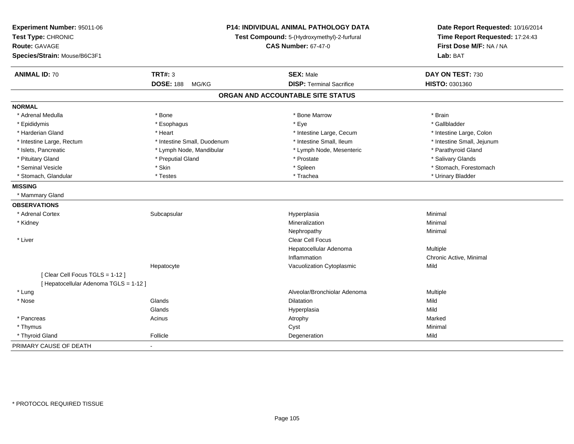| Experiment Number: 95011-06<br>Test Type: CHRONIC<br><b>Route: GAVAGE</b><br>Species/Strain: Mouse/B6C3F1 | P14: INDIVIDUAL ANIMAL PATHOLOGY DATA<br>Test Compound: 5-(Hydroxymethyl)-2-furfural<br><b>CAS Number: 67-47-0</b> |                                   | Date Report Requested: 10/16/2014<br>Time Report Requested: 17:24:43<br>First Dose M/F: NA / NA<br>Lab: BAT |
|-----------------------------------------------------------------------------------------------------------|--------------------------------------------------------------------------------------------------------------------|-----------------------------------|-------------------------------------------------------------------------------------------------------------|
| <b>ANIMAL ID: 70</b>                                                                                      | <b>TRT#: 3</b>                                                                                                     | <b>SEX: Male</b>                  | DAY ON TEST: 730                                                                                            |
|                                                                                                           | <b>DOSE: 188</b><br>MG/KG                                                                                          | <b>DISP: Terminal Sacrifice</b>   | HISTO: 0301360                                                                                              |
|                                                                                                           |                                                                                                                    | ORGAN AND ACCOUNTABLE SITE STATUS |                                                                                                             |
| <b>NORMAL</b>                                                                                             |                                                                                                                    |                                   |                                                                                                             |
| * Adrenal Medulla                                                                                         | * Bone                                                                                                             | * Bone Marrow                     | * Brain                                                                                                     |
| * Epididymis                                                                                              | * Esophagus                                                                                                        | * Eye                             | * Gallbladder                                                                                               |
| * Harderian Gland                                                                                         | * Heart                                                                                                            | * Intestine Large, Cecum          | * Intestine Large, Colon                                                                                    |
| * Intestine Large, Rectum                                                                                 | * Intestine Small, Duodenum                                                                                        | * Intestine Small, Ileum          | * Intestine Small, Jejunum                                                                                  |
| * Islets, Pancreatic                                                                                      | * Lymph Node, Mandibular                                                                                           | * Lymph Node, Mesenteric          | * Parathyroid Gland                                                                                         |
| * Pituitary Gland                                                                                         | * Preputial Gland                                                                                                  | * Prostate                        | * Salivary Glands                                                                                           |
| * Seminal Vesicle                                                                                         | * Skin                                                                                                             | * Spleen                          | * Stomach, Forestomach                                                                                      |
| * Stomach, Glandular                                                                                      | * Testes                                                                                                           | * Trachea                         | * Urinary Bladder                                                                                           |
| <b>MISSING</b>                                                                                            |                                                                                                                    |                                   |                                                                                                             |
| * Mammary Gland                                                                                           |                                                                                                                    |                                   |                                                                                                             |
| <b>OBSERVATIONS</b>                                                                                       |                                                                                                                    |                                   |                                                                                                             |
| * Adrenal Cortex                                                                                          | Subcapsular                                                                                                        | Hyperplasia                       | Minimal                                                                                                     |
| * Kidney                                                                                                  |                                                                                                                    | Mineralization                    | Minimal                                                                                                     |
|                                                                                                           |                                                                                                                    | Nephropathy                       | Minimal                                                                                                     |
| * Liver                                                                                                   |                                                                                                                    | <b>Clear Cell Focus</b>           |                                                                                                             |
|                                                                                                           |                                                                                                                    | Hepatocellular Adenoma            | Multiple                                                                                                    |
|                                                                                                           |                                                                                                                    | Inflammation                      | Chronic Active, Minimal                                                                                     |
|                                                                                                           | Hepatocyte                                                                                                         | Vacuolization Cytoplasmic         | Mild                                                                                                        |
| [Clear Cell Focus TGLS = 1-12]                                                                            |                                                                                                                    |                                   |                                                                                                             |
| [ Hepatocellular Adenoma TGLS = 1-12 ]                                                                    |                                                                                                                    |                                   |                                                                                                             |
| * Lung                                                                                                    |                                                                                                                    | Alveolar/Bronchiolar Adenoma      | Multiple                                                                                                    |
| * Nose                                                                                                    | Glands                                                                                                             | <b>Dilatation</b>                 | Mild                                                                                                        |
|                                                                                                           | Glands                                                                                                             | Hyperplasia                       | Mild                                                                                                        |
| * Pancreas                                                                                                | Acinus                                                                                                             | Atrophy                           | Marked                                                                                                      |
| * Thymus                                                                                                  |                                                                                                                    | Cyst                              | Minimal                                                                                                     |
| * Thyroid Gland                                                                                           | Follicle                                                                                                           | Degeneration                      | Mild                                                                                                        |
| PRIMARY CAUSE OF DEATH                                                                                    | $\blacksquare$                                                                                                     |                                   |                                                                                                             |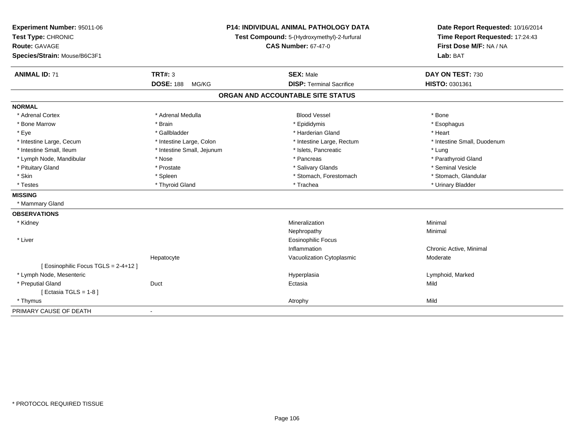| Experiment Number: 95011-06<br>Test Type: CHRONIC<br>Route: GAVAGE<br>Species/Strain: Mouse/B6C3F1 |                            | P14: INDIVIDUAL ANIMAL PATHOLOGY DATA<br>Test Compound: 5-(Hydroxymethyl)-2-furfural<br><b>CAS Number: 67-47-0</b> | Date Report Requested: 10/16/2014<br>Time Report Requested: 17:24:43<br>First Dose M/F: NA / NA<br>Lab: BAT |
|----------------------------------------------------------------------------------------------------|----------------------------|--------------------------------------------------------------------------------------------------------------------|-------------------------------------------------------------------------------------------------------------|
| <b>ANIMAL ID: 71</b>                                                                               | <b>TRT#: 3</b>             | <b>SEX: Male</b>                                                                                                   | DAY ON TEST: 730                                                                                            |
|                                                                                                    | <b>DOSE: 188</b><br>MG/KG  | <b>DISP: Terminal Sacrifice</b>                                                                                    | HISTO: 0301361                                                                                              |
|                                                                                                    |                            | ORGAN AND ACCOUNTABLE SITE STATUS                                                                                  |                                                                                                             |
| <b>NORMAL</b>                                                                                      |                            |                                                                                                                    |                                                                                                             |
| * Adrenal Cortex                                                                                   | * Adrenal Medulla          | <b>Blood Vessel</b>                                                                                                | * Bone                                                                                                      |
| * Bone Marrow                                                                                      | * Brain                    | * Epididymis                                                                                                       | * Esophagus                                                                                                 |
| * Eye                                                                                              | * Gallbladder              | * Harderian Gland                                                                                                  | * Heart                                                                                                     |
| * Intestine Large, Cecum                                                                           | * Intestine Large, Colon   | * Intestine Large, Rectum                                                                                          | * Intestine Small, Duodenum                                                                                 |
| * Intestine Small, Ileum                                                                           | * Intestine Small, Jejunum | * Islets, Pancreatic                                                                                               | * Lung                                                                                                      |
| * Lymph Node, Mandibular                                                                           | * Nose                     | * Pancreas                                                                                                         | * Parathyroid Gland                                                                                         |
| * Pituitary Gland                                                                                  | * Prostate                 | * Salivary Glands                                                                                                  | * Seminal Vesicle                                                                                           |
| * Skin                                                                                             | * Spleen                   | * Stomach, Forestomach                                                                                             | * Stomach, Glandular                                                                                        |
| * Testes                                                                                           | * Thyroid Gland            | * Trachea                                                                                                          | * Urinary Bladder                                                                                           |
| <b>MISSING</b>                                                                                     |                            |                                                                                                                    |                                                                                                             |
| * Mammary Gland                                                                                    |                            |                                                                                                                    |                                                                                                             |
| <b>OBSERVATIONS</b>                                                                                |                            |                                                                                                                    |                                                                                                             |
| * Kidney                                                                                           |                            | Mineralization                                                                                                     | Minimal                                                                                                     |
|                                                                                                    |                            | Nephropathy                                                                                                        | Minimal                                                                                                     |
| * Liver                                                                                            |                            | <b>Eosinophilic Focus</b>                                                                                          |                                                                                                             |
|                                                                                                    |                            | Inflammation                                                                                                       | Chronic Active, Minimal                                                                                     |
|                                                                                                    | Hepatocyte                 | Vacuolization Cytoplasmic                                                                                          | Moderate                                                                                                    |
| [Eosinophilic Focus TGLS = 2-4+12 ]                                                                |                            |                                                                                                                    |                                                                                                             |
| * Lymph Node, Mesenteric                                                                           |                            | Hyperplasia                                                                                                        | Lymphoid, Marked                                                                                            |
| * Preputial Gland                                                                                  | Duct                       | Ectasia                                                                                                            | Mild                                                                                                        |
| [Ectasia TGLS = $1-8$ ]                                                                            |                            |                                                                                                                    |                                                                                                             |
| * Thymus                                                                                           |                            | Atrophy                                                                                                            | Mild                                                                                                        |
| PRIMARY CAUSE OF DEATH                                                                             | $\blacksquare$             |                                                                                                                    |                                                                                                             |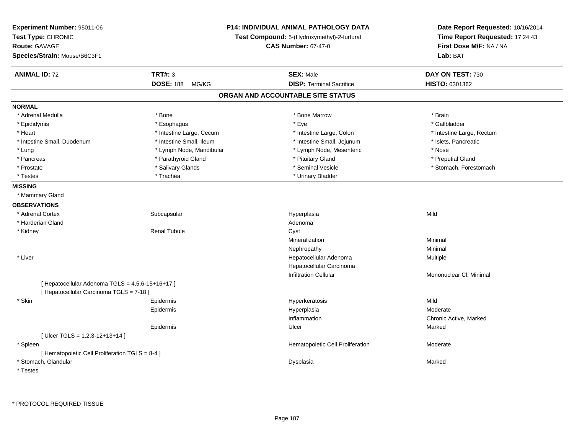| Experiment Number: 95011-06<br>Test Type: CHRONIC<br>Route: GAVAGE<br>Species/Strain: Mouse/B6C3F1 |                           | P14: INDIVIDUAL ANIMAL PATHOLOGY DATA<br>Test Compound: 5-(Hydroxymethyl)-2-furfural<br><b>CAS Number: 67-47-0</b> | Date Report Requested: 10/16/2014<br>Time Report Requested: 17:24:43<br>First Dose M/F: NA / NA<br>Lab: BAT |
|----------------------------------------------------------------------------------------------------|---------------------------|--------------------------------------------------------------------------------------------------------------------|-------------------------------------------------------------------------------------------------------------|
| <b>ANIMAL ID: 72</b>                                                                               | <b>TRT#: 3</b>            | <b>SEX: Male</b>                                                                                                   | DAY ON TEST: 730                                                                                            |
|                                                                                                    | <b>DOSE: 188</b><br>MG/KG | <b>DISP: Terminal Sacrifice</b>                                                                                    | HISTO: 0301362                                                                                              |
|                                                                                                    |                           | ORGAN AND ACCOUNTABLE SITE STATUS                                                                                  |                                                                                                             |
| <b>NORMAL</b>                                                                                      |                           |                                                                                                                    |                                                                                                             |
| * Adrenal Medulla                                                                                  | * Bone                    | * Bone Marrow                                                                                                      | * Brain                                                                                                     |
| * Epididymis                                                                                       | * Esophagus               | * Eye                                                                                                              | * Gallbladder                                                                                               |
| * Heart                                                                                            | * Intestine Large, Cecum  | * Intestine Large, Colon                                                                                           | * Intestine Large, Rectum                                                                                   |
| * Intestine Small, Duodenum                                                                        | * Intestine Small, Ileum  | * Intestine Small, Jejunum                                                                                         | * Islets, Pancreatic                                                                                        |
| * Lung                                                                                             | * Lymph Node, Mandibular  | * Lymph Node, Mesenteric                                                                                           | * Nose                                                                                                      |
| * Pancreas                                                                                         | * Parathyroid Gland       | * Pituitary Gland                                                                                                  | * Preputial Gland                                                                                           |
| * Prostate                                                                                         | * Salivary Glands         | * Seminal Vesicle                                                                                                  | * Stomach, Forestomach                                                                                      |
| * Testes                                                                                           | * Trachea                 | * Urinary Bladder                                                                                                  |                                                                                                             |
| <b>MISSING</b>                                                                                     |                           |                                                                                                                    |                                                                                                             |
| * Mammary Gland                                                                                    |                           |                                                                                                                    |                                                                                                             |
| <b>OBSERVATIONS</b>                                                                                |                           |                                                                                                                    |                                                                                                             |
| * Adrenal Cortex                                                                                   | Subcapsular               | Hyperplasia                                                                                                        | Mild                                                                                                        |
| * Harderian Gland                                                                                  |                           | Adenoma                                                                                                            |                                                                                                             |
| * Kidney                                                                                           | <b>Renal Tubule</b>       | Cyst                                                                                                               |                                                                                                             |
|                                                                                                    |                           | Mineralization                                                                                                     | Minimal                                                                                                     |
|                                                                                                    |                           | Nephropathy                                                                                                        | Minimal                                                                                                     |
| * Liver                                                                                            |                           | Hepatocellular Adenoma                                                                                             | Multiple                                                                                                    |
|                                                                                                    |                           | Hepatocellular Carcinoma                                                                                           |                                                                                                             |
|                                                                                                    |                           | <b>Infiltration Cellular</b>                                                                                       | Mononuclear CI, Minimal                                                                                     |
| [ Hepatocellular Adenoma TGLS = 4,5,6-15+16+17 ]<br>[ Hepatocellular Carcinoma TGLS = 7-18 ]       |                           |                                                                                                                    |                                                                                                             |
| * Skin                                                                                             | Epidermis                 | Hyperkeratosis                                                                                                     | Mild                                                                                                        |
|                                                                                                    | Epidermis                 | Hyperplasia                                                                                                        | Moderate                                                                                                    |
|                                                                                                    |                           | Inflammation                                                                                                       | Chronic Active, Marked                                                                                      |
|                                                                                                    | Epidermis                 | Ulcer                                                                                                              | Marked                                                                                                      |
| [ Ulcer TGLS = $1,2,3-12+13+14$ ]                                                                  |                           |                                                                                                                    |                                                                                                             |
| * Spleen                                                                                           |                           | Hematopoietic Cell Proliferation                                                                                   | Moderate                                                                                                    |
| [ Hematopoietic Cell Proliferation TGLS = 8-4 ]                                                    |                           |                                                                                                                    |                                                                                                             |
| * Stomach, Glandular                                                                               |                           | Dysplasia                                                                                                          | Marked                                                                                                      |
| * Testes                                                                                           |                           |                                                                                                                    |                                                                                                             |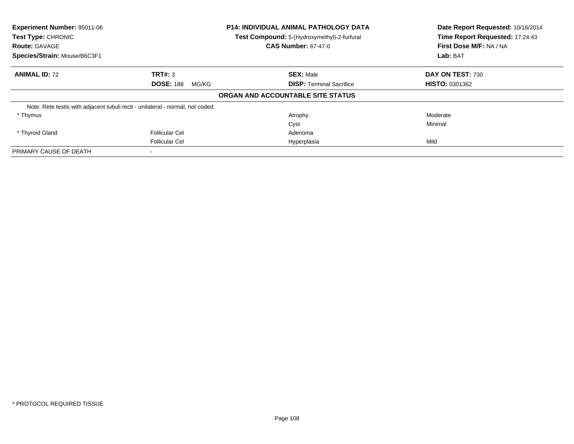| <b>Experiment Number: 95011-06</b><br>Test Type: CHRONIC<br><b>Route: GAVAGE</b> |                           | <b>P14: INDIVIDUAL ANIMAL PATHOLOGY DATA</b><br>Test Compound: 5-(Hydroxymethyl)-2-furfural<br><b>CAS Number: 67-47-0</b> | Date Report Requested: 10/16/2014<br>Time Report Requested: 17:24:43<br>First Dose M/F: NA / NA |
|----------------------------------------------------------------------------------|---------------------------|---------------------------------------------------------------------------------------------------------------------------|-------------------------------------------------------------------------------------------------|
| Species/Strain: Mouse/B6C3F1                                                     |                           |                                                                                                                           | Lab: BAT                                                                                        |
| <b>ANIMAL ID: 72</b>                                                             | TRT#: 3                   | <b>SEX: Male</b>                                                                                                          | DAY ON TEST: 730                                                                                |
|                                                                                  | <b>DOSE: 188</b><br>MG/KG | <b>DISP: Terminal Sacrifice</b>                                                                                           | <b>HISTO: 0301362</b>                                                                           |
|                                                                                  |                           | ORGAN AND ACCOUNTABLE SITE STATUS                                                                                         |                                                                                                 |
| Note: Rete testis with adjacent tubuli recti - unilateral - normal, not coded.   |                           |                                                                                                                           |                                                                                                 |
| * Thymus                                                                         |                           | Atrophy                                                                                                                   | Moderate                                                                                        |
|                                                                                  |                           | Cyst                                                                                                                      | Minimal                                                                                         |
| * Thyroid Gland                                                                  | <b>Follicular Cel</b>     | Adenoma                                                                                                                   |                                                                                                 |
|                                                                                  | <b>Follicular Cel</b>     | Hyperplasia                                                                                                               | Mild                                                                                            |
| PRIMARY CAUSE OF DEATH                                                           |                           |                                                                                                                           |                                                                                                 |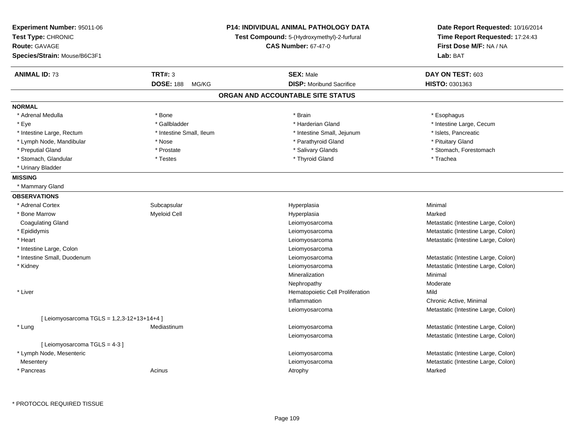| Experiment Number: 95011-06<br>Test Type: CHRONIC<br><b>Route: GAVAGE</b> |                           | <b>P14: INDIVIDUAL ANIMAL PATHOLOGY DATA</b><br>Test Compound: 5-(Hydroxymethyl)-2-furfural | Date Report Requested: 10/16/2014<br>Time Report Requested: 17:24:43 |
|---------------------------------------------------------------------------|---------------------------|---------------------------------------------------------------------------------------------|----------------------------------------------------------------------|
|                                                                           |                           | <b>CAS Number: 67-47-0</b>                                                                  | First Dose M/F: NA / NA                                              |
| Species/Strain: Mouse/B6C3F1                                              |                           |                                                                                             | Lab: BAT                                                             |
|                                                                           |                           |                                                                                             |                                                                      |
| <b>ANIMAL ID: 73</b>                                                      | <b>TRT#: 3</b>            | <b>SEX: Male</b>                                                                            | DAY ON TEST: 603                                                     |
|                                                                           | <b>DOSE: 188</b><br>MG/KG | <b>DISP:</b> Moribund Sacrifice                                                             | HISTO: 0301363                                                       |
|                                                                           |                           | ORGAN AND ACCOUNTABLE SITE STATUS                                                           |                                                                      |
| <b>NORMAL</b>                                                             |                           |                                                                                             |                                                                      |
| * Adrenal Medulla                                                         | * Bone                    | * Brain                                                                                     | * Esophagus                                                          |
| * Eye                                                                     | * Gallbladder             | * Harderian Gland                                                                           | * Intestine Large, Cecum                                             |
| * Intestine Large, Rectum                                                 | * Intestine Small, Ileum  | * Intestine Small, Jejunum                                                                  | * Islets, Pancreatic                                                 |
| * Lymph Node, Mandibular                                                  | * Nose                    | * Parathyroid Gland                                                                         | * Pituitary Gland                                                    |
| * Preputial Gland                                                         | * Prostate                | * Salivary Glands                                                                           | * Stomach, Forestomach                                               |
| * Stomach, Glandular                                                      | * Testes                  | * Thyroid Gland                                                                             | * Trachea                                                            |
| * Urinary Bladder                                                         |                           |                                                                                             |                                                                      |
| <b>MISSING</b>                                                            |                           |                                                                                             |                                                                      |
| * Mammary Gland                                                           |                           |                                                                                             |                                                                      |
| <b>OBSERVATIONS</b>                                                       |                           |                                                                                             |                                                                      |
| * Adrenal Cortex                                                          | Subcapsular               | Hyperplasia                                                                                 | Minimal                                                              |
| * Bone Marrow                                                             | <b>Myeloid Cell</b>       | Hyperplasia                                                                                 | Marked                                                               |
| <b>Coagulating Gland</b>                                                  |                           | Leiomyosarcoma                                                                              | Metastatic (Intestine Large, Colon)                                  |
| * Epididymis                                                              |                           | Leiomyosarcoma                                                                              | Metastatic (Intestine Large, Colon)                                  |
| * Heart                                                                   |                           | Leiomyosarcoma                                                                              | Metastatic (Intestine Large, Colon)                                  |
| * Intestine Large, Colon                                                  |                           | Leiomyosarcoma                                                                              |                                                                      |
| * Intestine Small, Duodenum                                               |                           | Leiomyosarcoma                                                                              | Metastatic (Intestine Large, Colon)                                  |
| * Kidney                                                                  |                           | Leiomyosarcoma                                                                              | Metastatic (Intestine Large, Colon)                                  |
|                                                                           |                           | Mineralization                                                                              | Minimal                                                              |
|                                                                           |                           | Nephropathy                                                                                 | Moderate                                                             |
| * Liver                                                                   |                           | Hematopoietic Cell Proliferation                                                            | Mild                                                                 |
|                                                                           |                           | Inflammation                                                                                | Chronic Active, Minimal                                              |
|                                                                           |                           | Leiomyosarcoma                                                                              | Metastatic (Intestine Large, Colon)                                  |
| [ Leiomyosarcoma TGLS = 1,2,3-12+13+14+4 ]                                |                           |                                                                                             |                                                                      |
| * Lung                                                                    | Mediastinum               | Leiomyosarcoma                                                                              | Metastatic (Intestine Large, Colon)                                  |
|                                                                           |                           | Leiomyosarcoma                                                                              | Metastatic (Intestine Large, Colon)                                  |
| [ Leiomyosarcoma TGLS = 4-3 ]                                             |                           |                                                                                             |                                                                      |
| * Lymph Node, Mesenteric                                                  |                           | Leiomyosarcoma                                                                              | Metastatic (Intestine Large, Colon)                                  |
| Mesentery                                                                 |                           | Leiomyosarcoma                                                                              | Metastatic (Intestine Large, Colon)                                  |
| * Pancreas                                                                | Acinus                    | Atrophy                                                                                     | Marked                                                               |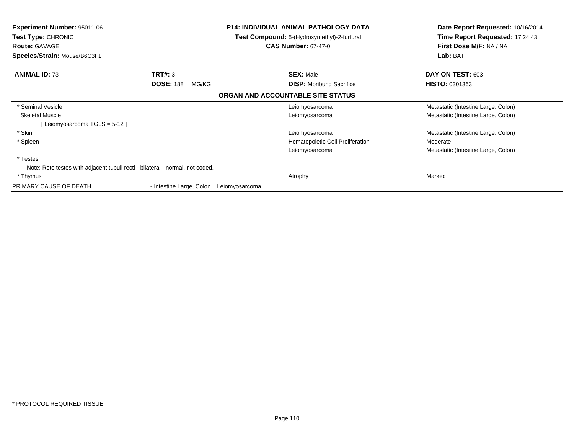| <b>Experiment Number: 95011-06</b><br><b>Test Type: CHRONIC</b><br><b>Route: GAVAGE</b><br>Species/Strain: Mouse/B6C3F1 |                           | <b>P14: INDIVIDUAL ANIMAL PATHOLOGY DATA</b><br>Test Compound: 5-(Hydroxymethyl)-2-furfural<br><b>CAS Number: 67-47-0</b> |                                   | Date Report Requested: 10/16/2014<br>Time Report Requested: 17:24:43<br>First Dose M/F: NA / NA<br>Lab: BAT |  |
|-------------------------------------------------------------------------------------------------------------------------|---------------------------|---------------------------------------------------------------------------------------------------------------------------|-----------------------------------|-------------------------------------------------------------------------------------------------------------|--|
| <b>ANIMAL ID: 73</b>                                                                                                    | TRT#: 3                   |                                                                                                                           | <b>SEX: Male</b>                  | DAY ON TEST: 603                                                                                            |  |
|                                                                                                                         | <b>DOSE: 188</b><br>MG/KG |                                                                                                                           | <b>DISP:</b> Moribund Sacrifice   | <b>HISTO: 0301363</b>                                                                                       |  |
|                                                                                                                         |                           |                                                                                                                           | ORGAN AND ACCOUNTABLE SITE STATUS |                                                                                                             |  |
| * Seminal Vesicle                                                                                                       |                           |                                                                                                                           | Leiomyosarcoma                    | Metastatic (Intestine Large, Colon)                                                                         |  |
| <b>Skeletal Muscle</b>                                                                                                  |                           |                                                                                                                           | Leiomyosarcoma                    | Metastatic (Intestine Large, Colon)                                                                         |  |
| [Leiomyosarcoma TGLS = 5-12 ]                                                                                           |                           |                                                                                                                           |                                   |                                                                                                             |  |
| * Skin                                                                                                                  |                           |                                                                                                                           | Leiomyosarcoma                    | Metastatic (Intestine Large, Colon)                                                                         |  |
| * Spleen                                                                                                                |                           |                                                                                                                           | Hematopoietic Cell Proliferation  | Moderate                                                                                                    |  |
|                                                                                                                         |                           |                                                                                                                           | Leiomyosarcoma                    | Metastatic (Intestine Large, Colon)                                                                         |  |
| * Testes                                                                                                                |                           |                                                                                                                           |                                   |                                                                                                             |  |
| Note: Rete testes with adjacent tubuli recti - bilateral - normal, not coded.                                           |                           |                                                                                                                           |                                   |                                                                                                             |  |
| * Thymus                                                                                                                |                           |                                                                                                                           | Atrophy                           | Marked                                                                                                      |  |
| PRIMARY CAUSE OF DEATH                                                                                                  | - Intestine Large, Colon  | Leiomyosarcoma                                                                                                            |                                   |                                                                                                             |  |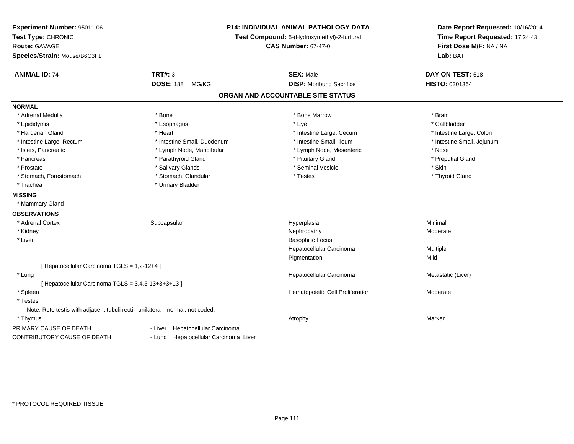| Experiment Number: 95011-06<br>Test Type: CHRONIC<br><b>Route: GAVAGE</b><br>Species/Strain: Mouse/B6C3F1 | P14: INDIVIDUAL ANIMAL PATHOLOGY DATA<br>Test Compound: 5-(Hydroxymethyl)-2-furfural<br><b>CAS Number: 67-47-0</b> |                                   | Date Report Requested: 10/16/2014<br>Time Report Requested: 17:24:43<br>First Dose M/F: NA / NA<br>Lab: BAT |  |
|-----------------------------------------------------------------------------------------------------------|--------------------------------------------------------------------------------------------------------------------|-----------------------------------|-------------------------------------------------------------------------------------------------------------|--|
| <b>ANIMAL ID: 74</b>                                                                                      | <b>TRT#: 3</b>                                                                                                     | <b>SEX: Male</b>                  | DAY ON TEST: 518                                                                                            |  |
|                                                                                                           | <b>DOSE: 188</b><br>MG/KG                                                                                          | <b>DISP:</b> Moribund Sacrifice   | HISTO: 0301364                                                                                              |  |
|                                                                                                           |                                                                                                                    | ORGAN AND ACCOUNTABLE SITE STATUS |                                                                                                             |  |
| <b>NORMAL</b>                                                                                             |                                                                                                                    |                                   |                                                                                                             |  |
| * Adrenal Medulla                                                                                         | * Bone                                                                                                             | * Bone Marrow                     | * Brain                                                                                                     |  |
| * Epididymis                                                                                              | * Esophagus                                                                                                        | * Eye                             | * Gallbladder                                                                                               |  |
| * Harderian Gland                                                                                         | * Heart                                                                                                            | * Intestine Large, Cecum          | * Intestine Large, Colon                                                                                    |  |
| * Intestine Large, Rectum                                                                                 | * Intestine Small, Duodenum                                                                                        | * Intestine Small, Ileum          | * Intestine Small, Jejunum                                                                                  |  |
| * Islets, Pancreatic                                                                                      | * Lymph Node, Mandibular                                                                                           | * Lymph Node, Mesenteric          | * Nose                                                                                                      |  |
| * Pancreas                                                                                                | * Parathyroid Gland                                                                                                | * Pituitary Gland                 | * Preputial Gland                                                                                           |  |
| * Prostate                                                                                                | * Salivary Glands                                                                                                  | * Seminal Vesicle                 | * Skin                                                                                                      |  |
| * Stomach, Forestomach                                                                                    | * Stomach, Glandular                                                                                               | * Testes                          | * Thyroid Gland                                                                                             |  |
| * Trachea                                                                                                 | * Urinary Bladder                                                                                                  |                                   |                                                                                                             |  |
| <b>MISSING</b>                                                                                            |                                                                                                                    |                                   |                                                                                                             |  |
| * Mammary Gland                                                                                           |                                                                                                                    |                                   |                                                                                                             |  |
| <b>OBSERVATIONS</b>                                                                                       |                                                                                                                    |                                   |                                                                                                             |  |
| * Adrenal Cortex                                                                                          | Subcapsular                                                                                                        | Hyperplasia                       | Minimal                                                                                                     |  |
| * Kidney                                                                                                  |                                                                                                                    | Nephropathy                       | Moderate                                                                                                    |  |
| * Liver                                                                                                   |                                                                                                                    | <b>Basophilic Focus</b>           |                                                                                                             |  |
|                                                                                                           |                                                                                                                    | Hepatocellular Carcinoma          | Multiple                                                                                                    |  |
|                                                                                                           |                                                                                                                    | Pigmentation                      | Mild                                                                                                        |  |
| [ Hepatocellular Carcinoma TGLS = 1,2-12+4 ]                                                              |                                                                                                                    |                                   |                                                                                                             |  |
| * Lung                                                                                                    |                                                                                                                    | Hepatocellular Carcinoma          | Metastatic (Liver)                                                                                          |  |
| [ Hepatocellular Carcinoma TGLS = 3,4,5-13+3+3+13 ]                                                       |                                                                                                                    |                                   |                                                                                                             |  |
| * Spleen                                                                                                  |                                                                                                                    | Hematopoietic Cell Proliferation  | Moderate                                                                                                    |  |
| * Testes                                                                                                  |                                                                                                                    |                                   |                                                                                                             |  |
| Note: Rete testis with adjacent tubuli recti - unilateral - normal, not coded.                            |                                                                                                                    |                                   |                                                                                                             |  |
| * Thymus                                                                                                  |                                                                                                                    | Atrophy                           | Marked                                                                                                      |  |
| PRIMARY CAUSE OF DEATH                                                                                    | Hepatocellular Carcinoma<br>- Liver                                                                                |                                   |                                                                                                             |  |
| CONTRIBUTORY CAUSE OF DEATH                                                                               | - Lung Hepatocellular Carcinoma Liver                                                                              |                                   |                                                                                                             |  |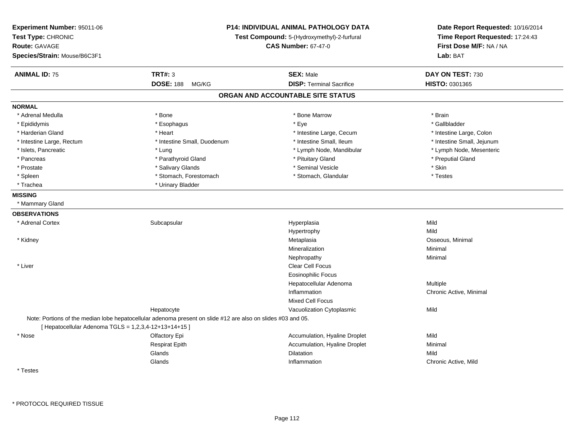| Experiment Number: 95011-06<br>Test Type: CHRONIC<br><b>Route: GAVAGE</b><br>Species/Strain: Mouse/B6C3F1 | P14: INDIVIDUAL ANIMAL PATHOLOGY DATA<br>Test Compound: 5-(Hydroxymethyl)-2-furfural                         | Date Report Requested: 10/16/2014<br>Time Report Requested: 17:24:43<br>First Dose M/F: NA / NA<br>Lab: BAT |                            |
|-----------------------------------------------------------------------------------------------------------|--------------------------------------------------------------------------------------------------------------|-------------------------------------------------------------------------------------------------------------|----------------------------|
| <b>ANIMAL ID: 75</b>                                                                                      | <b>TRT#: 3</b>                                                                                               | <b>SEX: Male</b>                                                                                            | DAY ON TEST: 730           |
|                                                                                                           | <b>DOSE: 188</b><br>MG/KG                                                                                    | <b>DISP: Terminal Sacrifice</b>                                                                             | HISTO: 0301365             |
|                                                                                                           |                                                                                                              | ORGAN AND ACCOUNTABLE SITE STATUS                                                                           |                            |
| <b>NORMAL</b>                                                                                             |                                                                                                              |                                                                                                             |                            |
| * Adrenal Medulla                                                                                         | * Bone                                                                                                       | * Bone Marrow                                                                                               | * Brain                    |
| * Epididymis                                                                                              | * Esophagus                                                                                                  | * Eye                                                                                                       | * Gallbladder              |
| * Harderian Gland                                                                                         | * Heart                                                                                                      | * Intestine Large, Cecum                                                                                    | * Intestine Large, Colon   |
| * Intestine Large, Rectum                                                                                 | * Intestine Small, Duodenum                                                                                  | * Intestine Small, Ileum                                                                                    | * Intestine Small, Jejunum |
| * Islets, Pancreatic                                                                                      | * Lung                                                                                                       | * Lymph Node, Mandibular                                                                                    | * Lymph Node, Mesenteric   |
| * Pancreas                                                                                                | * Parathyroid Gland                                                                                          | * Pituitary Gland                                                                                           | * Preputial Gland          |
| * Prostate                                                                                                | * Salivary Glands                                                                                            | * Seminal Vesicle                                                                                           | * Skin                     |
| * Spleen                                                                                                  | * Stomach, Forestomach                                                                                       | * Stomach, Glandular                                                                                        | * Testes                   |
| * Trachea                                                                                                 | * Urinary Bladder                                                                                            |                                                                                                             |                            |
| <b>MISSING</b>                                                                                            |                                                                                                              |                                                                                                             |                            |
| * Mammary Gland                                                                                           |                                                                                                              |                                                                                                             |                            |
| <b>OBSERVATIONS</b>                                                                                       |                                                                                                              |                                                                                                             |                            |
| * Adrenal Cortex                                                                                          | Subcapsular                                                                                                  | Hyperplasia                                                                                                 | Mild                       |
|                                                                                                           |                                                                                                              | Hypertrophy                                                                                                 | Mild                       |
| * Kidney                                                                                                  |                                                                                                              | Metaplasia                                                                                                  | Osseous, Minimal           |
|                                                                                                           |                                                                                                              | Mineralization                                                                                              | Minimal                    |
|                                                                                                           |                                                                                                              | Nephropathy                                                                                                 | Minimal                    |
| * Liver                                                                                                   |                                                                                                              | <b>Clear Cell Focus</b>                                                                                     |                            |
|                                                                                                           |                                                                                                              | <b>Eosinophilic Focus</b>                                                                                   |                            |
|                                                                                                           |                                                                                                              | Hepatocellular Adenoma                                                                                      | Multiple                   |
|                                                                                                           |                                                                                                              | Inflammation                                                                                                | Chronic Active, Minimal    |
|                                                                                                           |                                                                                                              | <b>Mixed Cell Focus</b>                                                                                     |                            |
|                                                                                                           | Hepatocyte                                                                                                   | Vacuolization Cytoplasmic                                                                                   | Mild                       |
|                                                                                                           | Note: Portions of the median lobe hepatocellular adenoma present on slide #12 are also on slides #03 and 05. |                                                                                                             |                            |
| [ Hepatocellular Adenoma TGLS = 1,2,3,4-12+13+14+15 ]                                                     |                                                                                                              |                                                                                                             |                            |
| * Nose                                                                                                    | Olfactory Epi                                                                                                | Accumulation, Hyaline Droplet                                                                               | Mild                       |
|                                                                                                           | <b>Respirat Epith</b>                                                                                        | Accumulation, Hyaline Droplet                                                                               | Minimal                    |
|                                                                                                           | Glands                                                                                                       | <b>Dilatation</b>                                                                                           | Mild                       |
|                                                                                                           | Glands                                                                                                       | Inflammation                                                                                                | Chronic Active, Mild       |
| * Testes                                                                                                  |                                                                                                              |                                                                                                             |                            |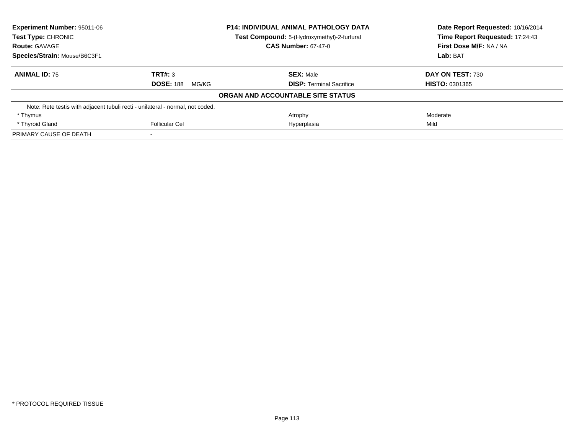| <b>Experiment Number: 95011-06</b><br><b>P14: INDIVIDUAL ANIMAL PATHOLOGY DATA</b><br>Test Type: CHRONIC<br>Test Compound: 5-(Hydroxymethyl)-2-furfural |                                                                                | Date Report Requested: 10/16/2014 |                                 |
|---------------------------------------------------------------------------------------------------------------------------------------------------------|--------------------------------------------------------------------------------|-----------------------------------|---------------------------------|
|                                                                                                                                                         |                                                                                |                                   | Time Report Requested: 17:24:43 |
| <b>Route: GAVAGE</b>                                                                                                                                    |                                                                                | <b>CAS Number: 67-47-0</b>        | First Dose M/F: NA / NA         |
| Species/Strain: Mouse/B6C3F1                                                                                                                            |                                                                                |                                   | Lab: BAT                        |
| <b>ANIMAL ID: 75</b>                                                                                                                                    | TRT#: 3                                                                        | <b>SEX: Male</b>                  | DAY ON TEST: 730                |
|                                                                                                                                                         | <b>DOSE: 188</b><br>MG/KG                                                      | <b>DISP:</b> Terminal Sacrifice   | <b>HISTO: 0301365</b>           |
|                                                                                                                                                         |                                                                                | ORGAN AND ACCOUNTABLE SITE STATUS |                                 |
|                                                                                                                                                         | Note: Rete testis with adjacent tubuli recti - unilateral - normal, not coded. |                                   |                                 |
| * Thymus                                                                                                                                                |                                                                                | Atrophy                           | Moderate                        |
| * Thyroid Gland                                                                                                                                         | Follicular Cel                                                                 | Hyperplasia                       | Mild                            |
| PRIMARY CAUSE OF DEATH                                                                                                                                  |                                                                                |                                   |                                 |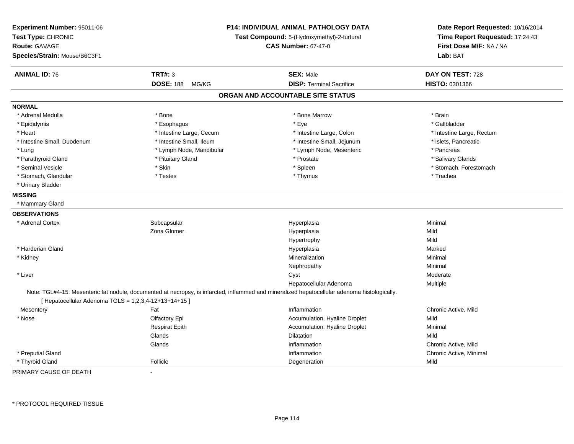| Experiment Number: 95011-06<br>Test Type: CHRONIC<br><b>Route: GAVAGE</b><br>Species/Strain: Mouse/B6C3F1 |                           | <b>P14: INDIVIDUAL ANIMAL PATHOLOGY DATA</b><br>Test Compound: 5-(Hydroxymethyl)-2-furfural<br><b>CAS Number: 67-47-0</b>                     | Date Report Requested: 10/16/2014<br>Time Report Requested: 17:24:43<br>First Dose M/F: NA / NA<br>Lab: BAT |  |
|-----------------------------------------------------------------------------------------------------------|---------------------------|-----------------------------------------------------------------------------------------------------------------------------------------------|-------------------------------------------------------------------------------------------------------------|--|
| <b>ANIMAL ID: 76</b>                                                                                      | <b>TRT#: 3</b>            | <b>SEX: Male</b>                                                                                                                              | DAY ON TEST: 728                                                                                            |  |
|                                                                                                           | <b>DOSE: 188</b><br>MG/KG | <b>DISP: Terminal Sacrifice</b>                                                                                                               | HISTO: 0301366                                                                                              |  |
|                                                                                                           |                           | ORGAN AND ACCOUNTABLE SITE STATUS                                                                                                             |                                                                                                             |  |
| <b>NORMAL</b>                                                                                             |                           |                                                                                                                                               |                                                                                                             |  |
| * Adrenal Medulla                                                                                         | * Bone                    | * Bone Marrow                                                                                                                                 | * Brain                                                                                                     |  |
| * Epididymis                                                                                              | * Esophagus               | * Eye                                                                                                                                         | * Gallbladder                                                                                               |  |
| * Heart                                                                                                   | * Intestine Large, Cecum  | * Intestine Large, Colon                                                                                                                      | * Intestine Large, Rectum                                                                                   |  |
| * Intestine Small, Duodenum                                                                               | * Intestine Small, Ileum  | * Intestine Small, Jejunum                                                                                                                    | * Islets, Pancreatic                                                                                        |  |
| * Lung                                                                                                    | * Lymph Node, Mandibular  | * Lymph Node, Mesenteric                                                                                                                      | * Pancreas                                                                                                  |  |
| * Parathyroid Gland                                                                                       | * Pituitary Gland         | * Prostate                                                                                                                                    | * Salivary Glands                                                                                           |  |
| * Seminal Vesicle                                                                                         | * Skin                    | * Spleen                                                                                                                                      | * Stomach, Forestomach                                                                                      |  |
| * Stomach, Glandular                                                                                      | * Testes                  | * Thymus                                                                                                                                      | * Trachea                                                                                                   |  |
| * Urinary Bladder                                                                                         |                           |                                                                                                                                               |                                                                                                             |  |
| <b>MISSING</b>                                                                                            |                           |                                                                                                                                               |                                                                                                             |  |
| * Mammary Gland                                                                                           |                           |                                                                                                                                               |                                                                                                             |  |
| <b>OBSERVATIONS</b>                                                                                       |                           |                                                                                                                                               |                                                                                                             |  |
| * Adrenal Cortex                                                                                          | Subcapsular               | Hyperplasia                                                                                                                                   | Minimal                                                                                                     |  |
|                                                                                                           | Zona Glomer               | Hyperplasia                                                                                                                                   | Mild                                                                                                        |  |
|                                                                                                           |                           | Hypertrophy                                                                                                                                   | Mild                                                                                                        |  |
| * Harderian Gland                                                                                         |                           | Hyperplasia                                                                                                                                   | Marked                                                                                                      |  |
| * Kidney                                                                                                  |                           | Mineralization                                                                                                                                | Minimal                                                                                                     |  |
|                                                                                                           |                           | Nephropathy                                                                                                                                   | Minimal                                                                                                     |  |
| * Liver                                                                                                   |                           | Cyst                                                                                                                                          | Moderate                                                                                                    |  |
|                                                                                                           |                           | Hepatocellular Adenoma                                                                                                                        | Multiple                                                                                                    |  |
| [ Hepatocellular Adenoma TGLS = 1,2,3,4-12+13+14+15 ]                                                     |                           | Note: TGL#4-15: Mesenteric fat nodule, documented at necropsy, is infarcted, inflammed and mineralized hepatocellular adenoma histologically. |                                                                                                             |  |
| Mesentery                                                                                                 | Fat                       | Inflammation                                                                                                                                  | Chronic Active, Mild                                                                                        |  |
| * Nose                                                                                                    | Olfactory Epi             | Accumulation, Hyaline Droplet                                                                                                                 | Mild                                                                                                        |  |
|                                                                                                           | <b>Respirat Epith</b>     | Accumulation, Hyaline Droplet                                                                                                                 | Minimal                                                                                                     |  |
|                                                                                                           | Glands                    | Dilatation                                                                                                                                    | Mild                                                                                                        |  |
|                                                                                                           | Glands                    | Inflammation                                                                                                                                  | Chronic Active, Mild                                                                                        |  |
| * Preputial Gland                                                                                         |                           | Inflammation                                                                                                                                  | Chronic Active, Minimal                                                                                     |  |
| * Thyroid Gland                                                                                           | Follicle                  | Degeneration                                                                                                                                  | Mild                                                                                                        |  |
| PRIMARY CAUSE OF DEATH                                                                                    | $\blacksquare$            |                                                                                                                                               |                                                                                                             |  |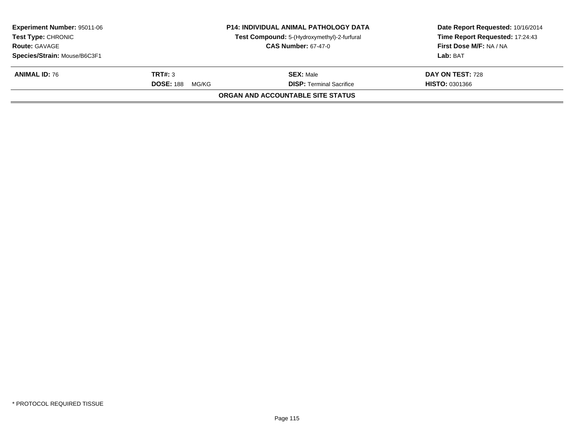| <b>Experiment Number: 95011-06</b><br><b>Test Type: CHRONIC</b> |                           | <b>P14: INDIVIDUAL ANIMAL PATHOLOGY DATA</b> | Date Report Requested: 10/16/2014<br>Time Report Requested: 17:24:43 |
|-----------------------------------------------------------------|---------------------------|----------------------------------------------|----------------------------------------------------------------------|
|                                                                 |                           | Test Compound: 5-(Hydroxymethyl)-2-furfural  |                                                                      |
| <b>Route: GAVAGE</b>                                            |                           | <b>CAS Number: 67-47-0</b>                   | First Dose M/F: NA / NA                                              |
| Species/Strain: Mouse/B6C3F1                                    |                           |                                              | Lab: BAT                                                             |
| <b>ANIMAL ID: 76</b>                                            | TRT#: 3                   | <b>SEX: Male</b>                             | DAY ON TEST: 728                                                     |
|                                                                 | <b>DOSE: 188</b><br>MG/KG | <b>DISP: Terminal Sacrifice</b>              | <b>HISTO: 0301366</b>                                                |
|                                                                 |                           | ORGAN AND ACCOUNTABLE SITE STATUS            |                                                                      |
|                                                                 |                           |                                              |                                                                      |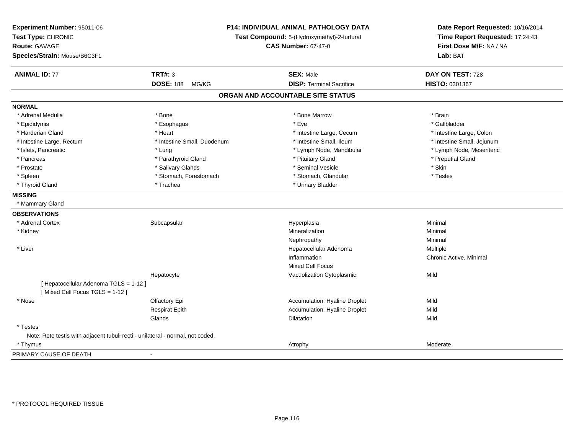| Experiment Number: 95011-06<br>Test Type: CHRONIC<br><b>Route: GAVAGE</b><br>Species/Strain: Mouse/B6C3F1 | P14: INDIVIDUAL ANIMAL PATHOLOGY DATA<br>Test Compound: 5-(Hydroxymethyl)-2-furfural<br><b>CAS Number: 67-47-0</b> |                                   | Date Report Requested: 10/16/2014<br>Time Report Requested: 17:24:43<br>First Dose M/F: NA / NA<br>Lab: BAT |
|-----------------------------------------------------------------------------------------------------------|--------------------------------------------------------------------------------------------------------------------|-----------------------------------|-------------------------------------------------------------------------------------------------------------|
| <b>ANIMAL ID: 77</b>                                                                                      | <b>TRT#: 3</b>                                                                                                     | <b>SEX: Male</b>                  | DAY ON TEST: 728                                                                                            |
|                                                                                                           | <b>DOSE: 188</b><br>MG/KG                                                                                          | <b>DISP: Terminal Sacrifice</b>   | HISTO: 0301367                                                                                              |
|                                                                                                           |                                                                                                                    | ORGAN AND ACCOUNTABLE SITE STATUS |                                                                                                             |
| <b>NORMAL</b>                                                                                             |                                                                                                                    |                                   |                                                                                                             |
| * Adrenal Medulla                                                                                         | * Bone                                                                                                             | * Bone Marrow                     | * Brain                                                                                                     |
| * Epididymis                                                                                              | * Esophagus                                                                                                        | * Eye                             | * Gallbladder                                                                                               |
| * Harderian Gland                                                                                         | * Heart                                                                                                            | * Intestine Large, Cecum          | * Intestine Large, Colon                                                                                    |
| * Intestine Large, Rectum                                                                                 | * Intestine Small, Duodenum                                                                                        | * Intestine Small, Ileum          | * Intestine Small, Jejunum                                                                                  |
| * Islets, Pancreatic                                                                                      | * Lung                                                                                                             | * Lymph Node, Mandibular          | * Lymph Node, Mesenteric                                                                                    |
| * Pancreas                                                                                                | * Parathyroid Gland                                                                                                | * Pituitary Gland                 | * Preputial Gland                                                                                           |
| * Prostate                                                                                                | * Salivary Glands                                                                                                  | * Seminal Vesicle                 | * Skin                                                                                                      |
| * Spleen                                                                                                  | * Stomach, Forestomach                                                                                             | * Stomach, Glandular              | * Testes                                                                                                    |
| * Thyroid Gland                                                                                           | * Trachea                                                                                                          | * Urinary Bladder                 |                                                                                                             |
| <b>MISSING</b>                                                                                            |                                                                                                                    |                                   |                                                                                                             |
| * Mammary Gland                                                                                           |                                                                                                                    |                                   |                                                                                                             |
| <b>OBSERVATIONS</b>                                                                                       |                                                                                                                    |                                   |                                                                                                             |
| * Adrenal Cortex                                                                                          | Subcapsular                                                                                                        | Hyperplasia                       | Minimal                                                                                                     |
| * Kidney                                                                                                  |                                                                                                                    | Mineralization                    | Minimal                                                                                                     |
|                                                                                                           |                                                                                                                    | Nephropathy                       | Minimal                                                                                                     |
| * Liver                                                                                                   |                                                                                                                    | Hepatocellular Adenoma            | Multiple                                                                                                    |
|                                                                                                           |                                                                                                                    | Inflammation                      | Chronic Active, Minimal                                                                                     |
|                                                                                                           |                                                                                                                    | Mixed Cell Focus                  |                                                                                                             |
|                                                                                                           | Hepatocyte                                                                                                         | Vacuolization Cytoplasmic         | Mild                                                                                                        |
| [ Hepatocellular Adenoma TGLS = 1-12 ]<br>[Mixed Cell Focus TGLS = 1-12]                                  |                                                                                                                    |                                   |                                                                                                             |
| * Nose                                                                                                    | Olfactory Epi                                                                                                      | Accumulation, Hyaline Droplet     | Mild                                                                                                        |
|                                                                                                           | <b>Respirat Epith</b>                                                                                              | Accumulation, Hyaline Droplet     | Mild                                                                                                        |
|                                                                                                           | Glands                                                                                                             | Dilatation                        | Mild                                                                                                        |
| * Testes                                                                                                  |                                                                                                                    |                                   |                                                                                                             |
| Note: Rete testis with adjacent tubuli recti - unilateral - normal, not coded.                            |                                                                                                                    |                                   |                                                                                                             |
| * Thymus                                                                                                  |                                                                                                                    | Atrophy                           | Moderate                                                                                                    |
| PRIMARY CAUSE OF DEATH                                                                                    | $\blacksquare$                                                                                                     |                                   |                                                                                                             |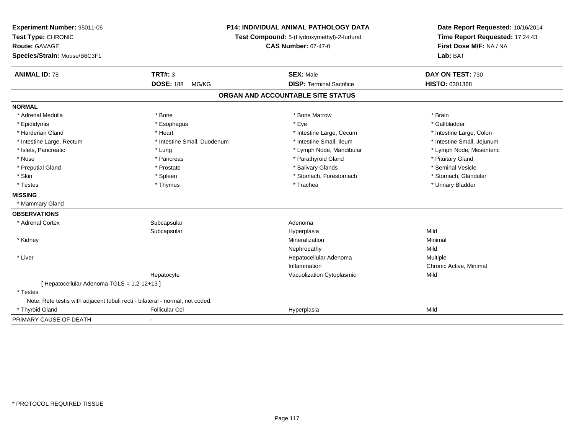| Experiment Number: 95011-06<br>Test Type: CHRONIC<br>Route: GAVAGE<br>Species/Strain: Mouse/B6C3F1 |                             | P14: INDIVIDUAL ANIMAL PATHOLOGY DATA<br>Test Compound: 5-(Hydroxymethyl)-2-furfural<br><b>CAS Number: 67-47-0</b> |                            |
|----------------------------------------------------------------------------------------------------|-----------------------------|--------------------------------------------------------------------------------------------------------------------|----------------------------|
| <b>ANIMAL ID: 78</b>                                                                               | <b>TRT#: 3</b>              | <b>SEX: Male</b>                                                                                                   | DAY ON TEST: 730           |
|                                                                                                    | <b>DOSE: 188</b><br>MG/KG   | <b>DISP: Terminal Sacrifice</b>                                                                                    | HISTO: 0301368             |
|                                                                                                    |                             | ORGAN AND ACCOUNTABLE SITE STATUS                                                                                  |                            |
| <b>NORMAL</b>                                                                                      |                             |                                                                                                                    |                            |
| * Adrenal Medulla                                                                                  | * Bone                      | * Bone Marrow                                                                                                      | * Brain                    |
| * Epididymis                                                                                       | * Esophagus                 | * Eye                                                                                                              | * Gallbladder              |
| * Harderian Gland                                                                                  | * Heart                     | * Intestine Large, Cecum                                                                                           | * Intestine Large, Colon   |
| * Intestine Large, Rectum                                                                          | * Intestine Small, Duodenum | * Intestine Small, Ileum                                                                                           | * Intestine Small, Jejunum |
| * Islets, Pancreatic                                                                               | * Lung                      | * Lymph Node, Mandibular                                                                                           | * Lymph Node, Mesenteric   |
| * Nose                                                                                             | * Pancreas                  | * Parathyroid Gland                                                                                                | * Pituitary Gland          |
| * Preputial Gland                                                                                  | * Prostate                  | * Salivary Glands                                                                                                  | * Seminal Vesicle          |
| * Skin                                                                                             | * Spleen                    | * Stomach, Forestomach                                                                                             | * Stomach, Glandular       |
| * Testes                                                                                           | * Thymus                    | * Trachea                                                                                                          | * Urinary Bladder          |
| <b>MISSING</b>                                                                                     |                             |                                                                                                                    |                            |
| * Mammary Gland                                                                                    |                             |                                                                                                                    |                            |
| <b>OBSERVATIONS</b>                                                                                |                             |                                                                                                                    |                            |
| * Adrenal Cortex                                                                                   | Subcapsular                 | Adenoma                                                                                                            |                            |
|                                                                                                    | Subcapsular                 | Hyperplasia                                                                                                        | Mild                       |
| * Kidney                                                                                           |                             | Mineralization                                                                                                     | Minimal                    |
|                                                                                                    |                             | Nephropathy                                                                                                        | Mild                       |
| * Liver                                                                                            |                             | Hepatocellular Adenoma                                                                                             | Multiple                   |
|                                                                                                    |                             | Inflammation                                                                                                       | Chronic Active, Minimal    |
|                                                                                                    | Hepatocyte                  | Vacuolization Cytoplasmic                                                                                          | Mild                       |
| [ Hepatocellular Adenoma TGLS = 1,2-12+13 ]                                                        |                             |                                                                                                                    |                            |
| * Testes                                                                                           |                             |                                                                                                                    |                            |
| Note: Rete testis with adjacent tubuli recti - bilateral - normal, not coded.                      |                             |                                                                                                                    |                            |
| * Thyroid Gland                                                                                    | <b>Follicular Cel</b>       | Hyperplasia                                                                                                        | Mild                       |
| PRIMARY CAUSE OF DEATH                                                                             | $\blacksquare$              |                                                                                                                    |                            |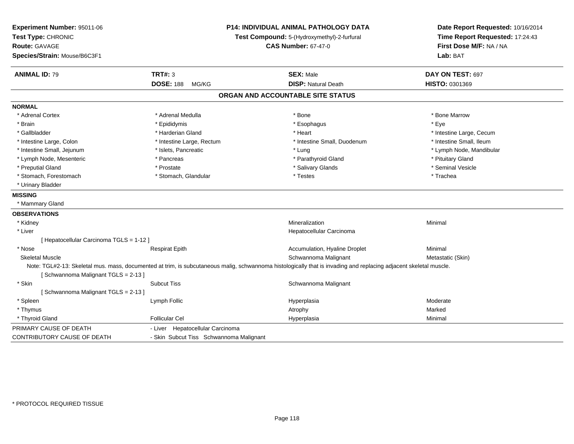| Experiment Number: 95011-06<br>Test Type: CHRONIC<br><b>Route: GAVAGE</b><br>Species/Strain: Mouse/B6C3F1 | P14: INDIVIDUAL ANIMAL PATHOLOGY DATA<br>Test Compound: 5-(Hydroxymethyl)-2-furfural<br><b>CAS Number: 67-47-0</b> |                                                                                                                                                                   | Date Report Requested: 10/16/2014<br>Time Report Requested: 17:24:43<br>First Dose M/F: NA / NA<br>Lab: BAT |  |
|-----------------------------------------------------------------------------------------------------------|--------------------------------------------------------------------------------------------------------------------|-------------------------------------------------------------------------------------------------------------------------------------------------------------------|-------------------------------------------------------------------------------------------------------------|--|
| <b>ANIMAL ID: 79</b>                                                                                      | <b>TRT#: 3</b>                                                                                                     | <b>SEX: Male</b>                                                                                                                                                  | DAY ON TEST: 697                                                                                            |  |
|                                                                                                           | <b>DOSE: 188</b><br>MG/KG                                                                                          | <b>DISP: Natural Death</b>                                                                                                                                        | HISTO: 0301369                                                                                              |  |
|                                                                                                           |                                                                                                                    | ORGAN AND ACCOUNTABLE SITE STATUS                                                                                                                                 |                                                                                                             |  |
| <b>NORMAL</b>                                                                                             |                                                                                                                    |                                                                                                                                                                   |                                                                                                             |  |
| * Adrenal Cortex                                                                                          | * Adrenal Medulla                                                                                                  | * Bone                                                                                                                                                            | * Bone Marrow                                                                                               |  |
| * Brain                                                                                                   | * Epididymis                                                                                                       | * Esophagus                                                                                                                                                       | * Eye                                                                                                       |  |
| * Gallbladder                                                                                             | * Harderian Gland                                                                                                  | * Heart                                                                                                                                                           | * Intestine Large, Cecum                                                                                    |  |
| * Intestine Large, Colon                                                                                  | * Intestine Large, Rectum                                                                                          | * Intestine Small, Duodenum                                                                                                                                       | * Intestine Small, Ileum                                                                                    |  |
| * Intestine Small, Jejunum                                                                                | * Islets, Pancreatic                                                                                               | * Lung                                                                                                                                                            | * Lymph Node, Mandibular                                                                                    |  |
| * Lymph Node, Mesenteric                                                                                  | * Pancreas                                                                                                         | * Parathyroid Gland                                                                                                                                               | * Pituitary Gland                                                                                           |  |
| * Preputial Gland                                                                                         | * Prostate                                                                                                         | * Salivary Glands                                                                                                                                                 | * Seminal Vesicle                                                                                           |  |
| * Stomach, Forestomach                                                                                    | * Stomach, Glandular                                                                                               | * Testes                                                                                                                                                          | * Trachea                                                                                                   |  |
| * Urinary Bladder                                                                                         |                                                                                                                    |                                                                                                                                                                   |                                                                                                             |  |
| <b>MISSING</b>                                                                                            |                                                                                                                    |                                                                                                                                                                   |                                                                                                             |  |
| * Mammary Gland                                                                                           |                                                                                                                    |                                                                                                                                                                   |                                                                                                             |  |
| <b>OBSERVATIONS</b>                                                                                       |                                                                                                                    |                                                                                                                                                                   |                                                                                                             |  |
| * Kidney                                                                                                  |                                                                                                                    | Mineralization                                                                                                                                                    | Minimal                                                                                                     |  |
| * Liver                                                                                                   |                                                                                                                    | Hepatocellular Carcinoma                                                                                                                                          |                                                                                                             |  |
| [ Hepatocellular Carcinoma TGLS = 1-12 ]                                                                  |                                                                                                                    |                                                                                                                                                                   |                                                                                                             |  |
| * Nose                                                                                                    | <b>Respirat Epith</b>                                                                                              | Accumulation, Hyaline Droplet                                                                                                                                     | Minimal                                                                                                     |  |
| <b>Skeletal Muscle</b>                                                                                    |                                                                                                                    | Schwannoma Malignant                                                                                                                                              | Metastatic (Skin)                                                                                           |  |
| [Schwannoma Malignant TGLS = 2-13]                                                                        |                                                                                                                    | Note: TGL#2-13: Skeletal mus. mass, documented at trim, is subcutaneous malig, schwannoma histologically that is invading and replacing adjacent skeletal muscle. |                                                                                                             |  |
| * Skin                                                                                                    | <b>Subcut Tiss</b>                                                                                                 | Schwannoma Malignant                                                                                                                                              |                                                                                                             |  |
| [Schwannoma Malignant TGLS = 2-13]                                                                        |                                                                                                                    |                                                                                                                                                                   |                                                                                                             |  |
| * Spleen                                                                                                  | Lymph Follic                                                                                                       | Hyperplasia                                                                                                                                                       | Moderate                                                                                                    |  |
| * Thymus                                                                                                  |                                                                                                                    | Atrophy                                                                                                                                                           | Marked                                                                                                      |  |
| * Thyroid Gland                                                                                           | <b>Follicular Cel</b>                                                                                              | Hyperplasia                                                                                                                                                       | Minimal                                                                                                     |  |
| PRIMARY CAUSE OF DEATH                                                                                    | - Liver Hepatocellular Carcinoma                                                                                   |                                                                                                                                                                   |                                                                                                             |  |
| CONTRIBUTORY CAUSE OF DEATH                                                                               | - Skin Subcut Tiss Schwannoma Malignant                                                                            |                                                                                                                                                                   |                                                                                                             |  |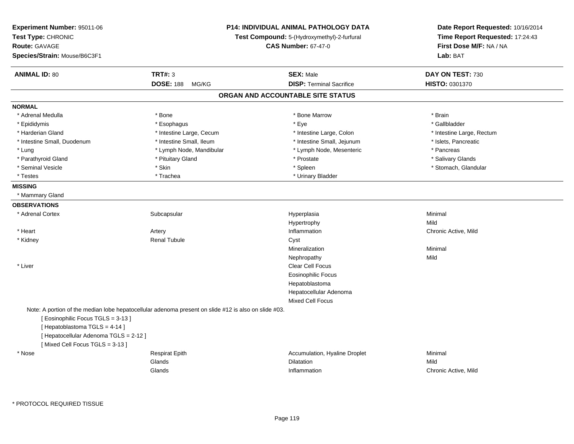| Experiment Number: 95011-06<br>Test Type: CHRONIC<br><b>Route: GAVAGE</b><br>Species/Strain: Mouse/B6C3F1                                                                                                                                            | <b>P14: INDIVIDUAL ANIMAL PATHOLOGY DATA</b><br>Test Compound: 5-(Hydroxymethyl)-2-furfural<br><b>CAS Number: 67-47-0</b> |  | Date Report Requested: 10/16/2014<br>Time Report Requested: 17:24:43<br>First Dose M/F: NA / NA<br>Lab: BAT |                           |
|------------------------------------------------------------------------------------------------------------------------------------------------------------------------------------------------------------------------------------------------------|---------------------------------------------------------------------------------------------------------------------------|--|-------------------------------------------------------------------------------------------------------------|---------------------------|
| <b>ANIMAL ID: 80</b>                                                                                                                                                                                                                                 | <b>TRT#: 3</b>                                                                                                            |  | <b>SEX: Male</b>                                                                                            | DAY ON TEST: 730          |
|                                                                                                                                                                                                                                                      | <b>DOSE: 188</b><br>MG/KG                                                                                                 |  | <b>DISP: Terminal Sacrifice</b>                                                                             | HISTO: 0301370            |
|                                                                                                                                                                                                                                                      |                                                                                                                           |  | ORGAN AND ACCOUNTABLE SITE STATUS                                                                           |                           |
| <b>NORMAL</b>                                                                                                                                                                                                                                        |                                                                                                                           |  |                                                                                                             |                           |
| * Adrenal Medulla                                                                                                                                                                                                                                    | * Bone                                                                                                                    |  | * Bone Marrow                                                                                               | * Brain                   |
| * Epididymis                                                                                                                                                                                                                                         | * Esophagus                                                                                                               |  | * Eye                                                                                                       | * Gallbladder             |
| * Harderian Gland                                                                                                                                                                                                                                    | * Intestine Large, Cecum                                                                                                  |  | * Intestine Large, Colon                                                                                    | * Intestine Large, Rectum |
| * Intestine Small, Duodenum                                                                                                                                                                                                                          | * Intestine Small, Ileum                                                                                                  |  | * Intestine Small, Jejunum                                                                                  | * Islets, Pancreatic      |
| * Lung                                                                                                                                                                                                                                               | * Lymph Node, Mandibular                                                                                                  |  | * Lymph Node, Mesenteric                                                                                    | * Pancreas                |
| * Parathyroid Gland                                                                                                                                                                                                                                  | * Pituitary Gland                                                                                                         |  | * Prostate                                                                                                  | * Salivary Glands         |
| * Seminal Vesicle                                                                                                                                                                                                                                    | * Skin                                                                                                                    |  | * Spleen                                                                                                    | * Stomach, Glandular      |
| * Testes                                                                                                                                                                                                                                             | * Trachea                                                                                                                 |  | * Urinary Bladder                                                                                           |                           |
| <b>MISSING</b>                                                                                                                                                                                                                                       |                                                                                                                           |  |                                                                                                             |                           |
| * Mammary Gland                                                                                                                                                                                                                                      |                                                                                                                           |  |                                                                                                             |                           |
| <b>OBSERVATIONS</b>                                                                                                                                                                                                                                  |                                                                                                                           |  |                                                                                                             |                           |
| * Adrenal Cortex                                                                                                                                                                                                                                     | Subcapsular                                                                                                               |  | Hyperplasia                                                                                                 | Minimal                   |
|                                                                                                                                                                                                                                                      |                                                                                                                           |  | Hypertrophy                                                                                                 | Mild                      |
| * Heart                                                                                                                                                                                                                                              | Artery                                                                                                                    |  | Inflammation                                                                                                | Chronic Active, Mild      |
| * Kidney                                                                                                                                                                                                                                             | <b>Renal Tubule</b>                                                                                                       |  | Cyst                                                                                                        |                           |
|                                                                                                                                                                                                                                                      |                                                                                                                           |  | Mineralization                                                                                              | Minimal                   |
|                                                                                                                                                                                                                                                      |                                                                                                                           |  | Nephropathy                                                                                                 | Mild                      |
| * Liver                                                                                                                                                                                                                                              |                                                                                                                           |  | Clear Cell Focus                                                                                            |                           |
|                                                                                                                                                                                                                                                      |                                                                                                                           |  | <b>Eosinophilic Focus</b>                                                                                   |                           |
|                                                                                                                                                                                                                                                      |                                                                                                                           |  | Hepatoblastoma                                                                                              |                           |
|                                                                                                                                                                                                                                                      |                                                                                                                           |  | Hepatocellular Adenoma                                                                                      |                           |
|                                                                                                                                                                                                                                                      |                                                                                                                           |  | <b>Mixed Cell Focus</b>                                                                                     |                           |
| Note: A portion of the median lobe hepatocellular adenoma present on slide #12 is also on slide #03.<br>[Eosinophilic Focus TGLS = 3-13]<br>[Hepatoblastoma TGLS = 4-14]<br>[ Hepatocellular Adenoma TGLS = 2-12 ]<br>[Mixed Cell Focus TGLS = 3-13] |                                                                                                                           |  |                                                                                                             |                           |
| * Nose                                                                                                                                                                                                                                               | <b>Respirat Epith</b>                                                                                                     |  | Accumulation, Hyaline Droplet                                                                               | Minimal                   |
|                                                                                                                                                                                                                                                      | Glands                                                                                                                    |  | <b>Dilatation</b>                                                                                           | Mild                      |
|                                                                                                                                                                                                                                                      | Glands                                                                                                                    |  | Inflammation                                                                                                | Chronic Active, Mild      |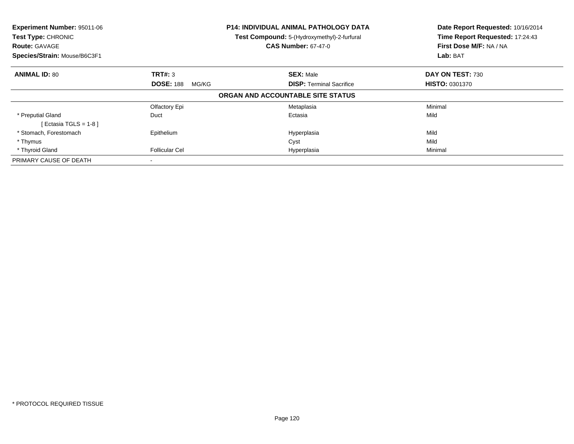| <b>Experiment Number: 95011-06</b><br>Test Type: CHRONIC<br><b>Route: GAVAGE</b> |                           | P14: INDIVIDUAL ANIMAL PATHOLOGY DATA<br>Test Compound: 5-(Hydroxymethyl)-2-furfural<br><b>CAS Number: 67-47-0</b> | Date Report Requested: 10/16/2014<br>Time Report Requested: 17:24:43<br>First Dose M/F: NA / NA |
|----------------------------------------------------------------------------------|---------------------------|--------------------------------------------------------------------------------------------------------------------|-------------------------------------------------------------------------------------------------|
| Species/Strain: Mouse/B6C3F1                                                     |                           |                                                                                                                    | Lab: BAT                                                                                        |
| <b>ANIMAL ID: 80</b>                                                             | <b>TRT#: 3</b>            | <b>SEX: Male</b>                                                                                                   | DAY ON TEST: 730                                                                                |
|                                                                                  | <b>DOSE: 188</b><br>MG/KG | <b>DISP:</b> Terminal Sacrifice                                                                                    | <b>HISTO: 0301370</b>                                                                           |
|                                                                                  |                           | ORGAN AND ACCOUNTABLE SITE STATUS                                                                                  |                                                                                                 |
|                                                                                  | Olfactory Epi             | Metaplasia                                                                                                         | Minimal                                                                                         |
| * Preputial Gland<br>[ Ectasia TGLS = $1-8$ ]                                    | Duct                      | Ectasia                                                                                                            | Mild                                                                                            |
| * Stomach, Forestomach                                                           | Epithelium                | Hyperplasia                                                                                                        | Mild                                                                                            |
| * Thymus                                                                         |                           | Cyst                                                                                                               | Mild                                                                                            |
| * Thyroid Gland                                                                  | <b>Follicular Cel</b>     | Hyperplasia                                                                                                        | Minimal                                                                                         |
| PRIMARY CAUSE OF DEATH                                                           |                           |                                                                                                                    |                                                                                                 |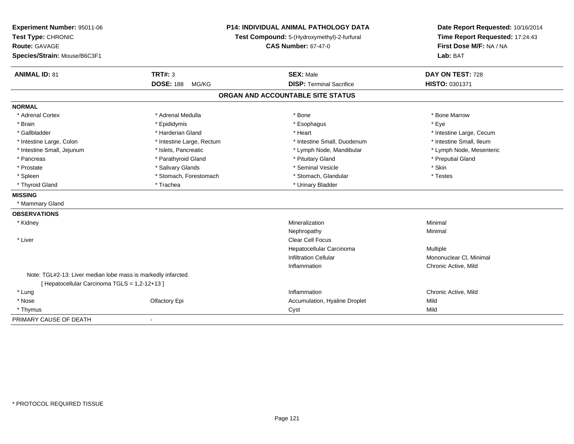| Experiment Number: 95011-06<br>Test Type: CHRONIC<br><b>Route: GAVAGE</b><br>Species/Strain: Mouse/B6C3F1 |                           | P14: INDIVIDUAL ANIMAL PATHOLOGY DATA<br>Test Compound: 5-(Hydroxymethyl)-2-furfural<br><b>CAS Number: 67-47-0</b> | Date Report Requested: 10/16/2014<br>Time Report Requested: 17:24:43<br>First Dose M/F: NA / NA<br>Lab: BAT |  |
|-----------------------------------------------------------------------------------------------------------|---------------------------|--------------------------------------------------------------------------------------------------------------------|-------------------------------------------------------------------------------------------------------------|--|
| <b>ANIMAL ID: 81</b>                                                                                      | <b>TRT#: 3</b>            | <b>SEX: Male</b>                                                                                                   | DAY ON TEST: 728                                                                                            |  |
|                                                                                                           | <b>DOSE: 188</b><br>MG/KG | <b>DISP: Terminal Sacrifice</b>                                                                                    | HISTO: 0301371                                                                                              |  |
|                                                                                                           |                           | ORGAN AND ACCOUNTABLE SITE STATUS                                                                                  |                                                                                                             |  |
| <b>NORMAL</b>                                                                                             |                           |                                                                                                                    |                                                                                                             |  |
| * Adrenal Cortex                                                                                          | * Adrenal Medulla         | * Bone                                                                                                             | * Bone Marrow                                                                                               |  |
| * Brain                                                                                                   | * Epididymis              | * Esophagus                                                                                                        | * Eve                                                                                                       |  |
| * Gallbladder                                                                                             | * Harderian Gland         | * Heart                                                                                                            | * Intestine Large, Cecum                                                                                    |  |
| * Intestine Large, Colon                                                                                  | * Intestine Large, Rectum | * Intestine Small, Duodenum                                                                                        | * Intestine Small, Ileum                                                                                    |  |
| * Intestine Small, Jejunum                                                                                | * Islets, Pancreatic      | * Lymph Node, Mandibular                                                                                           | * Lymph Node, Mesenteric                                                                                    |  |
| * Pancreas                                                                                                | * Parathyroid Gland       | * Pituitary Gland                                                                                                  | * Preputial Gland                                                                                           |  |
| * Prostate                                                                                                | * Salivary Glands         | * Seminal Vesicle                                                                                                  | * Skin                                                                                                      |  |
| * Spleen                                                                                                  | * Stomach, Forestomach    | * Stomach, Glandular                                                                                               | * Testes                                                                                                    |  |
| * Thyroid Gland                                                                                           | * Trachea                 | * Urinary Bladder                                                                                                  |                                                                                                             |  |
| <b>MISSING</b>                                                                                            |                           |                                                                                                                    |                                                                                                             |  |
| * Mammary Gland                                                                                           |                           |                                                                                                                    |                                                                                                             |  |
| <b>OBSERVATIONS</b>                                                                                       |                           |                                                                                                                    |                                                                                                             |  |
| * Kidney                                                                                                  |                           | Mineralization                                                                                                     | Minimal                                                                                                     |  |
|                                                                                                           |                           | Nephropathy                                                                                                        | Minimal                                                                                                     |  |
| * Liver                                                                                                   |                           | Clear Cell Focus                                                                                                   |                                                                                                             |  |
|                                                                                                           |                           | Hepatocellular Carcinoma                                                                                           | Multiple                                                                                                    |  |
|                                                                                                           |                           | <b>Infiltration Cellular</b>                                                                                       | Mononuclear CI, Minimal                                                                                     |  |
|                                                                                                           |                           | Inflammation                                                                                                       | Chronic Active, Mild                                                                                        |  |
| Note: TGL#2-13: Liver median lobe mass is markedly infarcted.                                             |                           |                                                                                                                    |                                                                                                             |  |
| [ Hepatocellular Carcinoma TGLS = 1,2-12+13 ]                                                             |                           |                                                                                                                    |                                                                                                             |  |
| * Lung                                                                                                    |                           | Inflammation                                                                                                       | Chronic Active, Mild                                                                                        |  |
| * Nose                                                                                                    | Olfactory Epi             | Accumulation, Hyaline Droplet                                                                                      | Mild                                                                                                        |  |
| * Thymus                                                                                                  |                           | Cyst                                                                                                               | Mild                                                                                                        |  |
| PRIMARY CAUSE OF DEATH                                                                                    |                           |                                                                                                                    |                                                                                                             |  |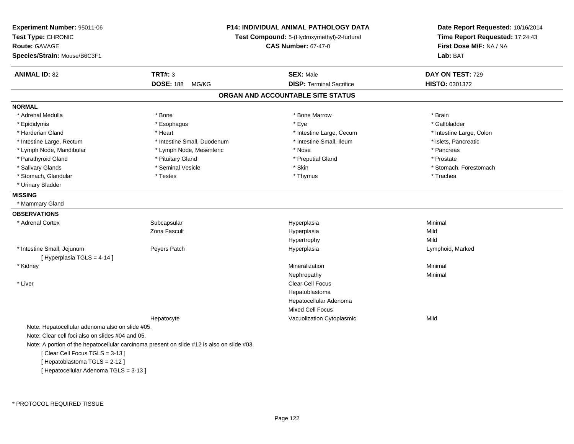| Experiment Number: 95011-06<br>Test Type: CHRONIC<br>Route: GAVAGE<br>Species/Strain: Mouse/B6C3F1 | P14: INDIVIDUAL ANIMAL PATHOLOGY DATA<br>Test Compound: 5-(Hydroxymethyl)-2-furfural<br><b>CAS Number: 67-47-0</b> |                                   | Date Report Requested: 10/16/2014<br>Time Report Requested: 17:24:43<br>First Dose M/F: NA / NA<br>Lab: BAT |
|----------------------------------------------------------------------------------------------------|--------------------------------------------------------------------------------------------------------------------|-----------------------------------|-------------------------------------------------------------------------------------------------------------|
| <b>ANIMAL ID: 82</b>                                                                               | <b>TRT#: 3</b>                                                                                                     | <b>SEX: Male</b>                  | DAY ON TEST: 729                                                                                            |
|                                                                                                    | <b>DOSE: 188</b><br>MG/KG                                                                                          | <b>DISP: Terminal Sacrifice</b>   | <b>HISTO: 0301372</b>                                                                                       |
|                                                                                                    |                                                                                                                    | ORGAN AND ACCOUNTABLE SITE STATUS |                                                                                                             |
| <b>NORMAL</b>                                                                                      |                                                                                                                    |                                   |                                                                                                             |
| * Adrenal Medulla                                                                                  | * Bone                                                                                                             | * Bone Marrow                     | * Brain                                                                                                     |
| * Epididymis                                                                                       | * Esophagus                                                                                                        | * Eye                             | * Gallbladder                                                                                               |
| * Harderian Gland                                                                                  | * Heart                                                                                                            | * Intestine Large, Cecum          | * Intestine Large, Colon                                                                                    |
| * Intestine Large, Rectum                                                                          | * Intestine Small, Duodenum                                                                                        | * Intestine Small, Ileum          | * Islets, Pancreatic                                                                                        |
| * Lymph Node, Mandibular                                                                           | * Lymph Node, Mesenteric                                                                                           | * Nose                            | * Pancreas                                                                                                  |
| * Parathyroid Gland                                                                                | * Pituitary Gland                                                                                                  | * Preputial Gland                 | * Prostate                                                                                                  |
| * Salivary Glands                                                                                  | * Seminal Vesicle                                                                                                  | * Skin                            | * Stomach, Forestomach                                                                                      |
| * Stomach, Glandular                                                                               | * Testes                                                                                                           | * Thymus                          | * Trachea                                                                                                   |
| * Urinary Bladder                                                                                  |                                                                                                                    |                                   |                                                                                                             |
| <b>MISSING</b>                                                                                     |                                                                                                                    |                                   |                                                                                                             |
| * Mammary Gland                                                                                    |                                                                                                                    |                                   |                                                                                                             |
| <b>OBSERVATIONS</b>                                                                                |                                                                                                                    |                                   |                                                                                                             |
| * Adrenal Cortex                                                                                   | Subcapsular                                                                                                        | Hyperplasia                       | Minimal                                                                                                     |
|                                                                                                    | Zona Fascult                                                                                                       | Hyperplasia                       | Mild                                                                                                        |
|                                                                                                    |                                                                                                                    | Hypertrophy                       | Mild                                                                                                        |
| * Intestine Small, Jejunum<br>[ Hyperplasia TGLS = 4-14 ]                                          | Peyers Patch                                                                                                       | Hyperplasia                       | Lymphoid, Marked                                                                                            |
| * Kidney                                                                                           |                                                                                                                    | Mineralization                    | Minimal                                                                                                     |
|                                                                                                    |                                                                                                                    | Nephropathy                       | Minimal                                                                                                     |
| * Liver                                                                                            |                                                                                                                    | Clear Cell Focus                  |                                                                                                             |
|                                                                                                    |                                                                                                                    | Hepatoblastoma                    |                                                                                                             |
|                                                                                                    |                                                                                                                    | Hepatocellular Adenoma            |                                                                                                             |
|                                                                                                    |                                                                                                                    | Mixed Cell Focus                  |                                                                                                             |
|                                                                                                    | Hepatocyte                                                                                                         | Vacuolization Cytoplasmic         | Mild                                                                                                        |
| Note: Hepatocellular adenoma also on slide #05.                                                    |                                                                                                                    |                                   |                                                                                                             |
| Note: Clear cell foci also on slides #04 and 05.                                                   |                                                                                                                    |                                   |                                                                                                             |
|                                                                                                    | Note: A portion of the hepatocellular carcinoma present on slide #12 is also on slide #03.                         |                                   |                                                                                                             |
| [Clear Cell Focus TGLS = 3-13]                                                                     |                                                                                                                    |                                   |                                                                                                             |
| [Hepatoblastoma TGLS = 2-12]                                                                       |                                                                                                                    |                                   |                                                                                                             |
| [ Hepatocellular Adenoma TGLS = 3-13 ]                                                             |                                                                                                                    |                                   |                                                                                                             |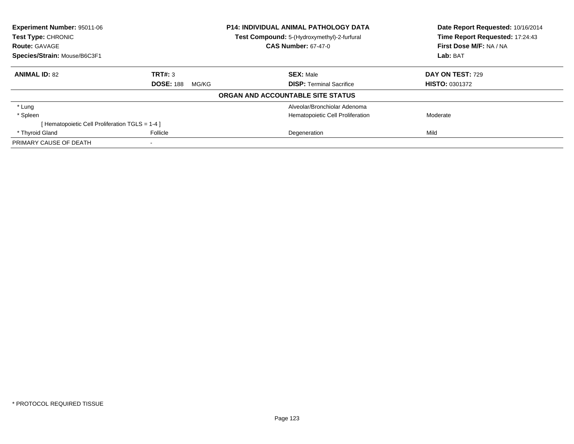| <b>Experiment Number: 95011-06</b>                |                           | <b>P14: INDIVIDUAL ANIMAL PATHOLOGY DATA</b>                              | Date Report Requested: 10/16/2014                          |  |
|---------------------------------------------------|---------------------------|---------------------------------------------------------------------------|------------------------------------------------------------|--|
| <b>Test Type: CHRONIC</b><br><b>Route: GAVAGE</b> |                           | Test Compound: 5-(Hydroxymethyl)-2-furfural<br><b>CAS Number: 67-47-0</b> | Time Report Requested: 17:24:43<br>First Dose M/F: NA / NA |  |
| Species/Strain: Mouse/B6C3F1                      |                           |                                                                           | Lab: BAT                                                   |  |
| <b>ANIMAL ID: 82</b>                              | TRT#: 3                   | <b>SEX: Male</b>                                                          | DAY ON TEST: 729                                           |  |
|                                                   | <b>DOSE: 188</b><br>MG/KG | <b>DISP:</b> Terminal Sacrifice                                           | <b>HISTO: 0301372</b>                                      |  |
|                                                   |                           | ORGAN AND ACCOUNTABLE SITE STATUS                                         |                                                            |  |
| * Lung                                            |                           | Alveolar/Bronchiolar Adenoma                                              |                                                            |  |
| * Spleen                                          |                           | Hematopoietic Cell Proliferation                                          | Moderate                                                   |  |
| [Hematopoietic Cell Proliferation TGLS = 1-4 ]    |                           |                                                                           |                                                            |  |
| * Thyroid Gland                                   | Follicle                  | Degeneration                                                              | Mild                                                       |  |
| PRIMARY CAUSE OF DEATH                            | $\,$                      |                                                                           |                                                            |  |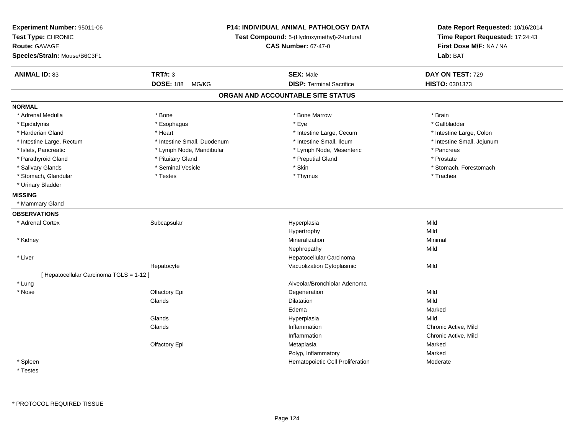| Experiment Number: 95011-06<br>Test Type: CHRONIC<br>Route: GAVAGE<br>Species/Strain: Mouse/B6C3F1 |                             | P14: INDIVIDUAL ANIMAL PATHOLOGY DATA<br>Test Compound: 5-(Hydroxymethyl)-2-furfural<br><b>CAS Number: 67-47-0</b> | Date Report Requested: 10/16/2014<br>Time Report Requested: 17:24:43<br>First Dose M/F: NA / NA<br>Lab: BAT |
|----------------------------------------------------------------------------------------------------|-----------------------------|--------------------------------------------------------------------------------------------------------------------|-------------------------------------------------------------------------------------------------------------|
| <b>ANIMAL ID: 83</b>                                                                               | <b>TRT#: 3</b>              | <b>SEX: Male</b>                                                                                                   | DAY ON TEST: 729                                                                                            |
|                                                                                                    | <b>DOSE: 188</b><br>MG/KG   | <b>DISP: Terminal Sacrifice</b>                                                                                    | HISTO: 0301373                                                                                              |
|                                                                                                    |                             | ORGAN AND ACCOUNTABLE SITE STATUS                                                                                  |                                                                                                             |
| <b>NORMAL</b>                                                                                      |                             |                                                                                                                    |                                                                                                             |
| * Adrenal Medulla                                                                                  | * Bone                      | * Bone Marrow                                                                                                      | * Brain                                                                                                     |
| * Epididymis                                                                                       | * Esophagus                 | * Eye                                                                                                              | * Gallbladder                                                                                               |
| * Harderian Gland                                                                                  | * Heart                     | * Intestine Large, Cecum                                                                                           | * Intestine Large, Colon                                                                                    |
| * Intestine Large, Rectum                                                                          | * Intestine Small, Duodenum | * Intestine Small, Ileum                                                                                           | * Intestine Small, Jejunum                                                                                  |
| * Islets, Pancreatic                                                                               | * Lymph Node, Mandibular    | * Lymph Node, Mesenteric                                                                                           | * Pancreas                                                                                                  |
| * Parathyroid Gland                                                                                | * Pituitary Gland           | * Preputial Gland                                                                                                  | * Prostate                                                                                                  |
| * Salivary Glands                                                                                  | * Seminal Vesicle           | * Skin                                                                                                             | * Stomach, Forestomach                                                                                      |
| * Stomach, Glandular                                                                               | * Testes                    | * Thymus                                                                                                           | * Trachea                                                                                                   |
| * Urinary Bladder                                                                                  |                             |                                                                                                                    |                                                                                                             |
| <b>MISSING</b>                                                                                     |                             |                                                                                                                    |                                                                                                             |
| * Mammary Gland                                                                                    |                             |                                                                                                                    |                                                                                                             |
| <b>OBSERVATIONS</b>                                                                                |                             |                                                                                                                    |                                                                                                             |
| * Adrenal Cortex                                                                                   | Subcapsular                 | Hyperplasia                                                                                                        | Mild                                                                                                        |
|                                                                                                    |                             | Hypertrophy                                                                                                        | Mild                                                                                                        |
| * Kidney                                                                                           |                             | Mineralization                                                                                                     | Minimal                                                                                                     |
|                                                                                                    |                             | Nephropathy                                                                                                        | Mild                                                                                                        |
| * Liver                                                                                            |                             | Hepatocellular Carcinoma                                                                                           |                                                                                                             |
|                                                                                                    | Hepatocyte                  | Vacuolization Cytoplasmic                                                                                          | Mild                                                                                                        |
| [ Hepatocellular Carcinoma TGLS = 1-12 ]                                                           |                             |                                                                                                                    |                                                                                                             |
| * Lung                                                                                             |                             | Alveolar/Bronchiolar Adenoma                                                                                       |                                                                                                             |
| * Nose                                                                                             | Olfactory Epi               | Degeneration                                                                                                       | Mild                                                                                                        |
|                                                                                                    | Glands                      | Dilatation                                                                                                         | Mild                                                                                                        |
|                                                                                                    |                             | Edema                                                                                                              | Marked                                                                                                      |
|                                                                                                    | Glands                      | Hyperplasia                                                                                                        | Mild                                                                                                        |
|                                                                                                    | Glands                      | Inflammation                                                                                                       | Chronic Active, Mild                                                                                        |
|                                                                                                    |                             | Inflammation                                                                                                       | Chronic Active, Mild                                                                                        |
|                                                                                                    | Olfactory Epi               | Metaplasia                                                                                                         | Marked                                                                                                      |
|                                                                                                    |                             | Polyp, Inflammatory                                                                                                | Marked                                                                                                      |
| * Spleen                                                                                           |                             | Hematopoietic Cell Proliferation                                                                                   | Moderate                                                                                                    |
|                                                                                                    |                             |                                                                                                                    |                                                                                                             |

**Testes**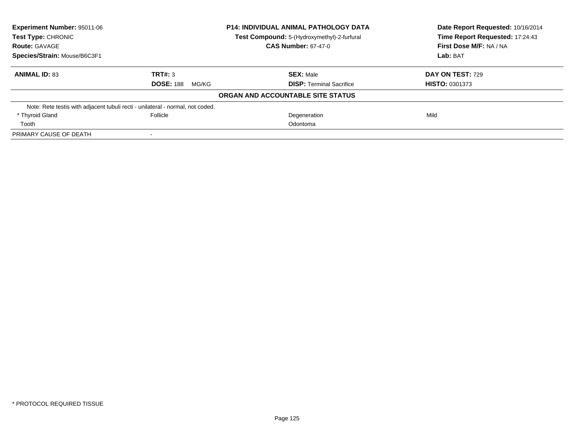| Experiment Number: 95011-06                                                    |                           | <b>P14: INDIVIDUAL ANIMAL PATHOLOGY DATA</b> | Date Report Requested: 10/16/2014<br>Time Report Requested: 17:24:43 |  |
|--------------------------------------------------------------------------------|---------------------------|----------------------------------------------|----------------------------------------------------------------------|--|
| <b>Test Type: CHRONIC</b>                                                      |                           | Test Compound: 5-(Hydroxymethyl)-2-furfural  |                                                                      |  |
| <b>Route: GAVAGE</b>                                                           |                           | <b>CAS Number: 67-47-0</b>                   | First Dose M/F: NA / NA                                              |  |
| Species/Strain: Mouse/B6C3F1                                                   |                           |                                              | Lab: BAT                                                             |  |
| <b>ANIMAL ID: 83</b>                                                           | TRT#: 3                   | <b>SEX: Male</b>                             | DAY ON TEST: 729                                                     |  |
|                                                                                | <b>DOSE: 188</b><br>MG/KG | <b>DISP: Terminal Sacrifice</b>              | <b>HISTO: 0301373</b>                                                |  |
|                                                                                |                           | ORGAN AND ACCOUNTABLE SITE STATUS            |                                                                      |  |
| Note: Rete testis with adjacent tubuli recti - unilateral - normal, not coded. |                           |                                              |                                                                      |  |
| * Thyroid Gland                                                                | Follicle                  | Degeneration                                 | Mild                                                                 |  |
| Tooth                                                                          |                           | Odontoma                                     |                                                                      |  |
| PRIMARY CAUSE OF DEATH                                                         |                           |                                              |                                                                      |  |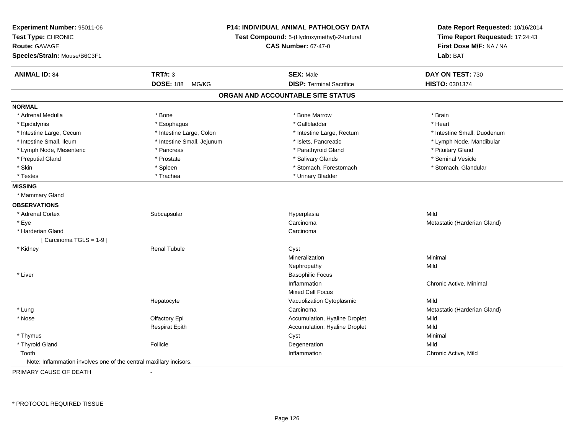| Experiment Number: 95011-06<br>Test Type: CHRONIC<br><b>Route: GAVAGE</b><br>Species/Strain: Mouse/B6C3F1 |                            | P14: INDIVIDUAL ANIMAL PATHOLOGY DATA<br>Test Compound: 5-(Hydroxymethyl)-2-furfural<br><b>CAS Number: 67-47-0</b> | Date Report Requested: 10/16/2014<br>Time Report Requested: 17:24:43<br>First Dose M/F: NA / NA<br>Lab: BAT |
|-----------------------------------------------------------------------------------------------------------|----------------------------|--------------------------------------------------------------------------------------------------------------------|-------------------------------------------------------------------------------------------------------------|
| <b>ANIMAL ID: 84</b>                                                                                      | <b>TRT#: 3</b>             | <b>SEX: Male</b>                                                                                                   | DAY ON TEST: 730                                                                                            |
|                                                                                                           | <b>DOSE: 188</b><br>MG/KG  | <b>DISP: Terminal Sacrifice</b>                                                                                    | HISTO: 0301374                                                                                              |
|                                                                                                           |                            | ORGAN AND ACCOUNTABLE SITE STATUS                                                                                  |                                                                                                             |
| <b>NORMAL</b>                                                                                             |                            |                                                                                                                    |                                                                                                             |
| * Adrenal Medulla                                                                                         | * Bone                     | * Bone Marrow                                                                                                      | * Brain                                                                                                     |
| * Epididymis                                                                                              | * Esophagus                | * Gallbladder                                                                                                      | * Heart                                                                                                     |
| * Intestine Large, Cecum                                                                                  | * Intestine Large, Colon   | * Intestine Large, Rectum                                                                                          | * Intestine Small, Duodenum                                                                                 |
| * Intestine Small, Ileum                                                                                  | * Intestine Small, Jejunum | * Islets, Pancreatic                                                                                               | * Lymph Node, Mandibular                                                                                    |
| * Lymph Node, Mesenteric                                                                                  | * Pancreas                 | * Parathyroid Gland                                                                                                | * Pituitary Gland                                                                                           |
| * Preputial Gland                                                                                         | * Prostate                 | * Salivary Glands                                                                                                  | * Seminal Vesicle                                                                                           |
| * Skin                                                                                                    | $*$ Spleen                 | * Stomach, Forestomach                                                                                             | * Stomach, Glandular                                                                                        |
| * Testes                                                                                                  | * Trachea                  | * Urinary Bladder                                                                                                  |                                                                                                             |
| <b>MISSING</b>                                                                                            |                            |                                                                                                                    |                                                                                                             |
| * Mammary Gland                                                                                           |                            |                                                                                                                    |                                                                                                             |
| <b>OBSERVATIONS</b>                                                                                       |                            |                                                                                                                    |                                                                                                             |
| * Adrenal Cortex                                                                                          | Subcapsular                | Hyperplasia                                                                                                        | Mild                                                                                                        |
| * Eye                                                                                                     |                            | Carcinoma                                                                                                          | Metastatic (Harderian Gland)                                                                                |
| * Harderian Gland                                                                                         |                            | Carcinoma                                                                                                          |                                                                                                             |
| [Carcinoma TGLS = 1-9]                                                                                    |                            |                                                                                                                    |                                                                                                             |
| * Kidney                                                                                                  | Renal Tubule               | Cyst                                                                                                               |                                                                                                             |
|                                                                                                           |                            | Mineralization                                                                                                     | Minimal                                                                                                     |
|                                                                                                           |                            | Nephropathy                                                                                                        | Mild                                                                                                        |
| * Liver                                                                                                   |                            | <b>Basophilic Focus</b>                                                                                            |                                                                                                             |
|                                                                                                           |                            | Inflammation                                                                                                       | Chronic Active, Minimal                                                                                     |
|                                                                                                           |                            | <b>Mixed Cell Focus</b>                                                                                            |                                                                                                             |
|                                                                                                           | Hepatocyte                 | Vacuolization Cytoplasmic                                                                                          | Mild                                                                                                        |
| * Lung                                                                                                    |                            | Carcinoma                                                                                                          | Metastatic (Harderian Gland)                                                                                |
| * Nose                                                                                                    | Olfactory Epi              | Accumulation, Hyaline Droplet                                                                                      | Mild                                                                                                        |
|                                                                                                           | <b>Respirat Epith</b>      | Accumulation, Hyaline Droplet                                                                                      | Mild                                                                                                        |
| * Thymus                                                                                                  |                            | Cyst                                                                                                               | Minimal                                                                                                     |
| * Thyroid Gland                                                                                           | Follicle                   | Degeneration                                                                                                       | Mild                                                                                                        |
| Tooth                                                                                                     |                            | Inflammation                                                                                                       | Chronic Active, Mild                                                                                        |
| Note: Inflammation involves one of the central maxillary incisors.                                        |                            |                                                                                                                    |                                                                                                             |
|                                                                                                           |                            |                                                                                                                    |                                                                                                             |

PRIMARY CAUSE OF DEATH-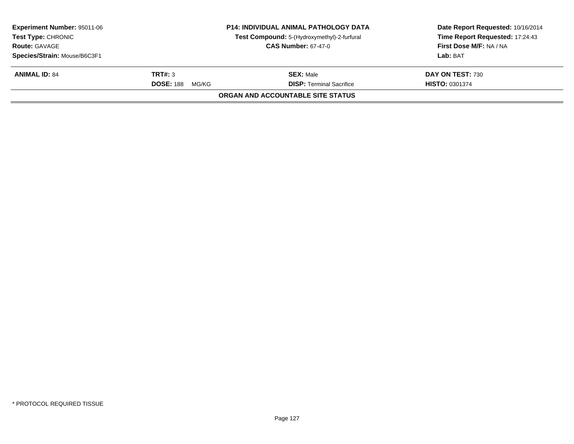|                           |                                 | Date Report Requested: 10/16/2014<br>Time Report Requested: 17:24:43                                                             |
|---------------------------|---------------------------------|----------------------------------------------------------------------------------------------------------------------------------|
|                           | <b>CAS Number: 67-47-0</b>      | First Dose M/F: NA / NA                                                                                                          |
|                           |                                 | Lab: BAT                                                                                                                         |
| TRT#: 3                   | <b>SEX: Male</b>                | DAY ON TEST: 730                                                                                                                 |
| <b>DOSE: 188</b><br>MG/KG | <b>DISP: Terminal Sacrifice</b> | <b>HISTO: 0301374</b>                                                                                                            |
|                           |                                 |                                                                                                                                  |
|                           |                                 | <b>P14: INDIVIDUAL ANIMAL PATHOLOGY DATA</b><br>Test Compound: 5-(Hydroxymethyl)-2-furfural<br>ORGAN AND ACCOUNTABLE SITE STATUS |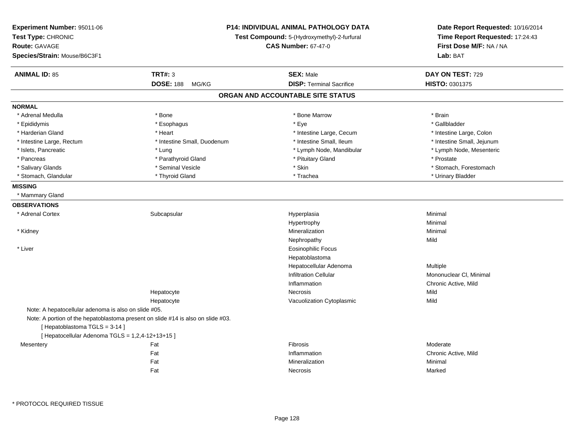| <b>P14: INDIVIDUAL ANIMAL PATHOLOGY DATA</b><br>Experiment Number: 95011-06<br>Test Type: CHRONIC<br>Test Compound: 5-(Hydroxymethyl)-2-furfural<br>Route: GAVAGE<br><b>CAS Number: 67-47-0</b><br>Species/Strain: Mouse/B6C3F1 |                                                                                  |                                   | Date Report Requested: 10/16/2014<br>Time Report Requested: 17:24:43<br>First Dose M/F: NA / NA<br>Lab: BAT |
|---------------------------------------------------------------------------------------------------------------------------------------------------------------------------------------------------------------------------------|----------------------------------------------------------------------------------|-----------------------------------|-------------------------------------------------------------------------------------------------------------|
| <b>ANIMAL ID: 85</b>                                                                                                                                                                                                            | <b>TRT#: 3</b>                                                                   | <b>SEX: Male</b>                  | DAY ON TEST: 729                                                                                            |
|                                                                                                                                                                                                                                 | <b>DOSE: 188</b><br>MG/KG                                                        | <b>DISP: Terminal Sacrifice</b>   | HISTO: 0301375                                                                                              |
|                                                                                                                                                                                                                                 |                                                                                  | ORGAN AND ACCOUNTABLE SITE STATUS |                                                                                                             |
| <b>NORMAL</b>                                                                                                                                                                                                                   |                                                                                  |                                   |                                                                                                             |
| * Adrenal Medulla                                                                                                                                                                                                               | * Bone                                                                           | * Bone Marrow                     | * Brain                                                                                                     |
| * Epididymis                                                                                                                                                                                                                    | * Esophagus                                                                      | $*$ Eye                           | * Gallbladder                                                                                               |
| * Harderian Gland                                                                                                                                                                                                               | * Heart                                                                          | * Intestine Large, Cecum          | * Intestine Large, Colon                                                                                    |
| * Intestine Large, Rectum                                                                                                                                                                                                       | * Intestine Small, Duodenum                                                      | * Intestine Small, Ileum          | * Intestine Small, Jejunum                                                                                  |
| * Islets, Pancreatic                                                                                                                                                                                                            | * Lung                                                                           | * Lymph Node, Mandibular          | * Lymph Node, Mesenteric                                                                                    |
| * Pancreas                                                                                                                                                                                                                      | * Parathyroid Gland                                                              | * Pituitary Gland                 | * Prostate                                                                                                  |
| * Salivary Glands                                                                                                                                                                                                               | * Seminal Vesicle                                                                | * Skin                            | * Stomach, Forestomach                                                                                      |
| * Stomach, Glandular                                                                                                                                                                                                            | * Thyroid Gland                                                                  | * Trachea                         | * Urinary Bladder                                                                                           |
| <b>MISSING</b>                                                                                                                                                                                                                  |                                                                                  |                                   |                                                                                                             |
| * Mammary Gland                                                                                                                                                                                                                 |                                                                                  |                                   |                                                                                                             |
| <b>OBSERVATIONS</b>                                                                                                                                                                                                             |                                                                                  |                                   |                                                                                                             |
| * Adrenal Cortex                                                                                                                                                                                                                | Subcapsular                                                                      | Hyperplasia                       | Minimal                                                                                                     |
|                                                                                                                                                                                                                                 |                                                                                  | Hypertrophy                       | Minimal                                                                                                     |
| * Kidney                                                                                                                                                                                                                        |                                                                                  | Mineralization                    | Minimal                                                                                                     |
|                                                                                                                                                                                                                                 |                                                                                  | Nephropathy                       | Mild                                                                                                        |
| * Liver                                                                                                                                                                                                                         |                                                                                  | <b>Eosinophilic Focus</b>         |                                                                                                             |
|                                                                                                                                                                                                                                 |                                                                                  | Hepatoblastoma                    |                                                                                                             |
|                                                                                                                                                                                                                                 |                                                                                  | Hepatocellular Adenoma            | Multiple                                                                                                    |
|                                                                                                                                                                                                                                 |                                                                                  | <b>Infiltration Cellular</b>      | Mononuclear CI, Minimal                                                                                     |
|                                                                                                                                                                                                                                 |                                                                                  | Inflammation                      | Chronic Active, Mild                                                                                        |
|                                                                                                                                                                                                                                 | Hepatocyte                                                                       | Necrosis                          | Mild                                                                                                        |
|                                                                                                                                                                                                                                 | Hepatocyte                                                                       | Vacuolization Cytoplasmic         | Mild                                                                                                        |
| Note: A hepatocellular adenoma is also on slide #05.                                                                                                                                                                            |                                                                                  |                                   |                                                                                                             |
|                                                                                                                                                                                                                                 | Note: A portion of the hepatoblastoma present on slide #14 is also on slide #03. |                                   |                                                                                                             |
| [Hepatoblastoma TGLS = 3-14]                                                                                                                                                                                                    |                                                                                  |                                   |                                                                                                             |
| [ Hepatocellular Adenoma TGLS = 1,2,4-12+13+15 ]                                                                                                                                                                                |                                                                                  |                                   |                                                                                                             |
| Mesentery                                                                                                                                                                                                                       | Fat                                                                              | Fibrosis                          | Moderate                                                                                                    |
|                                                                                                                                                                                                                                 | Fat                                                                              | Inflammation                      | Chronic Active, Mild                                                                                        |
|                                                                                                                                                                                                                                 | Fat                                                                              | Mineralization                    | Minimal                                                                                                     |
|                                                                                                                                                                                                                                 | Fat                                                                              | Necrosis                          | Marked                                                                                                      |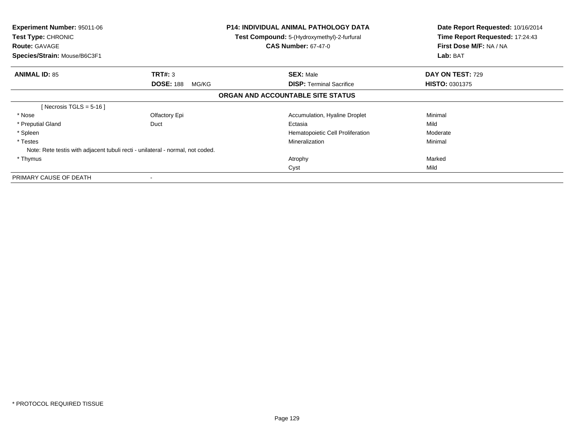| <b>Experiment Number: 95011-06</b><br>Test Type: CHRONIC<br><b>Route: GAVAGE</b><br>Species/Strain: Mouse/B6C3F1 | <b>P14: INDIVIDUAL ANIMAL PATHOLOGY DATA</b><br><b>Test Compound:</b> 5-(Hydroxymethyl)-2-furfural<br><b>CAS Number: 67-47-0</b> |                                   | Date Report Requested: 10/16/2014<br>Time Report Requested: 17:24:43<br>First Dose M/F: NA / NA<br>Lab: BAT |  |
|------------------------------------------------------------------------------------------------------------------|----------------------------------------------------------------------------------------------------------------------------------|-----------------------------------|-------------------------------------------------------------------------------------------------------------|--|
| <b>ANIMAL ID: 85</b>                                                                                             | TRT#: 3                                                                                                                          | <b>SEX: Male</b>                  | DAY ON TEST: 729                                                                                            |  |
|                                                                                                                  | <b>DOSE: 188</b><br>MG/KG                                                                                                        | <b>DISP:</b> Terminal Sacrifice   | <b>HISTO: 0301375</b>                                                                                       |  |
|                                                                                                                  |                                                                                                                                  | ORGAN AND ACCOUNTABLE SITE STATUS |                                                                                                             |  |
| [Necrosis TGLS = $5-16$ ]                                                                                        |                                                                                                                                  |                                   |                                                                                                             |  |
| * Nose                                                                                                           | Olfactory Epi                                                                                                                    | Accumulation, Hyaline Droplet     | Minimal                                                                                                     |  |
| * Preputial Gland                                                                                                | Duct                                                                                                                             | Ectasia                           | Mild                                                                                                        |  |
| * Spleen                                                                                                         |                                                                                                                                  | Hematopoietic Cell Proliferation  | Moderate                                                                                                    |  |
| * Testes                                                                                                         |                                                                                                                                  | Mineralization                    | Minimal                                                                                                     |  |
|                                                                                                                  | Note: Rete testis with adjacent tubuli recti - unilateral - normal, not coded.                                                   |                                   |                                                                                                             |  |
| * Thymus                                                                                                         |                                                                                                                                  | Atrophy                           | Marked                                                                                                      |  |
|                                                                                                                  |                                                                                                                                  | Cyst                              | Mild                                                                                                        |  |
| PRIMARY CAUSE OF DEATH                                                                                           |                                                                                                                                  |                                   |                                                                                                             |  |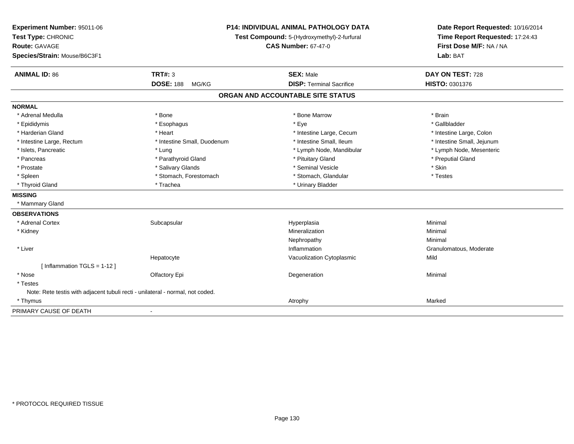| Experiment Number: 95011-06<br>Test Type: CHRONIC<br><b>Route: GAVAGE</b><br>Species/Strain: Mouse/B6C3F1 |                             | P14: INDIVIDUAL ANIMAL PATHOLOGY DATA<br>Test Compound: 5-(Hydroxymethyl)-2-furfural<br><b>CAS Number: 67-47-0</b> | Date Report Requested: 10/16/2014<br>Time Report Requested: 17:24:43<br>First Dose M/F: NA / NA<br>Lab: BAT |  |
|-----------------------------------------------------------------------------------------------------------|-----------------------------|--------------------------------------------------------------------------------------------------------------------|-------------------------------------------------------------------------------------------------------------|--|
| <b>ANIMAL ID: 86</b>                                                                                      | <b>TRT#: 3</b>              | <b>SEX: Male</b>                                                                                                   | DAY ON TEST: 728                                                                                            |  |
|                                                                                                           | <b>DOSE: 188</b><br>MG/KG   | <b>DISP: Terminal Sacrifice</b>                                                                                    | HISTO: 0301376                                                                                              |  |
|                                                                                                           |                             | ORGAN AND ACCOUNTABLE SITE STATUS                                                                                  |                                                                                                             |  |
| <b>NORMAL</b>                                                                                             |                             |                                                                                                                    |                                                                                                             |  |
| * Adrenal Medulla                                                                                         | * Bone                      | * Bone Marrow                                                                                                      | * Brain                                                                                                     |  |
| * Epididymis                                                                                              | * Esophagus                 | * Eye                                                                                                              | * Gallbladder                                                                                               |  |
| * Harderian Gland                                                                                         | * Heart                     | * Intestine Large, Cecum                                                                                           | * Intestine Large, Colon                                                                                    |  |
| * Intestine Large, Rectum                                                                                 | * Intestine Small, Duodenum | * Intestine Small, Ileum                                                                                           | * Intestine Small, Jejunum                                                                                  |  |
| * Islets, Pancreatic                                                                                      | * Lung                      | * Lymph Node, Mandibular                                                                                           | * Lymph Node, Mesenteric                                                                                    |  |
| * Pancreas                                                                                                | * Parathyroid Gland         | * Pituitary Gland                                                                                                  | * Preputial Gland                                                                                           |  |
| * Prostate                                                                                                | * Salivary Glands           | * Seminal Vesicle                                                                                                  | * Skin                                                                                                      |  |
| * Spleen                                                                                                  | * Stomach, Forestomach      | * Stomach, Glandular                                                                                               | * Testes                                                                                                    |  |
| * Thyroid Gland                                                                                           | * Trachea                   | * Urinary Bladder                                                                                                  |                                                                                                             |  |
| <b>MISSING</b>                                                                                            |                             |                                                                                                                    |                                                                                                             |  |
| * Mammary Gland                                                                                           |                             |                                                                                                                    |                                                                                                             |  |
| <b>OBSERVATIONS</b>                                                                                       |                             |                                                                                                                    |                                                                                                             |  |
| * Adrenal Cortex                                                                                          | Subcapsular                 | Hyperplasia                                                                                                        | Minimal                                                                                                     |  |
| * Kidney                                                                                                  |                             | Mineralization                                                                                                     | Minimal                                                                                                     |  |
|                                                                                                           |                             | Nephropathy                                                                                                        | Minimal                                                                                                     |  |
| * Liver                                                                                                   |                             | Inflammation                                                                                                       | Granulomatous, Moderate                                                                                     |  |
|                                                                                                           | Hepatocyte                  | Vacuolization Cytoplasmic                                                                                          | Mild                                                                                                        |  |
| [Inflammation TGLS = $1-12$ ]                                                                             |                             |                                                                                                                    |                                                                                                             |  |
| * Nose                                                                                                    | Olfactory Epi               | Degeneration                                                                                                       | Minimal                                                                                                     |  |
| * Testes                                                                                                  |                             |                                                                                                                    |                                                                                                             |  |
| Note: Rete testis with adjacent tubuli recti - unilateral - normal, not coded.                            |                             |                                                                                                                    |                                                                                                             |  |
| * Thymus                                                                                                  |                             | Atrophy                                                                                                            | Marked                                                                                                      |  |
| PRIMARY CAUSE OF DEATH                                                                                    |                             |                                                                                                                    |                                                                                                             |  |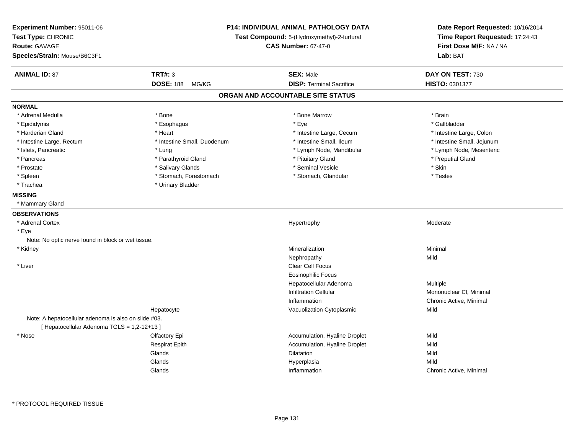| Experiment Number: 95011-06<br>Test Type: CHRONIC<br><b>Route: GAVAGE</b><br>Species/Strain: Mouse/B6C3F1 |                             | P14: INDIVIDUAL ANIMAL PATHOLOGY DATA<br>Test Compound: 5-(Hydroxymethyl)-2-furfural<br><b>CAS Number: 67-47-0</b> | Date Report Requested: 10/16/2014<br>Time Report Requested: 17:24:43<br>First Dose M/F: NA / NA<br>Lab: BAT |
|-----------------------------------------------------------------------------------------------------------|-----------------------------|--------------------------------------------------------------------------------------------------------------------|-------------------------------------------------------------------------------------------------------------|
| <b>ANIMAL ID: 87</b>                                                                                      | <b>TRT#: 3</b>              | <b>SEX: Male</b>                                                                                                   | DAY ON TEST: 730                                                                                            |
|                                                                                                           | <b>DOSE: 188</b><br>MG/KG   | <b>DISP: Terminal Sacrifice</b>                                                                                    | <b>HISTO: 0301377</b>                                                                                       |
|                                                                                                           |                             | ORGAN AND ACCOUNTABLE SITE STATUS                                                                                  |                                                                                                             |
| <b>NORMAL</b>                                                                                             |                             |                                                                                                                    |                                                                                                             |
| * Adrenal Medulla                                                                                         | * Bone                      | * Bone Marrow                                                                                                      | * Brain                                                                                                     |
| * Epididymis                                                                                              | * Esophagus                 | * Eye                                                                                                              | * Gallbladder                                                                                               |
| * Harderian Gland                                                                                         | * Heart                     | * Intestine Large, Cecum                                                                                           | * Intestine Large, Colon                                                                                    |
| * Intestine Large, Rectum                                                                                 | * Intestine Small, Duodenum | * Intestine Small, Ileum                                                                                           | * Intestine Small, Jejunum                                                                                  |
| * Islets, Pancreatic                                                                                      | * Lung                      | * Lymph Node, Mandibular                                                                                           | * Lymph Node, Mesenteric                                                                                    |
| * Pancreas                                                                                                | * Parathyroid Gland         | * Pituitary Gland                                                                                                  | * Preputial Gland                                                                                           |
| * Prostate                                                                                                | * Salivary Glands           | * Seminal Vesicle                                                                                                  | * Skin                                                                                                      |
| $*$ Spleen                                                                                                | * Stomach, Forestomach      | * Stomach, Glandular                                                                                               | * Testes                                                                                                    |
| * Trachea                                                                                                 | * Urinary Bladder           |                                                                                                                    |                                                                                                             |
| <b>MISSING</b>                                                                                            |                             |                                                                                                                    |                                                                                                             |
| * Mammary Gland                                                                                           |                             |                                                                                                                    |                                                                                                             |
| <b>OBSERVATIONS</b>                                                                                       |                             |                                                                                                                    |                                                                                                             |
| * Adrenal Cortex                                                                                          |                             | Hypertrophy                                                                                                        | Moderate                                                                                                    |
| * Eye                                                                                                     |                             |                                                                                                                    |                                                                                                             |
| Note: No optic nerve found in block or wet tissue.                                                        |                             |                                                                                                                    |                                                                                                             |
| * Kidney                                                                                                  |                             | Mineralization                                                                                                     | Minimal                                                                                                     |
|                                                                                                           |                             | Nephropathy                                                                                                        | Mild                                                                                                        |
| * Liver                                                                                                   |                             | Clear Cell Focus                                                                                                   |                                                                                                             |
|                                                                                                           |                             | <b>Eosinophilic Focus</b>                                                                                          |                                                                                                             |
|                                                                                                           |                             | Hepatocellular Adenoma                                                                                             | Multiple                                                                                                    |
|                                                                                                           |                             | <b>Infiltration Cellular</b>                                                                                       | Mononuclear CI, Minimal                                                                                     |
|                                                                                                           |                             | Inflammation                                                                                                       | Chronic Active, Minimal                                                                                     |
|                                                                                                           | Hepatocyte                  | Vacuolization Cytoplasmic                                                                                          | Mild                                                                                                        |
| Note: A hepatocellular adenoma is also on slide #03.                                                      |                             |                                                                                                                    |                                                                                                             |
| [ Hepatocellular Adenoma TGLS = 1,2-12+13 ]                                                               |                             |                                                                                                                    |                                                                                                             |
| * Nose                                                                                                    | Olfactory Epi               | Accumulation, Hyaline Droplet                                                                                      | Mild                                                                                                        |
|                                                                                                           | <b>Respirat Epith</b>       | Accumulation, Hyaline Droplet                                                                                      | Mild                                                                                                        |
|                                                                                                           | Glands                      | Dilatation                                                                                                         | Mild                                                                                                        |
|                                                                                                           | Glands                      | Hyperplasia                                                                                                        | Mild                                                                                                        |
|                                                                                                           | Glands                      | Inflammation                                                                                                       | Chronic Active, Minimal                                                                                     |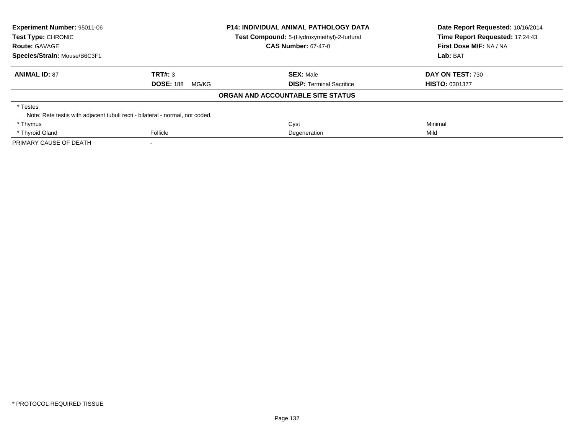| Experiment Number: 95011-06<br>Test Type: CHRONIC                             |                           | <b>P14: INDIVIDUAL ANIMAL PATHOLOGY DATA</b> | Date Report Requested: 10/16/2014<br>Time Report Requested: 17:24:43 |  |
|-------------------------------------------------------------------------------|---------------------------|----------------------------------------------|----------------------------------------------------------------------|--|
|                                                                               |                           | Test Compound: 5-(Hydroxymethyl)-2-furfural  |                                                                      |  |
| <b>Route: GAVAGE</b>                                                          |                           | <b>CAS Number: 67-47-0</b>                   | First Dose M/F: NA / NA                                              |  |
| Species/Strain: Mouse/B6C3F1                                                  |                           |                                              | Lab: BAT                                                             |  |
| <b>ANIMAL ID: 87</b>                                                          | TRT#: 3                   | <b>SEX: Male</b>                             | DAY ON TEST: 730                                                     |  |
|                                                                               | <b>DOSE: 188</b><br>MG/KG | <b>DISP: Terminal Sacrifice</b>              | <b>HISTO: 0301377</b>                                                |  |
|                                                                               |                           | ORGAN AND ACCOUNTABLE SITE STATUS            |                                                                      |  |
| * Testes                                                                      |                           |                                              |                                                                      |  |
| Note: Rete testis with adjacent tubuli recti - bilateral - normal, not coded. |                           |                                              |                                                                      |  |
| * Thymus                                                                      |                           | Cyst                                         | Minimal                                                              |  |
| * Thyroid Gland                                                               | Follicle                  | Degeneration                                 | Mild                                                                 |  |
| PRIMARY CAUSE OF DEATH                                                        | $\overline{\phantom{a}}$  |                                              |                                                                      |  |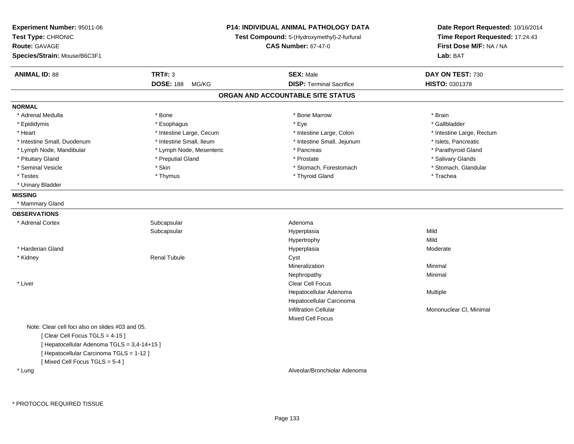| Experiment Number: 95011-06<br>Test Type: CHRONIC<br><b>Route: GAVAGE</b><br>Species/Strain: Mouse/B6C3F1 |                           | P14: INDIVIDUAL ANIMAL PATHOLOGY DATA<br>Test Compound: 5-(Hydroxymethyl)-2-furfural<br><b>CAS Number: 67-47-0</b> | Date Report Requested: 10/16/2014<br>Time Report Requested: 17:24:43<br>First Dose M/F: NA / NA<br>Lab: BAT |
|-----------------------------------------------------------------------------------------------------------|---------------------------|--------------------------------------------------------------------------------------------------------------------|-------------------------------------------------------------------------------------------------------------|
| <b>ANIMAL ID: 88</b>                                                                                      | <b>TRT#: 3</b>            | <b>SEX: Male</b><br><b>DISP: Terminal Sacrifice</b>                                                                | DAY ON TEST: 730                                                                                            |
|                                                                                                           | <b>DOSE: 188</b><br>MG/KG |                                                                                                                    | HISTO: 0301378                                                                                              |
|                                                                                                           |                           | ORGAN AND ACCOUNTABLE SITE STATUS                                                                                  |                                                                                                             |
| <b>NORMAL</b>                                                                                             |                           |                                                                                                                    |                                                                                                             |
| * Adrenal Medulla                                                                                         | * Bone                    | * Bone Marrow                                                                                                      | * Brain                                                                                                     |
| * Epididymis                                                                                              | * Esophagus               | * Eye                                                                                                              | * Gallbladder                                                                                               |
| * Heart                                                                                                   | * Intestine Large, Cecum  | * Intestine Large, Colon                                                                                           | * Intestine Large, Rectum                                                                                   |
| * Intestine Small, Duodenum                                                                               | * Intestine Small, Ileum  | * Intestine Small, Jejunum                                                                                         | * Islets, Pancreatic                                                                                        |
| * Lymph Node, Mandibular                                                                                  | * Lymph Node, Mesenteric  | * Pancreas                                                                                                         | * Parathyroid Gland                                                                                         |
| * Pituitary Gland                                                                                         | * Preputial Gland         | * Prostate                                                                                                         | * Salivary Glands                                                                                           |
| * Seminal Vesicle                                                                                         | * Skin                    | * Stomach, Forestomach                                                                                             | * Stomach, Glandular                                                                                        |
| * Testes                                                                                                  | * Thymus                  | * Thyroid Gland                                                                                                    | * Trachea                                                                                                   |
| * Urinary Bladder                                                                                         |                           |                                                                                                                    |                                                                                                             |
| <b>MISSING</b>                                                                                            |                           |                                                                                                                    |                                                                                                             |
| * Mammary Gland                                                                                           |                           |                                                                                                                    |                                                                                                             |
| <b>OBSERVATIONS</b>                                                                                       |                           |                                                                                                                    |                                                                                                             |
| * Adrenal Cortex                                                                                          | Subcapsular               | Adenoma                                                                                                            |                                                                                                             |
|                                                                                                           | Subcapsular               | Hyperplasia                                                                                                        | Mild                                                                                                        |
|                                                                                                           |                           | Hypertrophy                                                                                                        | Mild                                                                                                        |
| * Harderian Gland                                                                                         |                           | Hyperplasia                                                                                                        | Moderate                                                                                                    |
| * Kidney                                                                                                  | <b>Renal Tubule</b>       | Cyst                                                                                                               |                                                                                                             |
|                                                                                                           |                           | Mineralization                                                                                                     | Minimal                                                                                                     |
|                                                                                                           |                           | Nephropathy                                                                                                        | Minimal                                                                                                     |
| * Liver                                                                                                   |                           | Clear Cell Focus                                                                                                   |                                                                                                             |
|                                                                                                           |                           | Hepatocellular Adenoma                                                                                             | Multiple                                                                                                    |
|                                                                                                           |                           | Hepatocellular Carcinoma                                                                                           |                                                                                                             |
|                                                                                                           |                           | <b>Infiltration Cellular</b>                                                                                       | Mononuclear CI, Minimal                                                                                     |
|                                                                                                           |                           | Mixed Cell Focus                                                                                                   |                                                                                                             |
| Note: Clear cell foci also on slides #03 and 05.                                                          |                           |                                                                                                                    |                                                                                                             |
| [Clear Cell Focus TGLS = 4-15]                                                                            |                           |                                                                                                                    |                                                                                                             |
| [ Hepatocellular Adenoma TGLS = 3,4-14+15 ]                                                               |                           |                                                                                                                    |                                                                                                             |
| [ Hepatocellular Carcinoma TGLS = 1-12 ]                                                                  |                           |                                                                                                                    |                                                                                                             |
| [Mixed Cell Focus TGLS = $5-4$ ]                                                                          |                           |                                                                                                                    |                                                                                                             |
| * Lung                                                                                                    |                           | Alveolar/Bronchiolar Adenoma                                                                                       |                                                                                                             |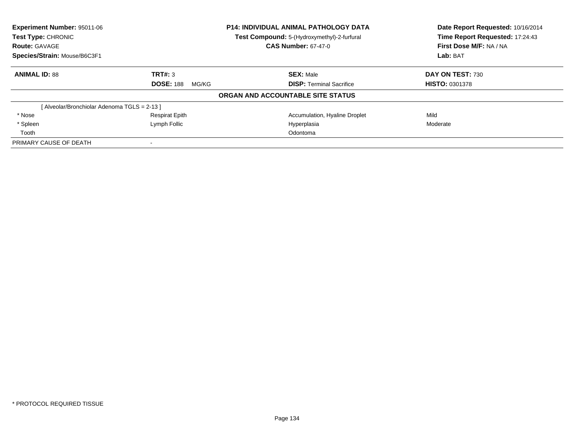| <b>Experiment Number: 95011-06</b>          |                           | <b>P14: INDIVIDUAL ANIMAL PATHOLOGY DATA</b> | Date Report Requested: 10/16/2014 |  |
|---------------------------------------------|---------------------------|----------------------------------------------|-----------------------------------|--|
| Test Type: CHRONIC                          |                           | Test Compound: 5-(Hydroxymethyl)-2-furfural  | Time Report Requested: 17:24:43   |  |
| <b>Route: GAVAGE</b>                        |                           | <b>CAS Number: 67-47-0</b>                   | First Dose M/F: NA / NA           |  |
| Species/Strain: Mouse/B6C3F1                |                           |                                              | Lab: BAT                          |  |
| <b>ANIMAL ID: 88</b>                        | TRT#: 3                   | <b>SEX: Male</b>                             | DAY ON TEST: 730                  |  |
|                                             | <b>DOSE: 188</b><br>MG/KG | <b>DISP:</b> Terminal Sacrifice              | <b>HISTO: 0301378</b>             |  |
|                                             |                           | ORGAN AND ACCOUNTABLE SITE STATUS            |                                   |  |
| [Alveolar/Bronchiolar Adenoma TGLS = 2-13 ] |                           |                                              |                                   |  |
| * Nose                                      | <b>Respirat Epith</b>     | Accumulation, Hyaline Droplet                | Mild                              |  |
| * Spleen                                    | Lymph Follic              | Hyperplasia                                  | Moderate                          |  |
| Tooth                                       |                           | Odontoma                                     |                                   |  |
| PRIMARY CAUSE OF DEATH                      |                           |                                              |                                   |  |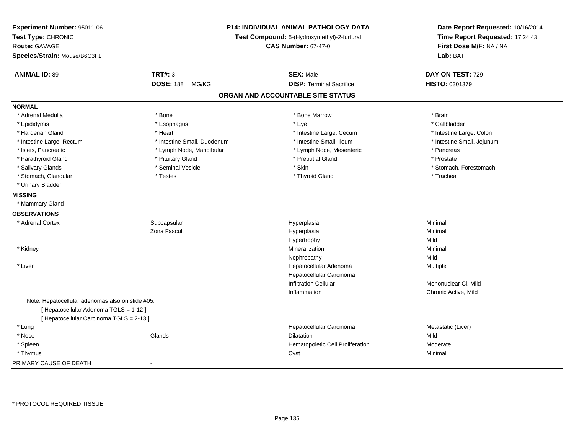| Experiment Number: 95011-06<br>Test Type: CHRONIC<br>Route: GAVAGE<br>Species/Strain: Mouse/B6C3F1 | P14: INDIVIDUAL ANIMAL PATHOLOGY DATA<br>Test Compound: 5-(Hydroxymethyl)-2-furfural<br><b>CAS Number: 67-47-0</b> |                                   | Date Report Requested: 10/16/2014<br>Time Report Requested: 17:24:43<br>First Dose M/F: NA / NA<br>Lab: BAT |
|----------------------------------------------------------------------------------------------------|--------------------------------------------------------------------------------------------------------------------|-----------------------------------|-------------------------------------------------------------------------------------------------------------|
| <b>ANIMAL ID: 89</b>                                                                               | <b>TRT#: 3</b>                                                                                                     | <b>SEX: Male</b>                  | DAY ON TEST: 729                                                                                            |
|                                                                                                    | <b>DOSE: 188</b><br>MG/KG                                                                                          | <b>DISP: Terminal Sacrifice</b>   | HISTO: 0301379                                                                                              |
|                                                                                                    |                                                                                                                    | ORGAN AND ACCOUNTABLE SITE STATUS |                                                                                                             |
| <b>NORMAL</b>                                                                                      |                                                                                                                    |                                   |                                                                                                             |
| * Adrenal Medulla                                                                                  | * Bone                                                                                                             | * Bone Marrow                     | * Brain                                                                                                     |
| * Epididymis                                                                                       | * Esophagus                                                                                                        | * Eye                             | * Gallbladder                                                                                               |
| * Harderian Gland                                                                                  | * Heart                                                                                                            | * Intestine Large, Cecum          | * Intestine Large, Colon                                                                                    |
| * Intestine Large, Rectum                                                                          | * Intestine Small, Duodenum                                                                                        | * Intestine Small, Ileum          | * Intestine Small, Jejunum                                                                                  |
| * Islets, Pancreatic                                                                               | * Lymph Node, Mandibular                                                                                           | * Lymph Node, Mesenteric          | * Pancreas                                                                                                  |
| * Parathyroid Gland                                                                                | * Pituitary Gland                                                                                                  | * Preputial Gland                 | * Prostate                                                                                                  |
| * Salivary Glands                                                                                  | * Seminal Vesicle                                                                                                  | * Skin                            | * Stomach, Forestomach                                                                                      |
| * Stomach, Glandular                                                                               | * Testes                                                                                                           | * Thyroid Gland                   | * Trachea                                                                                                   |
| * Urinary Bladder                                                                                  |                                                                                                                    |                                   |                                                                                                             |
| <b>MISSING</b>                                                                                     |                                                                                                                    |                                   |                                                                                                             |
| * Mammary Gland                                                                                    |                                                                                                                    |                                   |                                                                                                             |
| <b>OBSERVATIONS</b>                                                                                |                                                                                                                    |                                   |                                                                                                             |
| * Adrenal Cortex                                                                                   | Subcapsular                                                                                                        | Hyperplasia                       | Minimal                                                                                                     |
|                                                                                                    | Zona Fascult                                                                                                       | Hyperplasia                       | Minimal                                                                                                     |
|                                                                                                    |                                                                                                                    | Hypertrophy                       | Mild                                                                                                        |
| * Kidney                                                                                           |                                                                                                                    | Mineralization                    | Minimal                                                                                                     |
|                                                                                                    |                                                                                                                    | Nephropathy                       | Mild                                                                                                        |
| * Liver                                                                                            |                                                                                                                    | Hepatocellular Adenoma            | Multiple                                                                                                    |
|                                                                                                    |                                                                                                                    | Hepatocellular Carcinoma          |                                                                                                             |
|                                                                                                    |                                                                                                                    | <b>Infiltration Cellular</b>      | Mononuclear CI, Mild                                                                                        |
|                                                                                                    |                                                                                                                    | Inflammation                      | Chronic Active, Mild                                                                                        |
| Note: Hepatocellular adenomas also on slide #05.                                                   |                                                                                                                    |                                   |                                                                                                             |
| [ Hepatocellular Adenoma TGLS = 1-12 ]                                                             |                                                                                                                    |                                   |                                                                                                             |
| [ Hepatocellular Carcinoma TGLS = 2-13 ]                                                           |                                                                                                                    |                                   |                                                                                                             |
| * Lung                                                                                             |                                                                                                                    | Hepatocellular Carcinoma          | Metastatic (Liver)                                                                                          |
| * Nose                                                                                             | Glands                                                                                                             | <b>Dilatation</b>                 | Mild                                                                                                        |
| * Spleen                                                                                           |                                                                                                                    | Hematopoietic Cell Proliferation  | Moderate                                                                                                    |
| * Thymus                                                                                           |                                                                                                                    | Cyst                              | Minimal                                                                                                     |
| PRIMARY CAUSE OF DEATH                                                                             | $\sim$                                                                                                             |                                   |                                                                                                             |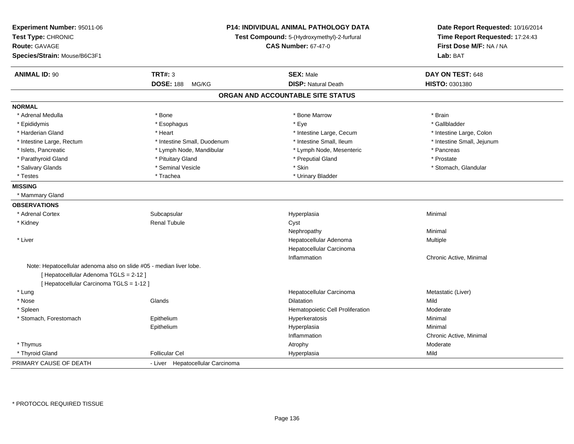| Experiment Number: 95011-06<br>Test Type: CHRONIC<br><b>Route: GAVAGE</b><br>Species/Strain: Mouse/B6C3F1 | P14: INDIVIDUAL ANIMAL PATHOLOGY DATA<br>Test Compound: 5-(Hydroxymethyl)-2-furfural<br><b>CAS Number: 67-47-0</b> |                                   | Date Report Requested: 10/16/2014<br>Time Report Requested: 17:24:43<br>First Dose M/F: NA / NA<br>Lab: BAT |
|-----------------------------------------------------------------------------------------------------------|--------------------------------------------------------------------------------------------------------------------|-----------------------------------|-------------------------------------------------------------------------------------------------------------|
| <b>ANIMAL ID: 90</b>                                                                                      | TRT#: 3                                                                                                            | <b>SEX: Male</b>                  | DAY ON TEST: 648                                                                                            |
|                                                                                                           | <b>DOSE: 188</b><br>MG/KG                                                                                          | <b>DISP: Natural Death</b>        | HISTO: 0301380                                                                                              |
|                                                                                                           |                                                                                                                    | ORGAN AND ACCOUNTABLE SITE STATUS |                                                                                                             |
| <b>NORMAL</b>                                                                                             |                                                                                                                    |                                   |                                                                                                             |
| * Adrenal Medulla                                                                                         | * Bone                                                                                                             | * Bone Marrow                     | * Brain                                                                                                     |
| * Epididymis                                                                                              | * Esophagus                                                                                                        | * Eye                             | * Gallbladder                                                                                               |
| * Harderian Gland                                                                                         | * Heart                                                                                                            | * Intestine Large, Cecum          | * Intestine Large, Colon                                                                                    |
| * Intestine Large, Rectum                                                                                 | * Intestine Small, Duodenum                                                                                        | * Intestine Small, Ileum          | * Intestine Small, Jejunum                                                                                  |
| * Islets, Pancreatic                                                                                      | * Lymph Node, Mandibular                                                                                           | * Lymph Node, Mesenteric          | * Pancreas                                                                                                  |
| * Parathyroid Gland                                                                                       | * Pituitary Gland                                                                                                  | * Preputial Gland                 | * Prostate                                                                                                  |
| * Salivary Glands                                                                                         | * Seminal Vesicle                                                                                                  | * Skin                            | * Stomach, Glandular                                                                                        |
| * Testes                                                                                                  | * Trachea                                                                                                          | * Urinary Bladder                 |                                                                                                             |
| <b>MISSING</b>                                                                                            |                                                                                                                    |                                   |                                                                                                             |
| * Mammary Gland                                                                                           |                                                                                                                    |                                   |                                                                                                             |
| <b>OBSERVATIONS</b>                                                                                       |                                                                                                                    |                                   |                                                                                                             |
| * Adrenal Cortex                                                                                          | Subcapsular                                                                                                        | Hyperplasia                       | Minimal                                                                                                     |
| * Kidney                                                                                                  | <b>Renal Tubule</b>                                                                                                | Cyst                              |                                                                                                             |
|                                                                                                           |                                                                                                                    | Nephropathy                       | Minimal                                                                                                     |
| * Liver                                                                                                   |                                                                                                                    | Hepatocellular Adenoma            | Multiple                                                                                                    |
|                                                                                                           |                                                                                                                    | Hepatocellular Carcinoma          |                                                                                                             |
|                                                                                                           |                                                                                                                    | Inflammation                      | Chronic Active, Minimal                                                                                     |
| Note: Hepatocellular adenoma also on slide #05 - median liver lobe.                                       |                                                                                                                    |                                   |                                                                                                             |
| [Hepatocellular Adenoma TGLS = 2-12]                                                                      |                                                                                                                    |                                   |                                                                                                             |
| [ Hepatocellular Carcinoma TGLS = 1-12 ]                                                                  |                                                                                                                    |                                   |                                                                                                             |
| * Lung                                                                                                    |                                                                                                                    | Hepatocellular Carcinoma          | Metastatic (Liver)                                                                                          |
| * Nose                                                                                                    | Glands                                                                                                             | Dilatation                        | Mild                                                                                                        |
| * Spleen                                                                                                  |                                                                                                                    | Hematopoietic Cell Proliferation  | Moderate                                                                                                    |
| * Stomach, Forestomach                                                                                    | Epithelium                                                                                                         | Hyperkeratosis                    | Minimal                                                                                                     |
|                                                                                                           | Epithelium                                                                                                         | Hyperplasia                       | Minimal                                                                                                     |
|                                                                                                           |                                                                                                                    | Inflammation                      | Chronic Active, Minimal                                                                                     |
| * Thymus                                                                                                  |                                                                                                                    | Atrophy                           | Moderate                                                                                                    |
| * Thyroid Gland                                                                                           | <b>Follicular Cel</b>                                                                                              | Hyperplasia                       | Mild                                                                                                        |
| PRIMARY CAUSE OF DEATH                                                                                    | - Liver Hepatocellular Carcinoma                                                                                   |                                   |                                                                                                             |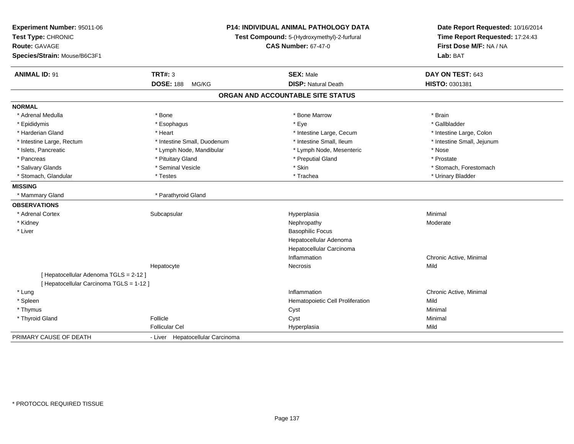| Experiment Number: 95011-06<br>Test Type: CHRONIC<br><b>Route: GAVAGE</b><br>Species/Strain: Mouse/B6C3F1 | P14: INDIVIDUAL ANIMAL PATHOLOGY DATA<br>Test Compound: 5-(Hydroxymethyl)-2-furfural<br><b>CAS Number: 67-47-0</b> |                                                | Date Report Requested: 10/16/2014<br>Time Report Requested: 17:24:43<br>First Dose M/F: NA / NA<br>Lab: BAT |
|-----------------------------------------------------------------------------------------------------------|--------------------------------------------------------------------------------------------------------------------|------------------------------------------------|-------------------------------------------------------------------------------------------------------------|
| <b>ANIMAL ID: 91</b>                                                                                      | <b>TRT#: 3</b><br><b>DOSE: 188</b><br>MG/KG                                                                        | <b>SEX: Male</b><br><b>DISP: Natural Death</b> | DAY ON TEST: 643<br>HISTO: 0301381                                                                          |
|                                                                                                           |                                                                                                                    |                                                |                                                                                                             |
|                                                                                                           |                                                                                                                    | ORGAN AND ACCOUNTABLE SITE STATUS              |                                                                                                             |
| <b>NORMAL</b>                                                                                             |                                                                                                                    |                                                |                                                                                                             |
| * Adrenal Medulla                                                                                         | * Bone                                                                                                             | * Bone Marrow                                  | * Brain                                                                                                     |
| * Epididymis                                                                                              | * Esophagus                                                                                                        | * Eye                                          | * Gallbladder                                                                                               |
| * Harderian Gland                                                                                         | * Heart                                                                                                            | * Intestine Large, Cecum                       | * Intestine Large, Colon                                                                                    |
| * Intestine Large, Rectum                                                                                 | * Intestine Small, Duodenum                                                                                        | * Intestine Small, Ileum                       | * Intestine Small, Jejunum                                                                                  |
| * Islets, Pancreatic                                                                                      | * Lymph Node, Mandibular                                                                                           | * Lymph Node, Mesenteric                       | * Nose                                                                                                      |
| * Pancreas                                                                                                | * Pituitary Gland                                                                                                  | * Preputial Gland                              | * Prostate                                                                                                  |
| * Salivary Glands                                                                                         | * Seminal Vesicle                                                                                                  | * Skin                                         | * Stomach, Forestomach                                                                                      |
| * Stomach, Glandular                                                                                      | * Testes                                                                                                           | * Trachea                                      | * Urinary Bladder                                                                                           |
| <b>MISSING</b>                                                                                            |                                                                                                                    |                                                |                                                                                                             |
| * Mammary Gland                                                                                           | * Parathyroid Gland                                                                                                |                                                |                                                                                                             |
| <b>OBSERVATIONS</b>                                                                                       |                                                                                                                    |                                                |                                                                                                             |
| * Adrenal Cortex                                                                                          | Subcapsular                                                                                                        | Hyperplasia                                    | Minimal                                                                                                     |
| * Kidney                                                                                                  |                                                                                                                    | Nephropathy                                    | Moderate                                                                                                    |
| * Liver                                                                                                   |                                                                                                                    | <b>Basophilic Focus</b>                        |                                                                                                             |
|                                                                                                           |                                                                                                                    | Hepatocellular Adenoma                         |                                                                                                             |
|                                                                                                           |                                                                                                                    | Hepatocellular Carcinoma                       |                                                                                                             |
|                                                                                                           |                                                                                                                    | Inflammation                                   | Chronic Active, Minimal                                                                                     |
|                                                                                                           | Hepatocyte                                                                                                         | <b>Necrosis</b>                                | Mild                                                                                                        |
| [ Hepatocellular Adenoma TGLS = 2-12 ]                                                                    |                                                                                                                    |                                                |                                                                                                             |
| [ Hepatocellular Carcinoma TGLS = 1-12 ]                                                                  |                                                                                                                    |                                                |                                                                                                             |
| * Lung                                                                                                    |                                                                                                                    | Inflammation                                   | Chronic Active, Minimal                                                                                     |
| * Spleen                                                                                                  |                                                                                                                    | Hematopoietic Cell Proliferation               | Mild                                                                                                        |
| * Thymus                                                                                                  |                                                                                                                    | Cyst                                           | Minimal                                                                                                     |
| * Thyroid Gland                                                                                           | Follicle                                                                                                           | Cyst                                           | Minimal                                                                                                     |
|                                                                                                           | <b>Follicular Cel</b>                                                                                              | Hyperplasia                                    | Mild                                                                                                        |
| PRIMARY CAUSE OF DEATH                                                                                    | - Liver Hepatocellular Carcinoma                                                                                   |                                                |                                                                                                             |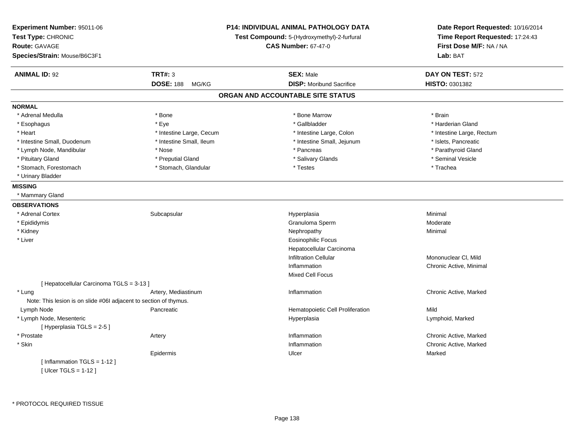| Experiment Number: 95011-06<br>Test Type: CHRONIC<br>Route: GAVAGE<br>Species/Strain: Mouse/B6C3F1 |                           | P14: INDIVIDUAL ANIMAL PATHOLOGY DATA<br>Test Compound: 5-(Hydroxymethyl)-2-furfural<br><b>CAS Number: 67-47-0</b> | Date Report Requested: 10/16/2014<br>Time Report Requested: 17:24:43<br>First Dose M/F: NA / NA<br>Lab: BAT |
|----------------------------------------------------------------------------------------------------|---------------------------|--------------------------------------------------------------------------------------------------------------------|-------------------------------------------------------------------------------------------------------------|
| <b>ANIMAL ID: 92</b>                                                                               | <b>TRT#: 3</b>            | <b>SEX: Male</b>                                                                                                   | DAY ON TEST: 572                                                                                            |
|                                                                                                    | <b>DOSE: 188</b><br>MG/KG | <b>DISP:</b> Moribund Sacrifice                                                                                    | <b>HISTO: 0301382</b>                                                                                       |
|                                                                                                    |                           | ORGAN AND ACCOUNTABLE SITE STATUS                                                                                  |                                                                                                             |
| <b>NORMAL</b>                                                                                      |                           |                                                                                                                    |                                                                                                             |
| * Adrenal Medulla                                                                                  | * Bone                    | * Bone Marrow                                                                                                      | * Brain                                                                                                     |
| * Esophagus                                                                                        | * Eye                     | * Gallbladder                                                                                                      | * Harderian Gland                                                                                           |
| * Heart                                                                                            | * Intestine Large, Cecum  | * Intestine Large, Colon                                                                                           | * Intestine Large, Rectum                                                                                   |
| * Intestine Small, Duodenum                                                                        | * Intestine Small, Ileum  | * Intestine Small, Jejunum                                                                                         | * Islets, Pancreatic                                                                                        |
| * Lymph Node, Mandibular                                                                           | * Nose                    | * Pancreas                                                                                                         | * Parathyroid Gland                                                                                         |
| * Pituitary Gland                                                                                  | * Preputial Gland         | * Salivary Glands                                                                                                  | * Seminal Vesicle                                                                                           |
| * Stomach, Forestomach                                                                             | * Stomach, Glandular      | * Testes                                                                                                           | * Trachea                                                                                                   |
| * Urinary Bladder                                                                                  |                           |                                                                                                                    |                                                                                                             |
| <b>MISSING</b>                                                                                     |                           |                                                                                                                    |                                                                                                             |
| * Mammary Gland                                                                                    |                           |                                                                                                                    |                                                                                                             |
| <b>OBSERVATIONS</b>                                                                                |                           |                                                                                                                    |                                                                                                             |
| * Adrenal Cortex                                                                                   | Subcapsular               | Hyperplasia                                                                                                        | Minimal                                                                                                     |
| * Epididymis                                                                                       |                           | Granuloma Sperm                                                                                                    | Moderate                                                                                                    |
| * Kidney                                                                                           |                           | Nephropathy                                                                                                        | Minimal                                                                                                     |
| * Liver                                                                                            |                           | <b>Eosinophilic Focus</b>                                                                                          |                                                                                                             |
|                                                                                                    |                           | Hepatocellular Carcinoma                                                                                           |                                                                                                             |
|                                                                                                    |                           | <b>Infiltration Cellular</b>                                                                                       | Mononuclear CI, Mild                                                                                        |
|                                                                                                    |                           | Inflammation                                                                                                       | Chronic Active, Minimal                                                                                     |
|                                                                                                    |                           | Mixed Cell Focus                                                                                                   |                                                                                                             |
| [ Hepatocellular Carcinoma TGLS = 3-13 ]                                                           |                           |                                                                                                                    |                                                                                                             |
| * Lung                                                                                             | Artery, Mediastinum       | Inflammation                                                                                                       | Chronic Active, Marked                                                                                      |
| Note: This lesion is on slide #06I adjacent to section of thymus.                                  |                           |                                                                                                                    |                                                                                                             |
| Lymph Node                                                                                         | Pancreatic                | Hematopoietic Cell Proliferation                                                                                   | Mild                                                                                                        |
| * Lymph Node, Mesenteric                                                                           |                           | Hyperplasia                                                                                                        | Lymphoid, Marked                                                                                            |
| [Hyperplasia TGLS = 2-5]                                                                           |                           |                                                                                                                    |                                                                                                             |
| * Prostate                                                                                         | Artery                    | Inflammation                                                                                                       | Chronic Active, Marked                                                                                      |
| * Skin                                                                                             |                           | Inflammation                                                                                                       | Chronic Active, Marked                                                                                      |
|                                                                                                    | Epidermis                 | Ulcer                                                                                                              | Marked                                                                                                      |
| [Inflammation TGLS = 1-12]                                                                         |                           |                                                                                                                    |                                                                                                             |
| [ $Ulcer TGLS = 1-12$ ]                                                                            |                           |                                                                                                                    |                                                                                                             |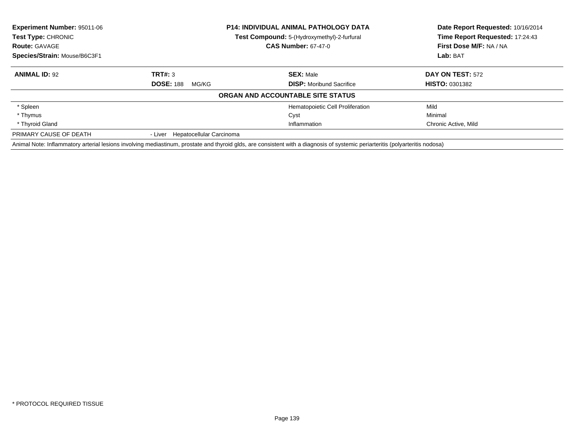| <b>Experiment Number: 95011-06</b><br><b>Test Type: CHRONIC</b> |                                  | <b>P14: INDIVIDUAL ANIMAL PATHOLOGY DATA</b>                                                                                                                                  | Date Report Requested: 10/16/2014<br>Time Report Requested: 17:24:43 |
|-----------------------------------------------------------------|----------------------------------|-------------------------------------------------------------------------------------------------------------------------------------------------------------------------------|----------------------------------------------------------------------|
|                                                                 |                                  | <b>Test Compound:</b> 5-(Hydroxymethyl)-2-furfural                                                                                                                            |                                                                      |
| <b>Route: GAVAGE</b>                                            |                                  | <b>CAS Number: 67-47-0</b>                                                                                                                                                    | First Dose M/F: NA / NA                                              |
| Species/Strain: Mouse/B6C3F1                                    |                                  |                                                                                                                                                                               | Lab: BAT                                                             |
| <b>ANIMAL ID: 92</b>                                            | TRT#: 3                          | <b>SEX: Male</b>                                                                                                                                                              | <b>DAY ON TEST: 572</b>                                              |
|                                                                 | <b>DOSE: 188</b><br>MG/KG        | <b>DISP:</b> Moribund Sacrifice                                                                                                                                               | <b>HISTO: 0301382</b>                                                |
|                                                                 |                                  | ORGAN AND ACCOUNTABLE SITE STATUS                                                                                                                                             |                                                                      |
| * Spleen                                                        |                                  | Hematopoietic Cell Proliferation                                                                                                                                              | Mild                                                                 |
| * Thymus                                                        |                                  | Cyst                                                                                                                                                                          | Minimal                                                              |
| * Thyroid Gland                                                 |                                  | Inflammation                                                                                                                                                                  | Chronic Active, Mild                                                 |
| PRIMARY CAUSE OF DEATH                                          | - Liver Hepatocellular Carcinoma |                                                                                                                                                                               |                                                                      |
|                                                                 |                                  | Animal Note: Inflammatory arterial lesions involving mediastinum, prostate and thyroid glds, are consistent with a diagnosis of systemic periarteritis (polyarteritis nodosa) |                                                                      |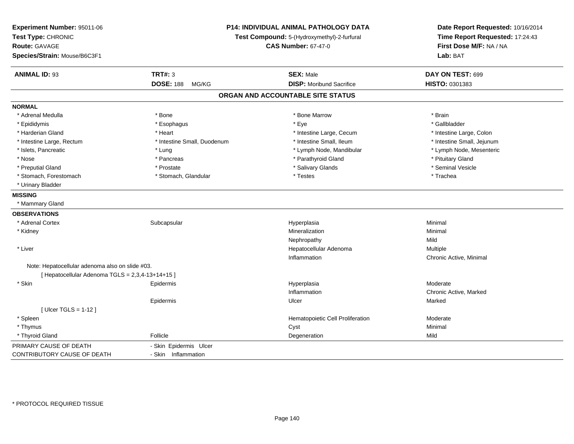| Experiment Number: 95011-06<br>Test Type: CHRONIC<br><b>Route: GAVAGE</b><br>Species/Strain: Mouse/B6C3F1 | P14: INDIVIDUAL ANIMAL PATHOLOGY DATA<br>Test Compound: 5-(Hydroxymethyl)-2-furfural<br><b>CAS Number: 67-47-0</b> |                                   | Date Report Requested: 10/16/2014<br>Time Report Requested: 17:24:43<br>First Dose M/F: NA / NA<br>Lab: BAT |
|-----------------------------------------------------------------------------------------------------------|--------------------------------------------------------------------------------------------------------------------|-----------------------------------|-------------------------------------------------------------------------------------------------------------|
| <b>ANIMAL ID: 93</b>                                                                                      | <b>TRT#: 3</b>                                                                                                     | <b>SEX: Male</b>                  | DAY ON TEST: 699                                                                                            |
|                                                                                                           | <b>DOSE: 188</b><br>MG/KG                                                                                          | <b>DISP:</b> Moribund Sacrifice   | HISTO: 0301383                                                                                              |
|                                                                                                           |                                                                                                                    | ORGAN AND ACCOUNTABLE SITE STATUS |                                                                                                             |
| <b>NORMAL</b>                                                                                             |                                                                                                                    |                                   |                                                                                                             |
| * Adrenal Medulla                                                                                         | * Bone                                                                                                             | * Bone Marrow                     | * Brain                                                                                                     |
| * Epididymis                                                                                              | * Esophagus                                                                                                        | * Eye                             | * Gallbladder                                                                                               |
| * Harderian Gland                                                                                         | * Heart                                                                                                            | * Intestine Large, Cecum          | * Intestine Large, Colon                                                                                    |
| * Intestine Large, Rectum                                                                                 | * Intestine Small, Duodenum                                                                                        | * Intestine Small, Ileum          | * Intestine Small, Jejunum                                                                                  |
| * Islets, Pancreatic                                                                                      | * Lung                                                                                                             | * Lymph Node, Mandibular          | * Lymph Node, Mesenteric                                                                                    |
| * Nose                                                                                                    | * Pancreas                                                                                                         | * Parathyroid Gland               | * Pituitary Gland                                                                                           |
| * Preputial Gland                                                                                         | * Prostate                                                                                                         | * Salivary Glands                 | * Seminal Vesicle                                                                                           |
| * Stomach, Forestomach                                                                                    | * Stomach, Glandular                                                                                               | * Testes                          | * Trachea                                                                                                   |
| * Urinary Bladder                                                                                         |                                                                                                                    |                                   |                                                                                                             |
| <b>MISSING</b>                                                                                            |                                                                                                                    |                                   |                                                                                                             |
| * Mammary Gland                                                                                           |                                                                                                                    |                                   |                                                                                                             |
| <b>OBSERVATIONS</b>                                                                                       |                                                                                                                    |                                   |                                                                                                             |
| * Adrenal Cortex                                                                                          | Subcapsular                                                                                                        | Hyperplasia                       | Minimal                                                                                                     |
| * Kidney                                                                                                  |                                                                                                                    | Mineralization                    | Minimal                                                                                                     |
|                                                                                                           |                                                                                                                    | Nephropathy                       | Mild                                                                                                        |
| * Liver                                                                                                   |                                                                                                                    | Hepatocellular Adenoma            | <b>Multiple</b>                                                                                             |
|                                                                                                           |                                                                                                                    | Inflammation                      | Chronic Active, Minimal                                                                                     |
| Note: Hepatocellular adenoma also on slide #03.                                                           |                                                                                                                    |                                   |                                                                                                             |
| [ Hepatocellular Adenoma TGLS = 2,3,4-13+14+15 ]                                                          |                                                                                                                    |                                   |                                                                                                             |
| * Skin                                                                                                    | Epidermis                                                                                                          | Hyperplasia                       | Moderate                                                                                                    |
|                                                                                                           |                                                                                                                    | Inflammation                      | Chronic Active, Marked                                                                                      |
|                                                                                                           | Epidermis                                                                                                          | Ulcer                             | Marked                                                                                                      |
| [ Ulcer TGLS = $1-12$ ]                                                                                   |                                                                                                                    |                                   |                                                                                                             |
| * Spleen                                                                                                  |                                                                                                                    | Hematopoietic Cell Proliferation  | Moderate                                                                                                    |
| * Thymus                                                                                                  |                                                                                                                    | Cyst                              | Minimal                                                                                                     |
| * Thyroid Gland                                                                                           | Follicle                                                                                                           | Degeneration                      | Mild                                                                                                        |
| PRIMARY CAUSE OF DEATH                                                                                    | - Skin Epidermis Ulcer                                                                                             |                                   |                                                                                                             |
| CONTRIBUTORY CAUSE OF DEATH                                                                               | - Skin Inflammation                                                                                                |                                   |                                                                                                             |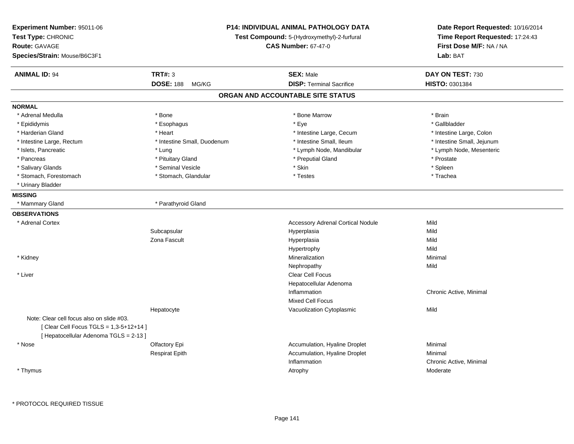| Experiment Number: 95011-06<br>Test Type: CHRONIC<br><b>Route: GAVAGE</b><br>Species/Strain: Mouse/B6C3F1 |                             | P14: INDIVIDUAL ANIMAL PATHOLOGY DATA<br>Test Compound: 5-(Hydroxymethyl)-2-furfural<br><b>CAS Number: 67-47-0</b> | Date Report Requested: 10/16/2014<br>Time Report Requested: 17:24:43<br>First Dose M/F: NA / NA<br>Lab: BAT |
|-----------------------------------------------------------------------------------------------------------|-----------------------------|--------------------------------------------------------------------------------------------------------------------|-------------------------------------------------------------------------------------------------------------|
| <b>ANIMAL ID: 94</b>                                                                                      | <b>TRT#: 3</b>              | <b>SEX: Male</b>                                                                                                   | DAY ON TEST: 730                                                                                            |
|                                                                                                           | <b>DOSE: 188</b><br>MG/KG   | <b>DISP: Terminal Sacrifice</b>                                                                                    | HISTO: 0301384                                                                                              |
|                                                                                                           |                             | ORGAN AND ACCOUNTABLE SITE STATUS                                                                                  |                                                                                                             |
| <b>NORMAL</b>                                                                                             |                             |                                                                                                                    |                                                                                                             |
| * Adrenal Medulla                                                                                         | $*$ Bone                    | * Bone Marrow                                                                                                      | * Brain                                                                                                     |
| * Epididymis                                                                                              | * Esophagus                 | * Eye                                                                                                              | * Gallbladder                                                                                               |
| * Harderian Gland                                                                                         | * Heart                     | * Intestine Large, Cecum                                                                                           | * Intestine Large, Colon                                                                                    |
| * Intestine Large, Rectum                                                                                 | * Intestine Small, Duodenum | * Intestine Small, Ileum                                                                                           | * Intestine Small, Jejunum                                                                                  |
| * Islets, Pancreatic                                                                                      | * Lung                      | * Lymph Node, Mandibular                                                                                           | * Lymph Node, Mesenteric                                                                                    |
| * Pancreas                                                                                                | * Pituitary Gland           | * Preputial Gland                                                                                                  | * Prostate                                                                                                  |
| * Salivary Glands                                                                                         | * Seminal Vesicle           | * Skin                                                                                                             | * Spleen                                                                                                    |
| * Stomach, Forestomach                                                                                    | * Stomach, Glandular        | * Testes                                                                                                           | * Trachea                                                                                                   |
| * Urinary Bladder                                                                                         |                             |                                                                                                                    |                                                                                                             |
| <b>MISSING</b>                                                                                            |                             |                                                                                                                    |                                                                                                             |
| * Mammary Gland                                                                                           | * Parathyroid Gland         |                                                                                                                    |                                                                                                             |
| <b>OBSERVATIONS</b>                                                                                       |                             |                                                                                                                    |                                                                                                             |
| * Adrenal Cortex                                                                                          |                             | <b>Accessory Adrenal Cortical Nodule</b>                                                                           | Mild                                                                                                        |
|                                                                                                           | Subcapsular                 | Hyperplasia                                                                                                        | Mild                                                                                                        |
|                                                                                                           | Zona Fascult                | Hyperplasia                                                                                                        | Mild                                                                                                        |
|                                                                                                           |                             | Hypertrophy                                                                                                        | Mild                                                                                                        |
| * Kidney                                                                                                  |                             | Mineralization                                                                                                     | Minimal                                                                                                     |
|                                                                                                           |                             | Nephropathy                                                                                                        | Mild                                                                                                        |
| * Liver                                                                                                   |                             | <b>Clear Cell Focus</b>                                                                                            |                                                                                                             |
|                                                                                                           |                             | Hepatocellular Adenoma                                                                                             |                                                                                                             |
|                                                                                                           |                             | Inflammation                                                                                                       | Chronic Active, Minimal                                                                                     |
|                                                                                                           |                             | <b>Mixed Cell Focus</b>                                                                                            |                                                                                                             |
|                                                                                                           | Hepatocyte                  | Vacuolization Cytoplasmic                                                                                          | Mild                                                                                                        |
| Note: Clear cell focus also on slide #03.                                                                 |                             |                                                                                                                    |                                                                                                             |
| [ Clear Cell Focus TGLS = 1,3-5+12+14 ]                                                                   |                             |                                                                                                                    |                                                                                                             |
| [ Hepatocellular Adenoma TGLS = 2-13 ]                                                                    |                             |                                                                                                                    |                                                                                                             |
| * Nose                                                                                                    | Olfactory Epi               | Accumulation, Hyaline Droplet                                                                                      | Minimal                                                                                                     |
|                                                                                                           | <b>Respirat Epith</b>       | Accumulation, Hyaline Droplet                                                                                      | Minimal                                                                                                     |
|                                                                                                           |                             | Inflammation                                                                                                       | Chronic Active, Minimal                                                                                     |
| * Thymus                                                                                                  |                             | Atrophy                                                                                                            | Moderate                                                                                                    |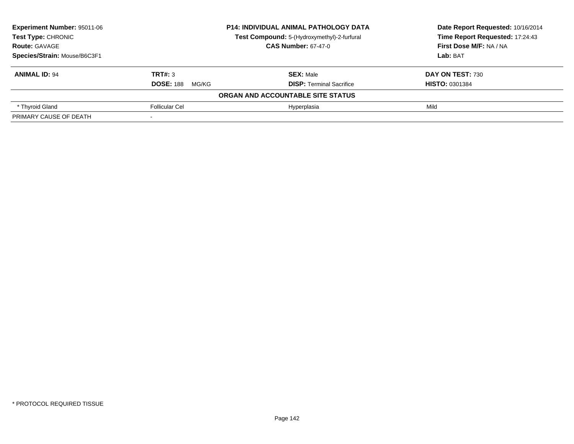| Experiment Number: 95011-06  |                           | <b>P14: INDIVIDUAL ANIMAL PATHOLOGY DATA</b> | Date Report Requested: 10/16/2014 |
|------------------------------|---------------------------|----------------------------------------------|-----------------------------------|
| <b>Test Type: CHRONIC</b>    |                           | Test Compound: 5-(Hydroxymethyl)-2-furfural  | Time Report Requested: 17:24:43   |
| <b>Route: GAVAGE</b>         |                           | <b>CAS Number: 67-47-0</b>                   | First Dose M/F: NA / NA           |
| Species/Strain: Mouse/B6C3F1 |                           |                                              | Lab: BAT                          |
| <b>ANIMAL ID: 94</b>         | TRT#: 3                   | <b>SEX: Male</b>                             | DAY ON TEST: 730                  |
|                              | <b>DOSE: 188</b><br>MG/KG | <b>DISP: Terminal Sacrifice</b>              | <b>HISTO: 0301384</b>             |
|                              |                           | ORGAN AND ACCOUNTABLE SITE STATUS            |                                   |
| * Thyroid Gland              | <b>Follicular Cel</b>     | Hyperplasia                                  | Mild                              |
| PRIMARY CAUSE OF DEATH       |                           |                                              |                                   |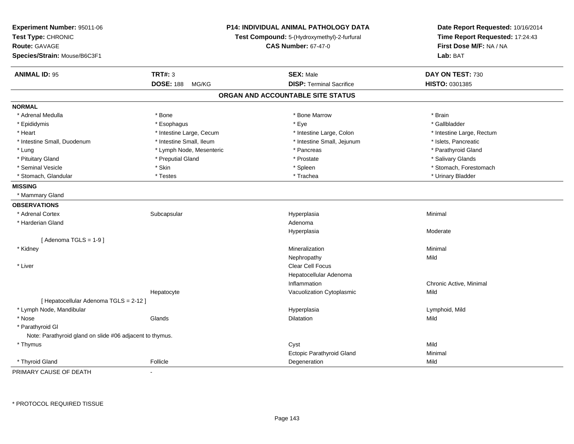| Experiment Number: 95011-06<br>Test Type: CHRONIC<br>Route: GAVAGE<br>Species/Strain: Mouse/B6C3F1 | P14: INDIVIDUAL ANIMAL PATHOLOGY DATA<br>Test Compound: 5-(Hydroxymethyl)-2-furfural<br><b>CAS Number: 67-47-0</b> |                                   | Date Report Requested: 10/16/2014<br>Time Report Requested: 17:24:43<br>First Dose M/F: NA / NA<br>Lab: BAT |
|----------------------------------------------------------------------------------------------------|--------------------------------------------------------------------------------------------------------------------|-----------------------------------|-------------------------------------------------------------------------------------------------------------|
| <b>ANIMAL ID: 95</b>                                                                               | <b>TRT#: 3</b>                                                                                                     | <b>SEX: Male</b>                  | DAY ON TEST: 730                                                                                            |
|                                                                                                    | <b>DOSE: 188</b><br>MG/KG                                                                                          | <b>DISP: Terminal Sacrifice</b>   | HISTO: 0301385                                                                                              |
|                                                                                                    |                                                                                                                    | ORGAN AND ACCOUNTABLE SITE STATUS |                                                                                                             |
| <b>NORMAL</b>                                                                                      |                                                                                                                    |                                   |                                                                                                             |
| * Adrenal Medulla                                                                                  | * Bone                                                                                                             | * Bone Marrow                     | * Brain                                                                                                     |
| * Epididymis                                                                                       | * Esophagus                                                                                                        | * Eye                             | * Gallbladder                                                                                               |
| * Heart                                                                                            | * Intestine Large, Cecum                                                                                           | * Intestine Large, Colon          | * Intestine Large, Rectum                                                                                   |
| * Intestine Small, Duodenum                                                                        | * Intestine Small, Ileum                                                                                           | * Intestine Small, Jejunum        | * Islets, Pancreatic                                                                                        |
| * Lung                                                                                             | * Lymph Node, Mesenteric                                                                                           | * Pancreas                        | * Parathyroid Gland                                                                                         |
| * Pituitary Gland                                                                                  | * Preputial Gland                                                                                                  | * Prostate                        | * Salivary Glands                                                                                           |
| * Seminal Vesicle                                                                                  | * Skin                                                                                                             | * Spleen                          | * Stomach, Forestomach                                                                                      |
| * Stomach, Glandular                                                                               | * Testes                                                                                                           | * Trachea                         | * Urinary Bladder                                                                                           |
| <b>MISSING</b>                                                                                     |                                                                                                                    |                                   |                                                                                                             |
| * Mammary Gland                                                                                    |                                                                                                                    |                                   |                                                                                                             |
| <b>OBSERVATIONS</b>                                                                                |                                                                                                                    |                                   |                                                                                                             |
| * Adrenal Cortex                                                                                   | Subcapsular                                                                                                        | Hyperplasia                       | Minimal                                                                                                     |
| * Harderian Gland                                                                                  |                                                                                                                    | Adenoma                           |                                                                                                             |
|                                                                                                    |                                                                                                                    | Hyperplasia                       | Moderate                                                                                                    |
| [Adenoma TGLS = $1-9$ ]                                                                            |                                                                                                                    |                                   |                                                                                                             |
| * Kidney                                                                                           |                                                                                                                    | Mineralization                    | Minimal                                                                                                     |
|                                                                                                    |                                                                                                                    | Nephropathy                       | Mild                                                                                                        |
| * Liver                                                                                            |                                                                                                                    | Clear Cell Focus                  |                                                                                                             |
|                                                                                                    |                                                                                                                    | Hepatocellular Adenoma            |                                                                                                             |
|                                                                                                    |                                                                                                                    | Inflammation                      | Chronic Active, Minimal                                                                                     |
|                                                                                                    | Hepatocyte                                                                                                         | Vacuolization Cytoplasmic         | Mild                                                                                                        |
| [ Hepatocellular Adenoma TGLS = 2-12 ]                                                             |                                                                                                                    |                                   |                                                                                                             |
| * Lymph Node, Mandibular                                                                           |                                                                                                                    | Hyperplasia                       | Lymphoid, Mild                                                                                              |
| * Nose                                                                                             | Glands                                                                                                             | Dilatation                        | Mild                                                                                                        |
| * Parathyroid Gl                                                                                   |                                                                                                                    |                                   |                                                                                                             |
| Note: Parathyroid gland on slide #06 adjacent to thymus.                                           |                                                                                                                    |                                   |                                                                                                             |
| * Thymus                                                                                           |                                                                                                                    | Cyst                              | Mild                                                                                                        |
|                                                                                                    |                                                                                                                    | Ectopic Parathyroid Gland         | Minimal                                                                                                     |
| * Thyroid Gland                                                                                    | Follicle                                                                                                           | Degeneration                      | Mild                                                                                                        |

PRIMARY CAUSE OF DEATH-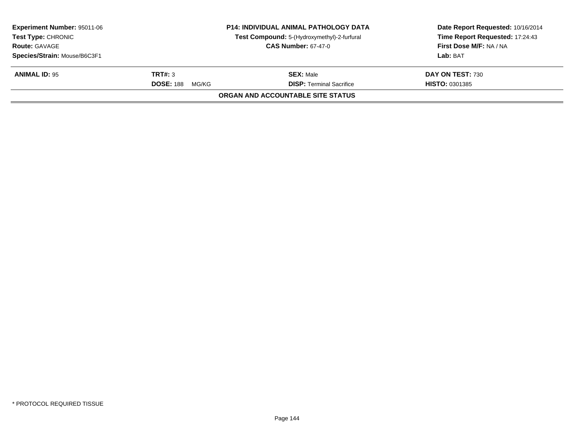| <b>Experiment Number: 95011-06</b><br><b>Test Type: CHRONIC</b> |                           | <b>P14: INDIVIDUAL ANIMAL PATHOLOGY DATA</b> | Date Report Requested: 10/16/2014<br>Time Report Requested: 17:24:43 |
|-----------------------------------------------------------------|---------------------------|----------------------------------------------|----------------------------------------------------------------------|
|                                                                 |                           | Test Compound: 5-(Hydroxymethyl)-2-furfural  |                                                                      |
| <b>Route: GAVAGE</b>                                            |                           | <b>CAS Number: 67-47-0</b>                   | First Dose M/F: NA / NA                                              |
| Species/Strain: Mouse/B6C3F1                                    |                           |                                              | Lab: BAT                                                             |
| <b>ANIMAL ID: 95</b>                                            | TRT#: 3                   | <b>SEX: Male</b>                             | DAY ON TEST: 730                                                     |
|                                                                 | <b>DOSE: 188</b><br>MG/KG | <b>DISP: Terminal Sacrifice</b>              | <b>HISTO: 0301385</b>                                                |
|                                                                 |                           | ORGAN AND ACCOUNTABLE SITE STATUS            |                                                                      |
|                                                                 |                           |                                              |                                                                      |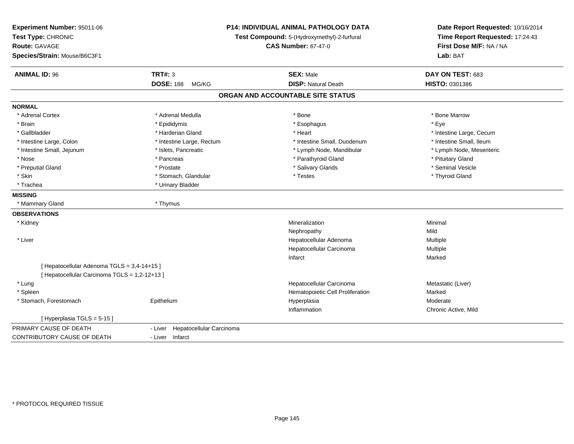| Experiment Number: 95011-06<br>Test Type: CHRONIC<br><b>Route: GAVAGE</b><br>Species/Strain: Mouse/B6C3F1 |                                     | P14: INDIVIDUAL ANIMAL PATHOLOGY DATA<br>Test Compound: 5-(Hydroxymethyl)-2-furfural<br><b>CAS Number: 67-47-0</b> | Date Report Requested: 10/16/2014<br>Time Report Requested: 17:24:43<br>First Dose M/F: NA / NA<br>Lab: BAT |
|-----------------------------------------------------------------------------------------------------------|-------------------------------------|--------------------------------------------------------------------------------------------------------------------|-------------------------------------------------------------------------------------------------------------|
| <b>ANIMAL ID: 96</b>                                                                                      | <b>TRT#: 3</b><br><b>DOSE: 188</b>  | <b>SEX: Male</b><br><b>DISP: Natural Death</b>                                                                     | DAY ON TEST: 683<br>HISTO: 0301386                                                                          |
|                                                                                                           | MG/KG                               |                                                                                                                    |                                                                                                             |
|                                                                                                           |                                     | ORGAN AND ACCOUNTABLE SITE STATUS                                                                                  |                                                                                                             |
| <b>NORMAL</b>                                                                                             |                                     |                                                                                                                    |                                                                                                             |
| * Adrenal Cortex                                                                                          | * Adrenal Medulla                   | * Bone                                                                                                             | * Bone Marrow                                                                                               |
| * Brain                                                                                                   | * Epididymis                        | * Esophagus                                                                                                        | * Eye                                                                                                       |
| * Gallbladder                                                                                             | * Harderian Gland                   | * Heart                                                                                                            | * Intestine Large, Cecum                                                                                    |
| * Intestine Large, Colon                                                                                  | * Intestine Large, Rectum           | * Intestine Small, Duodenum                                                                                        | * Intestine Small, Ileum                                                                                    |
| * Intestine Small, Jejunum                                                                                | * Islets, Pancreatic                | * Lymph Node, Mandibular                                                                                           | * Lymph Node, Mesenteric                                                                                    |
| * Nose                                                                                                    | * Pancreas                          | * Parathyroid Gland                                                                                                | * Pituitary Gland                                                                                           |
| * Preputial Gland                                                                                         | * Prostate                          | * Salivary Glands                                                                                                  | * Seminal Vesicle                                                                                           |
| * Skin                                                                                                    | * Stomach, Glandular                | * Testes                                                                                                           | * Thyroid Gland                                                                                             |
| * Trachea                                                                                                 | * Urinary Bladder                   |                                                                                                                    |                                                                                                             |
| <b>MISSING</b>                                                                                            |                                     |                                                                                                                    |                                                                                                             |
| * Mammary Gland                                                                                           | * Thymus                            |                                                                                                                    |                                                                                                             |
| <b>OBSERVATIONS</b>                                                                                       |                                     |                                                                                                                    |                                                                                                             |
| * Kidney                                                                                                  |                                     | Mineralization                                                                                                     | Minimal                                                                                                     |
|                                                                                                           |                                     | Nephropathy                                                                                                        | Mild                                                                                                        |
| * Liver                                                                                                   |                                     | Hepatocellular Adenoma                                                                                             | Multiple                                                                                                    |
|                                                                                                           |                                     | Hepatocellular Carcinoma                                                                                           | Multiple                                                                                                    |
|                                                                                                           |                                     | Infarct                                                                                                            | Marked                                                                                                      |
| [ Hepatocellular Adenoma TGLS = 3,4-14+15 ]                                                               |                                     |                                                                                                                    |                                                                                                             |
| [ Hepatocellular Carcinoma TGLS = 1,2-12+13 ]                                                             |                                     |                                                                                                                    |                                                                                                             |
| * Lung                                                                                                    |                                     | Hepatocellular Carcinoma                                                                                           | Metastatic (Liver)                                                                                          |
| * Spleen                                                                                                  |                                     | Hematopoietic Cell Proliferation                                                                                   | Marked                                                                                                      |
| * Stomach, Forestomach                                                                                    | Epithelium                          | Hyperplasia                                                                                                        | Moderate                                                                                                    |
|                                                                                                           |                                     | Inflammation                                                                                                       | Chronic Active, Mild                                                                                        |
| [Hyperplasia TGLS = 5-15]                                                                                 |                                     |                                                                                                                    |                                                                                                             |
| PRIMARY CAUSE OF DEATH                                                                                    | Hepatocellular Carcinoma<br>- Liver |                                                                                                                    |                                                                                                             |
| CONTRIBUTORY CAUSE OF DEATH                                                                               | - Liver Infarct                     |                                                                                                                    |                                                                                                             |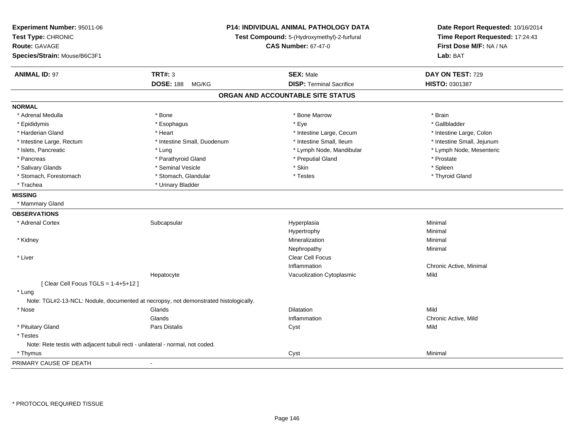| Experiment Number: 95011-06<br>Test Type: CHRONIC<br><b>Route: GAVAGE</b><br>Species/Strain: Mouse/B6C3F1 | P14: INDIVIDUAL ANIMAL PATHOLOGY DATA<br>Test Compound: 5-(Hydroxymethyl)-2-furfural<br><b>CAS Number: 67-47-0</b> |                                   | Date Report Requested: 10/16/2014<br>Time Report Requested: 17:24:43<br>First Dose M/F: NA / NA<br>Lab: BAT |  |
|-----------------------------------------------------------------------------------------------------------|--------------------------------------------------------------------------------------------------------------------|-----------------------------------|-------------------------------------------------------------------------------------------------------------|--|
| <b>ANIMAL ID: 97</b>                                                                                      | <b>TRT#: 3</b>                                                                                                     | <b>SEX: Male</b>                  | DAY ON TEST: 729                                                                                            |  |
|                                                                                                           | <b>DOSE: 188</b><br>MG/KG                                                                                          | <b>DISP: Terminal Sacrifice</b>   | HISTO: 0301387                                                                                              |  |
|                                                                                                           |                                                                                                                    | ORGAN AND ACCOUNTABLE SITE STATUS |                                                                                                             |  |
| <b>NORMAL</b>                                                                                             |                                                                                                                    |                                   |                                                                                                             |  |
| * Adrenal Medulla                                                                                         | * Bone                                                                                                             | * Bone Marrow                     | * Brain                                                                                                     |  |
| * Epididymis                                                                                              | * Esophagus                                                                                                        | * Eye                             | * Gallbladder                                                                                               |  |
| * Harderian Gland                                                                                         | * Heart                                                                                                            | * Intestine Large, Cecum          | * Intestine Large, Colon                                                                                    |  |
| * Intestine Large, Rectum                                                                                 | * Intestine Small, Duodenum                                                                                        | * Intestine Small, Ileum          | * Intestine Small, Jejunum                                                                                  |  |
| * Islets, Pancreatic                                                                                      | $*$ Lung                                                                                                           | * Lymph Node, Mandibular          | * Lymph Node, Mesenteric                                                                                    |  |
| * Pancreas                                                                                                | * Parathyroid Gland                                                                                                | * Preputial Gland                 | * Prostate                                                                                                  |  |
| * Salivary Glands                                                                                         | * Seminal Vesicle                                                                                                  | * Skin                            | * Spleen                                                                                                    |  |
| * Stomach, Forestomach                                                                                    | * Stomach, Glandular                                                                                               | * Testes                          | * Thyroid Gland                                                                                             |  |
| * Trachea                                                                                                 | * Urinary Bladder                                                                                                  |                                   |                                                                                                             |  |
| <b>MISSING</b>                                                                                            |                                                                                                                    |                                   |                                                                                                             |  |
| * Mammary Gland                                                                                           |                                                                                                                    |                                   |                                                                                                             |  |
| <b>OBSERVATIONS</b>                                                                                       |                                                                                                                    |                                   |                                                                                                             |  |
| * Adrenal Cortex                                                                                          | Subcapsular                                                                                                        | Hyperplasia                       | Minimal                                                                                                     |  |
|                                                                                                           |                                                                                                                    | Hypertrophy                       | Minimal                                                                                                     |  |
| * Kidney                                                                                                  |                                                                                                                    | Mineralization                    | Minimal                                                                                                     |  |
|                                                                                                           |                                                                                                                    | Nephropathy                       | Minimal                                                                                                     |  |
| * Liver                                                                                                   |                                                                                                                    | Clear Cell Focus                  |                                                                                                             |  |
|                                                                                                           |                                                                                                                    | Inflammation                      | Chronic Active, Minimal                                                                                     |  |
|                                                                                                           | Hepatocyte                                                                                                         | Vacuolization Cytoplasmic         | Mild                                                                                                        |  |
| [ Clear Cell Focus TGLS = 1-4+5+12 ]                                                                      |                                                                                                                    |                                   |                                                                                                             |  |
| * Lung                                                                                                    |                                                                                                                    |                                   |                                                                                                             |  |
|                                                                                                           | Note: TGL#2-13-NCL: Nodule, documented at necropsy, not demonstrated histologically.                               |                                   |                                                                                                             |  |
| * Nose                                                                                                    | Glands                                                                                                             | Dilatation                        | Mild                                                                                                        |  |
|                                                                                                           | Glands                                                                                                             | Inflammation                      | Chronic Active, Mild                                                                                        |  |
| * Pituitary Gland                                                                                         | Pars Distalis                                                                                                      | Cyst                              | Mild                                                                                                        |  |
| * Testes                                                                                                  |                                                                                                                    |                                   |                                                                                                             |  |
| Note: Rete testis with adjacent tubuli recti - unilateral - normal, not coded.                            |                                                                                                                    |                                   |                                                                                                             |  |
| * Thymus                                                                                                  |                                                                                                                    | Cyst                              | Minimal                                                                                                     |  |
| PRIMARY CAUSE OF DEATH                                                                                    | $\sim$                                                                                                             |                                   |                                                                                                             |  |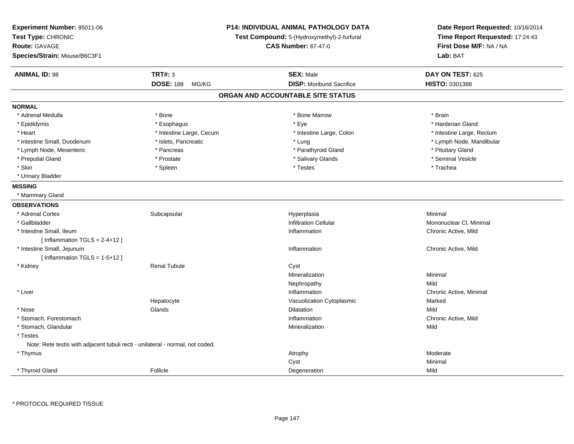| Experiment Number: 95011-06<br>Test Type: CHRONIC<br><b>Route: GAVAGE</b><br>Species/Strain: Mouse/B6C3F1 |                           | P14: INDIVIDUAL ANIMAL PATHOLOGY DATA<br>Test Compound: 5-(Hydroxymethyl)-2-furfural<br><b>CAS Number: 67-47-0</b> | Date Report Requested: 10/16/2014<br>Time Report Requested: 17:24:43<br>First Dose M/F: NA / NA<br>Lab: BAT |
|-----------------------------------------------------------------------------------------------------------|---------------------------|--------------------------------------------------------------------------------------------------------------------|-------------------------------------------------------------------------------------------------------------|
| <b>ANIMAL ID: 98</b>                                                                                      | <b>TRT#: 3</b>            | <b>SEX: Male</b>                                                                                                   | DAY ON TEST: 625                                                                                            |
|                                                                                                           | <b>DOSE: 188</b><br>MG/KG | <b>DISP:</b> Moribund Sacrifice                                                                                    | HISTO: 0301388                                                                                              |
|                                                                                                           |                           | ORGAN AND ACCOUNTABLE SITE STATUS                                                                                  |                                                                                                             |
| <b>NORMAL</b>                                                                                             |                           |                                                                                                                    |                                                                                                             |
| * Adrenal Medulla                                                                                         | * Bone                    | * Bone Marrow                                                                                                      | * Brain                                                                                                     |
| * Epididymis                                                                                              | * Esophagus               | * Eye                                                                                                              | * Harderian Gland                                                                                           |
| * Heart                                                                                                   | * Intestine Large, Cecum  | * Intestine Large, Colon                                                                                           | * Intestine Large, Rectum                                                                                   |
| * Intestine Small, Duodenum                                                                               | * Islets, Pancreatic      | * Lung                                                                                                             | * Lymph Node, Mandibular                                                                                    |
| * Lymph Node, Mesenteric                                                                                  | * Pancreas                | * Parathyroid Gland                                                                                                | * Pituitary Gland                                                                                           |
| * Preputial Gland                                                                                         | * Prostate                | * Salivary Glands                                                                                                  | * Seminal Vesicle                                                                                           |
| * Skin                                                                                                    | * Spleen                  | * Testes                                                                                                           | * Trachea                                                                                                   |
| * Urinary Bladder                                                                                         |                           |                                                                                                                    |                                                                                                             |
| <b>MISSING</b>                                                                                            |                           |                                                                                                                    |                                                                                                             |
| * Mammary Gland                                                                                           |                           |                                                                                                                    |                                                                                                             |
| <b>OBSERVATIONS</b>                                                                                       |                           |                                                                                                                    |                                                                                                             |
| * Adrenal Cortex                                                                                          | Subcapsular               | Hyperplasia                                                                                                        | Minimal                                                                                                     |
| * Gallbladder                                                                                             |                           | <b>Infiltration Cellular</b>                                                                                       | Mononuclear CI, Minimal                                                                                     |
| * Intestine Small, Ileum                                                                                  |                           | Inflammation                                                                                                       | Chronic Active, Mild                                                                                        |
| [Inflammation $TGLS = 2-4+12$ ]                                                                           |                           |                                                                                                                    |                                                                                                             |
| * Intestine Small, Jejunum                                                                                |                           | Inflammation                                                                                                       | Chronic Active, Mild                                                                                        |
| [Inflammation TGLS = $1-5+12$ ]                                                                           |                           |                                                                                                                    |                                                                                                             |
| * Kidney                                                                                                  | <b>Renal Tubule</b>       | Cyst                                                                                                               |                                                                                                             |
|                                                                                                           |                           | Mineralization                                                                                                     | Minimal                                                                                                     |
|                                                                                                           |                           | Nephropathy                                                                                                        | Mild                                                                                                        |
| * Liver                                                                                                   |                           | Inflammation                                                                                                       | Chronic Active, Minimal                                                                                     |
|                                                                                                           | Hepatocyte                | Vacuolization Cytoplasmic                                                                                          | Marked                                                                                                      |
| * Nose                                                                                                    | Glands                    | <b>Dilatation</b>                                                                                                  | Mild                                                                                                        |
| * Stomach, Forestomach                                                                                    |                           | Inflammation                                                                                                       | Chronic Active, Mild                                                                                        |
| * Stomach, Glandular                                                                                      |                           | Mineralization                                                                                                     | Mild                                                                                                        |
| * Testes                                                                                                  |                           |                                                                                                                    |                                                                                                             |
| Note: Rete testis with adjacent tubuli recti - unilateral - normal, not coded.                            |                           |                                                                                                                    |                                                                                                             |
| * Thymus                                                                                                  |                           | Atrophy                                                                                                            | Moderate                                                                                                    |
|                                                                                                           |                           | Cyst                                                                                                               | Minimal                                                                                                     |
| * Thyroid Gland                                                                                           | Follicle                  | Degeneration                                                                                                       | Mild                                                                                                        |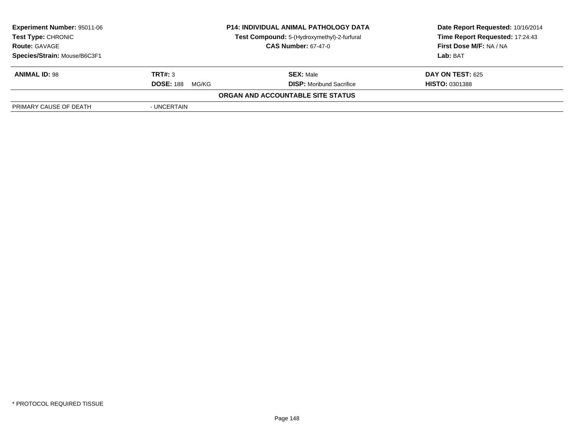| <b>Experiment Number: 95011-06</b> |                            | <b>P14: INDIVIDUAL ANIMAL PATHOLOGY DATA</b> | Date Report Requested: 10/16/2014 |
|------------------------------------|----------------------------|----------------------------------------------|-----------------------------------|
| <b>Test Type: CHRONIC</b>          |                            | Test Compound: 5-(Hydroxymethyl)-2-furfural  | Time Report Requested: 17:24:43   |
| <b>Route: GAVAGE</b>               | <b>CAS Number: 67-47-0</b> |                                              | First Dose M/F: NA / NA           |
| Species/Strain: Mouse/B6C3F1       |                            |                                              | Lab: BAT                          |
| <b>ANIMAL ID: 98</b>               | TRT#: 3                    | <b>SEX: Male</b>                             | DAY ON TEST: 625                  |
|                                    | <b>DOSE: 188</b><br>MG/KG  | <b>DISP:</b> Moribund Sacrifice              | <b>HISTO: 0301388</b>             |
|                                    |                            | ORGAN AND ACCOUNTABLE SITE STATUS            |                                   |
| PRIMARY CAUSE OF DEATH             | - UNCERTAIN                |                                              |                                   |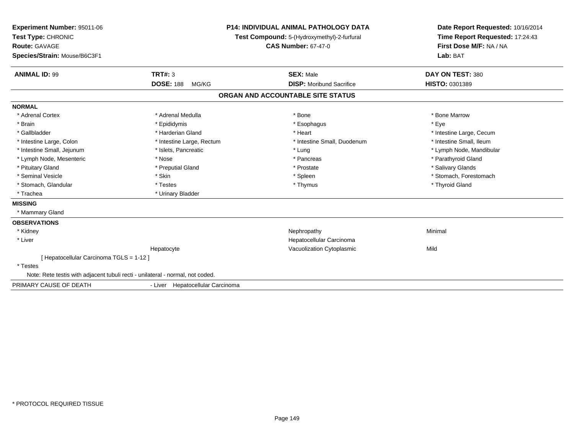| Experiment Number: 95011-06<br>Test Type: CHRONIC<br><b>Route: GAVAGE</b><br>Species/Strain: Mouse/B6C3F1<br><b>ANIMAL ID: 99</b> | <b>TRT#: 3</b>                   | <b>P14: INDIVIDUAL ANIMAL PATHOLOGY DATA</b><br>Test Compound: 5-(Hydroxymethyl)-2-furfural<br><b>CAS Number: 67-47-0</b><br><b>SEX: Male</b> | Date Report Requested: 10/16/2014<br>Time Report Requested: 17:24:43<br>First Dose M/F: NA / NA<br>Lab: BAT<br>DAY ON TEST: 380 |
|-----------------------------------------------------------------------------------------------------------------------------------|----------------------------------|-----------------------------------------------------------------------------------------------------------------------------------------------|---------------------------------------------------------------------------------------------------------------------------------|
|                                                                                                                                   | <b>DOSE: 188</b><br>MG/KG        | <b>DISP:</b> Moribund Sacrifice                                                                                                               | HISTO: 0301389                                                                                                                  |
|                                                                                                                                   |                                  | ORGAN AND ACCOUNTABLE SITE STATUS                                                                                                             |                                                                                                                                 |
| <b>NORMAL</b>                                                                                                                     |                                  |                                                                                                                                               |                                                                                                                                 |
| * Adrenal Cortex                                                                                                                  | * Adrenal Medulla                | * Bone                                                                                                                                        | * Bone Marrow                                                                                                                   |
| * Brain                                                                                                                           | * Epididymis                     | * Esophagus                                                                                                                                   | * Eye                                                                                                                           |
| * Gallbladder                                                                                                                     | * Harderian Gland                | * Heart                                                                                                                                       | * Intestine Large, Cecum                                                                                                        |
| * Intestine Large, Colon                                                                                                          | * Intestine Large, Rectum        | * Intestine Small, Duodenum                                                                                                                   | * Intestine Small, Ileum                                                                                                        |
| * Intestine Small, Jejunum                                                                                                        | * Islets, Pancreatic             | * Lung                                                                                                                                        | * Lymph Node, Mandibular                                                                                                        |
| * Lymph Node, Mesenteric                                                                                                          | * Nose                           | * Pancreas                                                                                                                                    | * Parathyroid Gland                                                                                                             |
| * Pituitary Gland                                                                                                                 | * Preputial Gland                | * Prostate                                                                                                                                    | * Salivary Glands                                                                                                               |
| * Seminal Vesicle                                                                                                                 | * Skin                           | * Spleen                                                                                                                                      | * Stomach, Forestomach                                                                                                          |
| * Stomach, Glandular                                                                                                              | * Testes                         | * Thymus                                                                                                                                      | * Thyroid Gland                                                                                                                 |
| * Trachea                                                                                                                         | * Urinary Bladder                |                                                                                                                                               |                                                                                                                                 |
| <b>MISSING</b>                                                                                                                    |                                  |                                                                                                                                               |                                                                                                                                 |
| * Mammary Gland                                                                                                                   |                                  |                                                                                                                                               |                                                                                                                                 |
| <b>OBSERVATIONS</b>                                                                                                               |                                  |                                                                                                                                               |                                                                                                                                 |
| * Kidney                                                                                                                          |                                  | Nephropathy                                                                                                                                   | Minimal                                                                                                                         |
| * Liver                                                                                                                           |                                  | Hepatocellular Carcinoma                                                                                                                      |                                                                                                                                 |
|                                                                                                                                   | Hepatocyte                       | Vacuolization Cytoplasmic                                                                                                                     | Mild                                                                                                                            |
| [Hepatocellular Carcinoma TGLS = 1-12]                                                                                            |                                  |                                                                                                                                               |                                                                                                                                 |
| * Testes                                                                                                                          |                                  |                                                                                                                                               |                                                                                                                                 |
| Note: Rete testis with adjacent tubuli recti - unilateral - normal, not coded.                                                    |                                  |                                                                                                                                               |                                                                                                                                 |
| PRIMARY CAUSE OF DEATH                                                                                                            | - Liver Hepatocellular Carcinoma |                                                                                                                                               |                                                                                                                                 |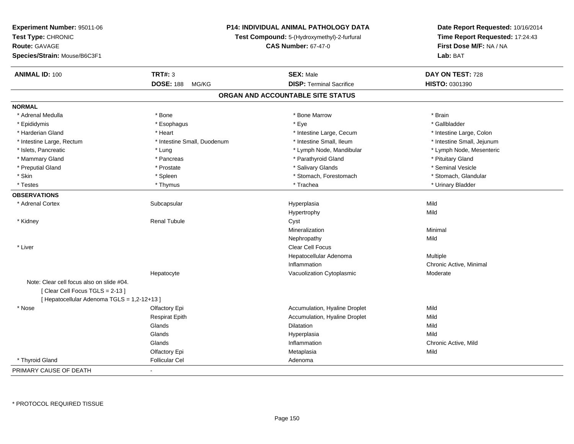| Experiment Number: 95011-06                 |                                                                           | <b>P14: INDIVIDUAL ANIMAL PATHOLOGY DATA</b> |                                                                                                 |
|---------------------------------------------|---------------------------------------------------------------------------|----------------------------------------------|-------------------------------------------------------------------------------------------------|
| Test Type: CHRONIC                          | Test Compound: 5-(Hydroxymethyl)-2-furfural<br><b>CAS Number: 67-47-0</b> |                                              | Date Report Requested: 10/16/2014<br>Time Report Requested: 17:24:43<br>First Dose M/F: NA / NA |
| <b>Route: GAVAGE</b>                        |                                                                           |                                              |                                                                                                 |
| Species/Strain: Mouse/B6C3F1                |                                                                           |                                              | Lab: BAT                                                                                        |
| <b>ANIMAL ID: 100</b>                       | <b>TRT#: 3</b>                                                            | <b>SEX: Male</b>                             | DAY ON TEST: 728                                                                                |
|                                             | <b>DOSE: 188</b><br>MG/KG                                                 | <b>DISP: Terminal Sacrifice</b>              | HISTO: 0301390                                                                                  |
|                                             |                                                                           | ORGAN AND ACCOUNTABLE SITE STATUS            |                                                                                                 |
| <b>NORMAL</b>                               |                                                                           |                                              |                                                                                                 |
| * Adrenal Medulla                           | * Bone                                                                    | * Bone Marrow                                | * Brain                                                                                         |
| * Epididymis                                | * Esophagus                                                               | * Eye                                        | * Gallbladder                                                                                   |
| * Harderian Gland                           | * Heart                                                                   | * Intestine Large, Cecum                     | * Intestine Large, Colon                                                                        |
| * Intestine Large, Rectum                   | * Intestine Small, Duodenum                                               | * Intestine Small, Ileum                     | * Intestine Small, Jejunum                                                                      |
| * Islets, Pancreatic                        | * Lung                                                                    | * Lymph Node, Mandibular                     | * Lymph Node, Mesenteric                                                                        |
| * Mammary Gland                             | * Pancreas                                                                | * Parathyroid Gland                          | * Pituitary Gland                                                                               |
| * Preputial Gland                           | * Prostate                                                                | * Salivary Glands                            | * Seminal Vesicle                                                                               |
| * Skin                                      | * Spleen                                                                  | * Stomach, Forestomach                       | * Stomach, Glandular                                                                            |
| * Testes                                    | * Thymus                                                                  | * Trachea                                    | * Urinary Bladder                                                                               |
| <b>OBSERVATIONS</b>                         |                                                                           |                                              |                                                                                                 |
| * Adrenal Cortex                            | Subcapsular                                                               | Hyperplasia                                  | Mild                                                                                            |
|                                             |                                                                           | Hypertrophy                                  | Mild                                                                                            |
| * Kidney                                    | <b>Renal Tubule</b>                                                       | Cyst                                         |                                                                                                 |
|                                             |                                                                           | Mineralization                               | Minimal                                                                                         |
|                                             |                                                                           | Nephropathy                                  | Mild                                                                                            |
| * Liver                                     |                                                                           | Clear Cell Focus                             |                                                                                                 |
|                                             |                                                                           | Hepatocellular Adenoma                       | Multiple                                                                                        |
|                                             |                                                                           | Inflammation                                 | Chronic Active, Minimal                                                                         |
|                                             | Hepatocyte                                                                | Vacuolization Cytoplasmic                    | Moderate                                                                                        |
| Note: Clear cell focus also on slide #04.   |                                                                           |                                              |                                                                                                 |
| [Clear Cell Focus TGLS = 2-13]              |                                                                           |                                              |                                                                                                 |
| [ Hepatocellular Adenoma TGLS = 1,2-12+13 ] |                                                                           |                                              |                                                                                                 |
| $*$ Nose                                    | Olfactory Epi                                                             | Accumulation, Hyaline Droplet                | Mild                                                                                            |
|                                             | <b>Respirat Epith</b>                                                     | Accumulation, Hyaline Droplet                | Mild                                                                                            |
|                                             | Glands                                                                    | <b>Dilatation</b>                            | Mild                                                                                            |
|                                             | Glands                                                                    | Hyperplasia                                  | Mild                                                                                            |
|                                             | Glands                                                                    | Inflammation                                 | Chronic Active, Mild                                                                            |
|                                             | Olfactory Epi                                                             | Metaplasia                                   | Mild                                                                                            |
| * Thyroid Gland                             | <b>Follicular Cel</b>                                                     | Adenoma                                      |                                                                                                 |
| PRIMARY CAUSE OF DEATH                      | $\blacksquare$                                                            |                                              |                                                                                                 |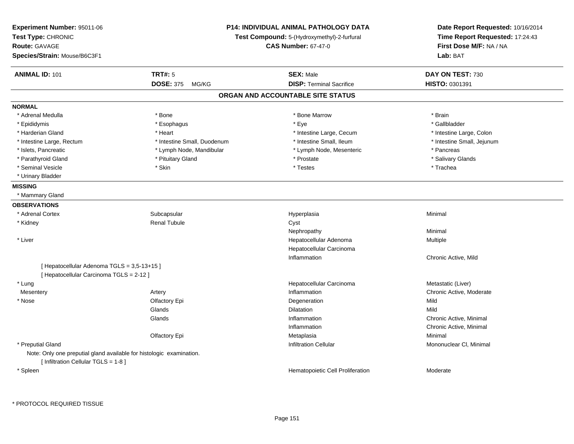| Experiment Number: 95011-06<br>Test Type: CHRONIC                                                            | <b>P14: INDIVIDUAL ANIMAL PATHOLOGY DATA</b><br>Test Compound: 5-(Hydroxymethyl)-2-furfural |                                   | Date Report Requested: 10/16/2014<br>Time Report Requested: 17:24:43 |
|--------------------------------------------------------------------------------------------------------------|---------------------------------------------------------------------------------------------|-----------------------------------|----------------------------------------------------------------------|
| <b>Route: GAVAGE</b>                                                                                         |                                                                                             | <b>CAS Number: 67-47-0</b>        | First Dose M/F: NA / NA                                              |
| Species/Strain: Mouse/B6C3F1                                                                                 |                                                                                             |                                   | Lab: BAT                                                             |
| <b>ANIMAL ID: 101</b>                                                                                        | <b>TRT#: 5</b>                                                                              | <b>SEX: Male</b>                  | DAY ON TEST: 730                                                     |
|                                                                                                              | <b>DOSE: 375</b><br>MG/KG                                                                   | <b>DISP: Terminal Sacrifice</b>   | HISTO: 0301391                                                       |
|                                                                                                              |                                                                                             | ORGAN AND ACCOUNTABLE SITE STATUS |                                                                      |
| <b>NORMAL</b>                                                                                                |                                                                                             |                                   |                                                                      |
| * Adrenal Medulla                                                                                            | * Bone                                                                                      | * Bone Marrow                     | * Brain                                                              |
| * Epididymis                                                                                                 | * Esophagus                                                                                 | * Eye                             | * Gallbladder                                                        |
| * Harderian Gland                                                                                            | * Heart                                                                                     | * Intestine Large, Cecum          | * Intestine Large, Colon                                             |
| * Intestine Large, Rectum                                                                                    | * Intestine Small, Duodenum                                                                 | * Intestine Small, Ileum          | * Intestine Small, Jejunum                                           |
| * Islets, Pancreatic                                                                                         | * Lymph Node, Mandibular                                                                    | * Lymph Node, Mesenteric          | * Pancreas                                                           |
| * Parathyroid Gland                                                                                          | * Pituitary Gland                                                                           | * Prostate                        | * Salivary Glands                                                    |
| * Seminal Vesicle                                                                                            | * Skin                                                                                      | * Testes                          | * Trachea                                                            |
| * Urinary Bladder                                                                                            |                                                                                             |                                   |                                                                      |
| <b>MISSING</b>                                                                                               |                                                                                             |                                   |                                                                      |
| * Mammary Gland                                                                                              |                                                                                             |                                   |                                                                      |
| <b>OBSERVATIONS</b>                                                                                          |                                                                                             |                                   |                                                                      |
| * Adrenal Cortex                                                                                             | Subcapsular                                                                                 | Hyperplasia                       | Minimal                                                              |
| * Kidney                                                                                                     | <b>Renal Tubule</b>                                                                         | Cyst                              |                                                                      |
|                                                                                                              |                                                                                             | Nephropathy                       | Minimal                                                              |
| * Liver                                                                                                      |                                                                                             | Hepatocellular Adenoma            | Multiple                                                             |
|                                                                                                              |                                                                                             | Hepatocellular Carcinoma          |                                                                      |
|                                                                                                              |                                                                                             | Inflammation                      | Chronic Active, Mild                                                 |
| [ Hepatocellular Adenoma TGLS = 3,5-13+15 ]                                                                  |                                                                                             |                                   |                                                                      |
| [ Hepatocellular Carcinoma TGLS = 2-12 ]                                                                     |                                                                                             |                                   |                                                                      |
| * Lung                                                                                                       |                                                                                             | Hepatocellular Carcinoma          | Metastatic (Liver)                                                   |
| Mesentery                                                                                                    | Artery                                                                                      | Inflammation                      | Chronic Active, Moderate                                             |
| * Nose                                                                                                       | Olfactory Epi                                                                               | Degeneration                      | Mild                                                                 |
|                                                                                                              | Glands                                                                                      | <b>Dilatation</b>                 | Mild                                                                 |
|                                                                                                              | Glands                                                                                      | Inflammation                      | Chronic Active, Minimal                                              |
|                                                                                                              |                                                                                             | Inflammation                      | Chronic Active, Minimal                                              |
|                                                                                                              | Olfactory Epi                                                                               | Metaplasia                        | Minimal                                                              |
| * Preputial Gland                                                                                            |                                                                                             | <b>Infiltration Cellular</b>      | Mononuclear CI, Minimal                                              |
| Note: Only one preputial gland available for histologic examination.<br>[ Infiltration Cellular TGLS = 1-8 ] |                                                                                             |                                   |                                                                      |
| * Spleen                                                                                                     |                                                                                             | Hematopoietic Cell Proliferation  | Moderate                                                             |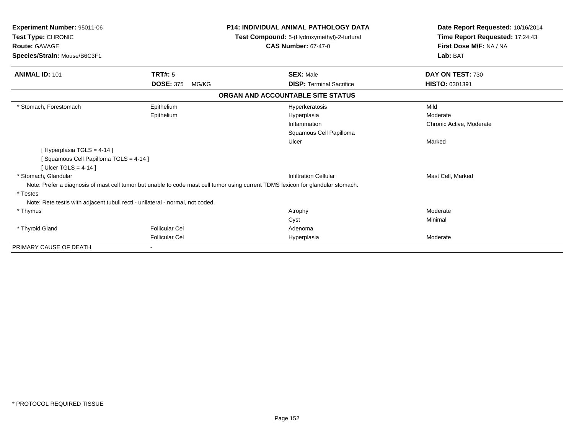| Experiment Number: 95011-06<br>Test Type: CHRONIC<br><b>Route: GAVAGE</b><br>Species/Strain: Mouse/B6C3F1 |                           | <b>P14: INDIVIDUAL ANIMAL PATHOLOGY DATA</b><br>Test Compound: 5-(Hydroxymethyl)-2-furfural<br><b>CAS Number: 67-47-0</b>        | Date Report Requested: 10/16/2014<br>Time Report Requested: 17:24:43<br>First Dose M/F: NA / NA<br>Lab: BAT |
|-----------------------------------------------------------------------------------------------------------|---------------------------|----------------------------------------------------------------------------------------------------------------------------------|-------------------------------------------------------------------------------------------------------------|
| <b>ANIMAL ID: 101</b>                                                                                     | <b>TRT#: 5</b>            | <b>SEX: Male</b>                                                                                                                 | DAY ON TEST: 730                                                                                            |
|                                                                                                           | <b>DOSE: 375</b><br>MG/KG | <b>DISP: Terminal Sacrifice</b>                                                                                                  | HISTO: 0301391                                                                                              |
|                                                                                                           |                           | ORGAN AND ACCOUNTABLE SITE STATUS                                                                                                |                                                                                                             |
| * Stomach, Forestomach                                                                                    | Epithelium                | Hyperkeratosis                                                                                                                   | Mild                                                                                                        |
|                                                                                                           | Epithelium                | Hyperplasia                                                                                                                      | Moderate                                                                                                    |
|                                                                                                           |                           | Inflammation                                                                                                                     | Chronic Active, Moderate                                                                                    |
|                                                                                                           |                           | Squamous Cell Papilloma                                                                                                          |                                                                                                             |
|                                                                                                           |                           | Ulcer                                                                                                                            | Marked                                                                                                      |
| [ Hyperplasia TGLS = 4-14 ]                                                                               |                           |                                                                                                                                  |                                                                                                             |
| Squamous Cell Papilloma TGLS = 4-14 ]                                                                     |                           |                                                                                                                                  |                                                                                                             |
| [Ulcer TGLS = $4-14$ ]                                                                                    |                           |                                                                                                                                  |                                                                                                             |
| * Stomach, Glandular                                                                                      |                           | <b>Infiltration Cellular</b>                                                                                                     | Mast Cell, Marked                                                                                           |
|                                                                                                           |                           | Note: Prefer a diagnosis of mast cell tumor but unable to code mast cell tumor using current TDMS lexicon for glandular stomach. |                                                                                                             |
| * Testes                                                                                                  |                           |                                                                                                                                  |                                                                                                             |
| Note: Rete testis with adjacent tubuli recti - unilateral - normal, not coded.                            |                           |                                                                                                                                  |                                                                                                             |
| * Thymus                                                                                                  |                           | Atrophy                                                                                                                          | Moderate                                                                                                    |
|                                                                                                           |                           | Cyst                                                                                                                             | Minimal                                                                                                     |
| * Thyroid Gland                                                                                           | <b>Follicular Cel</b>     | Adenoma                                                                                                                          |                                                                                                             |
|                                                                                                           | <b>Follicular Cel</b>     | Hyperplasia                                                                                                                      | Moderate                                                                                                    |
| PRIMARY CAUSE OF DEATH                                                                                    |                           |                                                                                                                                  |                                                                                                             |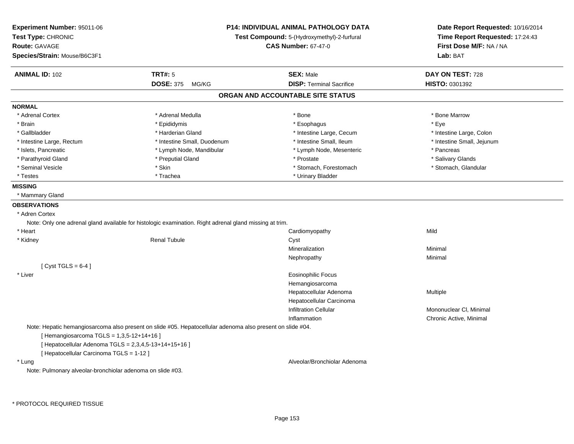| Experiment Number: 95011-06<br>Test Type: CHRONIC          | <b>P14: INDIVIDUAL ANIMAL PATHOLOGY DATA</b><br>Test Compound: 5-(Hydroxymethyl)-2-furfural                |                                   | Date Report Requested: 10/16/2014<br>Time Report Requested: 17:24:43 |
|------------------------------------------------------------|------------------------------------------------------------------------------------------------------------|-----------------------------------|----------------------------------------------------------------------|
| <b>Route: GAVAGE</b>                                       |                                                                                                            | <b>CAS Number: 67-47-0</b>        | First Dose M/F: NA / NA                                              |
| Species/Strain: Mouse/B6C3F1                               |                                                                                                            |                                   | Lab: BAT                                                             |
| <b>ANIMAL ID: 102</b>                                      | <b>TRT#: 5</b>                                                                                             | <b>SEX: Male</b>                  | DAY ON TEST: 728                                                     |
|                                                            | <b>DOSE: 375</b><br>MG/KG                                                                                  | <b>DISP: Terminal Sacrifice</b>   | <b>HISTO: 0301392</b>                                                |
|                                                            |                                                                                                            | ORGAN AND ACCOUNTABLE SITE STATUS |                                                                      |
| <b>NORMAL</b>                                              |                                                                                                            |                                   |                                                                      |
| * Adrenal Cortex                                           | * Adrenal Medulla                                                                                          | * Bone                            | * Bone Marrow                                                        |
| * Brain                                                    | * Epididymis                                                                                               | * Esophagus                       | * Eye                                                                |
| * Gallbladder                                              | * Harderian Gland                                                                                          | * Intestine Large, Cecum          | * Intestine Large, Colon                                             |
| * Intestine Large, Rectum                                  | * Intestine Small, Duodenum                                                                                | * Intestine Small, Ileum          | * Intestine Small, Jejunum                                           |
| * Islets, Pancreatic                                       | * Lymph Node, Mandibular                                                                                   | * Lymph Node, Mesenteric          | * Pancreas                                                           |
| * Parathyroid Gland                                        | * Preputial Gland                                                                                          | * Prostate                        | * Salivary Glands                                                    |
| * Seminal Vesicle                                          | * Skin                                                                                                     | * Stomach, Forestomach            | * Stomach, Glandular                                                 |
| * Testes                                                   | * Trachea                                                                                                  | * Urinary Bladder                 |                                                                      |
| <b>MISSING</b>                                             |                                                                                                            |                                   |                                                                      |
| * Mammary Gland                                            |                                                                                                            |                                   |                                                                      |
| <b>OBSERVATIONS</b>                                        |                                                                                                            |                                   |                                                                      |
| * Adren Cortex                                             |                                                                                                            |                                   |                                                                      |
|                                                            | Note: Only one adrenal gland available for histologic examination. Right adrenal gland missing at trim.    |                                   |                                                                      |
| * Heart                                                    |                                                                                                            | Cardiomyopathy                    | Mild                                                                 |
| * Kidney                                                   | <b>Renal Tubule</b>                                                                                        | Cyst                              |                                                                      |
|                                                            |                                                                                                            | Mineralization                    | Minimal                                                              |
|                                                            |                                                                                                            | Nephropathy                       | Minimal                                                              |
| [Cyst TGLS = $6-4$ ]                                       |                                                                                                            |                                   |                                                                      |
| * Liver                                                    |                                                                                                            | <b>Eosinophilic Focus</b>         |                                                                      |
|                                                            |                                                                                                            | Hemangiosarcoma                   |                                                                      |
|                                                            |                                                                                                            | Hepatocellular Adenoma            | Multiple                                                             |
|                                                            |                                                                                                            | Hepatocellular Carcinoma          |                                                                      |
|                                                            |                                                                                                            | <b>Infiltration Cellular</b>      | Mononuclear CI, Minimal                                              |
|                                                            |                                                                                                            | Inflammation                      | Chronic Active, Minimal                                              |
|                                                            | Note: Hepatic hemangiosarcoma also present on slide #05. Hepatocellular adenoma also present on slide #04. |                                   |                                                                      |
| [ Hemangiosarcoma TGLS = 1,3,5-12+14+16 ]                  |                                                                                                            |                                   |                                                                      |
| [ Hepatocellular Adenoma TGLS = $2,3,4,5-13+14+15+16$ ]    |                                                                                                            |                                   |                                                                      |
| [ Hepatocellular Carcinoma TGLS = 1-12 ]                   |                                                                                                            |                                   |                                                                      |
| * Lung                                                     |                                                                                                            | Alveolar/Bronchiolar Adenoma      |                                                                      |
| Note: Pulmonary alveolar-bronchiolar adenoma on slide #03. |                                                                                                            |                                   |                                                                      |
|                                                            |                                                                                                            |                                   |                                                                      |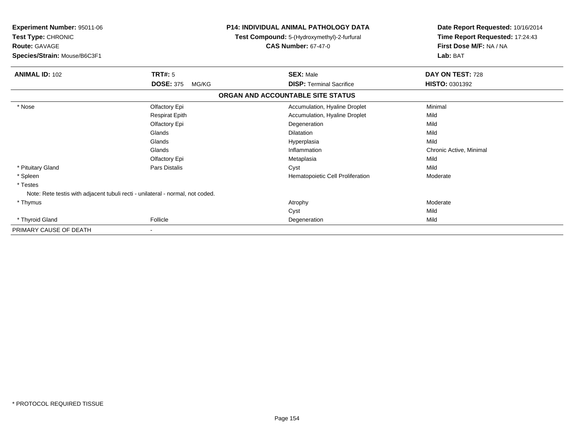| Experiment Number: 95011-06<br>Test Type: CHRONIC<br><b>Route: GAVAGE</b><br>Species/Strain: Mouse/B6C3F1 |                           | <b>P14: INDIVIDUAL ANIMAL PATHOLOGY DATA</b><br>Test Compound: 5-(Hydroxymethyl)-2-furfural<br><b>CAS Number: 67-47-0</b> | Date Report Requested: 10/16/2014<br>Time Report Requested: 17:24:43<br>First Dose M/F: NA / NA<br>Lab: BAT |  |
|-----------------------------------------------------------------------------------------------------------|---------------------------|---------------------------------------------------------------------------------------------------------------------------|-------------------------------------------------------------------------------------------------------------|--|
| <b>ANIMAL ID: 102</b>                                                                                     | <b>TRT#: 5</b>            | <b>SEX: Male</b>                                                                                                          | DAY ON TEST: 728                                                                                            |  |
|                                                                                                           | <b>DOSE: 375</b><br>MG/KG | <b>DISP: Terminal Sacrifice</b>                                                                                           | <b>HISTO: 0301392</b>                                                                                       |  |
|                                                                                                           |                           | ORGAN AND ACCOUNTABLE SITE STATUS                                                                                         |                                                                                                             |  |
| * Nose                                                                                                    | Olfactory Epi             | Accumulation, Hyaline Droplet                                                                                             | Minimal                                                                                                     |  |
|                                                                                                           | <b>Respirat Epith</b>     | Accumulation, Hyaline Droplet                                                                                             | Mild                                                                                                        |  |
|                                                                                                           | <b>Olfactory Epi</b>      | Degeneration                                                                                                              | Mild                                                                                                        |  |
|                                                                                                           | Glands                    | <b>Dilatation</b>                                                                                                         | Mild                                                                                                        |  |
|                                                                                                           | Glands                    | Hyperplasia                                                                                                               | Mild                                                                                                        |  |
|                                                                                                           | Glands                    | Inflammation                                                                                                              | Chronic Active, Minimal                                                                                     |  |
|                                                                                                           | Olfactory Epi             | Metaplasia                                                                                                                | Mild                                                                                                        |  |
| * Pituitary Gland                                                                                         | Pars Distalis             | Cyst                                                                                                                      | Mild                                                                                                        |  |
| * Spleen                                                                                                  |                           | Hematopoietic Cell Proliferation                                                                                          | Moderate                                                                                                    |  |
| * Testes                                                                                                  |                           |                                                                                                                           |                                                                                                             |  |
| Note: Rete testis with adjacent tubuli recti - unilateral - normal, not coded.                            |                           |                                                                                                                           |                                                                                                             |  |
| * Thymus                                                                                                  |                           | Atrophy                                                                                                                   | Moderate                                                                                                    |  |
|                                                                                                           |                           | Cyst                                                                                                                      | Mild                                                                                                        |  |
| * Thyroid Gland                                                                                           | Follicle                  | Degeneration                                                                                                              | Mild                                                                                                        |  |
| PRIMARY CAUSE OF DEATH                                                                                    |                           |                                                                                                                           |                                                                                                             |  |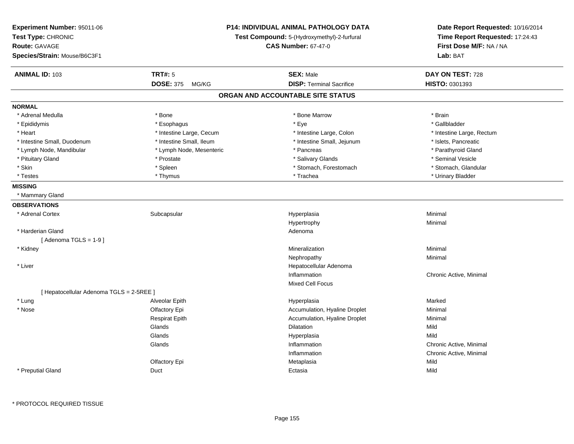| <b>Experiment Number: 95011-06</b><br>Test Type: CHRONIC<br><b>Route: GAVAGE</b><br>Species/Strain: Mouse/B6C3F1 |                          | P14: INDIVIDUAL ANIMAL PATHOLOGY DATA<br>Test Compound: 5-(Hydroxymethyl)-2-furfural<br><b>CAS Number: 67-47-0</b> | Date Report Requested: 10/16/2014<br>Time Report Requested: 17:24:43<br>First Dose M/F: NA / NA<br>Lab: BAT |
|------------------------------------------------------------------------------------------------------------------|--------------------------|--------------------------------------------------------------------------------------------------------------------|-------------------------------------------------------------------------------------------------------------|
| <b>ANIMAL ID: 103</b>                                                                                            | <b>TRT#: 5</b>           | <b>SEX: Male</b>                                                                                                   | DAY ON TEST: 728                                                                                            |
|                                                                                                                  | DOSE: 375 MG/KG          | <b>DISP: Terminal Sacrifice</b>                                                                                    | HISTO: 0301393                                                                                              |
|                                                                                                                  |                          | ORGAN AND ACCOUNTABLE SITE STATUS                                                                                  |                                                                                                             |
| <b>NORMAL</b>                                                                                                    |                          |                                                                                                                    |                                                                                                             |
| * Adrenal Medulla                                                                                                | $*$ Bone                 | * Bone Marrow                                                                                                      | * Brain                                                                                                     |
| * Epididymis                                                                                                     | * Esophagus              | $*$ Eye                                                                                                            | * Gallbladder                                                                                               |
| * Heart                                                                                                          | * Intestine Large, Cecum | * Intestine Large, Colon                                                                                           | * Intestine Large, Rectum                                                                                   |
| * Intestine Small, Duodenum                                                                                      | * Intestine Small, Ileum | * Intestine Small, Jejunum                                                                                         | * Islets, Pancreatic                                                                                        |
| * Lymph Node, Mandibular                                                                                         | * Lymph Node, Mesenteric | * Pancreas                                                                                                         | * Parathyroid Gland                                                                                         |
| * Pituitary Gland                                                                                                | * Prostate               | * Salivary Glands                                                                                                  | * Seminal Vesicle                                                                                           |
| * Skin                                                                                                           | * Spleen                 | * Stomach, Forestomach                                                                                             | * Stomach, Glandular                                                                                        |
| * Testes                                                                                                         | * Thymus                 | * Trachea                                                                                                          | * Urinary Bladder                                                                                           |
| <b>MISSING</b>                                                                                                   |                          |                                                                                                                    |                                                                                                             |
| * Mammary Gland                                                                                                  |                          |                                                                                                                    |                                                                                                             |
| <b>OBSERVATIONS</b>                                                                                              |                          |                                                                                                                    |                                                                                                             |
| * Adrenal Cortex                                                                                                 | Subcapsular              | Hyperplasia                                                                                                        | Minimal                                                                                                     |
|                                                                                                                  |                          | Hypertrophy                                                                                                        | Minimal                                                                                                     |
| * Harderian Gland                                                                                                |                          | Adenoma                                                                                                            |                                                                                                             |
| [Adenoma TGLS = $1-9$ ]                                                                                          |                          |                                                                                                                    |                                                                                                             |
| * Kidney                                                                                                         |                          | Mineralization                                                                                                     | Minimal                                                                                                     |
|                                                                                                                  |                          | Nephropathy                                                                                                        | Minimal                                                                                                     |
| * Liver                                                                                                          |                          | Hepatocellular Adenoma                                                                                             |                                                                                                             |
|                                                                                                                  |                          | Inflammation                                                                                                       | Chronic Active, Minimal                                                                                     |
|                                                                                                                  |                          | Mixed Cell Focus                                                                                                   |                                                                                                             |
| [ Hepatocellular Adenoma TGLS = 2-5REE ]                                                                         |                          |                                                                                                                    |                                                                                                             |
| * Lung                                                                                                           | Alveolar Epith           | Hyperplasia                                                                                                        | Marked                                                                                                      |
| * Nose                                                                                                           | Olfactory Epi            | Accumulation, Hyaline Droplet                                                                                      | Minimal                                                                                                     |
|                                                                                                                  | <b>Respirat Epith</b>    | Accumulation, Hyaline Droplet                                                                                      | Minimal                                                                                                     |
|                                                                                                                  | Glands                   | <b>Dilatation</b>                                                                                                  | Mild                                                                                                        |
|                                                                                                                  | Glands                   | Hyperplasia                                                                                                        | Mild                                                                                                        |
|                                                                                                                  | Glands                   | Inflammation                                                                                                       | Chronic Active, Minimal                                                                                     |
|                                                                                                                  |                          | Inflammation                                                                                                       | Chronic Active, Minimal                                                                                     |
|                                                                                                                  | Olfactory Epi            | Metaplasia                                                                                                         | Mild                                                                                                        |
| * Preputial Gland                                                                                                | Duct                     | Ectasia                                                                                                            | Mild                                                                                                        |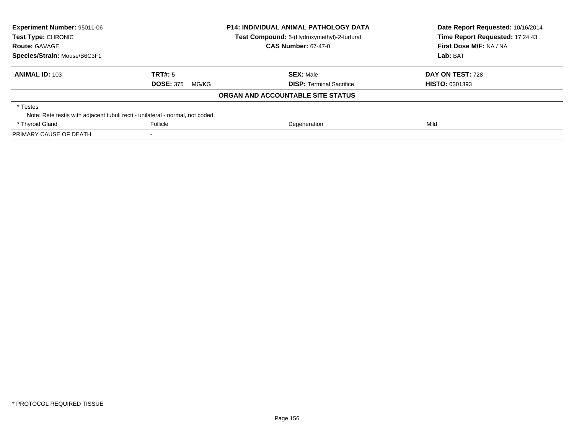| Experiment Number: 95011-06<br>Test Type: CHRONIC                              |                            | <b>P14: INDIVIDUAL ANIMAL PATHOLOGY DATA</b><br>Test Compound: 5-(Hydroxymethyl)-2-furfural | Date Report Requested: 10/16/2014<br>Time Report Requested: 17:24:43 |
|--------------------------------------------------------------------------------|----------------------------|---------------------------------------------------------------------------------------------|----------------------------------------------------------------------|
| <b>Route: GAVAGE</b>                                                           | <b>CAS Number: 67-47-0</b> |                                                                                             | First Dose M/F: NA / NA                                              |
| Species/Strain: Mouse/B6C3F1                                                   |                            |                                                                                             | Lab: BAT                                                             |
| <b>ANIMAL ID: 103</b>                                                          | TRT#: 5                    | <b>SEX: Male</b>                                                                            | DAY ON TEST: 728                                                     |
|                                                                                | <b>DOSE: 375</b><br>MG/KG  | <b>DISP:</b> Terminal Sacrifice                                                             | <b>HISTO: 0301393</b>                                                |
|                                                                                |                            | ORGAN AND ACCOUNTABLE SITE STATUS                                                           |                                                                      |
| * Testes                                                                       |                            |                                                                                             |                                                                      |
| Note: Rete testis with adjacent tubuli recti - unilateral - normal, not coded. |                            |                                                                                             |                                                                      |
| * Thyroid Gland                                                                | Follicle                   | Degeneration                                                                                | Mild                                                                 |
| PRIMARY CAUSE OF DEATH                                                         |                            |                                                                                             |                                                                      |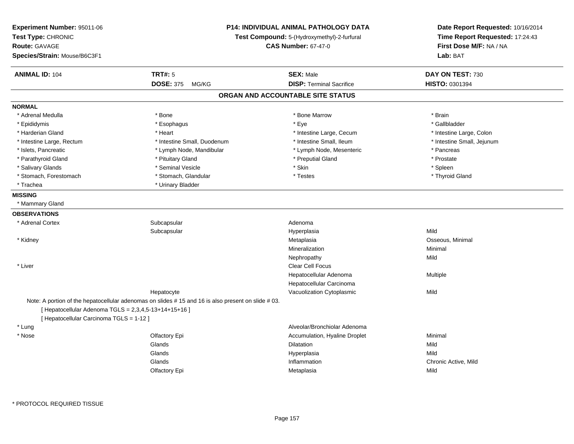| Experiment Number: 95011-06<br>Test Type: CHRONIC<br><b>Route: GAVAGE</b><br>Species/Strain: Mouse/B6C3F1 |                                                                                                   | P14: INDIVIDUAL ANIMAL PATHOLOGY DATA<br>Test Compound: 5-(Hydroxymethyl)-2-furfural<br><b>CAS Number: 67-47-0</b> | Date Report Requested: 10/16/2014<br>Time Report Requested: 17:24:43<br>First Dose M/F: NA / NA<br>Lab: BAT |
|-----------------------------------------------------------------------------------------------------------|---------------------------------------------------------------------------------------------------|--------------------------------------------------------------------------------------------------------------------|-------------------------------------------------------------------------------------------------------------|
| <b>ANIMAL ID: 104</b>                                                                                     | <b>TRT#: 5</b>                                                                                    | <b>SEX: Male</b>                                                                                                   | DAY ON TEST: 730                                                                                            |
|                                                                                                           | <b>DOSE: 375</b><br>MG/KG                                                                         | <b>DISP: Terminal Sacrifice</b>                                                                                    | HISTO: 0301394                                                                                              |
|                                                                                                           |                                                                                                   | ORGAN AND ACCOUNTABLE SITE STATUS                                                                                  |                                                                                                             |
| <b>NORMAL</b>                                                                                             |                                                                                                   |                                                                                                                    |                                                                                                             |
| * Adrenal Medulla                                                                                         | * Bone                                                                                            | * Bone Marrow                                                                                                      | * Brain                                                                                                     |
| * Epididymis                                                                                              | * Esophagus                                                                                       | * Eye                                                                                                              | * Gallbladder                                                                                               |
| * Harderian Gland                                                                                         | * Heart                                                                                           | * Intestine Large, Cecum                                                                                           | * Intestine Large, Colon                                                                                    |
| * Intestine Large, Rectum                                                                                 | * Intestine Small, Duodenum                                                                       | * Intestine Small, Ileum                                                                                           | * Intestine Small, Jejunum                                                                                  |
| * Islets, Pancreatic                                                                                      | * Lymph Node, Mandibular                                                                          | * Lymph Node, Mesenteric                                                                                           | * Pancreas                                                                                                  |
| * Parathyroid Gland                                                                                       | * Pituitary Gland                                                                                 | * Preputial Gland                                                                                                  | * Prostate                                                                                                  |
| * Salivary Glands                                                                                         | * Seminal Vesicle                                                                                 | * Skin                                                                                                             | * Spleen                                                                                                    |
| * Stomach, Forestomach                                                                                    | * Stomach, Glandular                                                                              | * Testes                                                                                                           | * Thyroid Gland                                                                                             |
| * Trachea                                                                                                 | * Urinary Bladder                                                                                 |                                                                                                                    |                                                                                                             |
| <b>MISSING</b>                                                                                            |                                                                                                   |                                                                                                                    |                                                                                                             |
| * Mammary Gland                                                                                           |                                                                                                   |                                                                                                                    |                                                                                                             |
| <b>OBSERVATIONS</b>                                                                                       |                                                                                                   |                                                                                                                    |                                                                                                             |
| * Adrenal Cortex                                                                                          | Subcapsular                                                                                       | Adenoma                                                                                                            |                                                                                                             |
|                                                                                                           | Subcapsular                                                                                       | Hyperplasia                                                                                                        | Mild                                                                                                        |
| * Kidney                                                                                                  |                                                                                                   | Metaplasia                                                                                                         | Osseous, Minimal                                                                                            |
|                                                                                                           |                                                                                                   | Mineralization                                                                                                     | Minimal                                                                                                     |
|                                                                                                           |                                                                                                   | Nephropathy                                                                                                        | Mild                                                                                                        |
| * Liver                                                                                                   |                                                                                                   | Clear Cell Focus                                                                                                   |                                                                                                             |
|                                                                                                           |                                                                                                   | Hepatocellular Adenoma                                                                                             | Multiple                                                                                                    |
|                                                                                                           |                                                                                                   | Hepatocellular Carcinoma                                                                                           |                                                                                                             |
|                                                                                                           | Hepatocyte                                                                                        | Vacuolization Cytoplasmic                                                                                          | Mild                                                                                                        |
|                                                                                                           | Note: A portion of the hepatocellular adenomas on slides #15 and 16 is also present on slide #03. |                                                                                                                    |                                                                                                             |
| [ Hepatocellular Adenoma TGLS = 2,3,4,5-13+14+15+16 ]                                                     |                                                                                                   |                                                                                                                    |                                                                                                             |
| [ Hepatocellular Carcinoma TGLS = 1-12 ]                                                                  |                                                                                                   |                                                                                                                    |                                                                                                             |
| * Lung                                                                                                    |                                                                                                   | Alveolar/Bronchiolar Adenoma                                                                                       |                                                                                                             |
| * Nose                                                                                                    | Olfactory Epi                                                                                     | Accumulation, Hyaline Droplet                                                                                      | Minimal                                                                                                     |
|                                                                                                           | Glands                                                                                            | Dilatation                                                                                                         | Mild                                                                                                        |
|                                                                                                           | Glands                                                                                            | Hyperplasia                                                                                                        | Mild                                                                                                        |
|                                                                                                           | Glands                                                                                            | Inflammation                                                                                                       | Chronic Active, Mild                                                                                        |
|                                                                                                           | Olfactory Epi                                                                                     | Metaplasia                                                                                                         | Mild                                                                                                        |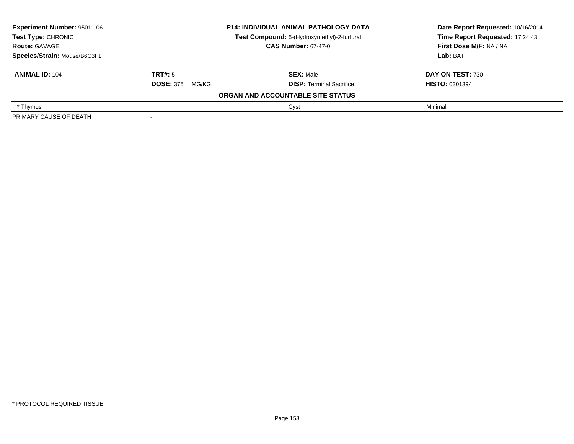| <b>Experiment Number: 95011-06</b> |                            | <b>P14: INDIVIDUAL ANIMAL PATHOLOGY DATA</b> | Date Report Requested: 10/16/2014 |
|------------------------------------|----------------------------|----------------------------------------------|-----------------------------------|
| Test Type: CHRONIC                 |                            | Test Compound: 5-(Hydroxymethyl)-2-furfural  | Time Report Requested: 17:24:43   |
| <b>Route: GAVAGE</b>               | <b>CAS Number: 67-47-0</b> |                                              | First Dose M/F: NA / NA           |
| Species/Strain: Mouse/B6C3F1       |                            |                                              | Lab: BAT                          |
| <b>ANIMAL ID: 104</b>              | TRT#: 5                    | <b>SEX: Male</b>                             | <b>DAY ON TEST: 730</b>           |
|                                    | <b>DOSE: 375</b><br>MG/KG  | <b>DISP:</b> Terminal Sacrifice              | <b>HISTO: 0301394</b>             |
|                                    |                            | ORGAN AND ACCOUNTABLE SITE STATUS            |                                   |
| * Thymus                           |                            | Cyst                                         | Minimal                           |
| PRIMARY CAUSE OF DEATH             | $\,$                       |                                              |                                   |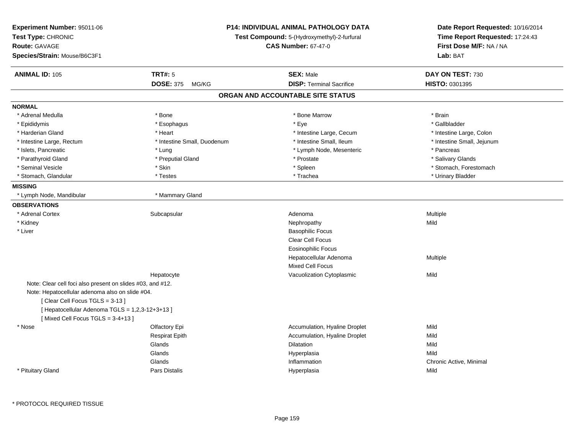| Experiment Number: 95011-06<br>Test Type: CHRONIC<br><b>Route: GAVAGE</b><br>Species/Strain: Mouse/B6C3F1 | <b>P14: INDIVIDUAL ANIMAL PATHOLOGY DATA</b><br>Test Compound: 5-(Hydroxymethyl)-2-furfural<br><b>CAS Number: 67-47-0</b> |                                   | Date Report Requested: 10/16/2014<br>Time Report Requested: 17:24:43<br>First Dose M/F: NA / NA<br>Lab: BAT |
|-----------------------------------------------------------------------------------------------------------|---------------------------------------------------------------------------------------------------------------------------|-----------------------------------|-------------------------------------------------------------------------------------------------------------|
| <b>ANIMAL ID: 105</b>                                                                                     | <b>TRT#: 5</b>                                                                                                            | <b>SEX: Male</b>                  | DAY ON TEST: 730                                                                                            |
|                                                                                                           | <b>DOSE: 375</b><br>MG/KG                                                                                                 | <b>DISP: Terminal Sacrifice</b>   | HISTO: 0301395                                                                                              |
|                                                                                                           |                                                                                                                           | ORGAN AND ACCOUNTABLE SITE STATUS |                                                                                                             |
| <b>NORMAL</b>                                                                                             |                                                                                                                           |                                   |                                                                                                             |
| * Adrenal Medulla                                                                                         | * Bone                                                                                                                    | * Bone Marrow                     | * Brain                                                                                                     |
| * Epididymis                                                                                              | * Esophagus                                                                                                               | * Eye                             | * Gallbladder                                                                                               |
| * Harderian Gland                                                                                         | * Heart                                                                                                                   | * Intestine Large, Cecum          | * Intestine Large, Colon                                                                                    |
| * Intestine Large, Rectum                                                                                 | * Intestine Small, Duodenum                                                                                               | * Intestine Small, Ileum          | * Intestine Small, Jejunum                                                                                  |
| * Islets, Pancreatic                                                                                      | * Lung                                                                                                                    | * Lymph Node, Mesenteric          | * Pancreas                                                                                                  |
| * Parathyroid Gland                                                                                       | * Preputial Gland                                                                                                         | * Prostate                        | * Salivary Glands                                                                                           |
| * Seminal Vesicle                                                                                         | * Skin                                                                                                                    | * Spleen                          | * Stomach, Forestomach                                                                                      |
| * Stomach, Glandular                                                                                      | * Testes                                                                                                                  | * Trachea                         | * Urinary Bladder                                                                                           |
| <b>MISSING</b>                                                                                            |                                                                                                                           |                                   |                                                                                                             |
| * Lymph Node, Mandibular                                                                                  | * Mammary Gland                                                                                                           |                                   |                                                                                                             |
| <b>OBSERVATIONS</b>                                                                                       |                                                                                                                           |                                   |                                                                                                             |
| * Adrenal Cortex                                                                                          | Subcapsular                                                                                                               | Adenoma                           | Multiple                                                                                                    |
| * Kidney                                                                                                  |                                                                                                                           | Nephropathy                       | Mild                                                                                                        |
| * Liver                                                                                                   |                                                                                                                           | <b>Basophilic Focus</b>           |                                                                                                             |
|                                                                                                           |                                                                                                                           | <b>Clear Cell Focus</b>           |                                                                                                             |
|                                                                                                           |                                                                                                                           | <b>Eosinophilic Focus</b>         |                                                                                                             |
|                                                                                                           |                                                                                                                           | Hepatocellular Adenoma            | Multiple                                                                                                    |
|                                                                                                           |                                                                                                                           | Mixed Cell Focus                  |                                                                                                             |
|                                                                                                           | Hepatocyte                                                                                                                | Vacuolization Cytoplasmic         | Mild                                                                                                        |
| Note: Clear cell foci also present on slides #03, and #12.                                                |                                                                                                                           |                                   |                                                                                                             |
| Note: Hepatocellular adenoma also on slide #04.                                                           |                                                                                                                           |                                   |                                                                                                             |
| [Clear Cell Focus TGLS = 3-13]                                                                            |                                                                                                                           |                                   |                                                                                                             |
| [ Hepatocellular Adenoma TGLS = 1,2,3-12+3+13 ]                                                           |                                                                                                                           |                                   |                                                                                                             |
| [Mixed Cell Focus TGLS = 3-4+13]                                                                          |                                                                                                                           |                                   |                                                                                                             |
| * Nose                                                                                                    | Olfactory Epi                                                                                                             | Accumulation, Hyaline Droplet     | Mild                                                                                                        |
|                                                                                                           | <b>Respirat Epith</b>                                                                                                     | Accumulation, Hyaline Droplet     | Mild                                                                                                        |
|                                                                                                           | Glands                                                                                                                    | Dilatation                        | Mild                                                                                                        |
|                                                                                                           | Glands                                                                                                                    | Hyperplasia                       | Mild                                                                                                        |
|                                                                                                           | Glands                                                                                                                    | Inflammation                      | Chronic Active, Minimal                                                                                     |
| * Pituitary Gland                                                                                         | Pars Distalis                                                                                                             | Hyperplasia                       | Mild                                                                                                        |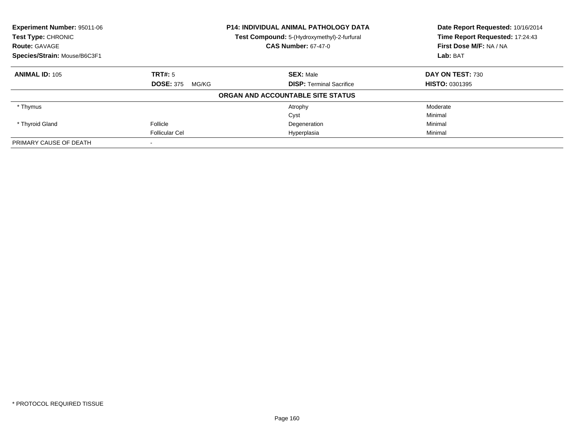| <b>Experiment Number: 95011-06</b> |                           | <b>P14: INDIVIDUAL ANIMAL PATHOLOGY DATA</b> | Date Report Requested: 10/16/2014 |
|------------------------------------|---------------------------|----------------------------------------------|-----------------------------------|
| Test Type: CHRONIC                 |                           | Test Compound: 5-(Hydroxymethyl)-2-furfural  | Time Report Requested: 17:24:43   |
| <b>Route: GAVAGE</b>               |                           | <b>CAS Number: 67-47-0</b>                   | First Dose M/F: NA / NA           |
| Species/Strain: Mouse/B6C3F1       |                           |                                              | Lab: BAT                          |
| <b>ANIMAL ID: 105</b>              | <b>TRT#: 5</b>            | <b>SEX: Male</b>                             | DAY ON TEST: 730                  |
|                                    | <b>DOSE: 375</b><br>MG/KG | <b>DISP:</b> Terminal Sacrifice              | <b>HISTO: 0301395</b>             |
|                                    |                           | ORGAN AND ACCOUNTABLE SITE STATUS            |                                   |
| * Thymus                           |                           | Atrophy                                      | Moderate                          |
|                                    |                           | Cyst                                         | Minimal                           |
| * Thyroid Gland                    | Follicle                  | Degeneration                                 | Minimal                           |
|                                    | Follicular Cel            | Hyperplasia                                  | Minimal                           |
| PRIMARY CAUSE OF DEATH             |                           |                                              |                                   |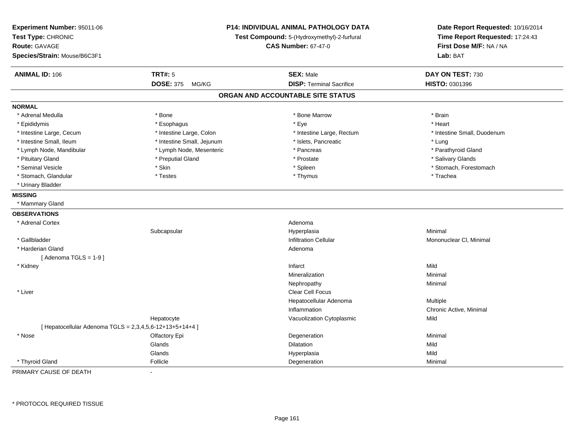| Experiment Number: 95011-06<br>Test Type: CHRONIC<br><b>Route: GAVAGE</b><br>Species/Strain: Mouse/B6C3F1 | P14: INDIVIDUAL ANIMAL PATHOLOGY DATA<br>Test Compound: 5-(Hydroxymethyl)-2-furfural<br><b>CAS Number: 67-47-0</b> |                                   | Date Report Requested: 10/16/2014<br>Time Report Requested: 17:24:43<br>First Dose M/F: NA / NA<br>Lab: BAT |  |
|-----------------------------------------------------------------------------------------------------------|--------------------------------------------------------------------------------------------------------------------|-----------------------------------|-------------------------------------------------------------------------------------------------------------|--|
| <b>ANIMAL ID: 106</b>                                                                                     | <b>TRT#: 5</b>                                                                                                     | <b>SEX: Male</b>                  | DAY ON TEST: 730                                                                                            |  |
|                                                                                                           | <b>DOSE: 375</b><br>MG/KG                                                                                          | <b>DISP: Terminal Sacrifice</b>   | HISTO: 0301396                                                                                              |  |
|                                                                                                           |                                                                                                                    | ORGAN AND ACCOUNTABLE SITE STATUS |                                                                                                             |  |
| <b>NORMAL</b>                                                                                             |                                                                                                                    |                                   |                                                                                                             |  |
| * Adrenal Medulla                                                                                         | * Bone                                                                                                             | * Bone Marrow                     | * Brain                                                                                                     |  |
| * Epididymis                                                                                              | * Esophagus                                                                                                        | * Eye                             | * Heart                                                                                                     |  |
| * Intestine Large, Cecum                                                                                  | * Intestine Large, Colon                                                                                           | * Intestine Large, Rectum         | * Intestine Small, Duodenum                                                                                 |  |
| * Intestine Small, Ileum                                                                                  | * Intestine Small, Jejunum                                                                                         | * Islets, Pancreatic              | * Lung                                                                                                      |  |
| * Lymph Node, Mandibular                                                                                  | * Lymph Node, Mesenteric                                                                                           | * Pancreas                        | * Parathyroid Gland                                                                                         |  |
| * Pituitary Gland                                                                                         | * Preputial Gland                                                                                                  | * Prostate                        | * Salivary Glands                                                                                           |  |
| * Seminal Vesicle                                                                                         | * Skin                                                                                                             | * Spleen                          | * Stomach, Forestomach                                                                                      |  |
| * Stomach, Glandular                                                                                      | * Testes                                                                                                           | * Thymus                          | * Trachea                                                                                                   |  |
| * Urinary Bladder                                                                                         |                                                                                                                    |                                   |                                                                                                             |  |
| <b>MISSING</b>                                                                                            |                                                                                                                    |                                   |                                                                                                             |  |
| * Mammary Gland                                                                                           |                                                                                                                    |                                   |                                                                                                             |  |
| <b>OBSERVATIONS</b>                                                                                       |                                                                                                                    |                                   |                                                                                                             |  |
| * Adrenal Cortex                                                                                          |                                                                                                                    | Adenoma                           |                                                                                                             |  |
|                                                                                                           | Subcapsular                                                                                                        | Hyperplasia                       | Minimal                                                                                                     |  |
| * Gallbladder                                                                                             |                                                                                                                    | <b>Infiltration Cellular</b>      | Mononuclear CI, Minimal                                                                                     |  |
| * Harderian Gland                                                                                         |                                                                                                                    | Adenoma                           |                                                                                                             |  |
| [Adenoma TGLS = $1-9$ ]                                                                                   |                                                                                                                    |                                   |                                                                                                             |  |
| * Kidney                                                                                                  |                                                                                                                    | Infarct                           | Mild                                                                                                        |  |
|                                                                                                           |                                                                                                                    | Mineralization                    | Minimal                                                                                                     |  |
|                                                                                                           |                                                                                                                    | Nephropathy                       | Minimal                                                                                                     |  |
| * Liver                                                                                                   |                                                                                                                    | Clear Cell Focus                  |                                                                                                             |  |
|                                                                                                           |                                                                                                                    | Hepatocellular Adenoma            | Multiple                                                                                                    |  |
|                                                                                                           |                                                                                                                    | Inflammation                      | Chronic Active, Minimal                                                                                     |  |
|                                                                                                           | Hepatocyte                                                                                                         | Vacuolization Cytoplasmic         | Mild                                                                                                        |  |
| [ Hepatocellular Adenoma TGLS = 2,3,4,5,6-12+13+5+14+4 ]                                                  |                                                                                                                    |                                   |                                                                                                             |  |
| * Nose                                                                                                    | Olfactory Epi                                                                                                      | Degeneration                      | Minimal                                                                                                     |  |
|                                                                                                           | Glands                                                                                                             | <b>Dilatation</b>                 | Mild                                                                                                        |  |
|                                                                                                           | Glands                                                                                                             | Hyperplasia                       | Mild                                                                                                        |  |
| * Thyroid Gland                                                                                           | Follicle                                                                                                           | Degeneration                      | Minimal                                                                                                     |  |

PRIMARY CAUSE OF DEATH-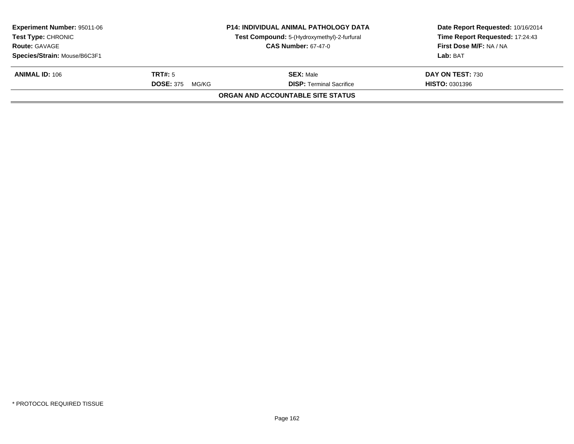| <b>Experiment Number: 95011-06</b><br><b>Test Type: CHRONIC</b> |                           | <b>P14: INDIVIDUAL ANIMAL PATHOLOGY DATA</b><br>Test Compound: 5-(Hydroxymethyl)-2-furfural | Date Report Requested: 10/16/2014<br>Time Report Requested: 17:24:43 |
|-----------------------------------------------------------------|---------------------------|---------------------------------------------------------------------------------------------|----------------------------------------------------------------------|
| <b>Route: GAVAGE</b>                                            |                           | <b>CAS Number: 67-47-0</b>                                                                  | First Dose M/F: NA / NA                                              |
| Species/Strain: Mouse/B6C3F1                                    |                           |                                                                                             | Lab: BAT                                                             |
| <b>ANIMAL ID: 106</b>                                           | <b>TRT#:</b> 5            | <b>SEX: Male</b>                                                                            | DAY ON TEST: 730                                                     |
|                                                                 | <b>DOSE: 375</b><br>MG/KG | <b>DISP: Terminal Sacrifice</b>                                                             | <b>HISTO: 0301396</b>                                                |
|                                                                 |                           | ORGAN AND ACCOUNTABLE SITE STATUS                                                           |                                                                      |
|                                                                 |                           |                                                                                             |                                                                      |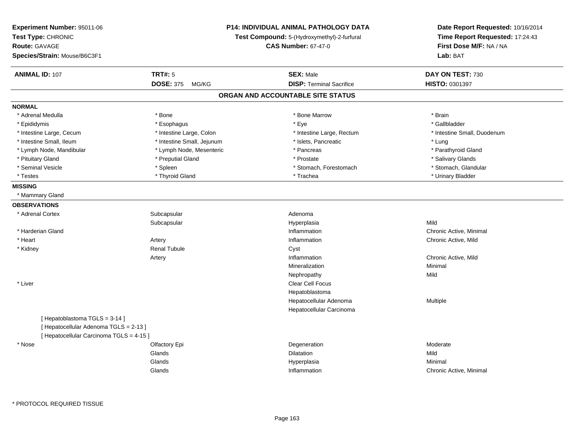| Experiment Number: 95011-06<br>Test Type: CHRONIC<br><b>Route: GAVAGE</b><br>Species/Strain: Mouse/B6C3F1          |                                                        | <b>P14: INDIVIDUAL ANIMAL PATHOLOGY DATA</b><br>Test Compound: 5-(Hydroxymethyl)-2-furfural<br><b>CAS Number: 67-47-0</b> | Date Report Requested: 10/16/2014<br>Time Report Requested: 17:24:43<br>First Dose M/F: NA / NA<br>Lab: BAT |
|--------------------------------------------------------------------------------------------------------------------|--------------------------------------------------------|---------------------------------------------------------------------------------------------------------------------------|-------------------------------------------------------------------------------------------------------------|
| <b>ANIMAL ID: 107</b>                                                                                              | <b>TRT#: 5</b><br><b>DOSE: 375</b><br>MG/KG            | <b>SEX: Male</b><br><b>DISP: Terminal Sacrifice</b>                                                                       | DAY ON TEST: 730<br>HISTO: 0301397                                                                          |
|                                                                                                                    |                                                        | ORGAN AND ACCOUNTABLE SITE STATUS                                                                                         |                                                                                                             |
|                                                                                                                    |                                                        |                                                                                                                           |                                                                                                             |
| <b>NORMAL</b>                                                                                                      |                                                        |                                                                                                                           |                                                                                                             |
| * Adrenal Medulla                                                                                                  | * Bone                                                 | * Bone Marrow<br>* Eye                                                                                                    | * Brain<br>* Gallbladder                                                                                    |
| * Epididymis                                                                                                       | * Esophagus                                            |                                                                                                                           |                                                                                                             |
| * Intestine Large, Cecum<br>* Intestine Small, Ileum                                                               | * Intestine Large, Colon<br>* Intestine Small, Jejunum | * Intestine Large, Rectum<br>* Islets, Pancreatic                                                                         | * Intestine Small, Duodenum                                                                                 |
| * Lymph Node, Mandibular                                                                                           | * Lymph Node, Mesenteric                               | * Pancreas                                                                                                                | * Lung<br>* Parathyroid Gland                                                                               |
| * Pituitary Gland                                                                                                  | * Preputial Gland                                      | * Prostate                                                                                                                | * Salivary Glands                                                                                           |
| * Seminal Vesicle                                                                                                  | * Spleen                                               | * Stomach, Forestomach                                                                                                    | * Stomach, Glandular                                                                                        |
| * Testes                                                                                                           | * Thyroid Gland                                        | * Trachea                                                                                                                 | * Urinary Bladder                                                                                           |
| <b>MISSING</b>                                                                                                     |                                                        |                                                                                                                           |                                                                                                             |
|                                                                                                                    |                                                        |                                                                                                                           |                                                                                                             |
| * Mammary Gland                                                                                                    |                                                        |                                                                                                                           |                                                                                                             |
| <b>OBSERVATIONS</b>                                                                                                |                                                        |                                                                                                                           |                                                                                                             |
| * Adrenal Cortex                                                                                                   | Subcapsular                                            | Adenoma                                                                                                                   |                                                                                                             |
|                                                                                                                    | Subcapsular                                            | Hyperplasia                                                                                                               | Mild                                                                                                        |
| * Harderian Gland                                                                                                  |                                                        | Inflammation                                                                                                              | Chronic Active, Minimal                                                                                     |
| * Heart                                                                                                            | Artery                                                 | Inflammation                                                                                                              | Chronic Active, Mild                                                                                        |
| * Kidney                                                                                                           | <b>Renal Tubule</b>                                    | Cyst                                                                                                                      |                                                                                                             |
|                                                                                                                    | Artery                                                 | Inflammation                                                                                                              | Chronic Active, Mild                                                                                        |
|                                                                                                                    |                                                        | Mineralization                                                                                                            | Minimal                                                                                                     |
|                                                                                                                    |                                                        | Nephropathy                                                                                                               | Mild                                                                                                        |
| * Liver                                                                                                            |                                                        | Clear Cell Focus                                                                                                          |                                                                                                             |
|                                                                                                                    |                                                        | Hepatoblastoma                                                                                                            |                                                                                                             |
|                                                                                                                    |                                                        | Hepatocellular Adenoma                                                                                                    | Multiple                                                                                                    |
|                                                                                                                    |                                                        | Hepatocellular Carcinoma                                                                                                  |                                                                                                             |
| [Hepatoblastoma TGLS = 3-14]<br>[ Hepatocellular Adenoma TGLS = 2-13 ]<br>[ Hepatocellular Carcinoma TGLS = 4-15 ] |                                                        |                                                                                                                           |                                                                                                             |
| * Nose                                                                                                             | Olfactory Epi                                          | Degeneration                                                                                                              | Moderate                                                                                                    |
|                                                                                                                    | Glands                                                 | <b>Dilatation</b>                                                                                                         | Mild                                                                                                        |
|                                                                                                                    | Glands                                                 | Hyperplasia                                                                                                               | Minimal                                                                                                     |
|                                                                                                                    | Glands                                                 | Inflammation                                                                                                              | Chronic Active, Minimal                                                                                     |
|                                                                                                                    |                                                        |                                                                                                                           |                                                                                                             |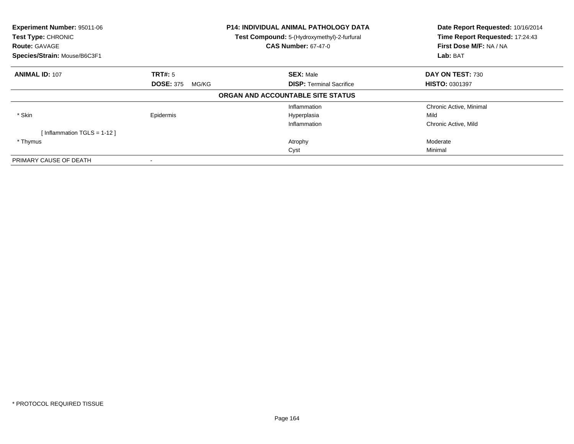| Experiment Number: 95011-06<br>Test Type: CHRONIC<br><b>Route: GAVAGE</b><br>Species/Strain: Mouse/B6C3F1 |                           | <b>P14: INDIVIDUAL ANIMAL PATHOLOGY DATA</b><br>Test Compound: 5-(Hydroxymethyl)-2-furfural<br><b>CAS Number: 67-47-0</b> | Date Report Requested: 10/16/2014<br>Time Report Requested: 17:24:43<br>First Dose M/F: NA / NA<br>Lab: BAT |
|-----------------------------------------------------------------------------------------------------------|---------------------------|---------------------------------------------------------------------------------------------------------------------------|-------------------------------------------------------------------------------------------------------------|
| <b>ANIMAL ID: 107</b>                                                                                     | TRT#: 5                   | <b>SEX: Male</b>                                                                                                          | DAY ON TEST: 730                                                                                            |
|                                                                                                           | <b>DOSE: 375</b><br>MG/KG | <b>DISP:</b> Terminal Sacrifice                                                                                           | HISTO: 0301397                                                                                              |
|                                                                                                           |                           | ORGAN AND ACCOUNTABLE SITE STATUS                                                                                         |                                                                                                             |
|                                                                                                           |                           | Inflammation                                                                                                              | Chronic Active, Minimal                                                                                     |
| * Skin                                                                                                    | Epidermis                 | Hyperplasia                                                                                                               | Mild                                                                                                        |
|                                                                                                           |                           | Inflammation                                                                                                              | Chronic Active, Mild                                                                                        |
| [Inflammation TGLS = $1-12$ ]                                                                             |                           |                                                                                                                           |                                                                                                             |
| * Thymus                                                                                                  |                           | Atrophy                                                                                                                   | Moderate                                                                                                    |
|                                                                                                           |                           | Cyst                                                                                                                      | Minimal                                                                                                     |
| PRIMARY CAUSE OF DEATH                                                                                    |                           |                                                                                                                           |                                                                                                             |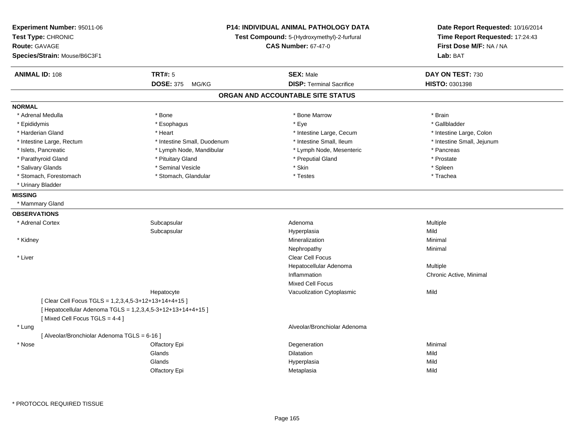| Experiment Number: 95011-06<br>Test Type: CHRONIC<br><b>Route: GAVAGE</b><br>Species/Strain: Mouse/B6C3F1 |                                                             | <b>P14: INDIVIDUAL ANIMAL PATHOLOGY DATA</b><br>Test Compound: 5-(Hydroxymethyl)-2-furfural<br><b>CAS Number: 67-47-0</b> | Date Report Requested: 10/16/2014<br>Time Report Requested: 17:24:43<br>First Dose M/F: NA / NA<br>Lab: BAT |
|-----------------------------------------------------------------------------------------------------------|-------------------------------------------------------------|---------------------------------------------------------------------------------------------------------------------------|-------------------------------------------------------------------------------------------------------------|
| <b>ANIMAL ID: 108</b>                                                                                     | <b>TRT#: 5</b>                                              | <b>SEX: Male</b>                                                                                                          | DAY ON TEST: 730                                                                                            |
|                                                                                                           | DOSE: 375 MG/KG                                             | <b>DISP: Terminal Sacrifice</b>                                                                                           | HISTO: 0301398                                                                                              |
|                                                                                                           |                                                             | ORGAN AND ACCOUNTABLE SITE STATUS                                                                                         |                                                                                                             |
| <b>NORMAL</b>                                                                                             |                                                             |                                                                                                                           |                                                                                                             |
| * Adrenal Medulla                                                                                         | * Bone                                                      | * Bone Marrow                                                                                                             | * Brain                                                                                                     |
| * Epididymis                                                                                              | * Esophagus                                                 | * Eye                                                                                                                     | * Gallbladder                                                                                               |
| * Harderian Gland                                                                                         | * Heart                                                     | * Intestine Large, Cecum                                                                                                  | * Intestine Large, Colon                                                                                    |
| * Intestine Large, Rectum                                                                                 | * Intestine Small, Duodenum                                 | * Intestine Small, Ileum                                                                                                  | * Intestine Small, Jejunum                                                                                  |
| * Islets, Pancreatic                                                                                      | * Lymph Node, Mandibular                                    | * Lymph Node, Mesenteric                                                                                                  | * Pancreas                                                                                                  |
| * Parathyroid Gland                                                                                       | * Pituitary Gland                                           | * Preputial Gland                                                                                                         | * Prostate                                                                                                  |
| * Salivary Glands                                                                                         | * Seminal Vesicle                                           | $^\star$ Skin                                                                                                             | * Spleen                                                                                                    |
| * Stomach, Forestomach                                                                                    | * Stomach, Glandular                                        | $^\star$ Testes                                                                                                           | * Trachea                                                                                                   |
| * Urinary Bladder                                                                                         |                                                             |                                                                                                                           |                                                                                                             |
| <b>MISSING</b>                                                                                            |                                                             |                                                                                                                           |                                                                                                             |
| * Mammary Gland                                                                                           |                                                             |                                                                                                                           |                                                                                                             |
| <b>OBSERVATIONS</b>                                                                                       |                                                             |                                                                                                                           |                                                                                                             |
| * Adrenal Cortex                                                                                          | Subcapsular                                                 | Adenoma                                                                                                                   | Multiple                                                                                                    |
|                                                                                                           | Subcapsular                                                 | Hyperplasia                                                                                                               | Mild                                                                                                        |
| * Kidney                                                                                                  |                                                             | Mineralization                                                                                                            | Minimal                                                                                                     |
|                                                                                                           |                                                             | Nephropathy                                                                                                               | Minimal                                                                                                     |
| * Liver                                                                                                   |                                                             | <b>Clear Cell Focus</b>                                                                                                   |                                                                                                             |
|                                                                                                           |                                                             | Hepatocellular Adenoma                                                                                                    | Multiple                                                                                                    |
|                                                                                                           |                                                             | Inflammation                                                                                                              | Chronic Active, Minimal                                                                                     |
|                                                                                                           |                                                             | Mixed Cell Focus                                                                                                          |                                                                                                             |
|                                                                                                           | Hepatocyte                                                  | Vacuolization Cytoplasmic                                                                                                 | Mild                                                                                                        |
| [Clear Cell Focus TGLS = 1,2,3,4,5-3+12+13+14+4+15]                                                       |                                                             |                                                                                                                           |                                                                                                             |
|                                                                                                           | [ Hepatocellular Adenoma TGLS = 1,2,3,4,5-3+12+13+14+4+15 ] |                                                                                                                           |                                                                                                             |
| [Mixed Cell Focus TGLS = 4-4]                                                                             |                                                             |                                                                                                                           |                                                                                                             |
| * Lung                                                                                                    |                                                             | Alveolar/Bronchiolar Adenoma                                                                                              |                                                                                                             |
| [ Alveolar/Bronchiolar Adenoma TGLS = 6-16 ]                                                              |                                                             |                                                                                                                           |                                                                                                             |
| * Nose                                                                                                    | Olfactory Epi                                               | Degeneration                                                                                                              | Minimal                                                                                                     |
|                                                                                                           | Glands                                                      | Dilatation                                                                                                                | Mild                                                                                                        |
|                                                                                                           | Glands                                                      | Hyperplasia                                                                                                               | Mild                                                                                                        |
|                                                                                                           | Olfactory Epi                                               | Metaplasia                                                                                                                | Mild                                                                                                        |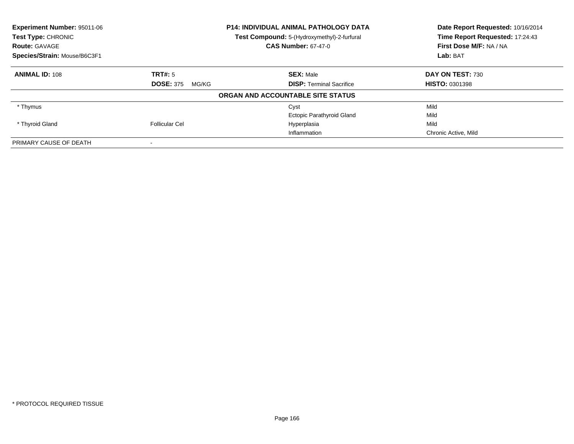| <b>Experiment Number: 95011-06</b><br>Test Type: CHRONIC |                           | <b>P14: INDIVIDUAL ANIMAL PATHOLOGY DATA</b> | Date Report Requested: 10/16/2014<br>Time Report Requested: 17:24:43 |
|----------------------------------------------------------|---------------------------|----------------------------------------------|----------------------------------------------------------------------|
|                                                          |                           | Test Compound: 5-(Hydroxymethyl)-2-furfural  |                                                                      |
| <b>Route: GAVAGE</b>                                     |                           | <b>CAS Number: 67-47-0</b>                   | First Dose M/F: NA / NA                                              |
| Species/Strain: Mouse/B6C3F1                             |                           |                                              | Lab: BAT                                                             |
| <b>ANIMAL ID: 108</b>                                    | TRT#: 5                   | <b>SEX: Male</b>                             | DAY ON TEST: 730                                                     |
|                                                          | <b>DOSE: 375</b><br>MG/KG | <b>DISP:</b> Terminal Sacrifice              | <b>HISTO: 0301398</b>                                                |
|                                                          |                           | ORGAN AND ACCOUNTABLE SITE STATUS            |                                                                      |
| * Thymus                                                 |                           | Cyst                                         | Mild                                                                 |
|                                                          |                           | <b>Ectopic Parathyroid Gland</b>             | Mild                                                                 |
| * Thyroid Gland                                          | Follicular Cel            | Hyperplasia                                  | Mild                                                                 |
|                                                          |                           | Inflammation                                 | Chronic Active, Mild                                                 |
| PRIMARY CAUSE OF DEATH                                   |                           |                                              |                                                                      |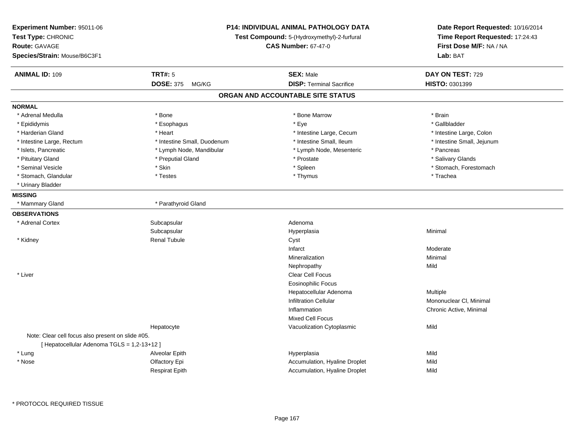| Experiment Number: 95011-06<br>Test Type: CHRONIC<br><b>Route: GAVAGE</b><br>Species/Strain: Mouse/B6C3F1 | <b>P14: INDIVIDUAL ANIMAL PATHOLOGY DATA</b><br>Test Compound: 5-(Hydroxymethyl)-2-furfural<br><b>CAS Number: 67-47-0</b> |                                                     | Date Report Requested: 10/16/2014<br>Time Report Requested: 17:24:43<br>First Dose M/F: NA / NA<br>Lab: BAT |
|-----------------------------------------------------------------------------------------------------------|---------------------------------------------------------------------------------------------------------------------------|-----------------------------------------------------|-------------------------------------------------------------------------------------------------------------|
| <b>ANIMAL ID: 109</b>                                                                                     | <b>TRT#: 5</b><br><b>DOSE: 375</b>                                                                                        | <b>SEX: Male</b><br><b>DISP: Terminal Sacrifice</b> | DAY ON TEST: 729                                                                                            |
|                                                                                                           | MG/KG                                                                                                                     |                                                     | HISTO: 0301399                                                                                              |
|                                                                                                           |                                                                                                                           | ORGAN AND ACCOUNTABLE SITE STATUS                   |                                                                                                             |
| <b>NORMAL</b>                                                                                             |                                                                                                                           |                                                     |                                                                                                             |
| * Adrenal Medulla                                                                                         | * Bone                                                                                                                    | * Bone Marrow                                       | * Brain                                                                                                     |
| * Epididymis                                                                                              | * Esophagus                                                                                                               | * Eye                                               | * Gallbladder                                                                                               |
| * Harderian Gland                                                                                         | * Heart                                                                                                                   | * Intestine Large, Cecum                            | * Intestine Large, Colon                                                                                    |
| * Intestine Large, Rectum                                                                                 | * Intestine Small, Duodenum                                                                                               | * Intestine Small, Ileum                            | * Intestine Small, Jejunum                                                                                  |
| * Islets, Pancreatic                                                                                      | * Lymph Node, Mandibular                                                                                                  | * Lymph Node, Mesenteric                            | * Pancreas                                                                                                  |
| * Pituitary Gland                                                                                         | * Preputial Gland                                                                                                         | * Prostate                                          | * Salivary Glands                                                                                           |
| * Seminal Vesicle                                                                                         | * Skin                                                                                                                    | * Spleen                                            | * Stomach, Forestomach                                                                                      |
| * Stomach, Glandular                                                                                      | * Testes                                                                                                                  | * Thymus                                            | * Trachea                                                                                                   |
| * Urinary Bladder                                                                                         |                                                                                                                           |                                                     |                                                                                                             |
| <b>MISSING</b>                                                                                            |                                                                                                                           |                                                     |                                                                                                             |
| * Mammary Gland                                                                                           | * Parathyroid Gland                                                                                                       |                                                     |                                                                                                             |
| <b>OBSERVATIONS</b>                                                                                       |                                                                                                                           |                                                     |                                                                                                             |
| * Adrenal Cortex                                                                                          | Subcapsular                                                                                                               | Adenoma                                             |                                                                                                             |
|                                                                                                           | Subcapsular                                                                                                               | Hyperplasia                                         | Minimal                                                                                                     |
| * Kidney                                                                                                  | <b>Renal Tubule</b>                                                                                                       | Cyst                                                |                                                                                                             |
|                                                                                                           |                                                                                                                           | Infarct                                             | Moderate                                                                                                    |
|                                                                                                           |                                                                                                                           | Mineralization                                      | Minimal                                                                                                     |
|                                                                                                           |                                                                                                                           | Nephropathy                                         | Mild                                                                                                        |
| * Liver                                                                                                   |                                                                                                                           | Clear Cell Focus                                    |                                                                                                             |
|                                                                                                           |                                                                                                                           | <b>Eosinophilic Focus</b>                           |                                                                                                             |
|                                                                                                           |                                                                                                                           | Hepatocellular Adenoma                              | Multiple                                                                                                    |
|                                                                                                           |                                                                                                                           | <b>Infiltration Cellular</b>                        | Mononuclear CI, Minimal                                                                                     |
|                                                                                                           |                                                                                                                           | Inflammation                                        | Chronic Active, Minimal                                                                                     |
|                                                                                                           |                                                                                                                           | <b>Mixed Cell Focus</b>                             |                                                                                                             |
|                                                                                                           | Hepatocyte                                                                                                                | Vacuolization Cytoplasmic                           | Mild                                                                                                        |
| Note: Clear cell focus also present on slide #05.                                                         |                                                                                                                           |                                                     |                                                                                                             |
| [ Hepatocellular Adenoma TGLS = 1,2-13+12 ]                                                               |                                                                                                                           |                                                     |                                                                                                             |
| * Lung                                                                                                    | Alveolar Epith                                                                                                            | Hyperplasia                                         | Mild                                                                                                        |
| * Nose                                                                                                    | Olfactory Epi                                                                                                             | Accumulation, Hyaline Droplet                       | Mild                                                                                                        |
|                                                                                                           | <b>Respirat Epith</b>                                                                                                     | Accumulation, Hyaline Droplet                       | Mild                                                                                                        |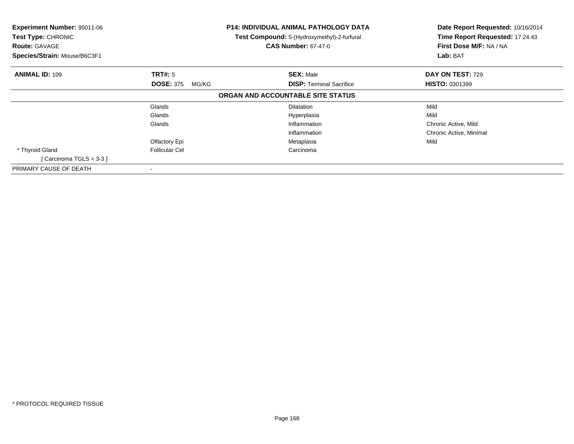| Experiment Number: 95011-06<br>Test Type: CHRONIC<br><b>Route: GAVAGE</b><br>Species/Strain: Mouse/B6C3F1 |                                      | <b>P14: INDIVIDUAL ANIMAL PATHOLOGY DATA</b><br>Test Compound: 5-(Hydroxymethyl)-2-furfural<br><b>CAS Number: 67-47-0</b> | Date Report Requested: 10/16/2014<br>Time Report Requested: 17:24:43<br>First Dose M/F: NA / NA<br>Lab: BAT |
|-----------------------------------------------------------------------------------------------------------|--------------------------------------|---------------------------------------------------------------------------------------------------------------------------|-------------------------------------------------------------------------------------------------------------|
| <b>ANIMAL ID: 109</b>                                                                                     | TRT#: 5<br><b>DOSE: 375</b><br>MG/KG | <b>SEX: Male</b><br><b>DISP:</b> Terminal Sacrifice                                                                       | DAY ON TEST: 729<br><b>HISTO: 0301399</b>                                                                   |
|                                                                                                           |                                      | ORGAN AND ACCOUNTABLE SITE STATUS                                                                                         |                                                                                                             |
|                                                                                                           | Glands                               | <b>Dilatation</b>                                                                                                         | Mild                                                                                                        |
|                                                                                                           | Glands                               | Hyperplasia                                                                                                               | Mild                                                                                                        |
|                                                                                                           | Glands                               | Inflammation                                                                                                              | Chronic Active, Mild                                                                                        |
|                                                                                                           |                                      | Inflammation                                                                                                              | Chronic Active, Minimal                                                                                     |
|                                                                                                           | Olfactory Epi                        | Metaplasia                                                                                                                | Mild                                                                                                        |
| * Thyroid Gland                                                                                           | <b>Follicular Cel</b>                | Carcinoma                                                                                                                 |                                                                                                             |
| [Carcinoma TGLS = $3-3$ ]                                                                                 |                                      |                                                                                                                           |                                                                                                             |
| PRIMARY CAUSE OF DEATH                                                                                    |                                      |                                                                                                                           |                                                                                                             |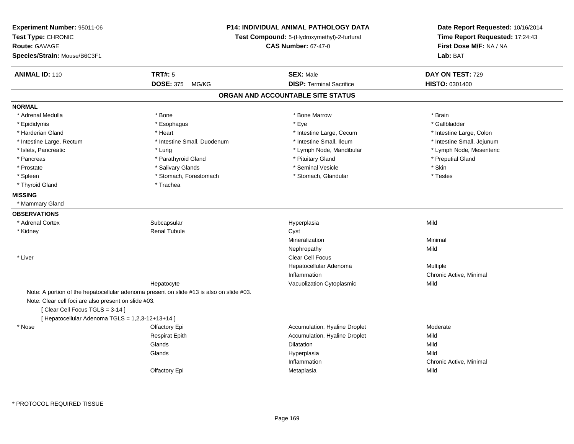| Experiment Number: 95011-06<br>Test Type: CHRONIC<br><b>Route: GAVAGE</b><br>Species/Strain: Mouse/B6C3F1 |                                                                                          | <b>P14: INDIVIDUAL ANIMAL PATHOLOGY DATA</b><br>Test Compound: 5-(Hydroxymethyl)-2-furfural<br><b>CAS Number: 67-47-0</b> |                            |
|-----------------------------------------------------------------------------------------------------------|------------------------------------------------------------------------------------------|---------------------------------------------------------------------------------------------------------------------------|----------------------------|
| <b>ANIMAL ID: 110</b>                                                                                     | <b>TRT#: 5</b>                                                                           | <b>SEX: Male</b>                                                                                                          | DAY ON TEST: 729           |
|                                                                                                           | DOSE: 375 MG/KG                                                                          | <b>DISP: Terminal Sacrifice</b>                                                                                           | HISTO: 0301400             |
|                                                                                                           |                                                                                          | ORGAN AND ACCOUNTABLE SITE STATUS                                                                                         |                            |
| <b>NORMAL</b>                                                                                             |                                                                                          |                                                                                                                           |                            |
| * Adrenal Medulla                                                                                         | * Bone                                                                                   | * Bone Marrow                                                                                                             | * Brain                    |
| * Epididymis                                                                                              | * Esophagus                                                                              | $*$ Eye                                                                                                                   | * Gallbladder              |
| * Harderian Gland                                                                                         | * Heart                                                                                  | * Intestine Large, Cecum                                                                                                  | * Intestine Large, Colon   |
| * Intestine Large, Rectum                                                                                 | * Intestine Small, Duodenum                                                              | * Intestine Small, Ileum                                                                                                  | * Intestine Small, Jejunum |
| * Islets, Pancreatic                                                                                      | * Lung                                                                                   | * Lymph Node, Mandibular                                                                                                  | * Lymph Node, Mesenteric   |
| * Pancreas                                                                                                | * Parathyroid Gland                                                                      | * Pituitary Gland                                                                                                         | * Preputial Gland          |
| * Prostate                                                                                                | * Salivary Glands                                                                        | * Seminal Vesicle                                                                                                         | * Skin                     |
| * Spleen                                                                                                  | * Stomach, Forestomach                                                                   | * Stomach, Glandular                                                                                                      | * Testes                   |
| * Thyroid Gland                                                                                           | * Trachea                                                                                |                                                                                                                           |                            |
| <b>MISSING</b>                                                                                            |                                                                                          |                                                                                                                           |                            |
| * Mammary Gland                                                                                           |                                                                                          |                                                                                                                           |                            |
| <b>OBSERVATIONS</b>                                                                                       |                                                                                          |                                                                                                                           |                            |
| * Adrenal Cortex                                                                                          | Subcapsular                                                                              | Hyperplasia                                                                                                               | Mild                       |
| * Kidney                                                                                                  | <b>Renal Tubule</b>                                                                      | Cyst                                                                                                                      |                            |
|                                                                                                           |                                                                                          | Mineralization                                                                                                            | Minimal                    |
|                                                                                                           |                                                                                          | Nephropathy                                                                                                               | Mild                       |
| * Liver                                                                                                   |                                                                                          | Clear Cell Focus                                                                                                          |                            |
|                                                                                                           |                                                                                          | Hepatocellular Adenoma                                                                                                    | Multiple                   |
|                                                                                                           |                                                                                          | Inflammation                                                                                                              | Chronic Active, Minimal    |
|                                                                                                           | Hepatocyte                                                                               | Vacuolization Cytoplasmic                                                                                                 | Mild                       |
|                                                                                                           | Note: A portion of the hepatocellular adenoma present on slide #13 is also on slide #03. |                                                                                                                           |                            |
| Note: Clear cell foci are also present on slide #03.                                                      |                                                                                          |                                                                                                                           |                            |
| [Clear Cell Focus TGLS = 3-14]                                                                            |                                                                                          |                                                                                                                           |                            |
| [ Hepatocellular Adenoma TGLS = 1,2,3-12+13+14 ]                                                          |                                                                                          |                                                                                                                           |                            |
| * Nose                                                                                                    | Olfactory Epi                                                                            | Accumulation, Hyaline Droplet                                                                                             | Moderate                   |
|                                                                                                           | <b>Respirat Epith</b>                                                                    | Accumulation, Hyaline Droplet                                                                                             | Mild                       |
|                                                                                                           | Glands                                                                                   | Dilatation                                                                                                                | Mild                       |
|                                                                                                           | Glands                                                                                   | Hyperplasia                                                                                                               | Mild                       |
|                                                                                                           |                                                                                          | Inflammation                                                                                                              | Chronic Active, Minimal    |
|                                                                                                           | Olfactory Epi                                                                            | Metaplasia                                                                                                                | Mild                       |
|                                                                                                           |                                                                                          |                                                                                                                           |                            |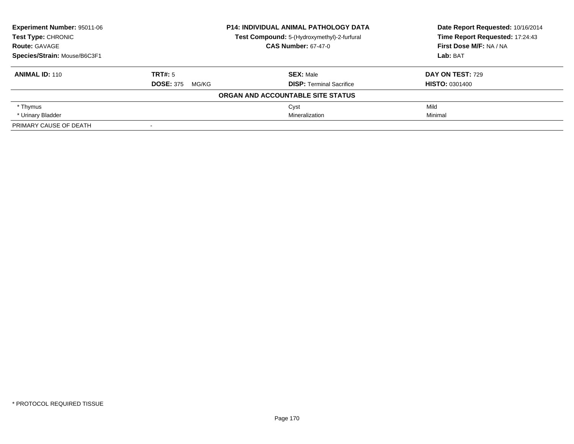| Experiment Number: 95011-06  |                            | <b>P14: INDIVIDUAL ANIMAL PATHOLOGY DATA</b> | Date Report Requested: 10/16/2014<br>Time Report Requested: 17:24:43 |
|------------------------------|----------------------------|----------------------------------------------|----------------------------------------------------------------------|
| <b>Test Type: CHRONIC</b>    |                            | Test Compound: 5-(Hydroxymethyl)-2-furfural  |                                                                      |
| <b>Route: GAVAGE</b>         | <b>CAS Number: 67-47-0</b> |                                              | First Dose M/F: NA / NA                                              |
| Species/Strain: Mouse/B6C3F1 |                            |                                              | Lab: BAT                                                             |
| <b>ANIMAL ID: 110</b>        | TRT#: 5                    | <b>SEX: Male</b>                             | <b>DAY ON TEST: 729</b>                                              |
|                              | <b>DOSE: 375</b><br>MG/KG  | <b>DISP: Terminal Sacrifice</b>              | <b>HISTO: 0301400</b>                                                |
|                              |                            | ORGAN AND ACCOUNTABLE SITE STATUS            |                                                                      |
| * Thymus                     |                            | Cyst                                         | Mild                                                                 |
| * Urinary Bladder            |                            | Mineralization                               | Minimal                                                              |
| PRIMARY CAUSE OF DEATH       | $\,$ $\,$                  |                                              |                                                                      |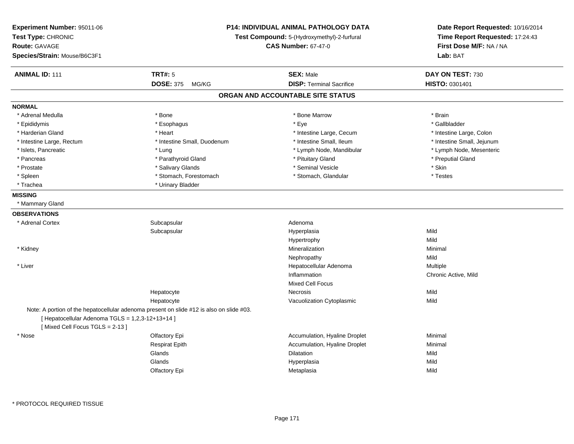| Experiment Number: 95011-06<br>Test Type: CHRONIC<br><b>Route: GAVAGE</b><br>Species/Strain: Mouse/B6C3F1 | P14: INDIVIDUAL ANIMAL PATHOLOGY DATA<br>Test Compound: 5-(Hydroxymethyl)-2-furfural<br><b>CAS Number: 67-47-0</b> |                                   | Date Report Requested: 10/16/2014<br>Time Report Requested: 17:24:43<br>First Dose M/F: NA / NA<br>Lab: BAT |
|-----------------------------------------------------------------------------------------------------------|--------------------------------------------------------------------------------------------------------------------|-----------------------------------|-------------------------------------------------------------------------------------------------------------|
| <b>ANIMAL ID: 111</b>                                                                                     | <b>TRT#: 5</b>                                                                                                     | <b>SEX: Male</b>                  | DAY ON TEST: 730                                                                                            |
|                                                                                                           | <b>DOSE: 375</b><br>MG/KG                                                                                          | <b>DISP: Terminal Sacrifice</b>   | HISTO: 0301401                                                                                              |
|                                                                                                           |                                                                                                                    | ORGAN AND ACCOUNTABLE SITE STATUS |                                                                                                             |
| <b>NORMAL</b>                                                                                             |                                                                                                                    |                                   |                                                                                                             |
| * Adrenal Medulla                                                                                         | * Bone                                                                                                             | * Bone Marrow                     | * Brain                                                                                                     |
| * Epididymis                                                                                              | * Esophagus                                                                                                        | * Eye                             | * Gallbladder                                                                                               |
| * Harderian Gland                                                                                         | * Heart                                                                                                            | * Intestine Large, Cecum          | * Intestine Large, Colon                                                                                    |
| * Intestine Large, Rectum                                                                                 | * Intestine Small, Duodenum                                                                                        | * Intestine Small, Ileum          | * Intestine Small, Jejunum                                                                                  |
| * Islets, Pancreatic                                                                                      | * Lung                                                                                                             | * Lymph Node, Mandibular          | * Lymph Node, Mesenteric                                                                                    |
| * Pancreas                                                                                                | * Parathyroid Gland                                                                                                | * Pituitary Gland                 | * Preputial Gland                                                                                           |
| * Prostate                                                                                                | * Salivary Glands                                                                                                  | * Seminal Vesicle                 | * Skin                                                                                                      |
| $*$ Spleen                                                                                                | * Stomach, Forestomach                                                                                             | * Stomach, Glandular              | * Testes                                                                                                    |
| * Trachea                                                                                                 | * Urinary Bladder                                                                                                  |                                   |                                                                                                             |
| <b>MISSING</b>                                                                                            |                                                                                                                    |                                   |                                                                                                             |
| * Mammary Gland                                                                                           |                                                                                                                    |                                   |                                                                                                             |
| <b>OBSERVATIONS</b>                                                                                       |                                                                                                                    |                                   |                                                                                                             |
| * Adrenal Cortex                                                                                          | Subcapsular                                                                                                        | Adenoma                           |                                                                                                             |
|                                                                                                           | Subcapsular                                                                                                        | Hyperplasia                       | Mild                                                                                                        |
|                                                                                                           |                                                                                                                    | Hypertrophy                       | Mild                                                                                                        |
| * Kidney                                                                                                  |                                                                                                                    | Mineralization                    | Minimal                                                                                                     |
|                                                                                                           |                                                                                                                    | Nephropathy                       | Mild                                                                                                        |
| * Liver                                                                                                   |                                                                                                                    | Hepatocellular Adenoma            | Multiple                                                                                                    |
|                                                                                                           |                                                                                                                    | Inflammation                      | Chronic Active, Mild                                                                                        |
|                                                                                                           |                                                                                                                    | <b>Mixed Cell Focus</b>           |                                                                                                             |
|                                                                                                           | Hepatocyte                                                                                                         | Necrosis                          | Mild                                                                                                        |
|                                                                                                           | Hepatocyte                                                                                                         | Vacuolization Cytoplasmic         | Mild                                                                                                        |
|                                                                                                           | Note: A portion of the hepatocellular adenoma present on slide #12 is also on slide #03.                           |                                   |                                                                                                             |
| [ Hepatocellular Adenoma TGLS = 1,2,3-12+13+14 ]                                                          |                                                                                                                    |                                   |                                                                                                             |
| [Mixed Cell Focus TGLS = 2-13]                                                                            |                                                                                                                    |                                   |                                                                                                             |
| * Nose                                                                                                    | Olfactory Epi                                                                                                      | Accumulation, Hyaline Droplet     | Minimal                                                                                                     |
|                                                                                                           | <b>Respirat Epith</b>                                                                                              | Accumulation, Hyaline Droplet     | Minimal                                                                                                     |
|                                                                                                           | Glands                                                                                                             | Dilatation                        | Mild                                                                                                        |
|                                                                                                           | Glands                                                                                                             | Hyperplasia                       | Mild                                                                                                        |
|                                                                                                           | Olfactory Epi                                                                                                      | Metaplasia                        | Mild                                                                                                        |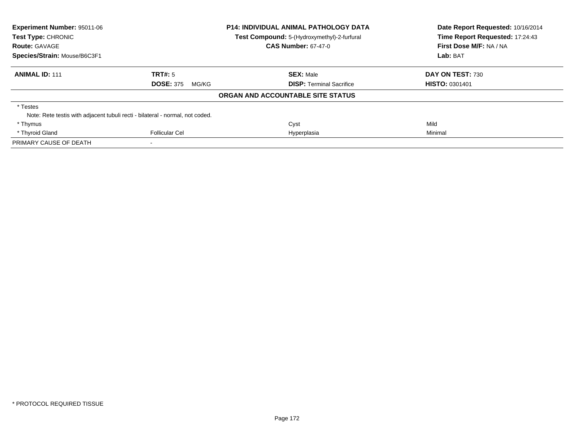| Experiment Number: 95011-06<br>Test Type: CHRONIC |                                                                               | <b>P14: INDIVIDUAL ANIMAL PATHOLOGY DATA</b> | Date Report Requested: 10/16/2014<br>Time Report Requested: 17:24:43 |
|---------------------------------------------------|-------------------------------------------------------------------------------|----------------------------------------------|----------------------------------------------------------------------|
|                                                   |                                                                               | Test Compound: 5-(Hydroxymethyl)-2-furfural  |                                                                      |
| <b>Route: GAVAGE</b>                              |                                                                               | <b>CAS Number: 67-47-0</b>                   | First Dose M/F: NA / NA                                              |
| Species/Strain: Mouse/B6C3F1                      |                                                                               |                                              | Lab: BAT                                                             |
| <b>ANIMAL ID: 111</b>                             | TRT#: 5                                                                       | <b>SEX: Male</b>                             | DAY ON TEST: 730                                                     |
|                                                   | <b>DOSE: 375</b><br>MG/KG                                                     | <b>DISP:</b> Terminal Sacrifice              | <b>HISTO: 0301401</b>                                                |
|                                                   |                                                                               | ORGAN AND ACCOUNTABLE SITE STATUS            |                                                                      |
| * Testes                                          |                                                                               |                                              |                                                                      |
|                                                   | Note: Rete testis with adjacent tubuli recti - bilateral - normal, not coded. |                                              |                                                                      |
| * Thymus                                          |                                                                               | Cyst                                         | Mild                                                                 |
| * Thyroid Gland                                   | Follicular Cel                                                                | Hyperplasia                                  | Minimal                                                              |
| PRIMARY CAUSE OF DEATH                            |                                                                               |                                              |                                                                      |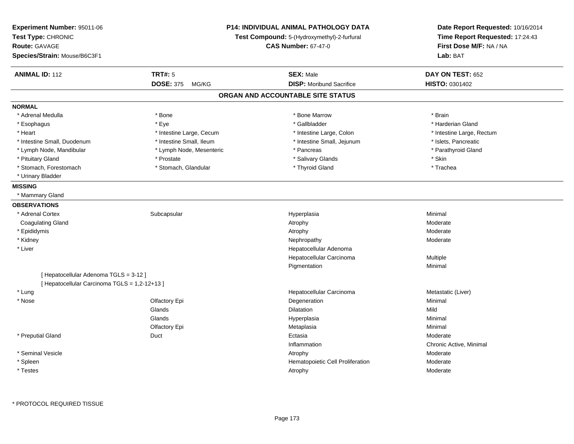| <b>Experiment Number: 95011-06</b><br>Test Type: CHRONIC<br><b>Route: GAVAGE</b><br>Species/Strain: Mouse/B6C3F1 |                          | P14: INDIVIDUAL ANIMAL PATHOLOGY DATA<br>Test Compound: 5-(Hydroxymethyl)-2-furfural<br><b>CAS Number: 67-47-0</b> | Date Report Requested: 10/16/2014<br>Time Report Requested: 17:24:43<br>First Dose M/F: NA / NA<br>Lab: BAT |
|------------------------------------------------------------------------------------------------------------------|--------------------------|--------------------------------------------------------------------------------------------------------------------|-------------------------------------------------------------------------------------------------------------|
| <b>ANIMAL ID: 112</b>                                                                                            | <b>TRT#: 5</b>           | <b>SEX: Male</b>                                                                                                   | DAY ON TEST: 652                                                                                            |
|                                                                                                                  | <b>DOSE: 375 MG/KG</b>   | <b>DISP:</b> Moribund Sacrifice                                                                                    | <b>HISTO: 0301402</b>                                                                                       |
|                                                                                                                  |                          | ORGAN AND ACCOUNTABLE SITE STATUS                                                                                  |                                                                                                             |
| <b>NORMAL</b>                                                                                                    |                          |                                                                                                                    |                                                                                                             |
| * Adrenal Medulla                                                                                                | * Bone                   | * Bone Marrow                                                                                                      | * Brain                                                                                                     |
| * Esophagus                                                                                                      | * Eye                    | * Gallbladder                                                                                                      | * Harderian Gland                                                                                           |
| * Heart                                                                                                          | * Intestine Large, Cecum | * Intestine Large, Colon                                                                                           | * Intestine Large, Rectum                                                                                   |
| * Intestine Small, Duodenum                                                                                      | * Intestine Small, Ileum | * Intestine Small, Jejunum                                                                                         | * Islets, Pancreatic                                                                                        |
| * Lymph Node, Mandibular                                                                                         | * Lymph Node, Mesenteric | * Pancreas                                                                                                         | * Parathyroid Gland                                                                                         |
| * Pituitary Gland                                                                                                | * Prostate               | * Salivary Glands                                                                                                  | * Skin                                                                                                      |
| * Stomach, Forestomach                                                                                           | * Stomach, Glandular     | * Thyroid Gland                                                                                                    | * Trachea                                                                                                   |
| * Urinary Bladder                                                                                                |                          |                                                                                                                    |                                                                                                             |
| <b>MISSING</b>                                                                                                   |                          |                                                                                                                    |                                                                                                             |
| * Mammary Gland                                                                                                  |                          |                                                                                                                    |                                                                                                             |
| <b>OBSERVATIONS</b>                                                                                              |                          |                                                                                                                    |                                                                                                             |
| * Adrenal Cortex                                                                                                 | Subcapsular              | Hyperplasia                                                                                                        | Minimal                                                                                                     |
| Coagulating Gland                                                                                                |                          | Atrophy                                                                                                            | Moderate                                                                                                    |
| * Epididymis                                                                                                     |                          | Atrophy                                                                                                            | Moderate                                                                                                    |
| * Kidney                                                                                                         |                          | Nephropathy                                                                                                        | Moderate                                                                                                    |
| * Liver                                                                                                          |                          | Hepatocellular Adenoma                                                                                             |                                                                                                             |
|                                                                                                                  |                          | Hepatocellular Carcinoma                                                                                           | Multiple                                                                                                    |
|                                                                                                                  |                          | Pigmentation                                                                                                       | Minimal                                                                                                     |
| [ Hepatocellular Adenoma TGLS = 3-12 ]                                                                           |                          |                                                                                                                    |                                                                                                             |
| [ Hepatocellular Carcinoma TGLS = 1,2-12+13 ]                                                                    |                          |                                                                                                                    |                                                                                                             |
| * Lung                                                                                                           |                          | Hepatocellular Carcinoma                                                                                           | Metastatic (Liver)                                                                                          |
| * Nose                                                                                                           | Olfactory Epi            | Degeneration                                                                                                       | Minimal                                                                                                     |
|                                                                                                                  | Glands                   | Dilatation                                                                                                         | Mild                                                                                                        |
|                                                                                                                  | Glands                   | Hyperplasia                                                                                                        | Minimal                                                                                                     |
|                                                                                                                  | Olfactory Epi            | Metaplasia                                                                                                         | Minimal                                                                                                     |
| * Preputial Gland                                                                                                | Duct                     | Ectasia                                                                                                            | Moderate                                                                                                    |
|                                                                                                                  |                          | Inflammation                                                                                                       | Chronic Active, Minimal                                                                                     |
| * Seminal Vesicle                                                                                                |                          | Atrophy                                                                                                            | Moderate                                                                                                    |
| * Spleen                                                                                                         |                          | Hematopoietic Cell Proliferation                                                                                   | Moderate                                                                                                    |
| * Testes                                                                                                         |                          | Atrophy                                                                                                            | Moderate                                                                                                    |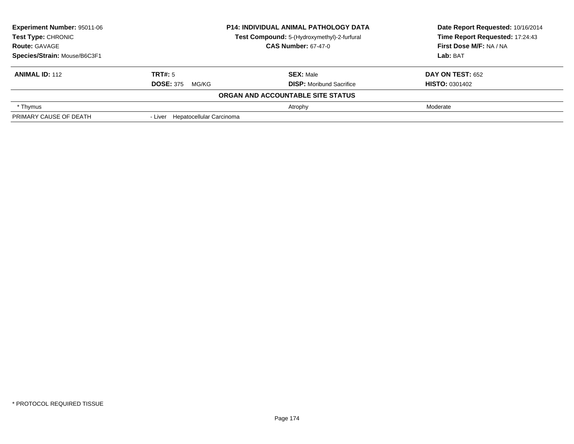| <b>Experiment Number: 95011-06</b><br><b>P14: INDIVIDUAL ANIMAL PATHOLOGY DATA</b><br>Test Type: CHRONIC<br>Test Compound: 5-(Hydroxymethyl)-2-furfural |                                  |                                   | Date Report Requested: 10/16/2014 |
|---------------------------------------------------------------------------------------------------------------------------------------------------------|----------------------------------|-----------------------------------|-----------------------------------|
|                                                                                                                                                         |                                  | Time Report Requested: 17:24:43   |                                   |
| <b>Route: GAVAGE</b>                                                                                                                                    | <b>CAS Number: 67-47-0</b>       |                                   | First Dose M/F: NA / NA           |
| Species/Strain: Mouse/B6C3F1                                                                                                                            |                                  |                                   | Lab: BAT                          |
| <b>ANIMAL ID: 112</b>                                                                                                                                   | TRT#: 5                          | <b>SEX: Male</b>                  | <b>DAY ON TEST: 652</b>           |
|                                                                                                                                                         | <b>DOSE: 375</b><br>MG/KG        | <b>DISP:</b> Moribund Sacrifice   | <b>HISTO: 0301402</b>             |
|                                                                                                                                                         |                                  | ORGAN AND ACCOUNTABLE SITE STATUS |                                   |
| * Thymus                                                                                                                                                |                                  | Atrophy                           | Moderate                          |
| PRIMARY CAUSE OF DEATH                                                                                                                                  | - Liver Hepatocellular Carcinoma |                                   |                                   |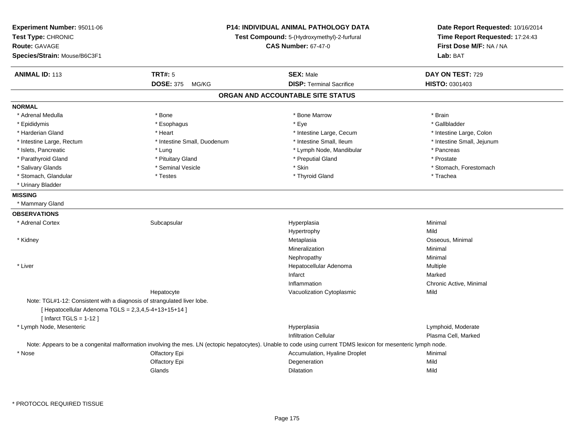| Experiment Number: 95011-06<br>Test Type: CHRONIC<br>Route: GAVAGE<br>Species/Strain: Mouse/B6C3F1                                                          | <b>P14: INDIVIDUAL ANIMAL PATHOLOGY DATA</b><br>Test Compound: 5-(Hydroxymethyl)-2-furfural<br><b>CAS Number: 67-47-0</b> |                                                                                                                                                                 | Date Report Requested: 10/16/2014<br>Time Report Requested: 17:24:43<br>First Dose M/F: NA / NA<br>Lab: BAT |
|-------------------------------------------------------------------------------------------------------------------------------------------------------------|---------------------------------------------------------------------------------------------------------------------------|-----------------------------------------------------------------------------------------------------------------------------------------------------------------|-------------------------------------------------------------------------------------------------------------|
| <b>ANIMAL ID: 113</b>                                                                                                                                       | <b>TRT#: 5</b>                                                                                                            | <b>SEX: Male</b>                                                                                                                                                | DAY ON TEST: 729                                                                                            |
|                                                                                                                                                             | <b>DOSE: 375</b><br>MG/KG                                                                                                 | <b>DISP: Terminal Sacrifice</b>                                                                                                                                 | <b>HISTO: 0301403</b>                                                                                       |
|                                                                                                                                                             |                                                                                                                           | ORGAN AND ACCOUNTABLE SITE STATUS                                                                                                                               |                                                                                                             |
| <b>NORMAL</b>                                                                                                                                               |                                                                                                                           |                                                                                                                                                                 |                                                                                                             |
| * Adrenal Medulla                                                                                                                                           | * Bone                                                                                                                    | * Bone Marrow                                                                                                                                                   | * Brain                                                                                                     |
| * Epididymis                                                                                                                                                | * Esophagus                                                                                                               | * Eye                                                                                                                                                           | * Gallbladder                                                                                               |
| * Harderian Gland                                                                                                                                           | * Heart                                                                                                                   | * Intestine Large, Cecum                                                                                                                                        | * Intestine Large, Colon                                                                                    |
| * Intestine Large, Rectum                                                                                                                                   | * Intestine Small, Duodenum                                                                                               | * Intestine Small, Ileum                                                                                                                                        | * Intestine Small, Jejunum                                                                                  |
| * Islets, Pancreatic                                                                                                                                        | * Lung                                                                                                                    | * Lymph Node, Mandibular                                                                                                                                        | * Pancreas                                                                                                  |
| * Parathyroid Gland                                                                                                                                         | * Pituitary Gland                                                                                                         | * Preputial Gland                                                                                                                                               | * Prostate                                                                                                  |
| * Salivary Glands                                                                                                                                           | * Seminal Vesicle                                                                                                         | * Skin                                                                                                                                                          | * Stomach, Forestomach                                                                                      |
| * Stomach, Glandular                                                                                                                                        | * Testes                                                                                                                  | * Thyroid Gland                                                                                                                                                 | * Trachea                                                                                                   |
| * Urinary Bladder                                                                                                                                           |                                                                                                                           |                                                                                                                                                                 |                                                                                                             |
| <b>MISSING</b>                                                                                                                                              |                                                                                                                           |                                                                                                                                                                 |                                                                                                             |
| * Mammary Gland                                                                                                                                             |                                                                                                                           |                                                                                                                                                                 |                                                                                                             |
| <b>OBSERVATIONS</b>                                                                                                                                         |                                                                                                                           |                                                                                                                                                                 |                                                                                                             |
| * Adrenal Cortex                                                                                                                                            | Subcapsular                                                                                                               | Hyperplasia                                                                                                                                                     | Minimal                                                                                                     |
|                                                                                                                                                             |                                                                                                                           | Hypertrophy                                                                                                                                                     | Mild                                                                                                        |
| * Kidney                                                                                                                                                    |                                                                                                                           | Metaplasia                                                                                                                                                      | Osseous, Minimal                                                                                            |
|                                                                                                                                                             |                                                                                                                           | Mineralization                                                                                                                                                  | Minimal                                                                                                     |
|                                                                                                                                                             |                                                                                                                           | Nephropathy                                                                                                                                                     | Minimal                                                                                                     |
| * Liver                                                                                                                                                     |                                                                                                                           | Hepatocellular Adenoma                                                                                                                                          | Multiple                                                                                                    |
|                                                                                                                                                             |                                                                                                                           | Infarct                                                                                                                                                         | Marked                                                                                                      |
|                                                                                                                                                             |                                                                                                                           | Inflammation                                                                                                                                                    | Chronic Active, Minimal                                                                                     |
|                                                                                                                                                             | Hepatocyte                                                                                                                | Vacuolization Cytoplasmic                                                                                                                                       | Mild                                                                                                        |
| Note: TGL#1-12: Consistent with a diagnosis of strangulated liver lobe.<br>[ Hepatocellular Adenoma TGLS = 2,3,4,5-4+13+15+14 ]<br>[Infarct TGLS = $1-12$ ] |                                                                                                                           |                                                                                                                                                                 |                                                                                                             |
| * Lymph Node, Mesenteric                                                                                                                                    |                                                                                                                           | Hyperplasia                                                                                                                                                     | Lymphoid, Moderate                                                                                          |
|                                                                                                                                                             |                                                                                                                           | <b>Infiltration Cellular</b>                                                                                                                                    | Plasma Cell, Marked                                                                                         |
|                                                                                                                                                             |                                                                                                                           | Note: Appears to be a congenital malformation involving the mes. LN (ectopic hepatocytes). Unable to code using current TDMS lexicon for mesenteric lymph node. |                                                                                                             |
| * Nose                                                                                                                                                      | Olfactory Epi                                                                                                             | Accumulation, Hyaline Droplet                                                                                                                                   | Minimal                                                                                                     |
|                                                                                                                                                             | Olfactory Epi                                                                                                             | Degeneration                                                                                                                                                    | Mild                                                                                                        |
|                                                                                                                                                             | Glands                                                                                                                    | <b>Dilatation</b>                                                                                                                                               | Mild                                                                                                        |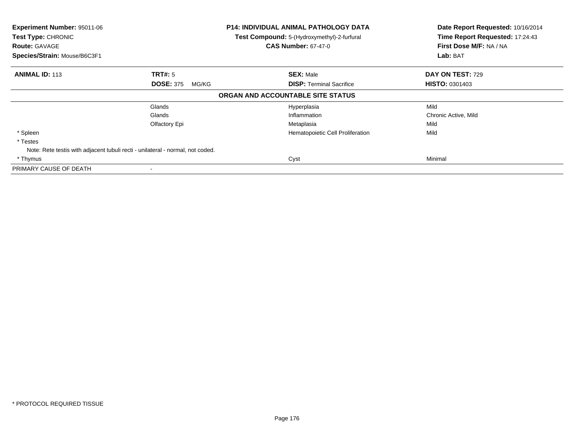| <b>Experiment Number: 95011-06</b><br>Test Type: CHRONIC<br><b>Route: GAVAGE</b><br>Species/Strain: Mouse/B6C3F1 | P14: INDIVIDUAL ANIMAL PATHOLOGY DATA<br>Test Compound: 5-(Hydroxymethyl)-2-furfural<br><b>CAS Number: 67-47-0</b> |                                                     | Date Report Requested: 10/16/2014<br>Time Report Requested: 17:24:43<br>First Dose M/F: NA / NA<br>Lab: BAT |
|------------------------------------------------------------------------------------------------------------------|--------------------------------------------------------------------------------------------------------------------|-----------------------------------------------------|-------------------------------------------------------------------------------------------------------------|
| <b>ANIMAL ID: 113</b><br><b>TRT#:</b> 5<br><b>DOSE: 375</b>                                                      | MG/KG                                                                                                              | <b>SEX: Male</b><br><b>DISP:</b> Terminal Sacrifice | DAY ON TEST: 729<br><b>HISTO: 0301403</b>                                                                   |
|                                                                                                                  |                                                                                                                    | ORGAN AND ACCOUNTABLE SITE STATUS                   |                                                                                                             |
| Glands<br>Glands<br>Olfactory Epi                                                                                |                                                                                                                    | Hyperplasia<br>Inflammation<br>Metaplasia           | Mild<br>Chronic Active, Mild<br>Mild                                                                        |
| * Spleen<br>* Testes<br>Note: Rete testis with adjacent tubuli recti - unilateral - normal, not coded.           |                                                                                                                    | Hematopoietic Cell Proliferation                    | Mild                                                                                                        |
| * Thymus<br>PRIMARY CAUSE OF DEATH                                                                               |                                                                                                                    | Cyst                                                | Minimal                                                                                                     |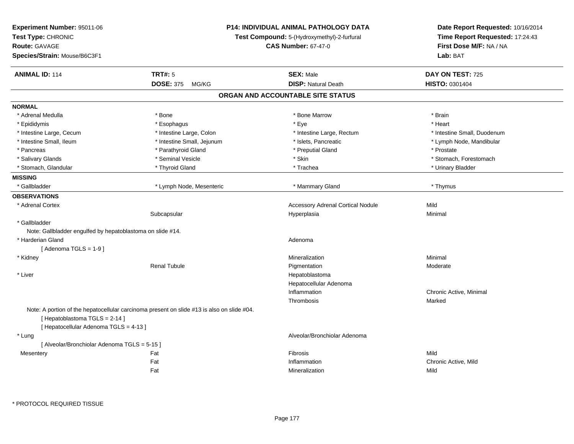| Experiment Number: 95011-06<br>Test Type: CHRONIC<br><b>Route: GAVAGE</b><br>Species/Strain: Mouse/B6C3F1 | <b>P14: INDIVIDUAL ANIMAL PATHOLOGY DATA</b><br>Test Compound: 5-(Hydroxymethyl)-2-furfural<br><b>CAS Number: 67-47-0</b> |                                          | Date Report Requested: 10/16/2014<br>Time Report Requested: 17:24:43<br>First Dose M/F: NA / NA<br>Lab: BAT |
|-----------------------------------------------------------------------------------------------------------|---------------------------------------------------------------------------------------------------------------------------|------------------------------------------|-------------------------------------------------------------------------------------------------------------|
| <b>ANIMAL ID: 114</b>                                                                                     | <b>TRT#: 5</b>                                                                                                            | <b>SEX: Male</b>                         | DAY ON TEST: 725                                                                                            |
|                                                                                                           | <b>DOSE: 375</b><br>MG/KG                                                                                                 | <b>DISP: Natural Death</b>               | HISTO: 0301404                                                                                              |
|                                                                                                           |                                                                                                                           | ORGAN AND ACCOUNTABLE SITE STATUS        |                                                                                                             |
| <b>NORMAL</b>                                                                                             |                                                                                                                           |                                          |                                                                                                             |
| * Adrenal Medulla                                                                                         | * Bone                                                                                                                    | * Bone Marrow                            | * Brain                                                                                                     |
| * Epididymis                                                                                              | * Esophagus                                                                                                               | * Eye                                    | * Heart                                                                                                     |
| * Intestine Large, Cecum                                                                                  | * Intestine Large, Colon                                                                                                  | * Intestine Large, Rectum                | * Intestine Small, Duodenum                                                                                 |
| * Intestine Small, Ileum                                                                                  | * Intestine Small, Jejunum                                                                                                | * Islets, Pancreatic                     | * Lymph Node, Mandibular                                                                                    |
| * Pancreas                                                                                                | * Parathyroid Gland                                                                                                       | * Preputial Gland                        | * Prostate                                                                                                  |
| * Salivary Glands                                                                                         | * Seminal Vesicle                                                                                                         | * Skin                                   | * Stomach, Forestomach                                                                                      |
| * Stomach, Glandular                                                                                      | * Thyroid Gland                                                                                                           | * Trachea                                | * Urinary Bladder                                                                                           |
| <b>MISSING</b>                                                                                            |                                                                                                                           |                                          |                                                                                                             |
| * Gallbladder                                                                                             | * Lymph Node, Mesenteric                                                                                                  | * Mammary Gland                          | * Thymus                                                                                                    |
| <b>OBSERVATIONS</b>                                                                                       |                                                                                                                           |                                          |                                                                                                             |
| * Adrenal Cortex                                                                                          |                                                                                                                           | <b>Accessory Adrenal Cortical Nodule</b> | Mild                                                                                                        |
|                                                                                                           | Subcapsular                                                                                                               | Hyperplasia                              | Minimal                                                                                                     |
| * Gallbladder                                                                                             |                                                                                                                           |                                          |                                                                                                             |
| Note: Gallbladder engulfed by hepatoblastoma on slide #14.                                                |                                                                                                                           |                                          |                                                                                                             |
| * Harderian Gland                                                                                         |                                                                                                                           | Adenoma                                  |                                                                                                             |
| [Adenoma TGLS = $1-9$ ]                                                                                   |                                                                                                                           |                                          |                                                                                                             |
| * Kidney                                                                                                  |                                                                                                                           | Mineralization                           | Minimal                                                                                                     |
|                                                                                                           | <b>Renal Tubule</b>                                                                                                       | Pigmentation                             | Moderate                                                                                                    |
| * Liver                                                                                                   |                                                                                                                           | Hepatoblastoma                           |                                                                                                             |
|                                                                                                           |                                                                                                                           | Hepatocellular Adenoma                   |                                                                                                             |
|                                                                                                           |                                                                                                                           | Inflammation                             | Chronic Active, Minimal                                                                                     |
|                                                                                                           |                                                                                                                           | Thrombosis                               | Marked                                                                                                      |
| [Hepatoblastoma TGLS = 2-14]                                                                              | Note: A portion of the hepatocellular carcinoma present on slide #13 is also on slide #04.                                |                                          |                                                                                                             |
| [ Hepatocellular Adenoma TGLS = 4-13 ]<br>* Lung                                                          |                                                                                                                           | Alveolar/Bronchiolar Adenoma             |                                                                                                             |
| [ Alveolar/Bronchiolar Adenoma TGLS = 5-15 ]                                                              |                                                                                                                           |                                          |                                                                                                             |
|                                                                                                           | Fat                                                                                                                       | Fibrosis                                 | Mild                                                                                                        |
| Mesentery                                                                                                 | Fat                                                                                                                       | Inflammation                             | Chronic Active, Mild                                                                                        |
|                                                                                                           | Fat                                                                                                                       | Mineralization                           | Mild                                                                                                        |
|                                                                                                           |                                                                                                                           |                                          |                                                                                                             |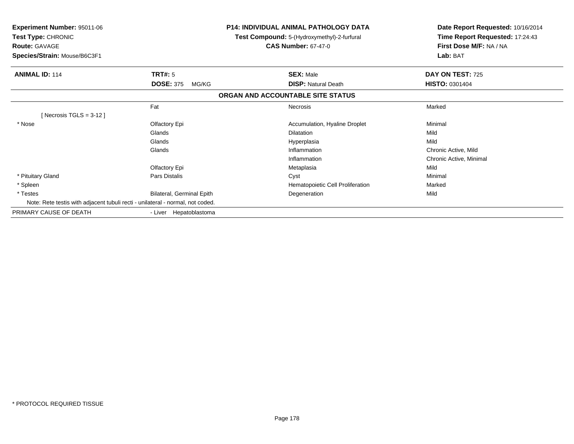| <b>Experiment Number: 95011-06</b><br>Test Type: CHRONIC<br><b>Route: GAVAGE</b><br>Species/Strain: Mouse/B6C3F1 |                           | P14: INDIVIDUAL ANIMAL PATHOLOGY DATA<br>Test Compound: 5-(Hydroxymethyl)-2-furfural<br><b>CAS Number: 67-47-0</b> | Date Report Requested: 10/16/2014<br>Time Report Requested: 17:24:43<br>First Dose M/F: NA / NA<br>Lab: BAT |
|------------------------------------------------------------------------------------------------------------------|---------------------------|--------------------------------------------------------------------------------------------------------------------|-------------------------------------------------------------------------------------------------------------|
| <b>ANIMAL ID: 114</b>                                                                                            | TRT#: 5                   | <b>SEX: Male</b>                                                                                                   | DAY ON TEST: 725                                                                                            |
|                                                                                                                  | <b>DOSE: 375</b><br>MG/KG | <b>DISP: Natural Death</b>                                                                                         | <b>HISTO: 0301404</b>                                                                                       |
|                                                                                                                  |                           | ORGAN AND ACCOUNTABLE SITE STATUS                                                                                  |                                                                                                             |
|                                                                                                                  | Fat                       | <b>Necrosis</b>                                                                                                    | Marked                                                                                                      |
| [Necrosis TGLS = $3-12$ ]                                                                                        |                           |                                                                                                                    |                                                                                                             |
| * Nose                                                                                                           | Olfactory Epi             | Accumulation, Hyaline Droplet                                                                                      | Minimal                                                                                                     |
|                                                                                                                  | Glands                    | Dilatation                                                                                                         | Mild                                                                                                        |
|                                                                                                                  | Glands                    | Hyperplasia                                                                                                        | Mild                                                                                                        |
|                                                                                                                  | Glands                    | Inflammation                                                                                                       | Chronic Active, Mild                                                                                        |
|                                                                                                                  |                           | Inflammation                                                                                                       | Chronic Active, Minimal                                                                                     |
|                                                                                                                  | Olfactory Epi             | Metaplasia                                                                                                         | Mild                                                                                                        |
| * Pituitary Gland                                                                                                | Pars Distalis             | Cyst                                                                                                               | Minimal                                                                                                     |
| * Spleen                                                                                                         |                           | Hematopoietic Cell Proliferation                                                                                   | Marked                                                                                                      |
| * Testes                                                                                                         | Bilateral, Germinal Epith | Degeneration                                                                                                       | Mild                                                                                                        |
| Note: Rete testis with adjacent tubuli recti - unilateral - normal, not coded.                                   |                           |                                                                                                                    |                                                                                                             |
| PRIMARY CAUSE OF DEATH                                                                                           | - Liver Hepatoblastoma    |                                                                                                                    |                                                                                                             |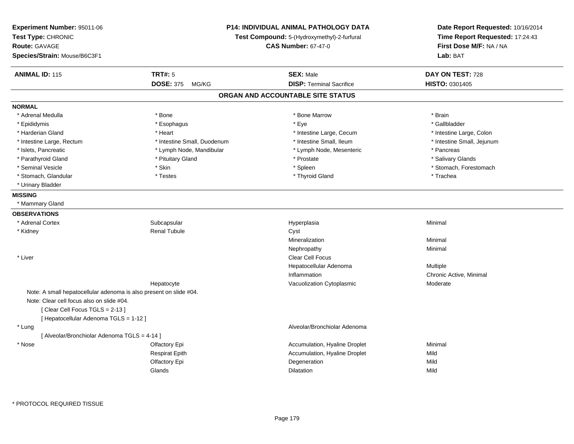| Experiment Number: 95011-06<br>Test Type: CHRONIC<br><b>Route: GAVAGE</b><br>Species/Strain: Mouse/B6C3F1 |                             | <b>P14: INDIVIDUAL ANIMAL PATHOLOGY DATA</b><br>Test Compound: 5-(Hydroxymethyl)-2-furfural<br><b>CAS Number: 67-47-0</b> | Date Report Requested: 10/16/2014<br>Time Report Requested: 17:24:43<br>First Dose M/F: NA / NA<br>Lab: BAT |
|-----------------------------------------------------------------------------------------------------------|-----------------------------|---------------------------------------------------------------------------------------------------------------------------|-------------------------------------------------------------------------------------------------------------|
| <b>ANIMAL ID: 115</b>                                                                                     | <b>TRT#: 5</b>              | <b>SEX: Male</b>                                                                                                          | DAY ON TEST: 728                                                                                            |
|                                                                                                           | <b>DOSE: 375</b><br>MG/KG   | <b>DISP: Terminal Sacrifice</b>                                                                                           | <b>HISTO: 0301405</b>                                                                                       |
|                                                                                                           |                             | ORGAN AND ACCOUNTABLE SITE STATUS                                                                                         |                                                                                                             |
| <b>NORMAL</b>                                                                                             |                             |                                                                                                                           |                                                                                                             |
| * Adrenal Medulla                                                                                         | * Bone                      | * Bone Marrow                                                                                                             | * Brain                                                                                                     |
| * Epididymis                                                                                              | * Esophagus                 | * Eye                                                                                                                     | * Gallbladder                                                                                               |
| * Harderian Gland                                                                                         | * Heart                     | * Intestine Large, Cecum                                                                                                  | * Intestine Large, Colon                                                                                    |
| * Intestine Large, Rectum                                                                                 | * Intestine Small, Duodenum | * Intestine Small, Ileum                                                                                                  | * Intestine Small, Jejunum                                                                                  |
| * Islets, Pancreatic                                                                                      | * Lymph Node, Mandibular    | * Lymph Node, Mesenteric                                                                                                  | * Pancreas                                                                                                  |
| * Parathyroid Gland                                                                                       | * Pituitary Gland           | * Prostate                                                                                                                | * Salivary Glands                                                                                           |
| * Seminal Vesicle                                                                                         | * Skin                      | * Spleen                                                                                                                  | * Stomach, Forestomach                                                                                      |
| * Stomach, Glandular                                                                                      | * Testes                    | * Thyroid Gland                                                                                                           | * Trachea                                                                                                   |
| * Urinary Bladder                                                                                         |                             |                                                                                                                           |                                                                                                             |
| <b>MISSING</b>                                                                                            |                             |                                                                                                                           |                                                                                                             |
| * Mammary Gland                                                                                           |                             |                                                                                                                           |                                                                                                             |
| <b>OBSERVATIONS</b>                                                                                       |                             |                                                                                                                           |                                                                                                             |
| * Adrenal Cortex                                                                                          | Subcapsular                 | Hyperplasia                                                                                                               | Minimal                                                                                                     |
| * Kidney                                                                                                  | <b>Renal Tubule</b>         | Cyst                                                                                                                      |                                                                                                             |
|                                                                                                           |                             | Mineralization                                                                                                            | Minimal                                                                                                     |
|                                                                                                           |                             | Nephropathy                                                                                                               | Minimal                                                                                                     |
| * Liver                                                                                                   |                             | <b>Clear Cell Focus</b>                                                                                                   |                                                                                                             |
|                                                                                                           |                             | Hepatocellular Adenoma                                                                                                    | Multiple                                                                                                    |
|                                                                                                           |                             | Inflammation                                                                                                              | Chronic Active, Minimal                                                                                     |
|                                                                                                           | Hepatocyte                  | Vacuolization Cytoplasmic                                                                                                 | Moderate                                                                                                    |
| Note: A small hepatocellular adenoma is also present on slide #04.                                        |                             |                                                                                                                           |                                                                                                             |
| Note: Clear cell focus also on slide #04.                                                                 |                             |                                                                                                                           |                                                                                                             |
| [Clear Cell Focus TGLS = 2-13]                                                                            |                             |                                                                                                                           |                                                                                                             |
| [ Hepatocellular Adenoma TGLS = 1-12 ]                                                                    |                             |                                                                                                                           |                                                                                                             |
| * Lung                                                                                                    |                             | Alveolar/Bronchiolar Adenoma                                                                                              |                                                                                                             |
| [ Alveolar/Bronchiolar Adenoma TGLS = 4-14 ]                                                              |                             |                                                                                                                           |                                                                                                             |
| * Nose                                                                                                    | Olfactory Epi               | Accumulation, Hyaline Droplet                                                                                             | Minimal                                                                                                     |
|                                                                                                           | <b>Respirat Epith</b>       | Accumulation, Hyaline Droplet                                                                                             | Mild                                                                                                        |
|                                                                                                           | Olfactory Epi               | Degeneration                                                                                                              | Mild                                                                                                        |
|                                                                                                           |                             |                                                                                                                           |                                                                                                             |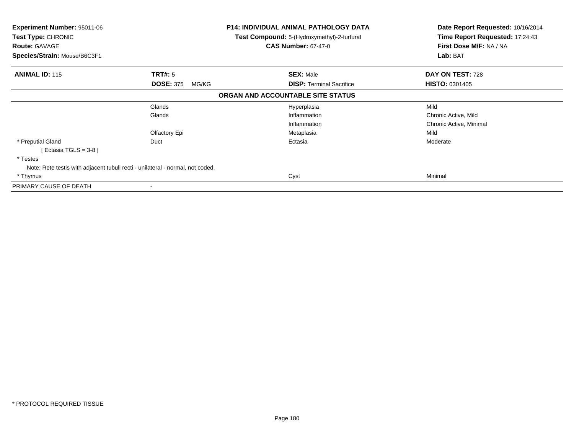| <b>Experiment Number: 95011-06</b><br><b>Test Type: CHRONIC</b><br><b>Route: GAVAGE</b><br>Species/Strain: Mouse/B6C3F1 |                           | P14: INDIVIDUAL ANIMAL PATHOLOGY DATA<br>Test Compound: 5-(Hydroxymethyl)-2-furfural<br><b>CAS Number: 67-47-0</b> | Date Report Requested: 10/16/2014<br>Time Report Requested: 17:24:43<br>First Dose M/F: NA / NA<br>Lab: BAT |  |
|-------------------------------------------------------------------------------------------------------------------------|---------------------------|--------------------------------------------------------------------------------------------------------------------|-------------------------------------------------------------------------------------------------------------|--|
| <b>ANIMAL ID: 115</b>                                                                                                   | TRT#: 5                   | <b>SEX: Male</b>                                                                                                   | DAY ON TEST: 728                                                                                            |  |
|                                                                                                                         | <b>DOSE: 375</b><br>MG/KG | <b>DISP:</b> Terminal Sacrifice                                                                                    | <b>HISTO: 0301405</b>                                                                                       |  |
|                                                                                                                         |                           | ORGAN AND ACCOUNTABLE SITE STATUS                                                                                  |                                                                                                             |  |
|                                                                                                                         | Glands                    | Hyperplasia                                                                                                        | Mild                                                                                                        |  |
|                                                                                                                         | Glands                    | Inflammation                                                                                                       | Chronic Active, Mild                                                                                        |  |
|                                                                                                                         |                           | Inflammation                                                                                                       | Chronic Active, Minimal                                                                                     |  |
|                                                                                                                         | Olfactory Epi             | Metaplasia                                                                                                         | Mild                                                                                                        |  |
| * Preputial Gland                                                                                                       | Duct                      | Ectasia                                                                                                            | Moderate                                                                                                    |  |
| Ectasia TGLS = 3-8 ]                                                                                                    |                           |                                                                                                                    |                                                                                                             |  |
| * Testes                                                                                                                |                           |                                                                                                                    |                                                                                                             |  |
| Note: Rete testis with adjacent tubuli recti - unilateral - normal, not coded.                                          |                           |                                                                                                                    |                                                                                                             |  |
| * Thymus                                                                                                                |                           | Cyst                                                                                                               | Minimal                                                                                                     |  |
| PRIMARY CAUSE OF DEATH                                                                                                  | $\blacksquare$            |                                                                                                                    |                                                                                                             |  |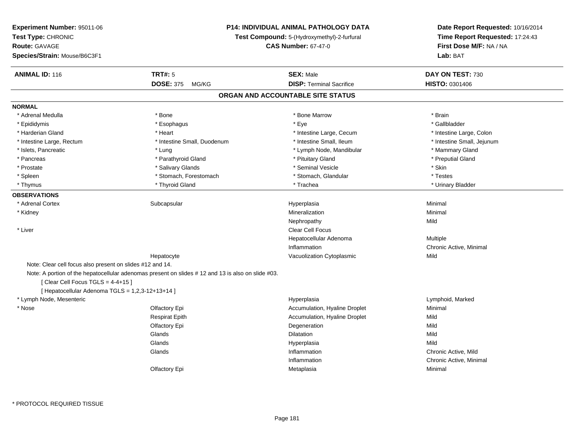|                                                           | <b>P14: INDIVIDUAL ANIMAL PATHOLOGY DATA</b> |                                                                                                                                                                      |
|-----------------------------------------------------------|----------------------------------------------|----------------------------------------------------------------------------------------------------------------------------------------------------------------------|
|                                                           | Test Compound: 5-(Hydroxymethyl)-2-furfural  |                                                                                                                                                                      |
|                                                           |                                              | First Dose M/F: NA / NA<br>Lab: BAT                                                                                                                                  |
| <b>TRT#: 5</b>                                            | <b>SEX: Male</b>                             | DAY ON TEST: 730                                                                                                                                                     |
| <b>DOSE: 375</b><br>MG/KG                                 | <b>DISP: Terminal Sacrifice</b>              | HISTO: 0301406                                                                                                                                                       |
|                                                           |                                              |                                                                                                                                                                      |
|                                                           |                                              |                                                                                                                                                                      |
| * Bone                                                    | * Bone Marrow                                | * Brain                                                                                                                                                              |
| * Esophagus                                               | * Eye                                        | * Gallbladder                                                                                                                                                        |
| * Heart                                                   | * Intestine Large, Cecum                     | * Intestine Large, Colon                                                                                                                                             |
| * Intestine Small, Duodenum                               | * Intestine Small, Ileum                     | * Intestine Small, Jejunum                                                                                                                                           |
| * Lung                                                    | * Lymph Node, Mandibular                     | * Mammary Gland                                                                                                                                                      |
| * Parathyroid Gland                                       | * Pituitary Gland                            | * Preputial Gland                                                                                                                                                    |
| * Salivary Glands                                         | * Seminal Vesicle                            | * Skin                                                                                                                                                               |
| * Stomach, Forestomach                                    | * Stomach, Glandular                         | * Testes                                                                                                                                                             |
| * Thyroid Gland                                           | * Trachea                                    | * Urinary Bladder                                                                                                                                                    |
|                                                           |                                              |                                                                                                                                                                      |
| Subcapsular                                               | Hyperplasia                                  | Minimal                                                                                                                                                              |
|                                                           | Mineralization                               | Minimal                                                                                                                                                              |
|                                                           | Nephropathy                                  | Mild                                                                                                                                                                 |
|                                                           | <b>Clear Cell Focus</b>                      |                                                                                                                                                                      |
|                                                           | Hepatocellular Adenoma                       | Multiple                                                                                                                                                             |
|                                                           | Inflammation                                 | Chronic Active, Minimal                                                                                                                                              |
| Hepatocyte                                                | Vacuolization Cytoplasmic                    | Mild                                                                                                                                                                 |
| Note: Clear cell focus also present on slides #12 and 14. |                                              |                                                                                                                                                                      |
|                                                           |                                              |                                                                                                                                                                      |
| [Clear Cell Focus TGLS = 4-4+15]                          |                                              |                                                                                                                                                                      |
| [ Hepatocellular Adenoma TGLS = 1,2,3-12+13+14 ]          |                                              |                                                                                                                                                                      |
|                                                           | Hyperplasia                                  | Lymphoid, Marked                                                                                                                                                     |
| Olfactory Epi                                             | Accumulation, Hyaline Droplet                | Minimal                                                                                                                                                              |
| <b>Respirat Epith</b>                                     | Accumulation, Hyaline Droplet                | Mild                                                                                                                                                                 |
| Olfactory Epi                                             | Degeneration                                 | Mild                                                                                                                                                                 |
| Glands                                                    | <b>Dilatation</b>                            | Mild                                                                                                                                                                 |
| Glands                                                    | Hyperplasia                                  | Mild                                                                                                                                                                 |
| Glands                                                    | Inflammation                                 | Chronic Active, Mild                                                                                                                                                 |
|                                                           | Inflammation                                 | Chronic Active, Minimal                                                                                                                                              |
| Olfactory Epi                                             | Metaplasia                                   | Minimal                                                                                                                                                              |
|                                                           |                                              | <b>CAS Number: 67-47-0</b><br>ORGAN AND ACCOUNTABLE SITE STATUS<br>Note: A portion of the hepatocellular adenomas present on slides #12 and 13 is also on slide #03. |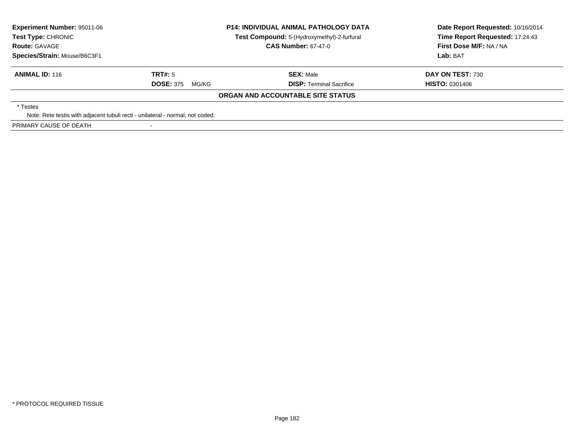| <b>Experiment Number: 95011-06</b><br><b>Test Type: CHRONIC</b>                |                            | <b>P14: INDIVIDUAL ANIMAL PATHOLOGY DATA</b><br>Test Compound: 5-(Hydroxymethyl)-2-furfural | Date Report Requested: 10/16/2014<br>Time Report Requested: 17:24:43 |  |
|--------------------------------------------------------------------------------|----------------------------|---------------------------------------------------------------------------------------------|----------------------------------------------------------------------|--|
| <b>Route: GAVAGE</b>                                                           | <b>CAS Number: 67-47-0</b> |                                                                                             | First Dose M/F: NA / NA                                              |  |
| Species/Strain: Mouse/B6C3F1                                                   |                            |                                                                                             | Lab: BAT                                                             |  |
| <b>ANIMAL ID: 116</b>                                                          | TRT#: 5                    | <b>SEX: Male</b>                                                                            | DAY ON TEST: 730                                                     |  |
|                                                                                | <b>DOSE: 375</b><br>MG/KG  | <b>DISP:</b> Terminal Sacrifice                                                             | <b>HISTO: 0301406</b>                                                |  |
|                                                                                |                            | ORGAN AND ACCOUNTABLE SITE STATUS                                                           |                                                                      |  |
| * Testes                                                                       |                            |                                                                                             |                                                                      |  |
| Note: Rete testis with adjacent tubuli recti - unilateral - normal, not coded. |                            |                                                                                             |                                                                      |  |
| PRIMARY CAUSE OF DEATH                                                         |                            |                                                                                             |                                                                      |  |

-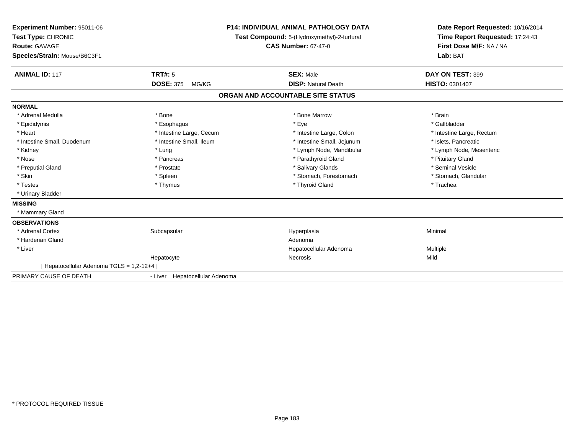| Experiment Number: 95011-06              | <b>P14: INDIVIDUAL ANIMAL PATHOLOGY DATA</b><br>Test Compound: 5-(Hydroxymethyl)-2-furfural<br><b>CAS Number: 67-47-0</b> |                                   | Date Report Requested: 10/16/2014 |  |
|------------------------------------------|---------------------------------------------------------------------------------------------------------------------------|-----------------------------------|-----------------------------------|--|
| Test Type: CHRONIC                       |                                                                                                                           |                                   | Time Report Requested: 17:24:43   |  |
| Route: GAVAGE                            |                                                                                                                           |                                   | First Dose M/F: NA / NA           |  |
| Species/Strain: Mouse/B6C3F1             |                                                                                                                           |                                   | Lab: BAT                          |  |
| <b>ANIMAL ID: 117</b>                    | <b>TRT#: 5</b>                                                                                                            | <b>SEX: Male</b>                  | DAY ON TEST: 399                  |  |
|                                          | <b>DOSE: 375</b><br>MG/KG                                                                                                 | <b>DISP: Natural Death</b>        | <b>HISTO: 0301407</b>             |  |
|                                          |                                                                                                                           | ORGAN AND ACCOUNTABLE SITE STATUS |                                   |  |
| <b>NORMAL</b>                            |                                                                                                                           |                                   |                                   |  |
| * Adrenal Medulla                        | * Bone                                                                                                                    | * Bone Marrow                     | * Brain                           |  |
| * Epididymis                             | * Esophagus                                                                                                               | * Eye                             | * Gallbladder                     |  |
| * Heart                                  | * Intestine Large, Cecum                                                                                                  | * Intestine Large, Colon          | * Intestine Large, Rectum         |  |
| * Intestine Small, Duodenum              | * Intestine Small, Ileum                                                                                                  | * Intestine Small, Jejunum        | * Islets. Pancreatic              |  |
| * Kidney                                 | * Lung                                                                                                                    | * Lymph Node, Mandibular          | * Lymph Node, Mesenteric          |  |
| * Nose                                   | * Pancreas                                                                                                                | * Parathyroid Gland               | * Pituitary Gland                 |  |
| * Preputial Gland                        | * Prostate                                                                                                                | * Salivary Glands                 | * Seminal Vesicle                 |  |
| * Skin                                   | * Spleen                                                                                                                  | * Stomach, Forestomach            | * Stomach, Glandular              |  |
| * Testes                                 | * Thymus                                                                                                                  | * Thyroid Gland                   | * Trachea                         |  |
| * Urinary Bladder                        |                                                                                                                           |                                   |                                   |  |
| <b>MISSING</b>                           |                                                                                                                           |                                   |                                   |  |
| * Mammary Gland                          |                                                                                                                           |                                   |                                   |  |
| <b>OBSERVATIONS</b>                      |                                                                                                                           |                                   |                                   |  |
| * Adrenal Cortex                         | Subcapsular                                                                                                               | Hyperplasia                       | Minimal                           |  |
| * Harderian Gland                        |                                                                                                                           | Adenoma                           |                                   |  |
| * Liver                                  |                                                                                                                           | Hepatocellular Adenoma            | Multiple                          |  |
|                                          | Hepatocyte                                                                                                                | Necrosis                          | Mild                              |  |
| [Hepatocellular Adenoma TGLS = 1,2-12+4] |                                                                                                                           |                                   |                                   |  |
| PRIMARY CAUSE OF DEATH                   | - Liver Hepatocellular Adenoma                                                                                            |                                   |                                   |  |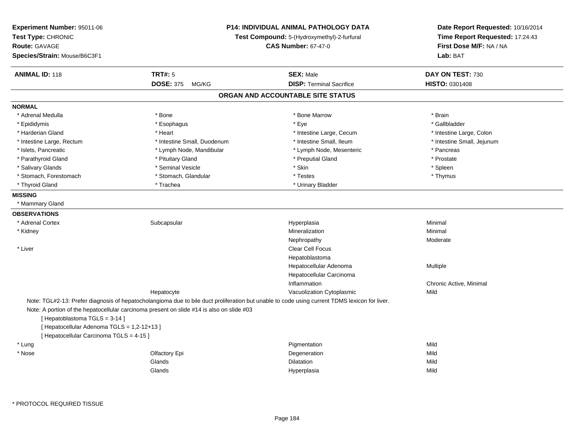| Experiment Number: 95011-06<br>Test Type: CHRONIC<br>Route: GAVAGE<br>Species/Strain: Mouse/B6C3F1                      | P14: INDIVIDUAL ANIMAL PATHOLOGY DATA<br>Test Compound: 5-(Hydroxymethyl)-2-furfural<br><b>CAS Number: 67-47-0</b>                                                                                                                         |                                   | Date Report Requested: 10/16/2014<br>Time Report Requested: 17:24:43<br>First Dose M/F: NA / NA<br>Lab: BAT |
|-------------------------------------------------------------------------------------------------------------------------|--------------------------------------------------------------------------------------------------------------------------------------------------------------------------------------------------------------------------------------------|-----------------------------------|-------------------------------------------------------------------------------------------------------------|
| <b>ANIMAL ID: 118</b>                                                                                                   | <b>TRT#: 5</b>                                                                                                                                                                                                                             | <b>SEX: Male</b>                  | DAY ON TEST: 730                                                                                            |
|                                                                                                                         | DOSE: 375 MG/KG                                                                                                                                                                                                                            | <b>DISP: Terminal Sacrifice</b>   | HISTO: 0301408                                                                                              |
|                                                                                                                         |                                                                                                                                                                                                                                            | ORGAN AND ACCOUNTABLE SITE STATUS |                                                                                                             |
| <b>NORMAL</b>                                                                                                           |                                                                                                                                                                                                                                            |                                   |                                                                                                             |
| * Adrenal Medulla                                                                                                       | * Bone                                                                                                                                                                                                                                     | * Bone Marrow                     | * Brain                                                                                                     |
| * Epididymis                                                                                                            | * Esophagus                                                                                                                                                                                                                                | * Eye                             | * Gallbladder                                                                                               |
| * Harderian Gland                                                                                                       | * Heart                                                                                                                                                                                                                                    | * Intestine Large, Cecum          | * Intestine Large, Colon                                                                                    |
| * Intestine Large, Rectum                                                                                               | * Intestine Small, Duodenum                                                                                                                                                                                                                | * Intestine Small, Ileum          | * Intestine Small, Jejunum                                                                                  |
| * Islets, Pancreatic                                                                                                    | * Lymph Node, Mandibular                                                                                                                                                                                                                   | * Lymph Node, Mesenteric          | * Pancreas                                                                                                  |
| * Parathyroid Gland                                                                                                     | * Pituitary Gland                                                                                                                                                                                                                          | * Preputial Gland                 | * Prostate                                                                                                  |
| * Salivary Glands                                                                                                       | * Seminal Vesicle                                                                                                                                                                                                                          | * Skin                            | * Spleen                                                                                                    |
| * Stomach, Forestomach                                                                                                  | * Stomach, Glandular                                                                                                                                                                                                                       | * Testes                          | * Thymus                                                                                                    |
| * Thyroid Gland                                                                                                         | * Trachea                                                                                                                                                                                                                                  | * Urinary Bladder                 |                                                                                                             |
| <b>MISSING</b>                                                                                                          |                                                                                                                                                                                                                                            |                                   |                                                                                                             |
| * Mammary Gland                                                                                                         |                                                                                                                                                                                                                                            |                                   |                                                                                                             |
| <b>OBSERVATIONS</b>                                                                                                     |                                                                                                                                                                                                                                            |                                   |                                                                                                             |
| * Adrenal Cortex                                                                                                        | Subcapsular                                                                                                                                                                                                                                | Hyperplasia                       | Minimal                                                                                                     |
| * Kidney                                                                                                                |                                                                                                                                                                                                                                            | Mineralization                    | Minimal                                                                                                     |
|                                                                                                                         |                                                                                                                                                                                                                                            | Nephropathy                       | Moderate                                                                                                    |
| * Liver                                                                                                                 |                                                                                                                                                                                                                                            | <b>Clear Cell Focus</b>           |                                                                                                             |
|                                                                                                                         |                                                                                                                                                                                                                                            | Hepatoblastoma                    |                                                                                                             |
|                                                                                                                         |                                                                                                                                                                                                                                            | Hepatocellular Adenoma            | Multiple                                                                                                    |
|                                                                                                                         |                                                                                                                                                                                                                                            | Hepatocellular Carcinoma          |                                                                                                             |
|                                                                                                                         |                                                                                                                                                                                                                                            | Inflammation                      | Chronic Active, Minimal                                                                                     |
|                                                                                                                         | Hepatocyte                                                                                                                                                                                                                                 | Vacuolization Cytoplasmic         | Mild                                                                                                        |
| [Hepatoblastoma TGLS = 3-14]<br>[ Hepatocellular Adenoma TGLS = 1,2-12+13 ]<br>[ Hepatocellular Carcinoma TGLS = 4-15 ] | Note: TGL#2-13: Prefer diagnosis of hepatocholangioma due to bile duct proliferation but unable to code using current TDMS lexicon for liver.<br>Note: A portion of the hepatocellular carcinoma present on slide #14 is also on slide #03 |                                   |                                                                                                             |
| * Lung                                                                                                                  |                                                                                                                                                                                                                                            | Pigmentation                      | Mild                                                                                                        |
| * Nose                                                                                                                  | Olfactory Epi                                                                                                                                                                                                                              | Degeneration                      | Mild                                                                                                        |
|                                                                                                                         | Glands                                                                                                                                                                                                                                     | Dilatation                        | Mild                                                                                                        |
|                                                                                                                         | Glands                                                                                                                                                                                                                                     |                                   | Mild                                                                                                        |
|                                                                                                                         |                                                                                                                                                                                                                                            | Hyperplasia                       |                                                                                                             |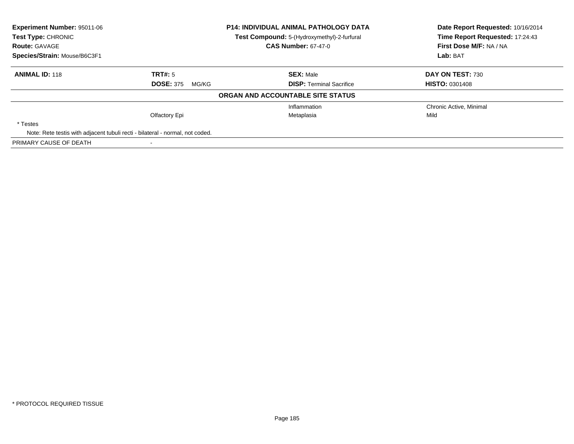| <b>Experiment Number: 95011-06</b><br>Test Type: CHRONIC                      |                           | P14: INDIVIDUAL ANIMAL PATHOLOGY DATA       | Date Report Requested: 10/16/2014 |
|-------------------------------------------------------------------------------|---------------------------|---------------------------------------------|-----------------------------------|
|                                                                               |                           | Test Compound: 5-(Hydroxymethyl)-2-furfural | Time Report Requested: 17:24:43   |
| <b>Route: GAVAGE</b>                                                          |                           | <b>CAS Number: 67-47-0</b>                  | First Dose M/F: NA / NA           |
| Species/Strain: Mouse/B6C3F1                                                  |                           |                                             | Lab: BAT                          |
| <b>ANIMAL ID: 118</b>                                                         | TRT#: 5                   | <b>SEX: Male</b>                            | DAY ON TEST: 730                  |
|                                                                               | <b>DOSE: 375</b><br>MG/KG | <b>DISP: Terminal Sacrifice</b>             | <b>HISTO: 0301408</b>             |
|                                                                               |                           | ORGAN AND ACCOUNTABLE SITE STATUS           |                                   |
|                                                                               |                           | Inflammation                                | Chronic Active, Minimal           |
|                                                                               | Olfactory Epi             | Metaplasia                                  | Mild                              |
| * Testes                                                                      |                           |                                             |                                   |
| Note: Rete testis with adjacent tubuli recti - bilateral - normal, not coded. |                           |                                             |                                   |
| PRIMARY CAUSE OF DEATH                                                        |                           |                                             |                                   |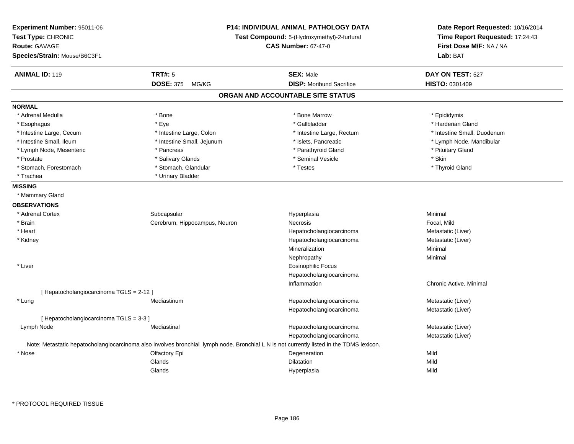| Experiment Number: 95011-06<br>Test Type: CHRONIC<br><b>Route: GAVAGE</b><br>Species/Strain: Mouse/B6C3F1 |                                                                                                                                          | <b>P14: INDIVIDUAL ANIMAL PATHOLOGY DATA</b><br>Test Compound: 5-(Hydroxymethyl)-2-furfural<br><b>CAS Number: 67-47-0</b> | Date Report Requested: 10/16/2014<br>Time Report Requested: 17:24:43<br>First Dose M/F: NA / NA<br>Lab: BAT |
|-----------------------------------------------------------------------------------------------------------|------------------------------------------------------------------------------------------------------------------------------------------|---------------------------------------------------------------------------------------------------------------------------|-------------------------------------------------------------------------------------------------------------|
| <b>ANIMAL ID: 119</b>                                                                                     | <b>TRT#: 5</b>                                                                                                                           | <b>SEX: Male</b>                                                                                                          | DAY ON TEST: 527                                                                                            |
|                                                                                                           | <b>DOSE: 375</b><br>MG/KG                                                                                                                | <b>DISP:</b> Moribund Sacrifice                                                                                           | <b>HISTO: 0301409</b>                                                                                       |
|                                                                                                           |                                                                                                                                          | ORGAN AND ACCOUNTABLE SITE STATUS                                                                                         |                                                                                                             |
| <b>NORMAL</b>                                                                                             |                                                                                                                                          |                                                                                                                           |                                                                                                             |
| * Adrenal Medulla                                                                                         | * Bone                                                                                                                                   | * Bone Marrow                                                                                                             | * Epididymis                                                                                                |
| * Esophagus                                                                                               | * Eye                                                                                                                                    | * Gallbladder                                                                                                             | * Harderian Gland                                                                                           |
| * Intestine Large, Cecum                                                                                  | * Intestine Large, Colon                                                                                                                 | * Intestine Large, Rectum                                                                                                 | * Intestine Small, Duodenum                                                                                 |
| * Intestine Small, Ileum                                                                                  | * Intestine Small, Jejunum                                                                                                               | * Islets, Pancreatic                                                                                                      | * Lymph Node, Mandibular                                                                                    |
| * Lymph Node, Mesenteric                                                                                  | * Pancreas                                                                                                                               | * Parathyroid Gland                                                                                                       | * Pituitary Gland                                                                                           |
| * Prostate                                                                                                | * Salivary Glands                                                                                                                        | * Seminal Vesicle                                                                                                         | * Skin                                                                                                      |
| * Stomach, Forestomach                                                                                    | * Stomach, Glandular                                                                                                                     | * Testes                                                                                                                  | * Thyroid Gland                                                                                             |
| * Trachea                                                                                                 | * Urinary Bladder                                                                                                                        |                                                                                                                           |                                                                                                             |
| <b>MISSING</b>                                                                                            |                                                                                                                                          |                                                                                                                           |                                                                                                             |
| * Mammary Gland                                                                                           |                                                                                                                                          |                                                                                                                           |                                                                                                             |
| <b>OBSERVATIONS</b>                                                                                       |                                                                                                                                          |                                                                                                                           |                                                                                                             |
| * Adrenal Cortex                                                                                          | Subcapsular                                                                                                                              | Hyperplasia                                                                                                               | Minimal                                                                                                     |
| * Brain                                                                                                   | Cerebrum, Hippocampus, Neuron                                                                                                            | Necrosis                                                                                                                  | Focal, Mild                                                                                                 |
| * Heart                                                                                                   |                                                                                                                                          | Hepatocholangiocarcinoma                                                                                                  | Metastatic (Liver)                                                                                          |
| * Kidney                                                                                                  |                                                                                                                                          | Hepatocholangiocarcinoma                                                                                                  | Metastatic (Liver)                                                                                          |
|                                                                                                           |                                                                                                                                          | Mineralization                                                                                                            | Minimal                                                                                                     |
|                                                                                                           |                                                                                                                                          | Nephropathy                                                                                                               | Minimal                                                                                                     |
| * Liver                                                                                                   |                                                                                                                                          | <b>Eosinophilic Focus</b>                                                                                                 |                                                                                                             |
|                                                                                                           |                                                                                                                                          | Hepatocholangiocarcinoma                                                                                                  |                                                                                                             |
|                                                                                                           |                                                                                                                                          | Inflammation                                                                                                              | Chronic Active, Minimal                                                                                     |
| [Hepatocholangiocarcinoma TGLS = 2-12]                                                                    |                                                                                                                                          |                                                                                                                           |                                                                                                             |
| * Lung                                                                                                    | Mediastinum                                                                                                                              | Hepatocholangiocarcinoma                                                                                                  | Metastatic (Liver)                                                                                          |
|                                                                                                           |                                                                                                                                          | Hepatocholangiocarcinoma                                                                                                  | Metastatic (Liver)                                                                                          |
| [Hepatocholangiocarcinoma TGLS = 3-3]                                                                     |                                                                                                                                          |                                                                                                                           |                                                                                                             |
| Lymph Node                                                                                                | Mediastinal                                                                                                                              | Hepatocholangiocarcinoma                                                                                                  | Metastatic (Liver)                                                                                          |
|                                                                                                           |                                                                                                                                          | Hepatocholangiocarcinoma                                                                                                  | Metastatic (Liver)                                                                                          |
|                                                                                                           | Note: Metastatic hepatocholangiocarcinoma also involves bronchial lymph node. Bronchial L N is not currently listed in the TDMS lexicon. |                                                                                                                           |                                                                                                             |
| * Nose                                                                                                    | Olfactory Epi                                                                                                                            | Degeneration                                                                                                              | Mild                                                                                                        |
|                                                                                                           | Glands                                                                                                                                   | Dilatation                                                                                                                | Mild                                                                                                        |
|                                                                                                           | Glands                                                                                                                                   | Hyperplasia                                                                                                               | Mild                                                                                                        |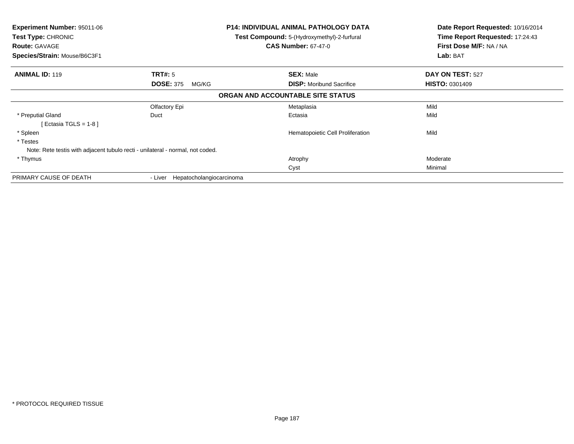| Experiment Number: 95011-06<br><b>Test Type: CHRONIC</b><br><b>Route: GAVAGE</b> |                                     | <b>P14: INDIVIDUAL ANIMAL PATHOLOGY DATA</b><br><b>Test Compound:</b> 5-(Hydroxymethyl)-2-furfural<br><b>CAS Number: 67-47-0</b> | Date Report Requested: 10/16/2014<br>Time Report Requested: 17:24:43<br>First Dose M/F: NA / NA |
|----------------------------------------------------------------------------------|-------------------------------------|----------------------------------------------------------------------------------------------------------------------------------|-------------------------------------------------------------------------------------------------|
| Species/Strain: Mouse/B6C3F1                                                     |                                     |                                                                                                                                  | Lab: BAT                                                                                        |
| <b>ANIMAL ID: 119</b>                                                            | <b>TRT#: 5</b>                      | <b>SEX: Male</b>                                                                                                                 | DAY ON TEST: 527                                                                                |
|                                                                                  | <b>DOSE: 375</b><br>MG/KG           | <b>DISP:</b> Moribund Sacrifice                                                                                                  | <b>HISTO: 0301409</b>                                                                           |
|                                                                                  |                                     | ORGAN AND ACCOUNTABLE SITE STATUS                                                                                                |                                                                                                 |
|                                                                                  | Olfactory Epi                       | Metaplasia                                                                                                                       | Mild                                                                                            |
| * Preputial Gland                                                                | Duct                                | Ectasia                                                                                                                          | Mild                                                                                            |
| Ectasia TGLS = 1-8 ]                                                             |                                     |                                                                                                                                  |                                                                                                 |
| * Spleen                                                                         |                                     | Hematopoietic Cell Proliferation                                                                                                 | Mild                                                                                            |
| * Testes                                                                         |                                     |                                                                                                                                  |                                                                                                 |
| Note: Rete testis with adjacent tubulo recti - unilateral - normal, not coded.   |                                     |                                                                                                                                  |                                                                                                 |
| * Thymus                                                                         |                                     | Atrophy                                                                                                                          | Moderate                                                                                        |
|                                                                                  |                                     | Cyst                                                                                                                             | Minimal                                                                                         |
| PRIMARY CAUSE OF DEATH                                                           | Hepatocholangiocarcinoma<br>- Liver |                                                                                                                                  |                                                                                                 |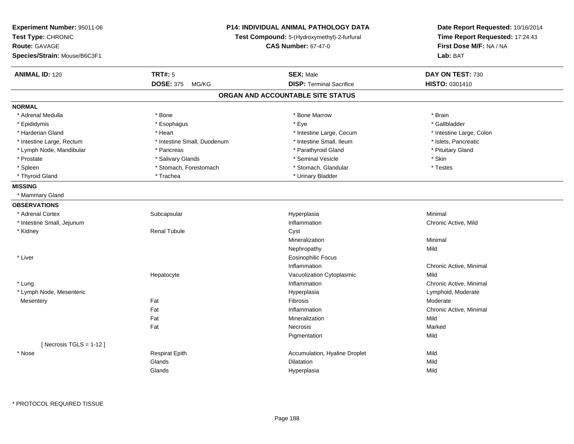| Experiment Number: 95011-06<br>Test Type: CHRONIC<br><b>Route: GAVAGE</b><br>Species/Strain: Mouse/B6C3F1 | <b>P14: INDIVIDUAL ANIMAL PATHOLOGY DATA</b><br>Test Compound: 5-(Hydroxymethyl)-2-furfural<br><b>CAS Number: 67-47-0</b> |                                   | Date Report Requested: 10/16/2014<br>Time Report Requested: 17:24:43<br>First Dose M/F: NA / NA<br>Lab: BAT |
|-----------------------------------------------------------------------------------------------------------|---------------------------------------------------------------------------------------------------------------------------|-----------------------------------|-------------------------------------------------------------------------------------------------------------|
| <b>ANIMAL ID: 120</b>                                                                                     | <b>TRT#: 5</b>                                                                                                            | <b>SEX: Male</b>                  | DAY ON TEST: 730                                                                                            |
|                                                                                                           | DOSE: 375 MG/KG                                                                                                           | <b>DISP: Terminal Sacrifice</b>   | HISTO: 0301410                                                                                              |
|                                                                                                           |                                                                                                                           | ORGAN AND ACCOUNTABLE SITE STATUS |                                                                                                             |
| <b>NORMAL</b>                                                                                             |                                                                                                                           |                                   |                                                                                                             |
| * Adrenal Medulla                                                                                         | * Bone                                                                                                                    | * Bone Marrow                     | * Brain                                                                                                     |
| * Epididymis                                                                                              | * Esophagus                                                                                                               | * Eye                             | * Gallbladder                                                                                               |
| * Harderian Gland                                                                                         | * Heart                                                                                                                   | * Intestine Large, Cecum          | * Intestine Large, Colon                                                                                    |
| * Intestine Large, Rectum                                                                                 | * Intestine Small, Duodenum                                                                                               | * Intestine Small, Ileum          | * Islets, Pancreatic                                                                                        |
| * Lymph Node, Mandibular                                                                                  | * Pancreas                                                                                                                | * Parathyroid Gland               | * Pituitary Gland                                                                                           |
| * Prostate                                                                                                | * Salivary Glands                                                                                                         | * Seminal Vesicle                 | * Skin                                                                                                      |
| * Spleen                                                                                                  | * Stomach, Forestomach                                                                                                    | * Stomach, Glandular              | * Testes                                                                                                    |
| * Thyroid Gland                                                                                           | * Trachea                                                                                                                 | * Urinary Bladder                 |                                                                                                             |
| <b>MISSING</b>                                                                                            |                                                                                                                           |                                   |                                                                                                             |
| * Mammary Gland                                                                                           |                                                                                                                           |                                   |                                                                                                             |
| <b>OBSERVATIONS</b>                                                                                       |                                                                                                                           |                                   |                                                                                                             |
| * Adrenal Cortex                                                                                          | Subcapsular                                                                                                               | Hyperplasia                       | Minimal                                                                                                     |
| * Intestine Small, Jejunum                                                                                |                                                                                                                           | Inflammation                      | Chronic Active, Mild                                                                                        |
| * Kidney                                                                                                  | <b>Renal Tubule</b>                                                                                                       | Cyst                              |                                                                                                             |
|                                                                                                           |                                                                                                                           | Mineralization                    | Minimal                                                                                                     |
|                                                                                                           |                                                                                                                           | Nephropathy                       | Mild                                                                                                        |
| * Liver                                                                                                   |                                                                                                                           | <b>Eosinophilic Focus</b>         |                                                                                                             |
|                                                                                                           |                                                                                                                           | Inflammation                      | Chronic Active, Minimal                                                                                     |
|                                                                                                           | Hepatocyte                                                                                                                | Vacuolization Cytoplasmic         | Mild                                                                                                        |
| * Lung                                                                                                    |                                                                                                                           | Inflammation                      | Chronic Active, Minimal                                                                                     |
| * Lymph Node, Mesenteric                                                                                  |                                                                                                                           | Hyperplasia                       | Lymphoid, Moderate                                                                                          |
| Mesentery                                                                                                 | Fat                                                                                                                       | Fibrosis                          | Moderate                                                                                                    |
|                                                                                                           | Fat                                                                                                                       | Inflammation                      | Chronic Active, Minimal                                                                                     |
|                                                                                                           | Fat                                                                                                                       | Mineralization                    | Mild                                                                                                        |
|                                                                                                           | Fat                                                                                                                       | Necrosis                          | Marked                                                                                                      |
|                                                                                                           |                                                                                                                           | Pigmentation                      | Mild                                                                                                        |
| [Necrosis TGLS = $1-12$ ]                                                                                 |                                                                                                                           |                                   |                                                                                                             |
| * Nose                                                                                                    | <b>Respirat Epith</b>                                                                                                     | Accumulation, Hyaline Droplet     | Mild                                                                                                        |
|                                                                                                           | Glands                                                                                                                    | Dilatation                        | Mild                                                                                                        |
|                                                                                                           | Glands                                                                                                                    | Hyperplasia                       | Mild                                                                                                        |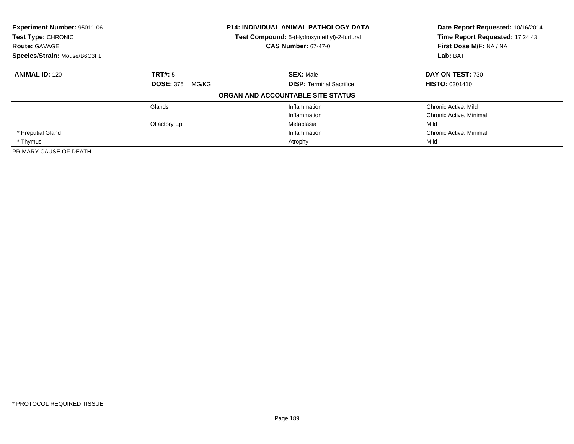| Experiment Number: 95011-06<br>Test Type: CHRONIC<br><b>Route: GAVAGE</b> |                           | <b>P14: INDIVIDUAL ANIMAL PATHOLOGY DATA</b><br>Test Compound: 5-(Hydroxymethyl)-2-furfural<br><b>CAS Number: 67-47-0</b> | Date Report Requested: 10/16/2014<br>Time Report Requested: 17:24:43<br>First Dose M/F: NA / NA |
|---------------------------------------------------------------------------|---------------------------|---------------------------------------------------------------------------------------------------------------------------|-------------------------------------------------------------------------------------------------|
| Species/Strain: Mouse/B6C3F1                                              |                           |                                                                                                                           | Lab: BAT                                                                                        |
| <b>ANIMAL ID: 120</b>                                                     | <b>TRT#: 5</b>            | <b>SEX: Male</b>                                                                                                          | DAY ON TEST: 730                                                                                |
|                                                                           | <b>DOSE: 375</b><br>MG/KG | <b>DISP:</b> Terminal Sacrifice                                                                                           | <b>HISTO: 0301410</b>                                                                           |
|                                                                           |                           | ORGAN AND ACCOUNTABLE SITE STATUS                                                                                         |                                                                                                 |
|                                                                           | Glands                    | Inflammation                                                                                                              | Chronic Active, Mild                                                                            |
|                                                                           |                           | Inflammation                                                                                                              | Chronic Active, Minimal                                                                         |
|                                                                           | Olfactory Epi             | Metaplasia                                                                                                                | Mild                                                                                            |
| * Preputial Gland                                                         |                           | Inflammation                                                                                                              | Chronic Active, Minimal                                                                         |
| * Thymus                                                                  |                           | Atrophy                                                                                                                   | Mild                                                                                            |
| PRIMARY CAUSE OF DEATH                                                    |                           |                                                                                                                           |                                                                                                 |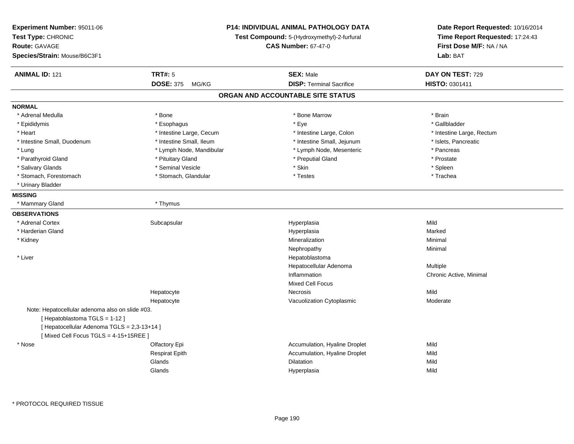| Experiment Number: 95011-06<br>Test Type: CHRONIC<br>Route: GAVAGE<br>Species/Strain: Mouse/B6C3F1 |                           | P14: INDIVIDUAL ANIMAL PATHOLOGY DATA<br>Test Compound: 5-(Hydroxymethyl)-2-furfural<br><b>CAS Number: 67-47-0</b> | Date Report Requested: 10/16/2014<br>Time Report Requested: 17:24:43<br>First Dose M/F: NA / NA<br>Lab: BAT |
|----------------------------------------------------------------------------------------------------|---------------------------|--------------------------------------------------------------------------------------------------------------------|-------------------------------------------------------------------------------------------------------------|
| <b>ANIMAL ID: 121</b>                                                                              | <b>TRT#: 5</b>            | <b>SEX: Male</b>                                                                                                   | DAY ON TEST: 729                                                                                            |
|                                                                                                    | <b>DOSE: 375</b><br>MG/KG | <b>DISP: Terminal Sacrifice</b>                                                                                    | HISTO: 0301411                                                                                              |
|                                                                                                    |                           | ORGAN AND ACCOUNTABLE SITE STATUS                                                                                  |                                                                                                             |
| <b>NORMAL</b>                                                                                      |                           |                                                                                                                    |                                                                                                             |
| * Adrenal Medulla                                                                                  | * Bone                    | * Bone Marrow                                                                                                      | * Brain                                                                                                     |
| * Epididymis                                                                                       | * Esophagus               | * Eye                                                                                                              | * Gallbladder                                                                                               |
| * Heart                                                                                            | * Intestine Large, Cecum  | * Intestine Large, Colon                                                                                           | * Intestine Large, Rectum                                                                                   |
| * Intestine Small, Duodenum                                                                        | * Intestine Small, Ileum  | * Intestine Small, Jejunum                                                                                         | * Islets, Pancreatic                                                                                        |
| * Lung                                                                                             | * Lymph Node, Mandibular  | * Lymph Node, Mesenteric                                                                                           | * Pancreas                                                                                                  |
| * Parathyroid Gland                                                                                | * Pituitary Gland         | * Preputial Gland                                                                                                  | * Prostate                                                                                                  |
| * Salivary Glands                                                                                  | * Seminal Vesicle         | * Skin                                                                                                             | * Spleen                                                                                                    |
| * Stomach, Forestomach                                                                             | * Stomach, Glandular      | * Testes                                                                                                           | * Trachea                                                                                                   |
| * Urinary Bladder                                                                                  |                           |                                                                                                                    |                                                                                                             |
| <b>MISSING</b>                                                                                     |                           |                                                                                                                    |                                                                                                             |
| * Mammary Gland                                                                                    | * Thymus                  |                                                                                                                    |                                                                                                             |
| <b>OBSERVATIONS</b>                                                                                |                           |                                                                                                                    |                                                                                                             |
| * Adrenal Cortex                                                                                   | Subcapsular               | Hyperplasia                                                                                                        | Mild                                                                                                        |
| * Harderian Gland                                                                                  |                           | Hyperplasia                                                                                                        | Marked                                                                                                      |
| * Kidney                                                                                           |                           | Mineralization                                                                                                     | Minimal                                                                                                     |
|                                                                                                    |                           | Nephropathy                                                                                                        | Minimal                                                                                                     |
| * Liver                                                                                            |                           | Hepatoblastoma                                                                                                     |                                                                                                             |
|                                                                                                    |                           | Hepatocellular Adenoma                                                                                             | <b>Multiple</b>                                                                                             |
|                                                                                                    |                           | Inflammation                                                                                                       | Chronic Active, Minimal                                                                                     |
|                                                                                                    |                           | <b>Mixed Cell Focus</b>                                                                                            |                                                                                                             |
|                                                                                                    | Hepatocyte                | <b>Necrosis</b>                                                                                                    | Mild                                                                                                        |
|                                                                                                    | Hepatocyte                | Vacuolization Cytoplasmic                                                                                          | Moderate                                                                                                    |
| Note: Hepatocellular adenoma also on slide #03.                                                    |                           |                                                                                                                    |                                                                                                             |
| [Hepatoblastoma TGLS = 1-12]                                                                       |                           |                                                                                                                    |                                                                                                             |
| [ Hepatocellular Adenoma TGLS = 2,3-13+14 ]                                                        |                           |                                                                                                                    |                                                                                                             |
| [Mixed Cell Focus TGLS = 4-15+15REE]                                                               |                           |                                                                                                                    |                                                                                                             |
| * Nose                                                                                             | Olfactory Epi             | Accumulation, Hyaline Droplet                                                                                      | Mild                                                                                                        |
|                                                                                                    | <b>Respirat Epith</b>     | Accumulation, Hyaline Droplet                                                                                      | Mild                                                                                                        |
|                                                                                                    | Glands                    | <b>Dilatation</b>                                                                                                  | Mild                                                                                                        |
|                                                                                                    | Glands                    | Hyperplasia                                                                                                        | Mild                                                                                                        |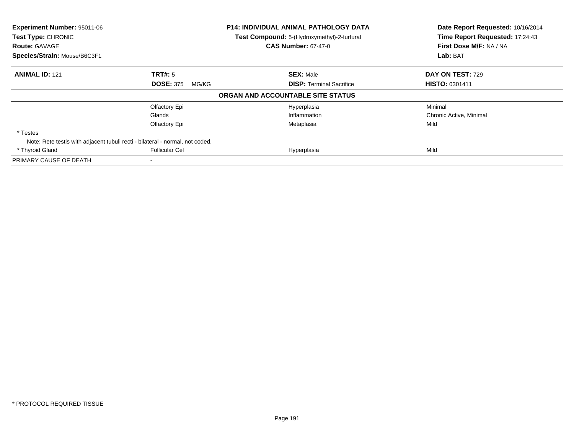| Experiment Number: 95011-06<br>Test Type: CHRONIC<br><b>Route: GAVAGE</b> |                                                                               | <b>P14: INDIVIDUAL ANIMAL PATHOLOGY DATA</b><br>Test Compound: 5-(Hydroxymethyl)-2-furfural<br><b>CAS Number: 67-47-0</b> | Date Report Requested: 10/16/2014<br>Time Report Requested: 17:24:43<br>First Dose M/F: NA / NA |  |
|---------------------------------------------------------------------------|-------------------------------------------------------------------------------|---------------------------------------------------------------------------------------------------------------------------|-------------------------------------------------------------------------------------------------|--|
| Species/Strain: Mouse/B6C3F1                                              |                                                                               |                                                                                                                           | Lab: BAT                                                                                        |  |
| <b>ANIMAL ID: 121</b>                                                     | TRT#: 5                                                                       | <b>SEX: Male</b>                                                                                                          | DAY ON TEST: 729                                                                                |  |
|                                                                           | <b>DOSE: 375</b><br>MG/KG                                                     | <b>DISP:</b> Terminal Sacrifice                                                                                           | <b>HISTO: 0301411</b>                                                                           |  |
|                                                                           |                                                                               | ORGAN AND ACCOUNTABLE SITE STATUS                                                                                         |                                                                                                 |  |
|                                                                           | Olfactory Epi                                                                 | Hyperplasia                                                                                                               | Minimal                                                                                         |  |
|                                                                           | Glands                                                                        | Inflammation                                                                                                              | Chronic Active, Minimal                                                                         |  |
|                                                                           | Olfactory Epi                                                                 | Metaplasia                                                                                                                | Mild                                                                                            |  |
| * Testes                                                                  |                                                                               |                                                                                                                           |                                                                                                 |  |
|                                                                           | Note: Rete testis with adjacent tubuli recti - bilateral - normal, not coded. |                                                                                                                           |                                                                                                 |  |
| * Thyroid Gland                                                           | <b>Follicular Cel</b>                                                         | Hyperplasia                                                                                                               | Mild                                                                                            |  |
| PRIMARY CAUSE OF DEATH                                                    |                                                                               |                                                                                                                           |                                                                                                 |  |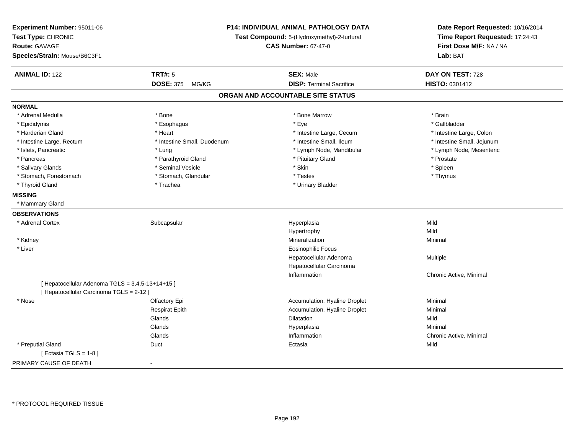| Experiment Number: 95011-06<br>Test Type: CHRONIC<br><b>Route: GAVAGE</b><br>Species/Strain: Mouse/B6C3F1 | P14: INDIVIDUAL ANIMAL PATHOLOGY DATA<br>Test Compound: 5-(Hydroxymethyl)-2-furfural<br><b>CAS Number: 67-47-0</b> |                                   | Date Report Requested: 10/16/2014<br>Time Report Requested: 17:24:43<br>First Dose M/F: NA / NA<br>Lab: BAT |
|-----------------------------------------------------------------------------------------------------------|--------------------------------------------------------------------------------------------------------------------|-----------------------------------|-------------------------------------------------------------------------------------------------------------|
| <b>ANIMAL ID: 122</b>                                                                                     | <b>TRT#: 5</b>                                                                                                     | <b>SEX: Male</b>                  | DAY ON TEST: 728                                                                                            |
|                                                                                                           | <b>DOSE: 375</b><br>MG/KG                                                                                          | <b>DISP: Terminal Sacrifice</b>   | <b>HISTO: 0301412</b>                                                                                       |
|                                                                                                           |                                                                                                                    | ORGAN AND ACCOUNTABLE SITE STATUS |                                                                                                             |
| <b>NORMAL</b>                                                                                             |                                                                                                                    |                                   |                                                                                                             |
| * Adrenal Medulla                                                                                         | * Bone                                                                                                             | * Bone Marrow                     | * Brain                                                                                                     |
| * Epididymis                                                                                              | * Esophagus                                                                                                        | * Eye                             | * Gallbladder                                                                                               |
| * Harderian Gland                                                                                         | * Heart                                                                                                            | * Intestine Large, Cecum          | * Intestine Large, Colon                                                                                    |
| * Intestine Large, Rectum                                                                                 | * Intestine Small, Duodenum                                                                                        | * Intestine Small, Ileum          | * Intestine Small, Jejunum                                                                                  |
| * Islets, Pancreatic                                                                                      | * Lung                                                                                                             | * Lymph Node, Mandibular          | * Lymph Node, Mesenteric                                                                                    |
| * Pancreas                                                                                                | * Parathyroid Gland                                                                                                | * Pituitary Gland                 | * Prostate                                                                                                  |
| * Salivary Glands                                                                                         | * Seminal Vesicle                                                                                                  | * Skin                            | * Spleen                                                                                                    |
| * Stomach, Forestomach                                                                                    | * Stomach, Glandular                                                                                               | * Testes                          | * Thymus                                                                                                    |
| * Thyroid Gland                                                                                           | * Trachea                                                                                                          | * Urinary Bladder                 |                                                                                                             |
| <b>MISSING</b>                                                                                            |                                                                                                                    |                                   |                                                                                                             |
| * Mammary Gland                                                                                           |                                                                                                                    |                                   |                                                                                                             |
| <b>OBSERVATIONS</b>                                                                                       |                                                                                                                    |                                   |                                                                                                             |
| * Adrenal Cortex                                                                                          | Subcapsular                                                                                                        | Hyperplasia                       | Mild                                                                                                        |
|                                                                                                           |                                                                                                                    | Hypertrophy                       | Mild                                                                                                        |
| * Kidney                                                                                                  |                                                                                                                    | Mineralization                    | Minimal                                                                                                     |
| * Liver                                                                                                   |                                                                                                                    | <b>Eosinophilic Focus</b>         |                                                                                                             |
|                                                                                                           |                                                                                                                    | Hepatocellular Adenoma            | Multiple                                                                                                    |
|                                                                                                           |                                                                                                                    | Hepatocellular Carcinoma          |                                                                                                             |
|                                                                                                           |                                                                                                                    | Inflammation                      | Chronic Active, Minimal                                                                                     |
| [ Hepatocellular Adenoma TGLS = 3,4,5-13+14+15 ]                                                          |                                                                                                                    |                                   |                                                                                                             |
| [ Hepatocellular Carcinoma TGLS = 2-12 ]                                                                  |                                                                                                                    |                                   |                                                                                                             |
| * Nose                                                                                                    | Olfactory Epi                                                                                                      | Accumulation, Hyaline Droplet     | Minimal                                                                                                     |
|                                                                                                           | <b>Respirat Epith</b>                                                                                              | Accumulation, Hyaline Droplet     | Minimal                                                                                                     |
|                                                                                                           | Glands                                                                                                             | <b>Dilatation</b>                 | Mild                                                                                                        |
|                                                                                                           | Glands                                                                                                             | Hyperplasia                       | Minimal                                                                                                     |
|                                                                                                           | Glands                                                                                                             | Inflammation                      | Chronic Active, Minimal                                                                                     |
| * Preputial Gland                                                                                         | Duct                                                                                                               | Ectasia                           | Mild                                                                                                        |
| [ Ectasia TGLS = $1-8$ ]                                                                                  |                                                                                                                    |                                   |                                                                                                             |
| PRIMARY CAUSE OF DEATH                                                                                    | $\sim$                                                                                                             |                                   |                                                                                                             |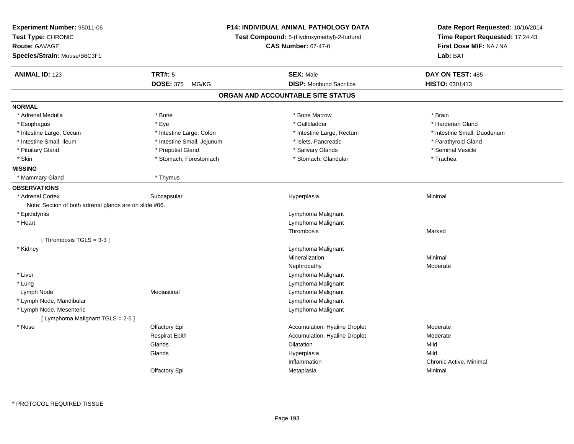| Experiment Number: 95011-06<br>Test Type: CHRONIC<br><b>Route: GAVAGE</b><br>Species/Strain: Mouse/B6C3F1 | P14: INDIVIDUAL ANIMAL PATHOLOGY DATA<br>Test Compound: 5-(Hydroxymethyl)-2-furfural<br><b>CAS Number: 67-47-0</b> | Date Report Requested: 10/16/2014<br>Time Report Requested: 17:24:43<br>First Dose M/F: NA / NA<br>Lab: BAT |
|-----------------------------------------------------------------------------------------------------------|--------------------------------------------------------------------------------------------------------------------|-------------------------------------------------------------------------------------------------------------|
| <b>ANIMAL ID: 123</b><br><b>TRT#: 5</b>                                                                   | <b>SEX: Male</b>                                                                                                   | DAY ON TEST: 485                                                                                            |
| <b>DOSE: 375</b><br>MG/KG                                                                                 | <b>DISP:</b> Moribund Sacrifice                                                                                    | HISTO: 0301413                                                                                              |
|                                                                                                           | ORGAN AND ACCOUNTABLE SITE STATUS                                                                                  |                                                                                                             |
| <b>NORMAL</b>                                                                                             |                                                                                                                    |                                                                                                             |
| * Adrenal Medulla<br>* Bone                                                                               | * Bone Marrow                                                                                                      | * Brain                                                                                                     |
| * Esophagus<br>* Eye                                                                                      | * Gallbladder                                                                                                      | * Harderian Gland                                                                                           |
| * Intestine Large, Colon<br>* Intestine Large, Cecum                                                      | * Intestine Large, Rectum                                                                                          | * Intestine Small, Duodenum                                                                                 |
| * Intestine Small, Ileum<br>* Intestine Small, Jejunum                                                    | * Islets, Pancreatic                                                                                               | * Parathyroid Gland                                                                                         |
| * Pituitary Gland<br>* Preputial Gland                                                                    | * Salivary Glands                                                                                                  | * Seminal Vesicle                                                                                           |
| * Skin<br>* Stomach, Forestomach                                                                          | * Stomach, Glandular                                                                                               | * Trachea                                                                                                   |
| <b>MISSING</b>                                                                                            |                                                                                                                    |                                                                                                             |
| * Mammary Gland<br>* Thymus                                                                               |                                                                                                                    |                                                                                                             |
| <b>OBSERVATIONS</b>                                                                                       |                                                                                                                    |                                                                                                             |
| * Adrenal Cortex<br>Subcapsular                                                                           | Hyperplasia                                                                                                        | Minimal                                                                                                     |
| Note: Section of both adrenal glands are on slide #06.                                                    |                                                                                                                    |                                                                                                             |
| * Epididymis                                                                                              | Lymphoma Malignant                                                                                                 |                                                                                                             |
| * Heart                                                                                                   | Lymphoma Malignant                                                                                                 |                                                                                                             |
|                                                                                                           | Thrombosis                                                                                                         | Marked                                                                                                      |
| [Thrombosis TGLS = $3-3$ ]                                                                                |                                                                                                                    |                                                                                                             |
| * Kidney                                                                                                  | Lymphoma Malignant                                                                                                 |                                                                                                             |
|                                                                                                           | Mineralization                                                                                                     | Minimal                                                                                                     |
|                                                                                                           | Nephropathy                                                                                                        | Moderate                                                                                                    |
| * Liver                                                                                                   | Lymphoma Malignant                                                                                                 |                                                                                                             |
| * Lung                                                                                                    | Lymphoma Malignant                                                                                                 |                                                                                                             |
| Mediastinal<br>Lymph Node                                                                                 | Lymphoma Malignant                                                                                                 |                                                                                                             |
| * Lymph Node, Mandibular                                                                                  | Lymphoma Malignant                                                                                                 |                                                                                                             |
| * Lymph Node, Mesenteric                                                                                  | Lymphoma Malignant                                                                                                 |                                                                                                             |
| [ Lymphoma Malignant TGLS = 2-5 ]                                                                         |                                                                                                                    |                                                                                                             |
| * Nose<br>Olfactory Epi                                                                                   | Accumulation, Hyaline Droplet                                                                                      | Moderate                                                                                                    |
| <b>Respirat Epith</b>                                                                                     | Accumulation, Hyaline Droplet                                                                                      | Moderate                                                                                                    |
| Glands                                                                                                    | <b>Dilatation</b>                                                                                                  | Mild                                                                                                        |
| Glands                                                                                                    | Hyperplasia                                                                                                        | Mild                                                                                                        |
|                                                                                                           | Inflammation                                                                                                       | Chronic Active, Minimal                                                                                     |
| Olfactory Epi                                                                                             | Metaplasia                                                                                                         | Minimal                                                                                                     |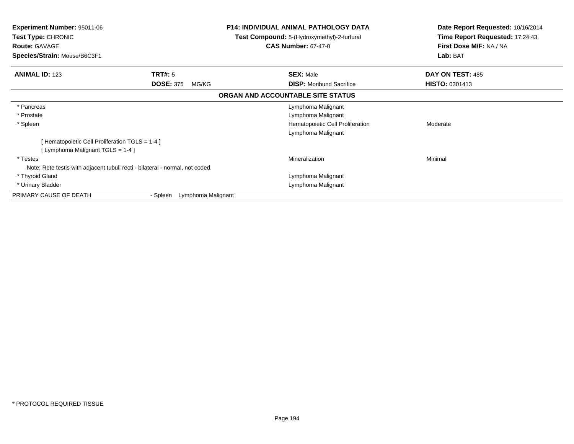| <b>Experiment Number: 95011-06</b><br><b>Test Type: CHRONIC</b><br><b>Route: GAVAGE</b><br>Species/Strain: Mouse/B6C3F1 |                                | <b>P14: INDIVIDUAL ANIMAL PATHOLOGY DATA</b><br>Test Compound: 5-(Hydroxymethyl)-2-furfural<br><b>CAS Number: 67-47-0</b> |                                  | Date Report Requested: 10/16/2014<br>Time Report Requested: 17:24:43<br>First Dose M/F: NA / NA<br>Lab: BAT |
|-------------------------------------------------------------------------------------------------------------------------|--------------------------------|---------------------------------------------------------------------------------------------------------------------------|----------------------------------|-------------------------------------------------------------------------------------------------------------|
| <b>ANIMAL ID: 123</b>                                                                                                   | TRT#: 5                        | <b>SEX: Male</b>                                                                                                          |                                  | DAY ON TEST: 485                                                                                            |
|                                                                                                                         | <b>DOSE: 375</b><br>MG/KG      |                                                                                                                           | <b>DISP:</b> Moribund Sacrifice  | <b>HISTO: 0301413</b>                                                                                       |
|                                                                                                                         |                                | ORGAN AND ACCOUNTABLE SITE STATUS                                                                                         |                                  |                                                                                                             |
| * Pancreas                                                                                                              |                                |                                                                                                                           | Lymphoma Malignant               |                                                                                                             |
| * Prostate                                                                                                              |                                |                                                                                                                           | Lymphoma Malignant               |                                                                                                             |
| * Spleen                                                                                                                |                                |                                                                                                                           | Hematopoietic Cell Proliferation | Moderate                                                                                                    |
|                                                                                                                         |                                |                                                                                                                           | Lymphoma Malignant               |                                                                                                             |
| [Hematopoietic Cell Proliferation TGLS = 1-4 ]                                                                          |                                |                                                                                                                           |                                  |                                                                                                             |
| [ Lymphoma Malignant TGLS = 1-4 ]                                                                                       |                                |                                                                                                                           |                                  |                                                                                                             |
| * Testes                                                                                                                |                                | Mineralization                                                                                                            |                                  | Minimal                                                                                                     |
| Note: Rete testis with adjacent tubuli recti - bilateral - normal, not coded.                                           |                                |                                                                                                                           |                                  |                                                                                                             |
| * Thyroid Gland                                                                                                         |                                |                                                                                                                           | Lymphoma Malignant               |                                                                                                             |
| * Urinary Bladder                                                                                                       |                                |                                                                                                                           | Lymphoma Malignant               |                                                                                                             |
| PRIMARY CAUSE OF DEATH                                                                                                  | Lymphoma Malignant<br>- Spleen |                                                                                                                           |                                  |                                                                                                             |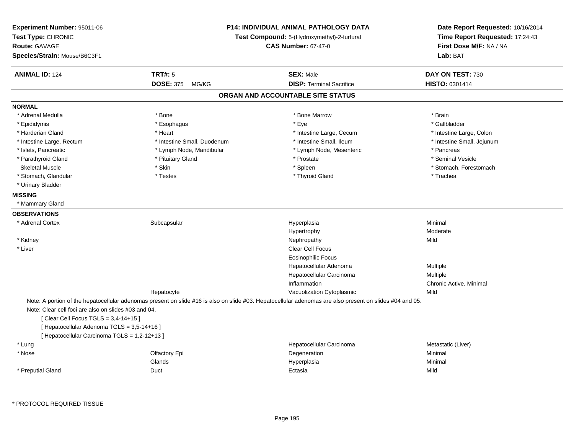| Experiment Number: 95011-06<br>Test Type: CHRONIC<br><b>Route: GAVAGE</b><br>Species/Strain: Mouse/B6C3F1 | P14: INDIVIDUAL ANIMAL PATHOLOGY DATA<br>Test Compound: 5-(Hydroxymethyl)-2-furfural<br><b>CAS Number: 67-47-0</b> |                                                                                                                                                          | Date Report Requested: 10/16/2014<br>Time Report Requested: 17:24:43<br>First Dose M/F: NA / NA<br>Lab: BAT |  |
|-----------------------------------------------------------------------------------------------------------|--------------------------------------------------------------------------------------------------------------------|----------------------------------------------------------------------------------------------------------------------------------------------------------|-------------------------------------------------------------------------------------------------------------|--|
| <b>ANIMAL ID: 124</b>                                                                                     | <b>TRT#: 5</b>                                                                                                     | <b>SEX: Male</b>                                                                                                                                         | DAY ON TEST: 730                                                                                            |  |
|                                                                                                           | <b>DOSE: 375 MG/KG</b>                                                                                             | <b>DISP: Terminal Sacrifice</b>                                                                                                                          | HISTO: 0301414                                                                                              |  |
|                                                                                                           |                                                                                                                    | ORGAN AND ACCOUNTABLE SITE STATUS                                                                                                                        |                                                                                                             |  |
| <b>NORMAL</b>                                                                                             |                                                                                                                    |                                                                                                                                                          |                                                                                                             |  |
| * Adrenal Medulla                                                                                         | * Bone                                                                                                             | * Bone Marrow                                                                                                                                            | * Brain                                                                                                     |  |
| * Epididymis                                                                                              | * Esophagus                                                                                                        | * Eye                                                                                                                                                    | * Gallbladder                                                                                               |  |
| * Harderian Gland                                                                                         | * Heart                                                                                                            | * Intestine Large, Cecum                                                                                                                                 | * Intestine Large, Colon                                                                                    |  |
| * Intestine Large, Rectum                                                                                 | * Intestine Small, Duodenum                                                                                        | * Intestine Small, Ileum                                                                                                                                 | * Intestine Small, Jejunum                                                                                  |  |
| * Islets, Pancreatic                                                                                      | * Lymph Node, Mandibular                                                                                           | * Lymph Node, Mesenteric                                                                                                                                 | * Pancreas                                                                                                  |  |
| * Parathyroid Gland                                                                                       | * Pituitary Gland                                                                                                  | * Prostate                                                                                                                                               | * Seminal Vesicle                                                                                           |  |
| <b>Skeletal Muscle</b>                                                                                    | * Skin                                                                                                             | * Spleen                                                                                                                                                 | * Stomach, Forestomach                                                                                      |  |
| * Stomach, Glandular                                                                                      | * Testes                                                                                                           | * Thyroid Gland                                                                                                                                          | * Trachea                                                                                                   |  |
| * Urinary Bladder                                                                                         |                                                                                                                    |                                                                                                                                                          |                                                                                                             |  |
| <b>MISSING</b>                                                                                            |                                                                                                                    |                                                                                                                                                          |                                                                                                             |  |
| * Mammary Gland                                                                                           |                                                                                                                    |                                                                                                                                                          |                                                                                                             |  |
| <b>OBSERVATIONS</b>                                                                                       |                                                                                                                    |                                                                                                                                                          |                                                                                                             |  |
| * Adrenal Cortex                                                                                          | Subcapsular                                                                                                        | Hyperplasia                                                                                                                                              | Minimal                                                                                                     |  |
|                                                                                                           |                                                                                                                    | Hypertrophy                                                                                                                                              | Moderate                                                                                                    |  |
| * Kidney                                                                                                  |                                                                                                                    | Nephropathy                                                                                                                                              | Mild                                                                                                        |  |
| * Liver                                                                                                   |                                                                                                                    | Clear Cell Focus                                                                                                                                         |                                                                                                             |  |
|                                                                                                           |                                                                                                                    | <b>Eosinophilic Focus</b>                                                                                                                                |                                                                                                             |  |
|                                                                                                           |                                                                                                                    | Hepatocellular Adenoma                                                                                                                                   | Multiple                                                                                                    |  |
|                                                                                                           |                                                                                                                    | Hepatocellular Carcinoma                                                                                                                                 | Multiple                                                                                                    |  |
|                                                                                                           |                                                                                                                    | Inflammation                                                                                                                                             | Chronic Active, Minimal                                                                                     |  |
|                                                                                                           | Hepatocyte                                                                                                         | Vacuolization Cytoplasmic                                                                                                                                | Mild                                                                                                        |  |
| Note: Clear cell foci are also on slides #03 and 04.                                                      |                                                                                                                    | Note: A portion of the hepatocellular adenomas present on slide #16 is also on slide #03. Hepatocellular adenomas are also present on slides #04 and 05. |                                                                                                             |  |
| [ Clear Cell Focus TGLS = 3,4-14+15 ]                                                                     |                                                                                                                    |                                                                                                                                                          |                                                                                                             |  |
| [ Hepatocellular Adenoma TGLS = 3,5-14+16 ]                                                               |                                                                                                                    |                                                                                                                                                          |                                                                                                             |  |
| [ Hepatocellular Carcinoma TGLS = 1,2-12+13 ]                                                             |                                                                                                                    |                                                                                                                                                          |                                                                                                             |  |
| * Lung                                                                                                    |                                                                                                                    | Hepatocellular Carcinoma                                                                                                                                 | Metastatic (Liver)                                                                                          |  |
| * Nose                                                                                                    | Olfactory Epi                                                                                                      | Degeneration                                                                                                                                             | Minimal                                                                                                     |  |
|                                                                                                           | Glands                                                                                                             | Hyperplasia                                                                                                                                              | Minimal                                                                                                     |  |
| * Preputial Gland                                                                                         | Duct                                                                                                               | Ectasia                                                                                                                                                  | Mild                                                                                                        |  |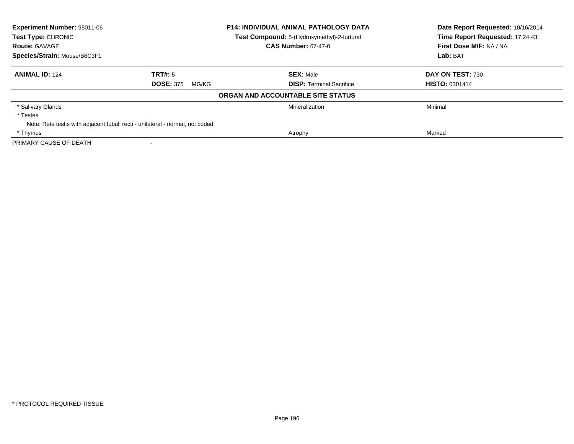| <b>Experiment Number: 95011-06</b><br><b>Test Type: CHRONIC</b> |                                                                                | <b>P14: INDIVIDUAL ANIMAL PATHOLOGY DATA</b> | Date Report Requested: 10/16/2014<br>Time Report Requested: 17:24:43 |
|-----------------------------------------------------------------|--------------------------------------------------------------------------------|----------------------------------------------|----------------------------------------------------------------------|
|                                                                 |                                                                                | Test Compound: 5-(Hydroxymethyl)-2-furfural  |                                                                      |
| <b>Route: GAVAGE</b>                                            |                                                                                | <b>CAS Number: 67-47-0</b>                   | First Dose M/F: NA / NA                                              |
| Species/Strain: Mouse/B6C3F1                                    |                                                                                |                                              | Lab: BAT                                                             |
| <b>ANIMAL ID: 124</b>                                           | TRT#: 5                                                                        | <b>SEX: Male</b>                             | DAY ON TEST: 730                                                     |
|                                                                 | <b>DOSE: 375</b><br>MG/KG                                                      | <b>DISP:</b> Terminal Sacrifice              | <b>HISTO: 0301414</b>                                                |
|                                                                 |                                                                                | ORGAN AND ACCOUNTABLE SITE STATUS            |                                                                      |
| * Salivary Glands                                               |                                                                                | Mineralization                               | Minimal                                                              |
| * Testes                                                        |                                                                                |                                              |                                                                      |
|                                                                 | Note: Rete testis with adjacent tubuli recti - unilateral - normal, not coded. |                                              |                                                                      |
| * Thymus                                                        |                                                                                | Atrophy                                      | Marked                                                               |
| PRIMARY CAUSE OF DEATH                                          |                                                                                |                                              |                                                                      |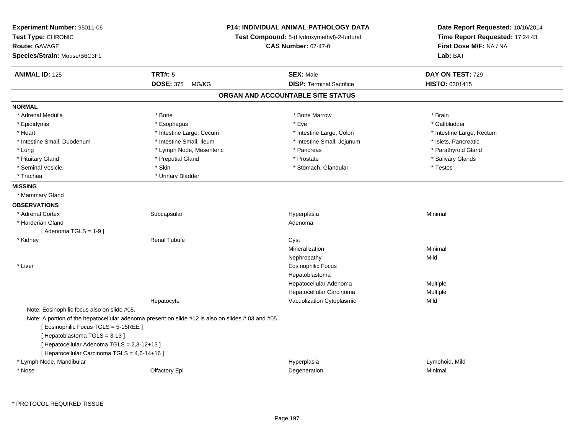| Experiment Number: 95011-06<br>Test Type: CHRONIC<br><b>Route: GAVAGE</b><br>Species/Strain: Mouse/B6C3F1                                                                                                            |                                                                                                   | <b>P14: INDIVIDUAL ANIMAL PATHOLOGY DATA</b><br>Test Compound: 5-(Hydroxymethyl)-2-furfural<br><b>CAS Number: 67-47-0</b> | Date Report Requested: 10/16/2014<br>Time Report Requested: 17:24:43<br>First Dose M/F: NA / NA<br>Lab: BAT |
|----------------------------------------------------------------------------------------------------------------------------------------------------------------------------------------------------------------------|---------------------------------------------------------------------------------------------------|---------------------------------------------------------------------------------------------------------------------------|-------------------------------------------------------------------------------------------------------------|
| <b>ANIMAL ID: 125</b>                                                                                                                                                                                                | <b>TRT#: 5</b>                                                                                    | <b>SEX: Male</b>                                                                                                          | DAY ON TEST: 729                                                                                            |
|                                                                                                                                                                                                                      | <b>DOSE: 375</b><br>MG/KG                                                                         | <b>DISP: Terminal Sacrifice</b>                                                                                           | HISTO: 0301415                                                                                              |
|                                                                                                                                                                                                                      |                                                                                                   | ORGAN AND ACCOUNTABLE SITE STATUS                                                                                         |                                                                                                             |
| <b>NORMAL</b>                                                                                                                                                                                                        |                                                                                                   |                                                                                                                           |                                                                                                             |
| * Adrenal Medulla                                                                                                                                                                                                    | * Bone                                                                                            | * Bone Marrow                                                                                                             | * Brain                                                                                                     |
| * Epididymis                                                                                                                                                                                                         | * Esophagus                                                                                       | * Eye                                                                                                                     | * Gallbladder                                                                                               |
| * Heart                                                                                                                                                                                                              | * Intestine Large, Cecum                                                                          | * Intestine Large, Colon                                                                                                  | * Intestine Large, Rectum                                                                                   |
| * Intestine Small, Duodenum                                                                                                                                                                                          | * Intestine Small, Ileum                                                                          | * Intestine Small, Jejunum                                                                                                | * Islets, Pancreatic                                                                                        |
| * Lung                                                                                                                                                                                                               | * Lymph Node, Mesenteric                                                                          | * Pancreas                                                                                                                | * Parathyroid Gland                                                                                         |
| * Pituitary Gland                                                                                                                                                                                                    | * Preputial Gland                                                                                 | * Prostate                                                                                                                | * Salivary Glands                                                                                           |
| * Seminal Vesicle                                                                                                                                                                                                    | * Skin                                                                                            | * Stomach, Glandular                                                                                                      | * Testes                                                                                                    |
| * Trachea                                                                                                                                                                                                            | * Urinary Bladder                                                                                 |                                                                                                                           |                                                                                                             |
| <b>MISSING</b>                                                                                                                                                                                                       |                                                                                                   |                                                                                                                           |                                                                                                             |
| * Mammary Gland                                                                                                                                                                                                      |                                                                                                   |                                                                                                                           |                                                                                                             |
| <b>OBSERVATIONS</b>                                                                                                                                                                                                  |                                                                                                   |                                                                                                                           |                                                                                                             |
| * Adrenal Cortex                                                                                                                                                                                                     | Subcapsular                                                                                       | Hyperplasia                                                                                                               | Minimal                                                                                                     |
| * Harderian Gland                                                                                                                                                                                                    |                                                                                                   | Adenoma                                                                                                                   |                                                                                                             |
| [Adenoma TGLS = $1-9$ ]                                                                                                                                                                                              |                                                                                                   |                                                                                                                           |                                                                                                             |
| * Kidney                                                                                                                                                                                                             | <b>Renal Tubule</b>                                                                               | Cyst                                                                                                                      |                                                                                                             |
|                                                                                                                                                                                                                      |                                                                                                   | Mineralization                                                                                                            | Minimal                                                                                                     |
|                                                                                                                                                                                                                      |                                                                                                   | Nephropathy                                                                                                               | Mild                                                                                                        |
| * Liver                                                                                                                                                                                                              |                                                                                                   | <b>Eosinophilic Focus</b>                                                                                                 |                                                                                                             |
|                                                                                                                                                                                                                      |                                                                                                   | Hepatoblastoma                                                                                                            |                                                                                                             |
|                                                                                                                                                                                                                      |                                                                                                   | Hepatocellular Adenoma                                                                                                    | Multiple                                                                                                    |
|                                                                                                                                                                                                                      |                                                                                                   | Hepatocellular Carcinoma                                                                                                  | Multiple                                                                                                    |
|                                                                                                                                                                                                                      | Hepatocyte                                                                                        | Vacuolization Cytoplasmic                                                                                                 | Mild                                                                                                        |
| Note: Eosinophilic focus also on slide #05.<br>[ Eosinophilic Focus TGLS = 5-15REE ]<br>[Hepatoblastoma TGLS = 3-13]<br>[ Hepatocellular Adenoma TGLS = 2,3-12+13 ]<br>[ Hepatocellular Carcinoma TGLS = 4,6-14+16 ] | Note: A portion of the hepatocellular adenoma present on slide #12 is also on slides #03 and #05. |                                                                                                                           |                                                                                                             |
| * Lymph Node, Mandibular                                                                                                                                                                                             |                                                                                                   | Hyperplasia                                                                                                               | Lymphoid, Mild                                                                                              |
| * Nose                                                                                                                                                                                                               | Olfactory Epi                                                                                     | Degeneration                                                                                                              | Minimal                                                                                                     |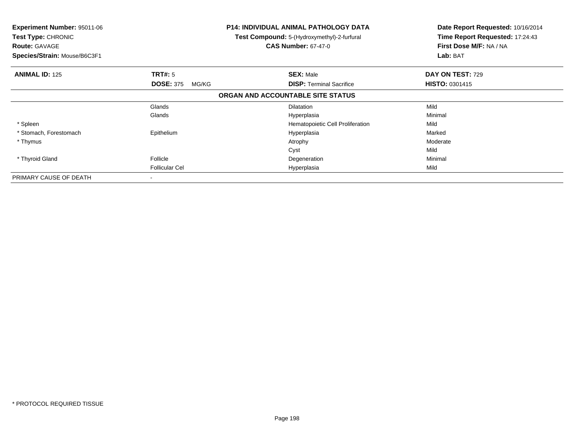| <b>Experiment Number: 95011-06</b><br>Test Type: CHRONIC<br><b>Route: GAVAGE</b><br>Species/Strain: Mouse/B6C3F1 |                           | <b>P14: INDIVIDUAL ANIMAL PATHOLOGY DATA</b><br>Test Compound: 5-(Hydroxymethyl)-2-furfural<br><b>CAS Number: 67-47-0</b> | Date Report Requested: 10/16/2014<br>Time Report Requested: 17:24:43<br>First Dose M/F: NA / NA<br>Lab: BAT |
|------------------------------------------------------------------------------------------------------------------|---------------------------|---------------------------------------------------------------------------------------------------------------------------|-------------------------------------------------------------------------------------------------------------|
| <b>ANIMAL ID: 125</b>                                                                                            | <b>TRT#: 5</b>            | <b>SEX: Male</b>                                                                                                          | DAY ON TEST: 729                                                                                            |
|                                                                                                                  | <b>DOSE: 375</b><br>MG/KG | <b>DISP:</b> Terminal Sacrifice                                                                                           | <b>HISTO: 0301415</b>                                                                                       |
|                                                                                                                  |                           | ORGAN AND ACCOUNTABLE SITE STATUS                                                                                         |                                                                                                             |
|                                                                                                                  | Glands                    | <b>Dilatation</b>                                                                                                         | Mild                                                                                                        |
|                                                                                                                  | Glands                    | Hyperplasia                                                                                                               | Minimal                                                                                                     |
| * Spleen                                                                                                         |                           | Hematopoietic Cell Proliferation                                                                                          | Mild                                                                                                        |
| * Stomach, Forestomach                                                                                           | Epithelium                | Hyperplasia                                                                                                               | Marked                                                                                                      |
| * Thymus                                                                                                         |                           | Atrophy                                                                                                                   | Moderate                                                                                                    |
|                                                                                                                  |                           | Cyst                                                                                                                      | Mild                                                                                                        |
| * Thyroid Gland                                                                                                  | Follicle                  | Degeneration                                                                                                              | Minimal                                                                                                     |
|                                                                                                                  | <b>Follicular Cel</b>     | Hyperplasia                                                                                                               | Mild                                                                                                        |
| PRIMARY CAUSE OF DEATH                                                                                           |                           |                                                                                                                           |                                                                                                             |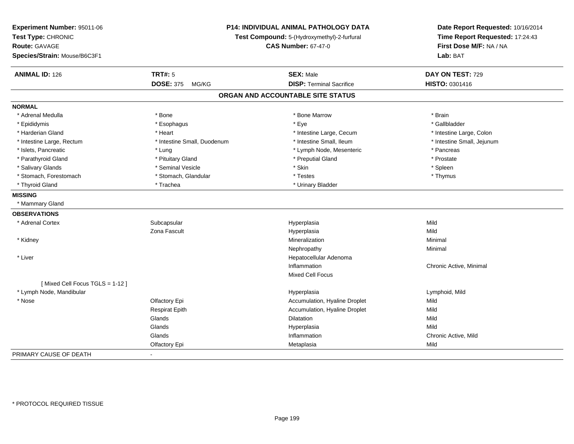| Experiment Number: 95011-06<br>Test Type: CHRONIC<br><b>Route: GAVAGE</b><br>Species/Strain: Mouse/B6C3F1 |                             | P14: INDIVIDUAL ANIMAL PATHOLOGY DATA<br>Test Compound: 5-(Hydroxymethyl)-2-furfural<br><b>CAS Number: 67-47-0</b> | Date Report Requested: 10/16/2014<br>Time Report Requested: 17:24:43<br>First Dose M/F: NA / NA<br>Lab: BAT |
|-----------------------------------------------------------------------------------------------------------|-----------------------------|--------------------------------------------------------------------------------------------------------------------|-------------------------------------------------------------------------------------------------------------|
| <b>ANIMAL ID: 126</b>                                                                                     | <b>TRT#: 5</b>              | <b>SEX: Male</b>                                                                                                   | DAY ON TEST: 729                                                                                            |
|                                                                                                           | <b>DOSE: 375</b><br>MG/KG   | <b>DISP: Terminal Sacrifice</b>                                                                                    | HISTO: 0301416                                                                                              |
|                                                                                                           |                             | ORGAN AND ACCOUNTABLE SITE STATUS                                                                                  |                                                                                                             |
| <b>NORMAL</b>                                                                                             |                             |                                                                                                                    |                                                                                                             |
| * Adrenal Medulla                                                                                         | * Bone                      | * Bone Marrow                                                                                                      | * Brain                                                                                                     |
| * Epididymis                                                                                              | * Esophagus                 | * Eye                                                                                                              | * Gallbladder                                                                                               |
| * Harderian Gland                                                                                         | * Heart                     | * Intestine Large, Cecum                                                                                           | * Intestine Large, Colon                                                                                    |
| * Intestine Large, Rectum                                                                                 | * Intestine Small, Duodenum | * Intestine Small, Ileum                                                                                           | * Intestine Small, Jejunum                                                                                  |
| * Islets, Pancreatic                                                                                      | * Lung                      | * Lymph Node, Mesenteric                                                                                           | * Pancreas                                                                                                  |
| * Parathyroid Gland                                                                                       | * Pituitary Gland           | * Preputial Gland                                                                                                  | * Prostate                                                                                                  |
| * Salivary Glands                                                                                         | * Seminal Vesicle           | * Skin                                                                                                             | * Spleen                                                                                                    |
| * Stomach, Forestomach                                                                                    | * Stomach, Glandular        | * Testes                                                                                                           | * Thymus                                                                                                    |
| * Thyroid Gland                                                                                           | * Trachea                   | * Urinary Bladder                                                                                                  |                                                                                                             |
| <b>MISSING</b>                                                                                            |                             |                                                                                                                    |                                                                                                             |
| * Mammary Gland                                                                                           |                             |                                                                                                                    |                                                                                                             |
| <b>OBSERVATIONS</b>                                                                                       |                             |                                                                                                                    |                                                                                                             |
| * Adrenal Cortex                                                                                          | Subcapsular                 | Hyperplasia                                                                                                        | Mild                                                                                                        |
|                                                                                                           | Zona Fascult                | Hyperplasia                                                                                                        | Mild                                                                                                        |
| * Kidney                                                                                                  |                             | Mineralization                                                                                                     | Minimal                                                                                                     |
|                                                                                                           |                             | Nephropathy                                                                                                        | Minimal                                                                                                     |
| * Liver                                                                                                   |                             | Hepatocellular Adenoma                                                                                             |                                                                                                             |
|                                                                                                           |                             | Inflammation                                                                                                       | Chronic Active, Minimal                                                                                     |
|                                                                                                           |                             | <b>Mixed Cell Focus</b>                                                                                            |                                                                                                             |
| [Mixed Cell Focus TGLS = 1-12]                                                                            |                             |                                                                                                                    |                                                                                                             |
| * Lymph Node, Mandibular                                                                                  |                             | Hyperplasia                                                                                                        | Lymphoid, Mild                                                                                              |
| * Nose                                                                                                    | Olfactory Epi               | Accumulation, Hyaline Droplet                                                                                      | Mild                                                                                                        |
|                                                                                                           | <b>Respirat Epith</b>       | Accumulation, Hyaline Droplet                                                                                      | Mild                                                                                                        |
|                                                                                                           | Glands                      | <b>Dilatation</b>                                                                                                  | Mild                                                                                                        |
|                                                                                                           | Glands                      | Hyperplasia                                                                                                        | Mild                                                                                                        |
|                                                                                                           | Glands                      | Inflammation                                                                                                       | Chronic Active, Mild                                                                                        |
|                                                                                                           | Olfactory Epi               | Metaplasia                                                                                                         | Mild                                                                                                        |
| PRIMARY CAUSE OF DEATH                                                                                    | $\blacksquare$              |                                                                                                                    |                                                                                                             |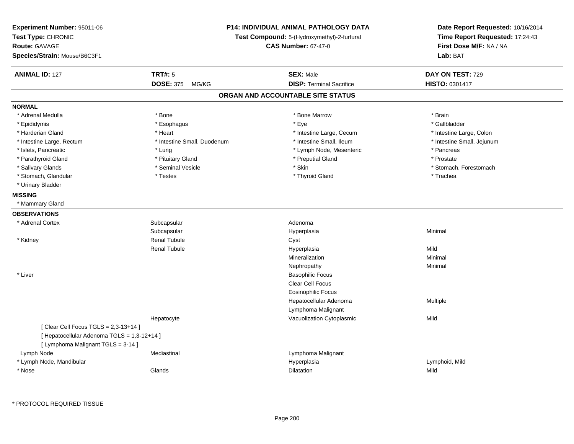| Experiment Number: 95011-06<br>Test Type: CHRONIC<br>Route: GAVAGE<br>Species/Strain: Mouse/B6C3F1 | <b>P14: INDIVIDUAL ANIMAL PATHOLOGY DATA</b><br>Test Compound: 5-(Hydroxymethyl)-2-furfural<br><b>CAS Number: 67-47-0</b> |                                   | Date Report Requested: 10/16/2014<br>Time Report Requested: 17:24:43<br>First Dose M/F: NA / NA<br>Lab: BAT |
|----------------------------------------------------------------------------------------------------|---------------------------------------------------------------------------------------------------------------------------|-----------------------------------|-------------------------------------------------------------------------------------------------------------|
| <b>ANIMAL ID: 127</b>                                                                              | <b>TRT#: 5</b>                                                                                                            | <b>SEX: Male</b>                  | DAY ON TEST: 729                                                                                            |
|                                                                                                    | DOSE: 375 MG/KG                                                                                                           | <b>DISP: Terminal Sacrifice</b>   | HISTO: 0301417                                                                                              |
|                                                                                                    |                                                                                                                           | ORGAN AND ACCOUNTABLE SITE STATUS |                                                                                                             |
| <b>NORMAL</b>                                                                                      |                                                                                                                           |                                   |                                                                                                             |
| * Adrenal Medulla                                                                                  | * Bone                                                                                                                    | * Bone Marrow                     | * Brain                                                                                                     |
| * Epididymis                                                                                       | * Esophagus                                                                                                               | * Eye                             | * Gallbladder                                                                                               |
| * Harderian Gland                                                                                  | * Heart                                                                                                                   | * Intestine Large, Cecum          | * Intestine Large, Colon                                                                                    |
| * Intestine Large, Rectum                                                                          | * Intestine Small, Duodenum                                                                                               | * Intestine Small, Ileum          | * Intestine Small, Jejunum                                                                                  |
| * Islets, Pancreatic                                                                               | * Lung                                                                                                                    | * Lymph Node, Mesenteric          | * Pancreas                                                                                                  |
| * Parathyroid Gland                                                                                | * Pituitary Gland                                                                                                         | * Preputial Gland                 | * Prostate                                                                                                  |
| * Salivary Glands                                                                                  | * Seminal Vesicle                                                                                                         | * Skin                            | * Stomach, Forestomach                                                                                      |
| * Stomach, Glandular                                                                               | * Testes                                                                                                                  | * Thyroid Gland                   | * Trachea                                                                                                   |
| * Urinary Bladder                                                                                  |                                                                                                                           |                                   |                                                                                                             |
| <b>MISSING</b>                                                                                     |                                                                                                                           |                                   |                                                                                                             |
| * Mammary Gland                                                                                    |                                                                                                                           |                                   |                                                                                                             |
| <b>OBSERVATIONS</b>                                                                                |                                                                                                                           |                                   |                                                                                                             |
| * Adrenal Cortex                                                                                   | Subcapsular                                                                                                               | Adenoma                           |                                                                                                             |
|                                                                                                    | Subcapsular                                                                                                               | Hyperplasia                       | Minimal                                                                                                     |
| * Kidney                                                                                           | <b>Renal Tubule</b>                                                                                                       | Cyst                              |                                                                                                             |
|                                                                                                    | <b>Renal Tubule</b>                                                                                                       | Hyperplasia                       | Mild                                                                                                        |
|                                                                                                    |                                                                                                                           | Mineralization                    | Minimal                                                                                                     |
|                                                                                                    |                                                                                                                           | Nephropathy                       | Minimal                                                                                                     |
| * Liver                                                                                            |                                                                                                                           | <b>Basophilic Focus</b>           |                                                                                                             |
|                                                                                                    |                                                                                                                           | <b>Clear Cell Focus</b>           |                                                                                                             |
|                                                                                                    |                                                                                                                           | <b>Eosinophilic Focus</b>         |                                                                                                             |
|                                                                                                    |                                                                                                                           | Hepatocellular Adenoma            | Multiple                                                                                                    |
|                                                                                                    |                                                                                                                           | Lymphoma Malignant                |                                                                                                             |
|                                                                                                    | Hepatocyte                                                                                                                | Vacuolization Cytoplasmic         | Mild                                                                                                        |
| [ Clear Cell Focus TGLS = 2,3-13+14 ]                                                              |                                                                                                                           |                                   |                                                                                                             |
| [ Hepatocellular Adenoma TGLS = 1,3-12+14 ]                                                        |                                                                                                                           |                                   |                                                                                                             |
| [ Lymphoma Malignant TGLS = 3-14 ]                                                                 |                                                                                                                           |                                   |                                                                                                             |
| Lymph Node                                                                                         | Mediastinal                                                                                                               | Lymphoma Malignant                |                                                                                                             |
| * Lymph Node, Mandibular                                                                           |                                                                                                                           | Hyperplasia                       | Lymphoid, Mild                                                                                              |
| * Nose                                                                                             | Glands                                                                                                                    | <b>Dilatation</b>                 | Mild                                                                                                        |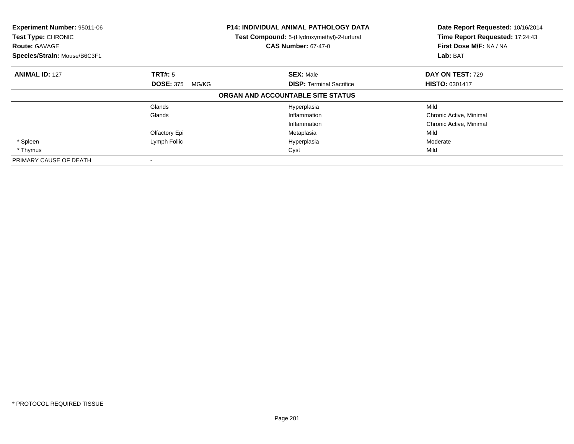| Experiment Number: 95011-06<br>Test Type: CHRONIC<br><b>Route: GAVAGE</b><br>Species/Strain: Mouse/B6C3F1 |                           | P14: INDIVIDUAL ANIMAL PATHOLOGY DATA<br>Test Compound: 5-(Hydroxymethyl)-2-furfural<br><b>CAS Number: 67-47-0</b> | Date Report Requested: 10/16/2014<br>Time Report Requested: 17:24:43<br>First Dose M/F: NA / NA<br>Lab: BAT |  |
|-----------------------------------------------------------------------------------------------------------|---------------------------|--------------------------------------------------------------------------------------------------------------------|-------------------------------------------------------------------------------------------------------------|--|
| <b>ANIMAL ID: 127</b>                                                                                     | TRT#: 5                   | <b>SEX: Male</b>                                                                                                   | DAY ON TEST: 729                                                                                            |  |
|                                                                                                           | <b>DOSE: 375</b><br>MG/KG | <b>DISP:</b> Terminal Sacrifice                                                                                    | <b>HISTO: 0301417</b>                                                                                       |  |
|                                                                                                           |                           | ORGAN AND ACCOUNTABLE SITE STATUS                                                                                  |                                                                                                             |  |
|                                                                                                           | Glands                    | Hyperplasia                                                                                                        | Mild                                                                                                        |  |
|                                                                                                           | Glands                    | Inflammation                                                                                                       | Chronic Active, Minimal                                                                                     |  |
|                                                                                                           |                           | Inflammation                                                                                                       | Chronic Active, Minimal                                                                                     |  |
|                                                                                                           | Olfactory Epi             | Metaplasia                                                                                                         | Mild                                                                                                        |  |
| * Spleen                                                                                                  | Lymph Follic              | Hyperplasia                                                                                                        | Moderate                                                                                                    |  |
| * Thymus                                                                                                  |                           | Cyst                                                                                                               | Mild                                                                                                        |  |
| PRIMARY CAUSE OF DEATH                                                                                    |                           |                                                                                                                    |                                                                                                             |  |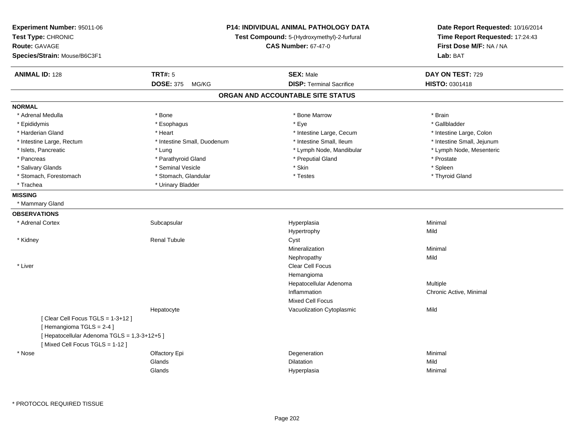| Experiment Number: 95011-06<br>Test Type: CHRONIC<br><b>Route: GAVAGE</b><br>Species/Strain: Mouse/B6C3F1 |                             | <b>P14: INDIVIDUAL ANIMAL PATHOLOGY DATA</b><br>Test Compound: 5-(Hydroxymethyl)-2-furfural<br><b>CAS Number: 67-47-0</b> |                            |
|-----------------------------------------------------------------------------------------------------------|-----------------------------|---------------------------------------------------------------------------------------------------------------------------|----------------------------|
| <b>ANIMAL ID: 128</b>                                                                                     | <b>TRT#: 5</b>              | <b>SEX: Male</b>                                                                                                          | DAY ON TEST: 729           |
|                                                                                                           | DOSE: 375 MG/KG             | <b>DISP: Terminal Sacrifice</b>                                                                                           | HISTO: 0301418             |
|                                                                                                           |                             | ORGAN AND ACCOUNTABLE SITE STATUS                                                                                         |                            |
| <b>NORMAL</b>                                                                                             |                             |                                                                                                                           |                            |
| * Adrenal Medulla                                                                                         | * Bone                      | * Bone Marrow                                                                                                             | * Brain                    |
| * Epididymis                                                                                              | * Esophagus                 | * Eye                                                                                                                     | * Gallbladder              |
| * Harderian Gland                                                                                         | * Heart                     | * Intestine Large, Cecum                                                                                                  | * Intestine Large, Colon   |
| * Intestine Large, Rectum                                                                                 | * Intestine Small, Duodenum | * Intestine Small, Ileum                                                                                                  | * Intestine Small, Jejunum |
| * Islets, Pancreatic                                                                                      | * Lung                      | * Lymph Node, Mandibular                                                                                                  | * Lymph Node, Mesenteric   |
| * Pancreas                                                                                                | * Parathyroid Gland         | * Preputial Gland                                                                                                         | * Prostate                 |
| * Salivary Glands                                                                                         | * Seminal Vesicle           | * Skin                                                                                                                    | * Spleen                   |
| * Stomach, Forestomach                                                                                    | * Stomach, Glandular        | * Testes                                                                                                                  | * Thyroid Gland            |
| * Trachea                                                                                                 | * Urinary Bladder           |                                                                                                                           |                            |
| <b>MISSING</b>                                                                                            |                             |                                                                                                                           |                            |
| * Mammary Gland                                                                                           |                             |                                                                                                                           |                            |
| <b>OBSERVATIONS</b>                                                                                       |                             |                                                                                                                           |                            |
| * Adrenal Cortex                                                                                          | Subcapsular                 | Hyperplasia                                                                                                               | Minimal                    |
|                                                                                                           |                             | Hypertrophy                                                                                                               | Mild                       |
| * Kidney                                                                                                  | <b>Renal Tubule</b>         | Cyst                                                                                                                      |                            |
|                                                                                                           |                             | Mineralization                                                                                                            | Minimal                    |
|                                                                                                           |                             | Nephropathy                                                                                                               | Mild                       |
| * Liver                                                                                                   |                             | <b>Clear Cell Focus</b>                                                                                                   |                            |
|                                                                                                           |                             | Hemangioma                                                                                                                |                            |
|                                                                                                           |                             | Hepatocellular Adenoma                                                                                                    | Multiple                   |
|                                                                                                           |                             | Inflammation                                                                                                              | Chronic Active, Minimal    |
|                                                                                                           |                             | Mixed Cell Focus                                                                                                          |                            |
|                                                                                                           | Hepatocyte                  | Vacuolization Cytoplasmic                                                                                                 | Mild                       |
| [Clear Cell Focus TGLS = 1-3+12]                                                                          |                             |                                                                                                                           |                            |
| [Hemangioma TGLS = 2-4]                                                                                   |                             |                                                                                                                           |                            |
| [ Hepatocellular Adenoma TGLS = 1,3-3+12+5 ]                                                              |                             |                                                                                                                           |                            |
| [Mixed Cell Focus TGLS = 1-12]                                                                            |                             |                                                                                                                           |                            |
| $^{\star}$ Nose                                                                                           | Olfactory Epi               | Degeneration                                                                                                              | Minimal                    |
|                                                                                                           | Glands                      | Dilatation                                                                                                                | Mild                       |
|                                                                                                           | Glands                      | Hyperplasia                                                                                                               | Minimal                    |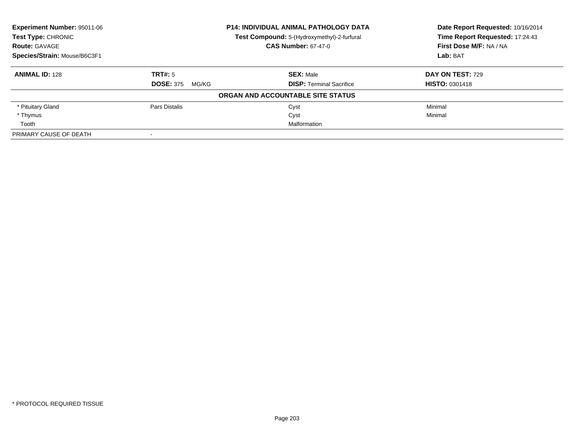| Experiment Number: 95011-06<br><b>P14: INDIVIDUAL ANIMAL PATHOLOGY DATA</b><br>Test Type: CHRONIC<br>Test Compound: 5-(Hydroxymethyl)-2-furfural |                           |                                   | Date Report Requested: 10/16/2014 |
|--------------------------------------------------------------------------------------------------------------------------------------------------|---------------------------|-----------------------------------|-----------------------------------|
|                                                                                                                                                  |                           | Time Report Requested: 17:24:43   |                                   |
| <b>Route: GAVAGE</b>                                                                                                                             |                           | <b>CAS Number: 67-47-0</b>        | First Dose M/F: NA / NA           |
| Species/Strain: Mouse/B6C3F1                                                                                                                     |                           |                                   | Lab: BAT                          |
| <b>ANIMAL ID: 128</b>                                                                                                                            | TRT#: 5                   | <b>SEX: Male</b>                  | DAY ON TEST: 729                  |
|                                                                                                                                                  | <b>DOSE: 375</b><br>MG/KG | <b>DISP:</b> Terminal Sacrifice   | <b>HISTO: 0301418</b>             |
|                                                                                                                                                  |                           | ORGAN AND ACCOUNTABLE SITE STATUS |                                   |
| * Pituitary Gland                                                                                                                                | Pars Distalis             | Cyst                              | Minimal                           |
| * Thymus                                                                                                                                         |                           | Cyst                              | Minimal                           |
| Tooth                                                                                                                                            |                           | Malformation                      |                                   |
| PRIMARY CAUSE OF DEATH                                                                                                                           |                           |                                   |                                   |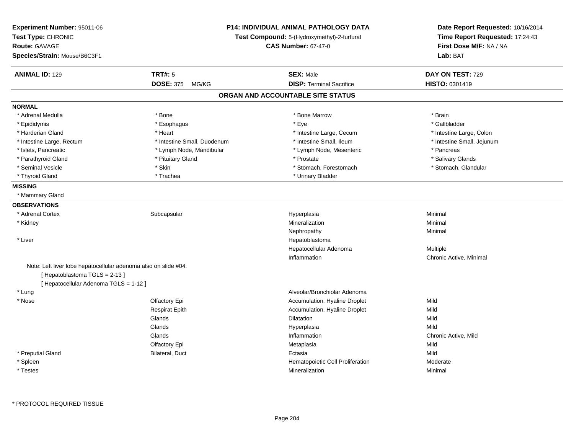| Experiment Number: 95011-06<br>Test Type: CHRONIC<br><b>Route: GAVAGE</b><br>Species/Strain: Mouse/B6C3F1                                 |                             | P14: INDIVIDUAL ANIMAL PATHOLOGY DATA<br>Test Compound: 5-(Hydroxymethyl)-2-furfural<br><b>CAS Number: 67-47-0</b> | Date Report Requested: 10/16/2014<br>Time Report Requested: 17:24:43<br>First Dose M/F: NA / NA<br>Lab: BAT |
|-------------------------------------------------------------------------------------------------------------------------------------------|-----------------------------|--------------------------------------------------------------------------------------------------------------------|-------------------------------------------------------------------------------------------------------------|
| <b>ANIMAL ID: 129</b>                                                                                                                     | <b>TRT#: 5</b>              | <b>SEX: Male</b>                                                                                                   | DAY ON TEST: 729                                                                                            |
|                                                                                                                                           | <b>DOSE: 375</b><br>MG/KG   | <b>DISP: Terminal Sacrifice</b>                                                                                    | HISTO: 0301419                                                                                              |
|                                                                                                                                           |                             | ORGAN AND ACCOUNTABLE SITE STATUS                                                                                  |                                                                                                             |
| <b>NORMAL</b>                                                                                                                             |                             |                                                                                                                    |                                                                                                             |
| * Adrenal Medulla                                                                                                                         | * Bone                      | * Bone Marrow                                                                                                      | * Brain                                                                                                     |
| * Epididymis                                                                                                                              | * Esophagus                 | * Eye                                                                                                              | * Gallbladder                                                                                               |
| * Harderian Gland                                                                                                                         | * Heart                     | * Intestine Large, Cecum                                                                                           | * Intestine Large, Colon                                                                                    |
| * Intestine Large, Rectum                                                                                                                 | * Intestine Small, Duodenum | * Intestine Small, Ileum                                                                                           | * Intestine Small, Jejunum                                                                                  |
| * Islets, Pancreatic                                                                                                                      | * Lymph Node, Mandibular    | * Lymph Node, Mesenteric                                                                                           | * Pancreas                                                                                                  |
| * Parathyroid Gland                                                                                                                       | * Pituitary Gland           | * Prostate                                                                                                         | * Salivary Glands                                                                                           |
| * Seminal Vesicle                                                                                                                         | * Skin                      | * Stomach, Forestomach                                                                                             | * Stomach, Glandular                                                                                        |
| * Thyroid Gland                                                                                                                           | * Trachea                   | * Urinary Bladder                                                                                                  |                                                                                                             |
| <b>MISSING</b>                                                                                                                            |                             |                                                                                                                    |                                                                                                             |
| * Mammary Gland                                                                                                                           |                             |                                                                                                                    |                                                                                                             |
| <b>OBSERVATIONS</b>                                                                                                                       |                             |                                                                                                                    |                                                                                                             |
| * Adrenal Cortex                                                                                                                          | Subcapsular                 | Hyperplasia                                                                                                        | Minimal                                                                                                     |
| * Kidney                                                                                                                                  |                             | Mineralization                                                                                                     | Minimal                                                                                                     |
|                                                                                                                                           |                             | Nephropathy                                                                                                        | Minimal                                                                                                     |
| * Liver                                                                                                                                   |                             | Hepatoblastoma                                                                                                     |                                                                                                             |
|                                                                                                                                           |                             | Hepatocellular Adenoma                                                                                             | Multiple                                                                                                    |
|                                                                                                                                           |                             | Inflammation                                                                                                       | Chronic Active, Minimal                                                                                     |
| Note: Left liver lobe hepatocellular adenoma also on slide #04.<br>[Hepatoblastoma TGLS = 2-13]<br>[ Hepatocellular Adenoma TGLS = 1-12 ] |                             |                                                                                                                    |                                                                                                             |
| * Lung                                                                                                                                    |                             | Alveolar/Bronchiolar Adenoma                                                                                       |                                                                                                             |
| * Nose                                                                                                                                    | Olfactory Epi               | Accumulation, Hyaline Droplet                                                                                      | Mild                                                                                                        |
|                                                                                                                                           | <b>Respirat Epith</b>       | Accumulation, Hyaline Droplet                                                                                      | Mild                                                                                                        |
|                                                                                                                                           | Glands                      | Dilatation                                                                                                         | Mild                                                                                                        |
|                                                                                                                                           | Glands                      | Hyperplasia                                                                                                        | Mild                                                                                                        |
|                                                                                                                                           | Glands                      | Inflammation                                                                                                       | Chronic Active, Mild                                                                                        |
|                                                                                                                                           | Olfactory Epi               | Metaplasia                                                                                                         | Mild                                                                                                        |
| * Preputial Gland                                                                                                                         | Bilateral, Duct             | Ectasia                                                                                                            | Mild                                                                                                        |
| * Spleen                                                                                                                                  |                             | Hematopoietic Cell Proliferation                                                                                   | Moderate                                                                                                    |
| * Testes                                                                                                                                  |                             | Mineralization                                                                                                     | Minimal                                                                                                     |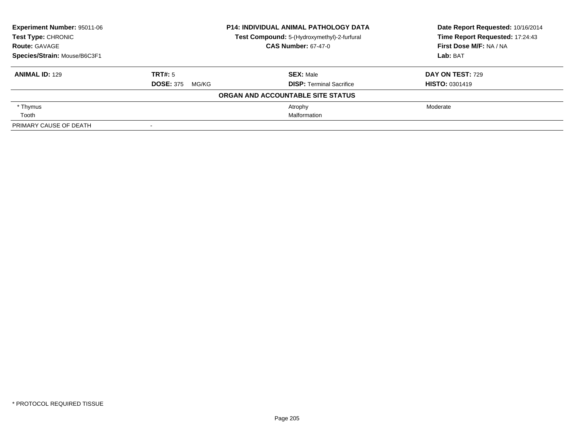| <b>Experiment Number: 95011-06</b> | <b>P14: INDIVIDUAL ANIMAL PATHOLOGY DATA</b> |                                             | Date Report Requested: 10/16/2014 |  |
|------------------------------------|----------------------------------------------|---------------------------------------------|-----------------------------------|--|
| Test Type: CHRONIC                 |                                              | Test Compound: 5-(Hydroxymethyl)-2-furfural | Time Report Requested: 17:24:43   |  |
| <b>Route: GAVAGE</b>               |                                              | <b>CAS Number: 67-47-0</b>                  | First Dose M/F: NA / NA           |  |
| Species/Strain: Mouse/B6C3F1       |                                              |                                             | Lab: BAT                          |  |
| <b>ANIMAL ID: 129</b>              | TRT#: 5                                      | <b>SEX: Male</b>                            | <b>DAY ON TEST: 729</b>           |  |
|                                    | <b>DOSE: 375</b><br>MG/KG                    | <b>DISP: Terminal Sacrifice</b>             | <b>HISTO: 0301419</b>             |  |
|                                    |                                              | ORGAN AND ACCOUNTABLE SITE STATUS           |                                   |  |
| * Thymus                           |                                              | Atrophy                                     | Moderate                          |  |
| Tooth                              |                                              | Malformation                                |                                   |  |
| PRIMARY CAUSE OF DEATH             |                                              |                                             |                                   |  |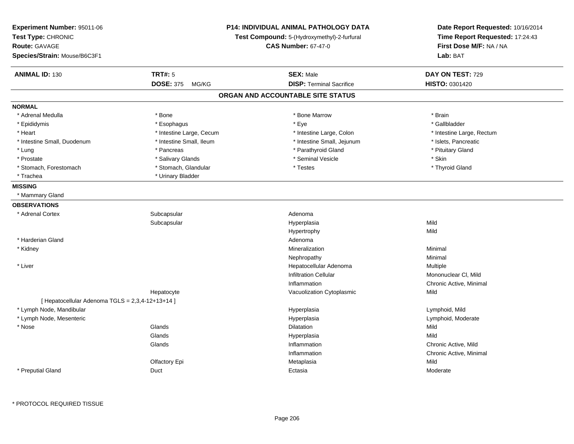| Experiment Number: 95011-06<br>Test Type: CHRONIC<br><b>Route: GAVAGE</b><br>Species/Strain: Mouse/B6C3F1 |                           | <b>P14: INDIVIDUAL ANIMAL PATHOLOGY DATA</b><br>Test Compound: 5-(Hydroxymethyl)-2-furfural<br><b>CAS Number: 67-47-0</b> | Date Report Requested: 10/16/2014<br>Time Report Requested: 17:24:43<br>First Dose M/F: NA / NA<br>Lab: BAT |
|-----------------------------------------------------------------------------------------------------------|---------------------------|---------------------------------------------------------------------------------------------------------------------------|-------------------------------------------------------------------------------------------------------------|
| <b>ANIMAL ID: 130</b>                                                                                     | TRT#: 5                   | <b>SEX: Male</b>                                                                                                          | DAY ON TEST: 729                                                                                            |
|                                                                                                           | <b>DOSE: 375</b><br>MG/KG | <b>DISP: Terminal Sacrifice</b>                                                                                           | HISTO: 0301420                                                                                              |
|                                                                                                           |                           | ORGAN AND ACCOUNTABLE SITE STATUS                                                                                         |                                                                                                             |
| <b>NORMAL</b>                                                                                             |                           |                                                                                                                           |                                                                                                             |
| * Adrenal Medulla                                                                                         | * Bone                    | * Bone Marrow                                                                                                             | * Brain                                                                                                     |
| * Epididymis                                                                                              | * Esophagus               | * Eye                                                                                                                     | * Gallbladder                                                                                               |
| * Heart                                                                                                   | * Intestine Large, Cecum  | * Intestine Large, Colon                                                                                                  | * Intestine Large, Rectum                                                                                   |
| * Intestine Small, Duodenum                                                                               | * Intestine Small, Ileum  | * Intestine Small, Jejunum                                                                                                | * Islets, Pancreatic                                                                                        |
| * Lung                                                                                                    | * Pancreas                | * Parathyroid Gland                                                                                                       | * Pituitary Gland                                                                                           |
| * Prostate                                                                                                | * Salivary Glands         | * Seminal Vesicle                                                                                                         | * Skin                                                                                                      |
| * Stomach, Forestomach                                                                                    | * Stomach, Glandular      | * Testes                                                                                                                  | * Thyroid Gland                                                                                             |
| * Trachea                                                                                                 | * Urinary Bladder         |                                                                                                                           |                                                                                                             |
| <b>MISSING</b>                                                                                            |                           |                                                                                                                           |                                                                                                             |
| * Mammary Gland                                                                                           |                           |                                                                                                                           |                                                                                                             |
| <b>OBSERVATIONS</b>                                                                                       |                           |                                                                                                                           |                                                                                                             |
| * Adrenal Cortex                                                                                          | Subcapsular               | Adenoma                                                                                                                   |                                                                                                             |
|                                                                                                           | Subcapsular               | Hyperplasia                                                                                                               | Mild                                                                                                        |
|                                                                                                           |                           | Hypertrophy                                                                                                               | Mild                                                                                                        |
| * Harderian Gland                                                                                         |                           | Adenoma                                                                                                                   |                                                                                                             |
| * Kidney                                                                                                  |                           | Mineralization                                                                                                            | Minimal                                                                                                     |
|                                                                                                           |                           | Nephropathy                                                                                                               | Minimal                                                                                                     |
| * Liver                                                                                                   |                           | Hepatocellular Adenoma                                                                                                    | Multiple                                                                                                    |
|                                                                                                           |                           | <b>Infiltration Cellular</b>                                                                                              | Mononuclear CI, Mild                                                                                        |
|                                                                                                           |                           | Inflammation                                                                                                              | Chronic Active, Minimal                                                                                     |
|                                                                                                           | Hepatocyte                | Vacuolization Cytoplasmic                                                                                                 | Mild                                                                                                        |
| [ Hepatocellular Adenoma TGLS = 2,3,4-12+13+14 ]                                                          |                           |                                                                                                                           |                                                                                                             |
| * Lymph Node, Mandibular                                                                                  |                           | Hyperplasia                                                                                                               | Lymphoid, Mild                                                                                              |
| * Lymph Node, Mesenteric                                                                                  |                           | Hyperplasia                                                                                                               | Lymphoid, Moderate                                                                                          |
| * Nose                                                                                                    | Glands                    | Dilatation                                                                                                                | Mild                                                                                                        |
|                                                                                                           | Glands                    | Hyperplasia                                                                                                               | Mild                                                                                                        |
|                                                                                                           | Glands                    | Inflammation                                                                                                              | Chronic Active, Mild                                                                                        |
|                                                                                                           |                           | Inflammation                                                                                                              | Chronic Active, Minimal                                                                                     |
|                                                                                                           | Olfactory Epi             | Metaplasia                                                                                                                | Mild                                                                                                        |
| * Preputial Gland                                                                                         | Duct                      | Ectasia                                                                                                                   | Moderate                                                                                                    |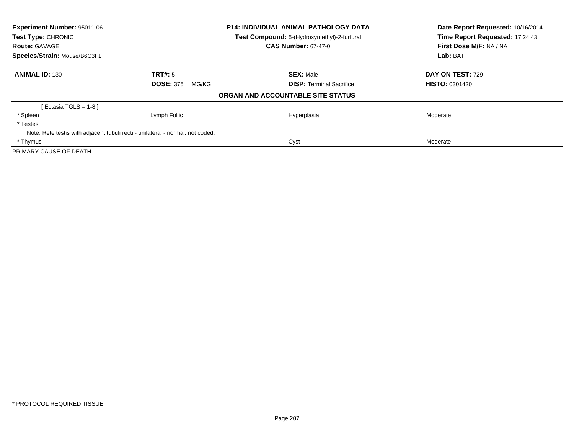| Experiment Number: 95011-06<br>Test Type: CHRONIC<br><b>Route: GAVAGE</b> |                                                                                | <b>P14: INDIVIDUAL ANIMAL PATHOLOGY DATA</b><br>Test Compound: 5-(Hydroxymethyl)-2-furfural<br><b>CAS Number: 67-47-0</b> | Date Report Requested: 10/16/2014<br>Time Report Requested: 17:24:43<br>First Dose M/F: NA / NA |
|---------------------------------------------------------------------------|--------------------------------------------------------------------------------|---------------------------------------------------------------------------------------------------------------------------|-------------------------------------------------------------------------------------------------|
| Species/Strain: Mouse/B6C3F1                                              |                                                                                |                                                                                                                           | Lab: BAT                                                                                        |
| <b>ANIMAL ID: 130</b>                                                     | TRT#: 5                                                                        | <b>SEX: Male</b>                                                                                                          | DAY ON TEST: 729                                                                                |
|                                                                           | <b>DOSE: 375</b><br>MG/KG                                                      | <b>DISP: Terminal Sacrifice</b>                                                                                           | <b>HISTO: 0301420</b>                                                                           |
|                                                                           |                                                                                | ORGAN AND ACCOUNTABLE SITE STATUS                                                                                         |                                                                                                 |
| [Ectasia TGLS = 1-8 ]                                                     |                                                                                |                                                                                                                           |                                                                                                 |
| * Spleen                                                                  | Lymph Follic                                                                   | Hyperplasia                                                                                                               | Moderate                                                                                        |
| * Testes                                                                  |                                                                                |                                                                                                                           |                                                                                                 |
|                                                                           | Note: Rete testis with adjacent tubuli recti - unilateral - normal, not coded. |                                                                                                                           |                                                                                                 |
| * Thymus                                                                  |                                                                                | Cyst                                                                                                                      | Moderate                                                                                        |
| PRIMARY CAUSE OF DEATH                                                    |                                                                                |                                                                                                                           |                                                                                                 |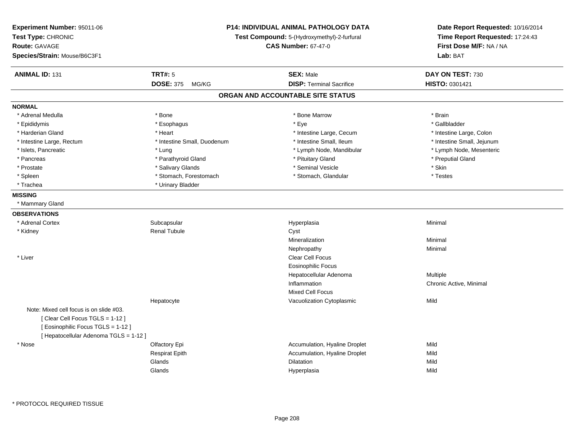| Experiment Number: 95011-06<br>Test Type: CHRONIC<br><b>Route: GAVAGE</b><br>Species/Strain: Mouse/B6C3F1 |                             | <b>P14: INDIVIDUAL ANIMAL PATHOLOGY DATA</b><br>Test Compound: 5-(Hydroxymethyl)-2-furfural<br><b>CAS Number: 67-47-0</b> |                            |
|-----------------------------------------------------------------------------------------------------------|-----------------------------|---------------------------------------------------------------------------------------------------------------------------|----------------------------|
| <b>ANIMAL ID: 131</b>                                                                                     | <b>TRT#: 5</b>              | <b>SEX: Male</b>                                                                                                          | DAY ON TEST: 730           |
|                                                                                                           | DOSE: 375 MG/KG             | <b>DISP: Terminal Sacrifice</b>                                                                                           | HISTO: 0301421             |
|                                                                                                           |                             | ORGAN AND ACCOUNTABLE SITE STATUS                                                                                         |                            |
| <b>NORMAL</b>                                                                                             |                             |                                                                                                                           |                            |
| * Adrenal Medulla                                                                                         | * Bone                      | * Bone Marrow                                                                                                             | * Brain                    |
| * Epididymis                                                                                              | * Esophagus                 | * Eye                                                                                                                     | * Gallbladder              |
| * Harderian Gland                                                                                         | * Heart                     | * Intestine Large, Cecum                                                                                                  | * Intestine Large, Colon   |
| * Intestine Large, Rectum                                                                                 | * Intestine Small, Duodenum | * Intestine Small, Ileum                                                                                                  | * Intestine Small, Jejunum |
| * Islets, Pancreatic                                                                                      | * Lung                      | * Lymph Node, Mandibular                                                                                                  | * Lymph Node, Mesenteric   |
| * Pancreas                                                                                                | * Parathyroid Gland         | * Pituitary Gland                                                                                                         | * Preputial Gland          |
| * Prostate                                                                                                | * Salivary Glands           | * Seminal Vesicle                                                                                                         | * Skin                     |
| * Spleen                                                                                                  | * Stomach, Forestomach      | * Stomach, Glandular                                                                                                      | * Testes                   |
| * Trachea                                                                                                 | * Urinary Bladder           |                                                                                                                           |                            |
| <b>MISSING</b>                                                                                            |                             |                                                                                                                           |                            |
| * Mammary Gland                                                                                           |                             |                                                                                                                           |                            |
| <b>OBSERVATIONS</b>                                                                                       |                             |                                                                                                                           |                            |
| * Adrenal Cortex                                                                                          | Subcapsular                 | Hyperplasia                                                                                                               | Minimal                    |
| * Kidney                                                                                                  | <b>Renal Tubule</b>         | Cyst                                                                                                                      |                            |
|                                                                                                           |                             | Mineralization                                                                                                            | Minimal                    |
|                                                                                                           |                             | Nephropathy                                                                                                               | Minimal                    |
| * Liver                                                                                                   |                             | <b>Clear Cell Focus</b>                                                                                                   |                            |
|                                                                                                           |                             | <b>Eosinophilic Focus</b>                                                                                                 |                            |
|                                                                                                           |                             | Hepatocellular Adenoma                                                                                                    | Multiple                   |
|                                                                                                           |                             | Inflammation                                                                                                              | Chronic Active, Minimal    |
|                                                                                                           |                             | <b>Mixed Cell Focus</b>                                                                                                   |                            |
|                                                                                                           | Hepatocyte                  | Vacuolization Cytoplasmic                                                                                                 | Mild                       |
| Note: Mixed cell focus is on slide #03.                                                                   |                             |                                                                                                                           |                            |
| [ Clear Cell Focus TGLS = 1-12 ]                                                                          |                             |                                                                                                                           |                            |
| [ Eosinophilic Focus TGLS = 1-12 ]                                                                        |                             |                                                                                                                           |                            |
| [ Hepatocellular Adenoma TGLS = 1-12 ]                                                                    |                             |                                                                                                                           |                            |
| * Nose                                                                                                    | Olfactory Epi               | Accumulation, Hyaline Droplet                                                                                             | Mild                       |
|                                                                                                           | <b>Respirat Epith</b>       | Accumulation, Hyaline Droplet                                                                                             | Mild                       |
|                                                                                                           | Glands                      | <b>Dilatation</b>                                                                                                         | Mild                       |
|                                                                                                           |                             |                                                                                                                           |                            |
|                                                                                                           | Glands                      | Hyperplasia                                                                                                               | Mild                       |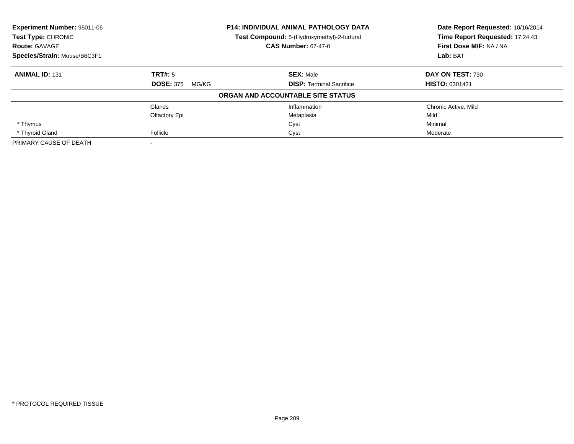| Experiment Number: 95011-06  |                           | <b>P14: INDIVIDUAL ANIMAL PATHOLOGY DATA</b> | Date Report Requested: 10/16/2014 |
|------------------------------|---------------------------|----------------------------------------------|-----------------------------------|
| Test Type: CHRONIC           |                           | Test Compound: 5-(Hydroxymethyl)-2-furfural  | Time Report Requested: 17:24:43   |
| <b>Route: GAVAGE</b>         |                           | <b>CAS Number: 67-47-0</b>                   | First Dose M/F: NA / NA           |
| Species/Strain: Mouse/B6C3F1 |                           |                                              | Lab: BAT                          |
| <b>ANIMAL ID: 131</b>        | TRT#: 5                   | <b>SEX: Male</b>                             | DAY ON TEST: 730                  |
|                              | <b>DOSE: 375</b><br>MG/KG | <b>DISP: Terminal Sacrifice</b>              | <b>HISTO: 0301421</b>             |
|                              |                           | ORGAN AND ACCOUNTABLE SITE STATUS            |                                   |
|                              | Glands                    | Inflammation                                 | Chronic Active, Mild              |
|                              | Olfactory Epi             | Metaplasia                                   | Mild                              |
| * Thymus                     |                           | Cyst                                         | Minimal                           |
| * Thyroid Gland              | Follicle                  | Cyst                                         | Moderate                          |
| PRIMARY CAUSE OF DEATH       |                           |                                              |                                   |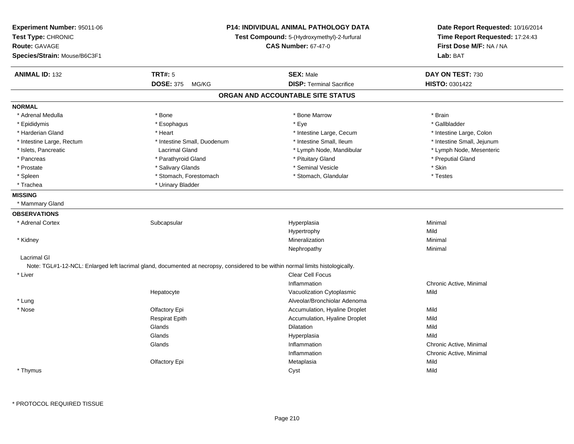| Experiment Number: 95011-06<br>Test Type: CHRONIC<br><b>Route: GAVAGE</b><br>Species/Strain: Mouse/B6C3F1 |                                                                                                                                 | <b>P14: INDIVIDUAL ANIMAL PATHOLOGY DATA</b><br>Test Compound: 5-(Hydroxymethyl)-2-furfural<br><b>CAS Number: 67-47-0</b> | Date Report Requested: 10/16/2014<br>Time Report Requested: 17:24:43<br>First Dose M/F: NA / NA<br>Lab: BAT |
|-----------------------------------------------------------------------------------------------------------|---------------------------------------------------------------------------------------------------------------------------------|---------------------------------------------------------------------------------------------------------------------------|-------------------------------------------------------------------------------------------------------------|
| <b>ANIMAL ID: 132</b>                                                                                     | <b>TRT#: 5</b>                                                                                                                  | <b>SEX: Male</b>                                                                                                          | DAY ON TEST: 730                                                                                            |
|                                                                                                           | <b>DOSE: 375</b><br>MG/KG                                                                                                       | <b>DISP: Terminal Sacrifice</b>                                                                                           | <b>HISTO: 0301422</b>                                                                                       |
|                                                                                                           |                                                                                                                                 | ORGAN AND ACCOUNTABLE SITE STATUS                                                                                         |                                                                                                             |
| <b>NORMAL</b>                                                                                             |                                                                                                                                 |                                                                                                                           |                                                                                                             |
| * Adrenal Medulla                                                                                         | * Bone                                                                                                                          | * Bone Marrow                                                                                                             | * Brain                                                                                                     |
| * Epididymis                                                                                              | * Esophagus                                                                                                                     | * Eye                                                                                                                     | * Gallbladder                                                                                               |
| * Harderian Gland                                                                                         | * Heart                                                                                                                         | * Intestine Large, Cecum                                                                                                  | * Intestine Large, Colon                                                                                    |
| * Intestine Large, Rectum                                                                                 | * Intestine Small, Duodenum                                                                                                     | * Intestine Small, Ileum                                                                                                  | * Intestine Small, Jejunum                                                                                  |
| * Islets, Pancreatic                                                                                      | <b>Lacrimal Gland</b>                                                                                                           | * Lymph Node, Mandibular                                                                                                  | * Lymph Node, Mesenteric                                                                                    |
| * Pancreas                                                                                                | * Parathyroid Gland                                                                                                             | * Pituitary Gland                                                                                                         | * Preputial Gland                                                                                           |
| * Prostate                                                                                                | * Salivary Glands                                                                                                               | * Seminal Vesicle                                                                                                         | $^\star$ Skin                                                                                               |
| * Spleen                                                                                                  | * Stomach, Forestomach                                                                                                          | * Stomach, Glandular                                                                                                      | * Testes                                                                                                    |
| * Trachea                                                                                                 | * Urinary Bladder                                                                                                               |                                                                                                                           |                                                                                                             |
| <b>MISSING</b>                                                                                            |                                                                                                                                 |                                                                                                                           |                                                                                                             |
| * Mammary Gland                                                                                           |                                                                                                                                 |                                                                                                                           |                                                                                                             |
| <b>OBSERVATIONS</b>                                                                                       |                                                                                                                                 |                                                                                                                           |                                                                                                             |
| * Adrenal Cortex                                                                                          | Subcapsular                                                                                                                     | Hyperplasia                                                                                                               | Minimal                                                                                                     |
|                                                                                                           |                                                                                                                                 | Hypertrophy                                                                                                               | Mild                                                                                                        |
| * Kidney                                                                                                  |                                                                                                                                 | Mineralization                                                                                                            | Minimal                                                                                                     |
|                                                                                                           |                                                                                                                                 | Nephropathy                                                                                                               | Minimal                                                                                                     |
| Lacrimal GI                                                                                               |                                                                                                                                 |                                                                                                                           |                                                                                                             |
|                                                                                                           | Note: TGL#1-12-NCL: Enlarged left lacrimal gland, documented at necropsy, considered to be within normal limits histologically. |                                                                                                                           |                                                                                                             |
| * Liver                                                                                                   |                                                                                                                                 | Clear Cell Focus                                                                                                          |                                                                                                             |
|                                                                                                           |                                                                                                                                 | Inflammation                                                                                                              | Chronic Active, Minimal                                                                                     |
|                                                                                                           | Hepatocyte                                                                                                                      | Vacuolization Cytoplasmic                                                                                                 | Mild                                                                                                        |
| * Lung                                                                                                    |                                                                                                                                 | Alveolar/Bronchiolar Adenoma                                                                                              |                                                                                                             |
| * Nose                                                                                                    | Olfactory Epi                                                                                                                   | Accumulation, Hyaline Droplet                                                                                             | Mild                                                                                                        |
|                                                                                                           | <b>Respirat Epith</b>                                                                                                           | Accumulation, Hyaline Droplet                                                                                             | Mild                                                                                                        |
|                                                                                                           | Glands                                                                                                                          | Dilatation                                                                                                                | Mild                                                                                                        |
|                                                                                                           | Glands                                                                                                                          | Hyperplasia                                                                                                               | Mild                                                                                                        |
|                                                                                                           | Glands                                                                                                                          | Inflammation                                                                                                              | Chronic Active, Minimal                                                                                     |
|                                                                                                           |                                                                                                                                 | Inflammation                                                                                                              | Chronic Active, Minimal                                                                                     |
|                                                                                                           | Olfactory Epi                                                                                                                   | Metaplasia                                                                                                                | Mild                                                                                                        |
| * Thymus                                                                                                  |                                                                                                                                 | Cyst                                                                                                                      | Mild                                                                                                        |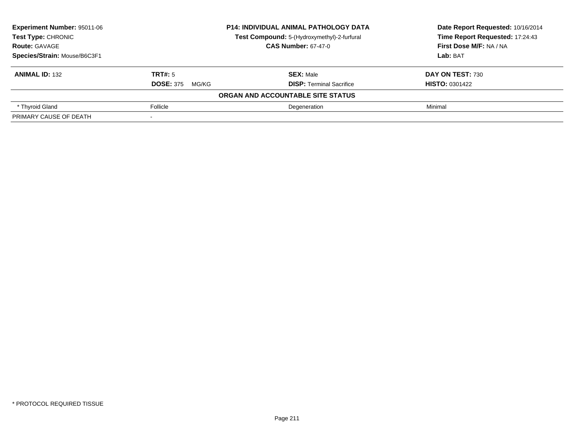| <b>Experiment Number: 95011-06</b> |                           | <b>P14: INDIVIDUAL ANIMAL PATHOLOGY DATA</b> | Date Report Requested: 10/16/2014 |
|------------------------------------|---------------------------|----------------------------------------------|-----------------------------------|
| Test Type: CHRONIC                 |                           | Test Compound: 5-(Hydroxymethyl)-2-furfural  | Time Report Requested: 17:24:43   |
| <b>Route: GAVAGE</b>               |                           | <b>CAS Number: 67-47-0</b>                   | First Dose M/F: NA / NA           |
| Species/Strain: Mouse/B6C3F1       |                           |                                              | Lab: BAT                          |
| <b>ANIMAL ID: 132</b>              | <b>TRT#: 5</b>            | <b>SEX: Male</b>                             | DAY ON TEST: 730                  |
|                                    | <b>DOSE: 375</b><br>MG/KG | <b>DISP:</b> Terminal Sacrifice              | <b>HISTO: 0301422</b>             |
|                                    |                           | ORGAN AND ACCOUNTABLE SITE STATUS            |                                   |
| * Thyroid Gland                    | Follicle                  | Degeneration                                 | Minimal                           |
| PRIMARY CAUSE OF DEATH             |                           |                                              |                                   |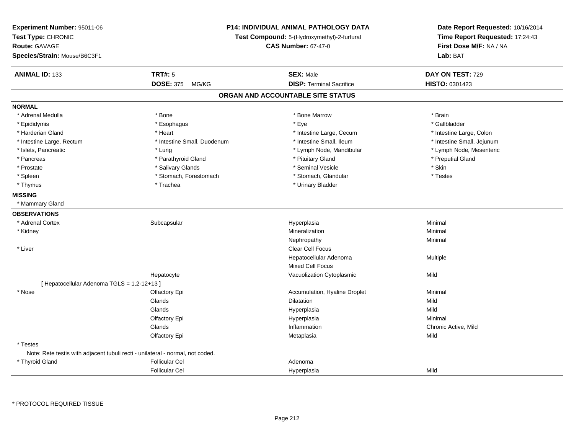| Experiment Number: 95011-06<br>Test Type: CHRONIC<br><b>Route: GAVAGE</b><br>Species/Strain: Mouse/B6C3F1 |                             | P14: INDIVIDUAL ANIMAL PATHOLOGY DATA<br>Test Compound: 5-(Hydroxymethyl)-2-furfural<br><b>CAS Number: 67-47-0</b> | Date Report Requested: 10/16/2014<br>Time Report Requested: 17:24:43<br>First Dose M/F: NA / NA<br>Lab: BAT |
|-----------------------------------------------------------------------------------------------------------|-----------------------------|--------------------------------------------------------------------------------------------------------------------|-------------------------------------------------------------------------------------------------------------|
| <b>ANIMAL ID: 133</b>                                                                                     | <b>TRT#: 5</b>              | <b>SEX: Male</b>                                                                                                   | DAY ON TEST: 729                                                                                            |
|                                                                                                           | <b>DOSE: 375</b><br>MG/KG   | <b>DISP: Terminal Sacrifice</b>                                                                                    | HISTO: 0301423                                                                                              |
|                                                                                                           |                             | ORGAN AND ACCOUNTABLE SITE STATUS                                                                                  |                                                                                                             |
| <b>NORMAL</b>                                                                                             |                             |                                                                                                                    |                                                                                                             |
| * Adrenal Medulla                                                                                         | * Bone                      | * Bone Marrow                                                                                                      | * Brain                                                                                                     |
| * Epididymis                                                                                              | * Esophagus                 | * Eye                                                                                                              | * Gallbladder                                                                                               |
| * Harderian Gland                                                                                         | * Heart                     | * Intestine Large, Cecum                                                                                           | * Intestine Large, Colon                                                                                    |
| * Intestine Large, Rectum                                                                                 | * Intestine Small, Duodenum | * Intestine Small, Ileum                                                                                           | * Intestine Small, Jejunum                                                                                  |
| * Islets, Pancreatic                                                                                      | * Lung                      | * Lymph Node, Mandibular                                                                                           | * Lymph Node, Mesenteric                                                                                    |
| * Pancreas                                                                                                | * Parathyroid Gland         | * Pituitary Gland                                                                                                  | * Preputial Gland                                                                                           |
| * Prostate                                                                                                | * Salivary Glands           | * Seminal Vesicle                                                                                                  | * Skin                                                                                                      |
| * Spleen                                                                                                  | * Stomach, Forestomach      | * Stomach, Glandular                                                                                               | * Testes                                                                                                    |
| * Thymus                                                                                                  | * Trachea                   | * Urinary Bladder                                                                                                  |                                                                                                             |
| <b>MISSING</b>                                                                                            |                             |                                                                                                                    |                                                                                                             |
| * Mammary Gland                                                                                           |                             |                                                                                                                    |                                                                                                             |
| <b>OBSERVATIONS</b>                                                                                       |                             |                                                                                                                    |                                                                                                             |
| * Adrenal Cortex                                                                                          | Subcapsular                 | Hyperplasia                                                                                                        | Minimal                                                                                                     |
| * Kidney                                                                                                  |                             | Mineralization                                                                                                     | Minimal                                                                                                     |
|                                                                                                           |                             | Nephropathy                                                                                                        | Minimal                                                                                                     |
| * Liver                                                                                                   |                             | Clear Cell Focus                                                                                                   |                                                                                                             |
|                                                                                                           |                             | Hepatocellular Adenoma                                                                                             | Multiple                                                                                                    |
|                                                                                                           |                             | <b>Mixed Cell Focus</b>                                                                                            |                                                                                                             |
|                                                                                                           | Hepatocyte                  | Vacuolization Cytoplasmic                                                                                          | Mild                                                                                                        |
| [ Hepatocellular Adenoma TGLS = 1,2-12+13 ]                                                               |                             |                                                                                                                    |                                                                                                             |
| * Nose                                                                                                    | Olfactory Epi               | Accumulation, Hyaline Droplet                                                                                      | Minimal                                                                                                     |
|                                                                                                           | Glands                      | Dilatation                                                                                                         | Mild                                                                                                        |
|                                                                                                           | Glands                      | Hyperplasia                                                                                                        | Mild                                                                                                        |
|                                                                                                           | Olfactory Epi               | Hyperplasia                                                                                                        | Minimal                                                                                                     |
|                                                                                                           | Glands                      | Inflammation                                                                                                       | Chronic Active, Mild                                                                                        |
|                                                                                                           | Olfactory Epi               | Metaplasia                                                                                                         | Mild                                                                                                        |
| * Testes                                                                                                  |                             |                                                                                                                    |                                                                                                             |
| Note: Rete testis with adjacent tubuli recti - unilateral - normal, not coded.                            |                             |                                                                                                                    |                                                                                                             |
| * Thyroid Gland                                                                                           | <b>Follicular Cel</b>       | Adenoma                                                                                                            |                                                                                                             |
|                                                                                                           | <b>Follicular Cel</b>       | Hyperplasia                                                                                                        | Mild                                                                                                        |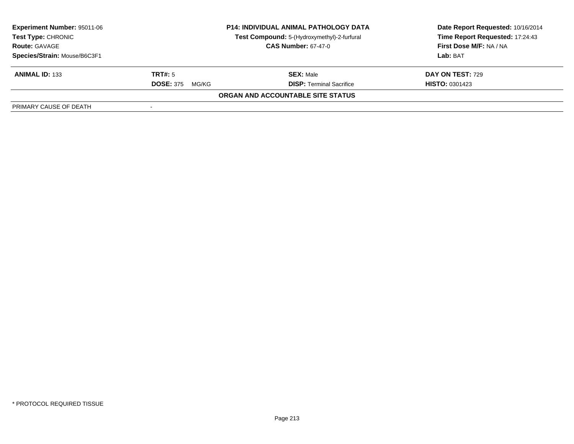| <b>Experiment Number: 95011-06</b> |                           | <b>P14: INDIVIDUAL ANIMAL PATHOLOGY DATA</b> | Date Report Requested: 10/16/2014 |
|------------------------------------|---------------------------|----------------------------------------------|-----------------------------------|
| <b>Test Type: CHRONIC</b>          |                           | Test Compound: 5-(Hydroxymethyl)-2-furfural  | Time Report Requested: 17:24:43   |
| <b>Route: GAVAGE</b>               |                           | <b>CAS Number: 67-47-0</b>                   | First Dose M/F: NA / NA           |
| Species/Strain: Mouse/B6C3F1       |                           |                                              | Lab: BAT                          |
| <b>ANIMAL ID: 133</b>              | TRT#: 5                   | <b>SEX: Male</b>                             | DAY ON TEST: 729                  |
|                                    | <b>DOSE: 375</b><br>MG/KG | <b>DISP:</b> Terminal Sacrifice              | <b>HISTO: 0301423</b>             |
|                                    |                           | ORGAN AND ACCOUNTABLE SITE STATUS            |                                   |
| PRIMARY CAUSE OF DEATH             |                           |                                              |                                   |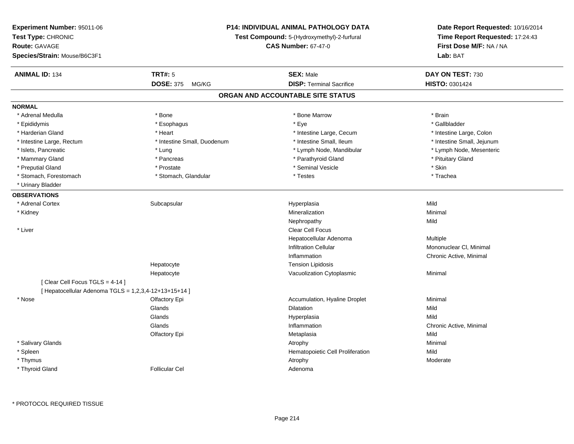| Experiment Number: 95011-06<br>Test Type: CHRONIC<br><b>Route: GAVAGE</b><br>Species/Strain: Mouse/B6C3F1 |                             | <b>P14: INDIVIDUAL ANIMAL PATHOLOGY DATA</b><br>Test Compound: 5-(Hydroxymethyl)-2-furfural<br><b>CAS Number: 67-47-0</b> | Date Report Requested: 10/16/2014<br>Time Report Requested: 17:24:43<br>First Dose M/F: NA / NA<br>Lab: BAT |
|-----------------------------------------------------------------------------------------------------------|-----------------------------|---------------------------------------------------------------------------------------------------------------------------|-------------------------------------------------------------------------------------------------------------|
| <b>ANIMAL ID: 134</b>                                                                                     | <b>TRT#: 5</b>              | <b>SEX: Male</b>                                                                                                          | DAY ON TEST: 730                                                                                            |
|                                                                                                           | DOSE: 375 MG/KG             | <b>DISP: Terminal Sacrifice</b>                                                                                           | HISTO: 0301424                                                                                              |
|                                                                                                           |                             | ORGAN AND ACCOUNTABLE SITE STATUS                                                                                         |                                                                                                             |
| <b>NORMAL</b>                                                                                             |                             |                                                                                                                           |                                                                                                             |
| * Adrenal Medulla                                                                                         | * Bone                      | * Bone Marrow                                                                                                             | * Brain                                                                                                     |
| * Epididymis                                                                                              | * Esophagus                 | * Eye                                                                                                                     | * Gallbladder                                                                                               |
| * Harderian Gland                                                                                         | * Heart                     | * Intestine Large, Cecum                                                                                                  | * Intestine Large, Colon                                                                                    |
| * Intestine Large, Rectum                                                                                 | * Intestine Small, Duodenum | * Intestine Small, Ileum                                                                                                  | * Intestine Small, Jejunum                                                                                  |
| * Islets, Pancreatic                                                                                      | * Lung                      | * Lymph Node, Mandibular                                                                                                  | * Lymph Node, Mesenteric                                                                                    |
| * Mammary Gland                                                                                           | * Pancreas                  | * Parathyroid Gland                                                                                                       | * Pituitary Gland                                                                                           |
| * Preputial Gland                                                                                         | * Prostate                  | * Seminal Vesicle                                                                                                         | * Skin                                                                                                      |
| * Stomach, Forestomach                                                                                    | * Stomach, Glandular        | * Testes                                                                                                                  | * Trachea                                                                                                   |
| * Urinary Bladder                                                                                         |                             |                                                                                                                           |                                                                                                             |
| <b>OBSERVATIONS</b>                                                                                       |                             |                                                                                                                           |                                                                                                             |
| * Adrenal Cortex                                                                                          | Subcapsular                 | Hyperplasia                                                                                                               | Mild                                                                                                        |
| * Kidney                                                                                                  |                             | Mineralization                                                                                                            | Minimal                                                                                                     |
|                                                                                                           |                             | Nephropathy                                                                                                               | Mild                                                                                                        |
| * Liver                                                                                                   |                             | Clear Cell Focus                                                                                                          |                                                                                                             |
|                                                                                                           |                             | Hepatocellular Adenoma                                                                                                    | Multiple                                                                                                    |
|                                                                                                           |                             | <b>Infiltration Cellular</b>                                                                                              | Mononuclear CI, Minimal                                                                                     |
|                                                                                                           |                             | Inflammation                                                                                                              | Chronic Active, Minimal                                                                                     |
|                                                                                                           | Hepatocyte                  | <b>Tension Lipidosis</b>                                                                                                  |                                                                                                             |
|                                                                                                           | Hepatocyte                  | Vacuolization Cytoplasmic                                                                                                 | Minimal                                                                                                     |
| [Clear Cell Focus TGLS = 4-14]                                                                            |                             |                                                                                                                           |                                                                                                             |
| [ Hepatocellular Adenoma TGLS = 1,2,3,4-12+13+15+14 ]                                                     |                             |                                                                                                                           |                                                                                                             |
| * Nose                                                                                                    | Olfactory Epi               | Accumulation, Hyaline Droplet                                                                                             | Minimal                                                                                                     |
|                                                                                                           | Glands                      | <b>Dilatation</b>                                                                                                         | Mild                                                                                                        |
|                                                                                                           | Glands                      | Hyperplasia                                                                                                               | Mild                                                                                                        |
|                                                                                                           | Glands                      | Inflammation                                                                                                              | Chronic Active, Minimal                                                                                     |
|                                                                                                           | Olfactory Epi               | Metaplasia                                                                                                                | Mild                                                                                                        |
| * Salivary Glands                                                                                         |                             | Atrophy                                                                                                                   | Minimal                                                                                                     |
| * Spleen                                                                                                  |                             | Hematopoietic Cell Proliferation                                                                                          | Mild                                                                                                        |
| * Thymus                                                                                                  |                             | Atrophy                                                                                                                   | Moderate                                                                                                    |
| * Thyroid Gland                                                                                           | <b>Follicular Cel</b>       | Adenoma                                                                                                                   |                                                                                                             |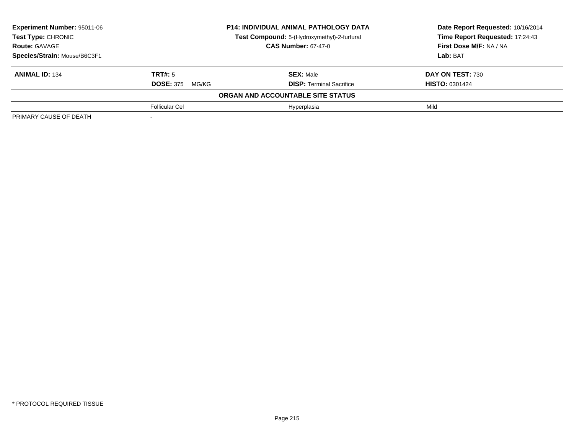| <b>Experiment Number: 95011-06</b> |                           | <b>P14: INDIVIDUAL ANIMAL PATHOLOGY DATA</b> | Date Report Requested: 10/16/2014 |
|------------------------------------|---------------------------|----------------------------------------------|-----------------------------------|
| Test Type: CHRONIC                 |                           | Test Compound: 5-(Hydroxymethyl)-2-furfural  | Time Report Requested: 17:24:43   |
| <b>Route: GAVAGE</b>               |                           | <b>CAS Number: 67-47-0</b>                   | First Dose M/F: NA / NA           |
| Species/Strain: Mouse/B6C3F1       |                           |                                              | Lab: BAT                          |
| <b>ANIMAL ID: 134</b>              | <b>TRT#:</b> 5            | <b>SEX: Male</b>                             | DAY ON TEST: 730                  |
|                                    | <b>DOSE: 375</b><br>MG/KG | <b>DISP: Terminal Sacrifice</b>              | <b>HISTO: 0301424</b>             |
|                                    |                           | ORGAN AND ACCOUNTABLE SITE STATUS            |                                   |
|                                    | Follicular Cel            | Hyperplasia                                  | Mild                              |
| PRIMARY CAUSE OF DEATH             |                           |                                              |                                   |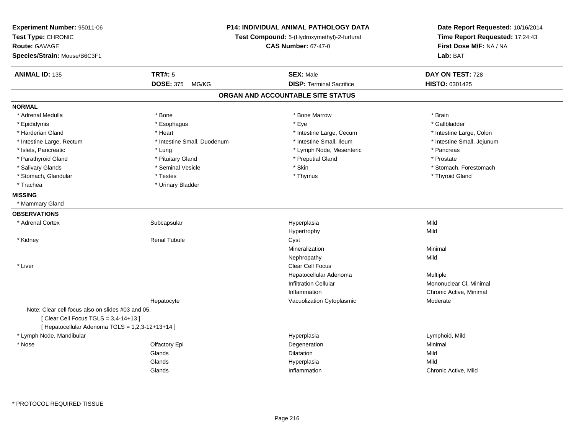| Experiment Number: 95011-06<br>Test Type: CHRONIC<br><b>Route: GAVAGE</b><br>Species/Strain: Mouse/B6C3F1 |                             | <b>P14: INDIVIDUAL ANIMAL PATHOLOGY DATA</b><br>Test Compound: 5-(Hydroxymethyl)-2-furfural<br><b>CAS Number: 67-47-0</b> |                            |
|-----------------------------------------------------------------------------------------------------------|-----------------------------|---------------------------------------------------------------------------------------------------------------------------|----------------------------|
| <b>ANIMAL ID: 135</b>                                                                                     | <b>TRT#: 5</b>              | <b>SEX: Male</b>                                                                                                          | DAY ON TEST: 728           |
|                                                                                                           | DOSE: 375 MG/KG             | <b>DISP: Terminal Sacrifice</b>                                                                                           | HISTO: 0301425             |
|                                                                                                           |                             | ORGAN AND ACCOUNTABLE SITE STATUS                                                                                         |                            |
| <b>NORMAL</b>                                                                                             |                             |                                                                                                                           |                            |
| * Adrenal Medulla                                                                                         | * Bone                      | * Bone Marrow                                                                                                             | * Brain                    |
| * Epididymis                                                                                              | * Esophagus                 | * Eye                                                                                                                     | * Gallbladder              |
| * Harderian Gland                                                                                         | * Heart                     | * Intestine Large, Cecum                                                                                                  | * Intestine Large, Colon   |
| * Intestine Large, Rectum                                                                                 | * Intestine Small, Duodenum | * Intestine Small, Ileum                                                                                                  | * Intestine Small, Jejunum |
| * Islets, Pancreatic                                                                                      | * Lung                      | * Lymph Node, Mesenteric                                                                                                  | * Pancreas                 |
| * Parathyroid Gland                                                                                       | * Pituitary Gland           | * Preputial Gland                                                                                                         | * Prostate                 |
| * Salivary Glands                                                                                         | * Seminal Vesicle           | $^\star$ Skin                                                                                                             | * Stomach, Forestomach     |
| * Stomach, Glandular                                                                                      | * Testes                    | * Thymus                                                                                                                  | * Thyroid Gland            |
| * Trachea                                                                                                 | * Urinary Bladder           |                                                                                                                           |                            |
| <b>MISSING</b>                                                                                            |                             |                                                                                                                           |                            |
| * Mammary Gland                                                                                           |                             |                                                                                                                           |                            |
| <b>OBSERVATIONS</b>                                                                                       |                             |                                                                                                                           |                            |
| * Adrenal Cortex                                                                                          | Subcapsular                 | Hyperplasia                                                                                                               | Mild                       |
|                                                                                                           |                             | Hypertrophy                                                                                                               | Mild                       |
| * Kidney                                                                                                  | <b>Renal Tubule</b>         | Cyst                                                                                                                      |                            |
|                                                                                                           |                             | Mineralization                                                                                                            | Minimal                    |
|                                                                                                           |                             | Nephropathy                                                                                                               | Mild                       |
| * Liver                                                                                                   |                             | Clear Cell Focus                                                                                                          |                            |
|                                                                                                           |                             | Hepatocellular Adenoma                                                                                                    | Multiple                   |
|                                                                                                           |                             | <b>Infiltration Cellular</b>                                                                                              | Mononuclear CI, Minimal    |
|                                                                                                           |                             | Inflammation                                                                                                              | Chronic Active, Minimal    |
|                                                                                                           | Hepatocyte                  | Vacuolization Cytoplasmic                                                                                                 | Moderate                   |
| Note: Clear cell focus also on slides #03 and 05.                                                         |                             |                                                                                                                           |                            |
| [ Clear Cell Focus TGLS = 3,4-14+13 ]                                                                     |                             |                                                                                                                           |                            |
| [ Hepatocellular Adenoma TGLS = 1,2,3-12+13+14 ]                                                          |                             |                                                                                                                           |                            |
| * Lymph Node, Mandibular                                                                                  |                             | Hyperplasia                                                                                                               | Lymphoid, Mild             |
| * Nose                                                                                                    | Olfactory Epi               | Degeneration                                                                                                              | Minimal                    |
|                                                                                                           | Glands                      | <b>Dilatation</b>                                                                                                         | Mild                       |
|                                                                                                           | Glands                      | Hyperplasia                                                                                                               | Mild                       |
|                                                                                                           | Glands                      | Inflammation                                                                                                              | Chronic Active, Mild       |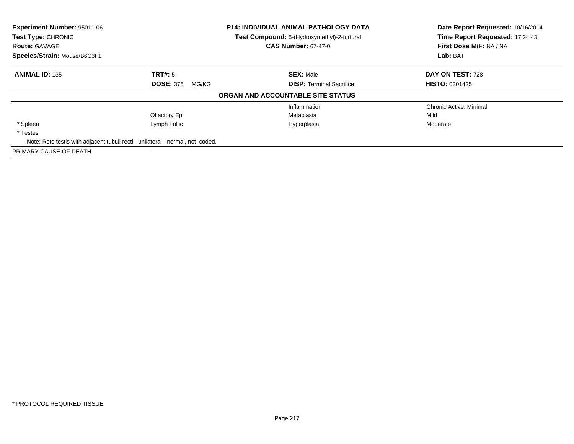| <b>Experiment Number: 95011-06</b><br>Test Type: CHRONIC<br><b>Route: GAVAGE</b> |                                                                                | <b>P14: INDIVIDUAL ANIMAL PATHOLOGY DATA</b><br>Test Compound: 5-(Hydroxymethyl)-2-furfural<br><b>CAS Number: 67-47-0</b> | Date Report Requested: 10/16/2014<br>Time Report Requested: 17:24:43<br>First Dose M/F: NA / NA |
|----------------------------------------------------------------------------------|--------------------------------------------------------------------------------|---------------------------------------------------------------------------------------------------------------------------|-------------------------------------------------------------------------------------------------|
| Species/Strain: Mouse/B6C3F1                                                     |                                                                                |                                                                                                                           | Lab: BAT                                                                                        |
| <b>ANIMAL ID: 135</b>                                                            | TRT#: 5                                                                        | <b>SEX: Male</b>                                                                                                          | DAY ON TEST: 728                                                                                |
|                                                                                  | <b>DOSE: 375</b><br>MG/KG                                                      | <b>DISP: Terminal Sacrifice</b>                                                                                           | <b>HISTO: 0301425</b>                                                                           |
|                                                                                  |                                                                                | ORGAN AND ACCOUNTABLE SITE STATUS                                                                                         |                                                                                                 |
|                                                                                  |                                                                                | Inflammation                                                                                                              | Chronic Active, Minimal                                                                         |
|                                                                                  | Olfactory Epi                                                                  | Metaplasia                                                                                                                | Mild                                                                                            |
| * Spleen                                                                         | Lymph Follic                                                                   | Hyperplasia                                                                                                               | Moderate                                                                                        |
| * Testes                                                                         |                                                                                |                                                                                                                           |                                                                                                 |
|                                                                                  | Note: Rete testis with adjacent tubuli recti - unilateral - normal, not coded. |                                                                                                                           |                                                                                                 |
| PRIMARY CAUSE OF DEATH                                                           |                                                                                |                                                                                                                           |                                                                                                 |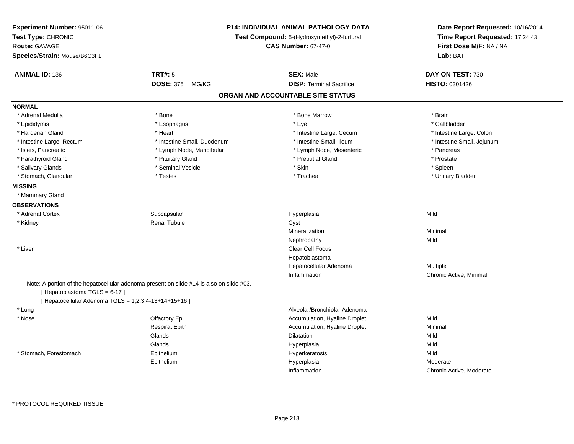| Experiment Number: 95011-06<br>Test Type: CHRONIC<br><b>Route: GAVAGE</b><br>Species/Strain: Mouse/B6C3F1 |                                                                                          | P14: INDIVIDUAL ANIMAL PATHOLOGY DATA<br>Test Compound: 5-(Hydroxymethyl)-2-furfural<br><b>CAS Number: 67-47-0</b> |                            |
|-----------------------------------------------------------------------------------------------------------|------------------------------------------------------------------------------------------|--------------------------------------------------------------------------------------------------------------------|----------------------------|
| <b>ANIMAL ID: 136</b>                                                                                     | <b>TRT#: 5</b>                                                                           | <b>SEX: Male</b>                                                                                                   | DAY ON TEST: 730           |
|                                                                                                           | <b>DOSE: 375</b><br>MG/KG                                                                | <b>DISP: Terminal Sacrifice</b>                                                                                    | HISTO: 0301426             |
|                                                                                                           |                                                                                          | ORGAN AND ACCOUNTABLE SITE STATUS                                                                                  |                            |
| <b>NORMAL</b>                                                                                             |                                                                                          |                                                                                                                    |                            |
| * Adrenal Medulla                                                                                         | * Bone                                                                                   | * Bone Marrow                                                                                                      | * Brain                    |
| * Epididymis                                                                                              | * Esophagus                                                                              | * Eye                                                                                                              | * Gallbladder              |
| * Harderian Gland                                                                                         | * Heart                                                                                  | * Intestine Large, Cecum                                                                                           | * Intestine Large, Colon   |
| * Intestine Large, Rectum                                                                                 | * Intestine Small, Duodenum                                                              | * Intestine Small, Ileum                                                                                           | * Intestine Small, Jejunum |
| * Islets, Pancreatic                                                                                      | * Lymph Node, Mandibular                                                                 | * Lymph Node, Mesenteric                                                                                           | * Pancreas                 |
| * Parathyroid Gland                                                                                       | * Pituitary Gland                                                                        | * Preputial Gland                                                                                                  | * Prostate                 |
| * Salivary Glands                                                                                         | * Seminal Vesicle                                                                        | * Skin                                                                                                             | * Spleen                   |
| * Stomach, Glandular                                                                                      | * Testes                                                                                 | * Trachea                                                                                                          | * Urinary Bladder          |
| <b>MISSING</b>                                                                                            |                                                                                          |                                                                                                                    |                            |
| * Mammary Gland                                                                                           |                                                                                          |                                                                                                                    |                            |
| <b>OBSERVATIONS</b>                                                                                       |                                                                                          |                                                                                                                    |                            |
| * Adrenal Cortex                                                                                          | Subcapsular                                                                              | Hyperplasia                                                                                                        | Mild                       |
| * Kidney                                                                                                  | <b>Renal Tubule</b>                                                                      | Cyst                                                                                                               |                            |
|                                                                                                           |                                                                                          | Mineralization                                                                                                     | Minimal                    |
|                                                                                                           |                                                                                          | Nephropathy                                                                                                        | Mild                       |
| * Liver                                                                                                   |                                                                                          | Clear Cell Focus                                                                                                   |                            |
|                                                                                                           |                                                                                          | Hepatoblastoma                                                                                                     |                            |
|                                                                                                           |                                                                                          | Hepatocellular Adenoma                                                                                             | <b>Multiple</b>            |
|                                                                                                           |                                                                                          | Inflammation                                                                                                       | Chronic Active, Minimal    |
| [Hepatoblastoma TGLS = 6-17]                                                                              | Note: A portion of the hepatocellular adenoma present on slide #14 is also on slide #03. |                                                                                                                    |                            |
| [ Hepatocellular Adenoma TGLS = 1,2,3,4-13+14+15+16 ]                                                     |                                                                                          |                                                                                                                    |                            |
| * Lung                                                                                                    |                                                                                          | Alveolar/Bronchiolar Adenoma                                                                                       |                            |
| * Nose                                                                                                    | Olfactory Epi                                                                            | Accumulation, Hyaline Droplet                                                                                      | Mild                       |
|                                                                                                           | <b>Respirat Epith</b>                                                                    | Accumulation, Hyaline Droplet                                                                                      | Minimal                    |
|                                                                                                           | Glands                                                                                   | Dilatation                                                                                                         | Mild                       |
|                                                                                                           | Glands                                                                                   | Hyperplasia                                                                                                        | Mild                       |
| * Stomach, Forestomach                                                                                    | Epithelium                                                                               | Hyperkeratosis                                                                                                     | Mild                       |
|                                                                                                           | Epithelium                                                                               | Hyperplasia                                                                                                        | Moderate                   |
|                                                                                                           |                                                                                          | Inflammation                                                                                                       | Chronic Active, Moderate   |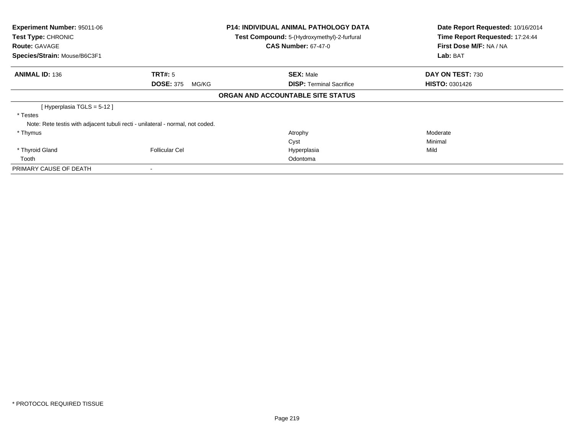| <b>Experiment Number: 95011-06</b><br>Test Type: CHRONIC<br><b>Route: GAVAGE</b> |                                                                                | <b>P14: INDIVIDUAL ANIMAL PATHOLOGY DATA</b><br>Test Compound: 5-(Hydroxymethyl)-2-furfural<br><b>CAS Number: 67-47-0</b> | Date Report Requested: 10/16/2014<br>Time Report Requested: 17:24:44<br>First Dose M/F: NA / NA |
|----------------------------------------------------------------------------------|--------------------------------------------------------------------------------|---------------------------------------------------------------------------------------------------------------------------|-------------------------------------------------------------------------------------------------|
| Species/Strain: Mouse/B6C3F1                                                     |                                                                                |                                                                                                                           | Lab: BAT                                                                                        |
| <b>ANIMAL ID: 136</b>                                                            | TRT#: 5                                                                        | <b>SEX: Male</b>                                                                                                          | DAY ON TEST: 730                                                                                |
|                                                                                  | <b>DOSE: 375</b><br>MG/KG                                                      | <b>DISP: Terminal Sacrifice</b>                                                                                           | <b>HISTO: 0301426</b>                                                                           |
|                                                                                  |                                                                                | ORGAN AND ACCOUNTABLE SITE STATUS                                                                                         |                                                                                                 |
| [ Hyperplasia TGLS = 5-12 ]                                                      |                                                                                |                                                                                                                           |                                                                                                 |
| * Testes                                                                         |                                                                                |                                                                                                                           |                                                                                                 |
|                                                                                  | Note: Rete testis with adjacent tubuli recti - unilateral - normal, not coded. |                                                                                                                           |                                                                                                 |
| * Thymus                                                                         |                                                                                | Atrophy                                                                                                                   | Moderate                                                                                        |
|                                                                                  |                                                                                | Cyst                                                                                                                      | Minimal                                                                                         |
| * Thyroid Gland                                                                  | <b>Follicular Cel</b>                                                          | Hyperplasia                                                                                                               | Mild                                                                                            |
| Tooth                                                                            |                                                                                | Odontoma                                                                                                                  |                                                                                                 |
| PRIMARY CAUSE OF DEATH                                                           |                                                                                |                                                                                                                           |                                                                                                 |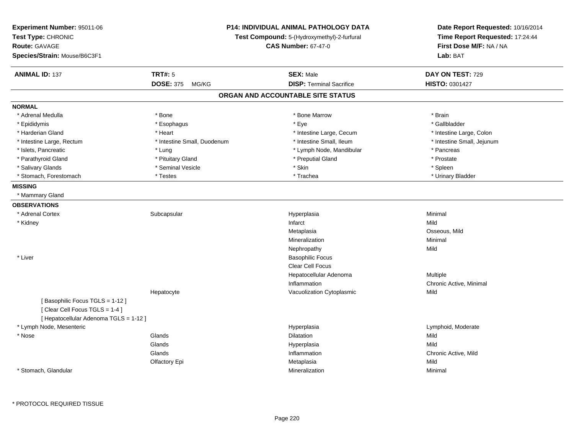| Experiment Number: 95011-06<br>Test Type: CHRONIC<br>Route: GAVAGE<br>Species/Strain: Mouse/B6C3F1 |                                             | P14: INDIVIDUAL ANIMAL PATHOLOGY DATA<br>Test Compound: 5-(Hydroxymethyl)-2-furfural<br><b>CAS Number: 67-47-0</b> |                                 | Date Report Requested: 10/16/2014<br>Time Report Requested: 17:24:44<br>First Dose M/F: NA / NA<br><b>Lab: BAT</b> |
|----------------------------------------------------------------------------------------------------|---------------------------------------------|--------------------------------------------------------------------------------------------------------------------|---------------------------------|--------------------------------------------------------------------------------------------------------------------|
| <b>ANIMAL ID: 137</b>                                                                              | <b>TRT#: 5</b><br><b>DOSE: 375</b><br>MG/KG | <b>SEX: Male</b>                                                                                                   | <b>DISP: Terminal Sacrifice</b> | DAY ON TEST: 729<br>HISTO: 0301427                                                                                 |
|                                                                                                    |                                             | ORGAN AND ACCOUNTABLE SITE STATUS                                                                                  |                                 |                                                                                                                    |
|                                                                                                    |                                             |                                                                                                                    |                                 |                                                                                                                    |
| <b>NORMAL</b><br>* Adrenal Medulla                                                                 | * Bone                                      |                                                                                                                    | * Bone Marrow                   | * Brain                                                                                                            |
| * Epididymis                                                                                       | * Esophagus                                 | * Eye                                                                                                              |                                 | * Gallbladder                                                                                                      |
| * Harderian Gland                                                                                  | * Heart                                     |                                                                                                                    | * Intestine Large, Cecum        | * Intestine Large, Colon                                                                                           |
| * Intestine Large, Rectum                                                                          | * Intestine Small, Duodenum                 |                                                                                                                    | * Intestine Small, Ileum        | * Intestine Small, Jejunum                                                                                         |
| * Islets, Pancreatic                                                                               | * Lung                                      |                                                                                                                    | * Lymph Node, Mandibular        | * Pancreas                                                                                                         |
| * Parathyroid Gland                                                                                | * Pituitary Gland                           |                                                                                                                    | * Preputial Gland               | * Prostate                                                                                                         |
| * Salivary Glands                                                                                  | * Seminal Vesicle                           | * Skin                                                                                                             |                                 | * Spleen                                                                                                           |
| * Stomach, Forestomach                                                                             | * Testes                                    | * Trachea                                                                                                          |                                 | * Urinary Bladder                                                                                                  |
| <b>MISSING</b>                                                                                     |                                             |                                                                                                                    |                                 |                                                                                                                    |
| * Mammary Gland                                                                                    |                                             |                                                                                                                    |                                 |                                                                                                                    |
| <b>OBSERVATIONS</b>                                                                                |                                             |                                                                                                                    |                                 |                                                                                                                    |
| * Adrenal Cortex                                                                                   | Subcapsular                                 | Hyperplasia                                                                                                        |                                 | Minimal                                                                                                            |
| * Kidney                                                                                           |                                             | Infarct                                                                                                            |                                 | Mild                                                                                                               |
|                                                                                                    |                                             | Metaplasia                                                                                                         |                                 | Osseous, Mild                                                                                                      |
|                                                                                                    |                                             | Mineralization                                                                                                     |                                 | Minimal                                                                                                            |
|                                                                                                    |                                             | Nephropathy                                                                                                        |                                 | Mild                                                                                                               |
| * Liver                                                                                            |                                             |                                                                                                                    | <b>Basophilic Focus</b>         |                                                                                                                    |
|                                                                                                    |                                             |                                                                                                                    | <b>Clear Cell Focus</b>         |                                                                                                                    |
|                                                                                                    |                                             |                                                                                                                    | Hepatocellular Adenoma          | Multiple                                                                                                           |
|                                                                                                    |                                             | Inflammation                                                                                                       |                                 | Chronic Active, Minimal                                                                                            |
|                                                                                                    | Hepatocyte                                  |                                                                                                                    | Vacuolization Cytoplasmic       | Mild                                                                                                               |
| [Basophilic Focus TGLS = 1-12]                                                                     |                                             |                                                                                                                    |                                 |                                                                                                                    |
| [Clear Cell Focus TGLS = 1-4]                                                                      |                                             |                                                                                                                    |                                 |                                                                                                                    |
| [ Hepatocellular Adenoma TGLS = 1-12 ]                                                             |                                             |                                                                                                                    |                                 |                                                                                                                    |
| * Lymph Node, Mesenteric                                                                           |                                             | Hyperplasia                                                                                                        |                                 | Lymphoid, Moderate                                                                                                 |
| * Nose                                                                                             | Glands                                      | <b>Dilatation</b>                                                                                                  |                                 | Mild                                                                                                               |
|                                                                                                    | Glands                                      | Hyperplasia                                                                                                        |                                 | Mild                                                                                                               |
|                                                                                                    | Glands                                      | Inflammation                                                                                                       |                                 | Chronic Active, Mild                                                                                               |
|                                                                                                    | Olfactory Epi                               | Metaplasia                                                                                                         |                                 | Mild                                                                                                               |
| * Stomach, Glandular                                                                               |                                             | Mineralization                                                                                                     |                                 | Minimal                                                                                                            |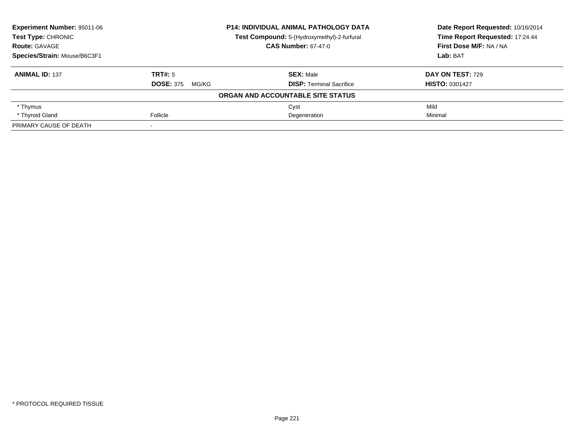| <b>Experiment Number: 95011-06</b> |                           | <b>P14: INDIVIDUAL ANIMAL PATHOLOGY DATA</b> | Date Report Requested: 10/16/2014<br>Time Report Requested: 17:24:44 |
|------------------------------------|---------------------------|----------------------------------------------|----------------------------------------------------------------------|
| <b>Test Type: CHRONIC</b>          |                           | Test Compound: 5-(Hydroxymethyl)-2-furfural  |                                                                      |
| <b>Route: GAVAGE</b>               |                           | <b>CAS Number: 67-47-0</b>                   | First Dose M/F: NA / NA                                              |
| Species/Strain: Mouse/B6C3F1       |                           |                                              | Lab: BAT                                                             |
| <b>ANIMAL ID: 137</b>              | TRT#: 5                   | <b>SEX: Male</b>                             | <b>DAY ON TEST: 729</b>                                              |
|                                    | <b>DOSE: 375</b><br>MG/KG | <b>DISP: Terminal Sacrifice</b>              | <b>HISTO: 0301427</b>                                                |
|                                    |                           | ORGAN AND ACCOUNTABLE SITE STATUS            |                                                                      |
| * Thymus                           |                           | Cyst                                         | Mild                                                                 |
| * Thyroid Gland                    | Follicle                  | Degeneration                                 | Minimal                                                              |
| PRIMARY CAUSE OF DEATH             |                           |                                              |                                                                      |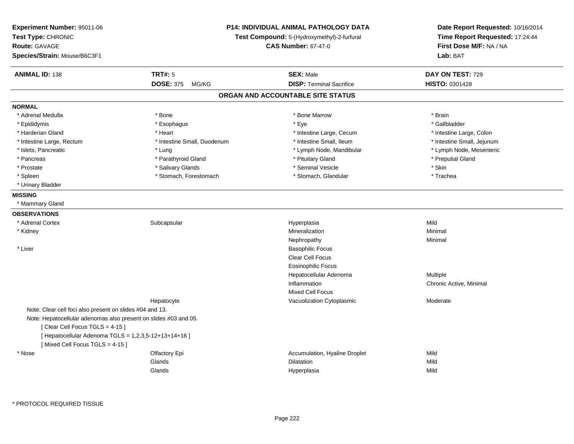| Experiment Number: 95011-06<br>Test Type: CHRONIC<br>Route: GAVAGE<br>Species/Strain: Mouse/B6C3F1 |                             | <b>P14: INDIVIDUAL ANIMAL PATHOLOGY DATA</b><br>Test Compound: 5-(Hydroxymethyl)-2-furfural<br><b>CAS Number: 67-47-0</b> |                            |
|----------------------------------------------------------------------------------------------------|-----------------------------|---------------------------------------------------------------------------------------------------------------------------|----------------------------|
| <b>ANIMAL ID: 138</b>                                                                              | <b>TRT#: 5</b>              | <b>SEX: Male</b>                                                                                                          | DAY ON TEST: 729           |
|                                                                                                    | DOSE: 375 MG/KG             | <b>DISP: Terminal Sacrifice</b>                                                                                           | <b>HISTO: 0301428</b>      |
|                                                                                                    |                             | ORGAN AND ACCOUNTABLE SITE STATUS                                                                                         |                            |
| <b>NORMAL</b>                                                                                      |                             |                                                                                                                           |                            |
| * Adrenal Medulla                                                                                  | * Bone                      | * Bone Marrow                                                                                                             | * Brain                    |
| * Epididymis                                                                                       | * Esophagus                 | $*$ Eye                                                                                                                   | * Gallbladder              |
| * Harderian Gland                                                                                  | * Heart                     | * Intestine Large, Cecum                                                                                                  | * Intestine Large, Colon   |
| * Intestine Large, Rectum                                                                          | * Intestine Small, Duodenum | * Intestine Small, Ileum                                                                                                  | * Intestine Small, Jejunum |
| * Islets, Pancreatic                                                                               | * Lung                      | * Lymph Node, Mandibular                                                                                                  | * Lymph Node, Mesenteric   |
| * Pancreas                                                                                         | * Parathyroid Gland         | * Pituitary Gland                                                                                                         | * Preputial Gland          |
| * Prostate                                                                                         | * Salivary Glands           | * Seminal Vesicle                                                                                                         | * Skin                     |
| * Spleen                                                                                           | * Stomach, Forestomach      | * Stomach, Glandular                                                                                                      | * Trachea                  |
| * Urinary Bladder                                                                                  |                             |                                                                                                                           |                            |
| <b>MISSING</b>                                                                                     |                             |                                                                                                                           |                            |
| * Mammary Gland                                                                                    |                             |                                                                                                                           |                            |
| <b>OBSERVATIONS</b>                                                                                |                             |                                                                                                                           |                            |
| * Adrenal Cortex                                                                                   | Subcapsular                 | Hyperplasia                                                                                                               | Mild                       |
| * Kidney                                                                                           |                             | Mineralization                                                                                                            | Minimal                    |
|                                                                                                    |                             | Nephropathy                                                                                                               | Minimal                    |
| * Liver                                                                                            |                             | <b>Basophilic Focus</b>                                                                                                   |                            |
|                                                                                                    |                             | Clear Cell Focus                                                                                                          |                            |
|                                                                                                    |                             | <b>Eosinophilic Focus</b>                                                                                                 |                            |
|                                                                                                    |                             | Hepatocellular Adenoma                                                                                                    | Multiple                   |
|                                                                                                    |                             | Inflammation                                                                                                              | Chronic Active, Minimal    |
|                                                                                                    |                             | <b>Mixed Cell Focus</b>                                                                                                   |                            |
|                                                                                                    | Hepatocyte                  | Vacuolization Cytoplasmic                                                                                                 | Moderate                   |
| Note: Clear cell foci also present on slides #04 and 13.                                           |                             |                                                                                                                           |                            |
| Note: Hepatocellular adenomas also present on slides #03 and 05.                                   |                             |                                                                                                                           |                            |
| [Clear Cell Focus TGLS = $4-15$ ]                                                                  |                             |                                                                                                                           |                            |
| [ Hepatocellular Adenoma TGLS = 1,2,3,5-12+13+14+16 ]                                              |                             |                                                                                                                           |                            |
| [Mixed Cell Focus TGLS = 4-15]                                                                     |                             |                                                                                                                           |                            |
| * Nose                                                                                             | Olfactory Epi               | Accumulation, Hyaline Droplet                                                                                             | Mild                       |
|                                                                                                    | Glands                      | <b>Dilatation</b>                                                                                                         | Mild                       |
|                                                                                                    | Glands                      | Hyperplasia                                                                                                               | Mild                       |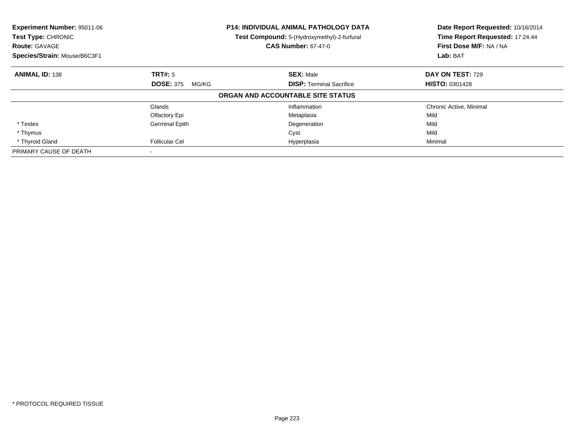| Experiment Number: 95011-06<br><b>Test Type: CHRONIC</b><br><b>Route: GAVAGE</b><br>Species/Strain: Mouse/B6C3F1 |                           | <b>P14: INDIVIDUAL ANIMAL PATHOLOGY DATA</b><br>Test Compound: 5-(Hydroxymethyl)-2-furfural<br><b>CAS Number: 67-47-0</b> | Date Report Requested: 10/16/2014<br>Time Report Requested: 17:24:44<br>First Dose M/F: NA / NA<br>Lab: BAT |
|------------------------------------------------------------------------------------------------------------------|---------------------------|---------------------------------------------------------------------------------------------------------------------------|-------------------------------------------------------------------------------------------------------------|
| <b>ANIMAL ID: 138</b>                                                                                            | <b>TRT#: 5</b>            | <b>SEX: Male</b>                                                                                                          | DAY ON TEST: 729                                                                                            |
|                                                                                                                  | <b>DOSE: 375</b><br>MG/KG | <b>DISP:</b> Terminal Sacrifice                                                                                           | <b>HISTO: 0301428</b>                                                                                       |
|                                                                                                                  |                           | ORGAN AND ACCOUNTABLE SITE STATUS                                                                                         |                                                                                                             |
|                                                                                                                  | Glands                    | Inflammation                                                                                                              | Chronic Active, Minimal                                                                                     |
|                                                                                                                  | Olfactory Epi             | Metaplasia                                                                                                                | Mild                                                                                                        |
| * Testes                                                                                                         | <b>Germinal Epith</b>     | Degeneration                                                                                                              | Mild                                                                                                        |
| * Thymus                                                                                                         |                           | Cyst                                                                                                                      | Mild                                                                                                        |
| * Thyroid Gland                                                                                                  | <b>Follicular Cel</b>     | Hyperplasia                                                                                                               | Minimal                                                                                                     |
| PRIMARY CAUSE OF DEATH                                                                                           |                           |                                                                                                                           |                                                                                                             |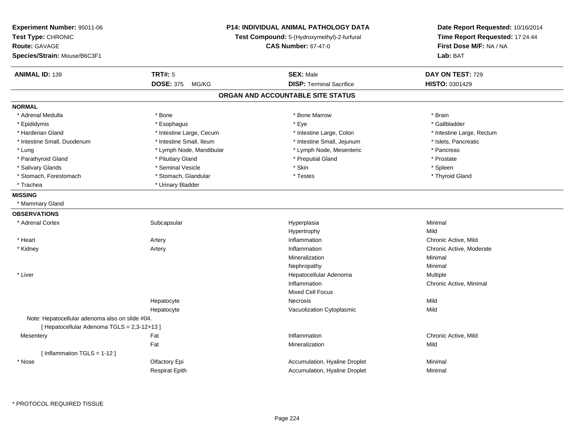| <b>Experiment Number: 95011-06</b><br>Test Type: CHRONIC<br><b>Route: GAVAGE</b><br>Species/Strain: Mouse/B6C3F1 |                           | P14: INDIVIDUAL ANIMAL PATHOLOGY DATA<br>Test Compound: 5-(Hydroxymethyl)-2-furfural<br><b>CAS Number: 67-47-0</b> | Date Report Requested: 10/16/2014<br>Time Report Requested: 17:24:44<br>First Dose M/F: NA / NA<br>Lab: BAT |
|------------------------------------------------------------------------------------------------------------------|---------------------------|--------------------------------------------------------------------------------------------------------------------|-------------------------------------------------------------------------------------------------------------|
| <b>ANIMAL ID: 139</b>                                                                                            | <b>TRT#: 5</b>            | <b>SEX: Male</b>                                                                                                   | DAY ON TEST: 729                                                                                            |
|                                                                                                                  | <b>DOSE: 375</b><br>MG/KG | <b>DISP: Terminal Sacrifice</b>                                                                                    | HISTO: 0301429                                                                                              |
|                                                                                                                  |                           | ORGAN AND ACCOUNTABLE SITE STATUS                                                                                  |                                                                                                             |
| <b>NORMAL</b>                                                                                                    |                           |                                                                                                                    |                                                                                                             |
| * Adrenal Medulla                                                                                                | * Bone                    | * Bone Marrow                                                                                                      | * Brain                                                                                                     |
| * Epididymis                                                                                                     | * Esophagus               | * Eye                                                                                                              | * Gallbladder                                                                                               |
| * Harderian Gland                                                                                                | * Intestine Large, Cecum  | * Intestine Large, Colon                                                                                           | * Intestine Large, Rectum                                                                                   |
| * Intestine Small, Duodenum                                                                                      | * Intestine Small, Ileum  | * Intestine Small, Jejunum                                                                                         | * Islets, Pancreatic                                                                                        |
| * Lung                                                                                                           | * Lymph Node, Mandibular  | * Lymph Node, Mesenteric                                                                                           | * Pancreas                                                                                                  |
| * Parathyroid Gland                                                                                              | * Pituitary Gland         | * Preputial Gland                                                                                                  | * Prostate                                                                                                  |
| * Salivary Glands                                                                                                | * Seminal Vesicle         | * Skin                                                                                                             | * Spleen                                                                                                    |
| * Stomach, Forestomach                                                                                           | * Stomach, Glandular      | * Testes                                                                                                           | * Thyroid Gland                                                                                             |
| * Trachea                                                                                                        | * Urinary Bladder         |                                                                                                                    |                                                                                                             |
| <b>MISSING</b>                                                                                                   |                           |                                                                                                                    |                                                                                                             |
| * Mammary Gland                                                                                                  |                           |                                                                                                                    |                                                                                                             |
| <b>OBSERVATIONS</b>                                                                                              |                           |                                                                                                                    |                                                                                                             |
| * Adrenal Cortex                                                                                                 | Subcapsular               | Hyperplasia                                                                                                        | Minimal                                                                                                     |
|                                                                                                                  |                           | Hypertrophy                                                                                                        | Mild                                                                                                        |
| * Heart                                                                                                          | Artery                    | Inflammation                                                                                                       | Chronic Active, Mild                                                                                        |
| * Kidney                                                                                                         | Artery                    | Inflammation                                                                                                       | Chronic Active, Moderate                                                                                    |
|                                                                                                                  |                           | Mineralization                                                                                                     | Minimal                                                                                                     |
|                                                                                                                  |                           | Nephropathy                                                                                                        | Minimal                                                                                                     |
| * Liver                                                                                                          |                           | Hepatocellular Adenoma                                                                                             | Multiple                                                                                                    |
|                                                                                                                  |                           | Inflammation                                                                                                       | Chronic Active, Minimal                                                                                     |
|                                                                                                                  |                           | <b>Mixed Cell Focus</b>                                                                                            |                                                                                                             |
|                                                                                                                  | Hepatocyte                | <b>Necrosis</b>                                                                                                    | Mild                                                                                                        |
|                                                                                                                  | Hepatocyte                | Vacuolization Cytoplasmic                                                                                          | Mild                                                                                                        |
| Note: Hepatocellular adenoma also on slide #04.                                                                  |                           |                                                                                                                    |                                                                                                             |
| [ Hepatocellular Adenoma TGLS = 2,3-12+13 ]                                                                      |                           |                                                                                                                    |                                                                                                             |
| Mesentery                                                                                                        | Fat                       | Inflammation                                                                                                       | Chronic Active, Mild                                                                                        |
|                                                                                                                  | Fat                       | Mineralization                                                                                                     | Mild                                                                                                        |
| [Inflammation TGLS = $1-12$ ]                                                                                    |                           |                                                                                                                    |                                                                                                             |
| * Nose                                                                                                           | Olfactory Epi             | Accumulation, Hyaline Droplet                                                                                      | Minimal                                                                                                     |
|                                                                                                                  | <b>Respirat Epith</b>     | Accumulation, Hyaline Droplet                                                                                      | Minimal                                                                                                     |

\* PROTOCOL REQUIRED TISSUE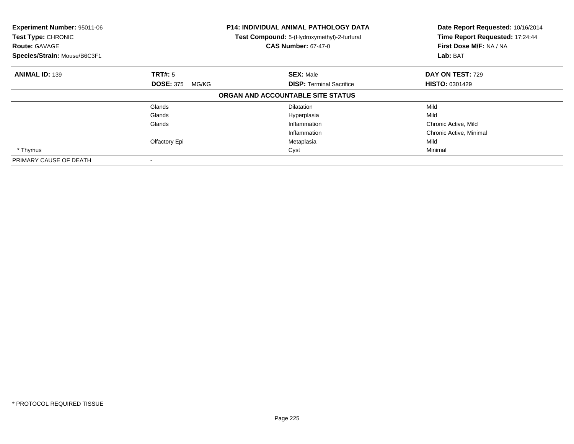| Experiment Number: 95011-06<br>Test Type: CHRONIC<br><b>Route: GAVAGE</b><br>Species/Strain: Mouse/B6C3F1 |                           | P14: INDIVIDUAL ANIMAL PATHOLOGY DATA<br>Test Compound: 5-(Hydroxymethyl)-2-furfural<br><b>CAS Number: 67-47-0</b> | Date Report Requested: 10/16/2014<br>Time Report Requested: 17:24:44<br>First Dose M/F: NA / NA<br>Lab: BAT |
|-----------------------------------------------------------------------------------------------------------|---------------------------|--------------------------------------------------------------------------------------------------------------------|-------------------------------------------------------------------------------------------------------------|
| <b>ANIMAL ID: 139</b>                                                                                     | TRT#: 5                   | <b>SEX: Male</b>                                                                                                   | <b>DAY ON TEST: 729</b>                                                                                     |
|                                                                                                           | <b>DOSE: 375</b><br>MG/KG | <b>DISP:</b> Terminal Sacrifice                                                                                    | <b>HISTO: 0301429</b>                                                                                       |
|                                                                                                           |                           | ORGAN AND ACCOUNTABLE SITE STATUS                                                                                  |                                                                                                             |
|                                                                                                           | Glands                    | <b>Dilatation</b>                                                                                                  | Mild                                                                                                        |
|                                                                                                           | Glands                    | Hyperplasia                                                                                                        | Mild                                                                                                        |
|                                                                                                           | Glands                    | Inflammation                                                                                                       | Chronic Active, Mild                                                                                        |
|                                                                                                           |                           | Inflammation                                                                                                       | Chronic Active, Minimal                                                                                     |
|                                                                                                           | Olfactory Epi             | Metaplasia                                                                                                         | Mild                                                                                                        |
| * Thymus                                                                                                  |                           | Cyst                                                                                                               | Minimal                                                                                                     |
| PRIMARY CAUSE OF DEATH                                                                                    |                           |                                                                                                                    |                                                                                                             |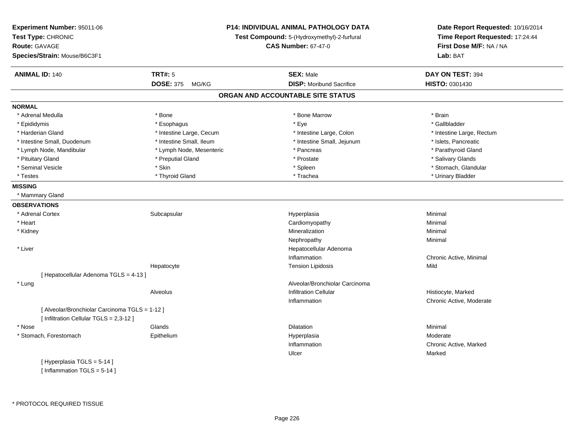| Experiment Number: 95011-06<br>Test Type: CHRONIC<br><b>Route: GAVAGE</b><br>Species/Strain: Mouse/B6C3F1 |                           | P14: INDIVIDUAL ANIMAL PATHOLOGY DATA<br>Test Compound: 5-(Hydroxymethyl)-2-furfural<br><b>CAS Number: 67-47-0</b> | Date Report Requested: 10/16/2014<br>Time Report Requested: 17:24:44<br>First Dose M/F: NA / NA<br>Lab: BAT |
|-----------------------------------------------------------------------------------------------------------|---------------------------|--------------------------------------------------------------------------------------------------------------------|-------------------------------------------------------------------------------------------------------------|
| <b>ANIMAL ID: 140</b>                                                                                     | <b>TRT#: 5</b>            | <b>SEX: Male</b>                                                                                                   | DAY ON TEST: 394                                                                                            |
|                                                                                                           | <b>DOSE: 375</b><br>MG/KG | <b>DISP: Moribund Sacrifice</b>                                                                                    | HISTO: 0301430                                                                                              |
|                                                                                                           |                           | ORGAN AND ACCOUNTABLE SITE STATUS                                                                                  |                                                                                                             |
| <b>NORMAL</b>                                                                                             |                           |                                                                                                                    |                                                                                                             |
| * Adrenal Medulla                                                                                         | * Bone                    | * Bone Marrow                                                                                                      | * Brain                                                                                                     |
| * Epididymis                                                                                              | * Esophagus               | * Eye                                                                                                              | * Gallbladder                                                                                               |
| * Harderian Gland                                                                                         | * Intestine Large, Cecum  | * Intestine Large, Colon                                                                                           | * Intestine Large, Rectum                                                                                   |
| * Intestine Small, Duodenum                                                                               | * Intestine Small, Ileum  | * Intestine Small, Jejunum                                                                                         | * Islets, Pancreatic                                                                                        |
| * Lymph Node, Mandibular                                                                                  | * Lymph Node, Mesenteric  | * Pancreas                                                                                                         | * Parathyroid Gland                                                                                         |
| * Pituitary Gland                                                                                         | * Preputial Gland         | * Prostate                                                                                                         | * Salivary Glands                                                                                           |
| * Seminal Vesicle                                                                                         | * Skin                    | * Spleen                                                                                                           | * Stomach, Glandular                                                                                        |
| * Testes                                                                                                  | * Thyroid Gland           | * Trachea                                                                                                          | * Urinary Bladder                                                                                           |
| <b>MISSING</b>                                                                                            |                           |                                                                                                                    |                                                                                                             |
| * Mammary Gland                                                                                           |                           |                                                                                                                    |                                                                                                             |
| <b>OBSERVATIONS</b>                                                                                       |                           |                                                                                                                    |                                                                                                             |
| * Adrenal Cortex                                                                                          | Subcapsular               | Hyperplasia                                                                                                        | Minimal                                                                                                     |
| * Heart                                                                                                   |                           | Cardiomyopathy                                                                                                     | Minimal                                                                                                     |
| * Kidney                                                                                                  |                           | Mineralization                                                                                                     | Minimal                                                                                                     |
|                                                                                                           |                           | Nephropathy                                                                                                        | Minimal                                                                                                     |
| * Liver                                                                                                   |                           | Hepatocellular Adenoma                                                                                             |                                                                                                             |
|                                                                                                           |                           | Inflammation                                                                                                       | Chronic Active, Minimal                                                                                     |
|                                                                                                           | Hepatocyte                | <b>Tension Lipidosis</b>                                                                                           | Mild                                                                                                        |
| [ Hepatocellular Adenoma TGLS = 4-13 ]                                                                    |                           |                                                                                                                    |                                                                                                             |
| * Lung                                                                                                    |                           | Alveolar/Bronchiolar Carcinoma                                                                                     |                                                                                                             |
|                                                                                                           | Alveolus                  | <b>Infiltration Cellular</b>                                                                                       | Histiocyte, Marked                                                                                          |
|                                                                                                           |                           | Inflammation                                                                                                       | Chronic Active, Moderate                                                                                    |
| [ Alveolar/Bronchiolar Carcinoma TGLS = 1-12 ]                                                            |                           |                                                                                                                    |                                                                                                             |
| [ Infiltration Cellular TGLS = 2,3-12 ]                                                                   |                           |                                                                                                                    |                                                                                                             |
| * Nose                                                                                                    | Glands                    | Dilatation                                                                                                         | Minimal                                                                                                     |
| * Stomach, Forestomach                                                                                    | Epithelium                | Hyperplasia                                                                                                        | Moderate                                                                                                    |
|                                                                                                           |                           | Inflammation                                                                                                       | Chronic Active, Marked                                                                                      |
|                                                                                                           |                           | Ulcer                                                                                                              | Marked                                                                                                      |
| [Hyperplasia TGLS = $5-14$ ]                                                                              |                           |                                                                                                                    |                                                                                                             |

[Inflammation  $TGLS = 5-14$ ]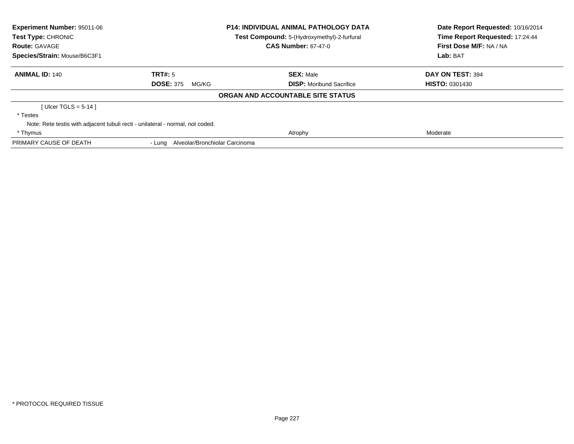| <b>Experiment Number: 95011-06</b><br>Test Type: CHRONIC                       |                                       | <b>P14: INDIVIDUAL ANIMAL PATHOLOGY DATA</b><br>Test Compound: 5-(Hydroxymethyl)-2-furfural | Date Report Requested: 10/16/2014<br>Time Report Requested: 17:24:44 |
|--------------------------------------------------------------------------------|---------------------------------------|---------------------------------------------------------------------------------------------|----------------------------------------------------------------------|
| <b>Route: GAVAGE</b>                                                           |                                       | <b>CAS Number: 67-47-0</b>                                                                  | First Dose M/F: NA / NA                                              |
| Species/Strain: Mouse/B6C3F1                                                   |                                       |                                                                                             | Lab: BAT                                                             |
| <b>ANIMAL ID: 140</b>                                                          | TRT#: 5                               | <b>SEX: Male</b>                                                                            | DAY ON TEST: 394                                                     |
|                                                                                | <b>DOSE: 375</b><br>MG/KG             | <b>DISP:</b> Moribund Sacrifice                                                             | <b>HISTO: 0301430</b>                                                |
|                                                                                |                                       | ORGAN AND ACCOUNTABLE SITE STATUS                                                           |                                                                      |
| [ Ulcer TGLS = $5-14$ ]                                                        |                                       |                                                                                             |                                                                      |
| * Testes                                                                       |                                       |                                                                                             |                                                                      |
| Note: Rete testis with adjacent tubuli recti - unilateral - normal, not coded. |                                       |                                                                                             |                                                                      |
| * Thymus                                                                       |                                       | Atrophy                                                                                     | Moderate                                                             |
| PRIMARY CAUSE OF DEATH                                                         | - Lung Alveolar/Bronchiolar Carcinoma |                                                                                             |                                                                      |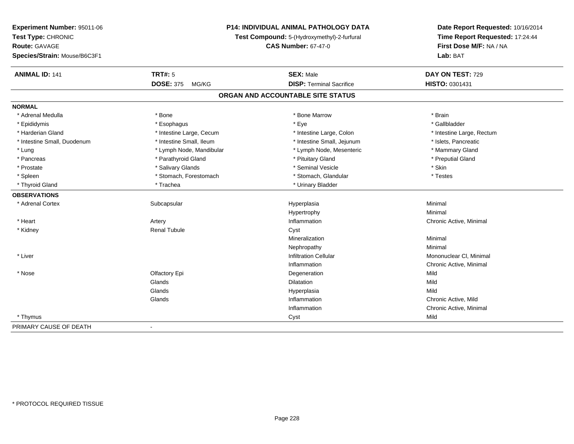| Experiment Number: 95011-06  | <b>P14: INDIVIDUAL ANIMAL PATHOLOGY DATA</b><br>Test Compound: 5-(Hydroxymethyl)-2-furfural<br><b>CAS Number: 67-47-0</b> |                                   | Date Report Requested: 10/16/2014<br>Time Report Requested: 17:24:44<br>First Dose M/F: NA / NA |
|------------------------------|---------------------------------------------------------------------------------------------------------------------------|-----------------------------------|-------------------------------------------------------------------------------------------------|
| Test Type: CHRONIC           |                                                                                                                           |                                   |                                                                                                 |
| <b>Route: GAVAGE</b>         |                                                                                                                           |                                   |                                                                                                 |
| Species/Strain: Mouse/B6C3F1 |                                                                                                                           |                                   | Lab: BAT                                                                                        |
| <b>ANIMAL ID: 141</b>        | <b>TRT#: 5</b>                                                                                                            | <b>SEX: Male</b>                  | DAY ON TEST: 729                                                                                |
|                              | <b>DOSE: 375</b><br>MG/KG                                                                                                 | <b>DISP: Terminal Sacrifice</b>   | HISTO: 0301431                                                                                  |
|                              |                                                                                                                           | ORGAN AND ACCOUNTABLE SITE STATUS |                                                                                                 |
| <b>NORMAL</b>                |                                                                                                                           |                                   |                                                                                                 |
| * Adrenal Medulla            | * Bone                                                                                                                    | * Bone Marrow                     | * Brain                                                                                         |
| * Epididymis                 | * Esophagus                                                                                                               | * Eye                             | * Gallbladder                                                                                   |
| * Harderian Gland            | * Intestine Large, Cecum                                                                                                  | * Intestine Large, Colon          | * Intestine Large, Rectum                                                                       |
| * Intestine Small, Duodenum  | * Intestine Small, Ileum                                                                                                  | * Intestine Small, Jejunum        | * Islets, Pancreatic                                                                            |
| $*$ Lung                     | * Lymph Node, Mandibular                                                                                                  | * Lymph Node, Mesenteric          | * Mammary Gland                                                                                 |
| * Pancreas                   | * Parathyroid Gland                                                                                                       | * Pituitary Gland                 | * Preputial Gland                                                                               |
| * Prostate                   | * Salivary Glands                                                                                                         | * Seminal Vesicle                 | * Skin                                                                                          |
| * Spleen                     | * Stomach, Forestomach                                                                                                    | * Stomach, Glandular              | * Testes                                                                                        |
| * Thyroid Gland              | * Trachea                                                                                                                 | * Urinary Bladder                 |                                                                                                 |
| <b>OBSERVATIONS</b>          |                                                                                                                           |                                   |                                                                                                 |
| * Adrenal Cortex             | Subcapsular                                                                                                               | Hyperplasia                       | Minimal                                                                                         |
|                              |                                                                                                                           | Hypertrophy                       | Minimal                                                                                         |
| * Heart                      | Artery                                                                                                                    | Inflammation                      | Chronic Active, Minimal                                                                         |
| * Kidney                     | <b>Renal Tubule</b>                                                                                                       | Cyst                              |                                                                                                 |
|                              |                                                                                                                           | Mineralization                    | Minimal                                                                                         |
|                              |                                                                                                                           | Nephropathy                       | Minimal                                                                                         |
| * Liver                      |                                                                                                                           | <b>Infiltration Cellular</b>      | Mononuclear CI, Minimal                                                                         |
|                              |                                                                                                                           | Inflammation                      | Chronic Active, Minimal                                                                         |
| * Nose                       | Olfactory Epi                                                                                                             | Degeneration                      | Mild                                                                                            |
|                              | Glands                                                                                                                    | Dilatation                        | Mild                                                                                            |
|                              | Glands                                                                                                                    | Hyperplasia                       | Mild                                                                                            |
|                              | Glands                                                                                                                    | Inflammation                      | Chronic Active, Mild                                                                            |
|                              |                                                                                                                           | Inflammation                      | Chronic Active, Minimal                                                                         |
| * Thymus                     |                                                                                                                           | Cyst                              | Mild                                                                                            |
| PRIMARY CAUSE OF DEATH       |                                                                                                                           |                                   |                                                                                                 |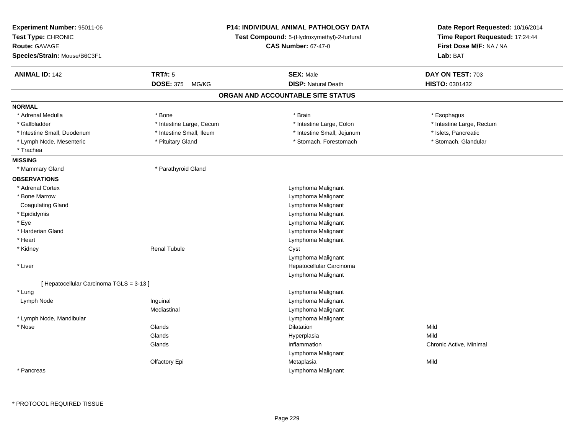| Experiment Number: 95011-06<br>Test Type: CHRONIC<br><b>Route: GAVAGE</b><br>Species/Strain: Mouse/B6C3F1 | P14: INDIVIDUAL ANIMAL PATHOLOGY DATA<br>Test Compound: 5-(Hydroxymethyl)-2-furfural<br><b>CAS Number: 67-47-0</b> |                                   | Date Report Requested: 10/16/2014<br>Time Report Requested: 17:24:44<br>First Dose M/F: NA / NA<br>Lab: BAT |  |
|-----------------------------------------------------------------------------------------------------------|--------------------------------------------------------------------------------------------------------------------|-----------------------------------|-------------------------------------------------------------------------------------------------------------|--|
| <b>ANIMAL ID: 142</b>                                                                                     | <b>TRT#: 5</b>                                                                                                     | <b>SEX: Male</b>                  | DAY ON TEST: 703                                                                                            |  |
|                                                                                                           | <b>DOSE: 375</b><br>MG/KG                                                                                          | <b>DISP: Natural Death</b>        | HISTO: 0301432                                                                                              |  |
|                                                                                                           |                                                                                                                    | ORGAN AND ACCOUNTABLE SITE STATUS |                                                                                                             |  |
| <b>NORMAL</b>                                                                                             |                                                                                                                    |                                   |                                                                                                             |  |
| * Adrenal Medulla                                                                                         | * Bone                                                                                                             | * Brain                           | * Esophagus                                                                                                 |  |
| * Gallbladder                                                                                             | * Intestine Large, Cecum                                                                                           | * Intestine Large, Colon          | * Intestine Large, Rectum                                                                                   |  |
| * Intestine Small, Duodenum                                                                               | * Intestine Small, Ileum                                                                                           | * Intestine Small, Jejunum        | * Islets, Pancreatic                                                                                        |  |
| * Lymph Node, Mesenteric                                                                                  | * Pituitary Gland                                                                                                  | * Stomach, Forestomach            | * Stomach, Glandular                                                                                        |  |
| * Trachea                                                                                                 |                                                                                                                    |                                   |                                                                                                             |  |
| <b>MISSING</b>                                                                                            |                                                                                                                    |                                   |                                                                                                             |  |
| * Mammary Gland                                                                                           | * Parathyroid Gland                                                                                                |                                   |                                                                                                             |  |
| <b>OBSERVATIONS</b>                                                                                       |                                                                                                                    |                                   |                                                                                                             |  |
| * Adrenal Cortex                                                                                          |                                                                                                                    | Lymphoma Malignant                |                                                                                                             |  |
| * Bone Marrow                                                                                             |                                                                                                                    | Lymphoma Malignant                |                                                                                                             |  |
| <b>Coagulating Gland</b>                                                                                  |                                                                                                                    | Lymphoma Malignant                |                                                                                                             |  |
| * Epididymis                                                                                              |                                                                                                                    | Lymphoma Malignant                |                                                                                                             |  |
| * Eye                                                                                                     |                                                                                                                    | Lymphoma Malignant                |                                                                                                             |  |
| * Harderian Gland                                                                                         |                                                                                                                    | Lymphoma Malignant                |                                                                                                             |  |
| * Heart                                                                                                   |                                                                                                                    | Lymphoma Malignant                |                                                                                                             |  |
| * Kidney                                                                                                  | <b>Renal Tubule</b>                                                                                                | Cyst                              |                                                                                                             |  |
|                                                                                                           |                                                                                                                    | Lymphoma Malignant                |                                                                                                             |  |
| * Liver                                                                                                   |                                                                                                                    | Hepatocellular Carcinoma          |                                                                                                             |  |
|                                                                                                           |                                                                                                                    | Lymphoma Malignant                |                                                                                                             |  |
| [ Hepatocellular Carcinoma TGLS = 3-13 ]                                                                  |                                                                                                                    |                                   |                                                                                                             |  |
| * Lung                                                                                                    |                                                                                                                    | Lymphoma Malignant                |                                                                                                             |  |
| Lymph Node                                                                                                | Inguinal                                                                                                           | Lymphoma Malignant                |                                                                                                             |  |
|                                                                                                           | Mediastinal                                                                                                        | Lymphoma Malignant                |                                                                                                             |  |
| * Lymph Node, Mandibular                                                                                  |                                                                                                                    | Lymphoma Malignant                |                                                                                                             |  |
| * Nose                                                                                                    | Glands                                                                                                             | <b>Dilatation</b>                 | Mild                                                                                                        |  |
|                                                                                                           | Glands                                                                                                             | Hyperplasia                       | Mild                                                                                                        |  |
|                                                                                                           | Glands                                                                                                             | Inflammation                      | Chronic Active, Minimal                                                                                     |  |
|                                                                                                           |                                                                                                                    | Lymphoma Malignant                |                                                                                                             |  |
|                                                                                                           | Olfactory Epi                                                                                                      | Metaplasia                        | Mild                                                                                                        |  |
| * Pancreas                                                                                                |                                                                                                                    | Lymphoma Malignant                |                                                                                                             |  |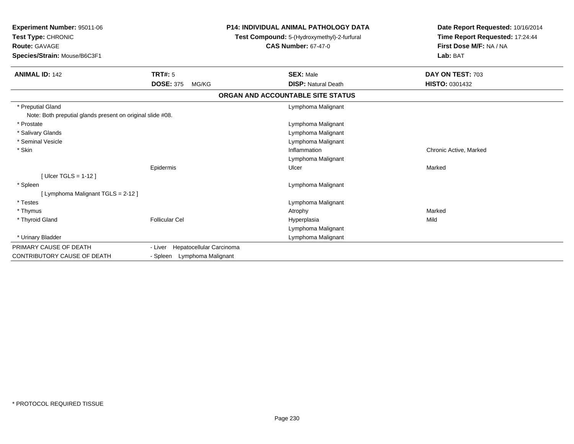| Experiment Number: 95011-06<br>Test Type: CHRONIC<br><b>Route: GAVAGE</b><br>Species/Strain: Mouse/B6C3F1 |                                     | P14: INDIVIDUAL ANIMAL PATHOLOGY DATA<br>Test Compound: 5-(Hydroxymethyl)-2-furfural<br><b>CAS Number: 67-47-0</b> | Date Report Requested: 10/16/2014<br>Time Report Requested: 17:24:44<br>First Dose M/F: NA / NA<br>Lab: BAT |
|-----------------------------------------------------------------------------------------------------------|-------------------------------------|--------------------------------------------------------------------------------------------------------------------|-------------------------------------------------------------------------------------------------------------|
| <b>ANIMAL ID: 142</b>                                                                                     | TRT#: 5                             | <b>SEX: Male</b>                                                                                                   | DAY ON TEST: 703                                                                                            |
|                                                                                                           | <b>DOSE: 375</b><br>MG/KG           | <b>DISP: Natural Death</b>                                                                                         | HISTO: 0301432                                                                                              |
|                                                                                                           |                                     | ORGAN AND ACCOUNTABLE SITE STATUS                                                                                  |                                                                                                             |
| * Preputial Gland                                                                                         |                                     | Lymphoma Malignant                                                                                                 |                                                                                                             |
| Note: Both preputial glands present on original slide #08.                                                |                                     |                                                                                                                    |                                                                                                             |
| * Prostate                                                                                                |                                     | Lymphoma Malignant                                                                                                 |                                                                                                             |
| * Salivary Glands                                                                                         |                                     | Lymphoma Malignant                                                                                                 |                                                                                                             |
| * Seminal Vesicle                                                                                         |                                     | Lymphoma Malignant                                                                                                 |                                                                                                             |
| * Skin                                                                                                    |                                     | Inflammation                                                                                                       | Chronic Active, Marked                                                                                      |
|                                                                                                           |                                     | Lymphoma Malignant                                                                                                 |                                                                                                             |
|                                                                                                           | Epidermis                           | Ulcer                                                                                                              | Marked                                                                                                      |
| [ Ulcer TGLS = $1-12$ ]                                                                                   |                                     |                                                                                                                    |                                                                                                             |
| * Spleen                                                                                                  |                                     | Lymphoma Malignant                                                                                                 |                                                                                                             |
| [ Lymphoma Malignant TGLS = 2-12 ]                                                                        |                                     |                                                                                                                    |                                                                                                             |
| * Testes                                                                                                  |                                     | Lymphoma Malignant                                                                                                 |                                                                                                             |
| * Thymus                                                                                                  |                                     | Atrophy                                                                                                            | Marked                                                                                                      |
| * Thyroid Gland                                                                                           | <b>Follicular Cel</b>               | Hyperplasia                                                                                                        | Mild                                                                                                        |
|                                                                                                           |                                     | Lymphoma Malignant                                                                                                 |                                                                                                             |
| * Urinary Bladder                                                                                         |                                     | Lymphoma Malignant                                                                                                 |                                                                                                             |
| PRIMARY CAUSE OF DEATH                                                                                    | Hepatocellular Carcinoma<br>- Liver |                                                                                                                    |                                                                                                             |
| <b>CONTRIBUTORY CAUSE OF DEATH</b>                                                                        | - Spleen Lymphoma Malignant         |                                                                                                                    |                                                                                                             |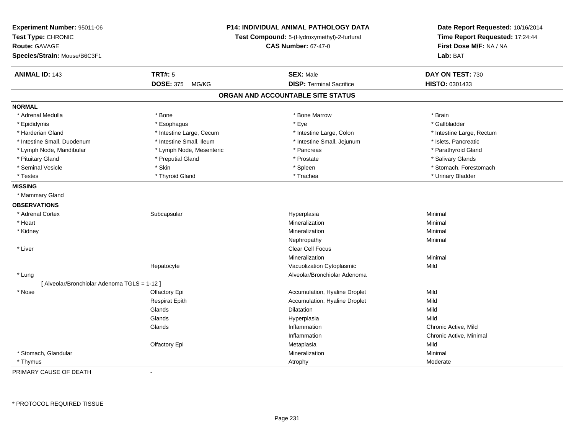| Experiment Number: 95011-06<br>Test Type: CHRONIC<br><b>Route: GAVAGE</b><br>Species/Strain: Mouse/B6C3F1 |                           | P14: INDIVIDUAL ANIMAL PATHOLOGY DATA<br>Test Compound: 5-(Hydroxymethyl)-2-furfural<br><b>CAS Number: 67-47-0</b> |                           |
|-----------------------------------------------------------------------------------------------------------|---------------------------|--------------------------------------------------------------------------------------------------------------------|---------------------------|
| <b>ANIMAL ID: 143</b>                                                                                     | <b>TRT#: 5</b>            | <b>SEX: Male</b>                                                                                                   | DAY ON TEST: 730          |
|                                                                                                           | <b>DOSE: 375</b><br>MG/KG | <b>DISP: Terminal Sacrifice</b>                                                                                    | HISTO: 0301433            |
|                                                                                                           |                           | ORGAN AND ACCOUNTABLE SITE STATUS                                                                                  |                           |
| <b>NORMAL</b>                                                                                             |                           |                                                                                                                    |                           |
| * Adrenal Medulla                                                                                         | * Bone                    | * Bone Marrow                                                                                                      | * Brain                   |
| * Epididymis                                                                                              | * Esophagus               | * Eye                                                                                                              | * Gallbladder             |
| * Harderian Gland                                                                                         | * Intestine Large, Cecum  | * Intestine Large, Colon                                                                                           | * Intestine Large, Rectum |
| * Intestine Small, Duodenum                                                                               | * Intestine Small, Ileum  | * Intestine Small, Jejunum                                                                                         | * Islets, Pancreatic      |
| * Lymph Node, Mandibular                                                                                  | * Lymph Node, Mesenteric  | * Pancreas                                                                                                         | * Parathyroid Gland       |
| * Pituitary Gland                                                                                         | * Preputial Gland         | * Prostate                                                                                                         | * Salivary Glands         |
| * Seminal Vesicle                                                                                         | * Skin                    | * Spleen                                                                                                           | * Stomach, Forestomach    |
| * Testes                                                                                                  | * Thyroid Gland           | * Trachea                                                                                                          | * Urinary Bladder         |
| <b>MISSING</b>                                                                                            |                           |                                                                                                                    |                           |
| * Mammary Gland                                                                                           |                           |                                                                                                                    |                           |
| <b>OBSERVATIONS</b>                                                                                       |                           |                                                                                                                    |                           |
| * Adrenal Cortex                                                                                          | Subcapsular               | Hyperplasia                                                                                                        | Minimal                   |
| * Heart                                                                                                   |                           | Mineralization                                                                                                     | Minimal                   |
| * Kidney                                                                                                  |                           | Mineralization                                                                                                     | Minimal                   |
|                                                                                                           |                           | Nephropathy                                                                                                        | Minimal                   |
| * Liver                                                                                                   |                           | <b>Clear Cell Focus</b>                                                                                            |                           |
|                                                                                                           |                           | Mineralization                                                                                                     | Minimal                   |
|                                                                                                           | Hepatocyte                | Vacuolization Cytoplasmic                                                                                          | Mild                      |
| * Lung                                                                                                    |                           | Alveolar/Bronchiolar Adenoma                                                                                       |                           |
| [ Alveolar/Bronchiolar Adenoma TGLS = 1-12 ]                                                              |                           |                                                                                                                    |                           |
| * Nose                                                                                                    | Olfactory Epi             | Accumulation, Hyaline Droplet                                                                                      | Mild                      |
|                                                                                                           | <b>Respirat Epith</b>     | Accumulation, Hyaline Droplet                                                                                      | Mild                      |
|                                                                                                           | Glands                    | Dilatation                                                                                                         | Mild                      |
|                                                                                                           | Glands                    | Hyperplasia                                                                                                        | Mild                      |
|                                                                                                           | Glands                    | Inflammation                                                                                                       | Chronic Active, Mild      |
|                                                                                                           |                           | Inflammation                                                                                                       | Chronic Active, Minimal   |
|                                                                                                           | Olfactory Epi             | Metaplasia                                                                                                         | Mild                      |
| * Stomach, Glandular                                                                                      |                           | Mineralization                                                                                                     | Minimal                   |
| * Thymus                                                                                                  |                           | Atrophy                                                                                                            | Moderate                  |

PRIMARY CAUSE OF DEATH-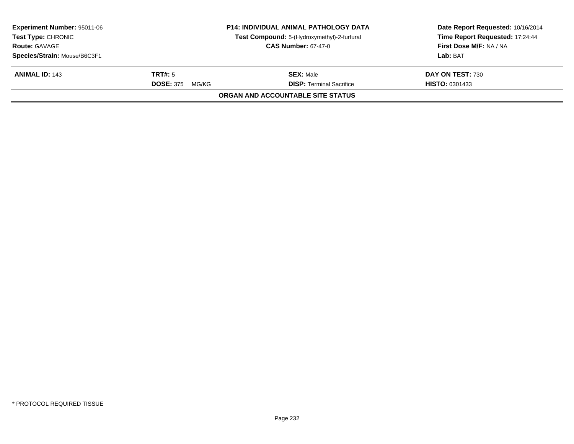| <b>Experiment Number: 95011-06</b><br><b>Test Type: CHRONIC</b><br><b>Route: GAVAGE</b> |                           | <b>P14: INDIVIDUAL ANIMAL PATHOLOGY DATA</b><br>Test Compound: 5-(Hydroxymethyl)-2-furfural | Date Report Requested: 10/16/2014<br>Time Report Requested: 17:24:44<br>First Dose M/F: NA / NA |
|-----------------------------------------------------------------------------------------|---------------------------|---------------------------------------------------------------------------------------------|-------------------------------------------------------------------------------------------------|
|                                                                                         |                           | <b>CAS Number: 67-47-0</b>                                                                  |                                                                                                 |
| Species/Strain: Mouse/B6C3F1                                                            |                           |                                                                                             | Lab: BAT                                                                                        |
| <b>ANIMAL ID: 143</b>                                                                   | <b>TRT#:</b> 5            | <b>SEX: Male</b>                                                                            | DAY ON TEST: 730                                                                                |
|                                                                                         | <b>DOSE: 375</b><br>MG/KG | <b>DISP: Terminal Sacrifice</b>                                                             | <b>HISTO: 0301433</b>                                                                           |
|                                                                                         |                           | ORGAN AND ACCOUNTABLE SITE STATUS                                                           |                                                                                                 |
|                                                                                         |                           |                                                                                             |                                                                                                 |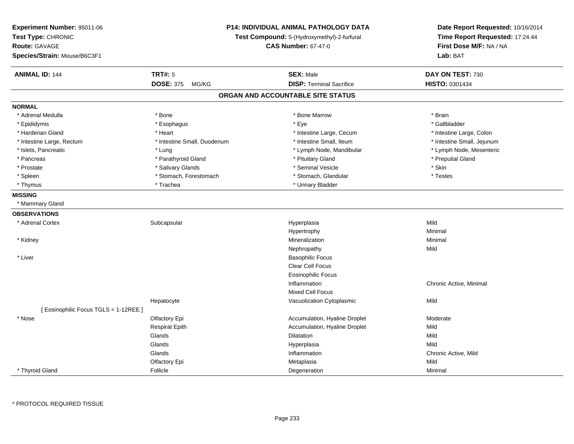| Experiment Number: 95011-06<br>Test Type: CHRONIC<br><b>Route: GAVAGE</b><br>Species/Strain: Mouse/B6C3F1 | P14: INDIVIDUAL ANIMAL PATHOLOGY DATA<br>Test Compound: 5-(Hydroxymethyl)-2-furfural<br><b>CAS Number: 67-47-0</b> |                                   | Date Report Requested: 10/16/2014<br>Time Report Requested: 17:24:44<br>First Dose M/F: NA / NA<br>Lab: BAT |
|-----------------------------------------------------------------------------------------------------------|--------------------------------------------------------------------------------------------------------------------|-----------------------------------|-------------------------------------------------------------------------------------------------------------|
| <b>ANIMAL ID: 144</b>                                                                                     | <b>TRT#: 5</b>                                                                                                     | <b>SEX: Male</b>                  | DAY ON TEST: 730                                                                                            |
|                                                                                                           | <b>DOSE: 375</b><br>MG/KG                                                                                          | <b>DISP: Terminal Sacrifice</b>   | HISTO: 0301434                                                                                              |
|                                                                                                           |                                                                                                                    | ORGAN AND ACCOUNTABLE SITE STATUS |                                                                                                             |
| <b>NORMAL</b>                                                                                             |                                                                                                                    |                                   |                                                                                                             |
| * Adrenal Medulla                                                                                         | * Bone                                                                                                             | * Bone Marrow                     | * Brain                                                                                                     |
| * Epididymis                                                                                              | * Esophagus                                                                                                        | * Eye                             | * Gallbladder                                                                                               |
| * Harderian Gland                                                                                         | * Heart                                                                                                            | * Intestine Large, Cecum          | * Intestine Large, Colon                                                                                    |
| * Intestine Large, Rectum                                                                                 | * Intestine Small, Duodenum                                                                                        | * Intestine Small, Ileum          | * Intestine Small, Jejunum                                                                                  |
| * Islets, Pancreatic                                                                                      | * Lung                                                                                                             | * Lymph Node, Mandibular          | * Lymph Node, Mesenteric                                                                                    |
| * Pancreas                                                                                                | * Parathyroid Gland                                                                                                | * Pituitary Gland                 | * Preputial Gland                                                                                           |
| * Prostate                                                                                                | * Salivary Glands                                                                                                  | * Seminal Vesicle                 | * Skin                                                                                                      |
| * Spleen                                                                                                  | * Stomach, Forestomach                                                                                             | * Stomach, Glandular              | * Testes                                                                                                    |
| * Thymus                                                                                                  | * Trachea                                                                                                          | * Urinary Bladder                 |                                                                                                             |
| <b>MISSING</b>                                                                                            |                                                                                                                    |                                   |                                                                                                             |
| * Mammary Gland                                                                                           |                                                                                                                    |                                   |                                                                                                             |
| <b>OBSERVATIONS</b>                                                                                       |                                                                                                                    |                                   |                                                                                                             |
| * Adrenal Cortex                                                                                          | Subcapsular                                                                                                        | Hyperplasia                       | Mild                                                                                                        |
|                                                                                                           |                                                                                                                    | Hypertrophy                       | Minimal                                                                                                     |
| * Kidney                                                                                                  |                                                                                                                    | Mineralization                    | Minimal                                                                                                     |
|                                                                                                           |                                                                                                                    | Nephropathy                       | Mild                                                                                                        |
| * Liver                                                                                                   |                                                                                                                    | <b>Basophilic Focus</b>           |                                                                                                             |
|                                                                                                           |                                                                                                                    | Clear Cell Focus                  |                                                                                                             |
|                                                                                                           |                                                                                                                    | <b>Eosinophilic Focus</b>         |                                                                                                             |
|                                                                                                           |                                                                                                                    | Inflammation                      | Chronic Active, Minimal                                                                                     |
|                                                                                                           |                                                                                                                    | <b>Mixed Cell Focus</b>           |                                                                                                             |
|                                                                                                           | Hepatocyte                                                                                                         | Vacuolization Cytoplasmic         | Mild                                                                                                        |
| [ Eosinophilic Focus TGLS = 1-12REE ]                                                                     |                                                                                                                    |                                   |                                                                                                             |
| * Nose                                                                                                    | Olfactory Epi                                                                                                      | Accumulation, Hyaline Droplet     | Moderate                                                                                                    |
|                                                                                                           | <b>Respirat Epith</b>                                                                                              | Accumulation, Hyaline Droplet     | Mild                                                                                                        |
|                                                                                                           | Glands                                                                                                             | Dilatation                        | Mild                                                                                                        |
|                                                                                                           | Glands                                                                                                             | Hyperplasia                       | Mild                                                                                                        |
|                                                                                                           | Glands                                                                                                             | Inflammation                      | Chronic Active, Mild                                                                                        |
|                                                                                                           | Olfactory Epi                                                                                                      | Metaplasia                        | Mild                                                                                                        |
| * Thyroid Gland                                                                                           | Follicle                                                                                                           | Degeneration                      | Minimal                                                                                                     |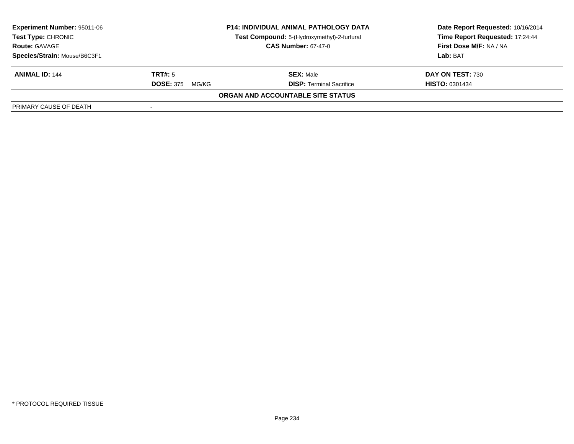| <b>Experiment Number: 95011-06</b><br><b>Test Type: CHRONIC</b><br><b>Route: GAVAGE</b><br>Species/Strain: Mouse/B6C3F1 | <b>P14: INDIVIDUAL ANIMAL PATHOLOGY DATA</b><br>Test Compound: 5-(Hydroxymethyl)-2-furfural<br><b>CAS Number: 67-47-0</b> |                                                     | Date Report Requested: 10/16/2014<br>Time Report Requested: 17:24:44<br>First Dose M/F: NA / NA<br>Lab: BAT |
|-------------------------------------------------------------------------------------------------------------------------|---------------------------------------------------------------------------------------------------------------------------|-----------------------------------------------------|-------------------------------------------------------------------------------------------------------------|
| <b>ANIMAL ID: 144</b>                                                                                                   | TRT#: 5<br><b>DOSE: 375</b><br>MG/KG                                                                                      | <b>SEX: Male</b><br><b>DISP:</b> Terminal Sacrifice | DAY ON TEST: 730<br><b>HISTO: 0301434</b>                                                                   |
|                                                                                                                         |                                                                                                                           | ORGAN AND ACCOUNTABLE SITE STATUS                   |                                                                                                             |
| PRIMARY CAUSE OF DEATH                                                                                                  |                                                                                                                           |                                                     |                                                                                                             |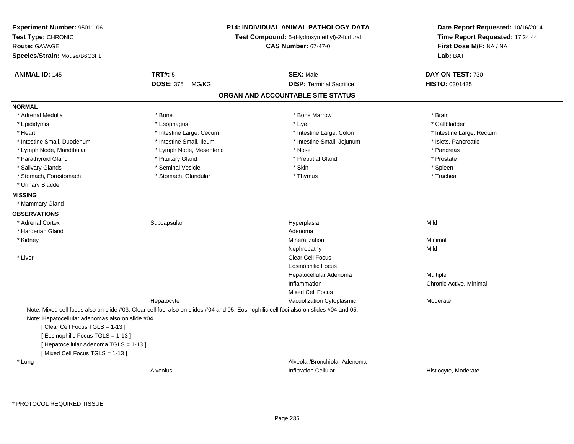| Experiment Number: 95011-06<br>Test Type: CHRONIC<br><b>Route: GAVAGE</b><br>Species/Strain: Mouse/B6C3F1                                                                                            |                                   | <b>P14: INDIVIDUAL ANIMAL PATHOLOGY DATA</b><br>Test Compound: 5-(Hydroxymethyl)-2-furfural<br><b>CAS Number: 67-47-0</b>              | Date Report Requested: 10/16/2014<br>Time Report Requested: 17:24:44<br>First Dose M/F: NA / NA<br>Lab: BAT |  |
|------------------------------------------------------------------------------------------------------------------------------------------------------------------------------------------------------|-----------------------------------|----------------------------------------------------------------------------------------------------------------------------------------|-------------------------------------------------------------------------------------------------------------|--|
| <b>ANIMAL ID: 145</b>                                                                                                                                                                                | <b>TRT#: 5</b><br>DOSE: 375 MG/KG | <b>SEX: Male</b><br><b>DISP: Terminal Sacrifice</b>                                                                                    | DAY ON TEST: 730<br>HISTO: 0301435                                                                          |  |
|                                                                                                                                                                                                      |                                   | ORGAN AND ACCOUNTABLE SITE STATUS                                                                                                      |                                                                                                             |  |
|                                                                                                                                                                                                      |                                   |                                                                                                                                        |                                                                                                             |  |
| <b>NORMAL</b><br>* Adrenal Medulla                                                                                                                                                                   | * Bone                            | * Bone Marrow                                                                                                                          | * Brain                                                                                                     |  |
| * Epididymis                                                                                                                                                                                         | * Esophagus                       | * Eye                                                                                                                                  | * Gallbladder                                                                                               |  |
| * Heart                                                                                                                                                                                              | * Intestine Large, Cecum          | * Intestine Large, Colon                                                                                                               | * Intestine Large, Rectum                                                                                   |  |
| * Intestine Small, Duodenum                                                                                                                                                                          | * Intestine Small, Ileum          | * Intestine Small, Jejunum                                                                                                             | * Islets, Pancreatic                                                                                        |  |
| * Lymph Node, Mandibular                                                                                                                                                                             | * Lymph Node, Mesenteric          | * Nose                                                                                                                                 | * Pancreas                                                                                                  |  |
| * Parathyroid Gland                                                                                                                                                                                  | * Pituitary Gland                 | * Preputial Gland                                                                                                                      | * Prostate                                                                                                  |  |
| * Salivary Glands                                                                                                                                                                                    | * Seminal Vesicle                 | * Skin                                                                                                                                 | * Spleen                                                                                                    |  |
| * Stomach, Forestomach                                                                                                                                                                               | * Stomach, Glandular              | * Thymus                                                                                                                               | * Trachea                                                                                                   |  |
| * Urinary Bladder                                                                                                                                                                                    |                                   |                                                                                                                                        |                                                                                                             |  |
| <b>MISSING</b>                                                                                                                                                                                       |                                   |                                                                                                                                        |                                                                                                             |  |
| * Mammary Gland                                                                                                                                                                                      |                                   |                                                                                                                                        |                                                                                                             |  |
| <b>OBSERVATIONS</b>                                                                                                                                                                                  |                                   |                                                                                                                                        |                                                                                                             |  |
| * Adrenal Cortex                                                                                                                                                                                     | Subcapsular                       | Hyperplasia                                                                                                                            | Mild                                                                                                        |  |
| * Harderian Gland                                                                                                                                                                                    |                                   | Adenoma                                                                                                                                |                                                                                                             |  |
| * Kidney                                                                                                                                                                                             |                                   | Mineralization                                                                                                                         | Minimal                                                                                                     |  |
|                                                                                                                                                                                                      |                                   | Nephropathy                                                                                                                            | Mild                                                                                                        |  |
| * Liver                                                                                                                                                                                              |                                   | <b>Clear Cell Focus</b>                                                                                                                |                                                                                                             |  |
|                                                                                                                                                                                                      |                                   | Eosinophilic Focus                                                                                                                     |                                                                                                             |  |
|                                                                                                                                                                                                      |                                   | Hepatocellular Adenoma                                                                                                                 | <b>Multiple</b>                                                                                             |  |
|                                                                                                                                                                                                      |                                   | Inflammation                                                                                                                           | Chronic Active, Minimal                                                                                     |  |
|                                                                                                                                                                                                      |                                   | <b>Mixed Cell Focus</b>                                                                                                                |                                                                                                             |  |
|                                                                                                                                                                                                      | Hepatocyte                        | Vacuolization Cytoplasmic                                                                                                              | Moderate                                                                                                    |  |
|                                                                                                                                                                                                      |                                   | Note: Mixed cell focus also on slide #03. Clear cell foci also on slides #04 and 05. Eosinophilic cell foci also on slides #04 and 05. |                                                                                                             |  |
| Note: Hepatocellular adenomas also on slide #04.<br>[Clear Cell Focus TGLS = 1-13]<br>[ Eosinophilic Focus TGLS = 1-13 ]<br>[ Hepatocellular Adenoma TGLS = 1-13 ]<br>[Mixed Cell Focus TGLS = 1-13] |                                   |                                                                                                                                        |                                                                                                             |  |
| * Lung                                                                                                                                                                                               |                                   | Alveolar/Bronchiolar Adenoma                                                                                                           |                                                                                                             |  |
|                                                                                                                                                                                                      | Alveolus                          | <b>Infiltration Cellular</b>                                                                                                           | Histiocyte, Moderate                                                                                        |  |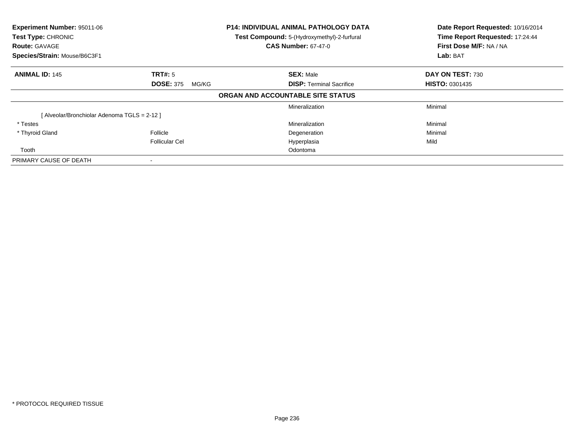| Experiment Number: 95011-06<br>Test Type: CHRONIC<br><b>Route: GAVAGE</b><br>Species/Strain: Mouse/B6C3F1 |                           | <b>P14: INDIVIDUAL ANIMAL PATHOLOGY DATA</b><br>Test Compound: 5-(Hydroxymethyl)-2-furfural<br><b>CAS Number: 67-47-0</b> | Date Report Requested: 10/16/2014<br>Time Report Requested: 17:24:44<br>First Dose M/F: NA / NA<br>Lab: BAT |  |
|-----------------------------------------------------------------------------------------------------------|---------------------------|---------------------------------------------------------------------------------------------------------------------------|-------------------------------------------------------------------------------------------------------------|--|
| <b>ANIMAL ID: 145</b>                                                                                     | <b>TRT#: 5</b>            | <b>SEX: Male</b>                                                                                                          | <b>DAY ON TEST: 730</b>                                                                                     |  |
|                                                                                                           | <b>DOSE: 375</b><br>MG/KG | <b>DISP:</b> Terminal Sacrifice                                                                                           | <b>HISTO: 0301435</b>                                                                                       |  |
|                                                                                                           |                           | ORGAN AND ACCOUNTABLE SITE STATUS                                                                                         |                                                                                                             |  |
|                                                                                                           |                           | Mineralization                                                                                                            | Minimal                                                                                                     |  |
| [Alveolar/Bronchiolar Adenoma TGLS = 2-12]                                                                |                           |                                                                                                                           |                                                                                                             |  |
| * Testes                                                                                                  |                           | Mineralization                                                                                                            | Minimal                                                                                                     |  |
| * Thyroid Gland                                                                                           | Follicle                  | Degeneration                                                                                                              | Minimal                                                                                                     |  |
|                                                                                                           | <b>Follicular Cel</b>     | Hyperplasia                                                                                                               | Mild                                                                                                        |  |
| Tooth                                                                                                     |                           | Odontoma                                                                                                                  |                                                                                                             |  |
| PRIMARY CAUSE OF DEATH                                                                                    |                           |                                                                                                                           |                                                                                                             |  |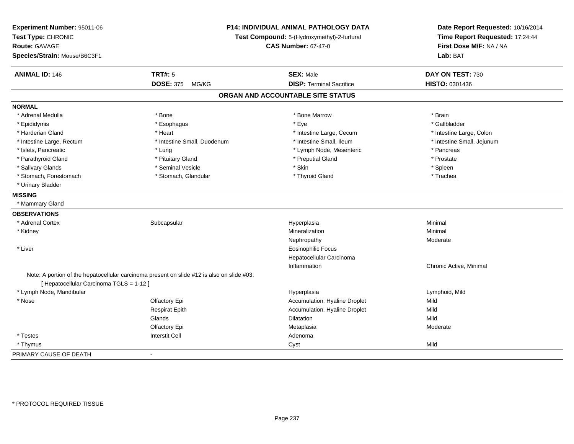| Experiment Number: 95011-06<br>Test Type: CHRONIC<br><b>Route: GAVAGE</b><br>Species/Strain: Mouse/B6C3F1 |                                                                                            | P14: INDIVIDUAL ANIMAL PATHOLOGY DATA<br>Test Compound: 5-(Hydroxymethyl)-2-furfural<br><b>CAS Number: 67-47-0</b> |                            |
|-----------------------------------------------------------------------------------------------------------|--------------------------------------------------------------------------------------------|--------------------------------------------------------------------------------------------------------------------|----------------------------|
| <b>ANIMAL ID: 146</b>                                                                                     | <b>TRT#: 5</b>                                                                             | <b>SEX: Male</b>                                                                                                   | DAY ON TEST: 730           |
|                                                                                                           | <b>DOSE: 375</b><br>MG/KG                                                                  | <b>DISP: Terminal Sacrifice</b>                                                                                    | HISTO: 0301436             |
|                                                                                                           |                                                                                            | ORGAN AND ACCOUNTABLE SITE STATUS                                                                                  |                            |
| <b>NORMAL</b>                                                                                             |                                                                                            |                                                                                                                    |                            |
| * Adrenal Medulla                                                                                         | * Bone                                                                                     | * Bone Marrow                                                                                                      | * Brain                    |
| * Epididymis                                                                                              | * Esophagus                                                                                | * Eye                                                                                                              | * Gallbladder              |
| * Harderian Gland                                                                                         | * Heart                                                                                    | * Intestine Large, Cecum                                                                                           | * Intestine Large, Colon   |
| * Intestine Large, Rectum                                                                                 | * Intestine Small, Duodenum                                                                | * Intestine Small, Ileum                                                                                           | * Intestine Small, Jejunum |
| * Islets, Pancreatic                                                                                      | * Lung                                                                                     | * Lymph Node, Mesenteric                                                                                           | * Pancreas                 |
| * Parathyroid Gland                                                                                       | * Pituitary Gland                                                                          | * Preputial Gland                                                                                                  | * Prostate                 |
| * Salivary Glands                                                                                         | * Seminal Vesicle                                                                          | * Skin                                                                                                             | * Spleen                   |
| * Stomach, Forestomach                                                                                    | * Stomach, Glandular                                                                       | * Thyroid Gland                                                                                                    | * Trachea                  |
| * Urinary Bladder                                                                                         |                                                                                            |                                                                                                                    |                            |
| <b>MISSING</b>                                                                                            |                                                                                            |                                                                                                                    |                            |
| * Mammary Gland                                                                                           |                                                                                            |                                                                                                                    |                            |
| <b>OBSERVATIONS</b>                                                                                       |                                                                                            |                                                                                                                    |                            |
| * Adrenal Cortex                                                                                          | Subcapsular                                                                                | Hyperplasia                                                                                                        | Minimal                    |
| * Kidney                                                                                                  |                                                                                            | Mineralization                                                                                                     | Minimal                    |
|                                                                                                           |                                                                                            | Nephropathy                                                                                                        | Moderate                   |
| * Liver                                                                                                   |                                                                                            | <b>Eosinophilic Focus</b>                                                                                          |                            |
|                                                                                                           |                                                                                            | Hepatocellular Carcinoma                                                                                           |                            |
|                                                                                                           |                                                                                            | Inflammation                                                                                                       | Chronic Active, Minimal    |
| [ Hepatocellular Carcinoma TGLS = 1-12 ]                                                                  | Note: A portion of the hepatocellular carcinoma present on slide #12 is also on slide #03. |                                                                                                                    |                            |
| * Lymph Node, Mandibular                                                                                  |                                                                                            | Hyperplasia                                                                                                        | Lymphoid, Mild             |
| * Nose                                                                                                    | Olfactory Epi                                                                              | Accumulation, Hyaline Droplet                                                                                      | Mild                       |
|                                                                                                           | <b>Respirat Epith</b>                                                                      | Accumulation, Hyaline Droplet                                                                                      | Mild                       |
|                                                                                                           | Glands                                                                                     | <b>Dilatation</b>                                                                                                  | Mild                       |
|                                                                                                           | Olfactory Epi                                                                              | Metaplasia                                                                                                         | Moderate                   |
| * Testes                                                                                                  | <b>Interstit Cell</b>                                                                      | Adenoma                                                                                                            |                            |
| * Thymus                                                                                                  |                                                                                            | Cyst                                                                                                               | Mild                       |
| PRIMARY CAUSE OF DEATH                                                                                    | $\overline{\phantom{a}}$                                                                   |                                                                                                                    |                            |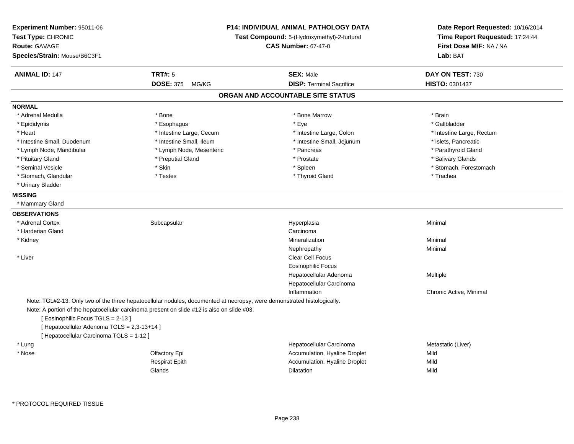| Experiment Number: 95011-06<br>Test Type: CHRONIC<br><b>Route: GAVAGE</b><br>Species/Strain: Mouse/B6C3F1                   | <b>P14: INDIVIDUAL ANIMAL PATHOLOGY DATA</b><br>Test Compound: 5-(Hydroxymethyl)-2-furfural<br><b>CAS Number: 67-47-0</b>                                                                                             |                                   | Date Report Requested: 10/16/2014<br>Time Report Requested: 17:24:44<br>First Dose M/F: NA / NA<br>Lab: BAT |
|-----------------------------------------------------------------------------------------------------------------------------|-----------------------------------------------------------------------------------------------------------------------------------------------------------------------------------------------------------------------|-----------------------------------|-------------------------------------------------------------------------------------------------------------|
| <b>ANIMAL ID: 147</b>                                                                                                       | <b>TRT#: 5</b>                                                                                                                                                                                                        | <b>SEX: Male</b>                  | DAY ON TEST: 730                                                                                            |
|                                                                                                                             | DOSE: 375 MG/KG                                                                                                                                                                                                       | <b>DISP: Terminal Sacrifice</b>   | HISTO: 0301437                                                                                              |
|                                                                                                                             |                                                                                                                                                                                                                       | ORGAN AND ACCOUNTABLE SITE STATUS |                                                                                                             |
| <b>NORMAL</b>                                                                                                               |                                                                                                                                                                                                                       |                                   |                                                                                                             |
| * Adrenal Medulla                                                                                                           | * Bone                                                                                                                                                                                                                | * Bone Marrow                     | * Brain                                                                                                     |
| * Epididymis                                                                                                                | * Esophagus                                                                                                                                                                                                           | * Eye                             | * Gallbladder                                                                                               |
| * Heart                                                                                                                     | * Intestine Large, Cecum                                                                                                                                                                                              | * Intestine Large, Colon          | * Intestine Large, Rectum                                                                                   |
| * Intestine Small, Duodenum                                                                                                 | * Intestine Small, Ileum                                                                                                                                                                                              | * Intestine Small, Jejunum        | * Islets, Pancreatic                                                                                        |
| * Lymph Node, Mandibular                                                                                                    | * Lymph Node, Mesenteric                                                                                                                                                                                              | * Pancreas                        | * Parathyroid Gland                                                                                         |
| * Pituitary Gland                                                                                                           | * Preputial Gland                                                                                                                                                                                                     | * Prostate                        | * Salivary Glands                                                                                           |
| * Seminal Vesicle                                                                                                           | * Skin                                                                                                                                                                                                                | * Spleen                          | * Stomach, Forestomach                                                                                      |
| * Stomach, Glandular                                                                                                        | * Testes                                                                                                                                                                                                              | * Thyroid Gland                   | * Trachea                                                                                                   |
| * Urinary Bladder                                                                                                           |                                                                                                                                                                                                                       |                                   |                                                                                                             |
| <b>MISSING</b>                                                                                                              |                                                                                                                                                                                                                       |                                   |                                                                                                             |
| * Mammary Gland                                                                                                             |                                                                                                                                                                                                                       |                                   |                                                                                                             |
| <b>OBSERVATIONS</b>                                                                                                         |                                                                                                                                                                                                                       |                                   |                                                                                                             |
| * Adrenal Cortex                                                                                                            | Subcapsular                                                                                                                                                                                                           | Hyperplasia                       | Minimal                                                                                                     |
| * Harderian Gland                                                                                                           |                                                                                                                                                                                                                       | Carcinoma                         |                                                                                                             |
| * Kidney                                                                                                                    |                                                                                                                                                                                                                       | Mineralization                    | Minimal                                                                                                     |
|                                                                                                                             |                                                                                                                                                                                                                       | Nephropathy                       | Minimal                                                                                                     |
| * Liver                                                                                                                     |                                                                                                                                                                                                                       | Clear Cell Focus                  |                                                                                                             |
|                                                                                                                             |                                                                                                                                                                                                                       | <b>Eosinophilic Focus</b>         |                                                                                                             |
|                                                                                                                             |                                                                                                                                                                                                                       | Hepatocellular Adenoma            | Multiple                                                                                                    |
|                                                                                                                             |                                                                                                                                                                                                                       | Hepatocellular Carcinoma          |                                                                                                             |
|                                                                                                                             |                                                                                                                                                                                                                       | Inflammation                      | Chronic Active, Minimal                                                                                     |
| [Eosinophilic Focus TGLS = 2-13]<br>[ Hepatocellular Adenoma TGLS = 2,3-13+14 ]<br>[ Hepatocellular Carcinoma TGLS = 1-12 ] | Note: TGL#2-13: Only two of the three hepatocellular nodules, documented at necropsy, were demonstrated histologically.<br>Note: A portion of the hepatocellular carcinoma present on slide #12 is also on slide #03. |                                   |                                                                                                             |
| * Lung                                                                                                                      |                                                                                                                                                                                                                       | Hepatocellular Carcinoma          | Metastatic (Liver)                                                                                          |
| * Nose                                                                                                                      | Olfactory Epi                                                                                                                                                                                                         | Accumulation, Hyaline Droplet     | Mild                                                                                                        |
|                                                                                                                             | <b>Respirat Epith</b>                                                                                                                                                                                                 | Accumulation, Hyaline Droplet     | Mild                                                                                                        |
|                                                                                                                             | Glands                                                                                                                                                                                                                | Dilatation                        | Mild                                                                                                        |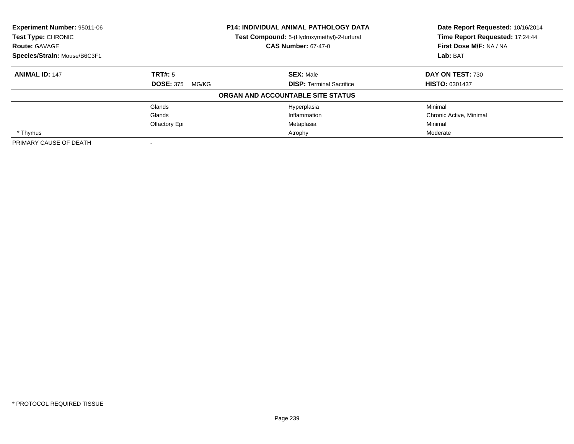| Experiment Number: 95011-06<br><b>Test Type: CHRONIC</b> |                           | <b>P14: INDIVIDUAL ANIMAL PATHOLOGY DATA</b><br>Test Compound: 5-(Hydroxymethyl)-2-furfural | Date Report Requested: 10/16/2014<br>Time Report Requested: 17:24:44 |  |
|----------------------------------------------------------|---------------------------|---------------------------------------------------------------------------------------------|----------------------------------------------------------------------|--|
| <b>Route: GAVAGE</b>                                     |                           | <b>CAS Number: 67-47-0</b>                                                                  | First Dose M/F: NA / NA                                              |  |
| Species/Strain: Mouse/B6C3F1                             |                           |                                                                                             | Lab: BAT                                                             |  |
| <b>ANIMAL ID: 147</b>                                    | TRT#: 5                   | <b>SEX: Male</b>                                                                            | DAY ON TEST: 730                                                     |  |
|                                                          | <b>DOSE: 375</b><br>MG/KG | <b>DISP: Terminal Sacrifice</b>                                                             | <b>HISTO: 0301437</b>                                                |  |
|                                                          |                           | ORGAN AND ACCOUNTABLE SITE STATUS                                                           |                                                                      |  |
|                                                          | Glands                    | Hyperplasia                                                                                 | Minimal                                                              |  |
|                                                          | Glands                    | Inflammation                                                                                | Chronic Active, Minimal                                              |  |
|                                                          | Olfactory Epi             | Metaplasia                                                                                  | Minimal                                                              |  |
| * Thymus                                                 |                           | Atrophy                                                                                     | Moderate                                                             |  |
| PRIMARY CAUSE OF DEATH                                   |                           |                                                                                             |                                                                      |  |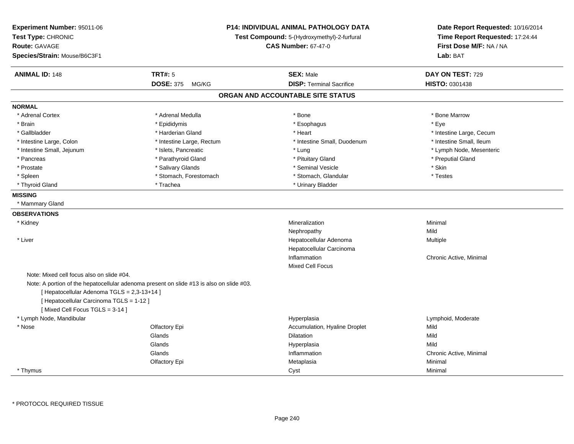| Experiment Number: 95011-06<br>Test Type: CHRONIC<br><b>Route: GAVAGE</b><br>Species/Strain: Mouse/B6C3F1 |                                                                                          | <b>P14: INDIVIDUAL ANIMAL PATHOLOGY DATA</b><br>Test Compound: 5-(Hydroxymethyl)-2-furfural<br><b>CAS Number: 67-47-0</b> | Date Report Requested: 10/16/2014<br>Time Report Requested: 17:24:44<br>First Dose M/F: NA / NA<br>Lab: BAT |
|-----------------------------------------------------------------------------------------------------------|------------------------------------------------------------------------------------------|---------------------------------------------------------------------------------------------------------------------------|-------------------------------------------------------------------------------------------------------------|
| <b>ANIMAL ID: 148</b>                                                                                     | <b>TRT#: 5</b>                                                                           | <b>SEX: Male</b>                                                                                                          | DAY ON TEST: 729                                                                                            |
|                                                                                                           | <b>DOSE: 375</b><br>MG/KG                                                                | <b>DISP: Terminal Sacrifice</b>                                                                                           | HISTO: 0301438                                                                                              |
|                                                                                                           |                                                                                          | ORGAN AND ACCOUNTABLE SITE STATUS                                                                                         |                                                                                                             |
| <b>NORMAL</b>                                                                                             |                                                                                          |                                                                                                                           |                                                                                                             |
| * Adrenal Cortex                                                                                          | * Adrenal Medulla                                                                        | * Bone                                                                                                                    | * Bone Marrow                                                                                               |
| * Brain                                                                                                   | * Epididymis                                                                             | * Esophagus                                                                                                               | * Eye                                                                                                       |
| * Gallbladder                                                                                             | * Harderian Gland                                                                        | * Heart                                                                                                                   | * Intestine Large, Cecum                                                                                    |
| * Intestine Large, Colon                                                                                  | * Intestine Large, Rectum                                                                | * Intestine Small, Duodenum                                                                                               | * Intestine Small, Ileum                                                                                    |
| * Intestine Small, Jejunum                                                                                | * Islets, Pancreatic                                                                     | * Lung                                                                                                                    | * Lymph Node, Mesenteric                                                                                    |
| * Pancreas                                                                                                | * Parathyroid Gland                                                                      | * Pituitary Gland                                                                                                         | * Preputial Gland                                                                                           |
| * Prostate                                                                                                | * Salivary Glands                                                                        | * Seminal Vesicle                                                                                                         | * Skin                                                                                                      |
| * Spleen                                                                                                  | * Stomach, Forestomach                                                                   | * Stomach, Glandular                                                                                                      | * Testes                                                                                                    |
| * Thyroid Gland                                                                                           | * Trachea                                                                                | * Urinary Bladder                                                                                                         |                                                                                                             |
| <b>MISSING</b>                                                                                            |                                                                                          |                                                                                                                           |                                                                                                             |
| * Mammary Gland                                                                                           |                                                                                          |                                                                                                                           |                                                                                                             |
| <b>OBSERVATIONS</b>                                                                                       |                                                                                          |                                                                                                                           |                                                                                                             |
| * Kidney                                                                                                  |                                                                                          | Mineralization                                                                                                            | Minimal                                                                                                     |
|                                                                                                           |                                                                                          | Nephropathy                                                                                                               | Mild                                                                                                        |
| * Liver                                                                                                   |                                                                                          | Hepatocellular Adenoma                                                                                                    | Multiple                                                                                                    |
|                                                                                                           |                                                                                          | Hepatocellular Carcinoma                                                                                                  |                                                                                                             |
|                                                                                                           |                                                                                          | Inflammation                                                                                                              | Chronic Active, Minimal                                                                                     |
|                                                                                                           |                                                                                          | <b>Mixed Cell Focus</b>                                                                                                   |                                                                                                             |
| Note: Mixed cell focus also on slide #04.                                                                 |                                                                                          |                                                                                                                           |                                                                                                             |
|                                                                                                           | Note: A portion of the hepatocellular adenoma present on slide #13 is also on slide #03. |                                                                                                                           |                                                                                                             |
| [ Hepatocellular Adenoma TGLS = 2,3-13+14 ]                                                               |                                                                                          |                                                                                                                           |                                                                                                             |
| [ Hepatocellular Carcinoma TGLS = 1-12 ]                                                                  |                                                                                          |                                                                                                                           |                                                                                                             |
| [Mixed Cell Focus TGLS = 3-14]                                                                            |                                                                                          |                                                                                                                           |                                                                                                             |
| * Lymph Node, Mandibular                                                                                  |                                                                                          | Hyperplasia                                                                                                               | Lymphoid, Moderate                                                                                          |
| * Nose                                                                                                    | Olfactory Epi                                                                            | Accumulation, Hyaline Droplet                                                                                             | Mild                                                                                                        |
|                                                                                                           | Glands                                                                                   | <b>Dilatation</b>                                                                                                         | Mild                                                                                                        |
|                                                                                                           | Glands                                                                                   | Hyperplasia                                                                                                               | Mild                                                                                                        |
|                                                                                                           | Glands                                                                                   | Inflammation                                                                                                              | Chronic Active, Minimal                                                                                     |
|                                                                                                           | Olfactory Epi                                                                            | Metaplasia                                                                                                                | Minimal                                                                                                     |
| * Thymus                                                                                                  |                                                                                          | Cyst                                                                                                                      | Minimal                                                                                                     |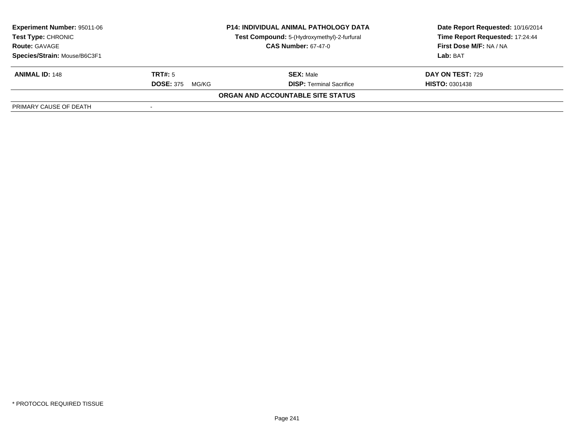| <b>Experiment Number: 95011-06</b><br><b>Test Type: CHRONIC</b><br><b>Route: GAVAGE</b><br>Species/Strain: Mouse/B6C3F1 | <b>P14: INDIVIDUAL ANIMAL PATHOLOGY DATA</b><br>Test Compound: 5-(Hydroxymethyl)-2-furfural<br><b>CAS Number: 67-47-0</b> |                                                     | Date Report Requested: 10/16/2014<br>Time Report Requested: 17:24:44<br>First Dose M/F: NA / NA<br>Lab: BAT |
|-------------------------------------------------------------------------------------------------------------------------|---------------------------------------------------------------------------------------------------------------------------|-----------------------------------------------------|-------------------------------------------------------------------------------------------------------------|
| <b>ANIMAL ID: 148</b>                                                                                                   | TRT#: 5<br><b>DOSE: 375</b><br>MG/KG                                                                                      | <b>SEX: Male</b><br><b>DISP:</b> Terminal Sacrifice | DAY ON TEST: 729<br><b>HISTO: 0301438</b>                                                                   |
|                                                                                                                         |                                                                                                                           | ORGAN AND ACCOUNTABLE SITE STATUS                   |                                                                                                             |
| PRIMARY CAUSE OF DEATH                                                                                                  |                                                                                                                           |                                                     |                                                                                                             |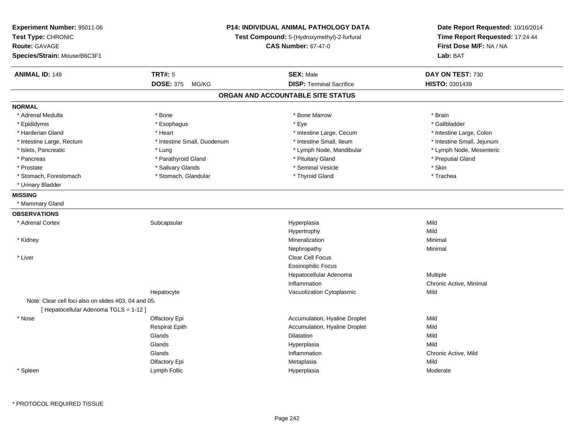| Experiment Number: 95011-06<br>Test Type: CHRONIC<br><b>Route: GAVAGE</b><br>Species/Strain: Mouse/B6C3F1 |                             | P14: INDIVIDUAL ANIMAL PATHOLOGY DATA<br>Test Compound: 5-(Hydroxymethyl)-2-furfural<br><b>CAS Number: 67-47-0</b> | Date Report Requested: 10/16/2014<br>Time Report Requested: 17:24:44<br>First Dose M/F: NA / NA<br>Lab: BAT |
|-----------------------------------------------------------------------------------------------------------|-----------------------------|--------------------------------------------------------------------------------------------------------------------|-------------------------------------------------------------------------------------------------------------|
| <b>ANIMAL ID: 149</b>                                                                                     | <b>TRT#: 5</b>              | <b>SEX: Male</b>                                                                                                   | DAY ON TEST: 730                                                                                            |
|                                                                                                           | <b>DOSE: 375</b><br>MG/KG   | <b>DISP: Terminal Sacrifice</b>                                                                                    | HISTO: 0301439                                                                                              |
|                                                                                                           |                             | ORGAN AND ACCOUNTABLE SITE STATUS                                                                                  |                                                                                                             |
| <b>NORMAL</b>                                                                                             |                             |                                                                                                                    |                                                                                                             |
| * Adrenal Medulla                                                                                         | * Bone                      | * Bone Marrow                                                                                                      | * Brain                                                                                                     |
| * Epididymis                                                                                              | * Esophagus                 | * Eye                                                                                                              | * Gallbladder                                                                                               |
| * Harderian Gland                                                                                         | * Heart                     | * Intestine Large, Cecum                                                                                           | * Intestine Large, Colon                                                                                    |
| * Intestine Large, Rectum                                                                                 | * Intestine Small, Duodenum | * Intestine Small, Ileum                                                                                           | * Intestine Small, Jejunum                                                                                  |
| * Islets, Pancreatic                                                                                      | * Lung                      | * Lymph Node, Mandibular                                                                                           | * Lymph Node, Mesenteric                                                                                    |
| * Pancreas                                                                                                | * Parathyroid Gland         | * Pituitary Gland                                                                                                  | * Preputial Gland                                                                                           |
| * Prostate                                                                                                | * Salivary Glands           | * Seminal Vesicle                                                                                                  | * Skin                                                                                                      |
| * Stomach, Forestomach                                                                                    | * Stomach, Glandular        | * Thyroid Gland                                                                                                    | * Trachea                                                                                                   |
| * Urinary Bladder                                                                                         |                             |                                                                                                                    |                                                                                                             |
| <b>MISSING</b>                                                                                            |                             |                                                                                                                    |                                                                                                             |
| * Mammary Gland                                                                                           |                             |                                                                                                                    |                                                                                                             |
| <b>OBSERVATIONS</b>                                                                                       |                             |                                                                                                                    |                                                                                                             |
| * Adrenal Cortex                                                                                          | Subcapsular                 | Hyperplasia                                                                                                        | Mild                                                                                                        |
|                                                                                                           |                             | Hypertrophy                                                                                                        | Mild                                                                                                        |
| * Kidney                                                                                                  |                             | Mineralization                                                                                                     | Minimal                                                                                                     |
|                                                                                                           |                             | Nephropathy                                                                                                        | Minimal                                                                                                     |
| * Liver                                                                                                   |                             | <b>Clear Cell Focus</b>                                                                                            |                                                                                                             |
|                                                                                                           |                             | <b>Eosinophilic Focus</b>                                                                                          |                                                                                                             |
|                                                                                                           |                             | Hepatocellular Adenoma                                                                                             | Multiple                                                                                                    |
|                                                                                                           |                             | Inflammation                                                                                                       | Chronic Active, Minimal                                                                                     |
|                                                                                                           | Hepatocyte                  | Vacuolization Cytoplasmic                                                                                          | Mild                                                                                                        |
| Note: Clear cell foci also on slides #03, 04 and 05.                                                      |                             |                                                                                                                    |                                                                                                             |
| [ Hepatocellular Adenoma TGLS = 1-12 ]                                                                    |                             |                                                                                                                    |                                                                                                             |
| * Nose                                                                                                    | Olfactory Epi               | Accumulation, Hyaline Droplet                                                                                      | Mild                                                                                                        |
|                                                                                                           | <b>Respirat Epith</b>       | Accumulation, Hyaline Droplet                                                                                      | Mild                                                                                                        |
|                                                                                                           | Glands                      | Dilatation                                                                                                         | Mild                                                                                                        |
|                                                                                                           | Glands                      | Hyperplasia                                                                                                        | Mild                                                                                                        |
|                                                                                                           | Glands                      | Inflammation                                                                                                       | Chronic Active, Mild                                                                                        |
|                                                                                                           | Olfactory Epi               | Metaplasia                                                                                                         | Mild                                                                                                        |
| * Spleen                                                                                                  | Lymph Follic                | Hyperplasia                                                                                                        | Moderate                                                                                                    |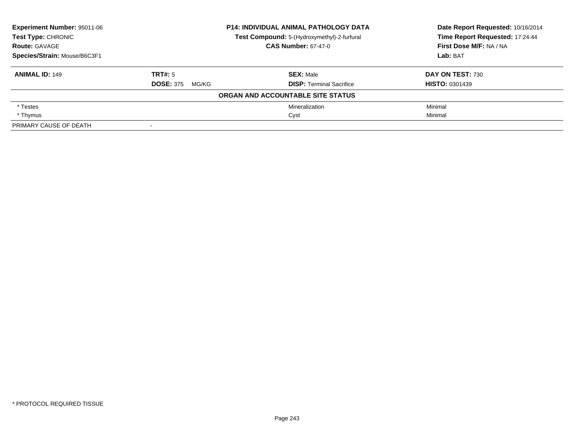| Experiment Number: 95011-06                        |                                             | <b>P14: INDIVIDUAL ANIMAL PATHOLOGY DATA</b> | Date Report Requested: 10/16/2014 |  |
|----------------------------------------------------|---------------------------------------------|----------------------------------------------|-----------------------------------|--|
| <b>Test Type: CHRONIC</b>                          | Test Compound: 5-(Hydroxymethyl)-2-furfural |                                              | Time Report Requested: 17:24:44   |  |
| <b>CAS Number: 67-47-0</b><br><b>Route: GAVAGE</b> |                                             | First Dose M/F: NA / NA                      |                                   |  |
| Species/Strain: Mouse/B6C3F1                       |                                             |                                              | Lab: BAT                          |  |
| <b>ANIMAL ID: 149</b>                              | TRT#: 5                                     | <b>SEX: Male</b>                             | DAY ON TEST: 730                  |  |
|                                                    | <b>DOSE: 375</b><br>MG/KG                   | <b>DISP: Terminal Sacrifice</b>              | <b>HISTO: 0301439</b>             |  |
|                                                    |                                             | ORGAN AND ACCOUNTABLE SITE STATUS            |                                   |  |
| * Testes                                           |                                             | Mineralization                               | Minimal                           |  |
| * Thymus                                           |                                             | Cyst                                         | Minimal                           |  |
| PRIMARY CAUSE OF DEATH                             |                                             |                                              |                                   |  |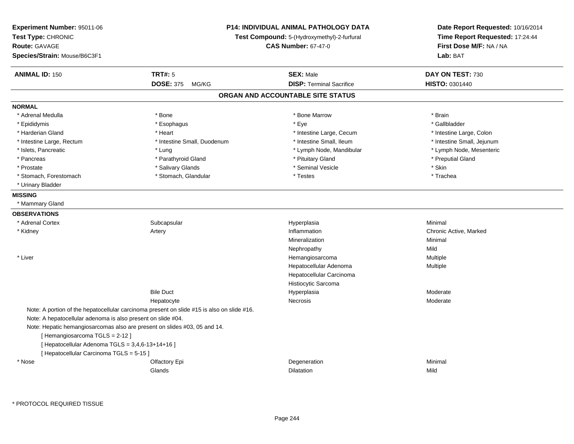| Experiment Number: 95011-06<br>Test Type: CHRONIC<br><b>Route: GAVAGE</b><br>Species/Strain: Mouse/B6C3F1 | <b>P14: INDIVIDUAL ANIMAL PATHOLOGY DATA</b><br>Test Compound: 5-(Hydroxymethyl)-2-furfural<br><b>CAS Number: 67-47-0</b> |                                   | Date Report Requested: 10/16/2014<br>Time Report Requested: 17:24:44<br>First Dose M/F: NA / NA<br>Lab: BAT |
|-----------------------------------------------------------------------------------------------------------|---------------------------------------------------------------------------------------------------------------------------|-----------------------------------|-------------------------------------------------------------------------------------------------------------|
| <b>ANIMAL ID: 150</b>                                                                                     | <b>TRT#: 5</b>                                                                                                            | <b>SEX: Male</b>                  | DAY ON TEST: 730                                                                                            |
|                                                                                                           | <b>DOSE: 375</b><br>MG/KG                                                                                                 | <b>DISP: Terminal Sacrifice</b>   | <b>HISTO: 0301440</b>                                                                                       |
|                                                                                                           |                                                                                                                           | ORGAN AND ACCOUNTABLE SITE STATUS |                                                                                                             |
| <b>NORMAL</b>                                                                                             |                                                                                                                           |                                   |                                                                                                             |
| * Adrenal Medulla                                                                                         | * Bone                                                                                                                    | * Bone Marrow                     | * Brain                                                                                                     |
| * Epididymis                                                                                              | * Esophagus                                                                                                               | * Eye                             | * Gallbladder                                                                                               |
| * Harderian Gland                                                                                         | * Heart                                                                                                                   | * Intestine Large, Cecum          | * Intestine Large, Colon                                                                                    |
| * Intestine Large, Rectum                                                                                 | * Intestine Small, Duodenum                                                                                               | * Intestine Small, Ileum          | * Intestine Small, Jejunum                                                                                  |
| * Islets, Pancreatic                                                                                      | * Lung                                                                                                                    | * Lymph Node, Mandibular          | * Lymph Node, Mesenteric                                                                                    |
| * Pancreas                                                                                                | * Parathyroid Gland                                                                                                       | * Pituitary Gland                 | * Preputial Gland                                                                                           |
| * Prostate                                                                                                | * Salivary Glands                                                                                                         | * Seminal Vesicle                 | * Skin                                                                                                      |
| * Stomach, Forestomach                                                                                    | * Stomach, Glandular                                                                                                      | * Testes                          | * Trachea                                                                                                   |
| * Urinary Bladder                                                                                         |                                                                                                                           |                                   |                                                                                                             |
| <b>MISSING</b>                                                                                            |                                                                                                                           |                                   |                                                                                                             |
| * Mammary Gland                                                                                           |                                                                                                                           |                                   |                                                                                                             |
| <b>OBSERVATIONS</b>                                                                                       |                                                                                                                           |                                   |                                                                                                             |
| * Adrenal Cortex                                                                                          | Subcapsular                                                                                                               | Hyperplasia                       | Minimal                                                                                                     |
| * Kidney                                                                                                  | Artery                                                                                                                    | Inflammation                      | Chronic Active, Marked                                                                                      |
|                                                                                                           |                                                                                                                           | Mineralization                    | Minimal                                                                                                     |
|                                                                                                           |                                                                                                                           | Nephropathy                       | Mild                                                                                                        |
| * Liver                                                                                                   |                                                                                                                           | Hemangiosarcoma                   | Multiple                                                                                                    |
|                                                                                                           |                                                                                                                           | Hepatocellular Adenoma            | Multiple                                                                                                    |
|                                                                                                           |                                                                                                                           | Hepatocellular Carcinoma          |                                                                                                             |
|                                                                                                           |                                                                                                                           | Histiocytic Sarcoma               |                                                                                                             |
|                                                                                                           | <b>Bile Duct</b>                                                                                                          | Hyperplasia                       | Moderate                                                                                                    |
|                                                                                                           | Hepatocyte                                                                                                                | Necrosis                          | Moderate                                                                                                    |
|                                                                                                           | Note: A portion of the hepatocellular carcinoma present on slide #15 is also on slide #16.                                |                                   |                                                                                                             |
| Note: A hepatocellular adenoma is also present on slide #04.                                              |                                                                                                                           |                                   |                                                                                                             |
|                                                                                                           | Note: Hepatic hemangiosarcomas also are present on slides #03, 05 and 14.                                                 |                                   |                                                                                                             |
| [Hemangiosarcoma TGLS = 2-12]                                                                             |                                                                                                                           |                                   |                                                                                                             |
| [ Hepatocellular Adenoma TGLS = 3,4,6-13+14+16 ]                                                          |                                                                                                                           |                                   |                                                                                                             |
| [ Hepatocellular Carcinoma TGLS = 5-15 ]                                                                  |                                                                                                                           |                                   |                                                                                                             |
| * Nose                                                                                                    | Olfactory Epi                                                                                                             | Degeneration                      | Minimal                                                                                                     |
|                                                                                                           | Glands                                                                                                                    | Dilatation                        | Mild                                                                                                        |

\* PROTOCOL REQUIRED TISSUE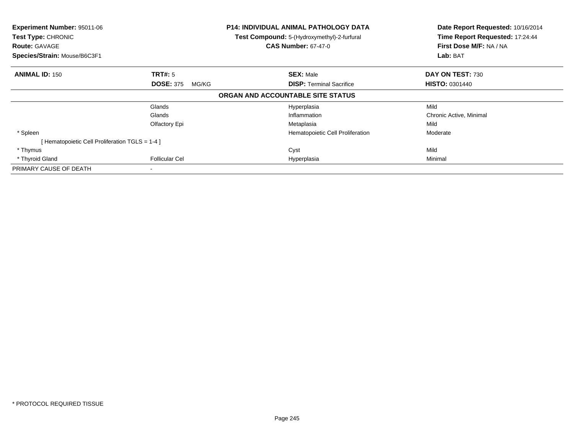| Experiment Number: 95011-06<br>Test Type: CHRONIC<br><b>Route: GAVAGE</b><br>Species/Strain: Mouse/B6C3F1 |                           | <b>P14: INDIVIDUAL ANIMAL PATHOLOGY DATA</b><br>Test Compound: 5-(Hydroxymethyl)-2-furfural<br><b>CAS Number: 67-47-0</b> | Date Report Requested: 10/16/2014<br>Time Report Requested: 17:24:44<br>First Dose M/F: NA / NA<br>Lab: BAT |  |
|-----------------------------------------------------------------------------------------------------------|---------------------------|---------------------------------------------------------------------------------------------------------------------------|-------------------------------------------------------------------------------------------------------------|--|
|                                                                                                           |                           |                                                                                                                           |                                                                                                             |  |
| <b>ANIMAL ID: 150</b>                                                                                     | <b>TRT#:</b> 5            | <b>SEX: Male</b>                                                                                                          | DAY ON TEST: 730                                                                                            |  |
|                                                                                                           | <b>DOSE: 375</b><br>MG/KG | <b>DISP:</b> Terminal Sacrifice                                                                                           | <b>HISTO: 0301440</b>                                                                                       |  |
|                                                                                                           |                           | ORGAN AND ACCOUNTABLE SITE STATUS                                                                                         |                                                                                                             |  |
|                                                                                                           | Glands                    | Hyperplasia                                                                                                               | Mild                                                                                                        |  |
|                                                                                                           | Glands                    | Inflammation                                                                                                              | Chronic Active, Minimal                                                                                     |  |
|                                                                                                           | Olfactory Epi             | Metaplasia                                                                                                                | Mild                                                                                                        |  |
| * Spleen                                                                                                  |                           | Hematopoietic Cell Proliferation                                                                                          | Moderate                                                                                                    |  |
| [Hematopoietic Cell Proliferation TGLS = 1-4 ]                                                            |                           |                                                                                                                           |                                                                                                             |  |
| * Thymus                                                                                                  |                           | Cyst                                                                                                                      | Mild                                                                                                        |  |
| * Thyroid Gland                                                                                           | <b>Follicular Cel</b>     | Hyperplasia                                                                                                               | Minimal                                                                                                     |  |
| PRIMARY CAUSE OF DEATH                                                                                    |                           |                                                                                                                           |                                                                                                             |  |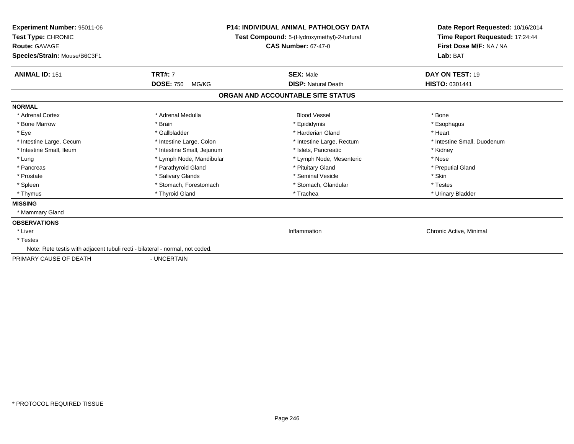| <b>Experiment Number: 95011-06</b><br>Test Type: CHRONIC<br><b>Route: GAVAGE</b><br>Species/Strain: Mouse/B6C3F1 | <b>P14: INDIVIDUAL ANIMAL PATHOLOGY DATA</b><br>Test Compound: 5-(Hydroxymethyl)-2-furfural<br><b>CAS Number: 67-47-0</b> |                                   | Date Report Requested: 10/16/2014<br>Time Report Requested: 17:24:44<br>First Dose M/F: NA / NA<br>Lab: BAT |
|------------------------------------------------------------------------------------------------------------------|---------------------------------------------------------------------------------------------------------------------------|-----------------------------------|-------------------------------------------------------------------------------------------------------------|
| <b>ANIMAL ID: 151</b>                                                                                            | <b>TRT#: 7</b>                                                                                                            | <b>SEX: Male</b>                  | DAY ON TEST: 19                                                                                             |
|                                                                                                                  | <b>DOSE: 750</b><br>MG/KG                                                                                                 | <b>DISP: Natural Death</b>        | <b>HISTO: 0301441</b>                                                                                       |
|                                                                                                                  |                                                                                                                           | ORGAN AND ACCOUNTABLE SITE STATUS |                                                                                                             |
| <b>NORMAL</b>                                                                                                    |                                                                                                                           |                                   |                                                                                                             |
| * Adrenal Cortex                                                                                                 | * Adrenal Medulla                                                                                                         | <b>Blood Vessel</b>               | * Bone                                                                                                      |
| * Bone Marrow                                                                                                    | * Brain                                                                                                                   | * Epididymis                      | * Esophagus                                                                                                 |
| * Eye                                                                                                            | * Gallbladder                                                                                                             | * Harderian Gland                 | * Heart                                                                                                     |
| * Intestine Large, Cecum                                                                                         | * Intestine Large, Colon                                                                                                  | * Intestine Large, Rectum         | * Intestine Small, Duodenum                                                                                 |
| * Intestine Small, Ileum                                                                                         | * Intestine Small, Jejunum                                                                                                | * Islets, Pancreatic              | * Kidney                                                                                                    |
| * Lung                                                                                                           | * Lymph Node, Mandibular                                                                                                  | * Lymph Node, Mesenteric          | * Nose                                                                                                      |
| * Pancreas                                                                                                       | * Parathyroid Gland                                                                                                       | * Pituitary Gland                 | * Preputial Gland                                                                                           |
| * Prostate                                                                                                       | * Salivary Glands                                                                                                         | * Seminal Vesicle                 | * Skin                                                                                                      |
| * Spleen                                                                                                         | * Stomach, Forestomach                                                                                                    | * Stomach, Glandular              | * Testes                                                                                                    |
| * Thymus                                                                                                         | * Thyroid Gland                                                                                                           | * Trachea                         | * Urinary Bladder                                                                                           |
| <b>MISSING</b>                                                                                                   |                                                                                                                           |                                   |                                                                                                             |
| * Mammary Gland                                                                                                  |                                                                                                                           |                                   |                                                                                                             |
| <b>OBSERVATIONS</b>                                                                                              |                                                                                                                           |                                   |                                                                                                             |
| * Liver                                                                                                          |                                                                                                                           | Inflammation                      | Chronic Active, Minimal                                                                                     |
| * Testes                                                                                                         |                                                                                                                           |                                   |                                                                                                             |
| Note: Rete testis with adjacent tubuli recti - bilateral - normal, not coded.                                    |                                                                                                                           |                                   |                                                                                                             |
| PRIMARY CAUSE OF DEATH                                                                                           | - UNCERTAIN                                                                                                               |                                   |                                                                                                             |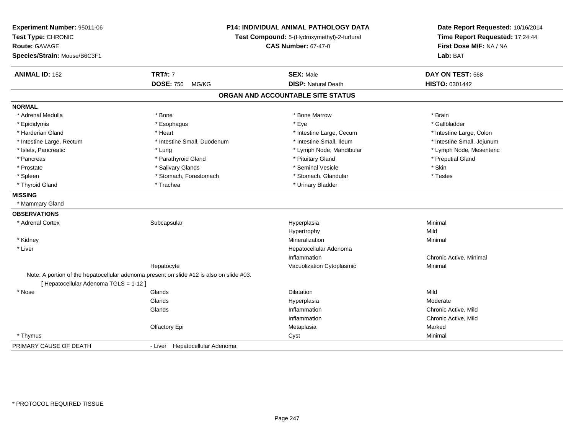| Experiment Number: 95011-06<br>Test Type: CHRONIC<br><b>Route: GAVAGE</b><br>Species/Strain: Mouse/B6C3F1 | <b>P14: INDIVIDUAL ANIMAL PATHOLOGY DATA</b><br>Test Compound: 5-(Hydroxymethyl)-2-furfural<br><b>CAS Number: 67-47-0</b> |                                   | Date Report Requested: 10/16/2014<br>Time Report Requested: 17:24:44<br>First Dose M/F: NA / NA<br>Lab: BAT |
|-----------------------------------------------------------------------------------------------------------|---------------------------------------------------------------------------------------------------------------------------|-----------------------------------|-------------------------------------------------------------------------------------------------------------|
| <b>ANIMAL ID: 152</b>                                                                                     | <b>TRT#: 7</b>                                                                                                            | <b>SEX: Male</b>                  | DAY ON TEST: 568                                                                                            |
|                                                                                                           | DOSE: 750 MG/KG                                                                                                           | <b>DISP: Natural Death</b>        | HISTO: 0301442                                                                                              |
|                                                                                                           |                                                                                                                           | ORGAN AND ACCOUNTABLE SITE STATUS |                                                                                                             |
| <b>NORMAL</b>                                                                                             |                                                                                                                           |                                   |                                                                                                             |
| * Adrenal Medulla                                                                                         | * Bone                                                                                                                    | * Bone Marrow                     | * Brain                                                                                                     |
| * Epididymis                                                                                              | * Esophagus                                                                                                               | * Eye                             | * Gallbladder                                                                                               |
| * Harderian Gland                                                                                         | * Heart                                                                                                                   | * Intestine Large, Cecum          | * Intestine Large, Colon                                                                                    |
| * Intestine Large, Rectum                                                                                 | * Intestine Small, Duodenum                                                                                               | * Intestine Small, Ileum          | * Intestine Small, Jejunum                                                                                  |
| * Islets, Pancreatic                                                                                      | * Lung                                                                                                                    | * Lymph Node, Mandibular          | * Lymph Node, Mesenteric                                                                                    |
| * Pancreas                                                                                                | * Parathyroid Gland                                                                                                       | * Pituitary Gland                 | * Preputial Gland                                                                                           |
| * Prostate                                                                                                | * Salivary Glands                                                                                                         | * Seminal Vesicle                 | * Skin                                                                                                      |
| * Spleen                                                                                                  | * Stomach, Forestomach                                                                                                    | * Stomach, Glandular              | * Testes                                                                                                    |
| * Thyroid Gland                                                                                           | * Trachea                                                                                                                 | * Urinary Bladder                 |                                                                                                             |
| <b>MISSING</b>                                                                                            |                                                                                                                           |                                   |                                                                                                             |
| * Mammary Gland                                                                                           |                                                                                                                           |                                   |                                                                                                             |
| <b>OBSERVATIONS</b>                                                                                       |                                                                                                                           |                                   |                                                                                                             |
| * Adrenal Cortex                                                                                          | Subcapsular                                                                                                               | Hyperplasia                       | Minimal                                                                                                     |
|                                                                                                           |                                                                                                                           | Hypertrophy                       | Mild                                                                                                        |
| * Kidney                                                                                                  |                                                                                                                           | Mineralization                    | Minimal                                                                                                     |
| * Liver                                                                                                   |                                                                                                                           | Hepatocellular Adenoma            |                                                                                                             |
|                                                                                                           |                                                                                                                           | Inflammation                      | Chronic Active, Minimal                                                                                     |
|                                                                                                           | Hepatocyte                                                                                                                | Vacuolization Cytoplasmic         | Minimal                                                                                                     |
| [ Hepatocellular Adenoma TGLS = 1-12 ]                                                                    | Note: A portion of the hepatocellular adenoma present on slide #12 is also on slide #03.                                  |                                   |                                                                                                             |
| * Nose                                                                                                    | Glands                                                                                                                    | <b>Dilatation</b>                 | Mild                                                                                                        |
|                                                                                                           | Glands                                                                                                                    | Hyperplasia                       | Moderate                                                                                                    |
|                                                                                                           | Glands                                                                                                                    | Inflammation                      | Chronic Active, Mild                                                                                        |
|                                                                                                           |                                                                                                                           | Inflammation                      | Chronic Active, Mild                                                                                        |
|                                                                                                           | Olfactory Epi                                                                                                             | Metaplasia                        | Marked                                                                                                      |
| * Thymus                                                                                                  |                                                                                                                           | Cyst                              | Minimal                                                                                                     |
| PRIMARY CAUSE OF DEATH                                                                                    | - Liver Hepatocellular Adenoma                                                                                            |                                   |                                                                                                             |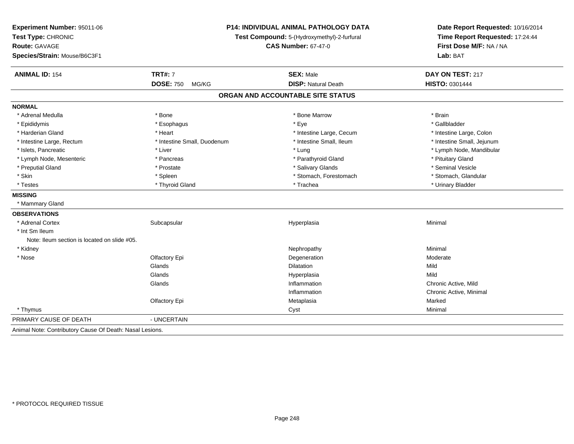| Experiment Number: 95011-06<br>Test Type: CHRONIC<br><b>Route: GAVAGE</b><br>Species/Strain: Mouse/B6C3F1 | <b>P14: INDIVIDUAL ANIMAL PATHOLOGY DATA</b><br>Test Compound: 5-(Hydroxymethyl)-2-furfural<br><b>CAS Number: 67-47-0</b> |                                   | Date Report Requested: 10/16/2014<br>Time Report Requested: 17:24:44<br>First Dose M/F: NA / NA<br>Lab: BAT |  |
|-----------------------------------------------------------------------------------------------------------|---------------------------------------------------------------------------------------------------------------------------|-----------------------------------|-------------------------------------------------------------------------------------------------------------|--|
| <b>ANIMAL ID: 154</b>                                                                                     | <b>TRT#: 7</b>                                                                                                            | <b>SEX: Male</b>                  | DAY ON TEST: 217                                                                                            |  |
|                                                                                                           | <b>DOSE: 750</b><br>MG/KG                                                                                                 | <b>DISP: Natural Death</b>        | HISTO: 0301444                                                                                              |  |
|                                                                                                           |                                                                                                                           | ORGAN AND ACCOUNTABLE SITE STATUS |                                                                                                             |  |
| <b>NORMAL</b>                                                                                             |                                                                                                                           |                                   |                                                                                                             |  |
| * Adrenal Medulla                                                                                         | * Bone                                                                                                                    | * Bone Marrow                     | * Brain                                                                                                     |  |
| * Epididymis                                                                                              | * Esophagus                                                                                                               | * Eye                             | * Gallbladder                                                                                               |  |
| * Harderian Gland                                                                                         | * Heart                                                                                                                   | * Intestine Large, Cecum          | * Intestine Large, Colon                                                                                    |  |
| * Intestine Large, Rectum                                                                                 | * Intestine Small, Duodenum                                                                                               | * Intestine Small, Ileum          | * Intestine Small, Jejunum                                                                                  |  |
| * Islets, Pancreatic                                                                                      | * Liver                                                                                                                   | * Lung                            | * Lymph Node, Mandibular                                                                                    |  |
| * Lymph Node, Mesenteric                                                                                  | * Pancreas                                                                                                                | * Parathyroid Gland               | * Pituitary Gland                                                                                           |  |
| * Preputial Gland                                                                                         | * Prostate                                                                                                                | * Salivary Glands                 | * Seminal Vesicle                                                                                           |  |
| * Skin                                                                                                    | * Spleen                                                                                                                  | * Stomach, Forestomach            | * Stomach, Glandular                                                                                        |  |
| * Testes                                                                                                  | * Thyroid Gland                                                                                                           | * Trachea                         | * Urinary Bladder                                                                                           |  |
| <b>MISSING</b>                                                                                            |                                                                                                                           |                                   |                                                                                                             |  |
| * Mammary Gland                                                                                           |                                                                                                                           |                                   |                                                                                                             |  |
| <b>OBSERVATIONS</b>                                                                                       |                                                                                                                           |                                   |                                                                                                             |  |
| * Adrenal Cortex                                                                                          | Subcapsular                                                                                                               | Hyperplasia                       | Minimal                                                                                                     |  |
| * Int Sm Ileum                                                                                            |                                                                                                                           |                                   |                                                                                                             |  |
| Note: Ileum section is located on slide #05.                                                              |                                                                                                                           |                                   |                                                                                                             |  |
| * Kidney                                                                                                  |                                                                                                                           | Nephropathy                       | Minimal                                                                                                     |  |
| * Nose                                                                                                    | Olfactory Epi                                                                                                             | Degeneration                      | Moderate                                                                                                    |  |
|                                                                                                           | Glands                                                                                                                    | <b>Dilatation</b>                 | Mild                                                                                                        |  |
|                                                                                                           | Glands                                                                                                                    | Hyperplasia                       | Mild                                                                                                        |  |
|                                                                                                           | Glands                                                                                                                    | Inflammation                      | Chronic Active, Mild                                                                                        |  |
|                                                                                                           |                                                                                                                           | Inflammation                      | Chronic Active, Minimal                                                                                     |  |
|                                                                                                           | Olfactory Epi                                                                                                             | Metaplasia                        | Marked                                                                                                      |  |
| * Thymus                                                                                                  |                                                                                                                           | Cyst                              | Minimal                                                                                                     |  |
| PRIMARY CAUSE OF DEATH                                                                                    | - UNCERTAIN                                                                                                               |                                   |                                                                                                             |  |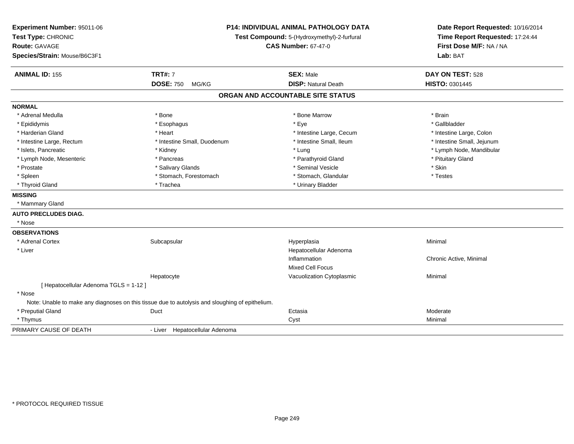| Experiment Number: 95011-06<br>Test Type: CHRONIC<br>Route: GAVAGE<br>Species/Strain: Mouse/B6C3F1 |                                                                                                 | <b>P14: INDIVIDUAL ANIMAL PATHOLOGY DATA</b><br>Test Compound: 5-(Hydroxymethyl)-2-furfural<br><b>CAS Number: 67-47-0</b> |                            |
|----------------------------------------------------------------------------------------------------|-------------------------------------------------------------------------------------------------|---------------------------------------------------------------------------------------------------------------------------|----------------------------|
| <b>ANIMAL ID: 155</b>                                                                              | <b>TRT#: 7</b>                                                                                  | <b>SEX: Male</b>                                                                                                          | DAY ON TEST: 528           |
|                                                                                                    | <b>DOSE: 750</b><br>MG/KG                                                                       | <b>DISP: Natural Death</b>                                                                                                | HISTO: 0301445             |
|                                                                                                    |                                                                                                 | ORGAN AND ACCOUNTABLE SITE STATUS                                                                                         |                            |
| <b>NORMAL</b>                                                                                      |                                                                                                 |                                                                                                                           |                            |
| * Adrenal Medulla                                                                                  | * Bone                                                                                          | * Bone Marrow                                                                                                             | * Brain                    |
| * Epididymis                                                                                       | * Esophagus                                                                                     | * Eye                                                                                                                     | * Gallbladder              |
| * Harderian Gland                                                                                  | * Heart                                                                                         | * Intestine Large, Cecum                                                                                                  | * Intestine Large, Colon   |
| * Intestine Large, Rectum                                                                          | * Intestine Small, Duodenum                                                                     | * Intestine Small, Ileum                                                                                                  | * Intestine Small, Jejunum |
| * Islets, Pancreatic                                                                               | * Kidney                                                                                        | * Lung                                                                                                                    | * Lymph Node, Mandibular   |
| * Lymph Node, Mesenteric                                                                           | * Pancreas                                                                                      | * Parathyroid Gland                                                                                                       | * Pituitary Gland          |
| * Prostate                                                                                         | * Salivary Glands                                                                               | * Seminal Vesicle                                                                                                         | * Skin                     |
| * Spleen                                                                                           | * Stomach, Forestomach                                                                          | * Stomach, Glandular                                                                                                      | * Testes                   |
| * Thyroid Gland                                                                                    | * Trachea                                                                                       | * Urinary Bladder                                                                                                         |                            |
| <b>MISSING</b>                                                                                     |                                                                                                 |                                                                                                                           |                            |
| * Mammary Gland                                                                                    |                                                                                                 |                                                                                                                           |                            |
| <b>AUTO PRECLUDES DIAG.</b>                                                                        |                                                                                                 |                                                                                                                           |                            |
| * Nose                                                                                             |                                                                                                 |                                                                                                                           |                            |
| <b>OBSERVATIONS</b>                                                                                |                                                                                                 |                                                                                                                           |                            |
| * Adrenal Cortex                                                                                   | Subcapsular                                                                                     | Hyperplasia                                                                                                               | Minimal                    |
| * Liver                                                                                            |                                                                                                 | Hepatocellular Adenoma                                                                                                    |                            |
|                                                                                                    |                                                                                                 | Inflammation                                                                                                              | Chronic Active, Minimal    |
|                                                                                                    |                                                                                                 | <b>Mixed Cell Focus</b>                                                                                                   |                            |
|                                                                                                    | Hepatocyte                                                                                      | Vacuolization Cytoplasmic                                                                                                 | Minimal                    |
| [ Hepatocellular Adenoma TGLS = 1-12 ]                                                             |                                                                                                 |                                                                                                                           |                            |
| * Nose                                                                                             |                                                                                                 |                                                                                                                           |                            |
|                                                                                                    | Note: Unable to make any diagnoses on this tissue due to autolysis and sloughing of epithelium. |                                                                                                                           |                            |
| * Preputial Gland                                                                                  | Duct                                                                                            | Ectasia                                                                                                                   | Moderate                   |
| * Thymus                                                                                           |                                                                                                 | Cyst                                                                                                                      | Minimal                    |
| PRIMARY CAUSE OF DEATH                                                                             | - Liver Hepatocellular Adenoma                                                                  |                                                                                                                           |                            |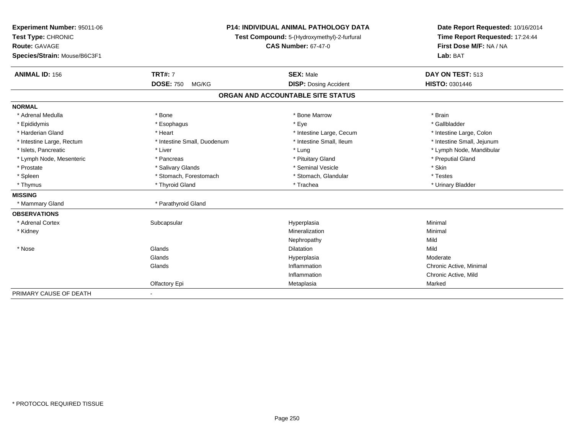| Experiment Number: 95011-06  | <b>P14: INDIVIDUAL ANIMAL PATHOLOGY DATA</b><br>Test Compound: 5-(Hydroxymethyl)-2-furfural |                                   | Date Report Requested: 10/16/2014<br>Time Report Requested: 17:24:44 |  |
|------------------------------|---------------------------------------------------------------------------------------------|-----------------------------------|----------------------------------------------------------------------|--|
| Test Type: CHRONIC           |                                                                                             |                                   |                                                                      |  |
| <b>Route: GAVAGE</b>         |                                                                                             | <b>CAS Number: 67-47-0</b>        | First Dose M/F: NA / NA                                              |  |
| Species/Strain: Mouse/B6C3F1 |                                                                                             |                                   | Lab: BAT                                                             |  |
| <b>ANIMAL ID: 156</b>        | <b>TRT#: 7</b>                                                                              | <b>SEX: Male</b>                  | DAY ON TEST: 513                                                     |  |
|                              | <b>DOSE: 750</b><br>MG/KG                                                                   | <b>DISP: Dosing Accident</b>      | <b>HISTO: 0301446</b>                                                |  |
|                              |                                                                                             | ORGAN AND ACCOUNTABLE SITE STATUS |                                                                      |  |
| <b>NORMAL</b>                |                                                                                             |                                   |                                                                      |  |
| * Adrenal Medulla            | * Bone                                                                                      | * Bone Marrow                     | * Brain                                                              |  |
| * Epididymis                 | * Esophagus                                                                                 | * Eye                             | * Gallbladder                                                        |  |
| * Harderian Gland            | * Heart                                                                                     | * Intestine Large, Cecum          | * Intestine Large, Colon                                             |  |
| * Intestine Large, Rectum    | * Intestine Small, Duodenum                                                                 | * Intestine Small, Ileum          | * Intestine Small, Jejunum                                           |  |
| * Islets, Pancreatic         | * Liver                                                                                     | * Lung                            | * Lymph Node, Mandibular                                             |  |
| * Lymph Node, Mesenteric     | * Pancreas                                                                                  | * Pituitary Gland                 | * Preputial Gland                                                    |  |
| * Prostate                   | * Salivary Glands                                                                           | * Seminal Vesicle                 | * Skin                                                               |  |
| * Spleen                     | * Stomach, Forestomach                                                                      | * Stomach, Glandular              | * Testes                                                             |  |
| * Thymus                     | * Thyroid Gland                                                                             | * Trachea                         | * Urinary Bladder                                                    |  |
| <b>MISSING</b>               |                                                                                             |                                   |                                                                      |  |
| * Mammary Gland              | * Parathyroid Gland                                                                         |                                   |                                                                      |  |
| <b>OBSERVATIONS</b>          |                                                                                             |                                   |                                                                      |  |
| * Adrenal Cortex             | Subcapsular                                                                                 | Hyperplasia                       | Minimal                                                              |  |
| * Kidney                     |                                                                                             | Mineralization                    | Minimal                                                              |  |
|                              |                                                                                             | Nephropathy                       | Mild                                                                 |  |
| * Nose                       | Glands                                                                                      | <b>Dilatation</b>                 | Mild                                                                 |  |
|                              | Glands                                                                                      | Hyperplasia                       | Moderate                                                             |  |
|                              | Glands                                                                                      | Inflammation                      | Chronic Active, Minimal                                              |  |
|                              |                                                                                             | Inflammation                      | Chronic Active, Mild                                                 |  |
|                              | Olfactory Epi                                                                               | Metaplasia                        | Marked                                                               |  |
| PRIMARY CAUSE OF DEATH       |                                                                                             |                                   |                                                                      |  |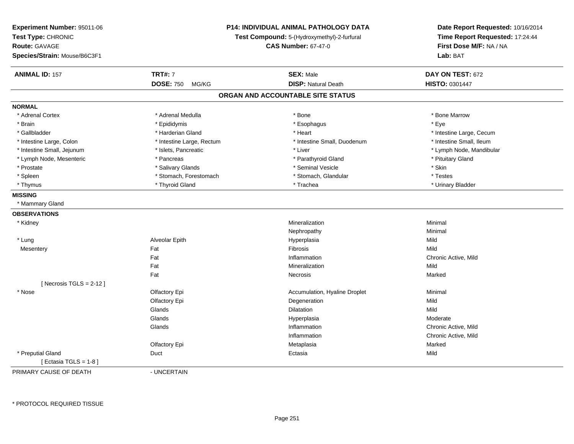| <b>P14: INDIVIDUAL ANIMAL PATHOLOGY DATA</b><br>Experiment Number: 95011-06<br>Test Type: CHRONIC<br>Test Compound: 5-(Hydroxymethyl)-2-furfural<br><b>Route: GAVAGE</b><br><b>CAS Number: 67-47-0</b> | Date Report Requested: 10/16/2014<br>Time Report Requested: 17:24:44 |  |
|--------------------------------------------------------------------------------------------------------------------------------------------------------------------------------------------------------|----------------------------------------------------------------------|--|
|                                                                                                                                                                                                        |                                                                      |  |
|                                                                                                                                                                                                        | First Dose M/F: NA / NA                                              |  |
| Species/Strain: Mouse/B6C3F1                                                                                                                                                                           | Lab: BAT                                                             |  |
|                                                                                                                                                                                                        |                                                                      |  |
| <b>TRT#: 7</b><br><b>SEX: Male</b><br><b>ANIMAL ID: 157</b>                                                                                                                                            | DAY ON TEST: 672                                                     |  |
| <b>DOSE: 750</b><br><b>DISP: Natural Death</b><br>HISTO: 0301447<br>MG/KG                                                                                                                              |                                                                      |  |
| ORGAN AND ACCOUNTABLE SITE STATUS                                                                                                                                                                      |                                                                      |  |
| <b>NORMAL</b>                                                                                                                                                                                          |                                                                      |  |
| * Adrenal Medulla<br>* Adrenal Cortex<br>* Bone                                                                                                                                                        | * Bone Marrow                                                        |  |
| * Esophagus<br>* Eye<br>* Brain<br>* Epididymis                                                                                                                                                        |                                                                      |  |
| * Gallbladder<br>* Harderian Gland<br>* Heart                                                                                                                                                          | * Intestine Large, Cecum                                             |  |
| * Intestine Small, Duodenum<br>* Intestine Large, Colon<br>* Intestine Large, Rectum                                                                                                                   | * Intestine Small, Ileum                                             |  |
| * Islets, Pancreatic<br>* Intestine Small, Jejunum<br>* Liver                                                                                                                                          | * Lymph Node, Mandibular                                             |  |
| * Pancreas<br>* Parathyroid Gland<br>* Lymph Node, Mesenteric                                                                                                                                          | * Pituitary Gland                                                    |  |
| * Seminal Vesicle<br>* Skin<br>* Prostate<br>* Salivary Glands                                                                                                                                         |                                                                      |  |
| * Spleen<br>* Stomach, Forestomach<br>* Stomach, Glandular<br>* Testes                                                                                                                                 |                                                                      |  |
| * Thyroid Gland<br>* Trachea<br>* Thymus                                                                                                                                                               | * Urinary Bladder                                                    |  |
| <b>MISSING</b>                                                                                                                                                                                         |                                                                      |  |
| * Mammary Gland                                                                                                                                                                                        |                                                                      |  |
| <b>OBSERVATIONS</b>                                                                                                                                                                                    |                                                                      |  |
| Minimal<br>* Kidney<br>Mineralization                                                                                                                                                                  |                                                                      |  |
| Minimal<br>Nephropathy                                                                                                                                                                                 |                                                                      |  |
| * Lung<br>Alveolar Epith<br>Mild<br>Hyperplasia                                                                                                                                                        |                                                                      |  |
| Fat<br>Fibrosis<br>Mild<br>Mesentery                                                                                                                                                                   |                                                                      |  |
| Fat<br>Inflammation                                                                                                                                                                                    | Chronic Active, Mild                                                 |  |
| Fat<br>Mild<br>Mineralization                                                                                                                                                                          |                                                                      |  |
| Fat<br>Marked<br><b>Necrosis</b>                                                                                                                                                                       |                                                                      |  |
| [Necrosis TGLS = $2-12$ ]                                                                                                                                                                              |                                                                      |  |
| * Nose<br>Olfactory Epi<br>Accumulation, Hyaline Droplet<br>Minimal                                                                                                                                    |                                                                      |  |
| Olfactory Epi<br>Degeneration<br>Mild                                                                                                                                                                  |                                                                      |  |
| Glands<br>Mild<br>Dilatation                                                                                                                                                                           |                                                                      |  |
| Glands<br>Moderate<br>Hyperplasia                                                                                                                                                                      |                                                                      |  |
| Glands<br>Inflammation                                                                                                                                                                                 | Chronic Active, Mild                                                 |  |
| Inflammation                                                                                                                                                                                           | Chronic Active, Mild                                                 |  |
| Olfactory Epi<br>Marked<br>Metaplasia                                                                                                                                                                  |                                                                      |  |
| * Preputial Gland<br>Mild<br>Duct<br>Ectasia                                                                                                                                                           |                                                                      |  |
| [ Ectasia TGLS = 1-8 ]                                                                                                                                                                                 |                                                                      |  |
| PRIMARY CAUSE OF DEATH<br>- UNCERTAIN                                                                                                                                                                  |                                                                      |  |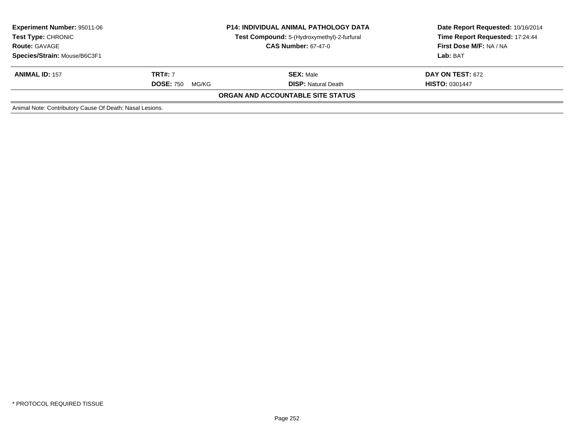| <b>Experiment Number: 95011-06</b><br><b>Test Type: CHRONIC</b><br><b>Route: GAVAGE</b> | <b>P14: INDIVIDUAL ANIMAL PATHOLOGY DATA</b><br>Test Compound: 5-(Hydroxymethyl)-2-furfural<br><b>CAS Number: 67-47-0</b> |                                   | Date Report Requested: 10/16/2014<br>Time Report Requested: 17:24:44<br>First Dose M/F: NA / NA<br>Lab: BAT |
|-----------------------------------------------------------------------------------------|---------------------------------------------------------------------------------------------------------------------------|-----------------------------------|-------------------------------------------------------------------------------------------------------------|
| Species/Strain: Mouse/B6C3F1                                                            |                                                                                                                           |                                   |                                                                                                             |
| <b>ANIMAL ID: 157</b>                                                                   | <b>TRT#: 7</b>                                                                                                            | <b>SEX: Male</b>                  | <b>DAY ON TEST: 672</b>                                                                                     |
|                                                                                         | <b>DOSE: 750</b><br>MG/KG                                                                                                 | <b>DISP: Natural Death</b>        | <b>HISTO: 0301447</b>                                                                                       |
|                                                                                         |                                                                                                                           | ORGAN AND ACCOUNTABLE SITE STATUS |                                                                                                             |
| Animal Note: Contributory Cause Of Death: Nasal Lesions.                                |                                                                                                                           |                                   |                                                                                                             |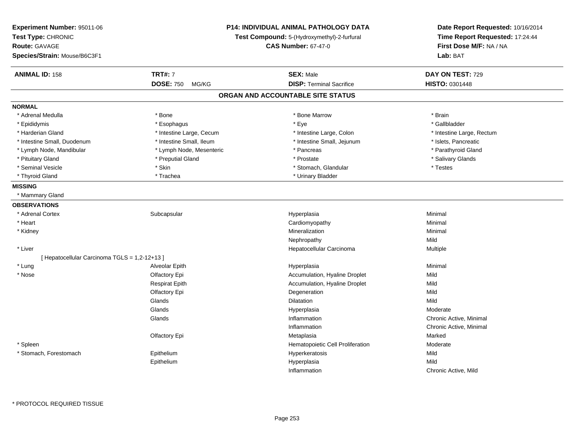| Experiment Number: 95011-06<br>Test Type: CHRONIC<br><b>Route: GAVAGE</b><br>Species/Strain: Mouse/B6C3F1 | <b>P14: INDIVIDUAL ANIMAL PATHOLOGY DATA</b><br>Test Compound: 5-(Hydroxymethyl)-2-furfural |                                   | Date Report Requested: 10/16/2014<br>Time Report Requested: 17:24:44<br>First Dose M/F: NA / NA<br>Lab: BAT |
|-----------------------------------------------------------------------------------------------------------|---------------------------------------------------------------------------------------------|-----------------------------------|-------------------------------------------------------------------------------------------------------------|
| <b>ANIMAL ID: 158</b>                                                                                     | <b>TRT#: 7</b>                                                                              | <b>SEX: Male</b>                  | DAY ON TEST: 729                                                                                            |
|                                                                                                           | <b>DOSE: 750</b><br>MG/KG                                                                   | <b>DISP: Terminal Sacrifice</b>   | HISTO: 0301448                                                                                              |
|                                                                                                           |                                                                                             | ORGAN AND ACCOUNTABLE SITE STATUS |                                                                                                             |
| <b>NORMAL</b>                                                                                             |                                                                                             |                                   |                                                                                                             |
| * Adrenal Medulla                                                                                         | * Bone                                                                                      | * Bone Marrow                     | * Brain                                                                                                     |
| * Epididymis                                                                                              | * Esophagus                                                                                 | * Eye                             | * Gallbladder                                                                                               |
| * Harderian Gland                                                                                         | * Intestine Large, Cecum                                                                    | * Intestine Large, Colon          | * Intestine Large, Rectum                                                                                   |
| * Intestine Small, Duodenum                                                                               | * Intestine Small, Ileum                                                                    | * Intestine Small, Jejunum        | * Islets, Pancreatic                                                                                        |
| * Lymph Node, Mandibular                                                                                  | * Lymph Node, Mesenteric                                                                    | * Pancreas                        | * Parathyroid Gland                                                                                         |
| * Pituitary Gland                                                                                         | * Preputial Gland                                                                           | * Prostate                        | * Salivary Glands                                                                                           |
| * Seminal Vesicle                                                                                         | * Skin                                                                                      | * Stomach, Glandular              | * Testes                                                                                                    |
| * Thyroid Gland                                                                                           | * Trachea                                                                                   | * Urinary Bladder                 |                                                                                                             |
| <b>MISSING</b>                                                                                            |                                                                                             |                                   |                                                                                                             |
| * Mammary Gland                                                                                           |                                                                                             |                                   |                                                                                                             |
| <b>OBSERVATIONS</b>                                                                                       |                                                                                             |                                   |                                                                                                             |
| * Adrenal Cortex                                                                                          | Subcapsular                                                                                 | Hyperplasia                       | Minimal                                                                                                     |
| * Heart                                                                                                   |                                                                                             | Cardiomyopathy                    | Minimal                                                                                                     |
| * Kidney                                                                                                  |                                                                                             | Mineralization                    | Minimal                                                                                                     |
|                                                                                                           |                                                                                             | Nephropathy                       | Mild                                                                                                        |
| * Liver                                                                                                   |                                                                                             | Hepatocellular Carcinoma          | Multiple                                                                                                    |
| [ Hepatocellular Carcinoma TGLS = 1,2-12+13 ]                                                             |                                                                                             |                                   |                                                                                                             |
| * Lung                                                                                                    | Alveolar Epith                                                                              | Hyperplasia                       | Minimal                                                                                                     |
| * Nose                                                                                                    | Olfactory Epi                                                                               | Accumulation, Hyaline Droplet     | Mild                                                                                                        |
|                                                                                                           | <b>Respirat Epith</b>                                                                       | Accumulation, Hyaline Droplet     | Mild                                                                                                        |
|                                                                                                           | Olfactory Epi                                                                               | Degeneration                      | Mild                                                                                                        |
|                                                                                                           | Glands                                                                                      | <b>Dilatation</b>                 | Mild                                                                                                        |
|                                                                                                           | Glands                                                                                      | Hyperplasia                       | Moderate                                                                                                    |
|                                                                                                           | Glands                                                                                      | Inflammation                      | Chronic Active, Minimal                                                                                     |
|                                                                                                           |                                                                                             | Inflammation                      | Chronic Active, Minimal                                                                                     |
|                                                                                                           | <b>Olfactory Epi</b>                                                                        | Metaplasia                        | Marked                                                                                                      |
| * Spleen                                                                                                  |                                                                                             | Hematopoietic Cell Proliferation  | Moderate                                                                                                    |
| * Stomach, Forestomach                                                                                    | Epithelium                                                                                  | Hyperkeratosis                    | Mild                                                                                                        |
|                                                                                                           | Epithelium                                                                                  | Hyperplasia                       | Mild                                                                                                        |
|                                                                                                           |                                                                                             | Inflammation                      | Chronic Active, Mild                                                                                        |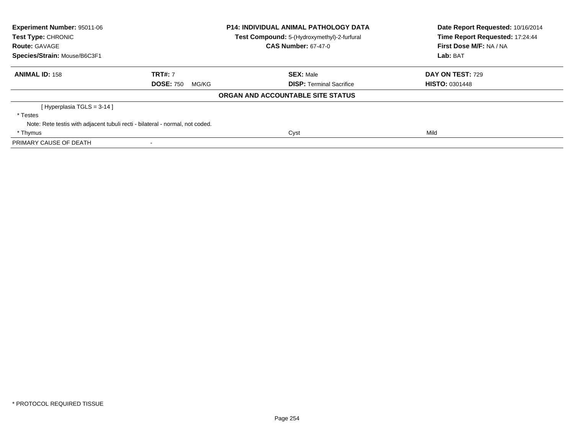| Experiment Number: 95011-06<br><b>Test Type: CHRONIC</b> |                                                                               | <b>P14: INDIVIDUAL ANIMAL PATHOLOGY DATA</b> | Date Report Requested: 10/16/2014<br>Time Report Requested: 17:24:44 |  |
|----------------------------------------------------------|-------------------------------------------------------------------------------|----------------------------------------------|----------------------------------------------------------------------|--|
|                                                          |                                                                               | Test Compound: 5-(Hydroxymethyl)-2-furfural  |                                                                      |  |
| <b>Route: GAVAGE</b>                                     |                                                                               | <b>CAS Number: 67-47-0</b>                   | First Dose M/F: NA / NA                                              |  |
| Species/Strain: Mouse/B6C3F1                             |                                                                               |                                              | Lab: BAT                                                             |  |
| <b>ANIMAL ID: 158</b>                                    | <b>TRT#: 7</b>                                                                | <b>SEX: Male</b>                             | DAY ON TEST: 729                                                     |  |
|                                                          | <b>DOSE: 750</b><br>MG/KG                                                     | <b>DISP:</b> Terminal Sacrifice              | <b>HISTO: 0301448</b>                                                |  |
|                                                          |                                                                               | ORGAN AND ACCOUNTABLE SITE STATUS            |                                                                      |  |
| [Hyperplasia TGLS = 3-14]                                |                                                                               |                                              |                                                                      |  |
| * Testes                                                 |                                                                               |                                              |                                                                      |  |
|                                                          | Note: Rete testis with adjacent tubuli recti - bilateral - normal, not coded. |                                              |                                                                      |  |
| * Thymus                                                 |                                                                               | Cyst                                         | Mild                                                                 |  |
| PRIMARY CAUSE OF DEATH                                   |                                                                               |                                              |                                                                      |  |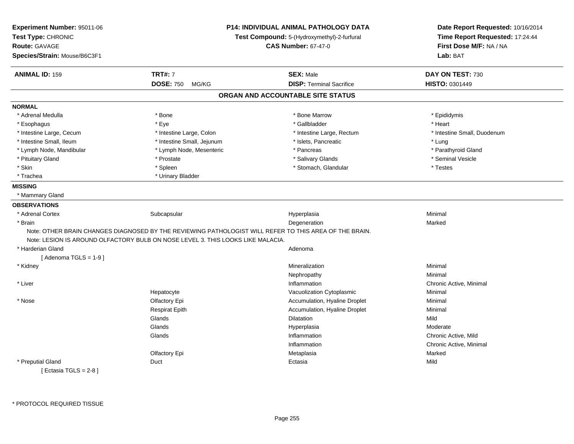| Experiment Number: 95011-06<br>Test Type: CHRONIC<br>Route: GAVAGE<br>Species/Strain: Mouse/B6C3F1 |                                                                                 | <b>P14: INDIVIDUAL ANIMAL PATHOLOGY DATA</b><br>Test Compound: 5-(Hydroxymethyl)-2-furfural<br><b>CAS Number: 67-47-0</b> | Date Report Requested: 10/16/2014<br>Time Report Requested: 17:24:44<br>First Dose M/F: NA / NA<br>Lab: BAT |
|----------------------------------------------------------------------------------------------------|---------------------------------------------------------------------------------|---------------------------------------------------------------------------------------------------------------------------|-------------------------------------------------------------------------------------------------------------|
| <b>ANIMAL ID: 159</b>                                                                              | <b>TRT#: 7</b>                                                                  | <b>SEX: Male</b>                                                                                                          | DAY ON TEST: 730                                                                                            |
|                                                                                                    | <b>DOSE: 750</b><br>MG/KG                                                       | <b>DISP: Terminal Sacrifice</b>                                                                                           | HISTO: 0301449                                                                                              |
|                                                                                                    |                                                                                 | ORGAN AND ACCOUNTABLE SITE STATUS                                                                                         |                                                                                                             |
| <b>NORMAL</b>                                                                                      |                                                                                 |                                                                                                                           |                                                                                                             |
| * Adrenal Medulla                                                                                  | * Bone                                                                          | * Bone Marrow                                                                                                             | * Epididymis                                                                                                |
| * Esophagus                                                                                        | $*$ Eye                                                                         | * Gallbladder                                                                                                             | * Heart                                                                                                     |
| * Intestine Large, Cecum                                                                           | * Intestine Large, Colon                                                        | * Intestine Large, Rectum                                                                                                 | * Intestine Small, Duodenum                                                                                 |
| * Intestine Small, Ileum                                                                           | * Intestine Small, Jejunum                                                      | * Islets, Pancreatic                                                                                                      | * Lung                                                                                                      |
| * Lymph Node, Mandibular                                                                           | * Lymph Node, Mesenteric                                                        | * Pancreas                                                                                                                | * Parathyroid Gland                                                                                         |
| * Pituitary Gland                                                                                  | * Prostate                                                                      | * Salivary Glands                                                                                                         | * Seminal Vesicle                                                                                           |
| * Skin                                                                                             | * Spleen                                                                        | * Stomach, Glandular                                                                                                      | * Testes                                                                                                    |
| * Trachea                                                                                          | * Urinary Bladder                                                               |                                                                                                                           |                                                                                                             |
| <b>MISSING</b>                                                                                     |                                                                                 |                                                                                                                           |                                                                                                             |
| * Mammary Gland                                                                                    |                                                                                 |                                                                                                                           |                                                                                                             |
| <b>OBSERVATIONS</b>                                                                                |                                                                                 |                                                                                                                           |                                                                                                             |
| * Adrenal Cortex                                                                                   | Subcapsular                                                                     | Hyperplasia                                                                                                               | Minimal                                                                                                     |
| * Brain                                                                                            |                                                                                 | Degeneration                                                                                                              | Marked                                                                                                      |
|                                                                                                    | Note: LESION IS AROUND OLFACTORY BULB ON NOSE LEVEL 3. THIS LOOKS LIKE MALACIA. | Note: OTHER BRAIN CHANGES DIAGNOSED BY THE REVIEWING PATHOLOGIST WILL REFER TO THIS AREA OF THE BRAIN.                    |                                                                                                             |
| * Harderian Gland                                                                                  |                                                                                 | Adenoma                                                                                                                   |                                                                                                             |
| [Adenoma TGLS = $1-9$ ]                                                                            |                                                                                 |                                                                                                                           |                                                                                                             |
| * Kidney                                                                                           |                                                                                 | Mineralization                                                                                                            | Minimal                                                                                                     |
|                                                                                                    |                                                                                 | Nephropathy                                                                                                               | Minimal                                                                                                     |
| * Liver                                                                                            |                                                                                 | Inflammation                                                                                                              | Chronic Active, Minimal                                                                                     |
|                                                                                                    | Hepatocyte                                                                      | Vacuolization Cytoplasmic                                                                                                 | Minimal                                                                                                     |
| * Nose                                                                                             | Olfactory Epi                                                                   | Accumulation, Hyaline Droplet                                                                                             | Minimal                                                                                                     |
|                                                                                                    | <b>Respirat Epith</b>                                                           | Accumulation, Hyaline Droplet                                                                                             | Minimal                                                                                                     |
|                                                                                                    | Glands                                                                          | Dilatation                                                                                                                | Mild                                                                                                        |
|                                                                                                    | Glands                                                                          | Hyperplasia                                                                                                               | Moderate                                                                                                    |
|                                                                                                    | Glands                                                                          | Inflammation                                                                                                              | Chronic Active, Mild                                                                                        |
|                                                                                                    |                                                                                 | Inflammation                                                                                                              | Chronic Active, Minimal                                                                                     |
|                                                                                                    | Olfactory Epi                                                                   | Metaplasia                                                                                                                | Marked                                                                                                      |
| * Preputial Gland                                                                                  | Duct                                                                            | Ectasia                                                                                                                   | Mild                                                                                                        |
| [ Ectasia TGLS = $2-8$ ]                                                                           |                                                                                 |                                                                                                                           |                                                                                                             |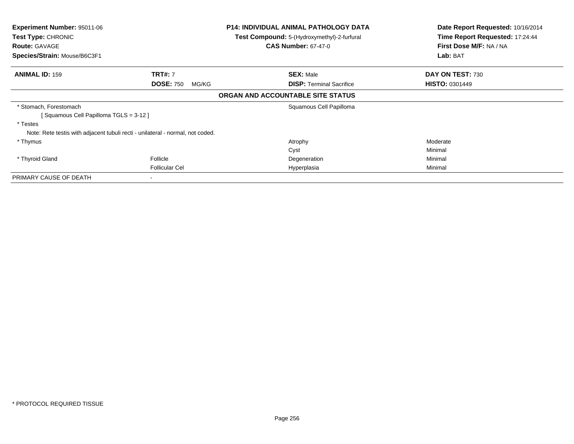| <b>Experiment Number: 95011-06</b><br>Test Type: CHRONIC<br><b>Route: GAVAGE</b><br>Species/Strain: Mouse/B6C3F1 |                           | <b>P14: INDIVIDUAL ANIMAL PATHOLOGY DATA</b><br><b>Test Compound:</b> 5-(Hydroxymethyl)-2-furfural<br><b>CAS Number: 67-47-0</b> | Date Report Requested: 10/16/2014<br>Time Report Requested: 17:24:44<br>First Dose M/F: NA / NA |
|------------------------------------------------------------------------------------------------------------------|---------------------------|----------------------------------------------------------------------------------------------------------------------------------|-------------------------------------------------------------------------------------------------|
|                                                                                                                  |                           |                                                                                                                                  | Lab: BAT                                                                                        |
| <b>ANIMAL ID: 159</b>                                                                                            | <b>TRT#: 7</b>            | <b>SEX: Male</b>                                                                                                                 | DAY ON TEST: 730                                                                                |
|                                                                                                                  | <b>DOSE: 750</b><br>MG/KG | <b>DISP:</b> Terminal Sacrifice                                                                                                  | <b>HISTO: 0301449</b>                                                                           |
|                                                                                                                  |                           | ORGAN AND ACCOUNTABLE SITE STATUS                                                                                                |                                                                                                 |
| * Stomach, Forestomach                                                                                           |                           | Squamous Cell Papilloma                                                                                                          |                                                                                                 |
| [Squamous Cell Papilloma TGLS = 3-12]                                                                            |                           |                                                                                                                                  |                                                                                                 |
| * Testes                                                                                                         |                           |                                                                                                                                  |                                                                                                 |
| Note: Rete testis with adjacent tubuli recti - unilateral - normal, not coded.                                   |                           |                                                                                                                                  |                                                                                                 |
| * Thymus                                                                                                         |                           | Atrophy                                                                                                                          | Moderate                                                                                        |
|                                                                                                                  |                           | Cyst                                                                                                                             | Minimal                                                                                         |
| * Thyroid Gland                                                                                                  | Follicle                  | Degeneration                                                                                                                     | Minimal                                                                                         |
|                                                                                                                  | <b>Follicular Cel</b>     | Hyperplasia                                                                                                                      | Minimal                                                                                         |
| PRIMARY CAUSE OF DEATH                                                                                           |                           |                                                                                                                                  |                                                                                                 |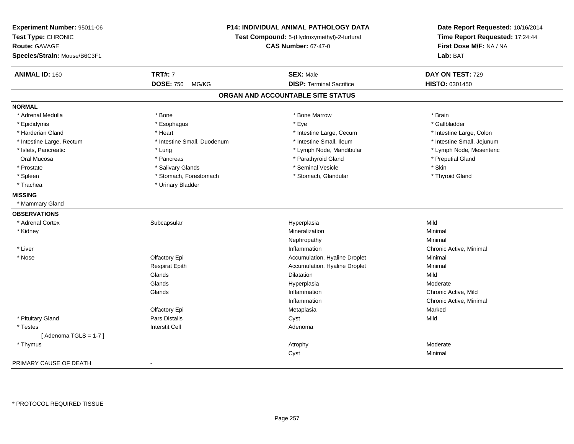| Experiment Number: 95011-06<br>Test Type: CHRONIC<br><b>Route: GAVAGE</b><br>Species/Strain: Mouse/B6C3F1 | <b>P14: INDIVIDUAL ANIMAL PATHOLOGY DATA</b><br>Test Compound: 5-(Hydroxymethyl)-2-furfural<br><b>CAS Number: 67-47-0</b> |                                   | Date Report Requested: 10/16/2014<br>Time Report Requested: 17:24:44<br>First Dose M/F: NA / NA<br>Lab: BAT |
|-----------------------------------------------------------------------------------------------------------|---------------------------------------------------------------------------------------------------------------------------|-----------------------------------|-------------------------------------------------------------------------------------------------------------|
| <b>ANIMAL ID: 160</b>                                                                                     | <b>TRT#: 7</b>                                                                                                            | <b>SEX: Male</b>                  | DAY ON TEST: 729                                                                                            |
|                                                                                                           | <b>DOSE: 750</b><br>MG/KG                                                                                                 | <b>DISP: Terminal Sacrifice</b>   | HISTO: 0301450                                                                                              |
|                                                                                                           |                                                                                                                           | ORGAN AND ACCOUNTABLE SITE STATUS |                                                                                                             |
| <b>NORMAL</b>                                                                                             |                                                                                                                           |                                   |                                                                                                             |
| * Adrenal Medulla                                                                                         | * Bone                                                                                                                    | * Bone Marrow                     | * Brain                                                                                                     |
| * Epididymis                                                                                              | * Esophagus                                                                                                               | * Eye                             | * Gallbladder                                                                                               |
| * Harderian Gland                                                                                         | * Heart                                                                                                                   | * Intestine Large, Cecum          | * Intestine Large, Colon                                                                                    |
| * Intestine Large, Rectum                                                                                 | * Intestine Small, Duodenum                                                                                               | * Intestine Small, Ileum          | * Intestine Small, Jejunum                                                                                  |
| * Islets, Pancreatic                                                                                      | * Lung                                                                                                                    | * Lymph Node, Mandibular          | * Lymph Node, Mesenteric                                                                                    |
| Oral Mucosa                                                                                               | * Pancreas                                                                                                                | * Parathyroid Gland               | * Preputial Gland                                                                                           |
| * Prostate                                                                                                | * Salivary Glands                                                                                                         | * Seminal Vesicle                 | * Skin                                                                                                      |
| * Spleen                                                                                                  | * Stomach, Forestomach                                                                                                    | * Stomach, Glandular              | * Thyroid Gland                                                                                             |
| * Trachea                                                                                                 | * Urinary Bladder                                                                                                         |                                   |                                                                                                             |
| <b>MISSING</b>                                                                                            |                                                                                                                           |                                   |                                                                                                             |
| * Mammary Gland                                                                                           |                                                                                                                           |                                   |                                                                                                             |
| <b>OBSERVATIONS</b>                                                                                       |                                                                                                                           |                                   |                                                                                                             |
| * Adrenal Cortex                                                                                          | Subcapsular                                                                                                               | Hyperplasia                       | Mild                                                                                                        |
| * Kidney                                                                                                  |                                                                                                                           | Mineralization                    | Minimal                                                                                                     |
|                                                                                                           |                                                                                                                           | Nephropathy                       | Minimal                                                                                                     |
| * Liver                                                                                                   |                                                                                                                           | Inflammation                      | Chronic Active, Minimal                                                                                     |
| * Nose                                                                                                    | Olfactory Epi                                                                                                             | Accumulation, Hyaline Droplet     | Minimal                                                                                                     |
|                                                                                                           | <b>Respirat Epith</b>                                                                                                     | Accumulation, Hyaline Droplet     | Minimal                                                                                                     |
|                                                                                                           | Glands                                                                                                                    | Dilatation                        | Mild                                                                                                        |
|                                                                                                           | Glands                                                                                                                    | Hyperplasia                       | Moderate                                                                                                    |
|                                                                                                           | Glands                                                                                                                    | Inflammation                      | Chronic Active, Mild                                                                                        |
|                                                                                                           |                                                                                                                           | Inflammation                      | Chronic Active, Minimal                                                                                     |
|                                                                                                           | Olfactory Epi                                                                                                             | Metaplasia                        | Marked                                                                                                      |
| * Pituitary Gland                                                                                         | <b>Pars Distalis</b>                                                                                                      | Cyst                              | Mild                                                                                                        |
| * Testes                                                                                                  | <b>Interstit Cell</b>                                                                                                     | Adenoma                           |                                                                                                             |
| [Adenoma TGLS = $1-7$ ]                                                                                   |                                                                                                                           |                                   |                                                                                                             |
| * Thymus                                                                                                  |                                                                                                                           | Atrophy                           | Moderate                                                                                                    |
|                                                                                                           |                                                                                                                           | Cyst                              | Minimal                                                                                                     |
| PRIMARY CAUSE OF DEATH                                                                                    |                                                                                                                           |                                   |                                                                                                             |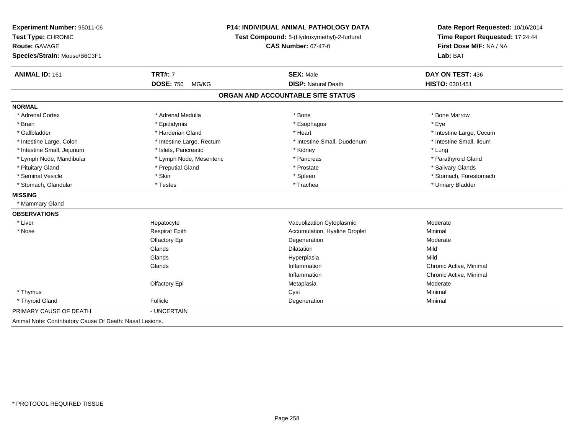| <b>P14: INDIVIDUAL ANIMAL PATHOLOGY DATA</b><br>Test Compound: 5-(Hydroxymethyl)-2-furfural<br><b>CAS Number: 67-47-0</b> |                               | Date Report Requested: 10/16/2014<br>Time Report Requested: 17:24:44<br>First Dose M/F: NA / NA |  |
|---------------------------------------------------------------------------------------------------------------------------|-------------------------------|-------------------------------------------------------------------------------------------------|--|
|                                                                                                                           |                               |                                                                                                 |  |
| <b>TRT#: 7</b>                                                                                                            | <b>SEX: Male</b>              | DAY ON TEST: 436                                                                                |  |
| <b>DOSE: 750</b><br>MG/KG                                                                                                 | <b>DISP: Natural Death</b>    | HISTO: 0301451                                                                                  |  |
|                                                                                                                           |                               |                                                                                                 |  |
|                                                                                                                           |                               |                                                                                                 |  |
| * Adrenal Medulla                                                                                                         | * Bone                        | * Bone Marrow                                                                                   |  |
| * Epididymis                                                                                                              | * Esophagus                   | * Eve                                                                                           |  |
| * Harderian Gland                                                                                                         | * Heart                       | * Intestine Large, Cecum                                                                        |  |
| * Intestine Large, Rectum                                                                                                 | * Intestine Small, Duodenum   | * Intestine Small, Ileum                                                                        |  |
| * Islets, Pancreatic                                                                                                      | * Kidney                      | * Lung                                                                                          |  |
| * Lymph Node, Mesenteric                                                                                                  | * Pancreas                    | * Parathyroid Gland                                                                             |  |
| * Preputial Gland                                                                                                         | * Prostate                    | * Salivary Glands                                                                               |  |
| * Skin                                                                                                                    | * Spleen                      | * Stomach, Forestomach                                                                          |  |
| * Testes                                                                                                                  | * Trachea                     | * Urinary Bladder                                                                               |  |
|                                                                                                                           |                               |                                                                                                 |  |
|                                                                                                                           |                               |                                                                                                 |  |
|                                                                                                                           |                               |                                                                                                 |  |
| Hepatocyte                                                                                                                | Vacuolization Cytoplasmic     | Moderate                                                                                        |  |
| <b>Respirat Epith</b>                                                                                                     | Accumulation, Hyaline Droplet | Minimal                                                                                         |  |
| Olfactory Epi                                                                                                             | Degeneration                  | Moderate                                                                                        |  |
| Glands                                                                                                                    | <b>Dilatation</b>             | Mild                                                                                            |  |
| Glands                                                                                                                    | Hyperplasia                   | Mild                                                                                            |  |
| Glands                                                                                                                    | Inflammation                  | Chronic Active, Minimal                                                                         |  |
|                                                                                                                           | Inflammation                  | Chronic Active, Minimal                                                                         |  |
| Olfactory Epi                                                                                                             | Metaplasia                    | Moderate                                                                                        |  |
|                                                                                                                           | Cyst                          | Minimal                                                                                         |  |
| Follicle                                                                                                                  | Degeneration                  | Minimal                                                                                         |  |
| - UNCERTAIN                                                                                                               |                               |                                                                                                 |  |
|                                                                                                                           |                               | ORGAN AND ACCOUNTABLE SITE STATUS                                                               |  |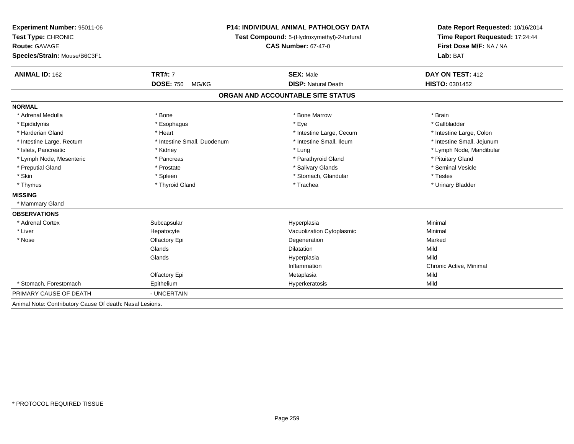| Experiment Number: 95011-06                              | <b>P14: INDIVIDUAL ANIMAL PATHOLOGY DATA</b><br>Test Compound: 5-(Hydroxymethyl)-2-furfural |                                   | Date Report Requested: 10/16/2014<br>Time Report Requested: 17:24:44 |
|----------------------------------------------------------|---------------------------------------------------------------------------------------------|-----------------------------------|----------------------------------------------------------------------|
| Test Type: CHRONIC                                       |                                                                                             |                                   |                                                                      |
| Route: GAVAGE                                            |                                                                                             | <b>CAS Number: 67-47-0</b>        | First Dose M/F: NA / NA                                              |
| Species/Strain: Mouse/B6C3F1                             |                                                                                             |                                   | Lab: BAT                                                             |
| <b>ANIMAL ID: 162</b>                                    | <b>TRT#: 7</b>                                                                              | <b>SEX: Male</b>                  | DAY ON TEST: 412                                                     |
|                                                          | <b>DOSE: 750</b><br>MG/KG                                                                   | <b>DISP: Natural Death</b>        | HISTO: 0301452                                                       |
|                                                          |                                                                                             | ORGAN AND ACCOUNTABLE SITE STATUS |                                                                      |
| <b>NORMAL</b>                                            |                                                                                             |                                   |                                                                      |
| * Adrenal Medulla                                        | * Bone                                                                                      | * Bone Marrow                     | * Brain                                                              |
| * Epididymis                                             | * Esophagus                                                                                 | * Eye                             | * Gallbladder                                                        |
| * Harderian Gland                                        | * Heart                                                                                     | * Intestine Large, Cecum          | * Intestine Large, Colon                                             |
| * Intestine Large, Rectum                                | * Intestine Small, Duodenum                                                                 | * Intestine Small, Ileum          | * Intestine Small, Jejunum                                           |
| * Islets, Pancreatic                                     | * Kidney                                                                                    | * Lung                            | * Lymph Node, Mandibular                                             |
| * Lymph Node, Mesenteric                                 | * Pancreas                                                                                  | * Parathyroid Gland               | * Pituitary Gland                                                    |
| * Preputial Gland                                        | * Prostate                                                                                  | * Salivary Glands                 | * Seminal Vesicle                                                    |
| * Skin                                                   | * Spleen                                                                                    | * Stomach, Glandular              | * Testes                                                             |
| * Thymus                                                 | * Thyroid Gland                                                                             | * Trachea                         | * Urinary Bladder                                                    |
| <b>MISSING</b>                                           |                                                                                             |                                   |                                                                      |
| * Mammary Gland                                          |                                                                                             |                                   |                                                                      |
| <b>OBSERVATIONS</b>                                      |                                                                                             |                                   |                                                                      |
| * Adrenal Cortex                                         | Subcapsular                                                                                 | Hyperplasia                       | Minimal                                                              |
| * Liver                                                  | Hepatocyte                                                                                  | Vacuolization Cytoplasmic         | Minimal                                                              |
| * Nose                                                   | Olfactory Epi                                                                               | Degeneration                      | Marked                                                               |
|                                                          | Glands                                                                                      | <b>Dilatation</b>                 | Mild                                                                 |
|                                                          | Glands                                                                                      | Hyperplasia                       | Mild                                                                 |
|                                                          |                                                                                             | Inflammation                      | Chronic Active, Minimal                                              |
|                                                          | Olfactory Epi                                                                               | Metaplasia                        | Mild                                                                 |
| * Stomach. Forestomach                                   | Epithelium                                                                                  | Hyperkeratosis                    | Mild                                                                 |
| PRIMARY CAUSE OF DEATH                                   | - UNCERTAIN                                                                                 |                                   |                                                                      |
| Animal Note: Contributory Cause Of death: Nasal Lesions. |                                                                                             |                                   |                                                                      |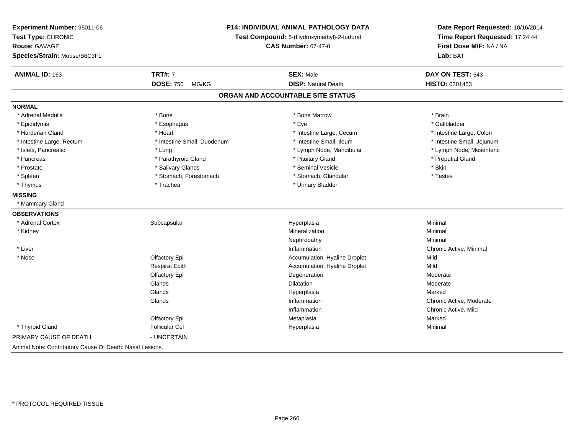| Experiment Number: 95011-06<br>Test Type: CHRONIC<br><b>Route: GAVAGE</b><br>Species/Strain: Mouse/B6C3F1 |                             | <b>P14: INDIVIDUAL ANIMAL PATHOLOGY DATA</b><br>Test Compound: 5-(Hydroxymethyl)-2-furfural<br><b>CAS Number: 67-47-0</b> | Date Report Requested: 10/16/2014<br>Time Report Requested: 17:24:44<br>First Dose M/F: NA / NA<br>Lab: BAT |
|-----------------------------------------------------------------------------------------------------------|-----------------------------|---------------------------------------------------------------------------------------------------------------------------|-------------------------------------------------------------------------------------------------------------|
| ANIMAL ID: 163                                                                                            | <b>TRT#: 7</b>              | <b>SEX: Male</b>                                                                                                          | DAY ON TEST: 643                                                                                            |
|                                                                                                           | <b>DOSE: 750</b><br>MG/KG   | <b>DISP: Natural Death</b>                                                                                                | HISTO: 0301453                                                                                              |
|                                                                                                           |                             | ORGAN AND ACCOUNTABLE SITE STATUS                                                                                         |                                                                                                             |
| <b>NORMAL</b>                                                                                             |                             |                                                                                                                           |                                                                                                             |
| * Adrenal Medulla                                                                                         | * Bone                      | * Bone Marrow                                                                                                             | * Brain                                                                                                     |
| * Epididymis                                                                                              | * Esophagus                 | * Eye                                                                                                                     | * Gallbladder                                                                                               |
| * Harderian Gland                                                                                         | * Heart                     | * Intestine Large, Cecum                                                                                                  | * Intestine Large, Colon                                                                                    |
| * Intestine Large, Rectum                                                                                 | * Intestine Small, Duodenum | * Intestine Small, Ileum                                                                                                  | * Intestine Small, Jejunum                                                                                  |
| * Islets, Pancreatic                                                                                      | * Lung                      | * Lymph Node, Mandibular                                                                                                  | * Lymph Node, Mesenteric                                                                                    |
| * Pancreas                                                                                                | * Parathyroid Gland         | * Pituitary Gland                                                                                                         | * Preputial Gland                                                                                           |
| * Prostate                                                                                                | * Salivary Glands           | * Seminal Vesicle                                                                                                         | * Skin                                                                                                      |
| * Spleen                                                                                                  | * Stomach, Forestomach      | * Stomach, Glandular                                                                                                      | * Testes                                                                                                    |
| * Thymus                                                                                                  | * Trachea                   | * Urinary Bladder                                                                                                         |                                                                                                             |
| <b>MISSING</b>                                                                                            |                             |                                                                                                                           |                                                                                                             |
| * Mammary Gland                                                                                           |                             |                                                                                                                           |                                                                                                             |
| <b>OBSERVATIONS</b>                                                                                       |                             |                                                                                                                           |                                                                                                             |
| * Adrenal Cortex                                                                                          | Subcapsular                 | Hyperplasia                                                                                                               | Minimal                                                                                                     |
| * Kidney                                                                                                  |                             | Mineralization                                                                                                            | Minimal                                                                                                     |
|                                                                                                           |                             | Nephropathy                                                                                                               | Minimal                                                                                                     |
| * Liver                                                                                                   |                             | Inflammation                                                                                                              | Chronic Active, Minimal                                                                                     |
| * Nose                                                                                                    | Olfactory Epi               | Accumulation, Hyaline Droplet                                                                                             | Mild                                                                                                        |
|                                                                                                           | <b>Respirat Epith</b>       | Accumulation, Hyaline Droplet                                                                                             | Mild                                                                                                        |
|                                                                                                           | Olfactory Epi               | Degeneration                                                                                                              | Moderate                                                                                                    |
|                                                                                                           | Glands                      | Dilatation                                                                                                                | Moderate                                                                                                    |
|                                                                                                           | Glands                      | Hyperplasia                                                                                                               | Marked                                                                                                      |
|                                                                                                           | Glands                      | Inflammation                                                                                                              | Chronic Active, Moderate                                                                                    |
|                                                                                                           |                             | Inflammation                                                                                                              | Chronic Active, Mild                                                                                        |
|                                                                                                           | Olfactory Epi               | Metaplasia                                                                                                                | Marked                                                                                                      |
| * Thyroid Gland                                                                                           | <b>Follicular Cel</b>       | Hyperplasia                                                                                                               | Minimal                                                                                                     |
| PRIMARY CAUSE OF DEATH                                                                                    | - UNCERTAIN                 |                                                                                                                           |                                                                                                             |
| Animal Note: Contributory Cause Of Death: Nasal Lesions.                                                  |                             |                                                                                                                           |                                                                                                             |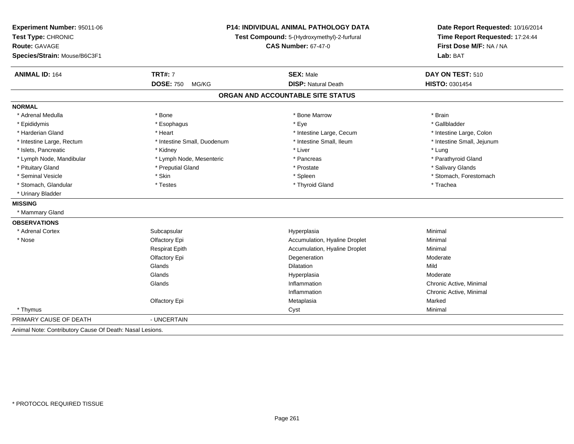| Experiment Number: 95011-06<br>Test Type: CHRONIC<br>Route: GAVAGE<br>Species/Strain: Mouse/B6C3F1 |                             | <b>P14: INDIVIDUAL ANIMAL PATHOLOGY DATA</b><br>Test Compound: 5-(Hydroxymethyl)-2-furfural<br><b>CAS Number: 67-47-0</b> | Date Report Requested: 10/16/2014<br>Time Report Requested: 17:24:44<br>First Dose M/F: NA / NA<br>Lab: BAT |  |
|----------------------------------------------------------------------------------------------------|-----------------------------|---------------------------------------------------------------------------------------------------------------------------|-------------------------------------------------------------------------------------------------------------|--|
| <b>ANIMAL ID: 164</b>                                                                              | <b>TRT#: 7</b>              | <b>SEX: Male</b>                                                                                                          | DAY ON TEST: 510                                                                                            |  |
|                                                                                                    | <b>DOSE: 750</b><br>MG/KG   | <b>DISP: Natural Death</b>                                                                                                | <b>HISTO: 0301454</b>                                                                                       |  |
|                                                                                                    |                             | ORGAN AND ACCOUNTABLE SITE STATUS                                                                                         |                                                                                                             |  |
| <b>NORMAL</b>                                                                                      |                             |                                                                                                                           |                                                                                                             |  |
| * Adrenal Medulla                                                                                  | * Bone                      | * Bone Marrow                                                                                                             | * Brain                                                                                                     |  |
| * Epididymis                                                                                       | * Esophagus                 | * Eye                                                                                                                     | * Gallbladder                                                                                               |  |
| * Harderian Gland                                                                                  | * Heart                     | * Intestine Large, Cecum                                                                                                  | * Intestine Large, Colon                                                                                    |  |
| * Intestine Large, Rectum                                                                          | * Intestine Small, Duodenum | * Intestine Small, Ileum                                                                                                  | * Intestine Small, Jejunum                                                                                  |  |
| * Islets, Pancreatic                                                                               | * Kidney                    | * Liver                                                                                                                   | * Lung                                                                                                      |  |
| * Lymph Node, Mandibular                                                                           | * Lymph Node, Mesenteric    | * Pancreas                                                                                                                | * Parathyroid Gland                                                                                         |  |
| * Pituitary Gland                                                                                  | * Preputial Gland           | * Prostate                                                                                                                | * Salivary Glands                                                                                           |  |
| * Seminal Vesicle                                                                                  | * Skin                      | * Spleen                                                                                                                  | * Stomach, Forestomach                                                                                      |  |
| * Stomach, Glandular                                                                               | * Testes                    | * Thyroid Gland                                                                                                           | * Trachea                                                                                                   |  |
| * Urinary Bladder                                                                                  |                             |                                                                                                                           |                                                                                                             |  |
| <b>MISSING</b>                                                                                     |                             |                                                                                                                           |                                                                                                             |  |
| * Mammary Gland                                                                                    |                             |                                                                                                                           |                                                                                                             |  |
| <b>OBSERVATIONS</b>                                                                                |                             |                                                                                                                           |                                                                                                             |  |
| * Adrenal Cortex                                                                                   | Subcapsular                 | Hyperplasia                                                                                                               | Minimal                                                                                                     |  |
| * Nose                                                                                             | Olfactory Epi               | Accumulation, Hyaline Droplet                                                                                             | Minimal                                                                                                     |  |
|                                                                                                    | <b>Respirat Epith</b>       | Accumulation, Hyaline Droplet                                                                                             | Minimal                                                                                                     |  |
|                                                                                                    | Olfactory Epi               | Degeneration                                                                                                              | Moderate                                                                                                    |  |
|                                                                                                    | Glands                      | Dilatation                                                                                                                | Mild                                                                                                        |  |
|                                                                                                    | Glands                      | Hyperplasia                                                                                                               | Moderate                                                                                                    |  |
|                                                                                                    | Glands                      | Inflammation                                                                                                              | Chronic Active, Minimal                                                                                     |  |
|                                                                                                    |                             | Inflammation                                                                                                              | Chronic Active, Minimal                                                                                     |  |
|                                                                                                    | Olfactory Epi               | Metaplasia                                                                                                                | Marked                                                                                                      |  |
| * Thymus                                                                                           |                             | Cyst                                                                                                                      | Minimal                                                                                                     |  |
| PRIMARY CAUSE OF DEATH                                                                             | - UNCERTAIN                 |                                                                                                                           |                                                                                                             |  |
| Animal Note: Contributory Cause Of Death: Nasal Lesions.                                           |                             |                                                                                                                           |                                                                                                             |  |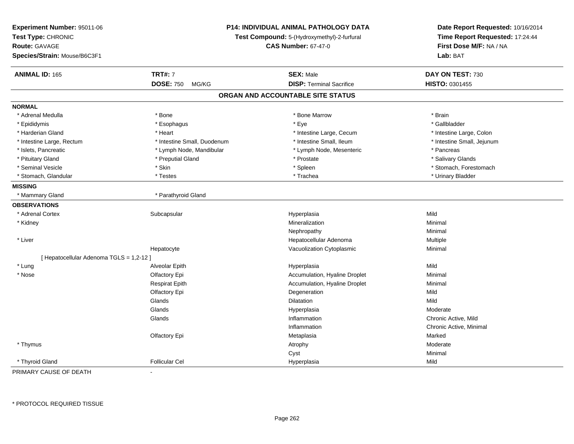| Experiment Number: 95011-06<br>Test Type: CHRONIC<br><b>Route: GAVAGE</b><br>Species/Strain: Mouse/B6C3F1 | <b>P14: INDIVIDUAL ANIMAL PATHOLOGY DATA</b><br>Test Compound: 5-(Hydroxymethyl)-2-furfural<br><b>CAS Number: 67-47-0</b> | Date Report Requested: 10/16/2014<br>Time Report Requested: 17:24:44<br>First Dose M/F: NA / NA<br>Lab: BAT |
|-----------------------------------------------------------------------------------------------------------|---------------------------------------------------------------------------------------------------------------------------|-------------------------------------------------------------------------------------------------------------|
| <b>TRT#: 7</b><br><b>ANIMAL ID: 165</b>                                                                   | <b>SEX: Male</b>                                                                                                          | DAY ON TEST: 730                                                                                            |
| <b>DOSE: 750</b>                                                                                          | <b>DISP: Terminal Sacrifice</b><br>MG/KG                                                                                  | HISTO: 0301455                                                                                              |
|                                                                                                           | ORGAN AND ACCOUNTABLE SITE STATUS                                                                                         |                                                                                                             |
| <b>NORMAL</b>                                                                                             |                                                                                                                           |                                                                                                             |
| * Bone<br>* Adrenal Medulla                                                                               | * Bone Marrow                                                                                                             | * Brain                                                                                                     |
| * Epididymis<br>* Esophagus                                                                               | * Eye                                                                                                                     | * Gallbladder                                                                                               |
| * Harderian Gland<br>* Heart                                                                              | * Intestine Large, Cecum                                                                                                  | * Intestine Large, Colon                                                                                    |
| * Intestine Small, Duodenum<br>* Intestine Large, Rectum                                                  | * Intestine Small, Ileum                                                                                                  | * Intestine Small, Jejunum                                                                                  |
| * Islets, Pancreatic<br>* Lymph Node, Mandibular                                                          | * Lymph Node, Mesenteric                                                                                                  | * Pancreas                                                                                                  |
| * Pituitary Gland<br>* Preputial Gland                                                                    | * Prostate                                                                                                                | * Salivary Glands                                                                                           |
| * Skin<br>* Seminal Vesicle                                                                               | * Spleen                                                                                                                  | * Stomach, Forestomach                                                                                      |
| * Stomach, Glandular<br>* Testes                                                                          | * Trachea                                                                                                                 | * Urinary Bladder                                                                                           |
| <b>MISSING</b>                                                                                            |                                                                                                                           |                                                                                                             |
| * Mammary Gland<br>* Parathyroid Gland                                                                    |                                                                                                                           |                                                                                                             |
| <b>OBSERVATIONS</b>                                                                                       |                                                                                                                           |                                                                                                             |
| * Adrenal Cortex<br>Subcapsular                                                                           | Hyperplasia                                                                                                               | Mild                                                                                                        |
| * Kidney                                                                                                  | Mineralization                                                                                                            | Minimal                                                                                                     |
|                                                                                                           | Nephropathy                                                                                                               | Minimal                                                                                                     |
| * Liver                                                                                                   | Hepatocellular Adenoma                                                                                                    | Multiple                                                                                                    |
| Hepatocyte                                                                                                | Vacuolization Cytoplasmic                                                                                                 | Minimal                                                                                                     |
| [ Hepatocellular Adenoma TGLS = 1,2-12 ]                                                                  |                                                                                                                           |                                                                                                             |
| * Lung<br>Alveolar Epith                                                                                  | Hyperplasia                                                                                                               | Mild                                                                                                        |
| Olfactory Epi<br>* Nose                                                                                   | Accumulation, Hyaline Droplet                                                                                             | Minimal                                                                                                     |
| <b>Respirat Epith</b>                                                                                     | Accumulation, Hyaline Droplet                                                                                             | Minimal                                                                                                     |
| Olfactory Epi                                                                                             | Degeneration                                                                                                              | Mild                                                                                                        |
| Glands                                                                                                    | Dilatation                                                                                                                | Mild                                                                                                        |
| Glands                                                                                                    | Hyperplasia                                                                                                               | Moderate                                                                                                    |
| Glands                                                                                                    | Inflammation                                                                                                              | Chronic Active, Mild                                                                                        |
|                                                                                                           | Inflammation                                                                                                              | Chronic Active, Minimal                                                                                     |
| Olfactory Epi                                                                                             | Metaplasia                                                                                                                | Marked                                                                                                      |
| * Thymus                                                                                                  | Atrophy                                                                                                                   | Moderate                                                                                                    |
|                                                                                                           | Cyst                                                                                                                      | Minimal                                                                                                     |
| * Thyroid Gland<br><b>Follicular Cel</b>                                                                  | Hyperplasia                                                                                                               | Mild                                                                                                        |

PRIMARY CAUSE OF DEATH-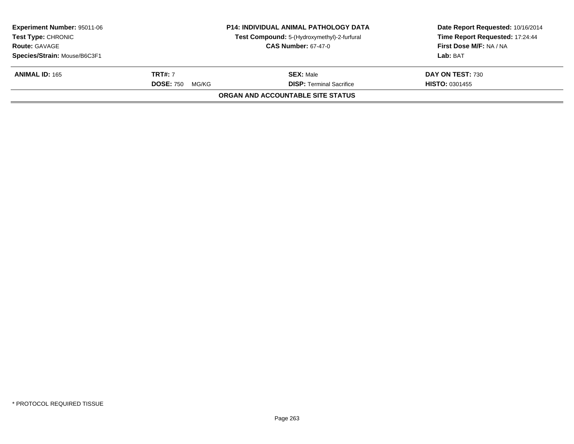|                           |                                             | Date Report Requested: 10/16/2014<br>Time Report Requested: 17:24:44<br>First Dose M/F: NA / NA |
|---------------------------|---------------------------------------------|-------------------------------------------------------------------------------------------------|
|                           | Test Compound: 5-(Hydroxymethyl)-2-furfural |                                                                                                 |
|                           | <b>CAS Number: 67-47-0</b>                  |                                                                                                 |
|                           |                                             | Lab: BAT                                                                                        |
| <b>TRT#:</b> 7            | <b>SEX: Male</b>                            | DAY ON TEST: 730                                                                                |
| <b>DOSE: 750</b><br>MG/KG | <b>DISP: Terminal Sacrifice</b>             | <b>HISTO: 0301455</b>                                                                           |
|                           |                                             |                                                                                                 |
|                           |                                             | <b>P14: INDIVIDUAL ANIMAL PATHOLOGY DATA</b><br>ORGAN AND ACCOUNTABLE SITE STATUS               |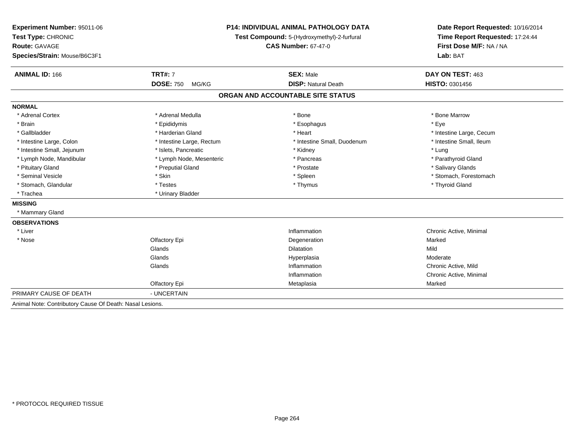| Experiment Number: 95011-06                              | <b>P14: INDIVIDUAL ANIMAL PATHOLOGY DATA</b><br>Test Compound: 5-(Hydroxymethyl)-2-furfural |                                   | Date Report Requested: 10/16/2014 |  |
|----------------------------------------------------------|---------------------------------------------------------------------------------------------|-----------------------------------|-----------------------------------|--|
| Test Type: CHRONIC                                       |                                                                                             |                                   | Time Report Requested: 17:24:44   |  |
| Route: GAVAGE                                            |                                                                                             | <b>CAS Number: 67-47-0</b>        | First Dose M/F: NA / NA           |  |
| Species/Strain: Mouse/B6C3F1                             |                                                                                             |                                   | Lab: BAT                          |  |
| <b>ANIMAL ID: 166</b>                                    | <b>TRT#: 7</b>                                                                              | <b>SEX: Male</b>                  | DAY ON TEST: 463                  |  |
|                                                          | <b>DOSE: 750</b><br>MG/KG                                                                   | <b>DISP: Natural Death</b>        | <b>HISTO: 0301456</b>             |  |
|                                                          |                                                                                             | ORGAN AND ACCOUNTABLE SITE STATUS |                                   |  |
| <b>NORMAL</b>                                            |                                                                                             |                                   |                                   |  |
| * Adrenal Cortex                                         | * Adrenal Medulla                                                                           | * Bone                            | * Bone Marrow                     |  |
| * Brain                                                  | * Epididymis                                                                                | * Esophagus                       | * Eye                             |  |
| * Gallbladder                                            | * Harderian Gland                                                                           | * Heart                           | * Intestine Large, Cecum          |  |
| * Intestine Large, Colon                                 | * Intestine Large, Rectum                                                                   | * Intestine Small, Duodenum       | * Intestine Small, Ileum          |  |
| * Intestine Small, Jejunum                               | * Islets, Pancreatic                                                                        | * Kidney                          | * Lung                            |  |
| * Lymph Node, Mandibular                                 | * Lymph Node, Mesenteric                                                                    | * Pancreas                        | * Parathyroid Gland               |  |
| * Pituitary Gland                                        | * Preputial Gland                                                                           | * Prostate                        | * Salivary Glands                 |  |
| * Seminal Vesicle                                        | * Skin                                                                                      | * Spleen                          | * Stomach, Forestomach            |  |
| * Stomach, Glandular                                     | * Testes                                                                                    | * Thymus                          | * Thyroid Gland                   |  |
| * Trachea                                                | * Urinary Bladder                                                                           |                                   |                                   |  |
| <b>MISSING</b>                                           |                                                                                             |                                   |                                   |  |
| * Mammary Gland                                          |                                                                                             |                                   |                                   |  |
| <b>OBSERVATIONS</b>                                      |                                                                                             |                                   |                                   |  |
| * Liver                                                  |                                                                                             | Inflammation                      | Chronic Active, Minimal           |  |
| * Nose                                                   | Olfactory Epi                                                                               | Degeneration                      | Marked                            |  |
|                                                          | Glands                                                                                      | <b>Dilatation</b>                 | Mild                              |  |
|                                                          | Glands                                                                                      | Hyperplasia                       | Moderate                          |  |
|                                                          | Glands                                                                                      | Inflammation                      | Chronic Active, Mild              |  |
|                                                          |                                                                                             | Inflammation                      | Chronic Active, Minimal           |  |
|                                                          | Olfactory Epi                                                                               | Metaplasia                        | Marked                            |  |
| PRIMARY CAUSE OF DEATH                                   | - UNCERTAIN                                                                                 |                                   |                                   |  |
| Animal Note: Contributory Cause Of Death: Nasal Lesions. |                                                                                             |                                   |                                   |  |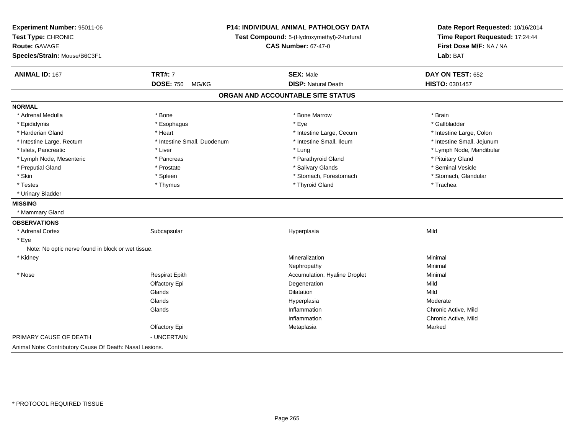| Experiment Number: 95011-06<br>Test Type: CHRONIC<br><b>Route: GAVAGE</b><br>Species/Strain: Mouse/B6C3F1 | <b>P14: INDIVIDUAL ANIMAL PATHOLOGY DATA</b><br>Test Compound: 5-(Hydroxymethyl)-2-furfural<br><b>CAS Number: 67-47-0</b> |                                   | Date Report Requested: 10/16/2014<br>Time Report Requested: 17:24:44<br>First Dose M/F: NA / NA<br>Lab: BAT |
|-----------------------------------------------------------------------------------------------------------|---------------------------------------------------------------------------------------------------------------------------|-----------------------------------|-------------------------------------------------------------------------------------------------------------|
| <b>ANIMAL ID: 167</b>                                                                                     | <b>TRT#: 7</b>                                                                                                            | <b>SEX: Male</b>                  | DAY ON TEST: 652                                                                                            |
|                                                                                                           | DOSE: 750 MG/KG                                                                                                           | <b>DISP: Natural Death</b>        | HISTO: 0301457                                                                                              |
|                                                                                                           |                                                                                                                           | ORGAN AND ACCOUNTABLE SITE STATUS |                                                                                                             |
| <b>NORMAL</b>                                                                                             |                                                                                                                           |                                   |                                                                                                             |
| * Adrenal Medulla                                                                                         | * Bone                                                                                                                    | * Bone Marrow                     | * Brain                                                                                                     |
| * Epididymis                                                                                              | * Esophagus                                                                                                               | * Eye                             | * Gallbladder                                                                                               |
| * Harderian Gland                                                                                         | * Heart                                                                                                                   | * Intestine Large, Cecum          | * Intestine Large, Colon                                                                                    |
| * Intestine Large, Rectum                                                                                 | * Intestine Small, Duodenum                                                                                               | * Intestine Small, Ileum          | * Intestine Small, Jejunum                                                                                  |
| * Islets, Pancreatic                                                                                      | * Liver                                                                                                                   | * Lung                            | * Lymph Node, Mandibular                                                                                    |
| * Lymph Node, Mesenteric                                                                                  | * Pancreas                                                                                                                | * Parathyroid Gland               | * Pituitary Gland                                                                                           |
| * Preputial Gland                                                                                         | * Prostate                                                                                                                | * Salivary Glands                 | * Seminal Vesicle                                                                                           |
| * Skin                                                                                                    | * Spleen                                                                                                                  | * Stomach, Forestomach            | * Stomach, Glandular                                                                                        |
| * Testes                                                                                                  | * Thymus                                                                                                                  | * Thyroid Gland                   | * Trachea                                                                                                   |
| * Urinary Bladder                                                                                         |                                                                                                                           |                                   |                                                                                                             |
| <b>MISSING</b>                                                                                            |                                                                                                                           |                                   |                                                                                                             |
| * Mammary Gland                                                                                           |                                                                                                                           |                                   |                                                                                                             |
| <b>OBSERVATIONS</b>                                                                                       |                                                                                                                           |                                   |                                                                                                             |
| * Adrenal Cortex                                                                                          | Subcapsular                                                                                                               | Hyperplasia                       | Mild                                                                                                        |
| * Eye                                                                                                     |                                                                                                                           |                                   |                                                                                                             |
| Note: No optic nerve found in block or wet tissue.                                                        |                                                                                                                           |                                   |                                                                                                             |
| * Kidney                                                                                                  |                                                                                                                           | Mineralization                    | Minimal                                                                                                     |
|                                                                                                           |                                                                                                                           | Nephropathy                       | Minimal                                                                                                     |
| * Nose                                                                                                    | <b>Respirat Epith</b>                                                                                                     | Accumulation, Hyaline Droplet     | Minimal                                                                                                     |
|                                                                                                           | Olfactory Epi                                                                                                             | Degeneration                      | Mild                                                                                                        |
|                                                                                                           | Glands                                                                                                                    | <b>Dilatation</b>                 | Mild                                                                                                        |
|                                                                                                           | Glands                                                                                                                    | Hyperplasia                       | Moderate                                                                                                    |
|                                                                                                           | Glands                                                                                                                    | Inflammation                      | Chronic Active, Mild                                                                                        |
|                                                                                                           |                                                                                                                           | Inflammation                      | Chronic Active, Mild                                                                                        |
|                                                                                                           | Olfactory Epi                                                                                                             | Metaplasia                        | Marked                                                                                                      |
| PRIMARY CAUSE OF DEATH                                                                                    | - UNCERTAIN                                                                                                               |                                   |                                                                                                             |
| Animal Note: Contributory Cause Of Death: Nasal Lesions.                                                  |                                                                                                                           |                                   |                                                                                                             |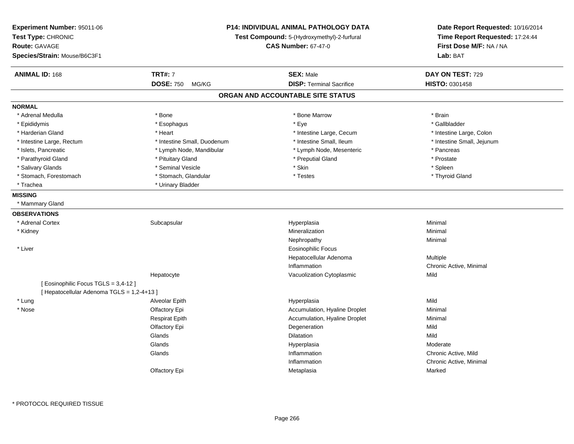| Experiment Number: 95011-06<br>Test Type: CHRONIC<br>Route: GAVAGE<br>Species/Strain: Mouse/B6C3F1 | <b>P14: INDIVIDUAL ANIMAL PATHOLOGY DATA</b><br>Test Compound: 5-(Hydroxymethyl)-2-furfural<br><b>CAS Number: 67-47-0</b> | Date Report Requested: 10/16/2014<br>Time Report Requested: 17:24:44<br>First Dose M/F: NA / NA<br>Lab: BAT |
|----------------------------------------------------------------------------------------------------|---------------------------------------------------------------------------------------------------------------------------|-------------------------------------------------------------------------------------------------------------|
| <b>TRT#: 7</b><br><b>ANIMAL ID: 168</b>                                                            | <b>SEX: Male</b>                                                                                                          | DAY ON TEST: 729                                                                                            |
| <b>DOSE: 750</b><br>MG/KG                                                                          | <b>DISP: Terminal Sacrifice</b>                                                                                           | HISTO: 0301458                                                                                              |
|                                                                                                    | ORGAN AND ACCOUNTABLE SITE STATUS                                                                                         |                                                                                                             |
| <b>NORMAL</b>                                                                                      |                                                                                                                           |                                                                                                             |
| * Adrenal Medulla<br>* Bone                                                                        | * Bone Marrow                                                                                                             | $*$ Brain                                                                                                   |
| * Epididymis<br>* Esophagus                                                                        | * Eye                                                                                                                     | * Gallbladder                                                                                               |
| * Harderian Gland<br>* Heart                                                                       | * Intestine Large, Cecum                                                                                                  | * Intestine Large, Colon                                                                                    |
| * Intestine Large, Rectum<br>* Intestine Small, Duodenum                                           | * Intestine Small, Ileum                                                                                                  | * Intestine Small, Jejunum                                                                                  |
| * Islets, Pancreatic<br>* Lymph Node, Mandibular                                                   | * Lymph Node, Mesenteric                                                                                                  | * Pancreas                                                                                                  |
| * Parathyroid Gland<br>* Pituitary Gland                                                           | * Preputial Gland                                                                                                         | * Prostate                                                                                                  |
| * Salivary Glands<br>* Seminal Vesicle                                                             | * Skin                                                                                                                    | * Spleen                                                                                                    |
| * Stomach, Forestomach<br>* Stomach, Glandular                                                     | * Testes                                                                                                                  | * Thyroid Gland                                                                                             |
| * Trachea<br>* Urinary Bladder                                                                     |                                                                                                                           |                                                                                                             |
| <b>MISSING</b>                                                                                     |                                                                                                                           |                                                                                                             |
| * Mammary Gland                                                                                    |                                                                                                                           |                                                                                                             |
| <b>OBSERVATIONS</b>                                                                                |                                                                                                                           |                                                                                                             |
| * Adrenal Cortex<br>Subcapsular                                                                    | Hyperplasia                                                                                                               | Minimal                                                                                                     |
| * Kidney                                                                                           | Mineralization                                                                                                            | Minimal                                                                                                     |
|                                                                                                    | Nephropathy                                                                                                               | Minimal                                                                                                     |
| * Liver                                                                                            | <b>Eosinophilic Focus</b>                                                                                                 |                                                                                                             |
|                                                                                                    | Hepatocellular Adenoma                                                                                                    | Multiple                                                                                                    |
|                                                                                                    | Inflammation                                                                                                              | Chronic Active, Minimal                                                                                     |
| Hepatocyte                                                                                         | Vacuolization Cytoplasmic                                                                                                 | Mild                                                                                                        |
| [ Eosinophilic Focus TGLS = 3,4-12 ]                                                               |                                                                                                                           |                                                                                                             |
| [ Hepatocellular Adenoma TGLS = 1,2-4+13 ]                                                         |                                                                                                                           |                                                                                                             |
| * Lung<br>Alveolar Epith                                                                           | Hyperplasia                                                                                                               | Mild                                                                                                        |
| * Nose<br>Olfactory Epi                                                                            | Accumulation, Hyaline Droplet                                                                                             | Minimal                                                                                                     |
| <b>Respirat Epith</b>                                                                              | Accumulation, Hyaline Droplet                                                                                             | Minimal                                                                                                     |
| Olfactory Epi                                                                                      | Degeneration                                                                                                              | Mild                                                                                                        |
| Glands                                                                                             | Dilatation                                                                                                                | Mild                                                                                                        |
| Glands                                                                                             | Hyperplasia                                                                                                               | Moderate                                                                                                    |
| Glands                                                                                             | Inflammation                                                                                                              | Chronic Active, Mild                                                                                        |
|                                                                                                    | Inflammation                                                                                                              | Chronic Active, Minimal                                                                                     |
| Olfactory Epi                                                                                      | Metaplasia                                                                                                                | Marked                                                                                                      |

\* PROTOCOL REQUIRED TISSUE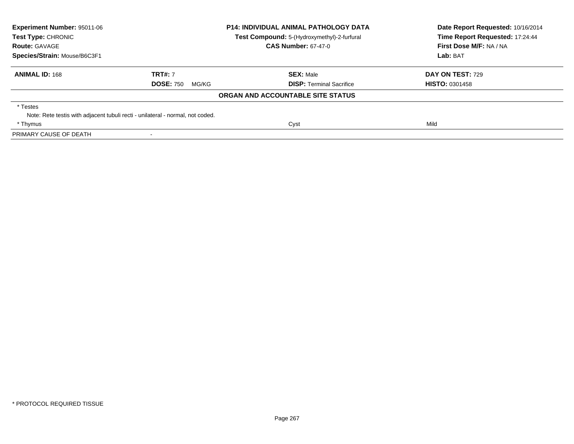| Experiment Number: 95011-06<br>Test Type: CHRONIC<br><b>Route: GAVAGE</b> | <b>P14: INDIVIDUAL ANIMAL PATHOLOGY DATA</b><br><b>Test Compound:</b> 5-(Hydroxymethyl)-2-furfural<br><b>CAS Number: 67-47-0</b> |                                   | Date Report Requested: 10/16/2014<br>Time Report Requested: 17:24:44<br>First Dose M/F: NA / NA |  |
|---------------------------------------------------------------------------|----------------------------------------------------------------------------------------------------------------------------------|-----------------------------------|-------------------------------------------------------------------------------------------------|--|
| Species/Strain: Mouse/B6C3F1                                              |                                                                                                                                  |                                   | <b>Lab: BAT</b>                                                                                 |  |
| <b>ANIMAL ID: 168</b>                                                     | <b>TRT#: 7</b>                                                                                                                   | <b>SEX: Male</b>                  | DAY ON TEST: 729                                                                                |  |
|                                                                           | <b>DOSE: 750</b><br>MG/KG                                                                                                        | <b>DISP:</b> Terminal Sacrifice   | <b>HISTO: 0301458</b>                                                                           |  |
|                                                                           |                                                                                                                                  | ORGAN AND ACCOUNTABLE SITE STATUS |                                                                                                 |  |
| * Testes                                                                  |                                                                                                                                  |                                   |                                                                                                 |  |
|                                                                           | Note: Rete testis with adjacent tubuli recti - unilateral - normal, not coded.                                                   |                                   |                                                                                                 |  |
| * Thymus                                                                  |                                                                                                                                  | Cyst                              | Mild                                                                                            |  |
| PRIMARY CAUSE OF DEATH                                                    |                                                                                                                                  |                                   |                                                                                                 |  |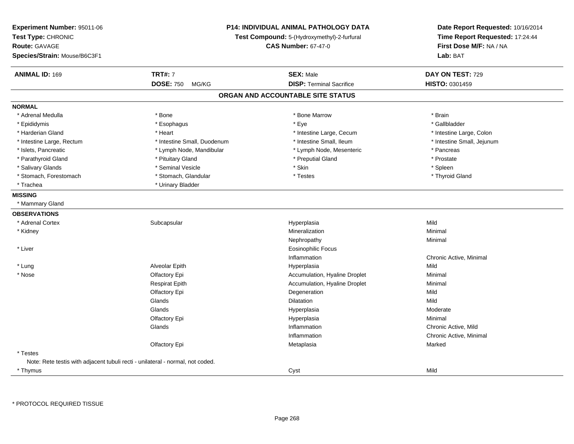| Experiment Number: 95011-06<br>Test Type: CHRONIC<br><b>Route: GAVAGE</b><br>Species/Strain: Mouse/B6C3F1 | <b>P14: INDIVIDUAL ANIMAL PATHOLOGY DATA</b><br>Test Compound: 5-(Hydroxymethyl)-2-furfural<br><b>CAS Number: 67-47-0</b> |                                   | Date Report Requested: 10/16/2014<br>Time Report Requested: 17:24:44<br>First Dose M/F: NA / NA<br>Lab: BAT |
|-----------------------------------------------------------------------------------------------------------|---------------------------------------------------------------------------------------------------------------------------|-----------------------------------|-------------------------------------------------------------------------------------------------------------|
| <b>ANIMAL ID: 169</b>                                                                                     | <b>TRT#: 7</b>                                                                                                            | <b>SEX: Male</b>                  | DAY ON TEST: 729                                                                                            |
|                                                                                                           | <b>DOSE: 750</b><br>MG/KG                                                                                                 | <b>DISP: Terminal Sacrifice</b>   | HISTO: 0301459                                                                                              |
|                                                                                                           |                                                                                                                           | ORGAN AND ACCOUNTABLE SITE STATUS |                                                                                                             |
| <b>NORMAL</b>                                                                                             |                                                                                                                           |                                   |                                                                                                             |
| * Adrenal Medulla                                                                                         | * Bone                                                                                                                    | * Bone Marrow                     | * Brain                                                                                                     |
| * Epididymis                                                                                              | * Esophagus                                                                                                               | * Eye                             | * Gallbladder                                                                                               |
| * Harderian Gland                                                                                         | * Heart                                                                                                                   | * Intestine Large, Cecum          | * Intestine Large, Colon                                                                                    |
| * Intestine Large, Rectum                                                                                 | * Intestine Small, Duodenum                                                                                               | * Intestine Small, Ileum          | * Intestine Small, Jejunum                                                                                  |
| * Islets, Pancreatic                                                                                      | * Lymph Node, Mandibular                                                                                                  | * Lymph Node, Mesenteric          | * Pancreas                                                                                                  |
| * Parathyroid Gland                                                                                       | * Pituitary Gland                                                                                                         | * Preputial Gland                 | * Prostate                                                                                                  |
| * Salivary Glands                                                                                         | * Seminal Vesicle                                                                                                         | * Skin                            | * Spleen                                                                                                    |
| * Stomach, Forestomach                                                                                    | * Stomach, Glandular                                                                                                      | * Testes                          | * Thyroid Gland                                                                                             |
| * Trachea                                                                                                 | * Urinary Bladder                                                                                                         |                                   |                                                                                                             |
| <b>MISSING</b>                                                                                            |                                                                                                                           |                                   |                                                                                                             |
| * Mammary Gland                                                                                           |                                                                                                                           |                                   |                                                                                                             |
| <b>OBSERVATIONS</b>                                                                                       |                                                                                                                           |                                   |                                                                                                             |
| * Adrenal Cortex                                                                                          | Subcapsular                                                                                                               | Hyperplasia                       | Mild                                                                                                        |
| * Kidney                                                                                                  |                                                                                                                           | Mineralization                    | Minimal                                                                                                     |
|                                                                                                           |                                                                                                                           | Nephropathy                       | Minimal                                                                                                     |
| * Liver                                                                                                   |                                                                                                                           | <b>Eosinophilic Focus</b>         |                                                                                                             |
|                                                                                                           |                                                                                                                           | Inflammation                      | Chronic Active, Minimal                                                                                     |
| * Lung                                                                                                    | Alveolar Epith                                                                                                            | Hyperplasia                       | Mild                                                                                                        |
| * Nose                                                                                                    | Olfactory Epi                                                                                                             | Accumulation, Hyaline Droplet     | Minimal                                                                                                     |
|                                                                                                           | <b>Respirat Epith</b>                                                                                                     | Accumulation, Hyaline Droplet     | Minimal                                                                                                     |
|                                                                                                           | Olfactory Epi                                                                                                             | Degeneration                      | Mild                                                                                                        |
|                                                                                                           | Glands                                                                                                                    | Dilatation                        | Mild                                                                                                        |
|                                                                                                           | Glands                                                                                                                    | Hyperplasia                       | Moderate                                                                                                    |
|                                                                                                           | Olfactory Epi                                                                                                             | Hyperplasia                       | Minimal                                                                                                     |
|                                                                                                           | Glands                                                                                                                    | Inflammation                      | Chronic Active, Mild                                                                                        |
|                                                                                                           |                                                                                                                           | Inflammation                      | Chronic Active, Minimal                                                                                     |
|                                                                                                           | Olfactory Epi                                                                                                             | Metaplasia                        | Marked                                                                                                      |
| * Testes                                                                                                  |                                                                                                                           |                                   |                                                                                                             |
| Note: Rete testis with adjacent tubuli recti - unilateral - normal, not coded.                            |                                                                                                                           |                                   |                                                                                                             |
| * Thymus                                                                                                  |                                                                                                                           | Cyst                              | Mild                                                                                                        |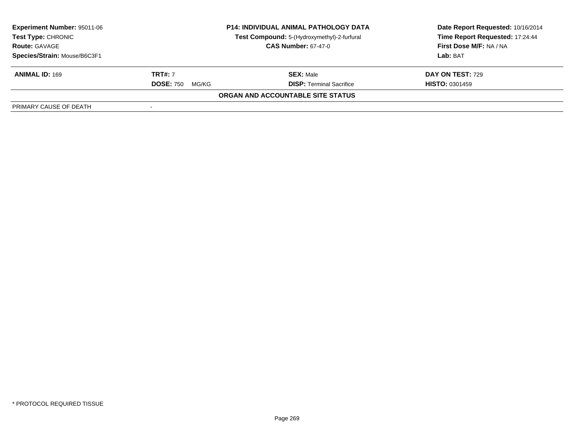| <b>Experiment Number: 95011-06</b>                                                 | <b>P14: INDIVIDUAL ANIMAL PATHOLOGY DATA</b> |                                             | Date Report Requested: 10/16/2014 |  |
|------------------------------------------------------------------------------------|----------------------------------------------|---------------------------------------------|-----------------------------------|--|
| <b>Test Type: CHRONIC</b>                                                          |                                              | Test Compound: 5-(Hydroxymethyl)-2-furfural | Time Report Requested: 17:24:44   |  |
| <b>CAS Number: 67-47-0</b><br><b>Route: GAVAGE</b><br>Species/Strain: Mouse/B6C3F1 |                                              |                                             | <b>First Dose M/F: NA / NA</b>    |  |
|                                                                                    |                                              |                                             | Lab: BAT                          |  |
| <b>ANIMAL ID: 169</b>                                                              | <b>TRT#: 7</b>                               | <b>SEX: Male</b>                            | DAY ON TEST: 729                  |  |
|                                                                                    | <b>DOSE: 750</b><br>MG/KG                    | <b>DISP:</b> Terminal Sacrifice             | <b>HISTO: 0301459</b>             |  |
|                                                                                    |                                              | ORGAN AND ACCOUNTABLE SITE STATUS           |                                   |  |
| PRIMARY CAUSE OF DEATH                                                             |                                              |                                             |                                   |  |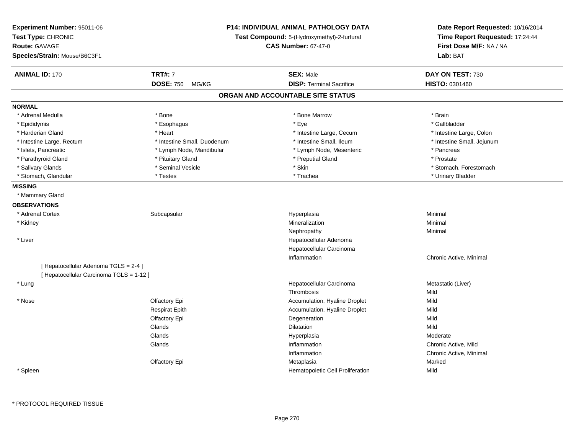| Experiment Number: 95011-06<br>Test Type: CHRONIC<br>Route: GAVAGE<br>Species/Strain: Mouse/B6C3F1 | <b>P14: INDIVIDUAL ANIMAL PATHOLOGY DATA</b><br>Test Compound: 5-(Hydroxymethyl)-2-furfural<br><b>CAS Number: 67-47-0</b> |                                   | Date Report Requested: 10/16/2014<br>Time Report Requested: 17:24:44<br>First Dose M/F: NA / NA<br>Lab: BAT |  |
|----------------------------------------------------------------------------------------------------|---------------------------------------------------------------------------------------------------------------------------|-----------------------------------|-------------------------------------------------------------------------------------------------------------|--|
| <b>ANIMAL ID: 170</b>                                                                              | <b>TRT#: 7</b>                                                                                                            | <b>SEX: Male</b>                  | DAY ON TEST: 730                                                                                            |  |
|                                                                                                    | <b>DOSE: 750</b><br>MG/KG                                                                                                 | <b>DISP: Terminal Sacrifice</b>   | HISTO: 0301460                                                                                              |  |
|                                                                                                    |                                                                                                                           | ORGAN AND ACCOUNTABLE SITE STATUS |                                                                                                             |  |
| <b>NORMAL</b>                                                                                      |                                                                                                                           |                                   |                                                                                                             |  |
| * Adrenal Medulla                                                                                  | * Bone                                                                                                                    | * Bone Marrow                     | * Brain                                                                                                     |  |
| * Epididymis                                                                                       | * Esophagus                                                                                                               | * Eye                             | * Gallbladder                                                                                               |  |
| * Harderian Gland                                                                                  | * Heart                                                                                                                   | * Intestine Large, Cecum          | * Intestine Large, Colon                                                                                    |  |
| * Intestine Large, Rectum                                                                          | * Intestine Small, Duodenum                                                                                               | * Intestine Small, Ileum          | * Intestine Small, Jejunum                                                                                  |  |
| * Islets, Pancreatic                                                                               | * Lymph Node, Mandibular                                                                                                  | * Lymph Node, Mesenteric          | * Pancreas                                                                                                  |  |
| * Parathyroid Gland                                                                                | * Pituitary Gland                                                                                                         | * Preputial Gland                 | * Prostate                                                                                                  |  |
| * Salivary Glands                                                                                  | * Seminal Vesicle                                                                                                         | * Skin                            | * Stomach, Forestomach                                                                                      |  |
| * Stomach, Glandular                                                                               | * Testes                                                                                                                  | * Trachea                         | * Urinary Bladder                                                                                           |  |
| <b>MISSING</b>                                                                                     |                                                                                                                           |                                   |                                                                                                             |  |
| * Mammary Gland                                                                                    |                                                                                                                           |                                   |                                                                                                             |  |
| <b>OBSERVATIONS</b>                                                                                |                                                                                                                           |                                   |                                                                                                             |  |
| * Adrenal Cortex                                                                                   | Subcapsular                                                                                                               | Hyperplasia                       | Minimal                                                                                                     |  |
| * Kidney                                                                                           |                                                                                                                           | Mineralization                    | Minimal                                                                                                     |  |
|                                                                                                    |                                                                                                                           | Nephropathy                       | Minimal                                                                                                     |  |
| * Liver                                                                                            |                                                                                                                           | Hepatocellular Adenoma            |                                                                                                             |  |
|                                                                                                    |                                                                                                                           | Hepatocellular Carcinoma          |                                                                                                             |  |
|                                                                                                    |                                                                                                                           | Inflammation                      | Chronic Active, Minimal                                                                                     |  |
| [ Hepatocellular Adenoma TGLS = 2-4 ]                                                              |                                                                                                                           |                                   |                                                                                                             |  |
| [ Hepatocellular Carcinoma TGLS = 1-12 ]                                                           |                                                                                                                           |                                   |                                                                                                             |  |
| * Lung                                                                                             |                                                                                                                           | Hepatocellular Carcinoma          | Metastatic (Liver)                                                                                          |  |
|                                                                                                    |                                                                                                                           | Thrombosis                        | Mild                                                                                                        |  |
| * Nose                                                                                             | Olfactory Epi                                                                                                             | Accumulation, Hyaline Droplet     | Mild                                                                                                        |  |
|                                                                                                    | <b>Respirat Epith</b>                                                                                                     | Accumulation, Hyaline Droplet     | Mild                                                                                                        |  |
|                                                                                                    | Olfactory Epi                                                                                                             | Degeneration                      | Mild                                                                                                        |  |
|                                                                                                    | Glands                                                                                                                    | Dilatation                        | Mild                                                                                                        |  |
|                                                                                                    | Glands                                                                                                                    | Hyperplasia                       | Moderate                                                                                                    |  |
|                                                                                                    | Glands                                                                                                                    | Inflammation                      | Chronic Active, Mild                                                                                        |  |
|                                                                                                    |                                                                                                                           | Inflammation                      | Chronic Active, Minimal                                                                                     |  |
|                                                                                                    | Olfactory Epi                                                                                                             | Metaplasia                        | Marked                                                                                                      |  |
| * Spleen                                                                                           |                                                                                                                           | Hematopoietic Cell Proliferation  | Mild                                                                                                        |  |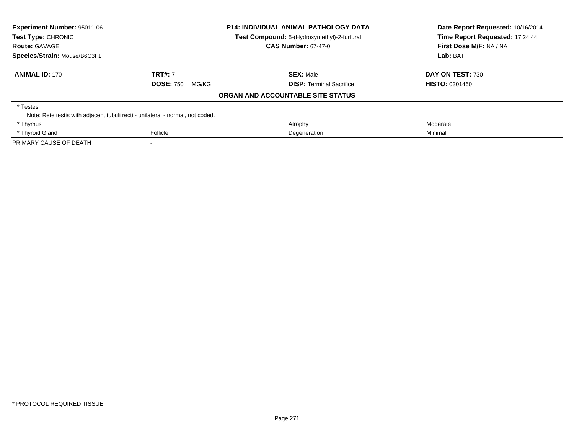| <b>Experiment Number: 95011-06</b><br>Test Type: CHRONIC                       |                           | <b>P14: INDIVIDUAL ANIMAL PATHOLOGY DATA</b><br>Test Compound: 5-(Hydroxymethyl)-2-furfural | Date Report Requested: 10/16/2014<br>Time Report Requested: 17:24:44 |  |
|--------------------------------------------------------------------------------|---------------------------|---------------------------------------------------------------------------------------------|----------------------------------------------------------------------|--|
| <b>Route: GAVAGE</b>                                                           |                           | <b>CAS Number: 67-47-0</b>                                                                  | First Dose M/F: NA / NA                                              |  |
| Species/Strain: Mouse/B6C3F1                                                   |                           |                                                                                             | Lab: BAT                                                             |  |
| <b>ANIMAL ID: 170</b>                                                          | <b>TRT#: 7</b>            | <b>SEX: Male</b>                                                                            | DAY ON TEST: 730                                                     |  |
|                                                                                | <b>DOSE: 750</b><br>MG/KG | <b>DISP:</b> Terminal Sacrifice                                                             | <b>HISTO: 0301460</b>                                                |  |
|                                                                                |                           | ORGAN AND ACCOUNTABLE SITE STATUS                                                           |                                                                      |  |
| * Testes                                                                       |                           |                                                                                             |                                                                      |  |
| Note: Rete testis with adjacent tubuli recti - unilateral - normal, not coded. |                           |                                                                                             |                                                                      |  |
| * Thymus                                                                       |                           | Atrophy                                                                                     | Moderate                                                             |  |
| * Thyroid Gland                                                                | Follicle                  | Degeneration                                                                                | Minimal                                                              |  |
| PRIMARY CAUSE OF DEATH                                                         |                           |                                                                                             |                                                                      |  |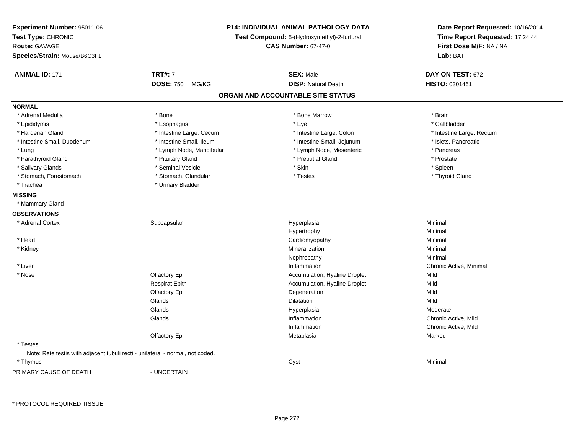| Experiment Number: 95011-06<br>Test Type: CHRONIC<br><b>Route: GAVAGE</b><br>Species/Strain: Mouse/B6C3F1 | P14: INDIVIDUAL ANIMAL PATHOLOGY DATA<br>Test Compound: 5-(Hydroxymethyl)-2-furfural<br><b>CAS Number: 67-47-0</b> |                                   | Date Report Requested: 10/16/2014<br>Time Report Requested: 17:24:44<br>First Dose M/F: NA / NA<br>Lab: BAT |
|-----------------------------------------------------------------------------------------------------------|--------------------------------------------------------------------------------------------------------------------|-----------------------------------|-------------------------------------------------------------------------------------------------------------|
| <b>ANIMAL ID: 171</b>                                                                                     | <b>TRT#: 7</b>                                                                                                     | <b>SEX: Male</b>                  | DAY ON TEST: 672                                                                                            |
|                                                                                                           | <b>DOSE: 750</b><br>MG/KG                                                                                          | <b>DISP: Natural Death</b>        | <b>HISTO: 0301461</b>                                                                                       |
|                                                                                                           |                                                                                                                    | ORGAN AND ACCOUNTABLE SITE STATUS |                                                                                                             |
| <b>NORMAL</b>                                                                                             |                                                                                                                    |                                   |                                                                                                             |
| * Adrenal Medulla                                                                                         | * Bone                                                                                                             | * Bone Marrow                     | * Brain                                                                                                     |
| * Epididymis                                                                                              | * Esophagus                                                                                                        | * Eye                             | * Gallbladder                                                                                               |
| * Harderian Gland                                                                                         | * Intestine Large, Cecum                                                                                           | * Intestine Large, Colon          | * Intestine Large, Rectum                                                                                   |
| * Intestine Small, Duodenum                                                                               | * Intestine Small, Ileum                                                                                           | * Intestine Small, Jejunum        | * Islets, Pancreatic                                                                                        |
| * Lung                                                                                                    | * Lymph Node, Mandibular                                                                                           | * Lymph Node, Mesenteric          | * Pancreas                                                                                                  |
| * Parathyroid Gland                                                                                       | * Pituitary Gland                                                                                                  | * Preputial Gland                 | * Prostate                                                                                                  |
| * Salivary Glands                                                                                         | * Seminal Vesicle                                                                                                  | * Skin                            | * Spleen                                                                                                    |
| * Stomach, Forestomach                                                                                    | * Stomach, Glandular                                                                                               | * Testes                          | * Thyroid Gland                                                                                             |
| * Trachea                                                                                                 | * Urinary Bladder                                                                                                  |                                   |                                                                                                             |
| <b>MISSING</b>                                                                                            |                                                                                                                    |                                   |                                                                                                             |
| * Mammary Gland                                                                                           |                                                                                                                    |                                   |                                                                                                             |
| <b>OBSERVATIONS</b>                                                                                       |                                                                                                                    |                                   |                                                                                                             |
| * Adrenal Cortex                                                                                          | Subcapsular                                                                                                        | Hyperplasia                       | Minimal                                                                                                     |
|                                                                                                           |                                                                                                                    | Hypertrophy                       | Minimal                                                                                                     |
| * Heart                                                                                                   |                                                                                                                    | Cardiomyopathy                    | Minimal                                                                                                     |
| * Kidney                                                                                                  |                                                                                                                    | Mineralization                    | Minimal                                                                                                     |
|                                                                                                           |                                                                                                                    | Nephropathy                       | Minimal                                                                                                     |
| $*$ Liver                                                                                                 |                                                                                                                    | Inflammation                      | Chronic Active, Minimal                                                                                     |
| * Nose                                                                                                    | Olfactory Epi                                                                                                      | Accumulation, Hyaline Droplet     | Mild                                                                                                        |
|                                                                                                           | <b>Respirat Epith</b>                                                                                              | Accumulation, Hyaline Droplet     | Mild                                                                                                        |
|                                                                                                           | Olfactory Epi                                                                                                      | Degeneration                      | Mild                                                                                                        |
|                                                                                                           | Glands                                                                                                             | <b>Dilatation</b>                 | Mild                                                                                                        |
|                                                                                                           | Glands                                                                                                             | Hyperplasia                       | Moderate                                                                                                    |
|                                                                                                           | Glands                                                                                                             | Inflammation                      | Chronic Active, Mild                                                                                        |
|                                                                                                           |                                                                                                                    | Inflammation                      | Chronic Active, Mild                                                                                        |
|                                                                                                           | Olfactory Epi                                                                                                      | Metaplasia                        | Marked                                                                                                      |
| * Testes                                                                                                  |                                                                                                                    |                                   |                                                                                                             |
| Note: Rete testis with adjacent tubuli recti - unilateral - normal, not coded.                            |                                                                                                                    |                                   |                                                                                                             |
| * Thymus                                                                                                  |                                                                                                                    | Cyst                              | Minimal                                                                                                     |
| DRIMARY CALISE OF DEATH                                                                                   | <b>IINCEPTAIN</b>                                                                                                  |                                   |                                                                                                             |

PRIMARY CAUSE OF DEATH

- UNCERTAIN

\* PROTOCOL REQUIRED TISSUE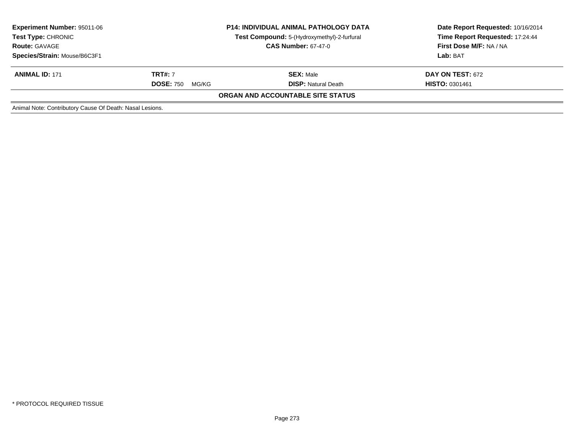| <b>Experiment Number: 95011-06</b><br><b>Test Type: CHRONIC</b><br><b>Route: GAVAGE</b><br>Species/Strain: Mouse/B6C3F1 | <b>P14: INDIVIDUAL ANIMAL PATHOLOGY DATA</b><br>Test Compound: 5-(Hydroxymethyl)-2-furfural<br><b>CAS Number: 67-47-0</b> |                                   | Date Report Requested: 10/16/2014<br>Time Report Requested: 17:24:44<br>First Dose M/F: NA / NA<br>Lab: BAT |
|-------------------------------------------------------------------------------------------------------------------------|---------------------------------------------------------------------------------------------------------------------------|-----------------------------------|-------------------------------------------------------------------------------------------------------------|
|                                                                                                                         |                                                                                                                           |                                   |                                                                                                             |
| <b>ANIMAL ID: 171</b>                                                                                                   | <b>TRT#: 7</b>                                                                                                            | <b>SEX: Male</b>                  | <b>DAY ON TEST: 672</b>                                                                                     |
|                                                                                                                         | <b>DOSE: 750</b><br>MG/KG                                                                                                 | <b>DISP: Natural Death</b>        | <b>HISTO: 0301461</b>                                                                                       |
|                                                                                                                         |                                                                                                                           | ORGAN AND ACCOUNTABLE SITE STATUS |                                                                                                             |
| Animal Note: Contributory Cause Of Death: Nasal Lesions.                                                                |                                                                                                                           |                                   |                                                                                                             |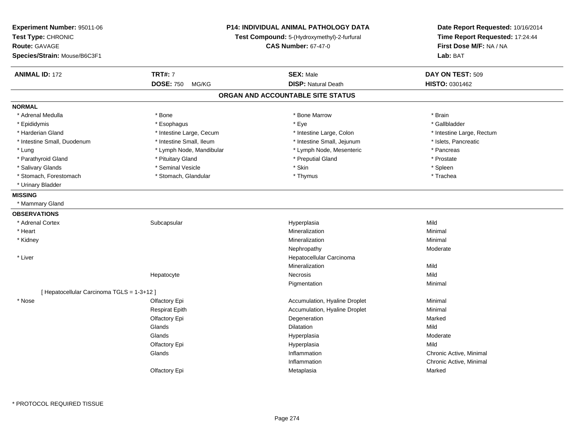| Experiment Number: 95011-06<br>Test Type: CHRONIC<br><b>Route: GAVAGE</b><br>Species/Strain: Mouse/B6C3F1 |                          | <b>P14: INDIVIDUAL ANIMAL PATHOLOGY DATA</b><br>Test Compound: 5-(Hydroxymethyl)-2-furfural<br><b>CAS Number: 67-47-0</b> | Date Report Requested: 10/16/2014<br>Time Report Requested: 17:24:44<br>First Dose M/F: NA / NA<br>Lab: BAT |
|-----------------------------------------------------------------------------------------------------------|--------------------------|---------------------------------------------------------------------------------------------------------------------------|-------------------------------------------------------------------------------------------------------------|
| <b>ANIMAL ID: 172</b>                                                                                     | <b>TRT#: 7</b>           | <b>SEX: Male</b>                                                                                                          | DAY ON TEST: 509                                                                                            |
|                                                                                                           | DOSE: 750 MG/KG          | <b>DISP: Natural Death</b>                                                                                                | <b>HISTO: 0301462</b>                                                                                       |
|                                                                                                           |                          | ORGAN AND ACCOUNTABLE SITE STATUS                                                                                         |                                                                                                             |
| <b>NORMAL</b>                                                                                             |                          |                                                                                                                           |                                                                                                             |
| * Adrenal Medulla                                                                                         | * Bone                   | * Bone Marrow                                                                                                             | * Brain                                                                                                     |
| * Epididymis                                                                                              | * Esophagus              | * Eye                                                                                                                     | * Gallbladder                                                                                               |
| * Harderian Gland                                                                                         | * Intestine Large, Cecum | * Intestine Large, Colon                                                                                                  | * Intestine Large, Rectum                                                                                   |
| * Intestine Small, Duodenum                                                                               | * Intestine Small, Ileum | * Intestine Small, Jejunum                                                                                                | * Islets, Pancreatic                                                                                        |
| * Lung                                                                                                    | * Lymph Node, Mandibular | * Lymph Node, Mesenteric                                                                                                  | * Pancreas                                                                                                  |
| * Parathyroid Gland                                                                                       | * Pituitary Gland        | * Preputial Gland                                                                                                         | * Prostate                                                                                                  |
| * Salivary Glands                                                                                         | * Seminal Vesicle        | * Skin                                                                                                                    | * Spleen                                                                                                    |
| * Stomach, Forestomach                                                                                    | * Stomach, Glandular     | * Thymus                                                                                                                  | * Trachea                                                                                                   |
| * Urinary Bladder                                                                                         |                          |                                                                                                                           |                                                                                                             |
| <b>MISSING</b>                                                                                            |                          |                                                                                                                           |                                                                                                             |
| * Mammary Gland                                                                                           |                          |                                                                                                                           |                                                                                                             |
| <b>OBSERVATIONS</b>                                                                                       |                          |                                                                                                                           |                                                                                                             |
| * Adrenal Cortex                                                                                          | Subcapsular              | Hyperplasia                                                                                                               | Mild                                                                                                        |
| * Heart                                                                                                   |                          | Mineralization                                                                                                            | Minimal                                                                                                     |
| * Kidney                                                                                                  |                          | Mineralization                                                                                                            | Minimal                                                                                                     |
|                                                                                                           |                          | Nephropathy                                                                                                               | Moderate                                                                                                    |
| * Liver                                                                                                   |                          | Hepatocellular Carcinoma                                                                                                  |                                                                                                             |
|                                                                                                           |                          | Mineralization                                                                                                            | Mild                                                                                                        |
|                                                                                                           | Hepatocyte               | Necrosis                                                                                                                  | Mild                                                                                                        |
|                                                                                                           |                          | Pigmentation                                                                                                              | Minimal                                                                                                     |
| [ Hepatocellular Carcinoma TGLS = 1-3+12 ]                                                                |                          |                                                                                                                           |                                                                                                             |
| * Nose                                                                                                    | Olfactory Epi            | Accumulation, Hyaline Droplet                                                                                             | Minimal                                                                                                     |
|                                                                                                           | <b>Respirat Epith</b>    | Accumulation, Hyaline Droplet                                                                                             | Minimal                                                                                                     |
|                                                                                                           | Olfactory Epi            | Degeneration                                                                                                              | Marked                                                                                                      |
|                                                                                                           | Glands                   | <b>Dilatation</b>                                                                                                         | Mild                                                                                                        |
|                                                                                                           | Glands                   | Hyperplasia                                                                                                               | Moderate                                                                                                    |
|                                                                                                           | Olfactory Epi            | Hyperplasia                                                                                                               | Mild                                                                                                        |
|                                                                                                           | Glands                   | Inflammation                                                                                                              | Chronic Active, Minimal                                                                                     |
|                                                                                                           |                          | Inflammation                                                                                                              | Chronic Active, Minimal                                                                                     |
|                                                                                                           | Olfactory Epi            | Metaplasia                                                                                                                | Marked                                                                                                      |
|                                                                                                           |                          |                                                                                                                           |                                                                                                             |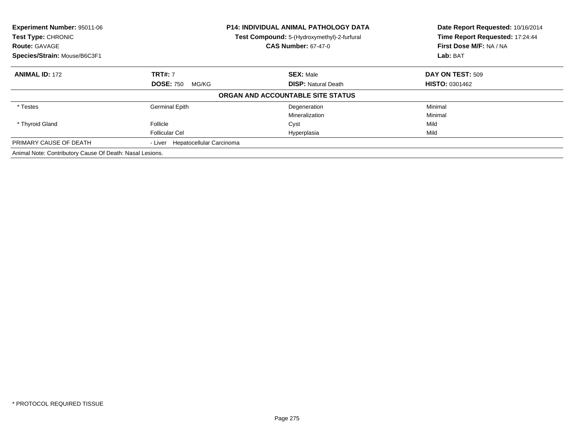| Experiment Number: 95011-06<br>Test Type: CHRONIC<br><b>Route: GAVAGE</b><br>Species/Strain: Mouse/B6C3F1 |                                  | <b>P14: INDIVIDUAL ANIMAL PATHOLOGY DATA</b><br>Test Compound: 5-(Hydroxymethyl)-2-furfural<br><b>CAS Number: 67-47-0</b> | Date Report Requested: 10/16/2014<br>Time Report Requested: 17:24:44<br>First Dose M/F: NA / NA<br>Lab: BAT |  |
|-----------------------------------------------------------------------------------------------------------|----------------------------------|---------------------------------------------------------------------------------------------------------------------------|-------------------------------------------------------------------------------------------------------------|--|
| <b>ANIMAL ID: 172</b>                                                                                     | <b>TRT#: 7</b>                   | <b>SEX: Male</b>                                                                                                          | DAY ON TEST: 509                                                                                            |  |
|                                                                                                           | <b>DOSE: 750</b><br>MG/KG        | <b>DISP: Natural Death</b>                                                                                                | <b>HISTO: 0301462</b>                                                                                       |  |
|                                                                                                           |                                  | ORGAN AND ACCOUNTABLE SITE STATUS                                                                                         |                                                                                                             |  |
| * Testes                                                                                                  | <b>Germinal Epith</b>            | Degeneration                                                                                                              | Minimal                                                                                                     |  |
|                                                                                                           |                                  | Mineralization                                                                                                            | Minimal                                                                                                     |  |
| * Thyroid Gland                                                                                           | Follicle                         | Cyst                                                                                                                      | Mild                                                                                                        |  |
|                                                                                                           | <b>Follicular Cel</b>            | Hyperplasia                                                                                                               | Mild                                                                                                        |  |
| PRIMARY CAUSE OF DEATH                                                                                    | - Liver Hepatocellular Carcinoma |                                                                                                                           |                                                                                                             |  |
| Animal Note: Contributory Cause Of Death: Nasal Lesions.                                                  |                                  |                                                                                                                           |                                                                                                             |  |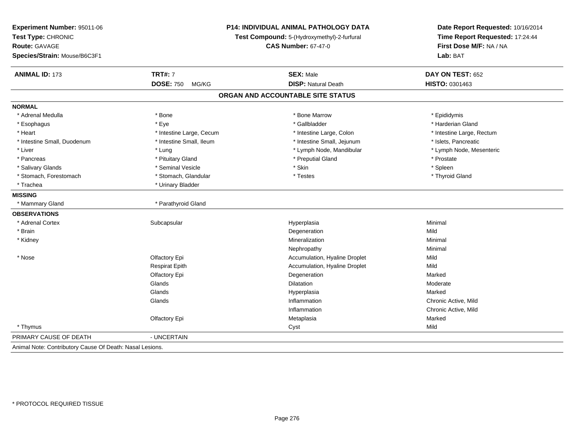| Experiment Number: 95011-06                              |                                                                           | <b>P14: INDIVIDUAL ANIMAL PATHOLOGY DATA</b> |                                                                                                 |
|----------------------------------------------------------|---------------------------------------------------------------------------|----------------------------------------------|-------------------------------------------------------------------------------------------------|
| Test Type: CHRONIC                                       | Test Compound: 5-(Hydroxymethyl)-2-furfural<br><b>CAS Number: 67-47-0</b> |                                              | Date Report Requested: 10/16/2014<br>Time Report Requested: 17:24:44<br>First Dose M/F: NA / NA |
| <b>Route: GAVAGE</b>                                     |                                                                           |                                              |                                                                                                 |
| Species/Strain: Mouse/B6C3F1                             |                                                                           |                                              | Lab: BAT                                                                                        |
| <b>ANIMAL ID: 173</b>                                    | <b>TRT#: 7</b>                                                            | <b>SEX: Male</b>                             | DAY ON TEST: 652                                                                                |
|                                                          | <b>DOSE: 750</b><br>MG/KG                                                 | <b>DISP: Natural Death</b>                   | HISTO: 0301463                                                                                  |
|                                                          |                                                                           | ORGAN AND ACCOUNTABLE SITE STATUS            |                                                                                                 |
| <b>NORMAL</b>                                            |                                                                           |                                              |                                                                                                 |
| * Adrenal Medulla                                        | * Bone                                                                    | * Bone Marrow                                | * Epididymis                                                                                    |
| * Esophagus                                              | * Eye                                                                     | * Gallbladder                                | * Harderian Gland                                                                               |
| * Heart                                                  | * Intestine Large, Cecum                                                  | * Intestine Large, Colon                     | * Intestine Large, Rectum                                                                       |
| * Intestine Small, Duodenum                              | * Intestine Small, Ileum                                                  | * Intestine Small, Jejunum                   | * Islets, Pancreatic                                                                            |
| * Liver                                                  | * Lung                                                                    | * Lymph Node, Mandibular                     | * Lymph Node, Mesenteric                                                                        |
| * Pancreas                                               | * Pituitary Gland                                                         | * Preputial Gland                            | * Prostate                                                                                      |
| * Salivary Glands                                        | * Seminal Vesicle                                                         | * Skin                                       | * Spleen                                                                                        |
| * Stomach, Forestomach                                   | * Stomach, Glandular                                                      | * Testes                                     | * Thyroid Gland                                                                                 |
| * Trachea                                                | * Urinary Bladder                                                         |                                              |                                                                                                 |
| <b>MISSING</b>                                           |                                                                           |                                              |                                                                                                 |
| * Mammary Gland                                          | * Parathyroid Gland                                                       |                                              |                                                                                                 |
| <b>OBSERVATIONS</b>                                      |                                                                           |                                              |                                                                                                 |
| * Adrenal Cortex                                         | Subcapsular                                                               | Hyperplasia                                  | Minimal                                                                                         |
| * Brain                                                  |                                                                           | Degeneration                                 | Mild                                                                                            |
| * Kidney                                                 |                                                                           | Mineralization                               | Minimal                                                                                         |
|                                                          |                                                                           | Nephropathy                                  | Minimal                                                                                         |
| $*$ Nose                                                 | Olfactory Epi                                                             | Accumulation, Hyaline Droplet                | Mild                                                                                            |
|                                                          | <b>Respirat Epith</b>                                                     | Accumulation, Hyaline Droplet                | Mild                                                                                            |
|                                                          | Olfactory Epi                                                             | Degeneration                                 | Marked                                                                                          |
|                                                          | Glands                                                                    | <b>Dilatation</b>                            | Moderate                                                                                        |
|                                                          | Glands                                                                    | Hyperplasia                                  | Marked                                                                                          |
|                                                          | Glands                                                                    | Inflammation                                 | Chronic Active, Mild                                                                            |
|                                                          |                                                                           | Inflammation                                 | Chronic Active, Mild                                                                            |
|                                                          | Olfactory Epi                                                             | Metaplasia                                   | Marked                                                                                          |
| * Thymus                                                 |                                                                           | Cyst                                         | Mild                                                                                            |
| PRIMARY CAUSE OF DEATH                                   | - UNCERTAIN                                                               |                                              |                                                                                                 |
| Animal Note: Contributory Cause Of Death: Nasal Lesions. |                                                                           |                                              |                                                                                                 |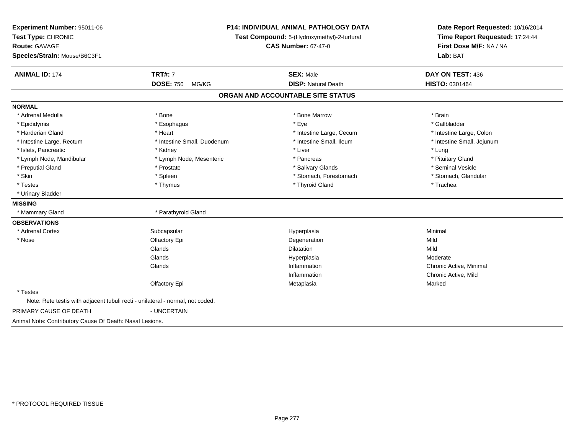| Experiment Number: 95011-06<br>Test Type: CHRONIC<br><b>Route: GAVAGE</b><br>Species/Strain: Mouse/B6C3F1 |                             | <b>P14: INDIVIDUAL ANIMAL PATHOLOGY DATA</b><br>Test Compound: 5-(Hydroxymethyl)-2-furfural<br><b>CAS Number: 67-47-0</b> | Date Report Requested: 10/16/2014<br>Time Report Requested: 17:24:44<br>First Dose M/F: NA / NA<br>Lab: BAT |
|-----------------------------------------------------------------------------------------------------------|-----------------------------|---------------------------------------------------------------------------------------------------------------------------|-------------------------------------------------------------------------------------------------------------|
| <b>ANIMAL ID: 174</b>                                                                                     | <b>TRT#: 7</b>              | <b>SEX: Male</b>                                                                                                          | DAY ON TEST: 436                                                                                            |
|                                                                                                           | <b>DOSE: 750</b><br>MG/KG   | <b>DISP: Natural Death</b>                                                                                                | HISTO: 0301464                                                                                              |
|                                                                                                           |                             | ORGAN AND ACCOUNTABLE SITE STATUS                                                                                         |                                                                                                             |
| <b>NORMAL</b>                                                                                             |                             |                                                                                                                           |                                                                                                             |
| * Adrenal Medulla                                                                                         | * Bone                      | * Bone Marrow                                                                                                             | * Brain                                                                                                     |
| * Epididymis                                                                                              | * Esophagus                 | * Eve                                                                                                                     | * Gallbladder                                                                                               |
| * Harderian Gland                                                                                         | * Heart                     | * Intestine Large, Cecum                                                                                                  | * Intestine Large, Colon                                                                                    |
| * Intestine Large, Rectum                                                                                 | * Intestine Small, Duodenum | * Intestine Small, Ileum                                                                                                  | * Intestine Small, Jejunum                                                                                  |
| * Islets, Pancreatic                                                                                      | * Kidney                    | * Liver                                                                                                                   | * Lung                                                                                                      |
| * Lymph Node, Mandibular                                                                                  | * Lymph Node, Mesenteric    | * Pancreas                                                                                                                | * Pituitary Gland                                                                                           |
| * Preputial Gland                                                                                         | * Prostate                  | * Salivary Glands                                                                                                         | * Seminal Vesicle                                                                                           |
| * Skin                                                                                                    | * Spleen                    | * Stomach, Forestomach                                                                                                    | * Stomach, Glandular                                                                                        |
| * Testes                                                                                                  | * Thymus                    | * Thyroid Gland                                                                                                           | * Trachea                                                                                                   |
| * Urinary Bladder                                                                                         |                             |                                                                                                                           |                                                                                                             |
| <b>MISSING</b>                                                                                            |                             |                                                                                                                           |                                                                                                             |
| * Mammary Gland                                                                                           | * Parathyroid Gland         |                                                                                                                           |                                                                                                             |
| <b>OBSERVATIONS</b>                                                                                       |                             |                                                                                                                           |                                                                                                             |
| * Adrenal Cortex                                                                                          | Subcapsular                 | Hyperplasia                                                                                                               | Minimal                                                                                                     |
| * Nose                                                                                                    | Olfactory Epi               | Degeneration                                                                                                              | Mild                                                                                                        |
|                                                                                                           | Glands                      | Dilatation                                                                                                                | Mild                                                                                                        |
|                                                                                                           | Glands                      | Hyperplasia                                                                                                               | Moderate                                                                                                    |
|                                                                                                           | Glands                      | Inflammation                                                                                                              | Chronic Active, Minimal                                                                                     |
|                                                                                                           |                             | Inflammation                                                                                                              | Chronic Active, Mild                                                                                        |
|                                                                                                           | Olfactory Epi               | Metaplasia                                                                                                                | Marked                                                                                                      |
| * Testes                                                                                                  |                             |                                                                                                                           |                                                                                                             |
| Note: Rete testis with adjacent tubuli recti - unilateral - normal, not coded.                            |                             |                                                                                                                           |                                                                                                             |
| PRIMARY CAUSE OF DEATH                                                                                    | - UNCERTAIN                 |                                                                                                                           |                                                                                                             |
| Animal Note: Contributory Cause Of Death: Nasal Lesions.                                                  |                             |                                                                                                                           |                                                                                                             |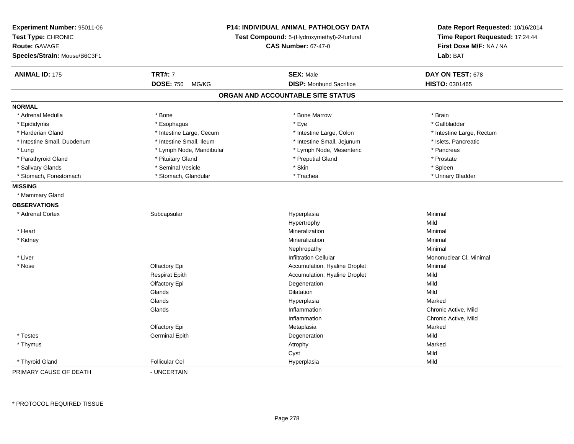| Experiment Number: 95011-06<br>Test Type: CHRONIC<br><b>Route: GAVAGE</b><br>Species/Strain: Mouse/B6C3F1 | P14: INDIVIDUAL ANIMAL PATHOLOGY DATA<br>Test Compound: 5-(Hydroxymethyl)-2-furfural<br><b>CAS Number: 67-47-0</b> |                                   | Date Report Requested: 10/16/2014<br>Time Report Requested: 17:24:44<br>First Dose M/F: NA / NA<br>Lab: BAT |
|-----------------------------------------------------------------------------------------------------------|--------------------------------------------------------------------------------------------------------------------|-----------------------------------|-------------------------------------------------------------------------------------------------------------|
| <b>ANIMAL ID: 175</b>                                                                                     | <b>TRT#: 7</b>                                                                                                     | <b>SEX: Male</b>                  | DAY ON TEST: 678                                                                                            |
|                                                                                                           | <b>DOSE: 750</b><br>MG/KG                                                                                          | <b>DISP:</b> Moribund Sacrifice   | HISTO: 0301465                                                                                              |
|                                                                                                           |                                                                                                                    | ORGAN AND ACCOUNTABLE SITE STATUS |                                                                                                             |
| <b>NORMAL</b>                                                                                             |                                                                                                                    |                                   |                                                                                                             |
| * Adrenal Medulla                                                                                         | * Bone                                                                                                             | * Bone Marrow                     | * Brain                                                                                                     |
| * Epididymis                                                                                              | * Esophagus                                                                                                        | * Eye                             | * Gallbladder                                                                                               |
| * Harderian Gland                                                                                         | * Intestine Large, Cecum                                                                                           | * Intestine Large, Colon          | * Intestine Large, Rectum                                                                                   |
| * Intestine Small, Duodenum                                                                               | * Intestine Small, Ileum                                                                                           | * Intestine Small, Jejunum        | * Islets, Pancreatic                                                                                        |
| * Lung                                                                                                    | * Lymph Node, Mandibular                                                                                           | * Lymph Node, Mesenteric          | * Pancreas                                                                                                  |
| * Parathyroid Gland                                                                                       | * Pituitary Gland                                                                                                  | * Preputial Gland                 | * Prostate                                                                                                  |
| * Salivary Glands                                                                                         | * Seminal Vesicle                                                                                                  | * Skin                            | * Spleen                                                                                                    |
| * Stomach, Forestomach                                                                                    | * Stomach, Glandular                                                                                               | * Trachea                         | * Urinary Bladder                                                                                           |
| <b>MISSING</b>                                                                                            |                                                                                                                    |                                   |                                                                                                             |
| * Mammary Gland                                                                                           |                                                                                                                    |                                   |                                                                                                             |
| <b>OBSERVATIONS</b>                                                                                       |                                                                                                                    |                                   |                                                                                                             |
| * Adrenal Cortex                                                                                          | Subcapsular                                                                                                        | Hyperplasia                       | Minimal                                                                                                     |
|                                                                                                           |                                                                                                                    | Hypertrophy                       | Mild                                                                                                        |
| * Heart                                                                                                   |                                                                                                                    | Mineralization                    | Minimal                                                                                                     |
| * Kidney                                                                                                  |                                                                                                                    | Mineralization                    | Minimal                                                                                                     |
|                                                                                                           |                                                                                                                    | Nephropathy                       | Minimal                                                                                                     |
| * Liver                                                                                                   |                                                                                                                    | <b>Infiltration Cellular</b>      | Mononuclear CI, Minimal                                                                                     |
| * Nose                                                                                                    | Olfactory Epi                                                                                                      | Accumulation, Hyaline Droplet     | Minimal                                                                                                     |
|                                                                                                           | <b>Respirat Epith</b>                                                                                              | Accumulation, Hyaline Droplet     | Mild                                                                                                        |
|                                                                                                           | Olfactory Epi                                                                                                      | Degeneration                      | Mild                                                                                                        |
|                                                                                                           | Glands                                                                                                             | <b>Dilatation</b>                 | Mild                                                                                                        |
|                                                                                                           | Glands                                                                                                             | Hyperplasia                       | Marked                                                                                                      |
|                                                                                                           | Glands                                                                                                             | Inflammation                      | Chronic Active, Mild                                                                                        |
|                                                                                                           |                                                                                                                    | Inflammation                      | Chronic Active, Mild                                                                                        |
|                                                                                                           | Olfactory Epi                                                                                                      | Metaplasia                        | Marked                                                                                                      |
| * Testes                                                                                                  | <b>Germinal Epith</b>                                                                                              | Degeneration                      | Mild                                                                                                        |
| * Thymus                                                                                                  |                                                                                                                    | Atrophy                           | Marked                                                                                                      |
|                                                                                                           |                                                                                                                    | Cyst                              | Mild                                                                                                        |
| * Thyroid Gland                                                                                           | <b>Follicular Cel</b>                                                                                              | Hyperplasia                       | Mild                                                                                                        |
| PRIMARY CAUSE OF DEATH                                                                                    | - UNCERTAIN                                                                                                        |                                   |                                                                                                             |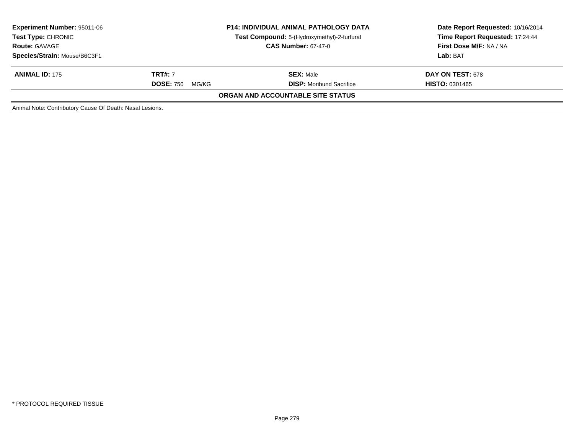| <b>Experiment Number: 95011-06</b><br><b>Test Type: CHRONIC</b><br><b>Route: GAVAGE</b><br>Species/Strain: Mouse/B6C3F1 | <b>P14: INDIVIDUAL ANIMAL PATHOLOGY DATA</b><br>Test Compound: 5-(Hydroxymethyl)-2-furfural<br><b>CAS Number: 67-47-0</b> |                                                     | Date Report Requested: 10/16/2014<br>Time Report Requested: 17:24:44<br>First Dose M/F: NA / NA<br><b>Lab: BAT</b> |
|-------------------------------------------------------------------------------------------------------------------------|---------------------------------------------------------------------------------------------------------------------------|-----------------------------------------------------|--------------------------------------------------------------------------------------------------------------------|
| <b>ANIMAL ID: 175</b>                                                                                                   | <b>TRT#: 7</b><br><b>DOSE: 750</b><br>MG/KG                                                                               | <b>SEX: Male</b><br><b>DISP:</b> Moribund Sacrifice | <b>DAY ON TEST: 678</b><br><b>HISTO: 0301465</b>                                                                   |
|                                                                                                                         |                                                                                                                           | ORGAN AND ACCOUNTABLE SITE STATUS                   |                                                                                                                    |
| Animal Note: Contributory Cause Of Death: Nasal Lesions.                                                                |                                                                                                                           |                                                     |                                                                                                                    |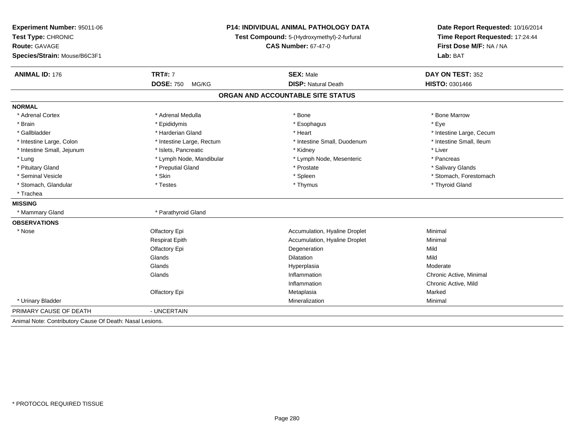| Experiment Number: 95011-06<br>Test Type: CHRONIC<br>Route: GAVAGE<br>Species/Strain: Mouse/B6C3F1 | P14: INDIVIDUAL ANIMAL PATHOLOGY DATA<br>Test Compound: 5-(Hydroxymethyl)-2-furfural<br><b>CAS Number: 67-47-0</b> |                                   | Date Report Requested: 10/16/2014<br>Time Report Requested: 17:24:44<br>First Dose M/F: NA / NA<br>Lab: BAT |  |
|----------------------------------------------------------------------------------------------------|--------------------------------------------------------------------------------------------------------------------|-----------------------------------|-------------------------------------------------------------------------------------------------------------|--|
| <b>ANIMAL ID: 176</b>                                                                              | <b>TRT#: 7</b>                                                                                                     | <b>SEX: Male</b>                  | DAY ON TEST: 352                                                                                            |  |
|                                                                                                    | <b>DOSE: 750</b><br>MG/KG                                                                                          | <b>DISP: Natural Death</b>        | <b>HISTO: 0301466</b>                                                                                       |  |
|                                                                                                    |                                                                                                                    | ORGAN AND ACCOUNTABLE SITE STATUS |                                                                                                             |  |
| <b>NORMAL</b>                                                                                      |                                                                                                                    |                                   |                                                                                                             |  |
| * Adrenal Cortex                                                                                   | * Adrenal Medulla                                                                                                  | * Bone                            | * Bone Marrow                                                                                               |  |
| * Brain                                                                                            | * Epididymis                                                                                                       | * Esophagus                       | * Eye                                                                                                       |  |
| * Gallbladder                                                                                      | * Harderian Gland                                                                                                  | * Heart                           | * Intestine Large, Cecum                                                                                    |  |
| * Intestine Large, Colon                                                                           | * Intestine Large, Rectum                                                                                          | * Intestine Small, Duodenum       | * Intestine Small. Ileum                                                                                    |  |
| * Intestine Small, Jejunum                                                                         | * Islets, Pancreatic                                                                                               | * Kidney                          | * Liver                                                                                                     |  |
| * Lung                                                                                             | * Lymph Node, Mandibular                                                                                           | * Lymph Node, Mesenteric          | * Pancreas                                                                                                  |  |
| * Pituitary Gland                                                                                  | * Preputial Gland                                                                                                  | * Prostate                        | * Salivary Glands                                                                                           |  |
| * Seminal Vesicle                                                                                  | * Skin                                                                                                             | * Spleen                          | * Stomach, Forestomach                                                                                      |  |
| * Stomach, Glandular                                                                               | * Testes                                                                                                           | * Thymus                          | * Thyroid Gland                                                                                             |  |
| * Trachea                                                                                          |                                                                                                                    |                                   |                                                                                                             |  |
| <b>MISSING</b>                                                                                     |                                                                                                                    |                                   |                                                                                                             |  |
| * Mammary Gland                                                                                    | * Parathyroid Gland                                                                                                |                                   |                                                                                                             |  |
| <b>OBSERVATIONS</b>                                                                                |                                                                                                                    |                                   |                                                                                                             |  |
| * Nose                                                                                             | Olfactory Epi                                                                                                      | Accumulation, Hyaline Droplet     | Minimal                                                                                                     |  |
|                                                                                                    | <b>Respirat Epith</b>                                                                                              | Accumulation, Hyaline Droplet     | Minimal                                                                                                     |  |
|                                                                                                    | Olfactory Epi                                                                                                      | Degeneration                      | Mild                                                                                                        |  |
|                                                                                                    | Glands                                                                                                             | Dilatation                        | Mild                                                                                                        |  |
|                                                                                                    | Glands                                                                                                             | Hyperplasia                       | Moderate                                                                                                    |  |
|                                                                                                    | Glands                                                                                                             | Inflammation                      | Chronic Active, Minimal                                                                                     |  |
|                                                                                                    |                                                                                                                    | Inflammation                      | Chronic Active, Mild                                                                                        |  |
|                                                                                                    | Olfactory Epi                                                                                                      | Metaplasia                        | Marked                                                                                                      |  |
| * Urinary Bladder                                                                                  |                                                                                                                    | Mineralization                    | Minimal                                                                                                     |  |
| PRIMARY CAUSE OF DEATH                                                                             | - UNCERTAIN                                                                                                        |                                   |                                                                                                             |  |
| Animal Note: Contributory Cause Of Death: Nasal Lesions.                                           |                                                                                                                    |                                   |                                                                                                             |  |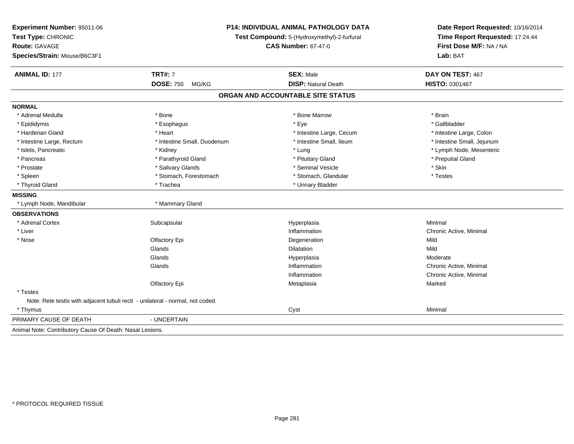| Experiment Number: 95011-06<br>Test Type: CHRONIC                              |                             | <b>P14: INDIVIDUAL ANIMAL PATHOLOGY DATA</b><br>Test Compound: 5-(Hydroxymethyl)-2-furfural | Date Report Requested: 10/16/2014<br>Time Report Requested: 17:24:44<br>First Dose M/F: NA / NA |  |
|--------------------------------------------------------------------------------|-----------------------------|---------------------------------------------------------------------------------------------|-------------------------------------------------------------------------------------------------|--|
| <b>Route: GAVAGE</b>                                                           | <b>CAS Number: 67-47-0</b>  |                                                                                             |                                                                                                 |  |
| Species/Strain: Mouse/B6C3F1                                                   |                             |                                                                                             | Lab: BAT                                                                                        |  |
| <b>ANIMAL ID: 177</b>                                                          | <b>TRT#: 7</b>              | <b>SEX: Male</b>                                                                            | DAY ON TEST: 467                                                                                |  |
|                                                                                | <b>DOSE: 750</b><br>MG/KG   | <b>DISP: Natural Death</b>                                                                  | HISTO: 0301467                                                                                  |  |
|                                                                                |                             | ORGAN AND ACCOUNTABLE SITE STATUS                                                           |                                                                                                 |  |
| <b>NORMAL</b>                                                                  |                             |                                                                                             |                                                                                                 |  |
| * Adrenal Medulla                                                              | * Bone                      | * Bone Marrow                                                                               | * Brain                                                                                         |  |
| * Epididymis                                                                   | * Esophagus                 | * Eye                                                                                       | * Gallbladder                                                                                   |  |
| * Harderian Gland                                                              | * Heart                     | * Intestine Large, Cecum                                                                    | * Intestine Large, Colon                                                                        |  |
| * Intestine Large, Rectum                                                      | * Intestine Small, Duodenum | * Intestine Small, Ileum                                                                    | * Intestine Small, Jejunum                                                                      |  |
| * Islets, Pancreatic                                                           | * Kidney                    | * Lung                                                                                      | * Lymph Node, Mesenteric                                                                        |  |
| * Pancreas                                                                     | * Parathyroid Gland         | * Pituitary Gland                                                                           | * Preputial Gland                                                                               |  |
| * Prostate                                                                     | * Salivary Glands           | * Seminal Vesicle                                                                           | * Skin                                                                                          |  |
| * Spleen                                                                       | * Stomach, Forestomach      | * Stomach, Glandular                                                                        | * Testes                                                                                        |  |
| * Thyroid Gland                                                                | * Trachea                   | * Urinary Bladder                                                                           |                                                                                                 |  |
| <b>MISSING</b>                                                                 |                             |                                                                                             |                                                                                                 |  |
| * Lymph Node, Mandibular                                                       | * Mammary Gland             |                                                                                             |                                                                                                 |  |
| <b>OBSERVATIONS</b>                                                            |                             |                                                                                             |                                                                                                 |  |
| * Adrenal Cortex                                                               | Subcapsular                 | Hyperplasia                                                                                 | Minimal                                                                                         |  |
| * Liver                                                                        |                             | Inflammation                                                                                | Chronic Active, Minimal                                                                         |  |
| * Nose                                                                         | Olfactory Epi               | Degeneration                                                                                | Mild                                                                                            |  |
|                                                                                | Glands                      | Dilatation                                                                                  | Mild                                                                                            |  |
|                                                                                | Glands                      | Hyperplasia                                                                                 | Moderate                                                                                        |  |
|                                                                                | Glands                      | Inflammation                                                                                | Chronic Active, Minimal                                                                         |  |
|                                                                                |                             | Inflammation                                                                                | Chronic Active, Minimal                                                                         |  |
|                                                                                | Olfactory Epi               | Metaplasia                                                                                  | Marked                                                                                          |  |
| * Testes                                                                       |                             |                                                                                             |                                                                                                 |  |
| Note: Rete testis with adjacent tubuli recti - unilateral - normal, not coded. |                             |                                                                                             |                                                                                                 |  |
| * Thymus                                                                       |                             | Cyst                                                                                        | Minimal                                                                                         |  |
| PRIMARY CAUSE OF DEATH                                                         | - UNCERTAIN                 |                                                                                             |                                                                                                 |  |
| Animal Note: Contributory Cause Of Death: Nasal Lesions.                       |                             |                                                                                             |                                                                                                 |  |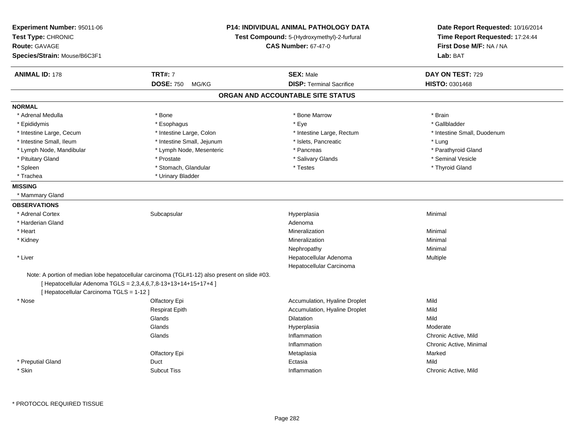| Experiment Number: 95011-06<br>Test Type: CHRONIC |                                                                                                                                                                 | <b>P14: INDIVIDUAL ANIMAL PATHOLOGY DATA</b><br>Test Compound: 5-(Hydroxymethyl)-2-furfural | Date Report Requested: 10/16/2014<br>Time Report Requested: 17:24:44 |
|---------------------------------------------------|-----------------------------------------------------------------------------------------------------------------------------------------------------------------|---------------------------------------------------------------------------------------------|----------------------------------------------------------------------|
| Route: GAVAGE                                     |                                                                                                                                                                 | <b>CAS Number: 67-47-0</b>                                                                  | First Dose M/F: NA / NA                                              |
| Species/Strain: Mouse/B6C3F1                      |                                                                                                                                                                 |                                                                                             | Lab: BAT                                                             |
| <b>ANIMAL ID: 178</b>                             | <b>TRT#: 7</b>                                                                                                                                                  | <b>SEX: Male</b>                                                                            | DAY ON TEST: 729                                                     |
|                                                   | <b>DOSE: 750</b><br>MG/KG                                                                                                                                       | <b>DISP: Terminal Sacrifice</b>                                                             | <b>HISTO: 0301468</b>                                                |
|                                                   |                                                                                                                                                                 | ORGAN AND ACCOUNTABLE SITE STATUS                                                           |                                                                      |
| <b>NORMAL</b>                                     |                                                                                                                                                                 |                                                                                             |                                                                      |
| * Adrenal Medulla                                 | * Bone                                                                                                                                                          | * Bone Marrow                                                                               | * Brain                                                              |
| * Epididymis                                      | * Esophagus                                                                                                                                                     | * Eye                                                                                       | * Gallbladder                                                        |
| * Intestine Large, Cecum                          | * Intestine Large, Colon                                                                                                                                        | * Intestine Large, Rectum                                                                   | * Intestine Small, Duodenum                                          |
| * Intestine Small, Ileum                          | * Intestine Small, Jejunum                                                                                                                                      | * Islets, Pancreatic                                                                        | * Lung                                                               |
| * Lymph Node, Mandibular                          | * Lymph Node, Mesenteric                                                                                                                                        | * Pancreas                                                                                  | * Parathyroid Gland                                                  |
| * Pituitary Gland                                 | * Prostate                                                                                                                                                      | * Salivary Glands                                                                           | * Seminal Vesicle                                                    |
| * Spleen                                          | * Stomach, Glandular                                                                                                                                            | * Testes                                                                                    | * Thyroid Gland                                                      |
| * Trachea                                         | * Urinary Bladder                                                                                                                                               |                                                                                             |                                                                      |
| <b>MISSING</b>                                    |                                                                                                                                                                 |                                                                                             |                                                                      |
| * Mammary Gland                                   |                                                                                                                                                                 |                                                                                             |                                                                      |
| <b>OBSERVATIONS</b>                               |                                                                                                                                                                 |                                                                                             |                                                                      |
| * Adrenal Cortex                                  | Subcapsular                                                                                                                                                     | Hyperplasia                                                                                 | Minimal                                                              |
| * Harderian Gland                                 |                                                                                                                                                                 | Adenoma                                                                                     |                                                                      |
| * Heart                                           |                                                                                                                                                                 | Mineralization                                                                              | Minimal                                                              |
| * Kidney                                          |                                                                                                                                                                 | Mineralization                                                                              | Minimal                                                              |
|                                                   |                                                                                                                                                                 | Nephropathy                                                                                 | Minimal                                                              |
| * Liver                                           |                                                                                                                                                                 | Hepatocellular Adenoma                                                                      | Multiple                                                             |
|                                                   |                                                                                                                                                                 | Hepatocellular Carcinoma                                                                    |                                                                      |
| [ Hepatocellular Carcinoma TGLS = 1-12 ]          | Note: A portion of median lobe hepatocellular carcinoma (TGL#1-12) also present on slide #03.<br>[ Hepatocellular Adenoma TGLS = 2,3,4,6,7,8-13+13+14+15+17+4 ] |                                                                                             |                                                                      |
| * Nose                                            | Olfactory Epi                                                                                                                                                   | Accumulation, Hyaline Droplet                                                               | Mild                                                                 |
|                                                   | Respirat Epith                                                                                                                                                  | Accumulation, Hyaline Droplet                                                               | Mild                                                                 |
|                                                   | Glands                                                                                                                                                          | Dilatation                                                                                  | Mild                                                                 |
|                                                   | Glands                                                                                                                                                          | Hyperplasia                                                                                 | Moderate                                                             |
|                                                   | Glands                                                                                                                                                          | Inflammation                                                                                | Chronic Active, Mild                                                 |
|                                                   |                                                                                                                                                                 | Inflammation                                                                                | Chronic Active, Minimal                                              |
|                                                   | Olfactory Epi                                                                                                                                                   | Metaplasia                                                                                  | Marked                                                               |
| * Preputial Gland                                 | Duct                                                                                                                                                            | Ectasia                                                                                     | Mild                                                                 |
| * Skin                                            | <b>Subcut Tiss</b>                                                                                                                                              | Inflammation                                                                                | Chronic Active, Mild                                                 |
|                                                   |                                                                                                                                                                 |                                                                                             |                                                                      |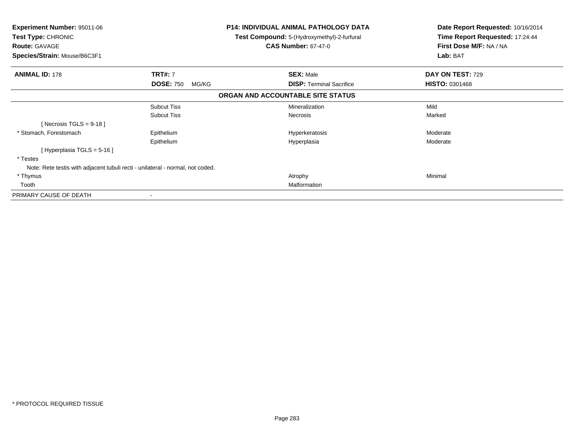| <b>Experiment Number: 95011-06</b><br>Test Type: CHRONIC<br><b>Route: GAVAGE</b> |                           | <b>P14: INDIVIDUAL ANIMAL PATHOLOGY DATA</b><br>Test Compound: 5-(Hydroxymethyl)-2-furfural<br><b>CAS Number: 67-47-0</b> | Date Report Requested: 10/16/2014<br>Time Report Requested: 17:24:44<br>First Dose M/F: NA / NA |
|----------------------------------------------------------------------------------|---------------------------|---------------------------------------------------------------------------------------------------------------------------|-------------------------------------------------------------------------------------------------|
| Species/Strain: Mouse/B6C3F1                                                     |                           |                                                                                                                           | Lab: BAT                                                                                        |
| <b>ANIMAL ID: 178</b>                                                            | <b>TRT#: 7</b>            | <b>SEX: Male</b>                                                                                                          | DAY ON TEST: 729                                                                                |
|                                                                                  | <b>DOSE: 750</b><br>MG/KG | <b>DISP: Terminal Sacrifice</b>                                                                                           | <b>HISTO: 0301468</b>                                                                           |
|                                                                                  |                           | ORGAN AND ACCOUNTABLE SITE STATUS                                                                                         |                                                                                                 |
|                                                                                  | <b>Subcut Tiss</b>        | Mineralization                                                                                                            | Mild                                                                                            |
|                                                                                  | <b>Subcut Tiss</b>        | <b>Necrosis</b>                                                                                                           | Marked                                                                                          |
| [Necrosis TGLS = $9-18$ ]                                                        |                           |                                                                                                                           |                                                                                                 |
| * Stomach, Forestomach                                                           | Epithelium                | Hyperkeratosis                                                                                                            | Moderate                                                                                        |
|                                                                                  | Epithelium                | Hyperplasia                                                                                                               | Moderate                                                                                        |
| [Hyperplasia TGLS = 5-16]                                                        |                           |                                                                                                                           |                                                                                                 |
| * Testes                                                                         |                           |                                                                                                                           |                                                                                                 |
| Note: Rete testis with adjacent tubuli recti - unilateral - normal, not coded.   |                           |                                                                                                                           |                                                                                                 |
| * Thymus                                                                         |                           | Atrophy                                                                                                                   | Minimal                                                                                         |
| Tooth                                                                            |                           | Malformation                                                                                                              |                                                                                                 |
| PRIMARY CAUSE OF DEATH                                                           |                           |                                                                                                                           |                                                                                                 |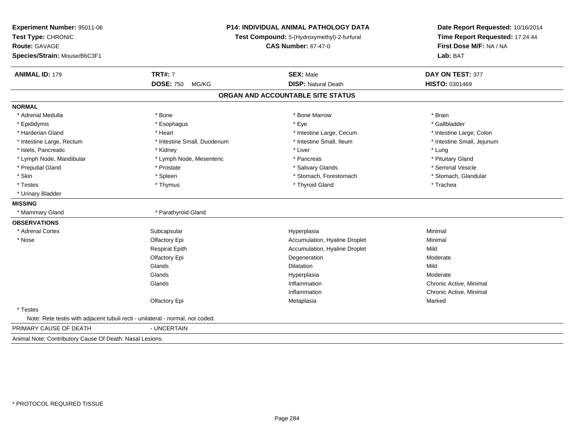| Experiment Number: 95011-06<br>Test Type: CHRONIC<br><b>Route: GAVAGE</b><br>Species/Strain: Mouse/B6C3F1 |                             | P14: INDIVIDUAL ANIMAL PATHOLOGY DATA<br>Test Compound: 5-(Hydroxymethyl)-2-furfural<br><b>CAS Number: 67-47-0</b> |                            |
|-----------------------------------------------------------------------------------------------------------|-----------------------------|--------------------------------------------------------------------------------------------------------------------|----------------------------|
| <b>ANIMAL ID: 179</b>                                                                                     | <b>TRT#: 7</b>              | <b>SEX: Male</b>                                                                                                   | DAY ON TEST: 377           |
|                                                                                                           | <b>DOSE: 750</b><br>MG/KG   | <b>DISP: Natural Death</b>                                                                                         | HISTO: 0301469             |
|                                                                                                           |                             | ORGAN AND ACCOUNTABLE SITE STATUS                                                                                  |                            |
| <b>NORMAL</b>                                                                                             |                             |                                                                                                                    |                            |
| * Adrenal Medulla                                                                                         | * Bone                      | * Bone Marrow                                                                                                      | * Brain                    |
| * Epididymis                                                                                              | * Esophagus                 | * Eye                                                                                                              | * Gallbladder              |
| * Harderian Gland                                                                                         | * Heart                     | * Intestine Large, Cecum                                                                                           | * Intestine Large, Colon   |
| * Intestine Large, Rectum                                                                                 | * Intestine Small, Duodenum | * Intestine Small, Ileum                                                                                           | * Intestine Small, Jejunum |
| * Islets, Pancreatic                                                                                      | * Kidney                    | * Liver                                                                                                            | * Lung                     |
| * Lymph Node, Mandibular                                                                                  | * Lymph Node, Mesenteric    | * Pancreas                                                                                                         | * Pituitary Gland          |
| * Preputial Gland                                                                                         | * Prostate                  | * Salivary Glands                                                                                                  | * Seminal Vesicle          |
| * Skin                                                                                                    | * Spleen                    | * Stomach, Forestomach                                                                                             | * Stomach, Glandular       |
| * Testes                                                                                                  | * Thymus                    | * Thyroid Gland                                                                                                    | * Trachea                  |
| * Urinary Bladder                                                                                         |                             |                                                                                                                    |                            |
| <b>MISSING</b>                                                                                            |                             |                                                                                                                    |                            |
| * Mammary Gland                                                                                           | * Parathyroid Gland         |                                                                                                                    |                            |
| <b>OBSERVATIONS</b>                                                                                       |                             |                                                                                                                    |                            |
| * Adrenal Cortex                                                                                          | Subcapsular                 | Hyperplasia                                                                                                        | Minimal                    |
| * Nose                                                                                                    | Olfactory Epi               | Accumulation, Hyaline Droplet                                                                                      | Minimal                    |
|                                                                                                           | <b>Respirat Epith</b>       | Accumulation, Hyaline Droplet                                                                                      | Mild                       |
|                                                                                                           | Olfactory Epi               | Degeneration                                                                                                       | Moderate                   |
|                                                                                                           | Glands                      | <b>Dilatation</b>                                                                                                  | Mild                       |
|                                                                                                           | Glands                      | Hyperplasia                                                                                                        | Moderate                   |
|                                                                                                           | Glands                      | Inflammation                                                                                                       | Chronic Active, Minimal    |
|                                                                                                           |                             | Inflammation                                                                                                       | Chronic Active, Minimal    |
|                                                                                                           | Olfactory Epi               | Metaplasia                                                                                                         | Marked                     |
| * Testes                                                                                                  |                             |                                                                                                                    |                            |
| Note: Rete testis with adjacent tubuli recti - unilateral - normal, not coded.                            |                             |                                                                                                                    |                            |
| PRIMARY CAUSE OF DEATH                                                                                    | - UNCERTAIN                 |                                                                                                                    |                            |
| Animal Note: Contributory Cause Of Death: Nasal Lesions.                                                  |                             |                                                                                                                    |                            |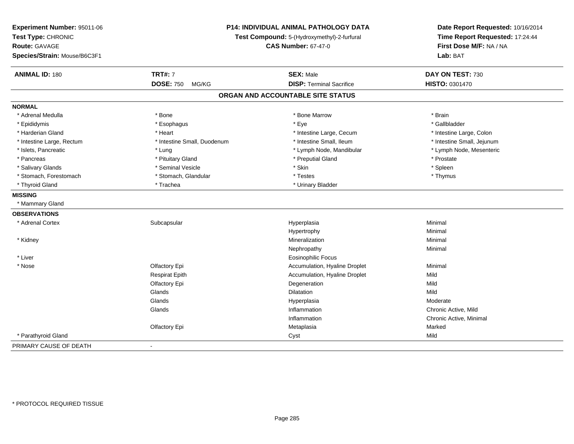| Experiment Number: 95011-06<br>Test Type: CHRONIC<br>Route: GAVAGE<br>Species/Strain: Mouse/B6C3F1 | <b>P14: INDIVIDUAL ANIMAL PATHOLOGY DATA</b><br>Test Compound: 5-(Hydroxymethyl)-2-furfural<br><b>CAS Number: 67-47-0</b> |                                   | Date Report Requested: 10/16/2014<br>Time Report Requested: 17:24:44<br>First Dose M/F: NA / NA<br>Lab: BAT |
|----------------------------------------------------------------------------------------------------|---------------------------------------------------------------------------------------------------------------------------|-----------------------------------|-------------------------------------------------------------------------------------------------------------|
| <b>ANIMAL ID: 180</b>                                                                              | <b>TRT#: 7</b>                                                                                                            | <b>SEX: Male</b>                  | DAY ON TEST: 730                                                                                            |
|                                                                                                    | <b>DOSE: 750</b><br>MG/KG                                                                                                 | <b>DISP: Terminal Sacrifice</b>   | HISTO: 0301470                                                                                              |
|                                                                                                    |                                                                                                                           | ORGAN AND ACCOUNTABLE SITE STATUS |                                                                                                             |
| <b>NORMAL</b>                                                                                      |                                                                                                                           |                                   |                                                                                                             |
| * Adrenal Medulla                                                                                  | * Bone                                                                                                                    | * Bone Marrow                     | * Brain                                                                                                     |
| * Epididymis                                                                                       | * Esophagus                                                                                                               | * Eye                             | * Gallbladder                                                                                               |
| * Harderian Gland                                                                                  | * Heart                                                                                                                   | * Intestine Large, Cecum          | * Intestine Large, Colon                                                                                    |
| * Intestine Large, Rectum                                                                          | * Intestine Small, Duodenum                                                                                               | * Intestine Small, Ileum          | * Intestine Small, Jejunum                                                                                  |
| * Islets, Pancreatic                                                                               | * Lung                                                                                                                    | * Lymph Node, Mandibular          | * Lymph Node, Mesenteric                                                                                    |
| * Pancreas                                                                                         | * Pituitary Gland                                                                                                         | * Preputial Gland                 | * Prostate                                                                                                  |
| * Salivary Glands                                                                                  | * Seminal Vesicle                                                                                                         | * Skin                            | * Spleen                                                                                                    |
| * Stomach, Forestomach                                                                             | * Stomach, Glandular                                                                                                      | * Testes                          | * Thymus                                                                                                    |
| * Thyroid Gland                                                                                    | * Trachea                                                                                                                 | * Urinary Bladder                 |                                                                                                             |
| <b>MISSING</b>                                                                                     |                                                                                                                           |                                   |                                                                                                             |
| * Mammary Gland                                                                                    |                                                                                                                           |                                   |                                                                                                             |
| <b>OBSERVATIONS</b>                                                                                |                                                                                                                           |                                   |                                                                                                             |
| * Adrenal Cortex                                                                                   | Subcapsular                                                                                                               | Hyperplasia                       | Minimal                                                                                                     |
|                                                                                                    |                                                                                                                           | Hypertrophy                       | Minimal                                                                                                     |
| * Kidney                                                                                           |                                                                                                                           | Mineralization                    | Minimal                                                                                                     |
|                                                                                                    |                                                                                                                           | Nephropathy                       | Minimal                                                                                                     |
| * Liver                                                                                            |                                                                                                                           | Eosinophilic Focus                |                                                                                                             |
| * Nose                                                                                             | Olfactory Epi                                                                                                             | Accumulation, Hyaline Droplet     | Minimal                                                                                                     |
|                                                                                                    | <b>Respirat Epith</b>                                                                                                     | Accumulation, Hyaline Droplet     | Mild                                                                                                        |
|                                                                                                    | Olfactory Epi                                                                                                             | Degeneration                      | Mild                                                                                                        |
|                                                                                                    | Glands                                                                                                                    | <b>Dilatation</b>                 | Mild                                                                                                        |
|                                                                                                    | Glands                                                                                                                    | Hyperplasia                       | Moderate                                                                                                    |
|                                                                                                    | Glands                                                                                                                    | Inflammation                      | Chronic Active, Mild                                                                                        |
|                                                                                                    |                                                                                                                           | Inflammation                      | Chronic Active, Minimal                                                                                     |
|                                                                                                    | Olfactory Epi                                                                                                             | Metaplasia                        | Marked                                                                                                      |
| * Parathyroid Gland                                                                                |                                                                                                                           | Cyst                              | Mild                                                                                                        |
| PRIMARY CAUSE OF DEATH                                                                             | $\blacksquare$                                                                                                            |                                   |                                                                                                             |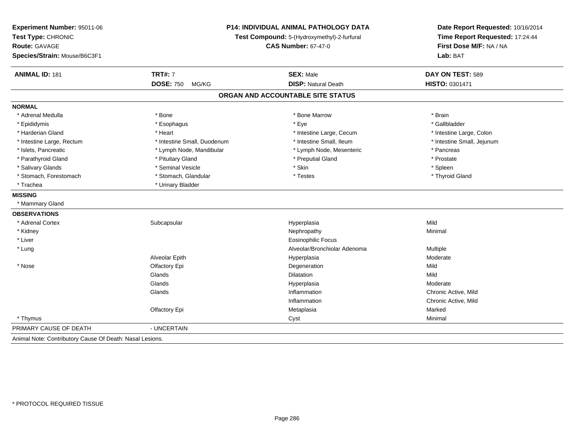| Experiment Number: 95011-06<br>Test Type: CHRONIC<br><b>Route: GAVAGE</b> | P14: INDIVIDUAL ANIMAL PATHOLOGY DATA<br>Test Compound: 5-(Hydroxymethyl)-2-furfural<br><b>CAS Number: 67-47-0</b> |                                   | Date Report Requested: 10/16/2014<br>Time Report Requested: 17:24:44<br>First Dose M/F: NA / NA |
|---------------------------------------------------------------------------|--------------------------------------------------------------------------------------------------------------------|-----------------------------------|-------------------------------------------------------------------------------------------------|
| Species/Strain: Mouse/B6C3F1                                              |                                                                                                                    |                                   | Lab: BAT                                                                                        |
| <b>ANIMAL ID: 181</b>                                                     | <b>TRT#: 7</b>                                                                                                     | <b>SEX: Male</b>                  | DAY ON TEST: 589                                                                                |
|                                                                           | <b>DOSE: 750</b><br>MG/KG                                                                                          | <b>DISP: Natural Death</b>        | HISTO: 0301471                                                                                  |
|                                                                           |                                                                                                                    | ORGAN AND ACCOUNTABLE SITE STATUS |                                                                                                 |
| <b>NORMAL</b>                                                             |                                                                                                                    |                                   |                                                                                                 |
| * Adrenal Medulla                                                         | * Bone                                                                                                             | * Bone Marrow                     | * Brain                                                                                         |
| * Epididymis                                                              | * Esophagus                                                                                                        | * Eye                             | * Gallbladder                                                                                   |
| * Harderian Gland                                                         | * Heart                                                                                                            | * Intestine Large, Cecum          | * Intestine Large, Colon                                                                        |
| * Intestine Large, Rectum                                                 | * Intestine Small, Duodenum                                                                                        | * Intestine Small, Ileum          | * Intestine Small, Jejunum                                                                      |
| * Islets, Pancreatic                                                      | * Lymph Node, Mandibular                                                                                           | * Lymph Node, Mesenteric          | * Pancreas                                                                                      |
| * Parathyroid Gland                                                       | * Pituitary Gland                                                                                                  | * Preputial Gland                 | * Prostate                                                                                      |
| * Salivary Glands                                                         | * Seminal Vesicle                                                                                                  | * Skin                            | * Spleen                                                                                        |
| * Stomach, Forestomach                                                    | * Stomach, Glandular                                                                                               | * Testes                          | * Thyroid Gland                                                                                 |
| * Trachea                                                                 | * Urinary Bladder                                                                                                  |                                   |                                                                                                 |
| <b>MISSING</b>                                                            |                                                                                                                    |                                   |                                                                                                 |
| * Mammary Gland                                                           |                                                                                                                    |                                   |                                                                                                 |
| <b>OBSERVATIONS</b>                                                       |                                                                                                                    |                                   |                                                                                                 |
| * Adrenal Cortex                                                          | Subcapsular                                                                                                        | Hyperplasia                       | Mild                                                                                            |
| * Kidney                                                                  |                                                                                                                    | Nephropathy                       | Minimal                                                                                         |
| * Liver                                                                   |                                                                                                                    | <b>Eosinophilic Focus</b>         |                                                                                                 |
| * Lung                                                                    |                                                                                                                    | Alveolar/Bronchiolar Adenoma      | <b>Multiple</b>                                                                                 |
|                                                                           | Alveolar Epith                                                                                                     | Hyperplasia                       | Moderate                                                                                        |
| * Nose                                                                    | Olfactory Epi                                                                                                      | Degeneration                      | Mild                                                                                            |
|                                                                           | Glands                                                                                                             | <b>Dilatation</b>                 | Mild                                                                                            |
|                                                                           | Glands                                                                                                             | Hyperplasia                       | Moderate                                                                                        |
|                                                                           | Glands                                                                                                             | Inflammation                      | Chronic Active, Mild                                                                            |
|                                                                           |                                                                                                                    | Inflammation                      | Chronic Active, Mild                                                                            |
|                                                                           | Olfactory Epi                                                                                                      | Metaplasia                        | Marked                                                                                          |
| * Thymus                                                                  |                                                                                                                    | Cyst                              | Minimal                                                                                         |
| PRIMARY CAUSE OF DEATH                                                    | - UNCERTAIN                                                                                                        |                                   |                                                                                                 |
| Animal Note: Contributory Cause Of Death: Nasal Lesions.                  |                                                                                                                    |                                   |                                                                                                 |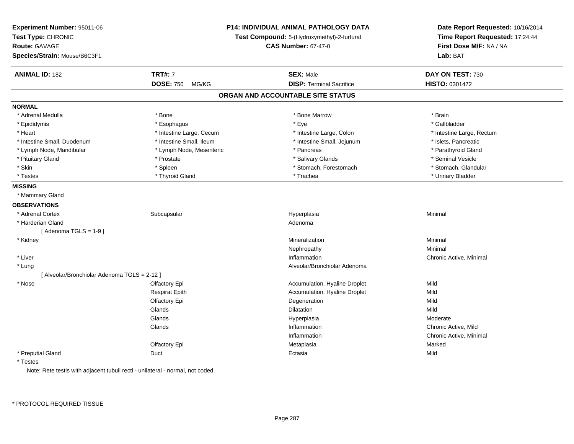| Experiment Number: 95011-06<br>Test Type: CHRONIC<br><b>Route: GAVAGE</b><br>Species/Strain: Mouse/B6C3F1 |                           | <b>P14: INDIVIDUAL ANIMAL PATHOLOGY DATA</b><br>Test Compound: 5-(Hydroxymethyl)-2-furfural<br><b>CAS Number: 67-47-0</b> | Date Report Requested: 10/16/2014<br>Time Report Requested: 17:24:44<br>First Dose M/F: NA / NA<br>Lab: BAT |
|-----------------------------------------------------------------------------------------------------------|---------------------------|---------------------------------------------------------------------------------------------------------------------------|-------------------------------------------------------------------------------------------------------------|
| <b>ANIMAL ID: 182</b>                                                                                     | <b>TRT#: 7</b>            | <b>SEX: Male</b>                                                                                                          | DAY ON TEST: 730                                                                                            |
|                                                                                                           | <b>DOSE: 750</b><br>MG/KG | <b>DISP: Terminal Sacrifice</b>                                                                                           | HISTO: 0301472                                                                                              |
|                                                                                                           |                           | ORGAN AND ACCOUNTABLE SITE STATUS                                                                                         |                                                                                                             |
| <b>NORMAL</b>                                                                                             |                           |                                                                                                                           |                                                                                                             |
| * Adrenal Medulla                                                                                         | * Bone                    | * Bone Marrow                                                                                                             | * Brain                                                                                                     |
| * Epididymis                                                                                              | * Esophagus               | * Eye                                                                                                                     | * Gallbladder                                                                                               |
| * Heart                                                                                                   | * Intestine Large, Cecum  | * Intestine Large, Colon                                                                                                  | * Intestine Large, Rectum                                                                                   |
| * Intestine Small, Duodenum                                                                               | * Intestine Small, Ileum  | * Intestine Small, Jejunum                                                                                                | * Islets, Pancreatic                                                                                        |
| * Lymph Node, Mandibular                                                                                  | * Lymph Node, Mesenteric  | * Pancreas                                                                                                                | * Parathyroid Gland                                                                                         |
| * Pituitary Gland                                                                                         | * Prostate                | * Salivary Glands                                                                                                         | * Seminal Vesicle                                                                                           |
| * Skin                                                                                                    | * Spleen                  | * Stomach, Forestomach                                                                                                    | * Stomach, Glandular                                                                                        |
| * Testes                                                                                                  | * Thyroid Gland           | * Trachea                                                                                                                 | * Urinary Bladder                                                                                           |
| <b>MISSING</b>                                                                                            |                           |                                                                                                                           |                                                                                                             |
| * Mammary Gland                                                                                           |                           |                                                                                                                           |                                                                                                             |
| <b>OBSERVATIONS</b>                                                                                       |                           |                                                                                                                           |                                                                                                             |
| * Adrenal Cortex                                                                                          | Subcapsular               | Hyperplasia                                                                                                               | Minimal                                                                                                     |
| * Harderian Gland                                                                                         |                           | Adenoma                                                                                                                   |                                                                                                             |
| [Adenoma TGLS = $1-9$ ]                                                                                   |                           |                                                                                                                           |                                                                                                             |
| * Kidney                                                                                                  |                           | Mineralization                                                                                                            | Minimal                                                                                                     |
|                                                                                                           |                           | Nephropathy                                                                                                               | Minimal                                                                                                     |
| * Liver                                                                                                   |                           | Inflammation                                                                                                              | Chronic Active, Minimal                                                                                     |
| $^{\star}$ Lung                                                                                           |                           | Alveolar/Bronchiolar Adenoma                                                                                              |                                                                                                             |
| [Alveolar/Bronchiolar Adenoma TGLS = 2-12]                                                                |                           |                                                                                                                           |                                                                                                             |
| * Nose                                                                                                    | Olfactory Epi             | Accumulation, Hyaline Droplet                                                                                             | Mild                                                                                                        |
|                                                                                                           | <b>Respirat Epith</b>     | Accumulation, Hyaline Droplet                                                                                             | Mild                                                                                                        |
|                                                                                                           | Olfactory Epi             | Degeneration                                                                                                              | Mild                                                                                                        |
|                                                                                                           | Glands                    | Dilatation                                                                                                                | Mild                                                                                                        |
|                                                                                                           | Glands                    | Hyperplasia                                                                                                               | Moderate                                                                                                    |
|                                                                                                           | Glands                    | Inflammation                                                                                                              | Chronic Active, Mild                                                                                        |
|                                                                                                           |                           | Inflammation                                                                                                              | Chronic Active, Minimal                                                                                     |
|                                                                                                           | Olfactory Epi             | Metaplasia                                                                                                                | Marked                                                                                                      |
| * Preputial Gland                                                                                         | Duct                      | Ectasia                                                                                                                   | Mild                                                                                                        |
| * Testes                                                                                                  |                           |                                                                                                                           |                                                                                                             |

Note: Rete testis with adjacent tubuli recti - unilateral - normal, not coded.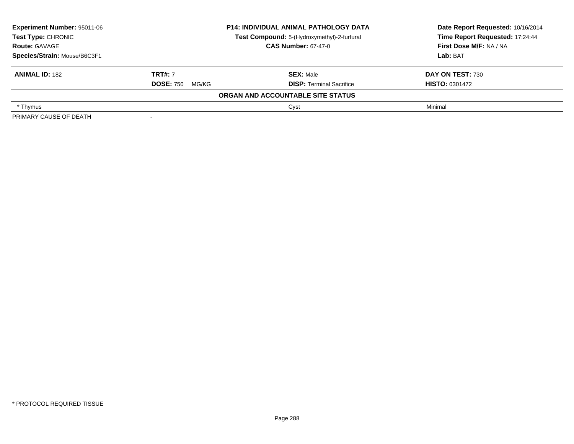| <b>Experiment Number: 95011-06</b>                                |                            | P14: INDIVIDUAL ANIMAL PATHOLOGY DATA | Date Report Requested: 10/16/2014 |  |
|-------------------------------------------------------------------|----------------------------|---------------------------------------|-----------------------------------|--|
| Test Type: CHRONIC<br>Test Compound: 5-(Hydroxymethyl)-2-furfural |                            |                                       | Time Report Requested: 17:24:44   |  |
| <b>Route: GAVAGE</b>                                              | <b>CAS Number: 67-47-0</b> |                                       | <b>First Dose M/F: NA / NA</b>    |  |
| Species/Strain: Mouse/B6C3F1                                      |                            |                                       | Lab: BAT                          |  |
| <b>ANIMAL ID: 182</b>                                             | <b>TRT#: 7</b>             | <b>SEX: Male</b>                      | DAY ON TEST: 730                  |  |
|                                                                   | <b>DOSE: 750</b><br>MG/KG  | <b>DISP: Terminal Sacrifice</b>       | <b>HISTO: 0301472</b>             |  |
|                                                                   |                            | ORGAN AND ACCOUNTABLE SITE STATUS     |                                   |  |
| * Thymus                                                          |                            | Cyst                                  | Minimal                           |  |
| PRIMARY CAUSE OF DEATH                                            |                            |                                       |                                   |  |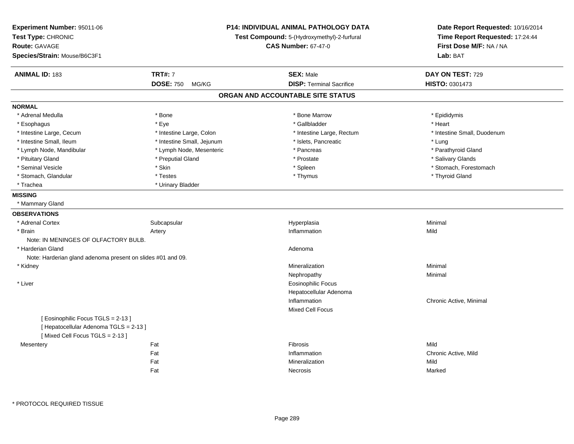| Experiment Number: 95011-06<br>Test Type: CHRONIC<br>Route: GAVAGE<br>Species/Strain: Mouse/B6C3F1 |                            | <b>P14: INDIVIDUAL ANIMAL PATHOLOGY DATA</b><br>Test Compound: 5-(Hydroxymethyl)-2-furfural<br><b>CAS Number: 67-47-0</b> | Date Report Requested: 10/16/2014<br>Time Report Requested: 17:24:44<br>First Dose M/F: NA / NA<br>Lab: BAT |
|----------------------------------------------------------------------------------------------------|----------------------------|---------------------------------------------------------------------------------------------------------------------------|-------------------------------------------------------------------------------------------------------------|
| <b>ANIMAL ID: 183</b>                                                                              | <b>TRT#: 7</b>             | <b>SEX: Male</b>                                                                                                          | DAY ON TEST: 729                                                                                            |
|                                                                                                    | <b>DOSE: 750</b><br>MG/KG  | <b>DISP: Terminal Sacrifice</b>                                                                                           | <b>HISTO: 0301473</b>                                                                                       |
|                                                                                                    |                            | ORGAN AND ACCOUNTABLE SITE STATUS                                                                                         |                                                                                                             |
| <b>NORMAL</b>                                                                                      |                            |                                                                                                                           |                                                                                                             |
| * Adrenal Medulla                                                                                  | * Bone                     | * Bone Marrow                                                                                                             | * Epididymis                                                                                                |
| * Esophagus                                                                                        | * Eye                      | * Gallbladder                                                                                                             | * Heart                                                                                                     |
| * Intestine Large, Cecum                                                                           | * Intestine Large, Colon   | * Intestine Large, Rectum                                                                                                 | * Intestine Small, Duodenum                                                                                 |
| * Intestine Small, Ileum                                                                           | * Intestine Small, Jejunum | * Islets, Pancreatic                                                                                                      | * Lung                                                                                                      |
| * Lymph Node, Mandibular                                                                           | * Lymph Node, Mesenteric   | * Pancreas                                                                                                                | * Parathyroid Gland                                                                                         |
| * Pituitary Gland                                                                                  | * Preputial Gland          | * Prostate                                                                                                                | * Salivary Glands                                                                                           |
| * Seminal Vesicle                                                                                  | * Skin                     | * Spleen                                                                                                                  | * Stomach, Forestomach                                                                                      |
| * Stomach, Glandular                                                                               | * Testes                   | * Thymus                                                                                                                  | * Thyroid Gland                                                                                             |
| * Trachea                                                                                          | * Urinary Bladder          |                                                                                                                           |                                                                                                             |
| <b>MISSING</b>                                                                                     |                            |                                                                                                                           |                                                                                                             |
| * Mammary Gland                                                                                    |                            |                                                                                                                           |                                                                                                             |
| <b>OBSERVATIONS</b>                                                                                |                            |                                                                                                                           |                                                                                                             |
| * Adrenal Cortex                                                                                   | Subcapsular                | Hyperplasia                                                                                                               | Minimal                                                                                                     |
| * Brain                                                                                            | Artery                     | Inflammation                                                                                                              | Mild                                                                                                        |
| Note: IN MENINGES OF OLFACTORY BULB.                                                               |                            |                                                                                                                           |                                                                                                             |
| * Harderian Gland                                                                                  |                            | Adenoma                                                                                                                   |                                                                                                             |
| Note: Harderian gland adenoma present on slides #01 and 09.                                        |                            |                                                                                                                           |                                                                                                             |
| * Kidney                                                                                           |                            | Mineralization                                                                                                            | Minimal                                                                                                     |
|                                                                                                    |                            | Nephropathy                                                                                                               | Minimal                                                                                                     |
| * Liver                                                                                            |                            | <b>Eosinophilic Focus</b>                                                                                                 |                                                                                                             |
|                                                                                                    |                            | Hepatocellular Adenoma                                                                                                    |                                                                                                             |
|                                                                                                    |                            | Inflammation                                                                                                              | Chronic Active, Minimal                                                                                     |
|                                                                                                    |                            | Mixed Cell Focus                                                                                                          |                                                                                                             |
| [Eosinophilic Focus TGLS = 2-13]                                                                   |                            |                                                                                                                           |                                                                                                             |
| [ Hepatocellular Adenoma TGLS = 2-13 ]                                                             |                            |                                                                                                                           |                                                                                                             |
| [Mixed Cell Focus TGLS = 2-13]                                                                     |                            |                                                                                                                           |                                                                                                             |
| Mesentery                                                                                          | Fat                        | Fibrosis                                                                                                                  | Mild                                                                                                        |
|                                                                                                    | Fat                        | Inflammation                                                                                                              | Chronic Active, Mild                                                                                        |
|                                                                                                    | Fat                        | Mineralization                                                                                                            | Mild                                                                                                        |
|                                                                                                    | Fat                        | <b>Necrosis</b>                                                                                                           | Marked                                                                                                      |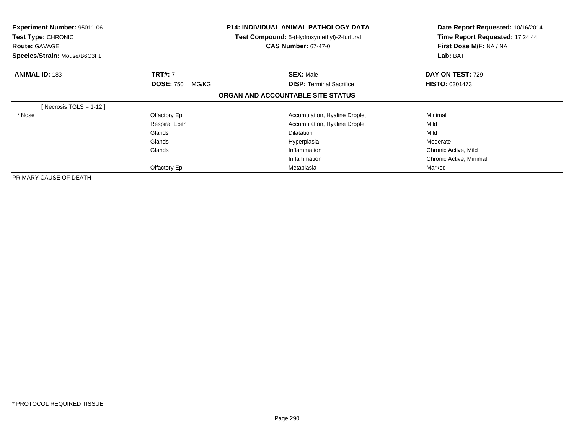| <b>Experiment Number: 95011-06</b><br>Test Type: CHRONIC<br><b>Route: GAVAGE</b><br>Species/Strain: Mouse/B6C3F1 |                           | <b>P14: INDIVIDUAL ANIMAL PATHOLOGY DATA</b><br><b>Test Compound:</b> 5-(Hydroxymethyl)-2-furfural<br><b>CAS Number: 67-47-0</b> | Date Report Requested: 10/16/2014<br>Time Report Requested: 17:24:44<br>First Dose M/F: NA / NA<br>Lab: BAT |
|------------------------------------------------------------------------------------------------------------------|---------------------------|----------------------------------------------------------------------------------------------------------------------------------|-------------------------------------------------------------------------------------------------------------|
| <b>ANIMAL ID: 183</b>                                                                                            | <b>TRT#: 7</b>            | <b>SEX: Male</b>                                                                                                                 | DAY ON TEST: 729                                                                                            |
|                                                                                                                  | <b>DOSE: 750</b><br>MG/KG | <b>DISP:</b> Terminal Sacrifice                                                                                                  | <b>HISTO: 0301473</b>                                                                                       |
|                                                                                                                  |                           | ORGAN AND ACCOUNTABLE SITE STATUS                                                                                                |                                                                                                             |
| [Necrosis TGLS = $1-12$ ]                                                                                        |                           |                                                                                                                                  |                                                                                                             |
| * Nose                                                                                                           | Olfactory Epi             | Accumulation, Hyaline Droplet                                                                                                    | Minimal                                                                                                     |
|                                                                                                                  | <b>Respirat Epith</b>     | Accumulation, Hyaline Droplet                                                                                                    | Mild                                                                                                        |
|                                                                                                                  | Glands                    | <b>Dilatation</b>                                                                                                                | Mild                                                                                                        |
|                                                                                                                  | Glands                    | Hyperplasia                                                                                                                      | Moderate                                                                                                    |
|                                                                                                                  | Glands                    | Inflammation                                                                                                                     | Chronic Active, Mild                                                                                        |
|                                                                                                                  |                           | Inflammation                                                                                                                     | Chronic Active, Minimal                                                                                     |
|                                                                                                                  | Olfactory Epi             | Metaplasia                                                                                                                       | Marked                                                                                                      |
| PRIMARY CAUSE OF DEATH                                                                                           |                           |                                                                                                                                  |                                                                                                             |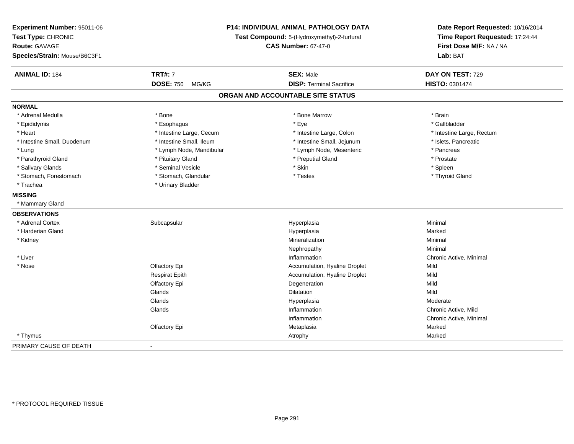| Experiment Number: 95011-06<br>Test Type: CHRONIC<br>Route: GAVAGE<br>Species/Strain: Mouse/B6C3F1 | <b>P14: INDIVIDUAL ANIMAL PATHOLOGY DATA</b><br>Test Compound: 5-(Hydroxymethyl)-2-furfural<br><b>CAS Number: 67-47-0</b> |                                   | Date Report Requested: 10/16/2014<br>Time Report Requested: 17:24:44<br>First Dose M/F: NA / NA<br>Lab: BAT |
|----------------------------------------------------------------------------------------------------|---------------------------------------------------------------------------------------------------------------------------|-----------------------------------|-------------------------------------------------------------------------------------------------------------|
| <b>ANIMAL ID: 184</b>                                                                              | <b>TRT#: 7</b>                                                                                                            | <b>SEX: Male</b>                  | DAY ON TEST: 729                                                                                            |
|                                                                                                    | <b>DOSE: 750</b><br>MG/KG                                                                                                 | <b>DISP: Terminal Sacrifice</b>   | <b>HISTO: 0301474</b>                                                                                       |
|                                                                                                    |                                                                                                                           | ORGAN AND ACCOUNTABLE SITE STATUS |                                                                                                             |
| <b>NORMAL</b>                                                                                      |                                                                                                                           |                                   |                                                                                                             |
| * Adrenal Medulla                                                                                  | * Bone                                                                                                                    | * Bone Marrow                     | * Brain                                                                                                     |
| * Epididymis                                                                                       | * Esophagus                                                                                                               | * Eye                             | * Gallbladder                                                                                               |
| * Heart                                                                                            | * Intestine Large, Cecum                                                                                                  | * Intestine Large, Colon          | * Intestine Large, Rectum                                                                                   |
| * Intestine Small, Duodenum                                                                        | * Intestine Small, Ileum                                                                                                  | * Intestine Small, Jejunum        | * Islets, Pancreatic                                                                                        |
| * Lung                                                                                             | * Lymph Node, Mandibular                                                                                                  | * Lymph Node, Mesenteric          | * Pancreas                                                                                                  |
| * Parathyroid Gland                                                                                | * Pituitary Gland                                                                                                         | * Preputial Gland                 | * Prostate                                                                                                  |
| * Salivary Glands                                                                                  | * Seminal Vesicle                                                                                                         | * Skin                            | * Spleen                                                                                                    |
| * Stomach, Forestomach                                                                             | * Stomach, Glandular                                                                                                      | * Testes                          | * Thyroid Gland                                                                                             |
| * Trachea                                                                                          | * Urinary Bladder                                                                                                         |                                   |                                                                                                             |
| <b>MISSING</b>                                                                                     |                                                                                                                           |                                   |                                                                                                             |
| * Mammary Gland                                                                                    |                                                                                                                           |                                   |                                                                                                             |
| <b>OBSERVATIONS</b>                                                                                |                                                                                                                           |                                   |                                                                                                             |
| * Adrenal Cortex                                                                                   | Subcapsular                                                                                                               | Hyperplasia                       | Minimal                                                                                                     |
| * Harderian Gland                                                                                  |                                                                                                                           | Hyperplasia                       | Marked                                                                                                      |
| * Kidney                                                                                           |                                                                                                                           | Mineralization                    | Minimal                                                                                                     |
|                                                                                                    |                                                                                                                           | Nephropathy                       | Minimal                                                                                                     |
| * Liver                                                                                            |                                                                                                                           | Inflammation                      | Chronic Active, Minimal                                                                                     |
| * Nose                                                                                             | Olfactory Epi                                                                                                             | Accumulation, Hyaline Droplet     | Mild                                                                                                        |
|                                                                                                    | <b>Respirat Epith</b>                                                                                                     | Accumulation, Hyaline Droplet     | Mild                                                                                                        |
|                                                                                                    | Olfactory Epi                                                                                                             | Degeneration                      | Mild                                                                                                        |
|                                                                                                    | Glands                                                                                                                    | <b>Dilatation</b>                 | Mild                                                                                                        |
|                                                                                                    | Glands                                                                                                                    | Hyperplasia                       | Moderate                                                                                                    |
|                                                                                                    | Glands                                                                                                                    | Inflammation                      | Chronic Active, Mild                                                                                        |
|                                                                                                    |                                                                                                                           | Inflammation                      | Chronic Active, Minimal                                                                                     |
|                                                                                                    | Olfactory Epi                                                                                                             | Metaplasia                        | Marked                                                                                                      |
| * Thymus                                                                                           |                                                                                                                           | Atrophy                           | Marked                                                                                                      |
| PRIMARY CAUSE OF DEATH                                                                             | $\blacksquare$                                                                                                            |                                   |                                                                                                             |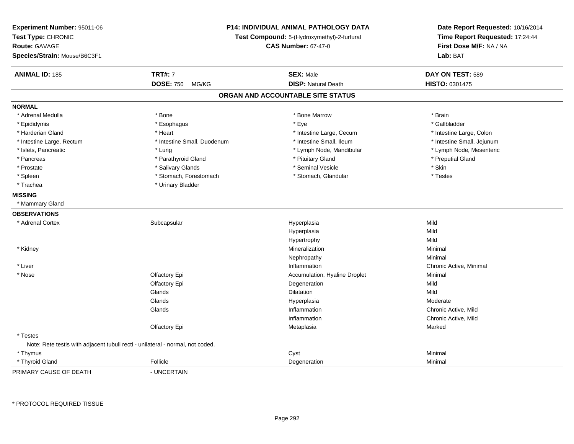| Experiment Number: 95011-06<br>Test Type: CHRONIC<br><b>Route: GAVAGE</b><br>Species/Strain: Mouse/B6C3F1 |                             | P14: INDIVIDUAL ANIMAL PATHOLOGY DATA<br>Test Compound: 5-(Hydroxymethyl)-2-furfural<br><b>CAS Number: 67-47-0</b> |                            |
|-----------------------------------------------------------------------------------------------------------|-----------------------------|--------------------------------------------------------------------------------------------------------------------|----------------------------|
| <b>ANIMAL ID: 185</b>                                                                                     | <b>TRT#: 7</b>              | <b>SEX: Male</b>                                                                                                   | DAY ON TEST: 589           |
|                                                                                                           | <b>DOSE: 750</b><br>MG/KG   | <b>DISP: Natural Death</b>                                                                                         | <b>HISTO: 0301475</b>      |
|                                                                                                           |                             | ORGAN AND ACCOUNTABLE SITE STATUS                                                                                  |                            |
| <b>NORMAL</b>                                                                                             |                             |                                                                                                                    |                            |
| * Adrenal Medulla                                                                                         | * Bone                      | * Bone Marrow                                                                                                      | * Brain                    |
| * Epididymis                                                                                              | * Esophagus                 | * Eye                                                                                                              | * Gallbladder              |
| * Harderian Gland                                                                                         | * Heart                     | * Intestine Large, Cecum                                                                                           | * Intestine Large, Colon   |
| * Intestine Large, Rectum                                                                                 | * Intestine Small, Duodenum | * Intestine Small, Ileum                                                                                           | * Intestine Small, Jejunum |
| * Islets, Pancreatic                                                                                      | * Lung                      | * Lymph Node, Mandibular                                                                                           | * Lymph Node, Mesenteric   |
| * Pancreas                                                                                                | * Parathyroid Gland         | * Pituitary Gland                                                                                                  | * Preputial Gland          |
| * Prostate                                                                                                | * Salivary Glands           | * Seminal Vesicle                                                                                                  | * Skin                     |
| * Spleen                                                                                                  | * Stomach, Forestomach      | * Stomach, Glandular                                                                                               | * Testes                   |
| * Trachea                                                                                                 | * Urinary Bladder           |                                                                                                                    |                            |
| <b>MISSING</b>                                                                                            |                             |                                                                                                                    |                            |
| * Mammary Gland                                                                                           |                             |                                                                                                                    |                            |
| <b>OBSERVATIONS</b>                                                                                       |                             |                                                                                                                    |                            |
| * Adrenal Cortex                                                                                          | Subcapsular                 | Hyperplasia                                                                                                        | Mild                       |
|                                                                                                           |                             | Hyperplasia                                                                                                        | Mild                       |
|                                                                                                           |                             | Hypertrophy                                                                                                        | Mild                       |
| * Kidney                                                                                                  |                             | Mineralization                                                                                                     | Minimal                    |
|                                                                                                           |                             | Nephropathy                                                                                                        | Minimal                    |
| * Liver                                                                                                   |                             | Inflammation                                                                                                       | Chronic Active, Minimal    |
| * Nose                                                                                                    | Olfactory Epi               | Accumulation, Hyaline Droplet                                                                                      | Minimal                    |
|                                                                                                           | Olfactory Epi               | Degeneration                                                                                                       | Mild                       |
|                                                                                                           | Glands                      | Dilatation                                                                                                         | Mild                       |
|                                                                                                           | Glands                      | Hyperplasia                                                                                                        | Moderate                   |
|                                                                                                           | Glands                      | Inflammation                                                                                                       | Chronic Active, Mild       |
|                                                                                                           |                             | Inflammation                                                                                                       | Chronic Active, Mild       |
|                                                                                                           | Olfactory Epi               | Metaplasia                                                                                                         | Marked                     |
| * Testes                                                                                                  |                             |                                                                                                                    |                            |
| Note: Rete testis with adjacent tubuli recti - unilateral - normal, not coded.                            |                             |                                                                                                                    |                            |
| * Thymus                                                                                                  |                             | Cyst                                                                                                               | Minimal                    |
| * Thyroid Gland                                                                                           | Follicle                    | Degeneration                                                                                                       | Minimal                    |
| PRIMARY CAUSE OF DEATH                                                                                    | - UNCERTAIN                 |                                                                                                                    |                            |

\* PROTOCOL REQUIRED TISSUE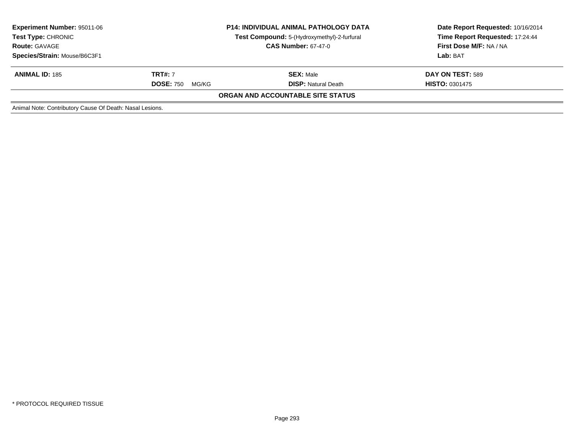| <b>Experiment Number: 95011-06</b><br><b>Test Type: CHRONIC</b><br><b>Route: GAVAGE</b><br>Species/Strain: Mouse/B6C3F1 | <b>P14: INDIVIDUAL ANIMAL PATHOLOGY DATA</b><br>Test Compound: 5-(Hydroxymethyl)-2-furfural<br><b>CAS Number: 67-47-0</b> |                                   | Date Report Requested: 10/16/2014<br>Time Report Requested: 17:24:44<br>First Dose M/F: NA / NA<br>Lab: BAT |
|-------------------------------------------------------------------------------------------------------------------------|---------------------------------------------------------------------------------------------------------------------------|-----------------------------------|-------------------------------------------------------------------------------------------------------------|
|                                                                                                                         |                                                                                                                           |                                   |                                                                                                             |
| <b>ANIMAL ID: 185</b>                                                                                                   | <b>TRT#:</b> 7                                                                                                            | <b>SEX: Male</b>                  | DAY ON TEST: 589                                                                                            |
|                                                                                                                         | <b>DOSE: 750</b><br>MG/KG                                                                                                 | <b>DISP:</b> Natural Death        | <b>HISTO: 0301475</b>                                                                                       |
|                                                                                                                         |                                                                                                                           | ORGAN AND ACCOUNTABLE SITE STATUS |                                                                                                             |
| Animal Note: Contributory Cause Of Death: Nasal Lesions.                                                                |                                                                                                                           |                                   |                                                                                                             |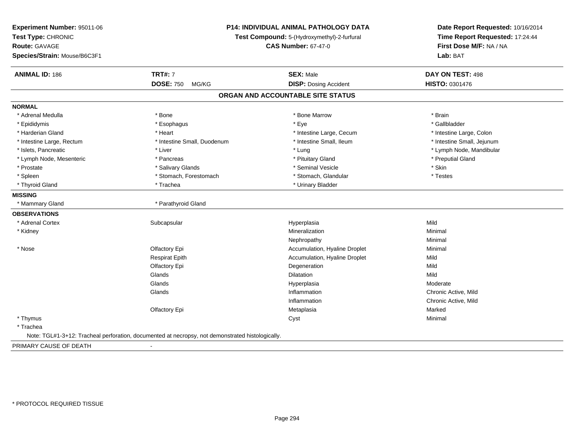| Experiment Number: 95011-06<br>Test Type: CHRONIC | P14: INDIVIDUAL ANIMAL PATHOLOGY DATA<br>Test Compound: 5-(Hydroxymethyl)-2-furfural             |                                   | Date Report Requested: 10/16/2014<br>Time Report Requested: 17:24:44 |
|---------------------------------------------------|--------------------------------------------------------------------------------------------------|-----------------------------------|----------------------------------------------------------------------|
| <b>Route: GAVAGE</b>                              |                                                                                                  | <b>CAS Number: 67-47-0</b>        | First Dose M/F: NA / NA                                              |
| Species/Strain: Mouse/B6C3F1                      |                                                                                                  |                                   | Lab: BAT                                                             |
| <b>ANIMAL ID: 186</b>                             | <b>TRT#: 7</b>                                                                                   | <b>SEX: Male</b>                  | DAY ON TEST: 498                                                     |
|                                                   | <b>DOSE: 750</b><br>MG/KG                                                                        | <b>DISP: Dosing Accident</b>      | HISTO: 0301476                                                       |
|                                                   |                                                                                                  | ORGAN AND ACCOUNTABLE SITE STATUS |                                                                      |
| <b>NORMAL</b>                                     |                                                                                                  |                                   |                                                                      |
| * Adrenal Medulla                                 | * Bone                                                                                           | * Bone Marrow                     | * Brain                                                              |
| * Epididymis                                      | * Esophagus                                                                                      | * Eye                             | * Gallbladder                                                        |
| * Harderian Gland                                 | * Heart                                                                                          | * Intestine Large, Cecum          | * Intestine Large, Colon                                             |
| * Intestine Large, Rectum                         | * Intestine Small, Duodenum                                                                      | * Intestine Small, Ileum          | * Intestine Small, Jejunum                                           |
| * Islets, Pancreatic                              | * Liver                                                                                          | * Lung                            | * Lymph Node, Mandibular                                             |
| * Lymph Node, Mesenteric                          | * Pancreas                                                                                       | * Pituitary Gland                 | * Preputial Gland                                                    |
| * Prostate                                        | * Salivary Glands                                                                                | * Seminal Vesicle                 | * Skin                                                               |
| * Spleen                                          | * Stomach, Forestomach                                                                           | * Stomach, Glandular              | * Testes                                                             |
| * Thyroid Gland                                   | * Trachea                                                                                        | * Urinary Bladder                 |                                                                      |
| <b>MISSING</b>                                    |                                                                                                  |                                   |                                                                      |
| * Mammary Gland                                   | * Parathyroid Gland                                                                              |                                   |                                                                      |
| <b>OBSERVATIONS</b>                               |                                                                                                  |                                   |                                                                      |
| * Adrenal Cortex                                  | Subcapsular                                                                                      | Hyperplasia                       | Mild                                                                 |
| * Kidney                                          |                                                                                                  | Mineralization                    | Minimal                                                              |
|                                                   |                                                                                                  | Nephropathy                       | Minimal                                                              |
| * Nose                                            | Olfactory Epi                                                                                    | Accumulation, Hyaline Droplet     | Minimal                                                              |
|                                                   | <b>Respirat Epith</b>                                                                            | Accumulation, Hyaline Droplet     | Mild                                                                 |
|                                                   | Olfactory Epi                                                                                    | Degeneration                      | Mild                                                                 |
|                                                   | Glands                                                                                           | <b>Dilatation</b>                 | Mild                                                                 |
|                                                   | Glands                                                                                           | Hyperplasia                       | Moderate                                                             |
|                                                   | Glands                                                                                           | Inflammation                      | Chronic Active, Mild                                                 |
|                                                   |                                                                                                  | Inflammation                      | Chronic Active, Mild                                                 |
|                                                   | Olfactory Epi                                                                                    | Metaplasia                        | Marked                                                               |
| * Thymus                                          |                                                                                                  | Cyst                              | Minimal                                                              |
| * Trachea                                         |                                                                                                  |                                   |                                                                      |
|                                                   | Note: TGL#1-3+12: Tracheal perforation, documented at necropsy, not demonstrated histologically. |                                   |                                                                      |

PRIMARY CAUSE OF DEATH-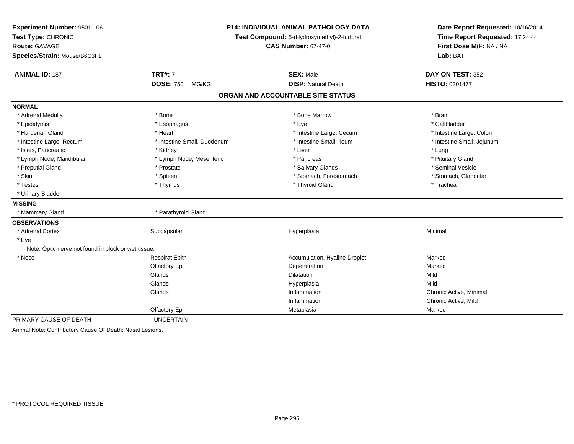| Experiment Number: 95011-06<br>Test Type: CHRONIC<br><b>Route: GAVAGE</b><br>Species/Strain: Mouse/B6C3F1 |                             | P14: INDIVIDUAL ANIMAL PATHOLOGY DATA<br>Test Compound: 5-(Hydroxymethyl)-2-furfural<br><b>CAS Number: 67-47-0</b> | Date Report Requested: 10/16/2014<br>Time Report Requested: 17:24:44<br>First Dose M/F: NA / NA<br>Lab: BAT |  |
|-----------------------------------------------------------------------------------------------------------|-----------------------------|--------------------------------------------------------------------------------------------------------------------|-------------------------------------------------------------------------------------------------------------|--|
| <b>ANIMAL ID: 187</b>                                                                                     | <b>TRT#: 7</b>              | <b>SEX: Male</b>                                                                                                   | DAY ON TEST: 352                                                                                            |  |
|                                                                                                           | <b>DOSE: 750</b><br>MG/KG   | <b>DISP: Natural Death</b>                                                                                         | HISTO: 0301477                                                                                              |  |
|                                                                                                           |                             | ORGAN AND ACCOUNTABLE SITE STATUS                                                                                  |                                                                                                             |  |
| <b>NORMAL</b>                                                                                             |                             |                                                                                                                    |                                                                                                             |  |
| * Adrenal Medulla                                                                                         | * Bone                      | * Bone Marrow                                                                                                      | * Brain                                                                                                     |  |
| * Epididymis                                                                                              | * Esophagus                 | * Eye                                                                                                              | * Gallbladder                                                                                               |  |
| * Harderian Gland                                                                                         | * Heart                     | * Intestine Large, Cecum                                                                                           | * Intestine Large, Colon                                                                                    |  |
| * Intestine Large, Rectum                                                                                 | * Intestine Small, Duodenum | * Intestine Small, Ileum                                                                                           | * Intestine Small, Jejunum                                                                                  |  |
| * Islets, Pancreatic                                                                                      | * Kidney                    | * Liver                                                                                                            | * Lung                                                                                                      |  |
| * Lymph Node, Mandibular                                                                                  | * Lymph Node, Mesenteric    | * Pancreas                                                                                                         | * Pituitary Gland                                                                                           |  |
| * Preputial Gland                                                                                         | * Prostate                  | * Salivary Glands                                                                                                  | * Seminal Vesicle                                                                                           |  |
| * Skin                                                                                                    | * Spleen                    | * Stomach, Forestomach                                                                                             | * Stomach, Glandular                                                                                        |  |
| * Testes                                                                                                  | * Thymus                    | * Thyroid Gland                                                                                                    | * Trachea                                                                                                   |  |
| * Urinary Bladder                                                                                         |                             |                                                                                                                    |                                                                                                             |  |
| <b>MISSING</b>                                                                                            |                             |                                                                                                                    |                                                                                                             |  |
| * Mammary Gland                                                                                           | * Parathyroid Gland         |                                                                                                                    |                                                                                                             |  |
| <b>OBSERVATIONS</b>                                                                                       |                             |                                                                                                                    |                                                                                                             |  |
| * Adrenal Cortex                                                                                          | Subcapsular                 | Hyperplasia                                                                                                        | Minimal                                                                                                     |  |
| * Eye                                                                                                     |                             |                                                                                                                    |                                                                                                             |  |
| Note: Optic nerve not found in block or wet tissue.                                                       |                             |                                                                                                                    |                                                                                                             |  |
| * Nose                                                                                                    | <b>Respirat Epith</b>       | Accumulation, Hyaline Droplet                                                                                      | Marked                                                                                                      |  |
|                                                                                                           | Olfactory Epi               | Degeneration                                                                                                       | Marked                                                                                                      |  |
|                                                                                                           | Glands                      | Dilatation                                                                                                         | Mild                                                                                                        |  |
|                                                                                                           | Glands                      | Hyperplasia                                                                                                        | Mild                                                                                                        |  |
|                                                                                                           | Glands                      | Inflammation                                                                                                       | Chronic Active, Minimal                                                                                     |  |
|                                                                                                           |                             | Inflammation                                                                                                       | Chronic Active, Mild                                                                                        |  |
|                                                                                                           | Olfactory Epi               | Metaplasia                                                                                                         | Marked                                                                                                      |  |
| PRIMARY CAUSE OF DEATH                                                                                    | - UNCERTAIN                 |                                                                                                                    |                                                                                                             |  |
| Animal Note: Contributory Cause Of Death: Nasal Lesions.                                                  |                             |                                                                                                                    |                                                                                                             |  |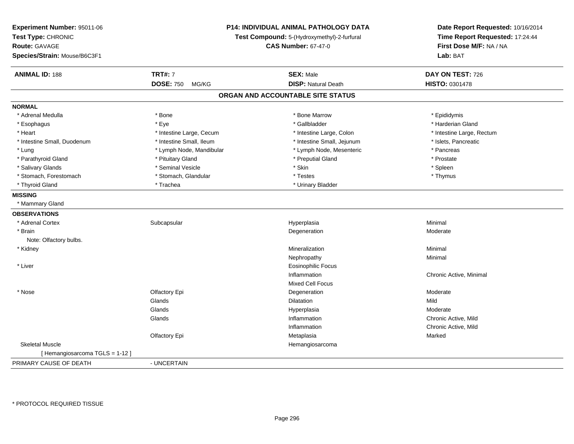| Experiment Number: 95011-06<br>Test Type: CHRONIC<br><b>Route: GAVAGE</b><br>Species/Strain: Mouse/B6C3F1 | P14: INDIVIDUAL ANIMAL PATHOLOGY DATA<br>Test Compound: 5-(Hydroxymethyl)-2-furfural<br><b>CAS Number: 67-47-0</b> |                                   | Date Report Requested: 10/16/2014<br>Time Report Requested: 17:24:44<br>First Dose M/F: NA / NA<br>Lab: BAT |  |
|-----------------------------------------------------------------------------------------------------------|--------------------------------------------------------------------------------------------------------------------|-----------------------------------|-------------------------------------------------------------------------------------------------------------|--|
| <b>ANIMAL ID: 188</b>                                                                                     | <b>TRT#: 7</b>                                                                                                     | <b>SEX: Male</b>                  | DAY ON TEST: 726                                                                                            |  |
|                                                                                                           | <b>DOSE: 750</b><br>MG/KG                                                                                          | <b>DISP: Natural Death</b>        | HISTO: 0301478                                                                                              |  |
|                                                                                                           |                                                                                                                    | ORGAN AND ACCOUNTABLE SITE STATUS |                                                                                                             |  |
| <b>NORMAL</b>                                                                                             |                                                                                                                    |                                   |                                                                                                             |  |
| * Adrenal Medulla                                                                                         | * Bone                                                                                                             | * Bone Marrow                     | * Epididymis                                                                                                |  |
| * Esophagus                                                                                               | * Eye                                                                                                              | * Gallbladder                     | * Harderian Gland                                                                                           |  |
| * Heart                                                                                                   | * Intestine Large, Cecum                                                                                           | * Intestine Large, Colon          | * Intestine Large, Rectum                                                                                   |  |
| * Intestine Small, Duodenum                                                                               | * Intestine Small, Ileum                                                                                           | * Intestine Small, Jejunum        | * Islets, Pancreatic                                                                                        |  |
| * Lung                                                                                                    | * Lymph Node, Mandibular                                                                                           | * Lymph Node, Mesenteric          | * Pancreas                                                                                                  |  |
| * Parathyroid Gland                                                                                       | * Pituitary Gland                                                                                                  | * Preputial Gland                 | * Prostate                                                                                                  |  |
| * Salivary Glands                                                                                         | * Seminal Vesicle                                                                                                  | * Skin                            | * Spleen                                                                                                    |  |
| * Stomach, Forestomach                                                                                    | * Stomach, Glandular                                                                                               | * Testes                          | * Thymus                                                                                                    |  |
| * Thyroid Gland                                                                                           | * Trachea                                                                                                          | * Urinary Bladder                 |                                                                                                             |  |
| <b>MISSING</b>                                                                                            |                                                                                                                    |                                   |                                                                                                             |  |
| * Mammary Gland                                                                                           |                                                                                                                    |                                   |                                                                                                             |  |
| <b>OBSERVATIONS</b>                                                                                       |                                                                                                                    |                                   |                                                                                                             |  |
| * Adrenal Cortex                                                                                          | Subcapsular                                                                                                        | Hyperplasia                       | Minimal                                                                                                     |  |
| * Brain                                                                                                   |                                                                                                                    | Degeneration                      | Moderate                                                                                                    |  |
| Note: Olfactory bulbs.                                                                                    |                                                                                                                    |                                   |                                                                                                             |  |
| * Kidney                                                                                                  |                                                                                                                    | Mineralization                    | Minimal                                                                                                     |  |
|                                                                                                           |                                                                                                                    | Nephropathy                       | Minimal                                                                                                     |  |
| * Liver                                                                                                   |                                                                                                                    | <b>Eosinophilic Focus</b>         |                                                                                                             |  |
|                                                                                                           |                                                                                                                    | Inflammation                      | Chronic Active, Minimal                                                                                     |  |
|                                                                                                           |                                                                                                                    | <b>Mixed Cell Focus</b>           |                                                                                                             |  |
| * Nose                                                                                                    | Olfactory Epi                                                                                                      | Degeneration                      | Moderate                                                                                                    |  |
|                                                                                                           | Glands                                                                                                             | <b>Dilatation</b>                 | Mild                                                                                                        |  |
|                                                                                                           | Glands                                                                                                             | Hyperplasia                       | Moderate                                                                                                    |  |
|                                                                                                           | Glands                                                                                                             | Inflammation                      | Chronic Active, Mild                                                                                        |  |
|                                                                                                           |                                                                                                                    | Inflammation                      | Chronic Active, Mild                                                                                        |  |
|                                                                                                           | Olfactory Epi                                                                                                      | Metaplasia                        | Marked                                                                                                      |  |
| <b>Skeletal Muscle</b>                                                                                    |                                                                                                                    | Hemangiosarcoma                   |                                                                                                             |  |
| [Hemangiosarcoma TGLS = 1-12]                                                                             |                                                                                                                    |                                   |                                                                                                             |  |
| PRIMARY CAUSE OF DEATH                                                                                    | - UNCERTAIN                                                                                                        |                                   |                                                                                                             |  |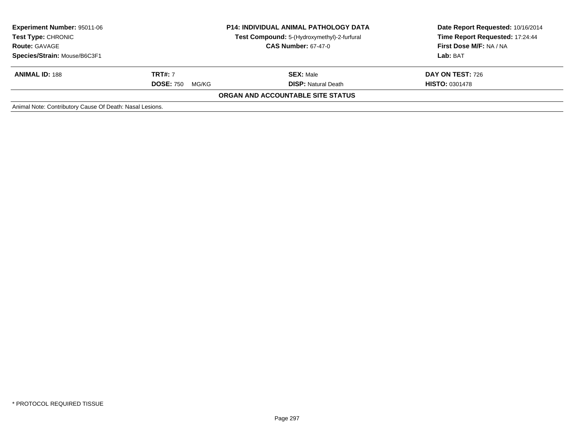| <b>Experiment Number: 95011-06</b><br><b>Test Type: CHRONIC</b><br><b>Route: GAVAGE</b><br>Species/Strain: Mouse/B6C3F1 | <b>P14: INDIVIDUAL ANIMAL PATHOLOGY DATA</b><br>Test Compound: 5-(Hydroxymethyl)-2-furfural<br><b>CAS Number: 67-47-0</b> |                                                | Date Report Requested: 10/16/2014<br>Time Report Requested: 17:24:44<br>First Dose M/F: NA / NA<br>Lab: BAT |
|-------------------------------------------------------------------------------------------------------------------------|---------------------------------------------------------------------------------------------------------------------------|------------------------------------------------|-------------------------------------------------------------------------------------------------------------|
| <b>ANIMAL ID: 188</b>                                                                                                   | <b>TRT#:</b> 7<br><b>DOSE: 750</b><br>MG/KG                                                                               | <b>SEX: Male</b><br><b>DISP:</b> Natural Death | DAY ON TEST: 726<br><b>HISTO: 0301478</b>                                                                   |
|                                                                                                                         |                                                                                                                           | ORGAN AND ACCOUNTABLE SITE STATUS              |                                                                                                             |
| Animal Note: Contributory Cause Of Death: Nasal Lesions.                                                                |                                                                                                                           |                                                |                                                                                                             |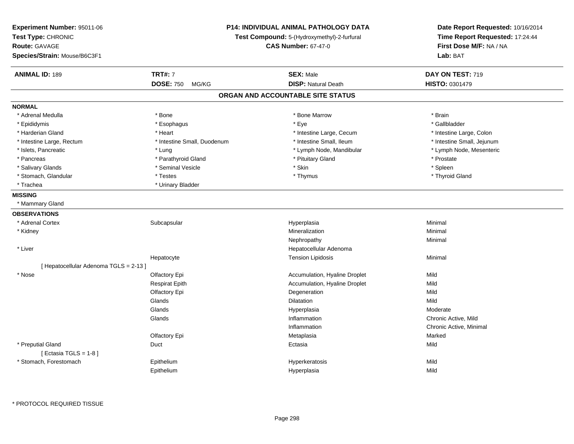| <b>TRT#: 7</b><br><b>ANIMAL ID: 189</b><br><b>SEX: Male</b><br>DAY ON TEST: 719<br><b>DOSE: 750</b><br><b>DISP: Natural Death</b><br>HISTO: 0301479<br>MG/KG<br>ORGAN AND ACCOUNTABLE SITE STATUS<br>* Adrenal Medulla<br>* Bone<br>* Bone Marrow<br>* Brain<br>$*$ Eye<br>* Epididymis<br>* Esophagus<br>* Gallbladder<br>* Heart<br>* Intestine Large, Cecum<br>* Harderian Gland<br>* Intestine Large, Colon<br>* Intestine Small, Duodenum<br>* Intestine Small, Ileum<br>* Intestine Small, Jejunum<br>* Intestine Large, Rectum<br>* Islets, Pancreatic<br>* Lymph Node, Mandibular<br>* Lung<br>* Lymph Node, Mesenteric<br>* Pituitary Gland<br>* Pancreas<br>* Parathyroid Gland<br>* Prostate<br>$*$ Spleen<br>* Skin<br>* Salivary Glands<br>* Seminal Vesicle<br>* Stomach, Glandular<br>* Testes<br>* Thymus<br>* Thyroid Gland<br>* Trachea<br>* Urinary Bladder<br>* Mammary Gland<br>* Adrenal Cortex<br>Subcapsular<br>Hyperplasia<br>Minimal<br>Mineralization<br>Minimal<br>* Kidney<br>Nephropathy<br>Minimal<br>* Liver<br>Hepatocellular Adenoma<br>Hepatocyte<br><b>Tension Lipidosis</b><br>Minimal<br>[ Hepatocellular Adenoma TGLS = 2-13 ]<br>* Nose<br>Olfactory Epi<br>Accumulation, Hyaline Droplet<br>Mild<br><b>Respirat Epith</b><br>Accumulation, Hyaline Droplet<br>Mild<br>Mild<br>Olfactory Epi<br>Degeneration<br>Mild<br>Glands<br>Dilatation<br>Glands<br>Moderate<br>Hyperplasia<br>Glands<br>Chronic Active, Mild<br>Inflammation<br>Inflammation<br>Chronic Active, Minimal<br>Olfactory Epi<br>Marked<br>Metaplasia<br>Mild<br>* Preputial Gland<br>Duct<br>Ectasia<br>[ Ectasia TGLS = $1-8$ ]<br>Mild<br>* Stomach, Forestomach<br>Epithelium<br>Hyperkeratosis<br>Epithelium<br>Mild | Experiment Number: 95011-06<br>Test Type: CHRONIC<br>Route: GAVAGE<br>Species/Strain: Mouse/B6C3F1 | P14: INDIVIDUAL ANIMAL PATHOLOGY DATA<br>Test Compound: 5-(Hydroxymethyl)-2-furfural<br><b>CAS Number: 67-47-0</b> |             | Date Report Requested: 10/16/2014<br>Time Report Requested: 17:24:44<br>First Dose M/F: NA / NA<br>Lab: BAT |
|-------------------------------------------------------------------------------------------------------------------------------------------------------------------------------------------------------------------------------------------------------------------------------------------------------------------------------------------------------------------------------------------------------------------------------------------------------------------------------------------------------------------------------------------------------------------------------------------------------------------------------------------------------------------------------------------------------------------------------------------------------------------------------------------------------------------------------------------------------------------------------------------------------------------------------------------------------------------------------------------------------------------------------------------------------------------------------------------------------------------------------------------------------------------------------------------------------------------------------------------------------------------------------------------------------------------------------------------------------------------------------------------------------------------------------------------------------------------------------------------------------------------------------------------------------------------------------------------------------------------------------------------------------------------------------------------------------------------------------------|----------------------------------------------------------------------------------------------------|--------------------------------------------------------------------------------------------------------------------|-------------|-------------------------------------------------------------------------------------------------------------|
|                                                                                                                                                                                                                                                                                                                                                                                                                                                                                                                                                                                                                                                                                                                                                                                                                                                                                                                                                                                                                                                                                                                                                                                                                                                                                                                                                                                                                                                                                                                                                                                                                                                                                                                                     |                                                                                                    |                                                                                                                    |             |                                                                                                             |
|                                                                                                                                                                                                                                                                                                                                                                                                                                                                                                                                                                                                                                                                                                                                                                                                                                                                                                                                                                                                                                                                                                                                                                                                                                                                                                                                                                                                                                                                                                                                                                                                                                                                                                                                     |                                                                                                    |                                                                                                                    |             |                                                                                                             |
|                                                                                                                                                                                                                                                                                                                                                                                                                                                                                                                                                                                                                                                                                                                                                                                                                                                                                                                                                                                                                                                                                                                                                                                                                                                                                                                                                                                                                                                                                                                                                                                                                                                                                                                                     |                                                                                                    |                                                                                                                    |             |                                                                                                             |
|                                                                                                                                                                                                                                                                                                                                                                                                                                                                                                                                                                                                                                                                                                                                                                                                                                                                                                                                                                                                                                                                                                                                                                                                                                                                                                                                                                                                                                                                                                                                                                                                                                                                                                                                     | <b>NORMAL</b>                                                                                      |                                                                                                                    |             |                                                                                                             |
|                                                                                                                                                                                                                                                                                                                                                                                                                                                                                                                                                                                                                                                                                                                                                                                                                                                                                                                                                                                                                                                                                                                                                                                                                                                                                                                                                                                                                                                                                                                                                                                                                                                                                                                                     |                                                                                                    |                                                                                                                    |             |                                                                                                             |
|                                                                                                                                                                                                                                                                                                                                                                                                                                                                                                                                                                                                                                                                                                                                                                                                                                                                                                                                                                                                                                                                                                                                                                                                                                                                                                                                                                                                                                                                                                                                                                                                                                                                                                                                     |                                                                                                    |                                                                                                                    |             |                                                                                                             |
|                                                                                                                                                                                                                                                                                                                                                                                                                                                                                                                                                                                                                                                                                                                                                                                                                                                                                                                                                                                                                                                                                                                                                                                                                                                                                                                                                                                                                                                                                                                                                                                                                                                                                                                                     |                                                                                                    |                                                                                                                    |             |                                                                                                             |
|                                                                                                                                                                                                                                                                                                                                                                                                                                                                                                                                                                                                                                                                                                                                                                                                                                                                                                                                                                                                                                                                                                                                                                                                                                                                                                                                                                                                                                                                                                                                                                                                                                                                                                                                     |                                                                                                    |                                                                                                                    |             |                                                                                                             |
|                                                                                                                                                                                                                                                                                                                                                                                                                                                                                                                                                                                                                                                                                                                                                                                                                                                                                                                                                                                                                                                                                                                                                                                                                                                                                                                                                                                                                                                                                                                                                                                                                                                                                                                                     |                                                                                                    |                                                                                                                    |             |                                                                                                             |
|                                                                                                                                                                                                                                                                                                                                                                                                                                                                                                                                                                                                                                                                                                                                                                                                                                                                                                                                                                                                                                                                                                                                                                                                                                                                                                                                                                                                                                                                                                                                                                                                                                                                                                                                     |                                                                                                    |                                                                                                                    |             |                                                                                                             |
|                                                                                                                                                                                                                                                                                                                                                                                                                                                                                                                                                                                                                                                                                                                                                                                                                                                                                                                                                                                                                                                                                                                                                                                                                                                                                                                                                                                                                                                                                                                                                                                                                                                                                                                                     |                                                                                                    |                                                                                                                    |             |                                                                                                             |
|                                                                                                                                                                                                                                                                                                                                                                                                                                                                                                                                                                                                                                                                                                                                                                                                                                                                                                                                                                                                                                                                                                                                                                                                                                                                                                                                                                                                                                                                                                                                                                                                                                                                                                                                     |                                                                                                    |                                                                                                                    |             |                                                                                                             |
|                                                                                                                                                                                                                                                                                                                                                                                                                                                                                                                                                                                                                                                                                                                                                                                                                                                                                                                                                                                                                                                                                                                                                                                                                                                                                                                                                                                                                                                                                                                                                                                                                                                                                                                                     |                                                                                                    |                                                                                                                    |             |                                                                                                             |
|                                                                                                                                                                                                                                                                                                                                                                                                                                                                                                                                                                                                                                                                                                                                                                                                                                                                                                                                                                                                                                                                                                                                                                                                                                                                                                                                                                                                                                                                                                                                                                                                                                                                                                                                     | <b>MISSING</b>                                                                                     |                                                                                                                    |             |                                                                                                             |
|                                                                                                                                                                                                                                                                                                                                                                                                                                                                                                                                                                                                                                                                                                                                                                                                                                                                                                                                                                                                                                                                                                                                                                                                                                                                                                                                                                                                                                                                                                                                                                                                                                                                                                                                     |                                                                                                    |                                                                                                                    |             |                                                                                                             |
|                                                                                                                                                                                                                                                                                                                                                                                                                                                                                                                                                                                                                                                                                                                                                                                                                                                                                                                                                                                                                                                                                                                                                                                                                                                                                                                                                                                                                                                                                                                                                                                                                                                                                                                                     | <b>OBSERVATIONS</b>                                                                                |                                                                                                                    |             |                                                                                                             |
|                                                                                                                                                                                                                                                                                                                                                                                                                                                                                                                                                                                                                                                                                                                                                                                                                                                                                                                                                                                                                                                                                                                                                                                                                                                                                                                                                                                                                                                                                                                                                                                                                                                                                                                                     |                                                                                                    |                                                                                                                    |             |                                                                                                             |
|                                                                                                                                                                                                                                                                                                                                                                                                                                                                                                                                                                                                                                                                                                                                                                                                                                                                                                                                                                                                                                                                                                                                                                                                                                                                                                                                                                                                                                                                                                                                                                                                                                                                                                                                     |                                                                                                    |                                                                                                                    |             |                                                                                                             |
|                                                                                                                                                                                                                                                                                                                                                                                                                                                                                                                                                                                                                                                                                                                                                                                                                                                                                                                                                                                                                                                                                                                                                                                                                                                                                                                                                                                                                                                                                                                                                                                                                                                                                                                                     |                                                                                                    |                                                                                                                    |             |                                                                                                             |
|                                                                                                                                                                                                                                                                                                                                                                                                                                                                                                                                                                                                                                                                                                                                                                                                                                                                                                                                                                                                                                                                                                                                                                                                                                                                                                                                                                                                                                                                                                                                                                                                                                                                                                                                     |                                                                                                    |                                                                                                                    |             |                                                                                                             |
|                                                                                                                                                                                                                                                                                                                                                                                                                                                                                                                                                                                                                                                                                                                                                                                                                                                                                                                                                                                                                                                                                                                                                                                                                                                                                                                                                                                                                                                                                                                                                                                                                                                                                                                                     |                                                                                                    |                                                                                                                    |             |                                                                                                             |
|                                                                                                                                                                                                                                                                                                                                                                                                                                                                                                                                                                                                                                                                                                                                                                                                                                                                                                                                                                                                                                                                                                                                                                                                                                                                                                                                                                                                                                                                                                                                                                                                                                                                                                                                     |                                                                                                    |                                                                                                                    |             |                                                                                                             |
|                                                                                                                                                                                                                                                                                                                                                                                                                                                                                                                                                                                                                                                                                                                                                                                                                                                                                                                                                                                                                                                                                                                                                                                                                                                                                                                                                                                                                                                                                                                                                                                                                                                                                                                                     |                                                                                                    |                                                                                                                    |             |                                                                                                             |
|                                                                                                                                                                                                                                                                                                                                                                                                                                                                                                                                                                                                                                                                                                                                                                                                                                                                                                                                                                                                                                                                                                                                                                                                                                                                                                                                                                                                                                                                                                                                                                                                                                                                                                                                     |                                                                                                    |                                                                                                                    |             |                                                                                                             |
|                                                                                                                                                                                                                                                                                                                                                                                                                                                                                                                                                                                                                                                                                                                                                                                                                                                                                                                                                                                                                                                                                                                                                                                                                                                                                                                                                                                                                                                                                                                                                                                                                                                                                                                                     |                                                                                                    |                                                                                                                    |             |                                                                                                             |
|                                                                                                                                                                                                                                                                                                                                                                                                                                                                                                                                                                                                                                                                                                                                                                                                                                                                                                                                                                                                                                                                                                                                                                                                                                                                                                                                                                                                                                                                                                                                                                                                                                                                                                                                     |                                                                                                    |                                                                                                                    |             |                                                                                                             |
|                                                                                                                                                                                                                                                                                                                                                                                                                                                                                                                                                                                                                                                                                                                                                                                                                                                                                                                                                                                                                                                                                                                                                                                                                                                                                                                                                                                                                                                                                                                                                                                                                                                                                                                                     |                                                                                                    |                                                                                                                    |             |                                                                                                             |
|                                                                                                                                                                                                                                                                                                                                                                                                                                                                                                                                                                                                                                                                                                                                                                                                                                                                                                                                                                                                                                                                                                                                                                                                                                                                                                                                                                                                                                                                                                                                                                                                                                                                                                                                     |                                                                                                    |                                                                                                                    |             |                                                                                                             |
|                                                                                                                                                                                                                                                                                                                                                                                                                                                                                                                                                                                                                                                                                                                                                                                                                                                                                                                                                                                                                                                                                                                                                                                                                                                                                                                                                                                                                                                                                                                                                                                                                                                                                                                                     |                                                                                                    |                                                                                                                    |             |                                                                                                             |
|                                                                                                                                                                                                                                                                                                                                                                                                                                                                                                                                                                                                                                                                                                                                                                                                                                                                                                                                                                                                                                                                                                                                                                                                                                                                                                                                                                                                                                                                                                                                                                                                                                                                                                                                     |                                                                                                    |                                                                                                                    |             |                                                                                                             |
|                                                                                                                                                                                                                                                                                                                                                                                                                                                                                                                                                                                                                                                                                                                                                                                                                                                                                                                                                                                                                                                                                                                                                                                                                                                                                                                                                                                                                                                                                                                                                                                                                                                                                                                                     |                                                                                                    |                                                                                                                    |             |                                                                                                             |
|                                                                                                                                                                                                                                                                                                                                                                                                                                                                                                                                                                                                                                                                                                                                                                                                                                                                                                                                                                                                                                                                                                                                                                                                                                                                                                                                                                                                                                                                                                                                                                                                                                                                                                                                     |                                                                                                    |                                                                                                                    |             |                                                                                                             |
|                                                                                                                                                                                                                                                                                                                                                                                                                                                                                                                                                                                                                                                                                                                                                                                                                                                                                                                                                                                                                                                                                                                                                                                                                                                                                                                                                                                                                                                                                                                                                                                                                                                                                                                                     |                                                                                                    |                                                                                                                    |             |                                                                                                             |
|                                                                                                                                                                                                                                                                                                                                                                                                                                                                                                                                                                                                                                                                                                                                                                                                                                                                                                                                                                                                                                                                                                                                                                                                                                                                                                                                                                                                                                                                                                                                                                                                                                                                                                                                     |                                                                                                    |                                                                                                                    | Hyperplasia |                                                                                                             |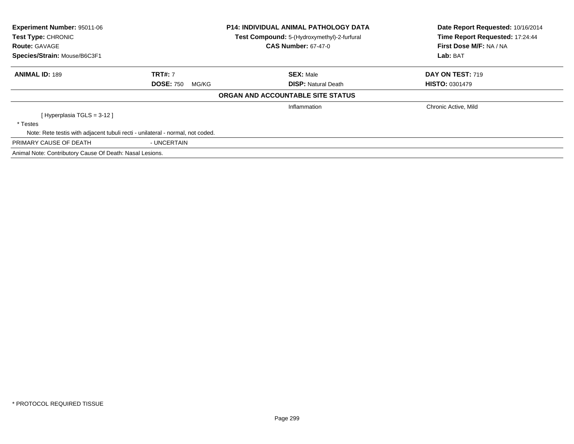| <b>Experiment Number: 95011-06</b>                                             |                           | <b>P14: INDIVIDUAL ANIMAL PATHOLOGY DATA</b> | Date Report Requested: 10/16/2014 |  |
|--------------------------------------------------------------------------------|---------------------------|----------------------------------------------|-----------------------------------|--|
| Test Type: CHRONIC                                                             |                           | Test Compound: 5-(Hydroxymethyl)-2-furfural  | Time Report Requested: 17:24:44   |  |
| <b>Route: GAVAGE</b>                                                           |                           | <b>CAS Number: 67-47-0</b>                   | First Dose M/F: NA / NA           |  |
| Species/Strain: Mouse/B6C3F1                                                   |                           |                                              | Lab: BAT                          |  |
| <b>ANIMAL ID: 189</b>                                                          | <b>TRT#: 7</b>            | <b>SEX: Male</b>                             | DAY ON TEST: 719                  |  |
|                                                                                | <b>DOSE: 750</b><br>MG/KG | <b>DISP: Natural Death</b>                   | <b>HISTO: 0301479</b>             |  |
|                                                                                |                           | ORGAN AND ACCOUNTABLE SITE STATUS            |                                   |  |
|                                                                                |                           | Inflammation                                 | Chronic Active, Mild              |  |
| [Hyperplasia TGLS = $3-12$ ]                                                   |                           |                                              |                                   |  |
| * Testes                                                                       |                           |                                              |                                   |  |
| Note: Rete testis with adjacent tubuli recti - unilateral - normal, not coded. |                           |                                              |                                   |  |
| PRIMARY CAUSE OF DEATH                                                         | - UNCERTAIN               |                                              |                                   |  |
| Animal Note: Contributory Cause Of Death: Nasal Lesions.                       |                           |                                              |                                   |  |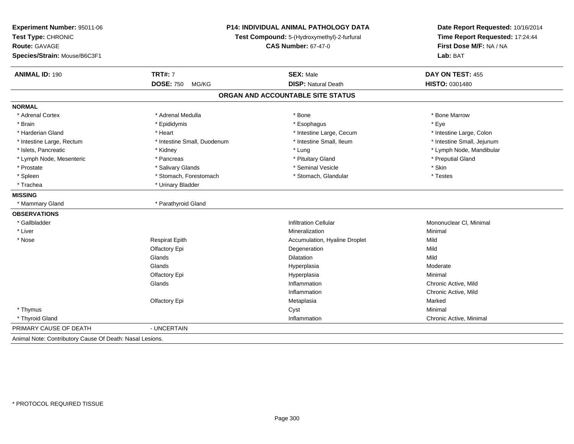| Experiment Number: 95011-06<br>Test Type: CHRONIC<br><b>Route: GAVAGE</b><br>Species/Strain: Mouse/B6C3F1 | <b>P14: INDIVIDUAL ANIMAL PATHOLOGY DATA</b><br>Test Compound: 5-(Hydroxymethyl)-2-furfural<br><b>CAS Number: 67-47-0</b> |                                   | Date Report Requested: 10/16/2014<br>Time Report Requested: 17:24:44<br>First Dose M/F: NA / NA<br>Lab: BAT |
|-----------------------------------------------------------------------------------------------------------|---------------------------------------------------------------------------------------------------------------------------|-----------------------------------|-------------------------------------------------------------------------------------------------------------|
| <b>ANIMAL ID: 190</b>                                                                                     | <b>TRT#: 7</b>                                                                                                            | <b>SEX: Male</b>                  | DAY ON TEST: 455                                                                                            |
|                                                                                                           | <b>DOSE: 750</b><br>MG/KG                                                                                                 | <b>DISP: Natural Death</b>        | HISTO: 0301480                                                                                              |
|                                                                                                           |                                                                                                                           | ORGAN AND ACCOUNTABLE SITE STATUS |                                                                                                             |
| <b>NORMAL</b>                                                                                             |                                                                                                                           |                                   |                                                                                                             |
| * Adrenal Cortex                                                                                          | * Adrenal Medulla                                                                                                         | * Bone                            | * Bone Marrow                                                                                               |
| * Brain                                                                                                   | * Epididymis                                                                                                              | * Esophagus                       | * Eye                                                                                                       |
| * Harderian Gland                                                                                         | * Heart                                                                                                                   | * Intestine Large, Cecum          | * Intestine Large, Colon                                                                                    |
| * Intestine Large, Rectum                                                                                 | * Intestine Small, Duodenum                                                                                               | * Intestine Small, Ileum          | * Intestine Small, Jejunum                                                                                  |
| * Islets, Pancreatic                                                                                      | * Kidney                                                                                                                  | * Lung                            | * Lymph Node, Mandibular                                                                                    |
| * Lymph Node, Mesenteric                                                                                  | * Pancreas                                                                                                                | * Pituitary Gland                 | * Preputial Gland                                                                                           |
| * Prostate                                                                                                | * Salivary Glands                                                                                                         | * Seminal Vesicle                 | * Skin                                                                                                      |
| * Spleen                                                                                                  | * Stomach, Forestomach                                                                                                    | * Stomach, Glandular              | * Testes                                                                                                    |
| * Trachea                                                                                                 | * Urinary Bladder                                                                                                         |                                   |                                                                                                             |
| <b>MISSING</b>                                                                                            |                                                                                                                           |                                   |                                                                                                             |
| * Mammary Gland                                                                                           | * Parathyroid Gland                                                                                                       |                                   |                                                                                                             |
| <b>OBSERVATIONS</b>                                                                                       |                                                                                                                           |                                   |                                                                                                             |
| * Gallbladder                                                                                             |                                                                                                                           | <b>Infiltration Cellular</b>      | Mononuclear CI, Minimal                                                                                     |
| * Liver                                                                                                   |                                                                                                                           | Mineralization                    | Minimal                                                                                                     |
| * Nose                                                                                                    | <b>Respirat Epith</b>                                                                                                     | Accumulation, Hyaline Droplet     | Mild                                                                                                        |
|                                                                                                           | Olfactory Epi                                                                                                             | Degeneration                      | Mild                                                                                                        |
|                                                                                                           | Glands                                                                                                                    | Dilatation                        | Mild                                                                                                        |
|                                                                                                           | Glands                                                                                                                    | Hyperplasia                       | Moderate                                                                                                    |
|                                                                                                           | Olfactory Epi                                                                                                             | Hyperplasia                       | Minimal                                                                                                     |
|                                                                                                           | Glands                                                                                                                    | Inflammation                      | Chronic Active, Mild                                                                                        |
|                                                                                                           |                                                                                                                           | Inflammation                      | Chronic Active, Mild                                                                                        |
|                                                                                                           | Olfactory Epi                                                                                                             | Metaplasia                        | Marked                                                                                                      |
| * Thymus                                                                                                  |                                                                                                                           | Cyst                              | Minimal                                                                                                     |
| * Thyroid Gland                                                                                           |                                                                                                                           | Inflammation                      | Chronic Active, Minimal                                                                                     |
| PRIMARY CAUSE OF DEATH                                                                                    | - UNCERTAIN                                                                                                               |                                   |                                                                                                             |
| Animal Note: Contributory Cause Of Death: Nasal Lesions.                                                  |                                                                                                                           |                                   |                                                                                                             |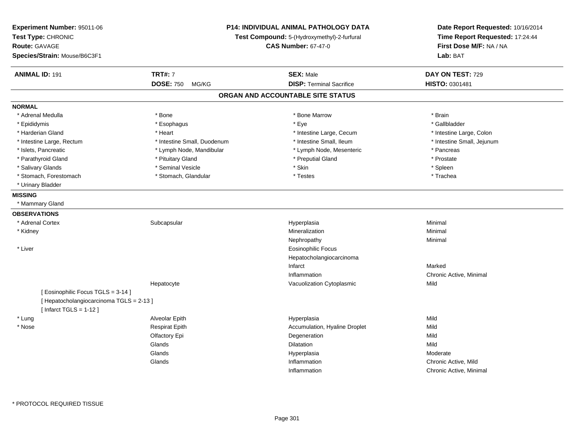| Experiment Number: 95011-06<br>Test Type: CHRONIC<br><b>Route: GAVAGE</b><br>Species/Strain: Mouse/B6C3F1 |                             | <b>P14: INDIVIDUAL ANIMAL PATHOLOGY DATA</b><br>Test Compound: 5-(Hydroxymethyl)-2-furfural<br><b>CAS Number: 67-47-0</b> |                            |
|-----------------------------------------------------------------------------------------------------------|-----------------------------|---------------------------------------------------------------------------------------------------------------------------|----------------------------|
| <b>ANIMAL ID: 191</b>                                                                                     | <b>TRT#: 7</b>              | <b>SEX: Male</b>                                                                                                          | DAY ON TEST: 729           |
|                                                                                                           | <b>DOSE: 750</b><br>MG/KG   | <b>DISP: Terminal Sacrifice</b>                                                                                           | HISTO: 0301481             |
|                                                                                                           |                             | ORGAN AND ACCOUNTABLE SITE STATUS                                                                                         |                            |
| <b>NORMAL</b>                                                                                             |                             |                                                                                                                           |                            |
| * Adrenal Medulla                                                                                         | * Bone                      | * Bone Marrow                                                                                                             | * Brain                    |
| * Epididymis                                                                                              | * Esophagus                 | * Eye                                                                                                                     | * Gallbladder              |
| * Harderian Gland                                                                                         | * Heart                     | * Intestine Large, Cecum                                                                                                  | * Intestine Large, Colon   |
| * Intestine Large, Rectum                                                                                 | * Intestine Small, Duodenum | * Intestine Small, Ileum                                                                                                  | * Intestine Small, Jejunum |
| * Islets, Pancreatic                                                                                      | * Lymph Node, Mandibular    | * Lymph Node, Mesenteric                                                                                                  | * Pancreas                 |
| * Parathyroid Gland                                                                                       | * Pituitary Gland           | * Preputial Gland                                                                                                         | * Prostate                 |
| * Salivary Glands                                                                                         | * Seminal Vesicle           | * Skin                                                                                                                    | * Spleen                   |
| * Stomach, Forestomach                                                                                    | * Stomach, Glandular        | * Testes                                                                                                                  | * Trachea                  |
| * Urinary Bladder                                                                                         |                             |                                                                                                                           |                            |
| <b>MISSING</b>                                                                                            |                             |                                                                                                                           |                            |
| * Mammary Gland                                                                                           |                             |                                                                                                                           |                            |
| <b>OBSERVATIONS</b>                                                                                       |                             |                                                                                                                           |                            |
| * Adrenal Cortex                                                                                          | Subcapsular                 | Hyperplasia                                                                                                               | Minimal                    |
| * Kidney                                                                                                  |                             | Mineralization                                                                                                            | Minimal                    |
|                                                                                                           |                             | Nephropathy                                                                                                               | Minimal                    |
| * Liver                                                                                                   |                             | <b>Eosinophilic Focus</b>                                                                                                 |                            |
|                                                                                                           |                             | Hepatocholangiocarcinoma                                                                                                  |                            |
|                                                                                                           |                             | Infarct                                                                                                                   | Marked                     |
|                                                                                                           |                             | Inflammation                                                                                                              | Chronic Active, Minimal    |
|                                                                                                           | Hepatocyte                  | Vacuolization Cytoplasmic                                                                                                 | Mild                       |
| [ Eosinophilic Focus TGLS = 3-14 ]                                                                        |                             |                                                                                                                           |                            |
| [ Hepatocholangiocarcinoma TGLS = 2-13 ]                                                                  |                             |                                                                                                                           |                            |
| [Infarct TGLS = $1-12$ ]                                                                                  |                             |                                                                                                                           |                            |
| * Lung                                                                                                    | Alveolar Epith              | Hyperplasia                                                                                                               | Mild                       |
| * Nose                                                                                                    | <b>Respirat Epith</b>       | Accumulation, Hyaline Droplet                                                                                             | Mild                       |
|                                                                                                           | Olfactory Epi               | Degeneration                                                                                                              | Mild                       |
|                                                                                                           | Glands                      | <b>Dilatation</b>                                                                                                         | Mild                       |
|                                                                                                           | Glands                      | Hyperplasia                                                                                                               | Moderate                   |
|                                                                                                           | Glands                      | Inflammation                                                                                                              | Chronic Active, Mild       |
|                                                                                                           |                             | Inflammation                                                                                                              | Chronic Active, Minimal    |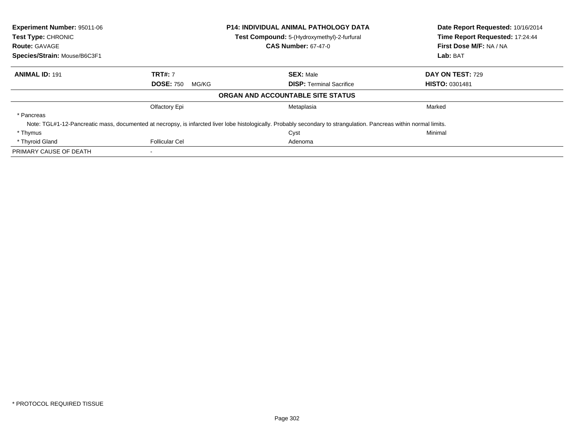| <b>Experiment Number: 95011-06</b><br>Test Type: CHRONIC |                           | <b>P14: INDIVIDUAL ANIMAL PATHOLOGY DATA</b>                                                                                                                        | Date Report Requested: 10/16/2014 |
|----------------------------------------------------------|---------------------------|---------------------------------------------------------------------------------------------------------------------------------------------------------------------|-----------------------------------|
|                                                          |                           | Test Compound: 5-(Hydroxymethyl)-2-furfural                                                                                                                         | Time Report Requested: 17:24:44   |
| <b>Route: GAVAGE</b>                                     |                           | <b>CAS Number: 67-47-0</b>                                                                                                                                          | First Dose M/F: NA / NA           |
| Species/Strain: Mouse/B6C3F1                             |                           |                                                                                                                                                                     | Lab: BAT                          |
| <b>ANIMAL ID: 191</b>                                    | <b>TRT#: 7</b>            | <b>SEX: Male</b>                                                                                                                                                    | DAY ON TEST: 729                  |
|                                                          | <b>DOSE: 750</b><br>MG/KG | <b>DISP:</b> Terminal Sacrifice                                                                                                                                     | <b>HISTO: 0301481</b>             |
|                                                          |                           | ORGAN AND ACCOUNTABLE SITE STATUS                                                                                                                                   |                                   |
|                                                          | Olfactory Epi             | Metaplasia                                                                                                                                                          | Marked                            |
| * Pancreas                                               |                           |                                                                                                                                                                     |                                   |
|                                                          |                           | Note: TGL#1-12-Pancreatic mass, documented at necropsy, is infarcted liver lobe histologically. Probably secondary to strangulation. Pancreas within normal limits. |                                   |
| * Thymus                                                 |                           | Cyst                                                                                                                                                                | Minimal                           |
| * Thyroid Gland                                          | <b>Follicular Cel</b>     | Adenoma                                                                                                                                                             |                                   |
| PRIMARY CAUSE OF DEATH                                   |                           |                                                                                                                                                                     |                                   |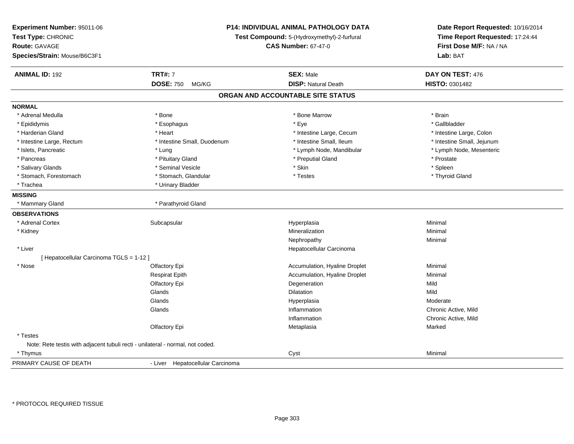| Experiment Number: 95011-06<br>Test Type: CHRONIC<br><b>Route: GAVAGE</b><br>Species/Strain: Mouse/B6C3F1 | <b>P14: INDIVIDUAL ANIMAL PATHOLOGY DATA</b><br>Test Compound: 5-(Hydroxymethyl)-2-furfural<br><b>CAS Number: 67-47-0</b> |                                   | Date Report Requested: 10/16/2014<br>Time Report Requested: 17:24:44<br>First Dose M/F: NA / NA<br>Lab: BAT |  |
|-----------------------------------------------------------------------------------------------------------|---------------------------------------------------------------------------------------------------------------------------|-----------------------------------|-------------------------------------------------------------------------------------------------------------|--|
| <b>ANIMAL ID: 192</b>                                                                                     | <b>TRT#: 7</b>                                                                                                            | <b>SEX: Male</b>                  | DAY ON TEST: 476                                                                                            |  |
|                                                                                                           | <b>DOSE: 750</b><br>MG/KG                                                                                                 | <b>DISP: Natural Death</b>        | HISTO: 0301482                                                                                              |  |
|                                                                                                           |                                                                                                                           | ORGAN AND ACCOUNTABLE SITE STATUS |                                                                                                             |  |
| <b>NORMAL</b>                                                                                             |                                                                                                                           |                                   |                                                                                                             |  |
| * Adrenal Medulla                                                                                         | * Bone                                                                                                                    | * Bone Marrow                     | * Brain                                                                                                     |  |
| * Epididymis                                                                                              | * Esophagus                                                                                                               | * Eye                             | * Gallbladder                                                                                               |  |
| * Harderian Gland                                                                                         | * Heart                                                                                                                   | * Intestine Large, Cecum          | * Intestine Large, Colon                                                                                    |  |
| * Intestine Large, Rectum                                                                                 | * Intestine Small, Duodenum                                                                                               | * Intestine Small, Ileum          | * Intestine Small, Jejunum                                                                                  |  |
| * Islets, Pancreatic                                                                                      | * Lung                                                                                                                    | * Lymph Node, Mandibular          | * Lymph Node, Mesenteric                                                                                    |  |
| * Pancreas                                                                                                | * Pituitary Gland                                                                                                         | * Preputial Gland                 | * Prostate                                                                                                  |  |
| * Salivary Glands                                                                                         | * Seminal Vesicle                                                                                                         | * Skin                            | * Spleen                                                                                                    |  |
| * Stomach, Forestomach                                                                                    | * Stomach, Glandular                                                                                                      | * Testes                          | * Thyroid Gland                                                                                             |  |
| * Trachea                                                                                                 | * Urinary Bladder                                                                                                         |                                   |                                                                                                             |  |
| <b>MISSING</b>                                                                                            |                                                                                                                           |                                   |                                                                                                             |  |
| * Mammary Gland                                                                                           | * Parathyroid Gland                                                                                                       |                                   |                                                                                                             |  |
| <b>OBSERVATIONS</b>                                                                                       |                                                                                                                           |                                   |                                                                                                             |  |
| * Adrenal Cortex                                                                                          | Subcapsular                                                                                                               | Hyperplasia                       | Minimal                                                                                                     |  |
| * Kidney                                                                                                  |                                                                                                                           | Mineralization                    | Minimal                                                                                                     |  |
|                                                                                                           |                                                                                                                           | Nephropathy                       | Minimal                                                                                                     |  |
| * Liver                                                                                                   |                                                                                                                           | Hepatocellular Carcinoma          |                                                                                                             |  |
| [ Hepatocellular Carcinoma TGLS = 1-12 ]                                                                  |                                                                                                                           |                                   |                                                                                                             |  |
| * Nose                                                                                                    | Olfactory Epi                                                                                                             | Accumulation, Hyaline Droplet     | Minimal                                                                                                     |  |
|                                                                                                           | <b>Respirat Epith</b>                                                                                                     | Accumulation, Hyaline Droplet     | Minimal                                                                                                     |  |
|                                                                                                           | Olfactory Epi                                                                                                             | Degeneration                      | Mild                                                                                                        |  |
|                                                                                                           | Glands                                                                                                                    | <b>Dilatation</b>                 | Mild                                                                                                        |  |
|                                                                                                           | Glands                                                                                                                    | Hyperplasia                       | Moderate                                                                                                    |  |
|                                                                                                           | Glands                                                                                                                    | Inflammation                      | Chronic Active, Mild                                                                                        |  |
|                                                                                                           |                                                                                                                           | Inflammation                      | Chronic Active, Mild                                                                                        |  |
|                                                                                                           | Olfactory Epi                                                                                                             | Metaplasia                        | Marked                                                                                                      |  |
| * Testes                                                                                                  |                                                                                                                           |                                   |                                                                                                             |  |
| Note: Rete testis with adjacent tubuli recti - unilateral - normal, not coded.                            |                                                                                                                           |                                   |                                                                                                             |  |
| * Thymus                                                                                                  |                                                                                                                           | Cyst                              | Minimal                                                                                                     |  |
| PRIMARY CAUSE OF DEATH                                                                                    | - Liver Hepatocellular Carcinoma                                                                                          |                                   |                                                                                                             |  |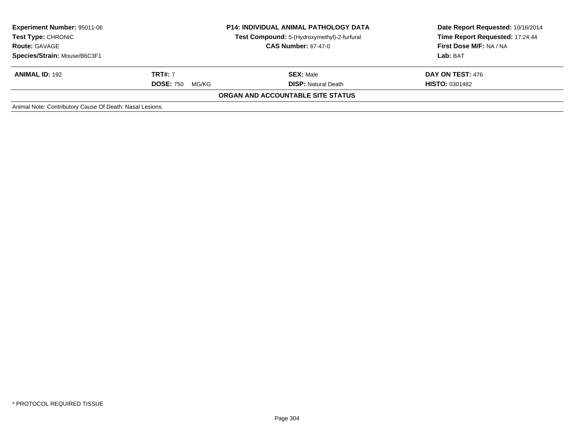| <b>Experiment Number: 95011-06</b><br><b>Test Type: CHRONIC</b><br><b>Route: GAVAGE</b><br>Species/Strain: Mouse/B6C3F1 | <b>P14: INDIVIDUAL ANIMAL PATHOLOGY DATA</b><br>Test Compound: 5-(Hydroxymethyl)-2-furfural<br><b>CAS Number: 67-47-0</b> |                                                | Date Report Requested: 10/16/2014<br>Time Report Requested: 17:24:44<br>First Dose M/F: NA / NA<br>Lab: BAT |
|-------------------------------------------------------------------------------------------------------------------------|---------------------------------------------------------------------------------------------------------------------------|------------------------------------------------|-------------------------------------------------------------------------------------------------------------|
| <b>ANIMAL ID: 192</b>                                                                                                   | <b>TRT#:</b> 7<br><b>DOSE: 750</b><br>MG/KG                                                                               | <b>SEX: Male</b><br><b>DISP:</b> Natural Death | <b>DAY ON TEST: 476</b><br><b>HISTO: 0301482</b>                                                            |
|                                                                                                                         |                                                                                                                           | ORGAN AND ACCOUNTABLE SITE STATUS              |                                                                                                             |
| Animal Note: Contributory Cause Of Death: Nasal Lesions.                                                                |                                                                                                                           |                                                |                                                                                                             |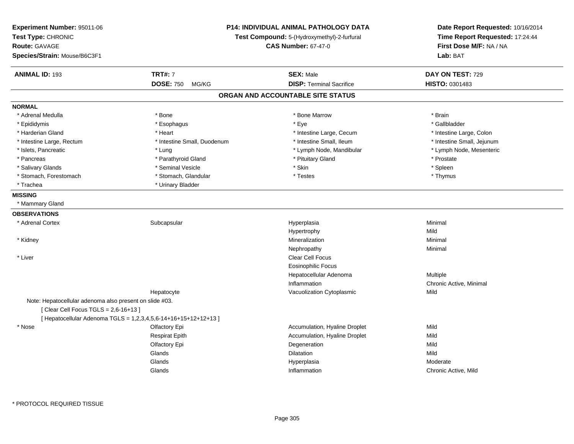| Experiment Number: 95011-06<br>Test Type: CHRONIC<br><b>Route: GAVAGE</b><br>Species/Strain: Mouse/B6C3F1 | P14: INDIVIDUAL ANIMAL PATHOLOGY DATA<br>Test Compound: 5-(Hydroxymethyl)-2-furfural<br><b>CAS Number: 67-47-0</b> |                                   | Date Report Requested: 10/16/2014<br>Time Report Requested: 17:24:44<br>First Dose M/F: NA / NA<br>Lab: BAT |  |
|-----------------------------------------------------------------------------------------------------------|--------------------------------------------------------------------------------------------------------------------|-----------------------------------|-------------------------------------------------------------------------------------------------------------|--|
| <b>ANIMAL ID: 193</b>                                                                                     | <b>TRT#: 7</b>                                                                                                     | <b>SEX: Male</b>                  | DAY ON TEST: 729                                                                                            |  |
|                                                                                                           | <b>DOSE: 750</b><br>MG/KG                                                                                          | <b>DISP: Terminal Sacrifice</b>   | <b>HISTO: 0301483</b>                                                                                       |  |
|                                                                                                           |                                                                                                                    | ORGAN AND ACCOUNTABLE SITE STATUS |                                                                                                             |  |
| <b>NORMAL</b>                                                                                             |                                                                                                                    |                                   |                                                                                                             |  |
| * Adrenal Medulla                                                                                         | * Bone                                                                                                             | * Bone Marrow                     | * Brain                                                                                                     |  |
| * Epididymis                                                                                              | * Esophagus                                                                                                        | * Eye                             | * Gallbladder                                                                                               |  |
| * Harderian Gland                                                                                         | * Heart                                                                                                            | * Intestine Large, Cecum          | * Intestine Large, Colon                                                                                    |  |
| * Intestine Large, Rectum                                                                                 | * Intestine Small, Duodenum                                                                                        | * Intestine Small, Ileum          | * Intestine Small, Jejunum                                                                                  |  |
| * Islets, Pancreatic                                                                                      | * Lung                                                                                                             | * Lymph Node, Mandibular          | * Lymph Node, Mesenteric                                                                                    |  |
| * Pancreas                                                                                                | * Parathyroid Gland                                                                                                | * Pituitary Gland                 | * Prostate                                                                                                  |  |
| * Salivary Glands                                                                                         | * Seminal Vesicle                                                                                                  | * Skin                            | * Spleen                                                                                                    |  |
| * Stomach, Forestomach                                                                                    | * Stomach, Glandular                                                                                               | * Testes                          | * Thymus                                                                                                    |  |
| * Trachea                                                                                                 | * Urinary Bladder                                                                                                  |                                   |                                                                                                             |  |
| <b>MISSING</b>                                                                                            |                                                                                                                    |                                   |                                                                                                             |  |
| * Mammary Gland                                                                                           |                                                                                                                    |                                   |                                                                                                             |  |
| <b>OBSERVATIONS</b>                                                                                       |                                                                                                                    |                                   |                                                                                                             |  |
| * Adrenal Cortex                                                                                          | Subcapsular                                                                                                        | Hyperplasia                       | Minimal                                                                                                     |  |
|                                                                                                           |                                                                                                                    | Hypertrophy                       | Mild                                                                                                        |  |
| * Kidney                                                                                                  |                                                                                                                    | Mineralization                    | Minimal                                                                                                     |  |
|                                                                                                           |                                                                                                                    | Nephropathy                       | Minimal                                                                                                     |  |
| * Liver                                                                                                   |                                                                                                                    | Clear Cell Focus                  |                                                                                                             |  |
|                                                                                                           |                                                                                                                    | <b>Eosinophilic Focus</b>         |                                                                                                             |  |
|                                                                                                           |                                                                                                                    | Hepatocellular Adenoma            | <b>Multiple</b>                                                                                             |  |
|                                                                                                           |                                                                                                                    | Inflammation                      | Chronic Active, Minimal                                                                                     |  |
|                                                                                                           | Hepatocyte                                                                                                         | Vacuolization Cytoplasmic         | Mild                                                                                                        |  |
| Note: Hepatocellular adenoma also present on slide #03.                                                   |                                                                                                                    |                                   |                                                                                                             |  |
| [ Clear Cell Focus TGLS = 2,6-16+13 ]                                                                     |                                                                                                                    |                                   |                                                                                                             |  |
|                                                                                                           | [ Hepatocellular Adenoma TGLS = 1,2,3,4,5,6-14+16+15+12+12+13 ]                                                    |                                   |                                                                                                             |  |
| * Nose                                                                                                    | Olfactory Epi                                                                                                      | Accumulation, Hyaline Droplet     | Mild                                                                                                        |  |
|                                                                                                           | <b>Respirat Epith</b>                                                                                              | Accumulation, Hyaline Droplet     | Mild                                                                                                        |  |
|                                                                                                           | Olfactory Epi                                                                                                      | Degeneration                      | Mild                                                                                                        |  |
|                                                                                                           | Glands                                                                                                             | Dilatation                        | Mild                                                                                                        |  |
|                                                                                                           | Glands                                                                                                             | Hyperplasia                       | Moderate                                                                                                    |  |
|                                                                                                           | Glands                                                                                                             | Inflammation                      | Chronic Active, Mild                                                                                        |  |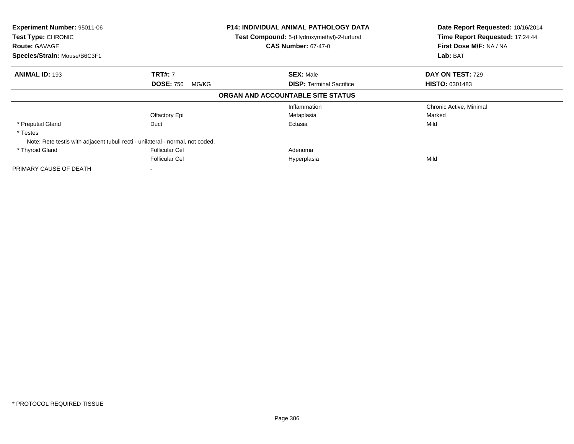| Experiment Number: 95011-06<br>Test Type: CHRONIC<br><b>Route: GAVAGE</b><br>Species/Strain: Mouse/B6C3F1 |                                             | P14: INDIVIDUAL ANIMAL PATHOLOGY DATA<br><b>Test Compound:</b> 5-(Hydroxymethyl)-2-furfural<br><b>CAS Number: 67-47-0</b> | Date Report Requested: 10/16/2014<br>Time Report Requested: 17:24:44<br>First Dose M/F: NA / NA<br>Lab: BAT |
|-----------------------------------------------------------------------------------------------------------|---------------------------------------------|---------------------------------------------------------------------------------------------------------------------------|-------------------------------------------------------------------------------------------------------------|
| <b>ANIMAL ID: 193</b>                                                                                     | <b>TRT#: 7</b><br><b>DOSE: 750</b><br>MG/KG | <b>SEX: Male</b><br><b>DISP:</b> Terminal Sacrifice                                                                       | <b>DAY ON TEST: 729</b><br><b>HISTO: 0301483</b>                                                            |
|                                                                                                           |                                             | ORGAN AND ACCOUNTABLE SITE STATUS                                                                                         |                                                                                                             |
|                                                                                                           | Olfactory Epi                               | Inflammation<br>Metaplasia                                                                                                | Chronic Active, Minimal<br>Marked                                                                           |
| * Preputial Gland<br>* Testes                                                                             | Duct                                        | Ectasia                                                                                                                   | Mild                                                                                                        |
| Note: Rete testis with adjacent tubuli recti - unilateral - normal, not coded.                            |                                             |                                                                                                                           |                                                                                                             |
| * Thyroid Gland                                                                                           | <b>Follicular Cel</b>                       | Adenoma                                                                                                                   |                                                                                                             |
|                                                                                                           | <b>Follicular Cel</b>                       | Hyperplasia                                                                                                               | Mild                                                                                                        |
| PRIMARY CAUSE OF DEATH                                                                                    |                                             |                                                                                                                           |                                                                                                             |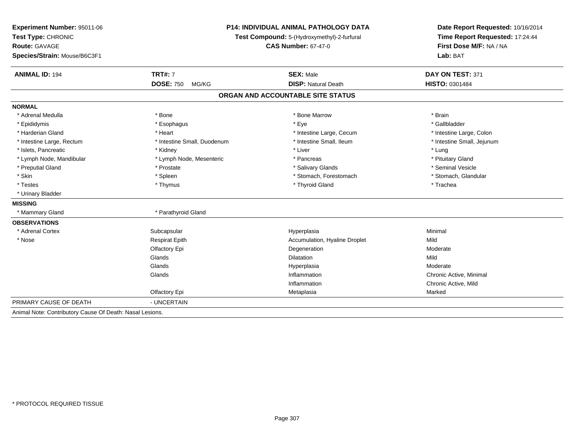| Experiment Number: 95011-06<br>Test Type: CHRONIC<br><b>Route: GAVAGE</b><br>Species/Strain: Mouse/B6C3F1 |                             | <b>P14: INDIVIDUAL ANIMAL PATHOLOGY DATA</b><br>Test Compound: 5-(Hydroxymethyl)-2-furfural<br><b>CAS Number: 67-47-0</b> | Date Report Requested: 10/16/2014<br>Time Report Requested: 17:24:44<br>First Dose M/F: NA / NA<br>Lab: BAT |  |
|-----------------------------------------------------------------------------------------------------------|-----------------------------|---------------------------------------------------------------------------------------------------------------------------|-------------------------------------------------------------------------------------------------------------|--|
| <b>ANIMAL ID: 194</b>                                                                                     | <b>TRT#: 7</b>              | <b>SEX: Male</b>                                                                                                          | DAY ON TEST: 371                                                                                            |  |
|                                                                                                           | <b>DOSE: 750</b><br>MG/KG   | <b>DISP: Natural Death</b>                                                                                                | HISTO: 0301484                                                                                              |  |
|                                                                                                           |                             | ORGAN AND ACCOUNTABLE SITE STATUS                                                                                         |                                                                                                             |  |
| <b>NORMAL</b>                                                                                             |                             |                                                                                                                           |                                                                                                             |  |
| * Adrenal Medulla                                                                                         | * Bone                      | * Bone Marrow                                                                                                             | * Brain                                                                                                     |  |
| * Epididymis                                                                                              | * Esophagus                 | * Eye                                                                                                                     | * Gallbladder                                                                                               |  |
| * Harderian Gland                                                                                         | * Heart                     | * Intestine Large, Cecum                                                                                                  | * Intestine Large, Colon                                                                                    |  |
| * Intestine Large, Rectum                                                                                 | * Intestine Small, Duodenum | * Intestine Small. Ileum                                                                                                  | * Intestine Small, Jejunum                                                                                  |  |
| * Islets, Pancreatic                                                                                      | * Kidney                    | * Liver                                                                                                                   | * Lung                                                                                                      |  |
| * Lymph Node, Mandibular                                                                                  | * Lymph Node, Mesenteric    | * Pancreas                                                                                                                | * Pituitary Gland                                                                                           |  |
| * Preputial Gland                                                                                         | * Prostate                  | * Salivary Glands                                                                                                         | * Seminal Vesicle                                                                                           |  |
| * Skin                                                                                                    | * Spleen                    | * Stomach, Forestomach                                                                                                    | * Stomach, Glandular                                                                                        |  |
| * Testes                                                                                                  | * Thymus                    | * Thyroid Gland                                                                                                           | * Trachea                                                                                                   |  |
| * Urinary Bladder                                                                                         |                             |                                                                                                                           |                                                                                                             |  |
| <b>MISSING</b>                                                                                            |                             |                                                                                                                           |                                                                                                             |  |
| * Mammary Gland                                                                                           | * Parathyroid Gland         |                                                                                                                           |                                                                                                             |  |
| <b>OBSERVATIONS</b>                                                                                       |                             |                                                                                                                           |                                                                                                             |  |
| * Adrenal Cortex                                                                                          | Subcapsular                 | Hyperplasia                                                                                                               | Minimal                                                                                                     |  |
| * Nose                                                                                                    | <b>Respirat Epith</b>       | Accumulation, Hyaline Droplet                                                                                             | Mild                                                                                                        |  |
|                                                                                                           | Olfactory Epi               | Degeneration                                                                                                              | Moderate                                                                                                    |  |
|                                                                                                           | Glands                      | Dilatation                                                                                                                | Mild                                                                                                        |  |
|                                                                                                           | Glands                      | Hyperplasia                                                                                                               | Moderate                                                                                                    |  |
|                                                                                                           | Glands                      | Inflammation                                                                                                              | Chronic Active, Minimal                                                                                     |  |
|                                                                                                           |                             | Inflammation                                                                                                              | Chronic Active, Mild                                                                                        |  |
|                                                                                                           | Olfactory Epi               | Metaplasia                                                                                                                | Marked                                                                                                      |  |
| PRIMARY CAUSE OF DEATH                                                                                    | - UNCERTAIN                 |                                                                                                                           |                                                                                                             |  |
| Animal Note: Contributory Cause Of Death: Nasal Lesions.                                                  |                             |                                                                                                                           |                                                                                                             |  |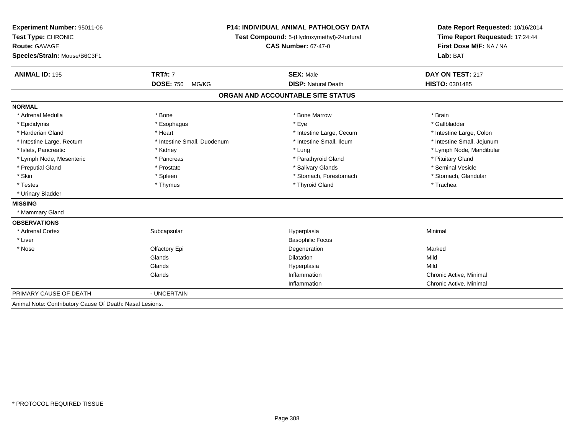| Experiment Number: 95011-06                              | <b>P14: INDIVIDUAL ANIMAL PATHOLOGY DATA</b><br>Test Compound: 5-(Hydroxymethyl)-2-furfural |                                   | Date Report Requested: 10/16/2014 |  |
|----------------------------------------------------------|---------------------------------------------------------------------------------------------|-----------------------------------|-----------------------------------|--|
| Test Type: CHRONIC                                       |                                                                                             |                                   | Time Report Requested: 17:24:44   |  |
| Route: GAVAGE                                            |                                                                                             | <b>CAS Number: 67-47-0</b>        | First Dose M/F: NA / NA           |  |
| Species/Strain: Mouse/B6C3F1                             |                                                                                             |                                   | Lab: BAT                          |  |
| <b>ANIMAL ID: 195</b>                                    | <b>TRT#: 7</b>                                                                              | <b>SEX: Male</b>                  | DAY ON TEST: 217                  |  |
|                                                          | <b>DOSE: 750</b><br>MG/KG                                                                   | <b>DISP: Natural Death</b>        | HISTO: 0301485                    |  |
|                                                          |                                                                                             | ORGAN AND ACCOUNTABLE SITE STATUS |                                   |  |
| <b>NORMAL</b>                                            |                                                                                             |                                   |                                   |  |
| * Adrenal Medulla                                        | * Bone                                                                                      | * Bone Marrow                     | * Brain                           |  |
| * Epididymis                                             | * Esophagus                                                                                 | * Eye                             | * Gallbladder                     |  |
| * Harderian Gland                                        | * Heart                                                                                     | * Intestine Large, Cecum          | * Intestine Large, Colon          |  |
| * Intestine Large, Rectum                                | * Intestine Small, Duodenum                                                                 | * Intestine Small, Ileum          | * Intestine Small, Jejunum        |  |
| * Islets, Pancreatic                                     | * Kidney                                                                                    | * Lung                            | * Lymph Node, Mandibular          |  |
| * Lymph Node, Mesenteric                                 | * Pancreas                                                                                  | * Parathyroid Gland               | * Pituitary Gland                 |  |
| * Preputial Gland                                        | * Prostate                                                                                  | * Salivary Glands                 | * Seminal Vesicle                 |  |
| * Skin                                                   | * Spleen                                                                                    | * Stomach, Forestomach            | * Stomach, Glandular              |  |
| * Testes                                                 | * Thymus                                                                                    | * Thyroid Gland                   | * Trachea                         |  |
| * Urinary Bladder                                        |                                                                                             |                                   |                                   |  |
| <b>MISSING</b>                                           |                                                                                             |                                   |                                   |  |
| * Mammary Gland                                          |                                                                                             |                                   |                                   |  |
| <b>OBSERVATIONS</b>                                      |                                                                                             |                                   |                                   |  |
| * Adrenal Cortex                                         | Subcapsular                                                                                 | Hyperplasia                       | Minimal                           |  |
| * Liver                                                  |                                                                                             | <b>Basophilic Focus</b>           |                                   |  |
| * Nose                                                   | Olfactory Epi                                                                               | Degeneration                      | Marked                            |  |
|                                                          | Glands                                                                                      | <b>Dilatation</b>                 | Mild                              |  |
|                                                          | Glands                                                                                      | Hyperplasia                       | Mild                              |  |
|                                                          | Glands                                                                                      | Inflammation                      | Chronic Active, Minimal           |  |
|                                                          |                                                                                             | Inflammation                      | Chronic Active, Minimal           |  |
| PRIMARY CAUSE OF DEATH                                   | - UNCERTAIN                                                                                 |                                   |                                   |  |
| Animal Note: Contributory Cause Of Death: Nasal Lesions. |                                                                                             |                                   |                                   |  |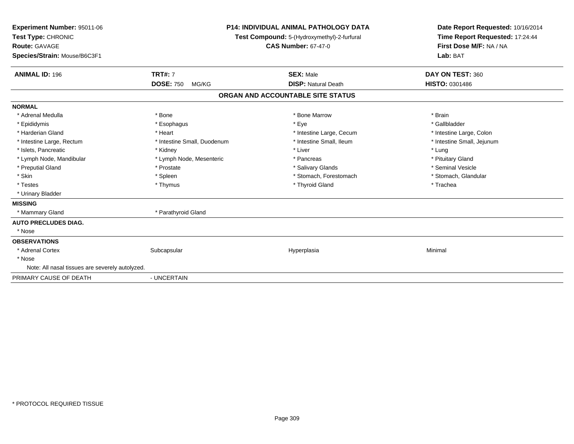| Experiment Number: 95011-06<br>Test Type: CHRONIC<br><b>Route: GAVAGE</b><br>Species/Strain: Mouse/B6C3F1 |                             | <b>P14: INDIVIDUAL ANIMAL PATHOLOGY DATA</b><br>Test Compound: 5-(Hydroxymethyl)-2-furfural<br><b>CAS Number: 67-47-0</b> |                                   | Date Report Requested: 10/16/2014<br>Time Report Requested: 17:24:44<br>First Dose M/F: NA / NA<br>Lab: BAT |  |
|-----------------------------------------------------------------------------------------------------------|-----------------------------|---------------------------------------------------------------------------------------------------------------------------|-----------------------------------|-------------------------------------------------------------------------------------------------------------|--|
| <b>ANIMAL ID: 196</b>                                                                                     | <b>TRT#: 7</b>              |                                                                                                                           | <b>SEX: Male</b>                  | DAY ON TEST: 360                                                                                            |  |
|                                                                                                           | <b>DOSE: 750</b><br>MG/KG   |                                                                                                                           | <b>DISP: Natural Death</b>        | <b>HISTO: 0301486</b>                                                                                       |  |
|                                                                                                           |                             |                                                                                                                           | ORGAN AND ACCOUNTABLE SITE STATUS |                                                                                                             |  |
| <b>NORMAL</b>                                                                                             |                             |                                                                                                                           |                                   |                                                                                                             |  |
| * Adrenal Medulla                                                                                         | * Bone                      |                                                                                                                           | * Bone Marrow                     | * Brain                                                                                                     |  |
| * Epididymis                                                                                              | * Esophagus                 |                                                                                                                           | * Eye                             | * Gallbladder                                                                                               |  |
| * Harderian Gland                                                                                         | * Heart                     |                                                                                                                           | * Intestine Large, Cecum          | * Intestine Large, Colon                                                                                    |  |
| * Intestine Large, Rectum                                                                                 | * Intestine Small, Duodenum |                                                                                                                           | * Intestine Small, Ileum          | * Intestine Small, Jejunum                                                                                  |  |
| * Islets, Pancreatic                                                                                      | * Kidney                    |                                                                                                                           | * Liver                           | * Lung                                                                                                      |  |
| * Lymph Node, Mandibular                                                                                  | * Lymph Node, Mesenteric    |                                                                                                                           | * Pancreas                        | * Pituitary Gland                                                                                           |  |
| * Preputial Gland                                                                                         | * Prostate                  |                                                                                                                           | * Salivary Glands                 | * Seminal Vesicle                                                                                           |  |
| * Skin                                                                                                    | * Spleen                    |                                                                                                                           | * Stomach, Forestomach            | * Stomach, Glandular                                                                                        |  |
| * Testes                                                                                                  | * Thymus                    |                                                                                                                           | * Thyroid Gland                   | * Trachea                                                                                                   |  |
| * Urinary Bladder                                                                                         |                             |                                                                                                                           |                                   |                                                                                                             |  |
| <b>MISSING</b>                                                                                            |                             |                                                                                                                           |                                   |                                                                                                             |  |
| * Mammary Gland                                                                                           | * Parathyroid Gland         |                                                                                                                           |                                   |                                                                                                             |  |
| <b>AUTO PRECLUDES DIAG.</b>                                                                               |                             |                                                                                                                           |                                   |                                                                                                             |  |
| * Nose                                                                                                    |                             |                                                                                                                           |                                   |                                                                                                             |  |
| <b>OBSERVATIONS</b>                                                                                       |                             |                                                                                                                           |                                   |                                                                                                             |  |
| * Adrenal Cortex                                                                                          | Subcapsular                 |                                                                                                                           | Hyperplasia                       | Minimal                                                                                                     |  |
| * Nose                                                                                                    |                             |                                                                                                                           |                                   |                                                                                                             |  |
| Note: All nasal tissues are severely autolyzed.                                                           |                             |                                                                                                                           |                                   |                                                                                                             |  |
| PRIMARY CAUSE OF DEATH                                                                                    | - UNCERTAIN                 |                                                                                                                           |                                   |                                                                                                             |  |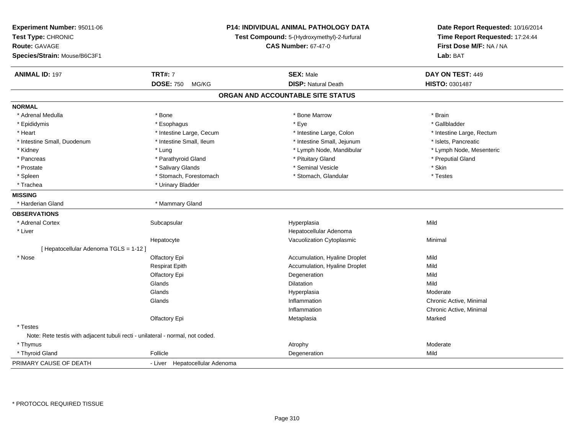| Experiment Number: 95011-06<br>Test Type: CHRONIC<br><b>Route: GAVAGE</b>      |                                | P14: INDIVIDUAL ANIMAL PATHOLOGY DATA<br>Test Compound: 5-(Hydroxymethyl)-2-furfural<br><b>CAS Number: 67-47-0</b> | Date Report Requested: 10/16/2014<br>Time Report Requested: 17:24:44<br>First Dose M/F: NA / NA |
|--------------------------------------------------------------------------------|--------------------------------|--------------------------------------------------------------------------------------------------------------------|-------------------------------------------------------------------------------------------------|
| Species/Strain: Mouse/B6C3F1                                                   |                                |                                                                                                                    | Lab: BAT                                                                                        |
| <b>ANIMAL ID: 197</b>                                                          | <b>TRT#: 7</b>                 | <b>SEX: Male</b>                                                                                                   | DAY ON TEST: 449                                                                                |
|                                                                                | <b>DOSE: 750</b><br>MG/KG      | <b>DISP: Natural Death</b>                                                                                         | HISTO: 0301487                                                                                  |
|                                                                                |                                | ORGAN AND ACCOUNTABLE SITE STATUS                                                                                  |                                                                                                 |
| <b>NORMAL</b>                                                                  |                                |                                                                                                                    |                                                                                                 |
| * Adrenal Medulla                                                              | * Bone                         | * Bone Marrow                                                                                                      | * Brain                                                                                         |
| * Epididymis                                                                   | * Esophagus                    | * Eye                                                                                                              | * Gallbladder                                                                                   |
| * Heart                                                                        | * Intestine Large, Cecum       | * Intestine Large, Colon                                                                                           | * Intestine Large, Rectum                                                                       |
| * Intestine Small, Duodenum                                                    | * Intestine Small, Ileum       | * Intestine Small, Jejunum                                                                                         | * Islets, Pancreatic                                                                            |
| * Kidney                                                                       | * Lung                         | * Lymph Node, Mandibular                                                                                           | * Lymph Node, Mesenteric                                                                        |
| * Pancreas                                                                     | * Parathyroid Gland            | * Pituitary Gland                                                                                                  | * Preputial Gland                                                                               |
| * Prostate                                                                     | * Salivary Glands              | * Seminal Vesicle                                                                                                  | * Skin                                                                                          |
| * Spleen                                                                       | * Stomach, Forestomach         | * Stomach, Glandular                                                                                               | * Testes                                                                                        |
| * Trachea                                                                      | * Urinary Bladder              |                                                                                                                    |                                                                                                 |
| <b>MISSING</b>                                                                 |                                |                                                                                                                    |                                                                                                 |
| * Harderian Gland                                                              | * Mammary Gland                |                                                                                                                    |                                                                                                 |
| <b>OBSERVATIONS</b>                                                            |                                |                                                                                                                    |                                                                                                 |
| * Adrenal Cortex                                                               | Subcapsular                    | Hyperplasia                                                                                                        | Mild                                                                                            |
| * Liver                                                                        |                                | Hepatocellular Adenoma                                                                                             |                                                                                                 |
|                                                                                | Hepatocyte                     | Vacuolization Cytoplasmic                                                                                          | Minimal                                                                                         |
| [Hepatocellular Adenoma TGLS = 1-12]                                           |                                |                                                                                                                    |                                                                                                 |
| * Nose                                                                         | Olfactory Epi                  | Accumulation, Hyaline Droplet                                                                                      | Mild                                                                                            |
|                                                                                | Respirat Epith                 | Accumulation, Hyaline Droplet                                                                                      | Mild                                                                                            |
|                                                                                | Olfactory Epi                  | Degeneration                                                                                                       | Mild                                                                                            |
|                                                                                | Glands                         | Dilatation                                                                                                         | Mild                                                                                            |
|                                                                                | Glands                         | Hyperplasia                                                                                                        | Moderate                                                                                        |
|                                                                                | Glands                         | Inflammation                                                                                                       | Chronic Active, Minimal                                                                         |
|                                                                                |                                | Inflammation                                                                                                       | Chronic Active, Minimal                                                                         |
|                                                                                | Olfactory Epi                  | Metaplasia                                                                                                         | Marked                                                                                          |
| * Testes                                                                       |                                |                                                                                                                    |                                                                                                 |
| Note: Rete testis with adjacent tubuli recti - unilateral - normal, not coded. |                                |                                                                                                                    |                                                                                                 |
| * Thymus                                                                       |                                | Atrophy                                                                                                            | Moderate                                                                                        |
| * Thyroid Gland                                                                | Follicle                       | Degeneration                                                                                                       | Mild                                                                                            |
| PRIMARY CAUSE OF DEATH                                                         | - Liver Hepatocellular Adenoma |                                                                                                                    |                                                                                                 |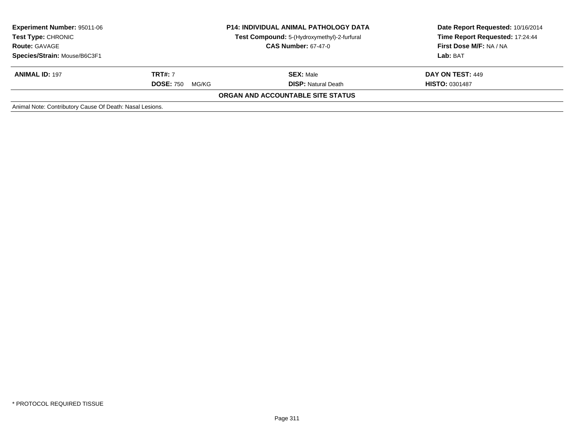| <b>Experiment Number: 95011-06</b><br><b>Test Type: CHRONIC</b><br><b>Route: GAVAGE</b><br>Species/Strain: Mouse/B6C3F1 | <b>P14: INDIVIDUAL ANIMAL PATHOLOGY DATA</b><br>Test Compound: 5-(Hydroxymethyl)-2-furfural<br><b>CAS Number: 67-47-0</b> |                                                | Date Report Requested: 10/16/2014<br>Time Report Requested: 17:24:44<br>First Dose M/F: NA / NA<br>Lab: BAT |
|-------------------------------------------------------------------------------------------------------------------------|---------------------------------------------------------------------------------------------------------------------------|------------------------------------------------|-------------------------------------------------------------------------------------------------------------|
| <b>ANIMAL ID: 197</b>                                                                                                   | <b>TRT#:</b> 7<br><b>DOSE: 750</b><br>MG/KG                                                                               | <b>SEX: Male</b><br><b>DISP:</b> Natural Death | DAY ON TEST: 449<br><b>HISTO: 0301487</b>                                                                   |
|                                                                                                                         |                                                                                                                           | ORGAN AND ACCOUNTABLE SITE STATUS              |                                                                                                             |
| Animal Note: Contributory Cause Of Death: Nasal Lesions.                                                                |                                                                                                                           |                                                |                                                                                                             |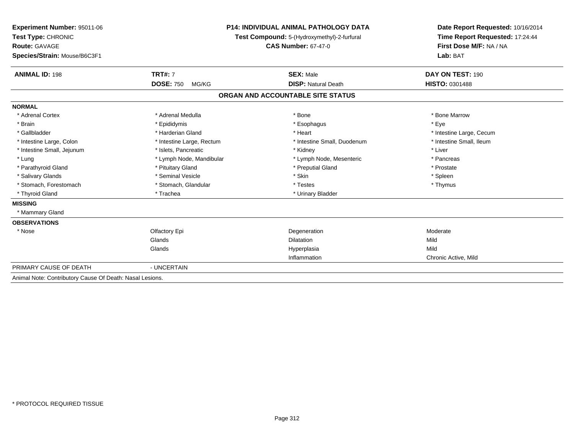| Experiment Number: 95011-06                              |                                             | <b>P14: INDIVIDUAL ANIMAL PATHOLOGY DATA</b> | Date Report Requested: 10/16/2014 |  |
|----------------------------------------------------------|---------------------------------------------|----------------------------------------------|-----------------------------------|--|
| Test Type: CHRONIC                                       | Test Compound: 5-(Hydroxymethyl)-2-furfural |                                              | Time Report Requested: 17:24:44   |  |
| Route: GAVAGE                                            |                                             | <b>CAS Number: 67-47-0</b>                   | First Dose M/F: NA / NA           |  |
| Species/Strain: Mouse/B6C3F1                             |                                             |                                              | Lab: BAT                          |  |
|                                                          |                                             |                                              |                                   |  |
| <b>ANIMAL ID: 198</b>                                    | <b>TRT#: 7</b>                              | <b>SEX: Male</b>                             | DAY ON TEST: 190                  |  |
|                                                          | <b>DOSE: 750</b><br>MG/KG                   | <b>DISP: Natural Death</b>                   | <b>HISTO: 0301488</b>             |  |
|                                                          |                                             | ORGAN AND ACCOUNTABLE SITE STATUS            |                                   |  |
| <b>NORMAL</b>                                            |                                             |                                              |                                   |  |
| * Adrenal Cortex                                         | * Adrenal Medulla                           | * Bone                                       | * Bone Marrow                     |  |
| * Brain                                                  | * Epididymis                                | * Esophagus                                  | * Eve                             |  |
| * Gallbladder                                            | * Harderian Gland                           | * Heart                                      | * Intestine Large, Cecum          |  |
| * Intestine Large, Colon                                 | * Intestine Large, Rectum                   | * Intestine Small, Duodenum                  | * Intestine Small, Ileum          |  |
| * Intestine Small, Jejunum                               | * Islets, Pancreatic                        | * Kidney                                     | * Liver                           |  |
| * Lung                                                   | * Lymph Node, Mandibular                    | * Lymph Node, Mesenteric                     | * Pancreas                        |  |
| * Parathyroid Gland                                      | * Pituitary Gland                           | * Preputial Gland                            | * Prostate                        |  |
| * Salivary Glands                                        | * Seminal Vesicle                           | * Skin                                       | * Spleen                          |  |
| * Stomach, Forestomach                                   | * Stomach, Glandular                        | * Testes                                     | * Thymus                          |  |
| * Thyroid Gland                                          | * Trachea                                   | * Urinary Bladder                            |                                   |  |
| <b>MISSING</b>                                           |                                             |                                              |                                   |  |
| * Mammary Gland                                          |                                             |                                              |                                   |  |
| <b>OBSERVATIONS</b>                                      |                                             |                                              |                                   |  |
| * Nose                                                   | Olfactory Epi                               | Degeneration                                 | Moderate                          |  |
|                                                          | Glands                                      | <b>Dilatation</b>                            | Mild                              |  |
|                                                          | Glands                                      | Hyperplasia                                  | Mild                              |  |
|                                                          |                                             | Inflammation                                 | Chronic Active, Mild              |  |
| PRIMARY CAUSE OF DEATH                                   | - UNCERTAIN                                 |                                              |                                   |  |
| Animal Note: Contributory Cause Of Death: Nasal Lesions. |                                             |                                              |                                   |  |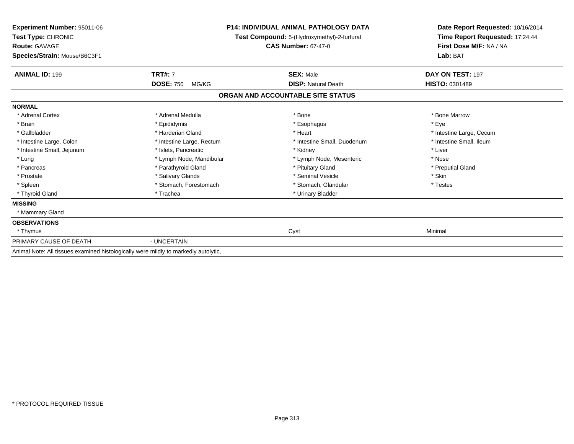| Experiment Number: 95011-06<br>Test Type: CHRONIC<br><b>Route: GAVAGE</b><br>Species/Strain: Mouse/B6C3F1 |                           | <b>P14: INDIVIDUAL ANIMAL PATHOLOGY DATA</b><br>Test Compound: 5-(Hydroxymethyl)-2-furfural<br><b>CAS Number: 67-47-0</b> | Date Report Requested: 10/16/2014<br>Time Report Requested: 17:24:44<br>First Dose M/F: NA / NA<br>Lab: BAT |
|-----------------------------------------------------------------------------------------------------------|---------------------------|---------------------------------------------------------------------------------------------------------------------------|-------------------------------------------------------------------------------------------------------------|
| <b>ANIMAL ID: 199</b>                                                                                     | <b>TRT#: 7</b>            | <b>SEX: Male</b>                                                                                                          | DAY ON TEST: 197                                                                                            |
|                                                                                                           | <b>DOSE: 750</b><br>MG/KG | <b>DISP: Natural Death</b>                                                                                                | HISTO: 0301489                                                                                              |
|                                                                                                           |                           | ORGAN AND ACCOUNTABLE SITE STATUS                                                                                         |                                                                                                             |
| <b>NORMAL</b>                                                                                             |                           |                                                                                                                           |                                                                                                             |
| * Adrenal Cortex                                                                                          | * Adrenal Medulla         | * Bone                                                                                                                    | * Bone Marrow                                                                                               |
| * Brain                                                                                                   | * Epididymis              | * Esophagus                                                                                                               | * Eve                                                                                                       |
| * Gallbladder                                                                                             | * Harderian Gland         | * Heart                                                                                                                   | * Intestine Large, Cecum                                                                                    |
| * Intestine Large, Colon                                                                                  | * Intestine Large, Rectum | * Intestine Small, Duodenum                                                                                               | * Intestine Small. Ileum                                                                                    |
| * Intestine Small, Jejunum                                                                                | * Islets, Pancreatic      | * Kidney                                                                                                                  | * Liver                                                                                                     |
| * Lung                                                                                                    | * Lymph Node, Mandibular  | * Lymph Node, Mesenteric                                                                                                  | * Nose                                                                                                      |
| * Pancreas                                                                                                | * Parathyroid Gland       | * Pituitary Gland                                                                                                         | * Preputial Gland                                                                                           |
| * Prostate                                                                                                | * Salivary Glands         | * Seminal Vesicle                                                                                                         | * Skin                                                                                                      |
| * Spleen                                                                                                  | * Stomach, Forestomach    | * Stomach, Glandular                                                                                                      | * Testes                                                                                                    |
| * Thyroid Gland                                                                                           | * Trachea                 | * Urinary Bladder                                                                                                         |                                                                                                             |
| <b>MISSING</b>                                                                                            |                           |                                                                                                                           |                                                                                                             |
| * Mammary Gland                                                                                           |                           |                                                                                                                           |                                                                                                             |
| <b>OBSERVATIONS</b>                                                                                       |                           |                                                                                                                           |                                                                                                             |
| * Thymus                                                                                                  |                           | Cyst                                                                                                                      | Minimal                                                                                                     |
| PRIMARY CAUSE OF DEATH                                                                                    | - UNCERTAIN               |                                                                                                                           |                                                                                                             |
| Animal Note: All tissues examined histologically were mildly to markedly autolytic,                       |                           |                                                                                                                           |                                                                                                             |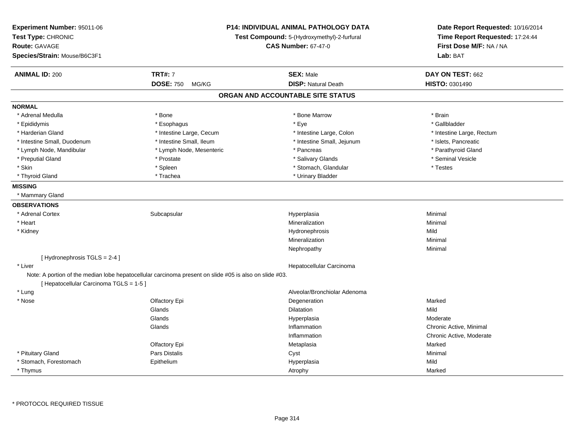| Experiment Number: 95011-06<br>Test Type: CHRONIC<br>Route: GAVAGE<br>Species/Strain: Mouse/B6C3F1 |                                                                                                        | <b>P14: INDIVIDUAL ANIMAL PATHOLOGY DATA</b><br>Test Compound: 5-(Hydroxymethyl)-2-furfural<br><b>CAS Number: 67-47-0</b> | Date Report Requested: 10/16/2014<br>Time Report Requested: 17:24:44<br>First Dose M/F: NA / NA<br>Lab: BAT |
|----------------------------------------------------------------------------------------------------|--------------------------------------------------------------------------------------------------------|---------------------------------------------------------------------------------------------------------------------------|-------------------------------------------------------------------------------------------------------------|
| <b>ANIMAL ID: 200</b>                                                                              | <b>TRT#: 7</b>                                                                                         | <b>SEX: Male</b>                                                                                                          | DAY ON TEST: 662                                                                                            |
|                                                                                                    | <b>DOSE: 750</b><br>MG/KG                                                                              | <b>DISP: Natural Death</b>                                                                                                | HISTO: 0301490                                                                                              |
|                                                                                                    |                                                                                                        | ORGAN AND ACCOUNTABLE SITE STATUS                                                                                         |                                                                                                             |
| <b>NORMAL</b>                                                                                      |                                                                                                        |                                                                                                                           |                                                                                                             |
| * Adrenal Medulla                                                                                  | * Bone                                                                                                 | * Bone Marrow                                                                                                             | * Brain                                                                                                     |
| * Epididymis                                                                                       | * Esophagus                                                                                            | * Eye                                                                                                                     | * Gallbladder                                                                                               |
| * Harderian Gland                                                                                  | * Intestine Large, Cecum                                                                               | * Intestine Large, Colon                                                                                                  | * Intestine Large, Rectum                                                                                   |
| * Intestine Small, Duodenum                                                                        | * Intestine Small, Ileum                                                                               | * Intestine Small, Jejunum                                                                                                | * Islets, Pancreatic                                                                                        |
| * Lymph Node, Mandibular                                                                           | * Lymph Node, Mesenteric                                                                               | * Pancreas                                                                                                                | * Parathyroid Gland                                                                                         |
| * Preputial Gland                                                                                  | * Prostate                                                                                             | * Salivary Glands                                                                                                         | * Seminal Vesicle                                                                                           |
| * Skin                                                                                             | * Spleen                                                                                               | * Stomach, Glandular                                                                                                      | * Testes                                                                                                    |
| * Thyroid Gland                                                                                    | * Trachea                                                                                              | * Urinary Bladder                                                                                                         |                                                                                                             |
| <b>MISSING</b>                                                                                     |                                                                                                        |                                                                                                                           |                                                                                                             |
| * Mammary Gland                                                                                    |                                                                                                        |                                                                                                                           |                                                                                                             |
| <b>OBSERVATIONS</b>                                                                                |                                                                                                        |                                                                                                                           |                                                                                                             |
| * Adrenal Cortex                                                                                   | Subcapsular                                                                                            | Hyperplasia                                                                                                               | Minimal                                                                                                     |
| * Heart                                                                                            |                                                                                                        | Mineralization                                                                                                            | Minimal                                                                                                     |
| * Kidney                                                                                           |                                                                                                        | Hydronephrosis                                                                                                            | Mild                                                                                                        |
|                                                                                                    |                                                                                                        | Mineralization                                                                                                            | Minimal                                                                                                     |
|                                                                                                    |                                                                                                        | Nephropathy                                                                                                               | Minimal                                                                                                     |
| [Hydronephrosis TGLS = 2-4]                                                                        |                                                                                                        |                                                                                                                           |                                                                                                             |
| * Liver                                                                                            |                                                                                                        | Hepatocellular Carcinoma                                                                                                  |                                                                                                             |
| [ Hepatocellular Carcinoma TGLS = 1-5 ]                                                            | Note: A portion of the median lobe hepatocellular carcinoma present on slide #05 is also on slide #03. |                                                                                                                           |                                                                                                             |
| * Lung                                                                                             |                                                                                                        | Alveolar/Bronchiolar Adenoma                                                                                              |                                                                                                             |
| * Nose                                                                                             | Olfactory Epi                                                                                          | Degeneration                                                                                                              | Marked                                                                                                      |
|                                                                                                    | Glands                                                                                                 | Dilatation                                                                                                                | Mild                                                                                                        |
|                                                                                                    | Glands                                                                                                 | Hyperplasia                                                                                                               | Moderate                                                                                                    |
|                                                                                                    | Glands                                                                                                 | Inflammation                                                                                                              | Chronic Active, Minimal                                                                                     |
|                                                                                                    |                                                                                                        | Inflammation                                                                                                              | Chronic Active, Moderate                                                                                    |
|                                                                                                    | Olfactory Epi                                                                                          | Metaplasia                                                                                                                | Marked                                                                                                      |
| * Pituitary Gland                                                                                  | Pars Distalis                                                                                          | Cyst                                                                                                                      | Minimal                                                                                                     |
| * Stomach, Forestomach                                                                             | Epithelium                                                                                             | Hyperplasia                                                                                                               | Mild                                                                                                        |
| * Thymus                                                                                           |                                                                                                        | Atrophy                                                                                                                   | Marked                                                                                                      |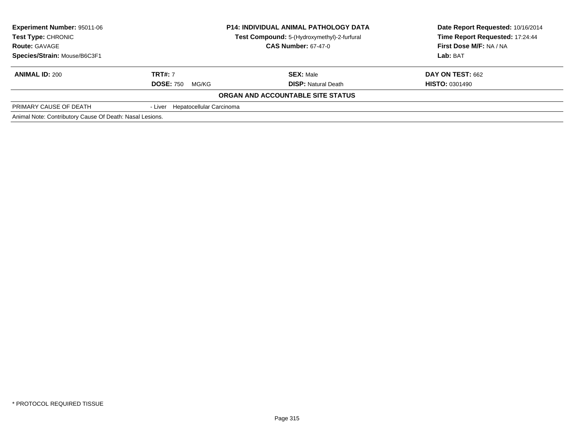| Experiment Number: 95011-06<br><b>Test Type: CHRONIC</b><br><b>Route: GAVAGE</b> | <b>P14: INDIVIDUAL ANIMAL PATHOLOGY DATA</b><br>Test Compound: 5-(Hydroxymethyl)-2-furfural<br><b>CAS Number: 67-47-0</b> |                                   | Date Report Requested: 10/16/2014<br>Time Report Requested: 17:24:44<br>First Dose M/F: NA / NA |
|----------------------------------------------------------------------------------|---------------------------------------------------------------------------------------------------------------------------|-----------------------------------|-------------------------------------------------------------------------------------------------|
| Species/Strain: Mouse/B6C3F1                                                     |                                                                                                                           |                                   | Lab: BAT                                                                                        |
| <b>ANIMAL ID: 200</b>                                                            | <b>TRT#: 7</b>                                                                                                            | <b>SEX: Male</b>                  | <b>DAY ON TEST: 662</b>                                                                         |
|                                                                                  | <b>DOSE: 750</b><br>MG/KG                                                                                                 | <b>DISP:</b> Natural Death        | <b>HISTO: 0301490</b>                                                                           |
|                                                                                  |                                                                                                                           | ORGAN AND ACCOUNTABLE SITE STATUS |                                                                                                 |
| PRIMARY CAUSE OF DEATH                                                           | - Liver Hepatocellular Carcinoma                                                                                          |                                   |                                                                                                 |
| Animal Note: Contributory Cause Of Death: Nasal Lesions.                         |                                                                                                                           |                                   |                                                                                                 |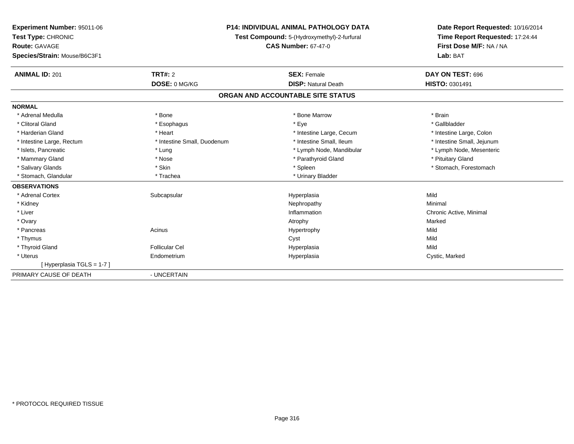| Experiment Number: 95011-06<br>Test Type: CHRONIC<br>Route: GAVAGE<br>Species/Strain: Mouse/B6C3F1<br><b>ANIMAL ID: 201</b> | TRT#: 2<br>DOSE: 0 MG/KG    | <b>P14: INDIVIDUAL ANIMAL PATHOLOGY DATA</b><br>Test Compound: 5-(Hydroxymethyl)-2-furfural<br><b>CAS Number: 67-47-0</b><br><b>SEX: Female</b><br><b>DISP: Natural Death</b> | Date Report Requested: 10/16/2014<br>Time Report Requested: 17:24:44<br>First Dose M/F: NA / NA<br>Lab: BAT<br>DAY ON TEST: 696<br>HISTO: 0301491 |
|-----------------------------------------------------------------------------------------------------------------------------|-----------------------------|-------------------------------------------------------------------------------------------------------------------------------------------------------------------------------|---------------------------------------------------------------------------------------------------------------------------------------------------|
|                                                                                                                             |                             | ORGAN AND ACCOUNTABLE SITE STATUS                                                                                                                                             |                                                                                                                                                   |
| <b>NORMAL</b>                                                                                                               |                             |                                                                                                                                                                               |                                                                                                                                                   |
| * Adrenal Medulla                                                                                                           | * Bone                      | * Bone Marrow                                                                                                                                                                 | * Brain                                                                                                                                           |
| * Clitoral Gland                                                                                                            | * Esophagus                 | * Eye                                                                                                                                                                         | * Gallbladder                                                                                                                                     |
| * Harderian Gland                                                                                                           | * Heart                     | * Intestine Large, Cecum                                                                                                                                                      | * Intestine Large, Colon                                                                                                                          |
| * Intestine Large, Rectum                                                                                                   | * Intestine Small, Duodenum | * Intestine Small, Ileum                                                                                                                                                      | * Intestine Small, Jejunum                                                                                                                        |
| * Islets, Pancreatic                                                                                                        | * Lung                      | * Lymph Node, Mandibular                                                                                                                                                      | * Lymph Node, Mesenteric                                                                                                                          |
| * Mammary Gland                                                                                                             | * Nose                      | * Parathyroid Gland                                                                                                                                                           | * Pituitary Gland                                                                                                                                 |
| * Salivary Glands                                                                                                           | * Skin                      | * Spleen                                                                                                                                                                      | * Stomach, Forestomach                                                                                                                            |
| * Stomach, Glandular                                                                                                        | * Trachea                   | * Urinary Bladder                                                                                                                                                             |                                                                                                                                                   |
| <b>OBSERVATIONS</b>                                                                                                         |                             |                                                                                                                                                                               |                                                                                                                                                   |
| * Adrenal Cortex                                                                                                            | Subcapsular                 | Hyperplasia                                                                                                                                                                   | Mild                                                                                                                                              |
| * Kidney                                                                                                                    |                             | Nephropathy                                                                                                                                                                   | Minimal                                                                                                                                           |
| * Liver                                                                                                                     |                             | Inflammation                                                                                                                                                                  | Chronic Active, Minimal                                                                                                                           |
| * Ovary                                                                                                                     |                             | Atrophy                                                                                                                                                                       | Marked                                                                                                                                            |
| * Pancreas                                                                                                                  | Acinus                      | Hypertrophy                                                                                                                                                                   | Mild                                                                                                                                              |
| * Thymus                                                                                                                    |                             | Cyst                                                                                                                                                                          | Mild                                                                                                                                              |
| * Thyroid Gland                                                                                                             | <b>Follicular Cel</b>       | Hyperplasia                                                                                                                                                                   | Mild                                                                                                                                              |
| * Uterus                                                                                                                    | Endometrium                 | Hyperplasia                                                                                                                                                                   | Cystic, Marked                                                                                                                                    |
| [Hyperplasia TGLS = 1-7]                                                                                                    |                             |                                                                                                                                                                               |                                                                                                                                                   |
| PRIMARY CAUSE OF DEATH                                                                                                      | - UNCERTAIN                 |                                                                                                                                                                               |                                                                                                                                                   |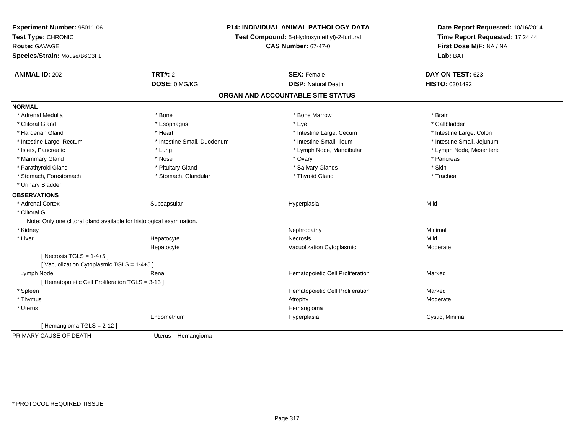| Experiment Number: 95011-06<br>Test Type: CHRONIC<br><b>Route: GAVAGE</b><br>Species/Strain: Mouse/B6C3F1 |                             | P14: INDIVIDUAL ANIMAL PATHOLOGY DATA<br>Test Compound: 5-(Hydroxymethyl)-2-furfural<br><b>CAS Number: 67-47-0</b> | Date Report Requested: 10/16/2014<br>Time Report Requested: 17:24:44<br>First Dose M/F: NA / NA<br>Lab: BAT |
|-----------------------------------------------------------------------------------------------------------|-----------------------------|--------------------------------------------------------------------------------------------------------------------|-------------------------------------------------------------------------------------------------------------|
| <b>ANIMAL ID: 202</b>                                                                                     | <b>TRT#: 2</b>              | <b>SEX: Female</b>                                                                                                 | DAY ON TEST: 623                                                                                            |
|                                                                                                           | DOSE: 0 MG/KG               | <b>DISP: Natural Death</b>                                                                                         | HISTO: 0301492                                                                                              |
|                                                                                                           |                             | ORGAN AND ACCOUNTABLE SITE STATUS                                                                                  |                                                                                                             |
| <b>NORMAL</b>                                                                                             |                             |                                                                                                                    |                                                                                                             |
| * Adrenal Medulla                                                                                         | * Bone                      | * Bone Marrow                                                                                                      | * Brain                                                                                                     |
| * Clitoral Gland                                                                                          | * Esophagus                 | * Eye                                                                                                              | * Gallbladder                                                                                               |
| * Harderian Gland                                                                                         | * Heart                     | * Intestine Large, Cecum                                                                                           | * Intestine Large, Colon                                                                                    |
| * Intestine Large, Rectum                                                                                 | * Intestine Small, Duodenum | * Intestine Small, Ileum                                                                                           | * Intestine Small, Jejunum                                                                                  |
| * Islets, Pancreatic                                                                                      | * Lung                      | * Lymph Node, Mandibular                                                                                           | * Lymph Node, Mesenteric                                                                                    |
| * Mammary Gland                                                                                           | * Nose                      | * Ovary                                                                                                            | * Pancreas                                                                                                  |
| * Parathyroid Gland                                                                                       | * Pituitary Gland           | * Salivary Glands                                                                                                  | * Skin                                                                                                      |
| * Stomach, Forestomach                                                                                    | * Stomach, Glandular        | * Thyroid Gland                                                                                                    | * Trachea                                                                                                   |
| * Urinary Bladder                                                                                         |                             |                                                                                                                    |                                                                                                             |
| <b>OBSERVATIONS</b>                                                                                       |                             |                                                                                                                    |                                                                                                             |
| * Adrenal Cortex                                                                                          | Subcapsular                 | Hyperplasia                                                                                                        | Mild                                                                                                        |
| * Clitoral GI                                                                                             |                             |                                                                                                                    |                                                                                                             |
| Note: Only one clitoral gland available for histological examination.                                     |                             |                                                                                                                    |                                                                                                             |
| * Kidney                                                                                                  |                             | Nephropathy                                                                                                        | Minimal                                                                                                     |
| * Liver                                                                                                   | Hepatocyte                  | Necrosis                                                                                                           | Mild                                                                                                        |
|                                                                                                           | Hepatocyte                  | Vacuolization Cytoplasmic                                                                                          | Moderate                                                                                                    |
| [Necrosis TGLS = $1-4+5$ ]                                                                                |                             |                                                                                                                    |                                                                                                             |
| [Vacuolization Cytoplasmic TGLS = 1-4+5]                                                                  |                             |                                                                                                                    |                                                                                                             |
| Lymph Node                                                                                                | Renal                       | Hematopoietic Cell Proliferation                                                                                   | Marked                                                                                                      |
| [ Hematopoietic Cell Proliferation TGLS = 3-13 ]                                                          |                             |                                                                                                                    |                                                                                                             |
| * Spleen                                                                                                  |                             | Hematopoietic Cell Proliferation                                                                                   | Marked                                                                                                      |
| * Thymus                                                                                                  |                             | Atrophy                                                                                                            | Moderate                                                                                                    |
| * Uterus                                                                                                  |                             | Hemangioma                                                                                                         |                                                                                                             |
|                                                                                                           | Endometrium                 | Hyperplasia                                                                                                        | Cystic, Minimal                                                                                             |
| [Hemangioma TGLS = 2-12]                                                                                  |                             |                                                                                                                    |                                                                                                             |
| PRIMARY CAUSE OF DEATH                                                                                    | - Uterus Hemangioma         |                                                                                                                    |                                                                                                             |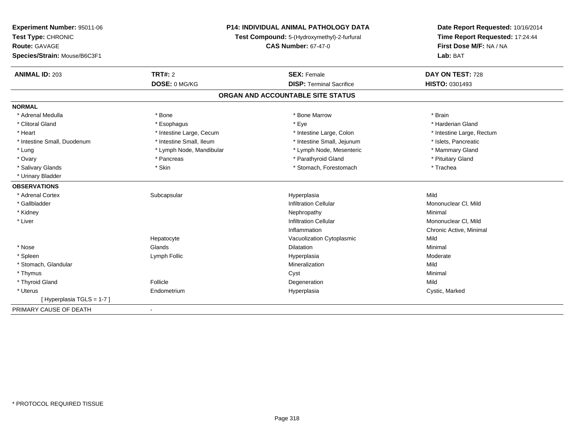| Experiment Number: 95011-06              | <b>P14: INDIVIDUAL ANIMAL PATHOLOGY DATA</b> |                                             | Date Report Requested: 10/16/2014 |
|------------------------------------------|----------------------------------------------|---------------------------------------------|-----------------------------------|
| Test Type: CHRONIC                       |                                              | Test Compound: 5-(Hydroxymethyl)-2-furfural | Time Report Requested: 17:24:44   |
| Route: GAVAGE                            |                                              | <b>CAS Number: 67-47-0</b>                  | First Dose M/F: NA / NA           |
| Species/Strain: Mouse/B6C3F1             |                                              |                                             | Lab: BAT                          |
| <b>TRT#: 2</b><br><b>ANIMAL ID: 203</b>  |                                              | <b>SEX: Female</b>                          | DAY ON TEST: 728                  |
| DOSE: 0 MG/KG                            |                                              | <b>DISP: Terminal Sacrifice</b>             | HISTO: 0301493                    |
|                                          |                                              | ORGAN AND ACCOUNTABLE SITE STATUS           |                                   |
| <b>NORMAL</b>                            |                                              |                                             |                                   |
| * Adrenal Medulla<br>* Bone              |                                              | * Bone Marrow                               | * Brain                           |
| * Clitoral Gland<br>* Esophagus          |                                              | * Eye                                       | * Harderian Gland                 |
| * Heart                                  | * Intestine Large, Cecum                     | * Intestine Large, Colon                    | * Intestine Large, Rectum         |
| * Intestine Small, Duodenum              | * Intestine Small, Ileum                     | * Intestine Small, Jejunum                  | * Islets, Pancreatic              |
| * Lung                                   | * Lymph Node, Mandibular                     | * Lymph Node, Mesenteric                    | * Mammary Gland                   |
| * Ovary<br>* Pancreas                    |                                              | * Parathyroid Gland                         | * Pituitary Gland                 |
| * Skin<br>* Salivary Glands              |                                              | * Stomach, Forestomach                      | * Trachea                         |
| * Urinary Bladder                        |                                              |                                             |                                   |
| <b>OBSERVATIONS</b>                      |                                              |                                             |                                   |
| * Adrenal Cortex<br>Subcapsular          |                                              | Hyperplasia                                 | Mild                              |
| * Gallbladder                            |                                              | <b>Infiltration Cellular</b>                | Mononuclear CI, Mild              |
| * Kidney                                 |                                              | Nephropathy                                 | Minimal                           |
| * Liver                                  |                                              | <b>Infiltration Cellular</b>                | Mononuclear CI, Mild              |
|                                          |                                              | Inflammation                                | Chronic Active, Minimal           |
| Hepatocyte                               |                                              | Vacuolization Cytoplasmic                   | Mild                              |
| Glands<br>* Nose                         |                                              | Dilatation                                  | Minimal                           |
| * Spleen<br>Lymph Follic                 |                                              | Hyperplasia                                 | Moderate                          |
| * Stomach, Glandular                     |                                              | Mineralization                              | Mild                              |
| * Thymus                                 |                                              | Cyst                                        | Minimal                           |
| * Thyroid Gland<br>Follicle              |                                              | Degeneration                                | Mild                              |
| * Uterus<br>Endometrium                  |                                              | Hyperplasia                                 | Cystic, Marked                    |
| [Hyperplasia TGLS = 1-7]                 |                                              |                                             |                                   |
| PRIMARY CAUSE OF DEATH<br>$\blacksquare$ |                                              |                                             |                                   |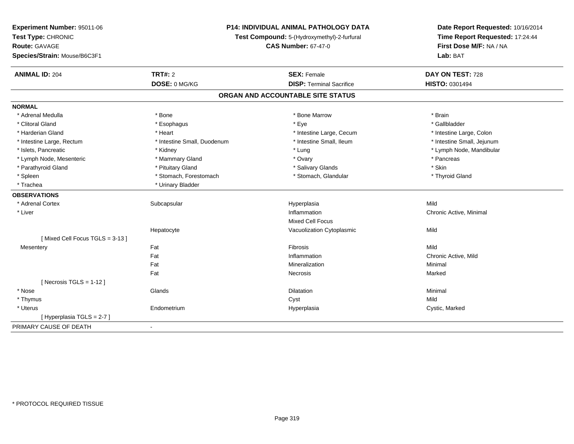| Test Type: CHRONIC<br>Test Compound: 5-(Hydroxymethyl)-2-furfural                                                  |                                                            |  |
|--------------------------------------------------------------------------------------------------------------------|------------------------------------------------------------|--|
|                                                                                                                    | Time Report Requested: 17:24:44<br>First Dose M/F: NA / NA |  |
| <b>Route: GAVAGE</b><br><b>CAS Number: 67-47-0</b>                                                                 |                                                            |  |
| Species/Strain: Mouse/B6C3F1<br>Lab: BAT                                                                           |                                                            |  |
| <b>ANIMAL ID: 204</b><br>TRT#: 2<br>DAY ON TEST: 728<br><b>SEX: Female</b>                                         |                                                            |  |
| DOSE: 0 MG/KG<br>HISTO: 0301494<br><b>DISP: Terminal Sacrifice</b>                                                 |                                                            |  |
| ORGAN AND ACCOUNTABLE SITE STATUS                                                                                  |                                                            |  |
| <b>NORMAL</b>                                                                                                      |                                                            |  |
| * Bone Marrow<br>* Adrenal Medulla<br>* Bone<br>* Brain                                                            |                                                            |  |
| * Eye<br>* Gallbladder<br>* Clitoral Gland<br>* Esophagus                                                          |                                                            |  |
| * Harderian Gland<br>* Heart<br>* Intestine Large, Cecum<br>* Intestine Large, Colon                               |                                                            |  |
| * Intestine Small, Jejunum<br>* Intestine Large, Rectum<br>* Intestine Small, Duodenum<br>* Intestine Small, Ileum |                                                            |  |
| * Islets, Pancreatic<br>* Kidney<br>* Lung<br>* Lymph Node, Mandibular                                             |                                                            |  |
| * Lymph Node, Mesenteric<br>* Mammary Gland<br>* Ovary<br>* Pancreas                                               |                                                            |  |
| * Skin<br>* Parathyroid Gland<br>* Pituitary Gland<br>* Salivary Glands                                            |                                                            |  |
| * Stomach, Forestomach<br>* Stomach, Glandular<br>* Thyroid Gland<br>* Spleen                                      |                                                            |  |
| * Urinary Bladder<br>* Trachea                                                                                     |                                                            |  |
| <b>OBSERVATIONS</b>                                                                                                |                                                            |  |
| * Adrenal Cortex<br>Subcapsular<br>Hyperplasia<br>Mild                                                             |                                                            |  |
| * Liver<br>Inflammation<br>Chronic Active, Minimal                                                                 |                                                            |  |
| <b>Mixed Cell Focus</b>                                                                                            |                                                            |  |
| Mild<br>Hepatocyte<br>Vacuolization Cytoplasmic                                                                    |                                                            |  |
| [Mixed Cell Focus TGLS = 3-13]                                                                                     |                                                            |  |
| Fat<br>Fibrosis<br>Mild<br>Mesentery                                                                               |                                                            |  |
| Fat<br>Inflammation<br>Chronic Active, Mild                                                                        |                                                            |  |
| Fat<br>Mineralization<br>Minimal                                                                                   |                                                            |  |
| Fat<br>Marked<br>Necrosis                                                                                          |                                                            |  |
| [ Necrosis TGLS = $1-12$ ]                                                                                         |                                                            |  |
| * Nose<br>Glands<br>Minimal<br>Dilatation                                                                          |                                                            |  |
| * Thymus<br>Mild<br>Cyst                                                                                           |                                                            |  |
| * Uterus<br>Endometrium<br>Cystic, Marked<br>Hyperplasia                                                           |                                                            |  |
| [Hyperplasia TGLS = 2-7]                                                                                           |                                                            |  |
| PRIMARY CAUSE OF DEATH<br>$\blacksquare$                                                                           |                                                            |  |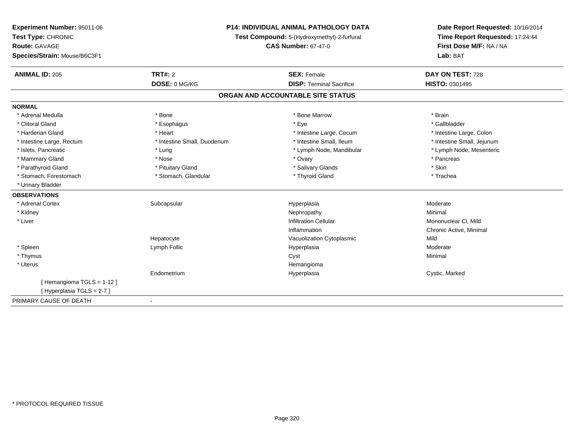| Experiment Number: 95011-06<br>Test Type: CHRONIC    | <b>P14: INDIVIDUAL ANIMAL PATHOLOGY DATA</b><br>Test Compound: 5-(Hydroxymethyl)-2-furfural |                                   | Date Report Requested: 10/16/2014<br>Time Report Requested: 17:24:44 |  |
|------------------------------------------------------|---------------------------------------------------------------------------------------------|-----------------------------------|----------------------------------------------------------------------|--|
| <b>Route: GAVAGE</b><br>Species/Strain: Mouse/B6C3F1 |                                                                                             | <b>CAS Number: 67-47-0</b>        | First Dose M/F: NA / NA<br>Lab: BAT                                  |  |
| <b>ANIMAL ID: 205</b>                                | <b>TRT#: 2</b>                                                                              | <b>SEX: Female</b>                | DAY ON TEST: 728                                                     |  |
|                                                      | DOSE: 0 MG/KG                                                                               | <b>DISP: Terminal Sacrifice</b>   | HISTO: 0301495                                                       |  |
|                                                      |                                                                                             | ORGAN AND ACCOUNTABLE SITE STATUS |                                                                      |  |
| <b>NORMAL</b>                                        |                                                                                             |                                   |                                                                      |  |
| * Adrenal Medulla                                    | * Bone                                                                                      | * Bone Marrow                     | * Brain                                                              |  |
| * Clitoral Gland                                     | * Esophagus                                                                                 | * Eye                             | * Gallbladder                                                        |  |
| * Harderian Gland                                    | * Heart                                                                                     | * Intestine Large, Cecum          | * Intestine Large, Colon                                             |  |
| * Intestine Large, Rectum                            | * Intestine Small, Duodenum                                                                 | * Intestine Small, Ileum          | * Intestine Small, Jejunum                                           |  |
| * Islets, Pancreatic                                 | * Lung                                                                                      | * Lymph Node, Mandibular          | * Lymph Node, Mesenteric                                             |  |
| * Mammary Gland                                      | * Nose                                                                                      | * Ovary                           | * Pancreas                                                           |  |
| * Parathyroid Gland                                  | * Pituitary Gland                                                                           | * Salivary Glands                 | * Skin                                                               |  |
| * Stomach, Forestomach                               | * Stomach, Glandular                                                                        | * Thyroid Gland                   | * Trachea                                                            |  |
| * Urinary Bladder                                    |                                                                                             |                                   |                                                                      |  |
| <b>OBSERVATIONS</b>                                  |                                                                                             |                                   |                                                                      |  |
| * Adrenal Cortex                                     | Subcapsular                                                                                 | Hyperplasia                       | Moderate                                                             |  |
| * Kidney                                             |                                                                                             | Nephropathy                       | Minimal                                                              |  |
| * Liver                                              |                                                                                             | <b>Infiltration Cellular</b>      | Mononuclear CI, Mild                                                 |  |
|                                                      |                                                                                             | Inflammation                      | Chronic Active, Minimal                                              |  |
|                                                      | Hepatocyte                                                                                  | Vacuolization Cytoplasmic         | Mild                                                                 |  |
| * Spleen                                             | Lymph Follic                                                                                | Hyperplasia                       | Moderate                                                             |  |
| * Thymus                                             |                                                                                             | Cyst                              | Minimal                                                              |  |
| * Uterus                                             |                                                                                             | Hemangioma                        |                                                                      |  |
|                                                      | Endometrium                                                                                 | Hyperplasia                       | Cystic, Marked                                                       |  |
| [Hemangioma TGLS = 1-12]                             |                                                                                             |                                   |                                                                      |  |
| [Hyperplasia TGLS = 2-7]                             |                                                                                             |                                   |                                                                      |  |
| PRIMARY CAUSE OF DEATH                               |                                                                                             |                                   |                                                                      |  |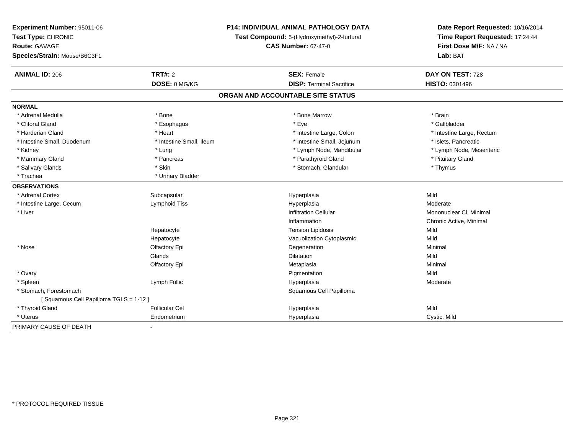| Experiment Number: 95011-06           | <b>P14: INDIVIDUAL ANIMAL PATHOLOGY DATA</b><br>Test Compound: 5-(Hydroxymethyl)-2-furfural |                                   | Date Report Requested: 10/16/2014<br>Time Report Requested: 17:24:44 |  |
|---------------------------------------|---------------------------------------------------------------------------------------------|-----------------------------------|----------------------------------------------------------------------|--|
| Test Type: CHRONIC                    |                                                                                             |                                   |                                                                      |  |
| <b>Route: GAVAGE</b>                  |                                                                                             | <b>CAS Number: 67-47-0</b>        | First Dose M/F: NA / NA                                              |  |
| Species/Strain: Mouse/B6C3F1          |                                                                                             |                                   | Lab: BAT                                                             |  |
| <b>ANIMAL ID: 206</b>                 | <b>TRT#: 2</b>                                                                              | <b>SEX: Female</b>                | DAY ON TEST: 728                                                     |  |
|                                       | DOSE: 0 MG/KG                                                                               | <b>DISP: Terminal Sacrifice</b>   | HISTO: 0301496                                                       |  |
|                                       |                                                                                             | ORGAN AND ACCOUNTABLE SITE STATUS |                                                                      |  |
| <b>NORMAL</b>                         |                                                                                             |                                   |                                                                      |  |
| * Adrenal Medulla                     | * Bone                                                                                      | * Bone Marrow                     | * Brain                                                              |  |
| * Clitoral Gland                      | * Esophagus                                                                                 | * Eye                             | * Gallbladder                                                        |  |
| * Harderian Gland                     | * Heart                                                                                     | * Intestine Large, Colon          | * Intestine Large, Rectum                                            |  |
| * Intestine Small, Duodenum           | * Intestine Small, Ileum                                                                    | * Intestine Small, Jejunum        | * Islets, Pancreatic                                                 |  |
| * Kidney                              | * Lung                                                                                      | * Lymph Node, Mandibular          | * Lymph Node, Mesenteric                                             |  |
| * Mammary Gland                       | * Pancreas                                                                                  | * Parathyroid Gland               | * Pituitary Gland                                                    |  |
| * Salivary Glands                     | * Skin                                                                                      | * Stomach, Glandular              | * Thymus                                                             |  |
| * Trachea                             | * Urinary Bladder                                                                           |                                   |                                                                      |  |
| <b>OBSERVATIONS</b>                   |                                                                                             |                                   |                                                                      |  |
| * Adrenal Cortex                      | Subcapsular                                                                                 | Hyperplasia                       | Mild                                                                 |  |
| * Intestine Large, Cecum              | Lymphoid Tiss                                                                               | Hyperplasia                       | Moderate                                                             |  |
| * Liver                               |                                                                                             | <b>Infiltration Cellular</b>      | Mononuclear CI, Minimal                                              |  |
|                                       |                                                                                             | Inflammation                      | Chronic Active, Minimal                                              |  |
|                                       | Hepatocyte                                                                                  | <b>Tension Lipidosis</b>          | Mild                                                                 |  |
|                                       | Hepatocyte                                                                                  | Vacuolization Cytoplasmic         | Mild                                                                 |  |
| * Nose                                | Olfactory Epi                                                                               | Degeneration                      | Minimal                                                              |  |
|                                       | Glands                                                                                      | Dilatation                        | Mild                                                                 |  |
|                                       | Olfactory Epi                                                                               | Metaplasia                        | Minimal                                                              |  |
| * Ovary                               |                                                                                             | Pigmentation                      | Mild                                                                 |  |
| * Spleen                              | Lymph Follic                                                                                | Hyperplasia                       | Moderate                                                             |  |
| * Stomach, Forestomach                |                                                                                             | Squamous Cell Papilloma           |                                                                      |  |
| [Squamous Cell Papilloma TGLS = 1-12] |                                                                                             |                                   |                                                                      |  |
| * Thyroid Gland                       | <b>Follicular Cel</b>                                                                       | Hyperplasia                       | Mild                                                                 |  |
| * Uterus                              | Endometrium                                                                                 | Hyperplasia                       | Cystic, Mild                                                         |  |
| PRIMARY CAUSE OF DEATH                | $\sim$                                                                                      |                                   |                                                                      |  |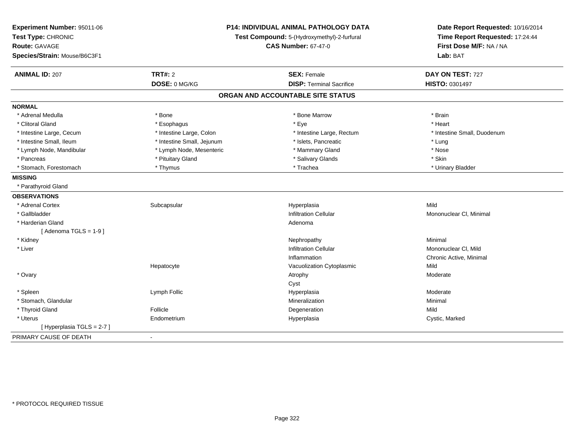| Experiment Number: 95011-06<br>Test Type: CHRONIC<br>Route: GAVAGE<br>Species/Strain: Mouse/B6C3F1 |                            | P14: INDIVIDUAL ANIMAL PATHOLOGY DATA<br>Test Compound: 5-(Hydroxymethyl)-2-furfural<br><b>CAS Number: 67-47-0</b> | Date Report Requested: 10/16/2014<br>Time Report Requested: 17:24:44<br>First Dose M/F: NA / NA<br>Lab: BAT |  |
|----------------------------------------------------------------------------------------------------|----------------------------|--------------------------------------------------------------------------------------------------------------------|-------------------------------------------------------------------------------------------------------------|--|
| <b>ANIMAL ID: 207</b>                                                                              | TRT#: 2<br>DOSE: 0 MG/KG   | <b>SEX: Female</b><br><b>DISP: Terminal Sacrifice</b>                                                              | DAY ON TEST: 727<br>HISTO: 0301497                                                                          |  |
|                                                                                                    |                            |                                                                                                                    |                                                                                                             |  |
|                                                                                                    |                            | ORGAN AND ACCOUNTABLE SITE STATUS                                                                                  |                                                                                                             |  |
| <b>NORMAL</b>                                                                                      |                            |                                                                                                                    |                                                                                                             |  |
| * Adrenal Medulla                                                                                  | * Bone                     | * Bone Marrow                                                                                                      | * Brain                                                                                                     |  |
| * Clitoral Gland                                                                                   | * Esophagus                | * Eye                                                                                                              | * Heart                                                                                                     |  |
| * Intestine Large, Cecum                                                                           | * Intestine Large, Colon   | * Intestine Large, Rectum                                                                                          | * Intestine Small, Duodenum                                                                                 |  |
| * Intestine Small, Ileum                                                                           | * Intestine Small, Jejunum | * Islets, Pancreatic                                                                                               | * Lung                                                                                                      |  |
| * Lymph Node, Mandibular                                                                           | * Lymph Node, Mesenteric   | * Mammary Gland                                                                                                    | * Nose                                                                                                      |  |
| * Pancreas                                                                                         | * Pituitary Gland          | * Salivary Glands                                                                                                  | * Skin                                                                                                      |  |
| * Stomach, Forestomach                                                                             | * Thymus                   | * Trachea                                                                                                          | * Urinary Bladder                                                                                           |  |
| <b>MISSING</b>                                                                                     |                            |                                                                                                                    |                                                                                                             |  |
| * Parathyroid Gland                                                                                |                            |                                                                                                                    |                                                                                                             |  |
| <b>OBSERVATIONS</b>                                                                                |                            |                                                                                                                    |                                                                                                             |  |
| * Adrenal Cortex                                                                                   | Subcapsular                | Hyperplasia                                                                                                        | Mild                                                                                                        |  |
| * Gallbladder                                                                                      |                            | <b>Infiltration Cellular</b>                                                                                       | Mononuclear CI, Minimal                                                                                     |  |
| * Harderian Gland                                                                                  |                            | Adenoma                                                                                                            |                                                                                                             |  |
| [Adenoma TGLS = $1-9$ ]                                                                            |                            |                                                                                                                    |                                                                                                             |  |
| * Kidney                                                                                           |                            | Nephropathy                                                                                                        | Minimal                                                                                                     |  |
| * Liver                                                                                            |                            | <b>Infiltration Cellular</b>                                                                                       | Mononuclear CI, Mild                                                                                        |  |
|                                                                                                    |                            | Inflammation                                                                                                       | Chronic Active, Minimal                                                                                     |  |
|                                                                                                    | Hepatocyte                 | Vacuolization Cytoplasmic                                                                                          | Mild                                                                                                        |  |
| * Ovary                                                                                            |                            | Atrophy                                                                                                            | Moderate                                                                                                    |  |
|                                                                                                    |                            | Cyst                                                                                                               |                                                                                                             |  |
| * Spleen                                                                                           | Lymph Follic               | Hyperplasia                                                                                                        | Moderate                                                                                                    |  |
| * Stomach, Glandular                                                                               |                            | Mineralization                                                                                                     | Minimal                                                                                                     |  |
| * Thyroid Gland                                                                                    | Follicle                   | Degeneration                                                                                                       | Mild                                                                                                        |  |
| * Uterus                                                                                           | Endometrium                | Hyperplasia                                                                                                        | Cystic, Marked                                                                                              |  |
| [ Hyperplasia TGLS = 2-7 ]                                                                         |                            |                                                                                                                    |                                                                                                             |  |
| PRIMARY CAUSE OF DEATH                                                                             | $\blacksquare$             |                                                                                                                    |                                                                                                             |  |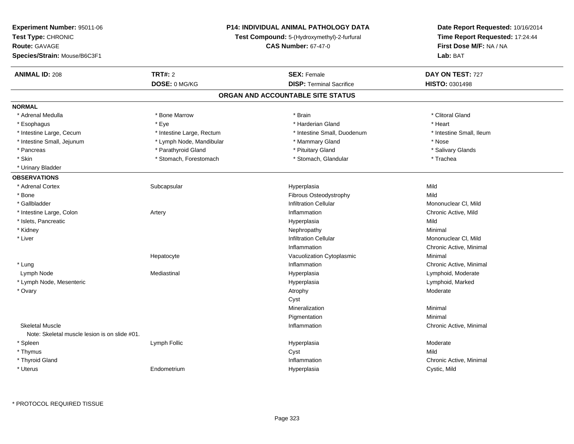| Time Report Requested: 17:24:44<br>Test Type: CHRONIC<br>Test Compound: 5-(Hydroxymethyl)-2-furfural<br><b>CAS Number: 67-47-0</b><br>First Dose M/F: NA / NA<br><b>Route: GAVAGE</b><br>Species/Strain: Mouse/B6C3F1<br>Lab: BAT<br><b>TRT#: 2</b><br><b>ANIMAL ID: 208</b><br><b>SEX: Female</b><br>DAY ON TEST: 727<br>DOSE: 0 MG/KG<br><b>DISP: Terminal Sacrifice</b><br><b>HISTO: 0301498</b><br>ORGAN AND ACCOUNTABLE SITE STATUS<br><b>NORMAL</b><br>* Bone Marrow<br>* Brain<br>* Clitoral Gland<br>* Adrenal Medulla<br>* Heart<br>* Eye<br>* Harderian Gland<br>* Esophagus<br>* Intestine Small, Duodenum<br>* Intestine Small, Ileum<br>* Intestine Large, Cecum<br>* Intestine Large, Rectum<br>* Intestine Small, Jejunum<br>* Lymph Node, Mandibular<br>* Mammary Gland<br>* Nose<br>* Parathyroid Gland<br>* Pituitary Gland<br>* Salivary Glands<br>* Pancreas<br>* Skin<br>* Stomach, Forestomach<br>* Stomach, Glandular<br>* Trachea<br>* Urinary Bladder<br><b>OBSERVATIONS</b><br>* Adrenal Cortex<br>Subcapsular<br>Mild<br>Hyperplasia<br>Fibrous Osteodystrophy<br>Mild<br>* Bone<br>* Gallbladder<br><b>Infiltration Cellular</b><br>Mononuclear CI, Mild<br>* Intestine Large, Colon<br>Inflammation<br>Chronic Active, Mild<br>Artery<br>* Islets, Pancreatic<br>Mild<br>Hyperplasia<br>* Kidney<br>Minimal<br>Nephropathy<br>* Liver<br><b>Infiltration Cellular</b><br>Mononuclear CI, Mild<br>Chronic Active, Minimal<br>Inflammation<br>Minimal<br>Hepatocyte<br>Vacuolization Cytoplasmic<br>* Lung<br>Inflammation<br>Chronic Active, Minimal<br>Lymph Node<br>Mediastinal<br>Hyperplasia<br>Lymphoid, Moderate<br>* Lymph Node, Mesenteric<br>Hyperplasia<br>Lymphoid, Marked<br>* Ovary<br>Moderate<br>Atrophy<br>Cyst<br>Minimal<br>Mineralization<br>Minimal<br>Pigmentation<br><b>Skeletal Muscle</b><br>Inflammation<br>Chronic Active, Minimal<br>Note: Skeletal muscle lesion is on slide #01.<br>* Spleen<br>Moderate<br>Lymph Follic<br>Hyperplasia<br>Mild<br>* Thymus<br>Cyst<br>* Thyroid Gland<br>Inflammation<br>Chronic Active, Minimal<br>* Uterus<br>Endometrium<br>Hyperplasia<br>Cystic, Mild | Experiment Number: 95011-06 | <b>P14: INDIVIDUAL ANIMAL PATHOLOGY DATA</b> | Date Report Requested: 10/16/2014 |
|------------------------------------------------------------------------------------------------------------------------------------------------------------------------------------------------------------------------------------------------------------------------------------------------------------------------------------------------------------------------------------------------------------------------------------------------------------------------------------------------------------------------------------------------------------------------------------------------------------------------------------------------------------------------------------------------------------------------------------------------------------------------------------------------------------------------------------------------------------------------------------------------------------------------------------------------------------------------------------------------------------------------------------------------------------------------------------------------------------------------------------------------------------------------------------------------------------------------------------------------------------------------------------------------------------------------------------------------------------------------------------------------------------------------------------------------------------------------------------------------------------------------------------------------------------------------------------------------------------------------------------------------------------------------------------------------------------------------------------------------------------------------------------------------------------------------------------------------------------------------------------------------------------------------------------------------------------------------------------------------------------------------------------------------------------------------------------------------------------------------------------------------------|-----------------------------|----------------------------------------------|-----------------------------------|
|                                                                                                                                                                                                                                                                                                                                                                                                                                                                                                                                                                                                                                                                                                                                                                                                                                                                                                                                                                                                                                                                                                                                                                                                                                                                                                                                                                                                                                                                                                                                                                                                                                                                                                                                                                                                                                                                                                                                                                                                                                                                                                                                                      |                             |                                              |                                   |
|                                                                                                                                                                                                                                                                                                                                                                                                                                                                                                                                                                                                                                                                                                                                                                                                                                                                                                                                                                                                                                                                                                                                                                                                                                                                                                                                                                                                                                                                                                                                                                                                                                                                                                                                                                                                                                                                                                                                                                                                                                                                                                                                                      |                             |                                              |                                   |
|                                                                                                                                                                                                                                                                                                                                                                                                                                                                                                                                                                                                                                                                                                                                                                                                                                                                                                                                                                                                                                                                                                                                                                                                                                                                                                                                                                                                                                                                                                                                                                                                                                                                                                                                                                                                                                                                                                                                                                                                                                                                                                                                                      |                             |                                              |                                   |
|                                                                                                                                                                                                                                                                                                                                                                                                                                                                                                                                                                                                                                                                                                                                                                                                                                                                                                                                                                                                                                                                                                                                                                                                                                                                                                                                                                                                                                                                                                                                                                                                                                                                                                                                                                                                                                                                                                                                                                                                                                                                                                                                                      |                             |                                              |                                   |
|                                                                                                                                                                                                                                                                                                                                                                                                                                                                                                                                                                                                                                                                                                                                                                                                                                                                                                                                                                                                                                                                                                                                                                                                                                                                                                                                                                                                                                                                                                                                                                                                                                                                                                                                                                                                                                                                                                                                                                                                                                                                                                                                                      |                             |                                              |                                   |
|                                                                                                                                                                                                                                                                                                                                                                                                                                                                                                                                                                                                                                                                                                                                                                                                                                                                                                                                                                                                                                                                                                                                                                                                                                                                                                                                                                                                                                                                                                                                                                                                                                                                                                                                                                                                                                                                                                                                                                                                                                                                                                                                                      |                             |                                              |                                   |
|                                                                                                                                                                                                                                                                                                                                                                                                                                                                                                                                                                                                                                                                                                                                                                                                                                                                                                                                                                                                                                                                                                                                                                                                                                                                                                                                                                                                                                                                                                                                                                                                                                                                                                                                                                                                                                                                                                                                                                                                                                                                                                                                                      |                             |                                              |                                   |
|                                                                                                                                                                                                                                                                                                                                                                                                                                                                                                                                                                                                                                                                                                                                                                                                                                                                                                                                                                                                                                                                                                                                                                                                                                                                                                                                                                                                                                                                                                                                                                                                                                                                                                                                                                                                                                                                                                                                                                                                                                                                                                                                                      |                             |                                              |                                   |
|                                                                                                                                                                                                                                                                                                                                                                                                                                                                                                                                                                                                                                                                                                                                                                                                                                                                                                                                                                                                                                                                                                                                                                                                                                                                                                                                                                                                                                                                                                                                                                                                                                                                                                                                                                                                                                                                                                                                                                                                                                                                                                                                                      |                             |                                              |                                   |
|                                                                                                                                                                                                                                                                                                                                                                                                                                                                                                                                                                                                                                                                                                                                                                                                                                                                                                                                                                                                                                                                                                                                                                                                                                                                                                                                                                                                                                                                                                                                                                                                                                                                                                                                                                                                                                                                                                                                                                                                                                                                                                                                                      |                             |                                              |                                   |
|                                                                                                                                                                                                                                                                                                                                                                                                                                                                                                                                                                                                                                                                                                                                                                                                                                                                                                                                                                                                                                                                                                                                                                                                                                                                                                                                                                                                                                                                                                                                                                                                                                                                                                                                                                                                                                                                                                                                                                                                                                                                                                                                                      |                             |                                              |                                   |
|                                                                                                                                                                                                                                                                                                                                                                                                                                                                                                                                                                                                                                                                                                                                                                                                                                                                                                                                                                                                                                                                                                                                                                                                                                                                                                                                                                                                                                                                                                                                                                                                                                                                                                                                                                                                                                                                                                                                                                                                                                                                                                                                                      |                             |                                              |                                   |
|                                                                                                                                                                                                                                                                                                                                                                                                                                                                                                                                                                                                                                                                                                                                                                                                                                                                                                                                                                                                                                                                                                                                                                                                                                                                                                                                                                                                                                                                                                                                                                                                                                                                                                                                                                                                                                                                                                                                                                                                                                                                                                                                                      |                             |                                              |                                   |
|                                                                                                                                                                                                                                                                                                                                                                                                                                                                                                                                                                                                                                                                                                                                                                                                                                                                                                                                                                                                                                                                                                                                                                                                                                                                                                                                                                                                                                                                                                                                                                                                                                                                                                                                                                                                                                                                                                                                                                                                                                                                                                                                                      |                             |                                              |                                   |
|                                                                                                                                                                                                                                                                                                                                                                                                                                                                                                                                                                                                                                                                                                                                                                                                                                                                                                                                                                                                                                                                                                                                                                                                                                                                                                                                                                                                                                                                                                                                                                                                                                                                                                                                                                                                                                                                                                                                                                                                                                                                                                                                                      |                             |                                              |                                   |
|                                                                                                                                                                                                                                                                                                                                                                                                                                                                                                                                                                                                                                                                                                                                                                                                                                                                                                                                                                                                                                                                                                                                                                                                                                                                                                                                                                                                                                                                                                                                                                                                                                                                                                                                                                                                                                                                                                                                                                                                                                                                                                                                                      |                             |                                              |                                   |
|                                                                                                                                                                                                                                                                                                                                                                                                                                                                                                                                                                                                                                                                                                                                                                                                                                                                                                                                                                                                                                                                                                                                                                                                                                                                                                                                                                                                                                                                                                                                                                                                                                                                                                                                                                                                                                                                                                                                                                                                                                                                                                                                                      |                             |                                              |                                   |
|                                                                                                                                                                                                                                                                                                                                                                                                                                                                                                                                                                                                                                                                                                                                                                                                                                                                                                                                                                                                                                                                                                                                                                                                                                                                                                                                                                                                                                                                                                                                                                                                                                                                                                                                                                                                                                                                                                                                                                                                                                                                                                                                                      |                             |                                              |                                   |
|                                                                                                                                                                                                                                                                                                                                                                                                                                                                                                                                                                                                                                                                                                                                                                                                                                                                                                                                                                                                                                                                                                                                                                                                                                                                                                                                                                                                                                                                                                                                                                                                                                                                                                                                                                                                                                                                                                                                                                                                                                                                                                                                                      |                             |                                              |                                   |
|                                                                                                                                                                                                                                                                                                                                                                                                                                                                                                                                                                                                                                                                                                                                                                                                                                                                                                                                                                                                                                                                                                                                                                                                                                                                                                                                                                                                                                                                                                                                                                                                                                                                                                                                                                                                                                                                                                                                                                                                                                                                                                                                                      |                             |                                              |                                   |
|                                                                                                                                                                                                                                                                                                                                                                                                                                                                                                                                                                                                                                                                                                                                                                                                                                                                                                                                                                                                                                                                                                                                                                                                                                                                                                                                                                                                                                                                                                                                                                                                                                                                                                                                                                                                                                                                                                                                                                                                                                                                                                                                                      |                             |                                              |                                   |
|                                                                                                                                                                                                                                                                                                                                                                                                                                                                                                                                                                                                                                                                                                                                                                                                                                                                                                                                                                                                                                                                                                                                                                                                                                                                                                                                                                                                                                                                                                                                                                                                                                                                                                                                                                                                                                                                                                                                                                                                                                                                                                                                                      |                             |                                              |                                   |
|                                                                                                                                                                                                                                                                                                                                                                                                                                                                                                                                                                                                                                                                                                                                                                                                                                                                                                                                                                                                                                                                                                                                                                                                                                                                                                                                                                                                                                                                                                                                                                                                                                                                                                                                                                                                                                                                                                                                                                                                                                                                                                                                                      |                             |                                              |                                   |
|                                                                                                                                                                                                                                                                                                                                                                                                                                                                                                                                                                                                                                                                                                                                                                                                                                                                                                                                                                                                                                                                                                                                                                                                                                                                                                                                                                                                                                                                                                                                                                                                                                                                                                                                                                                                                                                                                                                                                                                                                                                                                                                                                      |                             |                                              |                                   |
|                                                                                                                                                                                                                                                                                                                                                                                                                                                                                                                                                                                                                                                                                                                                                                                                                                                                                                                                                                                                                                                                                                                                                                                                                                                                                                                                                                                                                                                                                                                                                                                                                                                                                                                                                                                                                                                                                                                                                                                                                                                                                                                                                      |                             |                                              |                                   |
|                                                                                                                                                                                                                                                                                                                                                                                                                                                                                                                                                                                                                                                                                                                                                                                                                                                                                                                                                                                                                                                                                                                                                                                                                                                                                                                                                                                                                                                                                                                                                                                                                                                                                                                                                                                                                                                                                                                                                                                                                                                                                                                                                      |                             |                                              |                                   |
|                                                                                                                                                                                                                                                                                                                                                                                                                                                                                                                                                                                                                                                                                                                                                                                                                                                                                                                                                                                                                                                                                                                                                                                                                                                                                                                                                                                                                                                                                                                                                                                                                                                                                                                                                                                                                                                                                                                                                                                                                                                                                                                                                      |                             |                                              |                                   |
|                                                                                                                                                                                                                                                                                                                                                                                                                                                                                                                                                                                                                                                                                                                                                                                                                                                                                                                                                                                                                                                                                                                                                                                                                                                                                                                                                                                                                                                                                                                                                                                                                                                                                                                                                                                                                                                                                                                                                                                                                                                                                                                                                      |                             |                                              |                                   |
|                                                                                                                                                                                                                                                                                                                                                                                                                                                                                                                                                                                                                                                                                                                                                                                                                                                                                                                                                                                                                                                                                                                                                                                                                                                                                                                                                                                                                                                                                                                                                                                                                                                                                                                                                                                                                                                                                                                                                                                                                                                                                                                                                      |                             |                                              |                                   |
|                                                                                                                                                                                                                                                                                                                                                                                                                                                                                                                                                                                                                                                                                                                                                                                                                                                                                                                                                                                                                                                                                                                                                                                                                                                                                                                                                                                                                                                                                                                                                                                                                                                                                                                                                                                                                                                                                                                                                                                                                                                                                                                                                      |                             |                                              |                                   |
|                                                                                                                                                                                                                                                                                                                                                                                                                                                                                                                                                                                                                                                                                                                                                                                                                                                                                                                                                                                                                                                                                                                                                                                                                                                                                                                                                                                                                                                                                                                                                                                                                                                                                                                                                                                                                                                                                                                                                                                                                                                                                                                                                      |                             |                                              |                                   |
|                                                                                                                                                                                                                                                                                                                                                                                                                                                                                                                                                                                                                                                                                                                                                                                                                                                                                                                                                                                                                                                                                                                                                                                                                                                                                                                                                                                                                                                                                                                                                                                                                                                                                                                                                                                                                                                                                                                                                                                                                                                                                                                                                      |                             |                                              |                                   |
|                                                                                                                                                                                                                                                                                                                                                                                                                                                                                                                                                                                                                                                                                                                                                                                                                                                                                                                                                                                                                                                                                                                                                                                                                                                                                                                                                                                                                                                                                                                                                                                                                                                                                                                                                                                                                                                                                                                                                                                                                                                                                                                                                      |                             |                                              |                                   |
|                                                                                                                                                                                                                                                                                                                                                                                                                                                                                                                                                                                                                                                                                                                                                                                                                                                                                                                                                                                                                                                                                                                                                                                                                                                                                                                                                                                                                                                                                                                                                                                                                                                                                                                                                                                                                                                                                                                                                                                                                                                                                                                                                      |                             |                                              |                                   |
|                                                                                                                                                                                                                                                                                                                                                                                                                                                                                                                                                                                                                                                                                                                                                                                                                                                                                                                                                                                                                                                                                                                                                                                                                                                                                                                                                                                                                                                                                                                                                                                                                                                                                                                                                                                                                                                                                                                                                                                                                                                                                                                                                      |                             |                                              |                                   |
|                                                                                                                                                                                                                                                                                                                                                                                                                                                                                                                                                                                                                                                                                                                                                                                                                                                                                                                                                                                                                                                                                                                                                                                                                                                                                                                                                                                                                                                                                                                                                                                                                                                                                                                                                                                                                                                                                                                                                                                                                                                                                                                                                      |                             |                                              |                                   |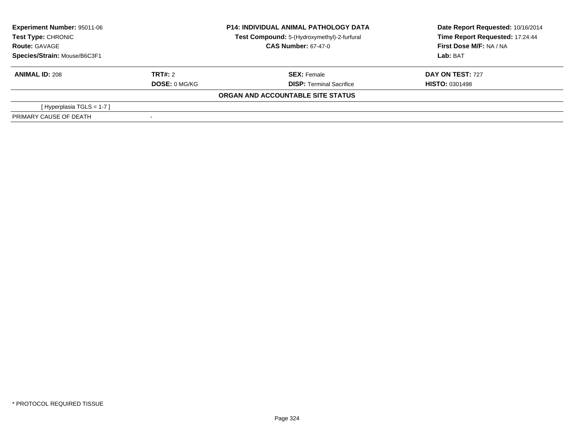| Experiment Number: 95011-06<br>Test Type: CHRONIC |                      | <b>P14: INDIVIDUAL ANIMAL PATHOLOGY DATA</b> | Date Report Requested: 10/16/2014 |
|---------------------------------------------------|----------------------|----------------------------------------------|-----------------------------------|
|                                                   |                      | Test Compound: 5-(Hydroxymethyl)-2-furfural  | Time Report Requested: 17:24:44   |
| <b>Route: GAVAGE</b>                              |                      | <b>CAS Number: 67-47-0</b>                   | First Dose M/F: NA / NA           |
| Species/Strain: Mouse/B6C3F1                      |                      |                                              | Lab: BAT                          |
| <b>ANIMAL ID: 208</b>                             | TRT#: 2              | <b>SEX: Female</b>                           | <b>DAY ON TEST: 727</b>           |
|                                                   | <b>DOSE: 0 MG/KG</b> | <b>DISP: Terminal Sacrifice</b>              | <b>HISTO: 0301498</b>             |
|                                                   |                      | ORGAN AND ACCOUNTABLE SITE STATUS            |                                   |
| [Hyperplasia TGLS = $1-7$ ]                       |                      |                                              |                                   |
| PRIMARY CAUSE OF DEATH                            |                      |                                              |                                   |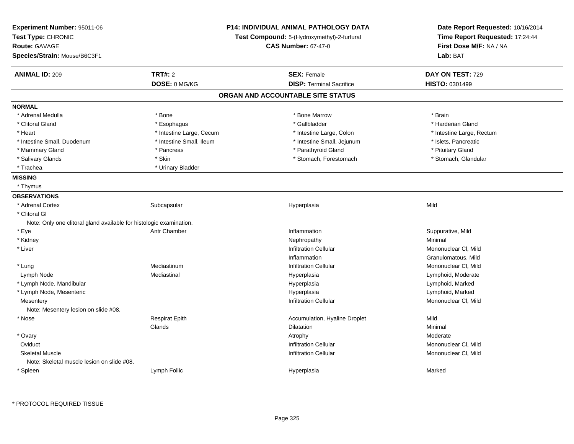| <b>Experiment Number: 95011-06</b><br>Test Type: CHRONIC<br><b>Route: GAVAGE</b><br>Species/Strain: Mouse/B6C3F1 | <b>P14: INDIVIDUAL ANIMAL PATHOLOGY DATA</b><br>Test Compound: 5-(Hydroxymethyl)-2-furfural<br><b>CAS Number: 67-47-0</b> |                                                       | Date Report Requested: 10/16/2014<br>Time Report Requested: 17:24:44<br>First Dose M/F: NA / NA<br>Lab: BAT |
|------------------------------------------------------------------------------------------------------------------|---------------------------------------------------------------------------------------------------------------------------|-------------------------------------------------------|-------------------------------------------------------------------------------------------------------------|
| <b>ANIMAL ID: 209</b>                                                                                            | <b>TRT#: 2</b><br>DOSE: 0 MG/KG                                                                                           | <b>SEX: Female</b><br><b>DISP: Terminal Sacrifice</b> | DAY ON TEST: 729<br><b>HISTO: 0301499</b>                                                                   |
|                                                                                                                  |                                                                                                                           | ORGAN AND ACCOUNTABLE SITE STATUS                     |                                                                                                             |
| <b>NORMAL</b>                                                                                                    |                                                                                                                           |                                                       |                                                                                                             |
| * Adrenal Medulla                                                                                                | * Bone                                                                                                                    | * Bone Marrow                                         | * Brain                                                                                                     |
| * Clitoral Gland                                                                                                 | * Esophagus                                                                                                               | * Gallbladder                                         | * Harderian Gland                                                                                           |
| * Heart                                                                                                          | * Intestine Large, Cecum                                                                                                  | * Intestine Large, Colon                              | * Intestine Large, Rectum                                                                                   |
| * Intestine Small, Duodenum                                                                                      | * Intestine Small, Ileum                                                                                                  | * Intestine Small, Jejunum                            | * Islets, Pancreatic                                                                                        |
| * Mammary Gland                                                                                                  | * Pancreas                                                                                                                | * Parathyroid Gland                                   | * Pituitary Gland                                                                                           |
| * Salivary Glands                                                                                                | * Skin                                                                                                                    | * Stomach, Forestomach                                | * Stomach, Glandular                                                                                        |
| * Trachea                                                                                                        | * Urinary Bladder                                                                                                         |                                                       |                                                                                                             |
| <b>MISSING</b>                                                                                                   |                                                                                                                           |                                                       |                                                                                                             |
| * Thymus                                                                                                         |                                                                                                                           |                                                       |                                                                                                             |
| <b>OBSERVATIONS</b>                                                                                              |                                                                                                                           |                                                       |                                                                                                             |
| * Adrenal Cortex                                                                                                 | Subcapsular                                                                                                               | Hyperplasia                                           | Mild                                                                                                        |
| * Clitoral GI                                                                                                    |                                                                                                                           |                                                       |                                                                                                             |
| Note: Only one clitoral gland available for histologic examination.                                              |                                                                                                                           |                                                       |                                                                                                             |
| * Eye                                                                                                            | Antr Chamber                                                                                                              | Inflammation                                          | Suppurative, Mild                                                                                           |
| * Kidney                                                                                                         |                                                                                                                           | Nephropathy                                           | Minimal                                                                                                     |
| * Liver                                                                                                          |                                                                                                                           | <b>Infiltration Cellular</b>                          | Mononuclear CI, Mild                                                                                        |
|                                                                                                                  |                                                                                                                           | Inflammation                                          | Granulomatous, Mild                                                                                         |
| * Lung                                                                                                           | Mediastinum                                                                                                               | <b>Infiltration Cellular</b>                          | Mononuclear CI, Mild                                                                                        |
| Lymph Node                                                                                                       | Mediastinal                                                                                                               | Hyperplasia                                           | Lymphoid, Moderate                                                                                          |
| * Lymph Node, Mandibular                                                                                         |                                                                                                                           | Hyperplasia                                           | Lymphoid, Marked                                                                                            |
| * Lymph Node, Mesenteric                                                                                         |                                                                                                                           | Hyperplasia                                           | Lymphoid, Marked                                                                                            |
| Mesentery<br>Note: Mesentery lesion on slide #08.                                                                |                                                                                                                           | Infiltration Cellular                                 | Mononuclear CI, Mild                                                                                        |
| * Nose                                                                                                           | <b>Respirat Epith</b>                                                                                                     | Accumulation, Hyaline Droplet                         | Mild                                                                                                        |
|                                                                                                                  | Glands                                                                                                                    | Dilatation                                            | Minimal                                                                                                     |
| * Ovary                                                                                                          |                                                                                                                           | Atrophy                                               | Moderate                                                                                                    |
| Oviduct                                                                                                          |                                                                                                                           | <b>Infiltration Cellular</b>                          | Mononuclear CI, Mild                                                                                        |
| <b>Skeletal Muscle</b>                                                                                           |                                                                                                                           | <b>Infiltration Cellular</b>                          | Mononuclear CI, Mild                                                                                        |
| Note: Skeletal muscle lesion on slide #08.                                                                       |                                                                                                                           |                                                       |                                                                                                             |
| * Spleen                                                                                                         | Lymph Follic                                                                                                              | Hyperplasia                                           | Marked                                                                                                      |

\* PROTOCOL REQUIRED TISSUE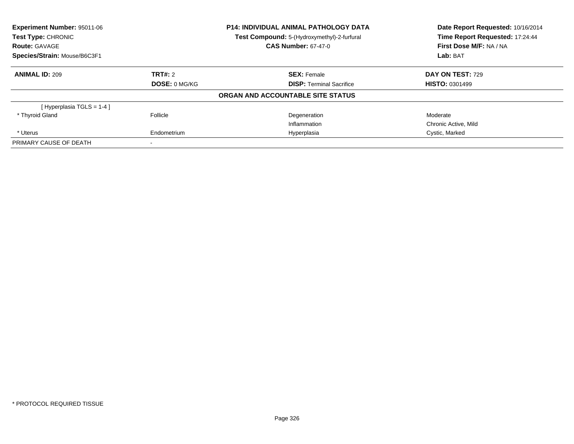| Experiment Number: 95011-06<br>Test Type: CHRONIC |                | <b>P14: INDIVIDUAL ANIMAL PATHOLOGY DATA</b> | Date Report Requested: 10/16/2014<br>Time Report Requested: 17:24:44 |  |
|---------------------------------------------------|----------------|----------------------------------------------|----------------------------------------------------------------------|--|
|                                                   |                | Test Compound: 5-(Hydroxymethyl)-2-furfural  |                                                                      |  |
| <b>Route: GAVAGE</b>                              |                | <b>CAS Number: 67-47-0</b>                   | First Dose M/F: NA / NA                                              |  |
| Species/Strain: Mouse/B6C3F1                      |                |                                              | Lab: BAT                                                             |  |
| <b>ANIMAL ID: 209</b>                             | <b>TRT#: 2</b> | <b>SEX: Female</b>                           | DAY ON TEST: 729                                                     |  |
|                                                   | DOSE: 0 MG/KG  | <b>DISP:</b> Terminal Sacrifice              | <b>HISTO: 0301499</b>                                                |  |
|                                                   |                | ORGAN AND ACCOUNTABLE SITE STATUS            |                                                                      |  |
| [Hyperplasia TGLS = $1-4$ ]                       |                |                                              |                                                                      |  |
| * Thyroid Gland                                   | Follicle       | Degeneration                                 | Moderate                                                             |  |
|                                                   |                | Inflammation                                 | Chronic Active, Mild                                                 |  |
| * Uterus                                          | Endometrium    | Hyperplasia                                  | Cystic, Marked                                                       |  |
| PRIMARY CAUSE OF DEATH                            |                |                                              |                                                                      |  |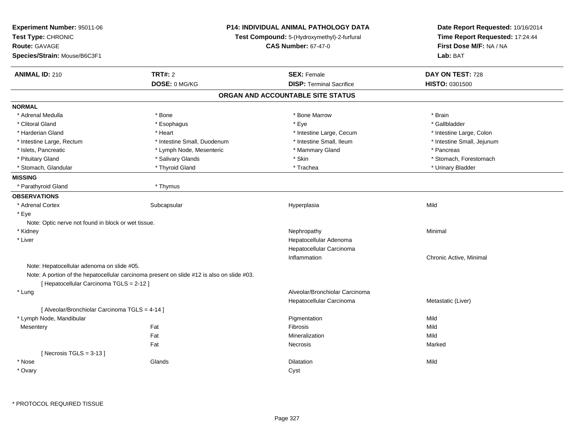| Experiment Number: 95011-06<br>Test Type: CHRONIC   |                                                                                            | <b>P14: INDIVIDUAL ANIMAL PATHOLOGY DATA</b><br>Test Compound: 5-(Hydroxymethyl)-2-furfural | Date Report Requested: 10/16/2014<br>Time Report Requested: 17:24:44 |  |
|-----------------------------------------------------|--------------------------------------------------------------------------------------------|---------------------------------------------------------------------------------------------|----------------------------------------------------------------------|--|
| <b>Route: GAVAGE</b>                                |                                                                                            | <b>CAS Number: 67-47-0</b>                                                                  | First Dose M/F: NA / NA                                              |  |
| Species/Strain: Mouse/B6C3F1                        |                                                                                            |                                                                                             | Lab: BAT                                                             |  |
| <b>ANIMAL ID: 210</b>                               | <b>TRT#: 2</b>                                                                             | <b>SEX: Female</b>                                                                          | DAY ON TEST: 728                                                     |  |
|                                                     | DOSE: 0 MG/KG                                                                              | <b>DISP: Terminal Sacrifice</b>                                                             | HISTO: 0301500                                                       |  |
|                                                     |                                                                                            | ORGAN AND ACCOUNTABLE SITE STATUS                                                           |                                                                      |  |
| <b>NORMAL</b>                                       |                                                                                            |                                                                                             |                                                                      |  |
| * Adrenal Medulla                                   | * Bone                                                                                     | * Bone Marrow                                                                               | * Brain                                                              |  |
| * Clitoral Gland                                    | * Esophagus                                                                                | * Eye                                                                                       | * Gallbladder                                                        |  |
| * Harderian Gland                                   | * Heart                                                                                    | * Intestine Large, Cecum                                                                    | * Intestine Large, Colon                                             |  |
| * Intestine Large, Rectum                           | * Intestine Small, Duodenum                                                                | * Intestine Small, Ileum                                                                    | * Intestine Small, Jejunum                                           |  |
| * Islets, Pancreatic                                | * Lymph Node, Mesenteric                                                                   | * Mammary Gland                                                                             | * Pancreas                                                           |  |
| * Pituitary Gland                                   | * Salivary Glands                                                                          | * Skin                                                                                      | * Stomach, Forestomach                                               |  |
| * Stomach, Glandular                                | * Thyroid Gland                                                                            | * Trachea                                                                                   | * Urinary Bladder                                                    |  |
| <b>MISSING</b>                                      |                                                                                            |                                                                                             |                                                                      |  |
| * Parathyroid Gland                                 | * Thymus                                                                                   |                                                                                             |                                                                      |  |
| <b>OBSERVATIONS</b>                                 |                                                                                            |                                                                                             |                                                                      |  |
| * Adrenal Cortex                                    | Subcapsular                                                                                | Hyperplasia                                                                                 | Mild                                                                 |  |
| * Eye                                               |                                                                                            |                                                                                             |                                                                      |  |
| Note: Optic nerve not found in block or wet tissue. |                                                                                            |                                                                                             |                                                                      |  |
| * Kidney                                            |                                                                                            | Nephropathy                                                                                 | Minimal                                                              |  |
| * Liver                                             |                                                                                            | Hepatocellular Adenoma                                                                      |                                                                      |  |
|                                                     |                                                                                            | Hepatocellular Carcinoma                                                                    |                                                                      |  |
|                                                     |                                                                                            | Inflammation                                                                                | Chronic Active, Minimal                                              |  |
| Note: Hepatocellular adenoma on slide #05.          |                                                                                            |                                                                                             |                                                                      |  |
|                                                     | Note: A portion of the hepatocellular carcinoma present on slide #12 is also on slide #03. |                                                                                             |                                                                      |  |
| [ Hepatocellular Carcinoma TGLS = 2-12 ]            |                                                                                            |                                                                                             |                                                                      |  |
| * Lung                                              |                                                                                            | Alveolar/Bronchiolar Carcinoma                                                              |                                                                      |  |
|                                                     |                                                                                            | Hepatocellular Carcinoma                                                                    | Metastatic (Liver)                                                   |  |
| [ Alveolar/Bronchiolar Carcinoma TGLS = 4-14 ]      |                                                                                            |                                                                                             |                                                                      |  |
| * Lymph Node, Mandibular                            |                                                                                            | Pigmentation                                                                                | Mild                                                                 |  |
| Mesentery                                           | Fat                                                                                        | Fibrosis                                                                                    | Mild                                                                 |  |
|                                                     | Fat                                                                                        | Mineralization                                                                              | Mild                                                                 |  |
|                                                     | Fat                                                                                        | Necrosis                                                                                    | Marked                                                               |  |
| [Necrosis TGLS = $3-13$ ]                           |                                                                                            |                                                                                             |                                                                      |  |
| * Nose                                              | Glands                                                                                     | <b>Dilatation</b>                                                                           | Mild                                                                 |  |
| * Ovary                                             |                                                                                            | Cyst                                                                                        |                                                                      |  |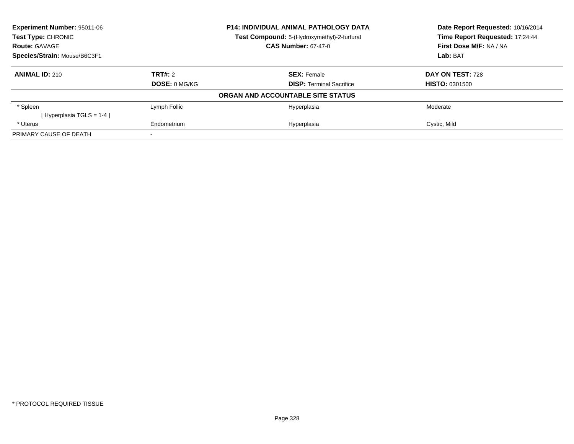| <b>Experiment Number: 95011-06</b><br><b>P14: INDIVIDUAL ANIMAL PATHOLOGY DATA</b><br><b>Test Type: CHRONIC</b><br>Test Compound: 5-(Hydroxymethyl)-2-furfural |                      |                                   | Date Report Requested: 10/16/2014 |
|----------------------------------------------------------------------------------------------------------------------------------------------------------------|----------------------|-----------------------------------|-----------------------------------|
|                                                                                                                                                                |                      |                                   | Time Report Requested: 17:24:44   |
| <b>Route: GAVAGE</b>                                                                                                                                           |                      | <b>CAS Number: 67-47-0</b>        | First Dose M/F: NA / NA           |
| Species/Strain: Mouse/B6C3F1                                                                                                                                   |                      |                                   | Lab: BAT                          |
| <b>ANIMAL ID: 210</b>                                                                                                                                          | <b>TRT#: 2</b>       | <b>SEX: Female</b>                | DAY ON TEST: 728                  |
|                                                                                                                                                                | <b>DOSE: 0 MG/KG</b> | <b>DISP:</b> Terminal Sacrifice   | <b>HISTO: 0301500</b>             |
|                                                                                                                                                                |                      | ORGAN AND ACCOUNTABLE SITE STATUS |                                   |
| * Spleen                                                                                                                                                       | Lymph Follic         | Hyperplasia                       | Moderate                          |
| [Hyperplasia TGLS = 1-4 ]                                                                                                                                      |                      |                                   |                                   |
| * Uterus                                                                                                                                                       | Endometrium          | Hyperplasia                       | Cystic, Mild                      |
| PRIMARY CAUSE OF DEATH                                                                                                                                         |                      |                                   |                                   |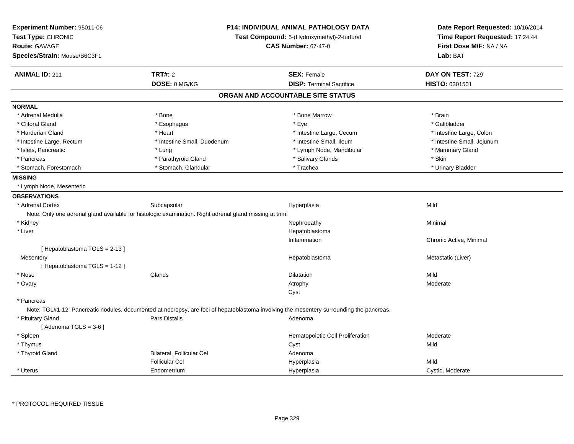| <b>Experiment Number: 95011-06</b> | P14: INDIVIDUAL ANIMAL PATHOLOGY DATA<br>Test Compound: 5-(Hydroxymethyl)-2-furfural<br><b>CAS Number: 67-47-0</b> |                                                                                                                                          | Date Report Requested: 10/16/2014 |  |
|------------------------------------|--------------------------------------------------------------------------------------------------------------------|------------------------------------------------------------------------------------------------------------------------------------------|-----------------------------------|--|
| Test Type: CHRONIC                 |                                                                                                                    |                                                                                                                                          | Time Report Requested: 17:24:44   |  |
| <b>Route: GAVAGE</b>               |                                                                                                                    |                                                                                                                                          | First Dose M/F: NA / NA           |  |
| Species/Strain: Mouse/B6C3F1       |                                                                                                                    |                                                                                                                                          | Lab: BAT                          |  |
| <b>ANIMAL ID: 211</b>              | <b>TRT#: 2</b>                                                                                                     | <b>SEX: Female</b>                                                                                                                       | DAY ON TEST: 729                  |  |
|                                    | DOSE: 0 MG/KG                                                                                                      | <b>DISP: Terminal Sacrifice</b>                                                                                                          | HISTO: 0301501                    |  |
|                                    |                                                                                                                    | ORGAN AND ACCOUNTABLE SITE STATUS                                                                                                        |                                   |  |
| <b>NORMAL</b>                      |                                                                                                                    |                                                                                                                                          |                                   |  |
| * Adrenal Medulla                  | * Bone                                                                                                             | * Bone Marrow                                                                                                                            | * Brain                           |  |
| * Clitoral Gland                   | * Esophagus                                                                                                        | * Eye                                                                                                                                    | * Gallbladder                     |  |
| * Harderian Gland                  | * Heart                                                                                                            | * Intestine Large, Cecum                                                                                                                 | * Intestine Large, Colon          |  |
| * Intestine Large, Rectum          | * Intestine Small, Duodenum                                                                                        | * Intestine Small, Ileum                                                                                                                 | * Intestine Small, Jejunum        |  |
| * Islets, Pancreatic               | * Lung                                                                                                             | * Lymph Node, Mandibular                                                                                                                 | * Mammary Gland                   |  |
| * Pancreas                         | * Parathyroid Gland                                                                                                | * Salivary Glands                                                                                                                        | * Skin                            |  |
| * Stomach, Forestomach             | * Stomach, Glandular                                                                                               | * Trachea                                                                                                                                | * Urinary Bladder                 |  |
| <b>MISSING</b>                     |                                                                                                                    |                                                                                                                                          |                                   |  |
| * Lymph Node, Mesenteric           |                                                                                                                    |                                                                                                                                          |                                   |  |
| <b>OBSERVATIONS</b>                |                                                                                                                    |                                                                                                                                          |                                   |  |
| * Adrenal Cortex                   | Subcapsular                                                                                                        | Hyperplasia                                                                                                                              | Mild                              |  |
|                                    | Note: Only one adrenal gland available for histologic examination. Right adrenal gland missing at trim.            |                                                                                                                                          |                                   |  |
| * Kidney                           |                                                                                                                    | Nephropathy                                                                                                                              | Minimal                           |  |
| * Liver                            |                                                                                                                    | Hepatoblastoma                                                                                                                           |                                   |  |
|                                    |                                                                                                                    | Inflammation                                                                                                                             | Chronic Active, Minimal           |  |
| [Hepatoblastoma TGLS = 2-13]       |                                                                                                                    |                                                                                                                                          |                                   |  |
| Mesentery                          |                                                                                                                    | Hepatoblastoma                                                                                                                           | Metastatic (Liver)                |  |
| [Hepatoblastoma TGLS = 1-12]       |                                                                                                                    |                                                                                                                                          |                                   |  |
| * Nose                             | Glands                                                                                                             | <b>Dilatation</b>                                                                                                                        | Mild                              |  |
| * Ovary                            |                                                                                                                    | Atrophy                                                                                                                                  | Moderate                          |  |
|                                    |                                                                                                                    | Cyst                                                                                                                                     |                                   |  |
| * Pancreas                         |                                                                                                                    |                                                                                                                                          |                                   |  |
|                                    |                                                                                                                    | Note: TGL#1-12: Pancreatic nodules, documented at necropsy, are foci of hepatoblastoma involving the mesentery surrounding the pancreas. |                                   |  |
| * Pituitary Gland                  | Pars Distalis                                                                                                      | Adenoma                                                                                                                                  |                                   |  |
| [Adenoma TGLS = $3-6$ ]            |                                                                                                                    |                                                                                                                                          |                                   |  |
| * Spleen                           |                                                                                                                    | Hematopoietic Cell Proliferation                                                                                                         | Moderate                          |  |
| * Thymus                           |                                                                                                                    | Cyst                                                                                                                                     | Mild                              |  |
| * Thyroid Gland                    | Bilateral, Follicular Cel                                                                                          | Adenoma                                                                                                                                  |                                   |  |
|                                    | <b>Follicular Cel</b>                                                                                              | Hyperplasia                                                                                                                              | Mild                              |  |
| * Uterus                           | Endometrium                                                                                                        | Hyperplasia                                                                                                                              | Cystic, Moderate                  |  |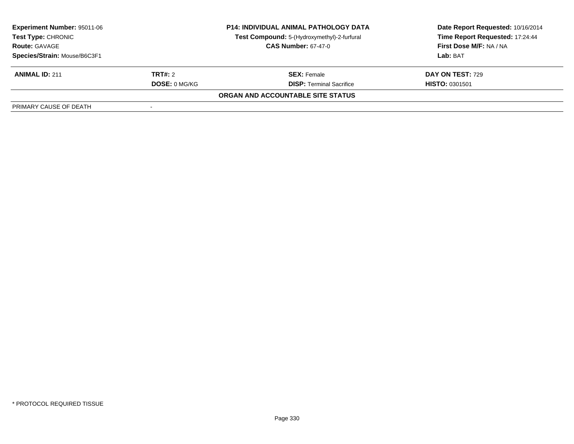| <b>Experiment Number: 95011-06</b><br>Test Type: CHRONIC<br><b>Route: GAVAGE</b><br>Species/Strain: Mouse/B6C3F1 | <b>P14: INDIVIDUAL ANIMAL PATHOLOGY DATA</b><br>Test Compound: 5-(Hydroxymethyl)-2-furfural<br><b>CAS Number: 67-47-0</b> |                                   | Date Report Requested: 10/16/2014<br>Time Report Requested: 17:24:44<br>First Dose M/F: NA / NA<br>Lab: BAT |
|------------------------------------------------------------------------------------------------------------------|---------------------------------------------------------------------------------------------------------------------------|-----------------------------------|-------------------------------------------------------------------------------------------------------------|
| <b>ANIMAL ID: 211</b>                                                                                            | <b>TRT#:</b> 2                                                                                                            | <b>SEX: Female</b>                | DAY ON TEST: 729                                                                                            |
|                                                                                                                  | <b>DOSE: 0 MG/KG</b>                                                                                                      | <b>DISP:</b> Terminal Sacrifice   | <b>HISTO: 0301501</b>                                                                                       |
|                                                                                                                  |                                                                                                                           | ORGAN AND ACCOUNTABLE SITE STATUS |                                                                                                             |
| PRIMARY CAUSE OF DEATH                                                                                           |                                                                                                                           |                                   |                                                                                                             |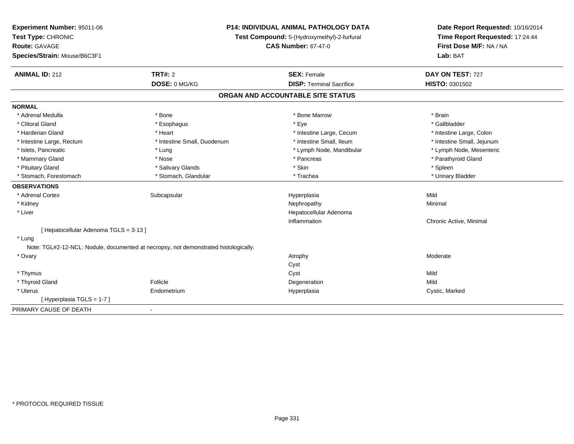| Experiment Number: 95011-06<br>Test Type: CHRONIC | <b>P14: INDIVIDUAL ANIMAL PATHOLOGY DATA</b><br>Test Compound: 5-(Hydroxymethyl)-2-furfural |                                   | Date Report Requested: 10/16/2014<br>Time Report Requested: 17:24:44 |
|---------------------------------------------------|---------------------------------------------------------------------------------------------|-----------------------------------|----------------------------------------------------------------------|
| <b>Route: GAVAGE</b>                              |                                                                                             | <b>CAS Number: 67-47-0</b>        | First Dose M/F: NA / NA                                              |
| Species/Strain: Mouse/B6C3F1                      |                                                                                             |                                   | Lab: BAT                                                             |
| <b>ANIMAL ID: 212</b>                             | <b>TRT#: 2</b>                                                                              | <b>SEX: Female</b>                | DAY ON TEST: 727                                                     |
|                                                   | DOSE: 0 MG/KG                                                                               | <b>DISP: Terminal Sacrifice</b>   | HISTO: 0301502                                                       |
|                                                   |                                                                                             | ORGAN AND ACCOUNTABLE SITE STATUS |                                                                      |
| <b>NORMAL</b>                                     |                                                                                             |                                   |                                                                      |
| * Adrenal Medulla                                 | * Bone                                                                                      | * Bone Marrow                     | * Brain                                                              |
| * Clitoral Gland                                  | * Esophagus                                                                                 | * Eye                             | * Gallbladder                                                        |
| * Harderian Gland                                 | * Heart                                                                                     | * Intestine Large, Cecum          | * Intestine Large, Colon                                             |
| * Intestine Large, Rectum                         | * Intestine Small, Duodenum                                                                 | * Intestine Small, Ileum          | * Intestine Small, Jejunum                                           |
| * Islets, Pancreatic                              | * Lung                                                                                      | * Lymph Node, Mandibular          | * Lymph Node, Mesenteric                                             |
| * Mammary Gland                                   | * Nose                                                                                      | * Pancreas                        | * Parathyroid Gland                                                  |
| * Pituitary Gland                                 | * Salivary Glands                                                                           | * Skin                            | * Spleen                                                             |
| * Stomach, Forestomach                            | * Stomach, Glandular                                                                        | * Trachea                         | * Urinary Bladder                                                    |
| <b>OBSERVATIONS</b>                               |                                                                                             |                                   |                                                                      |
| * Adrenal Cortex                                  | Subcapsular                                                                                 | Hyperplasia                       | Mild                                                                 |
| * Kidney                                          |                                                                                             | Nephropathy                       | Minimal                                                              |
| * Liver                                           |                                                                                             | Hepatocellular Adenoma            |                                                                      |
|                                                   |                                                                                             | Inflammation                      | Chronic Active, Minimal                                              |
| [ Hepatocellular Adenoma TGLS = 3-13 ]            |                                                                                             |                                   |                                                                      |
| * Lung                                            |                                                                                             |                                   |                                                                      |
|                                                   | Note: TGL#2-12-NCL: Nodule, documented at necropsy, not demonstrated histologically.        |                                   |                                                                      |
| * Ovary                                           |                                                                                             | Atrophy                           | Moderate                                                             |
|                                                   |                                                                                             | Cyst                              |                                                                      |
| * Thymus                                          |                                                                                             | Cyst                              | Mild                                                                 |
| * Thyroid Gland                                   | Follicle                                                                                    | Degeneration                      | Mild                                                                 |
| * Uterus                                          | Endometrium                                                                                 | Hyperplasia                       | Cystic, Marked                                                       |
| [Hyperplasia TGLS = 1-7]                          |                                                                                             |                                   |                                                                      |
| PRIMARY CAUSE OF DEATH                            | $\blacksquare$                                                                              |                                   |                                                                      |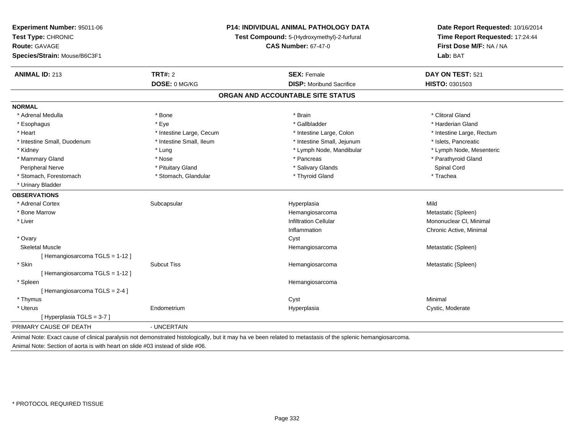| Experiment Number: 95011-06   | <b>P14: INDIVIDUAL ANIMAL PATHOLOGY DATA</b><br>Test Compound: 5-(Hydroxymethyl)-2-furfural |                                                                                                                                                             | Date Report Requested: 10/16/2014<br>Time Report Requested: 17:24:44 |  |
|-------------------------------|---------------------------------------------------------------------------------------------|-------------------------------------------------------------------------------------------------------------------------------------------------------------|----------------------------------------------------------------------|--|
| Test Type: CHRONIC            |                                                                                             |                                                                                                                                                             |                                                                      |  |
| <b>Route: GAVAGE</b>          |                                                                                             | <b>CAS Number: 67-47-0</b>                                                                                                                                  | First Dose M/F: NA / NA                                              |  |
| Species/Strain: Mouse/B6C3F1  |                                                                                             |                                                                                                                                                             | Lab: BAT                                                             |  |
| <b>ANIMAL ID: 213</b>         | TRT#: 2                                                                                     | <b>SEX: Female</b>                                                                                                                                          | DAY ON TEST: 521                                                     |  |
|                               | DOSE: 0 MG/KG                                                                               | <b>DISP:</b> Moribund Sacrifice                                                                                                                             | HISTO: 0301503                                                       |  |
|                               |                                                                                             | ORGAN AND ACCOUNTABLE SITE STATUS                                                                                                                           |                                                                      |  |
| <b>NORMAL</b>                 |                                                                                             |                                                                                                                                                             |                                                                      |  |
| * Adrenal Medulla             | * Bone                                                                                      | * Brain                                                                                                                                                     | * Clitoral Gland                                                     |  |
| * Esophagus                   | * Eye                                                                                       | * Gallbladder                                                                                                                                               | * Harderian Gland                                                    |  |
| * Heart                       | * Intestine Large, Cecum                                                                    | * Intestine Large, Colon                                                                                                                                    | * Intestine Large, Rectum                                            |  |
| * Intestine Small, Duodenum   | * Intestine Small, Ileum                                                                    | * Intestine Small, Jejunum                                                                                                                                  | * Islets, Pancreatic                                                 |  |
| * Kidney                      | * Lung                                                                                      | * Lymph Node, Mandibular                                                                                                                                    | * Lymph Node, Mesenteric                                             |  |
| * Mammary Gland               | * Nose                                                                                      | * Pancreas                                                                                                                                                  | * Parathyroid Gland                                                  |  |
| Peripheral Nerve              | * Pituitary Gland                                                                           | * Salivary Glands                                                                                                                                           | Spinal Cord                                                          |  |
| * Stomach, Forestomach        | * Stomach, Glandular                                                                        | * Thyroid Gland                                                                                                                                             | * Trachea                                                            |  |
| * Urinary Bladder             |                                                                                             |                                                                                                                                                             |                                                                      |  |
| <b>OBSERVATIONS</b>           |                                                                                             |                                                                                                                                                             |                                                                      |  |
| * Adrenal Cortex              | Subcapsular                                                                                 | Hyperplasia                                                                                                                                                 | Mild                                                                 |  |
| * Bone Marrow                 |                                                                                             | Hemangiosarcoma                                                                                                                                             | Metastatic (Spleen)                                                  |  |
| * Liver                       |                                                                                             | <b>Infiltration Cellular</b>                                                                                                                                | Mononuclear CI, Minimal                                              |  |
|                               |                                                                                             | Inflammation                                                                                                                                                | Chronic Active, Minimal                                              |  |
| * Ovary                       |                                                                                             | Cyst                                                                                                                                                        |                                                                      |  |
| <b>Skeletal Muscle</b>        |                                                                                             | Hemangiosarcoma                                                                                                                                             | Metastatic (Spleen)                                                  |  |
| [Hemangiosarcoma TGLS = 1-12] |                                                                                             |                                                                                                                                                             |                                                                      |  |
| * Skin                        | <b>Subcut Tiss</b>                                                                          | Hemangiosarcoma                                                                                                                                             | Metastatic (Spleen)                                                  |  |
| [Hemangiosarcoma TGLS = 1-12] |                                                                                             |                                                                                                                                                             |                                                                      |  |
| * Spleen                      |                                                                                             | Hemangiosarcoma                                                                                                                                             |                                                                      |  |
| [Hemangiosarcoma TGLS = 2-4]  |                                                                                             |                                                                                                                                                             |                                                                      |  |
| * Thymus                      |                                                                                             | Cyst                                                                                                                                                        | Minimal                                                              |  |
| * Uterus                      | Endometrium                                                                                 | Hyperplasia                                                                                                                                                 | Cystic, Moderate                                                     |  |
| [Hyperplasia TGLS = 3-7]      |                                                                                             |                                                                                                                                                             |                                                                      |  |
| PRIMARY CAUSE OF DEATH        | - UNCERTAIN                                                                                 |                                                                                                                                                             |                                                                      |  |
|                               |                                                                                             | Animal Note: Exact cause of clinical paralysis not demonstrated histologically, but it may ha ve been related to metastasis of the splenic hemangiosarcoma. |                                                                      |  |

Animal Note: Section of aorta is with heart on slide #03 instead of slide #06.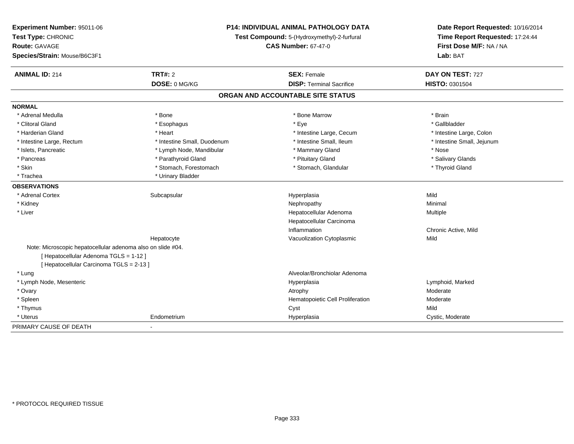| Experiment Number: 95011-06<br>Test Type: CHRONIC           | <b>P14: INDIVIDUAL ANIMAL PATHOLOGY DATA</b><br>Test Compound: 5-(Hydroxymethyl)-2-furfural |                                   | Date Report Requested: 10/16/2014<br>Time Report Requested: 17:24:44 |
|-------------------------------------------------------------|---------------------------------------------------------------------------------------------|-----------------------------------|----------------------------------------------------------------------|
| Route: GAVAGE                                               |                                                                                             | <b>CAS Number: 67-47-0</b>        | First Dose M/F: NA / NA                                              |
| Species/Strain: Mouse/B6C3F1                                |                                                                                             |                                   | Lab: BAT                                                             |
| <b>ANIMAL ID: 214</b>                                       | TRT#: 2                                                                                     | <b>SEX: Female</b>                | DAY ON TEST: 727                                                     |
|                                                             | DOSE: 0 MG/KG                                                                               | <b>DISP: Terminal Sacrifice</b>   | HISTO: 0301504                                                       |
|                                                             |                                                                                             | ORGAN AND ACCOUNTABLE SITE STATUS |                                                                      |
| <b>NORMAL</b>                                               |                                                                                             |                                   |                                                                      |
| * Adrenal Medulla                                           | * Bone                                                                                      | * Bone Marrow                     | * Brain                                                              |
| * Clitoral Gland                                            | * Esophagus                                                                                 | * Eye                             | * Gallbladder                                                        |
| * Harderian Gland                                           | * Heart                                                                                     | * Intestine Large, Cecum          | * Intestine Large, Colon                                             |
| * Intestine Large, Rectum                                   | * Intestine Small, Duodenum                                                                 | * Intestine Small, Ileum          | * Intestine Small, Jejunum                                           |
| * Islets, Pancreatic                                        | * Lymph Node, Mandibular                                                                    | * Mammary Gland                   | * Nose                                                               |
| * Pancreas                                                  | * Parathyroid Gland                                                                         | * Pituitary Gland                 | * Salivary Glands                                                    |
| * Skin                                                      | * Stomach, Forestomach                                                                      | * Stomach, Glandular              | * Thyroid Gland                                                      |
| * Trachea                                                   | * Urinary Bladder                                                                           |                                   |                                                                      |
| <b>OBSERVATIONS</b>                                         |                                                                                             |                                   |                                                                      |
| * Adrenal Cortex                                            | Subcapsular                                                                                 | Hyperplasia                       | Mild                                                                 |
| * Kidney                                                    |                                                                                             | Nephropathy                       | Minimal                                                              |
| * Liver                                                     |                                                                                             | Hepatocellular Adenoma            | Multiple                                                             |
|                                                             |                                                                                             | Hepatocellular Carcinoma          |                                                                      |
|                                                             |                                                                                             | Inflammation                      | Chronic Active, Mild                                                 |
|                                                             | Hepatocyte                                                                                  | Vacuolization Cytoplasmic         | Mild                                                                 |
| Note: Microscopic hepatocellular adenoma also on slide #04. |                                                                                             |                                   |                                                                      |
| [Hepatocellular Adenoma TGLS = 1-12]                        |                                                                                             |                                   |                                                                      |
| [ Hepatocellular Carcinoma TGLS = 2-13 ]                    |                                                                                             |                                   |                                                                      |
| * Lung                                                      |                                                                                             | Alveolar/Bronchiolar Adenoma      |                                                                      |
| * Lymph Node, Mesenteric                                    |                                                                                             | Hyperplasia                       | Lymphoid, Marked                                                     |
| * Ovary                                                     |                                                                                             | Atrophy                           | Moderate                                                             |
| * Spleen                                                    |                                                                                             | Hematopoietic Cell Proliferation  | Moderate                                                             |
| * Thymus                                                    |                                                                                             | Cyst                              | Mild                                                                 |
| * Uterus                                                    | Endometrium                                                                                 | Hyperplasia                       | Cystic, Moderate                                                     |
| PRIMARY CAUSE OF DEATH                                      | $\blacksquare$                                                                              |                                   |                                                                      |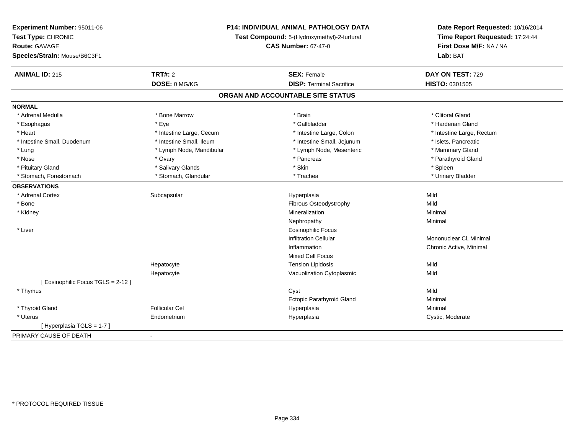| Experiment Number: 95011-06<br>Test Type: CHRONIC<br><b>Route: GAVAGE</b> | P14: INDIVIDUAL ANIMAL PATHOLOGY DATA<br>Test Compound: 5-(Hydroxymethyl)-2-furfural<br><b>CAS Number: 67-47-0</b> |                                   | Date Report Requested: 10/16/2014<br>Time Report Requested: 17:24:44<br>First Dose M/F: NA / NA |
|---------------------------------------------------------------------------|--------------------------------------------------------------------------------------------------------------------|-----------------------------------|-------------------------------------------------------------------------------------------------|
| Species/Strain: Mouse/B6C3F1                                              |                                                                                                                    |                                   | Lab: BAT                                                                                        |
| <b>ANIMAL ID: 215</b>                                                     | TRT#: 2                                                                                                            | <b>SEX: Female</b>                | DAY ON TEST: 729                                                                                |
|                                                                           | DOSE: 0 MG/KG                                                                                                      | <b>DISP: Terminal Sacrifice</b>   | HISTO: 0301505                                                                                  |
|                                                                           |                                                                                                                    | ORGAN AND ACCOUNTABLE SITE STATUS |                                                                                                 |
| <b>NORMAL</b>                                                             |                                                                                                                    |                                   |                                                                                                 |
| * Adrenal Medulla                                                         | * Bone Marrow                                                                                                      | * Brain                           | * Clitoral Gland                                                                                |
| * Esophagus                                                               | * Eye                                                                                                              | * Gallbladder                     | * Harderian Gland                                                                               |
| * Heart                                                                   | * Intestine Large, Cecum                                                                                           | * Intestine Large, Colon          | * Intestine Large, Rectum                                                                       |
| * Intestine Small, Duodenum                                               | * Intestine Small, Ileum                                                                                           | * Intestine Small, Jejunum        | * Islets, Pancreatic                                                                            |
| * Lung                                                                    | * Lymph Node, Mandibular                                                                                           | * Lymph Node, Mesenteric          | * Mammary Gland                                                                                 |
| * Nose                                                                    | * Ovary                                                                                                            | * Pancreas                        | * Parathyroid Gland                                                                             |
| * Pituitary Gland                                                         | * Salivary Glands                                                                                                  | * Skin                            | * Spleen                                                                                        |
| * Stomach, Forestomach                                                    | * Stomach, Glandular                                                                                               | * Trachea                         | * Urinary Bladder                                                                               |
| <b>OBSERVATIONS</b>                                                       |                                                                                                                    |                                   |                                                                                                 |
| * Adrenal Cortex                                                          | Subcapsular                                                                                                        | Hyperplasia                       | Mild                                                                                            |
| * Bone                                                                    |                                                                                                                    | Fibrous Osteodystrophy            | Mild                                                                                            |
| * Kidney                                                                  |                                                                                                                    | Mineralization                    | Minimal                                                                                         |
|                                                                           |                                                                                                                    | Nephropathy                       | Minimal                                                                                         |
| * Liver                                                                   |                                                                                                                    | <b>Eosinophilic Focus</b>         |                                                                                                 |
|                                                                           |                                                                                                                    | <b>Infiltration Cellular</b>      | Mononuclear CI, Minimal                                                                         |
|                                                                           |                                                                                                                    | Inflammation                      | Chronic Active, Minimal                                                                         |
|                                                                           |                                                                                                                    | Mixed Cell Focus                  |                                                                                                 |
|                                                                           | Hepatocyte                                                                                                         | <b>Tension Lipidosis</b>          | Mild                                                                                            |
|                                                                           | Hepatocyte                                                                                                         | Vacuolization Cytoplasmic         | Mild                                                                                            |
| [Eosinophilic Focus TGLS = 2-12]                                          |                                                                                                                    |                                   |                                                                                                 |
| * Thymus                                                                  |                                                                                                                    | Cyst                              | Mild                                                                                            |
|                                                                           |                                                                                                                    | <b>Ectopic Parathyroid Gland</b>  | Minimal                                                                                         |
| * Thyroid Gland                                                           | <b>Follicular Cel</b>                                                                                              | Hyperplasia                       | Minimal                                                                                         |
| * Uterus                                                                  | Endometrium                                                                                                        | Hyperplasia                       | Cystic, Moderate                                                                                |
| [Hyperplasia TGLS = 1-7]                                                  |                                                                                                                    |                                   |                                                                                                 |
| PRIMARY CAUSE OF DEATH                                                    | $\blacksquare$                                                                                                     |                                   |                                                                                                 |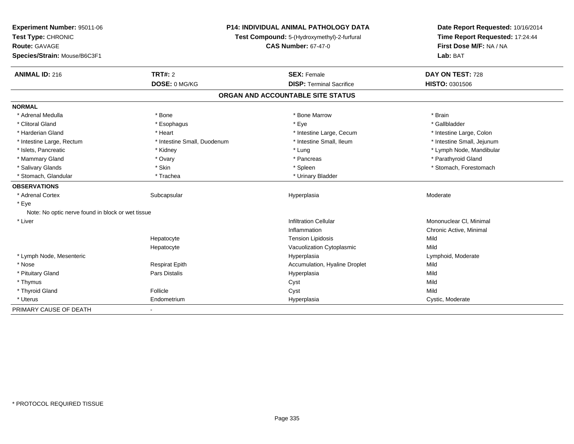| Experiment Number: 95011-06                       | <b>P14: INDIVIDUAL ANIMAL PATHOLOGY DATA</b> |                                             | Date Report Requested: 10/16/2014 |
|---------------------------------------------------|----------------------------------------------|---------------------------------------------|-----------------------------------|
| Test Type: CHRONIC                                |                                              | Test Compound: 5-(Hydroxymethyl)-2-furfural | Time Report Requested: 17:24:44   |
| Route: GAVAGE                                     |                                              | <b>CAS Number: 67-47-0</b>                  | First Dose M/F: NA / NA           |
| Species/Strain: Mouse/B6C3F1                      |                                              |                                             | Lab: BAT                          |
| <b>ANIMAL ID: 216</b>                             | <b>TRT#: 2</b>                               | <b>SEX: Female</b>                          | DAY ON TEST: 728                  |
|                                                   | DOSE: 0 MG/KG                                | <b>DISP: Terminal Sacrifice</b>             | HISTO: 0301506                    |
|                                                   |                                              | ORGAN AND ACCOUNTABLE SITE STATUS           |                                   |
| <b>NORMAL</b>                                     |                                              |                                             |                                   |
| * Adrenal Medulla                                 | * Bone                                       | * Bone Marrow                               | * Brain                           |
| * Clitoral Gland                                  | * Esophagus                                  | * Eye                                       | * Gallbladder                     |
| * Harderian Gland                                 | * Heart                                      | * Intestine Large, Cecum                    | * Intestine Large, Colon          |
| * Intestine Large, Rectum                         | * Intestine Small, Duodenum                  | * Intestine Small, Ileum                    | * Intestine Small, Jejunum        |
| * Islets, Pancreatic                              | * Kidney                                     | * Lung                                      | * Lymph Node, Mandibular          |
| * Mammary Gland                                   | * Ovary                                      | * Pancreas                                  | * Parathyroid Gland               |
| * Salivary Glands                                 | * Skin                                       | * Spleen                                    | * Stomach, Forestomach            |
| * Stomach, Glandular                              | * Trachea                                    | * Urinary Bladder                           |                                   |
| <b>OBSERVATIONS</b>                               |                                              |                                             |                                   |
| * Adrenal Cortex                                  | Subcapsular                                  | Hyperplasia                                 | Moderate                          |
| * Eye                                             |                                              |                                             |                                   |
| Note: No optic nerve found in block or wet tissue |                                              |                                             |                                   |
| * Liver                                           |                                              | <b>Infiltration Cellular</b>                | Mononuclear CI, Minimal           |
|                                                   |                                              | Inflammation                                | Chronic Active, Minimal           |
|                                                   | Hepatocyte                                   | <b>Tension Lipidosis</b>                    | Mild                              |
|                                                   | Hepatocyte                                   | Vacuolization Cytoplasmic                   | Mild                              |
| * Lymph Node, Mesenteric                          |                                              | Hyperplasia                                 | Lymphoid, Moderate                |
| * Nose                                            | <b>Respirat Epith</b>                        | Accumulation, Hyaline Droplet               | Mild                              |
| * Pituitary Gland                                 | Pars Distalis                                | Hyperplasia                                 | Mild                              |
| * Thymus                                          |                                              | Cyst                                        | Mild                              |
| * Thyroid Gland                                   | Follicle                                     | Cyst                                        | Mild                              |
| * Uterus                                          | Endometrium                                  | Hyperplasia                                 | Cystic, Moderate                  |
| PRIMARY CAUSE OF DEATH                            | $\blacksquare$                               |                                             |                                   |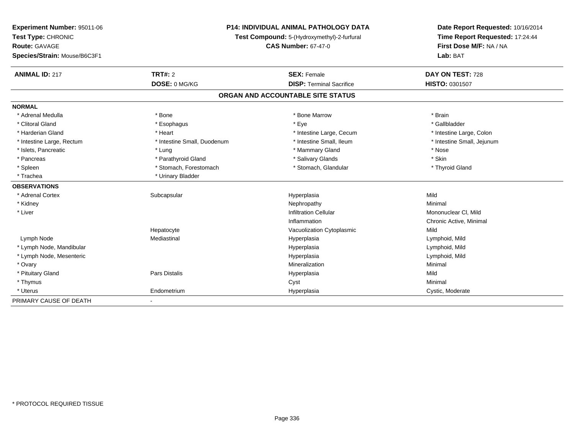| Experiment Number: 95011-06<br>Test Type: CHRONIC | <b>P14: INDIVIDUAL ANIMAL PATHOLOGY DATA</b><br>Test Compound: 5-(Hydroxymethyl)-2-furfural<br><b>CAS Number: 67-47-0</b> |                                   | Date Report Requested: 10/16/2014<br>Time Report Requested: 17:24:44 |
|---------------------------------------------------|---------------------------------------------------------------------------------------------------------------------------|-----------------------------------|----------------------------------------------------------------------|
| Route: GAVAGE                                     |                                                                                                                           |                                   | First Dose M/F: NA / NA                                              |
| Species/Strain: Mouse/B6C3F1                      |                                                                                                                           |                                   | Lab: BAT                                                             |
| <b>ANIMAL ID: 217</b>                             | <b>TRT#: 2</b>                                                                                                            | <b>SEX: Female</b>                | DAY ON TEST: 728                                                     |
|                                                   | DOSE: 0 MG/KG                                                                                                             | <b>DISP: Terminal Sacrifice</b>   | <b>HISTO: 0301507</b>                                                |
|                                                   |                                                                                                                           | ORGAN AND ACCOUNTABLE SITE STATUS |                                                                      |
| <b>NORMAL</b>                                     |                                                                                                                           |                                   |                                                                      |
| * Adrenal Medulla                                 | * Bone                                                                                                                    | * Bone Marrow                     | * Brain                                                              |
| * Clitoral Gland                                  | * Esophagus                                                                                                               | * Eye                             | * Gallbladder                                                        |
| * Harderian Gland                                 | * Heart                                                                                                                   | * Intestine Large, Cecum          | * Intestine Large, Colon                                             |
| * Intestine Large, Rectum                         | * Intestine Small, Duodenum                                                                                               | * Intestine Small, Ileum          | * Intestine Small, Jejunum                                           |
| * Islets, Pancreatic                              | * Lung                                                                                                                    | * Mammary Gland                   | * Nose                                                               |
| * Pancreas                                        | * Parathyroid Gland                                                                                                       | * Salivary Glands                 | * Skin                                                               |
| * Spleen                                          | * Stomach, Forestomach                                                                                                    | * Stomach, Glandular              | * Thyroid Gland                                                      |
| * Trachea                                         | * Urinary Bladder                                                                                                         |                                   |                                                                      |
| <b>OBSERVATIONS</b>                               |                                                                                                                           |                                   |                                                                      |
| * Adrenal Cortex                                  | Subcapsular                                                                                                               | Hyperplasia                       | Mild                                                                 |
| * Kidney                                          |                                                                                                                           | Nephropathy                       | Minimal                                                              |
| * Liver                                           |                                                                                                                           | <b>Infiltration Cellular</b>      | Mononuclear CI, Mild                                                 |
|                                                   |                                                                                                                           | Inflammation                      | Chronic Active, Minimal                                              |
|                                                   | Hepatocyte                                                                                                                | Vacuolization Cytoplasmic         | Mild                                                                 |
| Lymph Node                                        | Mediastinal                                                                                                               | Hyperplasia                       | Lymphoid, Mild                                                       |
| * Lymph Node, Mandibular                          |                                                                                                                           | Hyperplasia                       | Lymphoid, Mild                                                       |
| * Lymph Node, Mesenteric                          |                                                                                                                           | Hyperplasia                       | Lymphoid, Mild                                                       |
| * Ovary                                           |                                                                                                                           | Mineralization                    | Minimal                                                              |
| * Pituitary Gland                                 | <b>Pars Distalis</b>                                                                                                      | Hyperplasia                       | Mild                                                                 |
| * Thymus                                          |                                                                                                                           | Cyst                              | Minimal                                                              |
| * Uterus                                          | Endometrium                                                                                                               | Hyperplasia                       | Cystic, Moderate                                                     |
| PRIMARY CAUSE OF DEATH                            |                                                                                                                           |                                   |                                                                      |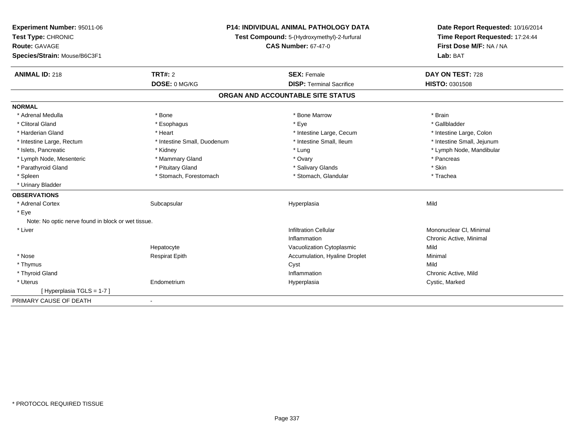| Experiment Number: 95011-06<br>Test Type: CHRONIC  |                             | P14: INDIVIDUAL ANIMAL PATHOLOGY DATA<br>Test Compound: 5-(Hydroxymethyl)-2-furfural<br><b>CAS Number: 67-47-0</b> |                                     |  |
|----------------------------------------------------|-----------------------------|--------------------------------------------------------------------------------------------------------------------|-------------------------------------|--|
| <b>Route: GAVAGE</b>                               |                             |                                                                                                                    |                                     |  |
| Species/Strain: Mouse/B6C3F1                       |                             |                                                                                                                    | First Dose M/F: NA / NA<br>Lab: BAT |  |
| <b>ANIMAL ID: 218</b>                              | <b>TRT#: 2</b>              | <b>SEX: Female</b>                                                                                                 | DAY ON TEST: 728                    |  |
|                                                    | DOSE: 0 MG/KG               | <b>DISP: Terminal Sacrifice</b>                                                                                    | <b>HISTO: 0301508</b>               |  |
|                                                    |                             | ORGAN AND ACCOUNTABLE SITE STATUS                                                                                  |                                     |  |
| <b>NORMAL</b>                                      |                             |                                                                                                                    |                                     |  |
| * Adrenal Medulla                                  | * Bone                      | * Bone Marrow                                                                                                      | * Brain                             |  |
| * Clitoral Gland                                   | * Esophagus                 | * Eye                                                                                                              | * Gallbladder                       |  |
| * Harderian Gland                                  | * Heart                     | * Intestine Large, Cecum                                                                                           | * Intestine Large, Colon            |  |
| * Intestine Large, Rectum                          | * Intestine Small, Duodenum | * Intestine Small. Ileum                                                                                           | * Intestine Small, Jejunum          |  |
| * Islets, Pancreatic                               | * Kidney                    | * Lung                                                                                                             | * Lymph Node, Mandibular            |  |
| * Lymph Node, Mesenteric                           | * Mammary Gland             | * Ovary                                                                                                            | * Pancreas                          |  |
| * Parathyroid Gland                                | * Pituitary Gland           | * Salivary Glands                                                                                                  | * Skin                              |  |
| * Spleen                                           | * Stomach, Forestomach      | * Stomach, Glandular                                                                                               | * Trachea                           |  |
| * Urinary Bladder                                  |                             |                                                                                                                    |                                     |  |
| <b>OBSERVATIONS</b>                                |                             |                                                                                                                    |                                     |  |
| * Adrenal Cortex                                   | Subcapsular                 | Hyperplasia                                                                                                        | Mild                                |  |
| * Eye                                              |                             |                                                                                                                    |                                     |  |
| Note: No optic nerve found in block or wet tissue. |                             |                                                                                                                    |                                     |  |
| * Liver                                            |                             | <b>Infiltration Cellular</b>                                                                                       | Mononuclear CI, Minimal             |  |
|                                                    |                             | Inflammation                                                                                                       | Chronic Active, Minimal             |  |
|                                                    | Hepatocyte                  | Vacuolization Cytoplasmic                                                                                          | Mild                                |  |
| * Nose                                             | <b>Respirat Epith</b>       | Accumulation, Hyaline Droplet                                                                                      | Minimal                             |  |
| * Thymus                                           |                             | Cyst                                                                                                               | Mild                                |  |
| * Thyroid Gland                                    |                             | Inflammation                                                                                                       | Chronic Active, Mild                |  |
| * Uterus                                           | Endometrium                 | Hyperplasia                                                                                                        | Cystic, Marked                      |  |
| [Hyperplasia TGLS = 1-7]                           |                             |                                                                                                                    |                                     |  |
| PRIMARY CAUSE OF DEATH                             |                             |                                                                                                                    |                                     |  |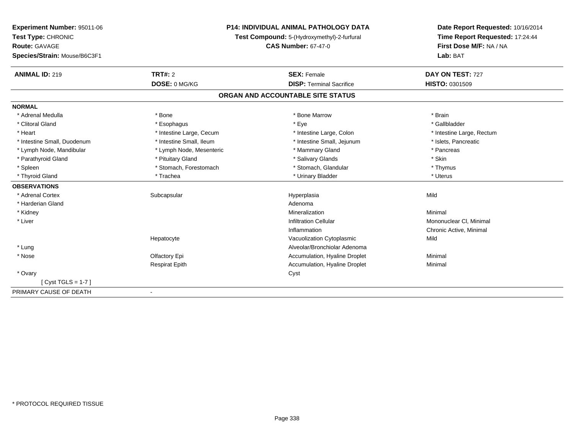| <b>Experiment Number: 95011-06</b> | <b>P14: INDIVIDUAL ANIMAL PATHOLOGY DATA</b><br>Test Compound: 5-(Hydroxymethyl)-2-furfural |                                   | Date Report Requested: 10/16/2014 |
|------------------------------------|---------------------------------------------------------------------------------------------|-----------------------------------|-----------------------------------|
| Test Type: CHRONIC                 |                                                                                             |                                   | Time Report Requested: 17:24:44   |
| <b>Route: GAVAGE</b>               |                                                                                             | <b>CAS Number: 67-47-0</b>        | First Dose M/F: NA / NA           |
| Species/Strain: Mouse/B6C3F1       |                                                                                             |                                   | Lab: BAT                          |
| <b>ANIMAL ID: 219</b>              | <b>TRT#: 2</b>                                                                              | <b>SEX: Female</b>                | DAY ON TEST: 727                  |
|                                    | DOSE: 0 MG/KG                                                                               | <b>DISP: Terminal Sacrifice</b>   | <b>HISTO: 0301509</b>             |
|                                    |                                                                                             | ORGAN AND ACCOUNTABLE SITE STATUS |                                   |
| <b>NORMAL</b>                      |                                                                                             |                                   |                                   |
| * Adrenal Medulla                  | * Bone                                                                                      | * Bone Marrow                     | * Brain                           |
| * Clitoral Gland                   | * Esophagus                                                                                 | * Eye                             | * Gallbladder                     |
| * Heart                            | * Intestine Large, Cecum                                                                    | * Intestine Large, Colon          | * Intestine Large, Rectum         |
| * Intestine Small, Duodenum        | * Intestine Small, Ileum                                                                    | * Intestine Small, Jejunum        | * Islets, Pancreatic              |
| * Lymph Node, Mandibular           | * Lymph Node, Mesenteric                                                                    | * Mammary Gland                   | * Pancreas                        |
| * Parathyroid Gland                | * Pituitary Gland                                                                           | * Salivary Glands                 | * Skin                            |
| * Spleen                           | * Stomach, Forestomach                                                                      | * Stomach, Glandular              | * Thymus                          |
| * Thyroid Gland                    | * Trachea                                                                                   | * Urinary Bladder                 | * Uterus                          |
| <b>OBSERVATIONS</b>                |                                                                                             |                                   |                                   |
| * Adrenal Cortex                   | Subcapsular                                                                                 | Hyperplasia                       | Mild                              |
| * Harderian Gland                  |                                                                                             | Adenoma                           |                                   |
| * Kidney                           |                                                                                             | Mineralization                    | Minimal                           |
| * Liver                            |                                                                                             | <b>Infiltration Cellular</b>      | Mononuclear CI, Minimal           |
|                                    |                                                                                             | Inflammation                      | Chronic Active, Minimal           |
|                                    | Hepatocyte                                                                                  | Vacuolization Cytoplasmic         | Mild                              |
| * Lung                             |                                                                                             | Alveolar/Bronchiolar Adenoma      |                                   |
| * Nose                             | Olfactory Epi                                                                               | Accumulation, Hyaline Droplet     | Minimal                           |
|                                    | <b>Respirat Epith</b>                                                                       | Accumulation, Hyaline Droplet     | Minimal                           |
| * Ovary                            |                                                                                             | Cyst                              |                                   |
| [Cyst TGLS = 1-7]                  |                                                                                             |                                   |                                   |
| PRIMARY CAUSE OF DEATH             | $\overline{\phantom{a}}$                                                                    |                                   |                                   |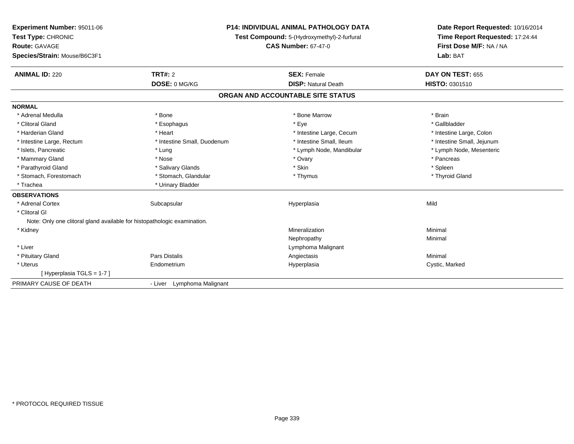| Experiment Number: 95011-06                                              | <b>P14: INDIVIDUAL ANIMAL PATHOLOGY DATA</b> |                                             | Date Report Requested: 10/16/2014 |
|--------------------------------------------------------------------------|----------------------------------------------|---------------------------------------------|-----------------------------------|
| Test Type: CHRONIC                                                       |                                              | Test Compound: 5-(Hydroxymethyl)-2-furfural | Time Report Requested: 17:24:44   |
| <b>Route: GAVAGE</b>                                                     |                                              | <b>CAS Number: 67-47-0</b>                  | First Dose M/F: NA / NA           |
| Species/Strain: Mouse/B6C3F1                                             |                                              |                                             | Lab: BAT                          |
| <b>ANIMAL ID: 220</b>                                                    | <b>TRT#: 2</b>                               | <b>SEX: Female</b>                          | DAY ON TEST: 655                  |
|                                                                          | DOSE: 0 MG/KG                                | <b>DISP: Natural Death</b>                  | HISTO: 0301510                    |
|                                                                          |                                              | ORGAN AND ACCOUNTABLE SITE STATUS           |                                   |
| <b>NORMAL</b>                                                            |                                              |                                             |                                   |
| * Adrenal Medulla                                                        | * Bone                                       | * Bone Marrow                               | * Brain                           |
| * Clitoral Gland                                                         | * Esophagus                                  | * Eye                                       | * Gallbladder                     |
| * Harderian Gland                                                        | * Heart                                      | * Intestine Large, Cecum                    | * Intestine Large, Colon          |
| * Intestine Large, Rectum                                                | * Intestine Small, Duodenum                  | * Intestine Small, Ileum                    | * Intestine Small, Jejunum        |
| * Islets, Pancreatic                                                     | * Lung                                       | * Lymph Node, Mandibular                    | * Lymph Node, Mesenteric          |
| * Mammary Gland                                                          | * Nose                                       | * Ovary                                     | * Pancreas                        |
| * Parathyroid Gland                                                      | * Salivary Glands                            | * Skin                                      | * Spleen                          |
| * Stomach, Forestomach                                                   | * Stomach, Glandular                         | * Thymus                                    | * Thyroid Gland                   |
| * Trachea                                                                | * Urinary Bladder                            |                                             |                                   |
| <b>OBSERVATIONS</b>                                                      |                                              |                                             |                                   |
| * Adrenal Cortex                                                         | Subcapsular                                  | Hyperplasia                                 | Mild                              |
| * Clitoral GI                                                            |                                              |                                             |                                   |
| Note: Only one clitoral gland available for histopathologic examination. |                                              |                                             |                                   |
| * Kidney                                                                 |                                              | Mineralization                              | Minimal                           |
|                                                                          |                                              | Nephropathy                                 | Minimal                           |
| * Liver                                                                  |                                              | Lymphoma Malignant                          |                                   |
| * Pituitary Gland                                                        | <b>Pars Distalis</b>                         | Angiectasis                                 | Minimal                           |
| * Uterus                                                                 | Endometrium                                  | Hyperplasia                                 | Cystic, Marked                    |
| [Hyperplasia TGLS = 1-7]                                                 |                                              |                                             |                                   |
| PRIMARY CAUSE OF DEATH                                                   | - Liver Lymphoma Malignant                   |                                             |                                   |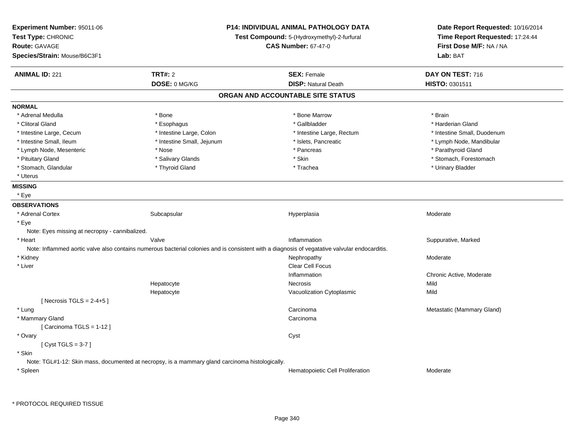| Experiment Number: 95011-06                    | <b>P14: INDIVIDUAL ANIMAL PATHOLOGY DATA</b>                                                    |                                                                                                                                                | Date Report Requested: 10/16/2014 |
|------------------------------------------------|-------------------------------------------------------------------------------------------------|------------------------------------------------------------------------------------------------------------------------------------------------|-----------------------------------|
| Test Type: CHRONIC                             |                                                                                                 | Test Compound: 5-(Hydroxymethyl)-2-furfural                                                                                                    | Time Report Requested: 17:24:44   |
| <b>Route: GAVAGE</b>                           |                                                                                                 | <b>CAS Number: 67-47-0</b>                                                                                                                     | First Dose M/F: NA / NA           |
| Species/Strain: Mouse/B6C3F1                   |                                                                                                 |                                                                                                                                                | Lab: BAT                          |
| <b>ANIMAL ID: 221</b>                          | <b>TRT#: 2</b>                                                                                  | <b>SEX: Female</b>                                                                                                                             | DAY ON TEST: 716                  |
|                                                | DOSE: 0 MG/KG                                                                                   | <b>DISP: Natural Death</b>                                                                                                                     | HISTO: 0301511                    |
|                                                |                                                                                                 | ORGAN AND ACCOUNTABLE SITE STATUS                                                                                                              |                                   |
| <b>NORMAL</b>                                  |                                                                                                 |                                                                                                                                                |                                   |
| * Adrenal Medulla                              | * Bone                                                                                          | * Bone Marrow                                                                                                                                  | * Brain                           |
| * Clitoral Gland                               | * Esophagus                                                                                     | * Gallbladder                                                                                                                                  | * Harderian Gland                 |
| * Intestine Large, Cecum                       | * Intestine Large, Colon                                                                        | * Intestine Large, Rectum                                                                                                                      | * Intestine Small, Duodenum       |
| * Intestine Small, Ileum                       | * Intestine Small, Jejunum                                                                      | * Islets, Pancreatic                                                                                                                           | * Lymph Node, Mandibular          |
| * Lymph Node, Mesenteric                       | * Nose                                                                                          | * Pancreas                                                                                                                                     | * Parathyroid Gland               |
| * Pituitary Gland                              | * Salivary Glands                                                                               | * Skin                                                                                                                                         | * Stomach, Forestomach            |
| * Stomach, Glandular                           | * Thyroid Gland                                                                                 | * Trachea                                                                                                                                      | * Urinary Bladder                 |
| * Uterus                                       |                                                                                                 |                                                                                                                                                |                                   |
| <b>MISSING</b>                                 |                                                                                                 |                                                                                                                                                |                                   |
| * Eye                                          |                                                                                                 |                                                                                                                                                |                                   |
| <b>OBSERVATIONS</b>                            |                                                                                                 |                                                                                                                                                |                                   |
| * Adrenal Cortex                               | Subcapsular                                                                                     | Hyperplasia                                                                                                                                    | Moderate                          |
| * Eye                                          |                                                                                                 |                                                                                                                                                |                                   |
| Note: Eyes missing at necropsy - cannibalized. |                                                                                                 |                                                                                                                                                |                                   |
| * Heart                                        | Valve                                                                                           | Inflammation                                                                                                                                   | Suppurative, Marked               |
|                                                |                                                                                                 | Note: Inflammed aortic valve also contains numerous bacterial colonies and is consistent with a diagnosis of vegatative valvular endocarditis. |                                   |
| * Kidney                                       |                                                                                                 | Nephropathy                                                                                                                                    | Moderate                          |
| * Liver                                        |                                                                                                 | Clear Cell Focus                                                                                                                               |                                   |
|                                                |                                                                                                 | Inflammation                                                                                                                                   | Chronic Active, Moderate          |
|                                                | Hepatocyte                                                                                      | Necrosis                                                                                                                                       | Mild                              |
|                                                | Hepatocyte                                                                                      | Vacuolization Cytoplasmic                                                                                                                      | Mild                              |
| [Necrosis TGLS = $2-4+5$ ]                     |                                                                                                 |                                                                                                                                                |                                   |
| * Lung                                         |                                                                                                 | Carcinoma                                                                                                                                      | Metastatic (Mammary Gland)        |
| * Mammary Gland                                |                                                                                                 | Carcinoma                                                                                                                                      |                                   |
| [Carcinoma TGLS = 1-12]                        |                                                                                                 |                                                                                                                                                |                                   |
| * Ovary                                        |                                                                                                 | Cyst                                                                                                                                           |                                   |
| [Cyst TGLS = $3-7$ ]                           |                                                                                                 |                                                                                                                                                |                                   |
| * Skin                                         |                                                                                                 |                                                                                                                                                |                                   |
|                                                | Note: TGL#1-12: Skin mass, documented at necropsy, is a mammary gland carcinoma histologically. |                                                                                                                                                |                                   |
| * Spleen                                       |                                                                                                 | Hematopoietic Cell Proliferation                                                                                                               | Moderate                          |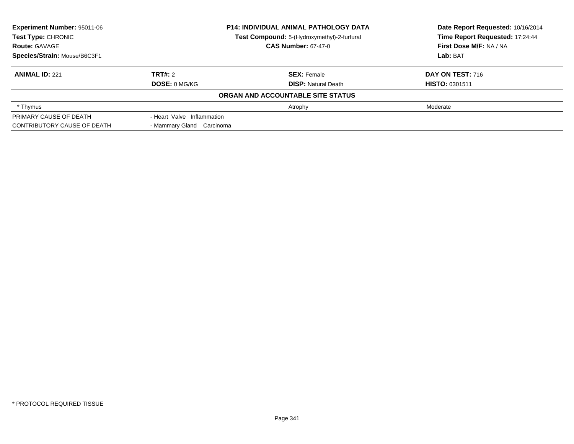| <b>Experiment Number: 95011-06</b><br>Test Type: CHRONIC |                            | <b>P14: INDIVIDUAL ANIMAL PATHOLOGY DATA</b><br>Test Compound: 5-(Hydroxymethyl)-2-furfural | Date Report Requested: 10/16/2014<br>Time Report Requested: 17:24:44 |  |
|----------------------------------------------------------|----------------------------|---------------------------------------------------------------------------------------------|----------------------------------------------------------------------|--|
| <b>Route: GAVAGE</b>                                     |                            | <b>CAS Number: 67-47-0</b>                                                                  | First Dose M/F: NA / NA                                              |  |
| Species/Strain: Mouse/B6C3F1                             |                            |                                                                                             | Lab: BAT                                                             |  |
| <b>ANIMAL ID: 221</b>                                    | TRT#: 2                    | <b>SEX: Female</b>                                                                          | <b>DAY ON TEST: 716</b>                                              |  |
|                                                          | <b>DOSE: 0 MG/KG</b>       | <b>DISP:</b> Natural Death                                                                  | <b>HISTO: 0301511</b>                                                |  |
|                                                          |                            | ORGAN AND ACCOUNTABLE SITE STATUS                                                           |                                                                      |  |
| * Thymus                                                 |                            | Atrophy                                                                                     | Moderate                                                             |  |
| PRIMARY CAUSE OF DEATH                                   | - Heart Valve Inflammation |                                                                                             |                                                                      |  |
| CONTRIBUTORY CAUSE OF DEATH                              | - Mammary Gland Carcinoma  |                                                                                             |                                                                      |  |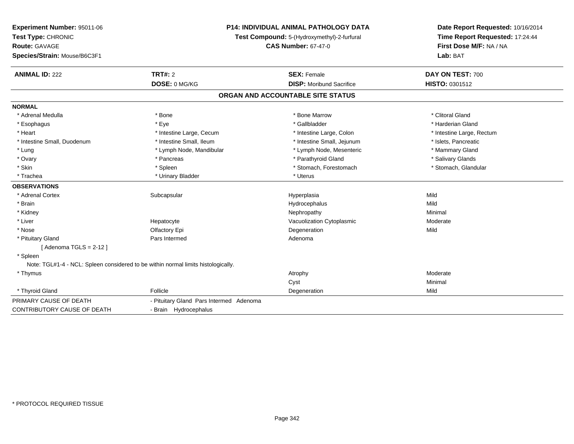| Experiment Number: 95011-06<br>Test Type: CHRONIC<br><b>Route: GAVAGE</b><br>Species/Strain: Mouse/B6C3F1 |                                                                                   | <b>P14: INDIVIDUAL ANIMAL PATHOLOGY DATA</b><br>Test Compound: 5-(Hydroxymethyl)-2-furfural<br><b>CAS Number: 67-47-0</b> | Date Report Requested: 10/16/2014<br>Time Report Requested: 17:24:44<br>First Dose M/F: NA / NA<br>Lab: BAT |
|-----------------------------------------------------------------------------------------------------------|-----------------------------------------------------------------------------------|---------------------------------------------------------------------------------------------------------------------------|-------------------------------------------------------------------------------------------------------------|
| <b>ANIMAL ID: 222</b>                                                                                     | <b>TRT#: 2</b>                                                                    | <b>SEX: Female</b>                                                                                                        | DAY ON TEST: 700                                                                                            |
|                                                                                                           | DOSE: 0 MG/KG                                                                     | <b>DISP:</b> Moribund Sacrifice                                                                                           | HISTO: 0301512                                                                                              |
|                                                                                                           |                                                                                   | ORGAN AND ACCOUNTABLE SITE STATUS                                                                                         |                                                                                                             |
| <b>NORMAL</b>                                                                                             |                                                                                   |                                                                                                                           |                                                                                                             |
| * Adrenal Medulla                                                                                         | * Bone                                                                            | * Bone Marrow                                                                                                             | * Clitoral Gland                                                                                            |
| * Esophagus                                                                                               | * Eye                                                                             | * Gallbladder                                                                                                             | * Harderian Gland                                                                                           |
| * Heart                                                                                                   | * Intestine Large, Cecum                                                          | * Intestine Large, Colon                                                                                                  | * Intestine Large, Rectum                                                                                   |
| * Intestine Small, Duodenum                                                                               | * Intestine Small, Ileum                                                          | * Intestine Small, Jejunum                                                                                                | * Islets, Pancreatic                                                                                        |
| * Lung                                                                                                    | * Lymph Node, Mandibular                                                          | * Lymph Node, Mesenteric                                                                                                  | * Mammary Gland                                                                                             |
| * Ovary                                                                                                   | * Pancreas                                                                        | * Parathyroid Gland                                                                                                       | * Salivary Glands                                                                                           |
| * Skin                                                                                                    | * Spleen                                                                          | * Stomach, Forestomach                                                                                                    | * Stomach, Glandular                                                                                        |
| * Trachea                                                                                                 | * Urinary Bladder                                                                 | * Uterus                                                                                                                  |                                                                                                             |
| <b>OBSERVATIONS</b>                                                                                       |                                                                                   |                                                                                                                           |                                                                                                             |
| * Adrenal Cortex                                                                                          | Subcapsular                                                                       | Hyperplasia                                                                                                               | Mild                                                                                                        |
| * Brain                                                                                                   |                                                                                   | Hydrocephalus                                                                                                             | Mild                                                                                                        |
| * Kidney                                                                                                  |                                                                                   | Nephropathy                                                                                                               | Minimal                                                                                                     |
| * Liver                                                                                                   | Hepatocyte                                                                        | Vacuolization Cytoplasmic                                                                                                 | Moderate                                                                                                    |
| * Nose                                                                                                    | Olfactory Epi                                                                     | Degeneration                                                                                                              | Mild                                                                                                        |
| * Pituitary Gland                                                                                         | Pars Intermed                                                                     | Adenoma                                                                                                                   |                                                                                                             |
| [Adenoma TGLS = $2-12$ ]                                                                                  |                                                                                   |                                                                                                                           |                                                                                                             |
| * Spleen                                                                                                  |                                                                                   |                                                                                                                           |                                                                                                             |
|                                                                                                           | Note: TGL#1-4 - NCL: Spleen considered to be within normal limits histologically. |                                                                                                                           |                                                                                                             |
| * Thymus                                                                                                  |                                                                                   | Atrophy                                                                                                                   | Moderate                                                                                                    |
|                                                                                                           |                                                                                   | Cyst                                                                                                                      | Minimal                                                                                                     |
| * Thyroid Gland                                                                                           | Follicle                                                                          | Degeneration                                                                                                              | Mild                                                                                                        |
| PRIMARY CAUSE OF DEATH                                                                                    | - Pituitary Gland Pars Intermed Adenoma                                           |                                                                                                                           |                                                                                                             |
| CONTRIBUTORY CAUSE OF DEATH                                                                               | - Brain Hydrocephalus                                                             |                                                                                                                           |                                                                                                             |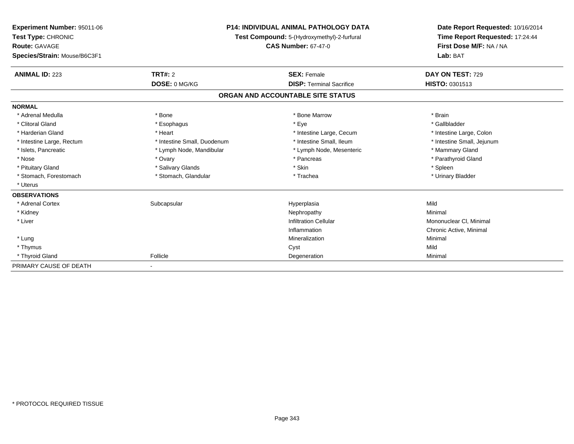| Experiment Number: 95011-06<br>Test Type: CHRONIC<br><b>Route: GAVAGE</b> |                             | <b>P14: INDIVIDUAL ANIMAL PATHOLOGY DATA</b><br>Test Compound: 5-(Hydroxymethyl)-2-furfural<br><b>CAS Number: 67-47-0</b> | Date Report Requested: 10/16/2014<br>Time Report Requested: 17:24:44<br>First Dose M/F: NA / NA |
|---------------------------------------------------------------------------|-----------------------------|---------------------------------------------------------------------------------------------------------------------------|-------------------------------------------------------------------------------------------------|
| Species/Strain: Mouse/B6C3F1                                              |                             |                                                                                                                           | Lab: BAT                                                                                        |
| <b>ANIMAL ID: 223</b>                                                     | TRT#: 2                     | <b>SEX: Female</b>                                                                                                        | DAY ON TEST: 729                                                                                |
|                                                                           | DOSE: 0 MG/KG               | <b>DISP: Terminal Sacrifice</b>                                                                                           | <b>HISTO: 0301513</b>                                                                           |
|                                                                           |                             | ORGAN AND ACCOUNTABLE SITE STATUS                                                                                         |                                                                                                 |
| <b>NORMAL</b>                                                             |                             |                                                                                                                           |                                                                                                 |
| * Adrenal Medulla                                                         | * Bone                      | * Bone Marrow                                                                                                             | * Brain                                                                                         |
| * Clitoral Gland                                                          | * Esophagus                 | * Eye                                                                                                                     | * Gallbladder                                                                                   |
| * Harderian Gland                                                         | * Heart                     | * Intestine Large, Cecum                                                                                                  | * Intestine Large, Colon                                                                        |
| * Intestine Large, Rectum                                                 | * Intestine Small, Duodenum | * Intestine Small, Ileum                                                                                                  | * Intestine Small, Jejunum                                                                      |
| * Islets, Pancreatic                                                      | * Lymph Node, Mandibular    | * Lymph Node, Mesenteric                                                                                                  | * Mammary Gland                                                                                 |
| * Nose                                                                    | * Ovary                     | * Pancreas                                                                                                                | * Parathyroid Gland                                                                             |
| * Pituitary Gland                                                         | * Salivary Glands           | * Skin                                                                                                                    | * Spleen                                                                                        |
| * Stomach, Forestomach                                                    | * Stomach, Glandular        | * Trachea                                                                                                                 | * Urinary Bladder                                                                               |
| * Uterus                                                                  |                             |                                                                                                                           |                                                                                                 |
| <b>OBSERVATIONS</b>                                                       |                             |                                                                                                                           |                                                                                                 |
| * Adrenal Cortex                                                          | Subcapsular                 | Hyperplasia                                                                                                               | Mild                                                                                            |
| * Kidney                                                                  |                             | Nephropathy                                                                                                               | Minimal                                                                                         |
| * Liver                                                                   |                             | <b>Infiltration Cellular</b>                                                                                              | Mononuclear CI, Minimal                                                                         |
|                                                                           |                             | Inflammation                                                                                                              | Chronic Active, Minimal                                                                         |
| * Lung                                                                    |                             | Mineralization                                                                                                            | Minimal                                                                                         |
| * Thymus                                                                  |                             | Cyst                                                                                                                      | Mild                                                                                            |
| * Thyroid Gland                                                           | Follicle                    | Degeneration                                                                                                              | Minimal                                                                                         |
| PRIMARY CAUSE OF DEATH                                                    |                             |                                                                                                                           |                                                                                                 |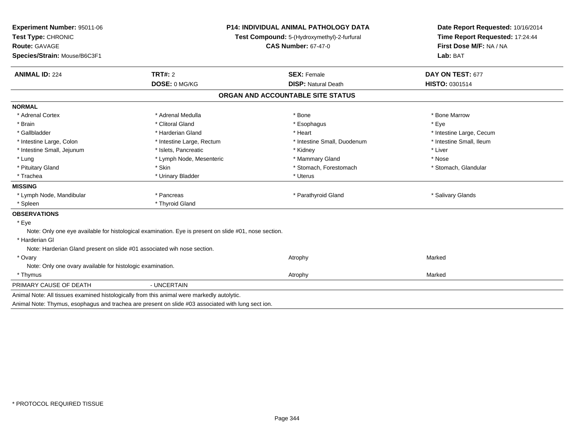| Experiment Number: 95011-06                                             |                                                                                                       | <b>P14: INDIVIDUAL ANIMAL PATHOLOGY DATA</b> |                                                                                                 |  |
|-------------------------------------------------------------------------|-------------------------------------------------------------------------------------------------------|----------------------------------------------|-------------------------------------------------------------------------------------------------|--|
| Test Type: CHRONIC                                                      |                                                                                                       | Test Compound: 5-(Hydroxymethyl)-2-furfural  | Date Report Requested: 10/16/2014<br>Time Report Requested: 17:24:44<br>First Dose M/F: NA / NA |  |
| <b>Route: GAVAGE</b>                                                    |                                                                                                       | <b>CAS Number: 67-47-0</b>                   |                                                                                                 |  |
| Species/Strain: Mouse/B6C3F1                                            |                                                                                                       |                                              | Lab: BAT                                                                                        |  |
| <b>ANIMAL ID: 224</b>                                                   | TRT#: 2                                                                                               | <b>SEX: Female</b>                           | DAY ON TEST: 677                                                                                |  |
|                                                                         | DOSE: 0 MG/KG                                                                                         | <b>DISP: Natural Death</b>                   | HISTO: 0301514                                                                                  |  |
|                                                                         |                                                                                                       | ORGAN AND ACCOUNTABLE SITE STATUS            |                                                                                                 |  |
| <b>NORMAL</b>                                                           |                                                                                                       |                                              |                                                                                                 |  |
| * Adrenal Cortex                                                        | * Adrenal Medulla                                                                                     | * Bone                                       | * Bone Marrow                                                                                   |  |
| * Brain                                                                 | * Clitoral Gland                                                                                      | * Esophagus                                  | * Eve                                                                                           |  |
| * Gallbladder                                                           | * Harderian Gland                                                                                     | * Heart                                      | * Intestine Large, Cecum                                                                        |  |
| * Intestine Large, Colon                                                | * Intestine Large, Rectum                                                                             | * Intestine Small, Duodenum                  | * Intestine Small, Ileum                                                                        |  |
| * Intestine Small, Jejunum                                              | * Islets, Pancreatic                                                                                  | * Kidney                                     | * Liver                                                                                         |  |
| * Lung                                                                  | * Lymph Node, Mesenteric                                                                              | * Mammary Gland                              | * Nose                                                                                          |  |
| * Pituitary Gland                                                       | * Skin                                                                                                | * Stomach, Forestomach                       | * Stomach, Glandular                                                                            |  |
| * Trachea                                                               | * Urinary Bladder                                                                                     | * Uterus                                     |                                                                                                 |  |
| <b>MISSING</b>                                                          |                                                                                                       |                                              |                                                                                                 |  |
| * Lymph Node, Mandibular                                                | * Pancreas                                                                                            | * Parathyroid Gland                          | * Salivary Glands                                                                               |  |
| * Spleen                                                                | * Thyroid Gland                                                                                       |                                              |                                                                                                 |  |
| <b>OBSERVATIONS</b>                                                     |                                                                                                       |                                              |                                                                                                 |  |
| * Eye                                                                   |                                                                                                       |                                              |                                                                                                 |  |
|                                                                         | Note: Only one eye available for histological examination. Eye is present on slide #01, nose section. |                                              |                                                                                                 |  |
| * Harderian GI                                                          |                                                                                                       |                                              |                                                                                                 |  |
| Note: Harderian Gland present on slide #01 associated wih nose section. |                                                                                                       |                                              |                                                                                                 |  |
| * Ovary                                                                 |                                                                                                       | Atrophy                                      | Marked                                                                                          |  |
| Note: Only one ovary available for histologic examination.              |                                                                                                       |                                              |                                                                                                 |  |
| * Thymus                                                                |                                                                                                       | Atrophy                                      | Marked                                                                                          |  |
| PRIMARY CAUSE OF DEATH                                                  | - UNCERTAIN                                                                                           |                                              |                                                                                                 |  |
|                                                                         | Animal Note: All tissues examined histologically from this animal were markedly autolytic.            |                                              |                                                                                                 |  |
|                                                                         | Animal Note: Thymus, esophagus and trachea are present on slide #03 associated with lung sect ion.    |                                              |                                                                                                 |  |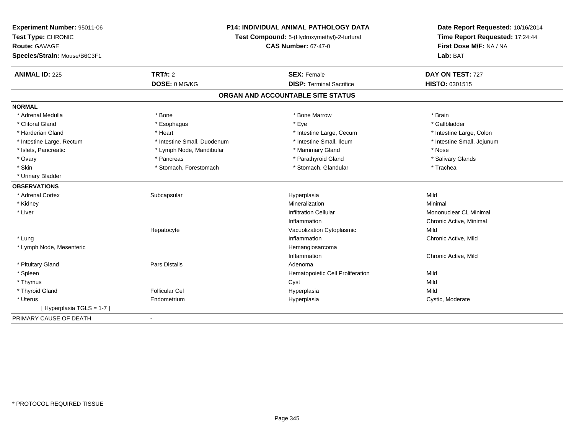| Experiment Number: 95011-06  | P14: INDIVIDUAL ANIMAL PATHOLOGY DATA<br>Test Compound: 5-(Hydroxymethyl)-2-furfural |                                   | Date Report Requested: 10/16/2014 |  |
|------------------------------|--------------------------------------------------------------------------------------|-----------------------------------|-----------------------------------|--|
| Test Type: CHRONIC           |                                                                                      |                                   | Time Report Requested: 17:24:44   |  |
| Route: GAVAGE                |                                                                                      | <b>CAS Number: 67-47-0</b>        | First Dose M/F: NA / NA           |  |
| Species/Strain: Mouse/B6C3F1 |                                                                                      |                                   | Lab: BAT                          |  |
| <b>ANIMAL ID: 225</b>        | TRT#: 2                                                                              | <b>SEX: Female</b>                | DAY ON TEST: 727                  |  |
|                              | DOSE: 0 MG/KG                                                                        | <b>DISP: Terminal Sacrifice</b>   | HISTO: 0301515                    |  |
|                              |                                                                                      | ORGAN AND ACCOUNTABLE SITE STATUS |                                   |  |
| <b>NORMAL</b>                |                                                                                      |                                   |                                   |  |
| * Adrenal Medulla            | * Bone                                                                               | * Bone Marrow                     | * Brain                           |  |
| * Clitoral Gland             | * Esophagus                                                                          | * Eye                             | * Gallbladder                     |  |
| * Harderian Gland            | * Heart                                                                              | * Intestine Large, Cecum          | * Intestine Large, Colon          |  |
| * Intestine Large, Rectum    | * Intestine Small, Duodenum                                                          | * Intestine Small. Ileum          | * Intestine Small, Jejunum        |  |
| * Islets, Pancreatic         | * Lymph Node, Mandibular                                                             | * Mammary Gland                   | * Nose                            |  |
| * Ovary                      | * Pancreas                                                                           | * Parathyroid Gland               | * Salivary Glands                 |  |
| * Skin                       | * Stomach, Forestomach                                                               | * Stomach, Glandular              | * Trachea                         |  |
| * Urinary Bladder            |                                                                                      |                                   |                                   |  |
| <b>OBSERVATIONS</b>          |                                                                                      |                                   |                                   |  |
| * Adrenal Cortex             | Subcapsular                                                                          | Hyperplasia                       | Mild                              |  |
| * Kidney                     |                                                                                      | Mineralization                    | Minimal                           |  |
| * Liver                      |                                                                                      | <b>Infiltration Cellular</b>      | Mononuclear CI, Minimal           |  |
|                              |                                                                                      | Inflammation                      | Chronic Active, Minimal           |  |
|                              | Hepatocyte                                                                           | Vacuolization Cytoplasmic         | Mild                              |  |
| * Lung                       |                                                                                      | Inflammation                      | Chronic Active, Mild              |  |
| * Lymph Node, Mesenteric     |                                                                                      | Hemangiosarcoma                   |                                   |  |
|                              |                                                                                      | Inflammation                      | Chronic Active, Mild              |  |
| * Pituitary Gland            | Pars Distalis                                                                        | Adenoma                           |                                   |  |
| * Spleen                     |                                                                                      | Hematopoietic Cell Proliferation  | Mild                              |  |
| * Thymus                     |                                                                                      | Cyst                              | Mild                              |  |
| * Thyroid Gland              | <b>Follicular Cel</b>                                                                | Hyperplasia                       | Mild                              |  |
| * Uterus                     | Endometrium                                                                          | Hyperplasia                       | Cystic, Moderate                  |  |
| [Hyperplasia TGLS = 1-7]     |                                                                                      |                                   |                                   |  |
| PRIMARY CAUSE OF DEATH       | $\blacksquare$                                                                       |                                   |                                   |  |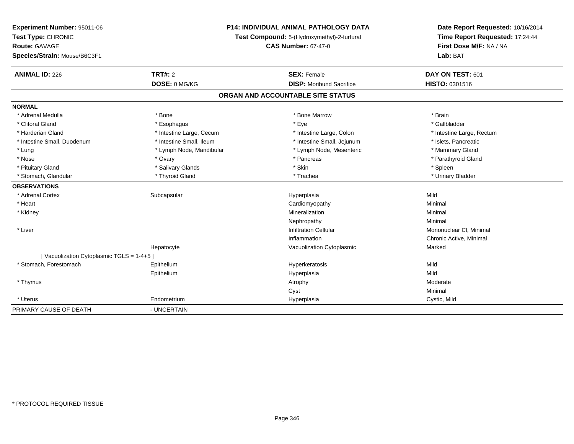| Experiment Number: 95011-06              | <b>P14: INDIVIDUAL ANIMAL PATHOLOGY DATA</b><br>Test Compound: 5-(Hydroxymethyl)-2-furfural |                                   | Date Report Requested: 10/16/2014 |  |
|------------------------------------------|---------------------------------------------------------------------------------------------|-----------------------------------|-----------------------------------|--|
| Test Type: CHRONIC                       |                                                                                             |                                   | Time Report Requested: 17:24:44   |  |
| Route: GAVAGE                            |                                                                                             | <b>CAS Number: 67-47-0</b>        | First Dose M/F: NA / NA           |  |
| Species/Strain: Mouse/B6C3F1             |                                                                                             |                                   | Lab: BAT                          |  |
| <b>ANIMAL ID: 226</b>                    | <b>TRT#: 2</b>                                                                              | <b>SEX: Female</b>                | DAY ON TEST: 601                  |  |
|                                          | DOSE: 0 MG/KG                                                                               | <b>DISP:</b> Moribund Sacrifice   | HISTO: 0301516                    |  |
|                                          |                                                                                             | ORGAN AND ACCOUNTABLE SITE STATUS |                                   |  |
| <b>NORMAL</b>                            |                                                                                             |                                   |                                   |  |
| * Adrenal Medulla                        | * Bone                                                                                      | * Bone Marrow                     | * Brain                           |  |
| * Clitoral Gland                         | * Esophagus                                                                                 | * Eye                             | * Gallbladder                     |  |
| * Harderian Gland                        | * Intestine Large, Cecum                                                                    | * Intestine Large, Colon          | * Intestine Large, Rectum         |  |
| * Intestine Small, Duodenum              | * Intestine Small. Ileum                                                                    | * Intestine Small, Jejunum        | * Islets, Pancreatic              |  |
| * Lung                                   | * Lymph Node, Mandibular                                                                    | * Lymph Node, Mesenteric          | * Mammary Gland                   |  |
| * Nose                                   | * Ovary                                                                                     | * Pancreas                        | * Parathyroid Gland               |  |
| * Pituitary Gland                        | * Salivary Glands                                                                           | * Skin                            | * Spleen                          |  |
| * Stomach, Glandular                     | * Thyroid Gland                                                                             | * Trachea                         | * Urinary Bladder                 |  |
| <b>OBSERVATIONS</b>                      |                                                                                             |                                   |                                   |  |
| * Adrenal Cortex                         | Subcapsular                                                                                 | Hyperplasia                       | Mild                              |  |
| * Heart                                  |                                                                                             | Cardiomyopathy                    | Minimal                           |  |
| * Kidney                                 |                                                                                             | Mineralization                    | Minimal                           |  |
|                                          |                                                                                             | Nephropathy                       | Minimal                           |  |
| * Liver                                  |                                                                                             | <b>Infiltration Cellular</b>      | Mononuclear CI, Minimal           |  |
|                                          |                                                                                             | Inflammation                      | Chronic Active, Minimal           |  |
|                                          | Hepatocyte                                                                                  | Vacuolization Cytoplasmic         | Marked                            |  |
| [Vacuolization Cytoplasmic TGLS = 1-4+5] |                                                                                             |                                   |                                   |  |
| * Stomach, Forestomach                   | Epithelium                                                                                  | Hyperkeratosis                    | Mild                              |  |
|                                          | Epithelium                                                                                  | Hyperplasia                       | Mild                              |  |
| * Thymus                                 |                                                                                             | Atrophy                           | Moderate                          |  |
|                                          |                                                                                             | Cyst                              | Minimal                           |  |
| * Uterus                                 | Endometrium                                                                                 | Hyperplasia                       | Cystic, Mild                      |  |
| PRIMARY CAUSE OF DEATH                   | - UNCERTAIN                                                                                 |                                   |                                   |  |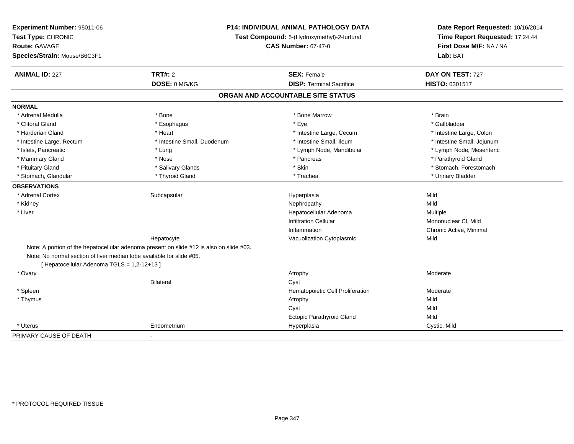| Experiment Number: 95011-06                                           | <b>P14: INDIVIDUAL ANIMAL PATHOLOGY DATA</b><br>Test Compound: 5-(Hydroxymethyl)-2-furfural |                                   | Date Report Requested: 10/16/2014<br>Time Report Requested: 17:24:44 |
|-----------------------------------------------------------------------|---------------------------------------------------------------------------------------------|-----------------------------------|----------------------------------------------------------------------|
| Test Type: CHRONIC                                                    |                                                                                             |                                   |                                                                      |
| <b>Route: GAVAGE</b>                                                  |                                                                                             | <b>CAS Number: 67-47-0</b>        | First Dose M/F: NA / NA                                              |
| Species/Strain: Mouse/B6C3F1                                          |                                                                                             |                                   | Lab: BAT                                                             |
| <b>ANIMAL ID: 227</b>                                                 | <b>TRT#: 2</b>                                                                              | <b>SEX: Female</b>                | DAY ON TEST: 727                                                     |
|                                                                       | DOSE: 0 MG/KG                                                                               | <b>DISP: Terminal Sacrifice</b>   | HISTO: 0301517                                                       |
|                                                                       |                                                                                             | ORGAN AND ACCOUNTABLE SITE STATUS |                                                                      |
| <b>NORMAL</b>                                                         |                                                                                             |                                   |                                                                      |
| * Adrenal Medulla                                                     | * Bone                                                                                      | * Bone Marrow                     | * Brain                                                              |
| * Clitoral Gland                                                      | * Esophagus                                                                                 | * Eye                             | * Gallbladder                                                        |
| * Harderian Gland                                                     | * Heart                                                                                     | * Intestine Large, Cecum          | * Intestine Large, Colon                                             |
| * Intestine Large, Rectum                                             | * Intestine Small, Duodenum                                                                 | * Intestine Small, Ileum          | * Intestine Small, Jejunum                                           |
| * Islets, Pancreatic                                                  | * Lung                                                                                      | * Lymph Node, Mandibular          | * Lymph Node, Mesenteric                                             |
| * Mammary Gland                                                       | * Nose                                                                                      | * Pancreas                        | * Parathyroid Gland                                                  |
| * Pituitary Gland                                                     | * Salivary Glands                                                                           | * Skin                            | * Stomach, Forestomach                                               |
| * Stomach, Glandular                                                  | * Thyroid Gland                                                                             | * Trachea                         | * Urinary Bladder                                                    |
| <b>OBSERVATIONS</b>                                                   |                                                                                             |                                   |                                                                      |
| * Adrenal Cortex                                                      | Subcapsular                                                                                 | Hyperplasia                       | Mild                                                                 |
| * Kidney                                                              |                                                                                             | Nephropathy                       | Mild                                                                 |
| * Liver                                                               |                                                                                             | Hepatocellular Adenoma            | Multiple                                                             |
|                                                                       |                                                                                             | <b>Infiltration Cellular</b>      | Mononuclear CI, Mild                                                 |
|                                                                       |                                                                                             | Inflammation                      | Chronic Active, Minimal                                              |
|                                                                       | Hepatocyte                                                                                  | Vacuolization Cytoplasmic         | Mild                                                                 |
|                                                                       | Note: A portion of the hepatocellular adenoma present on slide #12 is also on slide #03.    |                                   |                                                                      |
| Note: No normal section of liver median lobe available for slide #05. |                                                                                             |                                   |                                                                      |
| [ Hepatocellular Adenoma TGLS = 1,2-12+13 ]                           |                                                                                             |                                   |                                                                      |
| * Ovary                                                               |                                                                                             | Atrophy                           | Moderate                                                             |
|                                                                       | <b>Bilateral</b>                                                                            | Cyst                              |                                                                      |
| * Spleen                                                              |                                                                                             | Hematopoietic Cell Proliferation  | Moderate                                                             |
| * Thymus                                                              |                                                                                             | Atrophy                           | Mild                                                                 |
|                                                                       |                                                                                             | Cyst                              | Mild                                                                 |
|                                                                       |                                                                                             | Ectopic Parathyroid Gland         | Mild                                                                 |
| * Uterus                                                              | Endometrium                                                                                 | Hyperplasia                       | Cystic, Mild                                                         |
| PRIMARY CAUSE OF DEATH                                                | $\blacksquare$                                                                              |                                   |                                                                      |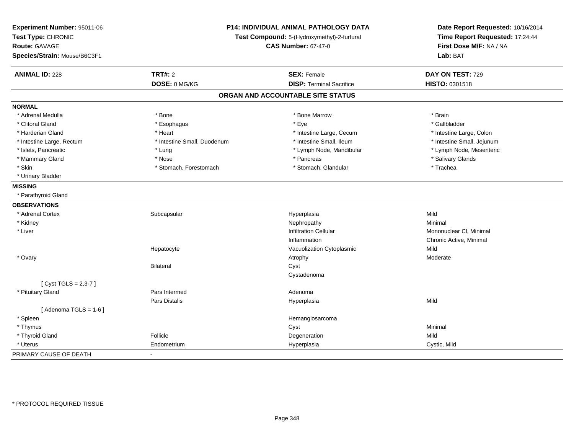| Experiment Number: 95011-06<br>Test Type: CHRONIC<br>Route: GAVAGE<br>Species/Strain: Mouse/B6C3F1 | P14: INDIVIDUAL ANIMAL PATHOLOGY DATA<br>Test Compound: 5-(Hydroxymethyl)-2-furfural<br><b>CAS Number: 67-47-0</b> |                                   | Date Report Requested: 10/16/2014<br>Time Report Requested: 17:24:44<br>First Dose M/F: NA / NA<br>Lab: BAT |
|----------------------------------------------------------------------------------------------------|--------------------------------------------------------------------------------------------------------------------|-----------------------------------|-------------------------------------------------------------------------------------------------------------|
| <b>ANIMAL ID: 228</b>                                                                              | <b>TRT#: 2</b>                                                                                                     | <b>SEX: Female</b>                | DAY ON TEST: 729                                                                                            |
|                                                                                                    | DOSE: 0 MG/KG                                                                                                      | <b>DISP: Terminal Sacrifice</b>   | HISTO: 0301518                                                                                              |
|                                                                                                    |                                                                                                                    | ORGAN AND ACCOUNTABLE SITE STATUS |                                                                                                             |
| <b>NORMAL</b>                                                                                      |                                                                                                                    |                                   |                                                                                                             |
| * Adrenal Medulla                                                                                  | * Bone                                                                                                             | * Bone Marrow                     | * Brain                                                                                                     |
| * Clitoral Gland                                                                                   | * Esophagus                                                                                                        | * Eye                             | * Gallbladder                                                                                               |
| * Harderian Gland                                                                                  | * Heart                                                                                                            | * Intestine Large, Cecum          | * Intestine Large, Colon                                                                                    |
| * Intestine Large, Rectum                                                                          | * Intestine Small, Duodenum                                                                                        | * Intestine Small, Ileum          | * Intestine Small, Jejunum                                                                                  |
| * Islets, Pancreatic                                                                               | * Lung                                                                                                             | * Lymph Node, Mandibular          | * Lymph Node, Mesenteric                                                                                    |
| * Mammary Gland                                                                                    | * Nose                                                                                                             | * Pancreas                        | * Salivary Glands                                                                                           |
| * Skin                                                                                             | * Stomach, Forestomach                                                                                             | * Stomach, Glandular              | * Trachea                                                                                                   |
| * Urinary Bladder                                                                                  |                                                                                                                    |                                   |                                                                                                             |
| <b>MISSING</b>                                                                                     |                                                                                                                    |                                   |                                                                                                             |
| * Parathyroid Gland                                                                                |                                                                                                                    |                                   |                                                                                                             |
| <b>OBSERVATIONS</b>                                                                                |                                                                                                                    |                                   |                                                                                                             |
| * Adrenal Cortex                                                                                   | Subcapsular                                                                                                        | Hyperplasia                       | Mild                                                                                                        |
| * Kidney                                                                                           |                                                                                                                    | Nephropathy                       | Minimal                                                                                                     |
| * Liver                                                                                            |                                                                                                                    | <b>Infiltration Cellular</b>      | Mononuclear CI, Minimal                                                                                     |
|                                                                                                    |                                                                                                                    | Inflammation                      | Chronic Active, Minimal                                                                                     |
|                                                                                                    | Hepatocyte                                                                                                         | Vacuolization Cytoplasmic         | Mild                                                                                                        |
| * Ovary                                                                                            |                                                                                                                    | Atrophy                           | Moderate                                                                                                    |
|                                                                                                    | Bilateral                                                                                                          | Cyst                              |                                                                                                             |
|                                                                                                    |                                                                                                                    | Cystadenoma                       |                                                                                                             |
| [ Cyst TGLS = 2,3-7 ]                                                                              |                                                                                                                    |                                   |                                                                                                             |
| * Pituitary Gland                                                                                  | Pars Intermed                                                                                                      | Adenoma                           |                                                                                                             |
|                                                                                                    | Pars Distalis                                                                                                      | Hyperplasia                       | Mild                                                                                                        |
| [Adenoma TGLS = $1-6$ ]                                                                            |                                                                                                                    |                                   |                                                                                                             |
| * Spleen                                                                                           |                                                                                                                    | Hemangiosarcoma                   |                                                                                                             |
| * Thymus                                                                                           |                                                                                                                    | Cyst                              | Minimal                                                                                                     |
| * Thyroid Gland                                                                                    | Follicle                                                                                                           | Degeneration                      | Mild                                                                                                        |
| * Uterus                                                                                           | Endometrium                                                                                                        | Hyperplasia                       | Cystic, Mild                                                                                                |
| PRIMARY CAUSE OF DEATH                                                                             | $\sim$                                                                                                             |                                   |                                                                                                             |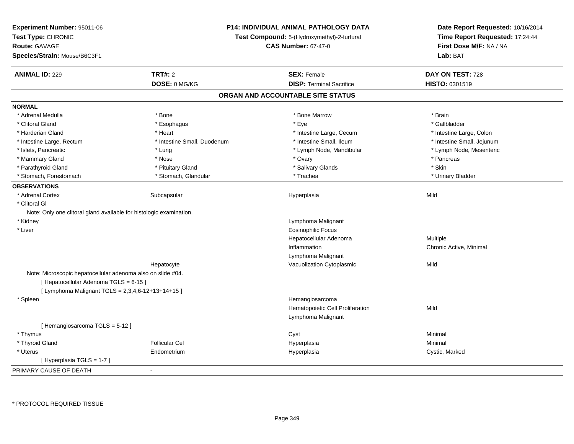| Experiment Number: 95011-06<br>Test Type: CHRONIC<br><b>Route: GAVAGE</b><br>Species/Strain: Mouse/B6C3F1 |                             | <b>P14: INDIVIDUAL ANIMAL PATHOLOGY DATA</b><br>Test Compound: 5-(Hydroxymethyl)-2-furfural<br><b>CAS Number: 67-47-0</b> | Date Report Requested: 10/16/2014<br>Time Report Requested: 17:24:44<br>First Dose M/F: NA / NA<br>Lab: BAT |
|-----------------------------------------------------------------------------------------------------------|-----------------------------|---------------------------------------------------------------------------------------------------------------------------|-------------------------------------------------------------------------------------------------------------|
| <b>ANIMAL ID: 229</b>                                                                                     | <b>TRT#: 2</b>              | <b>SEX: Female</b>                                                                                                        | DAY ON TEST: 728                                                                                            |
|                                                                                                           | DOSE: 0 MG/KG               | <b>DISP: Terminal Sacrifice</b>                                                                                           | HISTO: 0301519                                                                                              |
|                                                                                                           |                             | ORGAN AND ACCOUNTABLE SITE STATUS                                                                                         |                                                                                                             |
| <b>NORMAL</b>                                                                                             |                             |                                                                                                                           |                                                                                                             |
| * Adrenal Medulla                                                                                         | * Bone                      | * Bone Marrow                                                                                                             | * Brain                                                                                                     |
| * Clitoral Gland                                                                                          | * Esophagus                 | * Eye                                                                                                                     | * Gallbladder                                                                                               |
| * Harderian Gland                                                                                         | * Heart                     | * Intestine Large, Cecum                                                                                                  | * Intestine Large, Colon                                                                                    |
| * Intestine Large, Rectum                                                                                 | * Intestine Small, Duodenum | * Intestine Small, Ileum                                                                                                  | * Intestine Small, Jejunum                                                                                  |
| * Islets, Pancreatic                                                                                      | * Lung                      | * Lymph Node, Mandibular                                                                                                  | * Lymph Node, Mesenteric                                                                                    |
| * Mammary Gland                                                                                           | * Nose                      | * Ovary                                                                                                                   | * Pancreas                                                                                                  |
| * Parathyroid Gland                                                                                       | * Pituitary Gland           | * Salivary Glands                                                                                                         | * Skin                                                                                                      |
| * Stomach, Forestomach                                                                                    | * Stomach, Glandular        | * Trachea                                                                                                                 | * Urinary Bladder                                                                                           |
| <b>OBSERVATIONS</b>                                                                                       |                             |                                                                                                                           |                                                                                                             |
| * Adrenal Cortex                                                                                          | Subcapsular                 | Hyperplasia                                                                                                               | Mild                                                                                                        |
| * Clitoral GI                                                                                             |                             |                                                                                                                           |                                                                                                             |
| Note: Only one clitoral gland available for histologic examination.                                       |                             |                                                                                                                           |                                                                                                             |
| * Kidney                                                                                                  |                             | Lymphoma Malignant                                                                                                        |                                                                                                             |
| * Liver                                                                                                   |                             | <b>Eosinophilic Focus</b>                                                                                                 |                                                                                                             |
|                                                                                                           |                             | Hepatocellular Adenoma                                                                                                    | Multiple                                                                                                    |
|                                                                                                           |                             | Inflammation                                                                                                              | Chronic Active, Minimal                                                                                     |
|                                                                                                           |                             | Lymphoma Malignant                                                                                                        |                                                                                                             |
|                                                                                                           | Hepatocyte                  | Vacuolization Cytoplasmic                                                                                                 | Mild                                                                                                        |
| Note: Microscopic hepatocellular adenoma also on slide #04.                                               |                             |                                                                                                                           |                                                                                                             |
| [ Hepatocellular Adenoma TGLS = 6-15 ]                                                                    |                             |                                                                                                                           |                                                                                                             |
| [ Lymphoma Malignant TGLS = 2,3,4,6-12+13+14+15 ]                                                         |                             |                                                                                                                           |                                                                                                             |
| * Spleen                                                                                                  |                             | Hemangiosarcoma                                                                                                           |                                                                                                             |
|                                                                                                           |                             | Hematopoietic Cell Proliferation                                                                                          | Mild                                                                                                        |
|                                                                                                           |                             | Lymphoma Malignant                                                                                                        |                                                                                                             |
| [Hemangiosarcoma TGLS = 5-12]                                                                             |                             |                                                                                                                           |                                                                                                             |
| * Thymus                                                                                                  |                             | Cyst                                                                                                                      | Minimal                                                                                                     |
| * Thyroid Gland                                                                                           | <b>Follicular Cel</b>       | Hyperplasia                                                                                                               | Minimal                                                                                                     |
| * Uterus                                                                                                  | Endometrium                 | Hyperplasia                                                                                                               | Cystic, Marked                                                                                              |
| [Hyperplasia TGLS = 1-7]                                                                                  |                             |                                                                                                                           |                                                                                                             |
| PRIMARY CAUSE OF DEATH                                                                                    | $\blacksquare$              |                                                                                                                           |                                                                                                             |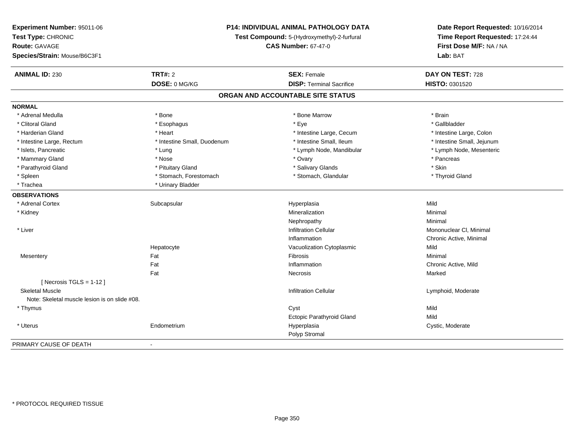| Experiment Number: 95011-06<br>Test Type: CHRONIC<br><b>Route: GAVAGE</b><br>Species/Strain: Mouse/B6C3F1 | <b>P14: INDIVIDUAL ANIMAL PATHOLOGY DATA</b><br>Test Compound: 5-(Hydroxymethyl)-2-furfural<br><b>CAS Number: 67-47-0</b> |                                   | Date Report Requested: 10/16/2014<br>Time Report Requested: 17:24:44<br>First Dose M/F: NA / NA<br>Lab: BAT |  |
|-----------------------------------------------------------------------------------------------------------|---------------------------------------------------------------------------------------------------------------------------|-----------------------------------|-------------------------------------------------------------------------------------------------------------|--|
| <b>ANIMAL ID: 230</b>                                                                                     | <b>TRT#: 2</b>                                                                                                            | <b>SEX: Female</b>                | DAY ON TEST: 728                                                                                            |  |
|                                                                                                           | DOSE: 0 MG/KG                                                                                                             | <b>DISP: Terminal Sacrifice</b>   | HISTO: 0301520                                                                                              |  |
|                                                                                                           |                                                                                                                           | ORGAN AND ACCOUNTABLE SITE STATUS |                                                                                                             |  |
| <b>NORMAL</b>                                                                                             |                                                                                                                           |                                   |                                                                                                             |  |
| * Adrenal Medulla                                                                                         | * Bone                                                                                                                    | * Bone Marrow                     | * Brain                                                                                                     |  |
| * Clitoral Gland                                                                                          | * Esophagus                                                                                                               | * Eye                             | * Gallbladder                                                                                               |  |
| * Harderian Gland                                                                                         | * Heart                                                                                                                   | * Intestine Large, Cecum          | * Intestine Large, Colon                                                                                    |  |
| * Intestine Large, Rectum                                                                                 | * Intestine Small, Duodenum                                                                                               | * Intestine Small, Ileum          | * Intestine Small, Jejunum                                                                                  |  |
| * Islets, Pancreatic                                                                                      | * Lung                                                                                                                    | * Lymph Node, Mandibular          | * Lymph Node, Mesenteric                                                                                    |  |
| * Mammary Gland                                                                                           | * Nose                                                                                                                    | * Ovary                           | * Pancreas                                                                                                  |  |
| * Parathyroid Gland                                                                                       | * Pituitary Gland                                                                                                         | * Salivary Glands                 | * Skin                                                                                                      |  |
| * Spleen                                                                                                  | * Stomach, Forestomach                                                                                                    | * Stomach, Glandular              | * Thyroid Gland                                                                                             |  |
| * Trachea                                                                                                 | * Urinary Bladder                                                                                                         |                                   |                                                                                                             |  |
| <b>OBSERVATIONS</b>                                                                                       |                                                                                                                           |                                   |                                                                                                             |  |
| * Adrenal Cortex                                                                                          | Subcapsular                                                                                                               | Hyperplasia                       | Mild                                                                                                        |  |
| * Kidney                                                                                                  |                                                                                                                           | Mineralization                    | Minimal                                                                                                     |  |
|                                                                                                           |                                                                                                                           | Nephropathy                       | Minimal                                                                                                     |  |
| * Liver                                                                                                   |                                                                                                                           | <b>Infiltration Cellular</b>      | Mononuclear CI, Minimal                                                                                     |  |
|                                                                                                           |                                                                                                                           | Inflammation                      | Chronic Active, Minimal                                                                                     |  |
|                                                                                                           | Hepatocyte                                                                                                                | Vacuolization Cytoplasmic         | Mild                                                                                                        |  |
| Mesentery                                                                                                 | Fat                                                                                                                       | Fibrosis                          | Minimal                                                                                                     |  |
|                                                                                                           | Fat                                                                                                                       | Inflammation                      | Chronic Active, Mild                                                                                        |  |
|                                                                                                           | Fat                                                                                                                       | Necrosis                          | Marked                                                                                                      |  |
| [Necrosis TGLS = $1-12$ ]                                                                                 |                                                                                                                           |                                   |                                                                                                             |  |
| <b>Skeletal Muscle</b>                                                                                    |                                                                                                                           | <b>Infiltration Cellular</b>      | Lymphoid, Moderate                                                                                          |  |
| Note: Skeletal muscle lesion is on slide #08.                                                             |                                                                                                                           |                                   |                                                                                                             |  |
| * Thymus                                                                                                  |                                                                                                                           | Cyst                              | Mild                                                                                                        |  |
|                                                                                                           |                                                                                                                           | <b>Ectopic Parathyroid Gland</b>  | Mild                                                                                                        |  |
| * Uterus                                                                                                  | Endometrium                                                                                                               | Hyperplasia                       | Cystic, Moderate                                                                                            |  |
|                                                                                                           |                                                                                                                           | Polyp Stromal                     |                                                                                                             |  |
| PRIMARY CAUSE OF DEATH                                                                                    | $\overline{a}$                                                                                                            |                                   |                                                                                                             |  |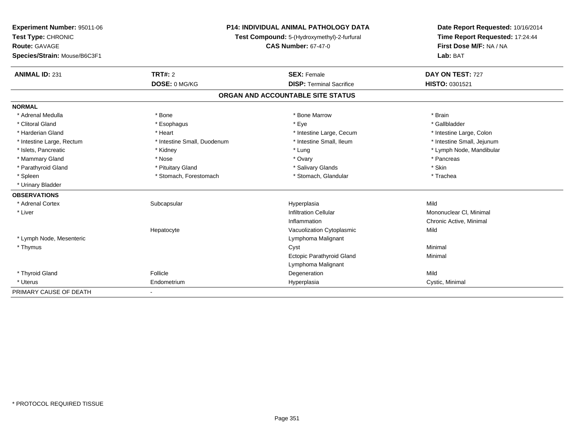| Experiment Number: 95011-06  | <b>P14: INDIVIDUAL ANIMAL PATHOLOGY DATA</b><br>Test Compound: 5-(Hydroxymethyl)-2-furfural<br><b>CAS Number: 67-47-0</b> |                                   | Date Report Requested: 10/16/2014                          |  |
|------------------------------|---------------------------------------------------------------------------------------------------------------------------|-----------------------------------|------------------------------------------------------------|--|
| Test Type: CHRONIC           |                                                                                                                           |                                   | Time Report Requested: 17:24:44<br>First Dose M/F: NA / NA |  |
| <b>Route: GAVAGE</b>         |                                                                                                                           |                                   |                                                            |  |
| Species/Strain: Mouse/B6C3F1 |                                                                                                                           |                                   | Lab: BAT                                                   |  |
| <b>ANIMAL ID: 231</b>        | <b>TRT#: 2</b>                                                                                                            | <b>SEX: Female</b>                | DAY ON TEST: 727                                           |  |
|                              | DOSE: 0 MG/KG                                                                                                             | <b>DISP: Terminal Sacrifice</b>   | HISTO: 0301521                                             |  |
|                              |                                                                                                                           | ORGAN AND ACCOUNTABLE SITE STATUS |                                                            |  |
| <b>NORMAL</b>                |                                                                                                                           |                                   |                                                            |  |
| * Adrenal Medulla            | * Bone                                                                                                                    | * Bone Marrow                     | * Brain                                                    |  |
| * Clitoral Gland             | * Esophagus                                                                                                               | * Eye                             | * Gallbladder                                              |  |
| * Harderian Gland            | * Heart                                                                                                                   | * Intestine Large, Cecum          | * Intestine Large, Colon                                   |  |
| * Intestine Large, Rectum    | * Intestine Small, Duodenum                                                                                               | * Intestine Small, Ileum          | * Intestine Small, Jejunum                                 |  |
| * Islets, Pancreatic         | * Kidney                                                                                                                  | * Lung                            | * Lymph Node, Mandibular                                   |  |
| * Mammary Gland              | * Nose                                                                                                                    | * Ovary                           | * Pancreas                                                 |  |
| * Parathyroid Gland          | * Pituitary Gland                                                                                                         | * Salivary Glands                 | * Skin                                                     |  |
| * Spleen                     | * Stomach, Forestomach                                                                                                    | * Stomach, Glandular              | * Trachea                                                  |  |
| * Urinary Bladder            |                                                                                                                           |                                   |                                                            |  |
| <b>OBSERVATIONS</b>          |                                                                                                                           |                                   |                                                            |  |
| * Adrenal Cortex             | Subcapsular                                                                                                               | Hyperplasia                       | Mild                                                       |  |
| * Liver                      |                                                                                                                           | <b>Infiltration Cellular</b>      | Mononuclear CI, Minimal                                    |  |
|                              |                                                                                                                           | Inflammation                      | Chronic Active, Minimal                                    |  |
|                              | Hepatocyte                                                                                                                | Vacuolization Cytoplasmic         | Mild                                                       |  |
| * Lymph Node, Mesenteric     |                                                                                                                           | Lymphoma Malignant                |                                                            |  |
| * Thymus                     |                                                                                                                           | Cyst                              | Minimal                                                    |  |
|                              |                                                                                                                           | Ectopic Parathyroid Gland         | Minimal                                                    |  |
|                              |                                                                                                                           | Lymphoma Malignant                |                                                            |  |
| * Thyroid Gland              | Follicle                                                                                                                  | Degeneration                      | Mild                                                       |  |
| * Uterus                     | Endometrium                                                                                                               | Hyperplasia                       | Cystic, Minimal                                            |  |
| PRIMARY CAUSE OF DEATH       |                                                                                                                           |                                   |                                                            |  |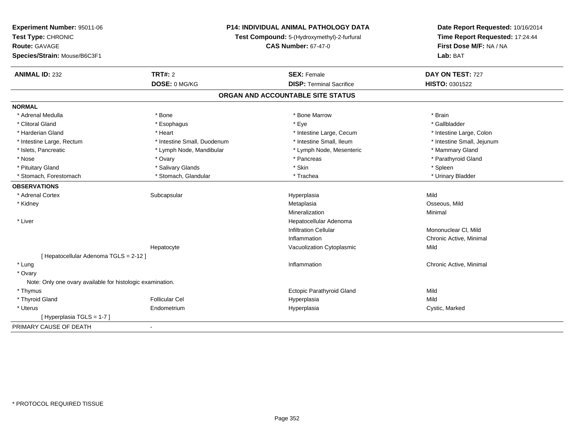| Experiment Number: 95011-06<br>Test Type: CHRONIC<br><b>Route: GAVAGE</b> | <b>P14: INDIVIDUAL ANIMAL PATHOLOGY DATA</b><br>Test Compound: 5-(Hydroxymethyl)-2-furfural<br><b>CAS Number: 67-47-0</b> |                                   | Date Report Requested: 10/16/2014<br>Time Report Requested: 17:24:44<br>First Dose M/F: NA / NA |  |
|---------------------------------------------------------------------------|---------------------------------------------------------------------------------------------------------------------------|-----------------------------------|-------------------------------------------------------------------------------------------------|--|
| Species/Strain: Mouse/B6C3F1                                              |                                                                                                                           |                                   | Lab: BAT                                                                                        |  |
| <b>ANIMAL ID: 232</b>                                                     | <b>TRT#: 2</b>                                                                                                            | <b>SEX: Female</b>                | DAY ON TEST: 727                                                                                |  |
|                                                                           | DOSE: 0 MG/KG                                                                                                             | <b>DISP: Terminal Sacrifice</b>   | HISTO: 0301522                                                                                  |  |
|                                                                           |                                                                                                                           | ORGAN AND ACCOUNTABLE SITE STATUS |                                                                                                 |  |
| <b>NORMAL</b>                                                             |                                                                                                                           |                                   |                                                                                                 |  |
| * Adrenal Medulla                                                         | * Bone                                                                                                                    | * Bone Marrow                     | * Brain                                                                                         |  |
| * Clitoral Gland                                                          | * Esophagus                                                                                                               | * Eye                             | * Gallbladder                                                                                   |  |
| * Harderian Gland                                                         | * Heart                                                                                                                   | * Intestine Large, Cecum          | * Intestine Large, Colon                                                                        |  |
| * Intestine Large, Rectum                                                 | * Intestine Small, Duodenum                                                                                               | * Intestine Small, Ileum          | * Intestine Small, Jejunum                                                                      |  |
| * Islets, Pancreatic                                                      | * Lymph Node, Mandibular                                                                                                  | * Lymph Node, Mesenteric          | * Mammary Gland                                                                                 |  |
| * Nose                                                                    | * Ovary                                                                                                                   | * Pancreas                        | * Parathyroid Gland                                                                             |  |
| * Pituitary Gland                                                         | * Salivary Glands                                                                                                         | * Skin                            | * Spleen                                                                                        |  |
| * Stomach, Forestomach                                                    | * Stomach, Glandular                                                                                                      | * Trachea                         | * Urinary Bladder                                                                               |  |
| <b>OBSERVATIONS</b>                                                       |                                                                                                                           |                                   |                                                                                                 |  |
| * Adrenal Cortex                                                          | Subcapsular                                                                                                               | Hyperplasia                       | Mild                                                                                            |  |
| * Kidney                                                                  |                                                                                                                           | Metaplasia                        | Osseous, Mild                                                                                   |  |
|                                                                           |                                                                                                                           | Mineralization                    | Minimal                                                                                         |  |
| * Liver                                                                   |                                                                                                                           | Hepatocellular Adenoma            |                                                                                                 |  |
|                                                                           |                                                                                                                           | <b>Infiltration Cellular</b>      | Mononuclear CI, Mild                                                                            |  |
|                                                                           |                                                                                                                           | Inflammation                      | Chronic Active, Minimal                                                                         |  |
|                                                                           | Hepatocyte                                                                                                                | Vacuolization Cytoplasmic         | Mild                                                                                            |  |
| [ Hepatocellular Adenoma TGLS = 2-12 ]                                    |                                                                                                                           |                                   |                                                                                                 |  |
| * Lung                                                                    |                                                                                                                           | Inflammation                      | Chronic Active, Minimal                                                                         |  |
| * Ovary                                                                   |                                                                                                                           |                                   |                                                                                                 |  |
| Note: Only one ovary available for histologic examination.                |                                                                                                                           |                                   |                                                                                                 |  |
| * Thymus                                                                  |                                                                                                                           | Ectopic Parathyroid Gland         | Mild                                                                                            |  |
| * Thyroid Gland                                                           | <b>Follicular Cel</b>                                                                                                     | Hyperplasia                       | Mild                                                                                            |  |
| * Uterus                                                                  | Endometrium                                                                                                               | Hyperplasia                       | Cystic, Marked                                                                                  |  |
| [ Hyperplasia TGLS = 1-7 ]                                                |                                                                                                                           |                                   |                                                                                                 |  |
| PRIMARY CAUSE OF DEATH                                                    | $\overline{\phantom{a}}$                                                                                                  |                                   |                                                                                                 |  |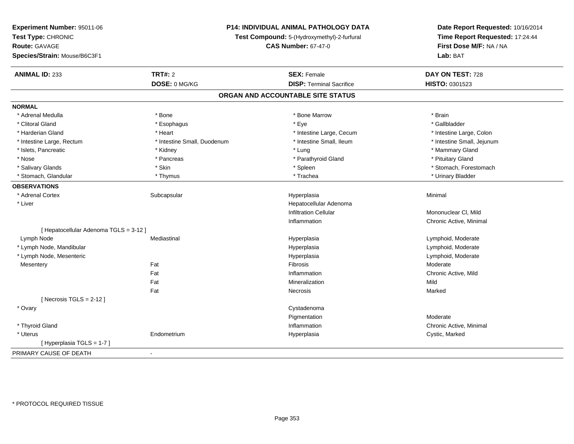| Experiment Number: 95011-06            |                                                                           | <b>P14: INDIVIDUAL ANIMAL PATHOLOGY DATA</b> | Date Report Requested: 10/16/2014                          |
|----------------------------------------|---------------------------------------------------------------------------|----------------------------------------------|------------------------------------------------------------|
| Test Type: CHRONIC                     | Test Compound: 5-(Hydroxymethyl)-2-furfural<br><b>CAS Number: 67-47-0</b> |                                              | Time Report Requested: 17:24:44<br>First Dose M/F: NA / NA |
| <b>Route: GAVAGE</b>                   |                                                                           |                                              |                                                            |
| Species/Strain: Mouse/B6C3F1           |                                                                           |                                              | Lab: BAT                                                   |
| <b>ANIMAL ID: 233</b>                  | <b>TRT#: 2</b>                                                            | <b>SEX: Female</b>                           | DAY ON TEST: 728                                           |
|                                        | DOSE: 0 MG/KG                                                             | <b>DISP: Terminal Sacrifice</b>              | HISTO: 0301523                                             |
|                                        |                                                                           | ORGAN AND ACCOUNTABLE SITE STATUS            |                                                            |
| <b>NORMAL</b>                          |                                                                           |                                              |                                                            |
| * Adrenal Medulla                      | * Bone                                                                    | * Bone Marrow                                | * Brain                                                    |
| * Clitoral Gland                       | * Esophagus                                                               | * Eye                                        | * Gallbladder                                              |
| * Harderian Gland                      | * Heart                                                                   | * Intestine Large, Cecum                     | * Intestine Large, Colon                                   |
| * Intestine Large, Rectum              | * Intestine Small, Duodenum                                               | * Intestine Small, Ileum                     | * Intestine Small, Jejunum                                 |
| * Islets, Pancreatic                   | * Kidney                                                                  | * Lung                                       | * Mammary Gland                                            |
| * Nose                                 | * Pancreas                                                                | * Parathyroid Gland                          | * Pituitary Gland                                          |
| * Salivary Glands                      | * Skin                                                                    | * Spleen                                     | * Stomach, Forestomach                                     |
| * Stomach, Glandular                   | * Thymus                                                                  | * Trachea                                    | * Urinary Bladder                                          |
| <b>OBSERVATIONS</b>                    |                                                                           |                                              |                                                            |
| * Adrenal Cortex                       | Subcapsular                                                               | Hyperplasia                                  | Minimal                                                    |
| * Liver                                |                                                                           | Hepatocellular Adenoma                       |                                                            |
|                                        |                                                                           | <b>Infiltration Cellular</b>                 | Mononuclear CI, Mild                                       |
|                                        |                                                                           | Inflammation                                 | Chronic Active, Minimal                                    |
| [ Hepatocellular Adenoma TGLS = 3-12 ] |                                                                           |                                              |                                                            |
| Lymph Node                             | Mediastinal                                                               | Hyperplasia                                  | Lymphoid, Moderate                                         |
| * Lymph Node, Mandibular               |                                                                           | Hyperplasia                                  | Lymphoid, Moderate                                         |
| * Lymph Node, Mesenteric               |                                                                           | Hyperplasia                                  | Lymphoid, Moderate                                         |
| Mesentery                              | Fat                                                                       | Fibrosis                                     | Moderate                                                   |
|                                        | Fat                                                                       | Inflammation                                 | Chronic Active, Mild                                       |
|                                        | Fat                                                                       | Mineralization                               | Mild                                                       |
|                                        | Fat                                                                       | Necrosis                                     | Marked                                                     |
| [Necrosis $TGLS = 2-12$ ]              |                                                                           |                                              |                                                            |
| * Ovary                                |                                                                           | Cystadenoma                                  |                                                            |
|                                        |                                                                           | Pigmentation                                 | Moderate                                                   |
| * Thyroid Gland                        |                                                                           | Inflammation                                 | Chronic Active, Minimal                                    |
| * Uterus                               | Endometrium                                                               | Hyperplasia                                  | Cystic, Marked                                             |
| [Hyperplasia TGLS = 1-7]               |                                                                           |                                              |                                                            |
| PRIMARY CAUSE OF DEATH                 | $\blacksquare$                                                            |                                              |                                                            |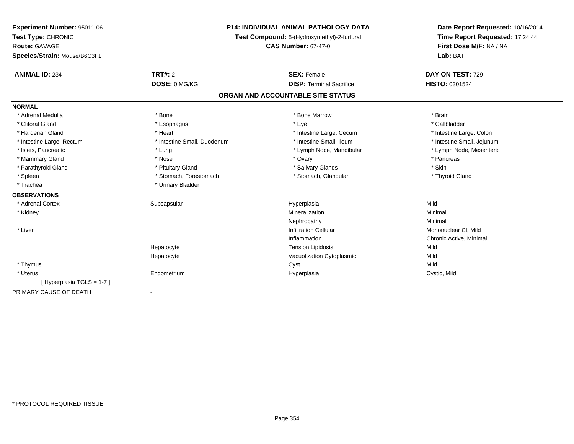| <b>Experiment Number: 95011-06</b> | <b>P14: INDIVIDUAL ANIMAL PATHOLOGY DATA</b><br>Test Compound: 5-(Hydroxymethyl)-2-furfural |                                   | Date Report Requested: 10/16/2014 |  |
|------------------------------------|---------------------------------------------------------------------------------------------|-----------------------------------|-----------------------------------|--|
| Test Type: CHRONIC                 |                                                                                             |                                   | Time Report Requested: 17:24:44   |  |
| <b>Route: GAVAGE</b>               |                                                                                             | <b>CAS Number: 67-47-0</b>        | First Dose M/F: NA / NA           |  |
| Species/Strain: Mouse/B6C3F1       |                                                                                             |                                   | Lab: BAT                          |  |
| <b>ANIMAL ID: 234</b>              | <b>TRT#: 2</b>                                                                              | <b>SEX: Female</b>                | DAY ON TEST: 729                  |  |
|                                    | DOSE: 0 MG/KG                                                                               | <b>DISP: Terminal Sacrifice</b>   | HISTO: 0301524                    |  |
|                                    |                                                                                             | ORGAN AND ACCOUNTABLE SITE STATUS |                                   |  |
| <b>NORMAL</b>                      |                                                                                             |                                   |                                   |  |
| * Adrenal Medulla                  | * Bone                                                                                      | * Bone Marrow                     | * Brain                           |  |
| * Clitoral Gland                   | * Esophagus                                                                                 | * Eye                             | * Gallbladder                     |  |
| * Harderian Gland                  | * Heart                                                                                     | * Intestine Large, Cecum          | * Intestine Large, Colon          |  |
| * Intestine Large, Rectum          | * Intestine Small, Duodenum                                                                 | * Intestine Small, Ileum          | * Intestine Small, Jejunum        |  |
| * Islets, Pancreatic               | * Lung                                                                                      | * Lymph Node, Mandibular          | * Lymph Node, Mesenteric          |  |
| * Mammary Gland                    | * Nose                                                                                      | * Ovary                           | * Pancreas                        |  |
| * Parathyroid Gland                | * Pituitary Gland                                                                           | * Salivary Glands                 | * Skin                            |  |
| * Spleen                           | * Stomach, Forestomach                                                                      | * Stomach, Glandular              | * Thyroid Gland                   |  |
| * Trachea                          | * Urinary Bladder                                                                           |                                   |                                   |  |
| <b>OBSERVATIONS</b>                |                                                                                             |                                   |                                   |  |
| * Adrenal Cortex                   | Subcapsular                                                                                 | Hyperplasia                       | Mild                              |  |
| * Kidney                           |                                                                                             | Mineralization                    | Minimal                           |  |
|                                    |                                                                                             | Nephropathy                       | Minimal                           |  |
| * Liver                            |                                                                                             | <b>Infiltration Cellular</b>      | Mononuclear CI, Mild              |  |
|                                    |                                                                                             | Inflammation                      | Chronic Active, Minimal           |  |
|                                    | Hepatocyte                                                                                  | <b>Tension Lipidosis</b>          | Mild                              |  |
|                                    | Hepatocyte                                                                                  | Vacuolization Cytoplasmic         | Mild                              |  |
| * Thymus                           |                                                                                             | Cyst                              | Mild                              |  |
| * Uterus                           | Endometrium                                                                                 | Hyperplasia                       | Cystic, Mild                      |  |
| [Hyperplasia TGLS = 1-7]           |                                                                                             |                                   |                                   |  |
| PRIMARY CAUSE OF DEATH             | $\blacksquare$                                                                              |                                   |                                   |  |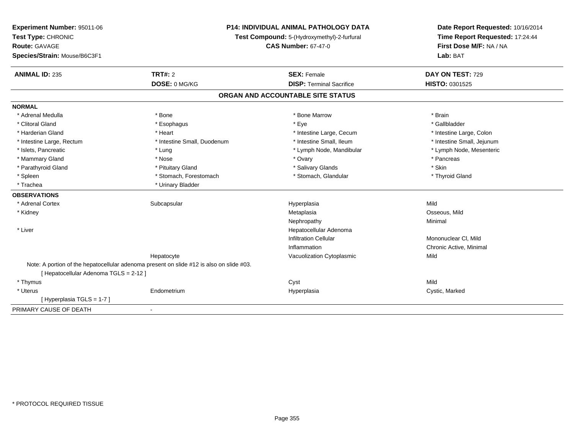| Experiment Number: 95011-06<br>Test Type: CHRONIC<br><b>Route: GAVAGE</b><br>Species/Strain: Mouse/B6C3F1 |                                                                                          | <b>P14: INDIVIDUAL ANIMAL PATHOLOGY DATA</b><br>Test Compound: 5-(Hydroxymethyl)-2-furfural<br><b>CAS Number: 67-47-0</b> | Date Report Requested: 10/16/2014<br>Time Report Requested: 17:24:44<br>First Dose M/F: NA / NA<br>Lab: BAT |  |
|-----------------------------------------------------------------------------------------------------------|------------------------------------------------------------------------------------------|---------------------------------------------------------------------------------------------------------------------------|-------------------------------------------------------------------------------------------------------------|--|
| <b>ANIMAL ID: 235</b>                                                                                     | <b>TRT#: 2</b>                                                                           | <b>SEX: Female</b>                                                                                                        | DAY ON TEST: 729                                                                                            |  |
|                                                                                                           | DOSE: 0 MG/KG                                                                            | <b>DISP: Terminal Sacrifice</b>                                                                                           | HISTO: 0301525                                                                                              |  |
|                                                                                                           |                                                                                          | ORGAN AND ACCOUNTABLE SITE STATUS                                                                                         |                                                                                                             |  |
| <b>NORMAL</b>                                                                                             |                                                                                          |                                                                                                                           |                                                                                                             |  |
| * Adrenal Medulla                                                                                         | * Bone                                                                                   | * Bone Marrow                                                                                                             | * Brain                                                                                                     |  |
| * Clitoral Gland                                                                                          | * Esophagus                                                                              | * Eye                                                                                                                     | * Gallbladder                                                                                               |  |
| * Harderian Gland                                                                                         | * Heart                                                                                  | * Intestine Large, Cecum                                                                                                  | * Intestine Large, Colon                                                                                    |  |
| * Intestine Large, Rectum                                                                                 | * Intestine Small, Duodenum                                                              | * Intestine Small, Ileum                                                                                                  | * Intestine Small, Jejunum                                                                                  |  |
| * Islets, Pancreatic                                                                                      | * Lung                                                                                   | * Lymph Node, Mandibular                                                                                                  | * Lymph Node, Mesenteric                                                                                    |  |
| * Mammary Gland                                                                                           | * Nose                                                                                   | * Ovary                                                                                                                   | * Pancreas                                                                                                  |  |
| * Parathyroid Gland                                                                                       | * Pituitary Gland                                                                        | * Salivary Glands                                                                                                         | * Skin                                                                                                      |  |
| * Spleen                                                                                                  | * Stomach, Forestomach                                                                   | * Stomach, Glandular                                                                                                      | * Thyroid Gland                                                                                             |  |
| * Trachea                                                                                                 | * Urinary Bladder                                                                        |                                                                                                                           |                                                                                                             |  |
| <b>OBSERVATIONS</b>                                                                                       |                                                                                          |                                                                                                                           |                                                                                                             |  |
| * Adrenal Cortex                                                                                          | Subcapsular                                                                              | Hyperplasia                                                                                                               | Mild                                                                                                        |  |
| * Kidney                                                                                                  |                                                                                          | Metaplasia                                                                                                                | Osseous, Mild                                                                                               |  |
|                                                                                                           |                                                                                          | Nephropathy                                                                                                               | Minimal                                                                                                     |  |
| * Liver                                                                                                   |                                                                                          | Hepatocellular Adenoma                                                                                                    |                                                                                                             |  |
|                                                                                                           |                                                                                          | <b>Infiltration Cellular</b>                                                                                              | Mononuclear CI, Mild                                                                                        |  |
|                                                                                                           |                                                                                          | Inflammation                                                                                                              | Chronic Active, Minimal                                                                                     |  |
|                                                                                                           | Hepatocyte                                                                               | Vacuolization Cytoplasmic                                                                                                 | Mild                                                                                                        |  |
|                                                                                                           | Note: A portion of the hepatocellular adenoma present on slide #12 is also on slide #03. |                                                                                                                           |                                                                                                             |  |
| [ Hepatocellular Adenoma TGLS = 2-12 ]                                                                    |                                                                                          |                                                                                                                           |                                                                                                             |  |
| * Thymus                                                                                                  |                                                                                          | Cyst                                                                                                                      | Mild                                                                                                        |  |
| * Uterus                                                                                                  | Endometrium                                                                              | Hyperplasia                                                                                                               | Cystic, Marked                                                                                              |  |
| [Hyperplasia TGLS = 1-7]                                                                                  |                                                                                          |                                                                                                                           |                                                                                                             |  |
| PRIMARY CAUSE OF DEATH                                                                                    | $\blacksquare$                                                                           |                                                                                                                           |                                                                                                             |  |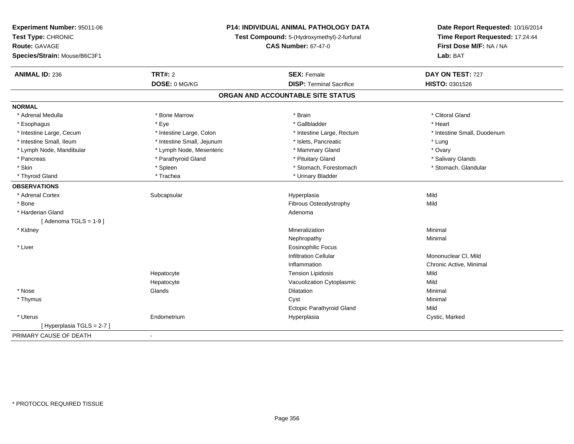| Experiment Number: 95011-06  | P14: INDIVIDUAL ANIMAL PATHOLOGY DATA<br>Test Compound: 5-(Hydroxymethyl)-2-furfural<br><b>CAS Number: 67-47-0</b> |                                   | Date Report Requested: 10/16/2014                          |  |
|------------------------------|--------------------------------------------------------------------------------------------------------------------|-----------------------------------|------------------------------------------------------------|--|
| Test Type: CHRONIC           |                                                                                                                    |                                   | Time Report Requested: 17:24:44<br>First Dose M/F: NA / NA |  |
| <b>Route: GAVAGE</b>         |                                                                                                                    |                                   |                                                            |  |
| Species/Strain: Mouse/B6C3F1 |                                                                                                                    |                                   | Lab: BAT                                                   |  |
| <b>ANIMAL ID: 236</b>        | TRT#: 2                                                                                                            | <b>SEX: Female</b>                | DAY ON TEST: 727                                           |  |
|                              | DOSE: 0 MG/KG                                                                                                      | <b>DISP: Terminal Sacrifice</b>   | HISTO: 0301526                                             |  |
|                              |                                                                                                                    | ORGAN AND ACCOUNTABLE SITE STATUS |                                                            |  |
| <b>NORMAL</b>                |                                                                                                                    |                                   |                                                            |  |
| * Adrenal Medulla            | * Bone Marrow                                                                                                      | * Brain                           | * Clitoral Gland                                           |  |
| * Esophagus                  | * Eye                                                                                                              | * Gallbladder                     | * Heart                                                    |  |
| * Intestine Large, Cecum     | * Intestine Large, Colon                                                                                           | * Intestine Large, Rectum         | * Intestine Small, Duodenum                                |  |
| * Intestine Small, Ileum     | * Intestine Small, Jejunum                                                                                         | * Islets, Pancreatic              | * Lung                                                     |  |
| * Lymph Node, Mandibular     | * Lymph Node, Mesenteric                                                                                           | * Mammary Gland                   | * Ovary                                                    |  |
| * Pancreas                   | * Parathyroid Gland                                                                                                | * Pituitary Gland                 | * Salivary Glands                                          |  |
| * Skin                       | * Spleen                                                                                                           | * Stomach, Forestomach            | * Stomach, Glandular                                       |  |
| * Thyroid Gland              | * Trachea                                                                                                          | * Urinary Bladder                 |                                                            |  |
| <b>OBSERVATIONS</b>          |                                                                                                                    |                                   |                                                            |  |
| * Adrenal Cortex             | Subcapsular                                                                                                        | Hyperplasia                       | Mild                                                       |  |
| * Bone                       |                                                                                                                    | Fibrous Osteodystrophy            | Mild                                                       |  |
| * Harderian Gland            |                                                                                                                    | Adenoma                           |                                                            |  |
| [Adenoma TGLS = $1-9$ ]      |                                                                                                                    |                                   |                                                            |  |
| * Kidney                     |                                                                                                                    | Mineralization                    | Minimal                                                    |  |
|                              |                                                                                                                    | Nephropathy                       | Minimal                                                    |  |
| * Liver                      |                                                                                                                    | <b>Eosinophilic Focus</b>         |                                                            |  |
|                              |                                                                                                                    | <b>Infiltration Cellular</b>      | Mononuclear CI, Mild                                       |  |
|                              |                                                                                                                    | Inflammation                      | Chronic Active, Minimal                                    |  |
|                              | Hepatocyte                                                                                                         | <b>Tension Lipidosis</b>          | Mild                                                       |  |
|                              | Hepatocyte                                                                                                         | Vacuolization Cytoplasmic         | Mild                                                       |  |
| * Nose                       | Glands                                                                                                             | Dilatation                        | Minimal                                                    |  |
| * Thymus                     |                                                                                                                    | Cyst                              | Minimal                                                    |  |
|                              |                                                                                                                    | <b>Ectopic Parathyroid Gland</b>  | Mild                                                       |  |
| * Uterus                     | Endometrium                                                                                                        | Hyperplasia                       | Cystic, Marked                                             |  |
| [Hyperplasia TGLS = $2-7$ ]  |                                                                                                                    |                                   |                                                            |  |
| PRIMARY CAUSE OF DEATH       | $\blacksquare$                                                                                                     |                                   |                                                            |  |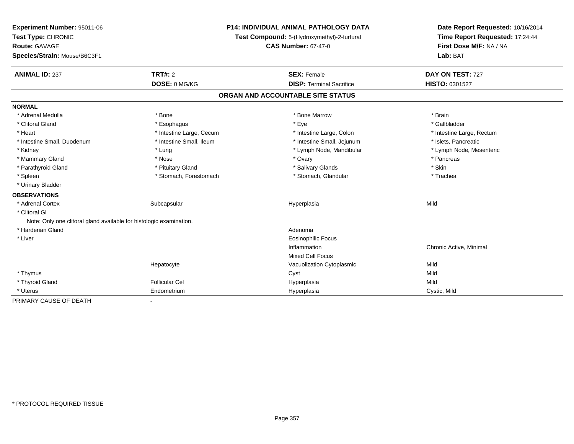| Experiment Number: 95011-06                                         |                          | <b>P14: INDIVIDUAL ANIMAL PATHOLOGY DATA</b> | Date Report Requested: 10/16/2014                          |  |
|---------------------------------------------------------------------|--------------------------|----------------------------------------------|------------------------------------------------------------|--|
| Test Type: CHRONIC                                                  |                          | Test Compound: 5-(Hydroxymethyl)-2-furfural  | Time Report Requested: 17:24:44<br>First Dose M/F: NA / NA |  |
| <b>Route: GAVAGE</b>                                                |                          | <b>CAS Number: 67-47-0</b>                   |                                                            |  |
| Species/Strain: Mouse/B6C3F1                                        |                          |                                              | Lab: BAT                                                   |  |
| <b>ANIMAL ID: 237</b>                                               | TRT#: 2                  | <b>SEX: Female</b>                           | DAY ON TEST: 727                                           |  |
|                                                                     | DOSE: 0 MG/KG            | <b>DISP: Terminal Sacrifice</b>              | HISTO: 0301527                                             |  |
|                                                                     |                          | ORGAN AND ACCOUNTABLE SITE STATUS            |                                                            |  |
| <b>NORMAL</b>                                                       |                          |                                              |                                                            |  |
| * Adrenal Medulla                                                   | * Bone                   | * Bone Marrow                                | * Brain                                                    |  |
| * Clitoral Gland                                                    | * Esophagus              | * Eye                                        | * Gallbladder                                              |  |
| * Heart                                                             | * Intestine Large, Cecum | * Intestine Large, Colon                     | * Intestine Large, Rectum                                  |  |
| * Intestine Small, Duodenum                                         | * Intestine Small, Ileum | * Intestine Small, Jejunum                   | * Islets, Pancreatic                                       |  |
| * Kidney                                                            | * Lung                   | * Lymph Node, Mandibular                     | * Lymph Node, Mesenteric                                   |  |
| * Mammary Gland                                                     | * Nose                   | * Ovary                                      | * Pancreas                                                 |  |
| * Parathyroid Gland                                                 | * Pituitary Gland        | * Salivary Glands                            | * Skin                                                     |  |
| * Spleen                                                            | * Stomach, Forestomach   | * Stomach, Glandular                         | * Trachea                                                  |  |
| * Urinary Bladder                                                   |                          |                                              |                                                            |  |
| <b>OBSERVATIONS</b>                                                 |                          |                                              |                                                            |  |
| * Adrenal Cortex                                                    | Subcapsular              | Hyperplasia                                  | Mild                                                       |  |
| * Clitoral GI                                                       |                          |                                              |                                                            |  |
| Note: Only one clitoral gland available for histologic examination. |                          |                                              |                                                            |  |
| * Harderian Gland                                                   |                          | Adenoma                                      |                                                            |  |
| * Liver                                                             |                          | <b>Eosinophilic Focus</b>                    |                                                            |  |
|                                                                     |                          | Inflammation                                 | Chronic Active, Minimal                                    |  |
|                                                                     |                          | <b>Mixed Cell Focus</b>                      |                                                            |  |
|                                                                     | Hepatocyte               | Vacuolization Cytoplasmic                    | Mild                                                       |  |
| * Thymus                                                            |                          | Cyst                                         | Mild                                                       |  |
| * Thyroid Gland                                                     | <b>Follicular Cel</b>    | Hyperplasia                                  | Mild                                                       |  |
| * Uterus                                                            | Endometrium              | Hyperplasia                                  | Cystic, Mild                                               |  |
| PRIMARY CAUSE OF DEATH                                              |                          |                                              |                                                            |  |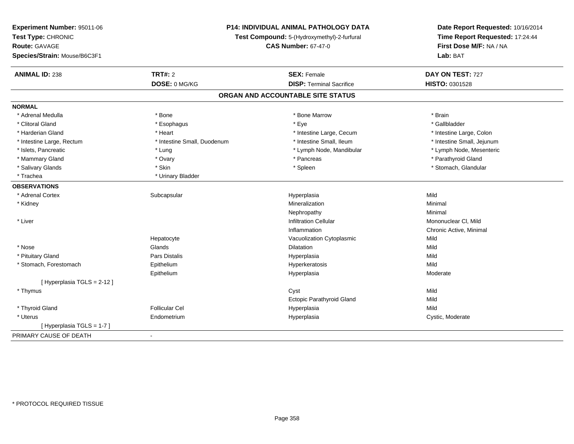|                                                                                                                    | Date Report Requested: 10/16/2014 |  |
|--------------------------------------------------------------------------------------------------------------------|-----------------------------------|--|
| Test Type: CHRONIC<br>Test Compound: 5-(Hydroxymethyl)-2-furfural                                                  | Time Report Requested: 17:24:44   |  |
| First Dose M/F: NA / NA<br>Route: GAVAGE<br><b>CAS Number: 67-47-0</b>                                             |                                   |  |
| Species/Strain: Mouse/B6C3F1<br>Lab: BAT                                                                           |                                   |  |
| TRT#: 2<br>DAY ON TEST: 727<br><b>ANIMAL ID: 238</b><br><b>SEX: Female</b>                                         |                                   |  |
| DOSE: 0 MG/KG<br><b>DISP: Terminal Sacrifice</b><br>HISTO: 0301528                                                 |                                   |  |
| ORGAN AND ACCOUNTABLE SITE STATUS                                                                                  |                                   |  |
| <b>NORMAL</b>                                                                                                      |                                   |  |
| * Bone Marrow<br>* Brain<br>* Adrenal Medulla<br>* Bone                                                            |                                   |  |
| $*$ Eye<br>* Clitoral Gland<br>* Gallbladder<br>* Esophagus                                                        |                                   |  |
| * Harderian Gland<br>* Heart<br>* Intestine Large, Cecum<br>* Intestine Large, Colon                               |                                   |  |
| * Intestine Large, Rectum<br>* Intestine Small, Duodenum<br>* Intestine Small, Ileum<br>* Intestine Small, Jejunum |                                   |  |
| * Islets, Pancreatic<br>* Lymph Node, Mandibular<br>* Lymph Node, Mesenteric<br>* Lung                             |                                   |  |
| * Parathyroid Gland<br>* Mammary Gland<br>* Pancreas<br>* Ovary                                                    |                                   |  |
| * Salivary Glands<br>* Skin<br>* Spleen<br>* Stomach, Glandular                                                    |                                   |  |
| * Trachea<br>* Urinary Bladder                                                                                     |                                   |  |
| <b>OBSERVATIONS</b>                                                                                                |                                   |  |
| Mild<br>* Adrenal Cortex<br>Subcapsular<br>Hyperplasia                                                             |                                   |  |
| Mineralization<br>Minimal<br>* Kidney                                                                              |                                   |  |
| Nephropathy<br>Minimal                                                                                             |                                   |  |
| * Liver<br><b>Infiltration Cellular</b><br>Mononuclear CI, Mild                                                    |                                   |  |
| Chronic Active, Minimal<br>Inflammation                                                                            |                                   |  |
| Vacuolization Cytoplasmic<br>Mild<br>Hepatocyte                                                                    |                                   |  |
| * Nose<br>Glands<br>Dilatation<br>Mild                                                                             |                                   |  |
| * Pituitary Gland<br>Pars Distalis<br>Hyperplasia<br>Mild                                                          |                                   |  |
| * Stomach, Forestomach<br>Epithelium<br>Hyperkeratosis<br>Mild                                                     |                                   |  |
| Epithelium<br>Hyperplasia<br>Moderate                                                                              |                                   |  |
| [ Hyperplasia TGLS = 2-12 ]                                                                                        |                                   |  |
| Mild<br>* Thymus<br>Cyst                                                                                           |                                   |  |
| <b>Ectopic Parathyroid Gland</b><br>Mild                                                                           |                                   |  |
| * Thyroid Gland<br><b>Follicular Cel</b><br>Mild<br>Hyperplasia                                                    |                                   |  |
| * Uterus<br>Endometrium<br>Hyperplasia<br>Cystic, Moderate                                                         |                                   |  |
| [Hyperplasia TGLS = 1-7]                                                                                           |                                   |  |
| PRIMARY CAUSE OF DEATH<br>$\blacksquare$                                                                           |                                   |  |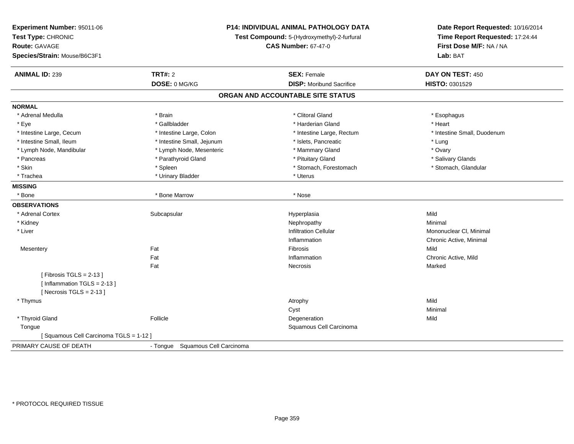| Experiment Number: 95011-06<br>Test Type: CHRONIC<br>Route: GAVAGE<br>Species/Strain: Mouse/B6C3F1 |                                  | <b>P14: INDIVIDUAL ANIMAL PATHOLOGY DATA</b><br>Test Compound: 5-(Hydroxymethyl)-2-furfural<br><b>CAS Number: 67-47-0</b> | Date Report Requested: 10/16/2014<br>Time Report Requested: 17:24:44<br>First Dose M/F: NA / NA<br>Lab: BAT |  |
|----------------------------------------------------------------------------------------------------|----------------------------------|---------------------------------------------------------------------------------------------------------------------------|-------------------------------------------------------------------------------------------------------------|--|
| <b>ANIMAL ID: 239</b>                                                                              | <b>TRT#: 2</b>                   | <b>SEX: Female</b>                                                                                                        | DAY ON TEST: 450                                                                                            |  |
|                                                                                                    | DOSE: 0 MG/KG                    | <b>DISP:</b> Moribund Sacrifice                                                                                           | HISTO: 0301529                                                                                              |  |
|                                                                                                    |                                  | ORGAN AND ACCOUNTABLE SITE STATUS                                                                                         |                                                                                                             |  |
| <b>NORMAL</b>                                                                                      |                                  |                                                                                                                           |                                                                                                             |  |
| * Adrenal Medulla                                                                                  | * Brain                          | * Clitoral Gland                                                                                                          | * Esophagus                                                                                                 |  |
| * Eye                                                                                              | * Gallbladder                    | * Harderian Gland                                                                                                         | * Heart                                                                                                     |  |
| * Intestine Large, Cecum                                                                           | * Intestine Large, Colon         | * Intestine Large, Rectum                                                                                                 | * Intestine Small, Duodenum                                                                                 |  |
| * Intestine Small, Ileum                                                                           | * Intestine Small, Jejunum       | * Islets, Pancreatic                                                                                                      | * Lung                                                                                                      |  |
| * Lymph Node, Mandibular                                                                           | * Lymph Node, Mesenteric         | * Mammary Gland                                                                                                           | * Ovary                                                                                                     |  |
| * Pancreas                                                                                         | * Parathyroid Gland              | * Pituitary Gland                                                                                                         | * Salivary Glands                                                                                           |  |
| * Skin                                                                                             | * Spleen                         | * Stomach, Forestomach                                                                                                    | * Stomach, Glandular                                                                                        |  |
| * Trachea                                                                                          | * Urinary Bladder                | * Uterus                                                                                                                  |                                                                                                             |  |
| <b>MISSING</b>                                                                                     |                                  |                                                                                                                           |                                                                                                             |  |
| * Bone                                                                                             | * Bone Marrow                    | * Nose                                                                                                                    |                                                                                                             |  |
| <b>OBSERVATIONS</b>                                                                                |                                  |                                                                                                                           |                                                                                                             |  |
| * Adrenal Cortex                                                                                   | Subcapsular                      | Hyperplasia                                                                                                               | Mild                                                                                                        |  |
| * Kidney                                                                                           |                                  | Nephropathy                                                                                                               | Minimal                                                                                                     |  |
| * Liver                                                                                            |                                  | <b>Infiltration Cellular</b>                                                                                              | Mononuclear CI, Minimal                                                                                     |  |
|                                                                                                    |                                  | Inflammation                                                                                                              | Chronic Active, Minimal                                                                                     |  |
| Mesentery                                                                                          | Fat                              | Fibrosis                                                                                                                  | Mild                                                                                                        |  |
|                                                                                                    | Fat                              | Inflammation                                                                                                              | Chronic Active, Mild                                                                                        |  |
|                                                                                                    | Fat                              | Necrosis                                                                                                                  | Marked                                                                                                      |  |
| [Fibrosis TGLS = $2-13$ ]<br>[Inflammation TGLS = $2-13$ ]<br>[Necrosis $TGLS = 2-13$ ]            |                                  |                                                                                                                           |                                                                                                             |  |
| * Thymus                                                                                           |                                  | Atrophy                                                                                                                   | Mild                                                                                                        |  |
|                                                                                                    |                                  | Cyst                                                                                                                      | Minimal                                                                                                     |  |
| * Thyroid Gland                                                                                    | Follicle                         | Degeneration                                                                                                              | Mild                                                                                                        |  |
| Tongue                                                                                             |                                  | Squamous Cell Carcinoma                                                                                                   |                                                                                                             |  |
| [Squamous Cell Carcinoma TGLS = 1-12]                                                              |                                  |                                                                                                                           |                                                                                                             |  |
| PRIMARY CAUSE OF DEATH                                                                             | - Tongue Squamous Cell Carcinoma |                                                                                                                           |                                                                                                             |  |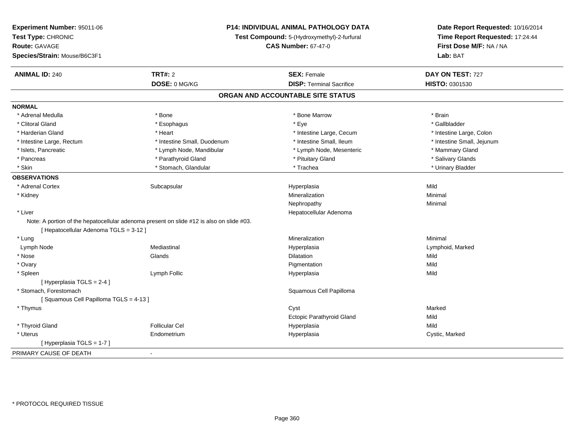| Test Compound: 5-(Hydroxymethyl)-2-furfural<br>Time Report Requested: 17:24:44<br>First Dose M/F: NA / NA<br><b>CAS Number: 67-47-0</b><br>Lab: BAT<br><b>TRT#: 2</b><br><b>SEX: Female</b><br>DAY ON TEST: 727<br><b>ANIMAL ID: 240</b><br>DOSE: 0 MG/KG<br><b>DISP: Terminal Sacrifice</b><br>HISTO: 0301530<br>ORGAN AND ACCOUNTABLE SITE STATUS<br>* Adrenal Medulla<br>* Bone<br>* Bone Marrow<br>* Brain<br>* Clitoral Gland<br>* Eye<br>* Gallbladder<br>* Esophagus<br>* Intestine Large, Cecum<br>* Harderian Gland<br>* Heart<br>* Intestine Large, Colon<br>* Intestine Small, Duodenum<br>* Intestine Small, Ileum<br>* Intestine Small, Jejunum<br>* Intestine Large, Rectum<br>* Islets, Pancreatic<br>* Lymph Node, Mesenteric<br>* Mammary Gland<br>* Lymph Node, Mandibular<br>* Pituitary Gland<br>* Salivary Glands<br>* Pancreas<br>* Parathyroid Gland<br>* Stomach, Glandular<br>* Trachea<br>* Urinary Bladder<br>* Skin<br>* Adrenal Cortex<br>Mild<br>Subcapsular<br>Hyperplasia<br>Mineralization<br>Minimal<br>* Kidney<br>Nephropathy<br>Minimal<br>* Liver<br>Hepatocellular Adenoma<br>Note: A portion of the hepatocellular adenoma present on slide #12 is also on slide #03.<br>[ Hepatocellular Adenoma TGLS = 3-12 ]<br>Mineralization<br>Minimal<br>* Lung<br>Mediastinal<br>Lymph Node<br>Hyperplasia<br>Lymphoid, Marked<br>* Nose<br>Glands<br>Mild<br>Dilatation<br>* Ovary<br>Pigmentation<br>Mild<br>* Spleen<br>Lymph Follic<br>Mild<br>Hyperplasia<br>[ Hyperplasia TGLS = 2-4 ]<br>* Stomach. Forestomach<br>Squamous Cell Papilloma<br>[Squamous Cell Papilloma TGLS = 4-13]<br>Cyst<br>Marked<br>* Thymus<br><b>Ectopic Parathyroid Gland</b><br>Mild<br>* Thyroid Gland<br><b>Follicular Cel</b><br>Hyperplasia<br>Mild<br>* Uterus<br>Cystic, Marked<br>Endometrium<br>Hyperplasia<br>[Hyperplasia TGLS = 1-7]<br>$\blacksquare$ | Experiment Number: 95011-06  | <b>P14: INDIVIDUAL ANIMAL PATHOLOGY DATA</b> | Date Report Requested: 10/16/2014 |
|-----------------------------------------------------------------------------------------------------------------------------------------------------------------------------------------------------------------------------------------------------------------------------------------------------------------------------------------------------------------------------------------------------------------------------------------------------------------------------------------------------------------------------------------------------------------------------------------------------------------------------------------------------------------------------------------------------------------------------------------------------------------------------------------------------------------------------------------------------------------------------------------------------------------------------------------------------------------------------------------------------------------------------------------------------------------------------------------------------------------------------------------------------------------------------------------------------------------------------------------------------------------------------------------------------------------------------------------------------------------------------------------------------------------------------------------------------------------------------------------------------------------------------------------------------------------------------------------------------------------------------------------------------------------------------------------------------------------------------------------------------------------------------------------------------------------------------------------------------------------------------------|------------------------------|----------------------------------------------|-----------------------------------|
|                                                                                                                                                                                                                                                                                                                                                                                                                                                                                                                                                                                                                                                                                                                                                                                                                                                                                                                                                                                                                                                                                                                                                                                                                                                                                                                                                                                                                                                                                                                                                                                                                                                                                                                                                                                                                                                                                   | Test Type: CHRONIC           |                                              |                                   |
|                                                                                                                                                                                                                                                                                                                                                                                                                                                                                                                                                                                                                                                                                                                                                                                                                                                                                                                                                                                                                                                                                                                                                                                                                                                                                                                                                                                                                                                                                                                                                                                                                                                                                                                                                                                                                                                                                   | <b>Route: GAVAGE</b>         |                                              |                                   |
|                                                                                                                                                                                                                                                                                                                                                                                                                                                                                                                                                                                                                                                                                                                                                                                                                                                                                                                                                                                                                                                                                                                                                                                                                                                                                                                                                                                                                                                                                                                                                                                                                                                                                                                                                                                                                                                                                   | Species/Strain: Mouse/B6C3F1 |                                              |                                   |
|                                                                                                                                                                                                                                                                                                                                                                                                                                                                                                                                                                                                                                                                                                                                                                                                                                                                                                                                                                                                                                                                                                                                                                                                                                                                                                                                                                                                                                                                                                                                                                                                                                                                                                                                                                                                                                                                                   |                              |                                              |                                   |
|                                                                                                                                                                                                                                                                                                                                                                                                                                                                                                                                                                                                                                                                                                                                                                                                                                                                                                                                                                                                                                                                                                                                                                                                                                                                                                                                                                                                                                                                                                                                                                                                                                                                                                                                                                                                                                                                                   |                              |                                              |                                   |
|                                                                                                                                                                                                                                                                                                                                                                                                                                                                                                                                                                                                                                                                                                                                                                                                                                                                                                                                                                                                                                                                                                                                                                                                                                                                                                                                                                                                                                                                                                                                                                                                                                                                                                                                                                                                                                                                                   |                              |                                              |                                   |
|                                                                                                                                                                                                                                                                                                                                                                                                                                                                                                                                                                                                                                                                                                                                                                                                                                                                                                                                                                                                                                                                                                                                                                                                                                                                                                                                                                                                                                                                                                                                                                                                                                                                                                                                                                                                                                                                                   | <b>NORMAL</b>                |                                              |                                   |
|                                                                                                                                                                                                                                                                                                                                                                                                                                                                                                                                                                                                                                                                                                                                                                                                                                                                                                                                                                                                                                                                                                                                                                                                                                                                                                                                                                                                                                                                                                                                                                                                                                                                                                                                                                                                                                                                                   |                              |                                              |                                   |
|                                                                                                                                                                                                                                                                                                                                                                                                                                                                                                                                                                                                                                                                                                                                                                                                                                                                                                                                                                                                                                                                                                                                                                                                                                                                                                                                                                                                                                                                                                                                                                                                                                                                                                                                                                                                                                                                                   |                              |                                              |                                   |
|                                                                                                                                                                                                                                                                                                                                                                                                                                                                                                                                                                                                                                                                                                                                                                                                                                                                                                                                                                                                                                                                                                                                                                                                                                                                                                                                                                                                                                                                                                                                                                                                                                                                                                                                                                                                                                                                                   |                              |                                              |                                   |
|                                                                                                                                                                                                                                                                                                                                                                                                                                                                                                                                                                                                                                                                                                                                                                                                                                                                                                                                                                                                                                                                                                                                                                                                                                                                                                                                                                                                                                                                                                                                                                                                                                                                                                                                                                                                                                                                                   |                              |                                              |                                   |
|                                                                                                                                                                                                                                                                                                                                                                                                                                                                                                                                                                                                                                                                                                                                                                                                                                                                                                                                                                                                                                                                                                                                                                                                                                                                                                                                                                                                                                                                                                                                                                                                                                                                                                                                                                                                                                                                                   |                              |                                              |                                   |
|                                                                                                                                                                                                                                                                                                                                                                                                                                                                                                                                                                                                                                                                                                                                                                                                                                                                                                                                                                                                                                                                                                                                                                                                                                                                                                                                                                                                                                                                                                                                                                                                                                                                                                                                                                                                                                                                                   |                              |                                              |                                   |
|                                                                                                                                                                                                                                                                                                                                                                                                                                                                                                                                                                                                                                                                                                                                                                                                                                                                                                                                                                                                                                                                                                                                                                                                                                                                                                                                                                                                                                                                                                                                                                                                                                                                                                                                                                                                                                                                                   |                              |                                              |                                   |
|                                                                                                                                                                                                                                                                                                                                                                                                                                                                                                                                                                                                                                                                                                                                                                                                                                                                                                                                                                                                                                                                                                                                                                                                                                                                                                                                                                                                                                                                                                                                                                                                                                                                                                                                                                                                                                                                                   | <b>OBSERVATIONS</b>          |                                              |                                   |
|                                                                                                                                                                                                                                                                                                                                                                                                                                                                                                                                                                                                                                                                                                                                                                                                                                                                                                                                                                                                                                                                                                                                                                                                                                                                                                                                                                                                                                                                                                                                                                                                                                                                                                                                                                                                                                                                                   |                              |                                              |                                   |
|                                                                                                                                                                                                                                                                                                                                                                                                                                                                                                                                                                                                                                                                                                                                                                                                                                                                                                                                                                                                                                                                                                                                                                                                                                                                                                                                                                                                                                                                                                                                                                                                                                                                                                                                                                                                                                                                                   |                              |                                              |                                   |
|                                                                                                                                                                                                                                                                                                                                                                                                                                                                                                                                                                                                                                                                                                                                                                                                                                                                                                                                                                                                                                                                                                                                                                                                                                                                                                                                                                                                                                                                                                                                                                                                                                                                                                                                                                                                                                                                                   |                              |                                              |                                   |
|                                                                                                                                                                                                                                                                                                                                                                                                                                                                                                                                                                                                                                                                                                                                                                                                                                                                                                                                                                                                                                                                                                                                                                                                                                                                                                                                                                                                                                                                                                                                                                                                                                                                                                                                                                                                                                                                                   |                              |                                              |                                   |
|                                                                                                                                                                                                                                                                                                                                                                                                                                                                                                                                                                                                                                                                                                                                                                                                                                                                                                                                                                                                                                                                                                                                                                                                                                                                                                                                                                                                                                                                                                                                                                                                                                                                                                                                                                                                                                                                                   |                              |                                              |                                   |
|                                                                                                                                                                                                                                                                                                                                                                                                                                                                                                                                                                                                                                                                                                                                                                                                                                                                                                                                                                                                                                                                                                                                                                                                                                                                                                                                                                                                                                                                                                                                                                                                                                                                                                                                                                                                                                                                                   |                              |                                              |                                   |
|                                                                                                                                                                                                                                                                                                                                                                                                                                                                                                                                                                                                                                                                                                                                                                                                                                                                                                                                                                                                                                                                                                                                                                                                                                                                                                                                                                                                                                                                                                                                                                                                                                                                                                                                                                                                                                                                                   |                              |                                              |                                   |
|                                                                                                                                                                                                                                                                                                                                                                                                                                                                                                                                                                                                                                                                                                                                                                                                                                                                                                                                                                                                                                                                                                                                                                                                                                                                                                                                                                                                                                                                                                                                                                                                                                                                                                                                                                                                                                                                                   |                              |                                              |                                   |
|                                                                                                                                                                                                                                                                                                                                                                                                                                                                                                                                                                                                                                                                                                                                                                                                                                                                                                                                                                                                                                                                                                                                                                                                                                                                                                                                                                                                                                                                                                                                                                                                                                                                                                                                                                                                                                                                                   |                              |                                              |                                   |
|                                                                                                                                                                                                                                                                                                                                                                                                                                                                                                                                                                                                                                                                                                                                                                                                                                                                                                                                                                                                                                                                                                                                                                                                                                                                                                                                                                                                                                                                                                                                                                                                                                                                                                                                                                                                                                                                                   |                              |                                              |                                   |
|                                                                                                                                                                                                                                                                                                                                                                                                                                                                                                                                                                                                                                                                                                                                                                                                                                                                                                                                                                                                                                                                                                                                                                                                                                                                                                                                                                                                                                                                                                                                                                                                                                                                                                                                                                                                                                                                                   |                              |                                              |                                   |
|                                                                                                                                                                                                                                                                                                                                                                                                                                                                                                                                                                                                                                                                                                                                                                                                                                                                                                                                                                                                                                                                                                                                                                                                                                                                                                                                                                                                                                                                                                                                                                                                                                                                                                                                                                                                                                                                                   |                              |                                              |                                   |
|                                                                                                                                                                                                                                                                                                                                                                                                                                                                                                                                                                                                                                                                                                                                                                                                                                                                                                                                                                                                                                                                                                                                                                                                                                                                                                                                                                                                                                                                                                                                                                                                                                                                                                                                                                                                                                                                                   |                              |                                              |                                   |
|                                                                                                                                                                                                                                                                                                                                                                                                                                                                                                                                                                                                                                                                                                                                                                                                                                                                                                                                                                                                                                                                                                                                                                                                                                                                                                                                                                                                                                                                                                                                                                                                                                                                                                                                                                                                                                                                                   |                              |                                              |                                   |
|                                                                                                                                                                                                                                                                                                                                                                                                                                                                                                                                                                                                                                                                                                                                                                                                                                                                                                                                                                                                                                                                                                                                                                                                                                                                                                                                                                                                                                                                                                                                                                                                                                                                                                                                                                                                                                                                                   |                              |                                              |                                   |
|                                                                                                                                                                                                                                                                                                                                                                                                                                                                                                                                                                                                                                                                                                                                                                                                                                                                                                                                                                                                                                                                                                                                                                                                                                                                                                                                                                                                                                                                                                                                                                                                                                                                                                                                                                                                                                                                                   |                              |                                              |                                   |
|                                                                                                                                                                                                                                                                                                                                                                                                                                                                                                                                                                                                                                                                                                                                                                                                                                                                                                                                                                                                                                                                                                                                                                                                                                                                                                                                                                                                                                                                                                                                                                                                                                                                                                                                                                                                                                                                                   |                              |                                              |                                   |
|                                                                                                                                                                                                                                                                                                                                                                                                                                                                                                                                                                                                                                                                                                                                                                                                                                                                                                                                                                                                                                                                                                                                                                                                                                                                                                                                                                                                                                                                                                                                                                                                                                                                                                                                                                                                                                                                                   |                              |                                              |                                   |
|                                                                                                                                                                                                                                                                                                                                                                                                                                                                                                                                                                                                                                                                                                                                                                                                                                                                                                                                                                                                                                                                                                                                                                                                                                                                                                                                                                                                                                                                                                                                                                                                                                                                                                                                                                                                                                                                                   |                              |                                              |                                   |
|                                                                                                                                                                                                                                                                                                                                                                                                                                                                                                                                                                                                                                                                                                                                                                                                                                                                                                                                                                                                                                                                                                                                                                                                                                                                                                                                                                                                                                                                                                                                                                                                                                                                                                                                                                                                                                                                                   | PRIMARY CAUSE OF DEATH       |                                              |                                   |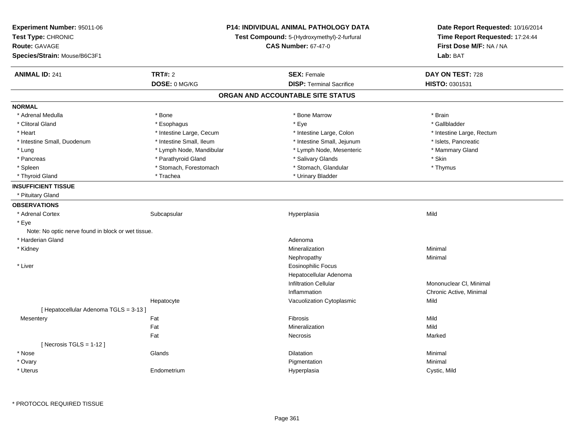| Experiment Number: 95011-06                                       | <b>P14: INDIVIDUAL ANIMAL PATHOLOGY DATA</b> |                                             | Date Report Requested: 10/16/2014 |
|-------------------------------------------------------------------|----------------------------------------------|---------------------------------------------|-----------------------------------|
| Test Type: CHRONIC<br>Route: GAVAGE<br><b>CAS Number: 67-47-0</b> |                                              | Test Compound: 5-(Hydroxymethyl)-2-furfural | Time Report Requested: 17:24:44   |
|                                                                   |                                              |                                             | First Dose M/F: NA / NA           |
| Species/Strain: Mouse/B6C3F1                                      |                                              |                                             | Lab: BAT                          |
| <b>ANIMAL ID: 241</b>                                             | <b>TRT#: 2</b>                               | <b>SEX: Female</b>                          | DAY ON TEST: 728                  |
|                                                                   | DOSE: 0 MG/KG                                | <b>DISP: Terminal Sacrifice</b>             | HISTO: 0301531                    |
|                                                                   |                                              | ORGAN AND ACCOUNTABLE SITE STATUS           |                                   |
| <b>NORMAL</b>                                                     |                                              |                                             |                                   |
| * Adrenal Medulla                                                 | * Bone                                       | * Bone Marrow                               | * Brain                           |
| * Clitoral Gland                                                  | * Esophagus                                  | * Eye                                       | * Gallbladder                     |
| * Heart                                                           | * Intestine Large, Cecum                     | * Intestine Large, Colon                    | * Intestine Large, Rectum         |
| * Intestine Small, Duodenum                                       | * Intestine Small, Ileum                     | * Intestine Small, Jejunum                  | * Islets, Pancreatic              |
| * Lung                                                            | * Lymph Node, Mandibular                     | * Lymph Node, Mesenteric                    | * Mammary Gland                   |
| * Pancreas                                                        | * Parathyroid Gland                          | * Salivary Glands                           | * Skin                            |
| * Spleen                                                          | * Stomach, Forestomach                       | * Stomach, Glandular                        | * Thymus                          |
| * Thyroid Gland                                                   | * Trachea                                    | * Urinary Bladder                           |                                   |
| <b>INSUFFICIENT TISSUE</b>                                        |                                              |                                             |                                   |
| * Pituitary Gland                                                 |                                              |                                             |                                   |
| <b>OBSERVATIONS</b>                                               |                                              |                                             |                                   |
| * Adrenal Cortex                                                  | Subcapsular                                  | Hyperplasia                                 | Mild                              |
| * Eye                                                             |                                              |                                             |                                   |
| Note: No optic nerve found in block or wet tissue.                |                                              |                                             |                                   |
| * Harderian Gland                                                 |                                              | Adenoma                                     |                                   |
| * Kidney                                                          |                                              | Mineralization                              | Minimal                           |
|                                                                   |                                              | Nephropathy                                 | Minimal                           |
| * Liver                                                           |                                              | <b>Eosinophilic Focus</b>                   |                                   |
|                                                                   |                                              | Hepatocellular Adenoma                      |                                   |
|                                                                   |                                              | <b>Infiltration Cellular</b>                | Mononuclear CI, Minimal           |
|                                                                   |                                              | Inflammation                                | Chronic Active, Minimal           |
|                                                                   | Hepatocyte                                   | Vacuolization Cytoplasmic                   | Mild                              |
| [ Hepatocellular Adenoma TGLS = 3-13 ]                            |                                              |                                             |                                   |
| Mesentery                                                         | Fat                                          | Fibrosis                                    | Mild                              |
|                                                                   | Fat                                          | Mineralization                              | Mild                              |
|                                                                   | Fat                                          | Necrosis                                    | Marked                            |
| [Necrosis $TGLS = 1-12$ ]                                         |                                              |                                             |                                   |
| * Nose                                                            | Glands                                       | Dilatation                                  | Minimal                           |
| * Ovary                                                           |                                              | Pigmentation                                | Minimal                           |
| * Uterus                                                          | Endometrium                                  | Hyperplasia                                 | Cystic, Mild                      |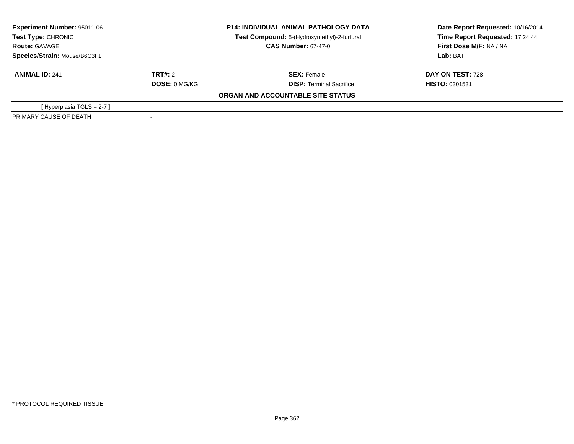| Experiment Number: 95011-06<br>Test Type: CHRONIC |                            | <b>P14: INDIVIDUAL ANIMAL PATHOLOGY DATA</b> | Date Report Requested: 10/16/2014 |
|---------------------------------------------------|----------------------------|----------------------------------------------|-----------------------------------|
|                                                   |                            | Test Compound: 5-(Hydroxymethyl)-2-furfural  | Time Report Requested: 17:24:44   |
| <b>Route: GAVAGE</b>                              | <b>CAS Number: 67-47-0</b> |                                              | First Dose M/F: NA / NA           |
| Species/Strain: Mouse/B6C3F1                      |                            |                                              | Lab: BAT                          |
| <b>ANIMAL ID: 241</b>                             | TRT#: 2                    | <b>SEX: Female</b>                           | DAY ON TEST: 728                  |
|                                                   | <b>DOSE: 0 MG/KG</b>       | <b>DISP: Terminal Sacrifice</b>              | <b>HISTO: 0301531</b>             |
|                                                   |                            | ORGAN AND ACCOUNTABLE SITE STATUS            |                                   |
| [Hyperplasia TGLS = $2-7$ ]                       |                            |                                              |                                   |
| PRIMARY CAUSE OF DEATH                            |                            |                                              |                                   |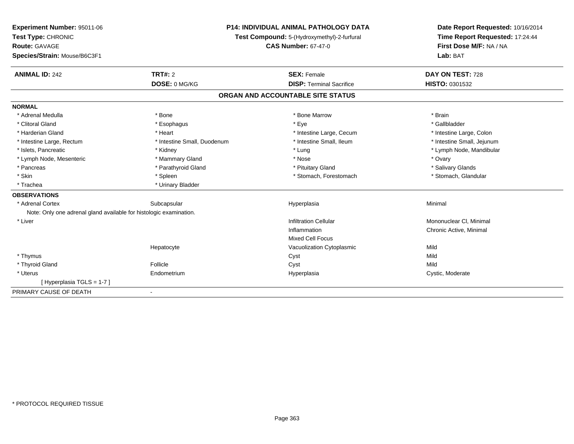| Experiment Number: 95011-06                                        | <b>P14: INDIVIDUAL ANIMAL PATHOLOGY DATA</b> |                                             | Date Report Requested: 10/16/2014 |  |
|--------------------------------------------------------------------|----------------------------------------------|---------------------------------------------|-----------------------------------|--|
| Test Type: CHRONIC                                                 |                                              | Test Compound: 5-(Hydroxymethyl)-2-furfural |                                   |  |
| <b>Route: GAVAGE</b>                                               |                                              | <b>CAS Number: 67-47-0</b>                  | First Dose M/F: NA / NA           |  |
| Species/Strain: Mouse/B6C3F1                                       |                                              |                                             | Lab: BAT                          |  |
| <b>ANIMAL ID: 242</b>                                              | TRT#: 2                                      | <b>SEX: Female</b>                          | DAY ON TEST: 728                  |  |
|                                                                    | DOSE: 0 MG/KG                                | <b>DISP: Terminal Sacrifice</b>             | <b>HISTO: 0301532</b>             |  |
|                                                                    |                                              | ORGAN AND ACCOUNTABLE SITE STATUS           |                                   |  |
| <b>NORMAL</b>                                                      |                                              |                                             |                                   |  |
| * Adrenal Medulla                                                  | * Bone                                       | * Bone Marrow                               | * Brain                           |  |
| * Clitoral Gland                                                   | * Esophagus                                  | * Eye                                       | * Gallbladder                     |  |
| * Harderian Gland                                                  | * Heart                                      | * Intestine Large, Cecum                    | * Intestine Large, Colon          |  |
| * Intestine Large, Rectum                                          | * Intestine Small, Duodenum                  | * Intestine Small, Ileum                    | * Intestine Small, Jejunum        |  |
| * Islets, Pancreatic                                               | * Kidney                                     | * Lung                                      | * Lymph Node, Mandibular          |  |
| * Lymph Node, Mesenteric                                           | * Mammary Gland                              | * Nose                                      | * Ovary                           |  |
| * Pancreas                                                         | * Parathyroid Gland                          | * Pituitary Gland                           | * Salivary Glands                 |  |
| * Skin                                                             | * Spleen                                     | * Stomach, Forestomach                      | * Stomach, Glandular              |  |
| * Trachea                                                          | * Urinary Bladder                            |                                             |                                   |  |
| <b>OBSERVATIONS</b>                                                |                                              |                                             |                                   |  |
| * Adrenal Cortex                                                   | Subcapsular                                  | Hyperplasia                                 | Minimal                           |  |
| Note: Only one adrenal gland available for histologic examination. |                                              |                                             |                                   |  |
| * Liver                                                            |                                              | <b>Infiltration Cellular</b>                | Mononuclear CI, Minimal           |  |
|                                                                    |                                              | Inflammation                                | Chronic Active, Minimal           |  |
|                                                                    |                                              | <b>Mixed Cell Focus</b>                     |                                   |  |
|                                                                    | Hepatocyte                                   | Vacuolization Cytoplasmic                   | Mild                              |  |
| * Thymus                                                           |                                              | Cyst                                        | Mild                              |  |
| * Thyroid Gland                                                    | Follicle                                     | Cyst                                        | Mild                              |  |
| * Uterus                                                           | Endometrium                                  | Hyperplasia                                 | Cystic, Moderate                  |  |
| [Hyperplasia TGLS = 1-7]                                           |                                              |                                             |                                   |  |
| PRIMARY CAUSE OF DEATH                                             | $\blacksquare$                               |                                             |                                   |  |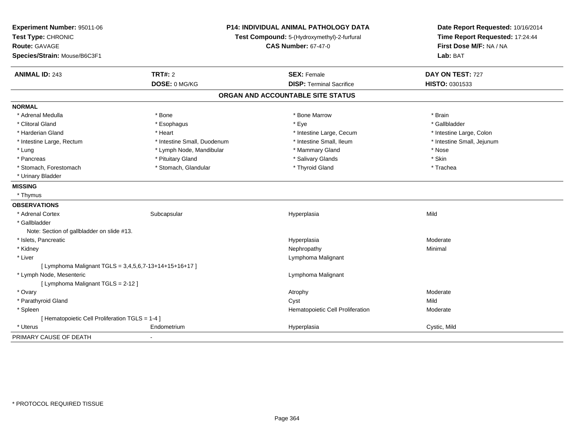| Experiment Number: 95011-06<br>Test Type: CHRONIC<br><b>Route: GAVAGE</b><br>Species/Strain: Mouse/B6C3F1 | P14: INDIVIDUAL ANIMAL PATHOLOGY DATA<br>Test Compound: 5-(Hydroxymethyl)-2-furfural<br><b>CAS Number: 67-47-0</b> |                                   | Date Report Requested: 10/16/2014<br>Time Report Requested: 17:24:44<br>First Dose M/F: NA / NA<br>Lab: BAT |  |
|-----------------------------------------------------------------------------------------------------------|--------------------------------------------------------------------------------------------------------------------|-----------------------------------|-------------------------------------------------------------------------------------------------------------|--|
| <b>ANIMAL ID: 243</b>                                                                                     | TRT#: 2                                                                                                            | <b>SEX: Female</b>                | DAY ON TEST: 727                                                                                            |  |
|                                                                                                           | DOSE: 0 MG/KG                                                                                                      | <b>DISP: Terminal Sacrifice</b>   | HISTO: 0301533                                                                                              |  |
|                                                                                                           |                                                                                                                    | ORGAN AND ACCOUNTABLE SITE STATUS |                                                                                                             |  |
| <b>NORMAL</b>                                                                                             |                                                                                                                    |                                   |                                                                                                             |  |
| * Adrenal Medulla                                                                                         | * Bone                                                                                                             | * Bone Marrow                     | * Brain                                                                                                     |  |
| * Clitoral Gland                                                                                          | * Esophagus                                                                                                        | * Eye                             | * Gallbladder                                                                                               |  |
| * Harderian Gland                                                                                         | * Heart                                                                                                            | * Intestine Large, Cecum          | * Intestine Large, Colon                                                                                    |  |
| * Intestine Large, Rectum                                                                                 | * Intestine Small, Duodenum                                                                                        | * Intestine Small, Ileum          | * Intestine Small, Jejunum                                                                                  |  |
| * Lung                                                                                                    | * Lymph Node, Mandibular                                                                                           | * Mammary Gland                   | * Nose                                                                                                      |  |
| * Pancreas                                                                                                | * Pituitary Gland                                                                                                  | * Salivary Glands                 | * Skin                                                                                                      |  |
| * Stomach, Forestomach                                                                                    | * Stomach, Glandular                                                                                               | * Thyroid Gland                   | * Trachea                                                                                                   |  |
| * Urinary Bladder                                                                                         |                                                                                                                    |                                   |                                                                                                             |  |
| <b>MISSING</b>                                                                                            |                                                                                                                    |                                   |                                                                                                             |  |
| * Thymus                                                                                                  |                                                                                                                    |                                   |                                                                                                             |  |
| <b>OBSERVATIONS</b>                                                                                       |                                                                                                                    |                                   |                                                                                                             |  |
| * Adrenal Cortex                                                                                          | Subcapsular                                                                                                        | Hyperplasia                       | Mild                                                                                                        |  |
| * Gallbladder                                                                                             |                                                                                                                    |                                   |                                                                                                             |  |
| Note: Section of gallbladder on slide #13.                                                                |                                                                                                                    |                                   |                                                                                                             |  |
| * Islets, Pancreatic                                                                                      |                                                                                                                    | Hyperplasia                       | Moderate                                                                                                    |  |
| * Kidney                                                                                                  |                                                                                                                    | Nephropathy                       | Minimal                                                                                                     |  |
| * Liver                                                                                                   |                                                                                                                    | Lymphoma Malignant                |                                                                                                             |  |
| [ Lymphoma Malignant TGLS = 3,4,5,6,7-13+14+15+16+17 ]                                                    |                                                                                                                    |                                   |                                                                                                             |  |
| * Lymph Node, Mesenteric                                                                                  |                                                                                                                    | Lymphoma Malignant                |                                                                                                             |  |
| [ Lymphoma Malignant TGLS = 2-12 ]                                                                        |                                                                                                                    |                                   |                                                                                                             |  |
| * Ovary                                                                                                   |                                                                                                                    | Atrophy                           | Moderate                                                                                                    |  |
| * Parathyroid Gland                                                                                       |                                                                                                                    | Cyst                              | Mild                                                                                                        |  |
| * Spleen                                                                                                  |                                                                                                                    | Hematopoietic Cell Proliferation  | Moderate                                                                                                    |  |
| [ Hematopoietic Cell Proliferation TGLS = 1-4 ]                                                           |                                                                                                                    |                                   |                                                                                                             |  |
| * Uterus                                                                                                  | Endometrium                                                                                                        | Hyperplasia                       | Cystic, Mild                                                                                                |  |
| PRIMARY CAUSE OF DEATH                                                                                    |                                                                                                                    |                                   |                                                                                                             |  |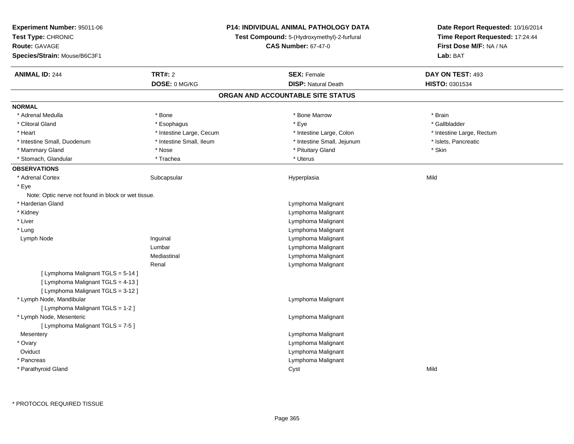| Experiment Number: 95011-06                         |                                                                           | <b>P14: INDIVIDUAL ANIMAL PATHOLOGY DATA</b> | Date Report Requested: 10/16/2014                          |  |
|-----------------------------------------------------|---------------------------------------------------------------------------|----------------------------------------------|------------------------------------------------------------|--|
| Test Type: CHRONIC                                  | Test Compound: 5-(Hydroxymethyl)-2-furfural<br><b>CAS Number: 67-47-0</b> |                                              | Time Report Requested: 17:24:44<br>First Dose M/F: NA / NA |  |
| Route: GAVAGE                                       |                                                                           |                                              |                                                            |  |
| Species/Strain: Mouse/B6C3F1                        |                                                                           |                                              | Lab: BAT                                                   |  |
| <b>ANIMAL ID: 244</b>                               | <b>TRT#: 2</b>                                                            | <b>SEX: Female</b>                           | DAY ON TEST: 493                                           |  |
|                                                     | DOSE: 0 MG/KG                                                             | <b>DISP: Natural Death</b>                   | HISTO: 0301534                                             |  |
|                                                     |                                                                           | ORGAN AND ACCOUNTABLE SITE STATUS            |                                                            |  |
| <b>NORMAL</b>                                       |                                                                           |                                              |                                                            |  |
| * Adrenal Medulla                                   | * Bone                                                                    | * Bone Marrow                                | * Brain                                                    |  |
| * Clitoral Gland                                    | * Esophagus                                                               | * Eye                                        | * Gallbladder                                              |  |
| * Heart                                             | * Intestine Large, Cecum                                                  | * Intestine Large, Colon                     | * Intestine Large, Rectum                                  |  |
| * Intestine Small, Duodenum                         | * Intestine Small, Ileum                                                  | * Intestine Small, Jejunum                   | * Islets, Pancreatic                                       |  |
| * Mammary Gland                                     | * Nose                                                                    | * Pituitary Gland                            | * Skin                                                     |  |
| * Stomach, Glandular                                | * Trachea                                                                 | * Uterus                                     |                                                            |  |
| <b>OBSERVATIONS</b>                                 |                                                                           |                                              |                                                            |  |
| * Adrenal Cortex                                    | Subcapsular                                                               | Hyperplasia                                  | Mild                                                       |  |
| * Eye                                               |                                                                           |                                              |                                                            |  |
| Note: Optic nerve not found in block or wet tissue. |                                                                           |                                              |                                                            |  |
| * Harderian Gland                                   |                                                                           | Lymphoma Malignant                           |                                                            |  |
| * Kidney                                            |                                                                           | Lymphoma Malignant                           |                                                            |  |
| * Liver                                             |                                                                           | Lymphoma Malignant                           |                                                            |  |
| * Lung                                              |                                                                           | Lymphoma Malignant                           |                                                            |  |
| Lymph Node                                          | Inguinal                                                                  | Lymphoma Malignant                           |                                                            |  |
|                                                     | Lumbar                                                                    | Lymphoma Malignant                           |                                                            |  |
|                                                     | Mediastinal                                                               | Lymphoma Malignant                           |                                                            |  |
|                                                     | Renal                                                                     | Lymphoma Malignant                           |                                                            |  |
| [ Lymphoma Malignant TGLS = 5-14 ]                  |                                                                           |                                              |                                                            |  |
| [ Lymphoma Malignant TGLS = 4-13 ]                  |                                                                           |                                              |                                                            |  |
| [ Lymphoma Malignant TGLS = 3-12 ]                  |                                                                           |                                              |                                                            |  |
| * Lymph Node, Mandibular                            |                                                                           | Lymphoma Malignant                           |                                                            |  |
| [ Lymphoma Malignant TGLS = 1-2 ]                   |                                                                           |                                              |                                                            |  |
| * Lymph Node, Mesenteric                            |                                                                           | Lymphoma Malignant                           |                                                            |  |
| [ Lymphoma Malignant TGLS = 7-5 ]                   |                                                                           |                                              |                                                            |  |
| Mesentery                                           |                                                                           | Lymphoma Malignant                           |                                                            |  |
| * Ovary                                             |                                                                           | Lymphoma Malignant                           |                                                            |  |
| Oviduct                                             |                                                                           | Lymphoma Malignant                           |                                                            |  |
| * Pancreas                                          |                                                                           | Lymphoma Malignant                           |                                                            |  |
| * Parathyroid Gland                                 |                                                                           | Cyst                                         | Mild                                                       |  |
|                                                     |                                                                           |                                              |                                                            |  |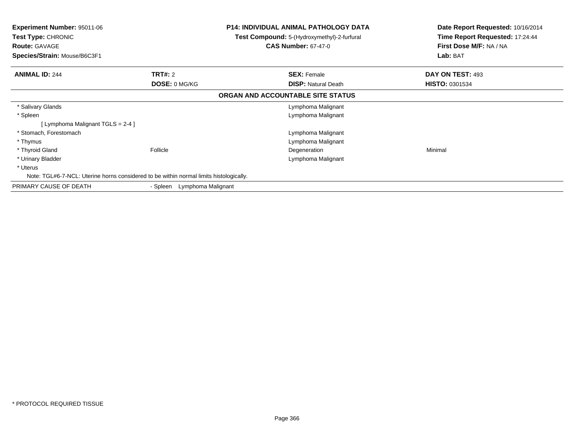| <b>Experiment Number: 95011-06</b><br><b>Test Type: CHRONIC</b><br><b>Route: GAVAGE</b><br>Species/Strain: Mouse/B6C3F1 | <b>P14: INDIVIDUAL ANIMAL PATHOLOGY DATA</b><br>Test Compound: 5-(Hydroxymethyl)-2-furfural<br><b>CAS Number: 67-47-0</b> |                                   | Date Report Requested: 10/16/2014<br>Time Report Requested: 17:24:44<br>First Dose M/F: NA / NA<br>Lab: BAT |
|-------------------------------------------------------------------------------------------------------------------------|---------------------------------------------------------------------------------------------------------------------------|-----------------------------------|-------------------------------------------------------------------------------------------------------------|
| <b>ANIMAL ID: 244</b>                                                                                                   | <b>TRT#: 2</b>                                                                                                            | <b>SEX: Female</b>                | DAY ON TEST: 493                                                                                            |
|                                                                                                                         | <b>DOSE: 0 MG/KG</b>                                                                                                      | <b>DISP: Natural Death</b>        | <b>HISTO: 0301534</b>                                                                                       |
|                                                                                                                         |                                                                                                                           | ORGAN AND ACCOUNTABLE SITE STATUS |                                                                                                             |
| * Salivary Glands                                                                                                       |                                                                                                                           | Lymphoma Malignant                |                                                                                                             |
| * Spleen                                                                                                                |                                                                                                                           | Lymphoma Malignant                |                                                                                                             |
| [Lymphoma Malignant TGLS = $2-4$ ]                                                                                      |                                                                                                                           |                                   |                                                                                                             |
| * Stomach, Forestomach                                                                                                  |                                                                                                                           | Lymphoma Malignant                |                                                                                                             |
| * Thymus                                                                                                                |                                                                                                                           | Lymphoma Malignant                |                                                                                                             |
| * Thyroid Gland                                                                                                         | Follicle                                                                                                                  | Degeneration                      | Minimal                                                                                                     |
| * Urinary Bladder                                                                                                       |                                                                                                                           | Lymphoma Malignant                |                                                                                                             |
| * Uterus                                                                                                                |                                                                                                                           |                                   |                                                                                                             |
| Note: TGL#6-7-NCL: Uterine horns considered to be within normal limits histologically.                                  |                                                                                                                           |                                   |                                                                                                             |
| PRIMARY CAUSE OF DEATH                                                                                                  | Lymphoma Malignant<br>- Spleen                                                                                            |                                   |                                                                                                             |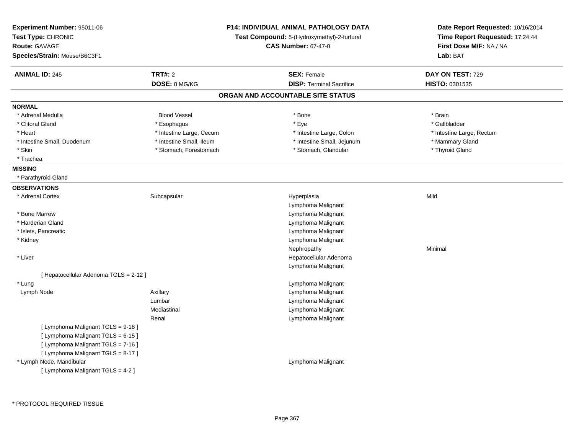| Experiment Number: 95011-06<br>Test Type: CHRONIC<br>Route: GAVAGE<br>Species/Strain: Mouse/B6C3F1                                                   |                                 | P14: INDIVIDUAL ANIMAL PATHOLOGY DATA<br>Test Compound: 5-(Hydroxymethyl)-2-furfural<br><b>CAS Number: 67-47-0</b> | Date Report Requested: 10/16/2014<br>Time Report Requested: 17:24:44<br>First Dose M/F: NA / NA<br>Lab: BAT |
|------------------------------------------------------------------------------------------------------------------------------------------------------|---------------------------------|--------------------------------------------------------------------------------------------------------------------|-------------------------------------------------------------------------------------------------------------|
| <b>ANIMAL ID: 245</b>                                                                                                                                | <b>TRT#: 2</b><br>DOSE: 0 MG/KG | <b>SEX: Female</b><br><b>DISP: Terminal Sacrifice</b>                                                              | DAY ON TEST: 729<br>HISTO: 0301535                                                                          |
|                                                                                                                                                      |                                 | ORGAN AND ACCOUNTABLE SITE STATUS                                                                                  |                                                                                                             |
| <b>NORMAL</b>                                                                                                                                        |                                 |                                                                                                                    |                                                                                                             |
| * Adrenal Medulla                                                                                                                                    | <b>Blood Vessel</b>             | * Bone                                                                                                             | * Brain                                                                                                     |
| * Clitoral Gland                                                                                                                                     | * Esophagus                     | * Eye                                                                                                              | * Gallbladder                                                                                               |
| * Heart                                                                                                                                              | * Intestine Large, Cecum        | * Intestine Large, Colon                                                                                           | * Intestine Large, Rectum                                                                                   |
| * Intestine Small, Duodenum                                                                                                                          | * Intestine Small, Ileum        | * Intestine Small, Jejunum                                                                                         | * Mammary Gland                                                                                             |
| * Skin                                                                                                                                               | * Stomach, Forestomach          | * Stomach, Glandular                                                                                               | * Thyroid Gland                                                                                             |
| * Trachea                                                                                                                                            |                                 |                                                                                                                    |                                                                                                             |
| <b>MISSING</b>                                                                                                                                       |                                 |                                                                                                                    |                                                                                                             |
| * Parathyroid Gland                                                                                                                                  |                                 |                                                                                                                    |                                                                                                             |
| <b>OBSERVATIONS</b>                                                                                                                                  |                                 |                                                                                                                    |                                                                                                             |
| * Adrenal Cortex                                                                                                                                     | Subcapsular                     | Hyperplasia<br>Lymphoma Malignant                                                                                  | Mild                                                                                                        |
| * Bone Marrow                                                                                                                                        |                                 | Lymphoma Malignant                                                                                                 |                                                                                                             |
| * Harderian Gland                                                                                                                                    |                                 | Lymphoma Malignant                                                                                                 |                                                                                                             |
| * Islets, Pancreatic                                                                                                                                 |                                 | Lymphoma Malignant                                                                                                 |                                                                                                             |
| * Kidney                                                                                                                                             |                                 | Lymphoma Malignant                                                                                                 |                                                                                                             |
|                                                                                                                                                      |                                 | Nephropathy                                                                                                        | Minimal                                                                                                     |
| * Liver                                                                                                                                              |                                 | Hepatocellular Adenoma                                                                                             |                                                                                                             |
|                                                                                                                                                      |                                 | Lymphoma Malignant                                                                                                 |                                                                                                             |
| [ Hepatocellular Adenoma TGLS = 2-12 ]                                                                                                               |                                 |                                                                                                                    |                                                                                                             |
| * Lung                                                                                                                                               |                                 | Lymphoma Malignant                                                                                                 |                                                                                                             |
| Lymph Node                                                                                                                                           | Axillary                        | Lymphoma Malignant                                                                                                 |                                                                                                             |
|                                                                                                                                                      | Lumbar                          | Lymphoma Malignant                                                                                                 |                                                                                                             |
|                                                                                                                                                      | Mediastinal                     | Lymphoma Malignant                                                                                                 |                                                                                                             |
|                                                                                                                                                      | Renal                           | Lymphoma Malignant                                                                                                 |                                                                                                             |
| [ Lymphoma Malignant TGLS = 9-18 ]<br>[ Lymphoma Malignant TGLS = 6-15 ]<br>[ Lymphoma Malignant TGLS = 7-16 ]<br>[ Lymphoma Malignant TGLS = 8-17 ] |                                 |                                                                                                                    |                                                                                                             |
| * Lymph Node, Mandibular<br>[ Lymphoma Malignant TGLS = 4-2 ]                                                                                        |                                 | Lymphoma Malignant                                                                                                 |                                                                                                             |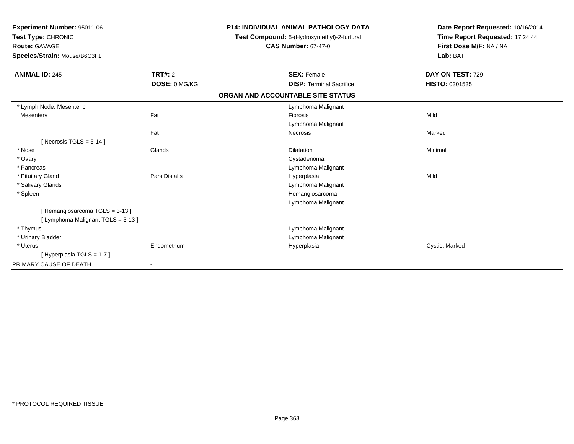| Experiment Number: 95011-06<br>Test Type: CHRONIC<br><b>Route: GAVAGE</b><br>Species/Strain: Mouse/B6C3F1 |                | <b>P14: INDIVIDUAL ANIMAL PATHOLOGY DATA</b> | Date Report Requested: 10/16/2014<br>Time Report Requested: 17:24:44<br>First Dose M/F: NA / NA |
|-----------------------------------------------------------------------------------------------------------|----------------|----------------------------------------------|-------------------------------------------------------------------------------------------------|
|                                                                                                           |                | Test Compound: 5-(Hydroxymethyl)-2-furfural  |                                                                                                 |
|                                                                                                           |                | <b>CAS Number: 67-47-0</b>                   |                                                                                                 |
|                                                                                                           |                |                                              | Lab: BAT                                                                                        |
| <b>ANIMAL ID: 245</b>                                                                                     | <b>TRT#: 2</b> | <b>SEX: Female</b>                           | DAY ON TEST: 729                                                                                |
|                                                                                                           | DOSE: 0 MG/KG  | <b>DISP: Terminal Sacrifice</b>              | HISTO: 0301535                                                                                  |
|                                                                                                           |                | ORGAN AND ACCOUNTABLE SITE STATUS            |                                                                                                 |
| * Lymph Node, Mesenteric                                                                                  |                | Lymphoma Malignant                           |                                                                                                 |
| Mesentery                                                                                                 | Fat            | Fibrosis                                     | Mild                                                                                            |
|                                                                                                           |                | Lymphoma Malignant                           |                                                                                                 |
|                                                                                                           | Fat            | <b>Necrosis</b>                              | Marked                                                                                          |
| [ Necrosis TGLS = $5-14$ ]                                                                                |                |                                              |                                                                                                 |
| * Nose                                                                                                    | Glands         | <b>Dilatation</b>                            | Minimal                                                                                         |
| * Ovary                                                                                                   |                | Cystadenoma                                  |                                                                                                 |
| * Pancreas                                                                                                |                | Lymphoma Malignant                           |                                                                                                 |
| * Pituitary Gland                                                                                         | Pars Distalis  | Hyperplasia                                  | Mild                                                                                            |
| * Salivary Glands                                                                                         |                | Lymphoma Malignant                           |                                                                                                 |
| * Spleen                                                                                                  |                | Hemangiosarcoma                              |                                                                                                 |
|                                                                                                           |                | Lymphoma Malignant                           |                                                                                                 |
| [Hemangiosarcoma TGLS = 3-13]                                                                             |                |                                              |                                                                                                 |
| [ Lymphoma Malignant TGLS = 3-13 ]                                                                        |                |                                              |                                                                                                 |
| * Thymus                                                                                                  |                | Lymphoma Malignant                           |                                                                                                 |
| * Urinary Bladder                                                                                         |                | Lymphoma Malignant                           |                                                                                                 |
| * Uterus                                                                                                  | Endometrium    | Hyperplasia                                  | Cystic, Marked                                                                                  |
| [Hyperplasia TGLS = 1-7]                                                                                  |                |                                              |                                                                                                 |
| PRIMARY CAUSE OF DEATH                                                                                    | $\blacksquare$ |                                              |                                                                                                 |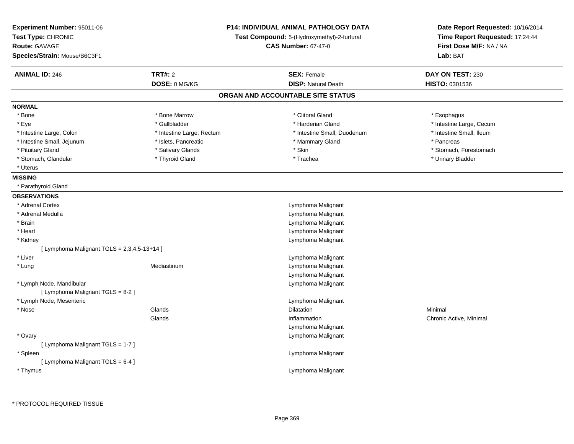| Experiment Number: 95011-06<br>Test Type: CHRONIC<br><b>Route: GAVAGE</b><br>Species/Strain: Mouse/B6C3F1 | P14: INDIVIDUAL ANIMAL PATHOLOGY DATA<br>Test Compound: 5-(Hydroxymethyl)-2-furfural<br><b>CAS Number: 67-47-0</b> |                                   | Date Report Requested: 10/16/2014<br>Time Report Requested: 17:24:44<br>First Dose M/F: NA / NA<br>Lab: BAT |  |
|-----------------------------------------------------------------------------------------------------------|--------------------------------------------------------------------------------------------------------------------|-----------------------------------|-------------------------------------------------------------------------------------------------------------|--|
| <b>ANIMAL ID: 246</b>                                                                                     | <b>TRT#: 2</b>                                                                                                     | <b>SEX: Female</b>                | DAY ON TEST: 230                                                                                            |  |
|                                                                                                           | DOSE: 0 MG/KG                                                                                                      | <b>DISP: Natural Death</b>        | HISTO: 0301536                                                                                              |  |
|                                                                                                           |                                                                                                                    | ORGAN AND ACCOUNTABLE SITE STATUS |                                                                                                             |  |
| NORMAL                                                                                                    |                                                                                                                    |                                   |                                                                                                             |  |
| * Bone                                                                                                    | * Bone Marrow                                                                                                      | * Clitoral Gland                  | * Esophagus                                                                                                 |  |
| * Eye                                                                                                     | * Gallbladder                                                                                                      | * Harderian Gland                 | * Intestine Large, Cecum                                                                                    |  |
| * Intestine Large, Colon                                                                                  | * Intestine Large, Rectum                                                                                          | * Intestine Small, Duodenum       | * Intestine Small, Ileum                                                                                    |  |
| * Intestine Small, Jejunum                                                                                | * Islets, Pancreatic                                                                                               | * Mammary Gland                   | * Pancreas                                                                                                  |  |
| * Pituitary Gland                                                                                         | * Salivary Glands                                                                                                  | * Skin                            | * Stomach, Forestomach                                                                                      |  |
| * Stomach, Glandular                                                                                      | * Thyroid Gland                                                                                                    | * Trachea                         | * Urinary Bladder                                                                                           |  |
| * Uterus                                                                                                  |                                                                                                                    |                                   |                                                                                                             |  |
| <b>MISSING</b>                                                                                            |                                                                                                                    |                                   |                                                                                                             |  |
| * Parathyroid Gland                                                                                       |                                                                                                                    |                                   |                                                                                                             |  |
| <b>OBSERVATIONS</b>                                                                                       |                                                                                                                    |                                   |                                                                                                             |  |
| * Adrenal Cortex                                                                                          |                                                                                                                    | Lymphoma Malignant                |                                                                                                             |  |
| * Adrenal Medulla                                                                                         |                                                                                                                    | Lymphoma Malignant                |                                                                                                             |  |
| * Brain                                                                                                   |                                                                                                                    | Lymphoma Malignant                |                                                                                                             |  |
| * Heart                                                                                                   |                                                                                                                    | Lymphoma Malignant                |                                                                                                             |  |
| * Kidney                                                                                                  |                                                                                                                    | Lymphoma Malignant                |                                                                                                             |  |
| [ Lymphoma Malignant TGLS = 2,3,4,5-13+14 ]                                                               |                                                                                                                    |                                   |                                                                                                             |  |
| * Liver                                                                                                   |                                                                                                                    | Lymphoma Malignant                |                                                                                                             |  |
| * Lung                                                                                                    | Mediastinum                                                                                                        | Lymphoma Malignant                |                                                                                                             |  |
|                                                                                                           |                                                                                                                    | Lymphoma Malignant                |                                                                                                             |  |
| * Lymph Node, Mandibular                                                                                  |                                                                                                                    | Lymphoma Malignant                |                                                                                                             |  |
| [ Lymphoma Malignant TGLS = 8-2 ]                                                                         |                                                                                                                    |                                   |                                                                                                             |  |
| * Lymph Node, Mesenteric                                                                                  |                                                                                                                    | Lymphoma Malignant                |                                                                                                             |  |
| * Nose                                                                                                    | Glands                                                                                                             | Dilatation                        | Minimal                                                                                                     |  |
|                                                                                                           | Glands                                                                                                             | Inflammation                      | Chronic Active, Minimal                                                                                     |  |
|                                                                                                           |                                                                                                                    | Lymphoma Malignant                |                                                                                                             |  |
| * Ovary                                                                                                   |                                                                                                                    | Lymphoma Malignant                |                                                                                                             |  |
| [ Lymphoma Malignant TGLS = 1-7 ]                                                                         |                                                                                                                    |                                   |                                                                                                             |  |
| * Spleen                                                                                                  |                                                                                                                    | Lymphoma Malignant                |                                                                                                             |  |
| [ Lymphoma Malignant TGLS = 6-4 ]                                                                         |                                                                                                                    |                                   |                                                                                                             |  |
| * Thymus                                                                                                  |                                                                                                                    | Lymphoma Malignant                |                                                                                                             |  |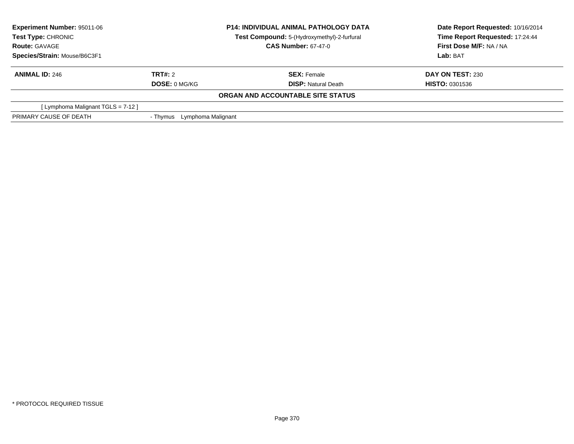| <b>Experiment Number: 95011-06</b><br><b>Test Type: CHRONIC</b><br><b>Route: GAVAGE</b> |                                | <b>P14: INDIVIDUAL ANIMAL PATHOLOGY DATA</b><br>Test Compound: 5-(Hydroxymethyl)-2-furfural<br><b>CAS Number: 67-47-0</b> | Date Report Requested: 10/16/2014<br>Time Report Requested: 17:24:44<br>First Dose M/F: NA / NA |
|-----------------------------------------------------------------------------------------|--------------------------------|---------------------------------------------------------------------------------------------------------------------------|-------------------------------------------------------------------------------------------------|
| Species/Strain: Mouse/B6C3F1                                                            |                                |                                                                                                                           | Lab: BAT                                                                                        |
| <b>ANIMAL ID: 246</b>                                                                   | TRT#: 2                        | <b>SEX: Female</b>                                                                                                        | <b>DAY ON TEST: 230</b>                                                                         |
|                                                                                         | <b>DOSE: 0 MG/KG</b>           | <b>DISP:</b> Natural Death                                                                                                | <b>HISTO: 0301536</b>                                                                           |
|                                                                                         |                                | ORGAN AND ACCOUNTABLE SITE STATUS                                                                                         |                                                                                                 |
| [Lymphoma Malignant TGLS = 7-12]                                                        |                                |                                                                                                                           |                                                                                                 |
| PRIMARY CAUSE OF DEATH                                                                  | Lymphoma Malignant<br>- Thvmus |                                                                                                                           |                                                                                                 |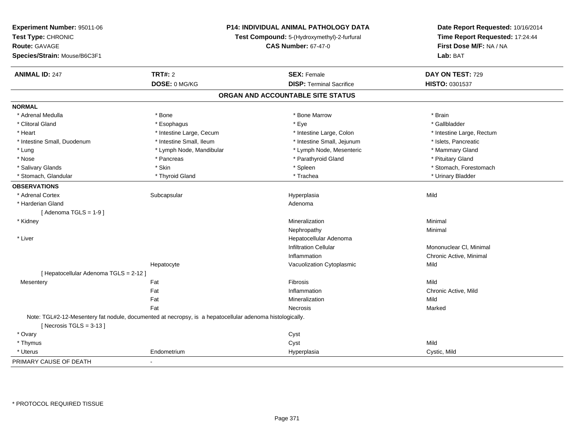| Experiment Number: 95011-06<br>Test Type: CHRONIC<br><b>Route: GAVAGE</b><br>Species/Strain: Mouse/B6C3F1 | P14: INDIVIDUAL ANIMAL PATHOLOGY DATA<br>Test Compound: 5-(Hydroxymethyl)-2-furfural<br><b>CAS Number: 67-47-0</b> |                                   | Date Report Requested: 10/16/2014<br>Time Report Requested: 17:24:44<br>First Dose M/F: NA / NA<br>Lab: BAT |
|-----------------------------------------------------------------------------------------------------------|--------------------------------------------------------------------------------------------------------------------|-----------------------------------|-------------------------------------------------------------------------------------------------------------|
| <b>ANIMAL ID: 247</b>                                                                                     | <b>TRT#: 2</b>                                                                                                     | <b>SEX: Female</b>                | DAY ON TEST: 729                                                                                            |
|                                                                                                           | DOSE: 0 MG/KG                                                                                                      | <b>DISP: Terminal Sacrifice</b>   | HISTO: 0301537                                                                                              |
|                                                                                                           |                                                                                                                    | ORGAN AND ACCOUNTABLE SITE STATUS |                                                                                                             |
| <b>NORMAL</b>                                                                                             |                                                                                                                    |                                   |                                                                                                             |
| * Adrenal Medulla                                                                                         | * Bone                                                                                                             | * Bone Marrow                     | * Brain                                                                                                     |
| * Clitoral Gland                                                                                          | * Esophagus                                                                                                        | * Eye                             | * Gallbladder                                                                                               |
| * Heart                                                                                                   | * Intestine Large, Cecum                                                                                           | * Intestine Large, Colon          | * Intestine Large, Rectum                                                                                   |
| * Intestine Small, Duodenum                                                                               | * Intestine Small, Ileum                                                                                           | * Intestine Small, Jejunum        | * Islets, Pancreatic                                                                                        |
| $*$ Lung                                                                                                  | * Lymph Node, Mandibular                                                                                           | * Lymph Node, Mesenteric          | * Mammary Gland                                                                                             |
| * Nose                                                                                                    | * Pancreas                                                                                                         | * Parathyroid Gland               | * Pituitary Gland                                                                                           |
| * Salivary Glands                                                                                         | * Skin                                                                                                             | * Spleen                          | * Stomach, Forestomach                                                                                      |
| * Stomach, Glandular                                                                                      | * Thyroid Gland                                                                                                    | * Trachea                         | * Urinary Bladder                                                                                           |
| <b>OBSERVATIONS</b>                                                                                       |                                                                                                                    |                                   |                                                                                                             |
| * Adrenal Cortex                                                                                          | Subcapsular                                                                                                        | Hyperplasia                       | Mild                                                                                                        |
| * Harderian Gland                                                                                         |                                                                                                                    | Adenoma                           |                                                                                                             |
| [Adenoma TGLS = $1-9$ ]                                                                                   |                                                                                                                    |                                   |                                                                                                             |
| * Kidney                                                                                                  |                                                                                                                    | Mineralization                    | Minimal                                                                                                     |
|                                                                                                           |                                                                                                                    | Nephropathy                       | Minimal                                                                                                     |
| * Liver                                                                                                   |                                                                                                                    | Hepatocellular Adenoma            |                                                                                                             |
|                                                                                                           |                                                                                                                    | <b>Infiltration Cellular</b>      | Mononuclear CI, Minimal                                                                                     |
|                                                                                                           |                                                                                                                    | Inflammation                      | Chronic Active, Minimal                                                                                     |
|                                                                                                           | Hepatocyte                                                                                                         | Vacuolization Cytoplasmic         | Mild                                                                                                        |
| [ Hepatocellular Adenoma TGLS = 2-12 ]                                                                    |                                                                                                                    |                                   |                                                                                                             |
| Mesentery                                                                                                 | Fat                                                                                                                | Fibrosis                          | Mild                                                                                                        |
|                                                                                                           | Fat                                                                                                                | Inflammation                      | Chronic Active, Mild                                                                                        |
|                                                                                                           | Fat                                                                                                                | Mineralization                    | Mild                                                                                                        |
|                                                                                                           | Fat                                                                                                                | Necrosis                          | Marked                                                                                                      |
| [Necrosis TGLS = $3-13$ ]                                                                                 | Note: TGL#2-12-Mesentery fat nodule, documented at necropsy, is a hepatocellular adenoma histologically.           |                                   |                                                                                                             |
| * Ovary                                                                                                   |                                                                                                                    | Cyst                              |                                                                                                             |
| * Thymus                                                                                                  |                                                                                                                    | Cyst                              | Mild                                                                                                        |
| * Uterus                                                                                                  | Endometrium                                                                                                        | Hyperplasia                       | Cystic, Mild                                                                                                |
| PRIMARY CAUSE OF DEATH                                                                                    | $\blacksquare$                                                                                                     |                                   |                                                                                                             |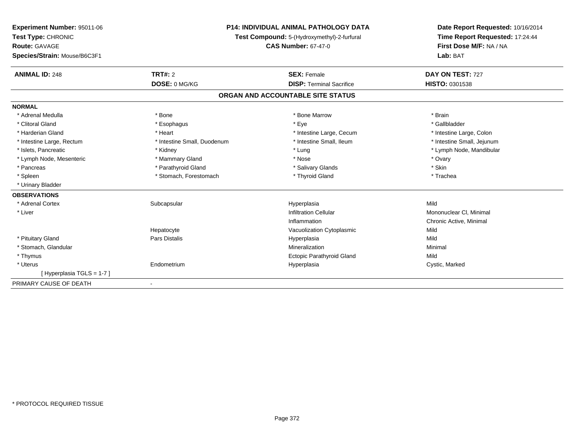| Experiment Number: 95011-06  | <b>P14: INDIVIDUAL ANIMAL PATHOLOGY DATA</b><br>Test Compound: 5-(Hydroxymethyl)-2-furfural<br><b>CAS Number: 67-47-0</b> |                                   | Date Report Requested: 10/16/2014 |  |
|------------------------------|---------------------------------------------------------------------------------------------------------------------------|-----------------------------------|-----------------------------------|--|
| Test Type: CHRONIC           |                                                                                                                           |                                   | Time Report Requested: 17:24:44   |  |
| <b>Route: GAVAGE</b>         |                                                                                                                           |                                   | First Dose M/F: NA / NA           |  |
| Species/Strain: Mouse/B6C3F1 |                                                                                                                           |                                   | Lab: BAT                          |  |
| <b>ANIMAL ID: 248</b>        | <b>TRT#: 2</b>                                                                                                            | <b>SEX: Female</b>                | DAY ON TEST: 727                  |  |
|                              | DOSE: 0 MG/KG                                                                                                             | <b>DISP: Terminal Sacrifice</b>   | HISTO: 0301538                    |  |
|                              |                                                                                                                           | ORGAN AND ACCOUNTABLE SITE STATUS |                                   |  |
| <b>NORMAL</b>                |                                                                                                                           |                                   |                                   |  |
| * Adrenal Medulla            | * Bone                                                                                                                    | * Bone Marrow                     | * Brain                           |  |
| * Clitoral Gland             | * Esophagus                                                                                                               | * Eye                             | * Gallbladder                     |  |
| * Harderian Gland            | * Heart                                                                                                                   | * Intestine Large, Cecum          | * Intestine Large, Colon          |  |
| * Intestine Large, Rectum    | * Intestine Small, Duodenum                                                                                               | * Intestine Small. Ileum          | * Intestine Small, Jejunum        |  |
| * Islets, Pancreatic         | * Kidney                                                                                                                  | * Lung                            | * Lymph Node, Mandibular          |  |
| * Lymph Node, Mesenteric     | * Mammary Gland                                                                                                           | * Nose                            | * Ovary                           |  |
| * Pancreas                   | * Parathyroid Gland                                                                                                       | * Salivary Glands                 | * Skin                            |  |
| * Spleen                     | * Stomach, Forestomach                                                                                                    | * Thyroid Gland                   | * Trachea                         |  |
| * Urinary Bladder            |                                                                                                                           |                                   |                                   |  |
| <b>OBSERVATIONS</b>          |                                                                                                                           |                                   |                                   |  |
| * Adrenal Cortex             | Subcapsular                                                                                                               | Hyperplasia                       | Mild                              |  |
| * Liver                      |                                                                                                                           | <b>Infiltration Cellular</b>      | Mononuclear CI, Minimal           |  |
|                              |                                                                                                                           | Inflammation                      | Chronic Active, Minimal           |  |
|                              | Hepatocyte                                                                                                                | Vacuolization Cytoplasmic         | Mild                              |  |
| * Pituitary Gland            | Pars Distalis                                                                                                             | Hyperplasia                       | Mild                              |  |
| * Stomach, Glandular         |                                                                                                                           | Mineralization                    | Minimal                           |  |
| * Thymus                     |                                                                                                                           | Ectopic Parathyroid Gland         | Mild                              |  |
| * Uterus                     | Endometrium                                                                                                               | Hyperplasia                       | Cystic, Marked                    |  |
| [Hyperplasia TGLS = 1-7]     |                                                                                                                           |                                   |                                   |  |
| PRIMARY CAUSE OF DEATH       | $\blacksquare$                                                                                                            |                                   |                                   |  |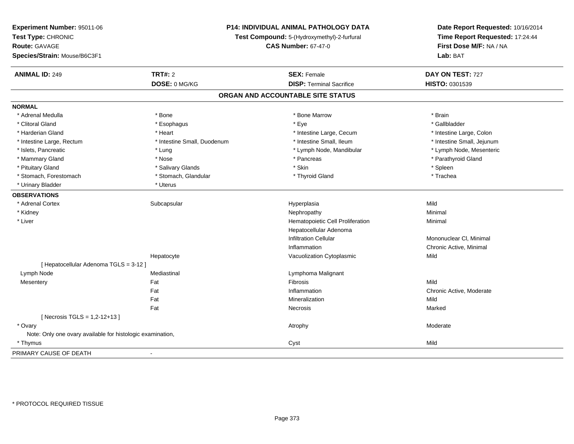| Experiment Number: 95011-06<br>Test Type: CHRONIC<br><b>Route: GAVAGE</b><br>Species/Strain: Mouse/B6C3F1 | P14: INDIVIDUAL ANIMAL PATHOLOGY DATA<br>Test Compound: 5-(Hydroxymethyl)-2-furfural<br><b>CAS Number: 67-47-0</b> |                                   | Date Report Requested: 10/16/2014<br>Time Report Requested: 17:24:44<br>First Dose M/F: NA / NA<br>Lab: BAT |
|-----------------------------------------------------------------------------------------------------------|--------------------------------------------------------------------------------------------------------------------|-----------------------------------|-------------------------------------------------------------------------------------------------------------|
| <b>ANIMAL ID: 249</b>                                                                                     | <b>TRT#: 2</b>                                                                                                     | <b>SEX: Female</b>                | DAY ON TEST: 727                                                                                            |
|                                                                                                           | DOSE: 0 MG/KG                                                                                                      | <b>DISP: Terminal Sacrifice</b>   | HISTO: 0301539                                                                                              |
|                                                                                                           |                                                                                                                    | ORGAN AND ACCOUNTABLE SITE STATUS |                                                                                                             |
| <b>NORMAL</b>                                                                                             |                                                                                                                    |                                   |                                                                                                             |
| * Adrenal Medulla                                                                                         | * Bone                                                                                                             | * Bone Marrow                     | * Brain                                                                                                     |
| * Clitoral Gland                                                                                          | * Esophagus                                                                                                        | * Eye                             | * Gallbladder                                                                                               |
| * Harderian Gland                                                                                         | * Heart                                                                                                            | * Intestine Large, Cecum          | * Intestine Large, Colon                                                                                    |
| * Intestine Large, Rectum                                                                                 | * Intestine Small, Duodenum                                                                                        | * Intestine Small, Ileum          | * Intestine Small, Jejunum                                                                                  |
| * Islets, Pancreatic                                                                                      | * Lung                                                                                                             | * Lymph Node, Mandibular          | * Lymph Node, Mesenteric                                                                                    |
| * Mammary Gland                                                                                           | * Nose                                                                                                             | * Pancreas                        | * Parathyroid Gland                                                                                         |
| * Pituitary Gland                                                                                         | * Salivary Glands                                                                                                  | * Skin                            | * Spleen                                                                                                    |
| * Stomach, Forestomach                                                                                    | * Stomach, Glandular                                                                                               | * Thyroid Gland                   | * Trachea                                                                                                   |
| * Urinary Bladder                                                                                         | * Uterus                                                                                                           |                                   |                                                                                                             |
| <b>OBSERVATIONS</b>                                                                                       |                                                                                                                    |                                   |                                                                                                             |
| * Adrenal Cortex                                                                                          | Subcapsular                                                                                                        | Hyperplasia                       | Mild                                                                                                        |
| * Kidney                                                                                                  |                                                                                                                    | Nephropathy                       | Minimal                                                                                                     |
| * Liver                                                                                                   |                                                                                                                    | Hematopoietic Cell Proliferation  | Minimal                                                                                                     |
|                                                                                                           |                                                                                                                    | Hepatocellular Adenoma            |                                                                                                             |
|                                                                                                           |                                                                                                                    | <b>Infiltration Cellular</b>      | Mononuclear CI, Minimal                                                                                     |
|                                                                                                           |                                                                                                                    | Inflammation                      | Chronic Active, Minimal                                                                                     |
|                                                                                                           | Hepatocyte                                                                                                         | Vacuolization Cytoplasmic         | Mild                                                                                                        |
| [ Hepatocellular Adenoma TGLS = 3-12 ]                                                                    |                                                                                                                    |                                   |                                                                                                             |
| Lymph Node                                                                                                | Mediastinal                                                                                                        | Lymphoma Malignant                |                                                                                                             |
| Mesentery                                                                                                 | Fat                                                                                                                | Fibrosis                          | Mild                                                                                                        |
|                                                                                                           | Fat                                                                                                                | Inflammation                      | Chronic Active, Moderate                                                                                    |
|                                                                                                           | Fat                                                                                                                | Mineralization                    | Mild                                                                                                        |
|                                                                                                           | Fat                                                                                                                | Necrosis                          | Marked                                                                                                      |
| [ Necrosis TGLS = 1,2-12+13 ]                                                                             |                                                                                                                    |                                   |                                                                                                             |
| * Ovary                                                                                                   |                                                                                                                    | Atrophy                           | Moderate                                                                                                    |
| Note: Only one ovary available for histologic examination,                                                |                                                                                                                    |                                   |                                                                                                             |
| * Thymus                                                                                                  |                                                                                                                    | Cyst                              | Mild                                                                                                        |
| PRIMARY CAUSE OF DEATH                                                                                    |                                                                                                                    |                                   |                                                                                                             |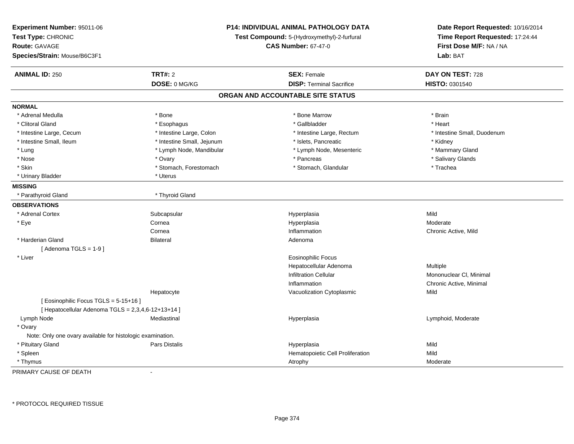| Experiment Number: 95011-06<br>Test Type: CHRONIC<br><b>Route: GAVAGE</b><br>Species/Strain: Mouse/B6C3F1 | P14: INDIVIDUAL ANIMAL PATHOLOGY DATA<br>Test Compound: 5-(Hydroxymethyl)-2-furfural<br><b>CAS Number: 67-47-0</b> |                                   | Date Report Requested: 10/16/2014<br>Time Report Requested: 17:24:44<br>First Dose M/F: NA / NA<br>Lab: BAT |
|-----------------------------------------------------------------------------------------------------------|--------------------------------------------------------------------------------------------------------------------|-----------------------------------|-------------------------------------------------------------------------------------------------------------|
| <b>ANIMAL ID: 250</b>                                                                                     | <b>TRT#: 2</b>                                                                                                     | <b>SEX: Female</b>                | DAY ON TEST: 728                                                                                            |
|                                                                                                           | DOSE: 0 MG/KG                                                                                                      | <b>DISP: Terminal Sacrifice</b>   | <b>HISTO: 0301540</b>                                                                                       |
|                                                                                                           |                                                                                                                    | ORGAN AND ACCOUNTABLE SITE STATUS |                                                                                                             |
| <b>NORMAL</b>                                                                                             |                                                                                                                    |                                   |                                                                                                             |
| * Adrenal Medulla                                                                                         | * Bone                                                                                                             | * Bone Marrow                     | * Brain                                                                                                     |
| * Clitoral Gland                                                                                          | * Esophagus                                                                                                        | * Gallbladder                     | * Heart                                                                                                     |
| * Intestine Large, Cecum                                                                                  | * Intestine Large, Colon                                                                                           | * Intestine Large, Rectum         | * Intestine Small, Duodenum                                                                                 |
| * Intestine Small, Ileum                                                                                  | * Intestine Small, Jejunum                                                                                         | * Islets, Pancreatic              | * Kidney                                                                                                    |
| * Lung                                                                                                    | * Lymph Node, Mandibular                                                                                           | * Lymph Node, Mesenteric          | * Mammary Gland                                                                                             |
| * Nose                                                                                                    | * Ovary                                                                                                            | * Pancreas                        | * Salivary Glands                                                                                           |
| * Skin                                                                                                    | * Stomach, Forestomach                                                                                             | * Stomach, Glandular              | * Trachea                                                                                                   |
| * Urinary Bladder                                                                                         | * Uterus                                                                                                           |                                   |                                                                                                             |
| <b>MISSING</b>                                                                                            |                                                                                                                    |                                   |                                                                                                             |
| * Parathyroid Gland                                                                                       | * Thyroid Gland                                                                                                    |                                   |                                                                                                             |
| <b>OBSERVATIONS</b>                                                                                       |                                                                                                                    |                                   |                                                                                                             |
| * Adrenal Cortex                                                                                          | Subcapsular                                                                                                        | Hyperplasia                       | Mild                                                                                                        |
| * Eye                                                                                                     | Cornea                                                                                                             | Hyperplasia                       | Moderate                                                                                                    |
|                                                                                                           | Cornea                                                                                                             | Inflammation                      | Chronic Active, Mild                                                                                        |
| * Harderian Gland                                                                                         | <b>Bilateral</b>                                                                                                   | Adenoma                           |                                                                                                             |
| [Adenoma TGLS = $1-9$ ]                                                                                   |                                                                                                                    |                                   |                                                                                                             |
| * Liver                                                                                                   |                                                                                                                    | <b>Eosinophilic Focus</b>         |                                                                                                             |
|                                                                                                           |                                                                                                                    | Hepatocellular Adenoma            | Multiple                                                                                                    |
|                                                                                                           |                                                                                                                    | <b>Infiltration Cellular</b>      | Mononuclear CI, Minimal                                                                                     |
|                                                                                                           |                                                                                                                    | Inflammation                      | Chronic Active, Minimal                                                                                     |
|                                                                                                           | Hepatocyte                                                                                                         | Vacuolization Cytoplasmic         | Mild                                                                                                        |
| [ Eosinophilic Focus TGLS = 5-15+16 ]                                                                     |                                                                                                                    |                                   |                                                                                                             |
| [ Hepatocellular Adenoma TGLS = 2,3,4,6-12+13+14 ]                                                        |                                                                                                                    |                                   |                                                                                                             |
| Lymph Node                                                                                                | Mediastinal                                                                                                        | Hyperplasia                       | Lymphoid, Moderate                                                                                          |
| * Ovary                                                                                                   |                                                                                                                    |                                   |                                                                                                             |
| Note: Only one ovary available for histologic examination.                                                |                                                                                                                    |                                   |                                                                                                             |
| * Pituitary Gland                                                                                         | Pars Distalis                                                                                                      | Hyperplasia                       | Mild                                                                                                        |
| * Spleen                                                                                                  |                                                                                                                    | Hematopoietic Cell Proliferation  | Mild                                                                                                        |
| * Thymus                                                                                                  |                                                                                                                    | Atrophy                           | Moderate                                                                                                    |

PRIMARY CAUSE OF DEATH-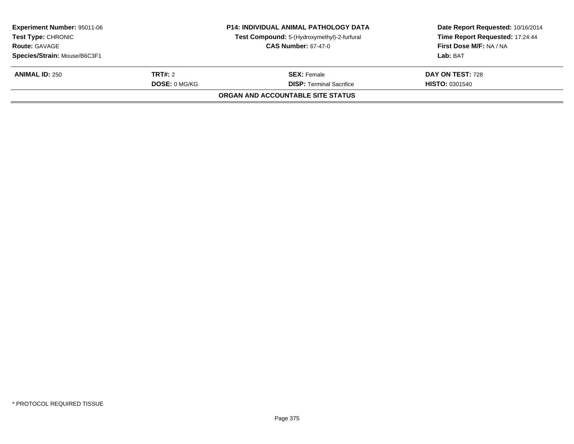| <b>Experiment Number: 95011-06</b><br><b>Test Type: CHRONIC</b> |                      | <b>P14: INDIVIDUAL ANIMAL PATHOLOGY DATA</b><br>Test Compound: 5-(Hydroxymethyl)-2-furfural | Date Report Requested: 10/16/2014<br>Time Report Requested: 17:24:44 |
|-----------------------------------------------------------------|----------------------|---------------------------------------------------------------------------------------------|----------------------------------------------------------------------|
| <b>CAS Number: 67-47-0</b><br><b>Route: GAVAGE</b>              |                      |                                                                                             | First Dose M/F: NA / NA                                              |
| Species/Strain: Mouse/B6C3F1                                    |                      |                                                                                             | Lab: BAT                                                             |
| <b>ANIMAL ID: 250</b>                                           | <b>TRT#: 2</b>       | <b>SEX: Female</b>                                                                          | DAY ON TEST: 728                                                     |
|                                                                 | <b>DOSE: 0 MG/KG</b> | <b>DISP: Terminal Sacrifice</b>                                                             | <b>HISTO: 0301540</b>                                                |
|                                                                 |                      | <b>ORGAN AND ACCOUNTABLE SITE STATUS</b>                                                    |                                                                      |
|                                                                 |                      |                                                                                             |                                                                      |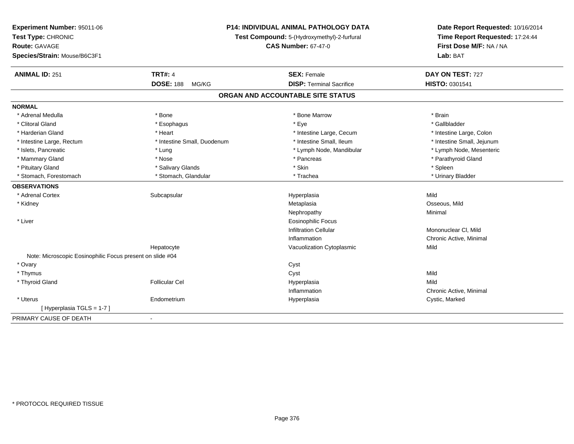| Experiment Number: 95011-06                               | P14: INDIVIDUAL ANIMAL PATHOLOGY DATA       | Date Report Requested: 10/16/2014<br>Time Report Requested: 17:24:44 |
|-----------------------------------------------------------|---------------------------------------------|----------------------------------------------------------------------|
| Test Type: CHRONIC                                        | Test Compound: 5-(Hydroxymethyl)-2-furfural | First Dose M/F: NA / NA                                              |
| Route: GAVAGE                                             | <b>CAS Number: 67-47-0</b>                  |                                                                      |
| Species/Strain: Mouse/B6C3F1                              |                                             | Lab: BAT                                                             |
| <b>TRT#: 4</b><br><b>ANIMAL ID: 251</b>                   | <b>SEX: Female</b>                          | DAY ON TEST: 727                                                     |
| <b>DOSE: 188</b>                                          | <b>DISP: Terminal Sacrifice</b><br>MG/KG    | HISTO: 0301541                                                       |
|                                                           | ORGAN AND ACCOUNTABLE SITE STATUS           |                                                                      |
| <b>NORMAL</b>                                             |                                             |                                                                      |
| * Adrenal Medulla<br>* Bone                               | * Bone Marrow                               | * Brain                                                              |
| * Clitoral Gland<br>* Esophagus                           | * Eye                                       | * Gallbladder                                                        |
| * Harderian Gland<br>* Heart                              | * Intestine Large, Cecum                    | * Intestine Large, Colon                                             |
| * Intestine Large, Rectum<br>* Intestine Small, Duodenum  | * Intestine Small. Ileum                    | * Intestine Small, Jejunum                                           |
| * Islets, Pancreatic<br>* Lung                            | * Lymph Node, Mandibular                    | * Lymph Node, Mesenteric                                             |
| * Mammary Gland<br>* Nose                                 | * Pancreas                                  | * Parathyroid Gland                                                  |
| * Pituitary Gland<br>* Salivary Glands                    | * Skin                                      | * Spleen                                                             |
| * Stomach, Forestomach<br>* Stomach, Glandular            | * Trachea                                   | * Urinary Bladder                                                    |
| <b>OBSERVATIONS</b>                                       |                                             |                                                                      |
| * Adrenal Cortex<br>Subcapsular                           | Hyperplasia                                 | Mild                                                                 |
| * Kidney                                                  | Metaplasia                                  | Osseous, Mild                                                        |
|                                                           | Nephropathy                                 | Minimal                                                              |
| * Liver                                                   | <b>Eosinophilic Focus</b>                   |                                                                      |
|                                                           | <b>Infiltration Cellular</b>                | Mononuclear CI, Mild                                                 |
|                                                           | Inflammation                                | Chronic Active, Minimal                                              |
| Hepatocyte                                                | Vacuolization Cytoplasmic                   | Mild                                                                 |
| Note: Microscopic Eosinophilic Focus present on slide #04 |                                             |                                                                      |
| * Ovary                                                   | Cyst                                        |                                                                      |
| * Thymus                                                  | Cyst                                        | Mild                                                                 |
| * Thyroid Gland<br><b>Follicular Cel</b>                  | Hyperplasia                                 | Mild                                                                 |
|                                                           | Inflammation                                | Chronic Active, Minimal                                              |
| * Uterus<br>Endometrium                                   | Hyperplasia                                 | Cystic, Marked                                                       |
| [Hyperplasia TGLS = 1-7]                                  |                                             |                                                                      |
| PRIMARY CAUSE OF DEATH<br>$\blacksquare$                  |                                             |                                                                      |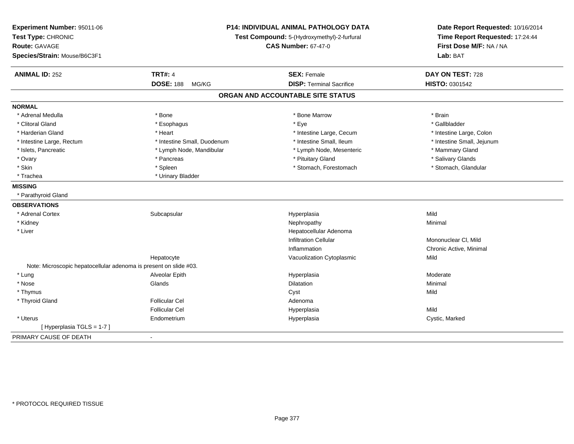| Experiment Number: 95011-06<br>Test Type: CHRONIC<br><b>Route: GAVAGE</b><br>Species/Strain: Mouse/B6C3F1 |                             | P14: INDIVIDUAL ANIMAL PATHOLOGY DATA<br>Test Compound: 5-(Hydroxymethyl)-2-furfural<br><b>CAS Number: 67-47-0</b> | Date Report Requested: 10/16/2014<br>Time Report Requested: 17:24:44<br>First Dose M/F: NA / NA<br>Lab: BAT |  |
|-----------------------------------------------------------------------------------------------------------|-----------------------------|--------------------------------------------------------------------------------------------------------------------|-------------------------------------------------------------------------------------------------------------|--|
| <b>ANIMAL ID: 252</b>                                                                                     | <b>TRT#: 4</b>              | <b>SEX: Female</b>                                                                                                 | DAY ON TEST: 728                                                                                            |  |
|                                                                                                           | <b>DOSE: 188</b><br>MG/KG   | <b>DISP: Terminal Sacrifice</b>                                                                                    | HISTO: 0301542                                                                                              |  |
|                                                                                                           |                             | ORGAN AND ACCOUNTABLE SITE STATUS                                                                                  |                                                                                                             |  |
| <b>NORMAL</b>                                                                                             |                             |                                                                                                                    |                                                                                                             |  |
| * Adrenal Medulla                                                                                         | * Bone                      | * Bone Marrow                                                                                                      | * Brain                                                                                                     |  |
| * Clitoral Gland                                                                                          | * Esophagus                 | * Eye                                                                                                              | * Gallbladder                                                                                               |  |
| * Harderian Gland                                                                                         | * Heart                     | * Intestine Large, Cecum                                                                                           | * Intestine Large, Colon                                                                                    |  |
| * Intestine Large, Rectum                                                                                 | * Intestine Small, Duodenum | * Intestine Small, Ileum                                                                                           | * Intestine Small, Jejunum                                                                                  |  |
| * Islets, Pancreatic                                                                                      | * Lymph Node, Mandibular    | * Lymph Node, Mesenteric                                                                                           | * Mammary Gland                                                                                             |  |
| * Ovary                                                                                                   | * Pancreas                  | * Pituitary Gland                                                                                                  | * Salivary Glands                                                                                           |  |
| * Skin                                                                                                    | * Spleen                    | * Stomach, Forestomach                                                                                             | * Stomach, Glandular                                                                                        |  |
| * Trachea                                                                                                 | * Urinary Bladder           |                                                                                                                    |                                                                                                             |  |
| <b>MISSING</b>                                                                                            |                             |                                                                                                                    |                                                                                                             |  |
| * Parathyroid Gland                                                                                       |                             |                                                                                                                    |                                                                                                             |  |
| <b>OBSERVATIONS</b>                                                                                       |                             |                                                                                                                    |                                                                                                             |  |
| * Adrenal Cortex                                                                                          | Subcapsular                 | Hyperplasia                                                                                                        | Mild                                                                                                        |  |
| * Kidney                                                                                                  |                             | Nephropathy                                                                                                        | Minimal                                                                                                     |  |
| * Liver                                                                                                   |                             | Hepatocellular Adenoma                                                                                             |                                                                                                             |  |
|                                                                                                           |                             | <b>Infiltration Cellular</b>                                                                                       | Mononuclear CI, Mild                                                                                        |  |
|                                                                                                           |                             | Inflammation                                                                                                       | Chronic Active, Minimal                                                                                     |  |
|                                                                                                           | Hepatocyte                  | Vacuolization Cytoplasmic                                                                                          | Mild                                                                                                        |  |
| Note: Microscopic hepatocellular adenoma is present on slide #03.                                         |                             |                                                                                                                    |                                                                                                             |  |
| * Lung                                                                                                    | Alveolar Epith              | Hyperplasia                                                                                                        | Moderate                                                                                                    |  |
| $*$ Nose                                                                                                  | Glands                      | Dilatation                                                                                                         | Minimal                                                                                                     |  |
| * Thymus                                                                                                  |                             | Cyst                                                                                                               | Mild                                                                                                        |  |
| * Thyroid Gland                                                                                           | <b>Follicular Cel</b>       | Adenoma                                                                                                            |                                                                                                             |  |
|                                                                                                           | <b>Follicular Cel</b>       | Hyperplasia                                                                                                        | Mild                                                                                                        |  |
| * Uterus                                                                                                  | Endometrium                 | Hyperplasia                                                                                                        | Cystic, Marked                                                                                              |  |
| [Hyperplasia TGLS = 1-7]                                                                                  |                             |                                                                                                                    |                                                                                                             |  |
| PRIMARY CAUSE OF DEATH                                                                                    | $\blacksquare$              |                                                                                                                    |                                                                                                             |  |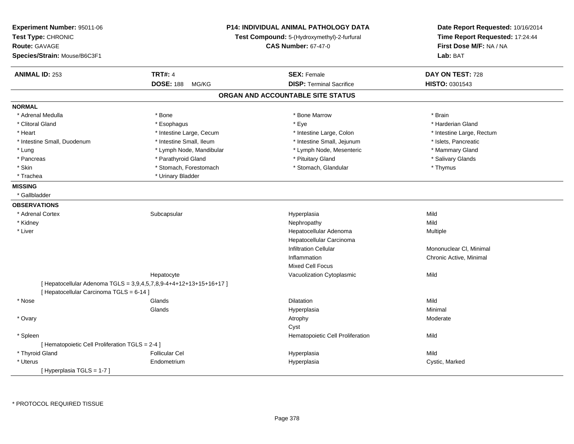| Experiment Number: 95011-06<br>Test Type: CHRONIC<br><b>Route: GAVAGE</b><br>Species/Strain: Mouse/B6C3F1 |                                                                    | <b>P14: INDIVIDUAL ANIMAL PATHOLOGY DATA</b><br>Test Compound: 5-(Hydroxymethyl)-2-furfural<br><b>CAS Number: 67-47-0</b> |                                    |
|-----------------------------------------------------------------------------------------------------------|--------------------------------------------------------------------|---------------------------------------------------------------------------------------------------------------------------|------------------------------------|
|                                                                                                           | <b>TRT#: 4</b>                                                     | <b>SEX: Female</b>                                                                                                        |                                    |
| <b>ANIMAL ID: 253</b>                                                                                     | <b>DOSE: 188</b><br>MG/KG                                          | <b>DISP: Terminal Sacrifice</b>                                                                                           | DAY ON TEST: 728<br>HISTO: 0301543 |
|                                                                                                           |                                                                    | ORGAN AND ACCOUNTABLE SITE STATUS                                                                                         |                                    |
| <b>NORMAL</b>                                                                                             |                                                                    |                                                                                                                           |                                    |
| * Adrenal Medulla                                                                                         | * Bone                                                             | * Bone Marrow                                                                                                             | * Brain                            |
| * Clitoral Gland                                                                                          | * Esophagus                                                        | * Eye                                                                                                                     | * Harderian Gland                  |
| * Heart                                                                                                   | * Intestine Large, Cecum                                           | * Intestine Large, Colon                                                                                                  | * Intestine Large, Rectum          |
| * Intestine Small, Duodenum                                                                               | * Intestine Small, Ileum                                           | * Intestine Small, Jejunum                                                                                                | * Islets, Pancreatic               |
| * Lung                                                                                                    | * Lymph Node, Mandibular                                           | * Lymph Node, Mesenteric                                                                                                  | * Mammary Gland                    |
| * Pancreas                                                                                                | * Parathyroid Gland                                                | * Pituitary Gland                                                                                                         | * Salivary Glands                  |
| * Skin                                                                                                    | * Stomach, Forestomach                                             | * Stomach, Glandular                                                                                                      | * Thymus                           |
| * Trachea                                                                                                 | * Urinary Bladder                                                  |                                                                                                                           |                                    |
| <b>MISSING</b>                                                                                            |                                                                    |                                                                                                                           |                                    |
| * Gallbladder                                                                                             |                                                                    |                                                                                                                           |                                    |
| <b>OBSERVATIONS</b>                                                                                       |                                                                    |                                                                                                                           |                                    |
| * Adrenal Cortex                                                                                          | Subcapsular                                                        | Hyperplasia                                                                                                               | Mild                               |
| * Kidney                                                                                                  |                                                                    | Nephropathy                                                                                                               | Mild                               |
| * Liver                                                                                                   |                                                                    | Hepatocellular Adenoma                                                                                                    | Multiple                           |
|                                                                                                           |                                                                    | Hepatocellular Carcinoma                                                                                                  |                                    |
|                                                                                                           |                                                                    | <b>Infiltration Cellular</b>                                                                                              | Mononuclear CI, Minimal            |
|                                                                                                           |                                                                    | Inflammation                                                                                                              | Chronic Active, Minimal            |
|                                                                                                           |                                                                    | <b>Mixed Cell Focus</b>                                                                                                   |                                    |
|                                                                                                           | Hepatocyte                                                         | Vacuolization Cytoplasmic                                                                                                 | Mild                               |
|                                                                                                           | [ Hepatocellular Adenoma TGLS = 3,9,4,5,7,8,9-4+4+12+13+15+16+17 ] |                                                                                                                           |                                    |
| [ Hepatocellular Carcinoma TGLS = 6-14 ]                                                                  |                                                                    |                                                                                                                           |                                    |
| * Nose                                                                                                    | Glands                                                             | Dilatation                                                                                                                | Mild                               |
|                                                                                                           | Glands                                                             |                                                                                                                           | Minimal                            |
|                                                                                                           |                                                                    | Hyperplasia                                                                                                               | Moderate                           |
| * Ovary                                                                                                   |                                                                    | Atrophy                                                                                                                   |                                    |
|                                                                                                           |                                                                    | Cyst                                                                                                                      | Mild                               |
| * Spleen<br>[ Hematopoietic Cell Proliferation TGLS = 2-4 ]                                               |                                                                    | Hematopoietic Cell Proliferation                                                                                          |                                    |
| * Thyroid Gland                                                                                           | <b>Follicular Cel</b>                                              |                                                                                                                           | Mild                               |
|                                                                                                           |                                                                    | Hyperplasia                                                                                                               |                                    |
| * Uterus                                                                                                  | Endometrium                                                        | Hyperplasia                                                                                                               | Cystic, Marked                     |
| [ Hyperplasia TGLS = 1-7 ]                                                                                |                                                                    |                                                                                                                           |                                    |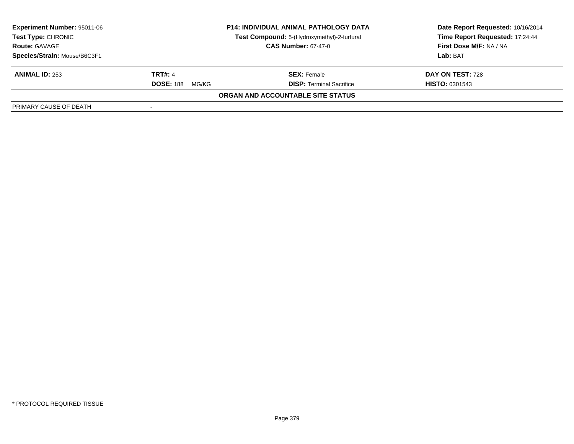| <b>Experiment Number: 95011-06</b><br><b>Test Type: CHRONIC</b><br><b>Route: GAVAGE</b> | <b>P14: INDIVIDUAL ANIMAL PATHOLOGY DATA</b><br>Test Compound: 5-(Hydroxymethyl)-2-furfural<br><b>CAS Number: 67-47-0</b> |                                   | Date Report Requested: 10/16/2014<br>Time Report Requested: 17:24:44<br><b>First Dose M/F: NA / NA</b> |
|-----------------------------------------------------------------------------------------|---------------------------------------------------------------------------------------------------------------------------|-----------------------------------|--------------------------------------------------------------------------------------------------------|
| Species/Strain: Mouse/B6C3F1                                                            |                                                                                                                           |                                   | Lab: BAT                                                                                               |
| <b>ANIMAL ID: 253</b>                                                                   | <b>TRT#: 4</b>                                                                                                            | <b>SEX:</b> Female                | DAY ON TEST: 728                                                                                       |
|                                                                                         | <b>DOSE: 188</b><br>MG/KG                                                                                                 | <b>DISP: Terminal Sacrifice</b>   | <b>HISTO: 0301543</b>                                                                                  |
|                                                                                         |                                                                                                                           | ORGAN AND ACCOUNTABLE SITE STATUS |                                                                                                        |
| PRIMARY CAUSE OF DEATH                                                                  |                                                                                                                           |                                   |                                                                                                        |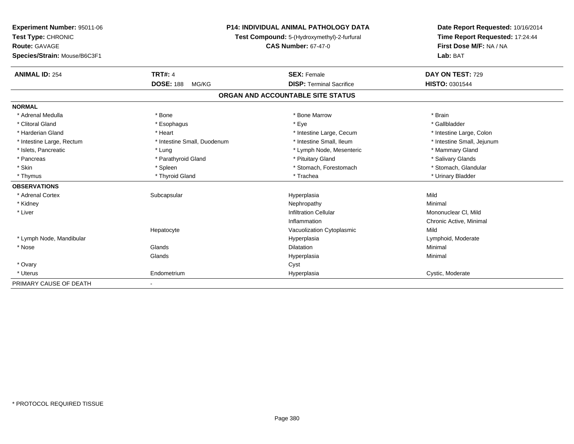| Experiment Number: 95011-06  | <b>P14: INDIVIDUAL ANIMAL PATHOLOGY DATA</b><br>Test Compound: 5-(Hydroxymethyl)-2-furfural |                                   | Date Report Requested: 10/16/2014 |  |
|------------------------------|---------------------------------------------------------------------------------------------|-----------------------------------|-----------------------------------|--|
| Test Type: CHRONIC           |                                                                                             |                                   | Time Report Requested: 17:24:44   |  |
| Route: GAVAGE                |                                                                                             | <b>CAS Number: 67-47-0</b>        | First Dose M/F: NA / NA           |  |
| Species/Strain: Mouse/B6C3F1 |                                                                                             |                                   | Lab: BAT                          |  |
| <b>ANIMAL ID: 254</b>        | <b>TRT#: 4</b>                                                                              | <b>SEX: Female</b>                | DAY ON TEST: 729                  |  |
|                              | <b>DOSE: 188</b><br>MG/KG                                                                   | <b>DISP: Terminal Sacrifice</b>   | <b>HISTO: 0301544</b>             |  |
|                              |                                                                                             | ORGAN AND ACCOUNTABLE SITE STATUS |                                   |  |
| <b>NORMAL</b>                |                                                                                             |                                   |                                   |  |
| * Adrenal Medulla            | * Bone                                                                                      | * Bone Marrow                     | * Brain                           |  |
| * Clitoral Gland             | * Esophagus                                                                                 | * Eye                             | * Gallbladder                     |  |
| * Harderian Gland            | * Heart                                                                                     | * Intestine Large, Cecum          | * Intestine Large, Colon          |  |
| * Intestine Large, Rectum    | * Intestine Small, Duodenum                                                                 | * Intestine Small, Ileum          | * Intestine Small, Jejunum        |  |
| * Islets, Pancreatic         | * Lung                                                                                      | * Lymph Node, Mesenteric          | * Mammary Gland                   |  |
| * Pancreas                   | * Parathyroid Gland                                                                         | * Pituitary Gland                 | * Salivary Glands                 |  |
| * Skin                       | * Spleen                                                                                    | * Stomach, Forestomach            | * Stomach, Glandular              |  |
| * Thymus                     | * Thyroid Gland                                                                             | * Trachea                         | * Urinary Bladder                 |  |
| <b>OBSERVATIONS</b>          |                                                                                             |                                   |                                   |  |
| * Adrenal Cortex             | Subcapsular                                                                                 | Hyperplasia                       | Mild                              |  |
| * Kidney                     |                                                                                             | Nephropathy                       | Minimal                           |  |
| * Liver                      |                                                                                             | <b>Infiltration Cellular</b>      | Mononuclear CI, Mild              |  |
|                              |                                                                                             | Inflammation                      | Chronic Active, Minimal           |  |
|                              | Hepatocyte                                                                                  | Vacuolization Cytoplasmic         | Mild                              |  |
| * Lymph Node, Mandibular     |                                                                                             | Hyperplasia                       | Lymphoid, Moderate                |  |
| * Nose                       | Glands                                                                                      | Dilatation                        | Minimal                           |  |
|                              | Glands                                                                                      | Hyperplasia                       | Minimal                           |  |
| * Ovary                      |                                                                                             | Cyst                              |                                   |  |
| * Uterus                     | Endometrium                                                                                 | Hyperplasia                       | Cystic, Moderate                  |  |
| PRIMARY CAUSE OF DEATH       | $\blacksquare$                                                                              |                                   |                                   |  |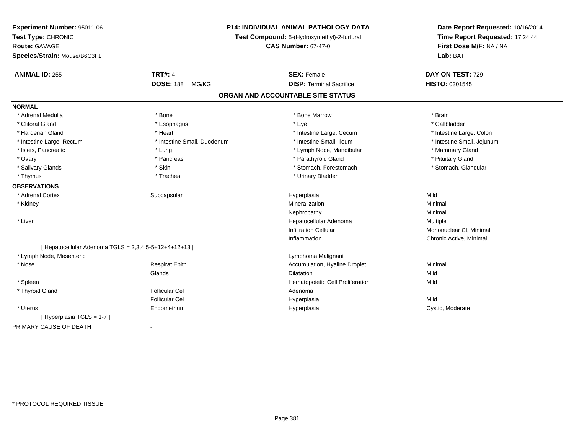| Experiment Number: 95011-06<br>Test Type: CHRONIC<br><b>Route: GAVAGE</b> | <b>P14: INDIVIDUAL ANIMAL PATHOLOGY DATA</b><br>Test Compound: 5-(Hydroxymethyl)-2-furfural<br><b>CAS Number: 67-47-0</b> |                                   | Date Report Requested: 10/16/2014<br>Time Report Requested: 17:24:44<br>First Dose M/F: NA / NA<br>Lab: BAT |
|---------------------------------------------------------------------------|---------------------------------------------------------------------------------------------------------------------------|-----------------------------------|-------------------------------------------------------------------------------------------------------------|
| Species/Strain: Mouse/B6C3F1                                              |                                                                                                                           |                                   |                                                                                                             |
| <b>ANIMAL ID: 255</b>                                                     | <b>TRT#: 4</b>                                                                                                            | <b>SEX: Female</b>                | DAY ON TEST: 729                                                                                            |
|                                                                           | <b>DOSE: 188</b><br>MG/KG                                                                                                 | <b>DISP: Terminal Sacrifice</b>   | HISTO: 0301545                                                                                              |
|                                                                           |                                                                                                                           | ORGAN AND ACCOUNTABLE SITE STATUS |                                                                                                             |
| <b>NORMAL</b>                                                             |                                                                                                                           |                                   |                                                                                                             |
| * Adrenal Medulla                                                         | * Bone                                                                                                                    | * Bone Marrow                     | * Brain                                                                                                     |
| * Clitoral Gland                                                          | * Esophagus                                                                                                               | * Eye                             | * Gallbladder                                                                                               |
| * Harderian Gland                                                         | * Heart                                                                                                                   | * Intestine Large, Cecum          | * Intestine Large, Colon                                                                                    |
| * Intestine Large, Rectum                                                 | * Intestine Small, Duodenum                                                                                               | * Intestine Small, Ileum          | * Intestine Small, Jejunum                                                                                  |
| * Islets, Pancreatic                                                      | * Lung                                                                                                                    | * Lymph Node, Mandibular          | * Mammary Gland                                                                                             |
| * Ovary                                                                   | * Pancreas                                                                                                                | * Parathyroid Gland               | * Pituitary Gland                                                                                           |
| * Salivary Glands                                                         | * Skin                                                                                                                    | * Stomach, Forestomach            | * Stomach, Glandular                                                                                        |
| * Thymus                                                                  | * Trachea                                                                                                                 | * Urinary Bladder                 |                                                                                                             |
| <b>OBSERVATIONS</b>                                                       |                                                                                                                           |                                   |                                                                                                             |
| * Adrenal Cortex                                                          | Subcapsular                                                                                                               | Hyperplasia                       | Mild                                                                                                        |
| * Kidney                                                                  |                                                                                                                           | Mineralization                    | Minimal                                                                                                     |
|                                                                           |                                                                                                                           | Nephropathy                       | Minimal                                                                                                     |
| * Liver                                                                   |                                                                                                                           | Hepatocellular Adenoma            | Multiple                                                                                                    |
|                                                                           |                                                                                                                           | <b>Infiltration Cellular</b>      | Mononuclear CI, Minimal                                                                                     |
|                                                                           |                                                                                                                           | Inflammation                      | Chronic Active, Minimal                                                                                     |
| [ Hepatocellular Adenoma TGLS = $2,3,4,5-5+12+4+12+13$ ]                  |                                                                                                                           |                                   |                                                                                                             |
| * Lymph Node, Mesenteric                                                  |                                                                                                                           | Lymphoma Malignant                |                                                                                                             |
| * Nose                                                                    | <b>Respirat Epith</b>                                                                                                     | Accumulation, Hyaline Droplet     | Minimal                                                                                                     |
|                                                                           | Glands                                                                                                                    | <b>Dilatation</b>                 | Mild                                                                                                        |
| * Spleen                                                                  |                                                                                                                           | Hematopoietic Cell Proliferation  | Mild                                                                                                        |
| * Thyroid Gland                                                           | <b>Follicular Cel</b>                                                                                                     | Adenoma                           |                                                                                                             |
|                                                                           | <b>Follicular Cel</b>                                                                                                     | Hyperplasia                       | Mild                                                                                                        |
| * Uterus                                                                  | Endometrium                                                                                                               | Hyperplasia                       | Cystic, Moderate                                                                                            |
| [Hyperplasia TGLS = 1-7]                                                  |                                                                                                                           |                                   |                                                                                                             |
| PRIMARY CAUSE OF DEATH                                                    | $\blacksquare$                                                                                                            |                                   |                                                                                                             |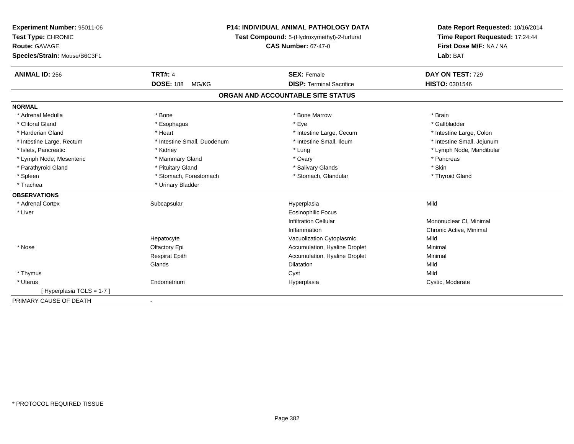| Experiment Number: 95011-06  | <b>P14: INDIVIDUAL ANIMAL PATHOLOGY DATA</b><br>Test Compound: 5-(Hydroxymethyl)-2-furfural |                                   | Date Report Requested: 10/16/2014<br>Time Report Requested: 17:24:44 |
|------------------------------|---------------------------------------------------------------------------------------------|-----------------------------------|----------------------------------------------------------------------|
| Test Type: CHRONIC           |                                                                                             |                                   |                                                                      |
| Route: GAVAGE                |                                                                                             | <b>CAS Number: 67-47-0</b>        | First Dose M/F: NA / NA                                              |
| Species/Strain: Mouse/B6C3F1 |                                                                                             |                                   | Lab: BAT                                                             |
| <b>ANIMAL ID: 256</b>        | <b>TRT#: 4</b>                                                                              | <b>SEX: Female</b>                | DAY ON TEST: 729                                                     |
|                              | <b>DOSE: 188</b><br>MG/KG                                                                   | <b>DISP: Terminal Sacrifice</b>   | HISTO: 0301546                                                       |
|                              |                                                                                             | ORGAN AND ACCOUNTABLE SITE STATUS |                                                                      |
| <b>NORMAL</b>                |                                                                                             |                                   |                                                                      |
| * Adrenal Medulla            | * Bone                                                                                      | * Bone Marrow                     | * Brain                                                              |
| * Clitoral Gland             | * Esophagus                                                                                 | * Eye                             | * Gallbladder                                                        |
| * Harderian Gland            | * Heart                                                                                     | * Intestine Large, Cecum          | * Intestine Large, Colon                                             |
| * Intestine Large, Rectum    | * Intestine Small, Duodenum                                                                 | * Intestine Small, Ileum          | * Intestine Small, Jejunum                                           |
| * Islets, Pancreatic         | * Kidney                                                                                    | * Lung                            | * Lymph Node, Mandibular                                             |
| * Lymph Node, Mesenteric     | * Mammary Gland                                                                             | * Ovary                           | * Pancreas                                                           |
| * Parathyroid Gland          | * Pituitary Gland                                                                           | * Salivary Glands                 | * Skin                                                               |
| * Spleen                     | * Stomach, Forestomach                                                                      | * Stomach, Glandular              | * Thyroid Gland                                                      |
| * Trachea                    | * Urinary Bladder                                                                           |                                   |                                                                      |
| <b>OBSERVATIONS</b>          |                                                                                             |                                   |                                                                      |
| * Adrenal Cortex             | Subcapsular                                                                                 | Hyperplasia                       | Mild                                                                 |
| * Liver                      |                                                                                             | <b>Eosinophilic Focus</b>         |                                                                      |
|                              |                                                                                             | <b>Infiltration Cellular</b>      | Mononuclear CI, Minimal                                              |
|                              |                                                                                             | Inflammation                      | Chronic Active, Minimal                                              |
|                              | Hepatocyte                                                                                  | Vacuolization Cytoplasmic         | Mild                                                                 |
| * Nose                       | Olfactory Epi                                                                               | Accumulation, Hyaline Droplet     | Minimal                                                              |
|                              | <b>Respirat Epith</b>                                                                       | Accumulation, Hyaline Droplet     | Minimal                                                              |
|                              | Glands                                                                                      | <b>Dilatation</b>                 | Mild                                                                 |
| * Thymus                     |                                                                                             | Cyst                              | Mild                                                                 |
| * Uterus                     | Endometrium                                                                                 | Hyperplasia                       | Cystic, Moderate                                                     |
| [Hyperplasia TGLS = 1-7]     |                                                                                             |                                   |                                                                      |
| PRIMARY CAUSE OF DEATH       | $\blacksquare$                                                                              |                                   |                                                                      |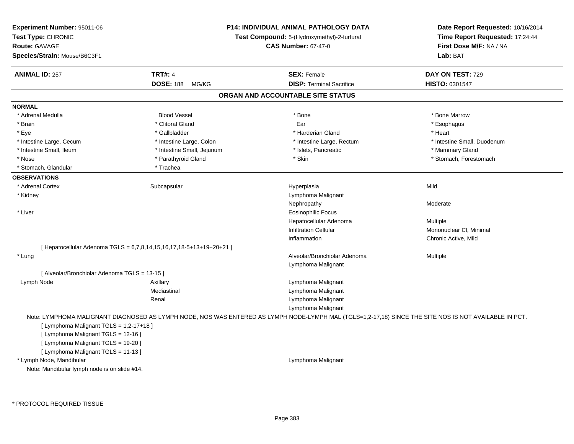| Experiment Number: 95011-06<br>Test Type: CHRONIC<br><b>Route: GAVAGE</b><br>Species/Strain: Mouse/B6C3F1 |                                                                      | <b>P14: INDIVIDUAL ANIMAL PATHOLOGY DATA</b><br>Test Compound: 5-(Hydroxymethyl)-2-furfural<br><b>CAS Number: 67-47-0</b>                              | Date Report Requested: 10/16/2014<br>Time Report Requested: 17:24:44<br>First Dose M/F: NA / NA<br>Lab: BAT |
|-----------------------------------------------------------------------------------------------------------|----------------------------------------------------------------------|--------------------------------------------------------------------------------------------------------------------------------------------------------|-------------------------------------------------------------------------------------------------------------|
| <b>ANIMAL ID: 257</b>                                                                                     | <b>TRT#: 4</b><br><b>DOSE: 188</b><br>MG/KG                          | <b>SEX: Female</b><br><b>DISP: Terminal Sacrifice</b>                                                                                                  | DAY ON TEST: 729<br>HISTO: 0301547                                                                          |
|                                                                                                           |                                                                      | ORGAN AND ACCOUNTABLE SITE STATUS                                                                                                                      |                                                                                                             |
| <b>NORMAL</b>                                                                                             |                                                                      |                                                                                                                                                        |                                                                                                             |
| * Adrenal Medulla                                                                                         | <b>Blood Vessel</b>                                                  | * Bone                                                                                                                                                 | * Bone Marrow                                                                                               |
| * Brain                                                                                                   | * Clitoral Gland                                                     | Ear                                                                                                                                                    | * Esophagus                                                                                                 |
| * Eye                                                                                                     | * Gallbladder                                                        | * Harderian Gland                                                                                                                                      | * Heart                                                                                                     |
| * Intestine Large, Cecum                                                                                  | * Intestine Large, Colon                                             | * Intestine Large, Rectum                                                                                                                              | * Intestine Small, Duodenum                                                                                 |
| * Intestine Small, Ileum                                                                                  | * Intestine Small, Jejunum                                           | * Islets, Pancreatic                                                                                                                                   | * Mammary Gland                                                                                             |
| * Nose                                                                                                    | * Parathyroid Gland                                                  | * Skin                                                                                                                                                 | * Stomach, Forestomach                                                                                      |
| * Stomach, Glandular                                                                                      | * Trachea                                                            |                                                                                                                                                        |                                                                                                             |
| <b>OBSERVATIONS</b>                                                                                       |                                                                      |                                                                                                                                                        |                                                                                                             |
| * Adrenal Cortex                                                                                          | Subcapsular                                                          | Hyperplasia                                                                                                                                            | Mild                                                                                                        |
| * Kidney                                                                                                  |                                                                      | Lymphoma Malignant                                                                                                                                     |                                                                                                             |
|                                                                                                           |                                                                      | Nephropathy                                                                                                                                            | Moderate                                                                                                    |
| * Liver                                                                                                   |                                                                      | <b>Eosinophilic Focus</b>                                                                                                                              |                                                                                                             |
|                                                                                                           |                                                                      | Hepatocellular Adenoma                                                                                                                                 | Multiple                                                                                                    |
|                                                                                                           |                                                                      | Infiltration Cellular                                                                                                                                  | Mononuclear CI, Minimal                                                                                     |
|                                                                                                           |                                                                      | Inflammation                                                                                                                                           | Chronic Active, Mild                                                                                        |
|                                                                                                           | [ Hepatocellular Adenoma TGLS = 6,7,8,14,15,16,17,18-5+13+19+20+21 ] |                                                                                                                                                        |                                                                                                             |
| * Lung                                                                                                    |                                                                      | Alveolar/Bronchiolar Adenoma                                                                                                                           | Multiple                                                                                                    |
|                                                                                                           |                                                                      | Lymphoma Malignant                                                                                                                                     |                                                                                                             |
| [ Alveolar/Bronchiolar Adenoma TGLS = 13-15 ]                                                             |                                                                      |                                                                                                                                                        |                                                                                                             |
| Lymph Node                                                                                                | Axillary                                                             | Lymphoma Malignant                                                                                                                                     |                                                                                                             |
|                                                                                                           | Mediastinal                                                          | Lymphoma Malignant                                                                                                                                     |                                                                                                             |
|                                                                                                           | Renal                                                                | Lymphoma Malignant                                                                                                                                     |                                                                                                             |
|                                                                                                           |                                                                      | Lymphoma Malignant                                                                                                                                     |                                                                                                             |
|                                                                                                           |                                                                      | Note: LYMPHOMA MALIGNANT DIAGNOSED AS LYMPH NODE, NOS WAS ENTERED AS LYMPH NODE-LYMPH MAL (TGLS=1,2-17,18) SINCE THE SITE NOS IS NOT AVAILABLE IN PCT. |                                                                                                             |
| [ Lymphoma Malignant TGLS = 1,2-17+18 ]                                                                   |                                                                      |                                                                                                                                                        |                                                                                                             |
| [ Lymphoma Malignant TGLS = 12-16 ]                                                                       |                                                                      |                                                                                                                                                        |                                                                                                             |
| [ Lymphoma Malignant TGLS = 19-20 ]                                                                       |                                                                      |                                                                                                                                                        |                                                                                                             |
| [ Lymphoma Malignant TGLS = 11-13 ]                                                                       |                                                                      |                                                                                                                                                        |                                                                                                             |
| * Lymph Node, Mandibular                                                                                  |                                                                      | Lymphoma Malignant                                                                                                                                     |                                                                                                             |
| Note: Mandibular lymph node is on slide #14.                                                              |                                                                      |                                                                                                                                                        |                                                                                                             |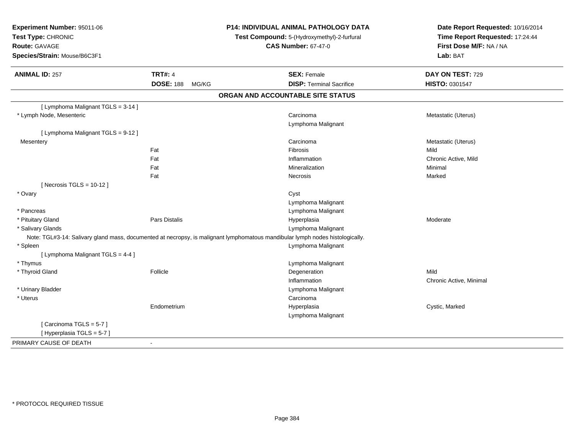| Experiment Number: 95011-06<br>Test Type: CHRONIC<br>Route: GAVAGE<br>Species/Strain: Mouse/B6C3F1 |                 | <b>P14: INDIVIDUAL ANIMAL PATHOLOGY DATA</b><br>Test Compound: 5-(Hydroxymethyl)-2-furfural<br><b>CAS Number: 67-47-0</b>     | Date Report Requested: 10/16/2014<br>Time Report Requested: 17:24:44<br>First Dose M/F: NA / NA<br>Lab: BAT |
|----------------------------------------------------------------------------------------------------|-----------------|-------------------------------------------------------------------------------------------------------------------------------|-------------------------------------------------------------------------------------------------------------|
| <b>ANIMAL ID: 257</b>                                                                              | <b>TRT#: 4</b>  | <b>SEX: Female</b>                                                                                                            | DAY ON TEST: 729                                                                                            |
|                                                                                                    | DOSE: 188 MG/KG | <b>DISP: Terminal Sacrifice</b>                                                                                               | HISTO: 0301547                                                                                              |
|                                                                                                    |                 | ORGAN AND ACCOUNTABLE SITE STATUS                                                                                             |                                                                                                             |
| [ Lymphoma Malignant TGLS = 3-14 ]                                                                 |                 |                                                                                                                               |                                                                                                             |
| * Lymph Node, Mesenteric                                                                           |                 | Carcinoma<br>Lymphoma Malignant                                                                                               | Metastatic (Uterus)                                                                                         |
| [ Lymphoma Malignant TGLS = 9-12 ]                                                                 |                 |                                                                                                                               |                                                                                                             |
| Mesentery                                                                                          |                 | Carcinoma                                                                                                                     | Metastatic (Uterus)                                                                                         |
|                                                                                                    | Fat             | Fibrosis                                                                                                                      | Mild                                                                                                        |
|                                                                                                    | Fat             | Inflammation                                                                                                                  | Chronic Active, Mild                                                                                        |
|                                                                                                    | Fat             | Mineralization                                                                                                                | Minimal                                                                                                     |
|                                                                                                    | Fat             | Necrosis                                                                                                                      | Marked                                                                                                      |
| [Necrosis TGLS = $10-12$ ]                                                                         |                 |                                                                                                                               |                                                                                                             |
| * Ovary                                                                                            |                 | Cyst                                                                                                                          |                                                                                                             |
|                                                                                                    |                 | Lymphoma Malignant                                                                                                            |                                                                                                             |
| * Pancreas                                                                                         |                 | Lymphoma Malignant                                                                                                            |                                                                                                             |
| * Pituitary Gland                                                                                  | Pars Distalis   | Hyperplasia                                                                                                                   | Moderate                                                                                                    |
| * Salivary Glands                                                                                  |                 | Lymphoma Malignant                                                                                                            |                                                                                                             |
|                                                                                                    |                 | Note: TGL#3-14: Salivary gland mass, documented at necropsy, is malignant lymphomatous mandibular lymph nodes histologically. |                                                                                                             |
| * Spleen                                                                                           |                 | Lymphoma Malignant                                                                                                            |                                                                                                             |
| [ Lymphoma Malignant TGLS = 4-4 ]                                                                  |                 |                                                                                                                               |                                                                                                             |
| * Thymus                                                                                           | Follicle        | Lymphoma Malignant                                                                                                            | Mild                                                                                                        |
| * Thyroid Gland                                                                                    |                 | Degeneration<br>Inflammation                                                                                                  |                                                                                                             |
|                                                                                                    |                 |                                                                                                                               | Chronic Active, Minimal                                                                                     |
| * Urinary Bladder<br>* Uterus                                                                      |                 | Lymphoma Malignant<br>Carcinoma                                                                                               |                                                                                                             |
|                                                                                                    |                 |                                                                                                                               |                                                                                                             |
|                                                                                                    | Endometrium     | Hyperplasia                                                                                                                   | Cystic, Marked                                                                                              |
|                                                                                                    |                 | Lymphoma Malignant                                                                                                            |                                                                                                             |
| [Carcinoma TGLS = $5-7$ ]<br>[Hyperplasia TGLS = 5-7]                                              |                 |                                                                                                                               |                                                                                                             |
|                                                                                                    |                 |                                                                                                                               |                                                                                                             |
| PRIMARY CAUSE OF DEATH                                                                             | $\sim$          |                                                                                                                               |                                                                                                             |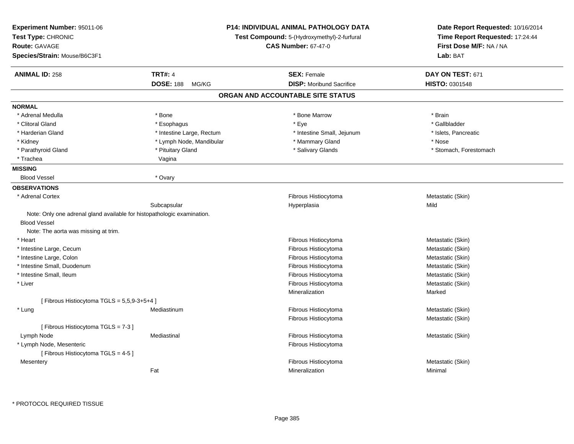| Experiment Number: 95011-06<br>Test Type: CHRONIC<br><b>Route: GAVAGE</b><br>Species/Strain: Mouse/B6C3F1 |                                             | <b>P14: INDIVIDUAL ANIMAL PATHOLOGY DATA</b><br>Test Compound: 5-(Hydroxymethyl)-2-furfural<br><b>CAS Number: 67-47-0</b> | Date Report Requested: 10/16/2014<br>Time Report Requested: 17:24:44<br>First Dose M/F: NA / NA<br>Lab: BAT |
|-----------------------------------------------------------------------------------------------------------|---------------------------------------------|---------------------------------------------------------------------------------------------------------------------------|-------------------------------------------------------------------------------------------------------------|
|                                                                                                           |                                             |                                                                                                                           |                                                                                                             |
| <b>ANIMAL ID: 258</b>                                                                                     | <b>TRT#: 4</b><br><b>DOSE: 188</b><br>MG/KG | <b>SEX: Female</b><br><b>DISP:</b> Moribund Sacrifice                                                                     | DAY ON TEST: 671<br><b>HISTO: 0301548</b>                                                                   |
|                                                                                                           |                                             | ORGAN AND ACCOUNTABLE SITE STATUS                                                                                         |                                                                                                             |
|                                                                                                           |                                             |                                                                                                                           |                                                                                                             |
| <b>NORMAL</b>                                                                                             |                                             |                                                                                                                           |                                                                                                             |
| * Adrenal Medulla                                                                                         | * Bone                                      | * Bone Marrow                                                                                                             | * Brain                                                                                                     |
| * Clitoral Gland                                                                                          | * Esophagus                                 | * Eye                                                                                                                     | * Gallbladder                                                                                               |
| * Harderian Gland                                                                                         | * Intestine Large, Rectum                   | * Intestine Small, Jejunum                                                                                                | * Islets, Pancreatic                                                                                        |
| * Kidney                                                                                                  | * Lymph Node, Mandibular                    | * Mammary Gland                                                                                                           | * Nose                                                                                                      |
| * Parathyroid Gland<br>* Trachea                                                                          | * Pituitary Gland                           | * Salivary Glands                                                                                                         | * Stomach, Forestomach                                                                                      |
|                                                                                                           | Vagina                                      |                                                                                                                           |                                                                                                             |
| <b>MISSING</b><br><b>Blood Vessel</b>                                                                     | * Ovary                                     |                                                                                                                           |                                                                                                             |
|                                                                                                           |                                             |                                                                                                                           |                                                                                                             |
| <b>OBSERVATIONS</b>                                                                                       |                                             |                                                                                                                           |                                                                                                             |
| * Adrenal Cortex                                                                                          |                                             | Fibrous Histiocytoma                                                                                                      | Metastatic (Skin)                                                                                           |
|                                                                                                           | Subcapsular                                 | Hyperplasia                                                                                                               | Mild                                                                                                        |
| Note: Only one adrenal gland available for histopathologic examination.                                   |                                             |                                                                                                                           |                                                                                                             |
| <b>Blood Vessel</b>                                                                                       |                                             |                                                                                                                           |                                                                                                             |
| Note: The aorta was missing at trim.                                                                      |                                             |                                                                                                                           |                                                                                                             |
| * Heart                                                                                                   |                                             | Fibrous Histiocytoma                                                                                                      | Metastatic (Skin)                                                                                           |
| * Intestine Large, Cecum                                                                                  |                                             | Fibrous Histiocytoma                                                                                                      | Metastatic (Skin)                                                                                           |
| * Intestine Large, Colon                                                                                  |                                             | Fibrous Histiocytoma                                                                                                      | Metastatic (Skin)                                                                                           |
| * Intestine Small, Duodenum                                                                               |                                             | Fibrous Histiocytoma                                                                                                      | Metastatic (Skin)                                                                                           |
| * Intestine Small, Ileum                                                                                  |                                             | Fibrous Histiocytoma                                                                                                      | Metastatic (Skin)                                                                                           |
| * Liver                                                                                                   |                                             | Fibrous Histiocytoma                                                                                                      | Metastatic (Skin)                                                                                           |
|                                                                                                           |                                             | Mineralization                                                                                                            | Marked                                                                                                      |
| [Fibrous Histiocytoma TGLS = 5,5,9-3+5+4]                                                                 |                                             |                                                                                                                           |                                                                                                             |
| $*$ Lung                                                                                                  | Mediastinum                                 | Fibrous Histiocytoma                                                                                                      | Metastatic (Skin)                                                                                           |
|                                                                                                           |                                             | Fibrous Histiocytoma                                                                                                      | Metastatic (Skin)                                                                                           |
| [Fibrous Histiocytoma TGLS = 7-3]                                                                         |                                             |                                                                                                                           |                                                                                                             |
| Lymph Node                                                                                                | Mediastinal                                 | Fibrous Histiocytoma                                                                                                      | Metastatic (Skin)                                                                                           |
| * Lymph Node, Mesenteric                                                                                  |                                             | Fibrous Histiocytoma                                                                                                      |                                                                                                             |
| [Fibrous Histiocytoma TGLS = 4-5]                                                                         |                                             |                                                                                                                           |                                                                                                             |
| Mesentery                                                                                                 |                                             | Fibrous Histiocytoma                                                                                                      | Metastatic (Skin)                                                                                           |
|                                                                                                           | Fat                                         | Mineralization                                                                                                            | Minimal                                                                                                     |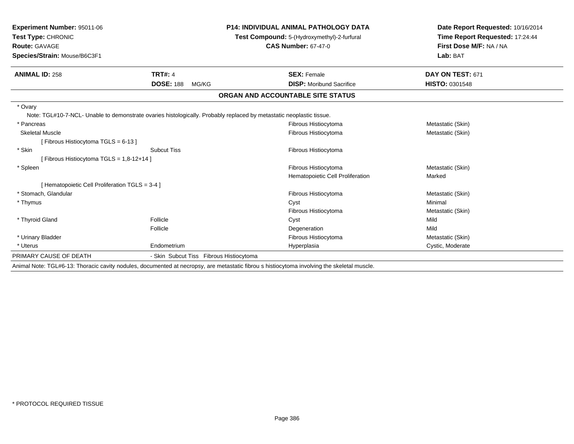| Experiment Number: 95011-06<br>Test Type: CHRONIC |                                         | <b>P14: INDIVIDUAL ANIMAL PATHOLOGY DATA</b>                                                                                                | Date Report Requested: 10/16/2014<br>Time Report Requested: 17:24:44 |  |
|---------------------------------------------------|-----------------------------------------|---------------------------------------------------------------------------------------------------------------------------------------------|----------------------------------------------------------------------|--|
|                                                   |                                         | Test Compound: 5-(Hydroxymethyl)-2-furfural                                                                                                 |                                                                      |  |
| Route: GAVAGE                                     |                                         | <b>CAS Number: 67-47-0</b>                                                                                                                  | First Dose M/F: NA / NA                                              |  |
| Species/Strain: Mouse/B6C3F1                      |                                         |                                                                                                                                             | Lab: BAT                                                             |  |
| <b>ANIMAL ID: 258</b>                             | <b>TRT#: 4</b>                          | <b>SEX: Female</b>                                                                                                                          | DAY ON TEST: 671                                                     |  |
|                                                   | <b>DOSE: 188</b><br>MG/KG               | <b>DISP: Moribund Sacrifice</b>                                                                                                             | HISTO: 0301548                                                       |  |
|                                                   |                                         | ORGAN AND ACCOUNTABLE SITE STATUS                                                                                                           |                                                                      |  |
| * Ovary                                           |                                         |                                                                                                                                             |                                                                      |  |
|                                                   |                                         | Note: TGL#10-7-NCL- Unable to demonstrate ovaries histologically. Probably replaced by metastatic neoplastic tissue.                        |                                                                      |  |
| * Pancreas                                        |                                         | Fibrous Histiocytoma                                                                                                                        | Metastatic (Skin)                                                    |  |
| <b>Skeletal Muscle</b>                            |                                         | Fibrous Histiocytoma                                                                                                                        | Metastatic (Skin)                                                    |  |
| [Fibrous Histiocytoma TGLS = 6-13]                |                                         |                                                                                                                                             |                                                                      |  |
| * Skin                                            | <b>Subcut Tiss</b>                      | Fibrous Histiocytoma                                                                                                                        |                                                                      |  |
| [ Fibrous Histiocytoma TGLS = 1,8-12+14 ]         |                                         |                                                                                                                                             |                                                                      |  |
| * Spleen                                          |                                         | Fibrous Histiocytoma                                                                                                                        | Metastatic (Skin)                                                    |  |
|                                                   |                                         | Hematopoietic Cell Proliferation                                                                                                            | Marked                                                               |  |
| [ Hematopoietic Cell Proliferation TGLS = 3-4 ]   |                                         |                                                                                                                                             |                                                                      |  |
| * Stomach, Glandular                              |                                         | Fibrous Histiocytoma                                                                                                                        | Metastatic (Skin)                                                    |  |
| * Thymus                                          |                                         | Cyst                                                                                                                                        | Minimal                                                              |  |
|                                                   |                                         | Fibrous Histiocytoma                                                                                                                        | Metastatic (Skin)                                                    |  |
| * Thyroid Gland                                   | Follicle                                | Cyst                                                                                                                                        | Mild                                                                 |  |
|                                                   | Follicle                                | Degeneration                                                                                                                                | Mild                                                                 |  |
| * Urinary Bladder                                 |                                         | Fibrous Histiocytoma                                                                                                                        | Metastatic (Skin)                                                    |  |
| * Uterus                                          | Endometrium                             | Hyperplasia                                                                                                                                 | Cystic, Moderate                                                     |  |
| PRIMARY CAUSE OF DEATH                            | - Skin Subcut Tiss Fibrous Histiocytoma |                                                                                                                                             |                                                                      |  |
|                                                   |                                         | Apimal Nota: TCL #6,42; Thereaio covity podules, decumented at poeranous are metastatio fibrous bioticoutame involving the elseletel musele |                                                                      |  |

Animal Note: TGL#6-13: Thoracic cavity nodules, documented at necropsy, are metastatic fibrou s histiocytoma involving the skeletal muscle.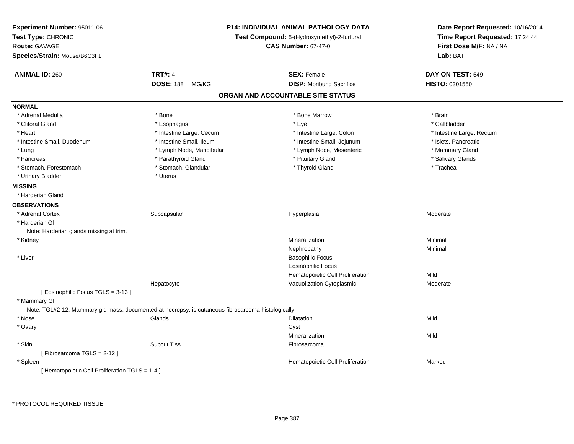| Experiment Number: 95011-06<br>Test Type: CHRONIC<br><b>Route: GAVAGE</b><br>Species/Strain: Mouse/B6C3F1 |                           | P14: INDIVIDUAL ANIMAL PATHOLOGY DATA<br>Test Compound: 5-(Hydroxymethyl)-2-furfural<br><b>CAS Number: 67-47-0</b> | Date Report Requested: 10/16/2014<br>Time Report Requested: 17:24:44<br>First Dose M/F: NA / NA<br>Lab: BAT |
|-----------------------------------------------------------------------------------------------------------|---------------------------|--------------------------------------------------------------------------------------------------------------------|-------------------------------------------------------------------------------------------------------------|
| <b>ANIMAL ID: 260</b>                                                                                     | <b>TRT#: 4</b>            | <b>SEX: Female</b>                                                                                                 | DAY ON TEST: 549                                                                                            |
|                                                                                                           | <b>DOSE: 188</b><br>MG/KG | <b>DISP:</b> Moribund Sacrifice                                                                                    | <b>HISTO: 0301550</b>                                                                                       |
|                                                                                                           |                           | ORGAN AND ACCOUNTABLE SITE STATUS                                                                                  |                                                                                                             |
| <b>NORMAL</b>                                                                                             |                           |                                                                                                                    |                                                                                                             |
| * Adrenal Medulla                                                                                         | * Bone                    | * Bone Marrow                                                                                                      | * Brain                                                                                                     |
| * Clitoral Gland                                                                                          | * Esophagus               | * Eye                                                                                                              | * Gallbladder                                                                                               |
| * Heart                                                                                                   | * Intestine Large, Cecum  | * Intestine Large, Colon                                                                                           | * Intestine Large, Rectum                                                                                   |
| * Intestine Small, Duodenum                                                                               | * Intestine Small, Ileum  | * Intestine Small, Jejunum                                                                                         | * Islets, Pancreatic                                                                                        |
| * Lung                                                                                                    | * Lymph Node, Mandibular  | * Lymph Node, Mesenteric                                                                                           | * Mammary Gland                                                                                             |
| * Pancreas                                                                                                | * Parathyroid Gland       | * Pituitary Gland                                                                                                  | * Salivary Glands                                                                                           |
| * Stomach, Forestomach                                                                                    | * Stomach, Glandular      | * Thyroid Gland                                                                                                    | * Trachea                                                                                                   |
| * Urinary Bladder                                                                                         | * Uterus                  |                                                                                                                    |                                                                                                             |
| <b>MISSING</b>                                                                                            |                           |                                                                                                                    |                                                                                                             |
| * Harderian Gland                                                                                         |                           |                                                                                                                    |                                                                                                             |
| <b>OBSERVATIONS</b>                                                                                       |                           |                                                                                                                    |                                                                                                             |
| * Adrenal Cortex                                                                                          | Subcapsular               | Hyperplasia                                                                                                        | Moderate                                                                                                    |
| * Harderian GI                                                                                            |                           |                                                                                                                    |                                                                                                             |
| Note: Harderian glands missing at trim.                                                                   |                           |                                                                                                                    |                                                                                                             |
| * Kidney                                                                                                  |                           | Mineralization                                                                                                     | Minimal                                                                                                     |
|                                                                                                           |                           | Nephropathy                                                                                                        | Minimal                                                                                                     |
| * Liver                                                                                                   |                           | <b>Basophilic Focus</b>                                                                                            |                                                                                                             |
|                                                                                                           |                           | <b>Eosinophilic Focus</b>                                                                                          |                                                                                                             |
|                                                                                                           |                           | Hematopoietic Cell Proliferation                                                                                   | Mild                                                                                                        |
|                                                                                                           | Hepatocyte                | Vacuolization Cytoplasmic                                                                                          | Moderate                                                                                                    |
| [ Eosinophilic Focus TGLS = 3-13 ]<br>* Mammary GI                                                        |                           |                                                                                                                    |                                                                                                             |
| Note: TGL#2-12: Mammary gld mass, documented at necropsy, is cutaneous fibrosarcoma histologically.       |                           |                                                                                                                    |                                                                                                             |
| * Nose                                                                                                    | Glands                    | Dilatation                                                                                                         | Mild                                                                                                        |
| * Ovary                                                                                                   |                           | Cyst                                                                                                               |                                                                                                             |
|                                                                                                           |                           | Mineralization                                                                                                     | Mild                                                                                                        |
| * Skin                                                                                                    | <b>Subcut Tiss</b>        | Fibrosarcoma                                                                                                       |                                                                                                             |
| [Fibrosarcoma TGLS = 2-12]                                                                                |                           |                                                                                                                    |                                                                                                             |
| * Spleen                                                                                                  |                           | Hematopoietic Cell Proliferation                                                                                   | Marked                                                                                                      |
| [ Hematopoietic Cell Proliferation TGLS = 1-4 ]                                                           |                           |                                                                                                                    |                                                                                                             |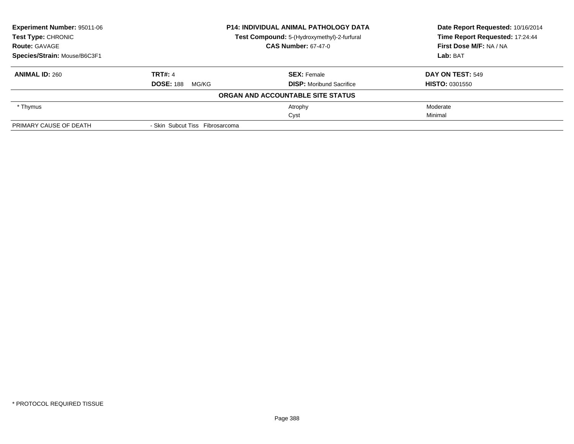| <b>Experiment Number: 95011-06</b> |                                 | <b>P14: INDIVIDUAL ANIMAL PATHOLOGY DATA</b> | Date Report Requested: 10/16/2014 |
|------------------------------------|---------------------------------|----------------------------------------------|-----------------------------------|
| <b>Test Type: CHRONIC</b>          |                                 | Test Compound: 5-(Hydroxymethyl)-2-furfural  | Time Report Requested: 17:24:44   |
| <b>Route: GAVAGE</b>               |                                 | <b>CAS Number: 67-47-0</b>                   | First Dose M/F: NA / NA           |
| Species/Strain: Mouse/B6C3F1       |                                 |                                              | Lab: BAT                          |
| <b>ANIMAL ID: 260</b>              | <b>TRT#: 4</b>                  | <b>SEX: Female</b>                           | DAY ON TEST: 549                  |
|                                    | <b>DOSE: 188</b><br>MG/KG       | <b>DISP:</b> Moribund Sacrifice              | <b>HISTO: 0301550</b>             |
|                                    |                                 | ORGAN AND ACCOUNTABLE SITE STATUS            |                                   |
| * Thymus                           |                                 | Atrophy                                      | Moderate                          |
|                                    |                                 | Cyst                                         | Minimal                           |
| PRIMARY CAUSE OF DEATH             | - Skin Subcut Tiss Fibrosarcoma |                                              |                                   |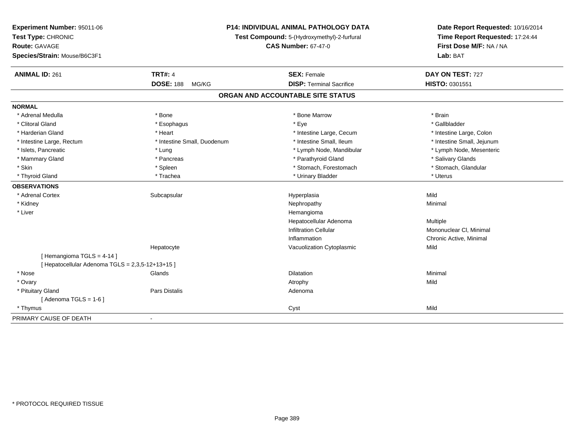| Experiment Number: 95011-06<br>Test Type: CHRONIC<br><b>Route: GAVAGE</b>    | P14: INDIVIDUAL ANIMAL PATHOLOGY DATA<br>Test Compound: 5-(Hydroxymethyl)-2-furfural<br><b>CAS Number: 67-47-0</b> |                                   | Date Report Requested: 10/16/2014<br>Time Report Requested: 17:24:44<br>First Dose M/F: NA / NA |
|------------------------------------------------------------------------------|--------------------------------------------------------------------------------------------------------------------|-----------------------------------|-------------------------------------------------------------------------------------------------|
| Species/Strain: Mouse/B6C3F1                                                 |                                                                                                                    |                                   | Lab: BAT                                                                                        |
| <b>ANIMAL ID: 261</b>                                                        | <b>TRT#: 4</b>                                                                                                     | <b>SEX: Female</b>                | DAY ON TEST: 727                                                                                |
|                                                                              | <b>DOSE: 188</b><br>MG/KG                                                                                          | <b>DISP: Terminal Sacrifice</b>   | HISTO: 0301551                                                                                  |
|                                                                              |                                                                                                                    | ORGAN AND ACCOUNTABLE SITE STATUS |                                                                                                 |
| <b>NORMAL</b>                                                                |                                                                                                                    |                                   |                                                                                                 |
| * Adrenal Medulla                                                            | * Bone                                                                                                             | * Bone Marrow                     | * Brain                                                                                         |
| * Clitoral Gland                                                             | * Esophagus                                                                                                        | * Eye                             | * Gallbladder                                                                                   |
| * Harderian Gland                                                            | * Heart                                                                                                            | * Intestine Large, Cecum          | * Intestine Large, Colon                                                                        |
| * Intestine Large, Rectum                                                    | * Intestine Small, Duodenum                                                                                        | * Intestine Small. Ileum          | * Intestine Small, Jejunum                                                                      |
| * Islets, Pancreatic                                                         | * Lung                                                                                                             | * Lymph Node, Mandibular          | * Lymph Node, Mesenteric                                                                        |
| * Mammary Gland                                                              | * Pancreas                                                                                                         | * Parathyroid Gland               | * Salivary Glands                                                                               |
| * Skin                                                                       | * Spleen                                                                                                           | * Stomach, Forestomach            | * Stomach, Glandular                                                                            |
| * Thyroid Gland                                                              | * Trachea                                                                                                          | * Urinary Bladder                 | * Uterus                                                                                        |
| <b>OBSERVATIONS</b>                                                          |                                                                                                                    |                                   |                                                                                                 |
| * Adrenal Cortex                                                             | Subcapsular                                                                                                        | Hyperplasia                       | Mild                                                                                            |
| * Kidney                                                                     |                                                                                                                    | Nephropathy                       | Minimal                                                                                         |
| * Liver                                                                      |                                                                                                                    | Hemangioma                        |                                                                                                 |
|                                                                              |                                                                                                                    | Hepatocellular Adenoma            | Multiple                                                                                        |
|                                                                              |                                                                                                                    | <b>Infiltration Cellular</b>      | Mononuclear CI, Minimal                                                                         |
|                                                                              |                                                                                                                    | Inflammation                      | Chronic Active, Minimal                                                                         |
|                                                                              | Hepatocyte                                                                                                         | Vacuolization Cytoplasmic         | Mild                                                                                            |
| [Hemangioma TGLS = 4-14]<br>[ Hepatocellular Adenoma TGLS = 2,3,5-12+13+15 ] |                                                                                                                    |                                   |                                                                                                 |
| * Nose                                                                       | Glands                                                                                                             | Dilatation                        | Minimal                                                                                         |
| * Ovary                                                                      |                                                                                                                    | Atrophy                           | Mild                                                                                            |
| * Pituitary Gland                                                            | Pars Distalis                                                                                                      | Adenoma                           |                                                                                                 |
| [Adenoma TGLS = $1-6$ ]                                                      |                                                                                                                    |                                   |                                                                                                 |
| * Thymus                                                                     |                                                                                                                    | Cyst                              | Mild                                                                                            |
|                                                                              |                                                                                                                    |                                   |                                                                                                 |
| PRIMARY CAUSE OF DEATH                                                       | $\blacksquare$                                                                                                     |                                   |                                                                                                 |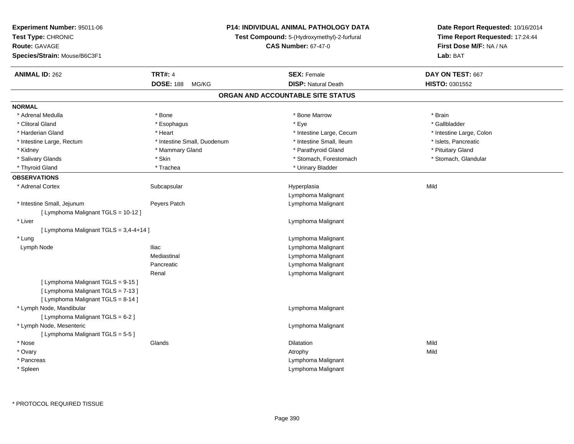| Experiment Number: 95011-06            |                                                                           | P14: INDIVIDUAL ANIMAL PATHOLOGY DATA | Date Report Requested: 10/16/2014 |  |
|----------------------------------------|---------------------------------------------------------------------------|---------------------------------------|-----------------------------------|--|
| Test Type: CHRONIC                     | Test Compound: 5-(Hydroxymethyl)-2-furfural<br><b>CAS Number: 67-47-0</b> |                                       | Time Report Requested: 17:24:44   |  |
| Route: GAVAGE                          |                                                                           |                                       | First Dose M/F: NA / NA           |  |
| Species/Strain: Mouse/B6C3F1           |                                                                           |                                       | Lab: BAT                          |  |
| <b>ANIMAL ID: 262</b>                  | <b>TRT#: 4</b>                                                            | <b>SEX: Female</b>                    | DAY ON TEST: 667                  |  |
|                                        | <b>DOSE: 188</b><br>MG/KG                                                 | <b>DISP: Natural Death</b>            | HISTO: 0301552                    |  |
|                                        |                                                                           | ORGAN AND ACCOUNTABLE SITE STATUS     |                                   |  |
| <b>NORMAL</b>                          |                                                                           |                                       |                                   |  |
| * Adrenal Medulla                      | * Bone                                                                    | * Bone Marrow                         | * Brain                           |  |
| * Clitoral Gland                       | * Esophagus                                                               | * Eye                                 | * Gallbladder                     |  |
| * Harderian Gland                      | * Heart                                                                   | * Intestine Large, Cecum              | * Intestine Large, Colon          |  |
| * Intestine Large, Rectum              | * Intestine Small, Duodenum                                               | * Intestine Small, Ileum              | * Islets, Pancreatic              |  |
| * Kidney                               | * Mammary Gland                                                           | * Parathyroid Gland                   | * Pituitary Gland                 |  |
| * Salivary Glands                      | * Skin                                                                    | * Stomach, Forestomach                | * Stomach, Glandular              |  |
| * Thyroid Gland                        | * Trachea                                                                 | * Urinary Bladder                     |                                   |  |
| <b>OBSERVATIONS</b>                    |                                                                           |                                       |                                   |  |
| * Adrenal Cortex                       | Subcapsular                                                               | Hyperplasia                           | Mild                              |  |
|                                        |                                                                           | Lymphoma Malignant                    |                                   |  |
| * Intestine Small, Jejunum             | Peyers Patch                                                              | Lymphoma Malignant                    |                                   |  |
| [ Lymphoma Malignant TGLS = 10-12 ]    |                                                                           |                                       |                                   |  |
| * Liver                                |                                                                           | Lymphoma Malignant                    |                                   |  |
| [ Lymphoma Malignant TGLS = 3,4-4+14 ] |                                                                           |                                       |                                   |  |
| * Lung                                 |                                                                           | Lymphoma Malignant                    |                                   |  |
| Lymph Node                             | <b>Iliac</b>                                                              | Lymphoma Malignant                    |                                   |  |
|                                        | Mediastinal                                                               | Lymphoma Malignant                    |                                   |  |
|                                        | Pancreatic                                                                | Lymphoma Malignant                    |                                   |  |
|                                        | Renal                                                                     | Lymphoma Malignant                    |                                   |  |
| [ Lymphoma Malignant TGLS = 9-15 ]     |                                                                           |                                       |                                   |  |
| [ Lymphoma Malignant TGLS = 7-13 ]     |                                                                           |                                       |                                   |  |
| [ Lymphoma Malignant TGLS = 8-14 ]     |                                                                           |                                       |                                   |  |
| * Lymph Node, Mandibular               |                                                                           | Lymphoma Malignant                    |                                   |  |
| [ Lymphoma Malignant TGLS = 6-2 ]      |                                                                           |                                       |                                   |  |
| * Lymph Node, Mesenteric               |                                                                           | Lymphoma Malignant                    |                                   |  |
| [ Lymphoma Malignant TGLS = 5-5 ]      |                                                                           |                                       |                                   |  |
| * Nose                                 | Glands                                                                    | Dilatation                            | Mild                              |  |
| * Ovary                                |                                                                           | Atrophy                               | Mild                              |  |
| * Pancreas                             |                                                                           | Lymphoma Malignant                    |                                   |  |
| * Spleen                               |                                                                           | Lymphoma Malignant                    |                                   |  |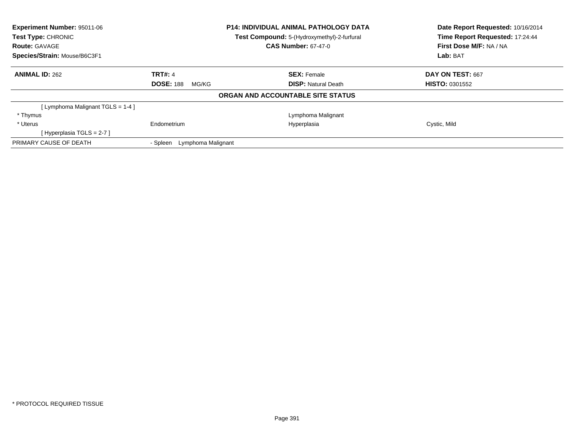| <b>Experiment Number: 95011-06</b> |                                | <b>P14: INDIVIDUAL ANIMAL PATHOLOGY DATA</b> | Date Report Requested: 10/16/2014<br>Time Report Requested: 17:24:44 |  |
|------------------------------------|--------------------------------|----------------------------------------------|----------------------------------------------------------------------|--|
| Test Type: CHRONIC                 |                                | Test Compound: 5-(Hydroxymethyl)-2-furfural  |                                                                      |  |
| <b>Route: GAVAGE</b>               |                                | <b>CAS Number: 67-47-0</b>                   | First Dose M/F: NA / NA                                              |  |
| Species/Strain: Mouse/B6C3F1       |                                |                                              | Lab: BAT                                                             |  |
| <b>ANIMAL ID: 262</b>              | <b>TRT#: 4</b>                 | <b>SEX: Female</b>                           | DAY ON TEST: 667                                                     |  |
|                                    | <b>DOSE: 188</b><br>MG/KG      | <b>DISP:</b> Natural Death                   | <b>HISTO: 0301552</b>                                                |  |
|                                    |                                | ORGAN AND ACCOUNTABLE SITE STATUS            |                                                                      |  |
| [Lymphoma Malignant TGLS = 1-4]    |                                |                                              |                                                                      |  |
| * Thymus                           |                                | Lymphoma Malignant                           |                                                                      |  |
| * Uterus                           | Endometrium                    | Hyperplasia                                  | Cystic, Mild                                                         |  |
| [Hyperplasia TGLS = $2-7$ ]        |                                |                                              |                                                                      |  |
| PRIMARY CAUSE OF DEATH             | Lymphoma Malignant<br>- Spleen |                                              |                                                                      |  |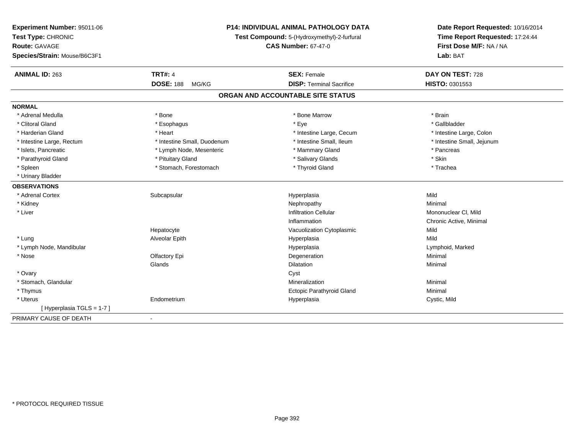| Experiment Number: 95011-06<br>Test Type: CHRONIC | P14: INDIVIDUAL ANIMAL PATHOLOGY DATA<br>Test Compound: 5-(Hydroxymethyl)-2-furfural |                                   | Date Report Requested: 10/16/2014<br>Time Report Requested: 17:24:44 |  |
|---------------------------------------------------|--------------------------------------------------------------------------------------|-----------------------------------|----------------------------------------------------------------------|--|
| Route: GAVAGE<br>Species/Strain: Mouse/B6C3F1     |                                                                                      | <b>CAS Number: 67-47-0</b>        | First Dose M/F: NA / NA<br>Lab: BAT                                  |  |
| <b>ANIMAL ID: 263</b>                             | <b>TRT#: 4</b>                                                                       | <b>SEX: Female</b>                | DAY ON TEST: 728                                                     |  |
|                                                   | <b>DOSE: 188</b><br>MG/KG                                                            | <b>DISP: Terminal Sacrifice</b>   | HISTO: 0301553                                                       |  |
|                                                   |                                                                                      | ORGAN AND ACCOUNTABLE SITE STATUS |                                                                      |  |
| <b>NORMAL</b>                                     |                                                                                      |                                   |                                                                      |  |
| * Adrenal Medulla                                 | * Bone                                                                               | * Bone Marrow                     | * Brain                                                              |  |
| * Clitoral Gland                                  | * Esophagus                                                                          | * Eye                             | * Gallbladder                                                        |  |
| * Harderian Gland                                 | * Heart                                                                              | * Intestine Large, Cecum          | * Intestine Large, Colon                                             |  |
| * Intestine Large, Rectum                         | * Intestine Small, Duodenum                                                          | * Intestine Small. Ileum          | * Intestine Small, Jejunum                                           |  |
| * Islets, Pancreatic                              | * Lymph Node, Mesenteric                                                             | * Mammary Gland                   | * Pancreas                                                           |  |
| * Parathyroid Gland                               | * Pituitary Gland                                                                    | * Salivary Glands                 | * Skin                                                               |  |
| * Spleen                                          | * Stomach, Forestomach                                                               | * Thyroid Gland                   | * Trachea                                                            |  |
| * Urinary Bladder                                 |                                                                                      |                                   |                                                                      |  |
| <b>OBSERVATIONS</b>                               |                                                                                      |                                   |                                                                      |  |
| * Adrenal Cortex                                  | Subcapsular                                                                          | Hyperplasia                       | Mild                                                                 |  |
| * Kidney                                          |                                                                                      | Nephropathy                       | Minimal                                                              |  |
| * Liver                                           |                                                                                      | <b>Infiltration Cellular</b>      | Mononuclear CI, Mild                                                 |  |
|                                                   |                                                                                      | Inflammation                      | Chronic Active, Minimal                                              |  |
|                                                   | Hepatocyte                                                                           | Vacuolization Cytoplasmic         | Mild                                                                 |  |
| * Lung                                            | Alveolar Epith                                                                       | Hyperplasia                       | Mild                                                                 |  |
| * Lymph Node, Mandibular                          |                                                                                      | Hyperplasia                       | Lymphoid, Marked                                                     |  |
| * Nose                                            | Olfactory Epi                                                                        | Degeneration                      | Minimal                                                              |  |
|                                                   | Glands                                                                               | Dilatation                        | Minimal                                                              |  |
| * Ovary                                           |                                                                                      | Cyst                              |                                                                      |  |
| * Stomach, Glandular                              |                                                                                      | Mineralization                    | Minimal                                                              |  |
| * Thymus                                          |                                                                                      | Ectopic Parathyroid Gland         | Minimal                                                              |  |
| * Uterus                                          | Endometrium                                                                          | Hyperplasia                       | Cystic, Mild                                                         |  |
| [Hyperplasia TGLS = 1-7]                          |                                                                                      |                                   |                                                                      |  |
| PRIMARY CAUSE OF DEATH                            | $\blacksquare$                                                                       |                                   |                                                                      |  |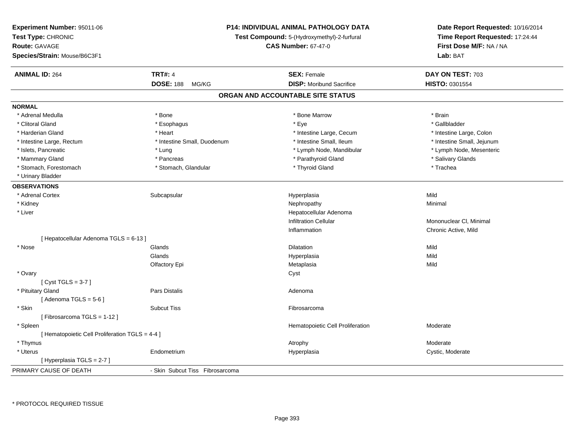| <b>Experiment Number: 95011-06</b><br>Test Type: CHRONIC<br>Route: GAVAGE<br>Species/Strain: Mouse/B6C3F1 |                                 | P14: INDIVIDUAL ANIMAL PATHOLOGY DATA<br>Test Compound: 5-(Hydroxymethyl)-2-furfural<br><b>CAS Number: 67-47-0</b> | Date Report Requested: 10/16/2014<br>Time Report Requested: 17:24:44<br>First Dose M/F: NA / NA<br>Lab: BAT |
|-----------------------------------------------------------------------------------------------------------|---------------------------------|--------------------------------------------------------------------------------------------------------------------|-------------------------------------------------------------------------------------------------------------|
| <b>ANIMAL ID: 264</b>                                                                                     | <b>TRT#: 4</b>                  | <b>SEX: Female</b>                                                                                                 | DAY ON TEST: 703                                                                                            |
|                                                                                                           | <b>DOSE: 188</b><br>MG/KG       | <b>DISP:</b> Moribund Sacrifice                                                                                    | HISTO: 0301554                                                                                              |
|                                                                                                           |                                 | ORGAN AND ACCOUNTABLE SITE STATUS                                                                                  |                                                                                                             |
| <b>NORMAL</b>                                                                                             |                                 |                                                                                                                    |                                                                                                             |
| * Adrenal Medulla                                                                                         | * Bone                          | * Bone Marrow                                                                                                      | * Brain                                                                                                     |
| * Clitoral Gland                                                                                          | * Esophagus                     | * Eye                                                                                                              | * Gallbladder                                                                                               |
| * Harderian Gland                                                                                         | * Heart                         | * Intestine Large, Cecum                                                                                           | * Intestine Large, Colon                                                                                    |
| * Intestine Large, Rectum                                                                                 | * Intestine Small, Duodenum     | * Intestine Small, Ileum                                                                                           | * Intestine Small, Jejunum                                                                                  |
| * Islets, Pancreatic                                                                                      | * Lung                          | * Lymph Node, Mandibular                                                                                           | * Lymph Node, Mesenteric                                                                                    |
| * Mammary Gland                                                                                           | * Pancreas                      | * Parathyroid Gland                                                                                                | * Salivary Glands                                                                                           |
| * Stomach, Forestomach                                                                                    | * Stomach, Glandular            | * Thyroid Gland                                                                                                    | * Trachea                                                                                                   |
| * Urinary Bladder                                                                                         |                                 |                                                                                                                    |                                                                                                             |
| <b>OBSERVATIONS</b>                                                                                       |                                 |                                                                                                                    |                                                                                                             |
| * Adrenal Cortex                                                                                          | Subcapsular                     | Hyperplasia                                                                                                        | Mild                                                                                                        |
| * Kidney                                                                                                  |                                 | Nephropathy                                                                                                        | Minimal                                                                                                     |
| * Liver                                                                                                   |                                 | Hepatocellular Adenoma                                                                                             |                                                                                                             |
|                                                                                                           |                                 | <b>Infiltration Cellular</b>                                                                                       | Mononuclear CI, Minimal                                                                                     |
|                                                                                                           |                                 | Inflammation                                                                                                       | Chronic Active, Mild                                                                                        |
| [ Hepatocellular Adenoma TGLS = 6-13 ]                                                                    |                                 |                                                                                                                    |                                                                                                             |
| * Nose                                                                                                    | Glands                          | <b>Dilatation</b>                                                                                                  | Mild                                                                                                        |
|                                                                                                           | Glands                          | Hyperplasia                                                                                                        | Mild                                                                                                        |
|                                                                                                           | Olfactory Epi                   | Metaplasia                                                                                                         | Mild                                                                                                        |
| * Ovary                                                                                                   |                                 | Cyst                                                                                                               |                                                                                                             |
| [Cyst TGLS = $3-7$ ]                                                                                      |                                 |                                                                                                                    |                                                                                                             |
| * Pituitary Gland                                                                                         | <b>Pars Distalis</b>            | Adenoma                                                                                                            |                                                                                                             |
| [Adenoma TGLS = $5-6$ ]                                                                                   |                                 |                                                                                                                    |                                                                                                             |
| * Skin                                                                                                    | <b>Subcut Tiss</b>              | Fibrosarcoma                                                                                                       |                                                                                                             |
| [Fibrosarcoma TGLS = 1-12]                                                                                |                                 |                                                                                                                    |                                                                                                             |
| * Spleen                                                                                                  |                                 | Hematopoietic Cell Proliferation                                                                                   | Moderate                                                                                                    |
| [ Hematopoietic Cell Proliferation TGLS = 4-4 ]                                                           |                                 |                                                                                                                    |                                                                                                             |
| * Thymus                                                                                                  |                                 | Atrophy                                                                                                            | Moderate                                                                                                    |
| * Uterus                                                                                                  | Endometrium                     | Hyperplasia                                                                                                        | Cystic, Moderate                                                                                            |
| [Hyperplasia TGLS = 2-7]                                                                                  |                                 |                                                                                                                    |                                                                                                             |
| PRIMARY CAUSE OF DEATH                                                                                    | - Skin Subcut Tiss Fibrosarcoma |                                                                                                                    |                                                                                                             |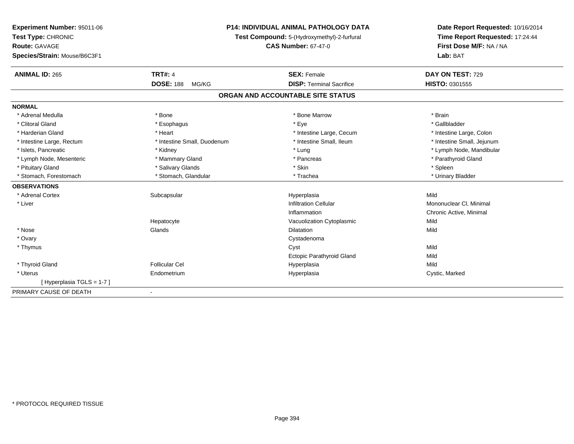| Experiment Number: 95011-06  | <b>P14: INDIVIDUAL ANIMAL PATHOLOGY DATA</b><br>Test Compound: 5-(Hydroxymethyl)-2-furfural |                                   | Date Report Requested: 10/16/2014 |  |
|------------------------------|---------------------------------------------------------------------------------------------|-----------------------------------|-----------------------------------|--|
| Test Type: CHRONIC           |                                                                                             |                                   | Time Report Requested: 17:24:44   |  |
| <b>Route: GAVAGE</b>         |                                                                                             | <b>CAS Number: 67-47-0</b>        | First Dose M/F: NA / NA           |  |
| Species/Strain: Mouse/B6C3F1 |                                                                                             |                                   | Lab: BAT                          |  |
| <b>ANIMAL ID: 265</b>        | <b>TRT#: 4</b>                                                                              | <b>SEX: Female</b>                | DAY ON TEST: 729                  |  |
|                              | <b>DOSE: 188</b><br>MG/KG                                                                   | <b>DISP: Terminal Sacrifice</b>   | HISTO: 0301555                    |  |
|                              |                                                                                             | ORGAN AND ACCOUNTABLE SITE STATUS |                                   |  |
| <b>NORMAL</b>                |                                                                                             |                                   |                                   |  |
| * Adrenal Medulla            | * Bone                                                                                      | * Bone Marrow                     | * Brain                           |  |
| * Clitoral Gland             | * Esophagus                                                                                 | * Eye                             | * Gallbladder                     |  |
| * Harderian Gland            | * Heart                                                                                     | * Intestine Large, Cecum          | * Intestine Large, Colon          |  |
| * Intestine Large, Rectum    | * Intestine Small, Duodenum                                                                 | * Intestine Small, Ileum          | * Intestine Small, Jejunum        |  |
| * Islets, Pancreatic         | * Kidney                                                                                    | * Lung                            | * Lymph Node, Mandibular          |  |
| * Lymph Node, Mesenteric     | * Mammary Gland                                                                             | * Pancreas                        | * Parathyroid Gland               |  |
| * Pituitary Gland            | * Salivary Glands                                                                           | * Skin                            | * Spleen                          |  |
| * Stomach, Forestomach       | * Stomach, Glandular                                                                        | * Trachea                         | * Urinary Bladder                 |  |
| <b>OBSERVATIONS</b>          |                                                                                             |                                   |                                   |  |
| * Adrenal Cortex             | Subcapsular                                                                                 | Hyperplasia                       | Mild                              |  |
| * Liver                      |                                                                                             | <b>Infiltration Cellular</b>      | Mononuclear CI, Minimal           |  |
|                              |                                                                                             | Inflammation                      | Chronic Active, Minimal           |  |
|                              | Hepatocyte                                                                                  | Vacuolization Cytoplasmic         | Mild                              |  |
| * Nose                       | Glands                                                                                      | <b>Dilatation</b>                 | Mild                              |  |
| * Ovary                      |                                                                                             | Cystadenoma                       |                                   |  |
| * Thymus                     |                                                                                             | Cyst                              | Mild                              |  |
|                              |                                                                                             | Ectopic Parathyroid Gland         | Mild                              |  |
| * Thyroid Gland              | Follicular Cel                                                                              | Hyperplasia                       | Mild                              |  |
| * Uterus                     | Endometrium                                                                                 | Hyperplasia                       | Cystic, Marked                    |  |
| [Hyperplasia TGLS = 1-7]     |                                                                                             |                                   |                                   |  |
| PRIMARY CAUSE OF DEATH       |                                                                                             |                                   |                                   |  |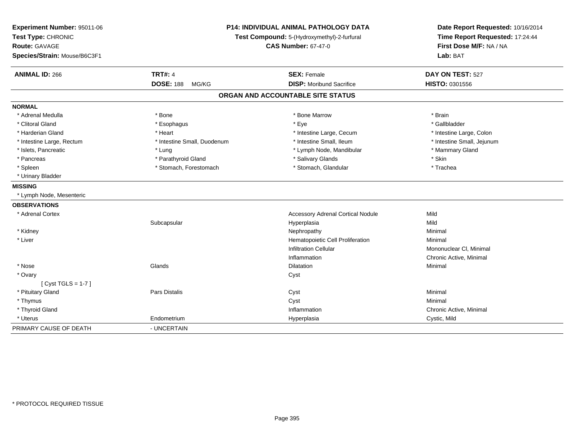| Experiment Number: 95011-06<br>Test Type: CHRONIC<br>Route: GAVAGE<br>Species/Strain: Mouse/B6C3F1 | <b>P14: INDIVIDUAL ANIMAL PATHOLOGY DATA</b><br>Test Compound: 5-(Hydroxymethyl)-2-furfural<br><b>CAS Number: 67-47-0</b> |                                          | Date Report Requested: 10/16/2014<br>Time Report Requested: 17:24:44<br>First Dose M/F: NA / NA<br>Lab: BAT |  |
|----------------------------------------------------------------------------------------------------|---------------------------------------------------------------------------------------------------------------------------|------------------------------------------|-------------------------------------------------------------------------------------------------------------|--|
| <b>ANIMAL ID: 266</b>                                                                              | <b>TRT#: 4</b>                                                                                                            | <b>SEX: Female</b>                       | DAY ON TEST: 527                                                                                            |  |
|                                                                                                    | <b>DOSE: 188</b><br>MG/KG                                                                                                 | <b>DISP:</b> Moribund Sacrifice          | HISTO: 0301556                                                                                              |  |
|                                                                                                    |                                                                                                                           | ORGAN AND ACCOUNTABLE SITE STATUS        |                                                                                                             |  |
| <b>NORMAL</b>                                                                                      |                                                                                                                           |                                          |                                                                                                             |  |
| * Adrenal Medulla                                                                                  | * Bone                                                                                                                    | * Bone Marrow                            | * Brain                                                                                                     |  |
| * Clitoral Gland                                                                                   | * Esophagus                                                                                                               | * Eye                                    | * Gallbladder                                                                                               |  |
| * Harderian Gland                                                                                  | * Heart                                                                                                                   | * Intestine Large, Cecum                 | * Intestine Large, Colon                                                                                    |  |
| * Intestine Large, Rectum                                                                          | * Intestine Small, Duodenum                                                                                               | * Intestine Small, Ileum                 | * Intestine Small, Jejunum                                                                                  |  |
| * Islets, Pancreatic                                                                               | * Lung                                                                                                                    | * Lymph Node, Mandibular                 | * Mammary Gland                                                                                             |  |
| * Pancreas                                                                                         | * Parathyroid Gland                                                                                                       | * Salivary Glands                        | * Skin                                                                                                      |  |
| * Spleen                                                                                           | * Stomach, Forestomach                                                                                                    | * Stomach, Glandular                     | * Trachea                                                                                                   |  |
| * Urinary Bladder                                                                                  |                                                                                                                           |                                          |                                                                                                             |  |
| <b>MISSING</b>                                                                                     |                                                                                                                           |                                          |                                                                                                             |  |
| * Lymph Node, Mesenteric                                                                           |                                                                                                                           |                                          |                                                                                                             |  |
| <b>OBSERVATIONS</b>                                                                                |                                                                                                                           |                                          |                                                                                                             |  |
| * Adrenal Cortex                                                                                   |                                                                                                                           | <b>Accessory Adrenal Cortical Nodule</b> | Mild                                                                                                        |  |
|                                                                                                    | Subcapsular                                                                                                               | Hyperplasia                              | Mild                                                                                                        |  |
| * Kidney                                                                                           |                                                                                                                           | Nephropathy                              | Minimal                                                                                                     |  |
| * Liver                                                                                            |                                                                                                                           | Hematopoietic Cell Proliferation         | Minimal                                                                                                     |  |
|                                                                                                    |                                                                                                                           | <b>Infiltration Cellular</b>             | Mononuclear CI, Minimal                                                                                     |  |
|                                                                                                    |                                                                                                                           | Inflammation                             | Chronic Active, Minimal                                                                                     |  |
| $*$ Nose                                                                                           | Glands                                                                                                                    | <b>Dilatation</b>                        | Minimal                                                                                                     |  |
| * Ovary                                                                                            |                                                                                                                           | Cyst                                     |                                                                                                             |  |
| [Cyst TGLS = $1-7$ ]                                                                               |                                                                                                                           |                                          |                                                                                                             |  |
| * Pituitary Gland                                                                                  | Pars Distalis                                                                                                             | Cyst                                     | Minimal                                                                                                     |  |
| * Thymus                                                                                           |                                                                                                                           | Cyst                                     | Minimal                                                                                                     |  |
| * Thyroid Gland                                                                                    |                                                                                                                           | Inflammation                             | Chronic Active, Minimal                                                                                     |  |
| * Uterus                                                                                           | Endometrium                                                                                                               | Hyperplasia                              | Cystic, Mild                                                                                                |  |
| PRIMARY CAUSE OF DEATH                                                                             | - UNCERTAIN                                                                                                               |                                          |                                                                                                             |  |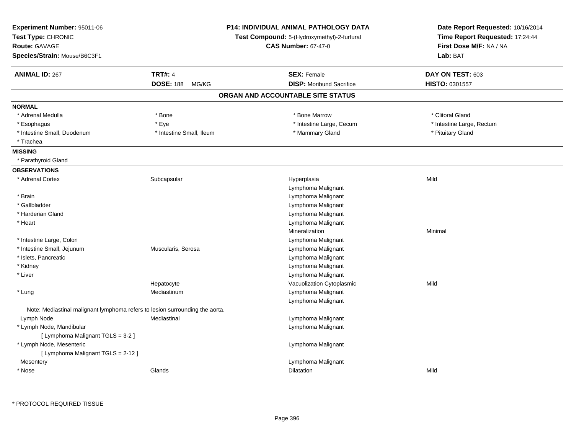| <b>TRT#: 4</b><br>DAY ON TEST: 603<br><b>ANIMAL ID: 267</b><br><b>SEX: Female</b><br><b>DOSE: 188</b><br><b>DISP: Moribund Sacrifice</b><br><b>HISTO: 0301557</b><br>MG/KG<br>ORGAN AND ACCOUNTABLE SITE STATUS<br>* Bone Marrow<br>* Clitoral Gland<br>* Adrenal Medulla<br>* Bone<br>* Intestine Large, Cecum<br>* Intestine Large, Rectum<br>* Eye<br>* Esophagus<br>* Intestine Small, Duodenum<br>* Intestine Small, Ileum<br>* Mammary Gland<br>* Pituitary Gland<br>* Trachea<br>* Parathyroid Gland<br>* Adrenal Cortex<br>Subcapsular<br>Hyperplasia<br>Mild<br>Lymphoma Malignant<br>Lymphoma Malignant<br>* Brain<br>* Gallbladder<br>Lymphoma Malignant<br>* Harderian Gland<br>Lymphoma Malignant<br>* Heart<br>Lymphoma Malignant<br>Mineralization<br>Minimal<br>* Intestine Large, Colon<br>Lymphoma Malignant<br>* Intestine Small, Jejunum<br>Muscularis, Serosa<br>Lymphoma Malignant<br>* Islets, Pancreatic<br>Lymphoma Malignant<br>Lymphoma Malignant<br>* Kidney<br>* Liver<br>Lymphoma Malignant<br>Hepatocyte<br>Vacuolization Cytoplasmic<br>Mild<br>Lymphoma Malignant<br>* Lung<br>Mediastinum<br>Lymphoma Malignant<br>Note: Mediastinal malignant lymphoma refers to lesion surrounding the aorta.<br>Lymph Node<br>Mediastinal<br>Lymphoma Malignant<br>* Lymph Node, Mandibular<br>Lymphoma Malignant<br>[ Lymphoma Malignant TGLS = 3-2 ]<br>* Lymph Node, Mesenteric<br>Lymphoma Malignant<br>[ Lymphoma Malignant TGLS = 2-12 ]<br>Lymphoma Malignant<br>Mesentery<br>Glands<br>Dilatation<br>Mild<br>* Nose | Experiment Number: 95011-06<br>Test Type: CHRONIC<br>Route: GAVAGE<br>Species/Strain: Mouse/B6C3F1 | <b>P14: INDIVIDUAL ANIMAL PATHOLOGY DATA</b><br>Test Compound: 5-(Hydroxymethyl)-2-furfural<br><b>CAS Number: 67-47-0</b> | Date Report Requested: 10/16/2014<br>Time Report Requested: 17:24:44<br>First Dose M/F: NA / NA<br>Lab: BAT |
|--------------------------------------------------------------------------------------------------------------------------------------------------------------------------------------------------------------------------------------------------------------------------------------------------------------------------------------------------------------------------------------------------------------------------------------------------------------------------------------------------------------------------------------------------------------------------------------------------------------------------------------------------------------------------------------------------------------------------------------------------------------------------------------------------------------------------------------------------------------------------------------------------------------------------------------------------------------------------------------------------------------------------------------------------------------------------------------------------------------------------------------------------------------------------------------------------------------------------------------------------------------------------------------------------------------------------------------------------------------------------------------------------------------------------------------------------------------------------------------------------------------------------------------------------|----------------------------------------------------------------------------------------------------|---------------------------------------------------------------------------------------------------------------------------|-------------------------------------------------------------------------------------------------------------|
|                                                                                                                                                                                                                                                                                                                                                                                                                                                                                                                                                                                                                                                                                                                                                                                                                                                                                                                                                                                                                                                                                                                                                                                                                                                                                                                                                                                                                                                                                                                                                  |                                                                                                    |                                                                                                                           |                                                                                                             |
|                                                                                                                                                                                                                                                                                                                                                                                                                                                                                                                                                                                                                                                                                                                                                                                                                                                                                                                                                                                                                                                                                                                                                                                                                                                                                                                                                                                                                                                                                                                                                  |                                                                                                    |                                                                                                                           |                                                                                                             |
|                                                                                                                                                                                                                                                                                                                                                                                                                                                                                                                                                                                                                                                                                                                                                                                                                                                                                                                                                                                                                                                                                                                                                                                                                                                                                                                                                                                                                                                                                                                                                  |                                                                                                    |                                                                                                                           |                                                                                                             |
|                                                                                                                                                                                                                                                                                                                                                                                                                                                                                                                                                                                                                                                                                                                                                                                                                                                                                                                                                                                                                                                                                                                                                                                                                                                                                                                                                                                                                                                                                                                                                  | <b>NORMAL</b>                                                                                      |                                                                                                                           |                                                                                                             |
|                                                                                                                                                                                                                                                                                                                                                                                                                                                                                                                                                                                                                                                                                                                                                                                                                                                                                                                                                                                                                                                                                                                                                                                                                                                                                                                                                                                                                                                                                                                                                  |                                                                                                    |                                                                                                                           |                                                                                                             |
|                                                                                                                                                                                                                                                                                                                                                                                                                                                                                                                                                                                                                                                                                                                                                                                                                                                                                                                                                                                                                                                                                                                                                                                                                                                                                                                                                                                                                                                                                                                                                  |                                                                                                    |                                                                                                                           |                                                                                                             |
|                                                                                                                                                                                                                                                                                                                                                                                                                                                                                                                                                                                                                                                                                                                                                                                                                                                                                                                                                                                                                                                                                                                                                                                                                                                                                                                                                                                                                                                                                                                                                  |                                                                                                    |                                                                                                                           |                                                                                                             |
|                                                                                                                                                                                                                                                                                                                                                                                                                                                                                                                                                                                                                                                                                                                                                                                                                                                                                                                                                                                                                                                                                                                                                                                                                                                                                                                                                                                                                                                                                                                                                  |                                                                                                    |                                                                                                                           |                                                                                                             |
|                                                                                                                                                                                                                                                                                                                                                                                                                                                                                                                                                                                                                                                                                                                                                                                                                                                                                                                                                                                                                                                                                                                                                                                                                                                                                                                                                                                                                                                                                                                                                  | <b>MISSING</b>                                                                                     |                                                                                                                           |                                                                                                             |
|                                                                                                                                                                                                                                                                                                                                                                                                                                                                                                                                                                                                                                                                                                                                                                                                                                                                                                                                                                                                                                                                                                                                                                                                                                                                                                                                                                                                                                                                                                                                                  |                                                                                                    |                                                                                                                           |                                                                                                             |
|                                                                                                                                                                                                                                                                                                                                                                                                                                                                                                                                                                                                                                                                                                                                                                                                                                                                                                                                                                                                                                                                                                                                                                                                                                                                                                                                                                                                                                                                                                                                                  | <b>OBSERVATIONS</b>                                                                                |                                                                                                                           |                                                                                                             |
|                                                                                                                                                                                                                                                                                                                                                                                                                                                                                                                                                                                                                                                                                                                                                                                                                                                                                                                                                                                                                                                                                                                                                                                                                                                                                                                                                                                                                                                                                                                                                  |                                                                                                    |                                                                                                                           |                                                                                                             |
|                                                                                                                                                                                                                                                                                                                                                                                                                                                                                                                                                                                                                                                                                                                                                                                                                                                                                                                                                                                                                                                                                                                                                                                                                                                                                                                                                                                                                                                                                                                                                  |                                                                                                    |                                                                                                                           |                                                                                                             |
|                                                                                                                                                                                                                                                                                                                                                                                                                                                                                                                                                                                                                                                                                                                                                                                                                                                                                                                                                                                                                                                                                                                                                                                                                                                                                                                                                                                                                                                                                                                                                  |                                                                                                    |                                                                                                                           |                                                                                                             |
|                                                                                                                                                                                                                                                                                                                                                                                                                                                                                                                                                                                                                                                                                                                                                                                                                                                                                                                                                                                                                                                                                                                                                                                                                                                                                                                                                                                                                                                                                                                                                  |                                                                                                    |                                                                                                                           |                                                                                                             |
|                                                                                                                                                                                                                                                                                                                                                                                                                                                                                                                                                                                                                                                                                                                                                                                                                                                                                                                                                                                                                                                                                                                                                                                                                                                                                                                                                                                                                                                                                                                                                  |                                                                                                    |                                                                                                                           |                                                                                                             |
|                                                                                                                                                                                                                                                                                                                                                                                                                                                                                                                                                                                                                                                                                                                                                                                                                                                                                                                                                                                                                                                                                                                                                                                                                                                                                                                                                                                                                                                                                                                                                  |                                                                                                    |                                                                                                                           |                                                                                                             |
|                                                                                                                                                                                                                                                                                                                                                                                                                                                                                                                                                                                                                                                                                                                                                                                                                                                                                                                                                                                                                                                                                                                                                                                                                                                                                                                                                                                                                                                                                                                                                  |                                                                                                    |                                                                                                                           |                                                                                                             |
|                                                                                                                                                                                                                                                                                                                                                                                                                                                                                                                                                                                                                                                                                                                                                                                                                                                                                                                                                                                                                                                                                                                                                                                                                                                                                                                                                                                                                                                                                                                                                  |                                                                                                    |                                                                                                                           |                                                                                                             |
|                                                                                                                                                                                                                                                                                                                                                                                                                                                                                                                                                                                                                                                                                                                                                                                                                                                                                                                                                                                                                                                                                                                                                                                                                                                                                                                                                                                                                                                                                                                                                  |                                                                                                    |                                                                                                                           |                                                                                                             |
|                                                                                                                                                                                                                                                                                                                                                                                                                                                                                                                                                                                                                                                                                                                                                                                                                                                                                                                                                                                                                                                                                                                                                                                                                                                                                                                                                                                                                                                                                                                                                  |                                                                                                    |                                                                                                                           |                                                                                                             |
|                                                                                                                                                                                                                                                                                                                                                                                                                                                                                                                                                                                                                                                                                                                                                                                                                                                                                                                                                                                                                                                                                                                                                                                                                                                                                                                                                                                                                                                                                                                                                  |                                                                                                    |                                                                                                                           |                                                                                                             |
|                                                                                                                                                                                                                                                                                                                                                                                                                                                                                                                                                                                                                                                                                                                                                                                                                                                                                                                                                                                                                                                                                                                                                                                                                                                                                                                                                                                                                                                                                                                                                  |                                                                                                    |                                                                                                                           |                                                                                                             |
|                                                                                                                                                                                                                                                                                                                                                                                                                                                                                                                                                                                                                                                                                                                                                                                                                                                                                                                                                                                                                                                                                                                                                                                                                                                                                                                                                                                                                                                                                                                                                  |                                                                                                    |                                                                                                                           |                                                                                                             |
|                                                                                                                                                                                                                                                                                                                                                                                                                                                                                                                                                                                                                                                                                                                                                                                                                                                                                                                                                                                                                                                                                                                                                                                                                                                                                                                                                                                                                                                                                                                                                  |                                                                                                    |                                                                                                                           |                                                                                                             |
|                                                                                                                                                                                                                                                                                                                                                                                                                                                                                                                                                                                                                                                                                                                                                                                                                                                                                                                                                                                                                                                                                                                                                                                                                                                                                                                                                                                                                                                                                                                                                  |                                                                                                    |                                                                                                                           |                                                                                                             |
|                                                                                                                                                                                                                                                                                                                                                                                                                                                                                                                                                                                                                                                                                                                                                                                                                                                                                                                                                                                                                                                                                                                                                                                                                                                                                                                                                                                                                                                                                                                                                  |                                                                                                    |                                                                                                                           |                                                                                                             |
|                                                                                                                                                                                                                                                                                                                                                                                                                                                                                                                                                                                                                                                                                                                                                                                                                                                                                                                                                                                                                                                                                                                                                                                                                                                                                                                                                                                                                                                                                                                                                  |                                                                                                    |                                                                                                                           |                                                                                                             |
|                                                                                                                                                                                                                                                                                                                                                                                                                                                                                                                                                                                                                                                                                                                                                                                                                                                                                                                                                                                                                                                                                                                                                                                                                                                                                                                                                                                                                                                                                                                                                  |                                                                                                    |                                                                                                                           |                                                                                                             |
|                                                                                                                                                                                                                                                                                                                                                                                                                                                                                                                                                                                                                                                                                                                                                                                                                                                                                                                                                                                                                                                                                                                                                                                                                                                                                                                                                                                                                                                                                                                                                  |                                                                                                    |                                                                                                                           |                                                                                                             |
|                                                                                                                                                                                                                                                                                                                                                                                                                                                                                                                                                                                                                                                                                                                                                                                                                                                                                                                                                                                                                                                                                                                                                                                                                                                                                                                                                                                                                                                                                                                                                  |                                                                                                    |                                                                                                                           |                                                                                                             |
|                                                                                                                                                                                                                                                                                                                                                                                                                                                                                                                                                                                                                                                                                                                                                                                                                                                                                                                                                                                                                                                                                                                                                                                                                                                                                                                                                                                                                                                                                                                                                  |                                                                                                    |                                                                                                                           |                                                                                                             |
|                                                                                                                                                                                                                                                                                                                                                                                                                                                                                                                                                                                                                                                                                                                                                                                                                                                                                                                                                                                                                                                                                                                                                                                                                                                                                                                                                                                                                                                                                                                                                  |                                                                                                    |                                                                                                                           |                                                                                                             |
|                                                                                                                                                                                                                                                                                                                                                                                                                                                                                                                                                                                                                                                                                                                                                                                                                                                                                                                                                                                                                                                                                                                                                                                                                                                                                                                                                                                                                                                                                                                                                  |                                                                                                    |                                                                                                                           |                                                                                                             |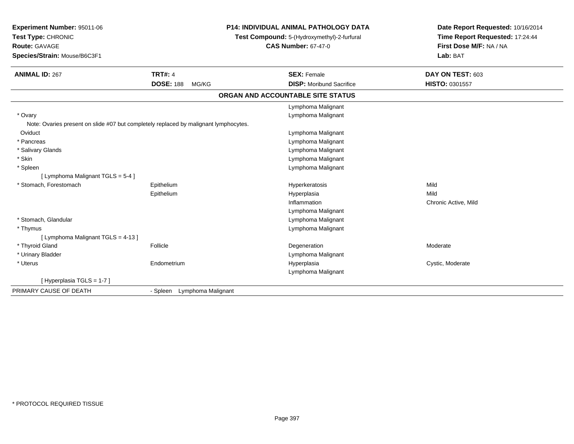| Experiment Number: 95011-06                                                          | P14: INDIVIDUAL ANIMAL PATHOLOGY DATA |                                             | Date Report Requested: 10/16/2014<br>Time Report Requested: 17:24:44 |
|--------------------------------------------------------------------------------------|---------------------------------------|---------------------------------------------|----------------------------------------------------------------------|
| Test Type: CHRONIC                                                                   |                                       | Test Compound: 5-(Hydroxymethyl)-2-furfural |                                                                      |
| Route: GAVAGE                                                                        |                                       | <b>CAS Number: 67-47-0</b>                  | First Dose M/F: NA / NA                                              |
| Species/Strain: Mouse/B6C3F1                                                         |                                       |                                             | Lab: BAT                                                             |
| <b>ANIMAL ID: 267</b>                                                                | <b>TRT#: 4</b>                        | <b>SEX: Female</b>                          | DAY ON TEST: 603                                                     |
|                                                                                      | <b>DOSE: 188</b><br>MG/KG             | <b>DISP:</b> Moribund Sacrifice             | HISTO: 0301557                                                       |
|                                                                                      |                                       | ORGAN AND ACCOUNTABLE SITE STATUS           |                                                                      |
|                                                                                      |                                       | Lymphoma Malignant                          |                                                                      |
| * Ovary                                                                              |                                       | Lymphoma Malignant                          |                                                                      |
| Note: Ovaries present on slide #07 but completely replaced by malignant lymphocytes. |                                       |                                             |                                                                      |
| Oviduct                                                                              |                                       | Lymphoma Malignant                          |                                                                      |
| * Pancreas                                                                           |                                       | Lymphoma Malignant                          |                                                                      |
| * Salivary Glands                                                                    |                                       | Lymphoma Malignant                          |                                                                      |
| * Skin                                                                               |                                       | Lymphoma Malignant                          |                                                                      |
| * Spleen                                                                             |                                       | Lymphoma Malignant                          |                                                                      |
| [ Lymphoma Malignant TGLS = 5-4 ]                                                    |                                       |                                             |                                                                      |
| * Stomach, Forestomach                                                               | Epithelium                            | Hyperkeratosis                              | Mild                                                                 |
|                                                                                      | Epithelium                            | Hyperplasia                                 | Mild                                                                 |
|                                                                                      |                                       | Inflammation                                | Chronic Active, Mild                                                 |
|                                                                                      |                                       | Lymphoma Malignant                          |                                                                      |
| * Stomach, Glandular                                                                 |                                       | Lymphoma Malignant                          |                                                                      |
| * Thymus                                                                             |                                       | Lymphoma Malignant                          |                                                                      |
| [ Lymphoma Malignant TGLS = 4-13 ]                                                   |                                       |                                             |                                                                      |
| * Thyroid Gland                                                                      | Follicle                              | Degeneration                                | Moderate                                                             |
| * Urinary Bladder                                                                    |                                       | Lymphoma Malignant                          |                                                                      |
| * Uterus                                                                             | Endometrium                           | Hyperplasia                                 | Cystic, Moderate                                                     |
|                                                                                      |                                       | Lymphoma Malignant                          |                                                                      |
| [Hyperplasia TGLS = 1-7]                                                             |                                       |                                             |                                                                      |
| PRIMARY CAUSE OF DEATH                                                               | Lymphoma Malignant<br>- Spleen        |                                             |                                                                      |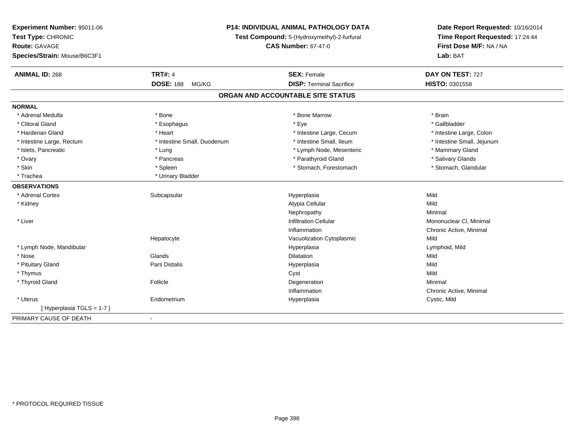| Test Type: CHRONIC<br>Time Report Requested: 17:24:44<br>Test Compound: 5-(Hydroxymethyl)-2-furfural<br>First Dose M/F: NA / NA<br>Route: GAVAGE<br><b>CAS Number: 67-47-0</b><br>Species/Strain: Mouse/B6C3F1<br>Lab: BAT |  |
|----------------------------------------------------------------------------------------------------------------------------------------------------------------------------------------------------------------------------|--|
|                                                                                                                                                                                                                            |  |
|                                                                                                                                                                                                                            |  |
|                                                                                                                                                                                                                            |  |
| <b>TRT#: 4</b><br><b>ANIMAL ID: 268</b><br>DAY ON TEST: 727<br><b>SEX: Female</b>                                                                                                                                          |  |
| <b>DOSE: 188</b><br><b>DISP: Terminal Sacrifice</b><br>HISTO: 0301558<br>MG/KG                                                                                                                                             |  |
| ORGAN AND ACCOUNTABLE SITE STATUS                                                                                                                                                                                          |  |
| <b>NORMAL</b>                                                                                                                                                                                                              |  |
| * Adrenal Medulla<br>* Bone<br>* Bone Marrow<br>* Brain                                                                                                                                                                    |  |
| * Gallbladder<br>* Clitoral Gland<br>* Esophagus<br>* Eye                                                                                                                                                                  |  |
| * Harderian Gland<br>* Heart<br>* Intestine Large, Cecum<br>* Intestine Large, Colon                                                                                                                                       |  |
| * Intestine Small, Ileum<br>* Intestine Large, Rectum<br>* Intestine Small, Duodenum<br>* Intestine Small, Jejunum                                                                                                         |  |
| * Islets, Pancreatic<br>* Mammary Gland<br>* Lung<br>* Lymph Node, Mesenteric                                                                                                                                              |  |
| * Salivary Glands<br>* Ovary<br>* Pancreas<br>* Parathyroid Gland                                                                                                                                                          |  |
| * Skin<br>* Stomach, Forestomach<br>* Stomach, Glandular<br>* Spleen                                                                                                                                                       |  |
| * Trachea<br>* Urinary Bladder                                                                                                                                                                                             |  |
| <b>OBSERVATIONS</b>                                                                                                                                                                                                        |  |
| Mild<br>* Adrenal Cortex<br>Subcapsular<br>Hyperplasia                                                                                                                                                                     |  |
| Atypia Cellular<br>Mild<br>* Kidney                                                                                                                                                                                        |  |
| Nephropathy<br>Minimal                                                                                                                                                                                                     |  |
| * Liver<br><b>Infiltration Cellular</b><br>Mononuclear CI, Minimal                                                                                                                                                         |  |
| Inflammation<br>Chronic Active, Minimal                                                                                                                                                                                    |  |
| Vacuolization Cytoplasmic<br>Mild<br>Hepatocyte                                                                                                                                                                            |  |
| * Lymph Node, Mandibular<br>Hyperplasia<br>Lymphoid, Mild                                                                                                                                                                  |  |
| $*$ Nose<br>Glands<br>Dilatation<br>Mild                                                                                                                                                                                   |  |
| Mild<br>* Pituitary Gland<br>Pars Distalis<br>Hyperplasia                                                                                                                                                                  |  |
| Mild<br>* Thymus<br>Cyst                                                                                                                                                                                                   |  |
| * Thyroid Gland<br>Follicle<br>Degeneration<br>Minimal                                                                                                                                                                     |  |
| Inflammation<br>Chronic Active, Minimal                                                                                                                                                                                    |  |
| * Uterus<br>Endometrium<br>Cystic, Mild<br>Hyperplasia                                                                                                                                                                     |  |
| [Hyperplasia TGLS = 1-7]                                                                                                                                                                                                   |  |
| PRIMARY CAUSE OF DEATH<br>$\blacksquare$                                                                                                                                                                                   |  |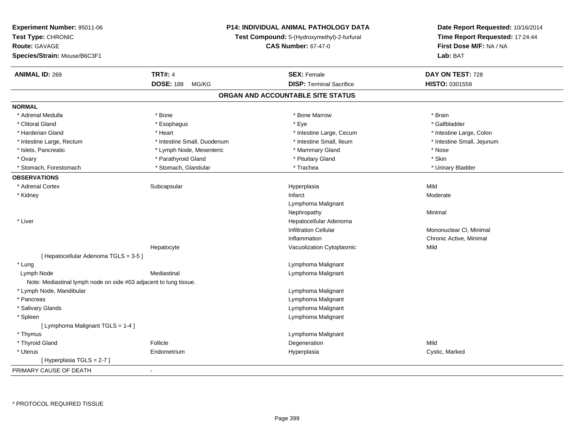| Experiment Number: 95011-06                                       | <b>P14: INDIVIDUAL ANIMAL PATHOLOGY DATA</b><br>Test Compound: 5-(Hydroxymethyl)-2-furfural |                                   | Date Report Requested: 10/16/2014 |  |
|-------------------------------------------------------------------|---------------------------------------------------------------------------------------------|-----------------------------------|-----------------------------------|--|
| Test Type: CHRONIC                                                |                                                                                             |                                   | Time Report Requested: 17:24:44   |  |
| <b>Route: GAVAGE</b>                                              |                                                                                             | <b>CAS Number: 67-47-0</b>        | First Dose M/F: NA / NA           |  |
| Species/Strain: Mouse/B6C3F1                                      |                                                                                             |                                   | Lab: BAT                          |  |
| <b>ANIMAL ID: 269</b>                                             | <b>TRT#: 4</b>                                                                              | <b>SEX: Female</b>                | DAY ON TEST: 728                  |  |
|                                                                   | <b>DOSE: 188</b><br>MG/KG                                                                   | <b>DISP: Terminal Sacrifice</b>   | HISTO: 0301559                    |  |
|                                                                   |                                                                                             | ORGAN AND ACCOUNTABLE SITE STATUS |                                   |  |
| <b>NORMAL</b>                                                     |                                                                                             |                                   |                                   |  |
| * Adrenal Medulla                                                 | * Bone                                                                                      | * Bone Marrow                     | * Brain                           |  |
| * Clitoral Gland                                                  | * Esophagus                                                                                 | * Eye                             | * Gallbladder                     |  |
| * Harderian Gland                                                 | * Heart                                                                                     | * Intestine Large, Cecum          | * Intestine Large, Colon          |  |
| * Intestine Large, Rectum                                         | * Intestine Small, Duodenum                                                                 | * Intestine Small, Ileum          | * Intestine Small, Jejunum        |  |
| * Islets, Pancreatic                                              | * Lymph Node, Mesenteric                                                                    | * Mammary Gland                   | * Nose                            |  |
| * Ovary                                                           | * Parathyroid Gland                                                                         | * Pituitary Gland                 | * Skin                            |  |
| * Stomach, Forestomach                                            | * Stomach, Glandular                                                                        | * Trachea                         | * Urinary Bladder                 |  |
| <b>OBSERVATIONS</b>                                               |                                                                                             |                                   |                                   |  |
| * Adrenal Cortex                                                  | Subcapsular                                                                                 | Hyperplasia                       | Mild                              |  |
| * Kidney                                                          |                                                                                             | Infarct                           | Moderate                          |  |
|                                                                   |                                                                                             | Lymphoma Malignant                |                                   |  |
|                                                                   |                                                                                             | Nephropathy                       | Minimal                           |  |
| * Liver                                                           |                                                                                             | Hepatocellular Adenoma            |                                   |  |
|                                                                   |                                                                                             | <b>Infiltration Cellular</b>      | Mononuclear CI, Minimal           |  |
|                                                                   |                                                                                             | Inflammation                      | Chronic Active, Minimal           |  |
|                                                                   | Hepatocyte                                                                                  | Vacuolization Cytoplasmic         | Mild                              |  |
| [ Hepatocellular Adenoma TGLS = 3-5 ]                             |                                                                                             |                                   |                                   |  |
| * Lung                                                            |                                                                                             | Lymphoma Malignant                |                                   |  |
| Lymph Node                                                        | Mediastinal                                                                                 | Lymphoma Malignant                |                                   |  |
| Note: Mediastinal lymph node on side #03 adjacent to lung tissue. |                                                                                             |                                   |                                   |  |
| * Lymph Node, Mandibular                                          |                                                                                             | Lymphoma Malignant                |                                   |  |
| * Pancreas                                                        |                                                                                             | Lymphoma Malignant                |                                   |  |
| * Salivary Glands                                                 |                                                                                             | Lymphoma Malignant                |                                   |  |
| * Spleen                                                          |                                                                                             | Lymphoma Malignant                |                                   |  |
| [ Lymphoma Malignant TGLS = 1-4 ]                                 |                                                                                             |                                   |                                   |  |
| * Thymus                                                          |                                                                                             | Lymphoma Malignant                |                                   |  |
| * Thyroid Gland                                                   | Follicle                                                                                    | Degeneration                      | Mild                              |  |
| * Uterus                                                          | Endometrium                                                                                 | Hyperplasia                       | Cystic, Marked                    |  |
| [Hyperplasia TGLS = 2-7]                                          |                                                                                             |                                   |                                   |  |
| PRIMARY CAUSE OF DEATH                                            | ÷,                                                                                          |                                   |                                   |  |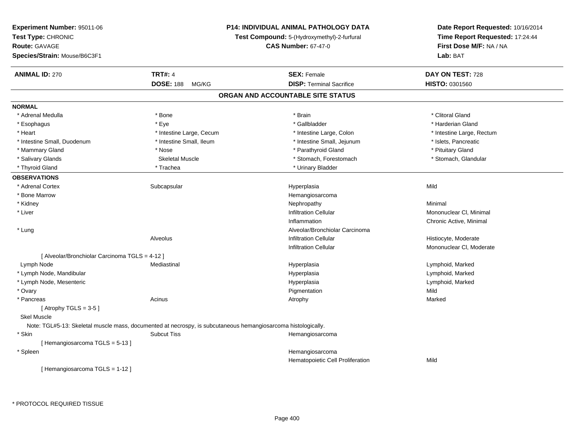| Experiment Number: 95011-06                    |                                                                                                               | <b>P14: INDIVIDUAL ANIMAL PATHOLOGY DATA</b> | Date Report Requested: 10/16/2014                          |  |
|------------------------------------------------|---------------------------------------------------------------------------------------------------------------|----------------------------------------------|------------------------------------------------------------|--|
| Test Type: CHRONIC                             |                                                                                                               | Test Compound: 5-(Hydroxymethyl)-2-furfural  | Time Report Requested: 17:24:44<br>First Dose M/F: NA / NA |  |
| <b>Route: GAVAGE</b>                           |                                                                                                               | <b>CAS Number: 67-47-0</b>                   |                                                            |  |
| Species/Strain: Mouse/B6C3F1                   |                                                                                                               |                                              | Lab: BAT                                                   |  |
| <b>ANIMAL ID: 270</b>                          | <b>TRT#: 4</b>                                                                                                | <b>SEX: Female</b>                           | DAY ON TEST: 728                                           |  |
|                                                | <b>DOSE: 188</b><br>MG/KG                                                                                     | <b>DISP: Terminal Sacrifice</b>              | HISTO: 0301560                                             |  |
|                                                |                                                                                                               | ORGAN AND ACCOUNTABLE SITE STATUS            |                                                            |  |
| <b>NORMAL</b>                                  |                                                                                                               |                                              |                                                            |  |
| * Adrenal Medulla                              | * Bone                                                                                                        | * Brain                                      | * Clitoral Gland                                           |  |
| * Esophagus                                    | * Eye                                                                                                         | * Gallbladder                                | * Harderian Gland                                          |  |
| * Heart                                        | * Intestine Large, Cecum                                                                                      | * Intestine Large, Colon                     | * Intestine Large, Rectum                                  |  |
| * Intestine Small, Duodenum                    | * Intestine Small, Ileum                                                                                      | * Intestine Small, Jejunum                   | * Islets, Pancreatic                                       |  |
| * Mammary Gland                                | * Nose                                                                                                        | * Parathyroid Gland                          | * Pituitary Gland                                          |  |
| * Salivary Glands                              | <b>Skeletal Muscle</b>                                                                                        | * Stomach, Forestomach                       | * Stomach, Glandular                                       |  |
| * Thyroid Gland                                | * Trachea                                                                                                     | * Urinary Bladder                            |                                                            |  |
| <b>OBSERVATIONS</b>                            |                                                                                                               |                                              |                                                            |  |
| * Adrenal Cortex                               | Subcapsular                                                                                                   | Hyperplasia                                  | Mild                                                       |  |
| * Bone Marrow                                  |                                                                                                               | Hemangiosarcoma                              |                                                            |  |
| * Kidney                                       |                                                                                                               | Nephropathy                                  | Minimal                                                    |  |
| * Liver                                        |                                                                                                               | <b>Infiltration Cellular</b>                 | Mononuclear CI, Minimal                                    |  |
|                                                |                                                                                                               | Inflammation                                 | Chronic Active, Minimal                                    |  |
| * Lung                                         |                                                                                                               | Alveolar/Bronchiolar Carcinoma               |                                                            |  |
|                                                | Alveolus                                                                                                      | <b>Infiltration Cellular</b>                 | Histiocyte, Moderate                                       |  |
|                                                |                                                                                                               | <b>Infiltration Cellular</b>                 | Mononuclear CI, Moderate                                   |  |
| [ Alveolar/Bronchiolar Carcinoma TGLS = 4-12 ] |                                                                                                               |                                              |                                                            |  |
| Lymph Node                                     | Mediastinal                                                                                                   | Hyperplasia                                  | Lymphoid, Marked                                           |  |
| * Lymph Node, Mandibular                       |                                                                                                               | Hyperplasia                                  | Lymphoid, Marked                                           |  |
| * Lymph Node, Mesenteric                       |                                                                                                               | Hyperplasia                                  | Lymphoid, Marked                                           |  |
| * Ovary                                        |                                                                                                               | Pigmentation                                 | Mild                                                       |  |
| * Pancreas                                     | Acinus                                                                                                        | Atrophy                                      | Marked                                                     |  |
| [Atrophy TGLS = $3-5$ ]                        |                                                                                                               |                                              |                                                            |  |
| <b>Skel Muscle</b>                             |                                                                                                               |                                              |                                                            |  |
|                                                | Note: TGL#5-13: Skeletal muscle mass, documented at necrospy, is subcutaneous hemangiosarcoma histologically. |                                              |                                                            |  |
| * Skin                                         | <b>Subcut Tiss</b>                                                                                            | Hemangiosarcoma                              |                                                            |  |
| [Hemangiosarcoma TGLS = 5-13]                  |                                                                                                               |                                              |                                                            |  |
| * Spleen                                       |                                                                                                               | Hemangiosarcoma                              |                                                            |  |
|                                                |                                                                                                               | Hematopoietic Cell Proliferation             | Mild                                                       |  |
| [Hemangiosarcoma TGLS = 1-12]                  |                                                                                                               |                                              |                                                            |  |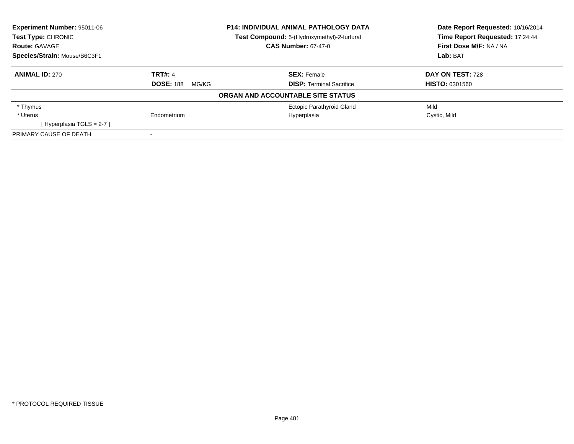| <b>Experiment Number: 95011-06</b> |                           | <b>P14: INDIVIDUAL ANIMAL PATHOLOGY DATA</b> | Date Report Requested: 10/16/2014 |  |
|------------------------------------|---------------------------|----------------------------------------------|-----------------------------------|--|
| Test Type: CHRONIC                 |                           | Test Compound: 5-(Hydroxymethyl)-2-furfural  | Time Report Requested: 17:24:44   |  |
| <b>Route: GAVAGE</b>               |                           | <b>CAS Number: 67-47-0</b>                   | First Dose M/F: NA / NA           |  |
| Species/Strain: Mouse/B6C3F1       |                           |                                              | Lab: BAT                          |  |
| <b>ANIMAL ID: 270</b>              | <b>TRT#: 4</b>            | <b>SEX: Female</b>                           | DAY ON TEST: 728                  |  |
|                                    | <b>DOSE: 188</b><br>MG/KG | <b>DISP:</b> Terminal Sacrifice              | <b>HISTO: 0301560</b>             |  |
|                                    |                           | ORGAN AND ACCOUNTABLE SITE STATUS            |                                   |  |
| * Thymus                           |                           | <b>Ectopic Parathyroid Gland</b>             | Mild                              |  |
| * Uterus                           | Endometrium               | Hyperplasia                                  | Cystic, Mild                      |  |
| [Hyperplasia TGLS = 2-7]           |                           |                                              |                                   |  |
| PRIMARY CAUSE OF DEATH             |                           |                                              |                                   |  |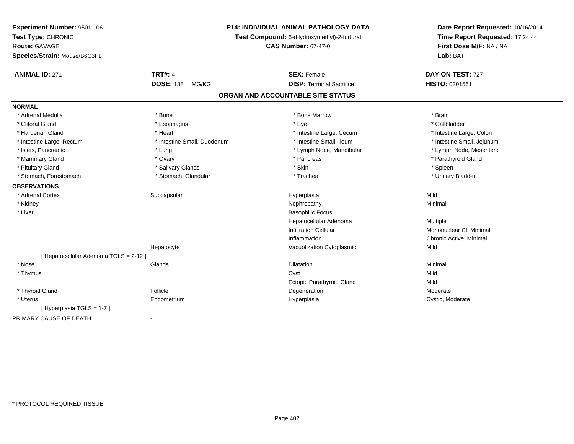| Experiment Number: 95011-06          | <b>P14: INDIVIDUAL ANIMAL PATHOLOGY DATA</b><br>Test Compound: 5-(Hydroxymethyl)-2-furfural |                                   | Date Report Requested: 10/16/2014 |  |
|--------------------------------------|---------------------------------------------------------------------------------------------|-----------------------------------|-----------------------------------|--|
| Test Type: CHRONIC                   |                                                                                             |                                   | Time Report Requested: 17:24:44   |  |
| <b>Route: GAVAGE</b>                 |                                                                                             | <b>CAS Number: 67-47-0</b>        | First Dose M/F: NA / NA           |  |
| Species/Strain: Mouse/B6C3F1         |                                                                                             |                                   | Lab: BAT                          |  |
| <b>ANIMAL ID: 271</b>                | <b>TRT#: 4</b>                                                                              | <b>SEX: Female</b>                | DAY ON TEST: 727                  |  |
|                                      | <b>DOSE: 188</b><br>MG/KG                                                                   | <b>DISP: Terminal Sacrifice</b>   | HISTO: 0301561                    |  |
|                                      |                                                                                             | ORGAN AND ACCOUNTABLE SITE STATUS |                                   |  |
| <b>NORMAL</b>                        |                                                                                             |                                   |                                   |  |
| * Adrenal Medulla                    | * Bone                                                                                      | * Bone Marrow                     | * Brain                           |  |
| * Clitoral Gland                     | * Esophagus                                                                                 | * Eye                             | * Gallbladder                     |  |
| * Harderian Gland                    | * Heart                                                                                     | * Intestine Large, Cecum          | * Intestine Large, Colon          |  |
| * Intestine Large, Rectum            | * Intestine Small, Duodenum                                                                 | * Intestine Small, Ileum          | * Intestine Small, Jejunum        |  |
| * Islets, Pancreatic                 | * Lung                                                                                      | * Lymph Node, Mandibular          | * Lymph Node, Mesenteric          |  |
| * Mammary Gland                      | * Ovary                                                                                     | * Pancreas                        | * Parathyroid Gland               |  |
| * Pituitary Gland                    | * Salivary Glands                                                                           | * Skin                            | * Spleen                          |  |
| * Stomach, Forestomach               | * Stomach, Glandular                                                                        | * Trachea                         | * Urinary Bladder                 |  |
| <b>OBSERVATIONS</b>                  |                                                                                             |                                   |                                   |  |
| * Adrenal Cortex                     | Subcapsular                                                                                 | Hyperplasia                       | Mild                              |  |
| * Kidney                             |                                                                                             | Nephropathy                       | Minimal                           |  |
| * Liver                              |                                                                                             | <b>Basophilic Focus</b>           |                                   |  |
|                                      |                                                                                             | Hepatocellular Adenoma            | Multiple                          |  |
|                                      |                                                                                             | <b>Infiltration Cellular</b>      | Mononuclear CI, Minimal           |  |
|                                      |                                                                                             | Inflammation                      | Chronic Active, Minimal           |  |
|                                      | Hepatocyte                                                                                  | Vacuolization Cytoplasmic         | Mild                              |  |
| [Hepatocellular Adenoma TGLS = 2-12] |                                                                                             |                                   |                                   |  |
| * Nose                               | Glands                                                                                      | <b>Dilatation</b>                 | Minimal                           |  |
| * Thymus                             |                                                                                             | Cyst                              | Mild                              |  |
|                                      |                                                                                             | Ectopic Parathyroid Gland         | Mild                              |  |
| * Thyroid Gland                      | Follicle                                                                                    | Degeneration                      | Moderate                          |  |
| * Uterus                             | Endometrium                                                                                 | Hyperplasia                       | Cystic, Moderate                  |  |
| [Hyperplasia TGLS = 1-7]             |                                                                                             |                                   |                                   |  |
| PRIMARY CAUSE OF DEATH               | $\blacksquare$                                                                              |                                   |                                   |  |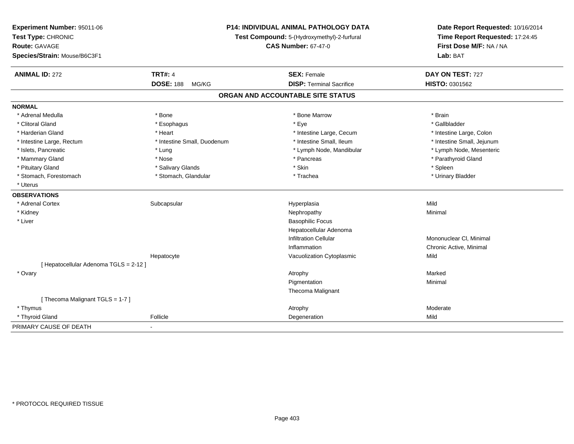| Experiment Number: 95011-06<br>Test Type: CHRONIC<br>Route: GAVAGE<br>Species/Strain: Mouse/B6C3F1 |                             | P14: INDIVIDUAL ANIMAL PATHOLOGY DATA<br>Test Compound: 5-(Hydroxymethyl)-2-furfural<br><b>CAS Number: 67-47-0</b> | Date Report Requested: 10/16/2014<br>Time Report Requested: 17:24:45<br>First Dose M/F: NA / NA<br>Lab: BAT |  |
|----------------------------------------------------------------------------------------------------|-----------------------------|--------------------------------------------------------------------------------------------------------------------|-------------------------------------------------------------------------------------------------------------|--|
| <b>ANIMAL ID: 272</b>                                                                              | <b>TRT#: 4</b>              | <b>SEX: Female</b>                                                                                                 | DAY ON TEST: 727                                                                                            |  |
|                                                                                                    | <b>DOSE: 188</b><br>MG/KG   | <b>DISP: Terminal Sacrifice</b>                                                                                    | HISTO: 0301562                                                                                              |  |
|                                                                                                    |                             | ORGAN AND ACCOUNTABLE SITE STATUS                                                                                  |                                                                                                             |  |
| <b>NORMAL</b>                                                                                      |                             |                                                                                                                    |                                                                                                             |  |
| * Adrenal Medulla                                                                                  | * Bone                      | * Bone Marrow                                                                                                      | * Brain                                                                                                     |  |
| * Clitoral Gland                                                                                   | * Esophagus                 | * Eye                                                                                                              | * Gallbladder                                                                                               |  |
| * Harderian Gland                                                                                  | * Heart                     | * Intestine Large, Cecum                                                                                           | * Intestine Large, Colon                                                                                    |  |
| * Intestine Large, Rectum                                                                          | * Intestine Small, Duodenum | * Intestine Small, Ileum                                                                                           | * Intestine Small, Jejunum                                                                                  |  |
| * Islets, Pancreatic                                                                               | * Lung                      | * Lymph Node, Mandibular                                                                                           | * Lymph Node, Mesenteric                                                                                    |  |
| * Mammary Gland                                                                                    | * Nose                      | * Pancreas                                                                                                         | * Parathyroid Gland                                                                                         |  |
| * Pituitary Gland                                                                                  | * Salivary Glands           | * Skin                                                                                                             | * Spleen                                                                                                    |  |
| * Stomach, Forestomach                                                                             | * Stomach, Glandular        | * Trachea                                                                                                          | * Urinary Bladder                                                                                           |  |
| * Uterus                                                                                           |                             |                                                                                                                    |                                                                                                             |  |
| <b>OBSERVATIONS</b>                                                                                |                             |                                                                                                                    |                                                                                                             |  |
| * Adrenal Cortex                                                                                   | Subcapsular                 | Hyperplasia                                                                                                        | Mild                                                                                                        |  |
| * Kidney                                                                                           |                             | Nephropathy                                                                                                        | Minimal                                                                                                     |  |
| * Liver                                                                                            |                             | <b>Basophilic Focus</b>                                                                                            |                                                                                                             |  |
|                                                                                                    |                             | Hepatocellular Adenoma                                                                                             |                                                                                                             |  |
|                                                                                                    |                             | <b>Infiltration Cellular</b>                                                                                       | Mononuclear CI, Minimal                                                                                     |  |
|                                                                                                    |                             | Inflammation                                                                                                       | Chronic Active, Minimal                                                                                     |  |
|                                                                                                    | Hepatocyte                  | Vacuolization Cytoplasmic                                                                                          | Mild                                                                                                        |  |
| [ Hepatocellular Adenoma TGLS = 2-12 ]                                                             |                             |                                                                                                                    |                                                                                                             |  |
| * Ovary                                                                                            |                             | Atrophy                                                                                                            | Marked                                                                                                      |  |
|                                                                                                    |                             | Pigmentation                                                                                                       | Minimal                                                                                                     |  |
|                                                                                                    |                             | Thecoma Malignant                                                                                                  |                                                                                                             |  |
| [Thecoma Malignant TGLS = 1-7]                                                                     |                             |                                                                                                                    |                                                                                                             |  |
| * Thymus                                                                                           |                             | Atrophy                                                                                                            | Moderate                                                                                                    |  |
| * Thyroid Gland                                                                                    | Follicle                    | Degeneration                                                                                                       | Mild                                                                                                        |  |
| PRIMARY CAUSE OF DEATH                                                                             | $\blacksquare$              |                                                                                                                    |                                                                                                             |  |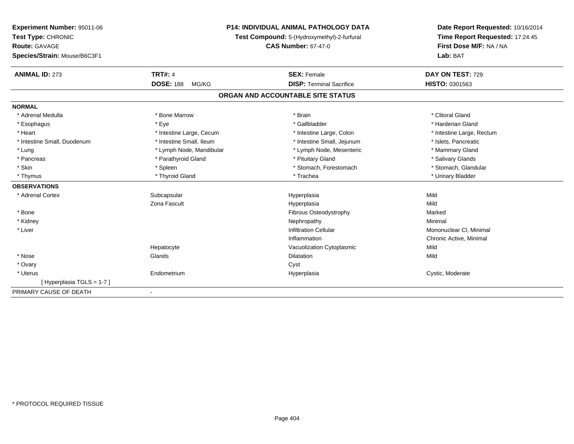| <b>Experiment Number: 95011-06</b> | <b>P14: INDIVIDUAL ANIMAL PATHOLOGY DATA</b> |                                             | Date Report Requested: 10/16/2014 |  |
|------------------------------------|----------------------------------------------|---------------------------------------------|-----------------------------------|--|
| Test Type: CHRONIC                 |                                              | Test Compound: 5-(Hydroxymethyl)-2-furfural | Time Report Requested: 17:24:45   |  |
| <b>Route: GAVAGE</b>               |                                              | <b>CAS Number: 67-47-0</b>                  | First Dose M/F: NA / NA           |  |
| Species/Strain: Mouse/B6C3F1       |                                              |                                             | Lab: BAT                          |  |
| <b>ANIMAL ID: 273</b>              | <b>TRT#: 4</b>                               | <b>SEX: Female</b>                          | DAY ON TEST: 729                  |  |
|                                    | <b>DOSE: 188</b><br>MG/KG                    | <b>DISP: Terminal Sacrifice</b>             | HISTO: 0301563                    |  |
|                                    |                                              | ORGAN AND ACCOUNTABLE SITE STATUS           |                                   |  |
| <b>NORMAL</b>                      |                                              |                                             |                                   |  |
| * Adrenal Medulla                  | * Bone Marrow                                | * Brain                                     | * Clitoral Gland                  |  |
| * Esophagus                        | * Eye                                        | * Gallbladder                               | * Harderian Gland                 |  |
| * Heart                            | * Intestine Large, Cecum                     | * Intestine Large, Colon                    | * Intestine Large, Rectum         |  |
| * Intestine Small, Duodenum        | * Intestine Small, Ileum                     | * Intestine Small, Jejunum                  | * Islets, Pancreatic              |  |
| * Lung                             | * Lymph Node, Mandibular                     | * Lymph Node, Mesenteric                    | * Mammary Gland                   |  |
| * Pancreas                         | * Parathyroid Gland                          | * Pituitary Gland                           | * Salivary Glands                 |  |
| * Skin                             | * Spleen                                     | * Stomach, Forestomach                      | * Stomach, Glandular              |  |
| * Thymus                           | * Thyroid Gland                              | * Trachea                                   | * Urinary Bladder                 |  |
| <b>OBSERVATIONS</b>                |                                              |                                             |                                   |  |
| * Adrenal Cortex                   | Subcapsular                                  | Hyperplasia                                 | Mild                              |  |
|                                    | Zona Fascult                                 | Hyperplasia                                 | Mild                              |  |
| * Bone                             |                                              | Fibrous Osteodystrophy                      | Marked                            |  |
| * Kidney                           |                                              | Nephropathy                                 | Minimal                           |  |
| * Liver                            |                                              | <b>Infiltration Cellular</b>                | Mononuclear CI, Minimal           |  |
|                                    |                                              | Inflammation                                | Chronic Active, Minimal           |  |
|                                    | Hepatocyte                                   | Vacuolization Cytoplasmic                   | Mild                              |  |
| * Nose                             | Glands                                       | <b>Dilatation</b>                           | Mild                              |  |
| * Ovary                            |                                              | Cyst                                        |                                   |  |
| * Uterus                           | Endometrium                                  | Hyperplasia                                 | Cystic, Moderate                  |  |
| [Hyperplasia TGLS = 1-7]           |                                              |                                             |                                   |  |
| PRIMARY CAUSE OF DEATH             | $\blacksquare$                               |                                             |                                   |  |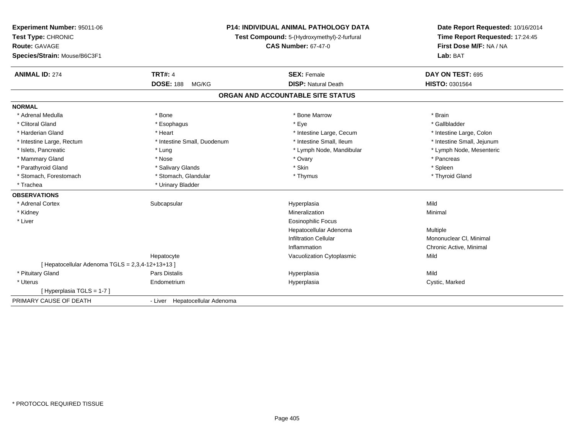| Experiment Number: 95011-06<br>Test Type: CHRONIC    |                                | <b>P14: INDIVIDUAL ANIMAL PATHOLOGY DATA</b><br>Test Compound: 5-(Hydroxymethyl)-2-furfural | Date Report Requested: 10/16/2014<br>Time Report Requested: 17:24:45 |  |
|------------------------------------------------------|--------------------------------|---------------------------------------------------------------------------------------------|----------------------------------------------------------------------|--|
| <b>Route: GAVAGE</b><br>Species/Strain: Mouse/B6C3F1 |                                | <b>CAS Number: 67-47-0</b>                                                                  | First Dose M/F: NA / NA<br>Lab: BAT                                  |  |
| <b>ANIMAL ID: 274</b>                                | <b>TRT#: 4</b>                 | <b>SEX: Female</b>                                                                          | DAY ON TEST: 695                                                     |  |
|                                                      | <b>DOSE: 188</b><br>MG/KG      | <b>DISP: Natural Death</b>                                                                  | HISTO: 0301564                                                       |  |
|                                                      |                                | ORGAN AND ACCOUNTABLE SITE STATUS                                                           |                                                                      |  |
| <b>NORMAL</b>                                        |                                |                                                                                             |                                                                      |  |
| * Adrenal Medulla                                    | * Bone                         | * Bone Marrow                                                                               | * Brain                                                              |  |
| * Clitoral Gland                                     | * Esophagus                    | * Eye                                                                                       | * Gallbladder                                                        |  |
| * Harderian Gland                                    | * Heart                        | * Intestine Large, Cecum                                                                    | * Intestine Large, Colon                                             |  |
| * Intestine Large, Rectum                            | * Intestine Small, Duodenum    | * Intestine Small. Ileum                                                                    | * Intestine Small, Jejunum                                           |  |
| * Islets, Pancreatic                                 | * Lung                         | * Lymph Node, Mandibular                                                                    | * Lymph Node, Mesenteric                                             |  |
| * Mammary Gland                                      | * Nose                         | * Ovary                                                                                     | * Pancreas                                                           |  |
| * Parathyroid Gland                                  | * Salivary Glands              | * Skin                                                                                      | * Spleen                                                             |  |
| * Stomach, Forestomach                               | * Stomach, Glandular           | * Thymus                                                                                    | * Thyroid Gland                                                      |  |
| * Trachea                                            | * Urinary Bladder              |                                                                                             |                                                                      |  |
| <b>OBSERVATIONS</b>                                  |                                |                                                                                             |                                                                      |  |
| * Adrenal Cortex                                     | Subcapsular                    | Hyperplasia                                                                                 | Mild                                                                 |  |
| * Kidney                                             |                                | Mineralization                                                                              | Minimal                                                              |  |
| * Liver                                              |                                | <b>Eosinophilic Focus</b>                                                                   |                                                                      |  |
|                                                      |                                | Hepatocellular Adenoma                                                                      | Multiple                                                             |  |
|                                                      |                                | <b>Infiltration Cellular</b>                                                                | Mononuclear CI, Minimal                                              |  |
|                                                      |                                | Inflammation                                                                                | Chronic Active, Minimal                                              |  |
|                                                      | Hepatocyte                     | Vacuolization Cytoplasmic                                                                   | Mild                                                                 |  |
| [ Hepatocellular Adenoma TGLS = 2,3,4-12+13+13 ]     |                                |                                                                                             |                                                                      |  |
| * Pituitary Gland                                    | <b>Pars Distalis</b>           | Hyperplasia                                                                                 | Mild                                                                 |  |
| * Uterus                                             | Endometrium                    | Hyperplasia                                                                                 | Cystic, Marked                                                       |  |
| [Hyperplasia TGLS = 1-7]                             |                                |                                                                                             |                                                                      |  |
| PRIMARY CAUSE OF DEATH                               | - Liver Hepatocellular Adenoma |                                                                                             |                                                                      |  |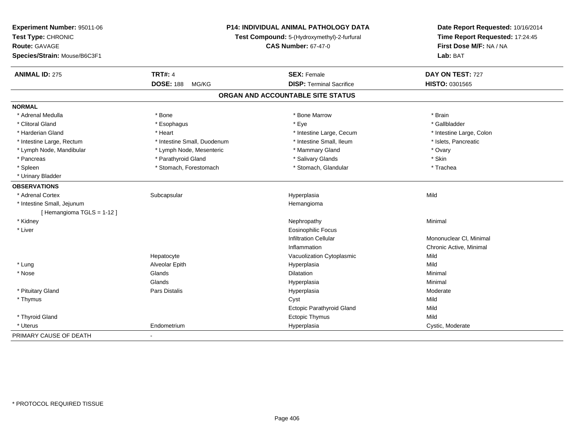| Experiment Number: 95011-06<br>Test Type: CHRONIC<br><b>Route: GAVAGE</b> | P14: INDIVIDUAL ANIMAL PATHOLOGY DATA<br>Test Compound: 5-(Hydroxymethyl)-2-furfural<br><b>CAS Number: 67-47-0</b> |                                   | Date Report Requested: 10/16/2014<br>Time Report Requested: 17:24:45<br>First Dose M/F: NA / NA |
|---------------------------------------------------------------------------|--------------------------------------------------------------------------------------------------------------------|-----------------------------------|-------------------------------------------------------------------------------------------------|
| Species/Strain: Mouse/B6C3F1                                              |                                                                                                                    |                                   | Lab: BAT                                                                                        |
| <b>ANIMAL ID: 275</b>                                                     | <b>TRT#: 4</b>                                                                                                     | <b>SEX: Female</b>                | DAY ON TEST: 727                                                                                |
|                                                                           | <b>DOSE: 188</b><br>MG/KG                                                                                          | <b>DISP: Terminal Sacrifice</b>   | <b>HISTO: 0301565</b>                                                                           |
|                                                                           |                                                                                                                    | ORGAN AND ACCOUNTABLE SITE STATUS |                                                                                                 |
| <b>NORMAL</b>                                                             |                                                                                                                    |                                   |                                                                                                 |
| * Adrenal Medulla                                                         | * Bone                                                                                                             | * Bone Marrow                     | * Brain                                                                                         |
| * Clitoral Gland                                                          | * Esophagus                                                                                                        | * Eye                             | * Gallbladder                                                                                   |
| * Harderian Gland                                                         | * Heart                                                                                                            | * Intestine Large, Cecum          | * Intestine Large, Colon                                                                        |
| * Intestine Large, Rectum                                                 | * Intestine Small, Duodenum                                                                                        | * Intestine Small, Ileum          | * Islets, Pancreatic                                                                            |
| * Lymph Node, Mandibular                                                  | * Lymph Node, Mesenteric                                                                                           | * Mammary Gland                   | * Ovary                                                                                         |
| * Pancreas                                                                | * Parathyroid Gland                                                                                                | * Salivary Glands                 | * Skin                                                                                          |
| * Spleen                                                                  | * Stomach, Forestomach                                                                                             | * Stomach, Glandular              | * Trachea                                                                                       |
| * Urinary Bladder                                                         |                                                                                                                    |                                   |                                                                                                 |
| <b>OBSERVATIONS</b>                                                       |                                                                                                                    |                                   |                                                                                                 |
| * Adrenal Cortex                                                          | Subcapsular                                                                                                        | Hyperplasia                       | Mild                                                                                            |
| * Intestine Small, Jejunum                                                |                                                                                                                    | Hemangioma                        |                                                                                                 |
| [Hemangioma TGLS = 1-12]                                                  |                                                                                                                    |                                   |                                                                                                 |
| * Kidney                                                                  |                                                                                                                    | Nephropathy                       | Minimal                                                                                         |
| * Liver                                                                   |                                                                                                                    | <b>Eosinophilic Focus</b>         |                                                                                                 |
|                                                                           |                                                                                                                    | <b>Infiltration Cellular</b>      | Mononuclear CI, Minimal                                                                         |
|                                                                           |                                                                                                                    | Inflammation                      | Chronic Active, Minimal                                                                         |
|                                                                           | Hepatocyte                                                                                                         | Vacuolization Cytoplasmic         | Mild                                                                                            |
| * Lung                                                                    | Alveolar Epith                                                                                                     | Hyperplasia                       | Mild                                                                                            |
| $*$ Nose                                                                  | Glands                                                                                                             | Dilatation                        | Minimal                                                                                         |
|                                                                           | Glands                                                                                                             | Hyperplasia                       | Minimal                                                                                         |
| * Pituitary Gland                                                         | Pars Distalis                                                                                                      | Hyperplasia                       | Moderate                                                                                        |
| * Thymus                                                                  |                                                                                                                    | Cyst                              | Mild                                                                                            |
|                                                                           |                                                                                                                    | Ectopic Parathyroid Gland         | Mild                                                                                            |
| * Thyroid Gland                                                           |                                                                                                                    | Ectopic Thymus                    | Mild                                                                                            |
| * Uterus                                                                  | Endometrium                                                                                                        | Hyperplasia                       | Cystic, Moderate                                                                                |
| PRIMARY CAUSE OF DEATH                                                    | $\blacksquare$                                                                                                     |                                   |                                                                                                 |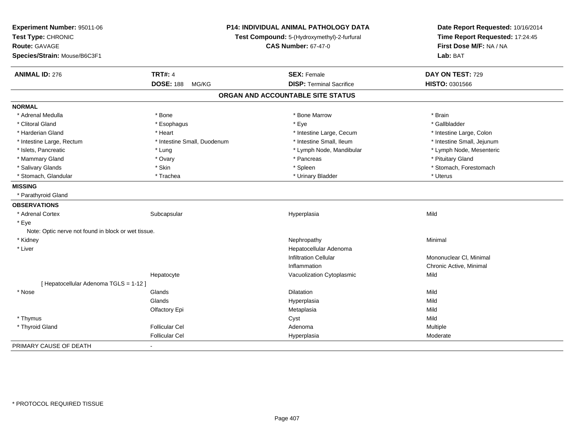| Experiment Number: 95011-06<br>Test Type: CHRONIC<br><b>Route: GAVAGE</b><br>Species/Strain: Mouse/B6C3F1 |                             | P14: INDIVIDUAL ANIMAL PATHOLOGY DATA<br>Date Report Requested: 10/16/2014<br>Time Report Requested: 17:24:45<br>Test Compound: 5-(Hydroxymethyl)-2-furfural<br>First Dose M/F: NA / NA<br><b>CAS Number: 67-47-0</b><br>Lab: BAT |                            |
|-----------------------------------------------------------------------------------------------------------|-----------------------------|-----------------------------------------------------------------------------------------------------------------------------------------------------------------------------------------------------------------------------------|----------------------------|
| <b>ANIMAL ID: 276</b>                                                                                     | <b>TRT#: 4</b>              | <b>SEX: Female</b>                                                                                                                                                                                                                | DAY ON TEST: 729           |
|                                                                                                           | <b>DOSE: 188</b><br>MG/KG   | <b>DISP: Terminal Sacrifice</b>                                                                                                                                                                                                   | HISTO: 0301566             |
|                                                                                                           |                             | ORGAN AND ACCOUNTABLE SITE STATUS                                                                                                                                                                                                 |                            |
| <b>NORMAL</b>                                                                                             |                             |                                                                                                                                                                                                                                   |                            |
| * Adrenal Medulla                                                                                         | * Bone                      | * Bone Marrow                                                                                                                                                                                                                     | * Brain                    |
| * Clitoral Gland                                                                                          | * Esophagus                 | * Eye                                                                                                                                                                                                                             | * Gallbladder              |
| * Harderian Gland                                                                                         | * Heart                     | * Intestine Large, Cecum                                                                                                                                                                                                          | * Intestine Large, Colon   |
| * Intestine Large, Rectum                                                                                 | * Intestine Small, Duodenum | * Intestine Small, Ileum                                                                                                                                                                                                          | * Intestine Small, Jejunum |
| * Islets, Pancreatic                                                                                      | * Lung                      | * Lymph Node, Mandibular                                                                                                                                                                                                          | * Lymph Node, Mesenteric   |
| * Mammary Gland                                                                                           | * Ovary                     | * Pancreas                                                                                                                                                                                                                        | * Pituitary Gland          |
| * Salivary Glands                                                                                         | * Skin                      | * Spleen                                                                                                                                                                                                                          | * Stomach, Forestomach     |
| * Stomach, Glandular                                                                                      | * Trachea                   | * Urinary Bladder                                                                                                                                                                                                                 | * Uterus                   |
| <b>MISSING</b>                                                                                            |                             |                                                                                                                                                                                                                                   |                            |
| * Parathyroid Gland                                                                                       |                             |                                                                                                                                                                                                                                   |                            |
| <b>OBSERVATIONS</b>                                                                                       |                             |                                                                                                                                                                                                                                   |                            |
| * Adrenal Cortex                                                                                          | Subcapsular                 | Hyperplasia                                                                                                                                                                                                                       | Mild                       |
| * Eye                                                                                                     |                             |                                                                                                                                                                                                                                   |                            |
| Note: Optic nerve not found in block or wet tissue.                                                       |                             |                                                                                                                                                                                                                                   |                            |
| * Kidney                                                                                                  |                             | Nephropathy                                                                                                                                                                                                                       | Minimal                    |
| * Liver                                                                                                   |                             | Hepatocellular Adenoma                                                                                                                                                                                                            |                            |
|                                                                                                           |                             | <b>Infiltration Cellular</b>                                                                                                                                                                                                      | Mononuclear CI, Minimal    |
|                                                                                                           |                             | Inflammation                                                                                                                                                                                                                      | Chronic Active, Minimal    |
|                                                                                                           | Hepatocyte                  | Vacuolization Cytoplasmic                                                                                                                                                                                                         | Mild                       |
| [ Hepatocellular Adenoma TGLS = 1-12 ]                                                                    |                             |                                                                                                                                                                                                                                   |                            |
| * Nose                                                                                                    | Glands                      | Dilatation                                                                                                                                                                                                                        | Mild                       |
|                                                                                                           | Glands                      | Hyperplasia                                                                                                                                                                                                                       | Mild                       |
|                                                                                                           | Olfactory Epi               | Metaplasia                                                                                                                                                                                                                        | Mild                       |
| * Thymus                                                                                                  |                             | Cyst                                                                                                                                                                                                                              | Mild                       |
| * Thyroid Gland                                                                                           | <b>Follicular Cel</b>       | Adenoma                                                                                                                                                                                                                           | Multiple                   |
|                                                                                                           | <b>Follicular Cel</b>       | Hyperplasia                                                                                                                                                                                                                       | Moderate                   |
| PRIMARY CAUSE OF DEATH                                                                                    |                             |                                                                                                                                                                                                                                   |                            |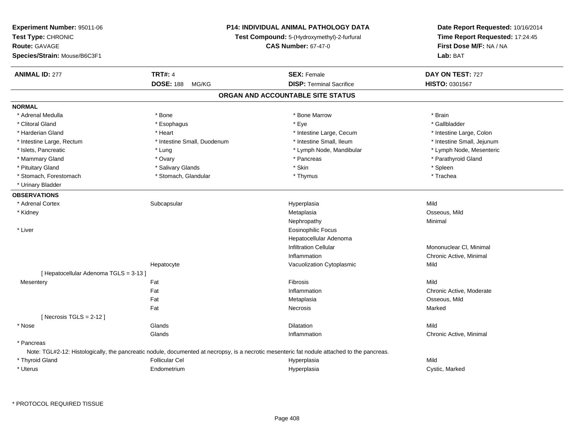| <b>Experiment Number: 95011-06</b><br>Test Type: CHRONIC<br><b>Route: GAVAGE</b><br>Species/Strain: Mouse/B6C3F1 |                             | <b>P14: INDIVIDUAL ANIMAL PATHOLOGY DATA</b><br>Test Compound: 5-(Hydroxymethyl)-2-furfural<br><b>CAS Number: 67-47-0</b>                    | Date Report Requested: 10/16/2014<br>Time Report Requested: 17:24:45<br>First Dose M/F: NA / NA<br><b>Lab: BAT</b> |
|------------------------------------------------------------------------------------------------------------------|-----------------------------|----------------------------------------------------------------------------------------------------------------------------------------------|--------------------------------------------------------------------------------------------------------------------|
| <b>ANIMAL ID: 277</b>                                                                                            | <b>TRT#: 4</b>              | <b>SEX: Female</b>                                                                                                                           | DAY ON TEST: 727                                                                                                   |
|                                                                                                                  | <b>DOSE: 188</b><br>MG/KG   | <b>DISP: Terminal Sacrifice</b>                                                                                                              | HISTO: 0301567                                                                                                     |
|                                                                                                                  |                             | ORGAN AND ACCOUNTABLE SITE STATUS                                                                                                            |                                                                                                                    |
| <b>NORMAL</b>                                                                                                    |                             |                                                                                                                                              |                                                                                                                    |
| * Adrenal Medulla                                                                                                | * Bone                      | * Bone Marrow                                                                                                                                | * Brain                                                                                                            |
| * Clitoral Gland                                                                                                 | * Esophagus                 | * Eye                                                                                                                                        | * Gallbladder                                                                                                      |
| * Harderian Gland                                                                                                | * Heart                     | * Intestine Large, Cecum                                                                                                                     | * Intestine Large, Colon                                                                                           |
| * Intestine Large, Rectum                                                                                        | * Intestine Small, Duodenum | * Intestine Small, Ileum                                                                                                                     | * Intestine Small, Jejunum                                                                                         |
| * Islets, Pancreatic                                                                                             | * Lung                      | * Lymph Node, Mandibular                                                                                                                     | * Lymph Node, Mesenteric                                                                                           |
| * Mammary Gland                                                                                                  | * Ovary                     | * Pancreas                                                                                                                                   | * Parathyroid Gland                                                                                                |
| * Pituitary Gland                                                                                                | * Salivary Glands           | * Skin                                                                                                                                       | * Spleen                                                                                                           |
| * Stomach, Forestomach                                                                                           | * Stomach, Glandular        | * Thymus                                                                                                                                     | * Trachea                                                                                                          |
| * Urinary Bladder                                                                                                |                             |                                                                                                                                              |                                                                                                                    |
| <b>OBSERVATIONS</b>                                                                                              |                             |                                                                                                                                              |                                                                                                                    |
| * Adrenal Cortex                                                                                                 | Subcapsular                 | Hyperplasia                                                                                                                                  | Mild                                                                                                               |
| * Kidney                                                                                                         |                             | Metaplasia                                                                                                                                   | Osseous, Mild                                                                                                      |
|                                                                                                                  |                             | Nephropathy                                                                                                                                  | Minimal                                                                                                            |
| * Liver                                                                                                          |                             | <b>Eosinophilic Focus</b>                                                                                                                    |                                                                                                                    |
|                                                                                                                  |                             | Hepatocellular Adenoma                                                                                                                       |                                                                                                                    |
|                                                                                                                  |                             | <b>Infiltration Cellular</b>                                                                                                                 | Mononuclear CI, Minimal                                                                                            |
|                                                                                                                  |                             | Inflammation                                                                                                                                 | Chronic Active, Minimal                                                                                            |
|                                                                                                                  | Hepatocyte                  | Vacuolization Cytoplasmic                                                                                                                    | Mild                                                                                                               |
| [ Hepatocellular Adenoma TGLS = 3-13 ]                                                                           |                             |                                                                                                                                              |                                                                                                                    |
| Mesentery                                                                                                        | Fat                         | Fibrosis                                                                                                                                     | Mild                                                                                                               |
|                                                                                                                  | Fat                         | Inflammation                                                                                                                                 | Chronic Active, Moderate                                                                                           |
|                                                                                                                  | Fat                         | Metaplasia                                                                                                                                   | Osseous, Mild                                                                                                      |
|                                                                                                                  | Fat                         | Necrosis                                                                                                                                     | Marked                                                                                                             |
| [Necrosis $TGLS = 2-12$ ]                                                                                        |                             |                                                                                                                                              |                                                                                                                    |
| * Nose                                                                                                           | Glands                      | <b>Dilatation</b>                                                                                                                            | Mild                                                                                                               |
|                                                                                                                  | Glands                      | Inflammation                                                                                                                                 | Chronic Active, Minimal                                                                                            |
| * Pancreas                                                                                                       |                             |                                                                                                                                              |                                                                                                                    |
|                                                                                                                  |                             | Note: TGL#2-12: Histologically, the pancreatic nodule, documented at necropsy, is a necrotic mesenteric fat nodule attached to the pancreas. |                                                                                                                    |
| * Thyroid Gland                                                                                                  | <b>Follicular Cel</b>       | Hyperplasia                                                                                                                                  | Mild                                                                                                               |
| * Uterus                                                                                                         | Endometrium                 | Hyperplasia                                                                                                                                  | Cystic, Marked                                                                                                     |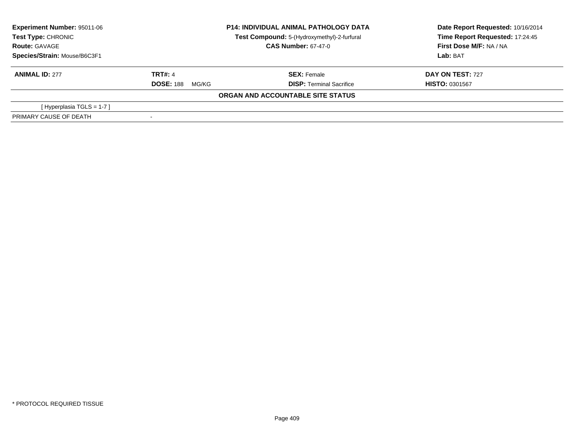| Experiment Number: 95011-06<br><b>P14: INDIVIDUAL ANIMAL PATHOLOGY DATA</b><br>Test Type: CHRONIC<br>Test Compound: 5-(Hydroxymethyl)-2-furfural |                            | Date Report Requested: 10/16/2014<br>Time Report Requested: 17:24:45 |                         |
|--------------------------------------------------------------------------------------------------------------------------------------------------|----------------------------|----------------------------------------------------------------------|-------------------------|
| <b>Route: GAVAGE</b>                                                                                                                             | <b>CAS Number: 67-47-0</b> |                                                                      | First Dose M/F: NA / NA |
| Species/Strain: Mouse/B6C3F1                                                                                                                     |                            |                                                                      | Lab: BAT                |
| <b>ANIMAL ID: 277</b>                                                                                                                            | <b>TRT#: 4</b>             | <b>SEX: Female</b>                                                   | <b>DAY ON TEST: 727</b> |
|                                                                                                                                                  | <b>DOSE: 188</b><br>MG/KG  | <b>DISP: Terminal Sacrifice</b>                                      | <b>HISTO: 0301567</b>   |
|                                                                                                                                                  |                            | ORGAN AND ACCOUNTABLE SITE STATUS                                    |                         |
| [Hyperplasia TGLS = $1-7$ ]                                                                                                                      |                            |                                                                      |                         |
| PRIMARY CAUSE OF DEATH                                                                                                                           |                            |                                                                      |                         |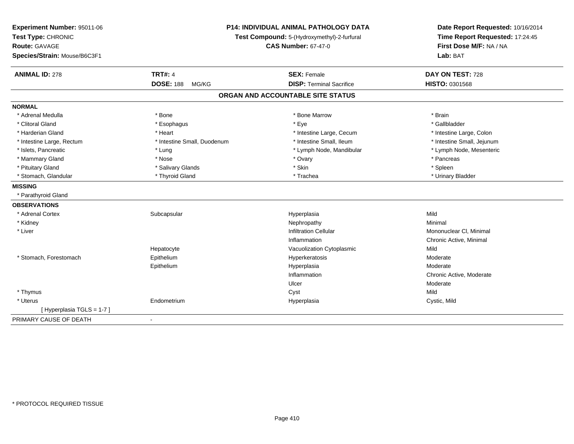| Experiment Number: 95011-06<br>Test Type: CHRONIC<br>Route: GAVAGE<br>Species/Strain: Mouse/B6C3F1 |                             | P14: INDIVIDUAL ANIMAL PATHOLOGY DATA<br>Test Compound: 5-(Hydroxymethyl)-2-furfural<br><b>CAS Number: 67-47-0</b> | Date Report Requested: 10/16/2014<br>Time Report Requested: 17:24:45<br>First Dose M/F: NA / NA<br>Lab: BAT |  |
|----------------------------------------------------------------------------------------------------|-----------------------------|--------------------------------------------------------------------------------------------------------------------|-------------------------------------------------------------------------------------------------------------|--|
| <b>ANIMAL ID: 278</b>                                                                              | <b>TRT#: 4</b>              | <b>SEX: Female</b>                                                                                                 | DAY ON TEST: 728                                                                                            |  |
|                                                                                                    | <b>DOSE: 188</b><br>MG/KG   | <b>DISP: Terminal Sacrifice</b>                                                                                    | <b>HISTO: 0301568</b>                                                                                       |  |
|                                                                                                    |                             | ORGAN AND ACCOUNTABLE SITE STATUS                                                                                  |                                                                                                             |  |
| <b>NORMAL</b>                                                                                      |                             |                                                                                                                    |                                                                                                             |  |
| * Adrenal Medulla                                                                                  | * Bone                      | * Bone Marrow                                                                                                      | * Brain                                                                                                     |  |
| * Clitoral Gland                                                                                   | * Esophagus                 | * Eye                                                                                                              | * Gallbladder                                                                                               |  |
| * Harderian Gland                                                                                  | * Heart                     | * Intestine Large, Cecum                                                                                           | * Intestine Large, Colon                                                                                    |  |
| * Intestine Large, Rectum                                                                          | * Intestine Small, Duodenum | * Intestine Small, Ileum                                                                                           | * Intestine Small, Jejunum                                                                                  |  |
| * Islets, Pancreatic                                                                               | * Lung                      | * Lymph Node, Mandibular                                                                                           | * Lymph Node, Mesenteric                                                                                    |  |
| * Mammary Gland                                                                                    | * Nose                      | * Ovary                                                                                                            | * Pancreas                                                                                                  |  |
| * Pituitary Gland                                                                                  | * Salivary Glands           | * Skin                                                                                                             | * Spleen                                                                                                    |  |
| * Stomach, Glandular                                                                               | * Thyroid Gland             | * Trachea                                                                                                          | * Urinary Bladder                                                                                           |  |
| <b>MISSING</b>                                                                                     |                             |                                                                                                                    |                                                                                                             |  |
| * Parathyroid Gland                                                                                |                             |                                                                                                                    |                                                                                                             |  |
| <b>OBSERVATIONS</b>                                                                                |                             |                                                                                                                    |                                                                                                             |  |
| * Adrenal Cortex                                                                                   | Subcapsular                 | Hyperplasia                                                                                                        | Mild                                                                                                        |  |
| * Kidney                                                                                           |                             | Nephropathy                                                                                                        | Minimal                                                                                                     |  |
| * Liver                                                                                            |                             | <b>Infiltration Cellular</b>                                                                                       | Mononuclear CI, Minimal                                                                                     |  |
|                                                                                                    |                             | Inflammation                                                                                                       | Chronic Active, Minimal                                                                                     |  |
|                                                                                                    | Hepatocyte                  | Vacuolization Cytoplasmic                                                                                          | Mild                                                                                                        |  |
| * Stomach, Forestomach                                                                             | Epithelium                  | Hyperkeratosis                                                                                                     | Moderate                                                                                                    |  |
|                                                                                                    | Epithelium                  | Hyperplasia                                                                                                        | Moderate                                                                                                    |  |
|                                                                                                    |                             | Inflammation                                                                                                       | Chronic Active, Moderate                                                                                    |  |
|                                                                                                    |                             | Ulcer                                                                                                              | Moderate                                                                                                    |  |
| * Thymus                                                                                           |                             | Cyst                                                                                                               | Mild                                                                                                        |  |
| * Uterus                                                                                           | Endometrium                 | Hyperplasia                                                                                                        | Cystic, Mild                                                                                                |  |
| [Hyperplasia TGLS = 1-7]                                                                           |                             |                                                                                                                    |                                                                                                             |  |
| PRIMARY CAUSE OF DEATH                                                                             | $\blacksquare$              |                                                                                                                    |                                                                                                             |  |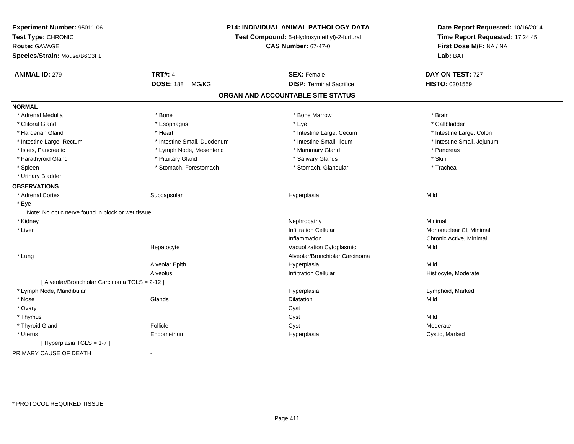| Experiment Number: 95011-06<br>Test Type: CHRONIC<br><b>Route: GAVAGE</b><br>Species/Strain: Mouse/B6C3F1 |                             | P14: INDIVIDUAL ANIMAL PATHOLOGY DATA<br>Test Compound: 5-(Hydroxymethyl)-2-furfural<br><b>CAS Number: 67-47-0</b> |                            |
|-----------------------------------------------------------------------------------------------------------|-----------------------------|--------------------------------------------------------------------------------------------------------------------|----------------------------|
| <b>ANIMAL ID: 279</b>                                                                                     | <b>TRT#: 4</b>              | <b>SEX: Female</b>                                                                                                 | DAY ON TEST: 727           |
|                                                                                                           | <b>DOSE: 188</b><br>MG/KG   | <b>DISP: Terminal Sacrifice</b>                                                                                    | HISTO: 0301569             |
|                                                                                                           |                             | ORGAN AND ACCOUNTABLE SITE STATUS                                                                                  |                            |
| <b>NORMAL</b>                                                                                             |                             |                                                                                                                    |                            |
| * Adrenal Medulla                                                                                         | * Bone                      | * Bone Marrow                                                                                                      | * Brain                    |
| * Clitoral Gland                                                                                          | * Esophagus                 | * Eye                                                                                                              | * Gallbladder              |
| * Harderian Gland                                                                                         | * Heart                     | * Intestine Large, Cecum                                                                                           | * Intestine Large, Colon   |
| * Intestine Large, Rectum                                                                                 | * Intestine Small, Duodenum | * Intestine Small, Ileum                                                                                           | * Intestine Small, Jejunum |
| * Islets, Pancreatic                                                                                      | * Lymph Node, Mesenteric    | * Mammary Gland                                                                                                    | * Pancreas                 |
| * Parathyroid Gland                                                                                       | * Pituitary Gland           | * Salivary Glands                                                                                                  | * Skin                     |
| * Spleen                                                                                                  | * Stomach, Forestomach      | * Stomach, Glandular                                                                                               | * Trachea                  |
| * Urinary Bladder                                                                                         |                             |                                                                                                                    |                            |
| <b>OBSERVATIONS</b>                                                                                       |                             |                                                                                                                    |                            |
| * Adrenal Cortex                                                                                          | Subcapsular                 | Hyperplasia                                                                                                        | Mild                       |
| * Eye                                                                                                     |                             |                                                                                                                    |                            |
| Note: No optic nerve found in block or wet tissue.                                                        |                             |                                                                                                                    |                            |
| * Kidney                                                                                                  |                             | Nephropathy                                                                                                        | Minimal                    |
| * Liver                                                                                                   |                             | <b>Infiltration Cellular</b>                                                                                       | Mononuclear CI, Minimal    |
|                                                                                                           |                             | Inflammation                                                                                                       | Chronic Active, Minimal    |
|                                                                                                           | Hepatocyte                  | Vacuolization Cytoplasmic                                                                                          | Mild                       |
| * Lung                                                                                                    |                             | Alveolar/Bronchiolar Carcinoma                                                                                     |                            |
|                                                                                                           | Alveolar Epith              | Hyperplasia                                                                                                        | Mild                       |
|                                                                                                           | Alveolus                    | <b>Infiltration Cellular</b>                                                                                       | Histiocyte, Moderate       |
| [ Alveolar/Bronchiolar Carcinoma TGLS = 2-12 ]                                                            |                             |                                                                                                                    |                            |
| * Lymph Node, Mandibular                                                                                  |                             | Hyperplasia                                                                                                        | Lymphoid, Marked           |
| * Nose                                                                                                    | Glands                      | <b>Dilatation</b>                                                                                                  | Mild                       |
| * Ovary                                                                                                   |                             | Cyst                                                                                                               |                            |
| * Thymus                                                                                                  |                             | Cyst                                                                                                               | Mild                       |
| * Thyroid Gland                                                                                           | Follicle                    | Cyst                                                                                                               | Moderate                   |
| * Uterus                                                                                                  | Endometrium                 | Hyperplasia                                                                                                        | Cystic, Marked             |
| [Hyperplasia TGLS = 1-7]                                                                                  |                             |                                                                                                                    |                            |
| PRIMARY CAUSE OF DEATH                                                                                    | $\blacksquare$              |                                                                                                                    |                            |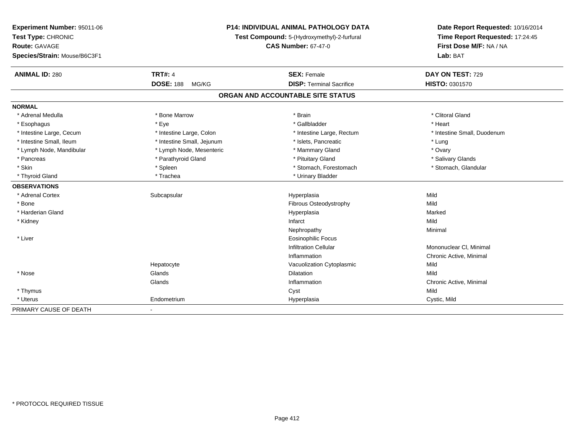| Experiment Number: 95011-06  | <b>P14: INDIVIDUAL ANIMAL PATHOLOGY DATA</b><br>Test Compound: 5-(Hydroxymethyl)-2-furfural |                                   | Date Report Requested: 10/16/2014<br>Time Report Requested: 17:24:45 |
|------------------------------|---------------------------------------------------------------------------------------------|-----------------------------------|----------------------------------------------------------------------|
| Test Type: CHRONIC           |                                                                                             |                                   |                                                                      |
| <b>Route: GAVAGE</b>         |                                                                                             | <b>CAS Number: 67-47-0</b>        | First Dose M/F: NA / NA                                              |
| Species/Strain: Mouse/B6C3F1 |                                                                                             |                                   | Lab: BAT                                                             |
| <b>ANIMAL ID: 280</b>        | <b>TRT#: 4</b>                                                                              | <b>SEX: Female</b>                | DAY ON TEST: 729                                                     |
|                              | <b>DOSE: 188</b><br>MG/KG                                                                   | <b>DISP: Terminal Sacrifice</b>   | HISTO: 0301570                                                       |
|                              |                                                                                             | ORGAN AND ACCOUNTABLE SITE STATUS |                                                                      |
| <b>NORMAL</b>                |                                                                                             |                                   |                                                                      |
| * Adrenal Medulla            | * Bone Marrow                                                                               | * Brain                           | * Clitoral Gland                                                     |
| * Esophagus                  | * Eye                                                                                       | * Gallbladder                     | * Heart                                                              |
| * Intestine Large, Cecum     | * Intestine Large, Colon                                                                    | * Intestine Large, Rectum         | * Intestine Small, Duodenum                                          |
| * Intestine Small, Ileum     | * Intestine Small, Jejunum                                                                  | * Islets, Pancreatic              | * Lung                                                               |
| * Lymph Node, Mandibular     | * Lymph Node, Mesenteric                                                                    | * Mammary Gland                   | * Ovary                                                              |
| * Pancreas                   | * Parathyroid Gland                                                                         | * Pituitary Gland                 | * Salivary Glands                                                    |
| * Skin                       | * Spleen                                                                                    | * Stomach, Forestomach            | * Stomach, Glandular                                                 |
| * Thyroid Gland              | * Trachea                                                                                   | * Urinary Bladder                 |                                                                      |
| <b>OBSERVATIONS</b>          |                                                                                             |                                   |                                                                      |
| * Adrenal Cortex             | Subcapsular                                                                                 | Hyperplasia                       | Mild                                                                 |
| * Bone                       |                                                                                             | Fibrous Osteodystrophy            | Mild                                                                 |
| * Harderian Gland            |                                                                                             | Hyperplasia                       | Marked                                                               |
| * Kidney                     |                                                                                             | Infarct                           | Mild                                                                 |
|                              |                                                                                             | Nephropathy                       | Minimal                                                              |
| * Liver                      |                                                                                             | <b>Eosinophilic Focus</b>         |                                                                      |
|                              |                                                                                             | <b>Infiltration Cellular</b>      | Mononuclear CI, Minimal                                              |
|                              |                                                                                             | Inflammation                      | Chronic Active, Minimal                                              |
|                              | Hepatocyte                                                                                  | Vacuolization Cytoplasmic         | Mild                                                                 |
| * Nose                       | Glands                                                                                      | Dilatation                        | Mild                                                                 |
|                              | Glands                                                                                      | Inflammation                      | Chronic Active, Minimal                                              |
| * Thymus                     |                                                                                             | Cyst                              | Mild                                                                 |
| * Uterus                     | Endometrium                                                                                 | Hyperplasia                       | Cystic, Mild                                                         |
| PRIMARY CAUSE OF DEATH       | $\sim$                                                                                      |                                   |                                                                      |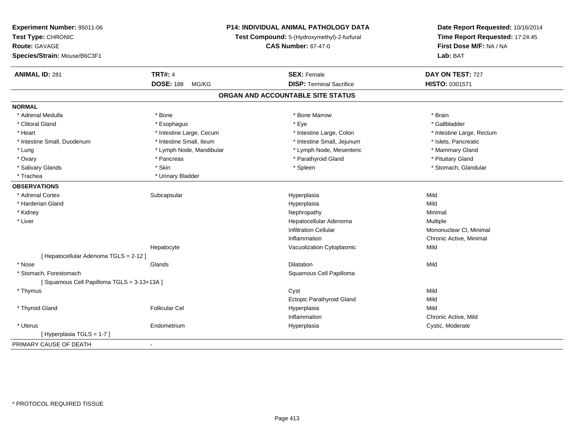| Experiment Number: 95011-06<br>Test Type: CHRONIC<br><b>Route: GAVAGE</b><br>Species/Strain: Mouse/B6C3F1 |                           | <b>P14: INDIVIDUAL ANIMAL PATHOLOGY DATA</b><br>Test Compound: 5-(Hydroxymethyl)-2-furfural<br><b>CAS Number: 67-47-0</b> |                           |
|-----------------------------------------------------------------------------------------------------------|---------------------------|---------------------------------------------------------------------------------------------------------------------------|---------------------------|
| <b>ANIMAL ID: 281</b>                                                                                     | <b>TRT#: 4</b>            | <b>SEX: Female</b>                                                                                                        | DAY ON TEST: 727          |
|                                                                                                           | <b>DOSE: 188</b><br>MG/KG | <b>DISP: Terminal Sacrifice</b>                                                                                           | HISTO: 0301571            |
|                                                                                                           |                           | ORGAN AND ACCOUNTABLE SITE STATUS                                                                                         |                           |
| <b>NORMAL</b>                                                                                             |                           |                                                                                                                           |                           |
| * Adrenal Medulla                                                                                         | * Bone                    | * Bone Marrow                                                                                                             | * Brain                   |
| * Clitoral Gland                                                                                          | * Esophagus               | * Eye                                                                                                                     | * Gallbladder             |
| * Heart                                                                                                   | * Intestine Large, Cecum  | * Intestine Large, Colon                                                                                                  | * Intestine Large, Rectum |
| * Intestine Small, Duodenum                                                                               | * Intestine Small, Ileum  | * Intestine Small, Jejunum                                                                                                | * Islets, Pancreatic      |
| * Lung                                                                                                    | * Lymph Node, Mandibular  | * Lymph Node, Mesenteric                                                                                                  | * Mammary Gland           |
| * Ovary                                                                                                   | * Pancreas                | * Parathyroid Gland                                                                                                       | * Pituitary Gland         |
| * Salivary Glands                                                                                         | * Skin                    | * Spleen                                                                                                                  | * Stomach, Glandular      |
| * Trachea                                                                                                 | * Urinary Bladder         |                                                                                                                           |                           |
| <b>OBSERVATIONS</b>                                                                                       |                           |                                                                                                                           |                           |
| * Adrenal Cortex                                                                                          | Subcapsular               | Hyperplasia                                                                                                               | Mild                      |
| * Harderian Gland                                                                                         |                           | Hyperplasia                                                                                                               | Mild                      |
| * Kidney                                                                                                  |                           | Nephropathy                                                                                                               | Minimal                   |
| * Liver                                                                                                   |                           | Hepatocellular Adenoma                                                                                                    | Multiple                  |
|                                                                                                           |                           | <b>Infiltration Cellular</b>                                                                                              | Mononuclear CI, Minimal   |
|                                                                                                           |                           | Inflammation                                                                                                              | Chronic Active, Minimal   |
|                                                                                                           | Hepatocyte                | Vacuolization Cytoplasmic                                                                                                 | Mild                      |
| [ Hepatocellular Adenoma TGLS = 2-12 ]                                                                    |                           |                                                                                                                           |                           |
| * Nose                                                                                                    | Glands                    | <b>Dilatation</b>                                                                                                         | Mild                      |
| * Stomach, Forestomach                                                                                    |                           | Squamous Cell Papilloma                                                                                                   |                           |
| [Squamous Cell Papilloma TGLS = 3-13+13A]                                                                 |                           |                                                                                                                           |                           |
| * Thymus                                                                                                  |                           | Cyst                                                                                                                      | Mild                      |
|                                                                                                           |                           | Ectopic Parathyroid Gland                                                                                                 | Mild                      |
| * Thyroid Gland                                                                                           | <b>Follicular Cel</b>     | Hyperplasia                                                                                                               | Mild                      |
|                                                                                                           |                           | Inflammation                                                                                                              | Chronic Active, Mild      |
| * Uterus                                                                                                  | Endometrium               | Hyperplasia                                                                                                               | Cystic, Moderate          |
| [Hyperplasia TGLS = 1-7]                                                                                  |                           |                                                                                                                           |                           |
| PRIMARY CAUSE OF DEATH                                                                                    | $\sim$                    |                                                                                                                           |                           |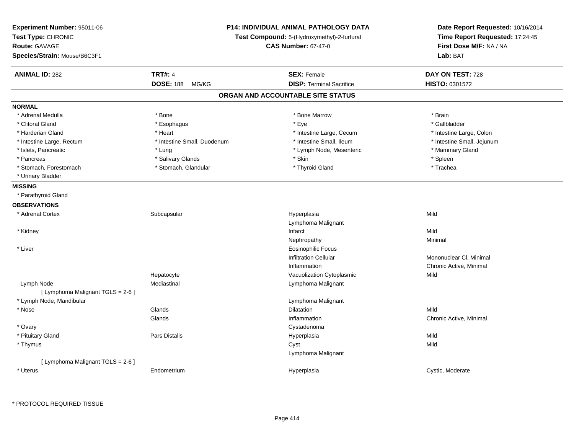| Experiment Number: 95011-06<br>Test Type: CHRONIC<br><b>Route: GAVAGE</b><br>Species/Strain: Mouse/B6C3F1 | P14: INDIVIDUAL ANIMAL PATHOLOGY DATA<br>Test Compound: 5-(Hydroxymethyl)-2-furfural<br><b>CAS Number: 67-47-0</b> |                                   | Date Report Requested: 10/16/2014<br>Time Report Requested: 17:24:45<br>First Dose M/F: NA / NA<br>Lab: BAT |
|-----------------------------------------------------------------------------------------------------------|--------------------------------------------------------------------------------------------------------------------|-----------------------------------|-------------------------------------------------------------------------------------------------------------|
| <b>ANIMAL ID: 282</b>                                                                                     | <b>TRT#: 4</b>                                                                                                     | <b>SEX: Female</b>                | DAY ON TEST: 728                                                                                            |
|                                                                                                           | <b>DOSE: 188</b><br>MG/KG                                                                                          | <b>DISP: Terminal Sacrifice</b>   | HISTO: 0301572                                                                                              |
|                                                                                                           |                                                                                                                    | ORGAN AND ACCOUNTABLE SITE STATUS |                                                                                                             |
| <b>NORMAL</b>                                                                                             |                                                                                                                    |                                   |                                                                                                             |
| * Adrenal Medulla                                                                                         | * Bone                                                                                                             | * Bone Marrow                     | * Brain                                                                                                     |
| * Clitoral Gland                                                                                          | * Esophagus                                                                                                        | * Eye                             | * Gallbladder                                                                                               |
| * Harderian Gland                                                                                         | * Heart                                                                                                            | * Intestine Large, Cecum          | * Intestine Large, Colon                                                                                    |
| * Intestine Large, Rectum                                                                                 | * Intestine Small, Duodenum                                                                                        | * Intestine Small, Ileum          | * Intestine Small, Jejunum                                                                                  |
| * Islets, Pancreatic                                                                                      | * Lung                                                                                                             | * Lymph Node, Mesenteric          | * Mammary Gland                                                                                             |
| * Pancreas                                                                                                | * Salivary Glands                                                                                                  | * Skin                            | * Spleen                                                                                                    |
| * Stomach, Forestomach                                                                                    | * Stomach, Glandular                                                                                               | * Thyroid Gland                   | * Trachea                                                                                                   |
| * Urinary Bladder                                                                                         |                                                                                                                    |                                   |                                                                                                             |
| <b>MISSING</b>                                                                                            |                                                                                                                    |                                   |                                                                                                             |
| * Parathyroid Gland                                                                                       |                                                                                                                    |                                   |                                                                                                             |
| <b>OBSERVATIONS</b>                                                                                       |                                                                                                                    |                                   |                                                                                                             |
| * Adrenal Cortex                                                                                          | Subcapsular                                                                                                        | Hyperplasia                       | Mild                                                                                                        |
|                                                                                                           |                                                                                                                    | Lymphoma Malignant                |                                                                                                             |
| * Kidney                                                                                                  |                                                                                                                    | Infarct                           | Mild                                                                                                        |
|                                                                                                           |                                                                                                                    | Nephropathy                       | Minimal                                                                                                     |
| * Liver                                                                                                   |                                                                                                                    | <b>Eosinophilic Focus</b>         |                                                                                                             |
|                                                                                                           |                                                                                                                    | <b>Infiltration Cellular</b>      | Mononuclear CI, Minimal                                                                                     |
|                                                                                                           |                                                                                                                    | Inflammation                      | Chronic Active, Minimal                                                                                     |
|                                                                                                           | Hepatocyte                                                                                                         | Vacuolization Cytoplasmic         | Mild                                                                                                        |
| Lymph Node                                                                                                | Mediastinal                                                                                                        | Lymphoma Malignant                |                                                                                                             |
| [ Lymphoma Malignant TGLS = 2-6 ]                                                                         |                                                                                                                    |                                   |                                                                                                             |
| * Lymph Node, Mandibular                                                                                  |                                                                                                                    | Lymphoma Malignant                |                                                                                                             |
| * Nose                                                                                                    | Glands                                                                                                             | Dilatation                        | Mild                                                                                                        |
|                                                                                                           | Glands                                                                                                             | Inflammation                      | Chronic Active, Minimal                                                                                     |
| * Ovary                                                                                                   |                                                                                                                    | Cystadenoma                       |                                                                                                             |
| * Pituitary Gland                                                                                         | <b>Pars Distalis</b>                                                                                               | Hyperplasia                       | Mild                                                                                                        |
| * Thymus                                                                                                  |                                                                                                                    | Cyst                              | Mild                                                                                                        |
|                                                                                                           |                                                                                                                    | Lymphoma Malignant                |                                                                                                             |
| [ Lymphoma Malignant TGLS = 2-6 ]                                                                         |                                                                                                                    |                                   |                                                                                                             |
| * Uterus                                                                                                  | Endometrium                                                                                                        | Hyperplasia                       | Cystic, Moderate                                                                                            |
|                                                                                                           |                                                                                                                    |                                   |                                                                                                             |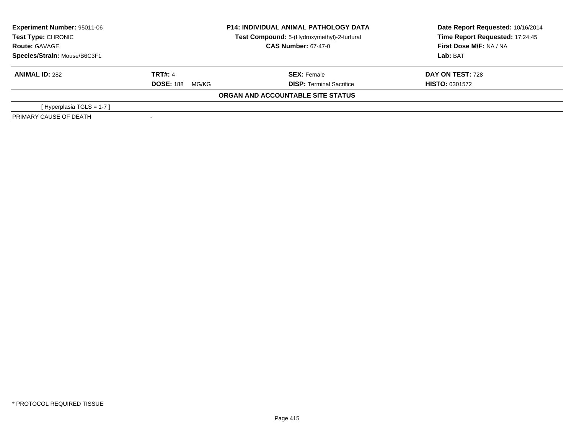| Experiment Number: 95011-06<br>Test Type: CHRONIC |                            | <b>P14: INDIVIDUAL ANIMAL PATHOLOGY DATA</b><br>Test Compound: 5-(Hydroxymethyl)-2-furfural | Date Report Requested: 10/16/2014<br>Time Report Requested: 17:24:45 |
|---------------------------------------------------|----------------------------|---------------------------------------------------------------------------------------------|----------------------------------------------------------------------|
| <b>Route: GAVAGE</b>                              | <b>CAS Number: 67-47-0</b> |                                                                                             | First Dose M/F: NA / NA                                              |
| Species/Strain: Mouse/B6C3F1                      |                            |                                                                                             | Lab: BAT                                                             |
| <b>ANIMAL ID: 282</b>                             | <b>TRT#: 4</b>             | <b>SEX: Female</b>                                                                          | DAY ON TEST: 728                                                     |
|                                                   | <b>DOSE: 188</b><br>MG/KG  | <b>DISP: Terminal Sacrifice</b>                                                             | <b>HISTO: 0301572</b>                                                |
|                                                   |                            | ORGAN AND ACCOUNTABLE SITE STATUS                                                           |                                                                      |
| [Hyperplasia TGLS = $1-7$ ]                       |                            |                                                                                             |                                                                      |
| PRIMARY CAUSE OF DEATH                            |                            |                                                                                             |                                                                      |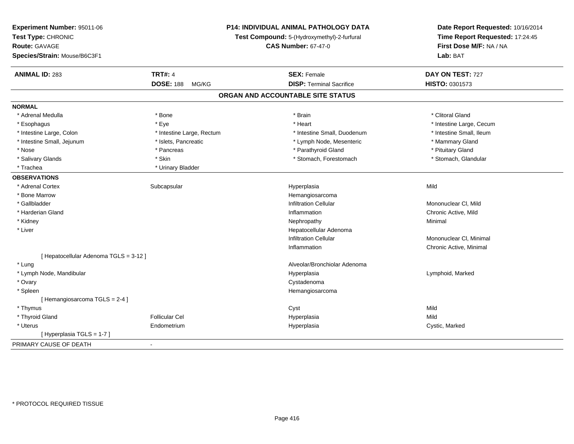| Experiment Number: 95011-06<br>Test Type: CHRONIC<br><b>Route: GAVAGE</b> |                           | <b>P14: INDIVIDUAL ANIMAL PATHOLOGY DATA</b><br>Test Compound: 5-(Hydroxymethyl)-2-furfural<br><b>CAS Number: 67-47-0</b> | Date Report Requested: 10/16/2014<br>Time Report Requested: 17:24:45<br>First Dose M/F: NA / NA<br>Lab: BAT |
|---------------------------------------------------------------------------|---------------------------|---------------------------------------------------------------------------------------------------------------------------|-------------------------------------------------------------------------------------------------------------|
| Species/Strain: Mouse/B6C3F1                                              |                           |                                                                                                                           |                                                                                                             |
| <b>ANIMAL ID: 283</b>                                                     | <b>TRT#: 4</b>            | <b>SEX: Female</b>                                                                                                        | DAY ON TEST: 727                                                                                            |
|                                                                           | <b>DOSE: 188</b><br>MG/KG | <b>DISP: Terminal Sacrifice</b>                                                                                           | HISTO: 0301573                                                                                              |
|                                                                           |                           | ORGAN AND ACCOUNTABLE SITE STATUS                                                                                         |                                                                                                             |
| <b>NORMAL</b>                                                             |                           |                                                                                                                           |                                                                                                             |
| * Adrenal Medulla                                                         | * Bone                    | * Brain                                                                                                                   | * Clitoral Gland                                                                                            |
| * Esophagus                                                               | * Eye                     | * Heart                                                                                                                   | * Intestine Large, Cecum                                                                                    |
| * Intestine Large, Colon                                                  | * Intestine Large, Rectum | * Intestine Small, Duodenum                                                                                               | * Intestine Small, Ileum                                                                                    |
| * Intestine Small, Jejunum                                                | * Islets, Pancreatic      | * Lymph Node, Mesenteric                                                                                                  | * Mammary Gland                                                                                             |
| * Nose                                                                    | * Pancreas                | * Parathyroid Gland                                                                                                       | * Pituitary Gland                                                                                           |
| * Salivary Glands                                                         | * Skin                    | * Stomach, Forestomach                                                                                                    | * Stomach, Glandular                                                                                        |
| * Trachea                                                                 | * Urinary Bladder         |                                                                                                                           |                                                                                                             |
| <b>OBSERVATIONS</b>                                                       |                           |                                                                                                                           |                                                                                                             |
| * Adrenal Cortex                                                          | Subcapsular               | Hyperplasia                                                                                                               | Mild                                                                                                        |
| * Bone Marrow                                                             |                           | Hemangiosarcoma                                                                                                           |                                                                                                             |
| * Gallbladder                                                             |                           | <b>Infiltration Cellular</b>                                                                                              | Mononuclear CI, Mild                                                                                        |
| * Harderian Gland                                                         |                           | Inflammation                                                                                                              | Chronic Active, Mild                                                                                        |
| * Kidney                                                                  |                           | Nephropathy                                                                                                               | Minimal                                                                                                     |
| * Liver                                                                   |                           | Hepatocellular Adenoma                                                                                                    |                                                                                                             |
|                                                                           |                           | <b>Infiltration Cellular</b>                                                                                              | Mononuclear CI, Minimal                                                                                     |
|                                                                           |                           | Inflammation                                                                                                              | Chronic Active, Minimal                                                                                     |
| [ Hepatocellular Adenoma TGLS = 3-12 ]                                    |                           |                                                                                                                           |                                                                                                             |
| * Lung                                                                    |                           | Alveolar/Bronchiolar Adenoma                                                                                              |                                                                                                             |
| * Lymph Node, Mandibular                                                  |                           | Hyperplasia                                                                                                               | Lymphoid, Marked                                                                                            |
| * Ovary                                                                   |                           | Cystadenoma                                                                                                               |                                                                                                             |
| * Spleen                                                                  |                           | Hemangiosarcoma                                                                                                           |                                                                                                             |
| [Hemangiosarcoma TGLS = 2-4 ]                                             |                           |                                                                                                                           |                                                                                                             |
| * Thymus                                                                  |                           | Cyst                                                                                                                      | Mild                                                                                                        |
| * Thyroid Gland                                                           | <b>Follicular Cel</b>     | Hyperplasia                                                                                                               | Mild                                                                                                        |
| * Uterus                                                                  | Endometrium               | Hyperplasia                                                                                                               | Cystic, Marked                                                                                              |
| [Hyperplasia TGLS = 1-7]                                                  |                           |                                                                                                                           |                                                                                                             |
| PRIMARY CAUSE OF DEATH                                                    | $\blacksquare$            |                                                                                                                           |                                                                                                             |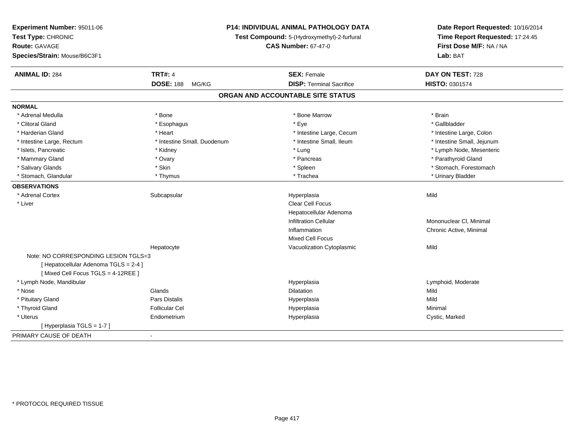| Experiment Number: 95011-06           |                             | P14: INDIVIDUAL ANIMAL PATHOLOGY DATA       | Date Report Requested: 10/16/2014 |
|---------------------------------------|-----------------------------|---------------------------------------------|-----------------------------------|
| Test Type: CHRONIC                    |                             | Test Compound: 5-(Hydroxymethyl)-2-furfural | Time Report Requested: 17:24:45   |
| <b>Route: GAVAGE</b>                  |                             | <b>CAS Number: 67-47-0</b>                  | First Dose M/F: NA / NA           |
| Species/Strain: Mouse/B6C3F1          |                             |                                             | Lab: BAT                          |
| <b>ANIMAL ID: 284</b>                 | <b>TRT#: 4</b>              | <b>SEX: Female</b>                          | DAY ON TEST: 728                  |
|                                       | <b>DOSE: 188</b><br>MG/KG   | <b>DISP: Terminal Sacrifice</b>             | HISTO: 0301574                    |
|                                       |                             | ORGAN AND ACCOUNTABLE SITE STATUS           |                                   |
| <b>NORMAL</b>                         |                             |                                             |                                   |
| * Adrenal Medulla                     | * Bone                      | * Bone Marrow                               | * Brain                           |
| * Clitoral Gland                      | * Esophagus                 | * Eye                                       | * Gallbladder                     |
| * Harderian Gland                     | * Heart                     | * Intestine Large, Cecum                    | * Intestine Large, Colon          |
| * Intestine Large, Rectum             | * Intestine Small, Duodenum | * Intestine Small, Ileum                    | * Intestine Small, Jejunum        |
| * Islets, Pancreatic                  | * Kidney                    | * Lung                                      | * Lymph Node, Mesenteric          |
| * Mammary Gland                       | * Ovary                     | * Pancreas                                  | * Parathyroid Gland               |
| * Salivary Glands                     | * Skin                      | * Spleen                                    | * Stomach, Forestomach            |
| * Stomach, Glandular                  | * Thymus                    | * Trachea                                   | * Urinary Bladder                 |
| <b>OBSERVATIONS</b>                   |                             |                                             |                                   |
| * Adrenal Cortex                      | Subcapsular                 | Hyperplasia                                 | Mild                              |
| * Liver                               |                             | Clear Cell Focus                            |                                   |
|                                       |                             | Hepatocellular Adenoma                      |                                   |
|                                       |                             | <b>Infiltration Cellular</b>                | Mononuclear CI, Minimal           |
|                                       |                             | Inflammation                                | Chronic Active, Minimal           |
|                                       |                             | <b>Mixed Cell Focus</b>                     |                                   |
|                                       | Hepatocyte                  | Vacuolization Cytoplasmic                   | Mild                              |
| Note: NO CORRESPONDING LESION TGLS=3  |                             |                                             |                                   |
| [ Hepatocellular Adenoma TGLS = 2-4 ] |                             |                                             |                                   |
| [Mixed Cell Focus TGLS = 4-12REE]     |                             |                                             |                                   |
| * Lymph Node, Mandibular              |                             | Hyperplasia                                 | Lymphoid, Moderate                |
| * Nose                                | Glands                      | Dilatation                                  | Mild                              |
| * Pituitary Gland                     | Pars Distalis               | Hyperplasia                                 | Mild                              |
| * Thyroid Gland                       | <b>Follicular Cel</b>       | Hyperplasia                                 | Minimal                           |
| * Uterus                              | Endometrium                 | Hyperplasia                                 | Cystic, Marked                    |
| [Hyperplasia TGLS = 1-7]              |                             |                                             |                                   |
| PRIMARY CAUSE OF DEATH                | $\blacksquare$              |                                             |                                   |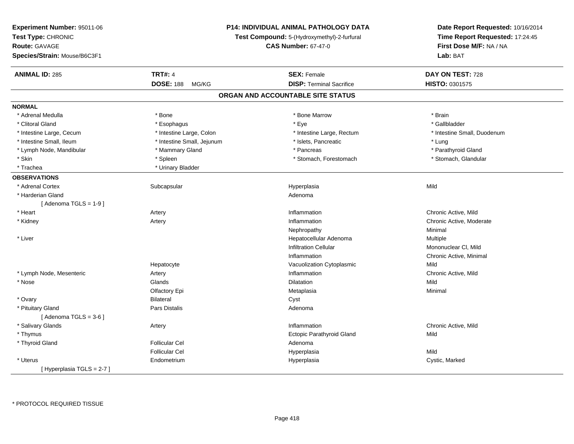| Experiment Number: 95011-06<br>Test Type: CHRONIC<br><b>Route: GAVAGE</b><br>Species/Strain: Mouse/B6C3F1 |                            | P14: INDIVIDUAL ANIMAL PATHOLOGY DATA<br>Test Compound: 5-(Hydroxymethyl)-2-furfural<br><b>CAS Number: 67-47-0</b> | Date Report Requested: 10/16/2014<br>Time Report Requested: 17:24:45<br>First Dose M/F: NA / NA<br>Lab: BAT |
|-----------------------------------------------------------------------------------------------------------|----------------------------|--------------------------------------------------------------------------------------------------------------------|-------------------------------------------------------------------------------------------------------------|
| <b>ANIMAL ID: 285</b>                                                                                     | <b>TRT#: 4</b>             | <b>SEX: Female</b>                                                                                                 | DAY ON TEST: 728                                                                                            |
|                                                                                                           | <b>DOSE: 188</b><br>MG/KG  | <b>DISP: Terminal Sacrifice</b>                                                                                    | <b>HISTO: 0301575</b>                                                                                       |
|                                                                                                           |                            | ORGAN AND ACCOUNTABLE SITE STATUS                                                                                  |                                                                                                             |
| <b>NORMAL</b>                                                                                             |                            |                                                                                                                    |                                                                                                             |
| * Adrenal Medulla                                                                                         | * Bone                     | * Bone Marrow                                                                                                      | * Brain                                                                                                     |
| * Clitoral Gland                                                                                          | * Esophagus                | * Eye                                                                                                              | * Gallbladder                                                                                               |
| * Intestine Large, Cecum                                                                                  | * Intestine Large, Colon   | * Intestine Large, Rectum                                                                                          | * Intestine Small, Duodenum                                                                                 |
| * Intestine Small, Ileum                                                                                  | * Intestine Small, Jejunum | * Islets, Pancreatic                                                                                               | * Lung                                                                                                      |
| * Lymph Node, Mandibular                                                                                  | * Mammary Gland            | * Pancreas                                                                                                         | * Parathyroid Gland                                                                                         |
| * Skin                                                                                                    | * Spleen                   | * Stomach, Forestomach                                                                                             | * Stomach, Glandular                                                                                        |
| * Trachea                                                                                                 | * Urinary Bladder          |                                                                                                                    |                                                                                                             |
| <b>OBSERVATIONS</b>                                                                                       |                            |                                                                                                                    |                                                                                                             |
| * Adrenal Cortex                                                                                          | Subcapsular                | Hyperplasia                                                                                                        | Mild                                                                                                        |
| * Harderian Gland                                                                                         |                            | Adenoma                                                                                                            |                                                                                                             |
| [Adenoma TGLS = $1-9$ ]                                                                                   |                            |                                                                                                                    |                                                                                                             |
| * Heart                                                                                                   | Artery                     | Inflammation                                                                                                       | Chronic Active, Mild                                                                                        |
| * Kidney                                                                                                  | Artery                     | Inflammation                                                                                                       | Chronic Active, Moderate                                                                                    |
|                                                                                                           |                            | Nephropathy                                                                                                        | Minimal                                                                                                     |
| * Liver                                                                                                   |                            | Hepatocellular Adenoma                                                                                             | Multiple                                                                                                    |
|                                                                                                           |                            | <b>Infiltration Cellular</b>                                                                                       | Mononuclear CI, Mild                                                                                        |
|                                                                                                           |                            | Inflammation                                                                                                       | Chronic Active, Minimal                                                                                     |
|                                                                                                           | Hepatocyte                 | Vacuolization Cytoplasmic                                                                                          | Mild                                                                                                        |
| * Lymph Node, Mesenteric                                                                                  | Artery                     | Inflammation                                                                                                       | Chronic Active, Mild                                                                                        |
| * Nose                                                                                                    | Glands                     | Dilatation                                                                                                         | Mild                                                                                                        |
|                                                                                                           | Olfactory Epi              | Metaplasia                                                                                                         | Minimal                                                                                                     |
| * Ovary                                                                                                   | <b>Bilateral</b>           | Cyst                                                                                                               |                                                                                                             |
| * Pituitary Gland                                                                                         | Pars Distalis              | Adenoma                                                                                                            |                                                                                                             |
| [Adenoma TGLS = $3-6$ ]                                                                                   |                            |                                                                                                                    |                                                                                                             |
| * Salivary Glands                                                                                         | Artery                     | Inflammation                                                                                                       | Chronic Active, Mild                                                                                        |
| * Thymus                                                                                                  |                            | Ectopic Parathyroid Gland                                                                                          | Mild                                                                                                        |
| * Thyroid Gland                                                                                           | <b>Follicular Cel</b>      | Adenoma                                                                                                            |                                                                                                             |
|                                                                                                           | <b>Follicular Cel</b>      | Hyperplasia                                                                                                        | Mild                                                                                                        |
| * Uterus                                                                                                  | Endometrium                | Hyperplasia                                                                                                        | Cystic, Marked                                                                                              |
| [Hyperplasia TGLS = $2-7$ ]                                                                               |                            |                                                                                                                    |                                                                                                             |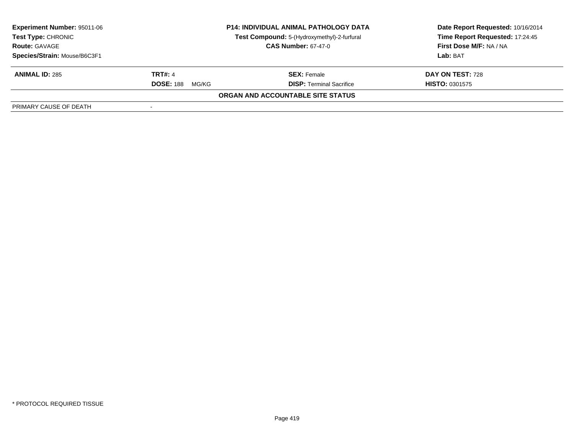| Experiment Number: 95011-06  |                           | <b>P14: INDIVIDUAL ANIMAL PATHOLOGY DATA</b> | Date Report Requested: 10/16/2014 |
|------------------------------|---------------------------|----------------------------------------------|-----------------------------------|
| <b>Test Type: CHRONIC</b>    |                           | Test Compound: 5-(Hydroxymethyl)-2-furfural  | Time Report Requested: 17:24:45   |
| <b>Route: GAVAGE</b>         |                           | <b>CAS Number: 67-47-0</b>                   | <b>First Dose M/F: NA / NA</b>    |
| Species/Strain: Mouse/B6C3F1 |                           |                                              | Lab: BAT                          |
| <b>ANIMAL ID: 285</b>        | <b>TRT#: 4</b>            | <b>SEX: Female</b>                           | DAY ON TEST: 728                  |
|                              | <b>DOSE: 188</b><br>MG/KG | <b>DISP: Terminal Sacrifice</b>              | <b>HISTO: 0301575</b>             |
|                              |                           | <b>ORGAN AND ACCOUNTABLE SITE STATUS</b>     |                                   |
| PRIMARY CAUSE OF DEATH       |                           |                                              |                                   |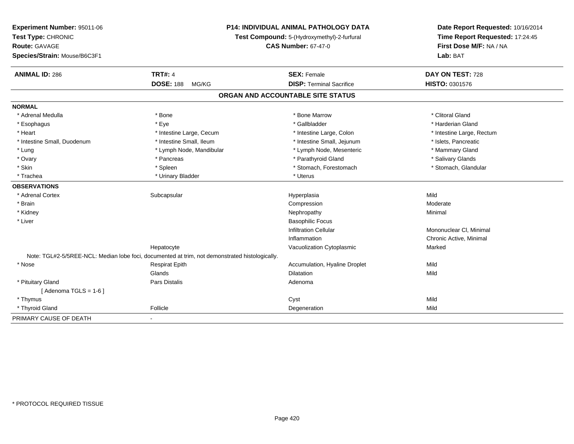| Experiment Number: 95011-06<br>Test Type: CHRONIC<br>Route: GAVAGE |                                                                                                | <b>P14: INDIVIDUAL ANIMAL PATHOLOGY DATA</b><br>Test Compound: 5-(Hydroxymethyl)-2-furfural<br><b>CAS Number: 67-47-0</b> | Date Report Requested: 10/16/2014<br>Time Report Requested: 17:24:45<br>First Dose M/F: NA / NA |
|--------------------------------------------------------------------|------------------------------------------------------------------------------------------------|---------------------------------------------------------------------------------------------------------------------------|-------------------------------------------------------------------------------------------------|
| Species/Strain: Mouse/B6C3F1                                       |                                                                                                |                                                                                                                           | Lab: BAT                                                                                        |
| <b>ANIMAL ID: 286</b>                                              | <b>TRT#: 4</b>                                                                                 | <b>SEX: Female</b>                                                                                                        | DAY ON TEST: 728                                                                                |
|                                                                    | <b>DOSE: 188</b><br>MG/KG                                                                      | <b>DISP: Terminal Sacrifice</b>                                                                                           | HISTO: 0301576                                                                                  |
|                                                                    |                                                                                                | ORGAN AND ACCOUNTABLE SITE STATUS                                                                                         |                                                                                                 |
| <b>NORMAL</b>                                                      |                                                                                                |                                                                                                                           |                                                                                                 |
| * Adrenal Medulla                                                  | * Bone                                                                                         | * Bone Marrow                                                                                                             | * Clitoral Gland                                                                                |
| * Esophagus                                                        | * Eve                                                                                          | * Gallbladder                                                                                                             | * Harderian Gland                                                                               |
| * Heart                                                            | * Intestine Large, Cecum                                                                       | * Intestine Large, Colon                                                                                                  | * Intestine Large, Rectum                                                                       |
| * Intestine Small, Duodenum                                        | * Intestine Small, Ileum                                                                       | * Intestine Small, Jejunum                                                                                                | * Islets, Pancreatic                                                                            |
| * Lung                                                             | * Lymph Node, Mandibular                                                                       | * Lymph Node, Mesenteric                                                                                                  | * Mammary Gland                                                                                 |
| * Ovary                                                            | * Pancreas                                                                                     | * Parathyroid Gland                                                                                                       | * Salivary Glands                                                                               |
| * Skin                                                             | * Spleen                                                                                       | * Stomach, Forestomach                                                                                                    | * Stomach, Glandular                                                                            |
| * Trachea                                                          | * Urinary Bladder                                                                              | * Uterus                                                                                                                  |                                                                                                 |
| <b>OBSERVATIONS</b>                                                |                                                                                                |                                                                                                                           |                                                                                                 |
| * Adrenal Cortex                                                   | Subcapsular                                                                                    | Hyperplasia                                                                                                               | Mild                                                                                            |
| * Brain                                                            |                                                                                                | Compression                                                                                                               | Moderate                                                                                        |
| * Kidney                                                           |                                                                                                | Nephropathy                                                                                                               | Minimal                                                                                         |
| * Liver                                                            |                                                                                                | <b>Basophilic Focus</b>                                                                                                   |                                                                                                 |
|                                                                    |                                                                                                | <b>Infiltration Cellular</b>                                                                                              | Mononuclear CI. Minimal                                                                         |
|                                                                    |                                                                                                | Inflammation                                                                                                              | Chronic Active, Minimal                                                                         |
|                                                                    | Hepatocyte                                                                                     | Vacuolization Cytoplasmic                                                                                                 | Marked                                                                                          |
|                                                                    | Note: TGL#2-5/5REE-NCL: Median lobe foci, documented at trim, not demonstrated histologically. |                                                                                                                           |                                                                                                 |
| $*$ Nose                                                           | <b>Respirat Epith</b>                                                                          | Accumulation, Hyaline Droplet                                                                                             | Mild                                                                                            |
|                                                                    | Glands                                                                                         | Dilatation                                                                                                                | Mild                                                                                            |
| * Pituitary Gland                                                  | Pars Distalis                                                                                  | Adenoma                                                                                                                   |                                                                                                 |
| [Adenoma TGLS = $1-6$ ]                                            |                                                                                                |                                                                                                                           |                                                                                                 |
| * Thymus                                                           |                                                                                                | Cyst                                                                                                                      | Mild                                                                                            |
| * Thyroid Gland                                                    | Follicle                                                                                       | Degeneration                                                                                                              | Mild                                                                                            |
| PRIMARY CAUSE OF DEATH                                             | $\blacksquare$                                                                                 |                                                                                                                           |                                                                                                 |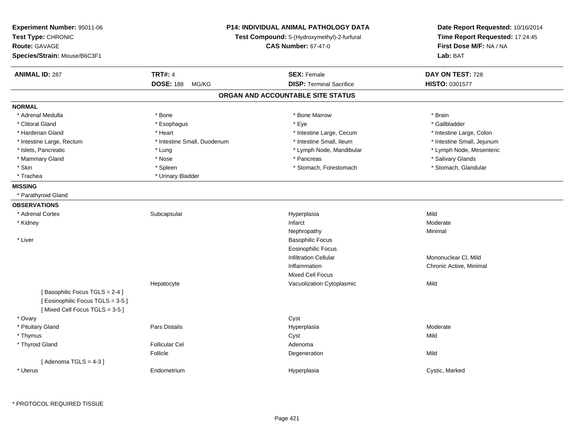| Experiment Number: 95011-06<br>Test Type: CHRONIC<br>Route: GAVAGE<br>Species/Strain: Mouse/B6C3F1 | <b>P14: INDIVIDUAL ANIMAL PATHOLOGY DATA</b><br>Test Compound: 5-(Hydroxymethyl)-2-furfural<br><b>CAS Number: 67-47-0</b> |                                   | Date Report Requested: 10/16/2014<br>Time Report Requested: 17:24:45<br>First Dose M/F: NA / NA<br>Lab: BAT |
|----------------------------------------------------------------------------------------------------|---------------------------------------------------------------------------------------------------------------------------|-----------------------------------|-------------------------------------------------------------------------------------------------------------|
| <b>ANIMAL ID: 287</b>                                                                              | <b>TRT#: 4</b>                                                                                                            | <b>SEX: Female</b>                | DAY ON TEST: 728                                                                                            |
|                                                                                                    | <b>DOSE: 188</b><br>MG/KG                                                                                                 | <b>DISP: Terminal Sacrifice</b>   | HISTO: 0301577                                                                                              |
|                                                                                                    |                                                                                                                           | ORGAN AND ACCOUNTABLE SITE STATUS |                                                                                                             |
| <b>NORMAL</b>                                                                                      |                                                                                                                           |                                   |                                                                                                             |
| * Adrenal Medulla                                                                                  | * Bone                                                                                                                    | * Bone Marrow                     | * Brain                                                                                                     |
| * Clitoral Gland                                                                                   | * Esophagus                                                                                                               | * Eye                             | * Gallbladder                                                                                               |
| * Harderian Gland                                                                                  | * Heart                                                                                                                   | * Intestine Large, Cecum          | * Intestine Large, Colon                                                                                    |
| * Intestine Large, Rectum                                                                          | * Intestine Small, Duodenum                                                                                               | * Intestine Small, Ileum          | * Intestine Small, Jejunum                                                                                  |
| * Islets, Pancreatic                                                                               | * Lung                                                                                                                    | * Lymph Node, Mandibular          | * Lymph Node, Mesenteric                                                                                    |
| * Mammary Gland                                                                                    | * Nose                                                                                                                    | * Pancreas                        | * Salivary Glands                                                                                           |
| * Skin                                                                                             | * Spleen                                                                                                                  | * Stomach, Forestomach            | * Stomach, Glandular                                                                                        |
| * Trachea                                                                                          | * Urinary Bladder                                                                                                         |                                   |                                                                                                             |
| <b>MISSING</b>                                                                                     |                                                                                                                           |                                   |                                                                                                             |
| * Parathyroid Gland                                                                                |                                                                                                                           |                                   |                                                                                                             |
| <b>OBSERVATIONS</b>                                                                                |                                                                                                                           |                                   |                                                                                                             |
| * Adrenal Cortex                                                                                   | Subcapsular                                                                                                               | Hyperplasia                       | Mild                                                                                                        |
| * Kidney                                                                                           |                                                                                                                           | Infarct                           | Moderate                                                                                                    |
|                                                                                                    |                                                                                                                           | Nephropathy                       | Minimal                                                                                                     |
| * Liver                                                                                            |                                                                                                                           | <b>Basophilic Focus</b>           |                                                                                                             |
|                                                                                                    |                                                                                                                           | <b>Eosinophilic Focus</b>         |                                                                                                             |
|                                                                                                    |                                                                                                                           | <b>Infiltration Cellular</b>      | Mononuclear CI, Mild                                                                                        |
|                                                                                                    |                                                                                                                           | Inflammation                      | Chronic Active, Minimal                                                                                     |
|                                                                                                    |                                                                                                                           | Mixed Cell Focus                  |                                                                                                             |
|                                                                                                    | Hepatocyte                                                                                                                | Vacuolization Cytoplasmic         | Mild                                                                                                        |
| [Basophilic Focus TGLS = 2-4]<br>[Eosinophilic Focus TGLS = 3-5]<br>[Mixed Cell Focus TGLS = 3-5]  |                                                                                                                           |                                   |                                                                                                             |
| * Ovary                                                                                            |                                                                                                                           | Cyst                              |                                                                                                             |
| * Pituitary Gland                                                                                  | <b>Pars Distalis</b>                                                                                                      | Hyperplasia                       | Moderate                                                                                                    |
| * Thymus                                                                                           |                                                                                                                           | Cyst                              | Mild                                                                                                        |
| * Thyroid Gland                                                                                    | <b>Follicular Cel</b>                                                                                                     | Adenoma                           |                                                                                                             |
|                                                                                                    | Follicle                                                                                                                  | Degeneration                      | Mild                                                                                                        |
| [Adenoma TGLS = $4-3$ ]                                                                            |                                                                                                                           |                                   |                                                                                                             |
| * Uterus                                                                                           | Endometrium                                                                                                               | Hyperplasia                       | Cystic, Marked                                                                                              |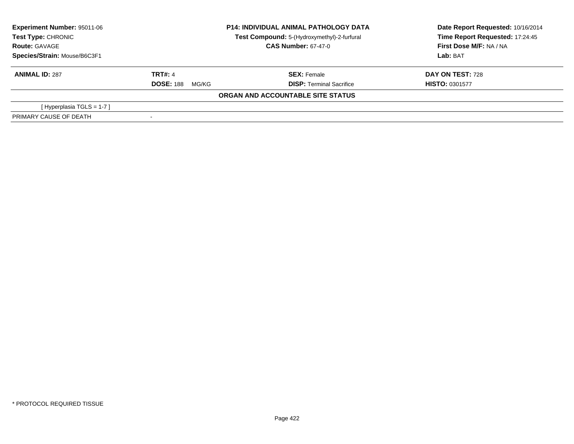| <b>Experiment Number: 95011-06</b><br>Test Type: CHRONIC | <b>P14: INDIVIDUAL ANIMAL PATHOLOGY DATA</b><br>Test Compound: 5-(Hydroxymethyl)-2-furfural |                                   | Date Report Requested: 10/16/2014<br>Time Report Requested: 17:24:45 |  |
|----------------------------------------------------------|---------------------------------------------------------------------------------------------|-----------------------------------|----------------------------------------------------------------------|--|
| <b>Route: GAVAGE</b>                                     | <b>CAS Number: 67-47-0</b>                                                                  |                                   | First Dose M/F: NA / NA                                              |  |
| Species/Strain: Mouse/B6C3F1                             |                                                                                             |                                   | Lab: BAT                                                             |  |
| <b>ANIMAL ID: 287</b>                                    | <b>TRT#: 4</b>                                                                              | <b>SEX: Female</b>                | <b>DAY ON TEST: 728</b>                                              |  |
|                                                          | <b>DOSE: 188</b><br>MG/KG                                                                   | <b>DISP:</b> Terminal Sacrifice   | <b>HISTO: 0301577</b>                                                |  |
|                                                          |                                                                                             | ORGAN AND ACCOUNTABLE SITE STATUS |                                                                      |  |
| [Hyperplasia TGLS = $1-7$ ]                              |                                                                                             |                                   |                                                                      |  |
| PRIMARY CAUSE OF DEATH                                   |                                                                                             |                                   |                                                                      |  |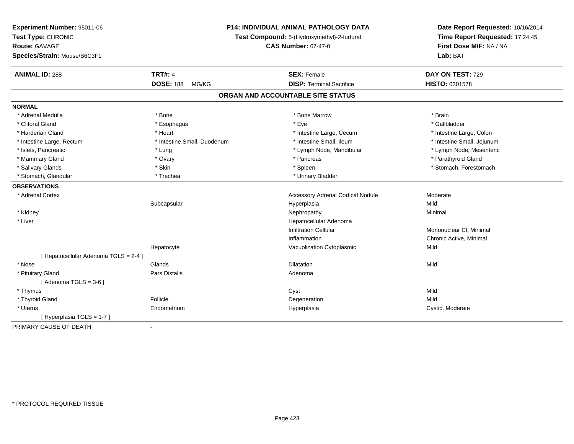| Experiment Number: 95011-06         | <b>P14: INDIVIDUAL ANIMAL PATHOLOGY DATA</b> |                                             | Date Report Requested: 10/16/2014 |  |
|-------------------------------------|----------------------------------------------|---------------------------------------------|-----------------------------------|--|
| Test Type: CHRONIC                  |                                              | Test Compound: 5-(Hydroxymethyl)-2-furfural | Time Report Requested: 17:24:45   |  |
| <b>Route: GAVAGE</b>                |                                              | <b>CAS Number: 67-47-0</b>                  | First Dose M/F: NA / NA           |  |
| Species/Strain: Mouse/B6C3F1        |                                              |                                             | Lab: BAT                          |  |
| <b>ANIMAL ID: 288</b>               | <b>TRT#: 4</b>                               | <b>SEX: Female</b>                          | DAY ON TEST: 729                  |  |
|                                     | <b>DOSE: 188</b><br>MG/KG                    | <b>DISP: Terminal Sacrifice</b>             | <b>HISTO: 0301578</b>             |  |
|                                     |                                              | ORGAN AND ACCOUNTABLE SITE STATUS           |                                   |  |
| <b>NORMAL</b>                       |                                              |                                             |                                   |  |
| * Adrenal Medulla                   | * Bone                                       | * Bone Marrow                               | * Brain                           |  |
| * Clitoral Gland                    | * Esophagus                                  | * Eye                                       | * Gallbladder                     |  |
| * Harderian Gland                   | * Heart                                      | * Intestine Large, Cecum                    | * Intestine Large, Colon          |  |
| * Intestine Large, Rectum           | * Intestine Small, Duodenum                  | * Intestine Small, Ileum                    | * Intestine Small, Jejunum        |  |
| * Islets, Pancreatic                | * Lung                                       | * Lymph Node, Mandibular                    | * Lymph Node, Mesenteric          |  |
| * Mammary Gland                     | * Ovary                                      | * Pancreas                                  | * Parathyroid Gland               |  |
| * Salivary Glands                   | * Skin                                       | * Spleen                                    | * Stomach, Forestomach            |  |
| * Stomach, Glandular                | * Trachea                                    | * Urinary Bladder                           |                                   |  |
| <b>OBSERVATIONS</b>                 |                                              |                                             |                                   |  |
| * Adrenal Cortex                    |                                              | <b>Accessory Adrenal Cortical Nodule</b>    | Moderate                          |  |
|                                     | Subcapsular                                  | Hyperplasia                                 | Mild                              |  |
| * Kidney                            |                                              | Nephropathy                                 | Minimal                           |  |
| * Liver                             |                                              | Hepatocellular Adenoma                      |                                   |  |
|                                     |                                              | <b>Infiltration Cellular</b>                | Mononuclear CI, Minimal           |  |
|                                     |                                              | Inflammation                                | Chronic Active, Minimal           |  |
|                                     | Hepatocyte                                   | Vacuolization Cytoplasmic                   | Mild                              |  |
| [Hepatocellular Adenoma TGLS = 2-4] |                                              |                                             |                                   |  |
| * Nose                              | Glands                                       | <b>Dilatation</b>                           | Mild                              |  |
| * Pituitary Gland                   | Pars Distalis                                | Adenoma                                     |                                   |  |
| [Adenoma TGLS = $3-6$ ]             |                                              |                                             |                                   |  |
| * Thymus                            |                                              | Cyst                                        | Mild                              |  |
| * Thyroid Gland                     | Follicle                                     | Degeneration                                | Mild                              |  |
| * Uterus                            | Endometrium                                  | Hyperplasia                                 | Cystic, Moderate                  |  |
| [Hyperplasia TGLS = 1-7]            |                                              |                                             |                                   |  |
| PRIMARY CAUSE OF DEATH              | $\blacksquare$                               |                                             |                                   |  |
|                                     |                                              |                                             |                                   |  |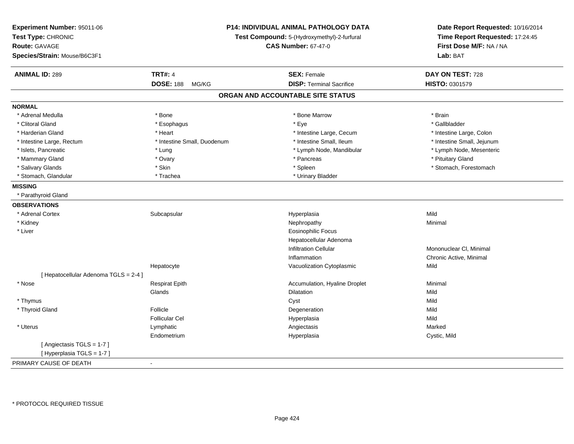| Experiment Number: 95011-06<br>Test Type: CHRONIC<br><b>Route: GAVAGE</b><br>Species/Strain: Mouse/B6C3F1 |                             | P14: INDIVIDUAL ANIMAL PATHOLOGY DATA<br>Test Compound: 5-(Hydroxymethyl)-2-furfural<br><b>CAS Number: 67-47-0</b> | Date Report Requested: 10/16/2014<br>Time Report Requested: 17:24:45<br>First Dose M/F: NA / NA<br>Lab: BAT |
|-----------------------------------------------------------------------------------------------------------|-----------------------------|--------------------------------------------------------------------------------------------------------------------|-------------------------------------------------------------------------------------------------------------|
| <b>ANIMAL ID: 289</b>                                                                                     | <b>TRT#: 4</b>              | <b>SEX: Female</b>                                                                                                 | DAY ON TEST: 728                                                                                            |
|                                                                                                           | <b>DOSE: 188</b><br>MG/KG   | <b>DISP: Terminal Sacrifice</b>                                                                                    | HISTO: 0301579                                                                                              |
|                                                                                                           |                             | ORGAN AND ACCOUNTABLE SITE STATUS                                                                                  |                                                                                                             |
| <b>NORMAL</b>                                                                                             |                             |                                                                                                                    |                                                                                                             |
| * Adrenal Medulla                                                                                         | * Bone                      | * Bone Marrow                                                                                                      | * Brain                                                                                                     |
| * Clitoral Gland                                                                                          | * Esophagus                 | * Eye                                                                                                              | * Gallbladder                                                                                               |
| * Harderian Gland                                                                                         | * Heart                     | * Intestine Large, Cecum                                                                                           | * Intestine Large, Colon                                                                                    |
| * Intestine Large, Rectum                                                                                 | * Intestine Small, Duodenum | * Intestine Small, Ileum                                                                                           | * Intestine Small, Jejunum                                                                                  |
| * Islets, Pancreatic                                                                                      | * Lung                      | * Lymph Node, Mandibular                                                                                           | * Lymph Node, Mesenteric                                                                                    |
| * Mammary Gland                                                                                           | * Ovary                     | * Pancreas                                                                                                         | * Pituitary Gland                                                                                           |
| * Salivary Glands                                                                                         | * Skin                      | * Spleen                                                                                                           | * Stomach, Forestomach                                                                                      |
| * Stomach, Glandular                                                                                      | * Trachea                   | * Urinary Bladder                                                                                                  |                                                                                                             |
| <b>MISSING</b>                                                                                            |                             |                                                                                                                    |                                                                                                             |
| * Parathyroid Gland                                                                                       |                             |                                                                                                                    |                                                                                                             |
| <b>OBSERVATIONS</b>                                                                                       |                             |                                                                                                                    |                                                                                                             |
| * Adrenal Cortex                                                                                          | Subcapsular                 | Hyperplasia                                                                                                        | Mild                                                                                                        |
| * Kidney                                                                                                  |                             | Nephropathy                                                                                                        | Minimal                                                                                                     |
| * Liver                                                                                                   |                             | <b>Eosinophilic Focus</b>                                                                                          |                                                                                                             |
|                                                                                                           |                             | Hepatocellular Adenoma                                                                                             |                                                                                                             |
|                                                                                                           |                             | Infiltration Cellular                                                                                              | Mononuclear CI, Minimal                                                                                     |
|                                                                                                           |                             | Inflammation                                                                                                       | Chronic Active, Minimal                                                                                     |
|                                                                                                           | Hepatocyte                  | Vacuolization Cytoplasmic                                                                                          | Mild                                                                                                        |
| [ Hepatocellular Adenoma TGLS = 2-4 ]                                                                     |                             |                                                                                                                    |                                                                                                             |
| * Nose                                                                                                    | <b>Respirat Epith</b>       | Accumulation, Hyaline Droplet                                                                                      | Minimal                                                                                                     |
|                                                                                                           | Glands                      | <b>Dilatation</b>                                                                                                  | Mild                                                                                                        |
| * Thymus                                                                                                  |                             | Cyst                                                                                                               | Mild                                                                                                        |
| * Thyroid Gland                                                                                           | Follicle                    | Degeneration                                                                                                       | Mild                                                                                                        |
|                                                                                                           | <b>Follicular Cel</b>       | Hyperplasia                                                                                                        | Mild                                                                                                        |
| * Uterus                                                                                                  | Lymphatic                   | Angiectasis                                                                                                        | Marked                                                                                                      |
|                                                                                                           | Endometrium                 | Hyperplasia                                                                                                        | Cystic, Mild                                                                                                |
| [Angiectasis TGLS = 1-7]<br>[Hyperplasia TGLS = 1-7]                                                      |                             |                                                                                                                    |                                                                                                             |
| PRIMARY CAUSE OF DEATH                                                                                    | $\blacksquare$              |                                                                                                                    |                                                                                                             |
|                                                                                                           |                             |                                                                                                                    |                                                                                                             |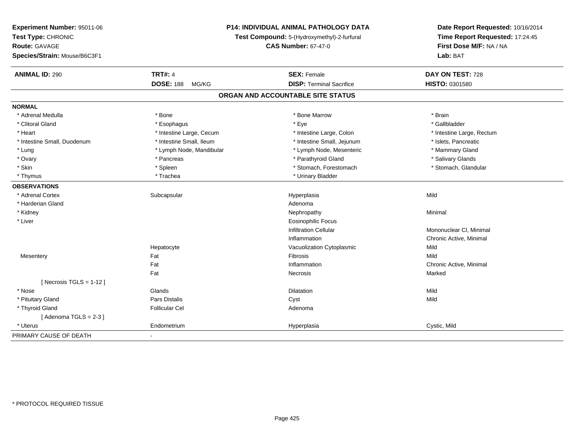| Experiment Number: 95011-06<br>Test Type: CHRONIC<br><b>Route: GAVAGE</b><br>Species/Strain: Mouse/B6C3F1 |                           | P14: INDIVIDUAL ANIMAL PATHOLOGY DATA<br>Test Compound: 5-(Hydroxymethyl)-2-furfural<br><b>CAS Number: 67-47-0</b> |                           |
|-----------------------------------------------------------------------------------------------------------|---------------------------|--------------------------------------------------------------------------------------------------------------------|---------------------------|
|                                                                                                           |                           |                                                                                                                    | Lab: BAT                  |
| <b>ANIMAL ID: 290</b>                                                                                     | <b>TRT#: 4</b>            | <b>SEX: Female</b>                                                                                                 | DAY ON TEST: 728          |
|                                                                                                           | <b>DOSE: 188</b><br>MG/KG | <b>DISP: Terminal Sacrifice</b>                                                                                    | HISTO: 0301580            |
|                                                                                                           |                           | ORGAN AND ACCOUNTABLE SITE STATUS                                                                                  |                           |
| <b>NORMAL</b>                                                                                             |                           |                                                                                                                    |                           |
| * Adrenal Medulla                                                                                         | * Bone                    | * Bone Marrow                                                                                                      | * Brain                   |
| * Clitoral Gland                                                                                          | * Esophagus               | * Eye                                                                                                              | * Gallbladder             |
| * Heart                                                                                                   | * Intestine Large, Cecum  | * Intestine Large, Colon                                                                                           | * Intestine Large, Rectum |
| * Intestine Small, Duodenum                                                                               | * Intestine Small, Ileum  | * Intestine Small, Jejunum                                                                                         | * Islets, Pancreatic      |
| * Lung                                                                                                    | * Lymph Node, Mandibular  | * Lymph Node, Mesenteric                                                                                           | * Mammary Gland           |
| * Ovary                                                                                                   | * Pancreas                | * Parathyroid Gland                                                                                                | * Salivary Glands         |
| * Skin                                                                                                    | * Spleen                  | * Stomach, Forestomach                                                                                             | * Stomach, Glandular      |
| * Thymus                                                                                                  | * Trachea                 | * Urinary Bladder                                                                                                  |                           |
| <b>OBSERVATIONS</b>                                                                                       |                           |                                                                                                                    |                           |
| * Adrenal Cortex                                                                                          | Subcapsular               | Hyperplasia                                                                                                        | Mild                      |
| * Harderian Gland                                                                                         |                           | Adenoma                                                                                                            |                           |
| * Kidney                                                                                                  |                           | Nephropathy                                                                                                        | Minimal                   |
| * Liver                                                                                                   |                           | Eosinophilic Focus                                                                                                 |                           |
|                                                                                                           |                           | <b>Infiltration Cellular</b>                                                                                       | Mononuclear CI, Minimal   |
|                                                                                                           |                           | Inflammation                                                                                                       | Chronic Active, Minimal   |
|                                                                                                           | Hepatocyte                | Vacuolization Cytoplasmic                                                                                          | Mild                      |
| Mesentery                                                                                                 | Fat                       | Fibrosis                                                                                                           | Mild                      |
|                                                                                                           | Fat                       | Inflammation                                                                                                       | Chronic Active, Minimal   |
|                                                                                                           | Fat                       | Necrosis                                                                                                           | Marked                    |
| [ Necrosis $TGLS = 1-12$ ]                                                                                |                           |                                                                                                                    |                           |
| $*$ Nose                                                                                                  | Glands                    | Dilatation                                                                                                         | Mild                      |
| * Pituitary Gland                                                                                         | Pars Distalis             | Cyst                                                                                                               | Mild                      |
| * Thyroid Gland                                                                                           | <b>Follicular Cel</b>     | Adenoma                                                                                                            |                           |
| [Adenoma TGLS = $2-3$ ]                                                                                   |                           |                                                                                                                    |                           |
| * Uterus                                                                                                  | Endometrium               | Hyperplasia                                                                                                        | Cystic, Mild              |
| PRIMARY CAUSE OF DEATH                                                                                    | ÷,                        |                                                                                                                    |                           |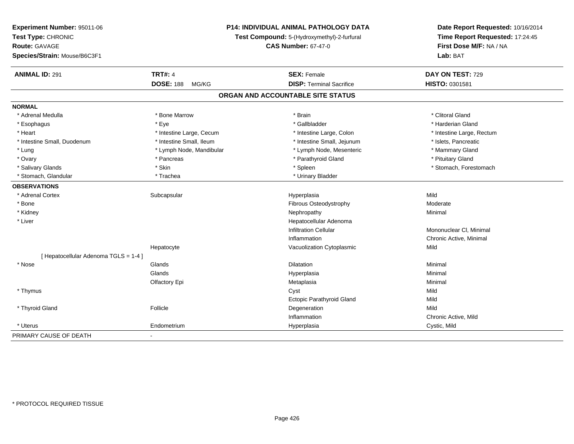| Experiment Number: 95011-06         | P14: INDIVIDUAL ANIMAL PATHOLOGY DATA<br>Test Compound: 5-(Hydroxymethyl)-2-furfural |                                   | Date Report Requested: 10/16/2014<br>Time Report Requested: 17:24:45 |
|-------------------------------------|--------------------------------------------------------------------------------------|-----------------------------------|----------------------------------------------------------------------|
| Test Type: CHRONIC                  |                                                                                      |                                   |                                                                      |
| <b>Route: GAVAGE</b>                |                                                                                      | <b>CAS Number: 67-47-0</b>        | First Dose M/F: NA / NA                                              |
| Species/Strain: Mouse/B6C3F1        |                                                                                      |                                   | Lab: BAT                                                             |
| <b>ANIMAL ID: 291</b>               | <b>TRT#: 4</b>                                                                       | <b>SEX: Female</b>                | DAY ON TEST: 729                                                     |
|                                     | <b>DOSE: 188</b><br>MG/KG                                                            | <b>DISP: Terminal Sacrifice</b>   | HISTO: 0301581                                                       |
|                                     |                                                                                      | ORGAN AND ACCOUNTABLE SITE STATUS |                                                                      |
| <b>NORMAL</b>                       |                                                                                      |                                   |                                                                      |
| * Adrenal Medulla                   | * Bone Marrow                                                                        | * Brain                           | * Clitoral Gland                                                     |
| * Esophagus                         | * Eye                                                                                | * Gallbladder                     | * Harderian Gland                                                    |
| * Heart                             | * Intestine Large, Cecum                                                             | * Intestine Large, Colon          | * Intestine Large, Rectum                                            |
| * Intestine Small, Duodenum         | * Intestine Small, Ileum                                                             | * Intestine Small, Jejunum        | * Islets, Pancreatic                                                 |
| * Lung                              | * Lymph Node, Mandibular                                                             | * Lymph Node, Mesenteric          | * Mammary Gland                                                      |
| * Ovary                             | * Pancreas                                                                           | * Parathyroid Gland               | * Pituitary Gland                                                    |
| * Salivary Glands                   | * Skin                                                                               | * Spleen                          | * Stomach, Forestomach                                               |
| * Stomach, Glandular                | * Trachea                                                                            | * Urinary Bladder                 |                                                                      |
| <b>OBSERVATIONS</b>                 |                                                                                      |                                   |                                                                      |
| * Adrenal Cortex                    | Subcapsular                                                                          | Hyperplasia                       | Mild                                                                 |
| * Bone                              |                                                                                      | Fibrous Osteodystrophy            | Moderate                                                             |
| * Kidney                            |                                                                                      | Nephropathy                       | Minimal                                                              |
| * Liver                             |                                                                                      | Hepatocellular Adenoma            |                                                                      |
|                                     |                                                                                      | <b>Infiltration Cellular</b>      | Mononuclear CI, Minimal                                              |
|                                     |                                                                                      | Inflammation                      | Chronic Active, Minimal                                              |
|                                     | Hepatocyte                                                                           | Vacuolization Cytoplasmic         | Mild                                                                 |
| [Hepatocellular Adenoma TGLS = 1-4] |                                                                                      |                                   |                                                                      |
| * Nose                              | Glands                                                                               | <b>Dilatation</b>                 | Minimal                                                              |
|                                     | Glands                                                                               | Hyperplasia                       | Minimal                                                              |
|                                     | Olfactory Epi                                                                        | Metaplasia                        | Minimal                                                              |
| * Thymus                            |                                                                                      | Cyst                              | Mild                                                                 |
|                                     |                                                                                      | Ectopic Parathyroid Gland         | Mild                                                                 |
| * Thyroid Gland                     | Follicle                                                                             | Degeneration                      | Mild                                                                 |
|                                     |                                                                                      | Inflammation                      | Chronic Active, Mild                                                 |
| * Uterus                            | Endometrium                                                                          | Hyperplasia                       | Cystic, Mild                                                         |
| PRIMARY CAUSE OF DEATH              | $\blacksquare$                                                                       |                                   |                                                                      |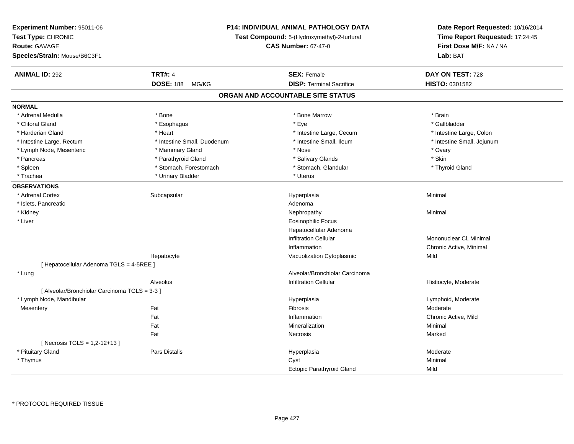| Experiment Number: 95011-06                   |                                             | <b>P14: INDIVIDUAL ANIMAL PATHOLOGY DATA</b> |                                                                      |
|-----------------------------------------------|---------------------------------------------|----------------------------------------------|----------------------------------------------------------------------|
| Test Type: CHRONIC                            | Test Compound: 5-(Hydroxymethyl)-2-furfural |                                              | Date Report Requested: 10/16/2014<br>Time Report Requested: 17:24:45 |
| Route: GAVAGE                                 |                                             | <b>CAS Number: 67-47-0</b>                   | First Dose M/F: NA / NA                                              |
| Species/Strain: Mouse/B6C3F1                  |                                             |                                              | Lab: BAT                                                             |
|                                               |                                             |                                              |                                                                      |
| <b>ANIMAL ID: 292</b>                         | <b>TRT#: 4</b>                              | <b>SEX: Female</b>                           | DAY ON TEST: 728                                                     |
|                                               | <b>DOSE: 188</b><br>MG/KG                   | <b>DISP: Terminal Sacrifice</b>              | HISTO: 0301582                                                       |
|                                               |                                             | ORGAN AND ACCOUNTABLE SITE STATUS            |                                                                      |
| <b>NORMAL</b>                                 |                                             |                                              |                                                                      |
| * Adrenal Medulla                             | * Bone                                      | * Bone Marrow                                | * Brain                                                              |
| * Clitoral Gland                              | * Esophagus                                 | * Eye                                        | * Gallbladder                                                        |
| * Harderian Gland                             | * Heart                                     | * Intestine Large, Cecum                     | * Intestine Large, Colon                                             |
| * Intestine Large, Rectum                     | * Intestine Small, Duodenum                 | * Intestine Small, Ileum                     | * Intestine Small, Jejunum                                           |
| * Lymph Node, Mesenteric                      | * Mammary Gland                             | * Nose                                       | * Ovary                                                              |
| * Pancreas                                    | * Parathyroid Gland                         | * Salivary Glands                            | * Skin                                                               |
| * Spleen                                      | * Stomach, Forestomach                      | * Stomach, Glandular                         | * Thyroid Gland                                                      |
| * Trachea                                     | * Urinary Bladder                           | * Uterus                                     |                                                                      |
| <b>OBSERVATIONS</b>                           |                                             |                                              |                                                                      |
| * Adrenal Cortex                              | Subcapsular                                 | Hyperplasia                                  | Minimal                                                              |
| * Islets, Pancreatic                          |                                             | Adenoma                                      |                                                                      |
| * Kidney                                      |                                             | Nephropathy                                  | Minimal                                                              |
| * Liver                                       |                                             | <b>Eosinophilic Focus</b>                    |                                                                      |
|                                               |                                             | Hepatocellular Adenoma                       |                                                                      |
|                                               |                                             | <b>Infiltration Cellular</b>                 | Mononuclear CI, Minimal                                              |
|                                               |                                             | Inflammation                                 | Chronic Active, Minimal                                              |
|                                               | Hepatocyte                                  | Vacuolization Cytoplasmic                    | Mild                                                                 |
| [ Hepatocellular Adenoma TGLS = 4-5REE ]      |                                             |                                              |                                                                      |
| * Lung                                        |                                             | Alveolar/Bronchiolar Carcinoma               |                                                                      |
|                                               | Alveolus                                    | <b>Infiltration Cellular</b>                 | Histiocyte, Moderate                                                 |
| [ Alveolar/Bronchiolar Carcinoma TGLS = 3-3 ] |                                             |                                              |                                                                      |
| * Lymph Node, Mandibular                      |                                             | Hyperplasia                                  | Lymphoid, Moderate                                                   |
| Mesentery                                     | Fat                                         | Fibrosis                                     | Moderate                                                             |
|                                               | Fat                                         | Inflammation                                 | Chronic Active, Mild                                                 |
|                                               | Fat                                         | Mineralization                               | Minimal                                                              |
|                                               | Fat                                         | Necrosis                                     | Marked                                                               |
| [ Necrosis TGLS = 1,2-12+13 ]                 |                                             |                                              |                                                                      |
| * Pituitary Gland                             | <b>Pars Distalis</b>                        | Hyperplasia                                  | Moderate                                                             |
| * Thymus                                      |                                             | Cyst                                         | Minimal                                                              |
|                                               |                                             | <b>Ectopic Parathyroid Gland</b>             | Mild                                                                 |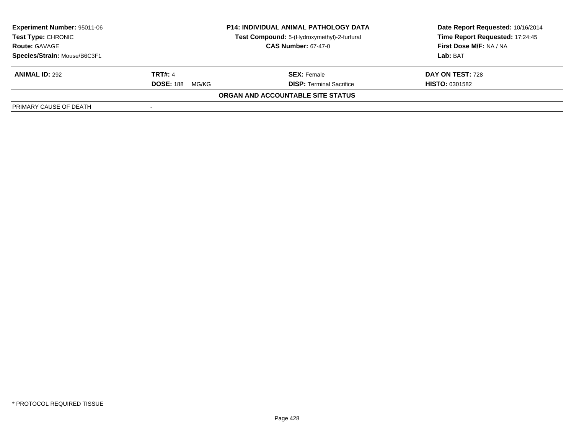| Experiment Number: 95011-06                        |                           | <b>P14: INDIVIDUAL ANIMAL PATHOLOGY DATA</b> | Date Report Requested: 10/16/2014<br>Time Report Requested: 17:24:45 |
|----------------------------------------------------|---------------------------|----------------------------------------------|----------------------------------------------------------------------|
| <b>Test Type: CHRONIC</b>                          |                           | Test Compound: 5-(Hydroxymethyl)-2-furfural  |                                                                      |
| <b>CAS Number: 67-47-0</b><br><b>Route: GAVAGE</b> |                           | <b>First Dose M/F: NA / NA</b>               |                                                                      |
| Species/Strain: Mouse/B6C3F1                       |                           |                                              | Lab: BAT                                                             |
| <b>ANIMAL ID: 292</b>                              | <b>TRT#: 4</b>            | <b>SEX: Female</b>                           | DAY ON TEST: 728                                                     |
|                                                    | <b>DOSE: 188</b><br>MG/KG | <b>DISP: Terminal Sacrifice</b>              | <b>HISTO: 0301582</b>                                                |
|                                                    |                           | <b>ORGAN AND ACCOUNTABLE SITE STATUS</b>     |                                                                      |
| PRIMARY CAUSE OF DEATH                             |                           |                                              |                                                                      |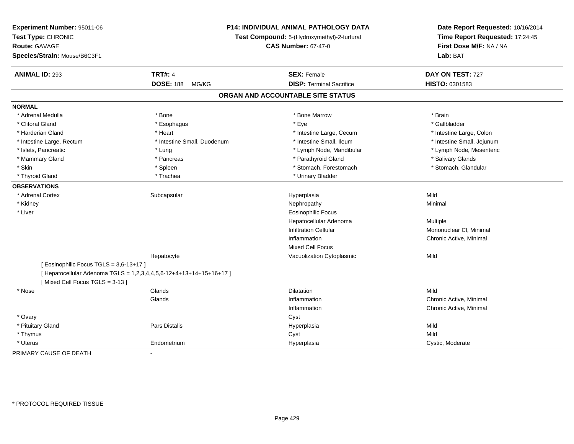| Experiment Number: 95011-06<br>Test Type: CHRONIC<br>Route: GAVAGE<br>Species/Strain: Mouse/B6C3F1 |                                                                     | <b>P14: INDIVIDUAL ANIMAL PATHOLOGY DATA</b><br>Test Compound: 5-(Hydroxymethyl)-2-furfural<br><b>CAS Number: 67-47-0</b> | Date Report Requested: 10/16/2014<br>Time Report Requested: 17:24:45<br>First Dose M/F: NA / NA<br>Lab: BAT |
|----------------------------------------------------------------------------------------------------|---------------------------------------------------------------------|---------------------------------------------------------------------------------------------------------------------------|-------------------------------------------------------------------------------------------------------------|
| <b>ANIMAL ID: 293</b>                                                                              | <b>TRT#: 4</b>                                                      | <b>SEX: Female</b>                                                                                                        | DAY ON TEST: 727                                                                                            |
|                                                                                                    | <b>DOSE: 188</b><br>MG/KG                                           | <b>DISP: Terminal Sacrifice</b>                                                                                           | HISTO: 0301583                                                                                              |
|                                                                                                    |                                                                     | ORGAN AND ACCOUNTABLE SITE STATUS                                                                                         |                                                                                                             |
| <b>NORMAL</b>                                                                                      |                                                                     |                                                                                                                           |                                                                                                             |
| * Adrenal Medulla                                                                                  | * Bone                                                              | * Bone Marrow                                                                                                             | * Brain                                                                                                     |
| * Clitoral Gland                                                                                   | * Esophagus                                                         | * Eye                                                                                                                     | * Gallbladder                                                                                               |
| * Harderian Gland                                                                                  | * Heart                                                             | * Intestine Large, Cecum                                                                                                  | * Intestine Large, Colon                                                                                    |
| * Intestine Large, Rectum                                                                          | * Intestine Small, Duodenum                                         | * Intestine Small, Ileum                                                                                                  | * Intestine Small, Jejunum                                                                                  |
| * Islets, Pancreatic                                                                               | * Lung                                                              | * Lymph Node, Mandibular                                                                                                  | * Lymph Node, Mesenteric                                                                                    |
| * Mammary Gland                                                                                    | * Pancreas                                                          | * Parathyroid Gland                                                                                                       | * Salivary Glands                                                                                           |
| * Skin                                                                                             | * Spleen                                                            | * Stomach, Forestomach                                                                                                    | * Stomach, Glandular                                                                                        |
| * Thyroid Gland                                                                                    | * Trachea                                                           | * Urinary Bladder                                                                                                         |                                                                                                             |
| <b>OBSERVATIONS</b>                                                                                |                                                                     |                                                                                                                           |                                                                                                             |
| * Adrenal Cortex                                                                                   | Subcapsular                                                         | Hyperplasia                                                                                                               | Mild                                                                                                        |
| * Kidney                                                                                           |                                                                     | Nephropathy                                                                                                               | Minimal                                                                                                     |
| * Liver                                                                                            |                                                                     | Eosinophilic Focus                                                                                                        |                                                                                                             |
|                                                                                                    |                                                                     | Hepatocellular Adenoma                                                                                                    | Multiple                                                                                                    |
|                                                                                                    |                                                                     | <b>Infiltration Cellular</b>                                                                                              | Mononuclear CI, Minimal                                                                                     |
|                                                                                                    |                                                                     | Inflammation                                                                                                              | Chronic Active, Minimal                                                                                     |
|                                                                                                    |                                                                     | Mixed Cell Focus                                                                                                          |                                                                                                             |
|                                                                                                    | Hepatocyte                                                          | Vacuolization Cytoplasmic                                                                                                 | Mild                                                                                                        |
| [ Eosinophilic Focus TGLS = 3,6-13+17 ]                                                            |                                                                     |                                                                                                                           |                                                                                                             |
|                                                                                                    | [ Hepatocellular Adenoma TGLS = 1,2,3,4,4,5,6-12+4+13+14+15+16+17 ] |                                                                                                                           |                                                                                                             |
| [Mixed Cell Focus TGLS = 3-13]                                                                     |                                                                     |                                                                                                                           |                                                                                                             |
| * Nose                                                                                             | Glands                                                              | <b>Dilatation</b>                                                                                                         | Mild                                                                                                        |
|                                                                                                    | Glands                                                              | Inflammation                                                                                                              | Chronic Active, Minimal                                                                                     |
|                                                                                                    |                                                                     | Inflammation                                                                                                              | Chronic Active, Minimal                                                                                     |
| * Ovary                                                                                            |                                                                     | Cyst                                                                                                                      |                                                                                                             |
| * Pituitary Gland                                                                                  | Pars Distalis                                                       | Hyperplasia                                                                                                               | Mild<br>Mild                                                                                                |
| * Thymus<br>* Uterus                                                                               | Endometrium                                                         | Cyst<br>Hyperplasia                                                                                                       | Cystic, Moderate                                                                                            |
|                                                                                                    |                                                                     |                                                                                                                           |                                                                                                             |
| PRIMARY CAUSE OF DEATH                                                                             | $\blacksquare$                                                      |                                                                                                                           |                                                                                                             |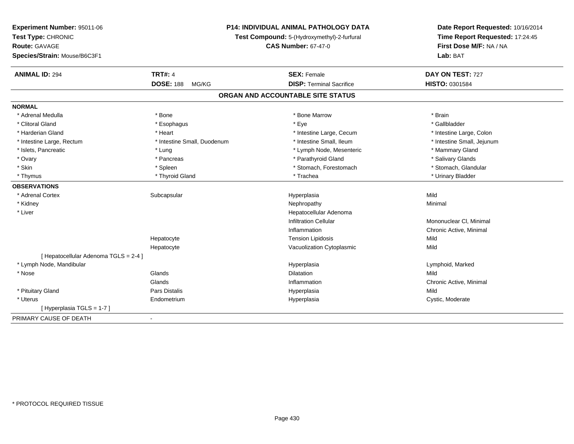| Experiment Number: 95011-06           |                             | <b>P14: INDIVIDUAL ANIMAL PATHOLOGY DATA</b> |                                                            |
|---------------------------------------|-----------------------------|----------------------------------------------|------------------------------------------------------------|
| Test Type: CHRONIC                    |                             | Test Compound: 5-(Hydroxymethyl)-2-furfural  | Time Report Requested: 17:24:45<br>First Dose M/F: NA / NA |
| <b>Route: GAVAGE</b>                  |                             | <b>CAS Number: 67-47-0</b>                   |                                                            |
| Species/Strain: Mouse/B6C3F1          |                             |                                              | Lab: BAT                                                   |
| <b>ANIMAL ID: 294</b>                 | <b>TRT#: 4</b>              | <b>SEX: Female</b>                           | DAY ON TEST: 727                                           |
|                                       | <b>DOSE: 188</b><br>MG/KG   | <b>DISP: Terminal Sacrifice</b>              | HISTO: 0301584                                             |
|                                       |                             | ORGAN AND ACCOUNTABLE SITE STATUS            |                                                            |
| <b>NORMAL</b>                         |                             |                                              |                                                            |
| * Adrenal Medulla                     | * Bone                      | * Bone Marrow                                | * Brain                                                    |
| * Clitoral Gland                      | * Esophagus                 | * Eye                                        | * Gallbladder                                              |
| * Harderian Gland                     | * Heart                     | * Intestine Large, Cecum                     | * Intestine Large, Colon                                   |
| * Intestine Large, Rectum             | * Intestine Small, Duodenum | * Intestine Small, Ileum                     | * Intestine Small, Jejunum                                 |
| * Islets, Pancreatic                  | * Lung                      | * Lymph Node, Mesenteric                     | * Mammary Gland                                            |
| * Ovary                               | * Pancreas                  | * Parathyroid Gland                          | * Salivary Glands                                          |
| * Skin                                | * Spleen                    | * Stomach, Forestomach                       | * Stomach, Glandular                                       |
| * Thymus                              | * Thyroid Gland             | * Trachea                                    | * Urinary Bladder                                          |
| <b>OBSERVATIONS</b>                   |                             |                                              |                                                            |
| * Adrenal Cortex                      | Subcapsular                 | Hyperplasia                                  | Mild                                                       |
| * Kidney                              |                             | Nephropathy                                  | Minimal                                                    |
| * Liver                               |                             | Hepatocellular Adenoma                       |                                                            |
|                                       |                             | <b>Infiltration Cellular</b>                 | Mononuclear CI, Minimal                                    |
|                                       |                             | Inflammation                                 | Chronic Active, Minimal                                    |
|                                       | Hepatocyte                  | <b>Tension Lipidosis</b>                     | Mild                                                       |
|                                       | Hepatocyte                  | Vacuolization Cytoplasmic                    | Mild                                                       |
| [ Hepatocellular Adenoma TGLS = 2-4 ] |                             |                                              |                                                            |
| * Lymph Node, Mandibular              |                             | Hyperplasia                                  | Lymphoid, Marked                                           |
| * Nose                                | Glands                      | Dilatation                                   | Mild                                                       |
|                                       | Glands                      | Inflammation                                 | Chronic Active, Minimal                                    |
| * Pituitary Gland                     | Pars Distalis               | Hyperplasia                                  | Mild                                                       |
| * Uterus                              | Endometrium                 | Hyperplasia                                  | Cystic, Moderate                                           |
| [Hyperplasia TGLS = 1-7]              |                             |                                              |                                                            |
| PRIMARY CAUSE OF DEATH                | $\blacksquare$              |                                              |                                                            |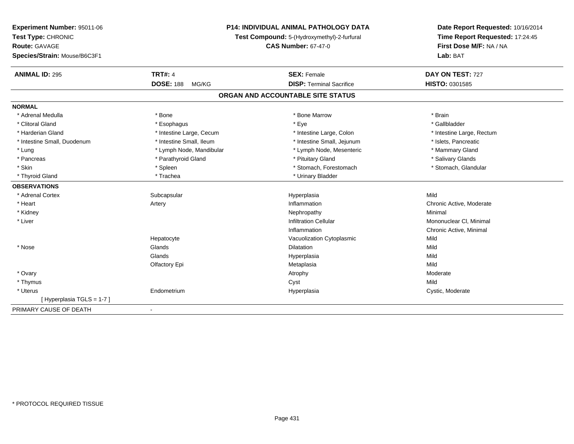| Experiment Number: 95011-06  | <b>P14: INDIVIDUAL ANIMAL PATHOLOGY DATA</b><br>Test Compound: 5-(Hydroxymethyl)-2-furfural |                                   | Date Report Requested: 10/16/2014 |
|------------------------------|---------------------------------------------------------------------------------------------|-----------------------------------|-----------------------------------|
| Test Type: CHRONIC           |                                                                                             |                                   | Time Report Requested: 17:24:45   |
| <b>Route: GAVAGE</b>         |                                                                                             | <b>CAS Number: 67-47-0</b>        | First Dose M/F: NA / NA           |
| Species/Strain: Mouse/B6C3F1 |                                                                                             |                                   | Lab: BAT                          |
| <b>ANIMAL ID: 295</b>        | <b>TRT#: 4</b>                                                                              | <b>SEX: Female</b>                | DAY ON TEST: 727                  |
|                              | <b>DOSE: 188</b><br>MG/KG                                                                   | <b>DISP: Terminal Sacrifice</b>   | HISTO: 0301585                    |
|                              |                                                                                             | ORGAN AND ACCOUNTABLE SITE STATUS |                                   |
| <b>NORMAL</b>                |                                                                                             |                                   |                                   |
| * Adrenal Medulla            | * Bone                                                                                      | * Bone Marrow                     | * Brain                           |
| * Clitoral Gland             | * Esophagus                                                                                 | * Eye                             | * Gallbladder                     |
| * Harderian Gland            | * Intestine Large, Cecum                                                                    | * Intestine Large, Colon          | * Intestine Large, Rectum         |
| * Intestine Small, Duodenum  | * Intestine Small, Ileum                                                                    | * Intestine Small, Jejunum        | * Islets, Pancreatic              |
| * Lung                       | * Lymph Node, Mandibular                                                                    | * Lymph Node, Mesenteric          | * Mammary Gland                   |
| * Pancreas                   | * Parathyroid Gland                                                                         | * Pituitary Gland                 | * Salivary Glands                 |
| * Skin                       | * Spleen                                                                                    | * Stomach, Forestomach            | * Stomach, Glandular              |
| * Thyroid Gland              | * Trachea                                                                                   | * Urinary Bladder                 |                                   |
| <b>OBSERVATIONS</b>          |                                                                                             |                                   |                                   |
| * Adrenal Cortex             | Subcapsular                                                                                 | Hyperplasia                       | Mild                              |
| * Heart                      | Artery                                                                                      | Inflammation                      | Chronic Active, Moderate          |
| * Kidney                     |                                                                                             | Nephropathy                       | Minimal                           |
| * Liver                      |                                                                                             | <b>Infiltration Cellular</b>      | Mononuclear CI, Minimal           |
|                              |                                                                                             | Inflammation                      | Chronic Active, Minimal           |
|                              | Hepatocyte                                                                                  | Vacuolization Cytoplasmic         | Mild                              |
| * Nose                       | Glands                                                                                      | <b>Dilatation</b>                 | Mild                              |
|                              | Glands                                                                                      | Hyperplasia                       | Mild                              |
|                              | Olfactory Epi                                                                               | Metaplasia                        | Mild                              |
| * Ovary                      |                                                                                             | Atrophy                           | Moderate                          |
| * Thymus                     |                                                                                             | Cyst                              | Mild                              |
| * Uterus                     | Endometrium                                                                                 | Hyperplasia                       | Cystic, Moderate                  |
| [Hyperplasia TGLS = 1-7]     |                                                                                             |                                   |                                   |
| PRIMARY CAUSE OF DEATH       | $\blacksquare$                                                                              |                                   |                                   |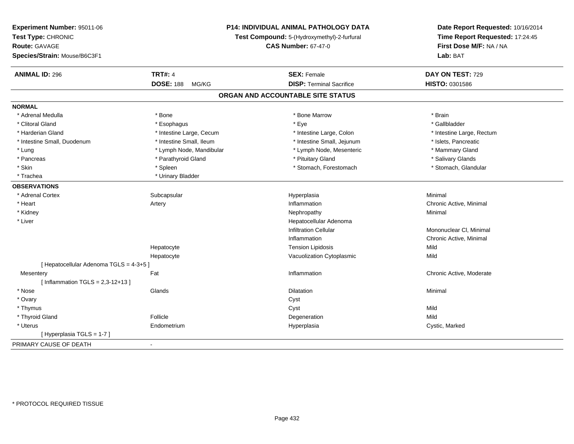| Experiment Number: 95011-06<br>Test Type: CHRONIC<br><b>Route: GAVAGE</b><br>Species/Strain: Mouse/B6C3F1 |                           | <b>P14: INDIVIDUAL ANIMAL PATHOLOGY DATA</b><br>Test Compound: 5-(Hydroxymethyl)-2-furfural<br><b>CAS Number: 67-47-0</b> | Date Report Requested: 10/16/2014<br>Time Report Requested: 17:24:45<br>First Dose M/F: NA / NA<br>Lab: BAT |
|-----------------------------------------------------------------------------------------------------------|---------------------------|---------------------------------------------------------------------------------------------------------------------------|-------------------------------------------------------------------------------------------------------------|
| <b>ANIMAL ID: 296</b>                                                                                     | <b>TRT#: 4</b>            | <b>SEX: Female</b>                                                                                                        | DAY ON TEST: 729                                                                                            |
|                                                                                                           | <b>DOSE: 188</b><br>MG/KG | <b>DISP: Terminal Sacrifice</b>                                                                                           | HISTO: 0301586                                                                                              |
|                                                                                                           |                           | ORGAN AND ACCOUNTABLE SITE STATUS                                                                                         |                                                                                                             |
| <b>NORMAL</b>                                                                                             |                           |                                                                                                                           |                                                                                                             |
| * Adrenal Medulla                                                                                         | * Bone                    | * Bone Marrow                                                                                                             | * Brain                                                                                                     |
| * Clitoral Gland                                                                                          | * Esophagus               | * Eye                                                                                                                     | * Gallbladder                                                                                               |
| * Harderian Gland                                                                                         | * Intestine Large, Cecum  | * Intestine Large, Colon                                                                                                  | * Intestine Large, Rectum                                                                                   |
| * Intestine Small, Duodenum                                                                               | * Intestine Small, Ileum  | * Intestine Small, Jejunum                                                                                                | * Islets, Pancreatic                                                                                        |
| * Lung                                                                                                    | * Lymph Node, Mandibular  | * Lymph Node, Mesenteric                                                                                                  | * Mammary Gland                                                                                             |
| * Pancreas                                                                                                | * Parathyroid Gland       | * Pituitary Gland                                                                                                         | * Salivary Glands                                                                                           |
| * Skin                                                                                                    | * Spleen                  | * Stomach, Forestomach                                                                                                    | * Stomach, Glandular                                                                                        |
| * Trachea                                                                                                 | * Urinary Bladder         |                                                                                                                           |                                                                                                             |
| <b>OBSERVATIONS</b>                                                                                       |                           |                                                                                                                           |                                                                                                             |
| * Adrenal Cortex                                                                                          | Subcapsular               | Hyperplasia                                                                                                               | Minimal                                                                                                     |
| * Heart                                                                                                   | Artery                    | Inflammation                                                                                                              | Chronic Active, Minimal                                                                                     |
| * Kidney                                                                                                  |                           | Nephropathy                                                                                                               | Minimal                                                                                                     |
| * Liver                                                                                                   |                           | Hepatocellular Adenoma                                                                                                    |                                                                                                             |
|                                                                                                           |                           | <b>Infiltration Cellular</b>                                                                                              | Mononuclear CI, Minimal                                                                                     |
|                                                                                                           |                           | Inflammation                                                                                                              | Chronic Active, Minimal                                                                                     |
|                                                                                                           | Hepatocyte                | <b>Tension Lipidosis</b>                                                                                                  | Mild                                                                                                        |
|                                                                                                           | Hepatocyte                | Vacuolization Cytoplasmic                                                                                                 | Mild                                                                                                        |
| [ Hepatocellular Adenoma TGLS = 4-3+5 ]                                                                   |                           |                                                                                                                           |                                                                                                             |
| Mesentery                                                                                                 | Fat                       | Inflammation                                                                                                              | Chronic Active, Moderate                                                                                    |
| [Inflammation TGLS = $2,3-12+13$ ]                                                                        |                           |                                                                                                                           |                                                                                                             |
| * Nose                                                                                                    | Glands                    | <b>Dilatation</b>                                                                                                         | Minimal                                                                                                     |
| * Ovary                                                                                                   |                           | Cyst                                                                                                                      |                                                                                                             |
| * Thymus                                                                                                  |                           | Cyst                                                                                                                      | Mild                                                                                                        |
| * Thyroid Gland                                                                                           | Follicle                  | Degeneration                                                                                                              | Mild                                                                                                        |
| * Uterus                                                                                                  | Endometrium               | Hyperplasia                                                                                                               | Cystic, Marked                                                                                              |
| [Hyperplasia TGLS = 1-7]                                                                                  |                           |                                                                                                                           |                                                                                                             |
| PRIMARY CAUSE OF DEATH                                                                                    | $\mathbf{r}$              |                                                                                                                           |                                                                                                             |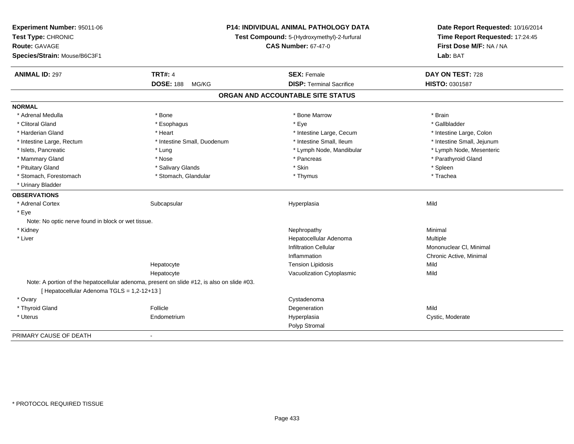| Experiment Number: 95011-06                        | P14: INDIVIDUAL ANIMAL PATHOLOGY DATA<br>Test Compound: 5-(Hydroxymethyl)-2-furfural       |                                   | Date Report Requested: 10/16/2014<br>Time Report Requested: 17:24:45 |
|----------------------------------------------------|--------------------------------------------------------------------------------------------|-----------------------------------|----------------------------------------------------------------------|
| Test Type: CHRONIC                                 |                                                                                            |                                   |                                                                      |
| <b>Route: GAVAGE</b>                               |                                                                                            | First Dose M/F: NA / NA           |                                                                      |
| Species/Strain: Mouse/B6C3F1                       |                                                                                            |                                   | Lab: BAT                                                             |
| <b>ANIMAL ID: 297</b>                              | <b>TRT#: 4</b>                                                                             | <b>SEX: Female</b>                | DAY ON TEST: 728                                                     |
|                                                    | <b>DOSE: 188</b><br>MG/KG                                                                  | <b>DISP: Terminal Sacrifice</b>   | HISTO: 0301587                                                       |
|                                                    |                                                                                            | ORGAN AND ACCOUNTABLE SITE STATUS |                                                                      |
| <b>NORMAL</b>                                      |                                                                                            |                                   |                                                                      |
| * Adrenal Medulla                                  | * Bone                                                                                     | * Bone Marrow                     | * Brain                                                              |
| * Clitoral Gland                                   | * Esophagus                                                                                | * Eye                             | * Gallbladder                                                        |
| * Harderian Gland                                  | * Heart                                                                                    | * Intestine Large, Cecum          | * Intestine Large, Colon                                             |
| * Intestine Large, Rectum                          | * Intestine Small, Duodenum                                                                | * Intestine Small, Ileum          | * Intestine Small, Jejunum                                           |
| * Islets, Pancreatic                               | * Lung                                                                                     | * Lymph Node, Mandibular          | * Lymph Node, Mesenteric                                             |
| * Mammary Gland                                    | * Nose                                                                                     | * Pancreas                        | * Parathyroid Gland                                                  |
| * Pituitary Gland                                  | * Salivary Glands                                                                          | * Skin                            | * Spleen                                                             |
| * Stomach, Forestomach                             | * Stomach, Glandular                                                                       | * Thymus                          | * Trachea                                                            |
| * Urinary Bladder                                  |                                                                                            |                                   |                                                                      |
| <b>OBSERVATIONS</b>                                |                                                                                            |                                   |                                                                      |
| * Adrenal Cortex                                   | Subcapsular                                                                                | Hyperplasia                       | Mild                                                                 |
| * Eye                                              |                                                                                            |                                   |                                                                      |
| Note: No optic nerve found in block or wet tissue. |                                                                                            |                                   |                                                                      |
| * Kidney                                           |                                                                                            | Nephropathy                       | Minimal                                                              |
| * Liver                                            |                                                                                            | Hepatocellular Adenoma            | Multiple                                                             |
|                                                    |                                                                                            | <b>Infiltration Cellular</b>      | Mononuclear CI, Minimal                                              |
|                                                    |                                                                                            | Inflammation                      | Chronic Active, Minimal                                              |
|                                                    | Hepatocyte                                                                                 | <b>Tension Lipidosis</b>          | Mild                                                                 |
|                                                    | Hepatocyte                                                                                 | Vacuolization Cytoplasmic         | Mild                                                                 |
|                                                    | Note: A portion of the hepatocellular adenoma, present on slide #12, is also on slide #03. |                                   |                                                                      |
| [ Hepatocellular Adenoma TGLS = 1,2-12+13 ]        |                                                                                            |                                   |                                                                      |
| * Ovary                                            |                                                                                            | Cystadenoma                       |                                                                      |
| * Thyroid Gland                                    | Follicle                                                                                   | Degeneration                      | Mild                                                                 |
| * Uterus                                           | Endometrium                                                                                | Hyperplasia                       | Cystic, Moderate                                                     |
|                                                    |                                                                                            | Polyp Stromal                     |                                                                      |
| PRIMARY CAUSE OF DEATH                             | $\overline{\phantom{a}}$                                                                   |                                   |                                                                      |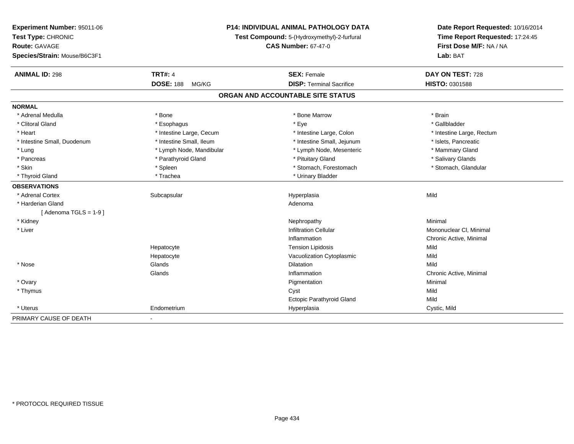| Experiment Number: 95011-06  | P14: INDIVIDUAL ANIMAL PATHOLOGY DATA<br>Test Compound: 5-(Hydroxymethyl)-2-furfural |                                   | Date Report Requested: 10/16/2014<br>Time Report Requested: 17:24:45 |
|------------------------------|--------------------------------------------------------------------------------------|-----------------------------------|----------------------------------------------------------------------|
| Test Type: CHRONIC           |                                                                                      |                                   |                                                                      |
| Route: GAVAGE                |                                                                                      | <b>CAS Number: 67-47-0</b>        | First Dose M/F: NA / NA                                              |
| Species/Strain: Mouse/B6C3F1 |                                                                                      |                                   | Lab: BAT                                                             |
| <b>ANIMAL ID: 298</b>        | <b>TRT#: 4</b>                                                                       | <b>SEX: Female</b>                | DAY ON TEST: 728                                                     |
|                              | <b>DOSE: 188</b><br>MG/KG                                                            | <b>DISP: Terminal Sacrifice</b>   | HISTO: 0301588                                                       |
|                              |                                                                                      | ORGAN AND ACCOUNTABLE SITE STATUS |                                                                      |
| <b>NORMAL</b>                |                                                                                      |                                   |                                                                      |
| * Adrenal Medulla            | * Bone                                                                               | * Bone Marrow                     | * Brain                                                              |
| * Clitoral Gland             | * Esophagus                                                                          | * Eye                             | * Gallbladder                                                        |
| * Heart                      | * Intestine Large, Cecum                                                             | * Intestine Large, Colon          | * Intestine Large, Rectum                                            |
| * Intestine Small, Duodenum  | * Intestine Small, Ileum                                                             | * Intestine Small, Jejunum        | * Islets, Pancreatic                                                 |
| * Lung                       | * Lymph Node, Mandibular                                                             | * Lymph Node, Mesenteric          | * Mammary Gland                                                      |
| * Pancreas                   | * Parathyroid Gland                                                                  | * Pituitary Gland                 | * Salivary Glands                                                    |
| * Skin                       | * Spleen                                                                             | * Stomach, Forestomach            | * Stomach, Glandular                                                 |
| * Thyroid Gland              | * Trachea                                                                            | * Urinary Bladder                 |                                                                      |
| <b>OBSERVATIONS</b>          |                                                                                      |                                   |                                                                      |
| * Adrenal Cortex             | Subcapsular                                                                          | Hyperplasia                       | Mild                                                                 |
| * Harderian Gland            |                                                                                      | Adenoma                           |                                                                      |
| [Adenoma TGLS = $1-9$ ]      |                                                                                      |                                   |                                                                      |
| * Kidney                     |                                                                                      | Nephropathy                       | Minimal                                                              |
| * Liver                      |                                                                                      | <b>Infiltration Cellular</b>      | Mononuclear CI, Minimal                                              |
|                              |                                                                                      | Inflammation                      | Chronic Active, Minimal                                              |
|                              | Hepatocyte                                                                           | <b>Tension Lipidosis</b>          | Mild                                                                 |
|                              | Hepatocyte                                                                           | Vacuolization Cytoplasmic         | Mild                                                                 |
| * Nose                       | Glands                                                                               | Dilatation                        | Mild                                                                 |
|                              | Glands                                                                               | Inflammation                      | Chronic Active, Minimal                                              |
| * Ovary                      |                                                                                      | Pigmentation                      | Minimal                                                              |
| * Thymus                     |                                                                                      | Cyst                              | Mild                                                                 |
|                              |                                                                                      | <b>Ectopic Parathyroid Gland</b>  | Mild                                                                 |
| * Uterus                     | Endometrium                                                                          | Hyperplasia                       | Cystic, Mild                                                         |
| PRIMARY CAUSE OF DEATH       |                                                                                      |                                   |                                                                      |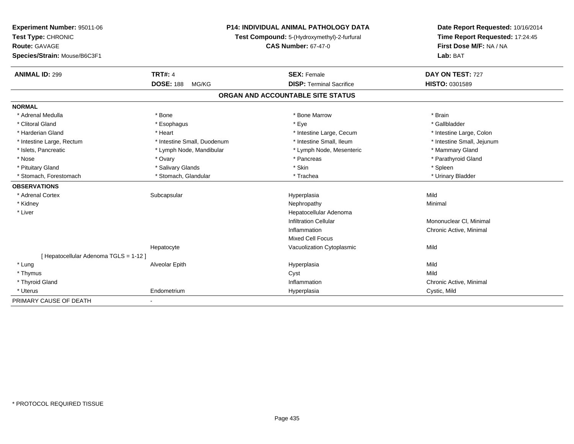| <b>Experiment Number: 95011-06</b>                                | <b>P14: INDIVIDUAL ANIMAL PATHOLOGY DATA</b> |                                   | Date Report Requested: 10/16/2014<br>Time Report Requested: 17:24:45 |  |
|-------------------------------------------------------------------|----------------------------------------------|-----------------------------------|----------------------------------------------------------------------|--|
| Test Type: CHRONIC<br>Test Compound: 5-(Hydroxymethyl)-2-furfural |                                              |                                   |                                                                      |  |
| <b>Route: GAVAGE</b>                                              |                                              | <b>CAS Number: 67-47-0</b>        | First Dose M/F: NA / NA                                              |  |
| Species/Strain: Mouse/B6C3F1                                      |                                              |                                   | Lab: BAT                                                             |  |
| <b>ANIMAL ID: 299</b>                                             | <b>TRT#: 4</b>                               | <b>SEX: Female</b>                | DAY ON TEST: 727                                                     |  |
|                                                                   | <b>DOSE: 188</b><br>MG/KG                    | <b>DISP: Terminal Sacrifice</b>   | HISTO: 0301589                                                       |  |
|                                                                   |                                              | ORGAN AND ACCOUNTABLE SITE STATUS |                                                                      |  |
| <b>NORMAL</b>                                                     |                                              |                                   |                                                                      |  |
| * Adrenal Medulla                                                 | * Bone                                       | * Bone Marrow                     | * Brain                                                              |  |
| * Clitoral Gland                                                  | * Esophagus                                  | * Eye                             | * Gallbladder                                                        |  |
| * Harderian Gland                                                 | * Heart                                      | * Intestine Large, Cecum          | * Intestine Large, Colon                                             |  |
| * Intestine Large, Rectum                                         | * Intestine Small, Duodenum                  | * Intestine Small, Ileum          | * Intestine Small, Jejunum                                           |  |
| * Islets, Pancreatic                                              | * Lymph Node, Mandibular                     | * Lymph Node, Mesenteric          | * Mammary Gland                                                      |  |
| * Nose                                                            | * Ovary                                      | * Pancreas                        | * Parathyroid Gland                                                  |  |
| * Pituitary Gland                                                 | * Salivary Glands                            | * Skin                            | * Spleen                                                             |  |
| * Stomach, Forestomach                                            | * Stomach, Glandular                         | * Trachea                         | * Urinary Bladder                                                    |  |
| <b>OBSERVATIONS</b>                                               |                                              |                                   |                                                                      |  |
| * Adrenal Cortex                                                  | Subcapsular                                  | Hyperplasia                       | Mild                                                                 |  |
| * Kidney                                                          |                                              | Nephropathy                       | Minimal                                                              |  |
| * Liver                                                           |                                              | Hepatocellular Adenoma            |                                                                      |  |
|                                                                   |                                              | <b>Infiltration Cellular</b>      | Mononuclear CI, Minimal                                              |  |
|                                                                   |                                              | Inflammation                      | Chronic Active, Minimal                                              |  |
|                                                                   |                                              | Mixed Cell Focus                  |                                                                      |  |
|                                                                   | Hepatocyte                                   | Vacuolization Cytoplasmic         | Mild                                                                 |  |
| [ Hepatocellular Adenoma TGLS = 1-12 ]                            |                                              |                                   |                                                                      |  |
| * Lung                                                            | Alveolar Epith                               | Hyperplasia                       | Mild                                                                 |  |
| * Thymus                                                          |                                              | Cyst                              | Mild                                                                 |  |
| * Thyroid Gland                                                   |                                              | Inflammation                      | Chronic Active, Minimal                                              |  |
| * Uterus                                                          | Endometrium                                  | Hyperplasia                       | Cystic, Mild                                                         |  |

-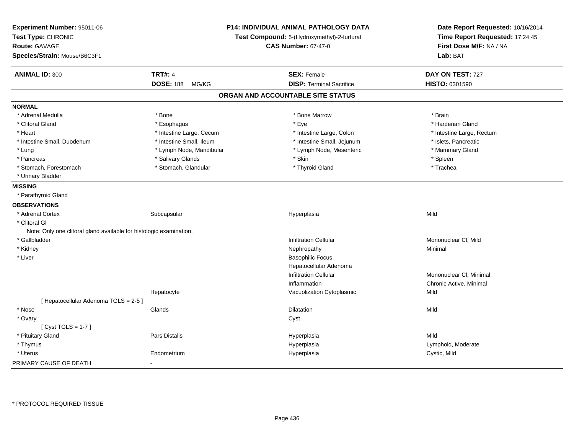| Experiment Number: 95011-06<br>Test Type: CHRONIC<br>Route: GAVAGE  |                           | P14: INDIVIDUAL ANIMAL PATHOLOGY DATA<br>Test Compound: 5-(Hydroxymethyl)-2-furfural | Date Report Requested: 10/16/2014<br>Time Report Requested: 17:24:45 |  |
|---------------------------------------------------------------------|---------------------------|--------------------------------------------------------------------------------------|----------------------------------------------------------------------|--|
|                                                                     |                           | <b>CAS Number: 67-47-0</b>                                                           | First Dose M/F: NA / NA                                              |  |
| Species/Strain: Mouse/B6C3F1                                        |                           |                                                                                      | Lab: BAT                                                             |  |
| <b>ANIMAL ID: 300</b>                                               | <b>TRT#: 4</b>            | <b>SEX: Female</b>                                                                   | DAY ON TEST: 727                                                     |  |
|                                                                     | <b>DOSE: 188</b><br>MG/KG | <b>DISP: Terminal Sacrifice</b>                                                      | HISTO: 0301590                                                       |  |
|                                                                     |                           | ORGAN AND ACCOUNTABLE SITE STATUS                                                    |                                                                      |  |
| <b>NORMAL</b>                                                       |                           |                                                                                      |                                                                      |  |
| * Adrenal Medulla                                                   | * Bone                    | * Bone Marrow                                                                        | * Brain                                                              |  |
| * Clitoral Gland                                                    | * Esophagus               | * Eye                                                                                | * Harderian Gland                                                    |  |
| * Heart                                                             | * Intestine Large, Cecum  | * Intestine Large, Colon                                                             | * Intestine Large, Rectum                                            |  |
| * Intestine Small, Duodenum                                         | * Intestine Small, Ileum  | * Intestine Small, Jejunum                                                           | * Islets, Pancreatic                                                 |  |
| * Lung                                                              | * Lymph Node, Mandibular  | * Lymph Node, Mesenteric                                                             | * Mammary Gland                                                      |  |
| * Pancreas                                                          | * Salivary Glands         | * Skin                                                                               | * Spleen                                                             |  |
| * Stomach, Forestomach                                              | * Stomach, Glandular      | * Thyroid Gland                                                                      | * Trachea                                                            |  |
| * Urinary Bladder                                                   |                           |                                                                                      |                                                                      |  |
| <b>MISSING</b>                                                      |                           |                                                                                      |                                                                      |  |
| * Parathyroid Gland                                                 |                           |                                                                                      |                                                                      |  |
| <b>OBSERVATIONS</b>                                                 |                           |                                                                                      |                                                                      |  |
| * Adrenal Cortex                                                    | Subcapsular               | Hyperplasia                                                                          | Mild                                                                 |  |
| * Clitoral GI                                                       |                           |                                                                                      |                                                                      |  |
| Note: Only one clitoral gland available for histologic examination. |                           |                                                                                      |                                                                      |  |
| * Gallbladder                                                       |                           | <b>Infiltration Cellular</b>                                                         | Mononuclear CI, Mild                                                 |  |
| * Kidney                                                            |                           | Nephropathy                                                                          | Minimal                                                              |  |
| * Liver                                                             |                           | <b>Basophilic Focus</b>                                                              |                                                                      |  |
|                                                                     |                           | Hepatocellular Adenoma                                                               |                                                                      |  |
|                                                                     |                           | <b>Infiltration Cellular</b>                                                         | Mononuclear CI, Minimal                                              |  |
|                                                                     |                           | Inflammation                                                                         | Chronic Active, Minimal                                              |  |
|                                                                     | Hepatocyte                | Vacuolization Cytoplasmic                                                            | Mild                                                                 |  |
| [ Hepatocellular Adenoma TGLS = 2-5 ]                               |                           |                                                                                      |                                                                      |  |
| * Nose                                                              | Glands                    | Dilatation                                                                           | Mild                                                                 |  |
| * Ovary                                                             |                           | Cyst                                                                                 |                                                                      |  |
| [Cyst TGLS = $1-7$ ]                                                |                           |                                                                                      |                                                                      |  |
| * Pituitary Gland                                                   | Pars Distalis             | Hyperplasia                                                                          | Mild                                                                 |  |
| * Thymus                                                            |                           | Hyperplasia                                                                          | Lymphoid, Moderate                                                   |  |
| * Uterus                                                            | Endometrium               | Hyperplasia                                                                          | Cystic, Mild                                                         |  |
| PRIMARY CAUSE OF DEATH                                              |                           |                                                                                      |                                                                      |  |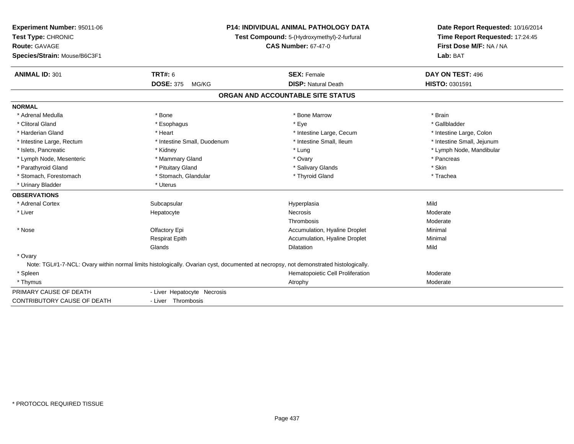| Experiment Number: 95011-06<br>Test Type: CHRONIC<br><b>Route: GAVAGE</b><br>Species/Strain: Mouse/B6C3F1 |                             | <b>P14: INDIVIDUAL ANIMAL PATHOLOGY DATA</b><br>Test Compound: 5-(Hydroxymethyl)-2-furfural<br><b>CAS Number: 67-47-0</b>            | Date Report Requested: 10/16/2014<br>Time Report Requested: 17:24:45<br>First Dose M/F: NA / NA<br>Lab: BAT |
|-----------------------------------------------------------------------------------------------------------|-----------------------------|--------------------------------------------------------------------------------------------------------------------------------------|-------------------------------------------------------------------------------------------------------------|
| <b>ANIMAL ID: 301</b>                                                                                     | <b>TRT#: 6</b>              | <b>SEX: Female</b>                                                                                                                   | DAY ON TEST: 496                                                                                            |
|                                                                                                           | <b>DOSE: 375</b><br>MG/KG   | <b>DISP: Natural Death</b>                                                                                                           | HISTO: 0301591                                                                                              |
|                                                                                                           |                             | ORGAN AND ACCOUNTABLE SITE STATUS                                                                                                    |                                                                                                             |
| <b>NORMAL</b>                                                                                             |                             |                                                                                                                                      |                                                                                                             |
| * Adrenal Medulla                                                                                         | * Bone                      | * Bone Marrow                                                                                                                        | * Brain                                                                                                     |
| * Clitoral Gland                                                                                          | * Esophagus                 | * Eye                                                                                                                                | * Gallbladder                                                                                               |
| * Harderian Gland                                                                                         | * Heart                     | * Intestine Large, Cecum                                                                                                             | * Intestine Large, Colon                                                                                    |
| * Intestine Large, Rectum                                                                                 | * Intestine Small, Duodenum | * Intestine Small, Ileum                                                                                                             | * Intestine Small, Jejunum                                                                                  |
| * Islets, Pancreatic                                                                                      | * Kidney                    | * Lung                                                                                                                               | * Lymph Node, Mandibular                                                                                    |
| * Lymph Node, Mesenteric                                                                                  | * Mammary Gland             | * Ovary                                                                                                                              | * Pancreas                                                                                                  |
| * Parathyroid Gland                                                                                       | * Pituitary Gland           | * Salivary Glands                                                                                                                    | * Skin                                                                                                      |
| * Stomach, Forestomach                                                                                    | * Stomach, Glandular        | * Thyroid Gland                                                                                                                      | * Trachea                                                                                                   |
| * Urinary Bladder                                                                                         | * Uterus                    |                                                                                                                                      |                                                                                                             |
| <b>OBSERVATIONS</b>                                                                                       |                             |                                                                                                                                      |                                                                                                             |
| * Adrenal Cortex                                                                                          | Subcapsular                 | Hyperplasia                                                                                                                          | Mild                                                                                                        |
| * Liver                                                                                                   | Hepatocyte                  | <b>Necrosis</b>                                                                                                                      | Moderate                                                                                                    |
|                                                                                                           |                             | Thrombosis                                                                                                                           | Moderate                                                                                                    |
| * Nose                                                                                                    | Olfactory Epi               | Accumulation, Hyaline Droplet                                                                                                        | Minimal                                                                                                     |
|                                                                                                           | <b>Respirat Epith</b>       | Accumulation, Hyaline Droplet                                                                                                        | Minimal                                                                                                     |
|                                                                                                           | Glands                      | Dilatation                                                                                                                           | Mild                                                                                                        |
| * Ovary                                                                                                   |                             |                                                                                                                                      |                                                                                                             |
|                                                                                                           |                             | Note: TGL#1-7-NCL: Ovary within normal limits histologically. Ovarian cyst, documented at necropsy, not demonstrated histologically. |                                                                                                             |
| * Spleen                                                                                                  |                             | Hematopoietic Cell Proliferation                                                                                                     | Moderate                                                                                                    |
| * Thymus                                                                                                  |                             | Atrophy                                                                                                                              | Moderate                                                                                                    |
| PRIMARY CAUSE OF DEATH                                                                                    | - Liver Hepatocyte Necrosis |                                                                                                                                      |                                                                                                             |
| <b>CONTRIBUTORY CAUSE OF DEATH</b>                                                                        | - Liver Thrombosis          |                                                                                                                                      |                                                                                                             |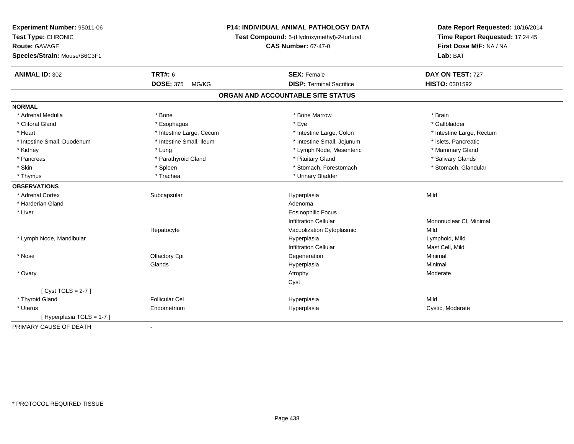| Time Report Requested: 17:24:45<br>Test Type: CHRONIC<br>Test Compound: 5-(Hydroxymethyl)-2-furfural<br>First Dose M/F: NA / NA<br><b>CAS Number: 67-47-0</b><br><b>Route: GAVAGE</b><br>Species/Strain: Mouse/B6C3F1<br>Lab: BAT<br><b>TRT#: 6</b><br><b>ANIMAL ID: 302</b><br><b>SEX: Female</b><br>DAY ON TEST: 727 | Experiment Number: 95011-06 | <b>P14: INDIVIDUAL ANIMAL PATHOLOGY DATA</b> |                                 | Date Report Requested: 10/16/2014 |  |
|------------------------------------------------------------------------------------------------------------------------------------------------------------------------------------------------------------------------------------------------------------------------------------------------------------------------|-----------------------------|----------------------------------------------|---------------------------------|-----------------------------------|--|
|                                                                                                                                                                                                                                                                                                                        |                             |                                              |                                 |                                   |  |
|                                                                                                                                                                                                                                                                                                                        |                             |                                              |                                 |                                   |  |
|                                                                                                                                                                                                                                                                                                                        |                             |                                              |                                 |                                   |  |
|                                                                                                                                                                                                                                                                                                                        |                             |                                              |                                 |                                   |  |
|                                                                                                                                                                                                                                                                                                                        |                             | <b>DOSE: 375</b><br>MG/KG                    | <b>DISP: Terminal Sacrifice</b> | HISTO: 0301592                    |  |
| ORGAN AND ACCOUNTABLE SITE STATUS                                                                                                                                                                                                                                                                                      |                             |                                              |                                 |                                   |  |
| <b>NORMAL</b>                                                                                                                                                                                                                                                                                                          |                             |                                              |                                 |                                   |  |
| * Adrenal Medulla<br>* Bone<br>* Bone Marrow<br>* Brain                                                                                                                                                                                                                                                                |                             |                                              |                                 |                                   |  |
| * Clitoral Gland<br>* Eye<br>* Gallbladder<br>* Esophagus                                                                                                                                                                                                                                                              |                             |                                              |                                 |                                   |  |
| * Heart<br>* Intestine Large, Cecum<br>* Intestine Large, Colon<br>* Intestine Large, Rectum                                                                                                                                                                                                                           |                             |                                              |                                 |                                   |  |
| * Intestine Small, Duodenum<br>* Intestine Small, Ileum<br>* Intestine Small, Jejunum<br>* Islets, Pancreatic                                                                                                                                                                                                          |                             |                                              |                                 |                                   |  |
| * Mammary Gland<br>* Kidney<br>* Lung<br>* Lymph Node, Mesenteric                                                                                                                                                                                                                                                      |                             |                                              |                                 |                                   |  |
| * Salivary Glands<br>* Pancreas<br>* Parathyroid Gland<br>* Pituitary Gland                                                                                                                                                                                                                                            |                             |                                              |                                 |                                   |  |
| * Stomach, Glandular<br>* Skin<br>* Stomach, Forestomach<br>* Spleen                                                                                                                                                                                                                                                   |                             |                                              |                                 |                                   |  |
| * Urinary Bladder<br>* Thymus<br>* Trachea                                                                                                                                                                                                                                                                             |                             |                                              |                                 |                                   |  |
| <b>OBSERVATIONS</b>                                                                                                                                                                                                                                                                                                    |                             |                                              |                                 |                                   |  |
| * Adrenal Cortex<br>Subcapsular<br>Mild<br>Hyperplasia                                                                                                                                                                                                                                                                 |                             |                                              |                                 |                                   |  |
| * Harderian Gland<br>Adenoma                                                                                                                                                                                                                                                                                           |                             |                                              |                                 |                                   |  |
| * Liver<br><b>Eosinophilic Focus</b>                                                                                                                                                                                                                                                                                   |                             |                                              |                                 |                                   |  |
| <b>Infiltration Cellular</b><br>Mononuclear CI, Minimal                                                                                                                                                                                                                                                                |                             |                                              |                                 |                                   |  |
| Mild<br>Hepatocyte<br>Vacuolization Cytoplasmic                                                                                                                                                                                                                                                                        |                             |                                              |                                 |                                   |  |
| * Lymph Node, Mandibular<br>Hyperplasia<br>Lymphoid, Mild                                                                                                                                                                                                                                                              |                             |                                              |                                 |                                   |  |
| <b>Infiltration Cellular</b><br>Mast Cell, Mild                                                                                                                                                                                                                                                                        |                             |                                              |                                 |                                   |  |
| * Nose<br>Olfactory Epi<br>Degeneration<br>Minimal                                                                                                                                                                                                                                                                     |                             |                                              |                                 |                                   |  |
| Glands<br>Hyperplasia<br>Minimal                                                                                                                                                                                                                                                                                       |                             |                                              |                                 |                                   |  |
| * Ovary<br>Atrophy<br>Moderate                                                                                                                                                                                                                                                                                         |                             |                                              |                                 |                                   |  |
| Cyst                                                                                                                                                                                                                                                                                                                   |                             |                                              |                                 |                                   |  |
| [Cyst TGLS = $2-7$ ]                                                                                                                                                                                                                                                                                                   |                             |                                              |                                 |                                   |  |
| * Thyroid Gland<br><b>Follicular Cel</b><br>Mild<br>Hyperplasia                                                                                                                                                                                                                                                        |                             |                                              |                                 |                                   |  |
| * Uterus<br>Endometrium<br>Hyperplasia<br>Cystic, Moderate                                                                                                                                                                                                                                                             |                             |                                              |                                 |                                   |  |
| [Hyperplasia TGLS = 1-7]                                                                                                                                                                                                                                                                                               |                             |                                              |                                 |                                   |  |
| PRIMARY CAUSE OF DEATH<br>$\blacksquare$                                                                                                                                                                                                                                                                               |                             |                                              |                                 |                                   |  |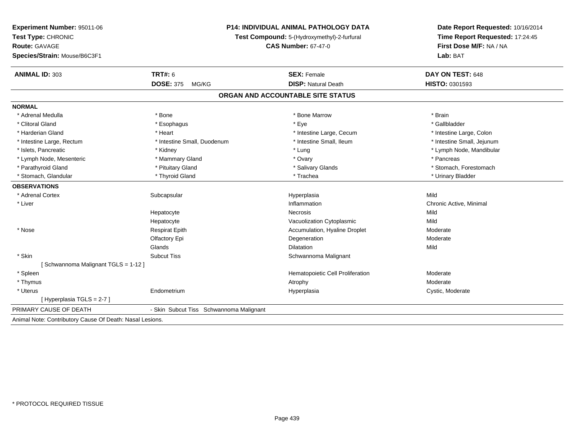| <b>Experiment Number: 95011-06</b>                       | <b>P14: INDIVIDUAL ANIMAL PATHOLOGY DATA</b><br>Test Compound: 5-(Hydroxymethyl)-2-furfural |                                   | Date Report Requested: 10/16/2014 |  |
|----------------------------------------------------------|---------------------------------------------------------------------------------------------|-----------------------------------|-----------------------------------|--|
| Test Type: CHRONIC                                       |                                                                                             |                                   | Time Report Requested: 17:24:45   |  |
| Route: GAVAGE                                            |                                                                                             | <b>CAS Number: 67-47-0</b>        | First Dose M/F: NA / NA           |  |
| Species/Strain: Mouse/B6C3F1                             |                                                                                             |                                   | Lab: BAT                          |  |
| <b>ANIMAL ID: 303</b>                                    | TRT#: 6                                                                                     | <b>SEX: Female</b>                | DAY ON TEST: 648                  |  |
|                                                          | <b>DOSE: 375</b><br>MG/KG                                                                   | <b>DISP: Natural Death</b>        | <b>HISTO: 0301593</b>             |  |
|                                                          |                                                                                             | ORGAN AND ACCOUNTABLE SITE STATUS |                                   |  |
| <b>NORMAL</b>                                            |                                                                                             |                                   |                                   |  |
| * Adrenal Medulla                                        | * Bone                                                                                      | * Bone Marrow                     | * Brain                           |  |
| * Clitoral Gland                                         | * Esophagus                                                                                 | * Eve                             | * Gallbladder                     |  |
| * Harderian Gland                                        | * Heart                                                                                     | * Intestine Large, Cecum          | * Intestine Large, Colon          |  |
| * Intestine Large, Rectum                                | * Intestine Small, Duodenum                                                                 | * Intestine Small. Ileum          | * Intestine Small, Jejunum        |  |
| * Islets, Pancreatic                                     | * Kidney                                                                                    | * Lung                            | * Lymph Node, Mandibular          |  |
| * Lymph Node, Mesenteric                                 | * Mammary Gland                                                                             | * Ovary                           | * Pancreas                        |  |
| * Parathyroid Gland                                      | * Pituitary Gland                                                                           | * Salivary Glands                 | * Stomach, Forestomach            |  |
| * Stomach, Glandular                                     | * Thyroid Gland                                                                             | * Trachea                         | * Urinary Bladder                 |  |
| <b>OBSERVATIONS</b>                                      |                                                                                             |                                   |                                   |  |
| * Adrenal Cortex                                         | Subcapsular                                                                                 | Hyperplasia                       | Mild                              |  |
| * Liver                                                  |                                                                                             | Inflammation                      | Chronic Active, Minimal           |  |
|                                                          | Hepatocyte                                                                                  | Necrosis                          | Mild                              |  |
|                                                          | Hepatocyte                                                                                  | Vacuolization Cytoplasmic         | Mild                              |  |
| * Nose                                                   | <b>Respirat Epith</b>                                                                       | Accumulation, Hyaline Droplet     | Moderate                          |  |
|                                                          | Olfactory Epi                                                                               | Degeneration                      | Moderate                          |  |
|                                                          | Glands                                                                                      | <b>Dilatation</b>                 | Mild                              |  |
| * Skin                                                   | <b>Subcut Tiss</b>                                                                          | Schwannoma Malignant              |                                   |  |
| [Schwannoma Malignant TGLS = 1-12]                       |                                                                                             |                                   |                                   |  |
| * Spleen                                                 |                                                                                             | Hematopoietic Cell Proliferation  | Moderate                          |  |
| * Thymus                                                 |                                                                                             | Atrophy                           | Moderate                          |  |
| * Uterus                                                 | Endometrium                                                                                 | Hyperplasia                       | Cystic, Moderate                  |  |
| [Hyperplasia TGLS = $2-7$ ]                              |                                                                                             |                                   |                                   |  |
| PRIMARY CAUSE OF DEATH                                   | - Skin Subcut Tiss Schwannoma Malignant                                                     |                                   |                                   |  |
| Animal Note: Contributory Cause Of Death: Nasal Lesions. |                                                                                             |                                   |                                   |  |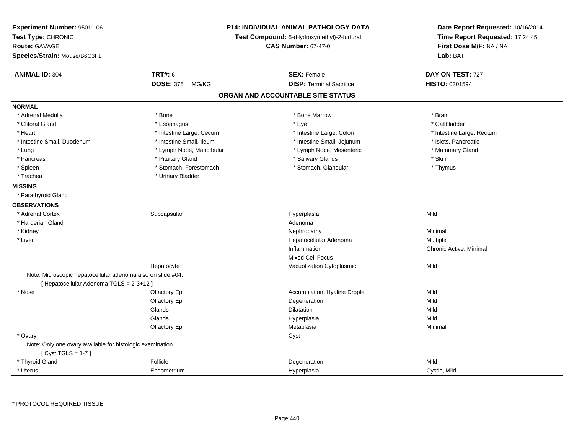| Experiment Number: 95011-06<br>Test Type: CHRONIC<br><b>Route: GAVAGE</b><br>Species/Strain: Mouse/B6C3F1 |                           | P14: INDIVIDUAL ANIMAL PATHOLOGY DATA<br>Test Compound: 5-(Hydroxymethyl)-2-furfural<br><b>CAS Number: 67-47-0</b> | Date Report Requested: 10/16/2014<br>Time Report Requested: 17:24:45<br>First Dose M/F: NA / NA<br>Lab: BAT |
|-----------------------------------------------------------------------------------------------------------|---------------------------|--------------------------------------------------------------------------------------------------------------------|-------------------------------------------------------------------------------------------------------------|
| <b>ANIMAL ID: 304</b>                                                                                     | <b>TRT#: 6</b>            | <b>SEX: Female</b>                                                                                                 | DAY ON TEST: 727                                                                                            |
|                                                                                                           | <b>DOSE: 375</b><br>MG/KG | <b>DISP: Terminal Sacrifice</b>                                                                                    | HISTO: 0301594                                                                                              |
|                                                                                                           |                           | ORGAN AND ACCOUNTABLE SITE STATUS                                                                                  |                                                                                                             |
| <b>NORMAL</b>                                                                                             |                           |                                                                                                                    |                                                                                                             |
| * Adrenal Medulla                                                                                         | * Bone                    | * Bone Marrow                                                                                                      | * Brain                                                                                                     |
| * Clitoral Gland                                                                                          | * Esophagus               | * Eye                                                                                                              | * Gallbladder                                                                                               |
| * Heart                                                                                                   | * Intestine Large, Cecum  | * Intestine Large, Colon                                                                                           | * Intestine Large, Rectum                                                                                   |
| * Intestine Small, Duodenum                                                                               | * Intestine Small, Ileum  | * Intestine Small, Jejunum                                                                                         | * Islets, Pancreatic                                                                                        |
| * Lung                                                                                                    | * Lymph Node, Mandibular  | * Lymph Node, Mesenteric                                                                                           | * Mammary Gland                                                                                             |
| * Pancreas                                                                                                | * Pituitary Gland         | * Salivary Glands                                                                                                  | * Skin                                                                                                      |
| * Spleen                                                                                                  | * Stomach, Forestomach    | * Stomach, Glandular                                                                                               | * Thymus                                                                                                    |
| * Trachea                                                                                                 | * Urinary Bladder         |                                                                                                                    |                                                                                                             |
| <b>MISSING</b>                                                                                            |                           |                                                                                                                    |                                                                                                             |
| * Parathyroid Gland                                                                                       |                           |                                                                                                                    |                                                                                                             |
| <b>OBSERVATIONS</b>                                                                                       |                           |                                                                                                                    |                                                                                                             |
| * Adrenal Cortex                                                                                          | Subcapsular               | Hyperplasia                                                                                                        | Mild                                                                                                        |
| * Harderian Gland                                                                                         |                           | Adenoma                                                                                                            |                                                                                                             |
| * Kidney                                                                                                  |                           | Nephropathy                                                                                                        | Minimal                                                                                                     |
| * Liver                                                                                                   |                           | Hepatocellular Adenoma                                                                                             | Multiple                                                                                                    |
|                                                                                                           |                           | Inflammation                                                                                                       | Chronic Active, Minimal                                                                                     |
|                                                                                                           |                           | <b>Mixed Cell Focus</b>                                                                                            |                                                                                                             |
|                                                                                                           | Hepatocyte                | Vacuolization Cytoplasmic                                                                                          | Mild                                                                                                        |
| Note: Microscopic hepatocellular adenoma also on slide #04.                                               |                           |                                                                                                                    |                                                                                                             |
| [Hepatocellular Adenoma TGLS = 2-3+12]                                                                    |                           |                                                                                                                    |                                                                                                             |
| * Nose                                                                                                    | Olfactory Epi             | Accumulation, Hyaline Droplet                                                                                      | Mild                                                                                                        |
|                                                                                                           | Olfactory Epi             | Degeneration                                                                                                       | Mild                                                                                                        |
|                                                                                                           | Glands                    | Dilatation                                                                                                         | Mild                                                                                                        |
|                                                                                                           | Glands                    | Hyperplasia                                                                                                        | Mild                                                                                                        |
|                                                                                                           | Olfactory Epi             | Metaplasia                                                                                                         | Minimal                                                                                                     |
| * Ovary                                                                                                   |                           | Cyst                                                                                                               |                                                                                                             |
| Note: Only one ovary available for histologic examination.                                                |                           |                                                                                                                    |                                                                                                             |
| [Cyst TGLS = $1-7$ ]                                                                                      |                           |                                                                                                                    |                                                                                                             |
| * Thyroid Gland                                                                                           | Follicle                  | Degeneration                                                                                                       | Mild                                                                                                        |
| * Uterus                                                                                                  | Endometrium               | Hyperplasia                                                                                                        | Cystic, Mild                                                                                                |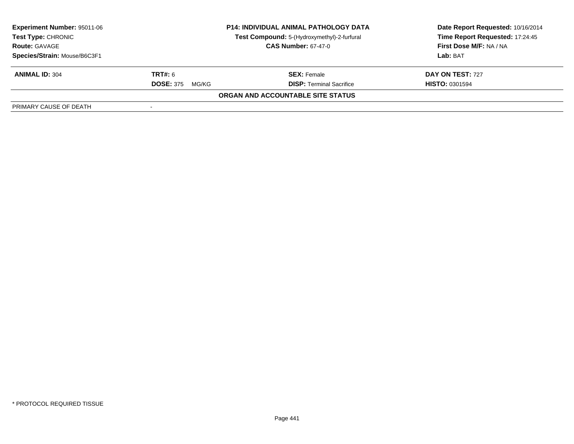| <b>Experiment Number: 95011-06</b> |                            | <b>P14: INDIVIDUAL ANIMAL PATHOLOGY DATA</b> | Date Report Requested: 10/16/2014<br>Time Report Requested: 17:24:45 |
|------------------------------------|----------------------------|----------------------------------------------|----------------------------------------------------------------------|
| <b>Test Type: CHRONIC</b>          |                            | Test Compound: 5-(Hydroxymethyl)-2-furfural  |                                                                      |
| <b>Route: GAVAGE</b>               | <b>CAS Number: 67-47-0</b> |                                              | First Dose M/F: NA / NA                                              |
| Species/Strain: Mouse/B6C3F1       |                            |                                              | Lab: BAT                                                             |
| <b>ANIMAL ID: 304</b>              | <b>TRT#:</b> 6             | <b>SEX: Female</b>                           | DAY ON TEST: 727                                                     |
|                                    | <b>DOSE: 375</b><br>MG/KG  | <b>DISP: Terminal Sacrifice</b>              | <b>HISTO: 0301594</b>                                                |
|                                    |                            | ORGAN AND ACCOUNTABLE SITE STATUS            |                                                                      |
| PRIMARY CAUSE OF DEATH             |                            |                                              |                                                                      |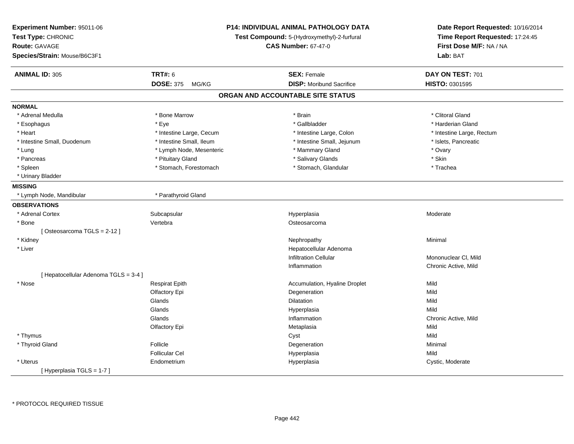| Experiment Number: 95011-06<br>Test Type: CHRONIC<br><b>Route: GAVAGE</b><br>Species/Strain: Mouse/B6C3F1 | P14: INDIVIDUAL ANIMAL PATHOLOGY DATA<br>Test Compound: 5-(Hydroxymethyl)-2-furfural<br><b>CAS Number: 67-47-0</b> |  | Date Report Requested: 10/16/2014<br>Time Report Requested: 17:24:45<br>First Dose M/F: NA / NA<br>Lab: BAT |                           |
|-----------------------------------------------------------------------------------------------------------|--------------------------------------------------------------------------------------------------------------------|--|-------------------------------------------------------------------------------------------------------------|---------------------------|
| <b>ANIMAL ID: 305</b>                                                                                     | <b>TRT#: 6</b>                                                                                                     |  | <b>SEX: Female</b>                                                                                          | DAY ON TEST: 701          |
|                                                                                                           | <b>DOSE: 375</b><br>MG/KG                                                                                          |  | <b>DISP:</b> Moribund Sacrifice                                                                             | <b>HISTO: 0301595</b>     |
|                                                                                                           |                                                                                                                    |  | ORGAN AND ACCOUNTABLE SITE STATUS                                                                           |                           |
| <b>NORMAL</b>                                                                                             |                                                                                                                    |  |                                                                                                             |                           |
| * Adrenal Medulla                                                                                         | * Bone Marrow                                                                                                      |  | * Brain                                                                                                     | * Clitoral Gland          |
| * Esophagus                                                                                               | * Eye                                                                                                              |  | * Gallbladder                                                                                               | * Harderian Gland         |
| * Heart                                                                                                   | * Intestine Large, Cecum                                                                                           |  | * Intestine Large, Colon                                                                                    | * Intestine Large, Rectum |
| * Intestine Small, Duodenum                                                                               | * Intestine Small, Ileum                                                                                           |  | * Intestine Small, Jejunum                                                                                  | * Islets, Pancreatic      |
| * Lung                                                                                                    | * Lymph Node, Mesenteric                                                                                           |  | * Mammary Gland                                                                                             | * Ovary                   |
| * Pancreas                                                                                                | * Pituitary Gland                                                                                                  |  | * Salivary Glands                                                                                           | * Skin                    |
| * Spleen                                                                                                  | * Stomach, Forestomach                                                                                             |  | * Stomach, Glandular                                                                                        | * Trachea                 |
| * Urinary Bladder                                                                                         |                                                                                                                    |  |                                                                                                             |                           |
| <b>MISSING</b>                                                                                            |                                                                                                                    |  |                                                                                                             |                           |
| * Lymph Node, Mandibular                                                                                  | * Parathyroid Gland                                                                                                |  |                                                                                                             |                           |
| <b>OBSERVATIONS</b>                                                                                       |                                                                                                                    |  |                                                                                                             |                           |
| * Adrenal Cortex                                                                                          | Subcapsular                                                                                                        |  | Hyperplasia                                                                                                 | Moderate                  |
| * Bone                                                                                                    | Vertebra                                                                                                           |  | Osteosarcoma                                                                                                |                           |
| [Osteosarcoma TGLS = 2-12]                                                                                |                                                                                                                    |  |                                                                                                             |                           |
| * Kidney                                                                                                  |                                                                                                                    |  | Nephropathy                                                                                                 | Minimal                   |
| * Liver                                                                                                   |                                                                                                                    |  | Hepatocellular Adenoma                                                                                      |                           |
|                                                                                                           |                                                                                                                    |  | <b>Infiltration Cellular</b>                                                                                | Mononuclear CI, Mild      |
|                                                                                                           |                                                                                                                    |  | Inflammation                                                                                                | Chronic Active, Mild      |
| [ Hepatocellular Adenoma TGLS = 3-4 ]                                                                     |                                                                                                                    |  |                                                                                                             |                           |
| $^{\star}$ Nose                                                                                           | <b>Respirat Epith</b>                                                                                              |  | Accumulation, Hyaline Droplet                                                                               | Mild                      |
|                                                                                                           | Olfactory Epi                                                                                                      |  | Degeneration                                                                                                | Mild                      |
|                                                                                                           | Glands                                                                                                             |  | Dilatation                                                                                                  | Mild                      |
|                                                                                                           | Glands                                                                                                             |  | Hyperplasia                                                                                                 | Mild                      |
|                                                                                                           | Glands                                                                                                             |  | Inflammation                                                                                                | Chronic Active, Mild      |
|                                                                                                           | Olfactory Epi                                                                                                      |  | Metaplasia                                                                                                  | Mild                      |
| * Thymus                                                                                                  |                                                                                                                    |  | Cyst                                                                                                        | Mild                      |
| * Thyroid Gland                                                                                           | Follicle                                                                                                           |  | Degeneration                                                                                                | Minimal                   |
|                                                                                                           | <b>Follicular Cel</b>                                                                                              |  | Hyperplasia                                                                                                 | Mild                      |
| * Uterus                                                                                                  | Endometrium                                                                                                        |  | Hyperplasia                                                                                                 | Cystic, Moderate          |
| [Hyperplasia TGLS = 1-7]                                                                                  |                                                                                                                    |  |                                                                                                             |                           |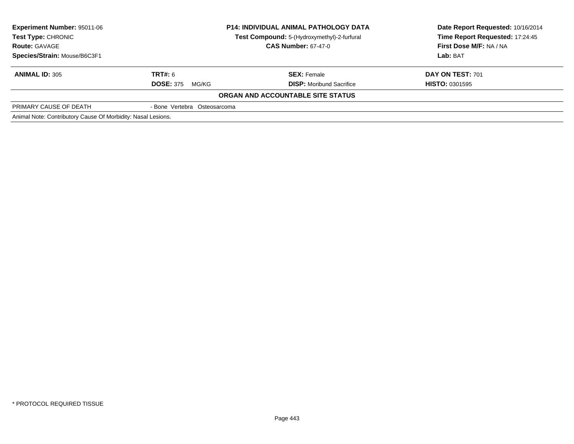| <b>Experiment Number: 95011-06</b><br><b>Test Type: CHRONIC</b><br><b>Route: GAVAGE</b> | <b>P14: INDIVIDUAL ANIMAL PATHOLOGY DATA</b><br>Test Compound: 5-(Hydroxymethyl)-2-furfural<br><b>CAS Number: 67-47-0</b> |                                          | Date Report Requested: 10/16/2014<br>Time Report Requested: 17:24:45<br>First Dose M/F: NA / NA |
|-----------------------------------------------------------------------------------------|---------------------------------------------------------------------------------------------------------------------------|------------------------------------------|-------------------------------------------------------------------------------------------------|
| Species/Strain: Mouse/B6C3F1                                                            |                                                                                                                           |                                          | Lab: BAT                                                                                        |
| <b>ANIMAL ID: 305</b>                                                                   | <b>TRT#:</b> 6                                                                                                            | <b>SEX:</b> Female                       | <b>DAY ON TEST: 701</b>                                                                         |
|                                                                                         | <b>DOSE: 375</b><br>MG/KG                                                                                                 | <b>DISP:</b> Moribund Sacrifice          | <b>HISTO: 0301595</b>                                                                           |
|                                                                                         |                                                                                                                           | <b>ORGAN AND ACCOUNTABLE SITE STATUS</b> |                                                                                                 |
| PRIMARY CAUSE OF DEATH                                                                  | - Bone Vertebra Osteosarcoma                                                                                              |                                          |                                                                                                 |
| Animal Note: Contributory Cause Of Morbidity: Nasal Lesions.                            |                                                                                                                           |                                          |                                                                                                 |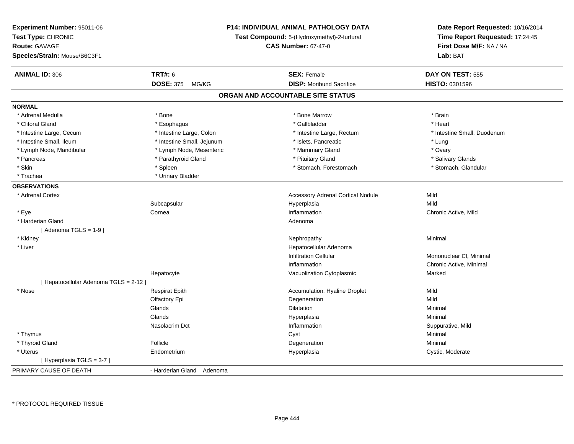| Experiment Number: 95011-06<br>Test Type: CHRONIC<br><b>Route: GAVAGE</b><br>Species/Strain: Mouse/B6C3F1 |                            | <b>P14: INDIVIDUAL ANIMAL PATHOLOGY DATA</b><br>Test Compound: 5-(Hydroxymethyl)-2-furfural<br><b>CAS Number: 67-47-0</b> | Date Report Requested: 10/16/2014<br>Time Report Requested: 17:24:45<br>First Dose M/F: NA / NA<br>Lab: BAT |
|-----------------------------------------------------------------------------------------------------------|----------------------------|---------------------------------------------------------------------------------------------------------------------------|-------------------------------------------------------------------------------------------------------------|
| <b>ANIMAL ID: 306</b>                                                                                     | <b>TRT#: 6</b>             | <b>SEX: Female</b>                                                                                                        | DAY ON TEST: 555                                                                                            |
|                                                                                                           | <b>DOSE: 375</b><br>MG/KG  | <b>DISP:</b> Moribund Sacrifice                                                                                           | HISTO: 0301596                                                                                              |
|                                                                                                           |                            | ORGAN AND ACCOUNTABLE SITE STATUS                                                                                         |                                                                                                             |
| <b>NORMAL</b>                                                                                             |                            |                                                                                                                           |                                                                                                             |
| * Adrenal Medulla                                                                                         | * Bone                     | * Bone Marrow                                                                                                             | * Brain                                                                                                     |
| * Clitoral Gland                                                                                          | * Esophagus                | * Gallbladder                                                                                                             | * Heart                                                                                                     |
| * Intestine Large, Cecum                                                                                  | * Intestine Large, Colon   | * Intestine Large, Rectum                                                                                                 | * Intestine Small, Duodenum                                                                                 |
| * Intestine Small, Ileum                                                                                  | * Intestine Small, Jejunum | * Islets, Pancreatic                                                                                                      | * Lung                                                                                                      |
| * Lymph Node, Mandibular                                                                                  | * Lymph Node, Mesenteric   | * Mammary Gland                                                                                                           | * Ovary                                                                                                     |
| * Pancreas                                                                                                | * Parathyroid Gland        | * Pituitary Gland                                                                                                         | * Salivary Glands                                                                                           |
| * Skin                                                                                                    | * Spleen                   | * Stomach, Forestomach                                                                                                    | * Stomach, Glandular                                                                                        |
| * Trachea                                                                                                 | * Urinary Bladder          |                                                                                                                           |                                                                                                             |
| <b>OBSERVATIONS</b>                                                                                       |                            |                                                                                                                           |                                                                                                             |
| * Adrenal Cortex                                                                                          |                            | <b>Accessory Adrenal Cortical Nodule</b>                                                                                  | Mild                                                                                                        |
|                                                                                                           | Subcapsular                | Hyperplasia                                                                                                               | Mild                                                                                                        |
| * Eye                                                                                                     | Cornea                     | Inflammation                                                                                                              | Chronic Active, Mild                                                                                        |
| * Harderian Gland                                                                                         |                            | Adenoma                                                                                                                   |                                                                                                             |
| [Adenoma TGLS = $1-9$ ]                                                                                   |                            |                                                                                                                           |                                                                                                             |
| * Kidney                                                                                                  |                            | Nephropathy                                                                                                               | Minimal                                                                                                     |
| * Liver                                                                                                   |                            | Hepatocellular Adenoma                                                                                                    |                                                                                                             |
|                                                                                                           |                            | <b>Infiltration Cellular</b>                                                                                              | Mononuclear CI, Minimal                                                                                     |
|                                                                                                           |                            | Inflammation                                                                                                              | Chronic Active, Minimal                                                                                     |
|                                                                                                           | Hepatocyte                 | Vacuolization Cytoplasmic                                                                                                 | Marked                                                                                                      |
| [ Hepatocellular Adenoma TGLS = 2-12 ]                                                                    |                            |                                                                                                                           |                                                                                                             |
| * Nose                                                                                                    | <b>Respirat Epith</b>      | Accumulation, Hyaline Droplet                                                                                             | Mild                                                                                                        |
|                                                                                                           | Olfactory Epi              | Degeneration                                                                                                              | Mild                                                                                                        |
|                                                                                                           | Glands                     | <b>Dilatation</b>                                                                                                         | Minimal                                                                                                     |
|                                                                                                           | Glands                     | Hyperplasia                                                                                                               | Minimal                                                                                                     |
|                                                                                                           | Nasolacrim Dct             | Inflammation                                                                                                              | Suppurative, Mild                                                                                           |
| * Thymus                                                                                                  |                            | Cyst                                                                                                                      | Minimal                                                                                                     |
| * Thyroid Gland                                                                                           | Follicle                   | Degeneration                                                                                                              | Minimal                                                                                                     |
| * Uterus                                                                                                  | Endometrium                | Hyperplasia                                                                                                               | Cystic, Moderate                                                                                            |
| [Hyperplasia TGLS = 3-7]                                                                                  |                            |                                                                                                                           |                                                                                                             |
| PRIMARY CAUSE OF DEATH                                                                                    | - Harderian Gland Adenoma  |                                                                                                                           |                                                                                                             |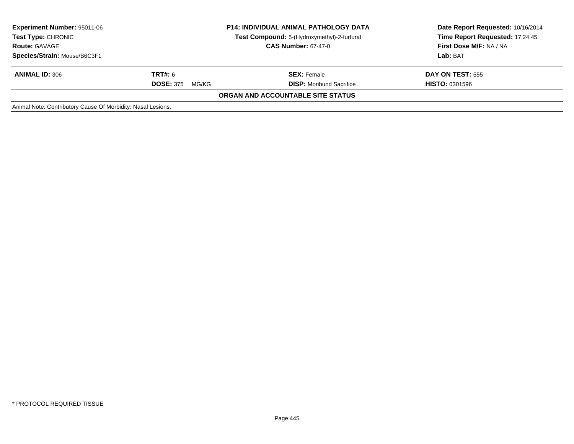| Experiment Number: 95011-06<br><b>Test Type: CHRONIC</b><br><b>Route: GAVAGE</b> | <b>P14: INDIVIDUAL ANIMAL PATHOLOGY DATA</b><br>Test Compound: 5-(Hydroxymethyl)-2-furfural<br><b>CAS Number: 67-47-0</b> |                                   | Date Report Requested: 10/16/2014<br>Time Report Requested: 17:24:45<br>First Dose M/F: NA / NA |
|----------------------------------------------------------------------------------|---------------------------------------------------------------------------------------------------------------------------|-----------------------------------|-------------------------------------------------------------------------------------------------|
| Species/Strain: Mouse/B6C3F1                                                     |                                                                                                                           |                                   | Lab: BAT                                                                                        |
| <b>ANIMAL ID: 306</b>                                                            | <b>TRT#:</b> 6                                                                                                            | <b>SEX: Female</b>                | <b>DAY ON TEST: 555</b>                                                                         |
|                                                                                  | <b>DOSE: 375</b><br>MG/KG                                                                                                 | <b>DISP:</b> Moribund Sacrifice   | <b>HISTO: 0301596</b>                                                                           |
|                                                                                  |                                                                                                                           | ORGAN AND ACCOUNTABLE SITE STATUS |                                                                                                 |
| Animal Note: Contributory Cause Of Morbidity: Nasal Lesions.                     |                                                                                                                           |                                   |                                                                                                 |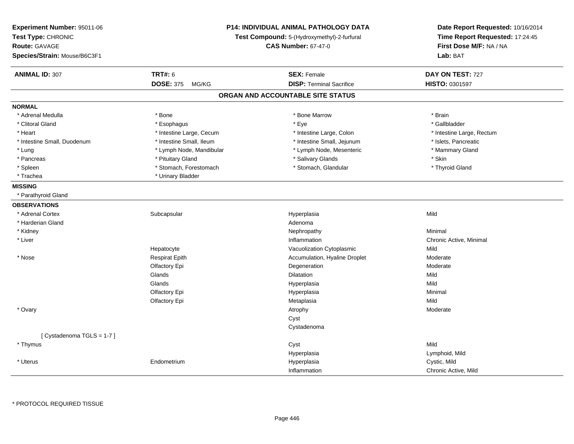| Experiment Number: 95011-06<br>Test Type: CHRONIC<br><b>Route: GAVAGE</b><br>Species/Strain: Mouse/B6C3F1 | P14: INDIVIDUAL ANIMAL PATHOLOGY DATA<br>Test Compound: 5-(Hydroxymethyl)-2-furfural<br><b>CAS Number: 67-47-0</b> |                                   | Date Report Requested: 10/16/2014<br>Time Report Requested: 17:24:45<br>First Dose M/F: NA / NA<br>Lab: BAT |
|-----------------------------------------------------------------------------------------------------------|--------------------------------------------------------------------------------------------------------------------|-----------------------------------|-------------------------------------------------------------------------------------------------------------|
| <b>ANIMAL ID: 307</b>                                                                                     | <b>TRT#: 6</b>                                                                                                     | <b>SEX: Female</b>                | DAY ON TEST: 727                                                                                            |
|                                                                                                           | <b>DOSE: 375</b><br>MG/KG                                                                                          | <b>DISP: Terminal Sacrifice</b>   | HISTO: 0301597                                                                                              |
|                                                                                                           |                                                                                                                    | ORGAN AND ACCOUNTABLE SITE STATUS |                                                                                                             |
| <b>NORMAL</b>                                                                                             |                                                                                                                    |                                   |                                                                                                             |
| * Adrenal Medulla                                                                                         | $*$ Bone                                                                                                           | * Bone Marrow                     | * Brain                                                                                                     |
| * Clitoral Gland                                                                                          | * Esophagus                                                                                                        | * Eye                             | * Gallbladder                                                                                               |
| * Heart                                                                                                   | * Intestine Large, Cecum                                                                                           | * Intestine Large, Colon          | * Intestine Large, Rectum                                                                                   |
| * Intestine Small, Duodenum                                                                               | * Intestine Small, Ileum                                                                                           | * Intestine Small, Jejunum        | * Islets, Pancreatic                                                                                        |
| * Lung                                                                                                    | * Lymph Node, Mandibular                                                                                           | * Lymph Node, Mesenteric          | * Mammary Gland                                                                                             |
| * Pancreas                                                                                                | * Pituitary Gland                                                                                                  | * Salivary Glands                 | * Skin                                                                                                      |
| * Spleen                                                                                                  | * Stomach, Forestomach                                                                                             | * Stomach, Glandular              | * Thyroid Gland                                                                                             |
| * Trachea                                                                                                 | * Urinary Bladder                                                                                                  |                                   |                                                                                                             |
| <b>MISSING</b>                                                                                            |                                                                                                                    |                                   |                                                                                                             |
| * Parathyroid Gland                                                                                       |                                                                                                                    |                                   |                                                                                                             |
| <b>OBSERVATIONS</b>                                                                                       |                                                                                                                    |                                   |                                                                                                             |
| * Adrenal Cortex                                                                                          | Subcapsular                                                                                                        | Hyperplasia                       | Mild                                                                                                        |
| * Harderian Gland                                                                                         |                                                                                                                    | Adenoma                           |                                                                                                             |
| * Kidney                                                                                                  |                                                                                                                    | Nephropathy                       | Minimal                                                                                                     |
| * Liver                                                                                                   |                                                                                                                    | Inflammation                      | Chronic Active, Minimal                                                                                     |
|                                                                                                           | Hepatocyte                                                                                                         | Vacuolization Cytoplasmic         | Mild                                                                                                        |
| * Nose                                                                                                    | <b>Respirat Epith</b>                                                                                              | Accumulation, Hyaline Droplet     | Moderate                                                                                                    |
|                                                                                                           | Olfactory Epi                                                                                                      | Degeneration                      | Moderate                                                                                                    |
|                                                                                                           | Glands                                                                                                             | Dilatation                        | Mild                                                                                                        |
|                                                                                                           | Glands                                                                                                             | Hyperplasia                       | Mild                                                                                                        |
|                                                                                                           | Olfactory Epi                                                                                                      | Hyperplasia                       | Minimal                                                                                                     |
|                                                                                                           | Olfactory Epi                                                                                                      | Metaplasia                        | Mild                                                                                                        |
| * Ovary                                                                                                   |                                                                                                                    | Atrophy                           | Moderate                                                                                                    |
|                                                                                                           |                                                                                                                    | Cyst                              |                                                                                                             |
|                                                                                                           |                                                                                                                    | Cystadenoma                       |                                                                                                             |
| [Cystadenoma TGLS = 1-7]                                                                                  |                                                                                                                    |                                   |                                                                                                             |
| * Thymus                                                                                                  |                                                                                                                    | Cyst                              | Mild                                                                                                        |
|                                                                                                           |                                                                                                                    | Hyperplasia                       | Lymphoid, Mild                                                                                              |
| * Uterus                                                                                                  | Endometrium                                                                                                        | Hyperplasia                       | Cystic, Mild                                                                                                |
|                                                                                                           |                                                                                                                    | Inflammation                      | Chronic Active, Mild                                                                                        |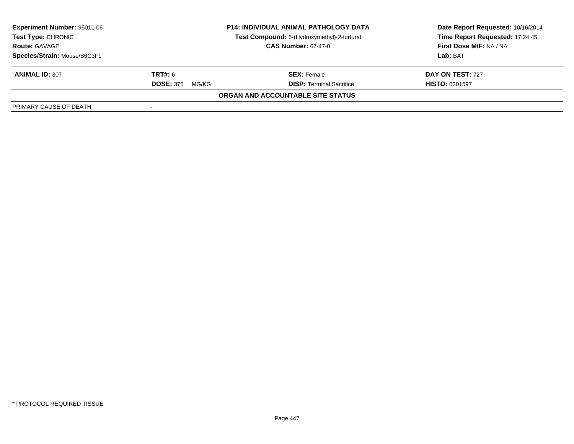| Experiment Number: 95011-06  | <b>P14: INDIVIDUAL ANIMAL PATHOLOGY DATA</b> |                                             | Date Report Requested: 10/16/2014 |
|------------------------------|----------------------------------------------|---------------------------------------------|-----------------------------------|
| <b>Test Type: CHRONIC</b>    |                                              | Test Compound: 5-(Hydroxymethyl)-2-furfural | Time Report Requested: 17:24:45   |
| <b>Route: GAVAGE</b>         |                                              | <b>CAS Number: 67-47-0</b>                  | First Dose M/F: NA / NA           |
| Species/Strain: Mouse/B6C3F1 |                                              |                                             | Lab: BAT                          |
| <b>ANIMAL ID: 307</b>        | <b>TRT#:</b> 6                               | <b>SEX:</b> Female                          | DAY ON TEST: 727                  |
|                              | <b>DOSE: 375</b><br>MG/KG                    | <b>DISP: Terminal Sacrifice</b>             | <b>HISTO: 0301597</b>             |
|                              |                                              | ORGAN AND ACCOUNTABLE SITE STATUS           |                                   |
| PRIMARY CAUSE OF DEATH       |                                              |                                             |                                   |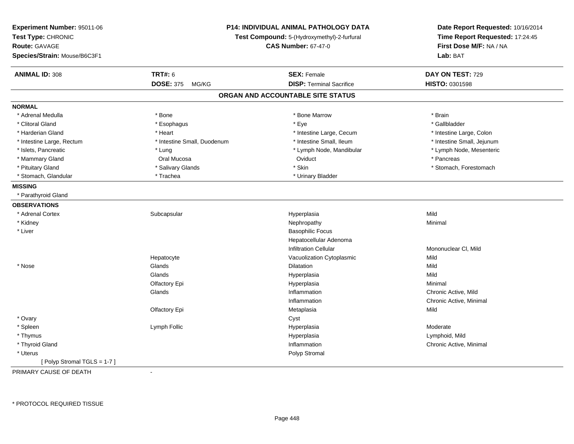| Experiment Number: 95011-06<br>Test Type: CHRONIC<br><b>Route: GAVAGE</b><br>Species/Strain: Mouse/B6C3F1 |                             | P14: INDIVIDUAL ANIMAL PATHOLOGY DATA<br>Test Compound: 5-(Hydroxymethyl)-2-furfural<br><b>CAS Number: 67-47-0</b> | Date Report Requested: 10/16/2014<br>Time Report Requested: 17:24:45<br>First Dose M/F: NA / NA<br>Lab: BAT |
|-----------------------------------------------------------------------------------------------------------|-----------------------------|--------------------------------------------------------------------------------------------------------------------|-------------------------------------------------------------------------------------------------------------|
| <b>ANIMAL ID: 308</b>                                                                                     | <b>TRT#: 6</b>              | <b>SEX: Female</b>                                                                                                 | DAY ON TEST: 729                                                                                            |
|                                                                                                           | <b>DOSE: 375</b><br>MG/KG   | <b>DISP: Terminal Sacrifice</b>                                                                                    | HISTO: 0301598                                                                                              |
|                                                                                                           |                             | ORGAN AND ACCOUNTABLE SITE STATUS                                                                                  |                                                                                                             |
| <b>NORMAL</b>                                                                                             |                             |                                                                                                                    |                                                                                                             |
| * Adrenal Medulla                                                                                         | * Bone                      | * Bone Marrow                                                                                                      | * Brain                                                                                                     |
| * Clitoral Gland                                                                                          | * Esophagus                 | * Eye                                                                                                              | * Gallbladder                                                                                               |
| * Harderian Gland                                                                                         | * Heart                     | * Intestine Large, Cecum                                                                                           | * Intestine Large, Colon                                                                                    |
| * Intestine Large, Rectum                                                                                 | * Intestine Small, Duodenum | * Intestine Small, Ileum                                                                                           | * Intestine Small, Jejunum                                                                                  |
| * Islets, Pancreatic                                                                                      | * Lung                      | * Lymph Node, Mandibular                                                                                           | * Lymph Node, Mesenteric                                                                                    |
| * Mammary Gland                                                                                           | Oral Mucosa                 | Oviduct                                                                                                            | * Pancreas                                                                                                  |
| * Pituitary Gland                                                                                         | * Salivary Glands           | * Skin                                                                                                             | * Stomach, Forestomach                                                                                      |
| * Stomach, Glandular                                                                                      | * Trachea                   | * Urinary Bladder                                                                                                  |                                                                                                             |
| <b>MISSING</b>                                                                                            |                             |                                                                                                                    |                                                                                                             |
| * Parathyroid Gland                                                                                       |                             |                                                                                                                    |                                                                                                             |
| <b>OBSERVATIONS</b>                                                                                       |                             |                                                                                                                    |                                                                                                             |
| * Adrenal Cortex                                                                                          | Subcapsular                 | Hyperplasia                                                                                                        | Mild                                                                                                        |
| * Kidney                                                                                                  |                             | Nephropathy                                                                                                        | Minimal                                                                                                     |
| * Liver                                                                                                   |                             | <b>Basophilic Focus</b>                                                                                            |                                                                                                             |
|                                                                                                           |                             | Hepatocellular Adenoma                                                                                             |                                                                                                             |
|                                                                                                           |                             | <b>Infiltration Cellular</b>                                                                                       | Mononuclear CI, Mild                                                                                        |
|                                                                                                           | Hepatocyte                  | Vacuolization Cytoplasmic                                                                                          | Mild                                                                                                        |
| * Nose                                                                                                    | Glands                      | <b>Dilatation</b>                                                                                                  | Mild                                                                                                        |
|                                                                                                           | Glands                      | Hyperplasia                                                                                                        | Mild                                                                                                        |
|                                                                                                           | Olfactory Epi               | Hyperplasia                                                                                                        | Minimal                                                                                                     |
|                                                                                                           | Glands                      | Inflammation                                                                                                       | Chronic Active, Mild                                                                                        |
|                                                                                                           |                             | Inflammation                                                                                                       | Chronic Active, Minimal                                                                                     |
|                                                                                                           | Olfactory Epi               | Metaplasia                                                                                                         | Mild                                                                                                        |
| * Ovary                                                                                                   |                             | Cyst                                                                                                               |                                                                                                             |
| * Spleen                                                                                                  | Lymph Follic                | Hyperplasia                                                                                                        | Moderate                                                                                                    |
| * Thymus                                                                                                  |                             | Hyperplasia                                                                                                        | Lymphoid, Mild                                                                                              |
| * Thyroid Gland                                                                                           |                             | Inflammation                                                                                                       | Chronic Active, Minimal                                                                                     |
| * Uterus                                                                                                  |                             | Polyp Stromal                                                                                                      |                                                                                                             |
| [Polyp Stromal TGLS = 1-7]                                                                                |                             |                                                                                                                    |                                                                                                             |

PRIMARY CAUSE OF DEATH-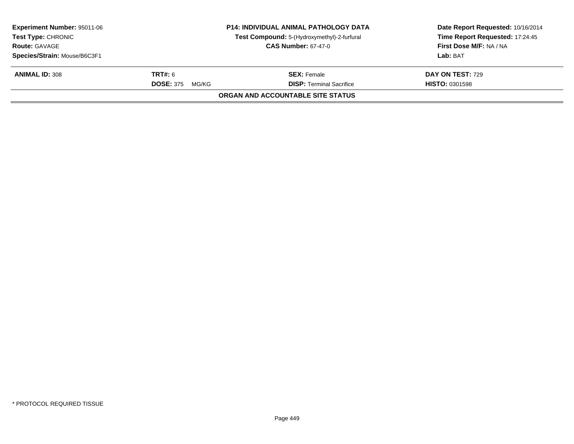| <b>Experiment Number: 95011-06</b><br><b>Test Type: CHRONIC</b> |                           | <b>P14: INDIVIDUAL ANIMAL PATHOLOGY DATA</b><br>Test Compound: 5-(Hydroxymethyl)-2-furfural | Date Report Requested: 10/16/2014<br>Time Report Requested: 17:24:45 |
|-----------------------------------------------------------------|---------------------------|---------------------------------------------------------------------------------------------|----------------------------------------------------------------------|
| <b>Route: GAVAGE</b><br><b>CAS Number: 67-47-0</b>              |                           |                                                                                             | <b>First Dose M/F: NA / NA</b>                                       |
| Species/Strain: Mouse/B6C3F1                                    |                           |                                                                                             | Lab: BAT                                                             |
| <b>ANIMAL ID: 308</b>                                           | <b>TRT#:</b> 6            | <b>SEX:</b> Female                                                                          | <b>DAY ON TEST: 729</b>                                              |
|                                                                 | <b>DOSE: 375</b><br>MG/KG | <b>DISP: Terminal Sacrifice</b>                                                             | <b>HISTO: 0301598</b>                                                |
|                                                                 |                           | ORGAN AND ACCOUNTABLE SITE STATUS                                                           |                                                                      |
|                                                                 |                           |                                                                                             |                                                                      |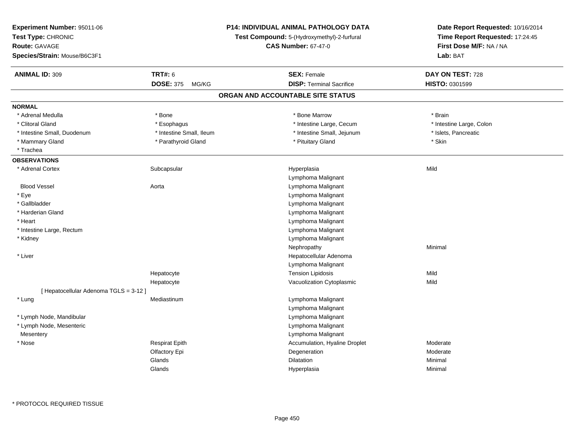| Experiment Number: 95011-06            |                           | <b>P14: INDIVIDUAL ANIMAL PATHOLOGY DATA</b> | Date Report Requested: 10/16/2014<br>Time Report Requested: 17:24:45 |  |
|----------------------------------------|---------------------------|----------------------------------------------|----------------------------------------------------------------------|--|
| Test Type: CHRONIC                     |                           | Test Compound: 5-(Hydroxymethyl)-2-furfural  |                                                                      |  |
| <b>Route: GAVAGE</b>                   |                           | <b>CAS Number: 67-47-0</b>                   | First Dose M/F: NA / NA                                              |  |
| Species/Strain: Mouse/B6C3F1           |                           |                                              | Lab: BAT                                                             |  |
| <b>ANIMAL ID: 309</b>                  | <b>TRT#: 6</b>            | <b>SEX: Female</b>                           | DAY ON TEST: 728                                                     |  |
|                                        | <b>DOSE: 375</b><br>MG/KG | <b>DISP: Terminal Sacrifice</b>              | HISTO: 0301599                                                       |  |
|                                        |                           | ORGAN AND ACCOUNTABLE SITE STATUS            |                                                                      |  |
| <b>NORMAL</b>                          |                           |                                              |                                                                      |  |
| * Adrenal Medulla                      | * Bone                    | * Bone Marrow                                | * Brain                                                              |  |
| * Clitoral Gland                       | * Esophagus               | * Intestine Large, Cecum                     | * Intestine Large, Colon                                             |  |
| * Intestine Small, Duodenum            | * Intestine Small, Ileum  | * Intestine Small, Jejunum                   | * Islets, Pancreatic                                                 |  |
| * Mammary Gland                        | * Parathyroid Gland       | * Pituitary Gland                            | * Skin                                                               |  |
| * Trachea                              |                           |                                              |                                                                      |  |
| <b>OBSERVATIONS</b>                    |                           |                                              |                                                                      |  |
| * Adrenal Cortex                       | Subcapsular               | Hyperplasia                                  | Mild                                                                 |  |
|                                        |                           | Lymphoma Malignant                           |                                                                      |  |
| <b>Blood Vessel</b>                    | Aorta                     | Lymphoma Malignant                           |                                                                      |  |
| * Eye                                  |                           | Lymphoma Malignant                           |                                                                      |  |
| * Gallbladder                          |                           | Lymphoma Malignant                           |                                                                      |  |
| * Harderian Gland                      |                           | Lymphoma Malignant                           |                                                                      |  |
| * Heart                                |                           | Lymphoma Malignant                           |                                                                      |  |
| * Intestine Large, Rectum              |                           | Lymphoma Malignant                           |                                                                      |  |
| * Kidney                               |                           | Lymphoma Malignant                           |                                                                      |  |
|                                        |                           | Nephropathy                                  | Minimal                                                              |  |
| * Liver                                |                           | Hepatocellular Adenoma                       |                                                                      |  |
|                                        |                           | Lymphoma Malignant                           |                                                                      |  |
|                                        | Hepatocyte                | <b>Tension Lipidosis</b>                     | Mild                                                                 |  |
|                                        | Hepatocyte                | Vacuolization Cytoplasmic                    | Mild                                                                 |  |
| [ Hepatocellular Adenoma TGLS = 3-12 ] |                           |                                              |                                                                      |  |
| * Lung                                 | Mediastinum               | Lymphoma Malignant                           |                                                                      |  |
|                                        |                           | Lymphoma Malignant                           |                                                                      |  |
| * Lymph Node, Mandibular               |                           | Lymphoma Malignant                           |                                                                      |  |
| * Lymph Node, Mesenteric               |                           | Lymphoma Malignant                           |                                                                      |  |
| Mesentery                              |                           | Lymphoma Malignant                           |                                                                      |  |
| $*$ Nose                               | <b>Respirat Epith</b>     | Accumulation, Hyaline Droplet                | Moderate                                                             |  |
|                                        | Olfactory Epi             | Degeneration                                 | Moderate                                                             |  |
|                                        | Glands                    | <b>Dilatation</b>                            | Minimal                                                              |  |
|                                        | Glands                    | Hyperplasia                                  | Minimal                                                              |  |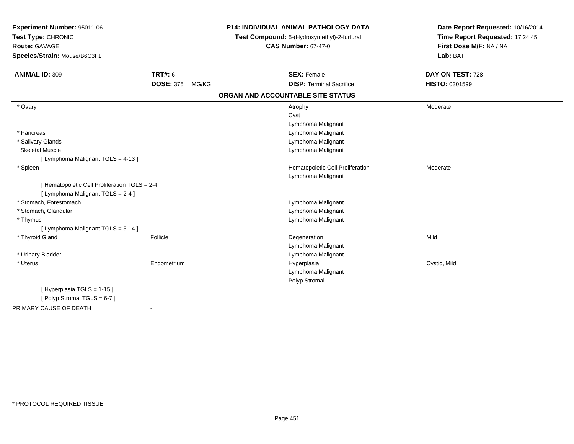| Experiment Number: 95011-06<br>Test Type: CHRONIC<br><b>Route: GAVAGE</b><br>Species/Strain: Mouse/B6C3F1 |                           | <b>P14: INDIVIDUAL ANIMAL PATHOLOGY DATA</b><br>Test Compound: 5-(Hydroxymethyl)-2-furfural<br><b>CAS Number: 67-47-0</b> | Date Report Requested: 10/16/2014<br>Time Report Requested: 17:24:45<br>First Dose M/F: NA / NA<br>Lab: BAT |
|-----------------------------------------------------------------------------------------------------------|---------------------------|---------------------------------------------------------------------------------------------------------------------------|-------------------------------------------------------------------------------------------------------------|
| <b>ANIMAL ID: 309</b>                                                                                     | <b>TRT#: 6</b>            | <b>SEX: Female</b>                                                                                                        | DAY ON TEST: 728                                                                                            |
|                                                                                                           | <b>DOSE: 375</b><br>MG/KG | <b>DISP: Terminal Sacrifice</b>                                                                                           | HISTO: 0301599                                                                                              |
|                                                                                                           |                           | ORGAN AND ACCOUNTABLE SITE STATUS                                                                                         |                                                                                                             |
| * Ovary                                                                                                   |                           | Atrophy<br>Cyst                                                                                                           | Moderate                                                                                                    |
|                                                                                                           |                           | Lymphoma Malignant                                                                                                        |                                                                                                             |
| * Pancreas                                                                                                |                           | Lymphoma Malignant                                                                                                        |                                                                                                             |
| * Salivary Glands                                                                                         |                           | Lymphoma Malignant                                                                                                        |                                                                                                             |
| <b>Skeletal Muscle</b>                                                                                    |                           | Lymphoma Malignant                                                                                                        |                                                                                                             |
| [ Lymphoma Malignant TGLS = 4-13 ]                                                                        |                           |                                                                                                                           |                                                                                                             |
| * Spleen                                                                                                  |                           | Hematopoietic Cell Proliferation                                                                                          | Moderate                                                                                                    |
|                                                                                                           |                           | Lymphoma Malignant                                                                                                        |                                                                                                             |
| [ Hematopoietic Cell Proliferation TGLS = 2-4 ]                                                           |                           |                                                                                                                           |                                                                                                             |
| [ Lymphoma Malignant TGLS = 2-4 ]                                                                         |                           |                                                                                                                           |                                                                                                             |
| * Stomach, Forestomach                                                                                    |                           | Lymphoma Malignant                                                                                                        |                                                                                                             |
| * Stomach, Glandular                                                                                      |                           | Lymphoma Malignant                                                                                                        |                                                                                                             |
| * Thymus                                                                                                  |                           | Lymphoma Malignant                                                                                                        |                                                                                                             |
| [ Lymphoma Malignant TGLS = 5-14 ]                                                                        |                           |                                                                                                                           |                                                                                                             |
| * Thyroid Gland                                                                                           | Follicle                  | Degeneration                                                                                                              | Mild                                                                                                        |
|                                                                                                           |                           | Lymphoma Malignant                                                                                                        |                                                                                                             |
| * Urinary Bladder                                                                                         |                           | Lymphoma Malignant                                                                                                        |                                                                                                             |
| * Uterus                                                                                                  | Endometrium               | Hyperplasia                                                                                                               | Cystic, Mild                                                                                                |
|                                                                                                           |                           | Lymphoma Malignant                                                                                                        |                                                                                                             |
|                                                                                                           |                           | Polyp Stromal                                                                                                             |                                                                                                             |
| [Hyperplasia TGLS = 1-15]<br>[Polyp Stromal TGLS = 6-7]                                                   |                           |                                                                                                                           |                                                                                                             |
|                                                                                                           |                           |                                                                                                                           |                                                                                                             |
| PRIMARY CAUSE OF DEATH                                                                                    | $\blacksquare$            |                                                                                                                           |                                                                                                             |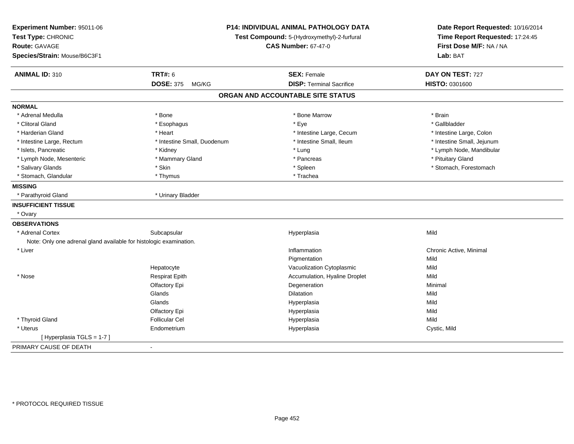| Experiment Number: 95011-06<br>Test Type: CHRONIC                  |                             | P14: INDIVIDUAL ANIMAL PATHOLOGY DATA<br>Test Compound: 5-(Hydroxymethyl)-2-furfural | Date Report Requested: 10/16/2014<br>Time Report Requested: 17:24:45 |
|--------------------------------------------------------------------|-----------------------------|--------------------------------------------------------------------------------------|----------------------------------------------------------------------|
| Route: GAVAGE                                                      |                             | <b>CAS Number: 67-47-0</b>                                                           | First Dose M/F: NA / NA                                              |
| Species/Strain: Mouse/B6C3F1                                       |                             |                                                                                      | Lab: BAT                                                             |
| <b>ANIMAL ID: 310</b>                                              | <b>TRT#: 6</b>              | <b>SEX: Female</b>                                                                   | DAY ON TEST: 727                                                     |
|                                                                    | <b>DOSE: 375</b><br>MG/KG   | <b>DISP: Terminal Sacrifice</b>                                                      | <b>HISTO: 0301600</b>                                                |
|                                                                    |                             | ORGAN AND ACCOUNTABLE SITE STATUS                                                    |                                                                      |
| <b>NORMAL</b>                                                      |                             |                                                                                      |                                                                      |
| * Adrenal Medulla                                                  | * Bone                      | * Bone Marrow                                                                        | * Brain                                                              |
| * Clitoral Gland                                                   | * Esophagus                 | * Eye                                                                                | * Gallbladder                                                        |
| * Harderian Gland                                                  | * Heart                     | * Intestine Large, Cecum                                                             | * Intestine Large, Colon                                             |
| * Intestine Large, Rectum                                          | * Intestine Small, Duodenum | * Intestine Small, Ileum                                                             | * Intestine Small, Jejunum                                           |
| * Islets, Pancreatic                                               | * Kidney                    | * Lung                                                                               | * Lymph Node, Mandibular                                             |
| * Lymph Node, Mesenteric                                           | * Mammary Gland             | * Pancreas                                                                           | * Pituitary Gland                                                    |
| * Salivary Glands                                                  | * Skin                      | * Spleen                                                                             | * Stomach, Forestomach                                               |
| * Stomach, Glandular                                               | * Thymus                    | * Trachea                                                                            |                                                                      |
| <b>MISSING</b>                                                     |                             |                                                                                      |                                                                      |
| * Parathyroid Gland                                                | * Urinary Bladder           |                                                                                      |                                                                      |
| <b>INSUFFICIENT TISSUE</b>                                         |                             |                                                                                      |                                                                      |
| * Ovary                                                            |                             |                                                                                      |                                                                      |
| <b>OBSERVATIONS</b>                                                |                             |                                                                                      |                                                                      |
| * Adrenal Cortex                                                   | Subcapsular                 | Hyperplasia                                                                          | Mild                                                                 |
| Note: Only one adrenal gland available for histologic examination. |                             |                                                                                      |                                                                      |
| * Liver                                                            |                             | Inflammation                                                                         | Chronic Active, Minimal                                              |
|                                                                    |                             | Pigmentation                                                                         | Mild                                                                 |
|                                                                    | Hepatocyte                  | Vacuolization Cytoplasmic                                                            | Mild                                                                 |
| * Nose                                                             | <b>Respirat Epith</b>       | Accumulation, Hyaline Droplet                                                        | Mild                                                                 |
|                                                                    | Olfactory Epi               | Degeneration                                                                         | Minimal                                                              |
|                                                                    | Glands                      | <b>Dilatation</b>                                                                    | Mild                                                                 |
|                                                                    | Glands                      | Hyperplasia                                                                          | Mild                                                                 |
|                                                                    | Olfactory Epi               | Hyperplasia                                                                          | Mild                                                                 |
| * Thyroid Gland                                                    | <b>Follicular Cel</b>       | Hyperplasia                                                                          | Mild                                                                 |
| * Uterus                                                           | Endometrium                 | Hyperplasia                                                                          | Cystic, Mild                                                         |
| [Hyperplasia TGLS = 1-7]                                           |                             |                                                                                      |                                                                      |
| PRIMARY CAUSE OF DEATH                                             | $\blacksquare$              |                                                                                      |                                                                      |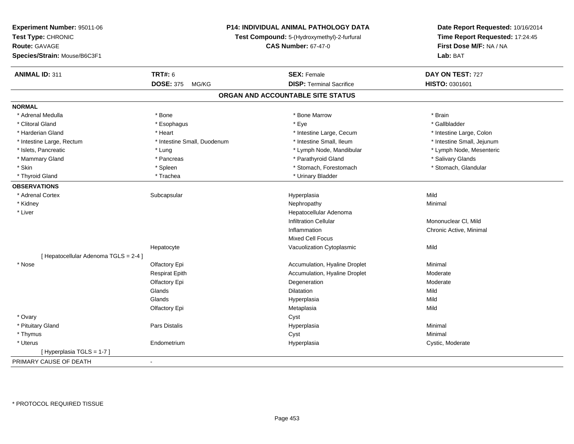| Experiment Number: 95011-06           |                                                                           | P14: INDIVIDUAL ANIMAL PATHOLOGY DATA | Date Report Requested: 10/16/2014                          |  |
|---------------------------------------|---------------------------------------------------------------------------|---------------------------------------|------------------------------------------------------------|--|
| Test Type: CHRONIC                    | Test Compound: 5-(Hydroxymethyl)-2-furfural<br><b>CAS Number: 67-47-0</b> |                                       | Time Report Requested: 17:24:45<br>First Dose M/F: NA / NA |  |
| <b>Route: GAVAGE</b>                  |                                                                           |                                       |                                                            |  |
| Species/Strain: Mouse/B6C3F1          |                                                                           |                                       | Lab: BAT                                                   |  |
| <b>ANIMAL ID: 311</b>                 | <b>TRT#: 6</b>                                                            | <b>SEX: Female</b>                    | DAY ON TEST: 727                                           |  |
|                                       | DOSE: 375 MG/KG                                                           | <b>DISP: Terminal Sacrifice</b>       | HISTO: 0301601                                             |  |
|                                       |                                                                           | ORGAN AND ACCOUNTABLE SITE STATUS     |                                                            |  |
| <b>NORMAL</b>                         |                                                                           |                                       |                                                            |  |
| * Adrenal Medulla                     | * Bone                                                                    | * Bone Marrow                         | * Brain                                                    |  |
| * Clitoral Gland                      | * Esophagus                                                               | * Eye                                 | * Gallbladder                                              |  |
| * Harderian Gland                     | * Heart                                                                   | * Intestine Large, Cecum              | * Intestine Large, Colon                                   |  |
| * Intestine Large, Rectum             | * Intestine Small, Duodenum                                               | * Intestine Small, Ileum              | * Intestine Small, Jejunum                                 |  |
| * Islets, Pancreatic                  | * Lung                                                                    | * Lymph Node, Mandibular              | * Lymph Node, Mesenteric                                   |  |
| * Mammary Gland                       | * Pancreas                                                                | * Parathyroid Gland                   | * Salivary Glands                                          |  |
| * Skin                                | * Spleen                                                                  | * Stomach, Forestomach                | * Stomach, Glandular                                       |  |
| * Thyroid Gland                       | * Trachea                                                                 | * Urinary Bladder                     |                                                            |  |
| <b>OBSERVATIONS</b>                   |                                                                           |                                       |                                                            |  |
| * Adrenal Cortex                      | Subcapsular                                                               | Hyperplasia                           | Mild                                                       |  |
| * Kidney                              |                                                                           | Nephropathy                           | Minimal                                                    |  |
| * Liver                               |                                                                           | Hepatocellular Adenoma                |                                                            |  |
|                                       |                                                                           | Infiltration Cellular                 | Mononuclear CI, Mild                                       |  |
|                                       |                                                                           | Inflammation                          | Chronic Active, Minimal                                    |  |
|                                       |                                                                           | Mixed Cell Focus                      |                                                            |  |
|                                       | Hepatocyte                                                                | Vacuolization Cytoplasmic             | Mild                                                       |  |
| [ Hepatocellular Adenoma TGLS = 2-4 ] |                                                                           |                                       |                                                            |  |
| * Nose                                | Olfactory Epi                                                             | Accumulation, Hyaline Droplet         | Minimal                                                    |  |
|                                       | <b>Respirat Epith</b>                                                     | Accumulation, Hyaline Droplet         | Moderate                                                   |  |
|                                       | Olfactory Epi                                                             | Degeneration                          | Moderate                                                   |  |
|                                       | Glands                                                                    | <b>Dilatation</b>                     | Mild                                                       |  |
|                                       | Glands                                                                    | Hyperplasia                           | Mild                                                       |  |
|                                       | Olfactory Epi                                                             | Metaplasia                            | Mild                                                       |  |
| * Ovary                               |                                                                           | Cyst                                  |                                                            |  |
| * Pituitary Gland                     | Pars Distalis                                                             | Hyperplasia                           | Minimal                                                    |  |
| * Thymus                              |                                                                           | Cyst                                  | Minimal                                                    |  |
| * Uterus                              | Endometrium                                                               | Hyperplasia                           | Cystic, Moderate                                           |  |
| [Hyperplasia TGLS = 1-7]              |                                                                           |                                       |                                                            |  |
| PRIMARY CAUSE OF DEATH                | $\blacksquare$                                                            |                                       |                                                            |  |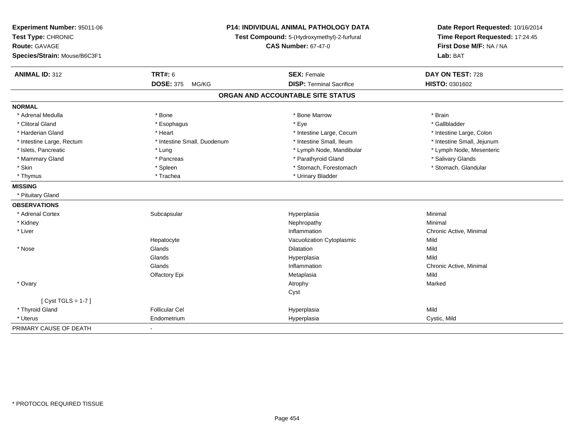| Experiment Number: 95011-06<br>Test Type: CHRONIC<br><b>Route: GAVAGE</b><br>Species/Strain: Mouse/B6C3F1 |                                    | <b>P14: INDIVIDUAL ANIMAL PATHOLOGY DATA</b><br>Test Compound: 5-(Hydroxymethyl)-2-furfural<br><b>CAS Number: 67-47-0</b> | Date Report Requested: 10/16/2014<br>Time Report Requested: 17:24:45<br>First Dose M/F: NA / NA<br>Lab: BAT |  |
|-----------------------------------------------------------------------------------------------------------|------------------------------------|---------------------------------------------------------------------------------------------------------------------------|-------------------------------------------------------------------------------------------------------------|--|
| <b>ANIMAL ID: 312</b>                                                                                     | <b>TRT#: 6</b><br><b>DOSE: 375</b> | <b>SEX: Female</b><br><b>DISP: Terminal Sacrifice</b>                                                                     | DAY ON TEST: 728                                                                                            |  |
|                                                                                                           | MG/KG                              |                                                                                                                           | HISTO: 0301602                                                                                              |  |
|                                                                                                           |                                    | ORGAN AND ACCOUNTABLE SITE STATUS                                                                                         |                                                                                                             |  |
| <b>NORMAL</b>                                                                                             |                                    |                                                                                                                           |                                                                                                             |  |
| * Adrenal Medulla                                                                                         | * Bone                             | * Bone Marrow                                                                                                             | * Brain                                                                                                     |  |
| * Clitoral Gland                                                                                          | * Esophagus                        | * Eye                                                                                                                     | * Gallbladder                                                                                               |  |
| * Harderian Gland                                                                                         | * Heart                            | * Intestine Large, Cecum                                                                                                  | * Intestine Large, Colon                                                                                    |  |
| * Intestine Large, Rectum                                                                                 | * Intestine Small, Duodenum        | * Intestine Small, Ileum                                                                                                  | * Intestine Small, Jejunum                                                                                  |  |
| * Islets, Pancreatic                                                                                      | * Lung                             | * Lymph Node, Mandibular                                                                                                  | * Lymph Node, Mesenteric                                                                                    |  |
| * Mammary Gland                                                                                           | * Pancreas                         | * Parathyroid Gland                                                                                                       | * Salivary Glands                                                                                           |  |
| * Skin                                                                                                    | * Spleen                           | * Stomach, Forestomach                                                                                                    | * Stomach, Glandular                                                                                        |  |
| * Thymus                                                                                                  | * Trachea                          | * Urinary Bladder                                                                                                         |                                                                                                             |  |
| <b>MISSING</b>                                                                                            |                                    |                                                                                                                           |                                                                                                             |  |
| * Pituitary Gland                                                                                         |                                    |                                                                                                                           |                                                                                                             |  |
| <b>OBSERVATIONS</b>                                                                                       |                                    |                                                                                                                           |                                                                                                             |  |
| * Adrenal Cortex                                                                                          | Subcapsular                        | Hyperplasia                                                                                                               | Minimal                                                                                                     |  |
| * Kidney                                                                                                  |                                    | Nephropathy                                                                                                               | Minimal                                                                                                     |  |
| * Liver                                                                                                   |                                    | Inflammation                                                                                                              | Chronic Active, Minimal                                                                                     |  |
|                                                                                                           | Hepatocyte                         | Vacuolization Cytoplasmic                                                                                                 | Mild                                                                                                        |  |
| * Nose                                                                                                    | Glands                             | <b>Dilatation</b>                                                                                                         | Mild                                                                                                        |  |
|                                                                                                           | Glands                             | Hyperplasia                                                                                                               | Mild                                                                                                        |  |
|                                                                                                           | Glands                             | Inflammation                                                                                                              | Chronic Active, Minimal                                                                                     |  |
|                                                                                                           | Olfactory Epi                      | Metaplasia                                                                                                                | Mild                                                                                                        |  |
| * Ovary                                                                                                   |                                    | Atrophy                                                                                                                   | Marked                                                                                                      |  |
|                                                                                                           |                                    | Cyst                                                                                                                      |                                                                                                             |  |
| [Cyst TGLS = $1-7$ ]                                                                                      |                                    |                                                                                                                           |                                                                                                             |  |
| * Thyroid Gland                                                                                           | <b>Follicular Cel</b>              | Hyperplasia                                                                                                               | Mild                                                                                                        |  |
| * Uterus                                                                                                  | Endometrium                        | Hyperplasia                                                                                                               | Cystic, Mild                                                                                                |  |
| PRIMARY CAUSE OF DEATH                                                                                    | $\blacksquare$                     |                                                                                                                           |                                                                                                             |  |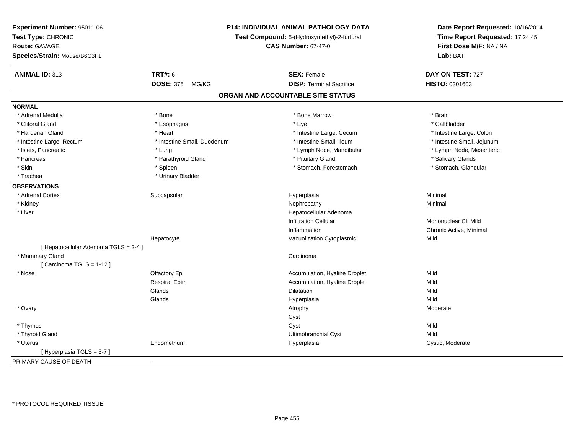| Experiment Number: 95011-06<br>Test Type: CHRONIC<br><b>Route: GAVAGE</b><br>Species/Strain: Mouse/B6C3F1 |                             | <b>P14: INDIVIDUAL ANIMAL PATHOLOGY DATA</b><br>Test Compound: 5-(Hydroxymethyl)-2-furfural<br><b>CAS Number: 67-47-0</b> | Date Report Requested: 10/16/2014<br>Time Report Requested: 17:24:45<br>First Dose M/F: NA / NA<br>Lab: BAT |
|-----------------------------------------------------------------------------------------------------------|-----------------------------|---------------------------------------------------------------------------------------------------------------------------|-------------------------------------------------------------------------------------------------------------|
| <b>ANIMAL ID: 313</b>                                                                                     | <b>TRT#: 6</b>              | <b>SEX: Female</b>                                                                                                        | DAY ON TEST: 727                                                                                            |
|                                                                                                           | <b>DOSE: 375</b><br>MG/KG   | <b>DISP: Terminal Sacrifice</b>                                                                                           | HISTO: 0301603                                                                                              |
|                                                                                                           |                             | ORGAN AND ACCOUNTABLE SITE STATUS                                                                                         |                                                                                                             |
| <b>NORMAL</b>                                                                                             |                             |                                                                                                                           |                                                                                                             |
| * Adrenal Medulla                                                                                         | * Bone                      | * Bone Marrow                                                                                                             | * Brain                                                                                                     |
| * Clitoral Gland                                                                                          | * Esophagus                 | * Eye                                                                                                                     | * Gallbladder                                                                                               |
| * Harderian Gland                                                                                         | * Heart                     | * Intestine Large, Cecum                                                                                                  | * Intestine Large, Colon                                                                                    |
| * Intestine Large, Rectum                                                                                 | * Intestine Small, Duodenum | * Intestine Small, Ileum                                                                                                  | * Intestine Small, Jejunum                                                                                  |
| * Islets, Pancreatic                                                                                      | * Lung                      | * Lymph Node, Mandibular                                                                                                  | * Lymph Node, Mesenteric                                                                                    |
| * Pancreas                                                                                                | * Parathyroid Gland         | * Pituitary Gland                                                                                                         | * Salivary Glands                                                                                           |
| * Skin                                                                                                    | * Spleen                    | * Stomach, Forestomach                                                                                                    | * Stomach, Glandular                                                                                        |
| * Trachea                                                                                                 | * Urinary Bladder           |                                                                                                                           |                                                                                                             |
| <b>OBSERVATIONS</b>                                                                                       |                             |                                                                                                                           |                                                                                                             |
| * Adrenal Cortex                                                                                          | Subcapsular                 | Hyperplasia                                                                                                               | Minimal                                                                                                     |
| * Kidney                                                                                                  |                             | Nephropathy                                                                                                               | Minimal                                                                                                     |
| * Liver                                                                                                   |                             | Hepatocellular Adenoma                                                                                                    |                                                                                                             |
|                                                                                                           |                             | <b>Infiltration Cellular</b>                                                                                              | Mononuclear CI, Mild                                                                                        |
|                                                                                                           |                             | Inflammation                                                                                                              | Chronic Active, Minimal                                                                                     |
|                                                                                                           | Hepatocyte                  | Vacuolization Cytoplasmic                                                                                                 | Mild                                                                                                        |
| [ Hepatocellular Adenoma TGLS = 2-4 ]                                                                     |                             |                                                                                                                           |                                                                                                             |
| * Mammary Gland                                                                                           |                             | Carcinoma                                                                                                                 |                                                                                                             |
| [Carcinoma TGLS = 1-12]                                                                                   |                             |                                                                                                                           |                                                                                                             |
| * Nose                                                                                                    | Olfactory Epi               | Accumulation, Hyaline Droplet                                                                                             | Mild                                                                                                        |
|                                                                                                           | <b>Respirat Epith</b>       | Accumulation, Hyaline Droplet                                                                                             | Mild                                                                                                        |
|                                                                                                           | Glands                      | Dilatation                                                                                                                | Mild                                                                                                        |
|                                                                                                           | Glands                      | Hyperplasia                                                                                                               | Mild                                                                                                        |
| * Ovary                                                                                                   |                             | Atrophy                                                                                                                   | Moderate                                                                                                    |
|                                                                                                           |                             | Cyst                                                                                                                      |                                                                                                             |
| * Thymus                                                                                                  |                             | Cyst                                                                                                                      | Mild                                                                                                        |
| * Thyroid Gland                                                                                           |                             | Ultimobranchial Cyst                                                                                                      | Mild                                                                                                        |
| * Uterus                                                                                                  | Endometrium                 | Hyperplasia                                                                                                               | Cystic, Moderate                                                                                            |
| [Hyperplasia TGLS = 3-7 ]                                                                                 |                             |                                                                                                                           |                                                                                                             |
| PRIMARY CAUSE OF DEATH                                                                                    | $\blacksquare$              |                                                                                                                           |                                                                                                             |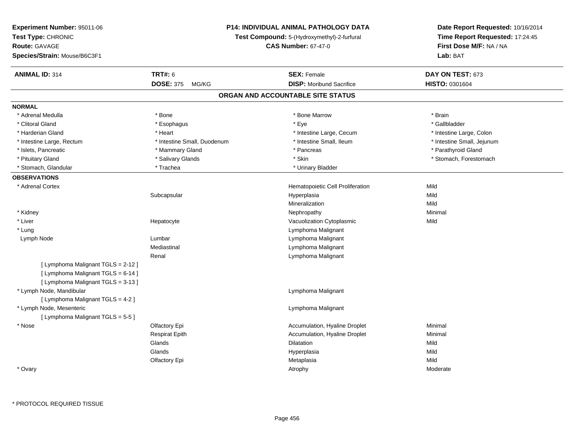| Experiment Number: 95011-06        | P14: INDIVIDUAL ANIMAL PATHOLOGY DATA<br>Test Compound: 5-(Hydroxymethyl)-2-furfural<br><b>CAS Number: 67-47-0</b> |                                   | Date Report Requested: 10/16/2014 |  |
|------------------------------------|--------------------------------------------------------------------------------------------------------------------|-----------------------------------|-----------------------------------|--|
| Test Type: CHRONIC                 |                                                                                                                    |                                   | Time Report Requested: 17:24:45   |  |
| Route: GAVAGE                      |                                                                                                                    |                                   | First Dose M/F: NA / NA           |  |
| Species/Strain: Mouse/B6C3F1       |                                                                                                                    |                                   | Lab: BAT                          |  |
| <b>ANIMAL ID: 314</b>              | <b>TRT#: 6</b>                                                                                                     | <b>SEX: Female</b>                | DAY ON TEST: 673                  |  |
|                                    | <b>DOSE: 375</b><br>MG/KG                                                                                          | <b>DISP:</b> Moribund Sacrifice   | HISTO: 0301604                    |  |
|                                    |                                                                                                                    | ORGAN AND ACCOUNTABLE SITE STATUS |                                   |  |
| <b>NORMAL</b>                      |                                                                                                                    |                                   |                                   |  |
| * Adrenal Medulla                  | * Bone                                                                                                             | * Bone Marrow                     | * Brain                           |  |
| * Clitoral Gland                   | * Esophagus                                                                                                        | * Eye                             | * Gallbladder                     |  |
| * Harderian Gland                  | * Heart                                                                                                            | * Intestine Large, Cecum          | * Intestine Large, Colon          |  |
| * Intestine Large, Rectum          | * Intestine Small, Duodenum                                                                                        | * Intestine Small, Ileum          | * Intestine Small, Jejunum        |  |
| * Islets, Pancreatic               | * Mammary Gland                                                                                                    | * Pancreas                        | * Parathyroid Gland               |  |
| * Pituitary Gland                  | * Salivary Glands                                                                                                  | $^\star$ Skin                     | * Stomach, Forestomach            |  |
| * Stomach, Glandular               | * Trachea                                                                                                          | * Urinary Bladder                 |                                   |  |
| <b>OBSERVATIONS</b>                |                                                                                                                    |                                   |                                   |  |
| * Adrenal Cortex                   |                                                                                                                    | Hematopoietic Cell Proliferation  | Mild                              |  |
|                                    | Subcapsular                                                                                                        | Hyperplasia                       | Mild                              |  |
|                                    |                                                                                                                    | Mineralization                    | Mild                              |  |
| * Kidney                           |                                                                                                                    | Nephropathy                       | Minimal                           |  |
| * Liver                            | Hepatocyte                                                                                                         | Vacuolization Cytoplasmic         | Mild                              |  |
| * Lung                             |                                                                                                                    | Lymphoma Malignant                |                                   |  |
| Lymph Node                         | Lumbar                                                                                                             | Lymphoma Malignant                |                                   |  |
|                                    | Mediastinal                                                                                                        | Lymphoma Malignant                |                                   |  |
|                                    | Renal                                                                                                              | Lymphoma Malignant                |                                   |  |
| [ Lymphoma Malignant TGLS = 2-12 ] |                                                                                                                    |                                   |                                   |  |
| [ Lymphoma Malignant TGLS = 6-14 ] |                                                                                                                    |                                   |                                   |  |
| [ Lymphoma Malignant TGLS = 3-13 ] |                                                                                                                    |                                   |                                   |  |
| * Lymph Node, Mandibular           |                                                                                                                    | Lymphoma Malignant                |                                   |  |
| [ Lymphoma Malignant TGLS = 4-2 ]  |                                                                                                                    |                                   |                                   |  |
| * Lymph Node, Mesenteric           |                                                                                                                    | Lymphoma Malignant                |                                   |  |
| [ Lymphoma Malignant TGLS = 5-5 ]  |                                                                                                                    |                                   |                                   |  |
| * Nose                             | Olfactory Epi                                                                                                      | Accumulation, Hyaline Droplet     | Minimal                           |  |
|                                    | <b>Respirat Epith</b>                                                                                              | Accumulation, Hyaline Droplet     | Minimal                           |  |
|                                    | Glands                                                                                                             | Dilatation                        | Mild                              |  |
|                                    | Glands                                                                                                             | Hyperplasia                       | Mild                              |  |
|                                    | Olfactory Epi                                                                                                      | Metaplasia                        | Mild                              |  |
| * Ovary                            |                                                                                                                    | Atrophy                           | Moderate                          |  |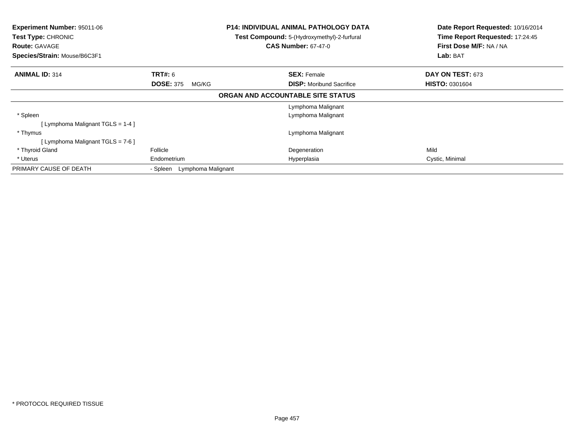| Experiment Number: 95011-06<br>Test Type: CHRONIC<br><b>Route: GAVAGE</b><br>Species/Strain: Mouse/B6C3F1 |                                | <b>P14: INDIVIDUAL ANIMAL PATHOLOGY DATA</b><br>Test Compound: 5-(Hydroxymethyl)-2-furfural<br><b>CAS Number: 67-47-0</b> | Date Report Requested: 10/16/2014<br>Time Report Requested: 17:24:45<br>First Dose M/F: NA / NA<br>Lab: BAT |
|-----------------------------------------------------------------------------------------------------------|--------------------------------|---------------------------------------------------------------------------------------------------------------------------|-------------------------------------------------------------------------------------------------------------|
| <b>ANIMAL ID: 314</b>                                                                                     | <b>TRT#: 6</b>                 | <b>SEX: Female</b>                                                                                                        | DAY ON TEST: 673                                                                                            |
|                                                                                                           | <b>DOSE: 375</b><br>MG/KG      | <b>DISP:</b> Moribund Sacrifice                                                                                           | <b>HISTO: 0301604</b>                                                                                       |
|                                                                                                           |                                | ORGAN AND ACCOUNTABLE SITE STATUS                                                                                         |                                                                                                             |
|                                                                                                           |                                | Lymphoma Malignant                                                                                                        |                                                                                                             |
| * Spleen                                                                                                  |                                | Lymphoma Malignant                                                                                                        |                                                                                                             |
| [ Lymphoma Malignant TGLS = 1-4 ]                                                                         |                                |                                                                                                                           |                                                                                                             |
| * Thymus                                                                                                  |                                | Lymphoma Malignant                                                                                                        |                                                                                                             |
| [ Lymphoma Malignant TGLS = $7-6$ ]                                                                       |                                |                                                                                                                           |                                                                                                             |
| * Thyroid Gland                                                                                           | Follicle                       | Degeneration                                                                                                              | Mild                                                                                                        |
| * Uterus                                                                                                  | Endometrium                    | Hyperplasia                                                                                                               | Cystic, Minimal                                                                                             |
| PRIMARY CAUSE OF DEATH                                                                                    | Lymphoma Malignant<br>- Spleen |                                                                                                                           |                                                                                                             |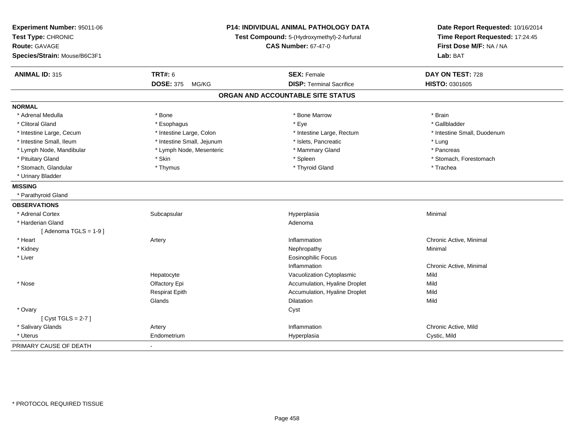| Experiment Number: 95011-06<br>Test Type: CHRONIC<br><b>Route: GAVAGE</b> |                            | <b>P14: INDIVIDUAL ANIMAL PATHOLOGY DATA</b><br>Test Compound: 5-(Hydroxymethyl)-2-furfural<br><b>CAS Number: 67-47-0</b> | Date Report Requested: 10/16/2014<br>Time Report Requested: 17:24:45<br>First Dose M/F: NA / NA<br>Lab: BAT |
|---------------------------------------------------------------------------|----------------------------|---------------------------------------------------------------------------------------------------------------------------|-------------------------------------------------------------------------------------------------------------|
| Species/Strain: Mouse/B6C3F1                                              |                            |                                                                                                                           |                                                                                                             |
| <b>ANIMAL ID: 315</b>                                                     | <b>TRT#: 6</b>             | <b>SEX: Female</b>                                                                                                        | DAY ON TEST: 728                                                                                            |
|                                                                           | <b>DOSE: 375</b><br>MG/KG  | <b>DISP: Terminal Sacrifice</b>                                                                                           | HISTO: 0301605                                                                                              |
|                                                                           |                            | ORGAN AND ACCOUNTABLE SITE STATUS                                                                                         |                                                                                                             |
| <b>NORMAL</b>                                                             |                            |                                                                                                                           |                                                                                                             |
| * Adrenal Medulla                                                         | * Bone                     | * Bone Marrow                                                                                                             | * Brain                                                                                                     |
| * Clitoral Gland                                                          | * Esophagus                | * Eye                                                                                                                     | * Gallbladder                                                                                               |
| * Intestine Large, Cecum                                                  | * Intestine Large, Colon   | * Intestine Large, Rectum                                                                                                 | * Intestine Small, Duodenum                                                                                 |
| * Intestine Small, Ileum                                                  | * Intestine Small, Jejunum | * Islets, Pancreatic                                                                                                      | * Lung                                                                                                      |
| * Lymph Node, Mandibular                                                  | * Lymph Node, Mesenteric   | * Mammary Gland                                                                                                           | * Pancreas                                                                                                  |
| * Pituitary Gland                                                         | * Skin                     | * Spleen                                                                                                                  | * Stomach, Forestomach                                                                                      |
| * Stomach, Glandular                                                      | * Thymus                   | * Thyroid Gland                                                                                                           | * Trachea                                                                                                   |
| * Urinary Bladder                                                         |                            |                                                                                                                           |                                                                                                             |
| <b>MISSING</b>                                                            |                            |                                                                                                                           |                                                                                                             |
| * Parathyroid Gland                                                       |                            |                                                                                                                           |                                                                                                             |
| <b>OBSERVATIONS</b>                                                       |                            |                                                                                                                           |                                                                                                             |
| * Adrenal Cortex                                                          | Subcapsular                | Hyperplasia                                                                                                               | Minimal                                                                                                     |
| * Harderian Gland                                                         |                            | Adenoma                                                                                                                   |                                                                                                             |
| [Adenoma TGLS = $1-9$ ]                                                   |                            |                                                                                                                           |                                                                                                             |
| * Heart                                                                   | Artery                     | Inflammation                                                                                                              | Chronic Active, Minimal                                                                                     |
| * Kidney                                                                  |                            | Nephropathy                                                                                                               | Minimal                                                                                                     |
| * Liver                                                                   |                            | <b>Eosinophilic Focus</b>                                                                                                 |                                                                                                             |
|                                                                           |                            | Inflammation                                                                                                              | Chronic Active, Minimal                                                                                     |
|                                                                           | Hepatocyte                 | Vacuolization Cytoplasmic                                                                                                 | Mild                                                                                                        |
| * Nose                                                                    | Olfactory Epi              | Accumulation, Hyaline Droplet                                                                                             | Mild                                                                                                        |
|                                                                           | <b>Respirat Epith</b>      | Accumulation, Hyaline Droplet                                                                                             | Mild                                                                                                        |
|                                                                           | Glands                     | Dilatation                                                                                                                | Mild                                                                                                        |
| * Ovary                                                                   |                            | Cyst                                                                                                                      |                                                                                                             |
| [Cyst TGLS = $2-7$ ]                                                      |                            |                                                                                                                           |                                                                                                             |
| * Salivary Glands                                                         | Artery                     | Inflammation                                                                                                              | Chronic Active, Mild                                                                                        |
| * Uterus                                                                  | Endometrium                | Hyperplasia                                                                                                               | Cystic, Mild                                                                                                |
| PRIMARY CAUSE OF DEATH                                                    |                            |                                                                                                                           |                                                                                                             |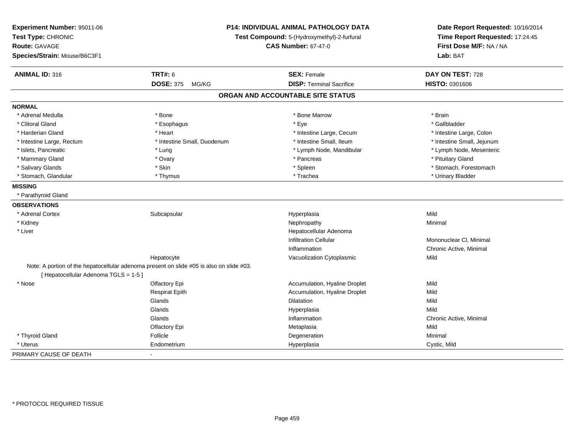| Experiment Number: 95011-06<br>Test Type: CHRONIC<br><b>Route: GAVAGE</b><br>Species/Strain: Mouse/B6C3F1 |                                                                                          | <b>P14: INDIVIDUAL ANIMAL PATHOLOGY DATA</b><br>Test Compound: 5-(Hydroxymethyl)-2-furfural<br><b>CAS Number: 67-47-0</b> | Date Report Requested: 10/16/2014<br>Time Report Requested: 17:24:45<br>First Dose M/F: NA / NA<br>Lab: BAT |
|-----------------------------------------------------------------------------------------------------------|------------------------------------------------------------------------------------------|---------------------------------------------------------------------------------------------------------------------------|-------------------------------------------------------------------------------------------------------------|
| <b>ANIMAL ID: 316</b>                                                                                     | <b>TRT#: 6</b>                                                                           | <b>SEX: Female</b>                                                                                                        | DAY ON TEST: 728                                                                                            |
|                                                                                                           | <b>DOSE: 375</b><br>MG/KG                                                                | <b>DISP: Terminal Sacrifice</b>                                                                                           | HISTO: 0301606                                                                                              |
|                                                                                                           |                                                                                          | ORGAN AND ACCOUNTABLE SITE STATUS                                                                                         |                                                                                                             |
| <b>NORMAL</b>                                                                                             |                                                                                          |                                                                                                                           |                                                                                                             |
| * Adrenal Medulla                                                                                         | * Bone                                                                                   | * Bone Marrow                                                                                                             | * Brain                                                                                                     |
| * Clitoral Gland                                                                                          | * Esophagus                                                                              | * Eye                                                                                                                     | * Gallbladder                                                                                               |
| * Harderian Gland                                                                                         | * Heart                                                                                  | * Intestine Large, Cecum                                                                                                  | * Intestine Large, Colon                                                                                    |
| * Intestine Large, Rectum                                                                                 | * Intestine Small, Duodenum                                                              | * Intestine Small, Ileum                                                                                                  | * Intestine Small, Jejunum                                                                                  |
| * Islets, Pancreatic                                                                                      | * Lung                                                                                   | * Lymph Node, Mandibular                                                                                                  | * Lymph Node, Mesenteric                                                                                    |
| * Mammary Gland                                                                                           | * Ovary                                                                                  | * Pancreas                                                                                                                | * Pituitary Gland                                                                                           |
| * Salivary Glands                                                                                         | * Skin                                                                                   | * Spleen                                                                                                                  | * Stomach, Forestomach                                                                                      |
| * Stomach, Glandular                                                                                      | * Thymus                                                                                 | * Trachea                                                                                                                 | * Urinary Bladder                                                                                           |
| <b>MISSING</b>                                                                                            |                                                                                          |                                                                                                                           |                                                                                                             |
| * Parathyroid Gland                                                                                       |                                                                                          |                                                                                                                           |                                                                                                             |
| <b>OBSERVATIONS</b>                                                                                       |                                                                                          |                                                                                                                           |                                                                                                             |
| * Adrenal Cortex                                                                                          | Subcapsular                                                                              | Hyperplasia                                                                                                               | Mild                                                                                                        |
| * Kidney                                                                                                  |                                                                                          | Nephropathy                                                                                                               | Minimal                                                                                                     |
| * Liver                                                                                                   |                                                                                          | Hepatocellular Adenoma                                                                                                    |                                                                                                             |
|                                                                                                           |                                                                                          | <b>Infiltration Cellular</b>                                                                                              | Mononuclear CI, Minimal                                                                                     |
|                                                                                                           |                                                                                          | Inflammation                                                                                                              | Chronic Active, Minimal                                                                                     |
|                                                                                                           | Hepatocyte                                                                               | Vacuolization Cytoplasmic                                                                                                 | Mild                                                                                                        |
|                                                                                                           | Note: A portion of the hepatocellular adenoma present on slide #05 is also on slide #03. |                                                                                                                           |                                                                                                             |
| [ Hepatocellular Adenoma TGLS = 1-5 ]                                                                     |                                                                                          |                                                                                                                           |                                                                                                             |
| * Nose                                                                                                    | Olfactory Epi                                                                            | Accumulation, Hyaline Droplet                                                                                             | Mild                                                                                                        |
|                                                                                                           | <b>Respirat Epith</b>                                                                    | Accumulation, Hyaline Droplet                                                                                             | Mild                                                                                                        |
|                                                                                                           | Glands                                                                                   | <b>Dilatation</b>                                                                                                         | Mild                                                                                                        |
|                                                                                                           | Glands                                                                                   | Hyperplasia                                                                                                               | Mild                                                                                                        |
|                                                                                                           | Glands                                                                                   | Inflammation                                                                                                              | Chronic Active, Minimal                                                                                     |
|                                                                                                           | Olfactory Epi                                                                            | Metaplasia                                                                                                                | Mild                                                                                                        |
| * Thyroid Gland                                                                                           | Follicle                                                                                 | Degeneration                                                                                                              | Minimal                                                                                                     |
| * Uterus                                                                                                  | Endometrium                                                                              | Hyperplasia                                                                                                               | Cystic, Mild                                                                                                |
| PRIMARY CAUSE OF DEATH                                                                                    | $\blacksquare$                                                                           |                                                                                                                           |                                                                                                             |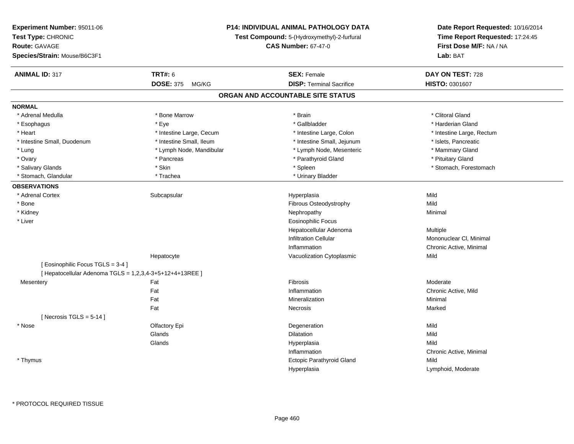| Experiment Number: 95011-06                              |                           | <b>P14: INDIVIDUAL ANIMAL PATHOLOGY DATA</b> | Date Report Requested: 10/16/2014 |
|----------------------------------------------------------|---------------------------|----------------------------------------------|-----------------------------------|
| Test Type: CHRONIC                                       |                           | Test Compound: 5-(Hydroxymethyl)-2-furfural  | Time Report Requested: 17:24:45   |
| <b>Route: GAVAGE</b>                                     |                           | <b>CAS Number: 67-47-0</b>                   | First Dose M/F: NA / NA           |
| Species/Strain: Mouse/B6C3F1                             |                           |                                              | Lab: BAT                          |
| <b>ANIMAL ID: 317</b>                                    | <b>TRT#: 6</b>            | <b>SEX: Female</b>                           | DAY ON TEST: 728                  |
|                                                          | <b>DOSE: 375</b><br>MG/KG | <b>DISP: Terminal Sacrifice</b>              | HISTO: 0301607                    |
|                                                          |                           | ORGAN AND ACCOUNTABLE SITE STATUS            |                                   |
| <b>NORMAL</b>                                            |                           |                                              |                                   |
| * Adrenal Medulla                                        | * Bone Marrow             | * Brain                                      | * Clitoral Gland                  |
| * Esophagus                                              | * Eye                     | * Gallbladder                                | * Harderian Gland                 |
| * Heart                                                  | * Intestine Large, Cecum  | * Intestine Large, Colon                     | * Intestine Large, Rectum         |
| * Intestine Small, Duodenum                              | * Intestine Small, Ileum  | * Intestine Small, Jejunum                   | * Islets, Pancreatic              |
| * Lung                                                   | * Lymph Node, Mandibular  | * Lymph Node, Mesenteric                     | * Mammary Gland                   |
| * Ovary                                                  | * Pancreas                | * Parathyroid Gland                          | * Pituitary Gland                 |
| * Salivary Glands                                        | * Skin                    | * Spleen                                     | * Stomach, Forestomach            |
| * Stomach, Glandular                                     | * Trachea                 | * Urinary Bladder                            |                                   |
| <b>OBSERVATIONS</b>                                      |                           |                                              |                                   |
| * Adrenal Cortex                                         | Subcapsular               | Hyperplasia                                  | Mild                              |
| * Bone                                                   |                           | Fibrous Osteodystrophy                       | Mild                              |
| * Kidney                                                 |                           | Nephropathy                                  | Minimal                           |
| * Liver                                                  |                           | <b>Eosinophilic Focus</b>                    |                                   |
|                                                          |                           | Hepatocellular Adenoma                       | Multiple                          |
|                                                          |                           | <b>Infiltration Cellular</b>                 | Mononuclear CI, Minimal           |
|                                                          |                           | Inflammation                                 | Chronic Active, Minimal           |
|                                                          | Hepatocyte                | Vacuolization Cytoplasmic                    | Mild                              |
| [ Eosinophilic Focus TGLS = 3-4 ]                        |                           |                                              |                                   |
| [ Hepatocellular Adenoma TGLS = 1,2,3,4-3+5+12+4+13REE ] |                           |                                              |                                   |
| Mesentery                                                | Fat                       | Fibrosis                                     | Moderate                          |
|                                                          | Fat                       | Inflammation                                 | Chronic Active, Mild              |
|                                                          | Fat                       | Mineralization                               | Minimal                           |
|                                                          | Fat                       | Necrosis                                     | Marked                            |
| [Necrosis TGLS = $5-14$ ]                                |                           |                                              |                                   |
| * Nose                                                   | Olfactory Epi             | Degeneration                                 | Mild                              |
|                                                          | Glands                    | Dilatation                                   | Mild                              |
|                                                          | Glands                    | Hyperplasia                                  | Mild                              |
|                                                          |                           | Inflammation                                 | Chronic Active, Minimal           |
| * Thymus                                                 |                           | Ectopic Parathyroid Gland                    | Mild                              |
|                                                          |                           | Hyperplasia                                  | Lymphoid, Moderate                |
|                                                          |                           |                                              |                                   |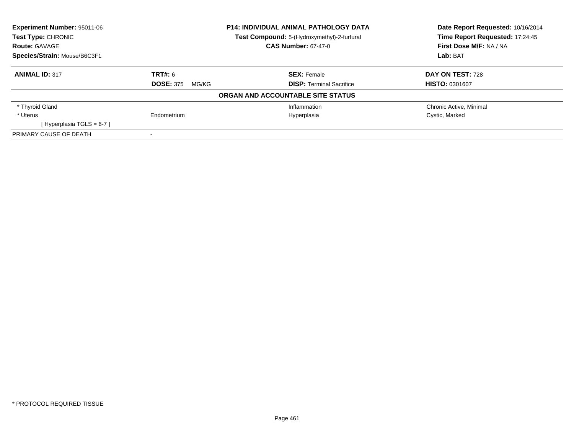| Experiment Number: 95011-06  |                                             | <b>P14: INDIVIDUAL ANIMAL PATHOLOGY DATA</b> | Date Report Requested: 10/16/2014 |
|------------------------------|---------------------------------------------|----------------------------------------------|-----------------------------------|
| <b>Test Type: CHRONIC</b>    | Test Compound: 5-(Hydroxymethyl)-2-furfural |                                              | Time Report Requested: 17:24:45   |
| <b>Route: GAVAGE</b>         |                                             | <b>CAS Number: 67-47-0</b>                   | First Dose M/F: NA / NA           |
| Species/Strain: Mouse/B6C3F1 |                                             |                                              | Lab: BAT                          |
| <b>ANIMAL ID: 317</b>        | <b>TRT#: 6</b>                              | <b>SEX: Female</b>                           | DAY ON TEST: 728                  |
|                              | <b>DOSE: 375</b><br>MG/KG                   | <b>DISP: Terminal Sacrifice</b>              | <b>HISTO: 0301607</b>             |
|                              |                                             | ORGAN AND ACCOUNTABLE SITE STATUS            |                                   |
| * Thyroid Gland              |                                             | Inflammation                                 | Chronic Active, Minimal           |
| * Uterus                     | Endometrium                                 | Hyperplasia                                  | Cystic, Marked                    |
| [Hyperplasia TGLS = $6-7$ ]  |                                             |                                              |                                   |
| PRIMARY CAUSE OF DEATH       |                                             |                                              |                                   |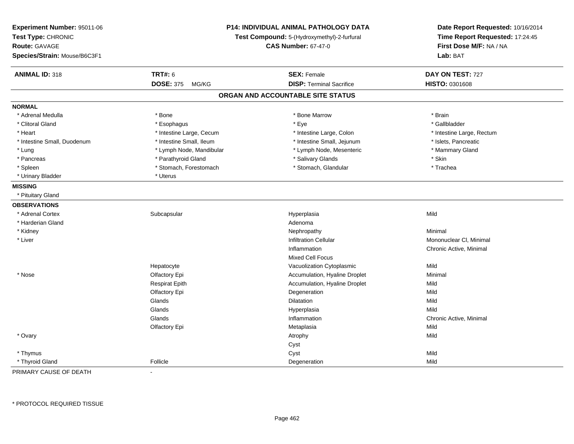| Experiment Number: 95011-06<br>Test Type: CHRONIC<br>Route: GAVAGE<br>Species/Strain: Mouse/B6C3F1 |                           | P14: INDIVIDUAL ANIMAL PATHOLOGY DATA<br>Test Compound: 5-(Hydroxymethyl)-2-furfural<br><b>CAS Number: 67-47-0</b> |                           |
|----------------------------------------------------------------------------------------------------|---------------------------|--------------------------------------------------------------------------------------------------------------------|---------------------------|
| <b>ANIMAL ID: 318</b>                                                                              | <b>TRT#: 6</b>            | <b>SEX: Female</b>                                                                                                 | DAY ON TEST: 727          |
|                                                                                                    | <b>DOSE: 375</b><br>MG/KG | <b>DISP: Terminal Sacrifice</b>                                                                                    | HISTO: 0301608            |
|                                                                                                    |                           | ORGAN AND ACCOUNTABLE SITE STATUS                                                                                  |                           |
| <b>NORMAL</b>                                                                                      |                           |                                                                                                                    |                           |
| * Adrenal Medulla                                                                                  | * Bone                    | * Bone Marrow                                                                                                      | * Brain                   |
| * Clitoral Gland                                                                                   | * Esophagus               | * Eye                                                                                                              | * Gallbladder             |
| * Heart                                                                                            | * Intestine Large, Cecum  | * Intestine Large, Colon                                                                                           | * Intestine Large, Rectum |
| * Intestine Small, Duodenum                                                                        | * Intestine Small, Ileum  | * Intestine Small, Jejunum                                                                                         | * Islets, Pancreatic      |
| * Lung                                                                                             | * Lymph Node, Mandibular  | * Lymph Node, Mesenteric                                                                                           | * Mammary Gland           |
| * Pancreas                                                                                         | * Parathyroid Gland       | * Salivary Glands                                                                                                  | * Skin                    |
| * Spleen                                                                                           | * Stomach, Forestomach    | * Stomach, Glandular                                                                                               | * Trachea                 |
| * Urinary Bladder                                                                                  | * Uterus                  |                                                                                                                    |                           |
| <b>MISSING</b>                                                                                     |                           |                                                                                                                    |                           |
| * Pituitary Gland                                                                                  |                           |                                                                                                                    |                           |
| <b>OBSERVATIONS</b>                                                                                |                           |                                                                                                                    |                           |
| * Adrenal Cortex                                                                                   | Subcapsular               | Hyperplasia                                                                                                        | Mild                      |
| * Harderian Gland                                                                                  |                           | Adenoma                                                                                                            |                           |
| * Kidney                                                                                           |                           | Nephropathy                                                                                                        | Minimal                   |
| * Liver                                                                                            |                           | <b>Infiltration Cellular</b>                                                                                       | Mononuclear CI, Minimal   |
|                                                                                                    |                           | Inflammation                                                                                                       | Chronic Active, Minimal   |
|                                                                                                    |                           | Mixed Cell Focus                                                                                                   |                           |
|                                                                                                    | Hepatocyte                | Vacuolization Cytoplasmic                                                                                          | Mild                      |
| * Nose                                                                                             | Olfactory Epi             | Accumulation, Hyaline Droplet                                                                                      | Minimal                   |
|                                                                                                    | <b>Respirat Epith</b>     | Accumulation, Hyaline Droplet                                                                                      | Mild                      |
|                                                                                                    | Olfactory Epi             | Degeneration                                                                                                       | Mild                      |
|                                                                                                    | Glands                    | <b>Dilatation</b>                                                                                                  | Mild                      |
|                                                                                                    | Glands                    | Hyperplasia                                                                                                        | Mild                      |
|                                                                                                    | Glands                    | Inflammation                                                                                                       | Chronic Active, Minimal   |
|                                                                                                    | Olfactory Epi             | Metaplasia                                                                                                         | Mild                      |
| * Ovary                                                                                            |                           | Atrophy                                                                                                            | Mild                      |
|                                                                                                    |                           | Cyst                                                                                                               |                           |
| * Thymus                                                                                           |                           | Cyst                                                                                                               | Mild                      |
| * Thyroid Gland                                                                                    | Follicle                  | Degeneration                                                                                                       | Mild                      |

PRIMARY CAUSE OF DEATH-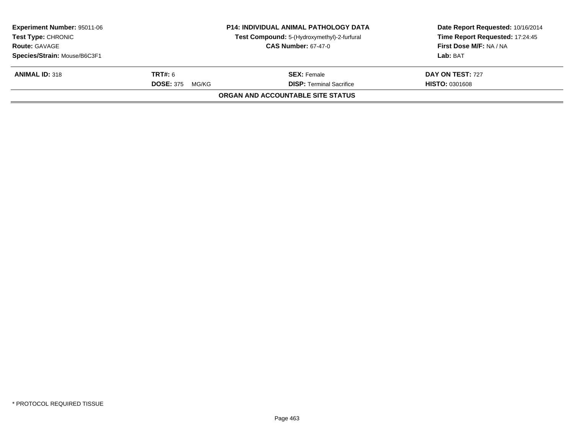| <b>Experiment Number: 95011-06</b><br><b>Test Type: CHRONIC</b> | <b>P14: INDIVIDUAL ANIMAL PATHOLOGY DATA</b><br>Test Compound: 5-(Hydroxymethyl)-2-furfural |                                   | Date Report Requested: 10/16/2014<br>Time Report Requested: 17:24:45 |
|-----------------------------------------------------------------|---------------------------------------------------------------------------------------------|-----------------------------------|----------------------------------------------------------------------|
| <b>Route: GAVAGE</b>                                            |                                                                                             | <b>CAS Number: 67-47-0</b>        | First Dose M/F: NA / NA                                              |
| Species/Strain: Mouse/B6C3F1                                    |                                                                                             |                                   | Lab: BAT                                                             |
| <b>ANIMAL ID: 318</b>                                           | <b>TRT#:</b> 6                                                                              | <b>SEX: Female</b>                | DAY ON TEST: 727                                                     |
|                                                                 | <b>DOSE: 375</b><br>MG/KG                                                                   | <b>DISP: Terminal Sacrifice</b>   | <b>HISTO: 0301608</b>                                                |
|                                                                 |                                                                                             | ORGAN AND ACCOUNTABLE SITE STATUS |                                                                      |
|                                                                 |                                                                                             |                                   |                                                                      |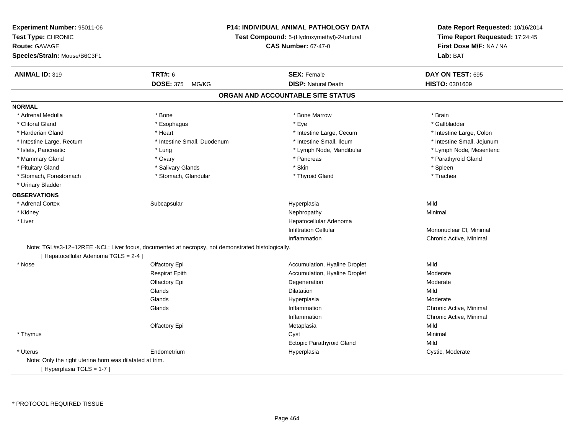| Experiment Number: 95011-06<br>Test Type: CHRONIC<br><b>Route: GAVAGE</b><br>Species/Strain: Mouse/B6C3F1 |                                                                                                   | <b>P14: INDIVIDUAL ANIMAL PATHOLOGY DATA</b><br>Test Compound: 5-(Hydroxymethyl)-2-furfural<br><b>CAS Number: 67-47-0</b> | Date Report Requested: 10/16/2014<br>Time Report Requested: 17:24:45<br>First Dose M/F: NA / NA<br>Lab: BAT |
|-----------------------------------------------------------------------------------------------------------|---------------------------------------------------------------------------------------------------|---------------------------------------------------------------------------------------------------------------------------|-------------------------------------------------------------------------------------------------------------|
|                                                                                                           |                                                                                                   |                                                                                                                           |                                                                                                             |
| <b>ANIMAL ID: 319</b>                                                                                     | <b>TRT#: 6</b>                                                                                    | <b>SEX: Female</b>                                                                                                        | DAY ON TEST: 695                                                                                            |
|                                                                                                           | <b>DOSE: 375</b><br>MG/KG                                                                         | <b>DISP: Natural Death</b>                                                                                                | HISTO: 0301609                                                                                              |
|                                                                                                           |                                                                                                   | ORGAN AND ACCOUNTABLE SITE STATUS                                                                                         |                                                                                                             |
| <b>NORMAL</b>                                                                                             |                                                                                                   |                                                                                                                           |                                                                                                             |
| * Adrenal Medulla                                                                                         | * Bone                                                                                            | * Bone Marrow                                                                                                             | * Brain                                                                                                     |
| * Clitoral Gland                                                                                          | * Esophagus                                                                                       | * Eye                                                                                                                     | * Gallbladder                                                                                               |
| * Harderian Gland                                                                                         | * Heart                                                                                           | * Intestine Large, Cecum                                                                                                  | * Intestine Large, Colon                                                                                    |
| * Intestine Large, Rectum                                                                                 | * Intestine Small, Duodenum                                                                       | * Intestine Small, Ileum                                                                                                  | * Intestine Small, Jejunum                                                                                  |
| * Islets, Pancreatic                                                                                      | * Lung                                                                                            | * Lymph Node, Mandibular                                                                                                  | * Lymph Node, Mesenteric                                                                                    |
| * Mammary Gland                                                                                           | * Ovary                                                                                           | * Pancreas                                                                                                                | * Parathyroid Gland                                                                                         |
| * Pituitary Gland                                                                                         | * Salivary Glands                                                                                 | * Skin                                                                                                                    | * Spleen                                                                                                    |
| * Stomach, Forestomach                                                                                    | * Stomach, Glandular                                                                              | * Thyroid Gland                                                                                                           | * Trachea                                                                                                   |
| * Urinary Bladder                                                                                         |                                                                                                   |                                                                                                                           |                                                                                                             |
| <b>OBSERVATIONS</b>                                                                                       |                                                                                                   |                                                                                                                           |                                                                                                             |
| * Adrenal Cortex                                                                                          | Subcapsular                                                                                       | Hyperplasia                                                                                                               | Mild                                                                                                        |
| * Kidney                                                                                                  |                                                                                                   | Nephropathy                                                                                                               | Minimal                                                                                                     |
| * Liver                                                                                                   |                                                                                                   | Hepatocellular Adenoma                                                                                                    |                                                                                                             |
|                                                                                                           |                                                                                                   | <b>Infiltration Cellular</b>                                                                                              | Mononuclear CI, Minimal                                                                                     |
|                                                                                                           |                                                                                                   | Inflammation                                                                                                              | Chronic Active, Minimal                                                                                     |
| [ Hepatocellular Adenoma TGLS = 2-4 ]                                                                     | Note: TGL#s3-12+12REE -NCL: Liver focus, documented at necropsy, not demonstrated histologically. |                                                                                                                           |                                                                                                             |
| $*$ Nose                                                                                                  | Olfactory Epi                                                                                     | Accumulation, Hyaline Droplet                                                                                             | Mild                                                                                                        |
|                                                                                                           | <b>Respirat Epith</b>                                                                             | Accumulation, Hyaline Droplet                                                                                             | Moderate                                                                                                    |
|                                                                                                           | Olfactory Epi                                                                                     | Degeneration                                                                                                              | Moderate                                                                                                    |
|                                                                                                           | Glands                                                                                            | Dilatation                                                                                                                | Mild                                                                                                        |
|                                                                                                           | Glands                                                                                            | Hyperplasia                                                                                                               | Moderate                                                                                                    |
|                                                                                                           | Glands                                                                                            | Inflammation                                                                                                              | Chronic Active, Minimal                                                                                     |
|                                                                                                           |                                                                                                   | Inflammation                                                                                                              | Chronic Active, Minimal                                                                                     |
|                                                                                                           | Olfactory Epi                                                                                     | Metaplasia                                                                                                                | Mild                                                                                                        |
| * Thymus                                                                                                  |                                                                                                   | Cyst                                                                                                                      | Minimal                                                                                                     |
|                                                                                                           |                                                                                                   | <b>Ectopic Parathyroid Gland</b>                                                                                          | Mild                                                                                                        |
| * Uterus                                                                                                  | Endometrium                                                                                       | Hyperplasia                                                                                                               | Cystic, Moderate                                                                                            |
| Note: Only the right uterine horn was dilatated at trim.                                                  |                                                                                                   |                                                                                                                           |                                                                                                             |
| [Hyperplasia TGLS = 1-7]                                                                                  |                                                                                                   |                                                                                                                           |                                                                                                             |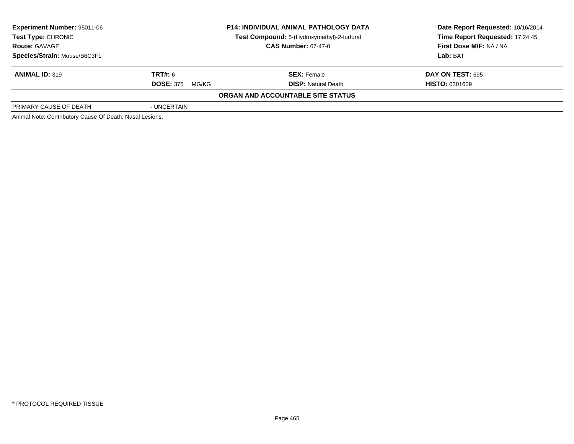| <b>Experiment Number: 95011-06</b><br>Test Type: CHRONIC | <b>P14: INDIVIDUAL ANIMAL PATHOLOGY DATA</b><br>Test Compound: 5-(Hydroxymethyl)-2-furfural |                                   | Date Report Requested: 10/16/2014<br>Time Report Requested: 17:24:45<br>First Dose M/F: NA / NA |
|----------------------------------------------------------|---------------------------------------------------------------------------------------------|-----------------------------------|-------------------------------------------------------------------------------------------------|
| <b>Route: GAVAGE</b><br>Species/Strain: Mouse/B6C3F1     |                                                                                             | <b>CAS Number: 67-47-0</b>        | Lab: BAT                                                                                        |
|                                                          |                                                                                             |                                   |                                                                                                 |
| <b>ANIMAL ID: 319</b>                                    | TRT#: 6                                                                                     | <b>SEX: Female</b>                | <b>DAY ON TEST: 695</b>                                                                         |
|                                                          | <b>DOSE: 375</b><br>MG/KG                                                                   | <b>DISP: Natural Death</b>        | <b>HISTO: 0301609</b>                                                                           |
|                                                          |                                                                                             | ORGAN AND ACCOUNTABLE SITE STATUS |                                                                                                 |
| PRIMARY CAUSE OF DEATH                                   | - UNCERTAIN                                                                                 |                                   |                                                                                                 |
| Animal Note: Contributory Cause Of Death: Nasal Lesions. |                                                                                             |                                   |                                                                                                 |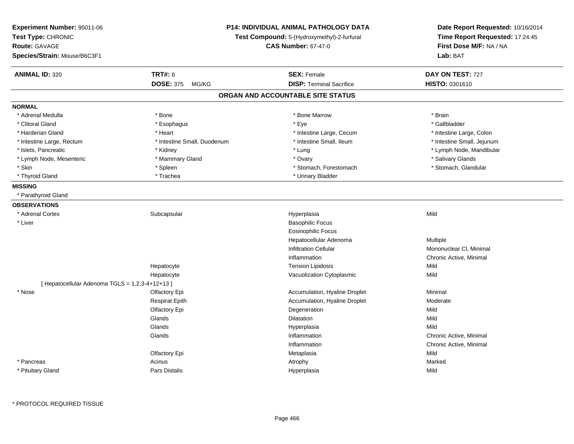| Experiment Number: 95011-06<br>Test Type: CHRONIC<br>Route: GAVAGE<br>Species/Strain: Mouse/B6C3F1 |                             | <b>P14: INDIVIDUAL ANIMAL PATHOLOGY DATA</b><br>Test Compound: 5-(Hydroxymethyl)-2-furfural<br><b>CAS Number: 67-47-0</b> | Date Report Requested: 10/16/2014<br>Time Report Requested: 17:24:45<br>First Dose M/F: NA / NA<br>Lab: BAT |
|----------------------------------------------------------------------------------------------------|-----------------------------|---------------------------------------------------------------------------------------------------------------------------|-------------------------------------------------------------------------------------------------------------|
| <b>ANIMAL ID: 320</b>                                                                              | <b>TRT#: 6</b>              | <b>SEX: Female</b>                                                                                                        | DAY ON TEST: 727                                                                                            |
|                                                                                                    | <b>DOSE: 375</b><br>MG/KG   | <b>DISP: Terminal Sacrifice</b>                                                                                           | HISTO: 0301610                                                                                              |
|                                                                                                    |                             | ORGAN AND ACCOUNTABLE SITE STATUS                                                                                         |                                                                                                             |
| <b>NORMAL</b>                                                                                      |                             |                                                                                                                           |                                                                                                             |
| * Adrenal Medulla                                                                                  | * Bone                      | * Bone Marrow                                                                                                             | * Brain                                                                                                     |
| * Clitoral Gland                                                                                   | * Esophagus                 | * Eye                                                                                                                     | * Gallbladder                                                                                               |
| * Harderian Gland                                                                                  | * Heart                     | * Intestine Large, Cecum                                                                                                  | * Intestine Large, Colon                                                                                    |
| * Intestine Large, Rectum                                                                          | * Intestine Small, Duodenum | * Intestine Small, Ileum                                                                                                  | * Intestine Small, Jejunum                                                                                  |
| * Islets, Pancreatic                                                                               | * Kidney                    | * Lung                                                                                                                    | * Lymph Node, Mandibular                                                                                    |
| * Lymph Node, Mesenteric                                                                           | * Mammary Gland             | * Ovary                                                                                                                   | * Salivary Glands                                                                                           |
| * Skin                                                                                             | * Spleen                    | * Stomach, Forestomach                                                                                                    | * Stomach, Glandular                                                                                        |
| * Thyroid Gland                                                                                    | * Trachea                   | * Urinary Bladder                                                                                                         |                                                                                                             |
| <b>MISSING</b>                                                                                     |                             |                                                                                                                           |                                                                                                             |
| * Parathyroid Gland                                                                                |                             |                                                                                                                           |                                                                                                             |
| <b>OBSERVATIONS</b>                                                                                |                             |                                                                                                                           |                                                                                                             |
| * Adrenal Cortex                                                                                   | Subcapsular                 | Hyperplasia                                                                                                               | Mild                                                                                                        |
| * Liver                                                                                            |                             | <b>Basophilic Focus</b>                                                                                                   |                                                                                                             |
|                                                                                                    |                             | <b>Eosinophilic Focus</b>                                                                                                 |                                                                                                             |
|                                                                                                    |                             | Hepatocellular Adenoma                                                                                                    | Multiple                                                                                                    |
|                                                                                                    |                             | <b>Infiltration Cellular</b>                                                                                              | Mononuclear CI, Minimal                                                                                     |
|                                                                                                    |                             | Inflammation                                                                                                              | Chronic Active, Minimal                                                                                     |
|                                                                                                    | Hepatocyte                  | <b>Tension Lipidosis</b>                                                                                                  | Mild                                                                                                        |
|                                                                                                    | Hepatocyte                  | Vacuolization Cytoplasmic                                                                                                 | Mild                                                                                                        |
| [ Hepatocellular Adenoma TGLS = 1,2,3-4+12+13 ]                                                    |                             |                                                                                                                           |                                                                                                             |
| * Nose                                                                                             | Olfactory Epi               | Accumulation, Hyaline Droplet                                                                                             | Minimal                                                                                                     |
|                                                                                                    | <b>Respirat Epith</b>       | Accumulation, Hyaline Droplet                                                                                             | Moderate                                                                                                    |
|                                                                                                    | Olfactory Epi               | Degeneration                                                                                                              | Mild                                                                                                        |
|                                                                                                    | Glands                      | Dilatation                                                                                                                | Mild                                                                                                        |
|                                                                                                    | Glands                      | Hyperplasia                                                                                                               | Mild                                                                                                        |
|                                                                                                    | Glands                      | Inflammation                                                                                                              | Chronic Active, Minimal                                                                                     |
|                                                                                                    |                             | Inflammation                                                                                                              | Chronic Active, Minimal                                                                                     |
|                                                                                                    | Olfactory Epi               | Metaplasia                                                                                                                | Mild                                                                                                        |
| * Pancreas                                                                                         | Acinus                      | Atrophy                                                                                                                   | Marked                                                                                                      |
| * Pituitary Gland                                                                                  | Pars Distalis               | Hyperplasia                                                                                                               | Mild                                                                                                        |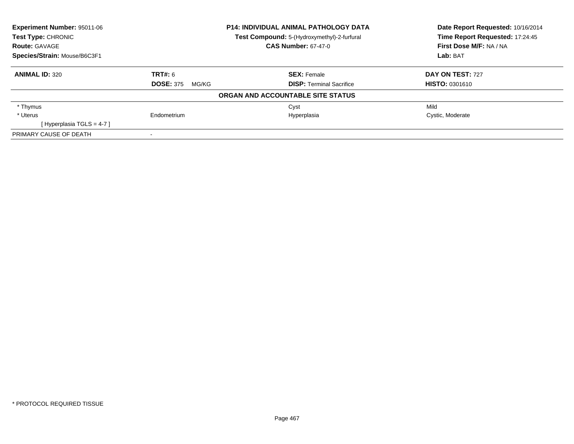| <b>Experiment Number: 95011-06</b> | <b>P14: INDIVIDUAL ANIMAL PATHOLOGY DATA</b> |                                             | Date Report Requested: 10/16/2014 |
|------------------------------------|----------------------------------------------|---------------------------------------------|-----------------------------------|
| Test Type: CHRONIC                 |                                              | Test Compound: 5-(Hydroxymethyl)-2-furfural | Time Report Requested: 17:24:45   |
| <b>Route: GAVAGE</b>               |                                              | <b>CAS Number: 67-47-0</b>                  | First Dose M/F: NA / NA           |
| Species/Strain: Mouse/B6C3F1       |                                              |                                             | Lab: BAT                          |
| <b>ANIMAL ID: 320</b>              | <b>TRT#: 6</b>                               | <b>SEX: Female</b>                          | DAY ON TEST: 727                  |
|                                    | <b>DOSE: 375</b><br>MG/KG                    | <b>DISP:</b> Terminal Sacrifice             | <b>HISTO: 0301610</b>             |
|                                    |                                              | ORGAN AND ACCOUNTABLE SITE STATUS           |                                   |
| * Thymus                           |                                              | Cyst                                        | Mild                              |
| * Uterus                           | Endometrium                                  | Hyperplasia                                 | Cystic, Moderate                  |
| [Hyperplasia TGLS = $4-7$ ]        |                                              |                                             |                                   |
| PRIMARY CAUSE OF DEATH             |                                              |                                             |                                   |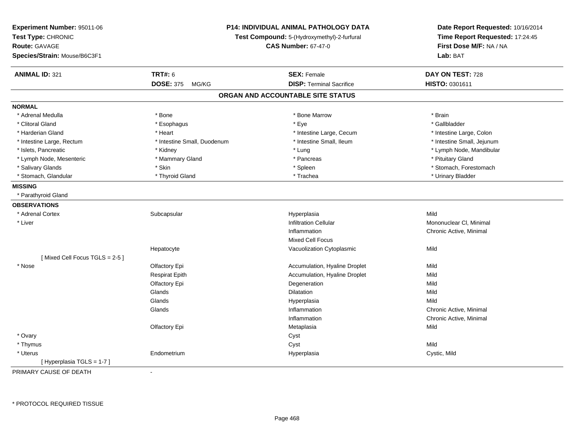| Experiment Number: 95011-06<br>Test Type: CHRONIC<br><b>Route: GAVAGE</b><br>Species/Strain: Mouse/B6C3F1 |                             | <b>P14: INDIVIDUAL ANIMAL PATHOLOGY DATA</b><br>Test Compound: 5-(Hydroxymethyl)-2-furfural<br><b>CAS Number: 67-47-0</b> | Date Report Requested: 10/16/2014<br>Time Report Requested: 17:24:45<br>First Dose M/F: NA / NA<br>Lab: BAT |
|-----------------------------------------------------------------------------------------------------------|-----------------------------|---------------------------------------------------------------------------------------------------------------------------|-------------------------------------------------------------------------------------------------------------|
| <b>ANIMAL ID: 321</b>                                                                                     | <b>TRT#: 6</b>              | <b>SEX: Female</b>                                                                                                        | DAY ON TEST: 728                                                                                            |
|                                                                                                           | <b>DOSE: 375</b><br>MG/KG   | <b>DISP: Terminal Sacrifice</b>                                                                                           | HISTO: 0301611                                                                                              |
|                                                                                                           |                             | ORGAN AND ACCOUNTABLE SITE STATUS                                                                                         |                                                                                                             |
| <b>NORMAL</b>                                                                                             |                             |                                                                                                                           |                                                                                                             |
| * Adrenal Medulla                                                                                         | * Bone                      | * Bone Marrow                                                                                                             | * Brain                                                                                                     |
| * Clitoral Gland                                                                                          | * Esophagus                 | * Eye                                                                                                                     | * Gallbladder                                                                                               |
| * Harderian Gland                                                                                         | * Heart                     | * Intestine Large, Cecum                                                                                                  | * Intestine Large, Colon                                                                                    |
| * Intestine Large, Rectum                                                                                 | * Intestine Small, Duodenum | * Intestine Small, Ileum                                                                                                  | * Intestine Small, Jejunum                                                                                  |
| * Islets, Pancreatic                                                                                      | * Kidney                    | * Lung                                                                                                                    | * Lymph Node, Mandibular                                                                                    |
| * Lymph Node, Mesenteric                                                                                  | * Mammary Gland             | * Pancreas                                                                                                                | * Pituitary Gland                                                                                           |
| * Salivary Glands                                                                                         | * Skin                      | * Spleen                                                                                                                  | * Stomach, Forestomach                                                                                      |
| * Stomach, Glandular                                                                                      | * Thyroid Gland             | * Trachea                                                                                                                 | * Urinary Bladder                                                                                           |
| <b>MISSING</b>                                                                                            |                             |                                                                                                                           |                                                                                                             |
| * Parathyroid Gland                                                                                       |                             |                                                                                                                           |                                                                                                             |
| <b>OBSERVATIONS</b>                                                                                       |                             |                                                                                                                           |                                                                                                             |
| * Adrenal Cortex                                                                                          | Subcapsular                 | Hyperplasia                                                                                                               | Mild                                                                                                        |
| * Liver                                                                                                   |                             | <b>Infiltration Cellular</b>                                                                                              | Mononuclear CI, Minimal                                                                                     |
|                                                                                                           |                             | Inflammation                                                                                                              | Chronic Active, Minimal                                                                                     |
|                                                                                                           |                             | <b>Mixed Cell Focus</b>                                                                                                   |                                                                                                             |
|                                                                                                           | Hepatocyte                  | Vacuolization Cytoplasmic                                                                                                 | Mild                                                                                                        |
| [Mixed Cell Focus TGLS = 2-5]                                                                             |                             |                                                                                                                           |                                                                                                             |
| * Nose                                                                                                    | Olfactory Epi               | Accumulation, Hyaline Droplet                                                                                             | Mild                                                                                                        |
|                                                                                                           | <b>Respirat Epith</b>       | Accumulation, Hyaline Droplet                                                                                             | Mild                                                                                                        |
|                                                                                                           | Olfactory Epi               | Degeneration                                                                                                              | Mild                                                                                                        |
|                                                                                                           | Glands                      | Dilatation                                                                                                                | Mild                                                                                                        |
|                                                                                                           | Glands                      | Hyperplasia                                                                                                               | Mild                                                                                                        |
|                                                                                                           | Glands                      | Inflammation                                                                                                              | Chronic Active, Minimal                                                                                     |
|                                                                                                           |                             | Inflammation                                                                                                              | Chronic Active, Minimal                                                                                     |
|                                                                                                           | Olfactory Epi               | Metaplasia                                                                                                                | Mild                                                                                                        |
| * Ovary                                                                                                   |                             | Cyst                                                                                                                      |                                                                                                             |
| * Thymus                                                                                                  |                             | Cyst                                                                                                                      | Mild                                                                                                        |
| * Uterus                                                                                                  | Endometrium                 | Hyperplasia                                                                                                               | Cystic, Mild                                                                                                |
| [Hyperplasia TGLS = 1-7]                                                                                  |                             |                                                                                                                           |                                                                                                             |

PRIMARY CAUSE OF DEATH-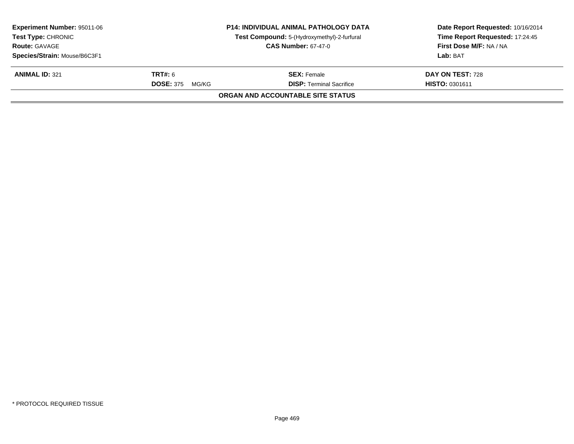| <b>Experiment Number: 95011-06</b> |                           | <b>P14: INDIVIDUAL ANIMAL PATHOLOGY DATA</b> | Date Report Requested: 10/16/2014 |
|------------------------------------|---------------------------|----------------------------------------------|-----------------------------------|
| <b>Test Type: CHRONIC</b>          |                           | Test Compound: 5-(Hydroxymethyl)-2-furfural  | Time Report Requested: 17:24:45   |
| <b>Route: GAVAGE</b>               |                           | <b>CAS Number: 67-47-0</b>                   | First Dose M/F: NA / NA           |
| Species/Strain: Mouse/B6C3F1       |                           |                                              | Lab: BAT                          |
| <b>ANIMAL ID: 321</b>              | <b>TRT#:</b> 6            | <b>SEX: Female</b>                           | <b>DAY ON TEST: 728</b>           |
|                                    | <b>DOSE: 375</b><br>MG/KG | <b>DISP: Terminal Sacrifice</b>              | <b>HISTO: 0301611</b>             |
|                                    |                           | ORGAN AND ACCOUNTABLE SITE STATUS            |                                   |
|                                    |                           |                                              |                                   |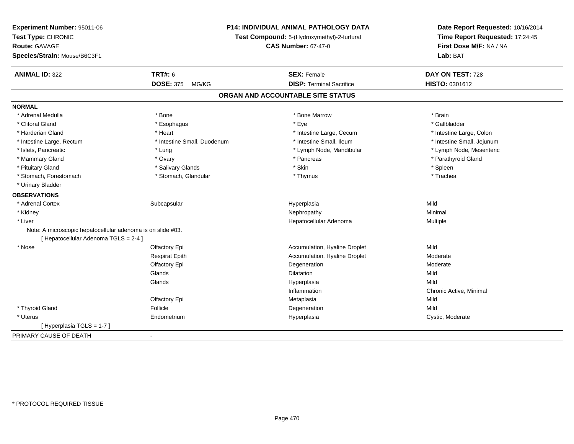| Experiment Number: 95011-06                                 | P14: INDIVIDUAL ANIMAL PATHOLOGY DATA<br>Test Compound: 5-(Hydroxymethyl)-2-furfural |                                   | Date Report Requested: 10/16/2014<br>Time Report Requested: 17:24:45 |
|-------------------------------------------------------------|--------------------------------------------------------------------------------------|-----------------------------------|----------------------------------------------------------------------|
| Test Type: CHRONIC                                          |                                                                                      |                                   |                                                                      |
| <b>Route: GAVAGE</b>                                        |                                                                                      | <b>CAS Number: 67-47-0</b>        | First Dose M/F: NA / NA                                              |
| Species/Strain: Mouse/B6C3F1                                |                                                                                      |                                   | Lab: BAT                                                             |
| <b>ANIMAL ID: 322</b>                                       | <b>TRT#: 6</b>                                                                       | <b>SEX: Female</b>                | DAY ON TEST: 728                                                     |
|                                                             | <b>DOSE: 375</b><br>MG/KG                                                            | <b>DISP: Terminal Sacrifice</b>   | HISTO: 0301612                                                       |
|                                                             |                                                                                      | ORGAN AND ACCOUNTABLE SITE STATUS |                                                                      |
| <b>NORMAL</b>                                               |                                                                                      |                                   |                                                                      |
| * Adrenal Medulla                                           | * Bone                                                                               | * Bone Marrow                     | * Brain                                                              |
| * Clitoral Gland                                            | * Esophagus                                                                          | * Eye                             | * Gallbladder                                                        |
| * Harderian Gland                                           | * Heart                                                                              | * Intestine Large, Cecum          | * Intestine Large, Colon                                             |
| * Intestine Large, Rectum                                   | * Intestine Small, Duodenum                                                          | * Intestine Small, Ileum          | * Intestine Small, Jejunum                                           |
| * Islets, Pancreatic                                        | * Lung                                                                               | * Lymph Node, Mandibular          | * Lymph Node, Mesenteric                                             |
| * Mammary Gland                                             | * Ovary                                                                              | * Pancreas                        | * Parathyroid Gland                                                  |
| * Pituitary Gland                                           | * Salivary Glands                                                                    | * Skin                            | * Spleen                                                             |
| * Stomach, Forestomach                                      | * Stomach, Glandular                                                                 | * Thymus                          | * Trachea                                                            |
| * Urinary Bladder                                           |                                                                                      |                                   |                                                                      |
| <b>OBSERVATIONS</b>                                         |                                                                                      |                                   |                                                                      |
| * Adrenal Cortex                                            | Subcapsular                                                                          | Hyperplasia                       | Mild                                                                 |
| * Kidney                                                    |                                                                                      | Nephropathy                       | Minimal                                                              |
| * Liver                                                     |                                                                                      | Hepatocellular Adenoma            | Multiple                                                             |
| Note: A microscopic hepatocellular adenoma is on slide #03. |                                                                                      |                                   |                                                                      |
| [Hepatocellular Adenoma TGLS = 2-4]                         |                                                                                      |                                   |                                                                      |
| * Nose                                                      | Olfactory Epi                                                                        | Accumulation, Hyaline Droplet     | Mild                                                                 |
|                                                             | <b>Respirat Epith</b>                                                                | Accumulation, Hyaline Droplet     | Moderate                                                             |
|                                                             | Olfactory Epi                                                                        | Degeneration                      | Moderate                                                             |
|                                                             | Glands                                                                               | Dilatation                        | Mild                                                                 |
|                                                             | Glands                                                                               | Hyperplasia                       | Mild                                                                 |
|                                                             |                                                                                      | Inflammation                      | Chronic Active, Minimal                                              |
|                                                             | Olfactory Epi                                                                        | Metaplasia                        | Mild                                                                 |
| * Thyroid Gland                                             | Follicle                                                                             | Degeneration                      | Mild                                                                 |
| * Uterus                                                    | Endometrium                                                                          | Hyperplasia                       | Cystic, Moderate                                                     |
| [Hyperplasia TGLS = 1-7]                                    |                                                                                      |                                   |                                                                      |
| PRIMARY CAUSE OF DEATH                                      | $\blacksquare$                                                                       |                                   |                                                                      |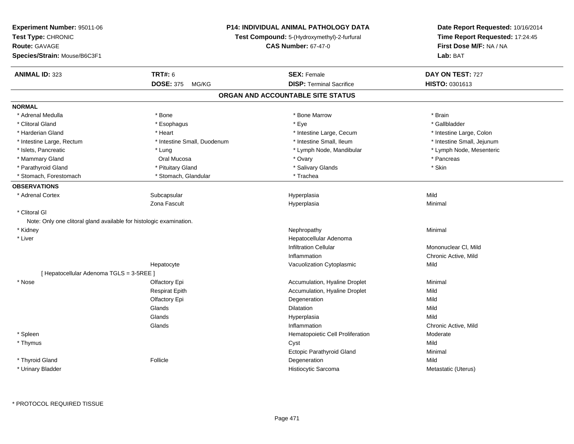| Experiment Number: 95011-06                                         |                             | <b>P14: INDIVIDUAL ANIMAL PATHOLOGY DATA</b> |                                                                      |  |
|---------------------------------------------------------------------|-----------------------------|----------------------------------------------|----------------------------------------------------------------------|--|
| Test Type: CHRONIC                                                  |                             | Test Compound: 5-(Hydroxymethyl)-2-furfural  | Date Report Requested: 10/16/2014<br>Time Report Requested: 17:24:45 |  |
| <b>Route: GAVAGE</b>                                                |                             | <b>CAS Number: 67-47-0</b>                   | First Dose M/F: NA / NA                                              |  |
| Species/Strain: Mouse/B6C3F1                                        |                             |                                              | Lab: BAT                                                             |  |
| <b>ANIMAL ID: 323</b>                                               | <b>TRT#: 6</b>              | <b>SEX: Female</b>                           | DAY ON TEST: 727                                                     |  |
|                                                                     | <b>DOSE: 375</b><br>MG/KG   | <b>DISP: Terminal Sacrifice</b>              | HISTO: 0301613                                                       |  |
|                                                                     |                             | ORGAN AND ACCOUNTABLE SITE STATUS            |                                                                      |  |
| <b>NORMAL</b>                                                       |                             |                                              |                                                                      |  |
| * Adrenal Medulla                                                   | * Bone                      | * Bone Marrow                                | * Brain                                                              |  |
| * Clitoral Gland                                                    | * Esophagus                 | * Eye                                        | * Gallbladder                                                        |  |
| * Harderian Gland                                                   | * Heart                     | * Intestine Large, Cecum                     | * Intestine Large, Colon                                             |  |
| * Intestine Large, Rectum                                           | * Intestine Small, Duodenum | * Intestine Small, Ileum                     | * Intestine Small, Jejunum                                           |  |
| * Islets, Pancreatic                                                | * Lung                      | * Lymph Node, Mandibular                     | * Lymph Node, Mesenteric                                             |  |
| * Mammary Gland                                                     | Oral Mucosa                 | * Ovary                                      | * Pancreas                                                           |  |
| * Parathyroid Gland                                                 | * Pituitary Gland           | * Salivary Glands                            | * Skin                                                               |  |
| * Stomach, Forestomach                                              | * Stomach, Glandular        | * Trachea                                    |                                                                      |  |
| <b>OBSERVATIONS</b>                                                 |                             |                                              |                                                                      |  |
| * Adrenal Cortex                                                    | Subcapsular                 | Hyperplasia                                  | Mild                                                                 |  |
|                                                                     | Zona Fascult                | Hyperplasia                                  | Minimal                                                              |  |
| * Clitoral GI                                                       |                             |                                              |                                                                      |  |
| Note: Only one clitoral gland available for histologic examination. |                             |                                              |                                                                      |  |
| * Kidney                                                            |                             | Nephropathy                                  | Minimal                                                              |  |
| * Liver                                                             |                             | Hepatocellular Adenoma                       |                                                                      |  |
|                                                                     |                             | <b>Infiltration Cellular</b>                 | Mononuclear CI, Mild                                                 |  |
|                                                                     |                             | Inflammation                                 | Chronic Active, Mild                                                 |  |
|                                                                     | Hepatocyte                  | Vacuolization Cytoplasmic                    | Mild                                                                 |  |
| [ Hepatocellular Adenoma TGLS = 3-5REE ]                            |                             |                                              |                                                                      |  |
| * Nose                                                              | Olfactory Epi               | Accumulation, Hyaline Droplet                | Minimal                                                              |  |
|                                                                     | <b>Respirat Epith</b>       | Accumulation, Hyaline Droplet                | Mild                                                                 |  |
|                                                                     | Olfactory Epi               | Degeneration                                 | Mild                                                                 |  |
|                                                                     | Glands                      | Dilatation                                   | Mild                                                                 |  |
|                                                                     | Glands                      | Hyperplasia                                  | Mild                                                                 |  |
|                                                                     | Glands                      | Inflammation                                 | Chronic Active, Mild                                                 |  |
| * Spleen                                                            |                             | Hematopoietic Cell Proliferation             | Moderate                                                             |  |
| * Thymus                                                            |                             | Cyst                                         | Mild                                                                 |  |
|                                                                     |                             | <b>Ectopic Parathyroid Gland</b>             | Minimal                                                              |  |
| * Thyroid Gland                                                     | Follicle                    | Degeneration                                 | Mild                                                                 |  |
| * Urinary Bladder                                                   |                             | Histiocytic Sarcoma                          | Metastatic (Uterus)                                                  |  |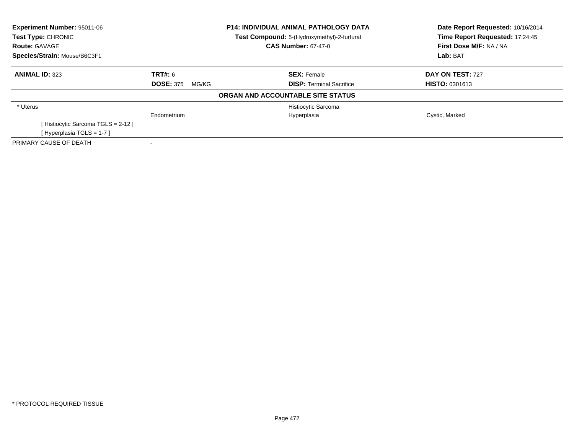| Experiment Number: 95011-06       |                           | P14: INDIVIDUAL ANIMAL PATHOLOGY DATA       | Date Report Requested: 10/16/2014<br>Time Report Requested: 17:24:45 |  |
|-----------------------------------|---------------------------|---------------------------------------------|----------------------------------------------------------------------|--|
| <b>Test Type: CHRONIC</b>         |                           | Test Compound: 5-(Hydroxymethyl)-2-furfural |                                                                      |  |
| <b>Route: GAVAGE</b>              |                           | <b>CAS Number: 67-47-0</b>                  | First Dose M/F: NA / NA                                              |  |
| Species/Strain: Mouse/B6C3F1      |                           |                                             | Lab: BAT                                                             |  |
| <b>ANIMAL ID: 323</b>             | <b>TRT#: 6</b>            | <b>SEX: Female</b>                          | DAY ON TEST: 727                                                     |  |
|                                   | <b>DOSE: 375</b><br>MG/KG | <b>DISP:</b> Terminal Sacrifice             | <b>HISTO: 0301613</b>                                                |  |
|                                   |                           | ORGAN AND ACCOUNTABLE SITE STATUS           |                                                                      |  |
| * Uterus                          |                           | Histiocytic Sarcoma                         |                                                                      |  |
|                                   | Endometrium               | Hyperplasia                                 | Cystic, Marked                                                       |  |
| [Histiocytic Sarcoma TGLS = 2-12] |                           |                                             |                                                                      |  |
| [Hyperplasia TGLS = $1-7$ ]       |                           |                                             |                                                                      |  |
| PRIMARY CAUSE OF DEATH            |                           |                                             |                                                                      |  |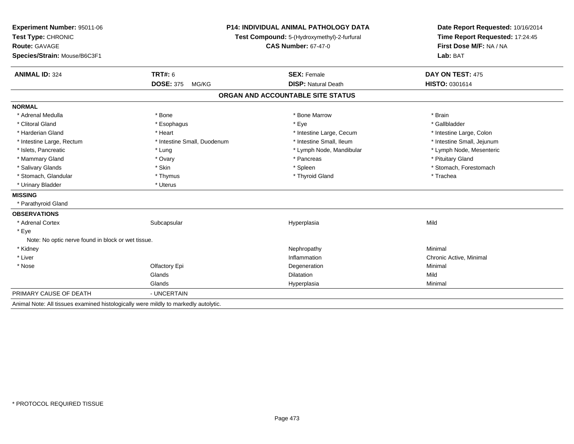| Experiment Number: 95011-06                                                         | <b>P14: INDIVIDUAL ANIMAL PATHOLOGY DATA</b><br>Test Compound: 5-(Hydroxymethyl)-2-furfural |                                   | Date Report Requested: 10/16/2014 |  |
|-------------------------------------------------------------------------------------|---------------------------------------------------------------------------------------------|-----------------------------------|-----------------------------------|--|
| Test Type: CHRONIC                                                                  |                                                                                             |                                   | Time Report Requested: 17:24:45   |  |
| <b>Route: GAVAGE</b>                                                                |                                                                                             | <b>CAS Number: 67-47-0</b>        | First Dose M/F: NA / NA           |  |
| Species/Strain: Mouse/B6C3F1                                                        |                                                                                             |                                   | Lab: BAT                          |  |
| <b>ANIMAL ID: 324</b>                                                               | <b>TRT#: 6</b>                                                                              | <b>SEX: Female</b>                | DAY ON TEST: 475                  |  |
|                                                                                     | <b>DOSE: 375</b><br>MG/KG                                                                   | <b>DISP: Natural Death</b>        | HISTO: 0301614                    |  |
|                                                                                     |                                                                                             | ORGAN AND ACCOUNTABLE SITE STATUS |                                   |  |
| <b>NORMAL</b>                                                                       |                                                                                             |                                   |                                   |  |
| * Adrenal Medulla                                                                   | * Bone                                                                                      | * Bone Marrow                     | * Brain                           |  |
| * Clitoral Gland                                                                    | * Esophagus                                                                                 | * Eye                             | * Gallbladder                     |  |
| * Harderian Gland                                                                   | * Heart                                                                                     | * Intestine Large, Cecum          | * Intestine Large, Colon          |  |
| * Intestine Large, Rectum                                                           | * Intestine Small, Duodenum                                                                 | * Intestine Small, Ileum          | * Intestine Small, Jejunum        |  |
| * Islets, Pancreatic                                                                | * Lung                                                                                      | * Lymph Node, Mandibular          | * Lymph Node, Mesenteric          |  |
| * Mammary Gland                                                                     | * Ovary                                                                                     | * Pancreas                        | * Pituitary Gland                 |  |
| * Salivary Glands                                                                   | * Skin                                                                                      | * Spleen                          | * Stomach, Forestomach            |  |
| * Stomach, Glandular                                                                | * Thymus                                                                                    | * Thyroid Gland                   | * Trachea                         |  |
| * Urinary Bladder                                                                   | * Uterus                                                                                    |                                   |                                   |  |
| <b>MISSING</b>                                                                      |                                                                                             |                                   |                                   |  |
| * Parathyroid Gland                                                                 |                                                                                             |                                   |                                   |  |
| <b>OBSERVATIONS</b>                                                                 |                                                                                             |                                   |                                   |  |
| * Adrenal Cortex                                                                    | Subcapsular                                                                                 | Hyperplasia                       | Mild                              |  |
| * Eye                                                                               |                                                                                             |                                   |                                   |  |
| Note: No optic nerve found in block or wet tissue.                                  |                                                                                             |                                   |                                   |  |
| * Kidney                                                                            |                                                                                             | Nephropathy                       | Minimal                           |  |
| * Liver                                                                             |                                                                                             | Inflammation                      | Chronic Active, Minimal           |  |
| * Nose                                                                              | Olfactory Epi                                                                               | Degeneration                      | Minimal                           |  |
|                                                                                     | Glands                                                                                      | <b>Dilatation</b>                 | Mild                              |  |
|                                                                                     | Glands                                                                                      | Hyperplasia                       | Minimal                           |  |
| PRIMARY CAUSE OF DEATH                                                              | - UNCERTAIN                                                                                 |                                   |                                   |  |
| Animal Note: All tissues examined histologically were mildly to markedly autolytic. |                                                                                             |                                   |                                   |  |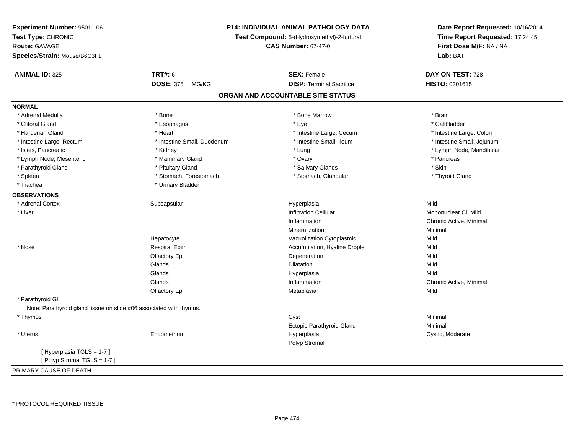| Test Type: CHRONIC<br>Test Compound: 5-(Hydroxymethyl)-2-furfural<br>Time Report Requested: 17:24:45<br><b>CAS Number: 67-47-0</b><br>First Dose M/F: NA / NA<br><b>Route: GAVAGE</b><br>Species/Strain: Mouse/B6C3F1<br>Lab: BAT<br><b>TRT#: 6</b><br><b>ANIMAL ID: 325</b><br><b>SEX: Female</b><br>DAY ON TEST: 728<br><b>DOSE: 375</b><br><b>DISP: Terminal Sacrifice</b><br>HISTO: 0301615<br>MG/KG<br>ORGAN AND ACCOUNTABLE SITE STATUS<br><b>NORMAL</b><br>* Bone Marrow<br>* Brain<br>* Adrenal Medulla<br>* Bone<br>* Clitoral Gland<br>* Eye<br>* Gallbladder<br>* Esophagus<br>* Harderian Gland<br>* Heart<br>* Intestine Large, Cecum<br>* Intestine Large, Colon<br>* Intestine Small, Duodenum<br>* Intestine Small, Ileum<br>* Intestine Small, Jejunum<br>* Intestine Large, Rectum<br>* Lymph Node, Mandibular<br>* Islets, Pancreatic<br>* Lung<br>* Kidney<br>* Lymph Node, Mesenteric<br>* Mammary Gland<br>* Ovary<br>* Pancreas<br>* Skin<br>* Parathyroid Gland<br>* Pituitary Gland<br>* Salivary Glands<br>* Stomach, Forestomach<br>* Stomach, Glandular<br>* Spleen<br>* Thyroid Gland<br>* Trachea<br>* Urinary Bladder<br><b>OBSERVATIONS</b><br>* Adrenal Cortex<br>Mild<br>Subcapsular<br>Hyperplasia<br>Mononuclear CI, Mild<br>* Liver<br><b>Infiltration Cellular</b><br>Inflammation<br>Chronic Active, Minimal<br>Mineralization<br>Minimal<br>Hepatocyte<br>Vacuolization Cytoplasmic<br>Mild<br>* Nose<br><b>Respirat Epith</b><br>Accumulation, Hyaline Droplet<br>Mild<br>Olfactory Epi<br>Degeneration<br>Mild<br>Glands<br><b>Dilatation</b><br>Mild<br>Glands<br>Mild<br>Hyperplasia<br>Glands<br>Inflammation<br>Chronic Active, Minimal<br>Mild<br>Olfactory Epi<br>Metaplasia<br>* Parathyroid GI<br>Note: Parathyroid gland tissue on slide #06 associated with thymus.<br>* Thymus<br>Cyst<br>Minimal<br>Ectopic Parathyroid Gland<br>Minimal<br>* Uterus<br>Endometrium<br>Hyperplasia<br>Cystic, Moderate<br>Polyp Stromal<br>[Hyperplasia TGLS = 1-7]<br>[Polyp Stromal TGLS = 1-7]<br>PRIMARY CAUSE OF DEATH<br>$\blacksquare$ | Experiment Number: 95011-06 | <b>P14: INDIVIDUAL ANIMAL PATHOLOGY DATA</b> | Date Report Requested: 10/16/2014 |  |
|-------------------------------------------------------------------------------------------------------------------------------------------------------------------------------------------------------------------------------------------------------------------------------------------------------------------------------------------------------------------------------------------------------------------------------------------------------------------------------------------------------------------------------------------------------------------------------------------------------------------------------------------------------------------------------------------------------------------------------------------------------------------------------------------------------------------------------------------------------------------------------------------------------------------------------------------------------------------------------------------------------------------------------------------------------------------------------------------------------------------------------------------------------------------------------------------------------------------------------------------------------------------------------------------------------------------------------------------------------------------------------------------------------------------------------------------------------------------------------------------------------------------------------------------------------------------------------------------------------------------------------------------------------------------------------------------------------------------------------------------------------------------------------------------------------------------------------------------------------------------------------------------------------------------------------------------------------------------------------------------------------------------------------------------------------------------------------------|-----------------------------|----------------------------------------------|-----------------------------------|--|
|                                                                                                                                                                                                                                                                                                                                                                                                                                                                                                                                                                                                                                                                                                                                                                                                                                                                                                                                                                                                                                                                                                                                                                                                                                                                                                                                                                                                                                                                                                                                                                                                                                                                                                                                                                                                                                                                                                                                                                                                                                                                                     |                             |                                              |                                   |  |
|                                                                                                                                                                                                                                                                                                                                                                                                                                                                                                                                                                                                                                                                                                                                                                                                                                                                                                                                                                                                                                                                                                                                                                                                                                                                                                                                                                                                                                                                                                                                                                                                                                                                                                                                                                                                                                                                                                                                                                                                                                                                                     |                             |                                              |                                   |  |
|                                                                                                                                                                                                                                                                                                                                                                                                                                                                                                                                                                                                                                                                                                                                                                                                                                                                                                                                                                                                                                                                                                                                                                                                                                                                                                                                                                                                                                                                                                                                                                                                                                                                                                                                                                                                                                                                                                                                                                                                                                                                                     |                             |                                              |                                   |  |
|                                                                                                                                                                                                                                                                                                                                                                                                                                                                                                                                                                                                                                                                                                                                                                                                                                                                                                                                                                                                                                                                                                                                                                                                                                                                                                                                                                                                                                                                                                                                                                                                                                                                                                                                                                                                                                                                                                                                                                                                                                                                                     |                             |                                              |                                   |  |
|                                                                                                                                                                                                                                                                                                                                                                                                                                                                                                                                                                                                                                                                                                                                                                                                                                                                                                                                                                                                                                                                                                                                                                                                                                                                                                                                                                                                                                                                                                                                                                                                                                                                                                                                                                                                                                                                                                                                                                                                                                                                                     |                             |                                              |                                   |  |
|                                                                                                                                                                                                                                                                                                                                                                                                                                                                                                                                                                                                                                                                                                                                                                                                                                                                                                                                                                                                                                                                                                                                                                                                                                                                                                                                                                                                                                                                                                                                                                                                                                                                                                                                                                                                                                                                                                                                                                                                                                                                                     |                             |                                              |                                   |  |
|                                                                                                                                                                                                                                                                                                                                                                                                                                                                                                                                                                                                                                                                                                                                                                                                                                                                                                                                                                                                                                                                                                                                                                                                                                                                                                                                                                                                                                                                                                                                                                                                                                                                                                                                                                                                                                                                                                                                                                                                                                                                                     |                             |                                              |                                   |  |
|                                                                                                                                                                                                                                                                                                                                                                                                                                                                                                                                                                                                                                                                                                                                                                                                                                                                                                                                                                                                                                                                                                                                                                                                                                                                                                                                                                                                                                                                                                                                                                                                                                                                                                                                                                                                                                                                                                                                                                                                                                                                                     |                             |                                              |                                   |  |
|                                                                                                                                                                                                                                                                                                                                                                                                                                                                                                                                                                                                                                                                                                                                                                                                                                                                                                                                                                                                                                                                                                                                                                                                                                                                                                                                                                                                                                                                                                                                                                                                                                                                                                                                                                                                                                                                                                                                                                                                                                                                                     |                             |                                              |                                   |  |
|                                                                                                                                                                                                                                                                                                                                                                                                                                                                                                                                                                                                                                                                                                                                                                                                                                                                                                                                                                                                                                                                                                                                                                                                                                                                                                                                                                                                                                                                                                                                                                                                                                                                                                                                                                                                                                                                                                                                                                                                                                                                                     |                             |                                              |                                   |  |
|                                                                                                                                                                                                                                                                                                                                                                                                                                                                                                                                                                                                                                                                                                                                                                                                                                                                                                                                                                                                                                                                                                                                                                                                                                                                                                                                                                                                                                                                                                                                                                                                                                                                                                                                                                                                                                                                                                                                                                                                                                                                                     |                             |                                              |                                   |  |
|                                                                                                                                                                                                                                                                                                                                                                                                                                                                                                                                                                                                                                                                                                                                                                                                                                                                                                                                                                                                                                                                                                                                                                                                                                                                                                                                                                                                                                                                                                                                                                                                                                                                                                                                                                                                                                                                                                                                                                                                                                                                                     |                             |                                              |                                   |  |
|                                                                                                                                                                                                                                                                                                                                                                                                                                                                                                                                                                                                                                                                                                                                                                                                                                                                                                                                                                                                                                                                                                                                                                                                                                                                                                                                                                                                                                                                                                                                                                                                                                                                                                                                                                                                                                                                                                                                                                                                                                                                                     |                             |                                              |                                   |  |
|                                                                                                                                                                                                                                                                                                                                                                                                                                                                                                                                                                                                                                                                                                                                                                                                                                                                                                                                                                                                                                                                                                                                                                                                                                                                                                                                                                                                                                                                                                                                                                                                                                                                                                                                                                                                                                                                                                                                                                                                                                                                                     |                             |                                              |                                   |  |
|                                                                                                                                                                                                                                                                                                                                                                                                                                                                                                                                                                                                                                                                                                                                                                                                                                                                                                                                                                                                                                                                                                                                                                                                                                                                                                                                                                                                                                                                                                                                                                                                                                                                                                                                                                                                                                                                                                                                                                                                                                                                                     |                             |                                              |                                   |  |
|                                                                                                                                                                                                                                                                                                                                                                                                                                                                                                                                                                                                                                                                                                                                                                                                                                                                                                                                                                                                                                                                                                                                                                                                                                                                                                                                                                                                                                                                                                                                                                                                                                                                                                                                                                                                                                                                                                                                                                                                                                                                                     |                             |                                              |                                   |  |
|                                                                                                                                                                                                                                                                                                                                                                                                                                                                                                                                                                                                                                                                                                                                                                                                                                                                                                                                                                                                                                                                                                                                                                                                                                                                                                                                                                                                                                                                                                                                                                                                                                                                                                                                                                                                                                                                                                                                                                                                                                                                                     |                             |                                              |                                   |  |
|                                                                                                                                                                                                                                                                                                                                                                                                                                                                                                                                                                                                                                                                                                                                                                                                                                                                                                                                                                                                                                                                                                                                                                                                                                                                                                                                                                                                                                                                                                                                                                                                                                                                                                                                                                                                                                                                                                                                                                                                                                                                                     |                             |                                              |                                   |  |
|                                                                                                                                                                                                                                                                                                                                                                                                                                                                                                                                                                                                                                                                                                                                                                                                                                                                                                                                                                                                                                                                                                                                                                                                                                                                                                                                                                                                                                                                                                                                                                                                                                                                                                                                                                                                                                                                                                                                                                                                                                                                                     |                             |                                              |                                   |  |
|                                                                                                                                                                                                                                                                                                                                                                                                                                                                                                                                                                                                                                                                                                                                                                                                                                                                                                                                                                                                                                                                                                                                                                                                                                                                                                                                                                                                                                                                                                                                                                                                                                                                                                                                                                                                                                                                                                                                                                                                                                                                                     |                             |                                              |                                   |  |
|                                                                                                                                                                                                                                                                                                                                                                                                                                                                                                                                                                                                                                                                                                                                                                                                                                                                                                                                                                                                                                                                                                                                                                                                                                                                                                                                                                                                                                                                                                                                                                                                                                                                                                                                                                                                                                                                                                                                                                                                                                                                                     |                             |                                              |                                   |  |
|                                                                                                                                                                                                                                                                                                                                                                                                                                                                                                                                                                                                                                                                                                                                                                                                                                                                                                                                                                                                                                                                                                                                                                                                                                                                                                                                                                                                                                                                                                                                                                                                                                                                                                                                                                                                                                                                                                                                                                                                                                                                                     |                             |                                              |                                   |  |
|                                                                                                                                                                                                                                                                                                                                                                                                                                                                                                                                                                                                                                                                                                                                                                                                                                                                                                                                                                                                                                                                                                                                                                                                                                                                                                                                                                                                                                                                                                                                                                                                                                                                                                                                                                                                                                                                                                                                                                                                                                                                                     |                             |                                              |                                   |  |
|                                                                                                                                                                                                                                                                                                                                                                                                                                                                                                                                                                                                                                                                                                                                                                                                                                                                                                                                                                                                                                                                                                                                                                                                                                                                                                                                                                                                                                                                                                                                                                                                                                                                                                                                                                                                                                                                                                                                                                                                                                                                                     |                             |                                              |                                   |  |
|                                                                                                                                                                                                                                                                                                                                                                                                                                                                                                                                                                                                                                                                                                                                                                                                                                                                                                                                                                                                                                                                                                                                                                                                                                                                                                                                                                                                                                                                                                                                                                                                                                                                                                                                                                                                                                                                                                                                                                                                                                                                                     |                             |                                              |                                   |  |
|                                                                                                                                                                                                                                                                                                                                                                                                                                                                                                                                                                                                                                                                                                                                                                                                                                                                                                                                                                                                                                                                                                                                                                                                                                                                                                                                                                                                                                                                                                                                                                                                                                                                                                                                                                                                                                                                                                                                                                                                                                                                                     |                             |                                              |                                   |  |
|                                                                                                                                                                                                                                                                                                                                                                                                                                                                                                                                                                                                                                                                                                                                                                                                                                                                                                                                                                                                                                                                                                                                                                                                                                                                                                                                                                                                                                                                                                                                                                                                                                                                                                                                                                                                                                                                                                                                                                                                                                                                                     |                             |                                              |                                   |  |
|                                                                                                                                                                                                                                                                                                                                                                                                                                                                                                                                                                                                                                                                                                                                                                                                                                                                                                                                                                                                                                                                                                                                                                                                                                                                                                                                                                                                                                                                                                                                                                                                                                                                                                                                                                                                                                                                                                                                                                                                                                                                                     |                             |                                              |                                   |  |
|                                                                                                                                                                                                                                                                                                                                                                                                                                                                                                                                                                                                                                                                                                                                                                                                                                                                                                                                                                                                                                                                                                                                                                                                                                                                                                                                                                                                                                                                                                                                                                                                                                                                                                                                                                                                                                                                                                                                                                                                                                                                                     |                             |                                              |                                   |  |
|                                                                                                                                                                                                                                                                                                                                                                                                                                                                                                                                                                                                                                                                                                                                                                                                                                                                                                                                                                                                                                                                                                                                                                                                                                                                                                                                                                                                                                                                                                                                                                                                                                                                                                                                                                                                                                                                                                                                                                                                                                                                                     |                             |                                              |                                   |  |
|                                                                                                                                                                                                                                                                                                                                                                                                                                                                                                                                                                                                                                                                                                                                                                                                                                                                                                                                                                                                                                                                                                                                                                                                                                                                                                                                                                                                                                                                                                                                                                                                                                                                                                                                                                                                                                                                                                                                                                                                                                                                                     |                             |                                              |                                   |  |
|                                                                                                                                                                                                                                                                                                                                                                                                                                                                                                                                                                                                                                                                                                                                                                                                                                                                                                                                                                                                                                                                                                                                                                                                                                                                                                                                                                                                                                                                                                                                                                                                                                                                                                                                                                                                                                                                                                                                                                                                                                                                                     |                             |                                              |                                   |  |
|                                                                                                                                                                                                                                                                                                                                                                                                                                                                                                                                                                                                                                                                                                                                                                                                                                                                                                                                                                                                                                                                                                                                                                                                                                                                                                                                                                                                                                                                                                                                                                                                                                                                                                                                                                                                                                                                                                                                                                                                                                                                                     |                             |                                              |                                   |  |
|                                                                                                                                                                                                                                                                                                                                                                                                                                                                                                                                                                                                                                                                                                                                                                                                                                                                                                                                                                                                                                                                                                                                                                                                                                                                                                                                                                                                                                                                                                                                                                                                                                                                                                                                                                                                                                                                                                                                                                                                                                                                                     |                             |                                              |                                   |  |
|                                                                                                                                                                                                                                                                                                                                                                                                                                                                                                                                                                                                                                                                                                                                                                                                                                                                                                                                                                                                                                                                                                                                                                                                                                                                                                                                                                                                                                                                                                                                                                                                                                                                                                                                                                                                                                                                                                                                                                                                                                                                                     |                             |                                              |                                   |  |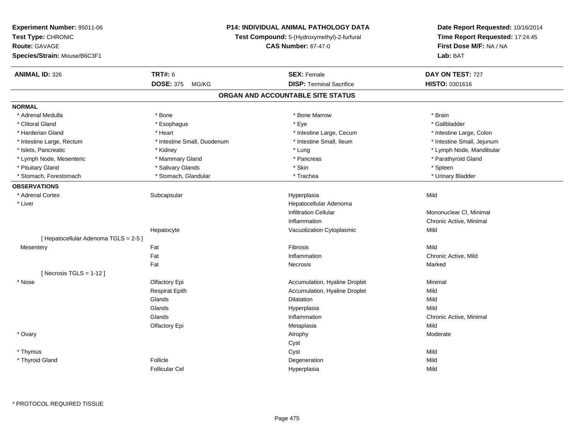| Experiment Number: 95011-06           |                             | <b>P14: INDIVIDUAL ANIMAL PATHOLOGY DATA</b> |                                                                      |  |
|---------------------------------------|-----------------------------|----------------------------------------------|----------------------------------------------------------------------|--|
| Test Type: CHRONIC                    |                             | Test Compound: 5-(Hydroxymethyl)-2-furfural  | Date Report Requested: 10/16/2014<br>Time Report Requested: 17:24:45 |  |
| <b>Route: GAVAGE</b>                  |                             | <b>CAS Number: 67-47-0</b>                   |                                                                      |  |
| Species/Strain: Mouse/B6C3F1          |                             |                                              | First Dose M/F: NA / NA<br>Lab: BAT                                  |  |
| <b>ANIMAL ID: 326</b>                 | <b>TRT#: 6</b>              | <b>SEX: Female</b>                           | DAY ON TEST: 727                                                     |  |
|                                       | <b>DOSE: 375</b><br>MG/KG   | <b>DISP: Terminal Sacrifice</b>              | HISTO: 0301616                                                       |  |
|                                       |                             | ORGAN AND ACCOUNTABLE SITE STATUS            |                                                                      |  |
| <b>NORMAL</b>                         |                             |                                              |                                                                      |  |
| * Adrenal Medulla                     | * Bone                      | * Bone Marrow                                | * Brain                                                              |  |
| * Clitoral Gland                      | * Esophagus                 | * Eye                                        | * Gallbladder                                                        |  |
| * Harderian Gland                     | * Heart                     | * Intestine Large, Cecum                     | * Intestine Large, Colon                                             |  |
| * Intestine Large, Rectum             | * Intestine Small, Duodenum | * Intestine Small, Ileum                     | * Intestine Small, Jejunum                                           |  |
| * Islets, Pancreatic                  | * Kidney                    | * Lung                                       | * Lymph Node, Mandibular                                             |  |
| * Lymph Node, Mesenteric              | * Mammary Gland             | * Pancreas                                   | * Parathyroid Gland                                                  |  |
| * Pituitary Gland                     | * Salivary Glands           | * Skin                                       | * Spleen                                                             |  |
| * Stomach, Forestomach                | * Stomach, Glandular        | * Trachea                                    | * Urinary Bladder                                                    |  |
| <b>OBSERVATIONS</b>                   |                             |                                              |                                                                      |  |
| * Adrenal Cortex                      | Subcapsular                 | Hyperplasia                                  | Mild                                                                 |  |
| * Liver                               |                             | Hepatocellular Adenoma                       |                                                                      |  |
|                                       |                             | <b>Infiltration Cellular</b>                 | Mononuclear CI, Minimal                                              |  |
|                                       |                             | Inflammation                                 | Chronic Active, Minimal                                              |  |
|                                       | Hepatocyte                  | Vacuolization Cytoplasmic                    | Mild                                                                 |  |
| [ Hepatocellular Adenoma TGLS = 2-5 ] |                             |                                              |                                                                      |  |
| Mesentery                             | Fat                         | Fibrosis                                     | Mild                                                                 |  |
|                                       | Fat                         | Inflammation                                 | Chronic Active, Mild                                                 |  |
|                                       | Fat                         | Necrosis                                     | Marked                                                               |  |
| [ Necrosis $TGLS = 1-12$ ]            |                             |                                              |                                                                      |  |
| * Nose                                | Olfactory Epi               | Accumulation, Hyaline Droplet                | Minimal                                                              |  |
|                                       | <b>Respirat Epith</b>       | Accumulation, Hyaline Droplet                | Mild                                                                 |  |
|                                       | Glands                      | Dilatation                                   | Mild                                                                 |  |
|                                       | Glands                      | Hyperplasia                                  | Mild                                                                 |  |
|                                       | Glands                      | Inflammation                                 | Chronic Active, Minimal                                              |  |
|                                       | Olfactory Epi               | Metaplasia                                   | Mild                                                                 |  |
| * Ovary                               |                             | Atrophy                                      | Moderate                                                             |  |
|                                       |                             | Cyst                                         |                                                                      |  |
| * Thymus                              |                             | Cyst                                         | Mild                                                                 |  |
| * Thyroid Gland                       | Follicle                    | Degeneration                                 | Mild                                                                 |  |
|                                       | <b>Follicular Cel</b>       | Hyperplasia                                  | Mild                                                                 |  |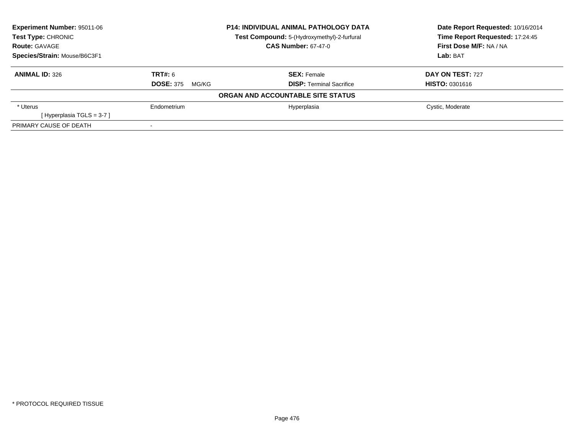| <b>Experiment Number: 95011-06</b> |                           | <b>P14: INDIVIDUAL ANIMAL PATHOLOGY DATA</b> | Date Report Requested: 10/16/2014 |  |
|------------------------------------|---------------------------|----------------------------------------------|-----------------------------------|--|
| Test Type: CHRONIC                 |                           | Test Compound: 5-(Hydroxymethyl)-2-furfural  | Time Report Requested: 17:24:45   |  |
| <b>Route: GAVAGE</b>               |                           | <b>CAS Number: 67-47-0</b>                   | First Dose M/F: NA / NA           |  |
| Species/Strain: Mouse/B6C3F1       |                           |                                              | Lab: BAT                          |  |
| <b>ANIMAL ID: 326</b>              | <b>TRT#: 6</b>            | <b>SEX: Female</b>                           | DAY ON TEST: 727                  |  |
|                                    | <b>DOSE: 375</b><br>MG/KG | <b>DISP: Terminal Sacrifice</b>              | <b>HISTO: 0301616</b>             |  |
|                                    |                           | ORGAN AND ACCOUNTABLE SITE STATUS            |                                   |  |
| * Uterus                           | Endometrium               | Hyperplasia                                  | Cystic, Moderate                  |  |
| [Hyperplasia TGLS = $3-7$ ]        |                           |                                              |                                   |  |
| PRIMARY CAUSE OF DEATH             |                           |                                              |                                   |  |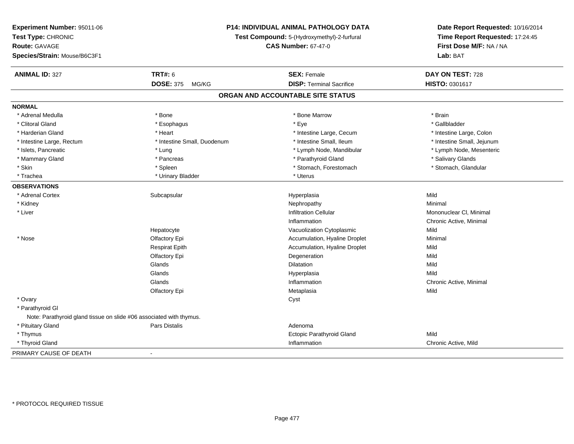| Experiment Number: 95011-06                                         |                                                                           | P14: INDIVIDUAL ANIMAL PATHOLOGY DATA | Date Report Requested: 10/16/2014                          |
|---------------------------------------------------------------------|---------------------------------------------------------------------------|---------------------------------------|------------------------------------------------------------|
| Test Type: CHRONIC                                                  | Test Compound: 5-(Hydroxymethyl)-2-furfural<br><b>CAS Number: 67-47-0</b> |                                       | Time Report Requested: 17:24:45<br>First Dose M/F: NA / NA |
| <b>Route: GAVAGE</b>                                                |                                                                           |                                       |                                                            |
| Species/Strain: Mouse/B6C3F1                                        |                                                                           |                                       | Lab: BAT                                                   |
| <b>ANIMAL ID: 327</b>                                               | <b>TRT#: 6</b>                                                            | <b>SEX: Female</b>                    | DAY ON TEST: 728                                           |
|                                                                     | <b>DOSE: 375</b><br>MG/KG                                                 | <b>DISP: Terminal Sacrifice</b>       | HISTO: 0301617                                             |
|                                                                     |                                                                           | ORGAN AND ACCOUNTABLE SITE STATUS     |                                                            |
| <b>NORMAL</b>                                                       |                                                                           |                                       |                                                            |
| * Adrenal Medulla                                                   | * Bone                                                                    | * Bone Marrow                         | * Brain                                                    |
| * Clitoral Gland                                                    | * Esophagus                                                               | * Eye                                 | * Gallbladder                                              |
| * Harderian Gland                                                   | * Heart                                                                   | * Intestine Large, Cecum              | * Intestine Large, Colon                                   |
| * Intestine Large, Rectum                                           | * Intestine Small, Duodenum                                               | * Intestine Small, Ileum              | * Intestine Small, Jejunum                                 |
| * Islets, Pancreatic                                                | * Lung                                                                    | * Lymph Node, Mandibular              | * Lymph Node, Mesenteric                                   |
| * Mammary Gland                                                     | * Pancreas                                                                | * Parathyroid Gland                   | * Salivary Glands                                          |
| * Skin                                                              | * Spleen                                                                  | * Stomach, Forestomach                | * Stomach, Glandular                                       |
| * Trachea                                                           | * Urinary Bladder                                                         | * Uterus                              |                                                            |
| <b>OBSERVATIONS</b>                                                 |                                                                           |                                       |                                                            |
| * Adrenal Cortex                                                    | Subcapsular                                                               | Hyperplasia                           | Mild                                                       |
| * Kidney                                                            |                                                                           | Nephropathy                           | Minimal                                                    |
| * Liver                                                             |                                                                           | <b>Infiltration Cellular</b>          | Mononuclear CI, Minimal                                    |
|                                                                     |                                                                           | Inflammation                          | Chronic Active, Minimal                                    |
|                                                                     | Hepatocyte                                                                | Vacuolization Cytoplasmic             | Mild                                                       |
| * Nose                                                              | Olfactory Epi                                                             | Accumulation, Hyaline Droplet         | Minimal                                                    |
|                                                                     | <b>Respirat Epith</b>                                                     | Accumulation, Hyaline Droplet         | Mild                                                       |
|                                                                     | Olfactory Epi                                                             | Degeneration                          | Mild                                                       |
|                                                                     | Glands                                                                    | <b>Dilatation</b>                     | Mild                                                       |
|                                                                     | Glands                                                                    | Hyperplasia                           | Mild                                                       |
|                                                                     | Glands                                                                    | Inflammation                          | Chronic Active, Minimal                                    |
|                                                                     | Olfactory Epi                                                             | Metaplasia                            | Mild                                                       |
| * Ovary                                                             |                                                                           | Cyst                                  |                                                            |
| * Parathyroid GI                                                    |                                                                           |                                       |                                                            |
| Note: Parathyroid gland tissue on slide #06 associated with thymus. |                                                                           |                                       |                                                            |
| * Pituitary Gland                                                   | <b>Pars Distalis</b>                                                      | Adenoma                               |                                                            |
| * Thymus                                                            |                                                                           | Ectopic Parathyroid Gland             | Mild                                                       |
| * Thyroid Gland                                                     |                                                                           | Inflammation                          | Chronic Active, Mild                                       |
| PRIMARY CAUSE OF DEATH                                              | $\blacksquare$                                                            |                                       |                                                            |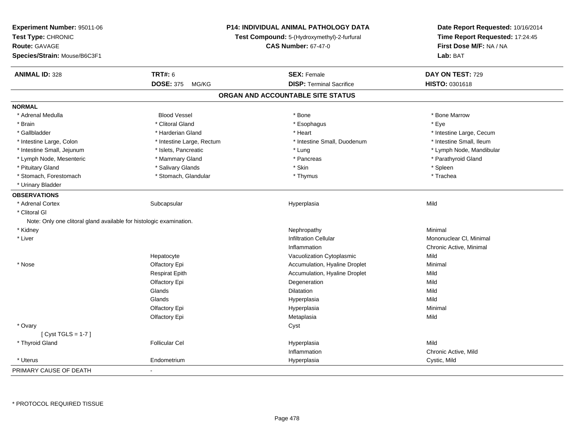| Experiment Number: 95011-06<br>Test Type: CHRONIC<br>Route: GAVAGE<br>Species/Strain: Mouse/B6C3F1 |                           | P14: INDIVIDUAL ANIMAL PATHOLOGY DATA<br>Test Compound: 5-(Hydroxymethyl)-2-furfural<br><b>CAS Number: 67-47-0</b> | Date Report Requested: 10/16/2014<br>Time Report Requested: 17:24:45<br>First Dose M/F: NA / NA<br>Lab: BAT |
|----------------------------------------------------------------------------------------------------|---------------------------|--------------------------------------------------------------------------------------------------------------------|-------------------------------------------------------------------------------------------------------------|
| <b>ANIMAL ID: 328</b>                                                                              | <b>TRT#: 6</b>            | <b>SEX: Female</b>                                                                                                 | DAY ON TEST: 729                                                                                            |
|                                                                                                    | <b>DOSE: 375</b><br>MG/KG | <b>DISP: Terminal Sacrifice</b>                                                                                    | <b>HISTO: 0301618</b>                                                                                       |
|                                                                                                    |                           | ORGAN AND ACCOUNTABLE SITE STATUS                                                                                  |                                                                                                             |
| <b>NORMAL</b>                                                                                      |                           |                                                                                                                    |                                                                                                             |
| * Adrenal Medulla                                                                                  | <b>Blood Vessel</b>       | * Bone                                                                                                             | * Bone Marrow                                                                                               |
| * Brain                                                                                            | * Clitoral Gland          | * Esophagus                                                                                                        | * Eye                                                                                                       |
| * Gallbladder                                                                                      | * Harderian Gland         | * Heart                                                                                                            | * Intestine Large, Cecum                                                                                    |
| * Intestine Large, Colon                                                                           | * Intestine Large, Rectum | * Intestine Small, Duodenum                                                                                        | * Intestine Small, Ileum                                                                                    |
| * Intestine Small, Jejunum                                                                         | * Islets, Pancreatic      | * Lung                                                                                                             | * Lymph Node, Mandibular                                                                                    |
| * Lymph Node, Mesenteric                                                                           | * Mammary Gland           | * Pancreas                                                                                                         | * Parathyroid Gland                                                                                         |
| * Pituitary Gland                                                                                  | * Salivary Glands         | * Skin                                                                                                             | * Spleen                                                                                                    |
| * Stomach, Forestomach                                                                             | * Stomach, Glandular      | * Thymus                                                                                                           | * Trachea                                                                                                   |
| * Urinary Bladder                                                                                  |                           |                                                                                                                    |                                                                                                             |
| <b>OBSERVATIONS</b>                                                                                |                           |                                                                                                                    |                                                                                                             |
| * Adrenal Cortex                                                                                   | Subcapsular               | Hyperplasia                                                                                                        | Mild                                                                                                        |
| * Clitoral GI<br>Note: Only one clitoral gland available for histologic examination.               |                           |                                                                                                                    |                                                                                                             |
| * Kidney                                                                                           |                           | Nephropathy                                                                                                        | Minimal                                                                                                     |
| * Liver                                                                                            |                           | <b>Infiltration Cellular</b>                                                                                       | Mononuclear CI, Minimal                                                                                     |
|                                                                                                    |                           | Inflammation                                                                                                       | Chronic Active, Minimal                                                                                     |
|                                                                                                    | Hepatocyte                | Vacuolization Cytoplasmic                                                                                          | Mild                                                                                                        |
| * Nose                                                                                             | Olfactory Epi             | Accumulation, Hyaline Droplet                                                                                      | Minimal                                                                                                     |
|                                                                                                    | <b>Respirat Epith</b>     | Accumulation, Hyaline Droplet                                                                                      | Mild                                                                                                        |
|                                                                                                    | Olfactory Epi             | Degeneration                                                                                                       | Mild                                                                                                        |
|                                                                                                    | Glands                    | Dilatation                                                                                                         | Mild                                                                                                        |
|                                                                                                    | Glands                    | Hyperplasia                                                                                                        | Mild                                                                                                        |
|                                                                                                    | Olfactory Epi             | Hyperplasia                                                                                                        | Minimal                                                                                                     |
|                                                                                                    | Olfactory Epi             | Metaplasia                                                                                                         | Mild                                                                                                        |
| * Ovary                                                                                            |                           | Cyst                                                                                                               |                                                                                                             |
| [Cyst TGLS = $1-7$ ]                                                                               |                           |                                                                                                                    |                                                                                                             |
| * Thyroid Gland                                                                                    | <b>Follicular Cel</b>     | Hyperplasia                                                                                                        | Mild                                                                                                        |
|                                                                                                    |                           | Inflammation                                                                                                       | Chronic Active, Mild                                                                                        |
| * Uterus                                                                                           | Endometrium               | Hyperplasia                                                                                                        | Cystic, Mild                                                                                                |
| PRIMARY CAUSE OF DEATH                                                                             |                           |                                                                                                                    |                                                                                                             |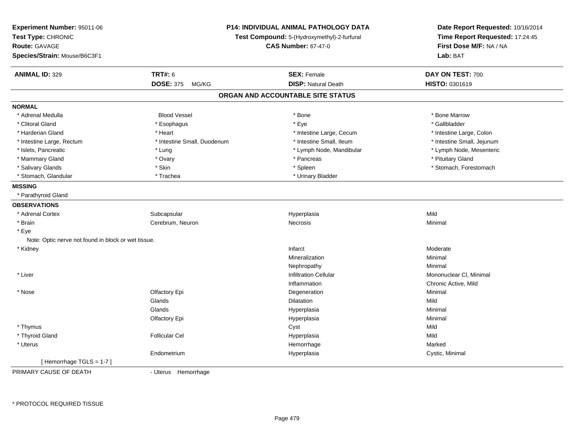| Experiment Number: 95011-06<br>Test Type: CHRONIC<br>Route: GAVAGE<br>Species/Strain: Mouse/B6C3F1 |                             | P14: INDIVIDUAL ANIMAL PATHOLOGY DATA<br>Test Compound: 5-(Hydroxymethyl)-2-furfural<br><b>CAS Number: 67-47-0</b> | Date Report Requested: 10/16/2014<br>Time Report Requested: 17:24:45<br>First Dose M/F: NA / NA<br>Lab: BAT |
|----------------------------------------------------------------------------------------------------|-----------------------------|--------------------------------------------------------------------------------------------------------------------|-------------------------------------------------------------------------------------------------------------|
| <b>ANIMAL ID: 329</b>                                                                              | <b>TRT#: 6</b>              | <b>SEX: Female</b>                                                                                                 | DAY ON TEST: 700                                                                                            |
|                                                                                                    | <b>DOSE: 375</b><br>MG/KG   | <b>DISP: Natural Death</b>                                                                                         | <b>HISTO: 0301619</b>                                                                                       |
|                                                                                                    |                             | ORGAN AND ACCOUNTABLE SITE STATUS                                                                                  |                                                                                                             |
| <b>NORMAL</b>                                                                                      |                             |                                                                                                                    |                                                                                                             |
| * Adrenal Medulla                                                                                  | <b>Blood Vessel</b>         | * Bone                                                                                                             | * Bone Marrow                                                                                               |
| * Clitoral Gland                                                                                   | * Esophagus                 | * Eye                                                                                                              | * Gallbladder                                                                                               |
| * Harderian Gland                                                                                  | * Heart                     | * Intestine Large, Cecum                                                                                           | * Intestine Large, Colon                                                                                    |
| * Intestine Large, Rectum                                                                          | * Intestine Small, Duodenum | * Intestine Small, Ileum                                                                                           | * Intestine Small, Jejunum                                                                                  |
| * Islets, Pancreatic                                                                               | * Lung                      | * Lymph Node, Mandibular                                                                                           | * Lymph Node, Mesenteric                                                                                    |
| * Mammary Gland                                                                                    | * Ovary                     | * Pancreas                                                                                                         | * Pituitary Gland                                                                                           |
| * Salivary Glands                                                                                  | * Skin                      | * Spleen                                                                                                           | * Stomach, Forestomach                                                                                      |
| * Stomach, Glandular                                                                               | * Trachea                   | * Urinary Bladder                                                                                                  |                                                                                                             |
| <b>MISSING</b>                                                                                     |                             |                                                                                                                    |                                                                                                             |
| * Parathyroid Gland                                                                                |                             |                                                                                                                    |                                                                                                             |
| <b>OBSERVATIONS</b>                                                                                |                             |                                                                                                                    |                                                                                                             |
| * Adrenal Cortex                                                                                   | Subcapsular                 | Hyperplasia                                                                                                        | Mild                                                                                                        |
| * Brain                                                                                            | Cerebrum, Neuron            | Necrosis                                                                                                           | Minimal                                                                                                     |
| * Eye                                                                                              |                             |                                                                                                                    |                                                                                                             |
| Note: Optic nerve not found in block or wet tissue.                                                |                             |                                                                                                                    |                                                                                                             |
| * Kidney                                                                                           |                             | Infarct                                                                                                            | Moderate                                                                                                    |
|                                                                                                    |                             | Mineralization                                                                                                     | Minimal                                                                                                     |
|                                                                                                    |                             | Nephropathy                                                                                                        | Minimal                                                                                                     |
| * Liver                                                                                            |                             | <b>Infiltration Cellular</b>                                                                                       | Mononuclear CI, Minimal                                                                                     |
|                                                                                                    |                             | Inflammation                                                                                                       | Chronic Active, Mild                                                                                        |
| * Nose                                                                                             | Olfactory Epi               | Degeneration                                                                                                       | Minimal                                                                                                     |
|                                                                                                    | Glands                      | Dilatation                                                                                                         | Mild                                                                                                        |
|                                                                                                    | Glands                      | Hyperplasia                                                                                                        | Minimal                                                                                                     |
|                                                                                                    | Olfactory Epi               | Hyperplasia                                                                                                        | Minimal                                                                                                     |
| * Thymus                                                                                           |                             | Cyst                                                                                                               | Mild                                                                                                        |
| * Thyroid Gland                                                                                    | <b>Follicular Cel</b>       | Hyperplasia                                                                                                        | Mild                                                                                                        |
| * Uterus                                                                                           |                             | Hemorrhage                                                                                                         | Marked                                                                                                      |
|                                                                                                    | Endometrium                 | Hyperplasia                                                                                                        | Cystic, Minimal                                                                                             |
| [Hemorrhage TGLS = 1-7]                                                                            |                             |                                                                                                                    |                                                                                                             |
| PRIMARY CAUSE OF DEATH                                                                             | - Uterus Hemorrhage         |                                                                                                                    |                                                                                                             |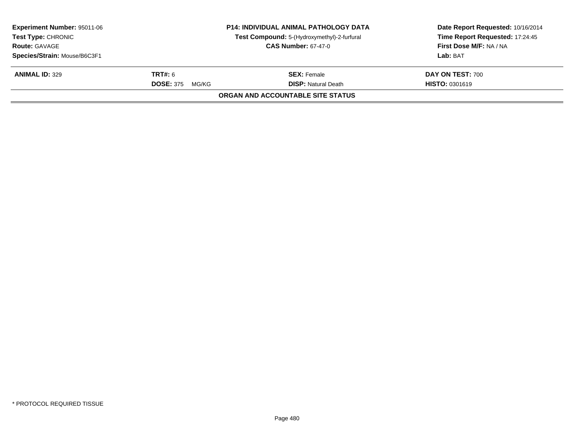| <b>Experiment Number: 95011-06</b><br><b>Test Type: CHRONIC</b> |                           | <b>P14: INDIVIDUAL ANIMAL PATHOLOGY DATA</b><br>Test Compound: 5-(Hydroxymethyl)-2-furfural | Date Report Requested: 10/16/2014<br>Time Report Requested: 17:24:45 |
|-----------------------------------------------------------------|---------------------------|---------------------------------------------------------------------------------------------|----------------------------------------------------------------------|
| <b>Route: GAVAGE</b><br><b>CAS Number: 67-47-0</b>              |                           |                                                                                             | First Dose M/F: NA / NA                                              |
| Species/Strain: Mouse/B6C3F1                                    |                           |                                                                                             | Lab: BAT                                                             |
| <b>ANIMAL ID: 329</b>                                           | <b>TRT#:</b> 6            | <b>SEX: Female</b>                                                                          | <b>DAY ON TEST: 700</b>                                              |
|                                                                 | <b>DOSE: 375</b><br>MG/KG | <b>DISP: Natural Death</b>                                                                  | <b>HISTO: 0301619</b>                                                |
|                                                                 |                           | ORGAN AND ACCOUNTABLE SITE STATUS                                                           |                                                                      |
|                                                                 |                           |                                                                                             |                                                                      |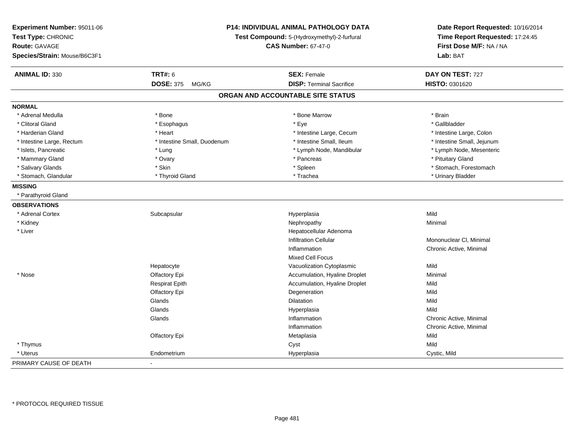| Experiment Number: 95011-06<br>Test Type: CHRONIC<br>Route: GAVAGE<br>Species/Strain: Mouse/B6C3F1 |                             | <b>P14: INDIVIDUAL ANIMAL PATHOLOGY DATA</b><br>Test Compound: 5-(Hydroxymethyl)-2-furfural<br><b>CAS Number: 67-47-0</b> | Date Report Requested: 10/16/2014<br>Time Report Requested: 17:24:45<br>First Dose M/F: NA / NA<br>Lab: BAT |
|----------------------------------------------------------------------------------------------------|-----------------------------|---------------------------------------------------------------------------------------------------------------------------|-------------------------------------------------------------------------------------------------------------|
| <b>ANIMAL ID: 330</b>                                                                              | <b>TRT#: 6</b>              | <b>SEX: Female</b>                                                                                                        | DAY ON TEST: 727                                                                                            |
|                                                                                                    | <b>DOSE: 375</b><br>MG/KG   | <b>DISP: Terminal Sacrifice</b>                                                                                           | HISTO: 0301620                                                                                              |
|                                                                                                    |                             | ORGAN AND ACCOUNTABLE SITE STATUS                                                                                         |                                                                                                             |
| <b>NORMAL</b>                                                                                      |                             |                                                                                                                           |                                                                                                             |
| * Adrenal Medulla                                                                                  | * Bone                      | * Bone Marrow                                                                                                             | * Brain                                                                                                     |
| * Clitoral Gland                                                                                   | * Esophagus                 | * Eye                                                                                                                     | * Gallbladder                                                                                               |
| * Harderian Gland                                                                                  | * Heart                     | * Intestine Large, Cecum                                                                                                  | * Intestine Large, Colon                                                                                    |
| * Intestine Large, Rectum                                                                          | * Intestine Small, Duodenum | * Intestine Small, Ileum                                                                                                  | * Intestine Small, Jejunum                                                                                  |
| * Islets, Pancreatic                                                                               | * Lung                      | * Lymph Node, Mandibular                                                                                                  | * Lymph Node, Mesenteric                                                                                    |
| * Mammary Gland                                                                                    | * Ovary                     | * Pancreas                                                                                                                | * Pituitary Gland                                                                                           |
| * Salivary Glands                                                                                  | * Skin                      | * Spleen                                                                                                                  | * Stomach, Forestomach                                                                                      |
| * Stomach, Glandular                                                                               | * Thyroid Gland             | * Trachea                                                                                                                 | * Urinary Bladder                                                                                           |
| <b>MISSING</b>                                                                                     |                             |                                                                                                                           |                                                                                                             |
| * Parathyroid Gland                                                                                |                             |                                                                                                                           |                                                                                                             |
| <b>OBSERVATIONS</b>                                                                                |                             |                                                                                                                           |                                                                                                             |
| * Adrenal Cortex                                                                                   | Subcapsular                 | Hyperplasia                                                                                                               | Mild                                                                                                        |
| * Kidney                                                                                           |                             | Nephropathy                                                                                                               | Minimal                                                                                                     |
| * Liver                                                                                            |                             | Hepatocellular Adenoma                                                                                                    |                                                                                                             |
|                                                                                                    |                             | <b>Infiltration Cellular</b>                                                                                              | Mononuclear CI, Minimal                                                                                     |
|                                                                                                    |                             | Inflammation                                                                                                              | Chronic Active, Minimal                                                                                     |
|                                                                                                    |                             | Mixed Cell Focus                                                                                                          |                                                                                                             |
|                                                                                                    | Hepatocyte                  | Vacuolization Cytoplasmic                                                                                                 | Mild                                                                                                        |
| * Nose                                                                                             | Olfactory Epi               | Accumulation, Hyaline Droplet                                                                                             | Minimal                                                                                                     |
|                                                                                                    | <b>Respirat Epith</b>       | Accumulation, Hyaline Droplet                                                                                             | Mild                                                                                                        |
|                                                                                                    | Olfactory Epi               | Degeneration                                                                                                              | Mild                                                                                                        |
|                                                                                                    | Glands                      | Dilatation                                                                                                                | Mild                                                                                                        |
|                                                                                                    | Glands                      | Hyperplasia                                                                                                               | Mild                                                                                                        |
|                                                                                                    | Glands                      | Inflammation                                                                                                              | Chronic Active, Minimal                                                                                     |
|                                                                                                    |                             | Inflammation                                                                                                              | Chronic Active, Minimal                                                                                     |
|                                                                                                    | Olfactory Epi               | Metaplasia                                                                                                                | Mild                                                                                                        |
| * Thymus                                                                                           |                             | Cyst                                                                                                                      | Mild                                                                                                        |
| * Uterus                                                                                           | Endometrium                 | Hyperplasia                                                                                                               | Cystic, Mild                                                                                                |
| PRIMARY CAUSE OF DEATH                                                                             | $\blacksquare$              |                                                                                                                           |                                                                                                             |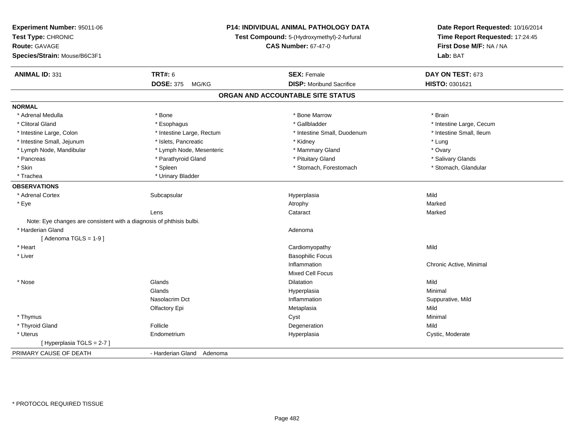| Experiment Number: 95011-06<br>Test Type: CHRONIC<br><b>Route: GAVAGE</b><br>Species/Strain: Mouse/B6C3F1 |                           | P14: INDIVIDUAL ANIMAL PATHOLOGY DATA<br>Test Compound: 5-(Hydroxymethyl)-2-furfural<br><b>CAS Number: 67-47-0</b> | Date Report Requested: 10/16/2014<br>Time Report Requested: 17:24:45<br>First Dose M/F: NA / NA<br>Lab: BAT |
|-----------------------------------------------------------------------------------------------------------|---------------------------|--------------------------------------------------------------------------------------------------------------------|-------------------------------------------------------------------------------------------------------------|
| <b>ANIMAL ID: 331</b>                                                                                     | <b>TRT#: 6</b>            | <b>SEX: Female</b>                                                                                                 | DAY ON TEST: 673                                                                                            |
|                                                                                                           | <b>DOSE: 375</b><br>MG/KG | <b>DISP:</b> Moribund Sacrifice                                                                                    | HISTO: 0301621                                                                                              |
|                                                                                                           |                           | ORGAN AND ACCOUNTABLE SITE STATUS                                                                                  |                                                                                                             |
| <b>NORMAL</b>                                                                                             |                           |                                                                                                                    |                                                                                                             |
| * Adrenal Medulla                                                                                         | * Bone                    | * Bone Marrow                                                                                                      | * Brain                                                                                                     |
| * Clitoral Gland                                                                                          | * Esophagus               | * Gallbladder                                                                                                      | * Intestine Large, Cecum                                                                                    |
| * Intestine Large, Colon                                                                                  | * Intestine Large, Rectum | * Intestine Small, Duodenum                                                                                        | * Intestine Small, Ileum                                                                                    |
| * Intestine Small, Jejunum                                                                                | * Islets, Pancreatic      | * Kidney                                                                                                           | * Lung                                                                                                      |
| * Lymph Node, Mandibular                                                                                  | * Lymph Node, Mesenteric  | * Mammary Gland                                                                                                    | * Ovary                                                                                                     |
| * Pancreas                                                                                                | * Parathyroid Gland       | * Pituitary Gland                                                                                                  | * Salivary Glands                                                                                           |
| * Skin                                                                                                    | * Spleen                  | * Stomach, Forestomach                                                                                             | * Stomach, Glandular                                                                                        |
| * Trachea                                                                                                 | * Urinary Bladder         |                                                                                                                    |                                                                                                             |
| <b>OBSERVATIONS</b>                                                                                       |                           |                                                                                                                    |                                                                                                             |
| * Adrenal Cortex                                                                                          | Subcapsular               | Hyperplasia                                                                                                        | Mild                                                                                                        |
| * Eye                                                                                                     |                           | Atrophy                                                                                                            | Marked                                                                                                      |
|                                                                                                           | Lens                      | Cataract                                                                                                           | Marked                                                                                                      |
| Note: Eye changes are consistent with a diagnosis of phthisis bulbi.                                      |                           |                                                                                                                    |                                                                                                             |
| * Harderian Gland                                                                                         |                           | Adenoma                                                                                                            |                                                                                                             |
| [Adenoma TGLS = $1-9$ ]                                                                                   |                           |                                                                                                                    |                                                                                                             |
| * Heart                                                                                                   |                           | Cardiomyopathy                                                                                                     | Mild                                                                                                        |
| * Liver                                                                                                   |                           | <b>Basophilic Focus</b>                                                                                            |                                                                                                             |
|                                                                                                           |                           | Inflammation                                                                                                       | Chronic Active, Minimal                                                                                     |
|                                                                                                           |                           | Mixed Cell Focus                                                                                                   |                                                                                                             |
| * Nose                                                                                                    | Glands                    | Dilatation                                                                                                         | Mild                                                                                                        |
|                                                                                                           | Glands                    | Hyperplasia                                                                                                        | Minimal                                                                                                     |
|                                                                                                           | Nasolacrim Dct            | Inflammation                                                                                                       | Suppurative, Mild                                                                                           |
|                                                                                                           | Olfactory Epi             | Metaplasia                                                                                                         | Mild                                                                                                        |
| * Thymus                                                                                                  |                           | Cyst                                                                                                               | Minimal                                                                                                     |
| * Thyroid Gland                                                                                           | Follicle                  | Degeneration                                                                                                       | Mild                                                                                                        |
| * Uterus                                                                                                  | Endometrium               | Hyperplasia                                                                                                        | Cystic, Moderate                                                                                            |
| [Hyperplasia TGLS = 2-7]                                                                                  |                           |                                                                                                                    |                                                                                                             |
| PRIMARY CAUSE OF DEATH                                                                                    | - Harderian Gland Adenoma |                                                                                                                    |                                                                                                             |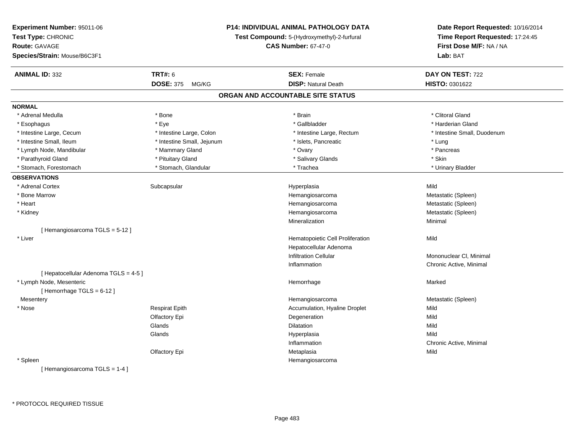| Experiment Number: 95011-06           |                                                                           | P14: INDIVIDUAL ANIMAL PATHOLOGY DATA | Date Report Requested: 10/16/2014 |  |
|---------------------------------------|---------------------------------------------------------------------------|---------------------------------------|-----------------------------------|--|
| Test Type: CHRONIC                    | Test Compound: 5-(Hydroxymethyl)-2-furfural<br><b>CAS Number: 67-47-0</b> |                                       | Time Report Requested: 17:24:45   |  |
| <b>Route: GAVAGE</b>                  |                                                                           |                                       | First Dose M/F: NA / NA           |  |
| Species/Strain: Mouse/B6C3F1          |                                                                           |                                       | Lab: BAT                          |  |
| <b>ANIMAL ID: 332</b>                 | <b>TRT#: 6</b>                                                            | <b>SEX: Female</b>                    | DAY ON TEST: 722                  |  |
|                                       | <b>DOSE: 375</b><br>MG/KG                                                 | <b>DISP: Natural Death</b>            | HISTO: 0301622                    |  |
|                                       |                                                                           | ORGAN AND ACCOUNTABLE SITE STATUS     |                                   |  |
| <b>NORMAL</b>                         |                                                                           |                                       |                                   |  |
| * Adrenal Medulla                     | * Bone                                                                    | * Brain                               | * Clitoral Gland                  |  |
| * Esophagus                           | * Eye                                                                     | * Gallbladder                         | * Harderian Gland                 |  |
| * Intestine Large, Cecum              | * Intestine Large, Colon                                                  | * Intestine Large, Rectum             | * Intestine Small, Duodenum       |  |
| * Intestine Small, Ileum              | * Intestine Small, Jejunum                                                | * Islets, Pancreatic                  | * Lung                            |  |
| * Lymph Node, Mandibular              | * Mammary Gland                                                           | * Ovary                               | * Pancreas                        |  |
| * Parathyroid Gland                   | * Pituitary Gland                                                         | * Salivary Glands                     | * Skin                            |  |
| * Stomach, Forestomach                | * Stomach, Glandular                                                      | * Trachea                             | * Urinary Bladder                 |  |
| <b>OBSERVATIONS</b>                   |                                                                           |                                       |                                   |  |
| * Adrenal Cortex                      | Subcapsular                                                               | Hyperplasia                           | Mild                              |  |
| * Bone Marrow                         |                                                                           | Hemangiosarcoma                       | Metastatic (Spleen)               |  |
| * Heart                               |                                                                           | Hemangiosarcoma                       | Metastatic (Spleen)               |  |
| * Kidney                              |                                                                           | Hemangiosarcoma                       | Metastatic (Spleen)               |  |
|                                       |                                                                           | Mineralization                        | Minimal                           |  |
| [Hemangiosarcoma TGLS = 5-12]         |                                                                           |                                       |                                   |  |
| * Liver                               |                                                                           | Hematopoietic Cell Proliferation      | Mild                              |  |
|                                       |                                                                           | Hepatocellular Adenoma                |                                   |  |
|                                       |                                                                           | <b>Infiltration Cellular</b>          | Mononuclear CI, Minimal           |  |
|                                       |                                                                           | Inflammation                          | Chronic Active, Minimal           |  |
| [ Hepatocellular Adenoma TGLS = 4-5 ] |                                                                           |                                       |                                   |  |
| * Lymph Node, Mesenteric              |                                                                           | Hemorrhage                            | Marked                            |  |
| [Hemorrhage TGLS = 6-12]              |                                                                           |                                       |                                   |  |
| Mesentery                             |                                                                           | Hemangiosarcoma                       | Metastatic (Spleen)               |  |
| * Nose                                | <b>Respirat Epith</b>                                                     | Accumulation, Hyaline Droplet         | Mild                              |  |
|                                       | Olfactory Epi                                                             | Degeneration                          | Mild                              |  |
|                                       | Glands                                                                    | Dilatation                            | Mild                              |  |
|                                       | Glands                                                                    | Hyperplasia                           | Mild                              |  |
|                                       |                                                                           | Inflammation                          | Chronic Active, Minimal           |  |
|                                       | Olfactory Epi                                                             | Metaplasia                            | Mild                              |  |
| * Spleen                              |                                                                           | Hemangiosarcoma                       |                                   |  |
| [Hemangiosarcoma TGLS = 1-4]          |                                                                           |                                       |                                   |  |

\* PROTOCOL REQUIRED TISSUE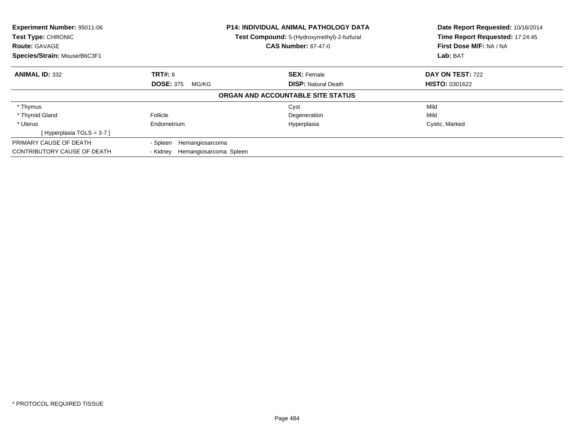| Experiment Number: 95011-06<br>Test Type: CHRONIC<br><b>Route: GAVAGE</b><br>Species/Strain: Mouse/B6C3F1 |                                             | <b>P14: INDIVIDUAL ANIMAL PATHOLOGY DATA</b><br>Test Compound: 5-(Hydroxymethyl)-2-furfural<br><b>CAS Number: 67-47-0</b> | Date Report Requested: 10/16/2014<br>Time Report Requested: 17:24:45<br>First Dose M/F: NA / NA<br>Lab: BAT |
|-----------------------------------------------------------------------------------------------------------|---------------------------------------------|---------------------------------------------------------------------------------------------------------------------------|-------------------------------------------------------------------------------------------------------------|
| <b>ANIMAL ID: 332</b>                                                                                     | <b>TRT#: 6</b><br><b>DOSE: 375</b><br>MG/KG | <b>SEX: Female</b><br><b>DISP:</b> Natural Death                                                                          | DAY ON TEST: 722<br><b>HISTO: 0301622</b>                                                                   |
|                                                                                                           |                                             | ORGAN AND ACCOUNTABLE SITE STATUS                                                                                         |                                                                                                             |
| * Thymus                                                                                                  |                                             | Cyst                                                                                                                      | Mild                                                                                                        |
| * Thyroid Gland                                                                                           | Follicle                                    | Degeneration                                                                                                              | Mild                                                                                                        |
| * Uterus                                                                                                  | Endometrium                                 | Hyperplasia                                                                                                               | Cystic, Marked                                                                                              |
| [Hyperplasia TGLS = $3-7$ ]                                                                               |                                             |                                                                                                                           |                                                                                                             |
| PRIMARY CAUSE OF DEATH                                                                                    | - Spleen<br>Hemangiosarcoma                 |                                                                                                                           |                                                                                                             |
| CONTRIBUTORY CAUSE OF DEATH                                                                               | Hemangiosarcoma Spleen<br>- Kidnev          |                                                                                                                           |                                                                                                             |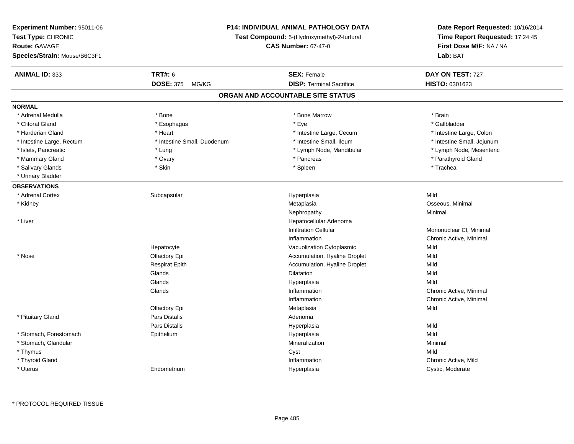| Experiment Number: 95011-06<br>Test Type: CHRONIC<br><b>Route: GAVAGE</b><br>Species/Strain: Mouse/B6C3F1 | <b>P14: INDIVIDUAL ANIMAL PATHOLOGY DATA</b><br>Test Compound: 5-(Hydroxymethyl)-2-furfural<br><b>CAS Number: 67-47-0</b> |                                                       | Date Report Requested: 10/16/2014<br>Time Report Requested: 17:24:45<br>First Dose M/F: NA / NA<br>Lab: BAT |
|-----------------------------------------------------------------------------------------------------------|---------------------------------------------------------------------------------------------------------------------------|-------------------------------------------------------|-------------------------------------------------------------------------------------------------------------|
| <b>ANIMAL ID: 333</b>                                                                                     | <b>TRT#: 6</b><br><b>DOSE: 375</b><br>MG/KG                                                                               | <b>SEX: Female</b><br><b>DISP: Terminal Sacrifice</b> | DAY ON TEST: 727<br>HISTO: 0301623                                                                          |
|                                                                                                           |                                                                                                                           | ORGAN AND ACCOUNTABLE SITE STATUS                     |                                                                                                             |
| <b>NORMAL</b>                                                                                             |                                                                                                                           |                                                       |                                                                                                             |
| * Adrenal Medulla                                                                                         | * Bone                                                                                                                    | * Bone Marrow                                         | * Brain                                                                                                     |
| * Clitoral Gland                                                                                          | * Esophagus                                                                                                               | * Eye                                                 | * Gallbladder                                                                                               |
| * Harderian Gland                                                                                         | * Heart                                                                                                                   | * Intestine Large, Cecum                              | * Intestine Large, Colon                                                                                    |
| * Intestine Large, Rectum                                                                                 | * Intestine Small, Duodenum                                                                                               | * Intestine Small, Ileum                              | * Intestine Small, Jejunum                                                                                  |
| * Islets, Pancreatic                                                                                      | * Lung                                                                                                                    | * Lymph Node, Mandibular                              | * Lymph Node, Mesenteric                                                                                    |
| * Mammary Gland                                                                                           | * Ovary                                                                                                                   | * Pancreas                                            | * Parathyroid Gland                                                                                         |
| * Salivary Glands                                                                                         | * Skin                                                                                                                    | * Spleen                                              | * Trachea                                                                                                   |
| * Urinary Bladder                                                                                         |                                                                                                                           |                                                       |                                                                                                             |
| <b>OBSERVATIONS</b>                                                                                       |                                                                                                                           |                                                       |                                                                                                             |
| * Adrenal Cortex                                                                                          | Subcapsular                                                                                                               | Hyperplasia                                           | Mild                                                                                                        |
| * Kidney                                                                                                  |                                                                                                                           | Metaplasia                                            | Osseous, Minimal                                                                                            |
|                                                                                                           |                                                                                                                           | Nephropathy                                           | Minimal                                                                                                     |
| * Liver                                                                                                   |                                                                                                                           | Hepatocellular Adenoma                                |                                                                                                             |
|                                                                                                           |                                                                                                                           | <b>Infiltration Cellular</b>                          | Mononuclear CI, Minimal                                                                                     |
|                                                                                                           |                                                                                                                           | Inflammation                                          | Chronic Active, Minimal                                                                                     |
|                                                                                                           | Hepatocyte                                                                                                                | Vacuolization Cytoplasmic                             | Mild                                                                                                        |
| * Nose                                                                                                    | Olfactory Epi                                                                                                             | Accumulation, Hyaline Droplet                         | Mild                                                                                                        |
|                                                                                                           | <b>Respirat Epith</b>                                                                                                     | Accumulation, Hyaline Droplet                         | Mild                                                                                                        |
|                                                                                                           | Glands                                                                                                                    | <b>Dilatation</b>                                     | Mild                                                                                                        |
|                                                                                                           | Glands                                                                                                                    | Hyperplasia                                           | Mild                                                                                                        |
|                                                                                                           | Glands                                                                                                                    | Inflammation                                          | Chronic Active, Minimal                                                                                     |
|                                                                                                           |                                                                                                                           | Inflammation                                          | Chronic Active, Minimal                                                                                     |
|                                                                                                           | Olfactory Epi                                                                                                             | Metaplasia                                            | Mild                                                                                                        |
| * Pituitary Gland                                                                                         | Pars Distalis                                                                                                             | Adenoma                                               |                                                                                                             |
|                                                                                                           | Pars Distalis                                                                                                             | Hyperplasia                                           | Mild                                                                                                        |
| * Stomach, Forestomach                                                                                    | Epithelium                                                                                                                | Hyperplasia                                           | Mild                                                                                                        |
| * Stomach, Glandular                                                                                      |                                                                                                                           | Mineralization                                        | Minimal                                                                                                     |
| * Thymus                                                                                                  |                                                                                                                           | Cyst                                                  | Mild                                                                                                        |
| * Thyroid Gland                                                                                           |                                                                                                                           | Inflammation                                          | Chronic Active, Mild                                                                                        |
| * Uterus                                                                                                  | Endometrium                                                                                                               | Hyperplasia                                           | Cystic, Moderate                                                                                            |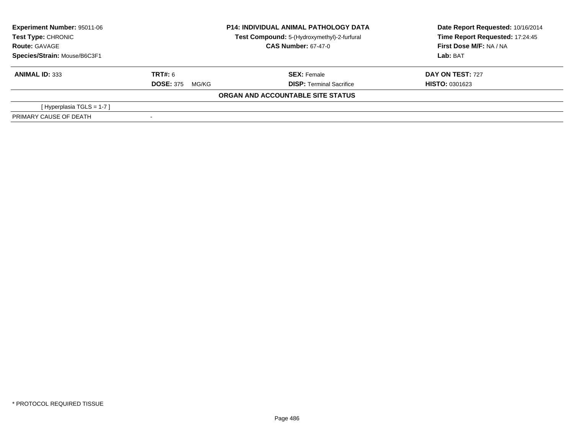| Experiment Number: 95011-06<br>Test Type: CHRONIC |                            | <b>P14: INDIVIDUAL ANIMAL PATHOLOGY DATA</b><br>Test Compound: 5-(Hydroxymethyl)-2-furfural | Date Report Requested: 10/16/2014<br>Time Report Requested: 17:24:45 |
|---------------------------------------------------|----------------------------|---------------------------------------------------------------------------------------------|----------------------------------------------------------------------|
| <b>Route: GAVAGE</b>                              | <b>CAS Number: 67-47-0</b> |                                                                                             | First Dose M/F: NA / NA                                              |
| Species/Strain: Mouse/B6C3F1                      |                            |                                                                                             | Lab: BAT                                                             |
| <b>ANIMAL ID: 333</b>                             | <b>TRT#: 6</b>             | <b>SEX: Female</b>                                                                          | <b>DAY ON TEST: 727</b>                                              |
|                                                   | <b>DOSE: 375</b><br>MG/KG  | <b>DISP: Terminal Sacrifice</b>                                                             | <b>HISTO: 0301623</b>                                                |
|                                                   |                            | ORGAN AND ACCOUNTABLE SITE STATUS                                                           |                                                                      |
| [Hyperplasia TGLS = $1-7$ ]                       |                            |                                                                                             |                                                                      |
| PRIMARY CAUSE OF DEATH                            |                            |                                                                                             |                                                                      |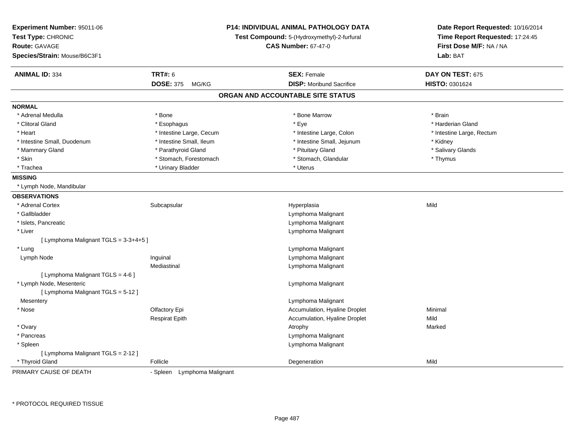| Experiment Number: 95011-06<br>Test Type: CHRONIC<br>Route: GAVAGE<br>Species/Strain: Mouse/B6C3F1 |                                | <b>P14: INDIVIDUAL ANIMAL PATHOLOGY DATA</b><br>Test Compound: 5-(Hydroxymethyl)-2-furfural<br><b>CAS Number: 67-47-0</b> | Date Report Requested: 10/16/2014<br>Time Report Requested: 17:24:45<br>First Dose M/F: NA / NA<br>Lab: BAT |
|----------------------------------------------------------------------------------------------------|--------------------------------|---------------------------------------------------------------------------------------------------------------------------|-------------------------------------------------------------------------------------------------------------|
| <b>ANIMAL ID: 334</b>                                                                              | <b>TRT#: 6</b>                 | <b>SEX: Female</b>                                                                                                        | DAY ON TEST: 675                                                                                            |
|                                                                                                    | <b>DOSE: 375</b><br>MG/KG      | <b>DISP:</b> Moribund Sacrifice                                                                                           | HISTO: 0301624                                                                                              |
|                                                                                                    |                                | ORGAN AND ACCOUNTABLE SITE STATUS                                                                                         |                                                                                                             |
| <b>NORMAL</b>                                                                                      |                                |                                                                                                                           |                                                                                                             |
| * Adrenal Medulla                                                                                  | * Bone                         | * Bone Marrow                                                                                                             | * Brain                                                                                                     |
| * Clitoral Gland                                                                                   | * Esophagus                    | * Eye                                                                                                                     | * Harderian Gland                                                                                           |
| * Heart                                                                                            | * Intestine Large, Cecum       | * Intestine Large, Colon                                                                                                  | * Intestine Large, Rectum                                                                                   |
| * Intestine Small, Duodenum                                                                        | * Intestine Small, Ileum       | * Intestine Small, Jejunum                                                                                                | * Kidney                                                                                                    |
| * Mammary Gland                                                                                    | * Parathyroid Gland            | * Pituitary Gland                                                                                                         | * Salivary Glands                                                                                           |
| * Skin                                                                                             | * Stomach, Forestomach         | * Stomach, Glandular                                                                                                      | * Thymus                                                                                                    |
| * Trachea                                                                                          | * Urinary Bladder              | * Uterus                                                                                                                  |                                                                                                             |
| <b>MISSING</b>                                                                                     |                                |                                                                                                                           |                                                                                                             |
| * Lymph Node, Mandibular                                                                           |                                |                                                                                                                           |                                                                                                             |
| <b>OBSERVATIONS</b>                                                                                |                                |                                                                                                                           |                                                                                                             |
| * Adrenal Cortex                                                                                   | Subcapsular                    | Hyperplasia                                                                                                               | Mild                                                                                                        |
| * Gallbladder                                                                                      |                                | Lymphoma Malignant                                                                                                        |                                                                                                             |
| * Islets, Pancreatic                                                                               |                                | Lymphoma Malignant                                                                                                        |                                                                                                             |
| * Liver                                                                                            |                                | Lymphoma Malignant                                                                                                        |                                                                                                             |
| [ Lymphoma Malignant TGLS = $3-3+4+5$ ]                                                            |                                |                                                                                                                           |                                                                                                             |
| * Lung                                                                                             |                                | Lymphoma Malignant                                                                                                        |                                                                                                             |
| Lymph Node                                                                                         | Inguinal                       | Lymphoma Malignant                                                                                                        |                                                                                                             |
|                                                                                                    | Mediastinal                    | Lymphoma Malignant                                                                                                        |                                                                                                             |
| [ Lymphoma Malignant TGLS = 4-6 ]                                                                  |                                |                                                                                                                           |                                                                                                             |
| * Lymph Node, Mesenteric                                                                           |                                | Lymphoma Malignant                                                                                                        |                                                                                                             |
| [ Lymphoma Malignant TGLS = 5-12 ]                                                                 |                                |                                                                                                                           |                                                                                                             |
| Mesentery                                                                                          |                                | Lymphoma Malignant                                                                                                        |                                                                                                             |
| * Nose                                                                                             | Olfactory Epi                  | Accumulation, Hyaline Droplet                                                                                             | Minimal                                                                                                     |
|                                                                                                    | <b>Respirat Epith</b>          | Accumulation, Hyaline Droplet                                                                                             | Mild                                                                                                        |
| * Ovary                                                                                            |                                | Atrophy                                                                                                                   | Marked                                                                                                      |
| * Pancreas                                                                                         |                                | Lymphoma Malignant                                                                                                        |                                                                                                             |
| * Spleen                                                                                           |                                | Lymphoma Malignant                                                                                                        |                                                                                                             |
| [ Lymphoma Malignant TGLS = 2-12 ]                                                                 |                                |                                                                                                                           |                                                                                                             |
| * Thyroid Gland                                                                                    | Follicle                       | Degeneration                                                                                                              | Mild                                                                                                        |
| PRIMARY CAUSE OF DEATH                                                                             | - Spleen<br>Lymphoma Malignant |                                                                                                                           |                                                                                                             |

\* PROTOCOL REQUIRED TISSUE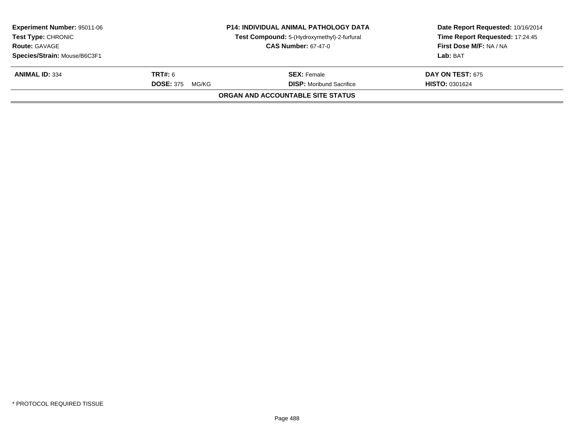| <b>Experiment Number: 95011-06</b><br><b>Test Type: CHRONIC</b><br><b>Route: GAVAGE</b> | <b>P14: INDIVIDUAL ANIMAL PATHOLOGY DATA</b><br>Test Compound: 5-(Hydroxymethyl)-2-furfural<br><b>CAS Number: 67-47-0</b> |                                                       | Date Report Requested: 10/16/2014<br>Time Report Requested: 17:24:45<br>First Dose M/F: NA / NA |
|-----------------------------------------------------------------------------------------|---------------------------------------------------------------------------------------------------------------------------|-------------------------------------------------------|-------------------------------------------------------------------------------------------------|
| Species/Strain: Mouse/B6C3F1                                                            |                                                                                                                           |                                                       | Lab: BAT                                                                                        |
| <b>ANIMAL ID: 334</b>                                                                   | <b>TRT#:</b> 6<br><b>DOSE: 375</b><br>MG/KG                                                                               | <b>SEX:</b> Female<br><b>DISP:</b> Moribund Sacrifice | <b>DAY ON TEST: 675</b><br><b>HISTO: 0301624</b>                                                |
|                                                                                         |                                                                                                                           | ORGAN AND ACCOUNTABLE SITE STATUS                     |                                                                                                 |
|                                                                                         |                                                                                                                           |                                                       |                                                                                                 |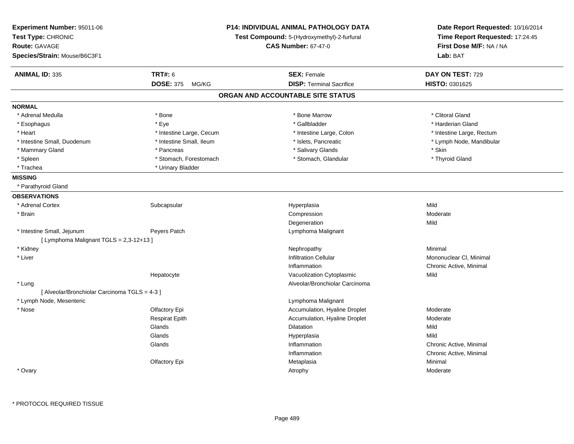| Experiment Number: 95011-06<br>Test Type: CHRONIC<br><b>Route: GAVAGE</b><br>Species/Strain: Mouse/B6C3F1 |                           | <b>P14: INDIVIDUAL ANIMAL PATHOLOGY DATA</b><br>Test Compound: 5-(Hydroxymethyl)-2-furfural<br><b>CAS Number: 67-47-0</b> | Date Report Requested: 10/16/2014<br>Time Report Requested: 17:24:45<br>First Dose M/F: NA / NA<br>Lab: BAT |
|-----------------------------------------------------------------------------------------------------------|---------------------------|---------------------------------------------------------------------------------------------------------------------------|-------------------------------------------------------------------------------------------------------------|
| <b>ANIMAL ID: 335</b>                                                                                     | <b>TRT#: 6</b>            | <b>SEX: Female</b>                                                                                                        | DAY ON TEST: 729                                                                                            |
|                                                                                                           | <b>DOSE: 375</b><br>MG/KG | <b>DISP: Terminal Sacrifice</b>                                                                                           | HISTO: 0301625                                                                                              |
|                                                                                                           |                           | ORGAN AND ACCOUNTABLE SITE STATUS                                                                                         |                                                                                                             |
| <b>NORMAL</b>                                                                                             |                           |                                                                                                                           |                                                                                                             |
| * Adrenal Medulla                                                                                         | * Bone                    | * Bone Marrow                                                                                                             | * Clitoral Gland                                                                                            |
| * Esophagus                                                                                               | * Eye                     | * Gallbladder                                                                                                             | * Harderian Gland                                                                                           |
| * Heart                                                                                                   | * Intestine Large, Cecum  | * Intestine Large, Colon                                                                                                  | * Intestine Large, Rectum                                                                                   |
| * Intestine Small, Duodenum                                                                               | * Intestine Small, Ileum  | * Islets, Pancreatic                                                                                                      | * Lymph Node, Mandibular                                                                                    |
| * Mammary Gland                                                                                           | * Pancreas                | * Salivary Glands                                                                                                         | * Skin                                                                                                      |
| * Spleen                                                                                                  | * Stomach, Forestomach    | * Stomach, Glandular                                                                                                      | * Thyroid Gland                                                                                             |
| * Trachea                                                                                                 | * Urinary Bladder         |                                                                                                                           |                                                                                                             |
| <b>MISSING</b>                                                                                            |                           |                                                                                                                           |                                                                                                             |
| * Parathyroid Gland                                                                                       |                           |                                                                                                                           |                                                                                                             |
| <b>OBSERVATIONS</b>                                                                                       |                           |                                                                                                                           |                                                                                                             |
| * Adrenal Cortex                                                                                          | Subcapsular               | Hyperplasia                                                                                                               | Mild                                                                                                        |
| * Brain                                                                                                   |                           | Compression                                                                                                               | Moderate                                                                                                    |
|                                                                                                           |                           | Degeneration                                                                                                              | Mild                                                                                                        |
| * Intestine Small, Jejunum                                                                                | Peyers Patch              | Lymphoma Malignant                                                                                                        |                                                                                                             |
| [ Lymphoma Malignant TGLS = 2,3-12+13 ]                                                                   |                           |                                                                                                                           |                                                                                                             |
| * Kidney                                                                                                  |                           | Nephropathy                                                                                                               | Minimal                                                                                                     |
| * Liver                                                                                                   |                           | <b>Infiltration Cellular</b>                                                                                              | Mononuclear CI, Minimal                                                                                     |
|                                                                                                           |                           | Inflammation                                                                                                              | Chronic Active, Minimal                                                                                     |
|                                                                                                           | Hepatocyte                | Vacuolization Cytoplasmic                                                                                                 | Mild                                                                                                        |
| * Lung                                                                                                    |                           | Alveolar/Bronchiolar Carcinoma                                                                                            |                                                                                                             |
| [ Alveolar/Bronchiolar Carcinoma TGLS = 4-3 ]                                                             |                           |                                                                                                                           |                                                                                                             |
| * Lymph Node, Mesenteric                                                                                  |                           | Lymphoma Malignant                                                                                                        |                                                                                                             |
| * Nose                                                                                                    | Olfactory Epi             | Accumulation, Hyaline Droplet                                                                                             | Moderate                                                                                                    |
|                                                                                                           | <b>Respirat Epith</b>     | Accumulation, Hyaline Droplet                                                                                             | Moderate                                                                                                    |
|                                                                                                           | Glands                    | Dilatation                                                                                                                | Mild                                                                                                        |
|                                                                                                           | Glands                    | Hyperplasia                                                                                                               | Mild                                                                                                        |
|                                                                                                           | Glands                    | Inflammation                                                                                                              | Chronic Active, Minimal                                                                                     |
|                                                                                                           |                           | Inflammation                                                                                                              | Chronic Active, Minimal                                                                                     |
|                                                                                                           | Olfactory Epi             | Metaplasia                                                                                                                | Minimal                                                                                                     |
| * Ovary                                                                                                   |                           | Atrophy                                                                                                                   | Moderate                                                                                                    |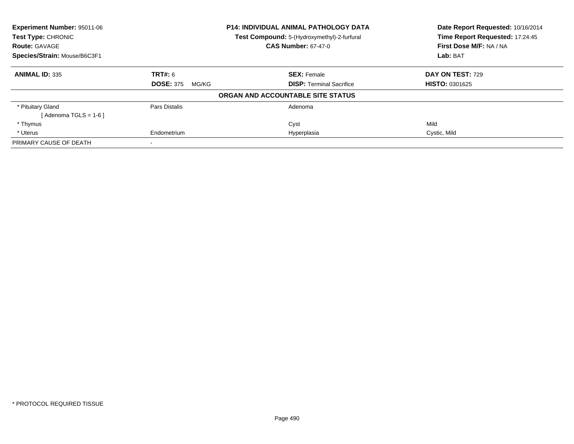| <b>Experiment Number: 95011-06</b><br>Test Type: CHRONIC |                           | <b>P14: INDIVIDUAL ANIMAL PATHOLOGY DATA</b><br>Test Compound: 5-(Hydroxymethyl)-2-furfural | Date Report Requested: 10/16/2014<br>Time Report Requested: 17:24:45 |
|----------------------------------------------------------|---------------------------|---------------------------------------------------------------------------------------------|----------------------------------------------------------------------|
| <b>Route: GAVAGE</b>                                     |                           | <b>CAS Number: 67-47-0</b>                                                                  | First Dose M/F: NA / NA                                              |
| Species/Strain: Mouse/B6C3F1                             |                           |                                                                                             | Lab: BAT                                                             |
| <b>ANIMAL ID: 335</b>                                    | <b>TRT#: 6</b>            | <b>SEX: Female</b>                                                                          | DAY ON TEST: 729                                                     |
|                                                          | <b>DOSE: 375</b><br>MG/KG | <b>DISP:</b> Terminal Sacrifice                                                             | <b>HISTO: 0301625</b>                                                |
|                                                          |                           | ORGAN AND ACCOUNTABLE SITE STATUS                                                           |                                                                      |
| * Pituitary Gland                                        | Pars Distalis             | Adenoma                                                                                     |                                                                      |
| $Adenoma TGLS = 1-6$                                     |                           |                                                                                             |                                                                      |
| * Thymus                                                 |                           | Cyst                                                                                        | Mild                                                                 |
| * Uterus                                                 | Endometrium               | Hyperplasia                                                                                 | Cystic, Mild                                                         |
| PRIMARY CAUSE OF DEATH                                   |                           |                                                                                             |                                                                      |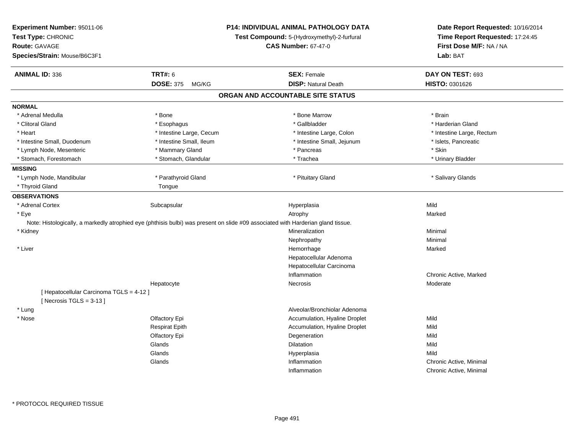| <b>TRT#: 6</b><br><b>ANIMAL ID: 336</b><br><b>SEX: Female</b><br>DAY ON TEST: 693<br><b>DOSE: 375</b><br><b>DISP: Natural Death</b><br>HISTO: 0301626<br>MG/KG<br>ORGAN AND ACCOUNTABLE SITE STATUS<br><b>NORMAL</b><br>* Bone Marrow<br>* Brain<br>* Adrenal Medulla<br>* Bone<br>* Gallbladder<br>* Harderian Gland<br>* Clitoral Gland<br>* Esophagus<br>* Heart<br>* Intestine Large, Cecum<br>* Intestine Large, Colon<br>* Intestine Large, Rectum<br>* Intestine Small, Ileum<br>* Intestine Small, Jejunum<br>* Intestine Small, Duodenum<br>* Islets, Pancreatic<br>* Mammary Gland<br>* Skin<br>* Lymph Node, Mesenteric<br>* Pancreas<br>* Stomach, Forestomach<br>* Stomach, Glandular<br>* Trachea<br>* Urinary Bladder<br>* Lymph Node, Mandibular<br>* Parathyroid Gland<br>* Pituitary Gland<br>* Salivary Glands<br>* Thyroid Gland<br>Tongue<br><b>OBSERVATIONS</b><br>Mild<br>* Adrenal Cortex<br>Subcapsular<br>Hyperplasia<br>* Eye<br>Atrophy<br>Marked<br>Note: Histologically, a markedly atrophied eye (phthisis bulbi) was present on slide #09 associated with Harderian gland tissue.<br>Mineralization<br>* Kidney<br>Minimal<br>Nephropathy<br>Minimal<br>* Liver<br>Hemorrhage<br>Marked<br>Hepatocellular Adenoma<br>Hepatocellular Carcinoma<br>Chronic Active, Marked<br>Inflammation<br>Necrosis<br>Moderate<br>Hepatocyte<br>[ Hepatocellular Carcinoma TGLS = 4-12 ]<br>[Necrosis $TGLS = 3-13$ ]<br>Alveolar/Bronchiolar Adenoma<br>* Lung<br>* Nose<br>Accumulation, Hyaline Droplet<br>Mild<br>Olfactory Epi<br>Accumulation, Hyaline Droplet<br><b>Respirat Epith</b><br>Mild<br>Olfactory Epi<br>Degeneration<br>Mild<br>Glands<br>Dilatation<br>Mild<br>Glands<br>Mild<br>Hyperplasia<br>Glands<br>Inflammation<br>Chronic Active, Minimal<br>Inflammation<br>Chronic Active, Minimal | Experiment Number: 95011-06<br>Test Type: CHRONIC<br>Route: GAVAGE<br>Species/Strain: Mouse/B6C3F1 | P14: INDIVIDUAL ANIMAL PATHOLOGY DATA<br>Test Compound: 5-(Hydroxymethyl)-2-furfural<br><b>CAS Number: 67-47-0</b> | Date Report Requested: 10/16/2014<br>Time Report Requested: 17:24:45<br>First Dose M/F: NA / NA<br>Lab: BAT |
|----------------------------------------------------------------------------------------------------------------------------------------------------------------------------------------------------------------------------------------------------------------------------------------------------------------------------------------------------------------------------------------------------------------------------------------------------------------------------------------------------------------------------------------------------------------------------------------------------------------------------------------------------------------------------------------------------------------------------------------------------------------------------------------------------------------------------------------------------------------------------------------------------------------------------------------------------------------------------------------------------------------------------------------------------------------------------------------------------------------------------------------------------------------------------------------------------------------------------------------------------------------------------------------------------------------------------------------------------------------------------------------------------------------------------------------------------------------------------------------------------------------------------------------------------------------------------------------------------------------------------------------------------------------------------------------------------------------------------------------------------------------------------------------------------------------------------------|----------------------------------------------------------------------------------------------------|--------------------------------------------------------------------------------------------------------------------|-------------------------------------------------------------------------------------------------------------|
|                                                                                                                                                                                                                                                                                                                                                                                                                                                                                                                                                                                                                                                                                                                                                                                                                                                                                                                                                                                                                                                                                                                                                                                                                                                                                                                                                                                                                                                                                                                                                                                                                                                                                                                                                                                                                                  |                                                                                                    |                                                                                                                    |                                                                                                             |
|                                                                                                                                                                                                                                                                                                                                                                                                                                                                                                                                                                                                                                                                                                                                                                                                                                                                                                                                                                                                                                                                                                                                                                                                                                                                                                                                                                                                                                                                                                                                                                                                                                                                                                                                                                                                                                  |                                                                                                    |                                                                                                                    |                                                                                                             |
|                                                                                                                                                                                                                                                                                                                                                                                                                                                                                                                                                                                                                                                                                                                                                                                                                                                                                                                                                                                                                                                                                                                                                                                                                                                                                                                                                                                                                                                                                                                                                                                                                                                                                                                                                                                                                                  |                                                                                                    |                                                                                                                    |                                                                                                             |
|                                                                                                                                                                                                                                                                                                                                                                                                                                                                                                                                                                                                                                                                                                                                                                                                                                                                                                                                                                                                                                                                                                                                                                                                                                                                                                                                                                                                                                                                                                                                                                                                                                                                                                                                                                                                                                  |                                                                                                    |                                                                                                                    |                                                                                                             |
|                                                                                                                                                                                                                                                                                                                                                                                                                                                                                                                                                                                                                                                                                                                                                                                                                                                                                                                                                                                                                                                                                                                                                                                                                                                                                                                                                                                                                                                                                                                                                                                                                                                                                                                                                                                                                                  |                                                                                                    |                                                                                                                    |                                                                                                             |
|                                                                                                                                                                                                                                                                                                                                                                                                                                                                                                                                                                                                                                                                                                                                                                                                                                                                                                                                                                                                                                                                                                                                                                                                                                                                                                                                                                                                                                                                                                                                                                                                                                                                                                                                                                                                                                  |                                                                                                    |                                                                                                                    |                                                                                                             |
|                                                                                                                                                                                                                                                                                                                                                                                                                                                                                                                                                                                                                                                                                                                                                                                                                                                                                                                                                                                                                                                                                                                                                                                                                                                                                                                                                                                                                                                                                                                                                                                                                                                                                                                                                                                                                                  |                                                                                                    |                                                                                                                    |                                                                                                             |
|                                                                                                                                                                                                                                                                                                                                                                                                                                                                                                                                                                                                                                                                                                                                                                                                                                                                                                                                                                                                                                                                                                                                                                                                                                                                                                                                                                                                                                                                                                                                                                                                                                                                                                                                                                                                                                  |                                                                                                    |                                                                                                                    |                                                                                                             |
|                                                                                                                                                                                                                                                                                                                                                                                                                                                                                                                                                                                                                                                                                                                                                                                                                                                                                                                                                                                                                                                                                                                                                                                                                                                                                                                                                                                                                                                                                                                                                                                                                                                                                                                                                                                                                                  |                                                                                                    |                                                                                                                    |                                                                                                             |
|                                                                                                                                                                                                                                                                                                                                                                                                                                                                                                                                                                                                                                                                                                                                                                                                                                                                                                                                                                                                                                                                                                                                                                                                                                                                                                                                                                                                                                                                                                                                                                                                                                                                                                                                                                                                                                  |                                                                                                    |                                                                                                                    |                                                                                                             |
|                                                                                                                                                                                                                                                                                                                                                                                                                                                                                                                                                                                                                                                                                                                                                                                                                                                                                                                                                                                                                                                                                                                                                                                                                                                                                                                                                                                                                                                                                                                                                                                                                                                                                                                                                                                                                                  | <b>MISSING</b>                                                                                     |                                                                                                                    |                                                                                                             |
|                                                                                                                                                                                                                                                                                                                                                                                                                                                                                                                                                                                                                                                                                                                                                                                                                                                                                                                                                                                                                                                                                                                                                                                                                                                                                                                                                                                                                                                                                                                                                                                                                                                                                                                                                                                                                                  |                                                                                                    |                                                                                                                    |                                                                                                             |
|                                                                                                                                                                                                                                                                                                                                                                                                                                                                                                                                                                                                                                                                                                                                                                                                                                                                                                                                                                                                                                                                                                                                                                                                                                                                                                                                                                                                                                                                                                                                                                                                                                                                                                                                                                                                                                  |                                                                                                    |                                                                                                                    |                                                                                                             |
|                                                                                                                                                                                                                                                                                                                                                                                                                                                                                                                                                                                                                                                                                                                                                                                                                                                                                                                                                                                                                                                                                                                                                                                                                                                                                                                                                                                                                                                                                                                                                                                                                                                                                                                                                                                                                                  |                                                                                                    |                                                                                                                    |                                                                                                             |
|                                                                                                                                                                                                                                                                                                                                                                                                                                                                                                                                                                                                                                                                                                                                                                                                                                                                                                                                                                                                                                                                                                                                                                                                                                                                                                                                                                                                                                                                                                                                                                                                                                                                                                                                                                                                                                  |                                                                                                    |                                                                                                                    |                                                                                                             |
|                                                                                                                                                                                                                                                                                                                                                                                                                                                                                                                                                                                                                                                                                                                                                                                                                                                                                                                                                                                                                                                                                                                                                                                                                                                                                                                                                                                                                                                                                                                                                                                                                                                                                                                                                                                                                                  |                                                                                                    |                                                                                                                    |                                                                                                             |
|                                                                                                                                                                                                                                                                                                                                                                                                                                                                                                                                                                                                                                                                                                                                                                                                                                                                                                                                                                                                                                                                                                                                                                                                                                                                                                                                                                                                                                                                                                                                                                                                                                                                                                                                                                                                                                  |                                                                                                    |                                                                                                                    |                                                                                                             |
|                                                                                                                                                                                                                                                                                                                                                                                                                                                                                                                                                                                                                                                                                                                                                                                                                                                                                                                                                                                                                                                                                                                                                                                                                                                                                                                                                                                                                                                                                                                                                                                                                                                                                                                                                                                                                                  |                                                                                                    |                                                                                                                    |                                                                                                             |
|                                                                                                                                                                                                                                                                                                                                                                                                                                                                                                                                                                                                                                                                                                                                                                                                                                                                                                                                                                                                                                                                                                                                                                                                                                                                                                                                                                                                                                                                                                                                                                                                                                                                                                                                                                                                                                  |                                                                                                    |                                                                                                                    |                                                                                                             |
|                                                                                                                                                                                                                                                                                                                                                                                                                                                                                                                                                                                                                                                                                                                                                                                                                                                                                                                                                                                                                                                                                                                                                                                                                                                                                                                                                                                                                                                                                                                                                                                                                                                                                                                                                                                                                                  |                                                                                                    |                                                                                                                    |                                                                                                             |
|                                                                                                                                                                                                                                                                                                                                                                                                                                                                                                                                                                                                                                                                                                                                                                                                                                                                                                                                                                                                                                                                                                                                                                                                                                                                                                                                                                                                                                                                                                                                                                                                                                                                                                                                                                                                                                  |                                                                                                    |                                                                                                                    |                                                                                                             |
|                                                                                                                                                                                                                                                                                                                                                                                                                                                                                                                                                                                                                                                                                                                                                                                                                                                                                                                                                                                                                                                                                                                                                                                                                                                                                                                                                                                                                                                                                                                                                                                                                                                                                                                                                                                                                                  |                                                                                                    |                                                                                                                    |                                                                                                             |
|                                                                                                                                                                                                                                                                                                                                                                                                                                                                                                                                                                                                                                                                                                                                                                                                                                                                                                                                                                                                                                                                                                                                                                                                                                                                                                                                                                                                                                                                                                                                                                                                                                                                                                                                                                                                                                  |                                                                                                    |                                                                                                                    |                                                                                                             |
|                                                                                                                                                                                                                                                                                                                                                                                                                                                                                                                                                                                                                                                                                                                                                                                                                                                                                                                                                                                                                                                                                                                                                                                                                                                                                                                                                                                                                                                                                                                                                                                                                                                                                                                                                                                                                                  |                                                                                                    |                                                                                                                    |                                                                                                             |
|                                                                                                                                                                                                                                                                                                                                                                                                                                                                                                                                                                                                                                                                                                                                                                                                                                                                                                                                                                                                                                                                                                                                                                                                                                                                                                                                                                                                                                                                                                                                                                                                                                                                                                                                                                                                                                  |                                                                                                    |                                                                                                                    |                                                                                                             |
|                                                                                                                                                                                                                                                                                                                                                                                                                                                                                                                                                                                                                                                                                                                                                                                                                                                                                                                                                                                                                                                                                                                                                                                                                                                                                                                                                                                                                                                                                                                                                                                                                                                                                                                                                                                                                                  |                                                                                                    |                                                                                                                    |                                                                                                             |
|                                                                                                                                                                                                                                                                                                                                                                                                                                                                                                                                                                                                                                                                                                                                                                                                                                                                                                                                                                                                                                                                                                                                                                                                                                                                                                                                                                                                                                                                                                                                                                                                                                                                                                                                                                                                                                  |                                                                                                    |                                                                                                                    |                                                                                                             |
|                                                                                                                                                                                                                                                                                                                                                                                                                                                                                                                                                                                                                                                                                                                                                                                                                                                                                                                                                                                                                                                                                                                                                                                                                                                                                                                                                                                                                                                                                                                                                                                                                                                                                                                                                                                                                                  |                                                                                                    |                                                                                                                    |                                                                                                             |
|                                                                                                                                                                                                                                                                                                                                                                                                                                                                                                                                                                                                                                                                                                                                                                                                                                                                                                                                                                                                                                                                                                                                                                                                                                                                                                                                                                                                                                                                                                                                                                                                                                                                                                                                                                                                                                  |                                                                                                    |                                                                                                                    |                                                                                                             |
|                                                                                                                                                                                                                                                                                                                                                                                                                                                                                                                                                                                                                                                                                                                                                                                                                                                                                                                                                                                                                                                                                                                                                                                                                                                                                                                                                                                                                                                                                                                                                                                                                                                                                                                                                                                                                                  |                                                                                                    |                                                                                                                    |                                                                                                             |
|                                                                                                                                                                                                                                                                                                                                                                                                                                                                                                                                                                                                                                                                                                                                                                                                                                                                                                                                                                                                                                                                                                                                                                                                                                                                                                                                                                                                                                                                                                                                                                                                                                                                                                                                                                                                                                  |                                                                                                    |                                                                                                                    |                                                                                                             |
|                                                                                                                                                                                                                                                                                                                                                                                                                                                                                                                                                                                                                                                                                                                                                                                                                                                                                                                                                                                                                                                                                                                                                                                                                                                                                                                                                                                                                                                                                                                                                                                                                                                                                                                                                                                                                                  |                                                                                                    |                                                                                                                    |                                                                                                             |
|                                                                                                                                                                                                                                                                                                                                                                                                                                                                                                                                                                                                                                                                                                                                                                                                                                                                                                                                                                                                                                                                                                                                                                                                                                                                                                                                                                                                                                                                                                                                                                                                                                                                                                                                                                                                                                  |                                                                                                    |                                                                                                                    |                                                                                                             |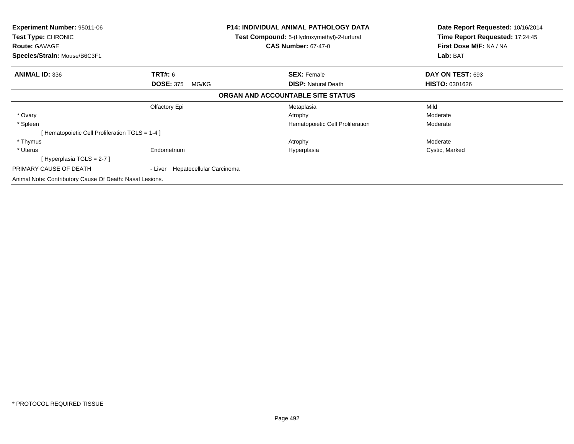| <b>Experiment Number: 95011-06</b><br>Test Type: CHRONIC<br><b>Route: GAVAGE</b> |                                     | P14: INDIVIDUAL ANIMAL PATHOLOGY DATA<br><b>Test Compound:</b> 5-(Hydroxymethyl)-2-furfural<br><b>CAS Number: 67-47-0</b> | Date Report Requested: 10/16/2014<br>Time Report Requested: 17:24:45<br>First Dose M/F: NA / NA |
|----------------------------------------------------------------------------------|-------------------------------------|---------------------------------------------------------------------------------------------------------------------------|-------------------------------------------------------------------------------------------------|
| Species/Strain: Mouse/B6C3F1                                                     |                                     |                                                                                                                           | Lab: BAT                                                                                        |
| <b>ANIMAL ID: 336</b>                                                            | <b>TRT#: 6</b>                      | <b>SEX: Female</b>                                                                                                        | DAY ON TEST: 693                                                                                |
|                                                                                  | <b>DOSE: 375</b><br>MG/KG           | <b>DISP: Natural Death</b>                                                                                                | <b>HISTO: 0301626</b>                                                                           |
|                                                                                  |                                     | ORGAN AND ACCOUNTABLE SITE STATUS                                                                                         |                                                                                                 |
|                                                                                  | Olfactory Epi                       | Metaplasia                                                                                                                | Mild                                                                                            |
| * Ovary                                                                          |                                     | Atrophy                                                                                                                   | Moderate                                                                                        |
| * Spleen                                                                         |                                     | Hematopoietic Cell Proliferation                                                                                          | Moderate                                                                                        |
| [Hematopoietic Cell Proliferation TGLS = 1-4]                                    |                                     |                                                                                                                           |                                                                                                 |
| * Thymus                                                                         |                                     | Atrophy                                                                                                                   | Moderate                                                                                        |
| * Uterus                                                                         | Endometrium                         | Hyperplasia                                                                                                               | Cystic, Marked                                                                                  |
| [Hyperplasia TGLS = 2-7 ]                                                        |                                     |                                                                                                                           |                                                                                                 |
| PRIMARY CAUSE OF DEATH                                                           | Hepatocellular Carcinoma<br>- Liver |                                                                                                                           |                                                                                                 |
| Animal Note: Contributory Cause Of Death: Nasal Lesions.                         |                                     |                                                                                                                           |                                                                                                 |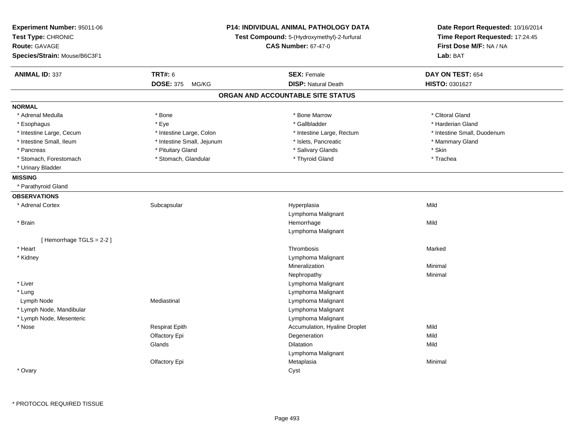| Experiment Number: 95011-06<br>Test Type: CHRONIC<br>Route: GAVAGE<br>Species/Strain: Mouse/B6C3F1 |                            | P14: INDIVIDUAL ANIMAL PATHOLOGY DATA<br>Test Compound: 5-(Hydroxymethyl)-2-furfural<br><b>CAS Number: 67-47-0</b> | Date Report Requested: 10/16/2014<br>Time Report Requested: 17:24:45<br>First Dose M/F: NA / NA<br>Lab: BAT |
|----------------------------------------------------------------------------------------------------|----------------------------|--------------------------------------------------------------------------------------------------------------------|-------------------------------------------------------------------------------------------------------------|
| <b>ANIMAL ID: 337</b>                                                                              | <b>TRT#: 6</b>             | <b>SEX: Female</b>                                                                                                 | DAY ON TEST: 654                                                                                            |
|                                                                                                    | <b>DOSE: 375</b><br>MG/KG  | <b>DISP: Natural Death</b>                                                                                         | HISTO: 0301627                                                                                              |
|                                                                                                    |                            | ORGAN AND ACCOUNTABLE SITE STATUS                                                                                  |                                                                                                             |
| <b>NORMAL</b>                                                                                      |                            |                                                                                                                    |                                                                                                             |
| * Adrenal Medulla                                                                                  | * Bone                     | * Bone Marrow                                                                                                      | * Clitoral Gland                                                                                            |
| * Esophagus                                                                                        | * Eye                      | * Gallbladder                                                                                                      | * Harderian Gland                                                                                           |
| * Intestine Large, Cecum                                                                           | * Intestine Large, Colon   | * Intestine Large, Rectum                                                                                          | * Intestine Small, Duodenum                                                                                 |
| * Intestine Small, Ileum                                                                           | * Intestine Small, Jejunum | * Islets, Pancreatic                                                                                               | * Mammary Gland                                                                                             |
| * Pancreas                                                                                         | * Pituitary Gland          | * Salivary Glands                                                                                                  | * Skin                                                                                                      |
| * Stomach, Forestomach                                                                             | * Stomach, Glandular       | * Thyroid Gland                                                                                                    | * Trachea                                                                                                   |
| * Urinary Bladder                                                                                  |                            |                                                                                                                    |                                                                                                             |
| <b>MISSING</b>                                                                                     |                            |                                                                                                                    |                                                                                                             |
| * Parathyroid Gland                                                                                |                            |                                                                                                                    |                                                                                                             |
| <b>OBSERVATIONS</b>                                                                                |                            |                                                                                                                    |                                                                                                             |
| * Adrenal Cortex                                                                                   | Subcapsular                | Hyperplasia                                                                                                        | Mild                                                                                                        |
|                                                                                                    |                            | Lymphoma Malignant                                                                                                 |                                                                                                             |
| * Brain                                                                                            |                            | Hemorrhage                                                                                                         | Mild                                                                                                        |
|                                                                                                    |                            | Lymphoma Malignant                                                                                                 |                                                                                                             |
| [Hemorrhage TGLS = $2-2$ ]                                                                         |                            |                                                                                                                    |                                                                                                             |
| * Heart                                                                                            |                            | Thrombosis                                                                                                         | Marked                                                                                                      |
| * Kidney                                                                                           |                            | Lymphoma Malignant                                                                                                 |                                                                                                             |
|                                                                                                    |                            | Mineralization                                                                                                     | Minimal                                                                                                     |
|                                                                                                    |                            | Nephropathy                                                                                                        | Minimal                                                                                                     |
| * Liver                                                                                            |                            | Lymphoma Malignant                                                                                                 |                                                                                                             |
| * Lung                                                                                             |                            | Lymphoma Malignant                                                                                                 |                                                                                                             |
| Lymph Node                                                                                         | Mediastinal                | Lymphoma Malignant                                                                                                 |                                                                                                             |
| * Lymph Node, Mandibular                                                                           |                            | Lymphoma Malignant                                                                                                 |                                                                                                             |
| * Lymph Node, Mesenteric                                                                           |                            | Lymphoma Malignant                                                                                                 |                                                                                                             |
| * Nose                                                                                             | <b>Respirat Epith</b>      | Accumulation, Hyaline Droplet                                                                                      | Mild                                                                                                        |
|                                                                                                    | Olfactory Epi              | Degeneration                                                                                                       | Mild                                                                                                        |
|                                                                                                    | Glands                     | <b>Dilatation</b>                                                                                                  | Mild                                                                                                        |
|                                                                                                    |                            | Lymphoma Malignant                                                                                                 |                                                                                                             |
|                                                                                                    | Olfactory Epi              | Metaplasia                                                                                                         | Minimal                                                                                                     |
| * Ovary                                                                                            |                            | Cyst                                                                                                               |                                                                                                             |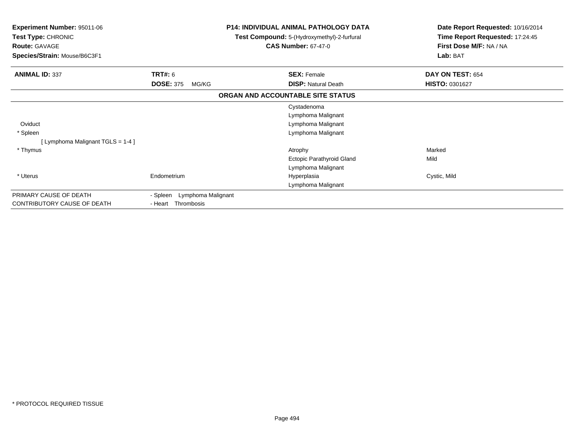| <b>Experiment Number: 95011-06</b><br>Test Type: CHRONIC<br><b>Route: GAVAGE</b><br>Species/Strain: Mouse/B6C3F1 |                                                      | <b>P14: INDIVIDUAL ANIMAL PATHOLOGY DATA</b><br>Test Compound: 5-(Hydroxymethyl)-2-furfural<br><b>CAS Number: 67-47-0</b> | Date Report Requested: 10/16/2014<br>Time Report Requested: 17:24:45<br>First Dose M/F: NA / NA<br>Lab: BAT |
|------------------------------------------------------------------------------------------------------------------|------------------------------------------------------|---------------------------------------------------------------------------------------------------------------------------|-------------------------------------------------------------------------------------------------------------|
| <b>ANIMAL ID: 337</b>                                                                                            | <b>TRT#:</b> 6<br><b>DOSE: 375</b><br>MG/KG          | <b>SEX: Female</b><br><b>DISP: Natural Death</b>                                                                          | DAY ON TEST: 654<br>HISTO: 0301627                                                                          |
|                                                                                                                  |                                                      | ORGAN AND ACCOUNTABLE SITE STATUS                                                                                         |                                                                                                             |
| Oviduct<br>* Spleen                                                                                              |                                                      | Cystadenoma<br>Lymphoma Malignant<br>Lymphoma Malignant<br>Lymphoma Malignant                                             |                                                                                                             |
| [Lymphoma Malignant TGLS = 1-4]<br>* Thymus                                                                      |                                                      | Atrophy<br>Ectopic Parathyroid Gland<br>Lymphoma Malignant                                                                | Marked<br>Mild                                                                                              |
| * Uterus                                                                                                         | Endometrium                                          | Hyperplasia<br>Lymphoma Malignant                                                                                         | Cystic, Mild                                                                                                |
| PRIMARY CAUSE OF DEATH<br>CONTRIBUTORY CAUSE OF DEATH                                                            | - Spleen<br>Lymphoma Malignant<br>- Heart Thrombosis |                                                                                                                           |                                                                                                             |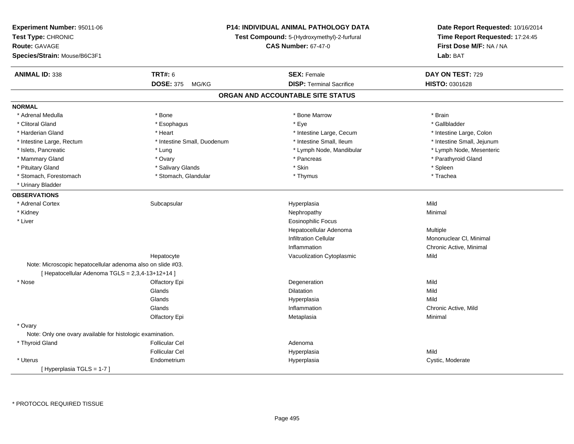| Experiment Number: 95011-06<br>Test Type: CHRONIC<br><b>Route: GAVAGE</b><br>Species/Strain: Mouse/B6C3F1 |                             | P14: INDIVIDUAL ANIMAL PATHOLOGY DATA<br>Test Compound: 5-(Hydroxymethyl)-2-furfural<br><b>CAS Number: 67-47-0</b> | Date Report Requested: 10/16/2014<br>Time Report Requested: 17:24:45<br>First Dose M/F: NA / NA<br>Lab: BAT |
|-----------------------------------------------------------------------------------------------------------|-----------------------------|--------------------------------------------------------------------------------------------------------------------|-------------------------------------------------------------------------------------------------------------|
| <b>ANIMAL ID: 338</b>                                                                                     | <b>TRT#: 6</b>              | <b>SEX: Female</b>                                                                                                 | DAY ON TEST: 729                                                                                            |
|                                                                                                           | DOSE: 375 MG/KG             | <b>DISP: Terminal Sacrifice</b>                                                                                    | HISTO: 0301628                                                                                              |
|                                                                                                           |                             | ORGAN AND ACCOUNTABLE SITE STATUS                                                                                  |                                                                                                             |
| <b>NORMAL</b>                                                                                             |                             |                                                                                                                    |                                                                                                             |
| * Adrenal Medulla                                                                                         | * Bone                      | * Bone Marrow                                                                                                      | * Brain                                                                                                     |
| * Clitoral Gland                                                                                          | * Esophagus                 | * Eye                                                                                                              | * Gallbladder                                                                                               |
| * Harderian Gland                                                                                         | * Heart                     | * Intestine Large, Cecum                                                                                           | * Intestine Large, Colon                                                                                    |
| * Intestine Large, Rectum                                                                                 | * Intestine Small, Duodenum | * Intestine Small, Ileum                                                                                           | * Intestine Small, Jejunum                                                                                  |
| * Islets, Pancreatic                                                                                      | * Lung                      | * Lymph Node, Mandibular                                                                                           | * Lymph Node, Mesenteric                                                                                    |
| * Mammary Gland                                                                                           | * Ovary                     | * Pancreas                                                                                                         | * Parathyroid Gland                                                                                         |
| * Pituitary Gland                                                                                         | * Salivary Glands           | * Skin                                                                                                             | * Spleen                                                                                                    |
| * Stomach, Forestomach                                                                                    | * Stomach, Glandular        | * Thymus                                                                                                           | * Trachea                                                                                                   |
| * Urinary Bladder                                                                                         |                             |                                                                                                                    |                                                                                                             |
| <b>OBSERVATIONS</b>                                                                                       |                             |                                                                                                                    |                                                                                                             |
| * Adrenal Cortex                                                                                          | Subcapsular                 | Hyperplasia                                                                                                        | Mild                                                                                                        |
| * Kidney                                                                                                  |                             | Nephropathy                                                                                                        | Minimal                                                                                                     |
| * Liver                                                                                                   |                             | Eosinophilic Focus                                                                                                 |                                                                                                             |
|                                                                                                           |                             | Hepatocellular Adenoma                                                                                             | Multiple                                                                                                    |
|                                                                                                           |                             | <b>Infiltration Cellular</b>                                                                                       | Mononuclear CI, Minimal                                                                                     |
|                                                                                                           |                             | Inflammation                                                                                                       | Chronic Active, Minimal                                                                                     |
|                                                                                                           | Hepatocyte                  | Vacuolization Cytoplasmic                                                                                          | Mild                                                                                                        |
| Note: Microscopic hepatocellular adenoma also on slide #03.                                               |                             |                                                                                                                    |                                                                                                             |
| [ Hepatocellular Adenoma TGLS = 2,3,4-13+12+14 ]                                                          |                             |                                                                                                                    |                                                                                                             |
| * Nose                                                                                                    | Olfactory Epi               | Degeneration                                                                                                       | Mild                                                                                                        |
|                                                                                                           | Glands                      | <b>Dilatation</b>                                                                                                  | Mild                                                                                                        |
|                                                                                                           | Glands                      | Hyperplasia                                                                                                        | Mild                                                                                                        |
|                                                                                                           | Glands                      | Inflammation                                                                                                       | Chronic Active, Mild                                                                                        |
|                                                                                                           | Olfactory Epi               | Metaplasia                                                                                                         | Minimal                                                                                                     |
| * Ovary                                                                                                   |                             |                                                                                                                    |                                                                                                             |
| Note: Only one ovary available for histologic examination.                                                |                             |                                                                                                                    |                                                                                                             |
| * Thyroid Gland                                                                                           | <b>Follicular Cel</b>       | Adenoma                                                                                                            |                                                                                                             |
|                                                                                                           | <b>Follicular Cel</b>       | Hyperplasia                                                                                                        | Mild                                                                                                        |
| * Uterus                                                                                                  | Endometrium                 | Hyperplasia                                                                                                        | Cystic, Moderate                                                                                            |
| [Hyperplasia TGLS = 1-7]                                                                                  |                             |                                                                                                                    |                                                                                                             |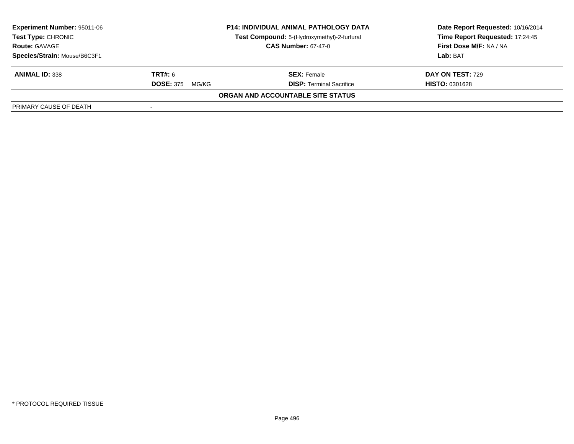| <b>Experiment Number: 95011-06</b><br><b>Test Type: CHRONIC</b><br><b>Route: GAVAGE</b> | <b>P14: INDIVIDUAL ANIMAL PATHOLOGY DATA</b><br>Test Compound: 5-(Hydroxymethyl)-2-furfural<br><b>CAS Number: 67-47-0</b> |                                   | Date Report Requested: 10/16/2014<br>Time Report Requested: 17:24:45<br>First Dose M/F: NA / NA |
|-----------------------------------------------------------------------------------------|---------------------------------------------------------------------------------------------------------------------------|-----------------------------------|-------------------------------------------------------------------------------------------------|
| Species/Strain: Mouse/B6C3F1                                                            |                                                                                                                           |                                   | Lab: BAT                                                                                        |
| <b>ANIMAL ID: 338</b>                                                                   | <b>TRT#:</b> 6                                                                                                            | <b>SEX: Female</b>                | <b>DAY ON TEST: 729</b>                                                                         |
|                                                                                         | <b>DOSE: 375</b><br>MG/KG                                                                                                 | <b>DISP: Terminal Sacrifice</b>   | <b>HISTO: 0301628</b>                                                                           |
|                                                                                         |                                                                                                                           | ORGAN AND ACCOUNTABLE SITE STATUS |                                                                                                 |
| PRIMARY CAUSE OF DEATH                                                                  |                                                                                                                           |                                   |                                                                                                 |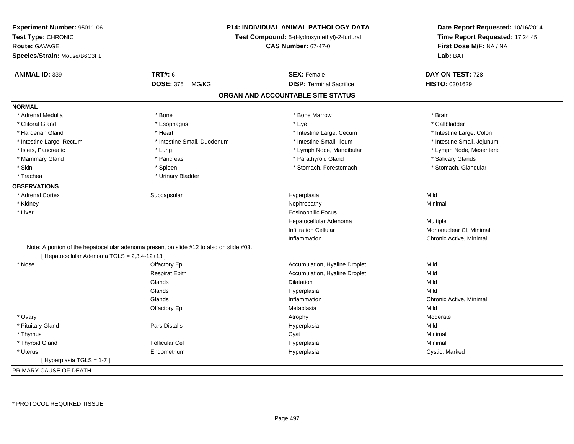| Experiment Number: 95011-06<br>Test Type: CHRONIC<br>Route: GAVAGE<br>Species/Strain: Mouse/B6C3F1 | P14: INDIVIDUAL ANIMAL PATHOLOGY DATA<br>Test Compound: 5-(Hydroxymethyl)-2-furfural<br><b>CAS Number: 67-47-0</b> |                                   | Date Report Requested: 10/16/2014<br>Time Report Requested: 17:24:45<br>First Dose M/F: NA / NA<br>Lab: BAT |  |
|----------------------------------------------------------------------------------------------------|--------------------------------------------------------------------------------------------------------------------|-----------------------------------|-------------------------------------------------------------------------------------------------------------|--|
| <b>ANIMAL ID: 339</b>                                                                              | <b>TRT#: 6</b>                                                                                                     | <b>SEX: Female</b>                | DAY ON TEST: 728                                                                                            |  |
|                                                                                                    | <b>DOSE: 375</b><br>MG/KG                                                                                          | <b>DISP: Terminal Sacrifice</b>   | HISTO: 0301629                                                                                              |  |
|                                                                                                    |                                                                                                                    | ORGAN AND ACCOUNTABLE SITE STATUS |                                                                                                             |  |
| <b>NORMAL</b>                                                                                      |                                                                                                                    |                                   |                                                                                                             |  |
| * Adrenal Medulla                                                                                  | * Bone                                                                                                             | * Bone Marrow                     | * Brain                                                                                                     |  |
| * Clitoral Gland                                                                                   | * Esophagus                                                                                                        | * Eye                             | * Gallbladder                                                                                               |  |
| * Harderian Gland                                                                                  | * Heart                                                                                                            | * Intestine Large, Cecum          | * Intestine Large, Colon                                                                                    |  |
| * Intestine Large, Rectum                                                                          | * Intestine Small, Duodenum                                                                                        | * Intestine Small, Ileum          | * Intestine Small, Jejunum                                                                                  |  |
| * Islets, Pancreatic                                                                               | * Lung                                                                                                             | * Lymph Node, Mandibular          | * Lymph Node, Mesenteric                                                                                    |  |
| * Mammary Gland                                                                                    | * Pancreas                                                                                                         | * Parathyroid Gland               | * Salivary Glands                                                                                           |  |
| * Skin                                                                                             | * Spleen                                                                                                           | * Stomach, Forestomach            | * Stomach, Glandular                                                                                        |  |
| * Trachea                                                                                          | * Urinary Bladder                                                                                                  |                                   |                                                                                                             |  |
| <b>OBSERVATIONS</b>                                                                                |                                                                                                                    |                                   |                                                                                                             |  |
| * Adrenal Cortex                                                                                   | Subcapsular                                                                                                        | Hyperplasia                       | Mild                                                                                                        |  |
| * Kidney                                                                                           |                                                                                                                    | Nephropathy                       | Minimal                                                                                                     |  |
| * Liver                                                                                            |                                                                                                                    | <b>Eosinophilic Focus</b>         |                                                                                                             |  |
|                                                                                                    |                                                                                                                    | Hepatocellular Adenoma            | Multiple                                                                                                    |  |
|                                                                                                    |                                                                                                                    | <b>Infiltration Cellular</b>      | Mononuclear CI, Minimal                                                                                     |  |
|                                                                                                    |                                                                                                                    | Inflammation                      | Chronic Active, Minimal                                                                                     |  |
| [ Hepatocellular Adenoma TGLS = 2,3,4-12+13 ]                                                      | Note: A portion of the hepatocellular adenoma present on slide #12 to also on slide #03.                           |                                   |                                                                                                             |  |
| * Nose                                                                                             | Olfactory Epi                                                                                                      | Accumulation, Hyaline Droplet     | Mild                                                                                                        |  |
|                                                                                                    | <b>Respirat Epith</b>                                                                                              | Accumulation, Hyaline Droplet     | Mild                                                                                                        |  |
|                                                                                                    | Glands                                                                                                             | Dilatation                        | Mild                                                                                                        |  |
|                                                                                                    | Glands                                                                                                             | Hyperplasia                       | Mild                                                                                                        |  |
|                                                                                                    | Glands                                                                                                             | Inflammation                      | Chronic Active, Minimal                                                                                     |  |
|                                                                                                    | Olfactory Epi                                                                                                      | Metaplasia                        | Mild                                                                                                        |  |
| * Ovary                                                                                            |                                                                                                                    | Atrophy                           | Moderate                                                                                                    |  |
| * Pituitary Gland                                                                                  | Pars Distalis                                                                                                      | Hyperplasia                       | Mild                                                                                                        |  |
| * Thymus                                                                                           |                                                                                                                    | Cyst                              | Minimal                                                                                                     |  |
| * Thyroid Gland                                                                                    | <b>Follicular Cel</b>                                                                                              | Hyperplasia                       | Minimal                                                                                                     |  |
| * Uterus                                                                                           | Endometrium                                                                                                        | Hyperplasia                       | Cystic, Marked                                                                                              |  |
| [Hyperplasia TGLS = 1-7]                                                                           |                                                                                                                    |                                   |                                                                                                             |  |
| PRIMARY CAUSE OF DEATH                                                                             | $\blacksquare$                                                                                                     |                                   |                                                                                                             |  |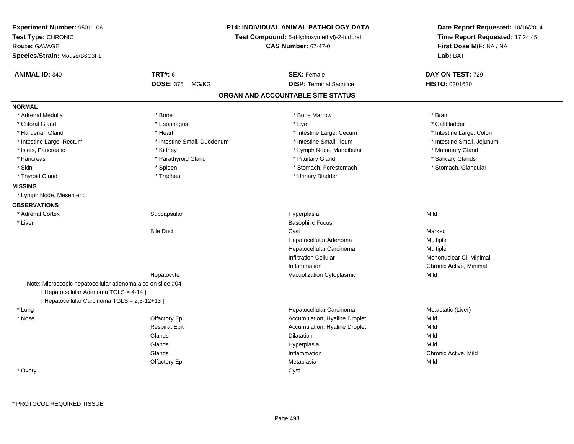| Experiment Number: 95011-06<br>Test Type: CHRONIC<br><b>Route: GAVAGE</b><br>Species/Strain: Mouse/B6C3F1 | P14: INDIVIDUAL ANIMAL PATHOLOGY DATA<br>Test Compound: 5-(Hydroxymethyl)-2-furfural<br><b>CAS Number: 67-47-0</b> |                                   | Date Report Requested: 10/16/2014<br>Time Report Requested: 17:24:45<br>First Dose M/F: NA / NA<br>Lab: BAT |
|-----------------------------------------------------------------------------------------------------------|--------------------------------------------------------------------------------------------------------------------|-----------------------------------|-------------------------------------------------------------------------------------------------------------|
| <b>ANIMAL ID: 340</b>                                                                                     | <b>TRT#: 6</b>                                                                                                     | <b>SEX: Female</b>                | DAY ON TEST: 729                                                                                            |
|                                                                                                           | <b>DOSE: 375</b><br>MG/KG                                                                                          | <b>DISP: Terminal Sacrifice</b>   | HISTO: 0301630                                                                                              |
|                                                                                                           |                                                                                                                    | ORGAN AND ACCOUNTABLE SITE STATUS |                                                                                                             |
| <b>NORMAL</b>                                                                                             |                                                                                                                    |                                   |                                                                                                             |
| * Adrenal Medulla                                                                                         | * Bone                                                                                                             | * Bone Marrow                     | * Brain                                                                                                     |
| * Clitoral Gland                                                                                          | * Esophagus                                                                                                        | * Eye                             | * Gallbladder                                                                                               |
| * Harderian Gland                                                                                         | * Heart                                                                                                            | * Intestine Large, Cecum          | * Intestine Large, Colon                                                                                    |
| * Intestine Large, Rectum                                                                                 | * Intestine Small, Duodenum                                                                                        | * Intestine Small, Ileum          | * Intestine Small, Jejunum                                                                                  |
| * Islets, Pancreatic                                                                                      | * Kidney                                                                                                           | * Lymph Node, Mandibular          | * Mammary Gland                                                                                             |
| * Pancreas                                                                                                | * Parathyroid Gland                                                                                                | * Pituitary Gland                 | * Salivary Glands                                                                                           |
| * Skin                                                                                                    | * Spleen                                                                                                           | * Stomach, Forestomach            | * Stomach, Glandular                                                                                        |
| * Thyroid Gland                                                                                           | * Trachea                                                                                                          | * Urinary Bladder                 |                                                                                                             |
| <b>MISSING</b>                                                                                            |                                                                                                                    |                                   |                                                                                                             |
| * Lymph Node, Mesenteric                                                                                  |                                                                                                                    |                                   |                                                                                                             |
| <b>OBSERVATIONS</b>                                                                                       |                                                                                                                    |                                   |                                                                                                             |
| * Adrenal Cortex                                                                                          | Subcapsular                                                                                                        | Hyperplasia                       | Mild                                                                                                        |
| * Liver                                                                                                   |                                                                                                                    | <b>Basophilic Focus</b>           |                                                                                                             |
|                                                                                                           | <b>Bile Duct</b>                                                                                                   | Cyst                              | Marked                                                                                                      |
|                                                                                                           |                                                                                                                    | Hepatocellular Adenoma            | Multiple                                                                                                    |
|                                                                                                           |                                                                                                                    | Hepatocellular Carcinoma          | Multiple                                                                                                    |
|                                                                                                           |                                                                                                                    | <b>Infiltration Cellular</b>      | Mononuclear CI, Minimal                                                                                     |
|                                                                                                           |                                                                                                                    | Inflammation                      | Chronic Active, Minimal                                                                                     |
|                                                                                                           | Hepatocyte                                                                                                         | Vacuolization Cytoplasmic         | Mild                                                                                                        |
| Note: Microscopic hepatocellular adenoma also on slide #04                                                |                                                                                                                    |                                   |                                                                                                             |
| [ Hepatocellular Adenoma TGLS = 4-14 ]                                                                    |                                                                                                                    |                                   |                                                                                                             |
| [ Hepatocellular Carcinoma TGLS = 2,3-12+13 ]                                                             |                                                                                                                    |                                   |                                                                                                             |
| * Lung                                                                                                    |                                                                                                                    | Hepatocellular Carcinoma          | Metastatic (Liver)                                                                                          |
| * Nose                                                                                                    | Olfactory Epi                                                                                                      | Accumulation, Hyaline Droplet     | Mild                                                                                                        |
|                                                                                                           | <b>Respirat Epith</b>                                                                                              | Accumulation, Hyaline Droplet     | Mild                                                                                                        |
|                                                                                                           | Glands                                                                                                             | Dilatation                        | Mild                                                                                                        |
|                                                                                                           | Glands                                                                                                             | Hyperplasia                       | Mild                                                                                                        |
|                                                                                                           | Glands                                                                                                             | Inflammation                      | Chronic Active, Mild                                                                                        |
|                                                                                                           | Olfactory Epi                                                                                                      | Metaplasia                        | Mild                                                                                                        |
| * Ovary                                                                                                   |                                                                                                                    | Cyst                              |                                                                                                             |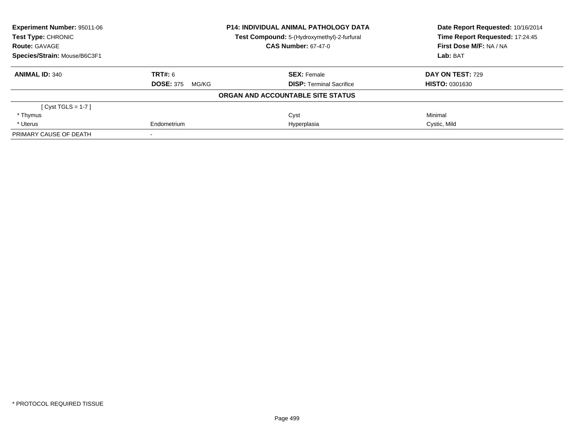| <b>Experiment Number: 95011-06</b> |                            | <b>P14: INDIVIDUAL ANIMAL PATHOLOGY DATA</b> | Date Report Requested: 10/16/2014 |  |
|------------------------------------|----------------------------|----------------------------------------------|-----------------------------------|--|
| Test Type: CHRONIC                 |                            | Test Compound: 5-(Hydroxymethyl)-2-furfural  | Time Report Requested: 17:24:45   |  |
| <b>Route: GAVAGE</b>               |                            | <b>CAS Number: 67-47-0</b>                   | First Dose M/F: NA / NA           |  |
| Species/Strain: Mouse/B6C3F1       |                            |                                              | Lab: BAT                          |  |
| <b>ANIMAL ID: 340</b>              | <b>TRT#: 6</b>             | <b>SEX: Female</b>                           | DAY ON TEST: 729                  |  |
|                                    | <b>DOSE: 375</b><br>MG/KG  | <b>DISP:</b> Terminal Sacrifice              | <b>HISTO: 0301630</b>             |  |
|                                    |                            | ORGAN AND ACCOUNTABLE SITE STATUS            |                                   |  |
| $[Cyst TGLS = 1-7]$                |                            |                                              |                                   |  |
| * Thymus                           |                            | Cyst                                         | Minimal                           |  |
| * Uterus                           | Hyperplasia<br>Endometrium |                                              | Cystic, Mild                      |  |
| PRIMARY CAUSE OF DEATH             |                            |                                              |                                   |  |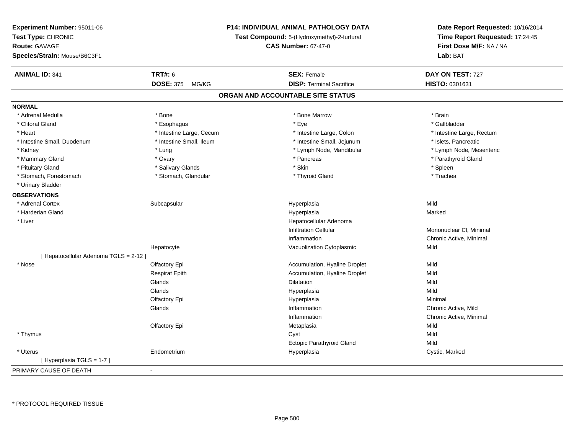| Experiment Number: 95011-06            |                           | <b>P14: INDIVIDUAL ANIMAL PATHOLOGY DATA</b> | Date Report Requested: 10/16/2014<br>Time Report Requested: 17:24:45<br>First Dose M/F: NA / NA |  |
|----------------------------------------|---------------------------|----------------------------------------------|-------------------------------------------------------------------------------------------------|--|
| Test Type: CHRONIC                     |                           | Test Compound: 5-(Hydroxymethyl)-2-furfural  |                                                                                                 |  |
| <b>Route: GAVAGE</b>                   |                           | <b>CAS Number: 67-47-0</b>                   |                                                                                                 |  |
| Species/Strain: Mouse/B6C3F1           |                           |                                              | Lab: BAT                                                                                        |  |
| <b>ANIMAL ID: 341</b>                  | <b>TRT#: 6</b>            | <b>SEX: Female</b>                           | DAY ON TEST: 727                                                                                |  |
|                                        | <b>DOSE: 375</b><br>MG/KG | <b>DISP: Terminal Sacrifice</b>              | HISTO: 0301631                                                                                  |  |
|                                        |                           | ORGAN AND ACCOUNTABLE SITE STATUS            |                                                                                                 |  |
| <b>NORMAL</b>                          |                           |                                              |                                                                                                 |  |
| * Adrenal Medulla                      | * Bone                    | * Bone Marrow                                | * Brain                                                                                         |  |
| * Clitoral Gland                       | * Esophagus               | $*$ Eye                                      | * Gallbladder                                                                                   |  |
| * Heart                                | * Intestine Large, Cecum  | * Intestine Large, Colon                     | * Intestine Large, Rectum                                                                       |  |
| * Intestine Small, Duodenum            | * Intestine Small, Ileum  | * Intestine Small, Jejunum                   | * Islets, Pancreatic                                                                            |  |
| * Kidney                               | * Lung                    | * Lymph Node, Mandibular                     | * Lymph Node, Mesenteric                                                                        |  |
| * Mammary Gland                        | * Ovary                   | * Pancreas                                   | * Parathyroid Gland                                                                             |  |
| * Pituitary Gland                      | * Salivary Glands         | * Skin                                       | * Spleen                                                                                        |  |
| * Stomach, Forestomach                 | * Stomach, Glandular      | * Thyroid Gland                              | * Trachea                                                                                       |  |
| * Urinary Bladder                      |                           |                                              |                                                                                                 |  |
| <b>OBSERVATIONS</b>                    |                           |                                              |                                                                                                 |  |
| * Adrenal Cortex                       | Subcapsular               | Hyperplasia                                  | Mild                                                                                            |  |
| * Harderian Gland                      |                           | Hyperplasia                                  | Marked                                                                                          |  |
| * Liver                                |                           | Hepatocellular Adenoma                       |                                                                                                 |  |
|                                        |                           | <b>Infiltration Cellular</b>                 | Mononuclear CI, Minimal                                                                         |  |
|                                        |                           | Inflammation                                 | Chronic Active, Minimal                                                                         |  |
|                                        | Hepatocyte                | Vacuolization Cytoplasmic                    | Mild                                                                                            |  |
| [ Hepatocellular Adenoma TGLS = 2-12 ] |                           |                                              |                                                                                                 |  |
| * Nose                                 | Olfactory Epi             | Accumulation, Hyaline Droplet                | Mild                                                                                            |  |
|                                        | <b>Respirat Epith</b>     | Accumulation, Hyaline Droplet                | Mild                                                                                            |  |
|                                        | Glands                    | Dilatation                                   | Mild                                                                                            |  |
|                                        | Glands                    | Hyperplasia                                  | Mild                                                                                            |  |
|                                        | Olfactory Epi             | Hyperplasia                                  | Minimal                                                                                         |  |
|                                        | Glands                    | Inflammation                                 | Chronic Active, Mild                                                                            |  |
|                                        |                           | Inflammation                                 | Chronic Active, Minimal                                                                         |  |
|                                        | Olfactory Epi             | Metaplasia                                   | Mild                                                                                            |  |
| * Thymus                               |                           | Cyst                                         | Mild                                                                                            |  |
|                                        |                           | Ectopic Parathyroid Gland                    | Mild                                                                                            |  |
| * Uterus                               | Endometrium               | Hyperplasia                                  | Cystic, Marked                                                                                  |  |
| [Hyperplasia TGLS = 1-7]               |                           |                                              |                                                                                                 |  |
| PRIMARY CAUSE OF DEATH                 | $\overline{a}$            |                                              |                                                                                                 |  |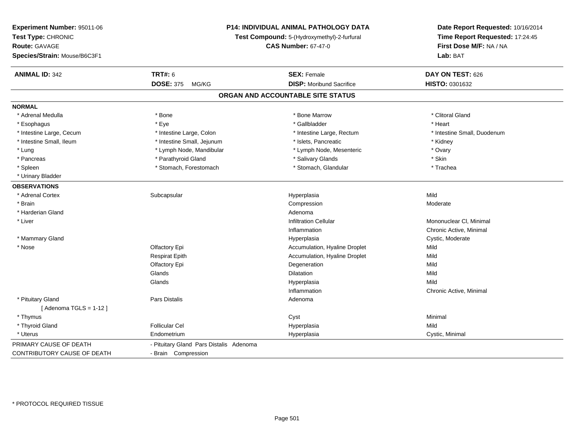| Experiment Number: 95011-06                   |                                             | P14: INDIVIDUAL ANIMAL PATHOLOGY DATA | Date Report Requested: 10/16/2014 |  |
|-----------------------------------------------|---------------------------------------------|---------------------------------------|-----------------------------------|--|
| Test Type: CHRONIC                            | Test Compound: 5-(Hydroxymethyl)-2-furfural |                                       | Time Report Requested: 17:24:45   |  |
| <b>Route: GAVAGE</b>                          |                                             | <b>CAS Number: 67-47-0</b>            | First Dose M/F: NA / NA           |  |
| Species/Strain: Mouse/B6C3F1                  |                                             |                                       | Lab: BAT                          |  |
| <b>ANIMAL ID: 342</b>                         | <b>TRT#: 6</b>                              | <b>SEX: Female</b>                    | DAY ON TEST: 626                  |  |
|                                               | <b>DOSE: 375</b><br>MG/KG                   | <b>DISP:</b> Moribund Sacrifice       | HISTO: 0301632                    |  |
|                                               |                                             | ORGAN AND ACCOUNTABLE SITE STATUS     |                                   |  |
| <b>NORMAL</b>                                 |                                             |                                       |                                   |  |
| * Adrenal Medulla                             | * Bone                                      | * Bone Marrow                         | * Clitoral Gland                  |  |
| * Esophagus                                   | * Eye                                       | * Gallbladder                         | * Heart                           |  |
| * Intestine Large, Cecum                      | * Intestine Large, Colon                    | * Intestine Large, Rectum             | * Intestine Small, Duodenum       |  |
| * Intestine Small, Ileum                      | * Intestine Small, Jejunum                  | * Islets, Pancreatic                  | * Kidney                          |  |
| * Lung                                        | * Lymph Node, Mandibular                    | * Lymph Node, Mesenteric              | * Ovary                           |  |
| * Pancreas                                    | * Parathyroid Gland                         | * Salivary Glands                     | * Skin                            |  |
| * Spleen                                      | * Stomach, Forestomach                      | * Stomach, Glandular                  | * Trachea                         |  |
| * Urinary Bladder                             |                                             |                                       |                                   |  |
| <b>OBSERVATIONS</b>                           |                                             |                                       |                                   |  |
| * Adrenal Cortex                              | Subcapsular                                 | Hyperplasia                           | Mild                              |  |
| * Brain                                       |                                             | Compression                           | Moderate                          |  |
| * Harderian Gland                             |                                             | Adenoma                               |                                   |  |
| * Liver                                       |                                             | <b>Infiltration Cellular</b>          | Mononuclear CI, Minimal           |  |
|                                               |                                             | Inflammation                          | Chronic Active, Minimal           |  |
| * Mammary Gland                               |                                             | Hyperplasia                           | Cystic, Moderate                  |  |
| * Nose                                        | Olfactory Epi                               | Accumulation, Hyaline Droplet         | Mild                              |  |
|                                               | <b>Respirat Epith</b>                       | Accumulation, Hyaline Droplet         | Mild                              |  |
|                                               | Olfactory Epi                               | Degeneration                          | Mild                              |  |
|                                               | Glands                                      | <b>Dilatation</b>                     | Mild                              |  |
|                                               | Glands                                      | Hyperplasia                           | Mild                              |  |
|                                               |                                             | Inflammation                          | Chronic Active, Minimal           |  |
| * Pituitary Gland<br>[Adenoma TGLS = $1-12$ ] | Pars Distalis                               | Adenoma                               |                                   |  |
| * Thymus                                      |                                             | Cyst                                  | Minimal                           |  |
| * Thyroid Gland                               | <b>Follicular Cel</b>                       | Hyperplasia                           | Mild                              |  |
| * Uterus                                      | Endometrium                                 | Hyperplasia                           | Cystic, Minimal                   |  |
| PRIMARY CAUSE OF DEATH                        | - Pituitary Gland Pars Distalis Adenoma     |                                       |                                   |  |
| <b>CONTRIBUTORY CAUSE OF DEATH</b>            | - Brain Compression                         |                                       |                                   |  |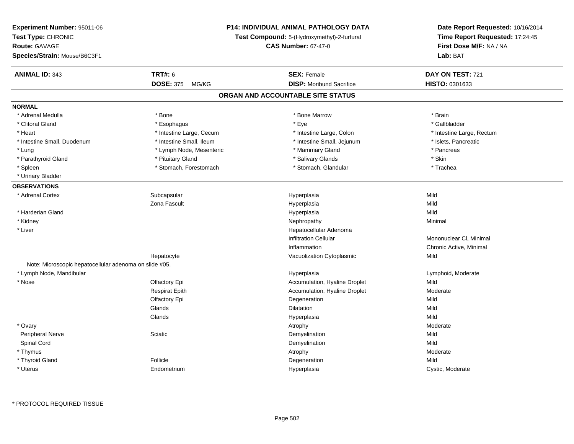| Experiment Number: 95011-06<br>Test Type: CHRONIC<br>Route: GAVAGE<br>Species/Strain: Mouse/B6C3F1 | <b>P14: INDIVIDUAL ANIMAL PATHOLOGY DATA</b><br>Test Compound: 5-(Hydroxymethyl)-2-furfural<br><b>CAS Number: 67-47-0</b> |                                   | Date Report Requested: 10/16/2014<br>Time Report Requested: 17:24:45<br>First Dose M/F: NA / NA<br>Lab: BAT |  |
|----------------------------------------------------------------------------------------------------|---------------------------------------------------------------------------------------------------------------------------|-----------------------------------|-------------------------------------------------------------------------------------------------------------|--|
| <b>ANIMAL ID: 343</b>                                                                              | <b>TRT#: 6</b>                                                                                                            | <b>SEX: Female</b>                | DAY ON TEST: 721                                                                                            |  |
|                                                                                                    | DOSE: 375 MG/KG                                                                                                           | <b>DISP:</b> Moribund Sacrifice   | <b>HISTO: 0301633</b>                                                                                       |  |
|                                                                                                    |                                                                                                                           | ORGAN AND ACCOUNTABLE SITE STATUS |                                                                                                             |  |
| <b>NORMAL</b>                                                                                      |                                                                                                                           |                                   |                                                                                                             |  |
| * Adrenal Medulla                                                                                  | * Bone                                                                                                                    | * Bone Marrow                     | * Brain                                                                                                     |  |
| * Clitoral Gland                                                                                   | * Esophagus                                                                                                               | * Eye                             | * Gallbladder                                                                                               |  |
| * Heart                                                                                            | * Intestine Large, Cecum                                                                                                  | * Intestine Large, Colon          | * Intestine Large, Rectum                                                                                   |  |
| * Intestine Small, Duodenum                                                                        | * Intestine Small, Ileum                                                                                                  | * Intestine Small, Jejunum        | * Islets, Pancreatic                                                                                        |  |
| * Lung                                                                                             | * Lymph Node, Mesenteric                                                                                                  | * Mammary Gland                   | * Pancreas                                                                                                  |  |
| * Parathyroid Gland                                                                                | * Pituitary Gland                                                                                                         | * Salivary Glands                 | * Skin                                                                                                      |  |
| * Spleen                                                                                           | * Stomach, Forestomach                                                                                                    | * Stomach, Glandular              | * Trachea                                                                                                   |  |
| * Urinary Bladder                                                                                  |                                                                                                                           |                                   |                                                                                                             |  |
| <b>OBSERVATIONS</b>                                                                                |                                                                                                                           |                                   |                                                                                                             |  |
| * Adrenal Cortex                                                                                   | Subcapsular                                                                                                               | Hyperplasia                       | Mild                                                                                                        |  |
|                                                                                                    | Zona Fascult                                                                                                              | Hyperplasia                       | Mild                                                                                                        |  |
| * Harderian Gland                                                                                  |                                                                                                                           | Hyperplasia                       | Mild                                                                                                        |  |
| * Kidney                                                                                           |                                                                                                                           | Nephropathy                       | Minimal                                                                                                     |  |
| * Liver                                                                                            |                                                                                                                           | Hepatocellular Adenoma            |                                                                                                             |  |
|                                                                                                    |                                                                                                                           | <b>Infiltration Cellular</b>      | Mononuclear CI, Minimal                                                                                     |  |
|                                                                                                    |                                                                                                                           | Inflammation                      | Chronic Active, Minimal                                                                                     |  |
|                                                                                                    | Hepatocyte                                                                                                                | Vacuolization Cytoplasmic         | Mild                                                                                                        |  |
| Note: Microscopic hepatocellular adenoma on slide #05.                                             |                                                                                                                           |                                   |                                                                                                             |  |
| * Lymph Node, Mandibular                                                                           |                                                                                                                           | Hyperplasia                       | Lymphoid, Moderate                                                                                          |  |
| * Nose                                                                                             | Olfactory Epi                                                                                                             | Accumulation, Hyaline Droplet     | Mild                                                                                                        |  |
|                                                                                                    | Respirat Epith                                                                                                            | Accumulation, Hyaline Droplet     | Moderate                                                                                                    |  |
|                                                                                                    | Olfactory Epi                                                                                                             | Degeneration                      | Mild                                                                                                        |  |
|                                                                                                    | Glands                                                                                                                    | <b>Dilatation</b>                 | Mild                                                                                                        |  |
|                                                                                                    | Glands                                                                                                                    | Hyperplasia                       | Mild                                                                                                        |  |
| * Ovary                                                                                            |                                                                                                                           | Atrophy                           | Moderate                                                                                                    |  |
| Peripheral Nerve                                                                                   | Sciatic                                                                                                                   | Demyelination                     | Mild                                                                                                        |  |
| Spinal Cord                                                                                        |                                                                                                                           | Demyelination                     | Mild                                                                                                        |  |
| * Thymus                                                                                           |                                                                                                                           | Atrophy                           | Moderate                                                                                                    |  |
| * Thyroid Gland                                                                                    | Follicle                                                                                                                  | Degeneration                      | Mild                                                                                                        |  |
| * Uterus                                                                                           | Endometrium                                                                                                               | Hyperplasia                       | Cystic, Moderate                                                                                            |  |
|                                                                                                    |                                                                                                                           |                                   |                                                                                                             |  |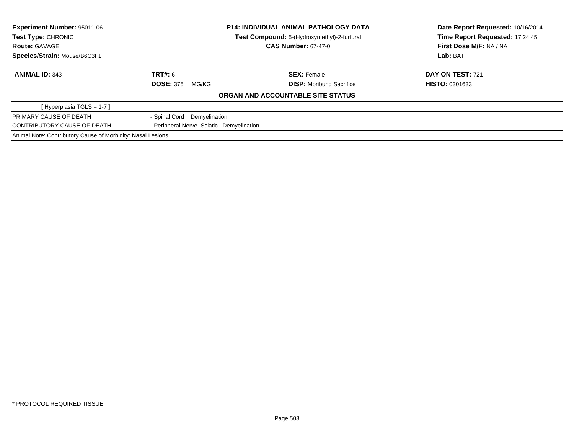| Experiment Number: 95011-06<br><b>Test Type: CHRONIC</b>     |                                                                           | <b>P14: INDIVIDUAL ANIMAL PATHOLOGY DATA</b> | Date Report Requested: 10/16/2014<br>Time Report Requested: 17:24:45 |
|--------------------------------------------------------------|---------------------------------------------------------------------------|----------------------------------------------|----------------------------------------------------------------------|
| <b>Route: GAVAGE</b>                                         | Test Compound: 5-(Hydroxymethyl)-2-furfural<br><b>CAS Number: 67-47-0</b> |                                              | First Dose M/F: NA / NA                                              |
| Species/Strain: Mouse/B6C3F1                                 |                                                                           |                                              | Lab: BAT                                                             |
| <b>ANIMAL ID: 343</b>                                        | TRT#: 6                                                                   | <b>SEX: Female</b>                           | <b>DAY ON TEST: 721</b>                                              |
|                                                              | <b>DOSE: 375</b><br>MG/KG                                                 | <b>DISP:</b> Moribund Sacrifice              | <b>HISTO: 0301633</b>                                                |
|                                                              |                                                                           | ORGAN AND ACCOUNTABLE SITE STATUS            |                                                                      |
| [Hyperplasia TGLS = $1-7$ ]                                  |                                                                           |                                              |                                                                      |
| PRIMARY CAUSE OF DEATH                                       | - Spinal Cord Demyelination                                               |                                              |                                                                      |
| CONTRIBUTORY CAUSE OF DEATH                                  | - Peripheral Nerve Sciatic Demyelination                                  |                                              |                                                                      |
| Animal Note: Contributory Cause of Morbidity: Nasal Lesions. |                                                                           |                                              |                                                                      |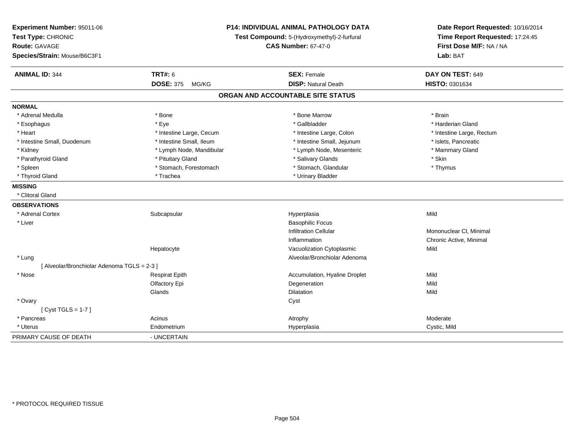| Experiment Number: 95011-06<br>Test Type: CHRONIC | P14: INDIVIDUAL ANIMAL PATHOLOGY DATA<br>Test Compound: 5-(Hydroxymethyl)-2-furfural |                                   | Date Report Requested: 10/16/2014<br>Time Report Requested: 17:24:45 |  |
|---------------------------------------------------|--------------------------------------------------------------------------------------|-----------------------------------|----------------------------------------------------------------------|--|
| Route: GAVAGE                                     |                                                                                      | <b>CAS Number: 67-47-0</b>        | First Dose M/F: NA / NA                                              |  |
| Species/Strain: Mouse/B6C3F1                      |                                                                                      |                                   | Lab: BAT                                                             |  |
| <b>ANIMAL ID: 344</b>                             | <b>TRT#: 6</b>                                                                       | <b>SEX: Female</b>                | DAY ON TEST: 649                                                     |  |
|                                                   | <b>DOSE: 375</b><br>MG/KG                                                            | <b>DISP: Natural Death</b>        | HISTO: 0301634                                                       |  |
|                                                   |                                                                                      | ORGAN AND ACCOUNTABLE SITE STATUS |                                                                      |  |
| <b>NORMAL</b>                                     |                                                                                      |                                   |                                                                      |  |
| * Adrenal Medulla                                 | * Bone                                                                               | * Bone Marrow                     | * Brain                                                              |  |
| * Esophagus                                       | * Eye                                                                                | * Gallbladder                     | * Harderian Gland                                                    |  |
| * Heart                                           | * Intestine Large, Cecum                                                             | * Intestine Large, Colon          | * Intestine Large, Rectum                                            |  |
| * Intestine Small, Duodenum                       | * Intestine Small, Ileum                                                             | * Intestine Small, Jejunum        | * Islets, Pancreatic                                                 |  |
| * Kidney                                          | * Lymph Node, Mandibular                                                             | * Lymph Node, Mesenteric          | * Mammary Gland                                                      |  |
| * Parathyroid Gland                               | * Pituitary Gland                                                                    | * Salivary Glands                 | * Skin                                                               |  |
| * Spleen                                          | * Stomach, Forestomach                                                               | * Stomach, Glandular              | * Thymus                                                             |  |
| * Thyroid Gland                                   | * Trachea                                                                            | * Urinary Bladder                 |                                                                      |  |
| <b>MISSING</b>                                    |                                                                                      |                                   |                                                                      |  |
| * Clitoral Gland                                  |                                                                                      |                                   |                                                                      |  |
| <b>OBSERVATIONS</b>                               |                                                                                      |                                   |                                                                      |  |
| * Adrenal Cortex                                  | Subcapsular                                                                          | Hyperplasia                       | Mild                                                                 |  |
| * Liver                                           |                                                                                      | <b>Basophilic Focus</b>           |                                                                      |  |
|                                                   |                                                                                      | <b>Infiltration Cellular</b>      | Mononuclear CI, Minimal                                              |  |
|                                                   |                                                                                      | Inflammation                      | Chronic Active, Minimal                                              |  |
|                                                   | Hepatocyte                                                                           | Vacuolization Cytoplasmic         | Mild                                                                 |  |
| * Lung                                            |                                                                                      | Alveolar/Bronchiolar Adenoma      |                                                                      |  |
| [ Alveolar/Bronchiolar Adenoma TGLS = 2-3 ]       |                                                                                      |                                   |                                                                      |  |
| * Nose                                            | <b>Respirat Epith</b>                                                                | Accumulation, Hyaline Droplet     | Mild                                                                 |  |
|                                                   | Olfactory Epi                                                                        | Degeneration                      | Mild                                                                 |  |
|                                                   | Glands                                                                               | <b>Dilatation</b>                 | Mild                                                                 |  |
| * Ovary                                           |                                                                                      | Cyst                              |                                                                      |  |
| [Cyst TGLS = $1-7$ ]                              |                                                                                      |                                   |                                                                      |  |
| * Pancreas                                        | Acinus                                                                               | Atrophy                           | Moderate                                                             |  |
| * Uterus                                          | Endometrium                                                                          | Hyperplasia                       | Cystic, Mild                                                         |  |
| PRIMARY CAUSE OF DEATH                            | - UNCERTAIN                                                                          |                                   |                                                                      |  |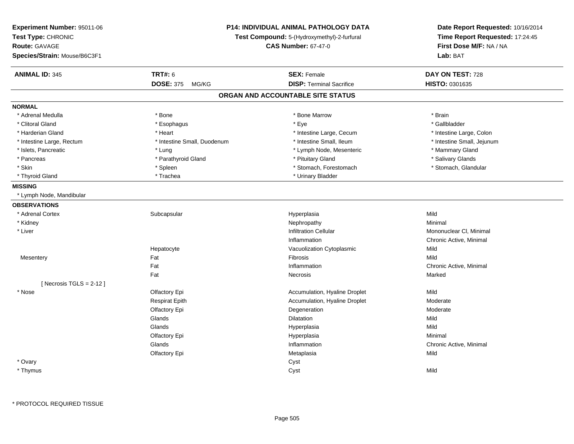| Experiment Number: 95011-06<br>Test Type: CHRONIC<br><b>Route: GAVAGE</b><br>Species/Strain: Mouse/B6C3F1 | <b>P14: INDIVIDUAL ANIMAL PATHOLOGY DATA</b><br>Test Compound: 5-(Hydroxymethyl)-2-furfural<br><b>CAS Number: 67-47-0</b> |                                   | Date Report Requested: 10/16/2014<br>Time Report Requested: 17:24:45<br>First Dose M/F: NA / NA<br>Lab: BAT |  |
|-----------------------------------------------------------------------------------------------------------|---------------------------------------------------------------------------------------------------------------------------|-----------------------------------|-------------------------------------------------------------------------------------------------------------|--|
| <b>ANIMAL ID: 345</b>                                                                                     | <b>TRT#: 6</b>                                                                                                            | <b>SEX: Female</b>                | DAY ON TEST: 728                                                                                            |  |
|                                                                                                           | <b>DOSE: 375</b><br>MG/KG                                                                                                 | <b>DISP: Terminal Sacrifice</b>   | HISTO: 0301635                                                                                              |  |
|                                                                                                           |                                                                                                                           | ORGAN AND ACCOUNTABLE SITE STATUS |                                                                                                             |  |
| <b>NORMAL</b>                                                                                             |                                                                                                                           |                                   |                                                                                                             |  |
| * Adrenal Medulla                                                                                         | * Bone                                                                                                                    | * Bone Marrow                     | * Brain                                                                                                     |  |
| * Clitoral Gland                                                                                          | * Esophagus                                                                                                               | * Eye                             | * Gallbladder                                                                                               |  |
| * Harderian Gland                                                                                         | * Heart                                                                                                                   | * Intestine Large, Cecum          | * Intestine Large, Colon                                                                                    |  |
| * Intestine Large, Rectum                                                                                 | * Intestine Small, Duodenum                                                                                               | * Intestine Small, Ileum          | * Intestine Small, Jejunum                                                                                  |  |
| * Islets, Pancreatic                                                                                      | * Lung                                                                                                                    | * Lymph Node, Mesenteric          | * Mammary Gland                                                                                             |  |
| * Pancreas                                                                                                | * Parathyroid Gland                                                                                                       | * Pituitary Gland                 | * Salivary Glands                                                                                           |  |
| * Skin                                                                                                    | * Spleen                                                                                                                  | * Stomach, Forestomach            | * Stomach, Glandular                                                                                        |  |
| * Thyroid Gland                                                                                           | * Trachea                                                                                                                 | * Urinary Bladder                 |                                                                                                             |  |
| <b>MISSING</b>                                                                                            |                                                                                                                           |                                   |                                                                                                             |  |
| * Lymph Node, Mandibular                                                                                  |                                                                                                                           |                                   |                                                                                                             |  |
| <b>OBSERVATIONS</b>                                                                                       |                                                                                                                           |                                   |                                                                                                             |  |
| * Adrenal Cortex                                                                                          | Subcapsular                                                                                                               | Hyperplasia                       | Mild                                                                                                        |  |
| * Kidney                                                                                                  |                                                                                                                           | Nephropathy                       | Minimal                                                                                                     |  |
| * Liver                                                                                                   |                                                                                                                           | <b>Infiltration Cellular</b>      | Mononuclear CI, Minimal                                                                                     |  |
|                                                                                                           |                                                                                                                           | Inflammation                      | Chronic Active, Minimal                                                                                     |  |
|                                                                                                           | Hepatocyte                                                                                                                | Vacuolization Cytoplasmic         | Mild                                                                                                        |  |
| Mesentery                                                                                                 | Fat                                                                                                                       | <b>Fibrosis</b>                   | Mild                                                                                                        |  |
|                                                                                                           | Fat                                                                                                                       | Inflammation                      | Chronic Active, Minimal                                                                                     |  |
|                                                                                                           | Fat                                                                                                                       | Necrosis                          | Marked                                                                                                      |  |
| [ Necrosis TGLS = $2-12$ ]                                                                                |                                                                                                                           |                                   |                                                                                                             |  |
| * Nose                                                                                                    | Olfactory Epi                                                                                                             | Accumulation, Hyaline Droplet     | Mild                                                                                                        |  |
|                                                                                                           | <b>Respirat Epith</b>                                                                                                     | Accumulation, Hyaline Droplet     | Moderate                                                                                                    |  |
|                                                                                                           | Olfactory Epi                                                                                                             | Degeneration                      | Moderate                                                                                                    |  |
|                                                                                                           | Glands                                                                                                                    | <b>Dilatation</b>                 | Mild                                                                                                        |  |
|                                                                                                           | Glands                                                                                                                    | Hyperplasia                       | Mild                                                                                                        |  |
|                                                                                                           | Olfactory Epi                                                                                                             | Hyperplasia                       | Minimal                                                                                                     |  |
|                                                                                                           | Glands                                                                                                                    | Inflammation                      | Chronic Active, Minimal                                                                                     |  |
|                                                                                                           | Olfactory Epi                                                                                                             | Metaplasia                        | Mild                                                                                                        |  |
| * Ovary                                                                                                   |                                                                                                                           | Cyst                              |                                                                                                             |  |
| * Thymus                                                                                                  |                                                                                                                           | Cyst                              | Mild                                                                                                        |  |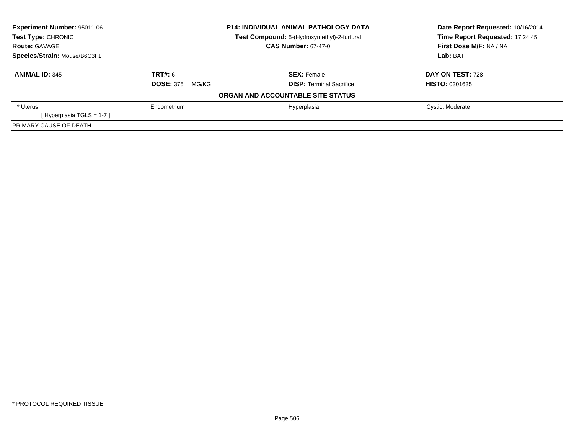| <b>Experiment Number: 95011-06</b> |                           | <b>P14: INDIVIDUAL ANIMAL PATHOLOGY DATA</b> | Date Report Requested: 10/16/2014 |  |
|------------------------------------|---------------------------|----------------------------------------------|-----------------------------------|--|
| Test Type: CHRONIC                 |                           | Test Compound: 5-(Hydroxymethyl)-2-furfural  | Time Report Requested: 17:24:45   |  |
| <b>Route: GAVAGE</b>               |                           | <b>CAS Number: 67-47-0</b>                   | First Dose M/F: NA / NA           |  |
| Species/Strain: Mouse/B6C3F1       |                           |                                              | Lab: BAT                          |  |
| <b>ANIMAL ID: 345</b>              | <b>TRT#: 6</b>            | <b>SEX: Female</b>                           | DAY ON TEST: 728                  |  |
|                                    | <b>DOSE: 375</b><br>MG/KG | <b>DISP: Terminal Sacrifice</b>              | <b>HISTO: 0301635</b>             |  |
|                                    |                           | ORGAN AND ACCOUNTABLE SITE STATUS            |                                   |  |
| * Uterus                           | Endometrium               | Hyperplasia                                  | Cystic, Moderate                  |  |
| [Hyperplasia TGLS = $1-7$ ]        |                           |                                              |                                   |  |
| PRIMARY CAUSE OF DEATH             |                           |                                              |                                   |  |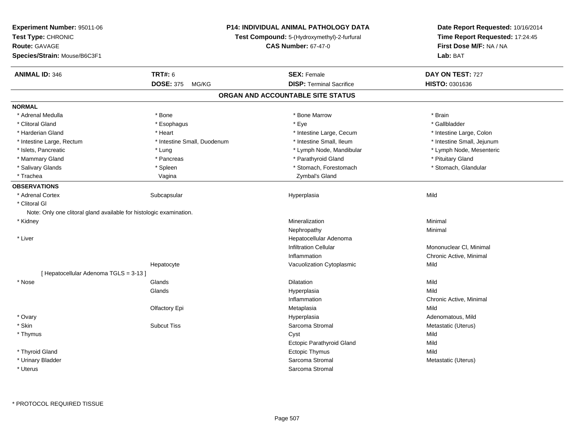| <b>Experiment Number: 95011-06</b><br>Test Type: CHRONIC<br><b>Route: GAVAGE</b><br>Species/Strain: Mouse/B6C3F1 | <b>P14: INDIVIDUAL ANIMAL PATHOLOGY DATA</b><br>Test Compound: 5-(Hydroxymethyl)-2-furfural<br><b>CAS Number: 67-47-0</b> |                                   | Date Report Requested: 10/16/2014<br>Time Report Requested: 17:24:45<br>First Dose M/F: NA / NA<br>Lab: BAT |
|------------------------------------------------------------------------------------------------------------------|---------------------------------------------------------------------------------------------------------------------------|-----------------------------------|-------------------------------------------------------------------------------------------------------------|
| <b>ANIMAL ID: 346</b>                                                                                            | <b>TRT#: 6</b>                                                                                                            | <b>SEX: Female</b>                | DAY ON TEST: 727                                                                                            |
|                                                                                                                  | <b>DOSE: 375</b><br>MG/KG                                                                                                 | <b>DISP: Terminal Sacrifice</b>   | HISTO: 0301636                                                                                              |
|                                                                                                                  |                                                                                                                           | ORGAN AND ACCOUNTABLE SITE STATUS |                                                                                                             |
| <b>NORMAL</b>                                                                                                    |                                                                                                                           |                                   |                                                                                                             |
| * Adrenal Medulla                                                                                                | * Bone                                                                                                                    | * Bone Marrow                     | * Brain                                                                                                     |
| * Clitoral Gland                                                                                                 | * Esophagus                                                                                                               | * Eye                             | * Gallbladder                                                                                               |
| * Harderian Gland                                                                                                | * Heart                                                                                                                   | * Intestine Large, Cecum          | * Intestine Large, Colon                                                                                    |
| * Intestine Large, Rectum                                                                                        | * Intestine Small, Duodenum                                                                                               | * Intestine Small, Ileum          | * Intestine Small, Jejunum                                                                                  |
| * Islets, Pancreatic                                                                                             | * Lung                                                                                                                    | * Lymph Node, Mandibular          | * Lymph Node, Mesenteric                                                                                    |
| * Mammary Gland                                                                                                  | * Pancreas                                                                                                                | * Parathyroid Gland               | * Pituitary Gland                                                                                           |
| * Salivary Glands                                                                                                | * Spleen                                                                                                                  | * Stomach, Forestomach            | * Stomach, Glandular                                                                                        |
| * Trachea                                                                                                        | Vagina                                                                                                                    | Zymbal's Gland                    |                                                                                                             |
| <b>OBSERVATIONS</b>                                                                                              |                                                                                                                           |                                   |                                                                                                             |
| * Adrenal Cortex                                                                                                 | Subcapsular                                                                                                               | Hyperplasia                       | Mild                                                                                                        |
| * Clitoral Gl                                                                                                    |                                                                                                                           |                                   |                                                                                                             |
| Note: Only one clitoral gland available for histologic examination.                                              |                                                                                                                           |                                   |                                                                                                             |
| * Kidney                                                                                                         |                                                                                                                           | Mineralization                    | Minimal                                                                                                     |
|                                                                                                                  |                                                                                                                           | Nephropathy                       | Minimal                                                                                                     |
| * Liver                                                                                                          |                                                                                                                           | Hepatocellular Adenoma            |                                                                                                             |
|                                                                                                                  |                                                                                                                           | <b>Infiltration Cellular</b>      | Mononuclear CI, Minimal                                                                                     |
|                                                                                                                  |                                                                                                                           | Inflammation                      | Chronic Active, Minimal                                                                                     |
|                                                                                                                  | Hepatocyte                                                                                                                | Vacuolization Cytoplasmic         | Mild                                                                                                        |
| [ Hepatocellular Adenoma TGLS = 3-13 ]                                                                           |                                                                                                                           |                                   |                                                                                                             |
| * Nose                                                                                                           | Glands                                                                                                                    | <b>Dilatation</b>                 | Mild                                                                                                        |
|                                                                                                                  | Glands                                                                                                                    | Hyperplasia                       | Mild                                                                                                        |
|                                                                                                                  |                                                                                                                           | Inflammation                      | Chronic Active, Minimal                                                                                     |
|                                                                                                                  | Olfactory Epi                                                                                                             | Metaplasia                        | Mild                                                                                                        |
| * Ovary                                                                                                          |                                                                                                                           | Hyperplasia                       | Adenomatous, Mild                                                                                           |
| * Skin                                                                                                           | <b>Subcut Tiss</b>                                                                                                        | Sarcoma Stromal                   | Metastatic (Uterus)                                                                                         |
| * Thymus                                                                                                         |                                                                                                                           | Cyst                              | Mild                                                                                                        |
|                                                                                                                  |                                                                                                                           | <b>Ectopic Parathyroid Gland</b>  | Mild                                                                                                        |
| * Thyroid Gland                                                                                                  |                                                                                                                           | <b>Ectopic Thymus</b>             | Mild                                                                                                        |
| * Urinary Bladder                                                                                                |                                                                                                                           | Sarcoma Stromal                   | Metastatic (Uterus)                                                                                         |
| * Uterus                                                                                                         |                                                                                                                           | Sarcoma Stromal                   |                                                                                                             |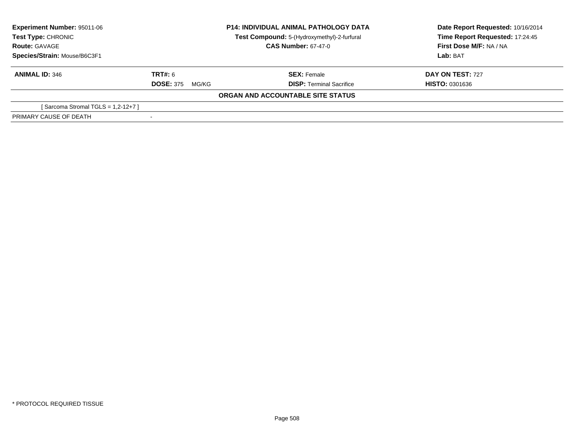| Experiment Number: 95011-06<br>Test Type: CHRONIC |                            | <b>P14: INDIVIDUAL ANIMAL PATHOLOGY DATA</b><br>Test Compound: 5-(Hydroxymethyl)-2-furfural | Date Report Requested: 10/16/2014<br>Time Report Requested: 17:24:45 |
|---------------------------------------------------|----------------------------|---------------------------------------------------------------------------------------------|----------------------------------------------------------------------|
| <b>Route: GAVAGE</b>                              | <b>CAS Number: 67-47-0</b> |                                                                                             | First Dose M/F: NA / NA                                              |
| Species/Strain: Mouse/B6C3F1                      |                            |                                                                                             | Lab: BAT                                                             |
| <b>ANIMAL ID: 346</b>                             | TRT#: 6                    | <b>SEX: Female</b>                                                                          | <b>DAY ON TEST: 727</b>                                              |
|                                                   | <b>DOSE: 375</b><br>MG/KG  | <b>DISP: Terminal Sacrifice</b>                                                             | <b>HISTO: 0301636</b>                                                |
|                                                   |                            | ORGAN AND ACCOUNTABLE SITE STATUS                                                           |                                                                      |
| [Sarcoma Stromal TGLS = $1,2-12+7$ ]              |                            |                                                                                             |                                                                      |
| PRIMARY CAUSE OF DEATH                            |                            |                                                                                             |                                                                      |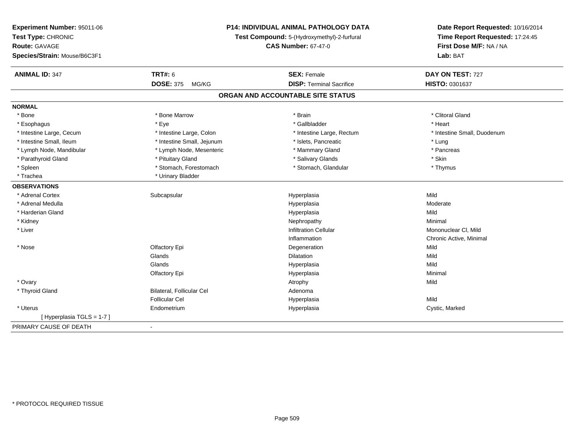| Experiment Number: 95011-06                        | P14: INDIVIDUAL ANIMAL PATHOLOGY DATA<br>Test Compound: 5-(Hydroxymethyl)-2-furfural |                                   | Date Report Requested: 10/16/2014<br>Time Report Requested: 17:24:45 |  |
|----------------------------------------------------|--------------------------------------------------------------------------------------|-----------------------------------|----------------------------------------------------------------------|--|
| Test Type: CHRONIC                                 |                                                                                      |                                   |                                                                      |  |
| <b>CAS Number: 67-47-0</b><br><b>Route: GAVAGE</b> |                                                                                      |                                   | First Dose M/F: NA / NA                                              |  |
| Species/Strain: Mouse/B6C3F1                       |                                                                                      |                                   | Lab: BAT                                                             |  |
| <b>ANIMAL ID: 347</b>                              | <b>TRT#: 6</b>                                                                       | <b>SEX: Female</b>                | DAY ON TEST: 727                                                     |  |
|                                                    | <b>DOSE: 375</b><br>MG/KG                                                            | <b>DISP: Terminal Sacrifice</b>   | HISTO: 0301637                                                       |  |
|                                                    |                                                                                      | ORGAN AND ACCOUNTABLE SITE STATUS |                                                                      |  |
| <b>NORMAL</b>                                      |                                                                                      |                                   |                                                                      |  |
| * Bone                                             | * Bone Marrow                                                                        | * Brain                           | * Clitoral Gland                                                     |  |
| * Esophagus                                        | * Eye                                                                                | * Gallbladder                     | * Heart                                                              |  |
| * Intestine Large, Cecum                           | * Intestine Large, Colon                                                             | * Intestine Large, Rectum         | * Intestine Small, Duodenum                                          |  |
| * Intestine Small, Ileum                           | * Intestine Small, Jejunum                                                           | * Islets, Pancreatic              | * Lung                                                               |  |
| * Lymph Node, Mandibular                           | * Lymph Node, Mesenteric                                                             | * Mammary Gland                   | * Pancreas                                                           |  |
| * Parathyroid Gland                                | * Pituitary Gland                                                                    | * Salivary Glands                 | * Skin                                                               |  |
| * Spleen                                           | * Stomach, Forestomach                                                               | * Stomach, Glandular              | * Thymus                                                             |  |
| * Trachea                                          | * Urinary Bladder                                                                    |                                   |                                                                      |  |
| <b>OBSERVATIONS</b>                                |                                                                                      |                                   |                                                                      |  |
| * Adrenal Cortex                                   | Subcapsular                                                                          | Hyperplasia                       | Mild                                                                 |  |
| * Adrenal Medulla                                  |                                                                                      | Hyperplasia                       | Moderate                                                             |  |
| * Harderian Gland                                  |                                                                                      | Hyperplasia                       | Mild                                                                 |  |
| * Kidney                                           |                                                                                      | Nephropathy                       | Minimal                                                              |  |
| * Liver                                            |                                                                                      | <b>Infiltration Cellular</b>      | Mononuclear CI, Mild                                                 |  |
|                                                    |                                                                                      | Inflammation                      | Chronic Active, Minimal                                              |  |
| * Nose                                             | Olfactory Epi                                                                        | Degeneration                      | Mild                                                                 |  |
|                                                    | Glands                                                                               | Dilatation                        | Mild                                                                 |  |
|                                                    | Glands                                                                               | Hyperplasia                       | Mild                                                                 |  |
|                                                    | Olfactory Epi                                                                        | Hyperplasia                       | Minimal                                                              |  |
| * Ovary                                            |                                                                                      | Atrophy                           | Mild                                                                 |  |
| * Thyroid Gland                                    | Bilateral, Follicular Cel                                                            | Adenoma                           |                                                                      |  |
|                                                    | <b>Follicular Cel</b>                                                                | Hyperplasia                       | Mild                                                                 |  |
| * Uterus                                           | Endometrium                                                                          | Hyperplasia                       | Cystic, Marked                                                       |  |
| [Hyperplasia TGLS = 1-7]                           |                                                                                      |                                   |                                                                      |  |
| PRIMARY CAUSE OF DEATH                             | $\sim$                                                                               |                                   |                                                                      |  |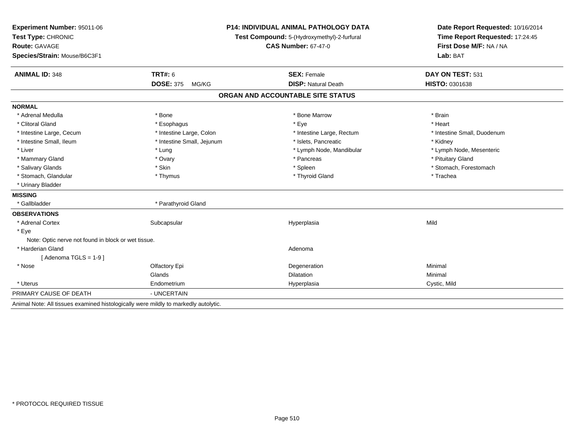| Experiment Number: 95011-06<br>Test Type: CHRONIC                                   |                            | <b>P14: INDIVIDUAL ANIMAL PATHOLOGY DATA</b> | Date Report Requested: 10/16/2014<br>Time Report Requested: 17:24:45 |  |
|-------------------------------------------------------------------------------------|----------------------------|----------------------------------------------|----------------------------------------------------------------------|--|
|                                                                                     |                            | Test Compound: 5-(Hydroxymethyl)-2-furfural  |                                                                      |  |
| <b>Route: GAVAGE</b>                                                                |                            | <b>CAS Number: 67-47-0</b>                   | First Dose M/F: NA / NA<br>Lab: BAT                                  |  |
| Species/Strain: Mouse/B6C3F1                                                        |                            |                                              |                                                                      |  |
| <b>ANIMAL ID: 348</b>                                                               | <b>TRT#: 6</b>             | <b>SEX: Female</b>                           | DAY ON TEST: 531                                                     |  |
|                                                                                     | <b>DOSE: 375</b><br>MG/KG  | <b>DISP: Natural Death</b>                   | HISTO: 0301638                                                       |  |
|                                                                                     |                            | ORGAN AND ACCOUNTABLE SITE STATUS            |                                                                      |  |
| <b>NORMAL</b>                                                                       |                            |                                              |                                                                      |  |
| * Adrenal Medulla                                                                   | * Bone                     | * Bone Marrow                                | * Brain                                                              |  |
| * Clitoral Gland                                                                    | * Esophagus                | * Eye                                        | * Heart                                                              |  |
| * Intestine Large, Cecum                                                            | * Intestine Large, Colon   | * Intestine Large, Rectum                    | * Intestine Small, Duodenum                                          |  |
| * Intestine Small, Ileum                                                            | * Intestine Small, Jejunum | * Islets, Pancreatic                         | * Kidney                                                             |  |
| * Liver                                                                             | * Lung                     | * Lymph Node, Mandibular                     | * Lymph Node, Mesenteric                                             |  |
| * Mammary Gland                                                                     | * Ovary                    | * Pancreas                                   | * Pituitary Gland                                                    |  |
| * Salivary Glands                                                                   | * Skin                     | * Spleen                                     | * Stomach, Forestomach                                               |  |
| * Stomach, Glandular                                                                | * Thymus                   | * Thyroid Gland                              | * Trachea                                                            |  |
| * Urinary Bladder                                                                   |                            |                                              |                                                                      |  |
| <b>MISSING</b>                                                                      |                            |                                              |                                                                      |  |
| * Gallbladder                                                                       | * Parathyroid Gland        |                                              |                                                                      |  |
| <b>OBSERVATIONS</b>                                                                 |                            |                                              |                                                                      |  |
| * Adrenal Cortex                                                                    | Subcapsular                | Hyperplasia                                  | Mild                                                                 |  |
| * Eye                                                                               |                            |                                              |                                                                      |  |
| Note: Optic nerve not found in block or wet tissue.                                 |                            |                                              |                                                                      |  |
| * Harderian Gland                                                                   |                            | Adenoma                                      |                                                                      |  |
| [Adenoma TGLS = $1-9$ ]                                                             |                            |                                              |                                                                      |  |
| * Nose                                                                              | Olfactory Epi              | Degeneration                                 | Minimal                                                              |  |
|                                                                                     | Glands                     | <b>Dilatation</b>                            | Minimal                                                              |  |
| * Uterus                                                                            | Endometrium                | Hyperplasia                                  | Cystic, Mild                                                         |  |
| PRIMARY CAUSE OF DEATH                                                              | - UNCERTAIN                |                                              |                                                                      |  |
| Animal Note: All tissues examined histologically were mildly to markedly autolytic. |                            |                                              |                                                                      |  |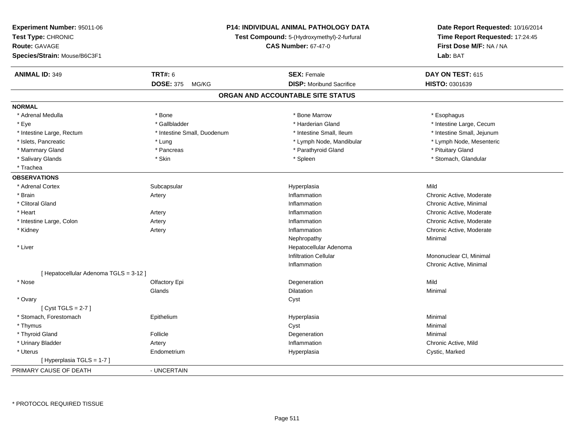| Experiment Number: 95011-06<br>Test Type: CHRONIC<br>Route: GAVAGE<br>Species/Strain: Mouse/B6C3F1 |                             | P14: INDIVIDUAL ANIMAL PATHOLOGY DATA<br>Test Compound: 5-(Hydroxymethyl)-2-furfural<br><b>CAS Number: 67-47-0</b> | Date Report Requested: 10/16/2014<br>Time Report Requested: 17:24:45<br>First Dose M/F: NA / NA<br>Lab: BAT |  |
|----------------------------------------------------------------------------------------------------|-----------------------------|--------------------------------------------------------------------------------------------------------------------|-------------------------------------------------------------------------------------------------------------|--|
| <b>ANIMAL ID: 349</b>                                                                              | <b>TRT#: 6</b>              | <b>SEX: Female</b>                                                                                                 | DAY ON TEST: 615                                                                                            |  |
|                                                                                                    | <b>DOSE: 375</b><br>MG/KG   | <b>DISP:</b> Moribund Sacrifice                                                                                    | HISTO: 0301639                                                                                              |  |
|                                                                                                    |                             | ORGAN AND ACCOUNTABLE SITE STATUS                                                                                  |                                                                                                             |  |
| <b>NORMAL</b>                                                                                      |                             |                                                                                                                    |                                                                                                             |  |
| * Adrenal Medulla                                                                                  | * Bone                      | * Bone Marrow                                                                                                      | * Esophagus                                                                                                 |  |
| * Eye                                                                                              | * Gallbladder               | * Harderian Gland                                                                                                  | * Intestine Large, Cecum                                                                                    |  |
| * Intestine Large, Rectum                                                                          | * Intestine Small, Duodenum | * Intestine Small, Ileum                                                                                           | * Intestine Small, Jejunum                                                                                  |  |
| * Islets, Pancreatic                                                                               | * Lung                      | * Lymph Node, Mandibular                                                                                           | * Lymph Node, Mesenteric                                                                                    |  |
| * Mammary Gland                                                                                    | * Pancreas                  | * Parathyroid Gland                                                                                                | * Pituitary Gland                                                                                           |  |
| * Salivary Glands                                                                                  | * Skin                      | * Spleen                                                                                                           | * Stomach, Glandular                                                                                        |  |
| * Trachea                                                                                          |                             |                                                                                                                    |                                                                                                             |  |
| <b>OBSERVATIONS</b>                                                                                |                             |                                                                                                                    |                                                                                                             |  |
| * Adrenal Cortex                                                                                   | Subcapsular                 | Hyperplasia                                                                                                        | Mild                                                                                                        |  |
| * Brain                                                                                            | Artery                      | Inflammation                                                                                                       | Chronic Active, Moderate                                                                                    |  |
| * Clitoral Gland                                                                                   |                             | Inflammation                                                                                                       | Chronic Active, Minimal                                                                                     |  |
| * Heart                                                                                            | Artery                      | Inflammation                                                                                                       | Chronic Active, Moderate                                                                                    |  |
| * Intestine Large, Colon                                                                           | Artery                      | Inflammation                                                                                                       | Chronic Active, Moderate                                                                                    |  |
| * Kidney                                                                                           | Artery                      | Inflammation                                                                                                       | Chronic Active, Moderate                                                                                    |  |
|                                                                                                    |                             | Nephropathy                                                                                                        | Minimal                                                                                                     |  |
| * Liver                                                                                            |                             | Hepatocellular Adenoma                                                                                             |                                                                                                             |  |
|                                                                                                    |                             | <b>Infiltration Cellular</b>                                                                                       | Mononuclear CI, Minimal                                                                                     |  |
|                                                                                                    |                             | Inflammation                                                                                                       | Chronic Active, Minimal                                                                                     |  |
| [ Hepatocellular Adenoma TGLS = 3-12 ]                                                             |                             |                                                                                                                    |                                                                                                             |  |
| * Nose                                                                                             | Olfactory Epi               | Degeneration                                                                                                       | Mild                                                                                                        |  |
|                                                                                                    | Glands                      | Dilatation                                                                                                         | Minimal                                                                                                     |  |
| * Ovary                                                                                            |                             | Cyst                                                                                                               |                                                                                                             |  |
| [Cyst TGLS = $2-7$ ]                                                                               |                             |                                                                                                                    |                                                                                                             |  |
| * Stomach, Forestomach                                                                             | Epithelium                  | Hyperplasia                                                                                                        | Minimal                                                                                                     |  |
| * Thymus                                                                                           |                             | Cyst                                                                                                               | Minimal                                                                                                     |  |
| * Thyroid Gland                                                                                    | Follicle                    | Degeneration                                                                                                       | Minimal                                                                                                     |  |
| * Urinary Bladder                                                                                  | Artery                      | Inflammation                                                                                                       | Chronic Active, Mild                                                                                        |  |
| * Uterus                                                                                           | Endometrium                 | Hyperplasia                                                                                                        | Cystic, Marked                                                                                              |  |
| [Hyperplasia TGLS = 1-7]                                                                           |                             |                                                                                                                    |                                                                                                             |  |
| PRIMARY CAUSE OF DEATH                                                                             | - UNCERTAIN                 |                                                                                                                    |                                                                                                             |  |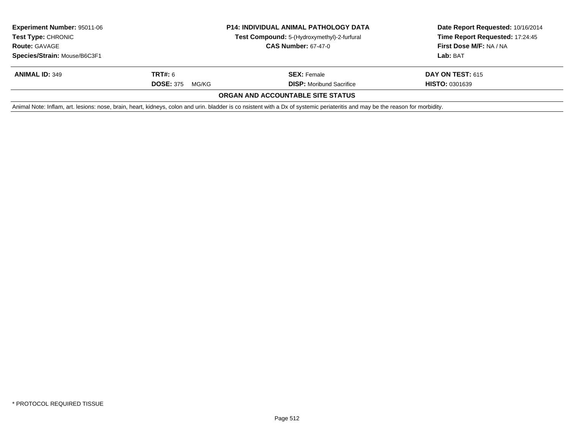| <b>Experiment Number: 95011-06</b><br><b>Test Type: CHRONIC</b><br><b>Route: GAVAGE</b> | <b>P14: INDIVIDUAL ANIMAL PATHOLOGY DATA</b><br>Test Compound: 5-(Hydroxymethyl)-2-furfural<br><b>CAS Number: 67-47-0</b> |                                                                                                                                                                                | Date Report Requested: 10/16/2014<br>Time Report Requested: 17:24:45<br>First Dose M/F: NA / NA |  |
|-----------------------------------------------------------------------------------------|---------------------------------------------------------------------------------------------------------------------------|--------------------------------------------------------------------------------------------------------------------------------------------------------------------------------|-------------------------------------------------------------------------------------------------|--|
| Species/Strain: Mouse/B6C3F1                                                            |                                                                                                                           |                                                                                                                                                                                | Lab: BAT                                                                                        |  |
| <b>ANIMAL ID: 349</b>                                                                   | TRT#: 6                                                                                                                   | <b>SEX: Female</b>                                                                                                                                                             | <b>DAY ON TEST: 615</b>                                                                         |  |
|                                                                                         | <b>DOSE: 375</b><br>MG/KG                                                                                                 | <b>DISP:</b> Moribund Sacrifice                                                                                                                                                | <b>HISTO: 0301639</b>                                                                           |  |
|                                                                                         |                                                                                                                           | ORGAN AND ACCOUNTABLE SITE STATUS                                                                                                                                              |                                                                                                 |  |
|                                                                                         |                                                                                                                           | Animal Note: Inflam, art. lesions: nose, brain, heart, kidneys, colon and urin. bladder is co nsistent with a Dx of systemic periateritis and may be the reason for morbidity. |                                                                                                 |  |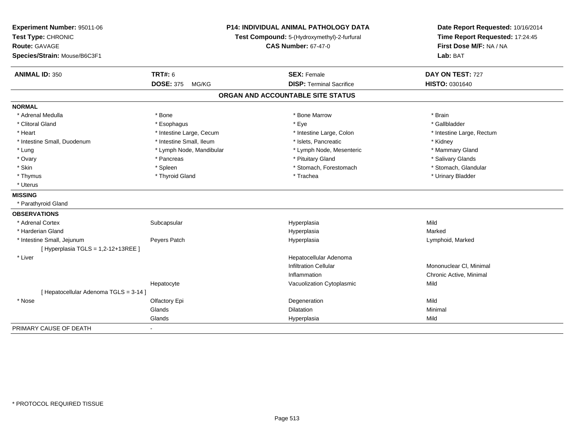| Experiment Number: 95011-06<br>Test Type: CHRONIC<br>Route: GAVAGE<br>Species/Strain: Mouse/B6C3F1 |                           | <b>P14: INDIVIDUAL ANIMAL PATHOLOGY DATA</b><br>Test Compound: 5-(Hydroxymethyl)-2-furfural<br><b>CAS Number: 67-47-0</b> |                                   | Date Report Requested: 10/16/2014<br>Time Report Requested: 17:24:45<br>First Dose M/F: NA / NA<br>Lab: BAT |  |
|----------------------------------------------------------------------------------------------------|---------------------------|---------------------------------------------------------------------------------------------------------------------------|-----------------------------------|-------------------------------------------------------------------------------------------------------------|--|
| <b>ANIMAL ID: 350</b>                                                                              | <b>TRT#: 6</b>            |                                                                                                                           | <b>SEX: Female</b>                | DAY ON TEST: 727                                                                                            |  |
|                                                                                                    | <b>DOSE: 375</b><br>MG/KG |                                                                                                                           | <b>DISP: Terminal Sacrifice</b>   | HISTO: 0301640                                                                                              |  |
|                                                                                                    |                           |                                                                                                                           | ORGAN AND ACCOUNTABLE SITE STATUS |                                                                                                             |  |
| <b>NORMAL</b>                                                                                      |                           |                                                                                                                           |                                   |                                                                                                             |  |
| * Adrenal Medulla                                                                                  | * Bone                    |                                                                                                                           | * Bone Marrow                     | * Brain                                                                                                     |  |
| * Clitoral Gland                                                                                   | * Esophagus               |                                                                                                                           | * Eye                             | * Gallbladder                                                                                               |  |
| * Heart                                                                                            | * Intestine Large, Cecum  |                                                                                                                           | * Intestine Large, Colon          | * Intestine Large, Rectum                                                                                   |  |
| * Intestine Small, Duodenum                                                                        | * Intestine Small, Ileum  |                                                                                                                           | * Islets, Pancreatic              | * Kidney                                                                                                    |  |
| * Lung                                                                                             | * Lymph Node, Mandibular  |                                                                                                                           | * Lymph Node, Mesenteric          | * Mammary Gland                                                                                             |  |
| * Ovary                                                                                            | * Pancreas                |                                                                                                                           | * Pituitary Gland                 | * Salivary Glands                                                                                           |  |
| * Skin                                                                                             | * Spleen                  |                                                                                                                           | * Stomach, Forestomach            | * Stomach, Glandular                                                                                        |  |
| * Thymus                                                                                           | * Thyroid Gland           |                                                                                                                           | * Trachea                         | * Urinary Bladder                                                                                           |  |
| * Uterus                                                                                           |                           |                                                                                                                           |                                   |                                                                                                             |  |
| <b>MISSING</b>                                                                                     |                           |                                                                                                                           |                                   |                                                                                                             |  |
| * Parathyroid Gland                                                                                |                           |                                                                                                                           |                                   |                                                                                                             |  |
| <b>OBSERVATIONS</b>                                                                                |                           |                                                                                                                           |                                   |                                                                                                             |  |
| * Adrenal Cortex                                                                                   | Subcapsular               |                                                                                                                           | Hyperplasia                       | Mild                                                                                                        |  |
| * Harderian Gland                                                                                  |                           |                                                                                                                           | Hyperplasia                       | Marked                                                                                                      |  |
| * Intestine Small, Jejunum                                                                         | Peyers Patch              |                                                                                                                           | Hyperplasia                       | Lymphoid, Marked                                                                                            |  |
| [ Hyperplasia TGLS = 1,2-12+13REE ]                                                                |                           |                                                                                                                           |                                   |                                                                                                             |  |
| $*$ Liver                                                                                          |                           |                                                                                                                           | Hepatocellular Adenoma            |                                                                                                             |  |
|                                                                                                    |                           |                                                                                                                           | <b>Infiltration Cellular</b>      | Mononuclear CI, Minimal                                                                                     |  |
|                                                                                                    |                           |                                                                                                                           | Inflammation                      | Chronic Active, Minimal                                                                                     |  |
|                                                                                                    | Hepatocyte                |                                                                                                                           | Vacuolization Cytoplasmic         | Mild                                                                                                        |  |
| [ Hepatocellular Adenoma TGLS = 3-14 ]                                                             |                           |                                                                                                                           |                                   |                                                                                                             |  |
| * Nose                                                                                             | Olfactory Epi             |                                                                                                                           | Degeneration                      | Mild                                                                                                        |  |
|                                                                                                    | Glands                    |                                                                                                                           | Dilatation                        | Minimal                                                                                                     |  |
|                                                                                                    | Glands                    |                                                                                                                           | Hyperplasia                       | Mild                                                                                                        |  |
| PRIMARY CAUSE OF DEATH                                                                             | $\blacksquare$            |                                                                                                                           |                                   |                                                                                                             |  |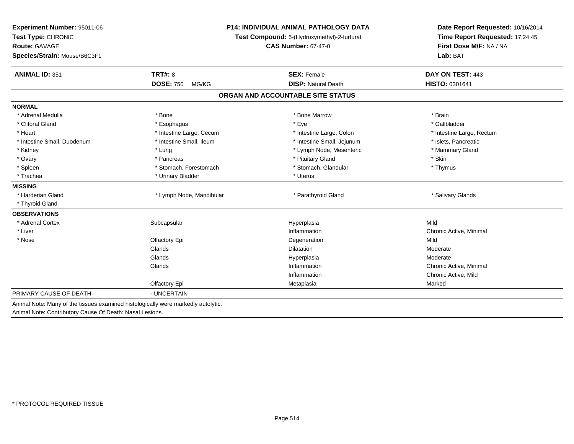| Experiment Number: 95011-06<br>Test Type: CHRONIC<br><b>Route: GAVAGE</b>         |                           | <b>P14: INDIVIDUAL ANIMAL PATHOLOGY DATA</b><br>Test Compound: 5-(Hydroxymethyl)-2-furfural | Date Report Requested: 10/16/2014<br>Time Report Requested: 17:24:45<br>First Dose M/F: NA / NA |  |
|-----------------------------------------------------------------------------------|---------------------------|---------------------------------------------------------------------------------------------|-------------------------------------------------------------------------------------------------|--|
|                                                                                   |                           | <b>CAS Number: 67-47-0</b>                                                                  |                                                                                                 |  |
| Species/Strain: Mouse/B6C3F1                                                      |                           |                                                                                             | Lab: BAT                                                                                        |  |
| <b>ANIMAL ID: 351</b>                                                             | <b>TRT#: 8</b>            | <b>SEX: Female</b>                                                                          | DAY ON TEST: 443                                                                                |  |
|                                                                                   | <b>DOSE: 750</b><br>MG/KG | <b>DISP: Natural Death</b>                                                                  | HISTO: 0301641                                                                                  |  |
|                                                                                   |                           | ORGAN AND ACCOUNTABLE SITE STATUS                                                           |                                                                                                 |  |
| <b>NORMAL</b>                                                                     |                           |                                                                                             |                                                                                                 |  |
| * Adrenal Medulla                                                                 | * Bone                    | * Bone Marrow                                                                               | * Brain                                                                                         |  |
| * Clitoral Gland                                                                  | * Esophagus               | * Eye                                                                                       | * Gallbladder                                                                                   |  |
| * Heart                                                                           | * Intestine Large, Cecum  | * Intestine Large, Colon                                                                    | * Intestine Large, Rectum                                                                       |  |
| * Intestine Small, Duodenum                                                       | * Intestine Small, Ileum  | * Intestine Small, Jejunum                                                                  | * Islets, Pancreatic                                                                            |  |
| * Kidney                                                                          | * Lung                    | * Lymph Node, Mesenteric                                                                    | * Mammary Gland                                                                                 |  |
| * Ovary                                                                           | * Pancreas                | * Pituitary Gland                                                                           | * Skin                                                                                          |  |
| * Spleen                                                                          | * Stomach, Forestomach    | * Stomach, Glandular                                                                        | * Thymus                                                                                        |  |
| * Trachea                                                                         | * Urinary Bladder         | * Uterus                                                                                    |                                                                                                 |  |
| <b>MISSING</b>                                                                    |                           |                                                                                             |                                                                                                 |  |
| * Harderian Gland                                                                 | * Lymph Node, Mandibular  | * Parathyroid Gland                                                                         | * Salivary Glands                                                                               |  |
| * Thyroid Gland                                                                   |                           |                                                                                             |                                                                                                 |  |
| <b>OBSERVATIONS</b>                                                               |                           |                                                                                             |                                                                                                 |  |
| * Adrenal Cortex                                                                  | Subcapsular               | Hyperplasia                                                                                 | Mild                                                                                            |  |
| * Liver                                                                           |                           | Inflammation                                                                                | Chronic Active, Minimal                                                                         |  |
| * Nose                                                                            | Olfactory Epi             | Degeneration                                                                                | Mild                                                                                            |  |
|                                                                                   | Glands                    | Dilatation                                                                                  | Moderate                                                                                        |  |
|                                                                                   | Glands                    | Hyperplasia                                                                                 | Moderate                                                                                        |  |
|                                                                                   | Glands                    | Inflammation                                                                                | Chronic Active, Minimal                                                                         |  |
|                                                                                   |                           | Inflammation                                                                                | Chronic Active, Mild                                                                            |  |
|                                                                                   | Olfactory Epi             | Metaplasia                                                                                  | Marked                                                                                          |  |
| PRIMARY CAUSE OF DEATH                                                            | - UNCERTAIN               |                                                                                             |                                                                                                 |  |
| Animal Note: Many of the tissues examined histologically were markedly autolytic. |                           |                                                                                             |                                                                                                 |  |
| Animal Note: Contributory Cause Of Death: Nasal Lesions.                          |                           |                                                                                             |                                                                                                 |  |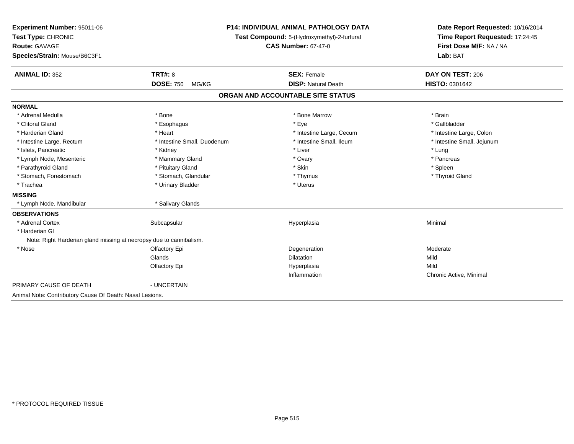| Experiment Number: 95011-06                                         | <b>P14: INDIVIDUAL ANIMAL PATHOLOGY DATA</b> |                                             | Date Report Requested: 10/16/2014                          |  |
|---------------------------------------------------------------------|----------------------------------------------|---------------------------------------------|------------------------------------------------------------|--|
| Test Type: CHRONIC                                                  |                                              | Test Compound: 5-(Hydroxymethyl)-2-furfural | Time Report Requested: 17:24:45<br>First Dose M/F: NA / NA |  |
| Route: GAVAGE                                                       |                                              | <b>CAS Number: 67-47-0</b>                  |                                                            |  |
| Species/Strain: Mouse/B6C3F1                                        |                                              |                                             | Lab: BAT                                                   |  |
| <b>ANIMAL ID: 352</b>                                               | <b>TRT#: 8</b>                               | <b>SEX: Female</b>                          | DAY ON TEST: 206                                           |  |
|                                                                     | <b>DOSE: 750</b><br>MG/KG                    | <b>DISP: Natural Death</b>                  | HISTO: 0301642                                             |  |
|                                                                     |                                              | ORGAN AND ACCOUNTABLE SITE STATUS           |                                                            |  |
| <b>NORMAL</b>                                                       |                                              |                                             |                                                            |  |
| * Adrenal Medulla                                                   | * Bone                                       | * Bone Marrow                               | * Brain                                                    |  |
| * Clitoral Gland                                                    | * Esophagus                                  | * Eye                                       | * Gallbladder                                              |  |
| * Harderian Gland                                                   | * Heart                                      | * Intestine Large, Cecum                    | * Intestine Large, Colon                                   |  |
| * Intestine Large, Rectum                                           | * Intestine Small, Duodenum                  | * Intestine Small, Ileum                    | * Intestine Small, Jejunum                                 |  |
| * Islets, Pancreatic                                                | * Kidney                                     | * Liver                                     | * Lung                                                     |  |
| * Lymph Node, Mesenteric                                            | * Mammary Gland                              | * Ovary                                     | * Pancreas                                                 |  |
| * Parathyroid Gland                                                 | * Pituitary Gland                            | * Skin                                      | * Spleen                                                   |  |
| * Stomach, Forestomach                                              | * Stomach, Glandular                         | * Thymus                                    | * Thyroid Gland                                            |  |
| * Trachea                                                           | * Urinary Bladder                            | * Uterus                                    |                                                            |  |
| <b>MISSING</b>                                                      |                                              |                                             |                                                            |  |
| * Lymph Node, Mandibular                                            | * Salivary Glands                            |                                             |                                                            |  |
| <b>OBSERVATIONS</b>                                                 |                                              |                                             |                                                            |  |
| * Adrenal Cortex                                                    | Subcapsular                                  | Hyperplasia                                 | Minimal                                                    |  |
| * Harderian Gl                                                      |                                              |                                             |                                                            |  |
| Note: Right Harderian gland missing at necropsy due to cannibalism. |                                              |                                             |                                                            |  |
| * Nose                                                              | Olfactory Epi                                | Degeneration                                | Moderate                                                   |  |
|                                                                     | Glands                                       | <b>Dilatation</b>                           | Mild                                                       |  |
|                                                                     | Olfactory Epi                                | Hyperplasia                                 | Mild                                                       |  |
|                                                                     |                                              | Inflammation                                | Chronic Active, Minimal                                    |  |
| PRIMARY CAUSE OF DEATH                                              | - UNCERTAIN                                  |                                             |                                                            |  |
| Animal Note: Contributory Cause Of Death: Nasal Lesions.            |                                              |                                             |                                                            |  |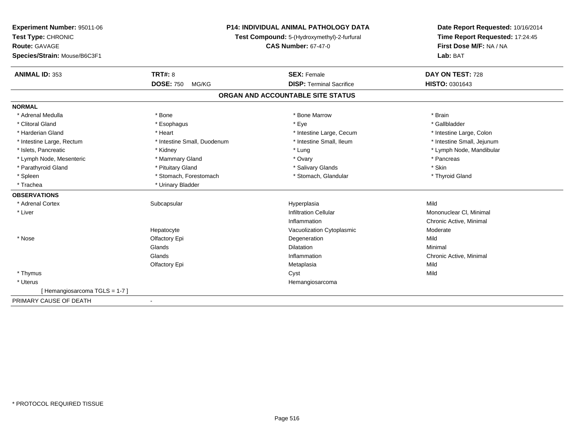| Experiment Number: 95011-06  |                             | <b>P14: INDIVIDUAL ANIMAL PATHOLOGY DATA</b> | Date Report Requested: 10/16/2014 |
|------------------------------|-----------------------------|----------------------------------------------|-----------------------------------|
| Test Type: CHRONIC           |                             | Test Compound: 5-(Hydroxymethyl)-2-furfural  | Time Report Requested: 17:24:45   |
| <b>Route: GAVAGE</b>         |                             | <b>CAS Number: 67-47-0</b>                   | First Dose M/F: NA / NA           |
| Species/Strain: Mouse/B6C3F1 |                             |                                              | Lab: BAT                          |
| <b>ANIMAL ID: 353</b>        | <b>TRT#: 8</b>              | <b>SEX: Female</b>                           | DAY ON TEST: 728                  |
|                              | <b>DOSE: 750</b><br>MG/KG   | <b>DISP: Terminal Sacrifice</b>              | HISTO: 0301643                    |
|                              |                             | ORGAN AND ACCOUNTABLE SITE STATUS            |                                   |
| <b>NORMAL</b>                |                             |                                              |                                   |
| * Adrenal Medulla            | * Bone                      | * Bone Marrow                                | * Brain                           |
| * Clitoral Gland             | * Esophagus                 | * Eye                                        | * Gallbladder                     |
| * Harderian Gland            | * Heart                     | * Intestine Large, Cecum                     | * Intestine Large, Colon          |
| * Intestine Large, Rectum    | * Intestine Small, Duodenum | * Intestine Small, Ileum                     | * Intestine Small, Jejunum        |
| * Islets, Pancreatic         | * Kidney                    | * Lung                                       | * Lymph Node, Mandibular          |
| * Lymph Node, Mesenteric     | * Mammary Gland             | * Ovary                                      | * Pancreas                        |
| * Parathyroid Gland          | * Pituitary Gland           | * Salivary Glands                            | * Skin                            |
| * Spleen                     | * Stomach, Forestomach      | * Stomach, Glandular                         | * Thyroid Gland                   |
| * Trachea                    | * Urinary Bladder           |                                              |                                   |
| <b>OBSERVATIONS</b>          |                             |                                              |                                   |
| * Adrenal Cortex             | Subcapsular                 | Hyperplasia                                  | Mild                              |
| * Liver                      |                             | <b>Infiltration Cellular</b>                 | Mononuclear CI, Minimal           |
|                              |                             | Inflammation                                 | Chronic Active, Minimal           |
|                              | Hepatocyte                  | Vacuolization Cytoplasmic                    | Moderate                          |
| * Nose                       | Olfactory Epi               | Degeneration                                 | Mild                              |
|                              | Glands                      | <b>Dilatation</b>                            | Minimal                           |
|                              | Glands                      | Inflammation                                 | Chronic Active, Minimal           |
|                              | Olfactory Epi               | Metaplasia                                   | Mild                              |
| * Thymus                     |                             | Cyst                                         | Mild                              |
| * Uterus                     |                             | Hemangiosarcoma                              |                                   |
| [Hemangiosarcoma TGLS = 1-7] |                             |                                              |                                   |
| PRIMARY CAUSE OF DEATH       |                             |                                              |                                   |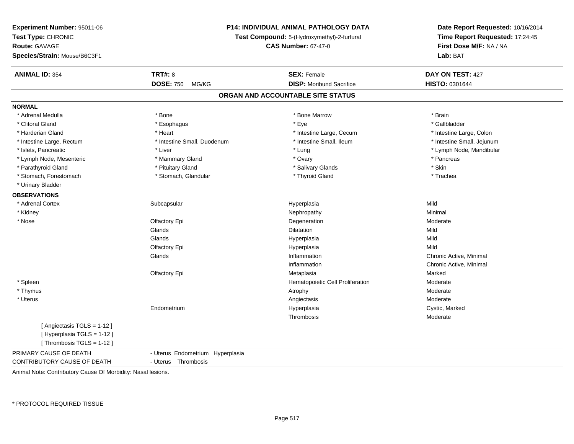| Experiment Number: 95011-06  | <b>P14: INDIVIDUAL ANIMAL PATHOLOGY DATA</b><br>Test Compound: 5-(Hydroxymethyl)-2-furfural<br><b>CAS Number: 67-47-0</b> |                                   | Date Report Requested: 10/16/2014<br>Time Report Requested: 17:24:45<br>First Dose M/F: NA / NA |
|------------------------------|---------------------------------------------------------------------------------------------------------------------------|-----------------------------------|-------------------------------------------------------------------------------------------------|
| Test Type: CHRONIC           |                                                                                                                           |                                   |                                                                                                 |
| <b>Route: GAVAGE</b>         |                                                                                                                           |                                   |                                                                                                 |
| Species/Strain: Mouse/B6C3F1 |                                                                                                                           |                                   | Lab: BAT                                                                                        |
|                              |                                                                                                                           |                                   |                                                                                                 |
| <b>ANIMAL ID: 354</b>        | <b>TRT#: 8</b>                                                                                                            | <b>SEX: Female</b>                | DAY ON TEST: 427                                                                                |
|                              | <b>DOSE: 750</b><br>MG/KG                                                                                                 | <b>DISP:</b> Moribund Sacrifice   | HISTO: 0301644                                                                                  |
|                              |                                                                                                                           | ORGAN AND ACCOUNTABLE SITE STATUS |                                                                                                 |
| <b>NORMAL</b>                |                                                                                                                           |                                   |                                                                                                 |
| * Adrenal Medulla            | * Bone                                                                                                                    | * Bone Marrow                     | * Brain                                                                                         |
| * Clitoral Gland             | * Esophagus                                                                                                               | * Eye                             | * Gallbladder                                                                                   |
| * Harderian Gland            | * Heart                                                                                                                   | * Intestine Large, Cecum          | * Intestine Large, Colon                                                                        |
| * Intestine Large, Rectum    | * Intestine Small, Duodenum                                                                                               | * Intestine Small, Ileum          | * Intestine Small, Jejunum                                                                      |
| * Islets, Pancreatic         | * Liver                                                                                                                   | * Lung                            | * Lymph Node, Mandibular                                                                        |
| * Lymph Node, Mesenteric     | * Mammary Gland                                                                                                           | * Ovary                           | * Pancreas                                                                                      |
| * Parathyroid Gland          | * Pituitary Gland                                                                                                         | * Salivary Glands                 | * Skin                                                                                          |
| * Stomach, Forestomach       | * Stomach, Glandular                                                                                                      | * Thyroid Gland                   | * Trachea                                                                                       |
| * Urinary Bladder            |                                                                                                                           |                                   |                                                                                                 |
| <b>OBSERVATIONS</b>          |                                                                                                                           |                                   |                                                                                                 |
| * Adrenal Cortex             | Subcapsular                                                                                                               | Hyperplasia                       | Mild                                                                                            |
| * Kidney                     |                                                                                                                           | Nephropathy                       | Minimal                                                                                         |
| $*$ Nose                     | Olfactory Epi                                                                                                             | Degeneration                      | Moderate                                                                                        |
|                              | Glands                                                                                                                    | Dilatation                        | Mild                                                                                            |
|                              | Glands                                                                                                                    | Hyperplasia                       | Mild                                                                                            |
|                              | Olfactory Epi                                                                                                             | Hyperplasia                       | Mild                                                                                            |
|                              | Glands                                                                                                                    | Inflammation                      | Chronic Active, Minimal                                                                         |
|                              |                                                                                                                           | Inflammation                      | Chronic Active, Minimal                                                                         |
|                              | Olfactory Epi                                                                                                             | Metaplasia                        | Marked                                                                                          |
| * Spleen                     |                                                                                                                           | Hematopoietic Cell Proliferation  | Moderate                                                                                        |
| * Thymus                     |                                                                                                                           | Atrophy                           | Moderate                                                                                        |
| * Uterus                     |                                                                                                                           | Angiectasis                       | Moderate                                                                                        |
|                              | Endometrium                                                                                                               | Hyperplasia                       | Cystic, Marked                                                                                  |
|                              |                                                                                                                           | Thrombosis                        | Moderate                                                                                        |
| [Angiectasis TGLS = 1-12]    |                                                                                                                           |                                   |                                                                                                 |
| [Hyperplasia TGLS = 1-12]    |                                                                                                                           |                                   |                                                                                                 |
| [Thrombosis TGLS = 1-12]     |                                                                                                                           |                                   |                                                                                                 |
| PRIMARY CAUSE OF DEATH       | - Uterus Endometrium Hyperplasia                                                                                          |                                   |                                                                                                 |
| CONTRIBUTORY CAUSE OF DEATH  | - Uterus Thrombosis                                                                                                       |                                   |                                                                                                 |
|                              |                                                                                                                           |                                   |                                                                                                 |

Animal Note: Contributory Cause Of Morbidity: Nasal lesions.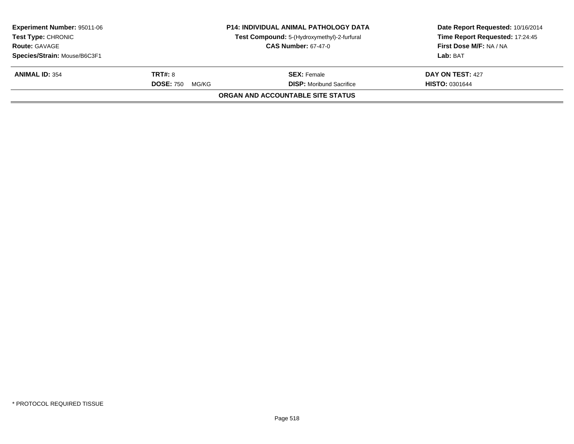| <b>Experiment Number: 95011-06</b><br><b>Test Type: CHRONIC</b><br><b>Route: GAVAGE</b><br>Species/Strain: Mouse/B6C3F1 | <b>P14: INDIVIDUAL ANIMAL PATHOLOGY DATA</b><br>Test Compound: 5-(Hydroxymethyl)-2-furfural<br><b>CAS Number: 67-47-0</b> |                                   | Time Report Requested: 17:24:45<br>First Dose M/F: NA / NA<br>Lab: BAT |
|-------------------------------------------------------------------------------------------------------------------------|---------------------------------------------------------------------------------------------------------------------------|-----------------------------------|------------------------------------------------------------------------|
| <b>ANIMAL ID: 354</b>                                                                                                   | <b>TRT#: 8</b>                                                                                                            | <b>SEX: Female</b>                | DAY ON TEST: 427                                                       |
|                                                                                                                         | <b>DOSE: 750</b><br>MG/KG                                                                                                 | <b>DISP:</b> Moribund Sacrifice   | <b>HISTO: 0301644</b>                                                  |
|                                                                                                                         |                                                                                                                           | ORGAN AND ACCOUNTABLE SITE STATUS |                                                                        |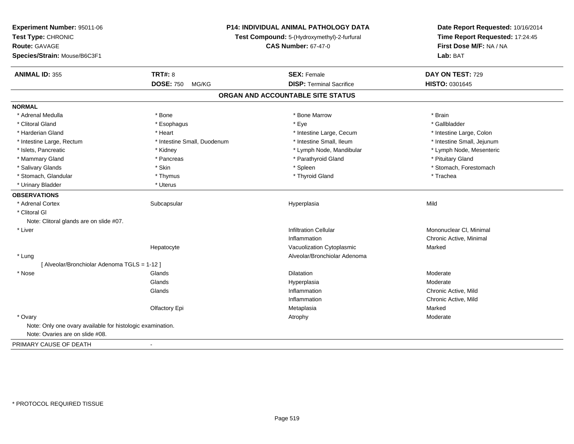| Experiment Number: 95011-06<br>Test Type: CHRONIC<br><b>Route: GAVAGE</b><br>Species/Strain: Mouse/B6C3F1 |                             | P14: INDIVIDUAL ANIMAL PATHOLOGY DATA<br>Test Compound: 5-(Hydroxymethyl)-2-furfural<br><b>CAS Number: 67-47-0</b> |                            |
|-----------------------------------------------------------------------------------------------------------|-----------------------------|--------------------------------------------------------------------------------------------------------------------|----------------------------|
| <b>ANIMAL ID: 355</b>                                                                                     | <b>TRT#: 8</b>              | <b>SEX: Female</b>                                                                                                 | DAY ON TEST: 729           |
|                                                                                                           | <b>DOSE: 750</b><br>MG/KG   | <b>DISP: Terminal Sacrifice</b>                                                                                    | HISTO: 0301645             |
|                                                                                                           |                             | ORGAN AND ACCOUNTABLE SITE STATUS                                                                                  |                            |
| <b>NORMAL</b>                                                                                             |                             |                                                                                                                    |                            |
| * Adrenal Medulla                                                                                         | * Bone                      | * Bone Marrow                                                                                                      | * Brain                    |
| * Clitoral Gland                                                                                          | * Esophagus                 | * Eye                                                                                                              | * Gallbladder              |
| * Harderian Gland                                                                                         | * Heart                     | * Intestine Large, Cecum                                                                                           | * Intestine Large, Colon   |
| * Intestine Large, Rectum                                                                                 | * Intestine Small, Duodenum | * Intestine Small, Ileum                                                                                           | * Intestine Small, Jejunum |
| * Islets, Pancreatic                                                                                      | * Kidney                    | * Lymph Node, Mandibular                                                                                           | * Lymph Node, Mesenteric   |
| * Mammary Gland                                                                                           | * Pancreas                  | * Parathyroid Gland                                                                                                | * Pituitary Gland          |
| * Salivary Glands                                                                                         | * Skin                      | * Spleen                                                                                                           | * Stomach, Forestomach     |
| * Stomach, Glandular                                                                                      | * Thymus                    | * Thyroid Gland                                                                                                    | * Trachea                  |
| * Urinary Bladder                                                                                         | * Uterus                    |                                                                                                                    |                            |
| <b>OBSERVATIONS</b>                                                                                       |                             |                                                                                                                    |                            |
| * Adrenal Cortex                                                                                          | Subcapsular                 | Hyperplasia                                                                                                        | Mild                       |
| * Clitoral Gl                                                                                             |                             |                                                                                                                    |                            |
| Note: Clitoral glands are on slide #07.                                                                   |                             |                                                                                                                    |                            |
| * Liver                                                                                                   |                             | <b>Infiltration Cellular</b>                                                                                       | Mononuclear CI, Minimal    |
|                                                                                                           |                             | Inflammation                                                                                                       | Chronic Active, Minimal    |
|                                                                                                           | Hepatocyte                  | Vacuolization Cytoplasmic                                                                                          | Marked                     |
| * Lung                                                                                                    |                             | Alveolar/Bronchiolar Adenoma                                                                                       |                            |
| [ Alveolar/Bronchiolar Adenoma TGLS = 1-12 ]                                                              |                             |                                                                                                                    |                            |
| * Nose                                                                                                    | Glands                      | <b>Dilatation</b>                                                                                                  | Moderate                   |
|                                                                                                           | Glands                      | Hyperplasia                                                                                                        | Moderate                   |
|                                                                                                           | Glands                      | Inflammation                                                                                                       | Chronic Active, Mild       |
|                                                                                                           |                             | Inflammation                                                                                                       | Chronic Active, Mild       |
|                                                                                                           | Olfactory Epi               | Metaplasia                                                                                                         | Marked                     |
| * Ovary                                                                                                   |                             | Atrophy                                                                                                            | Moderate                   |
| Note: Only one ovary available for histologic examination.                                                |                             |                                                                                                                    |                            |
| Note: Ovaries are on slide #08.                                                                           |                             |                                                                                                                    |                            |
| PRIMARY CAUSE OF DEATH                                                                                    | $\overline{a}$              |                                                                                                                    |                            |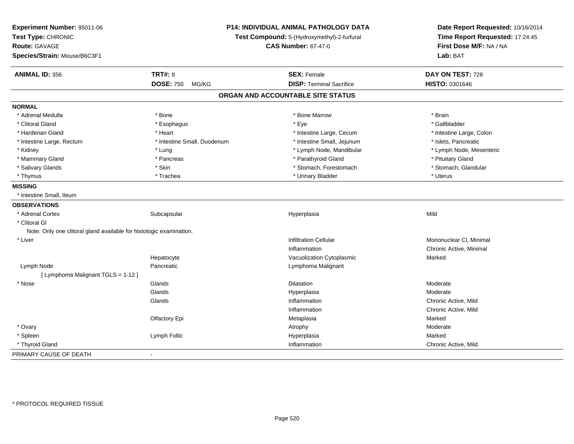| Experiment Number: 95011-06<br>Test Type: CHRONIC<br><b>Route: GAVAGE</b><br>Species/Strain: Mouse/B6C3F1 | P14: INDIVIDUAL ANIMAL PATHOLOGY DATA<br>Test Compound: 5-(Hydroxymethyl)-2-furfural<br><b>CAS Number: 67-47-0</b> |                                   | Date Report Requested: 10/16/2014<br>Time Report Requested: 17:24:45<br>First Dose M/F: NA / NA<br>Lab: BAT |
|-----------------------------------------------------------------------------------------------------------|--------------------------------------------------------------------------------------------------------------------|-----------------------------------|-------------------------------------------------------------------------------------------------------------|
|                                                                                                           |                                                                                                                    |                                   |                                                                                                             |
| <b>ANIMAL ID: 356</b>                                                                                     | <b>TRT#: 8</b>                                                                                                     | <b>SEX: Female</b>                | DAY ON TEST: 728                                                                                            |
|                                                                                                           | <b>DOSE: 750</b><br>MG/KG                                                                                          | <b>DISP: Terminal Sacrifice</b>   | HISTO: 0301646                                                                                              |
|                                                                                                           |                                                                                                                    | ORGAN AND ACCOUNTABLE SITE STATUS |                                                                                                             |
| <b>NORMAL</b>                                                                                             |                                                                                                                    |                                   |                                                                                                             |
| * Adrenal Medulla                                                                                         | * Bone                                                                                                             | * Bone Marrow                     | * Brain                                                                                                     |
| * Clitoral Gland                                                                                          | * Esophagus                                                                                                        | * Eye                             | * Gallbladder                                                                                               |
| * Harderian Gland                                                                                         | * Heart                                                                                                            | * Intestine Large, Cecum          | * Intestine Large, Colon                                                                                    |
| * Intestine Large, Rectum                                                                                 | * Intestine Small, Duodenum                                                                                        | * Intestine Small, Jejunum        | * Islets, Pancreatic                                                                                        |
| * Kidney                                                                                                  | * Lung                                                                                                             | * Lymph Node, Mandibular          | * Lymph Node, Mesenteric                                                                                    |
| * Mammary Gland                                                                                           | * Pancreas                                                                                                         | * Parathyroid Gland               | * Pituitary Gland                                                                                           |
| * Salivary Glands                                                                                         | * Skin                                                                                                             | * Stomach, Forestomach            | * Stomach, Glandular                                                                                        |
| * Thymus                                                                                                  | * Trachea                                                                                                          | * Urinary Bladder                 | * Uterus                                                                                                    |
| <b>MISSING</b>                                                                                            |                                                                                                                    |                                   |                                                                                                             |
| * Intestine Small. Ileum                                                                                  |                                                                                                                    |                                   |                                                                                                             |
| <b>OBSERVATIONS</b>                                                                                       |                                                                                                                    |                                   |                                                                                                             |
| * Adrenal Cortex                                                                                          | Subcapsular                                                                                                        | Hyperplasia                       | Mild                                                                                                        |
| * Clitoral GI                                                                                             |                                                                                                                    |                                   |                                                                                                             |
| Note: Only one clitoral gland available for histologic examination.                                       |                                                                                                                    |                                   |                                                                                                             |
| * Liver                                                                                                   |                                                                                                                    | <b>Infiltration Cellular</b>      | Mononuclear CI, Minimal                                                                                     |
|                                                                                                           |                                                                                                                    | Inflammation                      | Chronic Active, Minimal                                                                                     |
|                                                                                                           | Hepatocyte                                                                                                         | Vacuolization Cytoplasmic         | Marked                                                                                                      |
| Lymph Node                                                                                                | Pancreatic                                                                                                         | Lymphoma Malignant                |                                                                                                             |
| [ Lymphoma Malignant TGLS = 1-12 ]                                                                        |                                                                                                                    |                                   |                                                                                                             |
| * Nose                                                                                                    | Glands                                                                                                             | <b>Dilatation</b>                 | Moderate                                                                                                    |
|                                                                                                           | Glands                                                                                                             | Hyperplasia                       | Moderate                                                                                                    |
|                                                                                                           | Glands                                                                                                             | Inflammation                      | Chronic Active, Mild                                                                                        |
|                                                                                                           |                                                                                                                    | Inflammation                      | Chronic Active, Mild                                                                                        |
|                                                                                                           | Olfactory Epi                                                                                                      | Metaplasia                        | Marked                                                                                                      |
| * Ovary                                                                                                   |                                                                                                                    | Atrophy                           | Moderate                                                                                                    |
| * Spleen                                                                                                  | Lymph Follic                                                                                                       | Hyperplasia                       | Marked                                                                                                      |
| * Thyroid Gland                                                                                           |                                                                                                                    | Inflammation                      | Chronic Active, Mild                                                                                        |
| PRIMARY CAUSE OF DEATH                                                                                    | $\sim$                                                                                                             |                                   |                                                                                                             |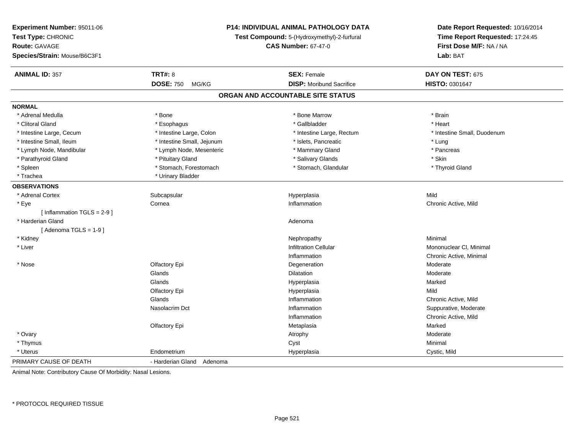| Experiment Number: 95011-06<br>Test Type: CHRONIC<br><b>Route: GAVAGE</b><br>Species/Strain: Mouse/B6C3F1 |                            | <b>P14: INDIVIDUAL ANIMAL PATHOLOGY DATA</b><br>Test Compound: 5-(Hydroxymethyl)-2-furfural<br><b>CAS Number: 67-47-0</b> | Date Report Requested: 10/16/2014<br>Time Report Requested: 17:24:45<br>First Dose M/F: NA / NA<br>Lab: BAT |
|-----------------------------------------------------------------------------------------------------------|----------------------------|---------------------------------------------------------------------------------------------------------------------------|-------------------------------------------------------------------------------------------------------------|
| <b>ANIMAL ID: 357</b>                                                                                     | <b>TRT#: 8</b>             | <b>SEX: Female</b>                                                                                                        | DAY ON TEST: 675                                                                                            |
|                                                                                                           | <b>DOSE: 750</b><br>MG/KG  | <b>DISP: Moribund Sacrifice</b>                                                                                           | HISTO: 0301647                                                                                              |
|                                                                                                           |                            | ORGAN AND ACCOUNTABLE SITE STATUS                                                                                         |                                                                                                             |
| <b>NORMAL</b>                                                                                             |                            |                                                                                                                           |                                                                                                             |
| * Adrenal Medulla                                                                                         | * Bone                     | * Bone Marrow                                                                                                             | * Brain                                                                                                     |
| * Clitoral Gland                                                                                          | * Esophagus                | * Gallbladder                                                                                                             | * Heart                                                                                                     |
| * Intestine Large, Cecum                                                                                  | * Intestine Large, Colon   | * Intestine Large, Rectum                                                                                                 | * Intestine Small, Duodenum                                                                                 |
| * Intestine Small, Ileum                                                                                  | * Intestine Small, Jejunum | * Islets, Pancreatic                                                                                                      | * Lung                                                                                                      |
| * Lymph Node, Mandibular                                                                                  | * Lymph Node, Mesenteric   | * Mammary Gland                                                                                                           | * Pancreas                                                                                                  |
| * Parathyroid Gland                                                                                       | * Pituitary Gland          | * Salivary Glands                                                                                                         | * Skin                                                                                                      |
| * Spleen                                                                                                  | * Stomach, Forestomach     | * Stomach, Glandular                                                                                                      | * Thyroid Gland                                                                                             |
| * Trachea                                                                                                 | * Urinary Bladder          |                                                                                                                           |                                                                                                             |
| <b>OBSERVATIONS</b>                                                                                       |                            |                                                                                                                           |                                                                                                             |
| * Adrenal Cortex                                                                                          | Subcapsular                | Hyperplasia                                                                                                               | Mild                                                                                                        |
| * Eye                                                                                                     | Cornea                     | Inflammation                                                                                                              | Chronic Active, Mild                                                                                        |
| [Inflammation TGLS = $2-9$ ]                                                                              |                            |                                                                                                                           |                                                                                                             |
| * Harderian Gland                                                                                         |                            | Adenoma                                                                                                                   |                                                                                                             |
| [Adenoma TGLS = $1-9$ ]                                                                                   |                            |                                                                                                                           |                                                                                                             |
| * Kidney                                                                                                  |                            | Nephropathy                                                                                                               | Minimal                                                                                                     |
| * Liver                                                                                                   |                            | <b>Infiltration Cellular</b>                                                                                              | Mononuclear CI, Minimal                                                                                     |
|                                                                                                           |                            | Inflammation                                                                                                              | Chronic Active, Minimal                                                                                     |
| * Nose                                                                                                    | Olfactory Epi              | Degeneration                                                                                                              | Moderate                                                                                                    |
|                                                                                                           | Glands                     | Dilatation                                                                                                                | Moderate                                                                                                    |
|                                                                                                           | Glands                     | Hyperplasia                                                                                                               | Marked                                                                                                      |
|                                                                                                           | Olfactory Epi              | Hyperplasia                                                                                                               | Mild                                                                                                        |
|                                                                                                           | Glands                     | Inflammation                                                                                                              | Chronic Active, Mild                                                                                        |
|                                                                                                           | Nasolacrim Dct             | Inflammation                                                                                                              | Suppurative, Moderate                                                                                       |
|                                                                                                           |                            | Inflammation                                                                                                              | Chronic Active, Mild                                                                                        |
|                                                                                                           | Olfactory Epi              | Metaplasia                                                                                                                | Marked                                                                                                      |
| * Ovary                                                                                                   |                            | Atrophy                                                                                                                   | Moderate                                                                                                    |
| * Thymus                                                                                                  |                            | Cyst                                                                                                                      | Minimal                                                                                                     |
| * Uterus                                                                                                  | Endometrium                | Hyperplasia                                                                                                               | Cystic, Mild                                                                                                |
| PRIMARY CAUSE OF DEATH                                                                                    | - Harderian Gland Adenoma  |                                                                                                                           |                                                                                                             |

Animal Note: Contributory Cause Of Morbidity: Nasal Lesions.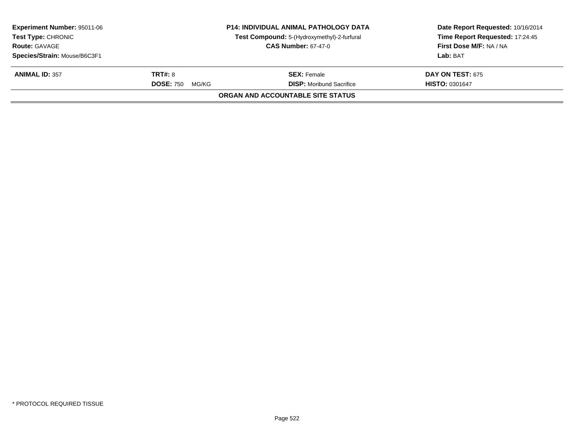| <b>Experiment Number: 95011-06</b><br><b>Test Type: CHRONIC</b><br><b>Route: GAVAGE</b> |                                             | <b>P14: INDIVIDUAL ANIMAL PATHOLOGY DATA</b><br>Test Compound: 5-(Hydroxymethyl)-2-furfural<br><b>CAS Number: 67-47-0</b> | Date Report Requested: 10/16/2014<br>Time Report Requested: 17:24:45<br>First Dose M/F: NA / NA |
|-----------------------------------------------------------------------------------------|---------------------------------------------|---------------------------------------------------------------------------------------------------------------------------|-------------------------------------------------------------------------------------------------|
| Species/Strain: Mouse/B6C3F1                                                            |                                             |                                                                                                                           | Lab: BAT                                                                                        |
| <b>ANIMAL ID: 357</b>                                                                   | <b>TRT#: 8</b><br><b>DOSE: 750</b><br>MG/KG | <b>SEX: Female</b><br><b>DISP:</b> Moribund Sacrifice                                                                     | <b>DAY ON TEST: 675</b><br><b>HISTO: 0301647</b>                                                |
|                                                                                         |                                             | ORGAN AND ACCOUNTABLE SITE STATUS                                                                                         |                                                                                                 |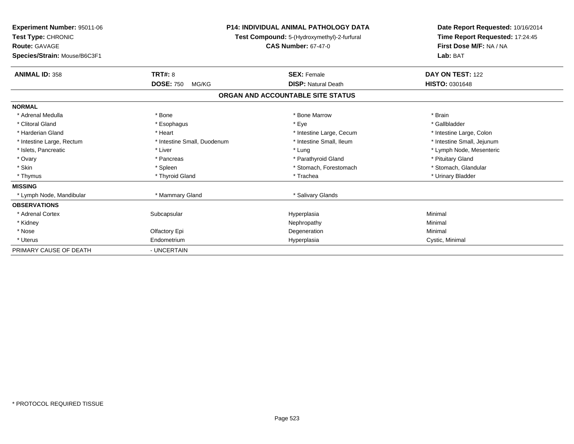| <b>Experiment Number: 95011-06</b><br>Test Type: CHRONIC<br><b>Route: GAVAGE</b><br>Species/Strain: Mouse/B6C3F1 |                             | <b>P14: INDIVIDUAL ANIMAL PATHOLOGY DATA</b><br>Test Compound: 5-(Hydroxymethyl)-2-furfural<br><b>CAS Number: 67-47-0</b> | Date Report Requested: 10/16/2014<br>Time Report Requested: 17:24:45<br>First Dose M/F: NA / NA<br>Lab: BAT |  |
|------------------------------------------------------------------------------------------------------------------|-----------------------------|---------------------------------------------------------------------------------------------------------------------------|-------------------------------------------------------------------------------------------------------------|--|
| <b>ANIMAL ID: 358</b>                                                                                            | TRT#: 8                     | <b>SEX: Female</b>                                                                                                        | DAY ON TEST: 122                                                                                            |  |
|                                                                                                                  | <b>DOSE: 750</b><br>MG/KG   | <b>DISP: Natural Death</b>                                                                                                | <b>HISTO: 0301648</b>                                                                                       |  |
|                                                                                                                  |                             | ORGAN AND ACCOUNTABLE SITE STATUS                                                                                         |                                                                                                             |  |
| <b>NORMAL</b>                                                                                                    |                             |                                                                                                                           |                                                                                                             |  |
| * Adrenal Medulla                                                                                                | * Bone                      | * Bone Marrow                                                                                                             | * Brain                                                                                                     |  |
| * Clitoral Gland                                                                                                 | * Esophagus                 | * Eye                                                                                                                     | * Gallbladder                                                                                               |  |
| * Harderian Gland                                                                                                | * Heart                     | * Intestine Large, Cecum                                                                                                  | * Intestine Large, Colon                                                                                    |  |
| * Intestine Large, Rectum                                                                                        | * Intestine Small, Duodenum | * Intestine Small, Ileum                                                                                                  | * Intestine Small, Jejunum                                                                                  |  |
| * Islets, Pancreatic                                                                                             | * Liver                     | * Lung                                                                                                                    | * Lymph Node, Mesenteric                                                                                    |  |
| * Ovary                                                                                                          | * Pancreas                  | * Parathyroid Gland                                                                                                       | * Pituitary Gland                                                                                           |  |
| * Skin                                                                                                           | * Spleen                    | * Stomach, Forestomach                                                                                                    | * Stomach, Glandular                                                                                        |  |
| * Thymus                                                                                                         | * Thyroid Gland             | * Trachea                                                                                                                 | * Urinary Bladder                                                                                           |  |
| <b>MISSING</b>                                                                                                   |                             |                                                                                                                           |                                                                                                             |  |
| * Lymph Node, Mandibular                                                                                         | * Mammary Gland             | * Salivary Glands                                                                                                         |                                                                                                             |  |
| <b>OBSERVATIONS</b>                                                                                              |                             |                                                                                                                           |                                                                                                             |  |
| * Adrenal Cortex                                                                                                 | Subcapsular                 | Hyperplasia                                                                                                               | Minimal                                                                                                     |  |
| * Kidney                                                                                                         |                             | Nephropathy                                                                                                               | Minimal                                                                                                     |  |
| * Nose                                                                                                           | Olfactory Epi               | Degeneration                                                                                                              | Minimal                                                                                                     |  |
| * Uterus                                                                                                         | Endometrium                 | Hyperplasia                                                                                                               | Cystic, Minimal                                                                                             |  |
| PRIMARY CAUSE OF DEATH                                                                                           | - UNCERTAIN                 |                                                                                                                           |                                                                                                             |  |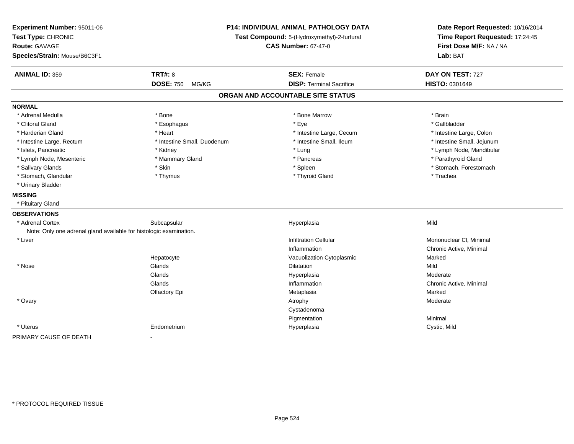| Experiment Number: 95011-06<br>Test Type: CHRONIC<br><b>Route: GAVAGE</b><br>Species/Strain: Mouse/B6C3F1 | P14: INDIVIDUAL ANIMAL PATHOLOGY DATA<br>Test Compound: 5-(Hydroxymethyl)-2-furfural<br><b>CAS Number: 67-47-0</b> |                                   | Date Report Requested: 10/16/2014<br>Time Report Requested: 17:24:45<br>First Dose M/F: NA / NA<br>Lab: BAT |  |
|-----------------------------------------------------------------------------------------------------------|--------------------------------------------------------------------------------------------------------------------|-----------------------------------|-------------------------------------------------------------------------------------------------------------|--|
| <b>ANIMAL ID: 359</b>                                                                                     | <b>TRT#: 8</b>                                                                                                     | <b>SEX: Female</b>                | DAY ON TEST: 727                                                                                            |  |
|                                                                                                           | <b>DOSE: 750</b><br>MG/KG                                                                                          | <b>DISP: Terminal Sacrifice</b>   | HISTO: 0301649                                                                                              |  |
|                                                                                                           |                                                                                                                    | ORGAN AND ACCOUNTABLE SITE STATUS |                                                                                                             |  |
| <b>NORMAL</b>                                                                                             |                                                                                                                    |                                   |                                                                                                             |  |
| * Adrenal Medulla                                                                                         | * Bone                                                                                                             | * Bone Marrow                     | * Brain                                                                                                     |  |
| * Clitoral Gland                                                                                          | * Esophagus                                                                                                        | * Eye                             | * Gallbladder                                                                                               |  |
| * Harderian Gland                                                                                         | * Heart                                                                                                            | * Intestine Large, Cecum          | * Intestine Large, Colon                                                                                    |  |
| * Intestine Large, Rectum                                                                                 | * Intestine Small, Duodenum                                                                                        | * Intestine Small, Ileum          | * Intestine Small, Jejunum                                                                                  |  |
| * Islets, Pancreatic                                                                                      | * Kidney                                                                                                           | * Lung                            | * Lymph Node, Mandibular                                                                                    |  |
| * Lymph Node, Mesenteric                                                                                  | * Mammary Gland                                                                                                    | * Pancreas                        | * Parathyroid Gland                                                                                         |  |
| * Salivary Glands                                                                                         | * Skin                                                                                                             | * Spleen                          | * Stomach, Forestomach                                                                                      |  |
| * Stomach, Glandular                                                                                      | * Thymus                                                                                                           | * Thyroid Gland                   | * Trachea                                                                                                   |  |
| * Urinary Bladder                                                                                         |                                                                                                                    |                                   |                                                                                                             |  |
| <b>MISSING</b>                                                                                            |                                                                                                                    |                                   |                                                                                                             |  |
| * Pituitary Gland                                                                                         |                                                                                                                    |                                   |                                                                                                             |  |
| <b>OBSERVATIONS</b>                                                                                       |                                                                                                                    |                                   |                                                                                                             |  |
| * Adrenal Cortex                                                                                          | Subcapsular                                                                                                        | Hyperplasia                       | Mild                                                                                                        |  |
| Note: Only one adrenal gland available for histologic examination.                                        |                                                                                                                    |                                   |                                                                                                             |  |
| * Liver                                                                                                   |                                                                                                                    | <b>Infiltration Cellular</b>      | Mononuclear CI, Minimal                                                                                     |  |
|                                                                                                           |                                                                                                                    | Inflammation                      | Chronic Active, Minimal                                                                                     |  |
|                                                                                                           | Hepatocyte                                                                                                         | Vacuolization Cytoplasmic         | Marked                                                                                                      |  |
| * Nose                                                                                                    | Glands                                                                                                             | <b>Dilatation</b>                 | Mild                                                                                                        |  |
|                                                                                                           | Glands                                                                                                             | Hyperplasia                       | Moderate                                                                                                    |  |
|                                                                                                           | Glands                                                                                                             | Inflammation                      | Chronic Active, Minimal                                                                                     |  |
|                                                                                                           | Olfactory Epi                                                                                                      | Metaplasia                        | Marked                                                                                                      |  |
| * Ovary                                                                                                   |                                                                                                                    | Atrophy                           | Moderate                                                                                                    |  |
|                                                                                                           |                                                                                                                    | Cystadenoma                       |                                                                                                             |  |
|                                                                                                           |                                                                                                                    | Pigmentation                      | Minimal                                                                                                     |  |
| * Uterus                                                                                                  | Endometrium                                                                                                        | Hyperplasia                       | Cystic, Mild                                                                                                |  |
| PRIMARY CAUSE OF DEATH                                                                                    |                                                                                                                    |                                   |                                                                                                             |  |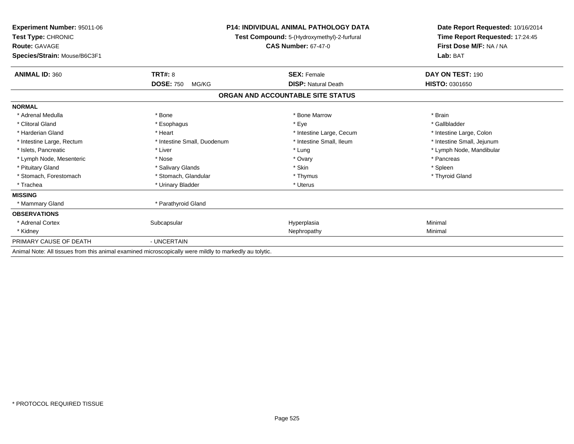| <b>Experiment Number: 95011-06</b><br>Test Type: CHRONIC<br><b>Route: GAVAGE</b><br>Species/Strain: Mouse/B6C3F1 | P14: INDIVIDUAL ANIMAL PATHOLOGY DATA<br>Test Compound: 5-(Hydroxymethyl)-2-furfural<br><b>CAS Number: 67-47-0</b> |                                   | Date Report Requested: 10/16/2014<br>Time Report Requested: 17:24:45<br>First Dose M/F: NA / NA<br>Lab: BAT |
|------------------------------------------------------------------------------------------------------------------|--------------------------------------------------------------------------------------------------------------------|-----------------------------------|-------------------------------------------------------------------------------------------------------------|
| <b>ANIMAL ID: 360</b>                                                                                            | <b>TRT#: 8</b>                                                                                                     | <b>SEX: Female</b>                | <b>DAY ON TEST: 190</b>                                                                                     |
|                                                                                                                  | <b>DOSE: 750</b><br>MG/KG                                                                                          | <b>DISP: Natural Death</b>        | <b>HISTO: 0301650</b>                                                                                       |
|                                                                                                                  |                                                                                                                    | ORGAN AND ACCOUNTABLE SITE STATUS |                                                                                                             |
| <b>NORMAL</b>                                                                                                    |                                                                                                                    |                                   |                                                                                                             |
| * Adrenal Medulla                                                                                                | * Bone                                                                                                             | * Bone Marrow                     | * Brain                                                                                                     |
| * Clitoral Gland                                                                                                 | * Esophagus                                                                                                        | * Eye                             | * Gallbladder                                                                                               |
| * Harderian Gland                                                                                                | * Heart                                                                                                            | * Intestine Large, Cecum          | * Intestine Large, Colon                                                                                    |
| * Intestine Large, Rectum                                                                                        | * Intestine Small, Duodenum                                                                                        | * Intestine Small, Ileum          | * Intestine Small, Jejunum                                                                                  |
| * Islets, Pancreatic                                                                                             | * Liver                                                                                                            | * Lung                            | * Lymph Node, Mandibular                                                                                    |
| * Lymph Node, Mesenteric                                                                                         | * Nose                                                                                                             | * Ovary                           | * Pancreas                                                                                                  |
| * Pituitary Gland                                                                                                | * Salivary Glands                                                                                                  | * Skin                            | * Spleen                                                                                                    |
| * Stomach, Forestomach                                                                                           | * Stomach, Glandular                                                                                               | * Thymus                          | * Thyroid Gland                                                                                             |
| * Trachea                                                                                                        | * Urinary Bladder                                                                                                  | * Uterus                          |                                                                                                             |
| <b>MISSING</b>                                                                                                   |                                                                                                                    |                                   |                                                                                                             |
| * Mammary Gland                                                                                                  | * Parathyroid Gland                                                                                                |                                   |                                                                                                             |
| <b>OBSERVATIONS</b>                                                                                              |                                                                                                                    |                                   |                                                                                                             |
| * Adrenal Cortex                                                                                                 | Subcapsular                                                                                                        | Hyperplasia                       | Minimal                                                                                                     |
| * Kidney                                                                                                         |                                                                                                                    | Nephropathy                       | Minimal                                                                                                     |
| PRIMARY CAUSE OF DEATH                                                                                           | - UNCERTAIN                                                                                                        |                                   |                                                                                                             |
|                                                                                                                  | Animal Note: All tissues from this animal examined microscopically were mildly to markedly au tolytic.             |                                   |                                                                                                             |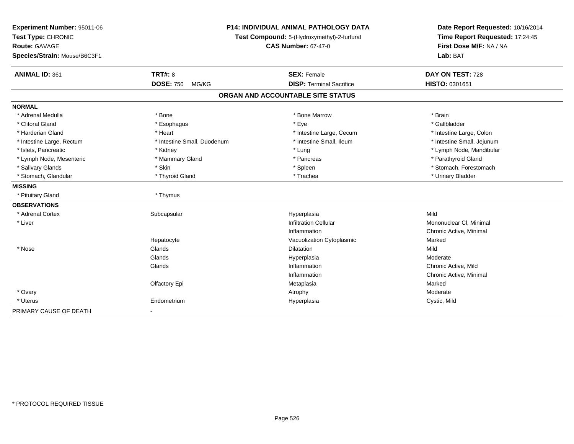| Experiment Number: 95011-06<br>Test Type: CHRONIC<br>Route: GAVAGE<br>Species/Strain: Mouse/B6C3F1 |                             | <b>P14: INDIVIDUAL ANIMAL PATHOLOGY DATA</b><br>Test Compound: 5-(Hydroxymethyl)-2-furfural<br><b>CAS Number: 67-47-0</b> | Date Report Requested: 10/16/2014<br>Time Report Requested: 17:24:45<br>First Dose M/F: NA / NA<br>Lab: BAT |  |
|----------------------------------------------------------------------------------------------------|-----------------------------|---------------------------------------------------------------------------------------------------------------------------|-------------------------------------------------------------------------------------------------------------|--|
| <b>ANIMAL ID: 361</b>                                                                              | <b>TRT#: 8</b>              | <b>SEX: Female</b>                                                                                                        | DAY ON TEST: 728                                                                                            |  |
|                                                                                                    | <b>DOSE: 750</b><br>MG/KG   | <b>DISP: Terminal Sacrifice</b>                                                                                           | HISTO: 0301651                                                                                              |  |
|                                                                                                    |                             | ORGAN AND ACCOUNTABLE SITE STATUS                                                                                         |                                                                                                             |  |
| <b>NORMAL</b>                                                                                      |                             |                                                                                                                           |                                                                                                             |  |
| * Adrenal Medulla                                                                                  | * Bone                      | * Bone Marrow                                                                                                             | * Brain                                                                                                     |  |
| * Clitoral Gland                                                                                   | * Esophagus                 | * Eye                                                                                                                     | * Gallbladder                                                                                               |  |
| * Harderian Gland                                                                                  | * Heart                     | * Intestine Large, Cecum                                                                                                  | * Intestine Large, Colon                                                                                    |  |
| * Intestine Large, Rectum                                                                          | * Intestine Small, Duodenum | * Intestine Small, Ileum                                                                                                  | * Intestine Small, Jejunum                                                                                  |  |
| * Islets. Pancreatic                                                                               | * Kidney                    | * Lung                                                                                                                    | * Lymph Node, Mandibular                                                                                    |  |
| * Lymph Node, Mesenteric                                                                           | * Mammary Gland             | * Pancreas                                                                                                                | * Parathyroid Gland                                                                                         |  |
| * Salivary Glands                                                                                  | * Skin                      | * Spleen                                                                                                                  | * Stomach, Forestomach                                                                                      |  |
| * Stomach, Glandular                                                                               | * Thyroid Gland             | * Trachea                                                                                                                 | * Urinary Bladder                                                                                           |  |
| <b>MISSING</b>                                                                                     |                             |                                                                                                                           |                                                                                                             |  |
| * Pituitary Gland                                                                                  | * Thymus                    |                                                                                                                           |                                                                                                             |  |
| <b>OBSERVATIONS</b>                                                                                |                             |                                                                                                                           |                                                                                                             |  |
| * Adrenal Cortex                                                                                   | Subcapsular                 | Hyperplasia                                                                                                               | Mild                                                                                                        |  |
| * Liver                                                                                            |                             | <b>Infiltration Cellular</b>                                                                                              | Mononuclear CI, Minimal                                                                                     |  |
|                                                                                                    |                             | Inflammation                                                                                                              | Chronic Active, Minimal                                                                                     |  |
|                                                                                                    | Hepatocyte                  | Vacuolization Cytoplasmic                                                                                                 | Marked                                                                                                      |  |
| * Nose                                                                                             | Glands                      | Dilatation                                                                                                                | Mild                                                                                                        |  |
|                                                                                                    | Glands                      | Hyperplasia                                                                                                               | Moderate                                                                                                    |  |
|                                                                                                    | Glands                      | Inflammation                                                                                                              | Chronic Active, Mild                                                                                        |  |
|                                                                                                    |                             | Inflammation                                                                                                              | Chronic Active, Minimal                                                                                     |  |
|                                                                                                    | Olfactory Epi               | Metaplasia                                                                                                                | Marked                                                                                                      |  |
| * Ovary                                                                                            |                             | Atrophy                                                                                                                   | Moderate                                                                                                    |  |
| * Uterus                                                                                           | Endometrium                 | Hyperplasia                                                                                                               | Cystic, Mild                                                                                                |  |
| PRIMARY CAUSE OF DEATH                                                                             |                             |                                                                                                                           |                                                                                                             |  |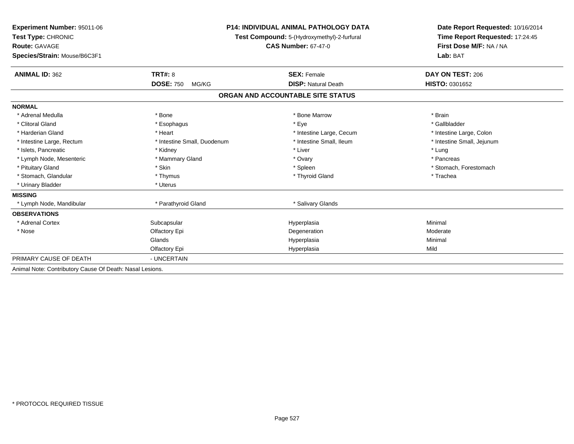| <b>Experiment Number: 95011-06</b><br>Test Type: CHRONIC<br><b>Route: GAVAGE</b><br>Species/Strain: Mouse/B6C3F1 |                                             | <b>P14: INDIVIDUAL ANIMAL PATHOLOGY DATA</b><br>Test Compound: 5-(Hydroxymethyl)-2-furfural<br><b>CAS Number: 67-47-0</b> | Date Report Requested: 10/16/2014<br>Time Report Requested: 17:24:45<br>First Dose M/F: NA / NA<br>Lab: BAT |
|------------------------------------------------------------------------------------------------------------------|---------------------------------------------|---------------------------------------------------------------------------------------------------------------------------|-------------------------------------------------------------------------------------------------------------|
|                                                                                                                  |                                             |                                                                                                                           |                                                                                                             |
| <b>ANIMAL ID: 362</b>                                                                                            | <b>TRT#: 8</b><br><b>DOSE: 750</b><br>MG/KG | <b>SEX: Female</b><br><b>DISP: Natural Death</b>                                                                          | DAY ON TEST: 206<br>HISTO: 0301652                                                                          |
|                                                                                                                  |                                             | ORGAN AND ACCOUNTABLE SITE STATUS                                                                                         |                                                                                                             |
| <b>NORMAL</b>                                                                                                    |                                             |                                                                                                                           |                                                                                                             |
| * Adrenal Medulla                                                                                                | * Bone                                      | * Bone Marrow                                                                                                             | * Brain                                                                                                     |
| * Clitoral Gland                                                                                                 | * Esophagus                                 | * Eye                                                                                                                     | * Gallbladder                                                                                               |
| * Harderian Gland                                                                                                | * Heart                                     | * Intestine Large, Cecum                                                                                                  | * Intestine Large, Colon                                                                                    |
| * Intestine Large, Rectum                                                                                        | * Intestine Small, Duodenum                 | * Intestine Small. Ileum                                                                                                  | * Intestine Small, Jejunum                                                                                  |
| * Islets, Pancreatic                                                                                             | * Kidney                                    | * Liver                                                                                                                   | * Lung                                                                                                      |
| * Lymph Node, Mesenteric                                                                                         | * Mammary Gland                             | * Ovary                                                                                                                   | * Pancreas                                                                                                  |
| * Pituitary Gland                                                                                                | * Skin                                      | * Spleen                                                                                                                  | * Stomach, Forestomach                                                                                      |
| * Stomach, Glandular                                                                                             | * Thymus                                    | * Thyroid Gland                                                                                                           | * Trachea                                                                                                   |
| * Urinary Bladder                                                                                                | * Uterus                                    |                                                                                                                           |                                                                                                             |
| <b>MISSING</b>                                                                                                   |                                             |                                                                                                                           |                                                                                                             |
| * Lymph Node, Mandibular                                                                                         | * Parathyroid Gland                         | * Salivary Glands                                                                                                         |                                                                                                             |
| <b>OBSERVATIONS</b>                                                                                              |                                             |                                                                                                                           |                                                                                                             |
| * Adrenal Cortex                                                                                                 | Subcapsular                                 | Hyperplasia                                                                                                               | Minimal                                                                                                     |
| * Nose                                                                                                           | Olfactory Epi                               | Degeneration                                                                                                              | Moderate                                                                                                    |
|                                                                                                                  | Glands                                      | Hyperplasia                                                                                                               | Minimal                                                                                                     |
|                                                                                                                  | Olfactory Epi                               | Hyperplasia                                                                                                               | Mild                                                                                                        |
| PRIMARY CAUSE OF DEATH                                                                                           | - UNCERTAIN                                 |                                                                                                                           |                                                                                                             |
| Animal Note: Contributory Cause Of Death: Nasal Lesions.                                                         |                                             |                                                                                                                           |                                                                                                             |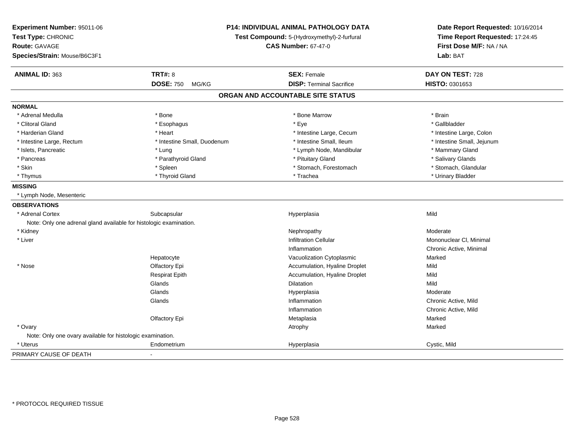| Experiment Number: 95011-06<br>Test Type: CHRONIC<br><b>Route: GAVAGE</b><br>Species/Strain: Mouse/B6C3F1 |                             | P14: INDIVIDUAL ANIMAL PATHOLOGY DATA<br>Test Compound: 5-(Hydroxymethyl)-2-furfural<br><b>CAS Number: 67-47-0</b> |                            |
|-----------------------------------------------------------------------------------------------------------|-----------------------------|--------------------------------------------------------------------------------------------------------------------|----------------------------|
|                                                                                                           |                             |                                                                                                                    | Lab: BAT                   |
| ANIMAL ID: 363                                                                                            | <b>TRT#: 8</b>              | <b>SEX: Female</b>                                                                                                 | DAY ON TEST: 728           |
|                                                                                                           | <b>DOSE: 750</b><br>MG/KG   | <b>DISP: Terminal Sacrifice</b>                                                                                    | HISTO: 0301653             |
|                                                                                                           |                             | ORGAN AND ACCOUNTABLE SITE STATUS                                                                                  |                            |
| <b>NORMAL</b>                                                                                             |                             |                                                                                                                    |                            |
| * Adrenal Medulla                                                                                         | * Bone                      | * Bone Marrow                                                                                                      | * Brain                    |
| * Clitoral Gland                                                                                          | * Esophagus                 | * Eye                                                                                                              | * Gallbladder              |
| * Harderian Gland                                                                                         | * Heart                     | * Intestine Large, Cecum                                                                                           | * Intestine Large, Colon   |
| * Intestine Large, Rectum                                                                                 | * Intestine Small, Duodenum | * Intestine Small, Ileum                                                                                           | * Intestine Small, Jejunum |
| * Islets, Pancreatic                                                                                      | * Lung                      | * Lymph Node, Mandibular                                                                                           | * Mammary Gland            |
| * Pancreas                                                                                                | * Parathyroid Gland         | * Pituitary Gland                                                                                                  | * Salivary Glands          |
| * Skin                                                                                                    | * Spleen                    | * Stomach, Forestomach                                                                                             | * Stomach, Glandular       |
| * Thymus                                                                                                  | * Thyroid Gland             | * Trachea                                                                                                          | * Urinary Bladder          |
| <b>MISSING</b>                                                                                            |                             |                                                                                                                    |                            |
| * Lymph Node, Mesenteric                                                                                  |                             |                                                                                                                    |                            |
| <b>OBSERVATIONS</b>                                                                                       |                             |                                                                                                                    |                            |
| * Adrenal Cortex                                                                                          | Subcapsular                 | Hyperplasia                                                                                                        | Mild                       |
| Note: Only one adrenal gland available for histologic examination.                                        |                             |                                                                                                                    |                            |
| * Kidney                                                                                                  |                             | Nephropathy                                                                                                        | Moderate                   |
| * Liver                                                                                                   |                             | <b>Infiltration Cellular</b>                                                                                       | Mononuclear CI, Minimal    |
|                                                                                                           |                             | Inflammation                                                                                                       | Chronic Active, Minimal    |
|                                                                                                           | Hepatocyte                  | Vacuolization Cytoplasmic                                                                                          | Marked                     |
| * Nose                                                                                                    | Olfactory Epi               | Accumulation, Hyaline Droplet                                                                                      | Mild                       |
|                                                                                                           | <b>Respirat Epith</b>       | Accumulation, Hyaline Droplet                                                                                      | Mild                       |
|                                                                                                           | Glands                      | Dilatation                                                                                                         | Mild                       |
|                                                                                                           | Glands                      | Hyperplasia                                                                                                        | Moderate                   |
|                                                                                                           | Glands                      | Inflammation                                                                                                       | Chronic Active, Mild       |
|                                                                                                           |                             | Inflammation                                                                                                       | Chronic Active, Mild       |
|                                                                                                           | Olfactory Epi               | Metaplasia                                                                                                         | Marked                     |
| * Ovary                                                                                                   |                             | Atrophy                                                                                                            | Marked                     |
| Note: Only one ovary available for histologic examination.                                                |                             |                                                                                                                    |                            |
| * Uterus                                                                                                  | Endometrium                 | Hyperplasia                                                                                                        | Cystic, Mild               |
| PRIMARY CAUSE OF DEATH                                                                                    |                             |                                                                                                                    |                            |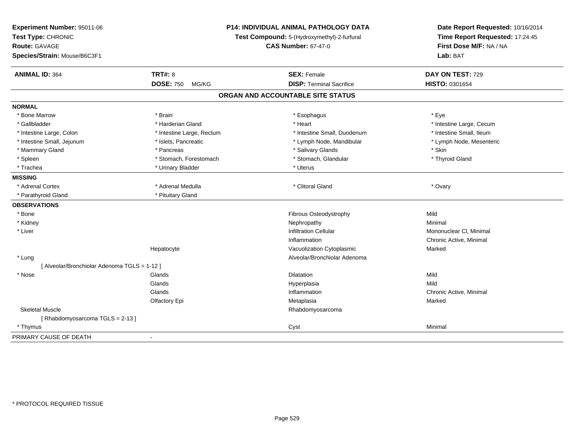| Experiment Number: 95011-06<br>Test Type: CHRONIC<br><b>Route: GAVAGE</b> |                           | P14: INDIVIDUAL ANIMAL PATHOLOGY DATA<br>Test Compound: 5-(Hydroxymethyl)-2-furfural<br><b>CAS Number: 67-47-0</b> | Date Report Requested: 10/16/2014<br>Time Report Requested: 17:24:45<br>First Dose M/F: NA / NA |
|---------------------------------------------------------------------------|---------------------------|--------------------------------------------------------------------------------------------------------------------|-------------------------------------------------------------------------------------------------|
| Species/Strain: Mouse/B6C3F1                                              |                           |                                                                                                                    | Lab: BAT                                                                                        |
| <b>ANIMAL ID: 364</b>                                                     | <b>TRT#: 8</b>            | <b>SEX: Female</b>                                                                                                 | DAY ON TEST: 729                                                                                |
|                                                                           | <b>DOSE: 750</b><br>MG/KG | <b>DISP: Terminal Sacrifice</b>                                                                                    | HISTO: 0301654                                                                                  |
|                                                                           |                           | ORGAN AND ACCOUNTABLE SITE STATUS                                                                                  |                                                                                                 |
| <b>NORMAL</b>                                                             |                           |                                                                                                                    |                                                                                                 |
| * Bone Marrow                                                             | * Brain                   | * Esophagus                                                                                                        | * Eye                                                                                           |
| * Gallbladder                                                             | * Harderian Gland         | * Heart                                                                                                            | * Intestine Large, Cecum                                                                        |
| * Intestine Large, Colon                                                  | * Intestine Large, Rectum | * Intestine Small, Duodenum                                                                                        | * Intestine Small, Ileum                                                                        |
| * Intestine Small, Jejunum                                                | * Islets, Pancreatic      | * Lymph Node, Mandibular                                                                                           | * Lymph Node, Mesenteric                                                                        |
| * Mammary Gland                                                           | * Pancreas                | * Salivary Glands                                                                                                  | * Skin                                                                                          |
| * Spleen                                                                  | * Stomach, Forestomach    | * Stomach, Glandular                                                                                               | * Thyroid Gland                                                                                 |
| * Trachea                                                                 | * Urinary Bladder         | * Uterus                                                                                                           |                                                                                                 |
| <b>MISSING</b>                                                            |                           |                                                                                                                    |                                                                                                 |
| * Adrenal Cortex                                                          | * Adrenal Medulla         | * Clitoral Gland                                                                                                   | * Ovary                                                                                         |
| * Parathyroid Gland                                                       | * Pituitary Gland         |                                                                                                                    |                                                                                                 |
| <b>OBSERVATIONS</b>                                                       |                           |                                                                                                                    |                                                                                                 |
| * Bone                                                                    |                           | Fibrous Osteodystrophy                                                                                             | Mild                                                                                            |
| * Kidney                                                                  |                           | Nephropathy                                                                                                        | Minimal                                                                                         |
| * Liver                                                                   |                           | <b>Infiltration Cellular</b>                                                                                       | Mononuclear CI, Minimal                                                                         |
|                                                                           |                           | Inflammation                                                                                                       | Chronic Active, Minimal                                                                         |
|                                                                           | Hepatocyte                | Vacuolization Cytoplasmic                                                                                          | Marked                                                                                          |
| * Lung                                                                    |                           | Alveolar/Bronchiolar Adenoma                                                                                       |                                                                                                 |
| [ Alveolar/Bronchiolar Adenoma TGLS = 1-12 ]                              |                           |                                                                                                                    |                                                                                                 |
| * Nose                                                                    | Glands                    | <b>Dilatation</b>                                                                                                  | Mild                                                                                            |
|                                                                           | Glands                    | Hyperplasia                                                                                                        | Mild                                                                                            |
|                                                                           | Glands                    | Inflammation                                                                                                       | Chronic Active, Minimal                                                                         |
|                                                                           | Olfactory Epi             | Metaplasia                                                                                                         | Marked                                                                                          |
| <b>Skeletal Muscle</b>                                                    |                           | Rhabdomyosarcoma                                                                                                   |                                                                                                 |
| [Rhabdomyosarcoma TGLS = 2-13]                                            |                           |                                                                                                                    |                                                                                                 |
| * Thymus                                                                  |                           | Cyst                                                                                                               | Minimal                                                                                         |
| PRIMARY CAUSE OF DEATH                                                    |                           |                                                                                                                    |                                                                                                 |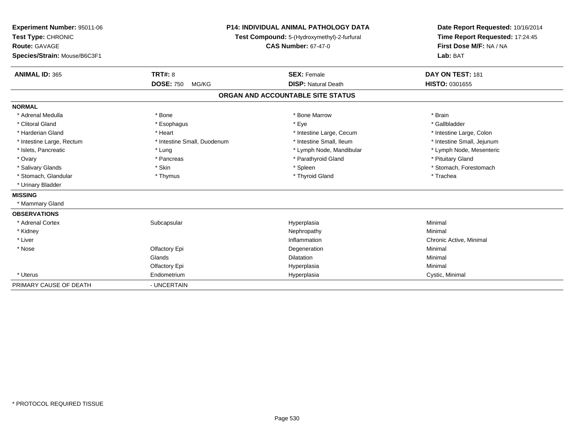| Experiment Number: 95011-06<br>Test Type: CHRONIC<br><b>Route: GAVAGE</b><br>Species/Strain: Mouse/B6C3F1 |                                             | <b>P14: INDIVIDUAL ANIMAL PATHOLOGY DATA</b><br>Test Compound: 5-(Hydroxymethyl)-2-furfural<br><b>CAS Number: 67-47-0</b> | Date Report Requested: 10/16/2014<br>Time Report Requested: 17:24:45<br>First Dose M/F: NA / NA<br>Lab: BAT |
|-----------------------------------------------------------------------------------------------------------|---------------------------------------------|---------------------------------------------------------------------------------------------------------------------------|-------------------------------------------------------------------------------------------------------------|
| <b>ANIMAL ID: 365</b>                                                                                     | <b>TRT#: 8</b><br><b>DOSE: 750</b><br>MG/KG | <b>SEX: Female</b><br><b>DISP: Natural Death</b>                                                                          | DAY ON TEST: 181<br>HISTO: 0301655                                                                          |
|                                                                                                           |                                             |                                                                                                                           |                                                                                                             |
|                                                                                                           |                                             | ORGAN AND ACCOUNTABLE SITE STATUS                                                                                         |                                                                                                             |
| <b>NORMAL</b>                                                                                             |                                             |                                                                                                                           |                                                                                                             |
| * Adrenal Medulla                                                                                         | * Bone                                      | * Bone Marrow                                                                                                             | * Brain                                                                                                     |
| * Clitoral Gland                                                                                          | * Esophagus                                 | * Eye                                                                                                                     | * Gallbladder                                                                                               |
| * Harderian Gland                                                                                         | * Heart                                     | * Intestine Large, Cecum                                                                                                  | * Intestine Large, Colon                                                                                    |
| * Intestine Large, Rectum                                                                                 | * Intestine Small, Duodenum                 | * Intestine Small, Ileum                                                                                                  | * Intestine Small, Jejunum                                                                                  |
| * Islets, Pancreatic                                                                                      | * Lung                                      | * Lymph Node, Mandibular                                                                                                  | * Lymph Node, Mesenteric                                                                                    |
| * Ovary                                                                                                   | * Pancreas                                  | * Parathyroid Gland                                                                                                       | * Pituitary Gland                                                                                           |
| * Salivary Glands                                                                                         | * Skin                                      | * Spleen                                                                                                                  | * Stomach, Forestomach                                                                                      |
| * Stomach, Glandular                                                                                      | * Thymus                                    | * Thyroid Gland                                                                                                           | * Trachea                                                                                                   |
| * Urinary Bladder                                                                                         |                                             |                                                                                                                           |                                                                                                             |
| <b>MISSING</b>                                                                                            |                                             |                                                                                                                           |                                                                                                             |
| * Mammary Gland                                                                                           |                                             |                                                                                                                           |                                                                                                             |
| <b>OBSERVATIONS</b>                                                                                       |                                             |                                                                                                                           |                                                                                                             |
| * Adrenal Cortex                                                                                          | Subcapsular                                 | Hyperplasia                                                                                                               | Minimal                                                                                                     |
| * Kidney                                                                                                  |                                             | Nephropathy                                                                                                               | Minimal                                                                                                     |
| * Liver                                                                                                   |                                             | Inflammation                                                                                                              | Chronic Active, Minimal                                                                                     |
| * Nose                                                                                                    | Olfactory Epi                               | Degeneration                                                                                                              | Minimal                                                                                                     |
|                                                                                                           | Glands                                      | <b>Dilatation</b>                                                                                                         | Minimal                                                                                                     |
|                                                                                                           | <b>Olfactory Epi</b>                        | Hyperplasia                                                                                                               | Minimal                                                                                                     |
| * Uterus                                                                                                  | Endometrium                                 | Hyperplasia                                                                                                               | Cystic, Minimal                                                                                             |
| PRIMARY CAUSE OF DEATH                                                                                    | - UNCERTAIN                                 |                                                                                                                           |                                                                                                             |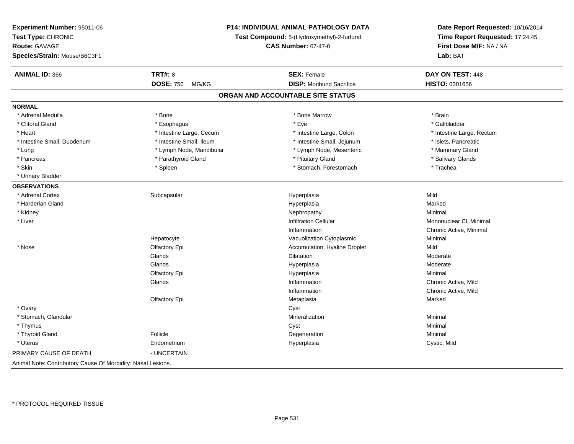| Experiment Number: 95011-06<br>Test Type: CHRONIC<br><b>Route: GAVAGE</b><br>Species/Strain: Mouse/B6C3F1 |                           | P14: INDIVIDUAL ANIMAL PATHOLOGY DATA<br>Test Compound: 5-(Hydroxymethyl)-2-furfural<br><b>CAS Number: 67-47-0</b> | Date Report Requested: 10/16/2014<br>Time Report Requested: 17:24:45<br>First Dose M/F: NA / NA<br>Lab: BAT |
|-----------------------------------------------------------------------------------------------------------|---------------------------|--------------------------------------------------------------------------------------------------------------------|-------------------------------------------------------------------------------------------------------------|
| <b>ANIMAL ID: 366</b>                                                                                     | <b>TRT#: 8</b>            | <b>SEX: Female</b>                                                                                                 | DAY ON TEST: 448                                                                                            |
|                                                                                                           | <b>DOSE: 750</b><br>MG/KG | <b>DISP:</b> Moribund Sacrifice                                                                                    | HISTO: 0301656                                                                                              |
|                                                                                                           |                           | ORGAN AND ACCOUNTABLE SITE STATUS                                                                                  |                                                                                                             |
| <b>NORMAL</b>                                                                                             |                           |                                                                                                                    |                                                                                                             |
| * Adrenal Medulla                                                                                         | * Bone                    | * Bone Marrow                                                                                                      | * Brain                                                                                                     |
| * Clitoral Gland                                                                                          | * Esophagus               | * Eye                                                                                                              | * Gallbladder                                                                                               |
| * Heart                                                                                                   | * Intestine Large, Cecum  | * Intestine Large, Colon                                                                                           | * Intestine Large, Rectum                                                                                   |
| * Intestine Small, Duodenum                                                                               | * Intestine Small, Ileum  | * Intestine Small, Jejunum                                                                                         | * Islets, Pancreatic                                                                                        |
| * Lung                                                                                                    | * Lymph Node, Mandibular  | * Lymph Node, Mesenteric                                                                                           | * Mammary Gland                                                                                             |
| * Pancreas                                                                                                | * Parathyroid Gland       | * Pituitary Gland                                                                                                  | * Salivary Glands                                                                                           |
| * Skin                                                                                                    | * Spleen                  | * Stomach, Forestomach                                                                                             | * Trachea                                                                                                   |
| * Urinary Bladder                                                                                         |                           |                                                                                                                    |                                                                                                             |
| <b>OBSERVATIONS</b>                                                                                       |                           |                                                                                                                    |                                                                                                             |
| * Adrenal Cortex                                                                                          | Subcapsular               | Hyperplasia                                                                                                        | Mild                                                                                                        |
| * Harderian Gland                                                                                         |                           | Hyperplasia                                                                                                        | Marked                                                                                                      |
| * Kidney                                                                                                  |                           | Nephropathy                                                                                                        | Minimal                                                                                                     |
| * Liver                                                                                                   |                           | <b>Infiltration Cellular</b>                                                                                       | Mononuclear CI, Minimal                                                                                     |
|                                                                                                           |                           | Inflammation                                                                                                       | Chronic Active, Minimal                                                                                     |
|                                                                                                           | Hepatocyte                | Vacuolization Cytoplasmic                                                                                          | Minimal                                                                                                     |
| * Nose                                                                                                    | Olfactory Epi             | Accumulation, Hyaline Droplet                                                                                      | Mild                                                                                                        |
|                                                                                                           | Glands                    | <b>Dilatation</b>                                                                                                  | Moderate                                                                                                    |
|                                                                                                           | Glands                    | Hyperplasia                                                                                                        | Moderate                                                                                                    |
|                                                                                                           | Olfactory Epi             | Hyperplasia                                                                                                        | Minimal                                                                                                     |
|                                                                                                           | Glands                    | Inflammation                                                                                                       | Chronic Active, Mild                                                                                        |
|                                                                                                           |                           | Inflammation                                                                                                       | Chronic Active, Mild                                                                                        |
|                                                                                                           | Olfactory Epi             | Metaplasia                                                                                                         | Marked                                                                                                      |
| * Ovary                                                                                                   |                           | Cyst                                                                                                               |                                                                                                             |
| * Stomach, Glandular                                                                                      |                           | Mineralization                                                                                                     | Minimal                                                                                                     |
| * Thymus                                                                                                  |                           | Cyst                                                                                                               | Minimal                                                                                                     |
| * Thyroid Gland                                                                                           | Follicle                  | Degeneration                                                                                                       | Minimal                                                                                                     |
| * Uterus                                                                                                  | Endometrium               | Hyperplasia                                                                                                        | Cystic, Mild                                                                                                |
| PRIMARY CAUSE OF DEATH                                                                                    | - UNCERTAIN               |                                                                                                                    |                                                                                                             |
| Animal Note: Contributory Cause Of Morbidity: Nasal Lesions.                                              |                           |                                                                                                                    |                                                                                                             |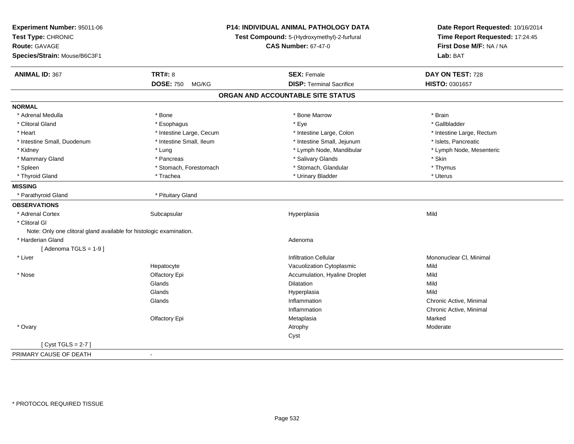| Experiment Number: 95011-06<br>Test Type: CHRONIC<br><b>Route: GAVAGE</b> |                           | P14: INDIVIDUAL ANIMAL PATHOLOGY DATA<br>Test Compound: 5-(Hydroxymethyl)-2-furfural<br><b>CAS Number: 67-47-0</b> | Date Report Requested: 10/16/2014<br>Time Report Requested: 17:24:45<br>First Dose M/F: NA / NA |
|---------------------------------------------------------------------------|---------------------------|--------------------------------------------------------------------------------------------------------------------|-------------------------------------------------------------------------------------------------|
| Species/Strain: Mouse/B6C3F1                                              |                           |                                                                                                                    | Lab: BAT                                                                                        |
| <b>ANIMAL ID: 367</b>                                                     | <b>TRT#: 8</b>            | <b>SEX: Female</b>                                                                                                 | DAY ON TEST: 728                                                                                |
|                                                                           | <b>DOSE: 750</b><br>MG/KG | <b>DISP: Terminal Sacrifice</b>                                                                                    | HISTO: 0301657                                                                                  |
|                                                                           |                           | ORGAN AND ACCOUNTABLE SITE STATUS                                                                                  |                                                                                                 |
| <b>NORMAL</b>                                                             |                           |                                                                                                                    |                                                                                                 |
| * Adrenal Medulla                                                         | * Bone                    | * Bone Marrow                                                                                                      | * Brain                                                                                         |
| * Clitoral Gland                                                          | * Esophagus               | * Eye                                                                                                              | * Gallbladder                                                                                   |
| * Heart                                                                   | * Intestine Large, Cecum  | * Intestine Large, Colon                                                                                           | * Intestine Large, Rectum                                                                       |
| * Intestine Small, Duodenum                                               | * Intestine Small, Ileum  | * Intestine Small, Jejunum                                                                                         | * Islets, Pancreatic                                                                            |
| * Kidney                                                                  | * Lung                    | * Lymph Node, Mandibular                                                                                           | * Lymph Node, Mesenteric                                                                        |
| * Mammary Gland                                                           | * Pancreas                | * Salivary Glands                                                                                                  | * Skin                                                                                          |
| * Spleen                                                                  | * Stomach, Forestomach    | * Stomach, Glandular                                                                                               | * Thymus                                                                                        |
| * Thyroid Gland                                                           | * Trachea                 | * Urinary Bladder                                                                                                  | * Uterus                                                                                        |
| <b>MISSING</b>                                                            |                           |                                                                                                                    |                                                                                                 |
| * Parathyroid Gland                                                       | * Pituitary Gland         |                                                                                                                    |                                                                                                 |
| <b>OBSERVATIONS</b>                                                       |                           |                                                                                                                    |                                                                                                 |
| * Adrenal Cortex                                                          | Subcapsular               | Hyperplasia                                                                                                        | Mild                                                                                            |
| * Clitoral GI                                                             |                           |                                                                                                                    |                                                                                                 |
| Note: Only one clitoral gland available for histologic examination.       |                           |                                                                                                                    |                                                                                                 |
| * Harderian Gland                                                         |                           | Adenoma                                                                                                            |                                                                                                 |
| [Adenoma TGLS = $1-9$ ]                                                   |                           |                                                                                                                    |                                                                                                 |
| * Liver                                                                   |                           | <b>Infiltration Cellular</b>                                                                                       | Mononuclear CI, Minimal                                                                         |
|                                                                           | Hepatocyte                | Vacuolization Cytoplasmic                                                                                          | Mild                                                                                            |
| * Nose                                                                    | Olfactory Epi             | Accumulation, Hyaline Droplet                                                                                      | Mild                                                                                            |
|                                                                           | Glands                    | Dilatation                                                                                                         | Mild                                                                                            |
|                                                                           | Glands                    | Hyperplasia                                                                                                        | Mild                                                                                            |
|                                                                           | Glands                    | Inflammation                                                                                                       | Chronic Active, Minimal                                                                         |
|                                                                           |                           | Inflammation                                                                                                       | Chronic Active, Minimal                                                                         |
|                                                                           | Olfactory Epi             | Metaplasia                                                                                                         | Marked                                                                                          |
| * Ovary                                                                   |                           | Atrophy                                                                                                            | Moderate                                                                                        |
|                                                                           |                           | Cyst                                                                                                               |                                                                                                 |
| [Cyst TGLS = $2-7$ ]                                                      |                           |                                                                                                                    |                                                                                                 |
| PRIMARY CAUSE OF DEATH                                                    | $\blacksquare$            |                                                                                                                    |                                                                                                 |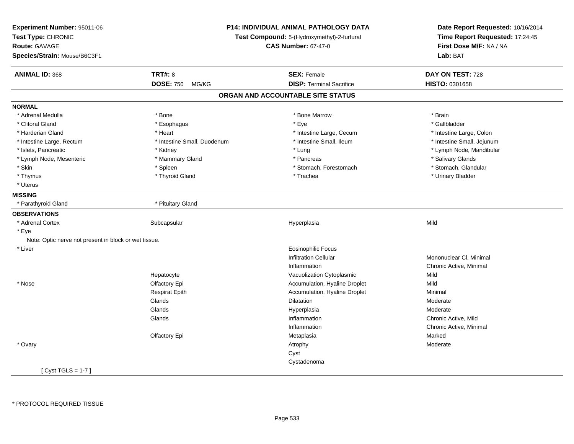| Experiment Number: 95011-06<br>Test Type: CHRONIC<br><b>Route: GAVAGE</b><br>Species/Strain: Mouse/B6C3F1 |                             | P14: INDIVIDUAL ANIMAL PATHOLOGY DATA<br>Test Compound: 5-(Hydroxymethyl)-2-furfural<br><b>CAS Number: 67-47-0</b> | Date Report Requested: 10/16/2014<br>Time Report Requested: 17:24:45<br>First Dose M/F: NA / NA<br>Lab: BAT |
|-----------------------------------------------------------------------------------------------------------|-----------------------------|--------------------------------------------------------------------------------------------------------------------|-------------------------------------------------------------------------------------------------------------|
| <b>ANIMAL ID: 368</b>                                                                                     | <b>TRT#: 8</b>              | <b>SEX: Female</b>                                                                                                 | DAY ON TEST: 728                                                                                            |
|                                                                                                           | <b>DOSE: 750</b><br>MG/KG   | <b>DISP: Terminal Sacrifice</b>                                                                                    | <b>HISTO: 0301658</b>                                                                                       |
|                                                                                                           |                             | ORGAN AND ACCOUNTABLE SITE STATUS                                                                                  |                                                                                                             |
| <b>NORMAL</b>                                                                                             |                             |                                                                                                                    |                                                                                                             |
| * Adrenal Medulla                                                                                         | * Bone                      | * Bone Marrow                                                                                                      | * Brain                                                                                                     |
| * Clitoral Gland                                                                                          | * Esophagus                 | * Eye                                                                                                              | * Gallbladder                                                                                               |
| * Harderian Gland                                                                                         | * Heart                     | * Intestine Large, Cecum                                                                                           | * Intestine Large, Colon                                                                                    |
| * Intestine Large, Rectum                                                                                 | * Intestine Small, Duodenum | * Intestine Small, Ileum                                                                                           | * Intestine Small, Jejunum                                                                                  |
| * Islets, Pancreatic                                                                                      | * Kidney                    | * Lung                                                                                                             | * Lymph Node, Mandibular                                                                                    |
| * Lymph Node, Mesenteric                                                                                  | * Mammary Gland             | * Pancreas                                                                                                         | * Salivary Glands                                                                                           |
| * Skin                                                                                                    | * Spleen                    | * Stomach, Forestomach                                                                                             | * Stomach, Glandular                                                                                        |
| * Thymus                                                                                                  | * Thyroid Gland             | * Trachea                                                                                                          | * Urinary Bladder                                                                                           |
| * Uterus                                                                                                  |                             |                                                                                                                    |                                                                                                             |
| <b>MISSING</b>                                                                                            |                             |                                                                                                                    |                                                                                                             |
| * Parathyroid Gland                                                                                       | * Pituitary Gland           |                                                                                                                    |                                                                                                             |
| <b>OBSERVATIONS</b>                                                                                       |                             |                                                                                                                    |                                                                                                             |
| * Adrenal Cortex                                                                                          | Subcapsular                 | Hyperplasia                                                                                                        | Mild                                                                                                        |
| * Eye                                                                                                     |                             |                                                                                                                    |                                                                                                             |
| Note: Optic nerve not present in block or wet tissue.                                                     |                             |                                                                                                                    |                                                                                                             |
| * Liver                                                                                                   |                             | <b>Eosinophilic Focus</b>                                                                                          |                                                                                                             |
|                                                                                                           |                             | <b>Infiltration Cellular</b>                                                                                       | Mononuclear CI, Minimal                                                                                     |
|                                                                                                           |                             | Inflammation                                                                                                       | Chronic Active, Minimal                                                                                     |
|                                                                                                           | Hepatocyte                  | Vacuolization Cytoplasmic                                                                                          | Mild                                                                                                        |
| * Nose                                                                                                    | Olfactory Epi               | Accumulation, Hyaline Droplet                                                                                      | Mild                                                                                                        |
|                                                                                                           | <b>Respirat Epith</b>       | Accumulation, Hyaline Droplet                                                                                      | Minimal                                                                                                     |
|                                                                                                           | Glands                      | Dilatation                                                                                                         | Moderate                                                                                                    |
|                                                                                                           | Glands                      | Hyperplasia                                                                                                        | Moderate                                                                                                    |
|                                                                                                           | Glands                      | Inflammation                                                                                                       | Chronic Active, Mild                                                                                        |
|                                                                                                           |                             | Inflammation                                                                                                       | Chronic Active, Minimal                                                                                     |
|                                                                                                           | Olfactory Epi               | Metaplasia                                                                                                         | Marked                                                                                                      |
| * Ovary                                                                                                   |                             | Atrophy                                                                                                            | Moderate                                                                                                    |
|                                                                                                           |                             | Cyst                                                                                                               |                                                                                                             |
|                                                                                                           |                             | Cystadenoma                                                                                                        |                                                                                                             |
| [ Cyst TGLS = 1-7 ]                                                                                       |                             |                                                                                                                    |                                                                                                             |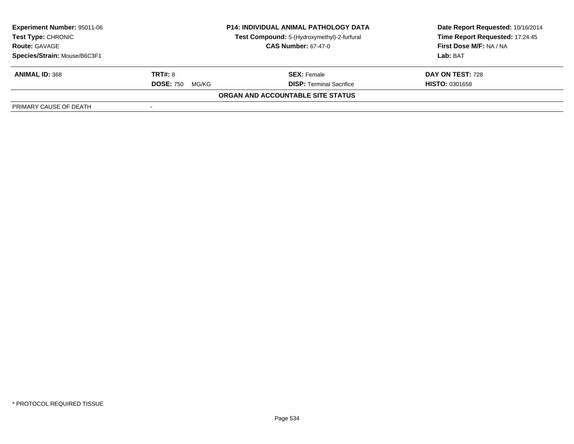| <b>Experiment Number: 95011-06</b><br><b>Test Type: CHRONIC</b><br><b>Route: GAVAGE</b> | <b>P14: INDIVIDUAL ANIMAL PATHOLOGY DATA</b><br>Test Compound: 5-(Hydroxymethyl)-2-furfural<br><b>CAS Number: 67-47-0</b> |                                   | Date Report Requested: 10/16/2014<br>Time Report Requested: 17:24:45<br>First Dose M/F: NA / NA |
|-----------------------------------------------------------------------------------------|---------------------------------------------------------------------------------------------------------------------------|-----------------------------------|-------------------------------------------------------------------------------------------------|
| Species/Strain: Mouse/B6C3F1                                                            |                                                                                                                           |                                   | <b>Lab: BAT</b>                                                                                 |
| <b>ANIMAL ID: 368</b>                                                                   | <b>TRT#: 8</b>                                                                                                            | <b>SEX: Female</b>                | DAY ON TEST: 728                                                                                |
|                                                                                         | <b>DOSE: 750</b><br>MG/KG                                                                                                 | <b>DISP: Terminal Sacrifice</b>   | <b>HISTO: 0301658</b>                                                                           |
|                                                                                         |                                                                                                                           | ORGAN AND ACCOUNTABLE SITE STATUS |                                                                                                 |
| PRIMARY CAUSE OF DEATH                                                                  |                                                                                                                           |                                   |                                                                                                 |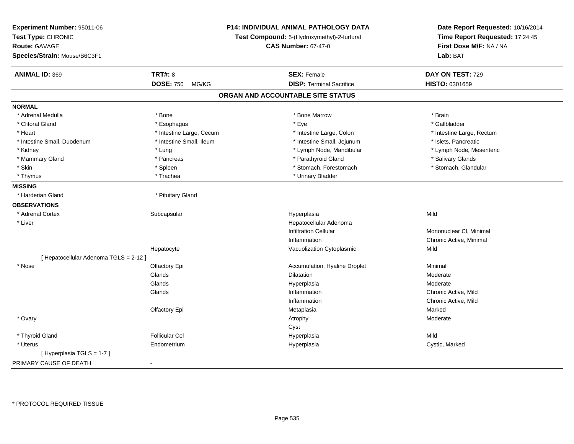| Experiment Number: 95011-06<br>Test Type: CHRONIC<br><b>Route: GAVAGE</b><br>Species/Strain: Mouse/B6C3F1 |                           | <b>P14: INDIVIDUAL ANIMAL PATHOLOGY DATA</b><br>Test Compound: 5-(Hydroxymethyl)-2-furfural<br><b>CAS Number: 67-47-0</b> | Date Report Requested: 10/16/2014<br>Time Report Requested: 17:24:45<br>First Dose M/F: NA / NA<br>Lab: BAT |
|-----------------------------------------------------------------------------------------------------------|---------------------------|---------------------------------------------------------------------------------------------------------------------------|-------------------------------------------------------------------------------------------------------------|
| <b>ANIMAL ID: 369</b>                                                                                     | <b>TRT#: 8</b>            | <b>SEX: Female</b>                                                                                                        | DAY ON TEST: 729                                                                                            |
|                                                                                                           | <b>DOSE: 750</b><br>MG/KG | <b>DISP: Terminal Sacrifice</b>                                                                                           | HISTO: 0301659                                                                                              |
|                                                                                                           |                           | ORGAN AND ACCOUNTABLE SITE STATUS                                                                                         |                                                                                                             |
| <b>NORMAL</b>                                                                                             |                           |                                                                                                                           |                                                                                                             |
| * Adrenal Medulla                                                                                         | * Bone                    | * Bone Marrow                                                                                                             | * Brain                                                                                                     |
| * Clitoral Gland                                                                                          | * Esophagus               | * Eye                                                                                                                     | * Gallbladder                                                                                               |
| * Heart                                                                                                   | * Intestine Large, Cecum  | * Intestine Large, Colon                                                                                                  | * Intestine Large, Rectum                                                                                   |
| * Intestine Small, Duodenum                                                                               | * Intestine Small, Ileum  | * Intestine Small, Jejunum                                                                                                | * Islets, Pancreatic                                                                                        |
| * Kidney                                                                                                  | * Lung                    | * Lymph Node, Mandibular                                                                                                  | * Lymph Node, Mesenteric                                                                                    |
| * Mammary Gland                                                                                           | * Pancreas                | * Parathyroid Gland                                                                                                       | * Salivary Glands                                                                                           |
| * Skin                                                                                                    | * Spleen                  | * Stomach, Forestomach                                                                                                    | * Stomach, Glandular                                                                                        |
| * Thymus                                                                                                  | * Trachea                 | * Urinary Bladder                                                                                                         |                                                                                                             |
| <b>MISSING</b>                                                                                            |                           |                                                                                                                           |                                                                                                             |
| * Harderian Gland                                                                                         | * Pituitary Gland         |                                                                                                                           |                                                                                                             |
| <b>OBSERVATIONS</b>                                                                                       |                           |                                                                                                                           |                                                                                                             |
| * Adrenal Cortex                                                                                          | Subcapsular               | Hyperplasia                                                                                                               | Mild                                                                                                        |
| * Liver                                                                                                   |                           | Hepatocellular Adenoma                                                                                                    |                                                                                                             |
|                                                                                                           |                           | <b>Infiltration Cellular</b>                                                                                              | Mononuclear CI, Minimal                                                                                     |
|                                                                                                           |                           | Inflammation                                                                                                              | Chronic Active, Minimal                                                                                     |
|                                                                                                           | Hepatocyte                | Vacuolization Cytoplasmic                                                                                                 | Mild                                                                                                        |
| [ Hepatocellular Adenoma TGLS = 2-12 ]                                                                    |                           |                                                                                                                           |                                                                                                             |
| * Nose                                                                                                    | Olfactory Epi             | Accumulation, Hyaline Droplet                                                                                             | Minimal                                                                                                     |
|                                                                                                           | Glands                    | <b>Dilatation</b>                                                                                                         | Moderate                                                                                                    |
|                                                                                                           | Glands                    | Hyperplasia                                                                                                               | Moderate                                                                                                    |
|                                                                                                           | Glands                    | Inflammation                                                                                                              | Chronic Active, Mild                                                                                        |
|                                                                                                           |                           | Inflammation                                                                                                              | Chronic Active, Mild                                                                                        |
|                                                                                                           | Olfactory Epi             | Metaplasia                                                                                                                | Marked                                                                                                      |
| * Ovary                                                                                                   |                           | Atrophy                                                                                                                   | Moderate                                                                                                    |
|                                                                                                           |                           | Cyst                                                                                                                      |                                                                                                             |
| * Thyroid Gland                                                                                           | <b>Follicular Cel</b>     | Hyperplasia                                                                                                               | Mild                                                                                                        |
| * Uterus                                                                                                  | Endometrium               | Hyperplasia                                                                                                               | Cystic, Marked                                                                                              |
| [Hyperplasia TGLS = 1-7]                                                                                  |                           |                                                                                                                           |                                                                                                             |
| PRIMARY CAUSE OF DEATH                                                                                    | $\blacksquare$            |                                                                                                                           |                                                                                                             |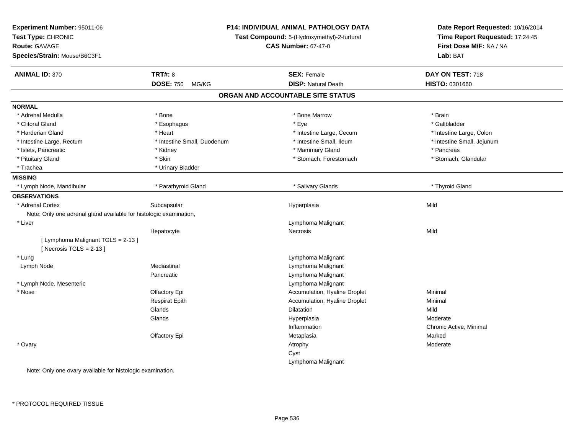| Experiment Number: 95011-06<br>Test Type: CHRONIC<br>Route: GAVAGE<br>Species/Strain: Mouse/B6C3F1 |                             | <b>P14: INDIVIDUAL ANIMAL PATHOLOGY DATA</b><br>Test Compound: 5-(Hydroxymethyl)-2-furfural<br><b>CAS Number: 67-47-0</b> | Date Report Requested: 10/16/2014<br>Time Report Requested: 17:24:45<br>First Dose M/F: NA / NA<br>Lab: BAT |
|----------------------------------------------------------------------------------------------------|-----------------------------|---------------------------------------------------------------------------------------------------------------------------|-------------------------------------------------------------------------------------------------------------|
| <b>ANIMAL ID: 370</b>                                                                              | <b>TRT#: 8</b>              | <b>SEX: Female</b>                                                                                                        | DAY ON TEST: 718                                                                                            |
|                                                                                                    | <b>DOSE: 750</b><br>MG/KG   | <b>DISP: Natural Death</b>                                                                                                | <b>HISTO: 0301660</b>                                                                                       |
|                                                                                                    |                             | ORGAN AND ACCOUNTABLE SITE STATUS                                                                                         |                                                                                                             |
| <b>NORMAL</b>                                                                                      |                             |                                                                                                                           |                                                                                                             |
| * Adrenal Medulla                                                                                  | * Bone                      | * Bone Marrow                                                                                                             | * Brain                                                                                                     |
| * Clitoral Gland                                                                                   | * Esophagus                 | * Eye                                                                                                                     | * Gallbladder                                                                                               |
| * Harderian Gland                                                                                  | * Heart                     | * Intestine Large, Cecum                                                                                                  | * Intestine Large, Colon                                                                                    |
| * Intestine Large, Rectum                                                                          | * Intestine Small, Duodenum | * Intestine Small, Ileum                                                                                                  | * Intestine Small, Jejunum                                                                                  |
| * Islets, Pancreatic                                                                               | * Kidney                    | * Mammary Gland                                                                                                           | * Pancreas                                                                                                  |
| * Pituitary Gland                                                                                  | * Skin                      | * Stomach, Forestomach                                                                                                    | * Stomach, Glandular                                                                                        |
| * Trachea                                                                                          | * Urinary Bladder           |                                                                                                                           |                                                                                                             |
| <b>MISSING</b>                                                                                     |                             |                                                                                                                           |                                                                                                             |
| * Lymph Node, Mandibular                                                                           | * Parathyroid Gland         | * Salivary Glands                                                                                                         | * Thyroid Gland                                                                                             |
| <b>OBSERVATIONS</b>                                                                                |                             |                                                                                                                           |                                                                                                             |
| * Adrenal Cortex                                                                                   | Subcapsular                 | Hyperplasia                                                                                                               | Mild                                                                                                        |
| Note: Only one adrenal gland available for histologic examination,                                 |                             |                                                                                                                           |                                                                                                             |
| * Liver                                                                                            |                             | Lymphoma Malignant                                                                                                        |                                                                                                             |
|                                                                                                    | Hepatocyte                  | Necrosis                                                                                                                  | Mild                                                                                                        |
| [ Lymphoma Malignant TGLS = 2-13 ]                                                                 |                             |                                                                                                                           |                                                                                                             |
| [Necrosis TGLS = $2-13$ ]                                                                          |                             |                                                                                                                           |                                                                                                             |
| * Lung                                                                                             |                             | Lymphoma Malignant                                                                                                        |                                                                                                             |
| Lymph Node                                                                                         | Mediastinal                 | Lymphoma Malignant                                                                                                        |                                                                                                             |
|                                                                                                    | Pancreatic                  | Lymphoma Malignant                                                                                                        |                                                                                                             |
| * Lymph Node, Mesenteric                                                                           |                             | Lymphoma Malignant                                                                                                        |                                                                                                             |
| * Nose                                                                                             | Olfactory Epi               | Accumulation, Hyaline Droplet                                                                                             | Minimal                                                                                                     |
|                                                                                                    | <b>Respirat Epith</b>       | Accumulation, Hyaline Droplet                                                                                             | Minimal                                                                                                     |
|                                                                                                    | Glands                      | Dilatation                                                                                                                | Mild                                                                                                        |
|                                                                                                    | Glands                      | Hyperplasia                                                                                                               | Moderate                                                                                                    |
|                                                                                                    |                             | Inflammation                                                                                                              | Chronic Active, Minimal                                                                                     |
|                                                                                                    | Olfactory Epi               | Metaplasia                                                                                                                | Marked                                                                                                      |
| * Ovary                                                                                            |                             | Atrophy                                                                                                                   | Moderate                                                                                                    |
|                                                                                                    |                             | Cyst                                                                                                                      |                                                                                                             |
|                                                                                                    |                             | Lymphoma Malignant                                                                                                        |                                                                                                             |
| Note: Only one ovary available for histologic examination.                                         |                             |                                                                                                                           |                                                                                                             |

only one ovary available for histologic example the over-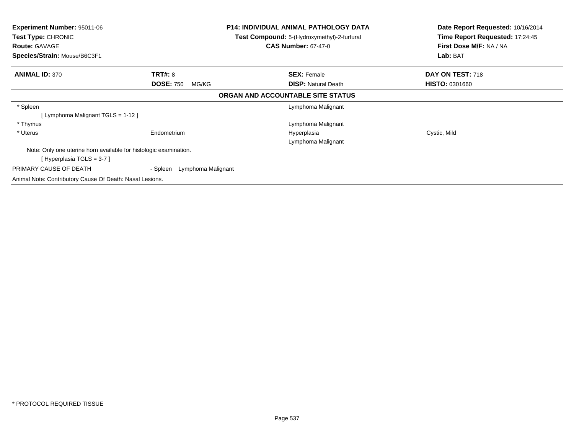| <b>Experiment Number: 95011-06</b><br>Test Type: CHRONIC          |                                | <b>P14: INDIVIDUAL ANIMAL PATHOLOGY DATA</b><br><b>Test Compound:</b> 5-(Hydroxymethyl)-2-furfural | Date Report Requested: 10/16/2014<br>Time Report Requested: 17:24:45 |
|-------------------------------------------------------------------|--------------------------------|----------------------------------------------------------------------------------------------------|----------------------------------------------------------------------|
| <b>Route: GAVAGE</b>                                              |                                | <b>CAS Number: 67-47-0</b>                                                                         | First Dose M/F: NA / NA                                              |
| Species/Strain: Mouse/B6C3F1                                      |                                |                                                                                                    | Lab: BAT                                                             |
| <b>ANIMAL ID: 370</b>                                             | <b>TRT#: 8</b>                 | <b>SEX: Female</b>                                                                                 | DAY ON TEST: 718                                                     |
|                                                                   | <b>DOSE: 750</b><br>MG/KG      | <b>DISP:</b> Natural Death                                                                         | <b>HISTO: 0301660</b>                                                |
|                                                                   |                                | ORGAN AND ACCOUNTABLE SITE STATUS                                                                  |                                                                      |
| * Spleen                                                          |                                | Lymphoma Malignant                                                                                 |                                                                      |
| [ Lymphoma Malignant TGLS = 1-12 ]                                |                                |                                                                                                    |                                                                      |
| * Thymus                                                          |                                | Lymphoma Malignant                                                                                 |                                                                      |
| * Uterus                                                          | Endometrium                    | Hyperplasia                                                                                        | Cystic, Mild                                                         |
|                                                                   |                                | Lymphoma Malignant                                                                                 |                                                                      |
| Note: Only one uterine horn available for histologic examination. |                                |                                                                                                    |                                                                      |
| [Hyperplasia TGLS = 3-7]                                          |                                |                                                                                                    |                                                                      |
| PRIMARY CAUSE OF DEATH                                            | - Spleen<br>Lymphoma Malignant |                                                                                                    |                                                                      |
| Animal Note: Contributory Cause Of Death: Nasal Lesions.          |                                |                                                                                                    |                                                                      |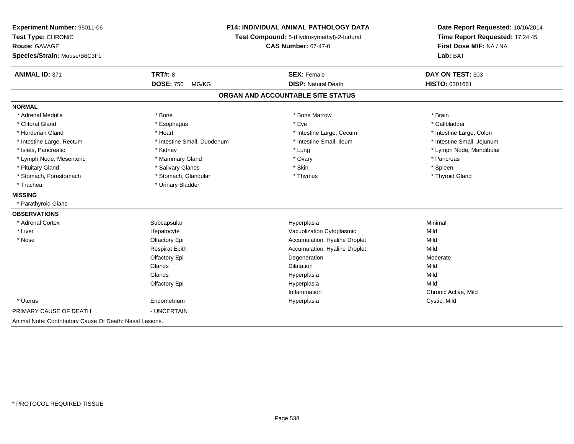| <b>P14: INDIVIDUAL ANIMAL PATHOLOGY DATA</b><br>Test Compound: 5-(Hydroxymethyl)-2-furfural<br><b>CAS Number: 67-47-0</b> |                               | Date Report Requested: 10/16/2014<br>Time Report Requested: 17:24:45<br>First Dose M/F: NA / NA<br>Lab: BAT |  |
|---------------------------------------------------------------------------------------------------------------------------|-------------------------------|-------------------------------------------------------------------------------------------------------------|--|
| <b>TRT#: 8</b>                                                                                                            | <b>SEX: Female</b>            | DAY ON TEST: 303                                                                                            |  |
| <b>DOSE: 750</b><br>MG/KG                                                                                                 | <b>DISP: Natural Death</b>    | HISTO: 0301661                                                                                              |  |
|                                                                                                                           |                               |                                                                                                             |  |
|                                                                                                                           |                               |                                                                                                             |  |
| * Bone                                                                                                                    | * Bone Marrow                 | * Brain                                                                                                     |  |
| * Esophagus                                                                                                               | * Eye                         | * Gallbladder                                                                                               |  |
| * Heart                                                                                                                   | * Intestine Large, Cecum      | * Intestine Large, Colon                                                                                    |  |
| * Intestine Small, Duodenum                                                                                               | * Intestine Small, Ileum      | * Intestine Small, Jejunum                                                                                  |  |
| * Kidney                                                                                                                  | * Lung                        | * Lymph Node, Mandibular                                                                                    |  |
| * Mammary Gland                                                                                                           | * Ovary                       | * Pancreas                                                                                                  |  |
| * Salivary Glands                                                                                                         | * Skin                        | * Spleen                                                                                                    |  |
| * Stomach, Glandular                                                                                                      | * Thymus                      | * Thyroid Gland                                                                                             |  |
| * Urinary Bladder                                                                                                         |                               |                                                                                                             |  |
|                                                                                                                           |                               |                                                                                                             |  |
|                                                                                                                           |                               |                                                                                                             |  |
|                                                                                                                           |                               |                                                                                                             |  |
| Subcapsular                                                                                                               | Hyperplasia                   | Minimal                                                                                                     |  |
| Hepatocyte                                                                                                                | Vacuolization Cytoplasmic     | Mild                                                                                                        |  |
| Olfactory Epi                                                                                                             | Accumulation, Hyaline Droplet | Mild                                                                                                        |  |
| <b>Respirat Epith</b>                                                                                                     | Accumulation, Hyaline Droplet | Mild                                                                                                        |  |
| Olfactory Epi                                                                                                             | Degeneration                  | Moderate                                                                                                    |  |
| Glands                                                                                                                    | <b>Dilatation</b>             | Mild                                                                                                        |  |
| Glands                                                                                                                    | Hyperplasia                   | Mild                                                                                                        |  |
| Olfactory Epi                                                                                                             | Hyperplasia                   | Mild                                                                                                        |  |
|                                                                                                                           | Inflammation                  | Chronic Active, Mild                                                                                        |  |
| Endometrium                                                                                                               | Hyperplasia                   | Cystic, Mild                                                                                                |  |
| - UNCERTAIN                                                                                                               |                               |                                                                                                             |  |
|                                                                                                                           |                               | ORGAN AND ACCOUNTABLE SITE STATUS                                                                           |  |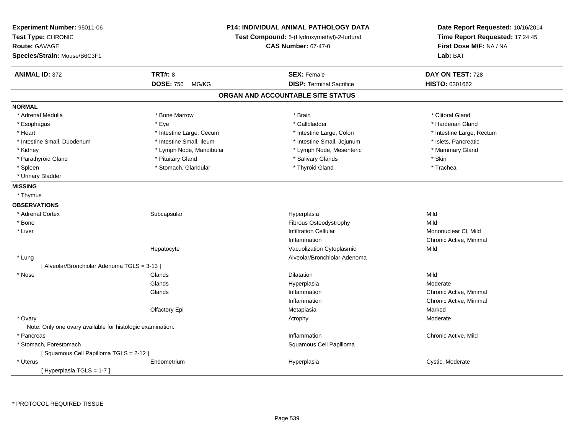| Experiment Number: 95011-06<br>Test Type: CHRONIC<br>Route: GAVAGE<br>Species/Strain: Mouse/B6C3F1 |                           | <b>P14: INDIVIDUAL ANIMAL PATHOLOGY DATA</b><br>Test Compound: 5-(Hydroxymethyl)-2-furfural<br><b>CAS Number: 67-47-0</b> | Date Report Requested: 10/16/2014<br>Time Report Requested: 17:24:45<br>First Dose M/F: NA / NA<br>Lab: BAT |
|----------------------------------------------------------------------------------------------------|---------------------------|---------------------------------------------------------------------------------------------------------------------------|-------------------------------------------------------------------------------------------------------------|
| <b>ANIMAL ID: 372</b>                                                                              | <b>TRT#: 8</b>            | <b>SEX: Female</b>                                                                                                        | DAY ON TEST: 728                                                                                            |
|                                                                                                    | <b>DOSE: 750</b><br>MG/KG | <b>DISP: Terminal Sacrifice</b>                                                                                           | <b>HISTO: 0301662</b>                                                                                       |
|                                                                                                    |                           | ORGAN AND ACCOUNTABLE SITE STATUS                                                                                         |                                                                                                             |
| <b>NORMAL</b>                                                                                      |                           |                                                                                                                           |                                                                                                             |
| * Adrenal Medulla                                                                                  | * Bone Marrow             | * Brain                                                                                                                   | * Clitoral Gland                                                                                            |
| * Esophagus                                                                                        | * Eye                     | * Gallbladder                                                                                                             | * Harderian Gland                                                                                           |
| * Heart                                                                                            | * Intestine Large, Cecum  | * Intestine Large, Colon                                                                                                  | * Intestine Large, Rectum                                                                                   |
| * Intestine Small, Duodenum                                                                        | * Intestine Small, Ileum  | * Intestine Small, Jejunum                                                                                                | * Islets, Pancreatic                                                                                        |
| * Kidney                                                                                           | * Lymph Node, Mandibular  | * Lymph Node, Mesenteric                                                                                                  | * Mammary Gland                                                                                             |
| * Parathyroid Gland                                                                                | * Pituitary Gland         | * Salivary Glands                                                                                                         | * Skin                                                                                                      |
| * Spleen                                                                                           | * Stomach, Glandular      | * Thyroid Gland                                                                                                           | * Trachea                                                                                                   |
| * Urinary Bladder                                                                                  |                           |                                                                                                                           |                                                                                                             |
| <b>MISSING</b>                                                                                     |                           |                                                                                                                           |                                                                                                             |
| * Thymus                                                                                           |                           |                                                                                                                           |                                                                                                             |
| <b>OBSERVATIONS</b>                                                                                |                           |                                                                                                                           |                                                                                                             |
| * Adrenal Cortex                                                                                   | Subcapsular               | Hyperplasia                                                                                                               | Mild                                                                                                        |
| * Bone                                                                                             |                           | Fibrous Osteodystrophy                                                                                                    | Mild                                                                                                        |
| * Liver                                                                                            |                           | <b>Infiltration Cellular</b>                                                                                              | Mononuclear CI, Mild                                                                                        |
|                                                                                                    |                           | Inflammation                                                                                                              | Chronic Active, Minimal                                                                                     |
|                                                                                                    | Hepatocyte                | Vacuolization Cytoplasmic                                                                                                 | Mild                                                                                                        |
| * Lung                                                                                             |                           | Alveolar/Bronchiolar Adenoma                                                                                              |                                                                                                             |
| [Alveolar/Bronchiolar Adenoma TGLS = 3-13]                                                         |                           |                                                                                                                           |                                                                                                             |
| * Nose                                                                                             | Glands                    | Dilatation                                                                                                                | Mild                                                                                                        |
|                                                                                                    | Glands                    | Hyperplasia                                                                                                               | Moderate                                                                                                    |
|                                                                                                    | Glands                    | Inflammation                                                                                                              | Chronic Active, Minimal                                                                                     |
|                                                                                                    |                           | Inflammation                                                                                                              | Chronic Active, Minimal                                                                                     |
|                                                                                                    | Olfactory Epi             | Metaplasia                                                                                                                | Marked                                                                                                      |
| * Ovary                                                                                            |                           | Atrophy                                                                                                                   | Moderate                                                                                                    |
| Note: Only one ovary available for histologic examination.                                         |                           |                                                                                                                           |                                                                                                             |
| * Pancreas                                                                                         |                           | Inflammation                                                                                                              | Chronic Active, Mild                                                                                        |
| * Stomach, Forestomach                                                                             |                           | Squamous Cell Papilloma                                                                                                   |                                                                                                             |
| [Squamous Cell Papilloma TGLS = 2-12]                                                              |                           |                                                                                                                           |                                                                                                             |
| * Uterus                                                                                           | Endometrium               | Hyperplasia                                                                                                               | Cystic, Moderate                                                                                            |
| [Hyperplasia TGLS = 1-7]                                                                           |                           |                                                                                                                           |                                                                                                             |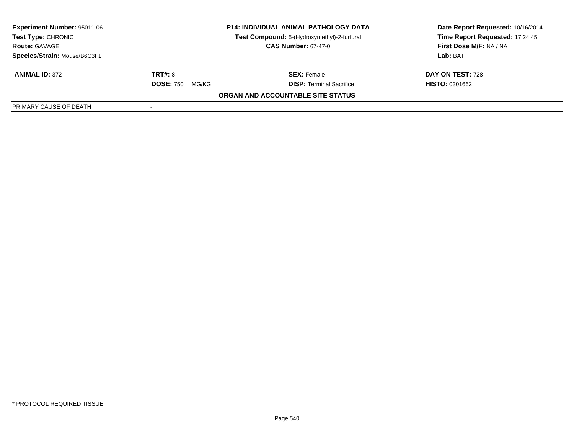| <b>Experiment Number: 95011-06</b><br><b>Test Type: CHRONIC</b><br><b>Route: GAVAGE</b> | <b>P14: INDIVIDUAL ANIMAL PATHOLOGY DATA</b><br>Test Compound: 5-(Hydroxymethyl)-2-furfural<br><b>CAS Number: 67-47-0</b> |                                   | Date Report Requested: 10/16/2014<br>Time Report Requested: 17:24:45<br>First Dose M/F: NA / NA |
|-----------------------------------------------------------------------------------------|---------------------------------------------------------------------------------------------------------------------------|-----------------------------------|-------------------------------------------------------------------------------------------------|
| Species/Strain: Mouse/B6C3F1                                                            |                                                                                                                           |                                   | Lab: BAT                                                                                        |
| <b>ANIMAL ID: 372</b>                                                                   | <b>TRT#: 8</b>                                                                                                            | <b>SEX: Female</b>                | DAY ON TEST: 728                                                                                |
|                                                                                         | <b>DOSE: 750</b><br>MG/KG                                                                                                 | <b>DISP: Terminal Sacrifice</b>   | <b>HISTO: 0301662</b>                                                                           |
|                                                                                         |                                                                                                                           | ORGAN AND ACCOUNTABLE SITE STATUS |                                                                                                 |
| PRIMARY CAUSE OF DEATH                                                                  |                                                                                                                           |                                   |                                                                                                 |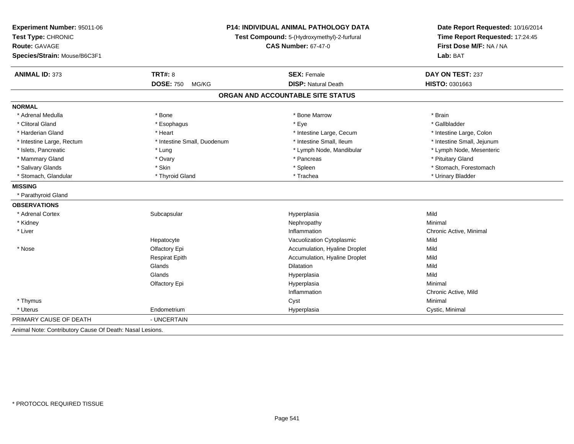| Experiment Number: 95011-06<br>Test Type: CHRONIC<br><b>Route: GAVAGE</b><br>Species/Strain: Mouse/B6C3F1 |                             | <b>P14: INDIVIDUAL ANIMAL PATHOLOGY DATA</b><br>Test Compound: 5-(Hydroxymethyl)-2-furfural<br><b>CAS Number: 67-47-0</b> | Date Report Requested: 10/16/2014<br>Time Report Requested: 17:24:45<br>First Dose M/F: NA / NA<br>Lab: BAT |  |
|-----------------------------------------------------------------------------------------------------------|-----------------------------|---------------------------------------------------------------------------------------------------------------------------|-------------------------------------------------------------------------------------------------------------|--|
|                                                                                                           |                             |                                                                                                                           |                                                                                                             |  |
| <b>ANIMAL ID: 373</b>                                                                                     | <b>TRT#: 8</b>              | <b>SEX: Female</b>                                                                                                        | DAY ON TEST: 237                                                                                            |  |
|                                                                                                           | <b>DOSE: 750</b><br>MG/KG   | <b>DISP: Natural Death</b>                                                                                                | HISTO: 0301663                                                                                              |  |
|                                                                                                           |                             | ORGAN AND ACCOUNTABLE SITE STATUS                                                                                         |                                                                                                             |  |
| <b>NORMAL</b>                                                                                             |                             |                                                                                                                           |                                                                                                             |  |
| * Adrenal Medulla                                                                                         | * Bone                      | * Bone Marrow                                                                                                             | * Brain                                                                                                     |  |
| * Clitoral Gland                                                                                          | * Esophagus                 | * Eye                                                                                                                     | * Gallbladder                                                                                               |  |
| * Harderian Gland                                                                                         | * Heart                     | * Intestine Large, Cecum                                                                                                  | * Intestine Large, Colon                                                                                    |  |
| * Intestine Large, Rectum                                                                                 | * Intestine Small, Duodenum | * Intestine Small, Ileum                                                                                                  | * Intestine Small, Jejunum                                                                                  |  |
| * Islets, Pancreatic                                                                                      | * Lung                      | * Lymph Node, Mandibular                                                                                                  | * Lymph Node, Mesenteric                                                                                    |  |
| * Mammary Gland                                                                                           | * Ovary                     | * Pancreas                                                                                                                | * Pituitary Gland                                                                                           |  |
| * Salivary Glands                                                                                         | * Skin                      | * Spleen                                                                                                                  | * Stomach, Forestomach                                                                                      |  |
| * Stomach, Glandular                                                                                      | * Thyroid Gland             | * Trachea                                                                                                                 | * Urinary Bladder                                                                                           |  |
| <b>MISSING</b>                                                                                            |                             |                                                                                                                           |                                                                                                             |  |
| * Parathyroid Gland                                                                                       |                             |                                                                                                                           |                                                                                                             |  |
| <b>OBSERVATIONS</b>                                                                                       |                             |                                                                                                                           |                                                                                                             |  |
| * Adrenal Cortex                                                                                          | Subcapsular                 | Hyperplasia                                                                                                               | Mild                                                                                                        |  |
| * Kidney                                                                                                  |                             | Nephropathy                                                                                                               | Minimal                                                                                                     |  |
| * Liver                                                                                                   |                             | Inflammation                                                                                                              | Chronic Active, Minimal                                                                                     |  |
|                                                                                                           | Hepatocyte                  | Vacuolization Cytoplasmic                                                                                                 | Mild                                                                                                        |  |
| * Nose                                                                                                    | Olfactory Epi               | Accumulation, Hyaline Droplet                                                                                             | Mild                                                                                                        |  |
|                                                                                                           | <b>Respirat Epith</b>       | Accumulation, Hyaline Droplet                                                                                             | Mild                                                                                                        |  |
|                                                                                                           | Glands                      | Dilatation                                                                                                                | Mild                                                                                                        |  |
|                                                                                                           | Glands                      | Hyperplasia                                                                                                               | Mild                                                                                                        |  |
|                                                                                                           | Olfactory Epi               | Hyperplasia                                                                                                               | Minimal                                                                                                     |  |
|                                                                                                           |                             | Inflammation                                                                                                              | Chronic Active, Mild                                                                                        |  |
| * Thymus                                                                                                  |                             | Cyst                                                                                                                      | Minimal                                                                                                     |  |
| * Uterus                                                                                                  | Endometrium                 | Hyperplasia                                                                                                               | Cystic, Minimal                                                                                             |  |
| PRIMARY CAUSE OF DEATH                                                                                    | - UNCERTAIN                 |                                                                                                                           |                                                                                                             |  |
| Animal Note: Contributory Cause Of Death: Nasal Lesions.                                                  |                             |                                                                                                                           |                                                                                                             |  |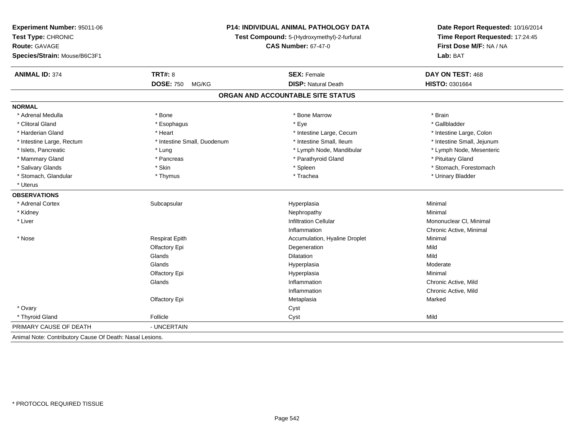| Experiment Number: 95011-06                              |                                             | P14: INDIVIDUAL ANIMAL PATHOLOGY DATA | Date Report Requested: 10/16/2014 |
|----------------------------------------------------------|---------------------------------------------|---------------------------------------|-----------------------------------|
| Test Type: CHRONIC                                       | Test Compound: 5-(Hydroxymethyl)-2-furfural |                                       | Time Report Requested: 17:24:45   |
| Route: GAVAGE                                            |                                             | <b>CAS Number: 67-47-0</b>            | First Dose M/F: NA / NA           |
| Species/Strain: Mouse/B6C3F1                             |                                             |                                       | Lab: BAT                          |
| <b>ANIMAL ID: 374</b>                                    | <b>TRT#: 8</b>                              | <b>SEX: Female</b>                    | DAY ON TEST: 468                  |
|                                                          | <b>DOSE: 750</b><br>MG/KG                   | <b>DISP: Natural Death</b>            | HISTO: 0301664                    |
|                                                          |                                             | ORGAN AND ACCOUNTABLE SITE STATUS     |                                   |
| <b>NORMAL</b>                                            |                                             |                                       |                                   |
| * Adrenal Medulla                                        | * Bone                                      | * Bone Marrow                         | * Brain                           |
| * Clitoral Gland                                         | * Esophagus                                 | * Eye                                 | * Gallbladder                     |
| * Harderian Gland                                        | * Heart                                     | * Intestine Large, Cecum              | * Intestine Large, Colon          |
| * Intestine Large, Rectum                                | * Intestine Small, Duodenum                 | * Intestine Small, Ileum              | * Intestine Small, Jejunum        |
| * Islets, Pancreatic                                     | * Lung                                      | * Lymph Node, Mandibular              | * Lymph Node, Mesenteric          |
| * Mammary Gland                                          | * Pancreas                                  | * Parathyroid Gland                   | * Pituitary Gland                 |
| * Salivary Glands                                        | * Skin                                      | * Spleen                              | * Stomach, Forestomach            |
| * Stomach, Glandular                                     | * Thymus                                    | * Trachea                             | * Urinary Bladder                 |
| * Uterus                                                 |                                             |                                       |                                   |
| <b>OBSERVATIONS</b>                                      |                                             |                                       |                                   |
| * Adrenal Cortex                                         | Subcapsular                                 | Hyperplasia                           | Minimal                           |
| * Kidney                                                 |                                             | Nephropathy                           | Minimal                           |
| * Liver                                                  |                                             | Infiltration Cellular                 | Mononuclear CI, Minimal           |
|                                                          |                                             | Inflammation                          | Chronic Active, Minimal           |
| * Nose                                                   | <b>Respirat Epith</b>                       | Accumulation, Hyaline Droplet         | Minimal                           |
|                                                          | Olfactory Epi                               | Degeneration                          | Mild                              |
|                                                          | Glands                                      | Dilatation                            | Mild                              |
|                                                          | Glands                                      | Hyperplasia                           | Moderate                          |
|                                                          | Olfactory Epi                               | Hyperplasia                           | Minimal                           |
|                                                          | Glands                                      | Inflammation                          | Chronic Active, Mild              |
|                                                          |                                             | Inflammation                          | Chronic Active, Mild              |
|                                                          | Olfactory Epi                               | Metaplasia                            | Marked                            |
| * Ovary                                                  |                                             | Cyst                                  |                                   |
| * Thyroid Gland                                          | Follicle                                    | Cyst                                  | Mild                              |
| PRIMARY CAUSE OF DEATH                                   | - UNCERTAIN                                 |                                       |                                   |
| Animal Note: Contributory Cause Of Death: Nasal Lesions. |                                             |                                       |                                   |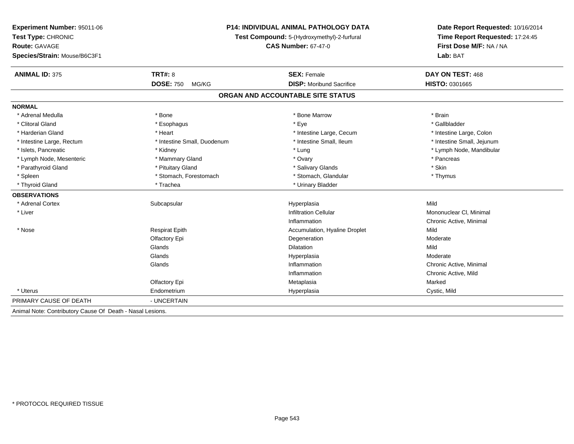| Experiment Number: 95011-06                               | <b>P14: INDIVIDUAL ANIMAL PATHOLOGY DATA</b><br>Test Compound: 5-(Hydroxymethyl)-2-furfural<br><b>CAS Number: 67-47-0</b> |                                   | Date Report Requested: 10/16/2014<br>Time Report Requested: 17:24:45<br>First Dose M/F: NA / NA |
|-----------------------------------------------------------|---------------------------------------------------------------------------------------------------------------------------|-----------------------------------|-------------------------------------------------------------------------------------------------|
| Test Type: CHRONIC                                        |                                                                                                                           |                                   |                                                                                                 |
| <b>Route: GAVAGE</b>                                      |                                                                                                                           |                                   |                                                                                                 |
| Species/Strain: Mouse/B6C3F1                              |                                                                                                                           |                                   | Lab: BAT                                                                                        |
| <b>ANIMAL ID: 375</b>                                     | <b>TRT#: 8</b>                                                                                                            | <b>SEX: Female</b>                | DAY ON TEST: 468                                                                                |
|                                                           | <b>DOSE: 750</b><br>MG/KG                                                                                                 | <b>DISP:</b> Moribund Sacrifice   | HISTO: 0301665                                                                                  |
|                                                           |                                                                                                                           | ORGAN AND ACCOUNTABLE SITE STATUS |                                                                                                 |
| <b>NORMAL</b>                                             |                                                                                                                           |                                   |                                                                                                 |
| * Adrenal Medulla                                         | * Bone                                                                                                                    | * Bone Marrow                     | * Brain                                                                                         |
| * Clitoral Gland                                          | * Esophagus                                                                                                               | * Eye                             | * Gallbladder                                                                                   |
| * Harderian Gland                                         | * Heart                                                                                                                   | * Intestine Large, Cecum          | * Intestine Large, Colon                                                                        |
| * Intestine Large, Rectum                                 | * Intestine Small, Duodenum                                                                                               | * Intestine Small, Ileum          | * Intestine Small, Jejunum                                                                      |
| * Islets, Pancreatic                                      | * Kidney                                                                                                                  | * Lung                            | * Lymph Node, Mandibular                                                                        |
| * Lymph Node, Mesenteric                                  | * Mammary Gland                                                                                                           | * Ovary                           | * Pancreas                                                                                      |
| * Parathyroid Gland                                       | * Pituitary Gland                                                                                                         | * Salivary Glands                 | * Skin                                                                                          |
| * Spleen                                                  | * Stomach, Forestomach                                                                                                    | * Stomach, Glandular              | * Thymus                                                                                        |
| * Thyroid Gland                                           | * Trachea                                                                                                                 | * Urinary Bladder                 |                                                                                                 |
| <b>OBSERVATIONS</b>                                       |                                                                                                                           |                                   |                                                                                                 |
| * Adrenal Cortex                                          | Subcapsular                                                                                                               | Hyperplasia                       | Mild                                                                                            |
| * Liver                                                   |                                                                                                                           | <b>Infiltration Cellular</b>      | Mononuclear CI, Minimal                                                                         |
|                                                           |                                                                                                                           | Inflammation                      | Chronic Active, Minimal                                                                         |
| * Nose                                                    | <b>Respirat Epith</b>                                                                                                     | Accumulation, Hyaline Droplet     | Mild                                                                                            |
|                                                           | Olfactory Epi                                                                                                             | Degeneration                      | Moderate                                                                                        |
|                                                           | Glands                                                                                                                    | <b>Dilatation</b>                 | Mild                                                                                            |
|                                                           | Glands                                                                                                                    | Hyperplasia                       | Moderate                                                                                        |
|                                                           | Glands                                                                                                                    | Inflammation                      | Chronic Active, Minimal                                                                         |
|                                                           |                                                                                                                           | Inflammation                      | Chronic Active, Mild                                                                            |
|                                                           | Olfactory Epi                                                                                                             | Metaplasia                        | Marked                                                                                          |
| * Uterus                                                  | Endometrium                                                                                                               | Hyperplasia                       | Cystic, Mild                                                                                    |
| PRIMARY CAUSE OF DEATH                                    | - UNCERTAIN                                                                                                               |                                   |                                                                                                 |
| Animal Note: Contributory Cause Of Death - Nasal Lesions. |                                                                                                                           |                                   |                                                                                                 |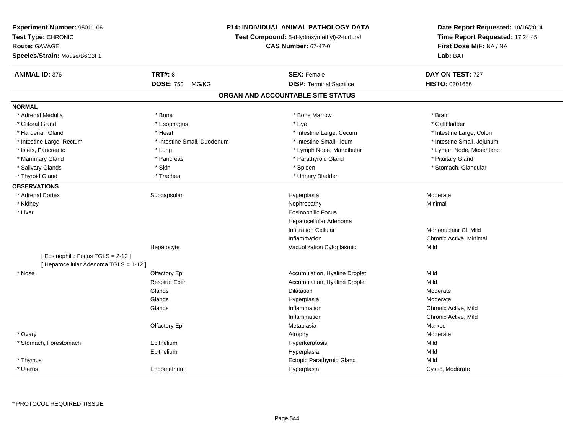| Experiment Number: 95011-06          |                                                                           | <b>P14: INDIVIDUAL ANIMAL PATHOLOGY DATA</b> | Date Report Requested: 10/16/2014 |
|--------------------------------------|---------------------------------------------------------------------------|----------------------------------------------|-----------------------------------|
| Test Type: CHRONIC                   | Test Compound: 5-(Hydroxymethyl)-2-furfural<br><b>CAS Number: 67-47-0</b> |                                              | Time Report Requested: 17:24:45   |
| <b>Route: GAVAGE</b>                 |                                                                           |                                              | First Dose M/F: NA / NA           |
| Species/Strain: Mouse/B6C3F1         |                                                                           |                                              | Lab: BAT                          |
| <b>ANIMAL ID: 376</b>                | <b>TRT#: 8</b>                                                            | <b>SEX: Female</b>                           | DAY ON TEST: 727                  |
|                                      | <b>DOSE: 750</b><br>MG/KG                                                 | <b>DISP: Terminal Sacrifice</b>              | HISTO: 0301666                    |
|                                      |                                                                           | ORGAN AND ACCOUNTABLE SITE STATUS            |                                   |
| <b>NORMAL</b>                        |                                                                           |                                              |                                   |
| * Adrenal Medulla                    | * Bone                                                                    | * Bone Marrow                                | * Brain                           |
| * Clitoral Gland                     | * Esophagus                                                               | * Eye                                        | * Gallbladder                     |
| * Harderian Gland                    | * Heart                                                                   | * Intestine Large, Cecum                     | * Intestine Large, Colon          |
| * Intestine Large, Rectum            | * Intestine Small, Duodenum                                               | * Intestine Small, Ileum                     | * Intestine Small, Jejunum        |
| * Islets, Pancreatic                 | * Lung                                                                    | * Lymph Node, Mandibular                     | * Lymph Node, Mesenteric          |
| * Mammary Gland                      | * Pancreas                                                                | * Parathyroid Gland                          | * Pituitary Gland                 |
| * Salivary Glands                    | * Skin                                                                    | * Spleen                                     | * Stomach, Glandular              |
| * Thyroid Gland                      | * Trachea                                                                 | * Urinary Bladder                            |                                   |
| <b>OBSERVATIONS</b>                  |                                                                           |                                              |                                   |
| * Adrenal Cortex                     | Subcapsular                                                               | Hyperplasia                                  | Moderate                          |
| * Kidney                             |                                                                           | Nephropathy                                  | Minimal                           |
| * Liver                              |                                                                           | <b>Eosinophilic Focus</b>                    |                                   |
|                                      |                                                                           | Hepatocellular Adenoma                       |                                   |
|                                      |                                                                           | <b>Infiltration Cellular</b>                 | Mononuclear CI, Mild              |
|                                      |                                                                           | Inflammation                                 | Chronic Active, Minimal           |
|                                      | Hepatocyte                                                                | Vacuolization Cytoplasmic                    | Mild                              |
| [Eosinophilic Focus TGLS = 2-12]     |                                                                           |                                              |                                   |
| [Hepatocellular Adenoma TGLS = 1-12] |                                                                           |                                              |                                   |
| * Nose                               | Olfactory Epi                                                             | Accumulation, Hyaline Droplet                | Mild                              |
|                                      | <b>Respirat Epith</b>                                                     | Accumulation, Hyaline Droplet                | Mild                              |
|                                      | Glands                                                                    | Dilatation                                   | Moderate                          |
|                                      | Glands                                                                    | Hyperplasia                                  | Moderate                          |
|                                      | Glands                                                                    | Inflammation                                 | Chronic Active, Mild              |
|                                      |                                                                           | Inflammation                                 | Chronic Active, Mild              |
|                                      | Olfactory Epi                                                             | Metaplasia                                   | Marked                            |
| * Ovary                              |                                                                           | Atrophy                                      | Moderate                          |
| * Stomach, Forestomach               | Epithelium                                                                | Hyperkeratosis                               | Mild                              |
|                                      | Epithelium                                                                | Hyperplasia                                  | Mild                              |
| * Thymus                             |                                                                           | Ectopic Parathyroid Gland                    | Mild                              |
| * Uterus                             | Endometrium                                                               | Hyperplasia                                  | Cystic, Moderate                  |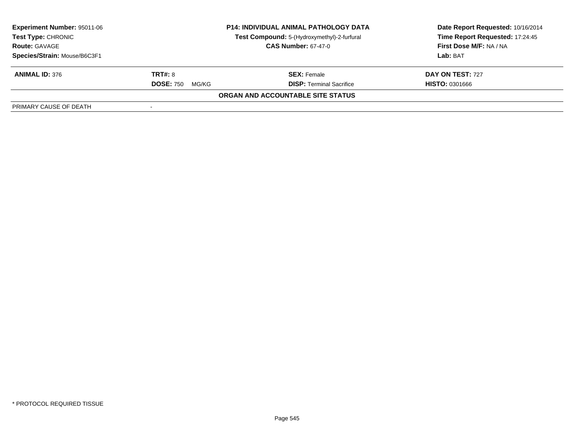| <b>Experiment Number: 95011-06</b><br><b>Test Type: CHRONIC</b><br><b>Route: GAVAGE</b> | <b>P14: INDIVIDUAL ANIMAL PATHOLOGY DATA</b><br>Test Compound: 5-(Hydroxymethyl)-2-furfural<br><b>CAS Number: 67-47-0</b> |                                   | Date Report Requested: 10/16/2014<br>Time Report Requested: 17:24:45<br><b>First Dose M/F: NA / NA</b> |
|-----------------------------------------------------------------------------------------|---------------------------------------------------------------------------------------------------------------------------|-----------------------------------|--------------------------------------------------------------------------------------------------------|
| Species/Strain: Mouse/B6C3F1                                                            |                                                                                                                           |                                   | Lab: BAT                                                                                               |
| <b>ANIMAL ID: 376</b>                                                                   | <b>TRT#: 8</b>                                                                                                            | <b>SEX:</b> Female                | DAY ON TEST: 727                                                                                       |
|                                                                                         | <b>DOSE: 750</b><br>MG/KG                                                                                                 | <b>DISP: Terminal Sacrifice</b>   | <b>HISTO: 0301666</b>                                                                                  |
|                                                                                         |                                                                                                                           | ORGAN AND ACCOUNTABLE SITE STATUS |                                                                                                        |
| PRIMARY CAUSE OF DEATH                                                                  |                                                                                                                           |                                   |                                                                                                        |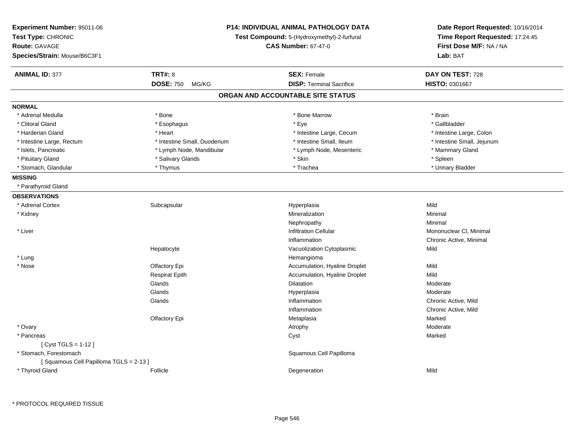| Experiment Number: 95011-06<br>Test Type: CHRONIC<br><b>Route: GAVAGE</b><br>Species/Strain: Mouse/B6C3F1 | P14: INDIVIDUAL ANIMAL PATHOLOGY DATA<br>Test Compound: 5-(Hydroxymethyl)-2-furfural<br><b>CAS Number: 67-47-0</b> |                                   | Date Report Requested: 10/16/2014<br>Time Report Requested: 17:24:45<br>First Dose M/F: NA / NA<br>Lab: BAT |
|-----------------------------------------------------------------------------------------------------------|--------------------------------------------------------------------------------------------------------------------|-----------------------------------|-------------------------------------------------------------------------------------------------------------|
| <b>ANIMAL ID: 377</b>                                                                                     | <b>TRT#: 8</b>                                                                                                     | <b>SEX: Female</b>                | DAY ON TEST: 728                                                                                            |
|                                                                                                           | <b>DOSE: 750</b><br>MG/KG                                                                                          | <b>DISP: Terminal Sacrifice</b>   | HISTO: 0301667                                                                                              |
|                                                                                                           |                                                                                                                    | ORGAN AND ACCOUNTABLE SITE STATUS |                                                                                                             |
| <b>NORMAL</b>                                                                                             |                                                                                                                    |                                   |                                                                                                             |
| * Adrenal Medulla                                                                                         | * Bone                                                                                                             | * Bone Marrow                     | * Brain                                                                                                     |
| * Clitoral Gland                                                                                          | * Esophagus                                                                                                        | * Eye                             | * Gallbladder                                                                                               |
| * Harderian Gland                                                                                         | * Heart                                                                                                            | * Intestine Large, Cecum          | * Intestine Large, Colon                                                                                    |
| * Intestine Large, Rectum                                                                                 | * Intestine Small, Duodenum                                                                                        | * Intestine Small, Ileum          | * Intestine Small, Jejunum                                                                                  |
| * Islets, Pancreatic                                                                                      | * Lymph Node, Mandibular                                                                                           | * Lymph Node, Mesenteric          | * Mammary Gland                                                                                             |
| * Pituitary Gland                                                                                         | * Salivary Glands                                                                                                  | * Skin                            | * Spleen                                                                                                    |
| * Stomach, Glandular                                                                                      | * Thymus                                                                                                           | * Trachea                         | * Urinary Bladder                                                                                           |
| <b>MISSING</b>                                                                                            |                                                                                                                    |                                   |                                                                                                             |
| * Parathyroid Gland                                                                                       |                                                                                                                    |                                   |                                                                                                             |
| <b>OBSERVATIONS</b>                                                                                       |                                                                                                                    |                                   |                                                                                                             |
| * Adrenal Cortex                                                                                          | Subcapsular                                                                                                        | Hyperplasia                       | Mild                                                                                                        |
| * Kidney                                                                                                  |                                                                                                                    | Mineralization                    | Minimal                                                                                                     |
|                                                                                                           |                                                                                                                    | Nephropathy                       | Minimal                                                                                                     |
| * Liver                                                                                                   |                                                                                                                    | <b>Infiltration Cellular</b>      | Mononuclear CI, Minimal                                                                                     |
|                                                                                                           |                                                                                                                    | Inflammation                      | Chronic Active, Minimal                                                                                     |
|                                                                                                           | Hepatocyte                                                                                                         | Vacuolization Cytoplasmic         | Mild                                                                                                        |
| * Lung                                                                                                    |                                                                                                                    | Hemangioma                        |                                                                                                             |
| * Nose                                                                                                    | Olfactory Epi                                                                                                      | Accumulation, Hyaline Droplet     | Mild                                                                                                        |
|                                                                                                           | <b>Respirat Epith</b>                                                                                              | Accumulation, Hyaline Droplet     | Mild                                                                                                        |
|                                                                                                           | Glands                                                                                                             | <b>Dilatation</b>                 | Moderate                                                                                                    |
|                                                                                                           | Glands                                                                                                             | Hyperplasia                       | Moderate                                                                                                    |
|                                                                                                           | Glands                                                                                                             | Inflammation                      | Chronic Active, Mild                                                                                        |
|                                                                                                           |                                                                                                                    | Inflammation                      | Chronic Active, Mild                                                                                        |
|                                                                                                           | Olfactory Epi                                                                                                      | Metaplasia                        | Marked                                                                                                      |
| * Ovary                                                                                                   |                                                                                                                    | Atrophy                           | Moderate                                                                                                    |
| * Pancreas                                                                                                |                                                                                                                    | Cyst                              | Marked                                                                                                      |
| [ Cyst TGLS = 1-12 ]                                                                                      |                                                                                                                    |                                   |                                                                                                             |
| * Stomach, Forestomach                                                                                    |                                                                                                                    | Squamous Cell Papilloma           |                                                                                                             |
| [Squamous Cell Papilloma TGLS = 2-13]                                                                     |                                                                                                                    |                                   |                                                                                                             |
| * Thyroid Gland                                                                                           | Follicle                                                                                                           | Degeneration                      | Mild                                                                                                        |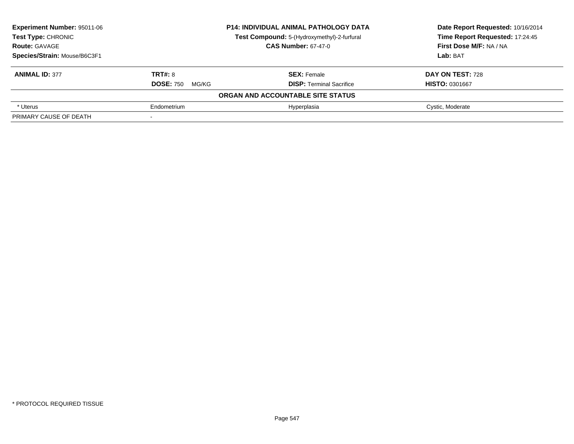| <b>Experiment Number: 95011-06</b> |                            | <b>P14: INDIVIDUAL ANIMAL PATHOLOGY DATA</b> | Date Report Requested: 10/16/2014<br>Time Report Requested: 17:24:45 |  |
|------------------------------------|----------------------------|----------------------------------------------|----------------------------------------------------------------------|--|
| Test Type: CHRONIC                 |                            | Test Compound: 5-(Hydroxymethyl)-2-furfural  |                                                                      |  |
| <b>Route: GAVAGE</b>               | <b>CAS Number: 67-47-0</b> |                                              | First Dose M/F: NA / NA                                              |  |
| Species/Strain: Mouse/B6C3F1       |                            |                                              | Lab: BAT                                                             |  |
| <b>ANIMAL ID: 377</b>              | <b>TRT#: 8</b>             | <b>SEX: Female</b>                           | DAY ON TEST: 728                                                     |  |
|                                    | <b>DOSE: 750</b><br>MG/KG  | <b>DISP: Terminal Sacrifice</b>              | <b>HISTO: 0301667</b>                                                |  |
|                                    |                            | ORGAN AND ACCOUNTABLE SITE STATUS            |                                                                      |  |
| * Uterus                           | Endometrium                | Hyperplasia                                  | Cystic, Moderate                                                     |  |
| PRIMARY CAUSE OF DEATH             |                            |                                              |                                                                      |  |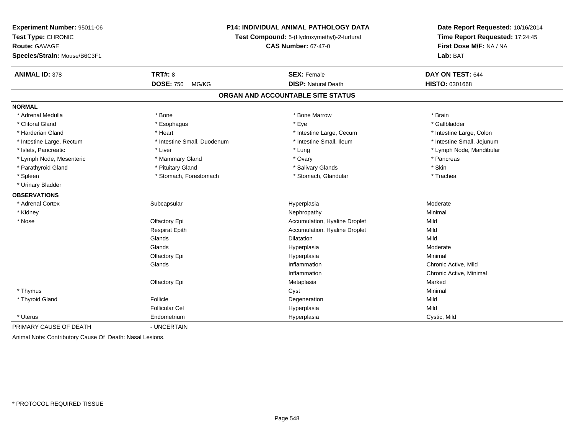| P14: INDIVIDUAL ANIMAL PATHOLOGY DATA<br>Experiment Number: 95011-06 |                                             |                                   | Date Report Requested: 10/16/2014 |
|----------------------------------------------------------------------|---------------------------------------------|-----------------------------------|-----------------------------------|
| Test Type: CHRONIC                                                   | Test Compound: 5-(Hydroxymethyl)-2-furfural |                                   | Time Report Requested: 17:24:45   |
| Route: GAVAGE                                                        |                                             | <b>CAS Number: 67-47-0</b>        | First Dose M/F: NA / NA           |
| Species/Strain: Mouse/B6C3F1                                         |                                             |                                   | Lab: BAT                          |
| <b>ANIMAL ID: 378</b>                                                | <b>TRT#: 8</b>                              | <b>SEX: Female</b>                | DAY ON TEST: 644                  |
|                                                                      | <b>DOSE: 750</b><br>MG/KG                   | <b>DISP: Natural Death</b>        | HISTO: 0301668                    |
|                                                                      |                                             | ORGAN AND ACCOUNTABLE SITE STATUS |                                   |
| <b>NORMAL</b>                                                        |                                             |                                   |                                   |
| * Adrenal Medulla                                                    | * Bone                                      | * Bone Marrow                     | * Brain                           |
| * Clitoral Gland                                                     | * Esophagus                                 | * Eye                             | * Gallbladder                     |
| * Harderian Gland                                                    | * Heart                                     | * Intestine Large, Cecum          | * Intestine Large, Colon          |
| * Intestine Large, Rectum                                            | * Intestine Small, Duodenum                 | * Intestine Small, Ileum          | * Intestine Small, Jejunum        |
| * Islets, Pancreatic                                                 | * Liver                                     | * Lung                            | * Lymph Node, Mandibular          |
| * Lymph Node, Mesenteric                                             | * Mammary Gland                             | * Ovary                           | * Pancreas                        |
| * Parathyroid Gland                                                  | * Pituitary Gland                           | * Salivary Glands                 | * Skin                            |
| * Spleen                                                             | * Stomach, Forestomach                      | * Stomach, Glandular              | * Trachea                         |
| * Urinary Bladder                                                    |                                             |                                   |                                   |
| <b>OBSERVATIONS</b>                                                  |                                             |                                   |                                   |
| * Adrenal Cortex                                                     | Subcapsular                                 | Hyperplasia                       | Moderate                          |
| * Kidney                                                             |                                             | Nephropathy                       | Minimal                           |
| * Nose                                                               | Olfactory Epi                               | Accumulation, Hyaline Droplet     | Mild                              |
|                                                                      | <b>Respirat Epith</b>                       | Accumulation, Hyaline Droplet     | Mild                              |
|                                                                      | Glands                                      | Dilatation                        | Mild                              |
|                                                                      | Glands                                      | Hyperplasia                       | Moderate                          |
|                                                                      | Olfactory Epi                               | Hyperplasia                       | Minimal                           |
|                                                                      | Glands                                      | Inflammation                      | Chronic Active, Mild              |
|                                                                      |                                             | Inflammation                      | Chronic Active, Minimal           |
|                                                                      | Olfactory Epi                               | Metaplasia                        | Marked                            |
| * Thymus                                                             |                                             | Cyst                              | Minimal                           |
| * Thyroid Gland                                                      | Follicle                                    | Degeneration                      | Mild                              |
|                                                                      | <b>Follicular Cel</b>                       | Hyperplasia                       | Mild                              |
| * Uterus                                                             | Endometrium                                 | Hyperplasia                       | Cystic, Mild                      |
| PRIMARY CAUSE OF DEATH                                               | - UNCERTAIN                                 |                                   |                                   |
| Animal Note: Contributory Cause Of Death: Nasal Lesions.             |                                             |                                   |                                   |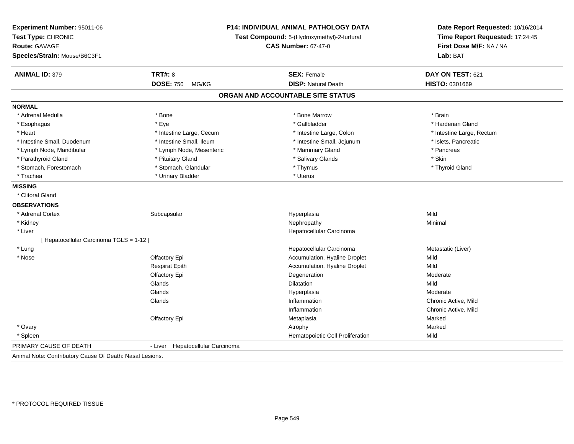| Experiment Number: 95011-06<br>Test Type: CHRONIC<br><b>Route: GAVAGE</b><br>Species/Strain: Mouse/B6C3F1 | <b>P14: INDIVIDUAL ANIMAL PATHOLOGY DATA</b><br>Test Compound: 5-(Hydroxymethyl)-2-furfural<br><b>CAS Number: 67-47-0</b> |                                   | Date Report Requested: 10/16/2014<br>Time Report Requested: 17:24:45<br>First Dose M/F: NA / NA<br>Lab: BAT |  |
|-----------------------------------------------------------------------------------------------------------|---------------------------------------------------------------------------------------------------------------------------|-----------------------------------|-------------------------------------------------------------------------------------------------------------|--|
| <b>ANIMAL ID: 379</b>                                                                                     | <b>TRT#: 8</b>                                                                                                            | <b>SEX: Female</b>                | DAY ON TEST: 621                                                                                            |  |
|                                                                                                           | <b>DOSE: 750</b><br>MG/KG                                                                                                 | <b>DISP: Natural Death</b>        | HISTO: 0301669                                                                                              |  |
|                                                                                                           |                                                                                                                           | ORGAN AND ACCOUNTABLE SITE STATUS |                                                                                                             |  |
| <b>NORMAL</b>                                                                                             |                                                                                                                           |                                   |                                                                                                             |  |
| * Adrenal Medulla                                                                                         | * Bone                                                                                                                    | * Bone Marrow                     | * Brain                                                                                                     |  |
| * Esophagus                                                                                               | * Eye                                                                                                                     | * Gallbladder                     | * Harderian Gland                                                                                           |  |
| * Heart                                                                                                   | * Intestine Large, Cecum                                                                                                  | * Intestine Large, Colon          | * Intestine Large, Rectum                                                                                   |  |
| * Intestine Small, Duodenum                                                                               | * Intestine Small, Ileum                                                                                                  | * Intestine Small, Jejunum        | * Islets, Pancreatic                                                                                        |  |
| * Lymph Node, Mandibular                                                                                  | * Lymph Node, Mesenteric                                                                                                  | * Mammary Gland                   | * Pancreas                                                                                                  |  |
| * Parathyroid Gland                                                                                       | * Pituitary Gland                                                                                                         | * Salivary Glands                 | * Skin                                                                                                      |  |
| * Stomach, Forestomach                                                                                    | * Stomach, Glandular                                                                                                      | * Thymus                          | * Thyroid Gland                                                                                             |  |
| * Trachea                                                                                                 | * Urinary Bladder                                                                                                         | * Uterus                          |                                                                                                             |  |
| <b>MISSING</b>                                                                                            |                                                                                                                           |                                   |                                                                                                             |  |
| * Clitoral Gland                                                                                          |                                                                                                                           |                                   |                                                                                                             |  |
| <b>OBSERVATIONS</b>                                                                                       |                                                                                                                           |                                   |                                                                                                             |  |
| * Adrenal Cortex                                                                                          | Subcapsular                                                                                                               | Hyperplasia                       | Mild                                                                                                        |  |
| * Kidney                                                                                                  |                                                                                                                           | Nephropathy                       | Minimal                                                                                                     |  |
| * Liver                                                                                                   |                                                                                                                           | Hepatocellular Carcinoma          |                                                                                                             |  |
| [Hepatocellular Carcinoma TGLS = 1-12]                                                                    |                                                                                                                           |                                   |                                                                                                             |  |
| * Lung                                                                                                    |                                                                                                                           | Hepatocellular Carcinoma          | Metastatic (Liver)                                                                                          |  |
| * Nose                                                                                                    | Olfactory Epi                                                                                                             | Accumulation, Hyaline Droplet     | Mild                                                                                                        |  |
|                                                                                                           | <b>Respirat Epith</b>                                                                                                     | Accumulation, Hyaline Droplet     | Mild                                                                                                        |  |
|                                                                                                           | Olfactory Epi                                                                                                             | Degeneration                      | Moderate                                                                                                    |  |
|                                                                                                           | Glands                                                                                                                    | Dilatation                        | Mild                                                                                                        |  |
|                                                                                                           | Glands                                                                                                                    | Hyperplasia                       | Moderate                                                                                                    |  |
|                                                                                                           | Glands                                                                                                                    | Inflammation                      | Chronic Active, Mild                                                                                        |  |
|                                                                                                           |                                                                                                                           | Inflammation                      | Chronic Active, Mild                                                                                        |  |
|                                                                                                           | Olfactory Epi                                                                                                             | Metaplasia                        | Marked                                                                                                      |  |
| * Ovary                                                                                                   |                                                                                                                           | Atrophy                           | Marked                                                                                                      |  |
| * Spleen                                                                                                  |                                                                                                                           | Hematopoietic Cell Proliferation  | Mild                                                                                                        |  |
| PRIMARY CAUSE OF DEATH                                                                                    | - Liver<br>Hepatocellular Carcinoma                                                                                       |                                   |                                                                                                             |  |
| Animal Note: Contributory Cause Of Death: Nasal Lesions.                                                  |                                                                                                                           |                                   |                                                                                                             |  |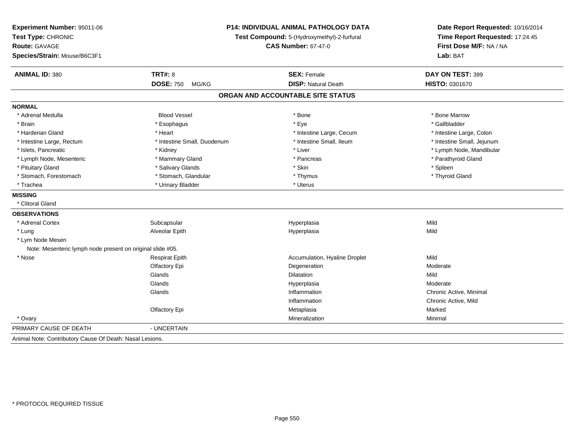| Experiment Number: 95011-06<br>Test Type: CHRONIC          |                             | P14: INDIVIDUAL ANIMAL PATHOLOGY DATA<br>Test Compound: 5-(Hydroxymethyl)-2-furfural | Date Report Requested: 10/16/2014<br>Time Report Requested: 17:24:45 |
|------------------------------------------------------------|-----------------------------|--------------------------------------------------------------------------------------|----------------------------------------------------------------------|
| <b>Route: GAVAGE</b>                                       |                             | <b>CAS Number: 67-47-0</b>                                                           | First Dose M/F: NA / NA                                              |
| Species/Strain: Mouse/B6C3F1                               |                             |                                                                                      | Lab: BAT                                                             |
| <b>ANIMAL ID: 380</b>                                      | <b>TRT#: 8</b>              | <b>SEX: Female</b>                                                                   | DAY ON TEST: 399                                                     |
|                                                            | <b>DOSE: 750</b><br>MG/KG   | <b>DISP: Natural Death</b>                                                           | HISTO: 0301670                                                       |
|                                                            |                             | ORGAN AND ACCOUNTABLE SITE STATUS                                                    |                                                                      |
| <b>NORMAL</b>                                              |                             |                                                                                      |                                                                      |
| * Adrenal Medulla                                          | <b>Blood Vessel</b>         | * Bone                                                                               | * Bone Marrow                                                        |
| * Brain                                                    | * Esophagus                 | * Eye                                                                                | * Gallbladder                                                        |
| * Harderian Gland                                          | * Heart                     | * Intestine Large, Cecum                                                             | * Intestine Large, Colon                                             |
| * Intestine Large, Rectum                                  | * Intestine Small, Duodenum | * Intestine Small, Ileum                                                             | * Intestine Small, Jejunum                                           |
| * Islets, Pancreatic                                       | * Kidney                    | * Liver                                                                              | * Lymph Node, Mandibular                                             |
| * Lymph Node, Mesenteric                                   | * Mammary Gland             | * Pancreas                                                                           | * Parathyroid Gland                                                  |
| * Pituitary Gland                                          | * Salivary Glands           | * Skin                                                                               | * Spleen                                                             |
| * Stomach, Forestomach                                     | * Stomach, Glandular        | * Thymus                                                                             | * Thyroid Gland                                                      |
| * Trachea                                                  | * Urinary Bladder           | * Uterus                                                                             |                                                                      |
| <b>MISSING</b>                                             |                             |                                                                                      |                                                                      |
| * Clitoral Gland                                           |                             |                                                                                      |                                                                      |
| <b>OBSERVATIONS</b>                                        |                             |                                                                                      |                                                                      |
| * Adrenal Cortex                                           | Subcapsular                 | Hyperplasia                                                                          | Mild                                                                 |
| * Lung                                                     | Alveolar Epith              | Hyperplasia                                                                          | Mild                                                                 |
| * Lym Node Mesen                                           |                             |                                                                                      |                                                                      |
| Note: Mesenteric lymph node present on original slide #05. |                             |                                                                                      |                                                                      |
| * Nose                                                     | <b>Respirat Epith</b>       | Accumulation, Hyaline Droplet                                                        | Mild                                                                 |
|                                                            | Olfactory Epi               | Degeneration                                                                         | Moderate                                                             |
|                                                            | Glands                      | <b>Dilatation</b>                                                                    | Mild                                                                 |
|                                                            | Glands                      | Hyperplasia                                                                          | Moderate                                                             |
|                                                            | Glands                      | Inflammation                                                                         | Chronic Active, Minimal                                              |
|                                                            |                             | Inflammation                                                                         | Chronic Active, Mild                                                 |
|                                                            | Olfactory Epi               | Metaplasia                                                                           | Marked                                                               |
| * Ovary                                                    |                             | Mineralization                                                                       | Minimal                                                              |
| PRIMARY CAUSE OF DEATH                                     | - UNCERTAIN                 |                                                                                      |                                                                      |
| Animal Note: Contributory Cause Of Death: Nasal Lesions.   |                             |                                                                                      |                                                                      |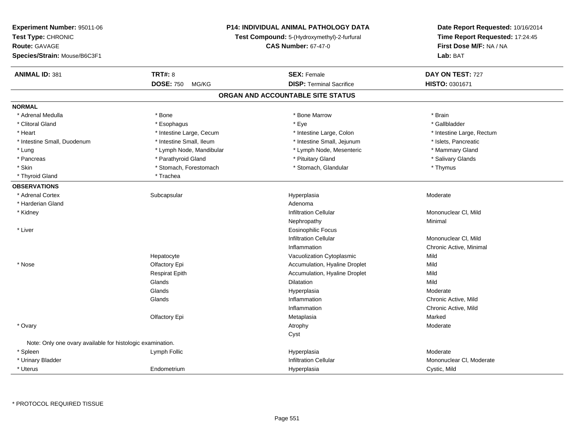| Experiment Number: 95011-06                                |                                             | <b>P14: INDIVIDUAL ANIMAL PATHOLOGY DATA</b> | Date Report Requested: 10/16/2014 |
|------------------------------------------------------------|---------------------------------------------|----------------------------------------------|-----------------------------------|
| Test Type: CHRONIC                                         | Test Compound: 5-(Hydroxymethyl)-2-furfural |                                              | Time Report Requested: 17:24:45   |
| <b>Route: GAVAGE</b>                                       |                                             | <b>CAS Number: 67-47-0</b>                   | First Dose M/F: NA / NA           |
| Species/Strain: Mouse/B6C3F1                               |                                             |                                              | Lab: BAT                          |
| <b>ANIMAL ID: 381</b>                                      | <b>TRT#: 8</b>                              | <b>SEX: Female</b>                           | DAY ON TEST: 727                  |
|                                                            | <b>DOSE: 750</b><br>MG/KG                   | <b>DISP: Terminal Sacrifice</b>              | HISTO: 0301671                    |
|                                                            |                                             | ORGAN AND ACCOUNTABLE SITE STATUS            |                                   |
| <b>NORMAL</b>                                              |                                             |                                              |                                   |
| * Adrenal Medulla                                          | * Bone                                      | * Bone Marrow                                | * Brain                           |
| * Clitoral Gland                                           | * Esophagus                                 | * Eye                                        | * Gallbladder                     |
| * Heart                                                    | * Intestine Large, Cecum                    | * Intestine Large, Colon                     | * Intestine Large, Rectum         |
| * Intestine Small, Duodenum                                | * Intestine Small, Ileum                    | * Intestine Small, Jejunum                   | * Islets, Pancreatic              |
| * Lung                                                     | * Lymph Node, Mandibular                    | * Lymph Node, Mesenteric                     | * Mammary Gland                   |
| * Pancreas                                                 | * Parathyroid Gland                         | * Pituitary Gland                            | * Salivary Glands                 |
| * Skin                                                     | * Stomach, Forestomach                      | * Stomach, Glandular                         | * Thymus                          |
| * Thyroid Gland                                            | * Trachea                                   |                                              |                                   |
| <b>OBSERVATIONS</b>                                        |                                             |                                              |                                   |
| * Adrenal Cortex                                           | Subcapsular                                 | Hyperplasia                                  | Moderate                          |
| * Harderian Gland                                          |                                             | Adenoma                                      |                                   |
| * Kidney                                                   |                                             | <b>Infiltration Cellular</b>                 | Mononuclear CI, Mild              |
|                                                            |                                             | Nephropathy                                  | Minimal                           |
| * Liver                                                    |                                             | <b>Eosinophilic Focus</b>                    |                                   |
|                                                            |                                             | <b>Infiltration Cellular</b>                 | Mononuclear CI, Mild              |
|                                                            |                                             | Inflammation                                 | Chronic Active, Minimal           |
|                                                            | Hepatocyte                                  | Vacuolization Cytoplasmic                    | Mild                              |
| * Nose                                                     | Olfactory Epi                               | Accumulation, Hyaline Droplet                | Mild                              |
|                                                            | <b>Respirat Epith</b>                       | Accumulation, Hyaline Droplet                | Mild                              |
|                                                            | Glands                                      | Dilatation                                   | Mild                              |
|                                                            | Glands                                      | Hyperplasia                                  | Moderate                          |
|                                                            | Glands                                      | Inflammation                                 | Chronic Active, Mild              |
|                                                            |                                             | Inflammation                                 | Chronic Active, Mild              |
|                                                            | Olfactory Epi                               | Metaplasia                                   | Marked                            |
| * Ovary                                                    |                                             | Atrophy                                      | Moderate                          |
|                                                            |                                             | Cyst                                         |                                   |
| Note: Only one ovary available for histologic examination. |                                             |                                              |                                   |
| * Spleen                                                   | Lymph Follic                                | Hyperplasia                                  | Moderate                          |
| * Urinary Bladder                                          |                                             | <b>Infiltration Cellular</b>                 | Mononuclear CI, Moderate          |
| * Uterus                                                   | Endometrium                                 | Hyperplasia                                  | Cystic, Mild                      |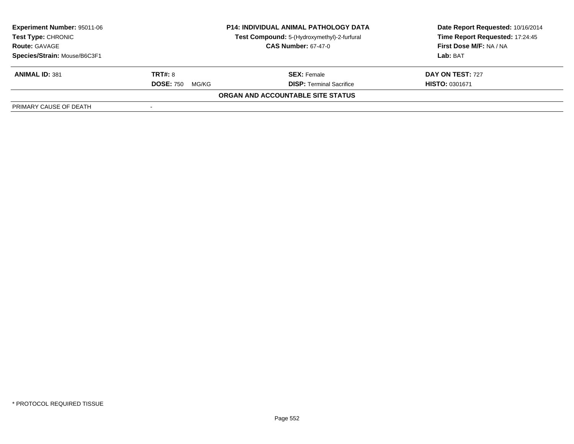| <b>Experiment Number: 95011-06</b><br><b>Test Type: CHRONIC</b><br><b>Route: GAVAGE</b> | <b>P14: INDIVIDUAL ANIMAL PATHOLOGY DATA</b><br>Test Compound: 5-(Hydroxymethyl)-2-furfural<br><b>CAS Number: 67-47-0</b> |                                   | Date Report Requested: 10/16/2014<br>Time Report Requested: 17:24:45<br>First Dose M/F: NA / NA |
|-----------------------------------------------------------------------------------------|---------------------------------------------------------------------------------------------------------------------------|-----------------------------------|-------------------------------------------------------------------------------------------------|
| Species/Strain: Mouse/B6C3F1                                                            |                                                                                                                           |                                   | Lab: BAT                                                                                        |
| <b>ANIMAL ID: 381</b>                                                                   | <b>TRT#: 8</b>                                                                                                            | <b>SEX: Female</b>                | DAY ON TEST: 727                                                                                |
|                                                                                         | <b>DOSE: 750</b><br>MG/KG                                                                                                 | <b>DISP: Terminal Sacrifice</b>   | <b>HISTO: 0301671</b>                                                                           |
|                                                                                         |                                                                                                                           | ORGAN AND ACCOUNTABLE SITE STATUS |                                                                                                 |
| PRIMARY CAUSE OF DEATH                                                                  |                                                                                                                           |                                   |                                                                                                 |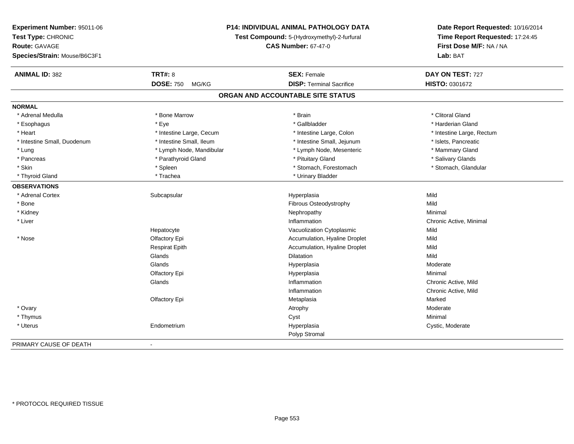| Experiment Number: 95011-06  | P14: INDIVIDUAL ANIMAL PATHOLOGY DATA<br>Test Compound: 5-(Hydroxymethyl)-2-furfural<br><b>CAS Number: 67-47-0</b> |                                   | Date Report Requested: 10/16/2014<br>Time Report Requested: 17:24:45<br>First Dose M/F: NA / NA |
|------------------------------|--------------------------------------------------------------------------------------------------------------------|-----------------------------------|-------------------------------------------------------------------------------------------------|
| Test Type: CHRONIC           |                                                                                                                    |                                   |                                                                                                 |
| Route: GAVAGE                |                                                                                                                    |                                   |                                                                                                 |
| Species/Strain: Mouse/B6C3F1 |                                                                                                                    |                                   | Lab: BAT                                                                                        |
| <b>ANIMAL ID: 382</b>        | <b>TRT#: 8</b>                                                                                                     | <b>SEX: Female</b>                | DAY ON TEST: 727                                                                                |
|                              | <b>DOSE: 750</b><br>MG/KG                                                                                          | <b>DISP: Terminal Sacrifice</b>   | HISTO: 0301672                                                                                  |
|                              |                                                                                                                    | ORGAN AND ACCOUNTABLE SITE STATUS |                                                                                                 |
| <b>NORMAL</b>                |                                                                                                                    |                                   |                                                                                                 |
| * Adrenal Medulla            | * Bone Marrow                                                                                                      | * Brain                           | * Clitoral Gland                                                                                |
| * Esophagus                  | * Eye                                                                                                              | * Gallbladder                     | * Harderian Gland                                                                               |
| * Heart                      | * Intestine Large, Cecum                                                                                           | * Intestine Large, Colon          | * Intestine Large, Rectum                                                                       |
| * Intestine Small, Duodenum  | * Intestine Small, Ileum                                                                                           | * Intestine Small, Jejunum        | * Islets, Pancreatic                                                                            |
| * Lung                       | * Lymph Node, Mandibular                                                                                           | * Lymph Node, Mesenteric          | * Mammary Gland                                                                                 |
| * Pancreas                   | * Parathyroid Gland                                                                                                | * Pituitary Gland                 | * Salivary Glands                                                                               |
| * Skin                       | * Spleen                                                                                                           | * Stomach, Forestomach            | * Stomach, Glandular                                                                            |
| * Thyroid Gland              | * Trachea                                                                                                          | * Urinary Bladder                 |                                                                                                 |
| <b>OBSERVATIONS</b>          |                                                                                                                    |                                   |                                                                                                 |
| * Adrenal Cortex             | Subcapsular                                                                                                        | Hyperplasia                       | Mild                                                                                            |
| * Bone                       |                                                                                                                    | Fibrous Osteodystrophy            | Mild                                                                                            |
| * Kidney                     |                                                                                                                    | Nephropathy                       | Minimal                                                                                         |
| * Liver                      |                                                                                                                    | Inflammation                      | Chronic Active, Minimal                                                                         |
|                              | Hepatocyte                                                                                                         | Vacuolization Cytoplasmic         | Mild                                                                                            |
| * Nose                       | Olfactory Epi                                                                                                      | Accumulation, Hyaline Droplet     | Mild                                                                                            |
|                              | <b>Respirat Epith</b>                                                                                              | Accumulation, Hyaline Droplet     | Mild                                                                                            |
|                              | Glands                                                                                                             | <b>Dilatation</b>                 | Mild                                                                                            |
|                              | Glands                                                                                                             | Hyperplasia                       | Moderate                                                                                        |
|                              | Olfactory Epi                                                                                                      | Hyperplasia                       | Minimal                                                                                         |
|                              | Glands                                                                                                             | Inflammation                      | Chronic Active, Mild                                                                            |
|                              |                                                                                                                    | Inflammation                      | Chronic Active, Mild                                                                            |
|                              | Olfactory Epi                                                                                                      | Metaplasia                        | Marked                                                                                          |
| * Ovary                      |                                                                                                                    | Atrophy                           | Moderate                                                                                        |
| * Thymus                     |                                                                                                                    | Cyst                              | Minimal                                                                                         |
| * Uterus                     | Endometrium                                                                                                        | Hyperplasia                       | Cystic, Moderate                                                                                |
|                              |                                                                                                                    | Polyp Stromal                     |                                                                                                 |
| PRIMARY CAUSE OF DEATH       |                                                                                                                    |                                   |                                                                                                 |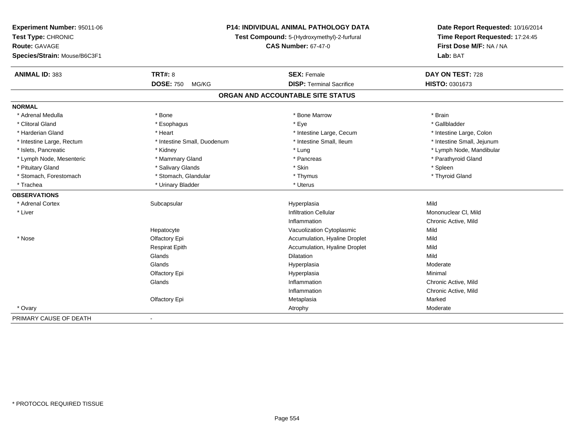| Experiment Number: 95011-06  | P14: INDIVIDUAL ANIMAL PATHOLOGY DATA<br>Test Compound: 5-(Hydroxymethyl)-2-furfural<br><b>CAS Number: 67-47-0</b> |                                   | Date Report Requested: 10/16/2014<br>Time Report Requested: 17:24:45<br>First Dose M/F: NA / NA |
|------------------------------|--------------------------------------------------------------------------------------------------------------------|-----------------------------------|-------------------------------------------------------------------------------------------------|
| Test Type: CHRONIC           |                                                                                                                    |                                   |                                                                                                 |
| <b>Route: GAVAGE</b>         |                                                                                                                    |                                   |                                                                                                 |
| Species/Strain: Mouse/B6C3F1 |                                                                                                                    |                                   | Lab: BAT                                                                                        |
| <b>ANIMAL ID: 383</b>        | <b>TRT#: 8</b>                                                                                                     | <b>SEX: Female</b>                | DAY ON TEST: 728                                                                                |
|                              | <b>DOSE: 750</b><br>MG/KG                                                                                          | <b>DISP: Terminal Sacrifice</b>   | HISTO: 0301673                                                                                  |
|                              |                                                                                                                    | ORGAN AND ACCOUNTABLE SITE STATUS |                                                                                                 |
| <b>NORMAL</b>                |                                                                                                                    |                                   |                                                                                                 |
| * Adrenal Medulla            | * Bone                                                                                                             | * Bone Marrow                     | * Brain                                                                                         |
| * Clitoral Gland             | * Esophagus                                                                                                        | * Eye                             | * Gallbladder                                                                                   |
| * Harderian Gland            | * Heart                                                                                                            | * Intestine Large, Cecum          | * Intestine Large, Colon                                                                        |
| * Intestine Large, Rectum    | * Intestine Small, Duodenum                                                                                        | * Intestine Small, Ileum          | * Intestine Small, Jejunum                                                                      |
| * Islets, Pancreatic         | * Kidney                                                                                                           | * Lung                            | * Lymph Node, Mandibular                                                                        |
| * Lymph Node, Mesenteric     | * Mammary Gland                                                                                                    | * Pancreas                        | * Parathyroid Gland                                                                             |
| * Pituitary Gland            | * Salivary Glands                                                                                                  | * Skin                            | * Spleen                                                                                        |
| * Stomach, Forestomach       | * Stomach, Glandular                                                                                               | * Thymus                          | * Thyroid Gland                                                                                 |
| * Trachea                    | * Urinary Bladder                                                                                                  | * Uterus                          |                                                                                                 |
| <b>OBSERVATIONS</b>          |                                                                                                                    |                                   |                                                                                                 |
| * Adrenal Cortex             | Subcapsular                                                                                                        | Hyperplasia                       | Mild                                                                                            |
| * Liver                      |                                                                                                                    | <b>Infiltration Cellular</b>      | Mononuclear CI, Mild                                                                            |
|                              |                                                                                                                    | Inflammation                      | Chronic Active, Mild                                                                            |
|                              | Hepatocyte                                                                                                         | Vacuolization Cytoplasmic         | Mild                                                                                            |
| * Nose                       | Olfactory Epi                                                                                                      | Accumulation, Hyaline Droplet     | Mild                                                                                            |
|                              | <b>Respirat Epith</b>                                                                                              | Accumulation, Hyaline Droplet     | Mild                                                                                            |
|                              | Glands                                                                                                             | Dilatation                        | Mild                                                                                            |
|                              | Glands                                                                                                             | Hyperplasia                       | Moderate                                                                                        |
|                              | Olfactory Epi                                                                                                      | Hyperplasia                       | Minimal                                                                                         |
|                              | Glands                                                                                                             | Inflammation                      | Chronic Active, Mild                                                                            |
|                              |                                                                                                                    | Inflammation                      | Chronic Active, Mild                                                                            |
|                              | Olfactory Epi                                                                                                      | Metaplasia                        | Marked                                                                                          |
| * Ovary                      |                                                                                                                    | Atrophy                           | Moderate                                                                                        |
| PRIMARY CAUSE OF DEATH       | $\blacksquare$                                                                                                     |                                   |                                                                                                 |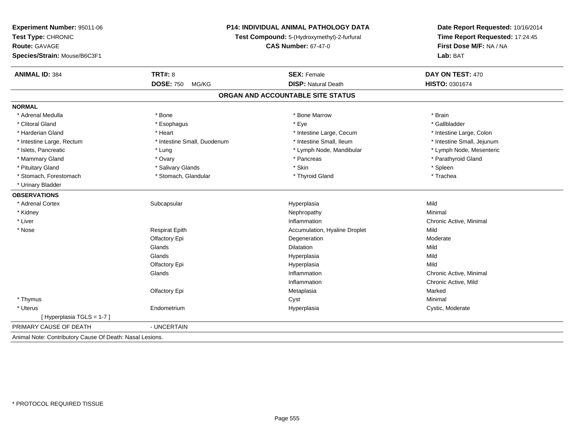| Experiment Number: 95011-06                              | <b>P14: INDIVIDUAL ANIMAL PATHOLOGY DATA</b><br>Test Compound: 5-(Hydroxymethyl)-2-furfural<br><b>CAS Number: 67-47-0</b> |                                   | Date Report Requested: 10/16/2014<br>Time Report Requested: 17:24:45<br>First Dose M/F: NA / NA |
|----------------------------------------------------------|---------------------------------------------------------------------------------------------------------------------------|-----------------------------------|-------------------------------------------------------------------------------------------------|
| Test Type: CHRONIC                                       |                                                                                                                           |                                   |                                                                                                 |
| Route: GAVAGE                                            |                                                                                                                           |                                   |                                                                                                 |
| Species/Strain: Mouse/B6C3F1                             |                                                                                                                           |                                   | Lab: BAT                                                                                        |
|                                                          |                                                                                                                           |                                   |                                                                                                 |
| <b>ANIMAL ID: 384</b>                                    | <b>TRT#: 8</b>                                                                                                            | <b>SEX: Female</b>                | DAY ON TEST: 470                                                                                |
|                                                          | <b>DOSE: 750</b><br>MG/KG                                                                                                 | <b>DISP: Natural Death</b>        | HISTO: 0301674                                                                                  |
|                                                          |                                                                                                                           | ORGAN AND ACCOUNTABLE SITE STATUS |                                                                                                 |
| <b>NORMAL</b>                                            |                                                                                                                           |                                   |                                                                                                 |
| * Adrenal Medulla                                        | * Bone                                                                                                                    | * Bone Marrow                     | * Brain                                                                                         |
| * Clitoral Gland                                         | * Esophagus                                                                                                               | * Eye                             | * Gallbladder                                                                                   |
| * Harderian Gland                                        | * Heart                                                                                                                   | * Intestine Large, Cecum          | * Intestine Large, Colon                                                                        |
| * Intestine Large, Rectum                                | * Intestine Small, Duodenum                                                                                               | * Intestine Small, Ileum          | * Intestine Small, Jejunum                                                                      |
| * Islets, Pancreatic                                     | * Lung                                                                                                                    | * Lymph Node, Mandibular          | * Lymph Node, Mesenteric                                                                        |
| * Mammary Gland                                          | * Ovary                                                                                                                   | * Pancreas                        | * Parathyroid Gland                                                                             |
| * Pituitary Gland                                        | * Salivary Glands                                                                                                         | * Skin                            | * Spleen                                                                                        |
| * Stomach, Forestomach                                   | * Stomach, Glandular                                                                                                      | * Thyroid Gland                   | * Trachea                                                                                       |
| * Urinary Bladder                                        |                                                                                                                           |                                   |                                                                                                 |
| <b>OBSERVATIONS</b>                                      |                                                                                                                           |                                   |                                                                                                 |
| * Adrenal Cortex                                         | Subcapsular                                                                                                               | Hyperplasia                       | Mild                                                                                            |
| * Kidney                                                 |                                                                                                                           | Nephropathy                       | Minimal                                                                                         |
| * Liver                                                  |                                                                                                                           | Inflammation                      | Chronic Active, Minimal                                                                         |
| * Nose                                                   | <b>Respirat Epith</b>                                                                                                     | Accumulation, Hyaline Droplet     | Mild                                                                                            |
|                                                          | Olfactory Epi                                                                                                             | Degeneration                      | Moderate                                                                                        |
|                                                          | Glands                                                                                                                    | Dilatation                        | Mild                                                                                            |
|                                                          | Glands                                                                                                                    | Hyperplasia                       | Mild                                                                                            |
|                                                          | Olfactory Epi                                                                                                             | Hyperplasia                       | Mild                                                                                            |
|                                                          | Glands                                                                                                                    | Inflammation                      | Chronic Active, Minimal                                                                         |
|                                                          |                                                                                                                           | Inflammation                      | Chronic Active, Mild                                                                            |
|                                                          | Olfactory Epi                                                                                                             | Metaplasia                        | Marked                                                                                          |
| * Thymus                                                 |                                                                                                                           | Cyst                              | Minimal                                                                                         |
| * Uterus                                                 | Endometrium                                                                                                               | Hyperplasia                       | Cystic, Moderate                                                                                |
| [Hyperplasia TGLS = 1-7]                                 |                                                                                                                           |                                   |                                                                                                 |
| PRIMARY CAUSE OF DEATH                                   | - UNCERTAIN                                                                                                               |                                   |                                                                                                 |
| Animal Note: Contributory Cause Of Death: Nasal Lesions. |                                                                                                                           |                                   |                                                                                                 |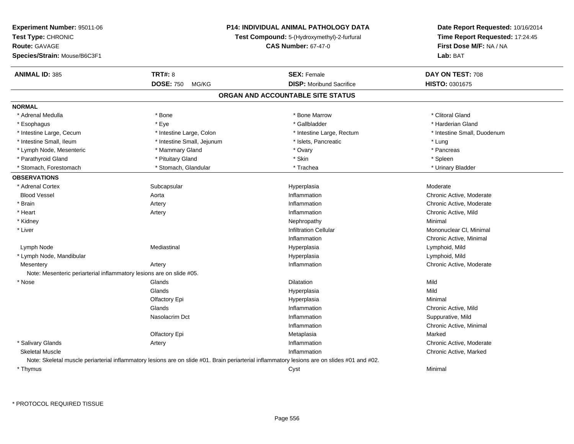| Experiment Number: 95011-06                                          |                            | P14: INDIVIDUAL ANIMAL PATHOLOGY DATA                                                                                                        | Date Report Requested: 10/16/2014                          |  |
|----------------------------------------------------------------------|----------------------------|----------------------------------------------------------------------------------------------------------------------------------------------|------------------------------------------------------------|--|
| Test Type: CHRONIC                                                   |                            | Test Compound: 5-(Hydroxymethyl)-2-furfural                                                                                                  | Time Report Requested: 17:24:45<br>First Dose M/F: NA / NA |  |
| Route: GAVAGE                                                        |                            | <b>CAS Number: 67-47-0</b>                                                                                                                   |                                                            |  |
| Species/Strain: Mouse/B6C3F1                                         |                            |                                                                                                                                              | Lab: BAT                                                   |  |
| <b>ANIMAL ID: 385</b>                                                | <b>TRT#: 8</b>             | <b>SEX: Female</b>                                                                                                                           | DAY ON TEST: 708                                           |  |
|                                                                      |                            |                                                                                                                                              |                                                            |  |
|                                                                      | <b>DOSE: 750</b><br>MG/KG  | <b>DISP:</b> Moribund Sacrifice                                                                                                              | HISTO: 0301675                                             |  |
|                                                                      |                            | ORGAN AND ACCOUNTABLE SITE STATUS                                                                                                            |                                                            |  |
| <b>NORMAL</b>                                                        |                            |                                                                                                                                              |                                                            |  |
| * Adrenal Medulla                                                    | * Bone                     | * Bone Marrow                                                                                                                                | * Clitoral Gland                                           |  |
| * Esophagus                                                          | * Eye                      | * Gallbladder                                                                                                                                | * Harderian Gland                                          |  |
| * Intestine Large, Cecum                                             | * Intestine Large, Colon   | * Intestine Large, Rectum                                                                                                                    | * Intestine Small, Duodenum                                |  |
| * Intestine Small, Ileum                                             | * Intestine Small, Jejunum | * Islets, Pancreatic                                                                                                                         | * Lung                                                     |  |
| * Lymph Node, Mesenteric                                             | * Mammary Gland            | * Ovary                                                                                                                                      | * Pancreas                                                 |  |
| * Parathyroid Gland                                                  | * Pituitary Gland          | * Skin                                                                                                                                       | * Spleen                                                   |  |
| * Stomach, Forestomach                                               | * Stomach, Glandular       | * Trachea                                                                                                                                    | * Urinary Bladder                                          |  |
| <b>OBSERVATIONS</b>                                                  |                            |                                                                                                                                              |                                                            |  |
| * Adrenal Cortex                                                     | Subcapsular                | Hyperplasia                                                                                                                                  | Moderate                                                   |  |
| <b>Blood Vessel</b>                                                  | Aorta                      | Inflammation                                                                                                                                 | Chronic Active, Moderate                                   |  |
| * Brain                                                              | Artery                     | Inflammation                                                                                                                                 | Chronic Active, Moderate                                   |  |
| * Heart                                                              | Artery                     | Inflammation                                                                                                                                 | Chronic Active, Mild                                       |  |
| * Kidney                                                             |                            | Nephropathy                                                                                                                                  | Minimal                                                    |  |
| * Liver                                                              |                            | <b>Infiltration Cellular</b>                                                                                                                 | Mononuclear CI, Minimal                                    |  |
|                                                                      |                            | Inflammation                                                                                                                                 | Chronic Active, Minimal                                    |  |
| Lymph Node                                                           | Mediastinal                | Hyperplasia                                                                                                                                  | Lymphoid, Mild                                             |  |
| * Lymph Node, Mandibular                                             |                            | Hyperplasia                                                                                                                                  | Lymphoid, Mild                                             |  |
| Mesentery                                                            | Artery                     | Inflammation                                                                                                                                 | Chronic Active, Moderate                                   |  |
| Note: Mesenteric periarterial inflammatory lesions are on slide #05. |                            |                                                                                                                                              |                                                            |  |
| * Nose                                                               | Glands                     | Dilatation                                                                                                                                   | Mild                                                       |  |
|                                                                      | Glands                     | Hyperplasia                                                                                                                                  | Mild                                                       |  |
|                                                                      | Olfactory Epi              | Hyperplasia                                                                                                                                  | Minimal                                                    |  |
|                                                                      | Glands                     | Inflammation                                                                                                                                 | Chronic Active, Mild                                       |  |
|                                                                      | Nasolacrim Dct             | Inflammation                                                                                                                                 | Suppurative, Mild                                          |  |
|                                                                      |                            | Inflammation                                                                                                                                 | Chronic Active, Minimal                                    |  |
|                                                                      | Olfactory Epi              | Metaplasia                                                                                                                                   | Marked                                                     |  |
| * Salivary Glands                                                    | Artery                     | Inflammation                                                                                                                                 | Chronic Active, Moderate                                   |  |
| <b>Skeletal Muscle</b>                                               |                            | Inflammation                                                                                                                                 | Chronic Active, Marked                                     |  |
|                                                                      |                            | Note: Skeletal muscle periarterial inflammatory lesions are on slide #01. Brain periarterial inflammatory lesions are on slides #01 and #02. |                                                            |  |
| * Thymus                                                             |                            | Cyst                                                                                                                                         | Minimal                                                    |  |
|                                                                      |                            |                                                                                                                                              |                                                            |  |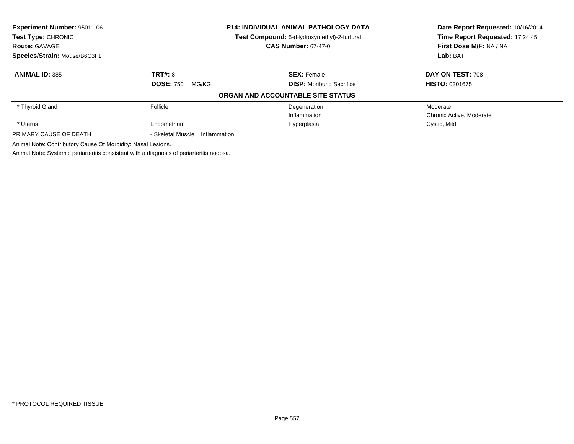| Experiment Number: 95011-06<br><b>P14: INDIVIDUAL ANIMAL PATHOLOGY DATA</b><br>Test Type: CHRONIC<br>Test Compound: 5-(Hydroxymethyl)-2-furfural |                                   |                                   | Date Report Requested: 10/16/2014 |
|--------------------------------------------------------------------------------------------------------------------------------------------------|-----------------------------------|-----------------------------------|-----------------------------------|
|                                                                                                                                                  |                                   | Time Report Requested: 17:24:45   |                                   |
| <b>Route: GAVAGE</b>                                                                                                                             |                                   | <b>CAS Number: 67-47-0</b>        | First Dose M/F: NA / NA           |
| Species/Strain: Mouse/B6C3F1                                                                                                                     |                                   |                                   | Lab: BAT                          |
| <b>ANIMAL ID: 385</b>                                                                                                                            | <b>TRT#: 8</b>                    | <b>SEX: Female</b>                | DAY ON TEST: 708                  |
|                                                                                                                                                  | <b>DOSE: 750</b><br>MG/KG         | <b>DISP:</b> Moribund Sacrifice   | <b>HISTO: 0301675</b>             |
|                                                                                                                                                  |                                   | ORGAN AND ACCOUNTABLE SITE STATUS |                                   |
| * Thyroid Gland                                                                                                                                  | Follicle                          | Degeneration                      | Moderate                          |
|                                                                                                                                                  |                                   | Inflammation                      | Chronic Active, Moderate          |
| * Uterus                                                                                                                                         | Endometrium                       | Hyperplasia                       | Cystic, Mild                      |
| PRIMARY CAUSE OF DEATH                                                                                                                           | - Skeletal Muscle<br>Inflammation |                                   |                                   |
| Animal Note: Contributory Cause Of Morbidity: Nasal Lesions.                                                                                     |                                   |                                   |                                   |
| Animal Note: Systemic periarteritis consistent with a diagnosis of periarteritis nodosa.                                                         |                                   |                                   |                                   |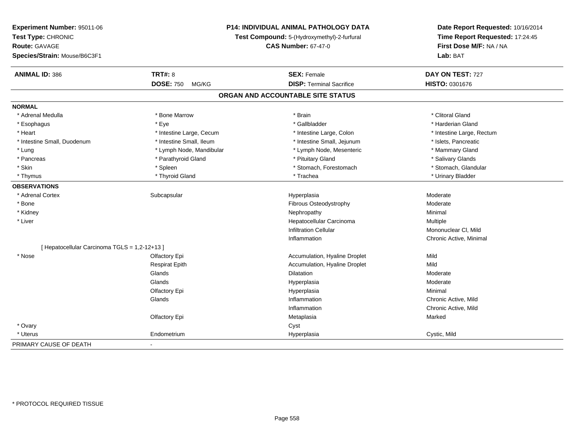| <b>Experiment Number: 95011-06</b>            |                           | <b>P14: INDIVIDUAL ANIMAL PATHOLOGY DATA</b> | Date Report Requested: 10/16/2014<br>Time Report Requested: 17:24:45 |
|-----------------------------------------------|---------------------------|----------------------------------------------|----------------------------------------------------------------------|
| Test Type: CHRONIC                            |                           | Test Compound: 5-(Hydroxymethyl)-2-furfural  |                                                                      |
| Route: GAVAGE                                 |                           | <b>CAS Number: 67-47-0</b>                   | First Dose M/F: NA / NA                                              |
| Species/Strain: Mouse/B6C3F1                  |                           |                                              | Lab: BAT                                                             |
| <b>ANIMAL ID: 386</b>                         | <b>TRT#: 8</b>            | <b>SEX: Female</b>                           | DAY ON TEST: 727                                                     |
|                                               | <b>DOSE: 750</b><br>MG/KG | <b>DISP: Terminal Sacrifice</b>              | HISTO: 0301676                                                       |
|                                               |                           | ORGAN AND ACCOUNTABLE SITE STATUS            |                                                                      |
| <b>NORMAL</b>                                 |                           |                                              |                                                                      |
| * Adrenal Medulla                             | * Bone Marrow             | * Brain                                      | * Clitoral Gland                                                     |
| * Esophagus                                   | * Eye                     | * Gallbladder                                | * Harderian Gland                                                    |
| * Heart                                       | * Intestine Large, Cecum  | * Intestine Large, Colon                     | * Intestine Large, Rectum                                            |
| * Intestine Small, Duodenum                   | * Intestine Small, Ileum  | * Intestine Small, Jejunum                   | * Islets, Pancreatic                                                 |
| * Lung                                        | * Lymph Node, Mandibular  | * Lymph Node, Mesenteric                     | * Mammary Gland                                                      |
| * Pancreas                                    | * Parathyroid Gland       | * Pituitary Gland                            | * Salivary Glands                                                    |
| * Skin                                        | * Spleen                  | * Stomach, Forestomach                       | * Stomach, Glandular                                                 |
| * Thymus                                      | * Thyroid Gland           | * Trachea                                    | * Urinary Bladder                                                    |
| <b>OBSERVATIONS</b>                           |                           |                                              |                                                                      |
| * Adrenal Cortex                              | Subcapsular               | Hyperplasia                                  | Moderate                                                             |
| * Bone                                        |                           | Fibrous Osteodystrophy                       | Moderate                                                             |
| * Kidney                                      |                           | Nephropathy                                  | Minimal                                                              |
| * Liver                                       |                           | Hepatocellular Carcinoma                     | Multiple                                                             |
|                                               |                           | <b>Infiltration Cellular</b>                 | Mononuclear CI, Mild                                                 |
|                                               |                           | Inflammation                                 | Chronic Active, Minimal                                              |
| [ Hepatocellular Carcinoma TGLS = 1,2-12+13 ] |                           |                                              |                                                                      |
| * Nose                                        | Olfactory Epi             | Accumulation, Hyaline Droplet                | Mild                                                                 |
|                                               | <b>Respirat Epith</b>     | Accumulation, Hyaline Droplet                | Mild                                                                 |
|                                               | Glands                    | <b>Dilatation</b>                            | Moderate                                                             |
|                                               | Glands                    | Hyperplasia                                  | Moderate                                                             |
|                                               | Olfactory Epi             | Hyperplasia                                  | Minimal                                                              |
|                                               | Glands                    | Inflammation                                 | Chronic Active, Mild                                                 |
|                                               |                           | Inflammation                                 | Chronic Active, Mild                                                 |
|                                               | Olfactory Epi             | Metaplasia                                   | Marked                                                               |
| * Ovary                                       |                           | Cyst                                         |                                                                      |
| * Uterus                                      | Endometrium               | Hyperplasia                                  | Cystic, Mild                                                         |
| PRIMARY CAUSE OF DEATH                        |                           |                                              |                                                                      |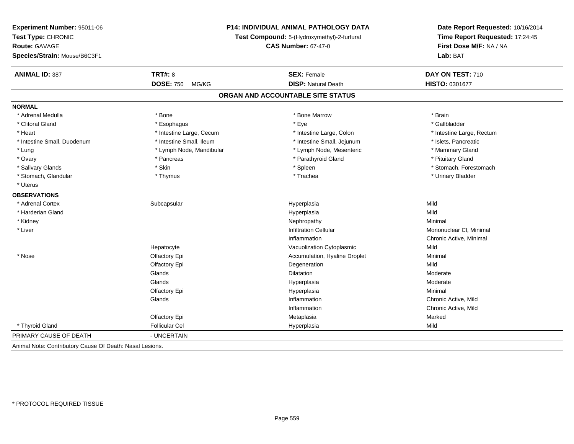| Experiment Number: 95011-06                              |                                                                           | <b>P14: INDIVIDUAL ANIMAL PATHOLOGY DATA</b> | Date Report Requested: 10/16/2014                          |
|----------------------------------------------------------|---------------------------------------------------------------------------|----------------------------------------------|------------------------------------------------------------|
| Test Type: CHRONIC                                       | Test Compound: 5-(Hydroxymethyl)-2-furfural<br><b>CAS Number: 67-47-0</b> |                                              | Time Report Requested: 17:24:45<br>First Dose M/F: NA / NA |
| Route: GAVAGE                                            |                                                                           |                                              |                                                            |
| Species/Strain: Mouse/B6C3F1                             |                                                                           |                                              | Lab: BAT                                                   |
| <b>ANIMAL ID: 387</b>                                    | <b>TRT#: 8</b>                                                            | <b>SEX: Female</b>                           | DAY ON TEST: 710                                           |
|                                                          | <b>DOSE: 750</b><br>MG/KG                                                 | <b>DISP: Natural Death</b>                   | HISTO: 0301677                                             |
|                                                          |                                                                           | ORGAN AND ACCOUNTABLE SITE STATUS            |                                                            |
| <b>NORMAL</b>                                            |                                                                           |                                              |                                                            |
| * Adrenal Medulla                                        | * Bone                                                                    | * Bone Marrow                                | * Brain                                                    |
| * Clitoral Gland                                         | * Esophagus                                                               | * Eye                                        | * Gallbladder                                              |
| * Heart                                                  | * Intestine Large, Cecum                                                  | * Intestine Large, Colon                     | * Intestine Large, Rectum                                  |
| * Intestine Small, Duodenum                              | * Intestine Small, Ileum                                                  | * Intestine Small, Jejunum                   | * Islets, Pancreatic                                       |
| * Lung                                                   | * Lymph Node, Mandibular                                                  | * Lymph Node, Mesenteric                     | * Mammary Gland                                            |
| * Ovary                                                  | * Pancreas                                                                | * Parathyroid Gland                          | * Pituitary Gland                                          |
| * Salivary Glands                                        | * Skin                                                                    | * Spleen                                     | * Stomach, Forestomach                                     |
| * Stomach, Glandular                                     | * Thymus                                                                  | * Trachea                                    | * Urinary Bladder                                          |
| * Uterus                                                 |                                                                           |                                              |                                                            |
| <b>OBSERVATIONS</b>                                      |                                                                           |                                              |                                                            |
| * Adrenal Cortex                                         | Subcapsular                                                               | Hyperplasia                                  | Mild                                                       |
| * Harderian Gland                                        |                                                                           | Hyperplasia                                  | Mild                                                       |
| * Kidney                                                 |                                                                           | Nephropathy                                  | Minimal                                                    |
| * Liver                                                  |                                                                           | <b>Infiltration Cellular</b>                 | Mononuclear CI, Minimal                                    |
|                                                          |                                                                           | Inflammation                                 | Chronic Active, Minimal                                    |
|                                                          | Hepatocyte                                                                | Vacuolization Cytoplasmic                    | Mild                                                       |
| * Nose                                                   | Olfactory Epi                                                             | Accumulation, Hyaline Droplet                | Minimal                                                    |
|                                                          | Olfactory Epi                                                             | Degeneration                                 | Mild                                                       |
|                                                          | Glands                                                                    | <b>Dilatation</b>                            | Moderate                                                   |
|                                                          | Glands                                                                    | Hyperplasia                                  | Moderate                                                   |
|                                                          | Olfactory Epi                                                             | Hyperplasia                                  | Minimal                                                    |
|                                                          | Glands                                                                    | Inflammation                                 | Chronic Active, Mild                                       |
|                                                          |                                                                           | Inflammation                                 | Chronic Active, Mild                                       |
|                                                          | Olfactory Epi                                                             | Metaplasia                                   | Marked                                                     |
| * Thyroid Gland                                          | <b>Follicular Cel</b>                                                     | Hyperplasia                                  | Mild                                                       |
| PRIMARY CAUSE OF DEATH                                   | - UNCERTAIN                                                               |                                              |                                                            |
| Animal Note: Contributory Cause Of Death: Nasal Lesions. |                                                                           |                                              |                                                            |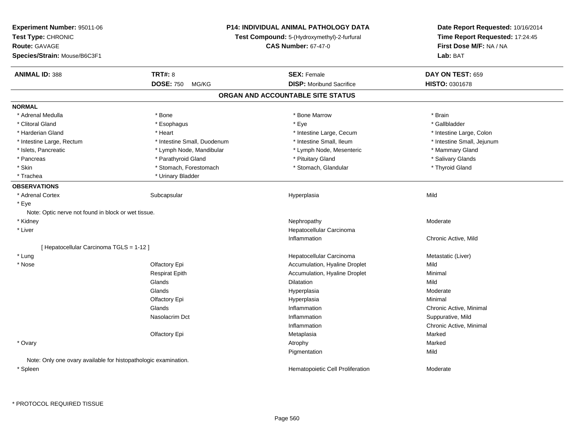| <b>Experiment Number: 95011-06</b><br>Test Type: CHRONIC<br><b>Route: GAVAGE</b><br>Species/Strain: Mouse/B6C3F1 | <b>P14: INDIVIDUAL ANIMAL PATHOLOGY DATA</b><br>Test Compound: 5-(Hydroxymethyl)-2-furfural<br><b>CAS Number: 67-47-0</b> |                                   | Date Report Requested: 10/16/2014<br>Time Report Requested: 17:24:45<br>First Dose M/F: NA / NA<br>Lab: BAT |
|------------------------------------------------------------------------------------------------------------------|---------------------------------------------------------------------------------------------------------------------------|-----------------------------------|-------------------------------------------------------------------------------------------------------------|
| <b>ANIMAL ID: 388</b>                                                                                            | <b>TRT#: 8</b>                                                                                                            | <b>SEX: Female</b>                | DAY ON TEST: 659                                                                                            |
|                                                                                                                  | <b>DOSE: 750</b><br>MG/KG                                                                                                 | <b>DISP:</b> Moribund Sacrifice   | HISTO: 0301678                                                                                              |
|                                                                                                                  |                                                                                                                           | ORGAN AND ACCOUNTABLE SITE STATUS |                                                                                                             |
| <b>NORMAL</b>                                                                                                    |                                                                                                                           |                                   |                                                                                                             |
| * Adrenal Medulla                                                                                                | * Bone                                                                                                                    | * Bone Marrow                     | * Brain                                                                                                     |
| * Clitoral Gland                                                                                                 | * Esophagus                                                                                                               | * Eye                             | * Gallbladder                                                                                               |
| * Harderian Gland                                                                                                | * Heart                                                                                                                   | * Intestine Large, Cecum          | * Intestine Large, Colon                                                                                    |
| * Intestine Large, Rectum                                                                                        | * Intestine Small, Duodenum                                                                                               | * Intestine Small, Ileum          | * Intestine Small, Jejunum                                                                                  |
| * Islets, Pancreatic                                                                                             | * Lymph Node, Mandibular                                                                                                  | * Lymph Node, Mesenteric          | * Mammary Gland                                                                                             |
| * Pancreas                                                                                                       | * Parathyroid Gland                                                                                                       | * Pituitary Gland                 | * Salivary Glands                                                                                           |
| * Skin                                                                                                           | * Stomach, Forestomach                                                                                                    | * Stomach, Glandular              | * Thyroid Gland                                                                                             |
| * Trachea                                                                                                        | * Urinary Bladder                                                                                                         |                                   |                                                                                                             |
| <b>OBSERVATIONS</b>                                                                                              |                                                                                                                           |                                   |                                                                                                             |
| * Adrenal Cortex                                                                                                 | Subcapsular                                                                                                               | Hyperplasia                       | Mild                                                                                                        |
| * Eye                                                                                                            |                                                                                                                           |                                   |                                                                                                             |
| Note: Optic nerve not found in block or wet tissue.                                                              |                                                                                                                           |                                   |                                                                                                             |
| * Kidney                                                                                                         |                                                                                                                           | Nephropathy                       | Moderate                                                                                                    |
| * Liver                                                                                                          |                                                                                                                           | Hepatocellular Carcinoma          |                                                                                                             |
|                                                                                                                  |                                                                                                                           | Inflammation                      | Chronic Active, Mild                                                                                        |
| [ Hepatocellular Carcinoma TGLS = 1-12 ]                                                                         |                                                                                                                           |                                   |                                                                                                             |
| * Lung                                                                                                           |                                                                                                                           | Hepatocellular Carcinoma          | Metastatic (Liver)                                                                                          |
| * Nose                                                                                                           | Olfactory Epi                                                                                                             | Accumulation, Hyaline Droplet     | Mild                                                                                                        |
|                                                                                                                  | <b>Respirat Epith</b>                                                                                                     | Accumulation, Hyaline Droplet     | Minimal                                                                                                     |
|                                                                                                                  | Glands                                                                                                                    | Dilatation                        | Mild                                                                                                        |
|                                                                                                                  | Glands                                                                                                                    | Hyperplasia                       | Moderate                                                                                                    |
|                                                                                                                  | Olfactory Epi                                                                                                             | Hyperplasia                       | Minimal                                                                                                     |
|                                                                                                                  | Glands                                                                                                                    | Inflammation                      | Chronic Active, Minimal                                                                                     |
|                                                                                                                  | Nasolacrim Dct                                                                                                            | Inflammation                      | Suppurative, Mild                                                                                           |
|                                                                                                                  |                                                                                                                           | Inflammation                      | Chronic Active, Minimal                                                                                     |
|                                                                                                                  | Olfactory Epi                                                                                                             | Metaplasia                        | Marked                                                                                                      |
| * Ovary                                                                                                          |                                                                                                                           | Atrophy                           | Marked                                                                                                      |
|                                                                                                                  |                                                                                                                           | Pigmentation                      | Mild                                                                                                        |
| Note: Only one ovary available for histopathologic examination.                                                  |                                                                                                                           |                                   |                                                                                                             |
| * Spleen                                                                                                         |                                                                                                                           | Hematopoietic Cell Proliferation  | Moderate                                                                                                    |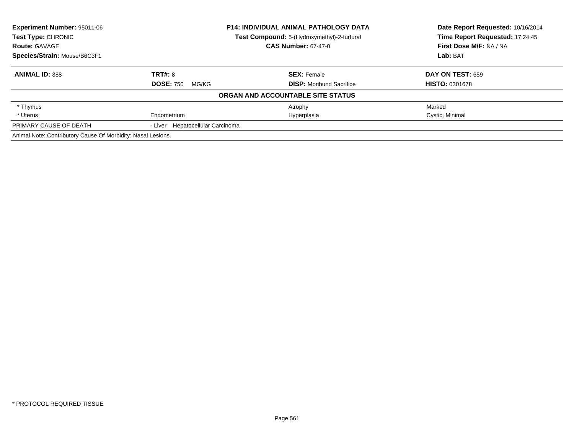| <b>Experiment Number: 95011-06</b>                           |                                  | <b>P14: INDIVIDUAL ANIMAL PATHOLOGY DATA</b> | Date Report Requested: 10/16/2014 |
|--------------------------------------------------------------|----------------------------------|----------------------------------------------|-----------------------------------|
| Test Type: CHRONIC                                           |                                  | Test Compound: 5-(Hydroxymethyl)-2-furfural  | Time Report Requested: 17:24:45   |
| <b>Route: GAVAGE</b>                                         | <b>CAS Number: 67-47-0</b>       |                                              | First Dose M/F: NA / NA           |
| Species/Strain: Mouse/B6C3F1                                 |                                  |                                              | Lab: BAT                          |
| <b>ANIMAL ID: 388</b>                                        | <b>TRT#: 8</b>                   | <b>SEX: Female</b>                           | DAY ON TEST: 659                  |
|                                                              | <b>DOSE: 750</b><br>MG/KG        | <b>DISP:</b> Moribund Sacrifice              | <b>HISTO: 0301678</b>             |
|                                                              |                                  | ORGAN AND ACCOUNTABLE SITE STATUS            |                                   |
| * Thymus                                                     |                                  | Atrophy                                      | Marked                            |
| * Uterus                                                     | Endometrium                      | Hyperplasia                                  | Cystic, Minimal                   |
| PRIMARY CAUSE OF DEATH                                       | - Liver Hepatocellular Carcinoma |                                              |                                   |
| Animal Note: Contributory Cause Of Morbidity: Nasal Lesions. |                                  |                                              |                                   |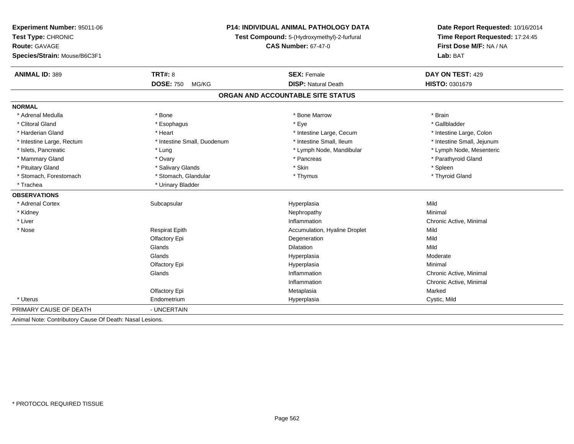| Experiment Number: 95011-06                              |                                             | <b>P14: INDIVIDUAL ANIMAL PATHOLOGY DATA</b> | Date Report Requested: 10/16/2014   |  |  |
|----------------------------------------------------------|---------------------------------------------|----------------------------------------------|-------------------------------------|--|--|
| Test Type: CHRONIC                                       | Test Compound: 5-(Hydroxymethyl)-2-furfural |                                              | Time Report Requested: 17:24:45     |  |  |
| <b>Route: GAVAGE</b>                                     |                                             | <b>CAS Number: 67-47-0</b>                   | First Dose M/F: NA / NA<br>Lab: BAT |  |  |
| Species/Strain: Mouse/B6C3F1                             |                                             |                                              |                                     |  |  |
| <b>ANIMAL ID: 389</b>                                    | <b>TRT#: 8</b>                              | <b>SEX: Female</b>                           | DAY ON TEST: 429                    |  |  |
|                                                          | <b>DOSE: 750</b><br>MG/KG                   | <b>DISP: Natural Death</b>                   | HISTO: 0301679                      |  |  |
|                                                          |                                             | ORGAN AND ACCOUNTABLE SITE STATUS            |                                     |  |  |
| <b>NORMAL</b>                                            |                                             |                                              |                                     |  |  |
| * Adrenal Medulla                                        | * Bone                                      | * Bone Marrow                                | * Brain                             |  |  |
| * Clitoral Gland                                         | * Esophagus                                 | * Eye                                        | * Gallbladder                       |  |  |
| * Harderian Gland                                        | * Heart                                     | * Intestine Large, Cecum                     | * Intestine Large, Colon            |  |  |
| * Intestine Large, Rectum                                | * Intestine Small, Duodenum                 | * Intestine Small, Ileum                     | * Intestine Small, Jejunum          |  |  |
| * Islets, Pancreatic                                     | * Lung                                      | * Lymph Node, Mandibular                     | * Lymph Node, Mesenteric            |  |  |
| * Mammary Gland                                          | * Ovary                                     | * Pancreas                                   | * Parathyroid Gland                 |  |  |
| * Pituitary Gland                                        | * Salivary Glands                           | * Skin                                       | * Spleen                            |  |  |
| * Stomach, Forestomach                                   | * Stomach, Glandular                        | * Thymus                                     | * Thyroid Gland                     |  |  |
| * Trachea                                                | * Urinary Bladder                           |                                              |                                     |  |  |
| <b>OBSERVATIONS</b>                                      |                                             |                                              |                                     |  |  |
| * Adrenal Cortex                                         | Subcapsular                                 | Hyperplasia                                  | Mild                                |  |  |
| * Kidney                                                 |                                             | Nephropathy                                  | Minimal                             |  |  |
| * Liver                                                  |                                             | Inflammation                                 | Chronic Active, Minimal             |  |  |
| * Nose                                                   | <b>Respirat Epith</b>                       | Accumulation, Hyaline Droplet                | Mild                                |  |  |
|                                                          | Olfactory Epi                               | Degeneration                                 | Mild                                |  |  |
|                                                          | Glands                                      | <b>Dilatation</b>                            | Mild                                |  |  |
|                                                          | Glands                                      | Hyperplasia                                  | Moderate                            |  |  |
|                                                          | Olfactory Epi                               | Hyperplasia                                  | Minimal                             |  |  |
|                                                          | Glands                                      | Inflammation                                 | Chronic Active, Minimal             |  |  |
|                                                          |                                             | Inflammation                                 | Chronic Active, Minimal             |  |  |
|                                                          | Olfactory Epi                               | Metaplasia                                   | Marked                              |  |  |
| * Uterus                                                 | Endometrium                                 | Hyperplasia                                  | Cystic, Mild                        |  |  |
| PRIMARY CAUSE OF DEATH                                   | - UNCERTAIN                                 |                                              |                                     |  |  |
| Animal Note: Contributory Cause Of Death: Nasal Lesions. |                                             |                                              |                                     |  |  |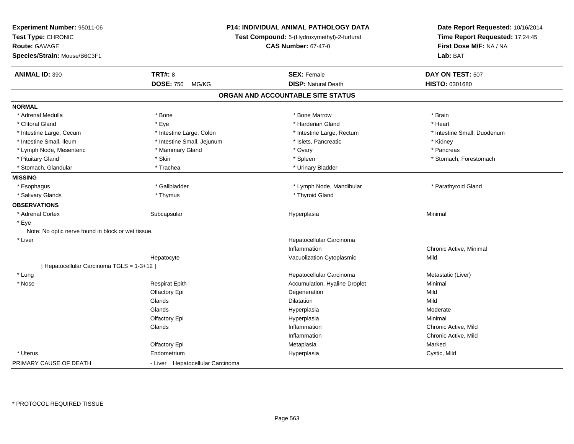| Experiment Number: 95011-06<br>Test Type: CHRONIC<br><b>Route: GAVAGE</b><br>Species/Strain: Mouse/B6C3F1 |                                  | <b>P14: INDIVIDUAL ANIMAL PATHOLOGY DATA</b><br>Test Compound: 5-(Hydroxymethyl)-2-furfural<br><b>CAS Number: 67-47-0</b> | Date Report Requested: 10/16/2014<br>Time Report Requested: 17:24:45<br>First Dose M/F: NA / NA<br>Lab: BAT |
|-----------------------------------------------------------------------------------------------------------|----------------------------------|---------------------------------------------------------------------------------------------------------------------------|-------------------------------------------------------------------------------------------------------------|
| <b>ANIMAL ID: 390</b>                                                                                     | <b>TRT#: 8</b>                   | <b>SEX: Female</b>                                                                                                        | DAY ON TEST: 507                                                                                            |
|                                                                                                           | <b>DOSE: 750</b><br>MG/KG        | <b>DISP: Natural Death</b>                                                                                                | HISTO: 0301680                                                                                              |
|                                                                                                           |                                  | ORGAN AND ACCOUNTABLE SITE STATUS                                                                                         |                                                                                                             |
| <b>NORMAL</b>                                                                                             |                                  |                                                                                                                           |                                                                                                             |
| * Adrenal Medulla                                                                                         | * Bone                           | * Bone Marrow                                                                                                             | * Brain                                                                                                     |
| * Clitoral Gland                                                                                          | * Eye                            | * Harderian Gland                                                                                                         | * Heart                                                                                                     |
| * Intestine Large, Cecum                                                                                  | * Intestine Large, Colon         | * Intestine Large, Rectum                                                                                                 | * Intestine Small, Duodenum                                                                                 |
| * Intestine Small, Ileum                                                                                  | * Intestine Small, Jejunum       | * Islets, Pancreatic                                                                                                      | * Kidney                                                                                                    |
| * Lymph Node, Mesenteric                                                                                  | * Mammary Gland                  | * Ovary                                                                                                                   | * Pancreas                                                                                                  |
| * Pituitary Gland                                                                                         | * Skin                           | * Spleen                                                                                                                  | * Stomach, Forestomach                                                                                      |
| * Stomach, Glandular                                                                                      | * Trachea                        | * Urinary Bladder                                                                                                         |                                                                                                             |
| <b>MISSING</b>                                                                                            |                                  |                                                                                                                           |                                                                                                             |
| * Esophagus                                                                                               | * Gallbladder                    | * Lymph Node, Mandibular                                                                                                  | * Parathyroid Gland                                                                                         |
| * Salivary Glands                                                                                         | * Thymus                         | * Thyroid Gland                                                                                                           |                                                                                                             |
| <b>OBSERVATIONS</b>                                                                                       |                                  |                                                                                                                           |                                                                                                             |
| * Adrenal Cortex                                                                                          | Subcapsular                      | Hyperplasia                                                                                                               | Minimal                                                                                                     |
| * Eye                                                                                                     |                                  |                                                                                                                           |                                                                                                             |
| Note: No optic nerve found in block or wet tissue.                                                        |                                  |                                                                                                                           |                                                                                                             |
| * Liver                                                                                                   |                                  | Hepatocellular Carcinoma                                                                                                  |                                                                                                             |
|                                                                                                           |                                  | Inflammation                                                                                                              | Chronic Active, Minimal                                                                                     |
|                                                                                                           | Hepatocyte                       | Vacuolization Cytoplasmic                                                                                                 | Mild                                                                                                        |
| [ Hepatocellular Carcinoma TGLS = 1-3+12 ]                                                                |                                  |                                                                                                                           |                                                                                                             |
| * Lung                                                                                                    |                                  | Hepatocellular Carcinoma                                                                                                  | Metastatic (Liver)                                                                                          |
| * Nose                                                                                                    | <b>Respirat Epith</b>            | Accumulation, Hyaline Droplet                                                                                             | Minimal                                                                                                     |
|                                                                                                           | Olfactory Epi                    | Degeneration                                                                                                              | Mild                                                                                                        |
|                                                                                                           | Glands                           | Dilatation                                                                                                                | Mild                                                                                                        |
|                                                                                                           | Glands                           | Hyperplasia                                                                                                               | Moderate                                                                                                    |
|                                                                                                           | Olfactory Epi                    | Hyperplasia                                                                                                               | Minimal                                                                                                     |
|                                                                                                           | Glands                           | Inflammation                                                                                                              | Chronic Active, Mild                                                                                        |
|                                                                                                           |                                  | Inflammation                                                                                                              | Chronic Active, Mild                                                                                        |
|                                                                                                           | Olfactory Epi                    | Metaplasia                                                                                                                | Marked                                                                                                      |
| * Uterus                                                                                                  | Endometrium                      | Hyperplasia                                                                                                               | Cystic, Mild                                                                                                |
| PRIMARY CAUSE OF DEATH                                                                                    | - Liver Hepatocellular Carcinoma |                                                                                                                           |                                                                                                             |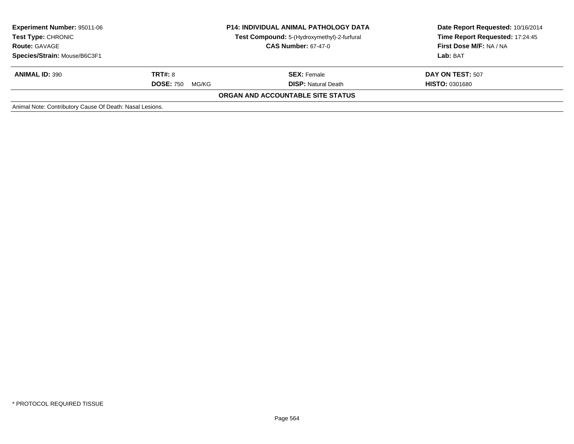| <b>Experiment Number: 95011-06</b><br><b>Test Type: CHRONIC</b><br><b>Route: GAVAGE</b> | <b>P14: INDIVIDUAL ANIMAL PATHOLOGY DATA</b><br>Test Compound: 5-(Hydroxymethyl)-2-furfural<br><b>CAS Number: 67-47-0</b> |                                          | Date Report Requested: 10/16/2014<br>Time Report Requested: 17:24:45<br>First Dose M/F: NA / NA |
|-----------------------------------------------------------------------------------------|---------------------------------------------------------------------------------------------------------------------------|------------------------------------------|-------------------------------------------------------------------------------------------------|
| Species/Strain: Mouse/B6C3F1                                                            |                                                                                                                           |                                          | Lab: BAT                                                                                        |
| <b>ANIMAL ID: 390</b>                                                                   | <b>TRT#: 8</b>                                                                                                            | <b>SEX: Female</b>                       | DAY ON TEST: 507                                                                                |
|                                                                                         | <b>DOSE: 750</b><br>MG/KG                                                                                                 | <b>DISP:</b> Natural Death               | <b>HISTO: 0301680</b>                                                                           |
|                                                                                         |                                                                                                                           | <b>ORGAN AND ACCOUNTABLE SITE STATUS</b> |                                                                                                 |
| Animal Note: Contributory Cause Of Death: Nasal Lesions.                                |                                                                                                                           |                                          |                                                                                                 |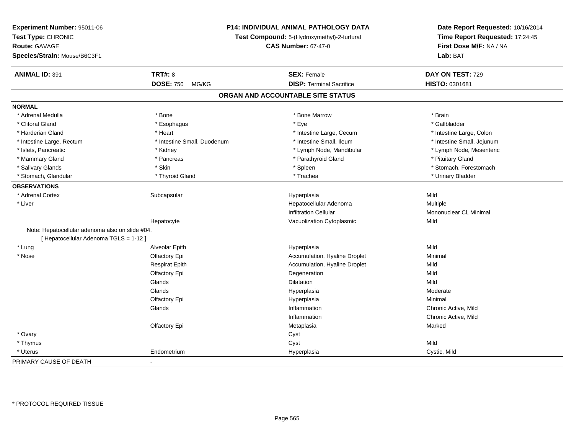| Experiment Number: 95011-06                     |                             | <b>P14: INDIVIDUAL ANIMAL PATHOLOGY DATA</b> | Date Report Requested: 10/16/2014                          |  |
|-------------------------------------------------|-----------------------------|----------------------------------------------|------------------------------------------------------------|--|
| Test Type: CHRONIC                              |                             | Test Compound: 5-(Hydroxymethyl)-2-furfural  | Time Report Requested: 17:24:45<br>First Dose M/F: NA / NA |  |
| Route: GAVAGE                                   |                             | <b>CAS Number: 67-47-0</b>                   |                                                            |  |
| Species/Strain: Mouse/B6C3F1                    |                             |                                              | Lab: BAT                                                   |  |
| <b>ANIMAL ID: 391</b>                           | <b>TRT#: 8</b>              | <b>SEX: Female</b>                           | DAY ON TEST: 729                                           |  |
|                                                 | <b>DOSE: 750</b><br>MG/KG   | <b>DISP: Terminal Sacrifice</b>              | HISTO: 0301681                                             |  |
|                                                 |                             | ORGAN AND ACCOUNTABLE SITE STATUS            |                                                            |  |
| <b>NORMAL</b>                                   |                             |                                              |                                                            |  |
| * Adrenal Medulla                               | * Bone                      | * Bone Marrow                                | * Brain                                                    |  |
| * Clitoral Gland                                | * Esophagus                 | * Eye                                        | * Gallbladder                                              |  |
| * Harderian Gland                               | * Heart                     | * Intestine Large, Cecum                     | * Intestine Large, Colon                                   |  |
| * Intestine Large, Rectum                       | * Intestine Small, Duodenum | * Intestine Small, Ileum                     | * Intestine Small, Jejunum                                 |  |
| * Islets, Pancreatic                            | * Kidney                    | * Lymph Node, Mandibular                     | * Lymph Node, Mesenteric                                   |  |
| * Mammary Gland                                 | * Pancreas                  | * Parathyroid Gland                          | * Pituitary Gland                                          |  |
| * Salivary Glands                               | * Skin                      | * Spleen                                     | * Stomach, Forestomach                                     |  |
| * Stomach, Glandular                            | * Thyroid Gland             | * Trachea                                    | * Urinary Bladder                                          |  |
| <b>OBSERVATIONS</b>                             |                             |                                              |                                                            |  |
| * Adrenal Cortex                                | Subcapsular                 | Hyperplasia                                  | Mild                                                       |  |
| * Liver                                         |                             | Hepatocellular Adenoma                       | Multiple                                                   |  |
|                                                 |                             | <b>Infiltration Cellular</b>                 | Mononuclear CI, Minimal                                    |  |
|                                                 | Hepatocyte                  | Vacuolization Cytoplasmic                    | Mild                                                       |  |
| Note: Hepatocellular adenoma also on slide #04. |                             |                                              |                                                            |  |
| [ Hepatocellular Adenoma TGLS = 1-12 ]          |                             |                                              |                                                            |  |
| * Lung                                          | Alveolar Epith              | Hyperplasia                                  | Mild                                                       |  |
| $*$ Nose                                        | Olfactory Epi               | Accumulation, Hyaline Droplet                | Minimal                                                    |  |
|                                                 | <b>Respirat Epith</b>       | Accumulation, Hyaline Droplet                | Mild                                                       |  |
|                                                 | Olfactory Epi               | Degeneration                                 | Mild                                                       |  |
|                                                 | Glands                      | Dilatation                                   | Mild                                                       |  |
|                                                 | Glands                      | Hyperplasia                                  | Moderate                                                   |  |
|                                                 | Olfactory Epi               | Hyperplasia                                  | Minimal                                                    |  |
|                                                 | Glands                      | Inflammation                                 | Chronic Active, Mild                                       |  |
|                                                 |                             | Inflammation                                 | Chronic Active, Mild                                       |  |
|                                                 | Olfactory Epi               | Metaplasia                                   | Marked                                                     |  |
| * Ovary                                         |                             | Cyst                                         |                                                            |  |
| * Thymus                                        |                             | Cyst                                         | Mild                                                       |  |
| * Uterus                                        | Endometrium                 | Hyperplasia                                  | Cystic, Mild                                               |  |
| PRIMARY CAUSE OF DEATH                          |                             |                                              |                                                            |  |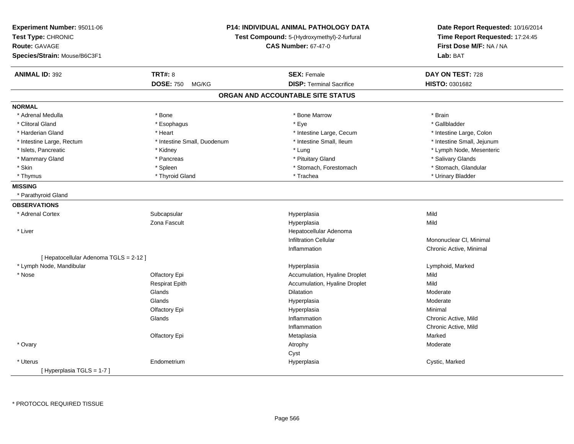| Experiment Number: 95011-06<br>Test Type: CHRONIC<br><b>Route: GAVAGE</b><br>Species/Strain: Mouse/B6C3F1 |                             | P14: INDIVIDUAL ANIMAL PATHOLOGY DATA<br>Test Compound: 5-(Hydroxymethyl)-2-furfural<br><b>CAS Number: 67-47-0</b> | Date Report Requested: 10/16/2014<br>Time Report Requested: 17:24:45<br>First Dose M/F: NA / NA<br>Lab: BAT |
|-----------------------------------------------------------------------------------------------------------|-----------------------------|--------------------------------------------------------------------------------------------------------------------|-------------------------------------------------------------------------------------------------------------|
| <b>ANIMAL ID: 392</b>                                                                                     | <b>TRT#: 8</b>              | <b>SEX: Female</b>                                                                                                 | DAY ON TEST: 728                                                                                            |
|                                                                                                           | <b>DOSE: 750</b><br>MG/KG   | <b>DISP: Terminal Sacrifice</b>                                                                                    | HISTO: 0301682                                                                                              |
|                                                                                                           |                             | ORGAN AND ACCOUNTABLE SITE STATUS                                                                                  |                                                                                                             |
| <b>NORMAL</b>                                                                                             |                             |                                                                                                                    |                                                                                                             |
| * Adrenal Medulla                                                                                         | * Bone                      | * Bone Marrow                                                                                                      | * Brain                                                                                                     |
| * Clitoral Gland                                                                                          | * Esophagus                 | * Eye                                                                                                              | * Gallbladder                                                                                               |
| * Harderian Gland                                                                                         | * Heart                     | * Intestine Large, Cecum                                                                                           | * Intestine Large, Colon                                                                                    |
| * Intestine Large, Rectum                                                                                 | * Intestine Small, Duodenum | * Intestine Small, Ileum                                                                                           | * Intestine Small, Jejunum                                                                                  |
| * Islets, Pancreatic                                                                                      | * Kidney                    | * Lung                                                                                                             | * Lymph Node, Mesenteric                                                                                    |
| * Mammary Gland                                                                                           | * Pancreas                  | * Pituitary Gland                                                                                                  | * Salivary Glands                                                                                           |
| * Skin                                                                                                    | * Spleen                    | * Stomach, Forestomach                                                                                             | * Stomach, Glandular                                                                                        |
| * Thymus                                                                                                  | * Thyroid Gland             | * Trachea                                                                                                          | * Urinary Bladder                                                                                           |
| <b>MISSING</b>                                                                                            |                             |                                                                                                                    |                                                                                                             |
| * Parathyroid Gland                                                                                       |                             |                                                                                                                    |                                                                                                             |
| <b>OBSERVATIONS</b>                                                                                       |                             |                                                                                                                    |                                                                                                             |
| * Adrenal Cortex                                                                                          | Subcapsular                 | Hyperplasia                                                                                                        | Mild                                                                                                        |
|                                                                                                           | Zona Fascult                | Hyperplasia                                                                                                        | Mild                                                                                                        |
| * Liver                                                                                                   |                             | Hepatocellular Adenoma                                                                                             |                                                                                                             |
|                                                                                                           |                             | <b>Infiltration Cellular</b>                                                                                       | Mononuclear CI, Minimal                                                                                     |
|                                                                                                           |                             | Inflammation                                                                                                       | Chronic Active, Minimal                                                                                     |
| [ Hepatocellular Adenoma TGLS = 2-12 ]                                                                    |                             |                                                                                                                    |                                                                                                             |
| * Lymph Node, Mandibular                                                                                  |                             | Hyperplasia                                                                                                        | Lymphoid, Marked                                                                                            |
| $*$ Nose                                                                                                  | Olfactory Epi               | Accumulation, Hyaline Droplet                                                                                      | Mild                                                                                                        |
|                                                                                                           | <b>Respirat Epith</b>       | Accumulation, Hyaline Droplet                                                                                      | Mild                                                                                                        |
|                                                                                                           | Glands                      | <b>Dilatation</b>                                                                                                  | Moderate                                                                                                    |
|                                                                                                           | Glands                      | Hyperplasia                                                                                                        | Moderate                                                                                                    |
|                                                                                                           | Olfactory Epi               | Hyperplasia                                                                                                        | Minimal                                                                                                     |
|                                                                                                           | Glands                      | Inflammation                                                                                                       | Chronic Active, Mild                                                                                        |
|                                                                                                           |                             | Inflammation                                                                                                       | Chronic Active, Mild                                                                                        |
|                                                                                                           | Olfactory Epi               | Metaplasia                                                                                                         | Marked                                                                                                      |
| * Ovary                                                                                                   |                             | Atrophy                                                                                                            | Moderate                                                                                                    |
|                                                                                                           |                             | Cyst                                                                                                               |                                                                                                             |
| * Uterus                                                                                                  | Endometrium                 | Hyperplasia                                                                                                        | Cystic, Marked                                                                                              |
| [Hyperplasia TGLS = 1-7]                                                                                  |                             |                                                                                                                    |                                                                                                             |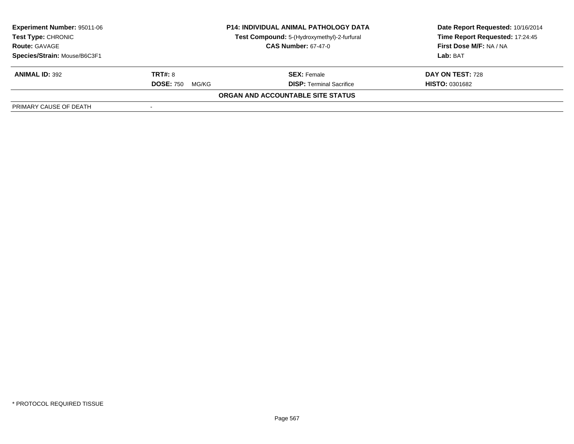| <b>Experiment Number: 95011-06</b><br><b>Test Type: CHRONIC</b><br><b>Route: GAVAGE</b> | <b>P14: INDIVIDUAL ANIMAL PATHOLOGY DATA</b><br>Test Compound: 5-(Hydroxymethyl)-2-furfural<br><b>CAS Number: 67-47-0</b> |                                   | Date Report Requested: 10/16/2014<br>Time Report Requested: 17:24:45<br>First Dose M/F: NA / NA |  |
|-----------------------------------------------------------------------------------------|---------------------------------------------------------------------------------------------------------------------------|-----------------------------------|-------------------------------------------------------------------------------------------------|--|
| Species/Strain: Mouse/B6C3F1                                                            |                                                                                                                           |                                   | Lab: BAT                                                                                        |  |
| <b>ANIMAL ID: 392</b>                                                                   | <b>TRT#: 8</b>                                                                                                            | <b>SEX: Female</b>                | DAY ON TEST: 728                                                                                |  |
|                                                                                         | <b>DOSE: 750</b><br>MG/KG                                                                                                 | <b>DISP: Terminal Sacrifice</b>   | <b>HISTO: 0301682</b>                                                                           |  |
|                                                                                         |                                                                                                                           | ORGAN AND ACCOUNTABLE SITE STATUS |                                                                                                 |  |
| PRIMARY CAUSE OF DEATH                                                                  |                                                                                                                           |                                   |                                                                                                 |  |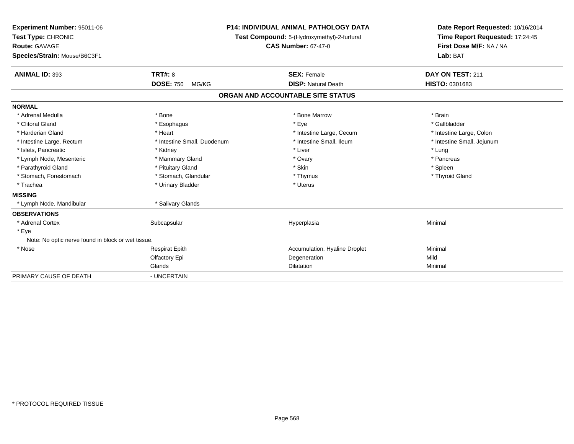| Experiment Number: 95011-06<br>Test Type: CHRONIC<br><b>Route: GAVAGE</b><br>Species/Strain: Mouse/B6C3F1<br><b>ANIMAL ID: 393</b> | <b>TRT#: 8</b>              | <b>P14: INDIVIDUAL ANIMAL PATHOLOGY DATA</b><br>Test Compound: 5-(Hydroxymethyl)-2-furfural<br><b>CAS Number: 67-47-0</b><br><b>SEX: Female</b> | Date Report Requested: 10/16/2014<br>Time Report Requested: 17:24:45<br>First Dose M/F: NA / NA<br>Lab: BAT<br>DAY ON TEST: 211 |
|------------------------------------------------------------------------------------------------------------------------------------|-----------------------------|-------------------------------------------------------------------------------------------------------------------------------------------------|---------------------------------------------------------------------------------------------------------------------------------|
|                                                                                                                                    | <b>DOSE: 750</b><br>MG/KG   | <b>DISP: Natural Death</b>                                                                                                                      | <b>HISTO: 0301683</b>                                                                                                           |
|                                                                                                                                    |                             | ORGAN AND ACCOUNTABLE SITE STATUS                                                                                                               |                                                                                                                                 |
| <b>NORMAL</b>                                                                                                                      |                             |                                                                                                                                                 |                                                                                                                                 |
| * Adrenal Medulla                                                                                                                  | * Bone                      | * Bone Marrow                                                                                                                                   | * Brain                                                                                                                         |
| * Clitoral Gland                                                                                                                   | * Esophagus                 | * Eye                                                                                                                                           | * Gallbladder                                                                                                                   |
| * Harderian Gland                                                                                                                  | * Heart                     | * Intestine Large, Cecum                                                                                                                        | * Intestine Large, Colon                                                                                                        |
| * Intestine Large, Rectum                                                                                                          | * Intestine Small, Duodenum | * Intestine Small, Ileum                                                                                                                        | * Intestine Small, Jejunum                                                                                                      |
| * Islets, Pancreatic                                                                                                               | * Kidney                    | * Liver                                                                                                                                         | * Lung                                                                                                                          |
| * Lymph Node, Mesenteric                                                                                                           | * Mammary Gland             | * Ovary                                                                                                                                         | * Pancreas                                                                                                                      |
| * Parathyroid Gland                                                                                                                | * Pituitary Gland           | * Skin                                                                                                                                          | * Spleen                                                                                                                        |
| * Stomach, Forestomach                                                                                                             | * Stomach, Glandular        | * Thymus                                                                                                                                        | * Thyroid Gland                                                                                                                 |
| * Trachea                                                                                                                          | * Urinary Bladder           | * Uterus                                                                                                                                        |                                                                                                                                 |
| <b>MISSING</b>                                                                                                                     |                             |                                                                                                                                                 |                                                                                                                                 |
| * Lymph Node, Mandibular                                                                                                           | * Salivary Glands           |                                                                                                                                                 |                                                                                                                                 |
| <b>OBSERVATIONS</b>                                                                                                                |                             |                                                                                                                                                 |                                                                                                                                 |
| * Adrenal Cortex                                                                                                                   | Subcapsular                 | Hyperplasia                                                                                                                                     | Minimal                                                                                                                         |
| * Eye                                                                                                                              |                             |                                                                                                                                                 |                                                                                                                                 |
| Note: No optic nerve found in block or wet tissue.                                                                                 |                             |                                                                                                                                                 |                                                                                                                                 |
| * Nose                                                                                                                             | <b>Respirat Epith</b>       | Accumulation, Hyaline Droplet                                                                                                                   | Minimal                                                                                                                         |
|                                                                                                                                    | Olfactory Epi               | Degeneration                                                                                                                                    | Mild                                                                                                                            |
|                                                                                                                                    | Glands                      | Dilatation                                                                                                                                      | Minimal                                                                                                                         |
| PRIMARY CAUSE OF DEATH                                                                                                             | - UNCERTAIN                 |                                                                                                                                                 |                                                                                                                                 |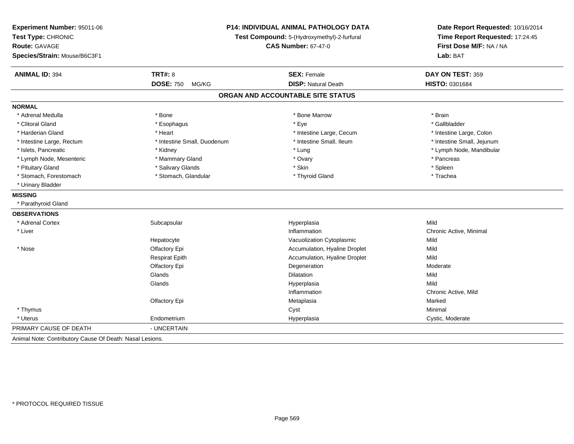| Experiment Number: 95011-06<br>Test Type: CHRONIC |                             | P14: INDIVIDUAL ANIMAL PATHOLOGY DATA<br>Test Compound: 5-(Hydroxymethyl)-2-furfural |                            |  |
|---------------------------------------------------|-----------------------------|--------------------------------------------------------------------------------------|----------------------------|--|
| Route: GAVAGE                                     |                             | <b>CAS Number: 67-47-0</b>                                                           | First Dose M/F: NA / NA    |  |
| Species/Strain: Mouse/B6C3F1                      |                             |                                                                                      | Lab: BAT                   |  |
| <b>ANIMAL ID: 394</b>                             | <b>TRT#: 8</b>              | <b>SEX: Female</b>                                                                   | DAY ON TEST: 359           |  |
|                                                   | <b>DOSE: 750</b><br>MG/KG   | <b>DISP: Natural Death</b>                                                           | HISTO: 0301684             |  |
|                                                   |                             | ORGAN AND ACCOUNTABLE SITE STATUS                                                    |                            |  |
| <b>NORMAL</b>                                     |                             |                                                                                      |                            |  |
| * Adrenal Medulla                                 | * Bone                      | * Bone Marrow                                                                        | * Brain                    |  |
| * Clitoral Gland                                  | * Esophagus                 | * Eye                                                                                | * Gallbladder              |  |
| * Harderian Gland                                 | * Heart                     | * Intestine Large, Cecum                                                             | * Intestine Large, Colon   |  |
| * Intestine Large, Rectum                         | * Intestine Small, Duodenum | * Intestine Small. Ileum                                                             | * Intestine Small, Jejunum |  |
| * Islets, Pancreatic                              | * Kidney                    | * Lung                                                                               | * Lymph Node, Mandibular   |  |
| * Lymph Node, Mesenteric                          | * Mammary Gland             | * Ovary                                                                              | * Pancreas                 |  |
| * Pituitary Gland                                 | * Salivary Glands           | * Skin                                                                               | * Spleen                   |  |
| * Stomach, Forestomach                            | * Stomach, Glandular        | * Thyroid Gland                                                                      | * Trachea                  |  |
| * Urinary Bladder                                 |                             |                                                                                      |                            |  |
| <b>MISSING</b>                                    |                             |                                                                                      |                            |  |
| * Parathyroid Gland                               |                             |                                                                                      |                            |  |
| <b>OBSERVATIONS</b>                               |                             |                                                                                      |                            |  |
| * Adrenal Cortex                                  | Subcapsular                 | Hyperplasia                                                                          | Mild                       |  |
| * Liver                                           |                             | Inflammation                                                                         | Chronic Active, Minimal    |  |
|                                                   | Hepatocyte                  | Vacuolization Cytoplasmic                                                            | Mild                       |  |
| * Nose                                            | Olfactory Epi               | Accumulation, Hyaline Droplet                                                        | Mild                       |  |
|                                                   | <b>Respirat Epith</b>       | Accumulation, Hyaline Droplet                                                        | Mild                       |  |
|                                                   | Olfactory Epi               | Degeneration                                                                         | Moderate                   |  |
|                                                   | Glands                      | Dilatation                                                                           | Mild                       |  |
|                                                   | Glands                      | Hyperplasia                                                                          | Mild                       |  |
|                                                   |                             | Inflammation                                                                         | Chronic Active, Mild       |  |
|                                                   | Olfactory Epi               | Metaplasia                                                                           | Marked                     |  |
| * Thymus                                          |                             | Cyst                                                                                 | Minimal                    |  |
| * Uterus                                          | Endometrium                 | Hyperplasia                                                                          | Cystic, Moderate           |  |
| PRIMARY CAUSE OF DEATH                            | - UNCERTAIN                 |                                                                                      |                            |  |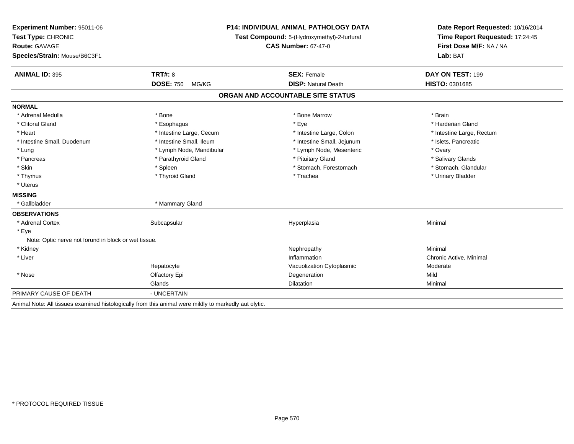| Experiment Number: 95011-06                          | <b>P14: INDIVIDUAL ANIMAL PATHOLOGY DATA</b>                                                          |                                             | Date Report Requested: 10/16/2014 |  |
|------------------------------------------------------|-------------------------------------------------------------------------------------------------------|---------------------------------------------|-----------------------------------|--|
| Test Type: CHRONIC                                   |                                                                                                       | Test Compound: 5-(Hydroxymethyl)-2-furfural | Time Report Requested: 17:24:45   |  |
| <b>Route: GAVAGE</b>                                 |                                                                                                       | <b>CAS Number: 67-47-0</b>                  | First Dose M/F: NA / NA           |  |
| Species/Strain: Mouse/B6C3F1                         |                                                                                                       |                                             | Lab: BAT                          |  |
| <b>ANIMAL ID: 395</b>                                | <b>TRT#: 8</b>                                                                                        | <b>SEX: Female</b>                          | DAY ON TEST: 199                  |  |
|                                                      | <b>DOSE: 750</b><br>MG/KG                                                                             | <b>DISP: Natural Death</b>                  | <b>HISTO: 0301685</b>             |  |
|                                                      |                                                                                                       | ORGAN AND ACCOUNTABLE SITE STATUS           |                                   |  |
| <b>NORMAL</b>                                        |                                                                                                       |                                             |                                   |  |
| * Adrenal Medulla                                    | * Bone                                                                                                | * Bone Marrow                               | * Brain                           |  |
| * Clitoral Gland                                     | * Esophagus                                                                                           | * Eye                                       | * Harderian Gland                 |  |
| * Heart                                              | * Intestine Large, Cecum                                                                              | * Intestine Large, Colon                    | * Intestine Large, Rectum         |  |
| * Intestine Small, Duodenum                          | * Intestine Small, Ileum                                                                              | * Intestine Small, Jejunum                  | * Islets, Pancreatic              |  |
| * Lung                                               | * Lymph Node, Mandibular                                                                              | * Lymph Node, Mesenteric                    | * Ovary                           |  |
| * Pancreas                                           | * Parathyroid Gland                                                                                   | * Pituitary Gland                           | * Salivary Glands                 |  |
| * Skin                                               | * Spleen                                                                                              | * Stomach, Forestomach                      | * Stomach, Glandular              |  |
| * Thymus                                             | * Thyroid Gland                                                                                       | * Trachea                                   | * Urinary Bladder                 |  |
| * Uterus                                             |                                                                                                       |                                             |                                   |  |
| <b>MISSING</b>                                       |                                                                                                       |                                             |                                   |  |
| * Gallbladder                                        | * Mammary Gland                                                                                       |                                             |                                   |  |
| <b>OBSERVATIONS</b>                                  |                                                                                                       |                                             |                                   |  |
| * Adrenal Cortex                                     | Subcapsular                                                                                           | Hyperplasia                                 | Minimal                           |  |
| * Eye                                                |                                                                                                       |                                             |                                   |  |
| Note: Optic nerve not forund in block or wet tissue. |                                                                                                       |                                             |                                   |  |
| * Kidney                                             |                                                                                                       | Nephropathy                                 | Minimal                           |  |
| * Liver                                              |                                                                                                       | Inflammation                                | Chronic Active, Minimal           |  |
|                                                      | Hepatocyte                                                                                            | Vacuolization Cytoplasmic                   | Moderate                          |  |
| * Nose                                               | Olfactory Epi                                                                                         | Degeneration                                | Mild                              |  |
|                                                      | Glands                                                                                                | <b>Dilatation</b>                           | Minimal                           |  |
| PRIMARY CAUSE OF DEATH                               | - UNCERTAIN                                                                                           |                                             |                                   |  |
|                                                      | Animal Note: All tissues examined histologically from this animal were mildly to markedly aut olytic. |                                             |                                   |  |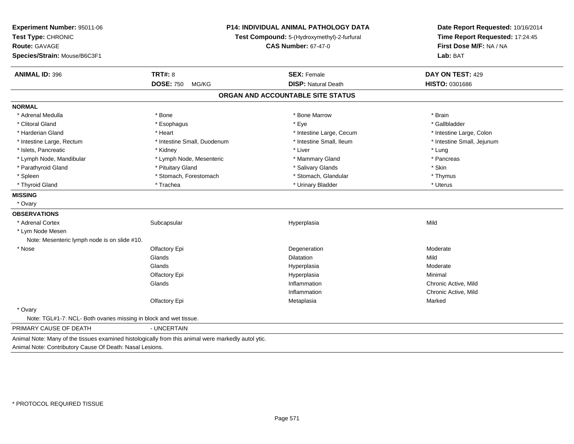| Experiment Number: 95011-06<br>Test Type: CHRONIC<br><b>Route: GAVAGE</b><br>Species/Strain: Mouse/B6C3F1 |                                                                                                     | <b>P14: INDIVIDUAL ANIMAL PATHOLOGY DATA</b><br>Test Compound: 5-(Hydroxymethyl)-2-furfural<br><b>CAS Number: 67-47-0</b> |                            |
|-----------------------------------------------------------------------------------------------------------|-----------------------------------------------------------------------------------------------------|---------------------------------------------------------------------------------------------------------------------------|----------------------------|
| <b>ANIMAL ID: 396</b>                                                                                     | <b>TRT#: 8</b>                                                                                      | <b>SEX: Female</b>                                                                                                        | DAY ON TEST: 429           |
|                                                                                                           | <b>DOSE: 750</b><br>MG/KG                                                                           | <b>DISP: Natural Death</b>                                                                                                | HISTO: 0301686             |
|                                                                                                           |                                                                                                     | ORGAN AND ACCOUNTABLE SITE STATUS                                                                                         |                            |
| <b>NORMAL</b>                                                                                             |                                                                                                     |                                                                                                                           |                            |
| * Adrenal Medulla                                                                                         | * Bone                                                                                              | * Bone Marrow                                                                                                             | * Brain                    |
| * Clitoral Gland                                                                                          | * Esophagus                                                                                         | * Eye                                                                                                                     | * Gallbladder              |
| * Harderian Gland                                                                                         | * Heart                                                                                             | * Intestine Large, Cecum                                                                                                  | * Intestine Large, Colon   |
| * Intestine Large, Rectum                                                                                 | * Intestine Small, Duodenum                                                                         | * Intestine Small, Ileum                                                                                                  | * Intestine Small, Jejunum |
| * Islets, Pancreatic                                                                                      | * Kidney                                                                                            | * Liver                                                                                                                   | * Lung                     |
| * Lymph Node, Mandibular                                                                                  | * Lymph Node, Mesenteric                                                                            | * Mammary Gland                                                                                                           | * Pancreas                 |
| * Parathyroid Gland                                                                                       | * Pituitary Gland                                                                                   | * Salivary Glands                                                                                                         | * Skin                     |
| * Spleen                                                                                                  | * Stomach, Forestomach                                                                              | * Stomach, Glandular                                                                                                      | * Thymus                   |
| * Thyroid Gland                                                                                           | * Trachea                                                                                           | * Urinary Bladder                                                                                                         | * Uterus                   |
| <b>MISSING</b>                                                                                            |                                                                                                     |                                                                                                                           |                            |
| * Ovary                                                                                                   |                                                                                                     |                                                                                                                           |                            |
| <b>OBSERVATIONS</b>                                                                                       |                                                                                                     |                                                                                                                           |                            |
| * Adrenal Cortex                                                                                          | Subcapsular                                                                                         | Hyperplasia                                                                                                               | Mild                       |
| * Lym Node Mesen                                                                                          |                                                                                                     |                                                                                                                           |                            |
| Note: Mesenteric lymph node is on slide #10.                                                              |                                                                                                     |                                                                                                                           |                            |
| * Nose                                                                                                    | Olfactory Epi                                                                                       | Degeneration                                                                                                              | Moderate                   |
|                                                                                                           | Glands                                                                                              | <b>Dilatation</b>                                                                                                         | Mild                       |
|                                                                                                           | Glands                                                                                              | Hyperplasia                                                                                                               | Moderate                   |
|                                                                                                           | Olfactory Epi                                                                                       | Hyperplasia                                                                                                               | Minimal                    |
|                                                                                                           | Glands                                                                                              | Inflammation                                                                                                              | Chronic Active, Mild       |
|                                                                                                           |                                                                                                     | Inflammation                                                                                                              | Chronic Active, Mild       |
|                                                                                                           | Olfactory Epi                                                                                       | Metaplasia                                                                                                                | Marked                     |
| * Ovary                                                                                                   |                                                                                                     |                                                                                                                           |                            |
| Note: TGL#1-7: NCL- Both ovaries missing in block and wet tissue.                                         |                                                                                                     |                                                                                                                           |                            |
| PRIMARY CAUSE OF DEATH                                                                                    | - UNCERTAIN                                                                                         |                                                                                                                           |                            |
| Animal Note: Contributory Cause Of Death: Nasal Lesions.                                                  | Animal Note: Many of the tissues examined histologically from this animal were markedly autol ytic. |                                                                                                                           |                            |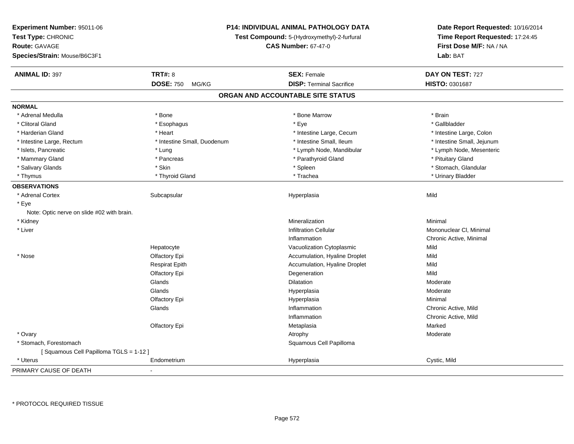| Experiment Number: 95011-06                | <b>P14: INDIVIDUAL ANIMAL PATHOLOGY DATA</b>                              | Date Report Requested: 10/16/2014 |                                                            |  |
|--------------------------------------------|---------------------------------------------------------------------------|-----------------------------------|------------------------------------------------------------|--|
| Test Type: CHRONIC                         | Test Compound: 5-(Hydroxymethyl)-2-furfural<br><b>CAS Number: 67-47-0</b> |                                   | Time Report Requested: 17:24:45<br>First Dose M/F: NA / NA |  |
| <b>Route: GAVAGE</b>                       |                                                                           |                                   |                                                            |  |
| Species/Strain: Mouse/B6C3F1               |                                                                           |                                   | Lab: BAT                                                   |  |
| <b>ANIMAL ID: 397</b>                      | <b>TRT#: 8</b>                                                            | <b>SEX: Female</b>                | DAY ON TEST: 727                                           |  |
|                                            | <b>DOSE: 750</b><br>MG/KG                                                 | <b>DISP: Terminal Sacrifice</b>   | HISTO: 0301687                                             |  |
|                                            |                                                                           | ORGAN AND ACCOUNTABLE SITE STATUS |                                                            |  |
| <b>NORMAL</b>                              |                                                                           |                                   |                                                            |  |
| * Adrenal Medulla                          | * Bone                                                                    | * Bone Marrow                     | * Brain                                                    |  |
| * Clitoral Gland                           | * Esophagus                                                               | * Eye                             | * Gallbladder                                              |  |
| * Harderian Gland                          | * Heart                                                                   | * Intestine Large, Cecum          | * Intestine Large, Colon                                   |  |
| * Intestine Large, Rectum                  | * Intestine Small, Duodenum                                               | * Intestine Small, Ileum          | * Intestine Small, Jejunum                                 |  |
| * Islets, Pancreatic                       | * Lung                                                                    | * Lymph Node, Mandibular          | * Lymph Node, Mesenteric                                   |  |
| * Mammary Gland                            | * Pancreas                                                                | * Parathyroid Gland               | * Pituitary Gland                                          |  |
| * Salivary Glands                          | * Skin                                                                    | * Spleen                          | * Stomach, Glandular                                       |  |
| * Thymus                                   | * Thyroid Gland                                                           | * Trachea                         | * Urinary Bladder                                          |  |
| <b>OBSERVATIONS</b>                        |                                                                           |                                   |                                                            |  |
| * Adrenal Cortex                           | Subcapsular                                                               | Hyperplasia                       | Mild                                                       |  |
| * Eye                                      |                                                                           |                                   |                                                            |  |
| Note: Optic nerve on slide #02 with brain. |                                                                           |                                   |                                                            |  |
| * Kidney                                   |                                                                           | Mineralization                    | Minimal                                                    |  |
| * Liver                                    |                                                                           | <b>Infiltration Cellular</b>      | Mononuclear CI, Minimal                                    |  |
|                                            |                                                                           | Inflammation                      | Chronic Active, Minimal                                    |  |
|                                            | Hepatocyte                                                                | Vacuolization Cytoplasmic         | Mild                                                       |  |
| * Nose                                     | Olfactory Epi                                                             | Accumulation, Hyaline Droplet     | Mild                                                       |  |
|                                            | <b>Respirat Epith</b>                                                     | Accumulation, Hyaline Droplet     | Mild                                                       |  |
|                                            | Olfactory Epi                                                             | Degeneration                      | Mild                                                       |  |
|                                            | Glands                                                                    | Dilatation                        | Moderate                                                   |  |
|                                            | Glands                                                                    | Hyperplasia                       | Moderate                                                   |  |
|                                            | Olfactory Epi                                                             | Hyperplasia                       | Minimal                                                    |  |
|                                            | Glands                                                                    | Inflammation                      | Chronic Active, Mild                                       |  |
|                                            |                                                                           | Inflammation                      | Chronic Active, Mild                                       |  |
|                                            | Olfactory Epi                                                             | Metaplasia                        | Marked                                                     |  |
| * Ovary                                    |                                                                           | Atrophy                           | Moderate                                                   |  |
| * Stomach, Forestomach                     |                                                                           | Squamous Cell Papilloma           |                                                            |  |
| [Squamous Cell Papilloma TGLS = 1-12]      |                                                                           |                                   |                                                            |  |
| * Uterus                                   | Endometrium                                                               | Hyperplasia                       | Cystic, Mild                                               |  |
| PRIMARY CAUSE OF DEATH                     |                                                                           |                                   |                                                            |  |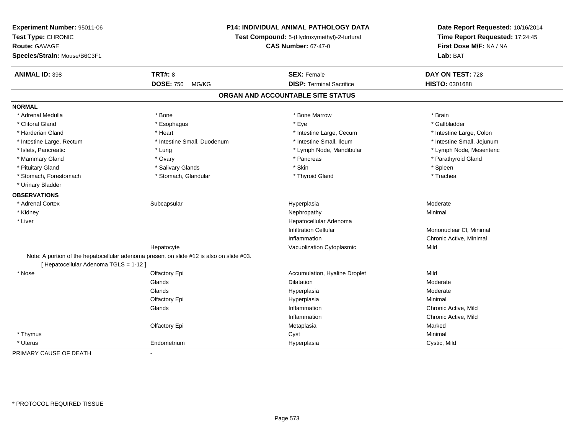| Experiment Number: 95011-06<br>Test Type: CHRONIC<br><b>Route: GAVAGE</b><br>Species/Strain: Mouse/B6C3F1 |                                                                                          | P14: INDIVIDUAL ANIMAL PATHOLOGY DATA<br>Test Compound: 5-(Hydroxymethyl)-2-furfural<br><b>CAS Number: 67-47-0</b> |                            |
|-----------------------------------------------------------------------------------------------------------|------------------------------------------------------------------------------------------|--------------------------------------------------------------------------------------------------------------------|----------------------------|
| <b>ANIMAL ID: 398</b>                                                                                     | <b>TRT#: 8</b>                                                                           | <b>SEX: Female</b>                                                                                                 | DAY ON TEST: 728           |
|                                                                                                           | <b>DOSE: 750</b><br>MG/KG                                                                | <b>DISP: Terminal Sacrifice</b>                                                                                    | HISTO: 0301688             |
|                                                                                                           |                                                                                          | ORGAN AND ACCOUNTABLE SITE STATUS                                                                                  |                            |
| <b>NORMAL</b>                                                                                             |                                                                                          |                                                                                                                    |                            |
| * Adrenal Medulla                                                                                         | * Bone                                                                                   | * Bone Marrow                                                                                                      | * Brain                    |
| * Clitoral Gland                                                                                          | * Esophagus                                                                              | * Eye                                                                                                              | * Gallbladder              |
| * Harderian Gland                                                                                         | * Heart                                                                                  | * Intestine Large, Cecum                                                                                           | * Intestine Large, Colon   |
| * Intestine Large, Rectum                                                                                 | * Intestine Small, Duodenum                                                              | * Intestine Small, Ileum                                                                                           | * Intestine Small, Jejunum |
| * Islets, Pancreatic                                                                                      | * Lung                                                                                   | * Lymph Node, Mandibular                                                                                           | * Lymph Node, Mesenteric   |
| * Mammary Gland                                                                                           | * Ovary                                                                                  | * Pancreas                                                                                                         | * Parathyroid Gland        |
| * Pituitary Gland                                                                                         | * Salivary Glands                                                                        | * Skin                                                                                                             | * Spleen                   |
| * Stomach, Forestomach                                                                                    | * Stomach, Glandular                                                                     | * Thyroid Gland                                                                                                    | * Trachea                  |
| * Urinary Bladder                                                                                         |                                                                                          |                                                                                                                    |                            |
| <b>OBSERVATIONS</b>                                                                                       |                                                                                          |                                                                                                                    |                            |
| * Adrenal Cortex                                                                                          | Subcapsular                                                                              | Hyperplasia                                                                                                        | Moderate                   |
| * Kidney                                                                                                  |                                                                                          | Nephropathy                                                                                                        | Minimal                    |
| * Liver                                                                                                   |                                                                                          | Hepatocellular Adenoma                                                                                             |                            |
|                                                                                                           |                                                                                          | <b>Infiltration Cellular</b>                                                                                       | Mononuclear CI, Minimal    |
|                                                                                                           |                                                                                          | Inflammation                                                                                                       | Chronic Active, Minimal    |
|                                                                                                           | Hepatocyte                                                                               | Vacuolization Cytoplasmic                                                                                          | Mild                       |
| [ Hepatocellular Adenoma TGLS = 1-12 ]                                                                    | Note: A portion of the hepatocellular adenoma present on slide #12 is also on slide #03. |                                                                                                                    |                            |
| * Nose                                                                                                    | Olfactory Epi                                                                            | Accumulation, Hyaline Droplet                                                                                      | Mild                       |
|                                                                                                           | Glands                                                                                   | Dilatation                                                                                                         | Moderate                   |
|                                                                                                           | Glands                                                                                   | Hyperplasia                                                                                                        | Moderate                   |
|                                                                                                           | Olfactory Epi                                                                            | Hyperplasia                                                                                                        | Minimal                    |
|                                                                                                           | Glands                                                                                   | Inflammation                                                                                                       | Chronic Active, Mild       |
|                                                                                                           |                                                                                          | Inflammation                                                                                                       | Chronic Active, Mild       |
|                                                                                                           | Olfactory Epi                                                                            | Metaplasia                                                                                                         | Marked                     |
| * Thymus                                                                                                  |                                                                                          | Cyst                                                                                                               | Minimal                    |
| * Uterus                                                                                                  | Endometrium                                                                              | Hyperplasia                                                                                                        | Cystic, Mild               |
| PRIMARY CAUSE OF DEATH                                                                                    |                                                                                          |                                                                                                                    |                            |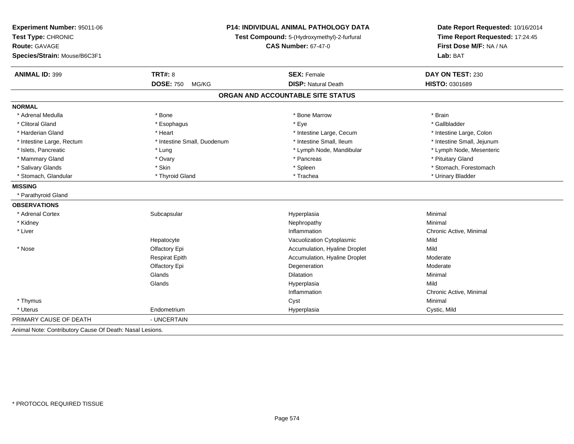| Experiment Number: 95011-06<br>Test Type: CHRONIC        |                             | <b>P14: INDIVIDUAL ANIMAL PATHOLOGY DATA</b><br>Test Compound: 5-(Hydroxymethyl)-2-furfural | Date Report Requested: 10/16/2014<br>Time Report Requested: 17:24:45 |
|----------------------------------------------------------|-----------------------------|---------------------------------------------------------------------------------------------|----------------------------------------------------------------------|
| <b>Route: GAVAGE</b>                                     |                             | <b>CAS Number: 67-47-0</b>                                                                  | First Dose M/F: NA / NA                                              |
| Species/Strain: Mouse/B6C3F1                             |                             |                                                                                             | Lab: BAT                                                             |
| <b>ANIMAL ID: 399</b>                                    | <b>TRT#: 8</b>              | <b>SEX: Female</b>                                                                          | DAY ON TEST: 230                                                     |
|                                                          | <b>DOSE: 750</b><br>MG/KG   | <b>DISP: Natural Death</b>                                                                  | HISTO: 0301689                                                       |
|                                                          |                             | ORGAN AND ACCOUNTABLE SITE STATUS                                                           |                                                                      |
| <b>NORMAL</b>                                            |                             |                                                                                             |                                                                      |
| * Adrenal Medulla                                        | * Bone                      | * Bone Marrow                                                                               | * Brain                                                              |
| * Clitoral Gland                                         | * Esophagus                 | * Eye                                                                                       | * Gallbladder                                                        |
| * Harderian Gland                                        | * Heart                     | * Intestine Large, Cecum                                                                    | * Intestine Large, Colon                                             |
| * Intestine Large, Rectum                                | * Intestine Small, Duodenum | * Intestine Small, Ileum                                                                    | * Intestine Small, Jejunum                                           |
| * Islets, Pancreatic                                     | * Lung                      | * Lymph Node, Mandibular                                                                    | * Lymph Node, Mesenteric                                             |
| * Mammary Gland                                          | * Ovary                     | * Pancreas                                                                                  | * Pituitary Gland                                                    |
| * Salivary Glands                                        | * Skin                      | * Spleen                                                                                    | * Stomach, Forestomach                                               |
| * Stomach, Glandular                                     | * Thyroid Gland             | * Trachea                                                                                   | * Urinary Bladder                                                    |
| <b>MISSING</b>                                           |                             |                                                                                             |                                                                      |
| * Parathyroid Gland                                      |                             |                                                                                             |                                                                      |
| <b>OBSERVATIONS</b>                                      |                             |                                                                                             |                                                                      |
| * Adrenal Cortex                                         | Subcapsular                 | Hyperplasia                                                                                 | Minimal                                                              |
| * Kidney                                                 |                             | Nephropathy                                                                                 | Minimal                                                              |
| * Liver                                                  |                             | Inflammation                                                                                | Chronic Active, Minimal                                              |
|                                                          | Hepatocyte                  | Vacuolization Cytoplasmic                                                                   | Mild                                                                 |
| * Nose                                                   | Olfactory Epi               | Accumulation, Hyaline Droplet                                                               | Mild                                                                 |
|                                                          | <b>Respirat Epith</b>       | Accumulation, Hyaline Droplet                                                               | Moderate                                                             |
|                                                          | Olfactory Epi               | Degeneration                                                                                | Moderate                                                             |
|                                                          | Glands                      | Dilatation                                                                                  | Minimal                                                              |
|                                                          | Glands                      | Hyperplasia                                                                                 | Mild                                                                 |
|                                                          |                             | Inflammation                                                                                | Chronic Active, Minimal                                              |
| * Thymus                                                 |                             | Cyst                                                                                        | Minimal                                                              |
| * Uterus                                                 | Endometrium                 | Hyperplasia                                                                                 | Cystic, Mild                                                         |
| PRIMARY CAUSE OF DEATH                                   | - UNCERTAIN                 |                                                                                             |                                                                      |
| Animal Note: Contributory Cause Of Death: Nasal Lesions. |                             |                                                                                             |                                                                      |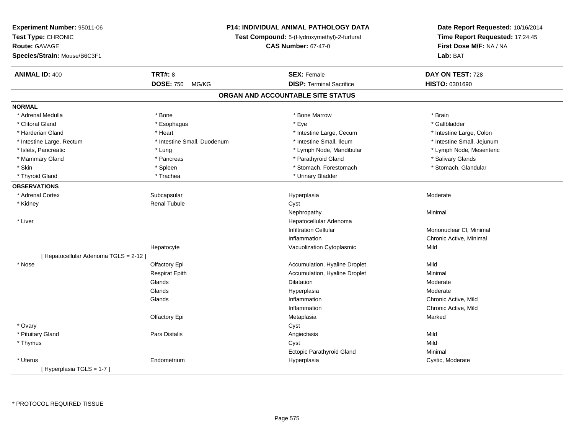| Experiment Number: 95011-06            |                             | <b>P14: INDIVIDUAL ANIMAL PATHOLOGY DATA</b> | Date Report Requested: 10/16/2014 |
|----------------------------------------|-----------------------------|----------------------------------------------|-----------------------------------|
| Test Type: CHRONIC                     |                             | Test Compound: 5-(Hydroxymethyl)-2-furfural  | Time Report Requested: 17:24:45   |
| <b>Route: GAVAGE</b>                   | <b>CAS Number: 67-47-0</b>  |                                              | First Dose M/F: NA / NA           |
| Species/Strain: Mouse/B6C3F1           |                             |                                              | Lab: BAT                          |
| <b>ANIMAL ID: 400</b>                  | <b>TRT#: 8</b>              | <b>SEX: Female</b>                           | DAY ON TEST: 728                  |
|                                        | <b>DOSE: 750</b><br>MG/KG   | <b>DISP: Terminal Sacrifice</b>              | HISTO: 0301690                    |
|                                        |                             | ORGAN AND ACCOUNTABLE SITE STATUS            |                                   |
| <b>NORMAL</b>                          |                             |                                              |                                   |
| * Adrenal Medulla                      | * Bone                      | * Bone Marrow                                | * Brain                           |
| * Clitoral Gland                       | * Esophagus                 | * Eye                                        | * Gallbladder                     |
| * Harderian Gland                      | * Heart                     | * Intestine Large, Cecum                     | * Intestine Large, Colon          |
| * Intestine Large, Rectum              | * Intestine Small, Duodenum | * Intestine Small, Ileum                     | * Intestine Small, Jejunum        |
| * Islets, Pancreatic                   | * Lung                      | * Lymph Node, Mandibular                     | * Lymph Node, Mesenteric          |
| * Mammary Gland                        | * Pancreas                  | * Parathyroid Gland                          | * Salivary Glands                 |
| * Skin                                 | * Spleen                    | * Stomach, Forestomach                       | * Stomach, Glandular              |
| * Thyroid Gland                        | * Trachea                   | * Urinary Bladder                            |                                   |
| <b>OBSERVATIONS</b>                    |                             |                                              |                                   |
| * Adrenal Cortex                       | Subcapsular                 | Hyperplasia                                  | Moderate                          |
| * Kidney                               | <b>Renal Tubule</b>         | Cyst                                         |                                   |
|                                        |                             | Nephropathy                                  | Minimal                           |
| * Liver                                |                             | Hepatocellular Adenoma                       |                                   |
|                                        |                             | <b>Infiltration Cellular</b>                 | Mononuclear CI, Minimal           |
|                                        |                             | Inflammation                                 | Chronic Active, Minimal           |
|                                        | Hepatocyte                  | Vacuolization Cytoplasmic                    | Mild                              |
| [ Hepatocellular Adenoma TGLS = 2-12 ] |                             |                                              |                                   |
| * Nose                                 | Olfactory Epi               | Accumulation, Hyaline Droplet                | Mild                              |
|                                        | <b>Respirat Epith</b>       | Accumulation, Hyaline Droplet                | Minimal                           |
|                                        | Glands                      | <b>Dilatation</b>                            | Moderate                          |
|                                        | Glands                      | Hyperplasia                                  | Moderate                          |
|                                        | Glands                      | Inflammation                                 | Chronic Active, Mild              |
|                                        |                             | Inflammation                                 | Chronic Active, Mild              |
|                                        | Olfactory Epi               | Metaplasia                                   | Marked                            |
| * Ovary                                |                             | Cyst                                         |                                   |
| * Pituitary Gland                      | Pars Distalis               | Angiectasis                                  | Mild                              |
| * Thymus                               |                             | Cyst                                         | Mild                              |
|                                        |                             | Ectopic Parathyroid Gland                    | Minimal                           |
| $*$ Uterus                             | Endometrium                 | Hyperplasia                                  | Cystic, Moderate                  |
| [Hyperplasia TGLS = $1-7$ ]            |                             |                                              |                                   |